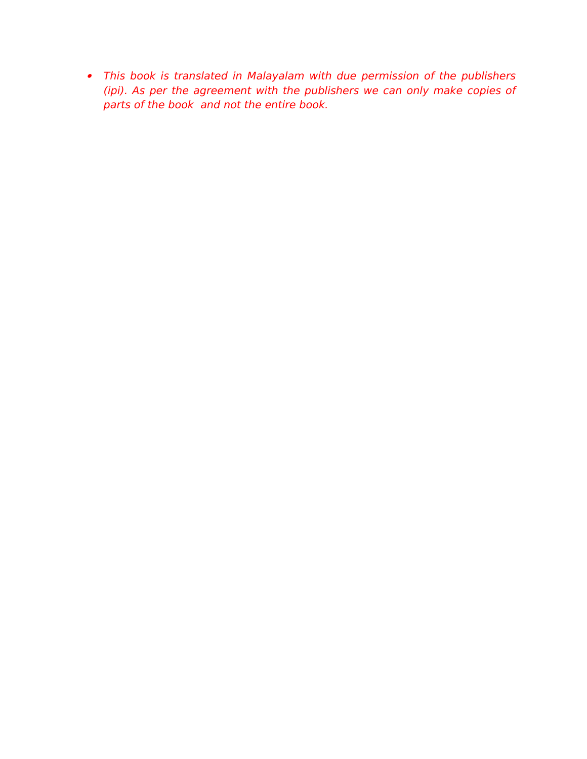This book is translated in Malayalam with due permission of the publishers (ipi). As per the agreement with the publishers we can only make copies of parts of the book and not the entire book.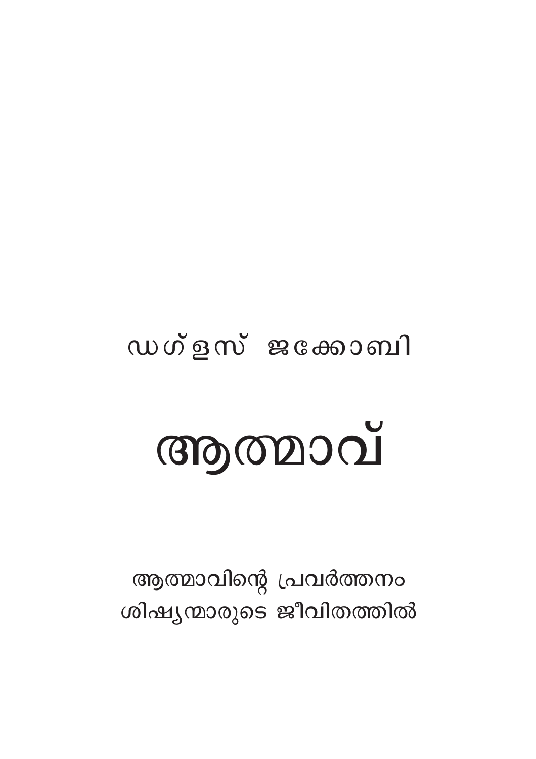## ഡഗ്ളസ് ജക്കോബി

# ആത്മാവ്

ആത്മാവിന്റെ പ്രവർത്തനം ശിഷ്യന്മാരുടെ ജീവിതത്തിൽ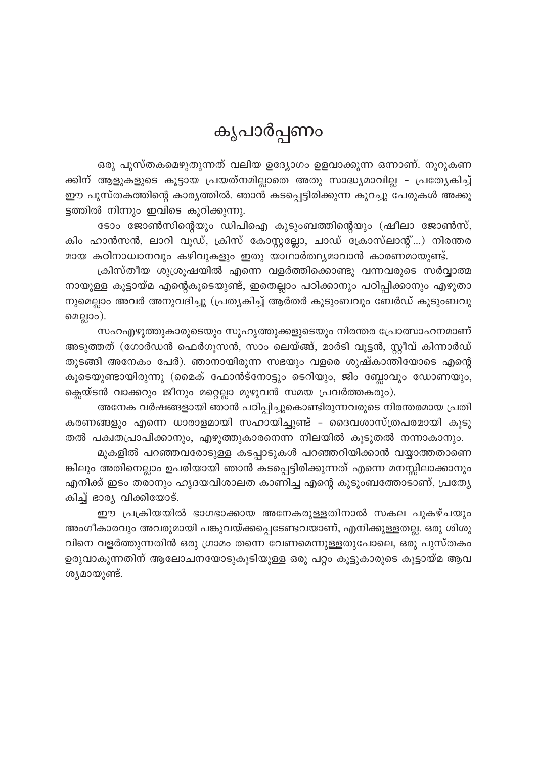## കൃപാർപ്പണം

ഒരു പുസ്തകമെഴുതുന്നത് വലിയ ഉദ്യോഗം ഉളവാക്കുന്ന ഒന്നാണ്. നൂറുകണ ക്കിന് ആളുകളുടെ കൂട്ടായ പ്രയത്നമില്ലാതെ അതു സാദ്ധ്യമാവില്ല - പ്രത്യേകിച്ച് ഈ പുസ്തകത്തിന്റെ കാര്യത്തിൽ. ഞാൻ കടപ്പെട്ടിരിക്കുന്ന കുറച്ചു പേരുകൾ അക്കൂ ട്ടത്തിൽ നിന്നും ഇവിടെ കുറിക്കുന്നു.

ടോം ജോൺസിന്റെയും ഡിപിഐ കുടുംബത്തിന്റെയും (ഷീലാ ജോൺസ്, കിം ഹാൻസൻ, ലാറി വുഡ്, ക്രിസ് കോസ്റ്റല്ലോ, ചാഡ് ക്രോസ്ലാന്റ്...) നിരന്തര മായ കഠിനാധ്വാനവും കഴിവുകളും ഇതു യാഥാർത്ഥ്യമാവാൻ കാരണമായുണ്ട്.

ക്രിസ്തീയ ശുശ്രൂഷയിൽ എന്നെ വളർത്തിക്കൊണ്ടു വന്നവരുടെ സർവ്വാത്മ നായുള്ള കൂട്ടായ്മ എന്റെകൂടെയുണ്ട്, ഇതെല്ലാം പഠിക്കാനും പഠിപ്പിക്കാനും എഴുതാ നുമെല്ലാം അവർ അനുവദിച്ചു (പ്രത്യകിച്ച് ആർതർ കുടുംബവും ബേർഡ് കുടുംബവു മെല്ലാം).

സഹഎഴുത്തുകാരുടെയും സുഹൃത്തുക്കളുടെയും നിരന്തര പ്രോത്സാഹനമാണ് അടുത്തത് (ഗോർഡൻ ഫെർഗൂസൻ, സാം ലെയ്ങ്ങ്, മാർടി വൂട്ടൻ, സ്റ്റീവ് കിന്നാർഡ് തുടങ്ങി അനേകം പേർ). ഞാനായിരുന്ന സഭയും വളരെ ശുഷ്കാന്തിയോടെ എന്റെ കൂടെയുണ്ടായിരുന്നു (മൈക് ഫോൻട്നോട്ടും ടെറിയും, ജിം ബ്ലോവും ഡോണയും, ക്ലെയ്ടൻ വാക്കറും ജീനും മറ്റെല്ലാ മുഴുവൻ സമയ പ്രവർത്തകരും).

അനേക വർഷങ്ങളായി ഞാൻ പഠിപ്പിച്ചുകൊണ്ടിരുന്നവരുടെ നിരന്തരമായ പ്രതി കരണങ്ങളും എന്നെ ധാരാളമായി സഹായിച്ചുണ്ട് - ദൈവശാസ്ത്രപരമായി കൂടു തൽ പക്വതപ്രാപിക്കാനും, എഴുത്തുകാരനെന്ന നിലയിൽ കൂടുതൽ നന്നാകാനും.

മുകളിൽ പറഞ്ഞവരോടുള്ള കടപ്പാടുകൾ പറഞ്ഞറിയിക്കാൻ വയ്യാത്തതാണെ ങ്കിലും അതിനെല്ലാം ഉപരിയായി ഞാൻ കടപ്പെട്ടിരിക്കുന്നത് എന്നെ മനസ്സിലാക്കാനും എനിക്ക് ഇടം തരാനും ഹൃദയവിശാലത കാണിച്ച എന്റെ കുടുംബത്തോടാണ്, പ്രത്യേ കിച്ച് ഭാര്യ വിക്കിയോട്.

ഈ പ്രക്രിയയിൽ ഭാഗഭാക്കായ അനേകരുള്ളതിനാൽ സകല പുകഴ്ചയും അംഗീകാരവും അവരുമായി പങ്കുവയ്ക്കപ്പെടേണ്ടവയാണ്, എനിക്കുള്ളതല്ല. ഒരു ശിശു വിനെ വളർത്തുന്നതിൻ ഒരു ഗ്രാമം തന്നെ വേണമെന്നുള്ളതുപോലെ, ഒരു പുസ്തകം ഉരുവാകുന്നതിന് ആലോചനയോടുകൂടിയുള്ള ഒരു പറ്റം കൂട്ടുകാരുടെ കൂട്ടായ്മ ആവ ശ്യമായുണ്ട്.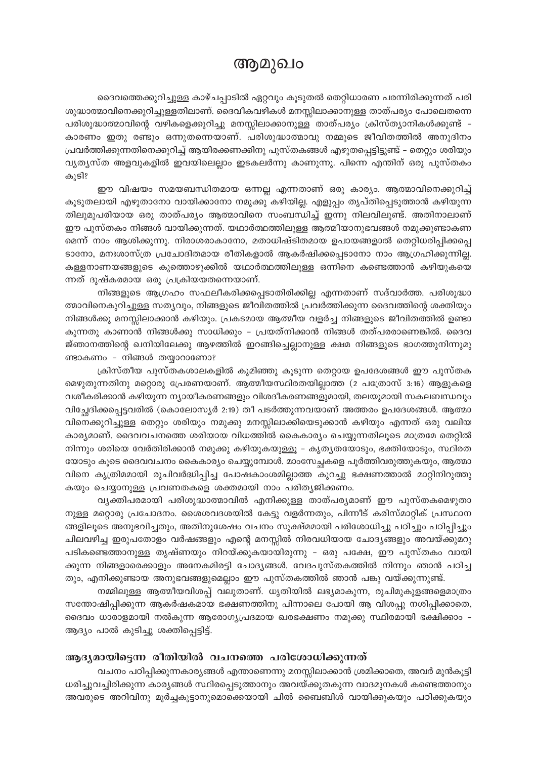### ആമുഖം

ദൈവത്തെക്കുറിച്ചുള്ള കാഴ്ചപ്പാടിൽ ഏറ്റവും കൂടുതൽ തെറ്റിധാരണ പരന്നിരിക്കുന്നത് പരി

ശുദ്ധാത്മാവിനെക്കുറിച്ചുള്ളതിലാണ്. ദൈവീകവഴികൾ മനസ്സിലാക്കാനുള്ള താത്പര്യം പോലെതന്നെ പരിശുദ്ധാത്മാവിന്റെ വഴികളെക്കുറിച്ചു മനസ്സിലാക്കാനുള്ള താത്പര്യം ക്രിസ്ത്യാനികൾക്കുണ്ട് -കാരണം ഇതു രണ്ടും ഒന്നുതന്നെയാണ്. പരിശുദ്ധാത്മാവു നമ്മുടെ ജീവിതത്തിൽ അനുദിനം പ്രവർത്തിക്കുന്നതിനെക്കുറിച്ച് ആയിരക്കണക്കിനു പുസ്തകങ്ങൾ എഴുതപ്പെട്ടിട്ടുണ്ട് – തെറ്റും ശരിയും വ്യത്യസ്ത അളവുകളിൽ ഇവയിലെല്ലാം ഇടകലർന്നു കാണുന്നു. പിന്നെ എന്തിന് ഒരു പുസ്തകം കൂടി?

ഈ വിഷയം സമയബന്ധിതമായ ഒന്നല്ല എന്നതാണ് ഒരു കാര്യം. ആത്മാവിനെക്കുറിച്ച് കൂടുതലായി എഴുതാനോ വായിക്കാനോ നമുക്കു കഴിയില്ല. എളുപ്പം തൃപ്തിപ്പെടുത്താൻ കഴിയുന്ന തിലുമുപരിയായ ഒരു താത്പര്യം ആത്മാവിനെ സംബന്ധിച്ച് ഇന്നു നിലവിലുണ്ട്. അതിനാലാണ് ഈ പുസ്തകം നിങ്ങൾ വായിക്കുന്നത്. യഥാർത്ഥത്തിലുള്ള ആത്മീയാനുഭവങ്ങൾ നമുക്കുണ്ടാകണ മെന്ന് നാം ആശിക്കുന്നു. നിരാശരാകാനോ, മതാധിഷ്ടിതമായ ഉപായങ്ങളാൽ തെറ്റിധരിപ്പിക്കപ്പെ ടാനോ, മനഃശാസ്ത്ര പ്രചോദിതമായ രീതികളാൽ ആകർഷിക്കപ്പെടാനോ നാം ആഗ്രഹിക്കുന്നില്ല. കള്ളനാണയങ്ങളുടെ കുത്തൊഴുക്കിൽ യഥാർത്ഥത്തിലുള്ള ഒന്നിനെ കണ്ടെത്താൻ കഴിയുകയെ ന്നത് ദുഷ്കരമായ ഒരു പ്രക്രിയയതന്നെയാണ്.

നിങ്ങളുടെ ആഗ്രഹം സഫലീകരിക്കപ്പെടാതിരിക്കില്ല എന്നതാണ് സദ്വാർത്ത. പരിശുദ്ധാ ത്മാവിനെകുറിച്ചുള്ള സത്യവും, നിങ്ങളുടെ ജീവിതത്തിൽ പ്രവർത്തിക്കുന്ന ദൈവത്തിന്റെ ശക്തിയും നിങ്ങൾക്കു മനസ്സിലാക്കാൻ കഴിയും. പ്രകടമായ ആത്മീയ വളർച്ച നിങ്ങളുടെ ജീവിതത്തിൽ ഉണ്ടാ കുന്നതു കാണാൻ നിങ്ങൾക്കു സാധിക്കും – പ്രയത്നിക്കാൻ നിങ്ങൾ തത്പരരാണെങ്കിൽ. ദൈവ ജ്ഞാനത്തിന്റെ ഖനിയിലേക്കു ആഴത്തിൽ ഇറങ്ങിച്ചെല്ലാനുള്ള ക്ഷമ നിങ്ങളുടെ ഭാഗത്തുനിന്നുമു ണ്ടാകണം - നിങ്ങൾ തയ്യാറാണോ?

ക്രിസ്തീയ പുസ്തകശാലകളിൽ കുമിഞ്ഞു കൂടുന്ന തെറ്റായ ഉപദേശങ്ങൾ ഈ പുസ്തക മെഴുതുന്നതിനു മറ്റൊരു പ്രേരണയാണ്. ആത്മീയസ്ഥിരതയില്ലാത്ത (2 പത്രോസ് 3:16) ആളുകളെ വശീകരിക്കാൻ കഴിയുന്ന ന്യായീകരണങ്ങളും വിശദീകരണങ്ങളുമായി, തലയുമായി സകലബന്ധവും വിച്ഛേദിക്കപ്പെട്ടവരിൽ (കൊലോസ്യർ 2:19) തീ പടർത്തുന്നവയാണ് അത്തരം ഉപദേശങ്ങൾ. ആത്മാ വിനെക്കുറിച്ചുള്ള തെറ്റും ശരിയും നമുക്കു മനസ്സിലാക്കിയെടുക്കാൻ കഴിയും എന്നത് ഒരു വലിയ കാര്യമാണ്. ദൈവവചനത്തെ ശരിയായ വിധത്തിൽ കൈകാര്യം ചെയ്യുന്നതിലൂടെ മാത്രമേ തെറ്റിൽ നിന്നും ശരിയെ വേർതിരിക്കാൻ നമുക്കു കഴിയുകയുള്ളൂ – കൃതൃതയോടും, ഭക്തിയോടും, സ്ഥിരത യോടും കൂടെ ദൈവവചനം കൈകാര്യം ചെയ്യുമ്പോൾ. മാംസേച്ഛകളെ പൂർത്തിവരുത്തുകയും, ആത്മാ വിനെ കൃത്രിമമായി രുചിവർദ്ധിപ്പിച്ച പോഷകാംശമില്ലാത്ത കുറച്ചു ഭക്ഷണത്താൽ മാറ്റിനിറുത്തു കയും ചെയ്യാനുള്ള പ്രവണതകളെ ശക്തമായി നാം പരിത്യജിക്കണം.

വൃക്തിപരമായി പരിശുദ്ധാത്മാവിൽ എനിക്കുള്ള താത്പര്യമാണ് ഈ പുസ്തകമെഴുതാ നുള്ള മറ്റൊരു പ്രചോദനം. ശൈശവദശയിൽ കേട്ടു വളർന്നതും, പിന്നീട് കരിസ്മാറ്റിക് പ്രസ്ഥാന ങ്ങളിലൂടെ അനുഭവിച്ചതും, അതിനുശേഷം വചനം സുക്ഷ്മമായി പരിശോധിച്ചു പഠിച്ചും പഠിപ്പിച്ചും ചിലവഴിച്ച ഇരുപതോളം വർഷങ്ങളും എന്റെ മനസ്സിൽ നിരവധിയായ ചോദ്യങ്ങളും അവയ്ക്കുമറു പടികണ്ടെത്താനുള്ള തൃഷ്ണയും നിറയ്ക്കുകയായിരുന്നു - ഒരു പക്ഷേ, ഈ പുസ്തകം വായി ക്കുന്ന നിങ്ങളാരെക്കാളും അനേകമിരട്ടി ചോദ്യങ്ങൾ. വേദപുസ്തകത്തിൽ നിന്നും ഞാൻ പഠിച്ച തും, എനിക്കുണ്ടായ അനുഭവങ്ങളുമെല്ലാം ഈ പുസ്തകത്തിൽ ഞാൻ പങ്കു വയ്ക്കുന്നുണ്ട്.

നമ്മിലുള്ള ആത്മീയവിശപ്പ് വലുതാണ്. ധൃതിയിൽ ലഭ്യമാകുന്ന, രുചിമുകുളങ്ങളെമാത്രം സന്തോഷിപ്പിക്കുന്ന ആകർഷകമായ ഭക്ഷണത്തിനു പിന്നാലെ പോയി ആ വിശപ്പു നശിപ്പിക്കാതെ, ദൈവം ധാരാളമായി നൽകുന്ന ആരോഗ്യപ്രദമായ ഖരഭക്ഷണം നമുക്കു സ്ഥിരമായി ഭക്ഷിക്കാം – ആദ്യം പാൽ കുടിച്ചു ശക്തിപ്പെട്ടിട്ട്.

#### ആദ്യമായിട്ടെന്ന രീതിയിൽ വചനത്തെ പരിശോധിക്കുന്നത്

വചനം പഠിപ്പിക്കുന്നകാര്യങ്ങൾ എന്താണെന്നു മനസ്സിലാക്കാൻ ശ്രമിക്കാതെ, അവർ മുൻകൂട്ടി ധരിച്ചുവച്ചിരിക്കുന്ന കാര്യങ്ങൾ സ്ഥിരപ്പെടുത്താനും അവയ്ക്കുതകുന്ന വാദമുനകൾ കണ്ടെത്താനും അവരുടെ അറിവിനു മൂർച്ചകൂട്ടാനുമൊക്കെയായി ചിൽ ബൈബിൾ വായിക്കുകയും പഠിക്കുകയും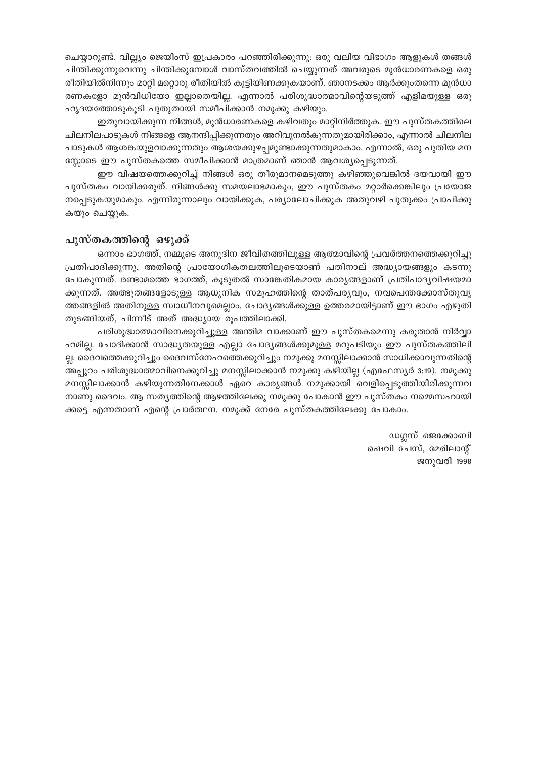ചെയ്യാറുണ്ട്. വില്ല്യം ജെയിംസ് ഇപ്രകാരം പറഞ്ഞിരിക്കുന്നു: ഒരു വലിയ വിഭാഗം ആളുകൾ തങ്ങൾ ചിന്തിക്കുന്നുവെന്നു ചിന്തിക്കുമ്പോൾ വാസ്തവത്തിൽ ചെയ്യുന്നത് അവരുടെ മുൻധാരണകളെ ഒരു രീതിയിൽനിന്നും മാറ്റി മറ്റൊരു രീതിയിൽ കൂട്ടിയിണക്കുകയാണ്. ഞാനടക്കം ആർക്കുംതന്നെ മുൻധാ രണകളോ മുൻവിധിയോ ഇല്ലാതെയില്ല. എന്നാൽ പരിശുദ്ധാത്മാവിന്റെയടുത്ത് എളിമയുള്ള ഒരു ഹൃദയത്തോടുകൂടി പുതുതായി സമീപിക്കാൻ നമുക്കു കഴിയും.

ഇതുവായിക്കുന്ന നിങ്ങൾ, മുൻധാരണകളെ കഴിവതും മാറ്റിനിർത്തുക. ഈ പുസ്തകത്തിലെ ചിലനിലപാടുകൾ നിങ്ങളെ ആനന്ദിപ്പിക്കുന്നതും അറിവുനൽകുന്നതുമായിരിക്കാം, എന്നാൽ ചിലനില പാടുകൾ ആശങ്കയുളവാക്കുന്നതും ആശയക്കുഴപ്പമുണ്ടാക്കുന്നതുമാകാം. എന്നാൽ, ഒരു പുതിയ മന സ്സോടെ ഈ പുസ്തകത്തെ സമീപിക്കാൻ മാത്രമാണ് ഞാൻ ആവശ്യപ്പെടുന്നത്.

ഈ വിഷയത്തെക്കുറിച്ച് നിങ്ങൾ ഒരു തീരുമാനമെടുത്തു കഴിഞ്ഞുവെങ്കിൽ ദയവായി ഈ പുസ്തകം വായിക്കരുത്. നിങ്ങൾക്കു സമയലാഭമാകും, ഈ പുസ്തകം മറ്റാർക്കെങ്കിലും പ്രയോജ നപ്പെടുകയുമാകും. എന്നിരുന്നാലും വായിക്കുക, പര്യാലോചിക്കുക അതുവഴി പുതുക്കം പ്രാപിക്കു കയും ചെയ്യുക.

#### പുസ്തകത്തിന്റെ ഒഴുക്ക്

ഒന്നാം ഭാഗത്ത്, നമ്മുടെ അനുദിന ജീവിതത്തിലുള്ള ആത്മാവിന്റെ പ്രവർത്തനത്തെക്കുറിച്ചു പ്രതിപാദിക്കുന്നു, അതിന്റെ പ്രായോഗികതലത്തിലൂടെയാണ് പതിനാല് അദ്ധ്യായങ്ങളും കടന്നു പോകുന്നത്. രണ്ടാമത്തെ ഭാഗത്ത്, കൂടുതൽ സാങ്കേതികമായ കാര്യങ്ങളാണ് പ്രതിപാദ്യവിഷയമാ ക്കുന്നത്. അത്ഭുതങ്ങളോടുള്ള ആധുനിക സമുഹത്തിന്റെ താത്പര്യവും, നവപെന്തക്കോസ്തുവൃ ത്തങ്ങളിൽ അതിനുള്ള സ്വാധീനവുമെല്ലാം. ചോദ്യങ്ങൾക്കുള്ള ഉത്തരമായിട്ടാണ് ഈ ഭാഗം എഴുതി തുടങ്ങിയത്, പിന്നീട് അത് അദ്ധ്യായ രൂപത്തിലാക്കി.

പരിശുദ്ധാത്മാവിനെക്കുറിച്ചുള്ള അന്തിമ വാക്കാണ് ഈ പുസ്തകമെന്നു കരുതാൻ നിർവ്വാ ഹമില്ല. ചോദിക്കാൻ സാദ്ധ്യതയുള്ള എല്ലാ ചോദ്യങ്ങൾക്കുമുള്ള മറുപടിയും ഈ പുസ്തകത്തിലി ല്ല. ദൈവത്തെക്കുറിച്ചും ദൈവസ്നേഹത്തെക്കുറിച്ചും നമുക്കു മനസ്സിലാക്കാൻ സാധിക്കാവുന്നതിന്റെ അപ്പുറം പരിശുദ്ധാത്മാവിനെക്കുറിച്ചു മനസ്സിലാക്കാൻ നമുക്കു കഴിയില്ല (എഫേസ്യർ 3:19). നമുക്കു മനസ്സിലാക്കാൻ കഴിയുന്നതിനേക്കാൾ ഏറെ കാര്യങ്ങൾ നമുക്കായി വെളിപ്പെടുത്തിയിരിക്കുന്നവ നാണു ദൈവം. ആ സത്യത്തിന്റെ ആഴത്തിലേക്കു നമുക്കു പോകാൻ ഈ പുസ്തകം നമ്മെസഹായി ക്കട്ടെ എന്നതാണ് എന്റെ പ്രാർത്ഥന. നമുക്ക് നേരേ പുസ്തകത്തിലേക്കു പോകാം.

> ഡഗ്ലസ് ജെക്കോബി ഷെവി ചേസ്, മേരിലാന്റ് ജനുവരി 1998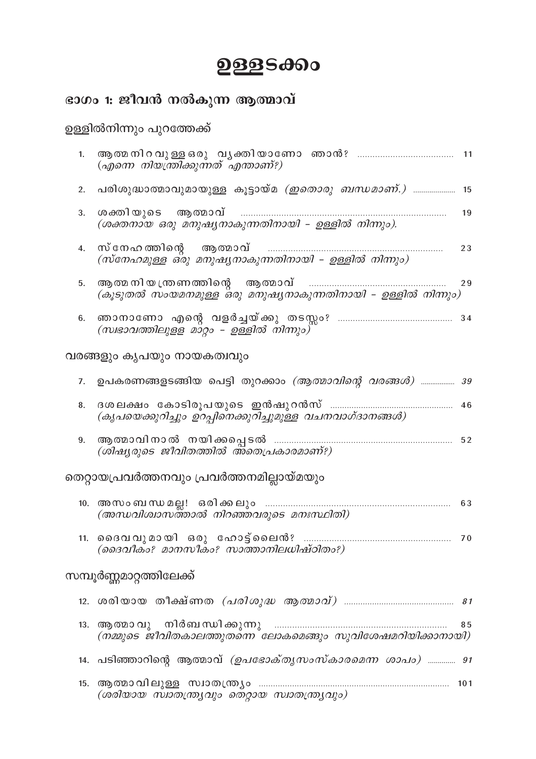## ഉള്ളടക്കം

## ഭാഗം 1: ജീവൻ നൽകുന്ന ആത്മാവ്

## ഉള്ളിൽനിന്നും പുറത്തേക്ക്

| 1.                                        | (എന്നെ നിയന്ത്രിക്കുന്നത് എന്താണ്?)                                                  |     |  |  |  |
|-------------------------------------------|--------------------------------------------------------------------------------------|-----|--|--|--|
| 2.                                        | പരിശുദ്ധാത്മാവുമായുള്ള കൂട്ടായ്മ <i>(ഇതൊരു ബന്ധമാണ്.)</i> 15                         |     |  |  |  |
| 3.                                        | (ശക്തനായ ഒരു മനുഷ്യനാകുന്നതിനായി – ഉള്ളിൽ നിന്നും).                                  | 19  |  |  |  |
| 4.                                        | സ്നേഹത്തിന്റെ ആത്മാവ്<br>.<br>(സ്നേഹമുള്ള ഒ്രു മനുഷ്യനാകുന്നതിനായി – ഉള്ളിൽ നിന്നും) | 23  |  |  |  |
| 5.                                        | (കൂടുതൽ സംയമനമുള്ള ഒരു മനുഷ്യനാകുന്നതിനായി – ഉള്ളിൽ നിന്നും)                         | 29  |  |  |  |
| 6.                                        | (സ്വഭാവത്തിലുളള മാറ്റം – ഉള്ളിൽ നിന്നും)"                                            |     |  |  |  |
| വരങ്ങളും കൃപയും നായകത്വവും                |                                                                                      |     |  |  |  |
| 7.                                        | ഉപകരണങ്ങളടങ്ങിയ പെട്ടി തുറക്കാം <i>(ആത്മാവിന്റെ വരങ്ങൾ) 39</i>                       |     |  |  |  |
| 8.                                        | (കൃപയെക്കുറിച്ചും ഉറപ്പിനെക്കുറിച്ചുമുള്ള വചനവാഗ്ദാനങ്ങൾ)                            | 46  |  |  |  |
| 9.                                        | (ശിഷ്യരുടെ ജീവിതത്തിൽ അ്തെപ്രകാരമാണ്?)                                               |     |  |  |  |
| തെറ്റായപ്രവർത്തനവും പ്രവർത്തനമില്ലായ്മയും |                                                                                      |     |  |  |  |
|                                           | (അന്ധവിശ്വാസത്താൽ നിറഞ്ഞവരുടെ മനഃസ്ഥിതി)                                             | 63  |  |  |  |
|                                           | (ദൈവീകം? മാനസീകം? സാത്താനിലധിഷ്ഠിതം?)                                                |     |  |  |  |
| സമ്പൂർണ്ണമാറ്റത്തിലേക്ക്                  |                                                                                      |     |  |  |  |
|                                           |                                                                                      |     |  |  |  |
| 13.                                       | (നമ്മുടെ ജീവിതകാലത്തുതന്നെ ലോകമെങ്ങും സുവിശേഷമറിയിക്കാനായി)                          | 85  |  |  |  |
|                                           | 14. പടിഞ്ഞാറിന്റെ ആത്മാവ് <i>(ഉപഭോക്തൃസംസ്കാരമെന്ന ശാപം) 91</i>                      |     |  |  |  |
|                                           | (ശരിയായ സ്വാതന്ത്ര്യവും തെറ്റായ സ്വാതന്ത്ര്യവും)                                     | 101 |  |  |  |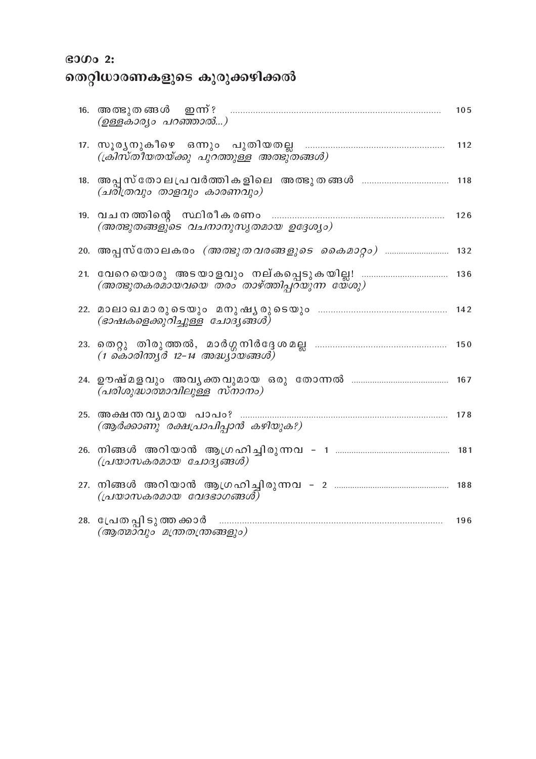## $\boldsymbol{\mathsf{B}3000}$  2:

## തെറ്റിധാരണകളുടെ കുരുക്കഴിക്കൽ

|     | 16. അത്ഭുതങ്ങൾ ഇന്ന്?<br>(ഉള്ളകാര്യം പറഞ്ഞാൽ)                      | 105 |
|-----|--------------------------------------------------------------------|-----|
|     | (ക്രിസ്തീയതയ്ക്കു പുറത്തുള്ള അത്ഭുതങ്ങൾ)                           | 112 |
|     | (ചരിത്രവും താളവും കാരണവും)                                         |     |
|     | (അത്ഭുതങ്ങളുടെ വചനാനുസൃതമായ ഉദ്ദേശ്യം)                             | 126 |
|     | <u>20. അപ്പസ്തോലകരം <i>(അത്ഭുതവരങ്ങളുടെ കൈമാറ്റം)</i> </u>         | 132 |
|     | $(\omega_0, \omega_1)$ (അത്ഭുതകരമായവയെ തരം താഴ്ത്തിപ്പറയുന്ന യേശു) | 136 |
|     | (ഭാഷകളെക്കുറിച്ചുള്ള ചോദ്യങ്ങൾ)                                    | 142 |
|     | (1 കൊരിന്ത്യർ 12–14 അദ്ധ്യായങ്ങൾ)                                  |     |
|     | (പരിശുദ്ധാത്മാവിലുള്ള സ്നാനം)                                      |     |
| 25. | അക്ഷന്തവൃമായ പാപം?<br>(ആർക്കാണു രക്ഷപ്രാപിപ്പാൻ കഴിയുക?)           | 178 |
|     | (പ്രയാസകരമായ ചോദൃങ്ങൾ)                                             | 181 |
|     | (പ്രയാസകരമായ വേദഭാഗങ്ങൾ)                                           |     |
|     | 28. പ്രേത പ്പി ടുത്ത ക്കാർ<br>(ആത്മാവും മന്ത്രതന്ത്രങ്ങളും)        | 196 |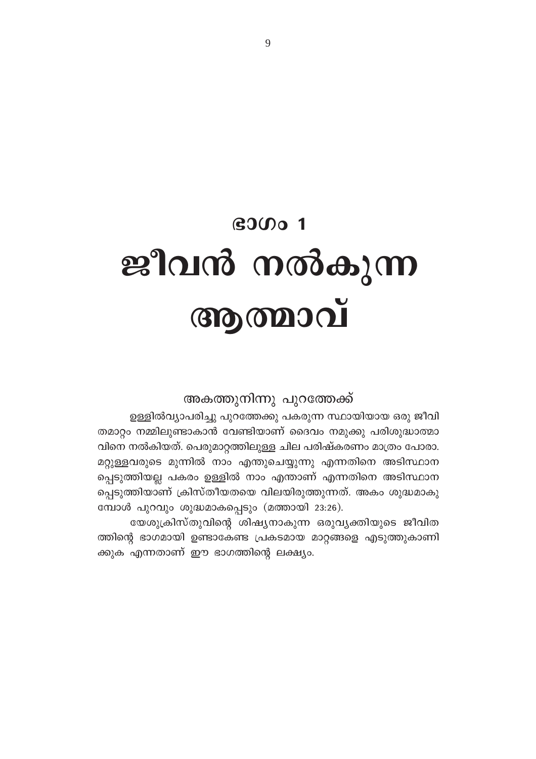## $B$ 300 $1$ ജീവൻ നൽകുന്ന **COO COO**

#### അകത്തുനിന്നു പുറത്തേക്ക്

ഉള്ളിൽവ്യാപരിച്ചു പുറത്തേക്കു പകരുന്ന സ്ഥായിയായ ഒരു ജീവി തമാറ്റം നമ്മിലുണ്ടാകാൻ വേണ്ടിയാണ് ദൈവം നമുക്കു പരിശുദ്ധാത്മാ വിനെ നൽകിയത്. പെരുമാറ്റത്തിലുള്ള ചില പരിഷ്കരണം മാത്രം പോരാ. മറ്റുള്ളവരുടെ മുന്നിൽ നാം എന്തുചെയ്യുന്നു എന്നതിനെ അടിസ്ഥാന പ്പെടുത്തിയല്ല പകരം ഉള്ളിൽ നാം എന്താണ് എന്നതിനെ അടിസ്ഥാന പ്പെടുത്തിയാണ് ക്രിസ്തീയതയെ വിലയിരുത്തുന്നത്. അകം ശുദ്ധമാകു മ്പോൾ പുറവും ശുദ്ധമാകപ്പെടും (മത്തായി 23:26).

യേശുക്രിസ്തുവിന്റെ ശിഷ്യനാകുന്ന ഒരുവ്യക്തിയുടെ ജീവിത ത്തിന്റെ ഭാഗമായി ഉണ്ടാകേണ്ട പ്രകടമായ മാറ്റങ്ങളെ എടുത്തുകാണി ക്കുക എന്നതാണ് ഈ ഭാഗത്തിന്റെ ലക്ഷ്യം.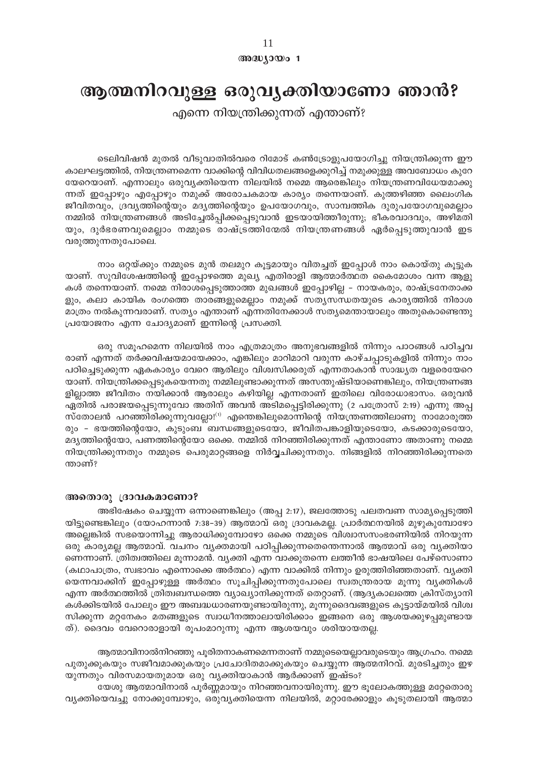#### അദ്ധ്യായം 1

## ആത്മനിറവുള്ള ഒരുവൃക്തിയാണോ ഞാൻ?

എന്നെ നിയന്ത്രിക്കുന്നത് എന്താണ്?

ടെലിവിഷൻ മുതൽ വീടുവാതിൽവരെ റിമോട് കൺട്രോളുപയോഗിച്ചു നിയന്ത്രിക്കുന്ന ഈ കാലഘട്ടത്തിൽ, നിയന്ത്രണമെന്ന വാക്കിന്റെ വിവിധതലങ്ങളെക്കുറിച്ച് നമുക്കുള്ള അവബോധം കുറേ യേറെയാണ്. എന്നാലും ഒരുവ്യക്തിയെന്ന നിലയിൽ നമ്മെ ആരെങ്കിലും നിയന്ത്രണവിധേയമാക്കു ന്നത് ഇപ്പോഴും എപ്പോഴും നമുക്ക് അരോചകമായ കാര്യം തന്നെയാണ്. കുത്തഴിഞ്ഞ ലൈംഗിക ജീവിതവും, ദ്രവ്യത്തിന്റെയും മദ്യത്തിന്റെയും ഉപയോഗവും, സാമ്പത്തിക ദുരുപയോഗവുമെല്ലാം നമ്മിൽ നിയന്ത്രണങ്ങൾ അടിച്ചേൽപ്പിക്കപ്പെടുവാൻ ഇടയായിത്തീരുന്നു; ഭീകരവാദവും, അഴിമതി യും, ദുർഭരണവുമെല്ലാം നമ്മുടെ രാഷ്ട്രത്തിന്മേൽ നിയന്ത്രണങ്ങൾ ഏർപ്പെടുത്തുവാൻ ഇട വരുത്തുന്നതുപോലെ.

നാം ഒറ്റയ്ക്കും നമ്മുടെ മുൻ തലമുറ കൂട്ടമായും വിതച്ചത് ഇപ്പോൾ നാം കൊയ്തു കൂട്ടുക യാണ്. സുവിശേഷത്തിന്റെ ഇപ്പോഴത്തെ മുഖ്യ എതിരാളി ആത്മാർത്ഥത കൈമോശം വന്ന ആളു കൾ തന്നെയാണ്. നമ്മെ നിരാശപ്പെടുത്താത്ത മുഖങ്ങൾ ഇപ്പോഴില്ല – നായകരും, രാഷ്ട്രനേതാക്ക ളും, കലാ കായിക രംഗത്തെ താരങ്ങളുമെല്ലാം നമുക്ക് സത്യസന്ധതയുടെ കാര്യത്തിൽ നിരാശ മാത്രം നൽകുന്നവരാണ്. സത്യം എന്താണ് എന്നതിനേക്കാൾ സത്യമെന്തായാലും അതുകൊണ്ടെന്തു പ്രയോജനം എന്ന ചോദ്യമാണ് ഇന്നിന്റെ പ്രസക്തി.

ഒരു സമൂഹമെന്ന നിലയിൽ നാം എത്രമാത്രം അനുഭവങ്ങളിൽ നിന്നും പാഠങ്ങൾ പഠിച്ചവ രാണ് എന്നത് തർക്കവിഷയമായേക്കാം, എങ്കിലും മാറിമാറി വരുന്ന കാഴ്ചപ്പാടുകളിൽ നിന്നും നാം പഠിച്ചെടുക്കുന്ന ഏകകാര്യം വേറെ ആരിലും വിശ്വസിക്കരുത് എന്നതാകാൻ സാദ്ധ്യത വളരെയേറെ യാണ്. നിയന്ത്രിക്കപ്പെടുകയെന്നതു നമ്മിലുണ്ടാക്കുന്നത് അസന്തുഷ്ടിയാണെങ്കിലും, നിയന്ത്രണങ്ങ ളില്ലാത്ത ജീവിതം നയിക്കാൻ ആരാലും കഴിയില്ല എന്നതാണ് ഇതിലെ വിരോധാഭാസം. ഒരുവൻ ഏതിൽ പരാജയപ്പെടുന്നുവോ അതിന് അവൻ അടിമപ്പെട്ടിരിക്കുന്നു (2 പത്രോസ് 2:19) എന്നു അപ്പ സ്തോലൻ പറഞ്ഞിരിക്കുന്നുവല്ലോ! $^{(1)}$  എന്തെങ്കിലുമൊന്നിന്റെ നിയന്ത്രണത്തിലാണു നാമോരുത്ത രും - ഭയത്തിന്റെയോ, കുടുംബ ബന്ധങ്ങളുടെയോ, ജീവിതപങ്കാളിയുടെയോ, കടക്കാരുടെയോ, മദ്യത്തിന്റെയോ, പണത്തിന്റെയോ ഒക്കെ. നമ്മിൽ നിറഞ്ഞിരിക്കുന്നത് എന്താണോ അതാണു നമ്മെ നിയന്ത്രിക്കുന്നതും നമ്മുടെ പെരുമാറ്റങ്ങളെ നിർവ്വചിക്കുന്നതും. നിങ്ങളിൽ നിറഞ്ഞിരിക്കുന്നതെ ന്താണ്?

#### അതൊരു ദ്രാവകമാണോ?

അഭിഷേകം ചെയ്യുന്ന ഒന്നാണെങ്കിലും (അപ്പ 2:17), ജലത്തോടു പലതവണ സാമൃപ്പെടുത്തി യിട്ടുണ്ടെങ്കിലും (യോഹന്നാൻ 7:38–39) ആത്മാവ് ഒരു ദ്രാവകമല്ല. പ്രാർത്ഥനയിൽ മുഴുകുമ്പോഴോ അല്ലെങ്കിൽ സഭയൊന്നിച്ചു ആരാധിക്കുമ്പോഴോ ഒക്കെ നമ്മുടെ വിശ്വാസസംഭരണിയിൽ നിറയുന്ന ഒരു കാര്യമല്ല ആത്മാവ്. വചനം വ്യക്തമായി പഠിപ്പിക്കുന്നതെന്തെന്നാൽ ആത്മാവ് ഒരു വ്യക്തിയാ ണെന്നാണ്. ത്രിത്വത്തിലെ മൂന്നാമൻ. വ്യക്തി എന്ന വാക്കുതന്നെ ലത്തീൻ ഭാഷയിലെ പേഴ്സൊണാ (കഥാപാത്രം, സ്വഭാവം എന്നൊക്കെ അർത്ഥം) എന്ന വാക്കിൽ നിന്നും ഉരുത്തിരിഞ്ഞതാണ്. വൃക്തി യെന്നവാക്കിന് ഇപ്പോഴുള്ള അർത്ഥം സൂചിപ്പിക്കുന്നതുപോലെ സ്വതന്ത്രരായ മൂന്നു വ്യക്തികൾ എന്ന അർത്ഥത്തിൽ ത്രിത്വബന്ധത്തെ വ്യാഖ്യാനിക്കുന്നത് തെറ്റാണ്. (ആദ്യകാലത്തെ ക്രിസ്ത്യാനി കൾക്കിടയിൽ പോലും ഈ അബദ്ധധാരണയുണ്ടായിരുന്നു, മൂന്നുദൈവങ്ങളുടെ കൂട്ടായ്മയിൽ വിശ്വ സിക്കുന്ന മറ്റനേകം മതങ്ങളുടെ സ്വാധീനത്താലായിരിക്കാം ഇങ്ങനെ ഒരു ആശയക്കുഴപ്പമുണ്ടായ ത്). ദൈവം വേറൊരാളായി രൂപംമാറുന്നു എന്ന ആശയവും ശരിയായതല്ല.

ആത്മാവിനാൽനിറഞ്ഞു പൂരിതനാകണമെന്നതാണ് നമ്മുടെയെല്ലാവരുടെയും ആഗ്രഹം. നമ്മെ പുതുക്കുകയും സജീവമാക്കുകയും പ്രചോദിതമാക്കുകയും ചെയ്യുന്ന ആത്മനിറവ്. മുരടിച്ചതും ഇഴ യുന്നതും വിരസമായതുമായ ഒരു വ്യക്തിയാകാൻ ആർക്കാണ് ഇഷ്ടം?

യേശു ആത്മാവിനാൽ പൂർണ്ണമായും നിറഞ്ഞവനായിരുന്നു. ഈ ഭൂലോകത്തുള്ള മറ്റേതൊരു വ്യക്തിയെവച്ചു നോക്കുമ്പോഴും, ഒരുവ്യക്തിയെന്ന നിലയിൽ, മറ്റാരേക്കാളും കൂടുതലായി ആത്മാ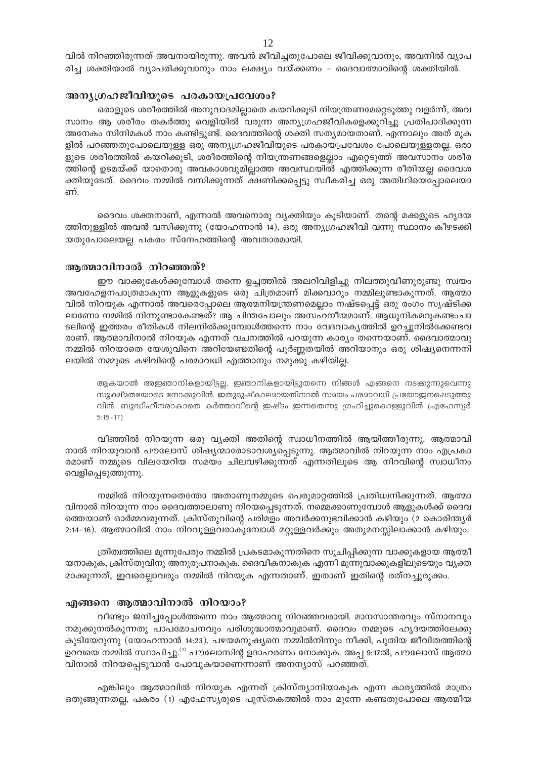വിൽ നിറഞ്ഞിരുന്നത് അവനായിരുന്നു. അവൻ ജീവിച്ചതുപോലെ ജീവിക്കുവാനും, അവനിൽ വ്യാപ രിച്ച ശക്തിയാൽ വ്യാപരിക്കുവാനും നാം ലക്ഷ്യം വയ്ക്കണം – ദൈവാത്മാവിന്റെ ശക്തിയിൽ.

#### അനുഗ്രഹജീവിയുടെ പരകായപ്രവേശം?

ഒരാളുടെ ശരീരത്തിൽ അനുവാദമില്ലാതെ കയറിക്കൂടി നിയന്ത്രണമേറ്റെടുത്തു വളർന്ന്, അവ സാനം ആ ശരീരം തകർത്തു വെളിയിൽ വരുന്ന അന്യഗ്രഹജീവികളെക്കുറിച്ചു പ്രതിപാദിക്കുന്ന അനേകം സിനിമകൾ നാം കണ്ടിട്ടുണ്ട്. ദൈവത്തിന്റെ ശക്തി സത്യമായതാണ്. എന്നാലും അത് മുക ളിൽ പറഞ്ഞതുപോലെയുള്ള ഒരു അന്യഗ്രഹജീവിയുടെ പരകായപ്രവേശം പോലെയുള്ളതല്ല. ഒരാ ളുടെ ശരീരത്തിൽ കയറിക്കൂടി, ശരീരത്തിന്റെ നിയന്ത്രണങ്ങളെല്ലാം എറ്റെടുത്ത് അവസാനം ശരീര ത്തിന്റെ ഉടമയ്ക്ക് യാതൊരു അവകാശവുമില്ലാത്ത അവസ്ഥയിൽ എത്തിക്കുന്ന രീതിയല്ല ദൈവശ ക്തിയുടേത്. ദൈവം നമ്മിൽ വസിക്കുന്നത് ക്ഷണിക്കപ്പെട്ടു സ്വീകരിച്ച ഒരു അതിഥിയെപ്പോലെയാ ണ്.

ദൈവം ശക്തനാണ്, എന്നാൽ അവനൊരു വ്യക്തിയും കൂടിയാണ്. തന്റെ മക്കളുടെ ഹൃദയ ത്തിനുള്ളിൽ അവൻ വസിക്കുന്നു (യോഹന്നാൻ 14), ഒരു അന്യഗ്രഹജീവി വന്നു സ്ഥാനം കീഴടക്കി യതുപോലെയല്ല പകരം സ്നേഹത്തിന്റെ അവതാരമായി.

#### ആത്മാവിനാൽ നിറഞ്ഞത്?

ഈ വാക്കുകേൾക്കുമ്പോൾ തന്നെ ഉച്ചത്തിൽ അലറിവിളിച്ചു നിലത്തുവീണുരുണ്ടു സ്വയം അവഹേളനപാത്രമാകുന്ന ആളുകളുടെ ഒരു ചിത്രമാണ് മിക്കവാറും നമ്മിലുണ്ടാകുന്നത്. ആത്മാ വിൽ നിറയുക എന്നാൽ അവരെപ്പോലെ ആത്മനിയന്ത്രണമെല്ലാം നഷ്ടപ്പെട്ട് ഒരു രംഗം സൃഷ്ടിക്ക ലാണോ നമ്മിൽ നിന്നുണ്ടാകേണ്ടത്? ആ ചിന്തപോലും അസഹനീയമാണ്. ആധുനികമറുകണ്ടംചാ ടലിന്റെ ഇത്തരം രീതികൾ നിലനിൽക്കുമ്പോൾത്തന്നെ നാം വേദവാകൃത്തിൽ ഉറച്ചുനിൽക്കേണ്ടവ രാണ്. ആത്മാവിനാൽ നിറയുക എന്നത് വചനത്തിൽ പറയുന്ന കാര്യം തന്നെയാണ്. ദൈവാത്മാവു നമ്മിൽ നിറയാതെ യേശുവിനെ അറിയേണ്ടതിന്റെ പൂർണ്ണതയിൽ അറിയാനും ഒരു ശിഷ്യനെന്നനി ലയിൽ നമ്മുടെ കഴിവിന്റെ പരമാവധി എത്താനും നമുക്കു കഴിയില്ല.

ആകയാൽ അജ്ഞാനികളായിട്ടല്ല, ഇഞാനികളായിട്ടുതന്നെ നിങ്ങൾ എങ്ങനെ നടക്കുന്നുവെന്നു സൂക്ഷ്മതയോടെ നോക്കുവിൻ. ഇതുദുഷ്കാലമായതിനാൽ സമയം പരമാവധി പ്രയോജനപ്പെടുത്തു വിൻ. ബുദ്ധിഹീനരാകാതെ കർത്താവിന്റെ ഇഷ്ടം ഇന്നതെന്നു ഗ്രഹിച്ചുകൊള്ളുവിൻ (എഫേസ്യർ  $5:15-17$ )

വീഞ്ഞിൽ നിറയുന്ന ഒരു വ്യക്തി അതിന്റെ സ്വാധീനത്തിൽ ആയിത്തീരുന്നു. ആത്മാവി നാൽ നിറയുവാൻ പൗലോസ് ശിഷ്യന്മാരോടാവശ്യപ്പെടുന്നു. ആത്മാവിൽ നിറയുന്ന നാം എപ്രകാ രമാണ് നമ്മുടെ വിലയേറിയ സമയം ചിലവഴിക്കുന്നത് എന്നതിലൂടെ ആ നിറവിന്റെ സ്വാധീനം വെളിപ്പെടുത്തുന്നു.

നമ്മിൽ നിറയുന്നതെന്തോ അതാണുനമ്മുടെ പെരുമാറ്റത്തിൽ പ്രതിധ്വനിക്കുന്നത്. ആത്മാ വിനാൽ നിറയുന്ന നാം ദൈവത്താലാണു നിറയപ്പെടുന്നത്. നമ്മെക്കാണുമ്പോൾ ആളുകൾക്ക് ദൈവ ത്തെയാണ് ഓർമ്മവരുന്നത്. ക്രിസ്തുവിന്റെ പരിമളം അവർക്കനുഭവിക്കാൻ കഴിയും (2 കൊരിന്ത്യർ 2:14–16). ആത്മാവിൽ നാം നിറവുള്ളവരാകുമ്പോൾ മറ്റുള്ളവർക്കും അതുമനസ്സിലാക്കാൻ കഴിയും.

ത്രിത്വത്തിലെ മൂന്നുപേരും നമ്മിൽ പ്രകടമാകുന്നതിനെ സൂചിപ്പിക്കുന്ന വാക്കുകളായ ആത്മീ യനാകുക, ക്രിസ്തുവിനു അനുരൂപനാകുക, ദൈവീകനാകുക എന്നീ മൂന്നുവാക്കുകളിലൂടെയും വൃക്ത മാക്കുന്നത്, ഇവരെല്ലാവരും നമ്മിൽ നിറയുക എന്നതാണ്. ഇതാണ് ഇതിന്റെ രത്നച്ചുരുക്കം.

#### എങ്ങനെ ആത്മാവിനാൽ നിറയാം?

വീണ്ടും ജനിച്ചപ്പോൾത്തന്നെ നാം ആത്മാവു നിറഞ്ഞവരായി. മാനസാന്തരവും സ്നാനവും നമുക്കുനൽകുന്നതു പാപമോചനവും പരിശുദ്ധാത്മാവുമാണ്. ദൈവം നമ്മുടെ ഹൃദയത്തിലേക്കു കുടിയേറുന്നു (യോഹന്നാൻ 14:23). പഴയമനുഷ്യനെ നമ്മിൽനിന്നും നീക്കി, പുതിയ ജീവിതത്തിന്റെ ഉറവയെ നമ്മിൽ സ്ഥാപിച്ചു.<sup>(2)</sup> പൗലോസിന്റ ഉദാഹരണം നോക്കുക. അപ്പ 9:17ൽ, പൗലോസ് ആത്മാ വിനാൽ നിറയപ്പെടുവാൻ പോവുകയാണെന്നാണ് അനന്യാസ് പറഞ്ഞത്.

എങ്കിലും ആത്മാവിൽ നിറയുക എന്നത് ക്രിസ്ത്യാനിയാകുക എന്ന കാര്യത്തിൽ മാത്രം ഒതുങ്ങുന്നതല്ല, പകരം (1) എഫേസ്യരുടെ പുസ്തകത്തിൽ നാം മുന്നേ കണ്ടതുപോലെ ആത്മീയ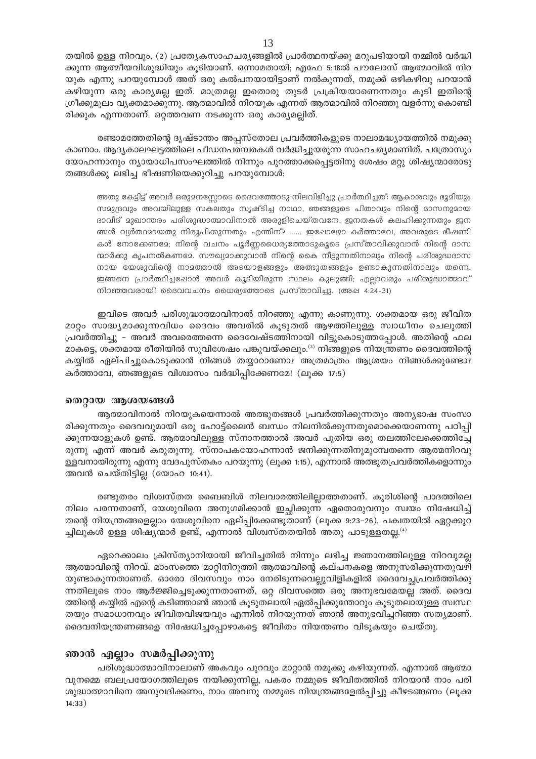തയിൽ ഉള്ള നിറവും, (2) പ്രത്യേകസാഹചര്യങ്ങളിൽ പ്രാർത്ഥനയ്ക്കു മറുപടിയായി നമ്മിൽ വർദ്ധി ക്കുന്ന ആത്മീയവിശുദ്ധിയും കൂടിയാണ്. ഒന്നാമതായി; എഫേ 5:18ൽ പൗലോസ് ആത്മാവിൽ നിറ യുക എന്നു പറയുമ്പോൾ അത് ഒരു കൽപനയായിട്ടാണ് നൽകുന്നത്, നമുക്ക് ഒഴികഴിവു പറയാൻ കഴിയുന്ന ഒരു കാര്യമല്ല ഇത്. മാത്രമല്ല ഇതൊരു തുടർ പ്രക്രിയയാണെന്നതും കൂടി ഇതിന്റെ ഗ്രീക്കുമൂലം വ്യക്തമാക്കുന്നു. ആത്മാവിൽ നിറയുക എന്നത് ആത്മാവിൽ നിറഞ്ഞു വളർന്നു കൊണ്ടി രിക്കുക എന്നതാണ്. ഒറ്റത്തവണ നടക്കുന്ന ഒരു കാര്യമല്ലിത്.

രണ്ടാമത്തേതിന്റെ ദൃഷ്ടാന്തം അപ്പസ്തോല പ്രവർത്തികളുടെ നാലാമദ്ധ്യായത്തിൽ നമുക്കു കാണാം. ആദ്യകാലഘട്ടത്തിലെ പീഡനപരമ്പരകൾ വർദ്ധിച്ചുയരുന്ന സാഹചര്യമാണിത്. പത്രോസും യോഹന്നാനും ന്യായാധിപസംഘത്തിൽ നിന്നും പുറത്താക്കപ്പെട്ടതിനു ശേഷം മറ്റു ശിഷ്യന്മാരോടു തങ്ങൾക്കു ലഭിച്ച ഭീഷണിയെക്കുറിച്ചു പറയുമ്പോൾ:

അതു കേട്ടിട്ട് അവർ ഒരുമനസ്സോടെ ദൈവത്തോടു നിലവിളിച്ചു പ്രാർത്ഥിച്ചത്: ആകാശവും ഭൂമിയും സമുദ്രവും അവയിലുള്ള സകലതും സൃഷ്ടിച്ച നാഥാ, ഞങ്ങളുടെ പിതാവും നിന്റെ ദാസനുമായ ദാവീദ് മുഖാന്തരം പരിശുദ്ധാത്മാവിനാൽ അരുളിചെയ്തവനേ, ജനതകൾ കലഹിക്കുന്നതും ജന ങ്ങൾ വ്യർത്ഥമായതു നിരൂപിക്കുന്നതും എന്തിന്? ...... ഇപ്പോഴ്യോ കർത്താവേ, അവരുടെ ഭീഷണി കൾ നോക്കേണമേ; നിന്റെ വചനം പൂർണ്ണധൈര്യത്തോടുകൂടെ പ്രസ്താവിക്കുവാൻ നിന്റെ ദാസ ന്മാർക്കു കൃപനൽകണമേ. സൗഖ്യമാക്കുവാൻ നിന്റെ കൈ നീട്ടുന്നതിനാലും നിന്റെ പരിശുദ്ധദാസ നായ യേശുവിന്റെ നാമത്താൽ അടയാളങ്ങളും അത്ഭുതങ്ങളും ഉണ്ടാകുന്നതിനാലും തന്നെ. ഇങ്ങനെ പ്രാർത്ഥിച്ചപ്പോൾ അവർ കൂടിയിരുന്ന സ്ഥലം കുലുങ്ങി; എല്ലാവരും പരിശുദ്ധാത്മാവ് നിറഞ്ഞവരായി ദൈവവചനം ധൈര്യത്തോടെ പ്രസ്താവിച്ചു. (അഷ 4:24-31)

ഇവിടെ അവർ പരിശുദ്ധാത്മാവിനാൽ നിറഞ്ഞു എന്നു കാണുന്നു. ശക്തമായ ഒരു ജീവിത മാറ്റം സാദ്ധ്യമാക്കുന്നവിധം ദൈവം അവരിൽ കൂടുതൽ ആഴത്തിലുള്ള സ്വാധീനം ചെലുത്തി പ്രവർത്തിച്ചു - അവർ അവരെത്തന്നെ ദൈവേഷ്ടത്തിനായി വിട്ടുകൊടുത്തപ്പോൾ. അതിന്റെ ഫല മാകട്ടെ, ശക്തമായ രീതിയിൽ സുവിശേഷം പങ്കുവയ്ക്കലും.<sup>ദ)</sup> നിങ്ങളുടെ നിയന്ത്രണം ദൈവത്തിന്റെ കയ്യിൽ ഏല്പിച്ചുകൊടുക്കാൻ നിങ്ങൾ തയ്യാറാണോ? അത്രമാത്രം ആശ്രയം നിങ്ങൾക്കുണ്ടോ? കർത്താവേ, ഞങ്ങളുടെ വിശ്വാസം വർദ്ധിപ്പിക്കേണമേ! (ലൂക്ക 17:5)

#### തെറ്റായ ആശയങ്ങൾ

ആത്മാവിനാൽ നിറയുകയെന്നാൽ അത്ഭുതങ്ങൾ പ്രവർത്തിക്കുന്നതും അന്യഭാഷ സംസാ രിക്കുന്നതും ദൈവവുമായി ഒരു ഹോട്ട്ലൈൻ ബന്ധം നിലനിൽക്കുന്നതുമൊക്കെയാണന്നു പഠിപ്പി ക്കുന്നയാളുകൾ ഉണ്ട്. ആത്മാവിലുള്ള സ്നാനത്താൽ അവർ പുതിയ ഒരു തലത്തിലേക്കെത്തിച്ചേ രുന്നു എന്ന് അവർ കരുതുന്നു. സ്നാപകയോഹന്നാൻ ജനിക്കുന്നതിനുമുമ്പേതന്നെ ആത്മനിറവു ള്ളവനായിരുന്നു എന്നു വേദപുസ്തകം പറയുന്നു (ലൂക്ക 1:15), എന്നാൽ അത്ഭുതപ്രവർത്തികളൊന്നും അവൻ ചെയ്തിട്ടില്ല (യോഹ 10:41).

രണ്ടുതരം വിശ്വസ്തത ബൈബിൾ നിലവാരത്തിലില്ലാത്തതാണ്. കുരിശിന്റെ പാദത്തിലെ നിലം പരന്നതാണ്, യേശുവിനെ അനുഗമിക്കാൻ ഇച്ചിക്കുന്ന ഏതൊരുവനും സ്വയം നിഷേധിച്ച് തന്റെ നിയന്ത്രങ്ങളെല്ലാം യേശുവിനെ ഏല്പ്പിക്കേണ്ടുതാണ് (ലൂക്ക 9:23–26). പക്വതയിൽ ഏറ്റക്കുറ ച്ചിലുകൾ ഉള്ള ശിഷ്യന്മാർ ഉണ്ട്, എന്നാൽ വിശ്വസ്തതയിൽ അതു പാടുള്ളതല്ല. $^{(4)}$ 

ഏറെക്കാലം ക്രിസ്ത്യാനിയായി ജീവിച്ചതിൽ നിന്നും ലഭിച്ച ജ്ഞാനത്തിലുള്ള നിറവുമല്ല ആത്മാവിന്റെ നിറവ്. മാംസത്തെ മാറ്റിനിറുത്തി ആത്മാവിന്റെ കല്പനകളെ അനുസരിക്കുന്നതുവഴി യുണ്ടാകുന്നതാണത്. ഓരോ ദിവസവും നാം നേരിടുന്നവെല്ലുവിളികളിൽ ദൈവേച്ചപ്രവർത്തിക്കു ന്നതിലൂടെ നാം ആർജ്ജിച്ചെടുക്കുന്നതാണത്, ഒറ്റ ദിവസത്തെ ഒരു അനുഭവമേയല്ല അത്. ദൈവ ത്തിന്റെ കയ്യിൽ എന്റെ കടിഞ്ഞാൺ ഞാൻ കൂടുതലായി ഏൽപ്പിക്കുന്തോറും കൂടുതലായുള്ള സ്വസ്ഥ തയും സമാധാനവും ജീവിതവിജയവും എന്നിൽ നിറയുന്നത് ഞാൻ അനുഭവിച്ചറിഞ്ഞ സത്യമാണ്. ദൈവനിയന്ത്രണങ്ങളെ നിഷേധിച്ചപ്പോഴാകട്ടെ ജീവിതം നിയന്തണം വിടുകയും ചെയ്തു.

#### ഞാൻ എല്ലാം സമർപ്പിക്കുന്നു

പരിശുദ്ധാത്മാവിനാലാണ് അകവും പുറവും മാറ്റാൻ നമുക്കു കഴിയുന്നത്. എന്നാൽ ആത്മാ വുനമ്മെ ബലപ്രയോഗത്തിലൂടെ നയിക്കുന്നില്ല, പകരം നമ്മുടെ ജീവിതത്തിൽ നിറയാൻ നാം പരി ശുദ്ധാത്മാവിനെ അനുവദിക്കണം, നാം അവനു നമ്മുടെ നിയന്ത്രങ്ങളേൽപ്പിച്ചു കീഴടങ്ങണം (ലൂക്ക  $14:33)$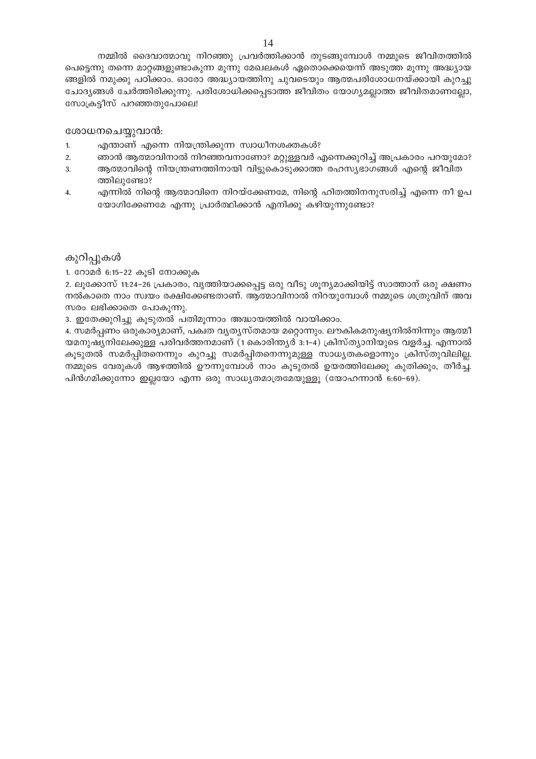നമ്മിൽ ദൈവാത്മാവു നിറഞ്ഞു പ്രവർത്തിക്കാൻ തുടങ്ങുമ്പോൾ നമ്മുടെ ജീവിതത്തിൽ പെട്ടെന്നു തന്നെ മാറ്റങ്ങളുണ്ടാകുന്ന മൂന്നു മേഖലകൾ ഏതൊക്കെയെന്ന് അടുത്ത മൂന്നു അദ്ധ്യായ ങ്ങളിൽ നമുക്കു പഠിക്കാം. ഓരോ അദ്ധ്യായത്തിനു ചുവടെയും ആത്മപരിശോധനയ്ക്കായി കുറച്ചു ചോദ്യങ്ങൾ ചേർത്തിരിക്കുന്നു. പരിശോധിക്കപ്പെടാത്ത ജീവിതം യോഗ്യമല്ലാത്ത ജീവിതമാണല്ലോ, സോക്രട്ടീസ് പറഞ്ഞതുപോലെ!

#### ശോധനചെയ്യുവാൻ:

- എന്താണ് എന്നെ നിയന്ത്രിക്കുന്ന സ്വാധീനശക്തകൾ?  $1.$
- ഞാൻ ആത്മാവിനാൽ നിറഞ്ഞവനാണോ? മറ്റുള്ളവർ എന്നെക്കുറിച്ച് അപ്രകാരം പറയുമോ?  $\overline{2}$ .
- ആത്മാവിന്റെ നിയന്ത്രണത്തിനായി വിട്ടുകൊടുക്കാത്ത രഹസ്യഭാഗങ്ങൾ എന്റെ ജീവിത 3. ത്തിലുണ്ടോ?
- $\overline{4}$ . എന്നിൽ നിന്റെ ആത്മാവിനെ നിറയ്ക്കേണമേ, നിന്റെ ഹിതത്തിനനുസരിച്ച് എന്നെ നീ ഉപ യോഗിക്കേണമേ എന്നു പ്രാർത്ഥിക്കാൻ എനിക്കു കഴിയുന്നുണ്ടോ?

#### കുറിപ്പുകൾ

1. റോമർ 6:15–22 കൂടി നോക്കുക

2. ലൂക്കോസ് 11:24–26 പ്രകാരം, വൃത്തിയാക്കപ്പെട്ട ഒരു വീടു ശൂന്യമാക്കിയിട്ട് സാത്താന് ഒരു ക്ഷണം നൽകാതെ നാം സ്വയം രക്ഷിക്കേണ്ടതാണ്. ആത്മാവിനാൽ നിറയുമ്പോൾ നമ്മുടെ ശത്രുവിന് അവ സരം ലഭിക്കാതെ പോകുന്നു.

3. ഇതേക്കുറിച്ചു കൂടുതൽ പതിമൂന്നാം അദ്ധായത്തിൽ വായിക്കാം.

4. സമർപ്പണം ഒരുകാര്യമാണ്, പക്വത വ്യത്യസ്തമായ മറ്റൊന്നും. ലൗകികമനുഷ്യനിൽനിന്നും ആത്മീ യമനുഷ്യനിലേക്കുള്ള പരിവർത്തനമാണ് (1 കൊരിന്ത്യർ 3:1-4) ക്രിസ്ത്യാനിയുടെ വളർച്ച. എന്നാൽ കൂടുതൽ സമർപ്പിതനെന്നും കുറച്ചു സമർപ്പിതനെന്നുമുള്ള സാധ്യതകളൊന്നും ക്രിസ്തുവിലില്ല. നമ്മുടെ വേരുകൾ ആഴത്തിൽ ഊന്നുമ്പോൾ നാം കൂടുതൽ ഉയരത്തിലേക്കു കുതിക്കും, തീർച്ച. പിൻഗമിക്കുന്നോ ഇല്ലയോ എന്ന ഒരു സാധ്യതമാത്രമേയുള്ളൂ (യോഹന്നാൻ 6:60–69).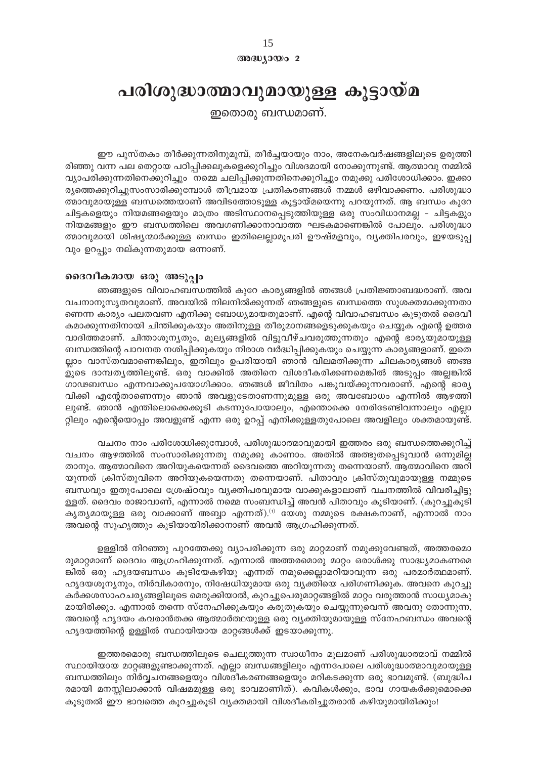അദ്ധ്യായം 2

## പരിശുദ്ധാത്മാവുമായുള്ള കൂട്ടായ്മ

ഇതൊരു ബന്ധമാണ്.

ഈ പുസ്തകം തീർക്കുന്നതിനുമുമ്പ്, തീർച്ചയായും നാം, അനേകവർഷങ്ങളിലൂടെ ഉരുത്തി രിഞ്ഞു വന്ന പല തെറ്റായ പഠിപ്പിക്കലുകളെക്കുറിച്ചും വിശദമായി നോക്കുന്നുണ്ട്. ആത്മാവു നമ്മിൽ വ്യാപരിക്കുന്നതിനെക്കുറിച്ചും നമ്മെ ചലിപ്പിക്കുന്നതിനെക്കുറിച്ചും നമുക്കു പരിശോധിക്കാം. ഇക്കാ ര്യത്തെക്കുറിച്ചുസംസാരിക്കുമ്പോൾ തീവ്രമായ പ്രതികരണങ്ങൾ നമ്മൾ ഒഴിവാക്കണം. പരിശുദ്ധാ ത്മാവുമായുള്ള ബന്ധത്തെയാണ് അവിടത്തോടുള്ള കൂട്ടായ്മയെന്നു പറയുന്നത്. ആ ബന്ധം കുറേ ചിട്ടകളെയും നിയമങ്ങളെയും മാത്രം അടിസ്ഥാനപ്പെടുത്തിയുള്ള ഒരു സംവിധാനമല്ല – ചിട്ടകളും നിയമങ്ങളും ഈ ബന്ധത്തിലെ അവഗണിക്കാനാവാത്ത ഘടകമാണെങ്കിൽ പോലും. പരിശുദ്ധാ ത്മാവുമായി ശിഷ്യന്മാർക്കുള്ള ബന്ധം ഇതിലെല്ലാമുപരി ഊഷ്മളവും, വ്യക്തിപരവും, ഇഴയടുപ്പ വും ഉറപ്പും നല്കുന്നതുമായ ഒന്നാണ്.

#### ദൈവീകമായ ഒരു അടുപ്പം

ഞങ്ങളുടെ വിവാഹബന്ധത്തിൽ കുറേ കാര്യങ്ങളിൽ ഞങ്ങൾ പ്രതിജ്ഞാബദ്ധരാണ്. അവ വചനാനുസൃതവുമാണ്. അവയിൽ നിലനിൽക്കുന്നത് ഞങ്ങളുടെ ബന്ധത്തെ സുശക്തമാക്കുന്നതാ ണെന്ന കാര്യം പലതവണ എനിക്കു ബോധ്യമായതുമാണ്. എന്റെ വിവാഹബന്ധം കൂടുതൽ ദൈവീ കമാക്കുന്നതിനായി ചിന്തിക്കുകയും അതിനുള്ള തീരുമാനങ്ങളെടുക്കുകയും ചെയ്യുക എന്റെ ഉത്തര വാദിത്തമാണ്. ചിന്താശൂന്യതും, മൂല്യങ്ങളിൽ വിട്ടുവീഴ്ചവരുത്തുന്നതും എന്റെ ഭാര്യയുമായുള്ള ബന്ധത്തിന്റെ പാവനത നശിപ്പിക്കുകയും നിരാശ വർദ്ധിപ്പിക്കുകയും ചെയ്യുന്ന കാര്യങ്ങളാണ്. ഇതെ ല്ലാം വാസ്തവമാണെങ്കിലും, ഇതിലും ഉപരിയായി ഞാൻ വിലമതിക്കുന്ന ചിലകാര്യങ്ങൾ ഞങ്ങ ളുടെ ദാമ്പത്യത്തിലുണ്ട്. ഒരു വാക്കിൽ അതിനെ വിശദീകരിക്കണമെങ്കിൽ അടുപ്പം അല്ലങ്കിൽ ഗാഢബന്ധം എന്നവാക്കുപയോഗിക്കാം. ഞങ്ങൾ ജീവിതം പങ്കുവയ്ക്കുന്നവരാണ്. എന്റെ ഭാര്യ വിക്കി എന്റേതാണെന്നും ഞാൻ അവളുടേതാണന്നുമുള്ള ഒരു അവബോധം എന്നിൽ ആഴത്തി ലുണ്ട്. ഞാൻ എന്തിലൊക്കെക്കൂടി കടന്നുപോയാലും, എന്തൊക്കെ നേരിടേണ്ടിവന്നാലും എല്ലാ റ്റിലും എന്റെയൊപ്പം അവളുണ്ട് എന്ന ഒരു ഉറപ്പ് എനിക്കുള്ളതുപോലെ അവളിലും ശക്തമായുണ്ട്.

വചനം നാം പരിശോധിക്കുമ്പോൾ, പരിശുദ്ധാത്മാവുമായി ഇത്തരം ഒരു ബന്ധത്തെക്കുറിച്ച് വചനം ആഴത്തിൽ സംസാരിക്കുന്നതു നമുക്കു കാണാം. അതിൽ അത്ഭുതപ്പെടുവാൻ ഒന്നുമില്ല താനും. ആത്മാവിനെ അറിയുകയെന്നത് ദൈവത്തെ അറിയുന്നതു തന്നെയാണ്. ആത്മാവിനെ അറി യുന്നത് ക്രിസ്തുവിനെ അറിയുകയെന്നതു തന്നെയാണ്. പിതാവും ക്രിസ്തുവുമായുള്ള നമ്മുടെ ബന്ധവും ഇതുപോലെ ശ്രേഷ്ഠവും വ്യക്തിപരവുമായ വാക്കുകളാലാണ് വചനത്തിൽ വിവരിച്ചിട്ടു ള്ളത്. ദൈവം രാജാവാണ്, എന്നാൽ നമ്മെ സംബന്ധിച്ച് അവൻ പിതാവും കൂടിയാണ്. (കുറച്ചുകൂടി കൃത്യമായുള്ള ഒരു വാക്കാണ് അബ്ബാ എന്നത്).<sup>ന</sup>യേശു നമ്മുടെ രക്ഷകനാണ്, എന്നാൽ നാം അവന്റെ സുഹൃത്തും കൂടിയായിരിക്കാനാണ് അവൻ ആഗ്രഹിക്കുന്നത്.

ഉള്ളിൽ നിറഞ്ഞു പുറത്തേക്കു വ്യാപരിക്കുന്ന ഒരു മാറ്റമാണ് നമുക്കുവേണ്ടത്, അത്തരമൊ രുമാറ്റമാണ് ദൈവം ആഗ്രഹിക്കുന്നത്. എന്നാൽ അത്തരമൊരു മാറ്റം ഒരാൾക്കു സാദ്ധ്യമാകണമെ ങ്കിൽ ഒരു ഹൃദയബന്ധം കൂടിയേകഴിയൂ എന്നത് നമുക്കെല്ലാമറിയാവുന്ന ഒരു പരമാർത്ഥമാണ്. ഹൃദയശൂന്യനും, നിർവികാരനും, നിഷേധിയുമായ ഒരു വ്യക്തിയെ പരിഗണിക്കുക. അവനെ കുറച്ചു കർക്കശസാഹചര്യങ്ങളിലൂടെ മെരുക്കിയാൽ, കുറച്ചുപെരുമാറ്റങ്ങളിൽ മാറ്റം വരുത്താൻ സാധ്യമാകു മായിരിക്കും. എന്നാൽ തന്നെ സ്നേഹിക്കുകയും കരുതുകയും ചെയ്യുന്നുവെന്ന് അവനു തോന്നുന്ന, അവന്റെ ഹൃദയം കവരാൻതക്ക ആത്മാർത്ഥയുള്ള ഒരു വൃക്തിയുമായുള്ള സ്നേഹബന്ധം അവന്റെ ഹൃദയത്തിന്റെ ഉള്ളിൽ സ്ഥായിയായ മാറ്റങ്ങൾക്ക് ഇടയാക്കുന്നു.

ഇത്തരമൊരു ബന്ധത്തിലൂടെ ചെലുത്തുന്ന സ്വാധീനം മൂലമാണ് പരിശുദ്ധാത്മാവ് നമ്മിൽ സ്ഥായിയായ മാറ്റങ്ങളുണ്ടാക്കുന്നത്. എല്ലാ ബന്ധങ്ങളിലും എന്നപോലെ പരിശുദ്ധാത്മാവുമായുള്ള ബന്ധത്തിലും നിർവ്വചനങ്ങളെയും വിശദീകരണങ്ങളെയും മറികടക്കുന്ന ഒരു ഭാവമുണ്ട്. (ബുദ്ധിപ രമായി മനസ്സിലാക്കാൻ വിഷമമുള്ള ഒരു ഭാവമാണിത്). കവികൾക്കും, ഭാവ ഗായകർക്കുമൊക്കെ കൂടുതൽ ഈ ഭാവത്തെ കൂറച്ചുകൂടി വ്യക്തമായി വിശദീകരിച്ചുതരാൻ കഴിയുമായിരിക്കും!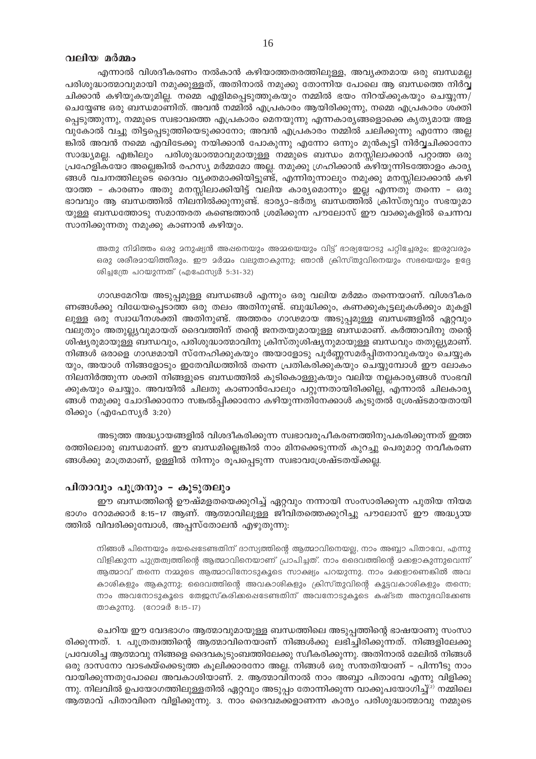#### വലിയ മർമ്മം

എന്നാൽ വിശദീകരണം നൽകാൻ കഴിയാത്തതരത്തിലുള്ള, അവൃക്തമായ ഒരു ബന്ധമല്ല പരിശുദ്ധാത്മാവുമായി നമുക്കുള്ളത്, അതിനാൽ നമുക്കു തോന്നിയ പോലെ ആ ബന്ധത്തെ നിർവ്വ ചിക്കാൻ കഴിയുകയുമില്ല. നമ്മെ എളിമപ്പെടുത്തുകയും നമ്മിൽ ഭയം നിറയ്ക്കുകയും ചെയ്യുന്ന $/$ ചെയ്യേണ്ട ഒരു ബന്ധമാണിത്. അവൻ നമ്മിൽ എപ്രകാരം ആയിരിക്കുന്നു, നമ്മെ എപ്രകാരം ശക്തി പ്പെടുത്തുന്നു, നമ്മുടെ സ്വഭാവത്തെ എപ്രകാരം മെനയുന്നു എന്നകാര്യങ്ങളൊക്കെ കൃത്യമായ അള വുകോൽ വച്ചു തിട്ടപ്പെടുത്തിയെടുക്കാനോ; അവൻ എപ്രകാരം നമ്മിൽ ചലിക്കുന്നു എന്നോ അല്ല ങ്കിൽ അവൻ നമ്മെ എവിടേക്കു നയിക്കാൻ പോകുന്നു എന്നോ ഒന്നും മുൻകൂട്ടി നിർവ്വചിക്കാനോ സാദ്ധ്യമല്ല. എങ്കിലും പരിശുദ്ധാത്മാവുമായുള്ള നമ്മുടെ ബന്ധം മനസ്സിലാക്കാൻ പറ്റാത്ത ഒരു പ്രഹേളികയോ അല്ലെങ്കിൽ രഹസ്യ മർമ്മമോ അല്ല. നമുക്കു ഗ്രഹിക്കാൻ കഴിയുന്നിടത്തോളം കാര്യ ങ്ങൾ വചനത്തിലൂടെ ദൈവം വ്യക്തമാക്കിയിട്ടുണ്ട്, എന്നിരുന്നാലും നമുക്കു മനസ്സിലാക്കാൻ കഴി യാത്ത - കാരണം അതു മനസ്സിലാക്കിയിട്ട് വലിയ കാര്യമൊന്നും ഇല്ല എന്നതു തന്നെ - ഒരു ഭാവവും ആ ബന്ധത്തിൽ നിലനിൽക്കുന്നുണ്ട്. ഭാര്യാ–ഭർതൃ ബന്ധത്തിൽ ക്രിസ്തുവും സഭയുമാ യുള്ള ബന്ധത്തോടു സമാന്തരത കണ്ടെത്താൻ ശ്രമിക്കുന്ന പൗലോസ് ഈ വാക്കുകളിൽ ചെന്നവ സാനിക്കുന്നതു നമുക്കു കാണാൻ കഴിയും.

അതു നിമിത്തം ഒരു മനുഷ്യൻ അഷനെയും അമ്മയെയും വിട്ട് ഭാര്യയോടു പറ്റിച്ചേരും; ഇരുവരും ഒരു ശരീരമായിത്തീരും. ഈ മർമ്മം വലുതാകുന്നു; ഞാൻ ക്രിസ്തുവിനെയും സഭയെയും ഉദ്ദേ ശിച്ചത്രേ പറയുന്നത് (എഫേസ്യർ 5:31-32)

ഗാഢമേറിയ അടുപ്പമുള്ള ബന്ധങ്ങൾ എന്നും ഒരു വലിയ മർമ്മം തന്നെയാണ്. വിശദീകര ണങ്ങൾക്കു വിധേയപ്പെടാത്ത ഒരു തലം അതിനുണ്ട്. ബുദ്ധിക്കും, കണക്കുകൂട്ടലുകൾക്കും മുകളി ലുള്ള ഒരു സ്വാധീനശക്തി അതിനുണ്ട്. അത്തരം ഗാഢമായ അടുപ്പമുള്ള ബന്ധങ്ങളിൽ ഏറ്റവും വലുതും അതുല്ല്യവുമായത് ദൈവത്തിന് തന്റെ ജനതയുമായുള്ള ബന്ധമാണ്. കർത്താവിനു തന്റെ ശിഷ്യരുമായുള്ള ബന്ധവും, പരിശുദ്ധാത്മാവിനു ക്രിസ്തുശിഷ്യനുമായുള്ള ബന്ധവും തതുല്ല്യമാണ്. നിങ്ങൾ ഒരാളെ ഗാഢമായി സ്നേഹിക്കുകയും അയാളോടു പൂർണ്ണസമർപ്പിതനാവുകയും ചെയ്യുക യും, അയാൾ നിങ്ങളോടും ഇതേവിധത്തിൽ തന്നെ പ്രതികരിക്കുകയും ചെയ്യുമ്പോൾ ഈ ലോകം നിലനിർത്തുന്ന ശക്തി നിങ്ങളുടെ ബന്ധത്തിൽ കുടികൊള്ളുകയും വലിയ നല്ലകാര്യങ്ങൾ സംഭവി ക്കുകയും ചെയ്യും. അവയിൽ ചിലതു കാണാൻപോലും പറ്റുന്നതായിരിക്കില്ല, എന്നാൽ ചിലകാര്യ ങ്ങൾ നമുക്കു ചോദിക്കാനോ സങ്കൽപ്പിക്കാനോ കഴിയുന്നതിനേക്കാൾ കൂടുതൽ ശ്രേഷ്ടമായതായി രിക്കും (എഫേസ്യർ 3:20)

അടുത്ത അദ്ധ്യായങ്ങളിൽ വിശദീകരിക്കുന്ന സ്വഭാവരൂപീകരണത്തിനുപകരിക്കുന്നത് ഇത്ത രത്തിലൊരു ബന്ധമാണ്. ഈ ബന്ധമില്ലെങ്കിൽ നാം മിനക്കെടുന്നത് കുറച്ചു പെരുമാറ്റ നവീകരണ ങ്ങൾക്കു മാത്രമാണ്, ഉള്ളിൽ നിന്നും രൂപപ്പെടുന്ന സ്വഭാവശ്രേഷ്ടതയ്ക്കല്ല.

#### പിതാവും പുത്രനും - കൂടുതലും

ഈ ബന്ധത്തിന്റെ ഊഷ്മളതയെക്കുറിച്ച് ഏറ്റവും നന്നായി സംസാരിക്കുന്ന പുതിയ നിയമ ഭാഗം റോമക്കാർ 8:15-17 ആണ്. ആത്മാവിലുള്ള ജീവിതത്തെക്കുറിച്ചു പൗലോസ് ഈ അദ്ധ്യായ ത്തിൽ വിവരിക്കുമ്പോൾ, അപ്പസ്തോലൻ എഴുതുന്നു:

നിങ്ങൾ പിന്നെയും ഭയപ്പെടേണ്ടതിന് ദാസ്യത്തിന്റെ ആത്മാവിനെയല്ല, നാം അബ്ബാ പിതാവേ, എന്നു വിളിക്കുന്ന പുത്രത്വത്തിന്റെ ആത്മാവിനെയാണ് പ്രാപിച്ചത്. നാം ദൈവത്തിന്റെ മക്കളാകുന്നുവെന്ന് ആത്മാവ് തന്നെ നമ്മുടെ ആത്മാവിനോടുകൂടെ സാക്ഷ്യം പറയുന്നു. നാം മക്കളാണെങ്കിൽ അവ കാശികളും ആകുന്നു; ദൈവത്തിന്റെ അവകാശികളും ക്രിസ്തുവിന്റെ കൂട്ടവകാശികളും തന്നെ; നാം അവനോടുകൂടെ തേജസ്കരിക്കഷെടേണ്ടതിന് അവനോടുകൂടെ കഷ്ടത അനുഭവിക്കേണ്ട താകുന്നു. (റോമർ 8:15-17)

ചെറിയ ഈ വേദഭാഗം ആത്മാവുമായുള്ള ബന്ധത്തിലെ അടുപ്പത്തിന്റെ ഭാഷയാണു സംസാ രിക്കുന്നത്. 1. പുത്രത്വത്തിന്റെ ആത്മാവിനെയാണ് നിങ്ങൾക്കു ലഭിച്ചിരിക്കുന്നത്. നിങ്ങളിലേക്കു പ്രവേശിച്ച ആത്മാവു നിങ്ങളെ ദൈവകുടുംബത്തിലേക്കു സ്വീകരിക്കുന്നു. അതിനാൽ മേലിൽ നിങ്ങൾ ഒരു ദാസനോ വാടക്യ്ക്കെടുത്ത കുലിക്കാരനോ അല്ല. നിങ്ങൾ ഒരു സന്തതിയാണ് – പിന്നീടു നാം വായിക്കുന്നതുപോലെ അവകാശിയാണ്. 2. ആത്മാവിനാൽ നാം അബ്ബാ പിതാവേ എന്നു വിളിക്കു ന്നു. നിലവിൽ ഉപയോഗത്തിലുള്ളതിൽ ഏറ്റവും അടുപ്പം തോന്നിക്കുന്ന വാക്കുപയോഗിച്ച്<sup>(2)</sup> നമ്മിലെ ആത്മാവ് പിതാവിനെ വിളിക്കുന്നു. 3. നാം ദൈവമക്കളാണന്ന കാര്യം പരിശുദ്ധാത്മാവു നമ്മുടെ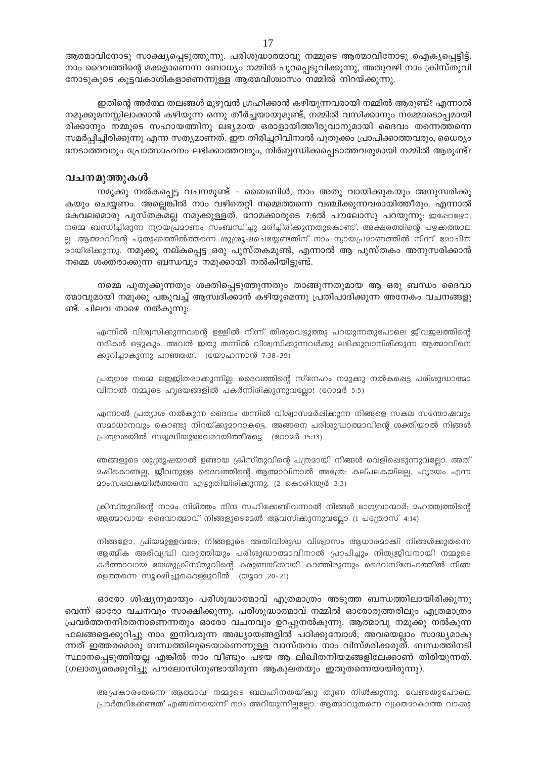ആത്മാവിനോടു സാക്ഷ്യപ്പെടുത്തുന്നു. പരിശുദ്ധാത്മാവു നമ്മുടെ ആത്മാവിനോടു ഐക്യപ്പെട്ടിട്ട്, നാം ദൈവത്തിന്റെ മക്കളാണെന്ന ബോധ്യം നമ്മിൽ പുറപ്പെടുവിക്കുന്നു, അതുവഴി നാം ക്രിസ്തുവി നോടുകൂടെ കൂട്ടവകാശികളാണെന്നുള്ള ആത്മവിശ്വാസം നമ്മിൽ നിറയ്ക്കുന്നു.

ഇതിന്റെ അർത്ഥ തലങ്ങൾ മുഴുവൻ ഗ്രഹിക്കാൻ കഴിയുന്നവരായി നമ്മിൽ ആരുണ്ട്? എന്നാൽ നമുക്കുമനസ്സിലാക്കാൻ കഴിയുന്ന ഒന്നു തീർച്ചയായുമുണ്ട്, നമ്മിൽ വസിക്കാനും നമ്മോടൊപ്പമായി രിക്കാനും നമ്മുടെ സഹായത്തിനു ലഭ്യമായ ഒരാളായിത്തീരുവാനുമായി ദൈവം തന്നെത്തന്നെ സമർപ്പിച്ചിരിക്കുന്നു എന്ന സത്യമാണത്. ഈ തിരിച്ചറിവിനാൽ പുതുക്കം പ്രാപിക്കാത്തവരും, ധൈര്യം നേടാത്തവരും പ്രോത്സാഹനം ലഭിക്കാത്തവരും, നിർബൃന്ധിക്കപ്പെടാത്തവരുമായി നമ്മിൽ ആരുണ്ട്?

#### വചനമുത്തുകൾ

നമുക്കു നൽകപ്പെട്ട വചനമുണ്ട് – ബൈബിൾ, നാം അതു വായിക്കുകയും അനുസരിക്കു കയും ചെയ്യണം. അല്ലെങ്കിൽ നാം വഴിതെറ്റി നമ്മെത്തന്നെ വഞ്ചിക്കുന്നവരായിത്തീരും. എന്നാൽ കേവലമൊരു പുസ്തകമല്ല നമുക്കുള്ളത്. റോമക്കാരുടെ 7:6ൽ പൗലോസു പറയുന്നു: ഇഷോഴോ, നമ്മെ ബന്ധിച്ചിരുന്ന ന്യായപ്രമാണം സംബന്ധിച്ചു മരിച്ചിരിക്കുന്നതുകൊണ്ട്, അക്ഷരത്തിന്റെ പഴക്കത്താല ല്ല, ആത്മാവിന്റെ പുതുക്കത്തിൽത്തന്നെ ശുശ്രൂഷചെയ്യേണ്ടതിന് നാം ന്യായപ്രമാണത്തിൽ നിന്ന് മോചിത രായിരിക്കുന്നു. നമുക്കു നല്കപ്പെട്ട ഒരു പുസ്തകമുണ്ട്, എന്നാൽ ആ പുസ്തകം അനുസരിക്കാൻ നമ്മെ ശക്തരാക്കുന്ന ബന്ധവും നമുക്കായി നൽകിയിട്ടുണ്ട്.

നമ്മെ പുതുക്കുന്നതും ശക്തിപെടുത്തുന്നതും താങ്ങുന്നതുമായ ആ ഒരു ബന്ധം ദൈവാ ത്മാവുമായി നമുക്കു പങ്കുവച്ച് ആസ്വദിക്കാൻ കഴിയുമെന്നു പ്രതിപാദിക്കുന്ന അനേകം വചനങ്ങളു ണ്ട്. ചിലവ താഴെ നൽകുന്നു:

എന്നിൽ വിശ്വസിക്കുന്നവന്റെ ഉള്ളിൽ നിന്ന് തിരുവെഴുത്തു പറയുന്നതുപോലെ ജീവജലത്തിന്റെ നദികൾ ഒഴ്ദുകും. അവൻ ഇതു തന്നിൽ വിശ്വസിക്കുന്നവർക്കു ലഭിക്കുവാനിരിക്കുന്ന ആത്മാവിനെ ക്കുറിച്ചാകുന്നു പറഞ്ഞത്. (യോഹന്നാൻ 7:38-39)

പ്രത്യാശ നമ്മെ ലജ്ജിതരാക്കുന്നില്ല; ദൈവത്തിന്റെ സ്നേഹം നമുക്കു നൽകപ്പെട്ട പരിശുദ്ധാത്മാ വിനാൽ നമ്മുടെ ഹൃദയങ്ങളിൽ പകർന്നിരിക്കുന്നുവല്ലോ! (റോമർ 5:5)

എന്നാൽ പ്രത്യാശ നൽകുന്ന ദൈവം തന്നിൽ വിശ്വാസമർഷിക്കുന്ന നിങ്ങളെ സകല സന്തോഷവും സമാധാനവും കൊണ്ടു നിറയ്ക്കുമാറാകട്ടെ. അങ്ങനെ പരിശുദ്ധാത്മാവിന്റെ ശക്തിയാൽ നിങ്ങൾ പ്രത്യാശയിൽ സമൃദ്ധിയുള്ളവരായിത്തീരട്ടെ (റോമർ 15:13)

ഞങ്ങളുടെ ശുശ്രൂഷയാൽ ഉണ്ടായ ക്രിസ്തുവിന്റെ പത്രമായി നിങ്ങൾ വെളിപ്പെടുന്നുവലോ. അത് മഷികൊണ്ടല്ല, ജീവനുള്ള ദൈവത്തിന്റെ ആത്മാവിനാൽ അത്രേ; കല്പലകയിലല്ല, ഹൃദയം എന്ന 2ാംസഷലകയിൽത്തന്നെ എഴുതിയിരിക്കുന്നു. (2 കൊരിന്ത്യർ 3:3)

ക്രിസ്തുവിന്റെ നാമം നിമിത്തം നിന്ദ സഹിക്കേണ്ടിവന്നാൽ നിങ്ങൾ ഭാഗ്യവാന്മാർ; മഹത്ത്വത്തിന്റെ ആത്മാവായ ദൈവാത്മാവ് നിങ്ങളുടെമേൽ ആവസിക്കുന്നുവല്ലോ (1 പത്രോസ് 4:14)

നിങ്ങളോ, പ്രിയമുള്ളവരേ, നിങ്ങളുടെ അതിവിശുദ്ധ വിശ്വാസം ആധാരമാക്കി നിങ്ങൾക്കുതന്നെ ആത്മീക അഭിവൃദ്ധി വരുത്തിയും പരിശുദ്ധാത്മാവിനാൽ പ്രാപിച്ചും നിത്യജീവനായി നമ്മുടെ കർത്താവായ യേശുക്രിസ്തുവിന്റെ കരുണയ്ക്കായി കാത്തിരുന്നും ദൈവസ്നേഹത്തിൽ നിങ്ങ ളെത്തന്നെ സുക്ഷിച്ചുകൊള്ളുവിൻ (യുദാ 20-21)

ഓരോ ശിഷ്യനുമായും പരിശുദ്ധാത്മാവ് എത്രമാത്രം അടുത്ത ബന്ധത്തിലായിരിക്കുന്നു വെന്ന് ഓരോ വചനവും സാക്ഷിക്കുന്നു. പരിശുദ്ധാത്മാവ് നമ്മിൽ ഓരോരുത്തരിലും എത്രമാത്രം പ്രവർത്തനനിരതനാണെന്നതും ഓരോ വചനവും ഉറപ്പുനൽകുന്നു. ആത്മാവു നമുക്കു നൽകുന്ന ഫലങ്ങളെക്കുറിച്ചു നാം ഇനിവരുന്ന അദ്ധ്യായങ്ങളിൽ പഠിക്കുമ്പോൾ, അവയെല്ലാം സാദ്ധ്യമാകു ന്നത് ഇത്തരമൊരു ബന്ധത്തിലൂടെയാണെന്നുള്ള വാസ്തവം നാം വിസ്മരിക്കരുത്. ബന്ധത്തിനടി സ്ഥാനപ്പെടുത്തിയല്ല എങ്കിൽ നാം വീണ്ടും പഴയ ആ ലിഖിതനിയമങ്ങളിലേക്കാണ് തിരിയുന്നത്. (ഗലാത്യരെക്കുറിച്ചു പൗലോസിനുണ്ടായിരുന്ന ആകുലതയും ഇതുതന്നെയായിരുന്നു).

അപ്രകാരംതന്നെ ആത്മാവ് നമ്മുടെ ബലഹീനതയ്ക്കു തുണ നിൽക്കുന്നു. വേണ്ടതുപോലെ പ്രാർത്ഥിക്കേണ്ടത് എങ്ങനെയെന്ന് നാം അറിയുന്നില്ലല്ലോ. ആത്മാവുതന്നെ വ്യക്തമാകാത്ത വാക്കു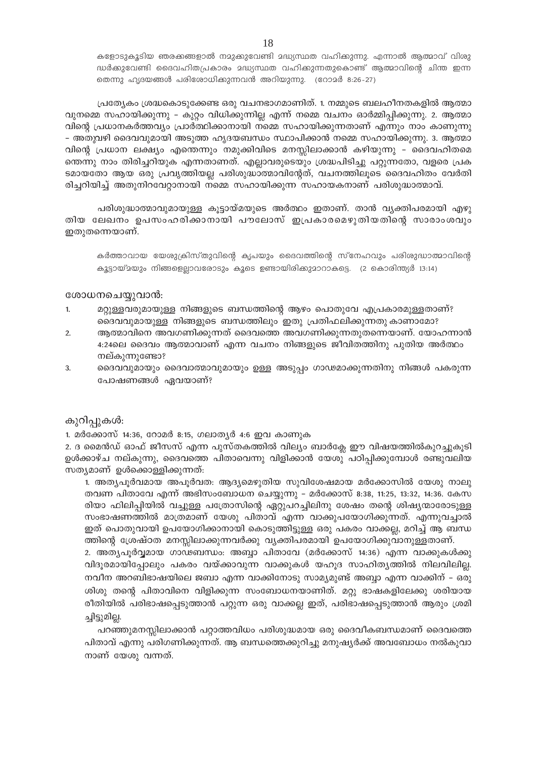കളോടുകൂടിയ ഞരക്കങ്ങളാൽ നമുക്കുവേണ്ടി മദ്ധ്യസ്ഥത വഹിക്കുന്നു. എന്നാൽ ആത്മാവ് വിശു ദ്ധർക്കുവേണ്ടി ദൈവഹിതപ്രകാരം മദ്ധ്യസ്ഥത വഹിക്കുന്നതുകൊണ്ട് ആത്മാവിന്റെ ചിന്ത ഇന്ന തെന്നു ഹൃദയങ്ങൾ പരിശോധിക്കുന്നവൻ അറിയുന്നു. (റോമർ 8:26-27)

പ്രത്യേകം ശ്രദ്ധകൊടുക്കേണ്ട ഒരു വചനഭാഗമാണിത്. 1. നമ്മുടെ ബലഹീനതകളിൽ ആത്മാ വുനമ്മെ സഹായിക്കുന്നു – കുറ്റം വിധിക്കുന്നില്ല എന്ന് നമ്മെ വചനം ഓർമ്മിപ്പിക്കുന്നു. 2. ആത്മാ വിന്റെ പ്രധാനകർത്തവ്യം പ്രാർത്ഥിക്കാനായി നമ്മെ സഹായിക്കുന്നതാണ് എന്നും നാം കാണുന്നു – അതുവഴി ദൈവവുമായി അടുത്ത ഹൃദയബന്ധം സ്ഥാപിക്കാൻ നമ്മെ സഹായിക്കുന്നു. 3. ആത്മാ വിന്റെ പ്രധാന ലക്ഷ്യം എത്തെന്നും നമുക്കിവിടെ മനസ്സിലാക്കാൻ കഴിയുന്നു – ദൈവഹിതമെ ത്തെന്നു നാം തിരിച്ചറിയുക എന്നതാണത്. എല്ലാവരുടെയും ശ്രദ്ധപിടിച്ചു പറ്റുന്നതോ, വളരെ പ്രക ടമായതോ ആയ ഒരു പ്രവൃത്തിയല്ല പരിശുദ്ധാത്മാവിന്റേത്, വചനത്തിലൂടെ ദൈവഹിതം വേർതി രിച്ചറിയിച്ച് അതുനിറവേറ്റാനായി നമ്മെ സഹായിക്കുന്ന സഹായകനാണ് പരിശുദ്ധാത്മാവ്.

പരിശുദ്ധാത്മാവുമായുള്ള കൂട്ടായ്മയുടെ അർത്ഥം ഇതാണ്. താൻ വ്യക്തിപരമായി എഴു തിയ ലേഖനം ഉപസംഹരിക്കാനായി പൗലോസ് ഇപ്രകാരമെഴുതിയതിന്റെ സാരാംശവും ഇതുതന്നെയാണ്.

കർത്താവായ യേശുക്രിസ്തുവിന്റെ കൃപയും ദൈവത്തിന്റെ സ്നേഹവും പരിശുദ്ധാത്മാവിന്റെ കൂട്ടായ്മയും നിങ്ങളെല്ലാവരോടും കൂടെ ഉണ്ടായിരിക്കുമാറാകട്ടെ. (2 കൊരിന്ത്യർ 13:14)

#### ശോധനചെയ്യുവാൻ:

- $1.$ മറ്റുള്ളവരുമായുള്ള നിങ്ങളുടെ ബന്ധത്തിന്റെ ആഴം പൊതുവേ എപ്രകാരമുള്ളതാണ്? ദൈവവുമായുള്ള നിങ്ങളുടെ ബന്ധത്തിലും ഇതു പ്രതിഫലിക്കുന്നതു കാണാമോ?
- ആത്മാവിനെ അവഗണിക്കുന്നത് ദൈവത്തെ അവഗണിക്കുന്നതുതന്നെയാണ്. യോഹന്നാൻ  $2.$ 4:24ലെ ദൈവം ആത്മാവാണ് എന്ന വചനം നിങ്ങളുടെ ജീവിതത്തിനു പുതിയ അർത്ഥം നല്കുന്നുണ്ടോ?
- ദൈവവുമായും ദൈവാത്മാവുമായും ഉള്ള അടുപ്പം ഗാഢമാക്കുന്നതിനു നിങ്ങൾ പകരുന്ന 3. പോഷണങ്ങൾ ഏവയാണ്?

#### കുറിപ്പുകൾ:

1. മർക്കോസ് 14:36, റോമർ 8:15, ഗലാതൃർ 4:6 ഇവ കാണുക

2. ദ മൈൻഡ് ഓഫ് ജീസസ് എന്ന പുസ്തകത്തിൽ വില്യം ബാർക്ലേ ഈ വിഷയത്തിൽകുറച്ചുകൂടി ഉൾക്കാഴ്ച നല്കുന്നു, ദൈവത്തെ പിതാവെന്നു വിളിക്കാൻ യേശു പഠിപ്പിക്കുമ്പോൾ രണ്ടുവലിയ സത്യമാണ് ഉൾക്കൊള്ളിക്കുന്നത്:

1. അത്യപൂർവമായ അപൂർവത: ആദ്യമെഴുതിയ സുവിശേഷമായ മർക്കോസിൽ യേശു നാലു തവണ പിതാവേ എന്ന് അഭിസംബോധന ചെയ്യുന്നു – മർക്കോസ് 8:38, 11:25, 13:32, 14:36. കേസ രിയാ ഫിലിപ്പിയിൽ വച്ചുള്ള പത്രോസിന്റെ ഏറ്റുപറച്ചിലിനു ശേഷം തന്റെ ശിഷ്യന്മാരോടുള്ള സംഭാഷണത്തിൽ മാത്രമാണ് യേശു പിതാവ് എന്ന വാക്കുപയോഗിക്കുന്നത്. എന്നുവച്ചാൽ ഇത് പൊതുവായി ഉപയോഗിക്കാനായി കൊടുത്തിട്ടുള്ള ഒരു പകരം വാക്കല്ല, മറിച്ച് ആ ബന്ധ ത്തിന്റെ ശ്രേഷ്ഠത മനസ്സിലാക്കുന്നവർക്കു വ്യക്തിപരമായി ഉപയോഗിക്കുവാനുള്ളതാണ്.

2. അത്യപൂർവ്വമായ ഗാഢബന്ധം: അബ്ബാ പിതാവേ (മർക്കോസ് 14:36) എന്ന വാക്കുകൾക്കു വിദൂരമായിപ്പോലും പകരം വയ്ക്കാവുന്ന വാക്കുകൾ യഹൂദ സാഹിതൃത്തിൽ നിലവിലില്ല. നവീന അറബിഭാഷയിലെ ജബാ എന്ന വാക്കിനോടു സാമ്യമുണ്ട് അബ്ബാ എന്ന വാക്കിന് – ഒരു ശിശു തന്റെ പിതാവിനെ വിളിക്കുന്ന സംബോധനയാണിത്. മറ്റു ഭാഷകളിലേക്കു ശരിയായ രീതിയിൽ പരിഭാഷപ്പെടുത്താൻ പറ്റുന്ന ഒരു വാക്കല്ല ഇത്, പരിഭാഷപ്പെടുത്താൻ ആരും ശ്രമി ച്ചിട്ടുമില്ല.

പറഞ്ഞുമനസ്സിലാക്കാൻ പറ്റാത്തവിധം പരിശുദ്ധമായ ഒരു ദൈവീകബന്ധമാണ് ദൈവത്തെ പിതാവ് എന്നു പരിഗണിക്കുന്നത്. ആ ബന്ധത്തെക്കുറിച്ചു മനുഷ്യർക്ക് അവബോധം നൽകുവാ നാണ് യേശു വന്നത്.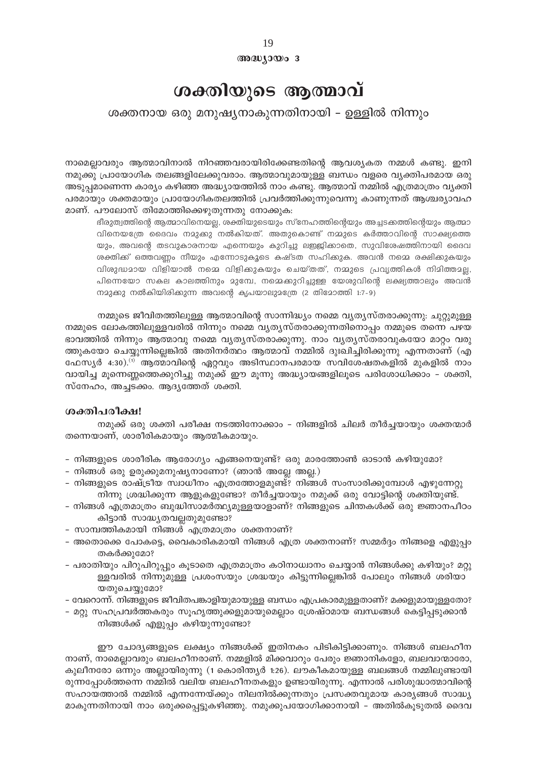#### അദ്ധ്യായം 3

## ശക്തിയുടെ ആത്മാവ്

### ശക്തനായ ഒരു മനുഷ്യനാകുന്നതിനായി – ഉള്ളിൽ നിന്നും

നാമെല്ലാവരും ആത്മാവിനാൽ നിറഞ്ഞവരായിരിക്കേണ്ടതിന്റെ ആവശ്യകത നമ്മൾ കണ്ടു. ഇനി നമുക്കു പ്രായോഗിക തലങ്ങളിലേക്കുവരാം. ആത്മാവുമായുള്ള ബന്ധം വളരെ വ്യക്തിപരമായ ഒരു അടുപ്പമാണെന്ന കാര്യം കഴിഞ്ഞ അദ്ധ്യായത്തിൽ നാം കണ്ടു. ആത്മാവ് നമ്മിൽ എത്രമാത്രം വ്യക്തി പരമായും ശക്തമായും പ്രായോഗികതലത്തിൽ പ്രവർത്തിക്കുന്നുവെന്നു കാണുന്നത് ആശ്ചര്യാവഹ മാണ്. പൗലോസ് തിമോത്തിക്കെഴുതുന്നതു നോക്കുക:

ഭീരുത്വത്തിന്റെ ആത്മാവിനെയല്ല, ശക്തിയുടെയും സ്നേഹത്തിന്റെയും അച്ചടക്കത്തിന്റെയും ആത്മാ വിനെയത്രേ ദൈവം നമുക്കു നൽകിയത്. അതുകൊണ്ട് നമ്മുടെ കർത്താവിന്റെ സാക്ഷ്യത്തെ യും, അവന്റെ തടവുകാരനായ എന്നെയും കുറിച്ചു ലഇജിക്കാതെ, സുവിശേഷത്തിനായി ദൈവ ശക്തിക്ക് ഒത്തവണ്ണം നീയും എന്നോടുകൂടെ കഷ്ടത സഹിക്കുക. അവൻ നമ്മെ രക്ഷിക്കുകയും വിശുദ്ധമായ വിളിയാൽ നമ്മെ വിളിക്കുകയും ചെയ്തത്, നമ്മുടെ പ്രവൃത്തികൾ നിമിത്തമല്ല, പിന്നെയോ സകല കാലത്തിനും മുമ്പേ, നമ്മെക്കുറിച്ചുള്ള യേശുവിന്റെ ലക്ഷ്യത്താലും അവൻ നമുക്കു നൽകിയിരിക്കുന്ന അവന്റെ കൃപയാലുമത്രേ (2 തിമോത്തി 1:7-9)

നമ്മുടെ ജീവിതത്തിലുള്ള ആത്മാവിന്റെ സാന്നിദ്ധ്യം നമ്മെ വ്യത്യസ്തരാക്കുന്നു: ചുറ്റുമുള്ള നമ്മുടെ ലോകത്തിലുള്ളവരിൽ നിന്നും നമ്മെ വ്യത്യസ്തരാക്കുന്നതിനൊപ്പം നമ്മുടെ തന്നെ പഴയ ഭാവത്തിൽ നിന്നും ആത്മാവു നമ്മെ വൃതൃസ്തരാക്കുന്നു. നാം വൃതൃസ്തരാവുകയോ മാറ്റം വരു ത്തുകയോ ചെയ്യുന്നില്ലെങ്കിൽ അതിനർത്ഥം ആത്മാവ് നമ്മിൽ ദുഃഖിച്ചിരിക്കുന്നു എന്നതാണ് (എ ഫേസ്യർ 4:30).<sup>(1)</sup> ആത്മാവിന്റെ ഏറ്റവും അടിസ്ഥാനപരമായ സവിശേഷതകളിൽ മുകളിൽ നാം വായിച്ച മൂന്നെണ്ണത്തെക്കുറിച്ചു നമുക്ക് ഈ മൂന്നു അദ്ധ്യായങ്ങളിലൂടെ പരിശോധിക്കാം - ശക്തി, സ്നേഹം, അച്ചടക്കം. ആദൃത്തേത് ശക്തി.

#### ശക്തിപരീക്ഷ!

നമുക്ക് ഒരു ശക്തി പരീക്ഷ നടത്തിനോക്കാം – നിങ്ങളിൽ ചിലർ തീർച്ചയായും ശക്തന്മാർ തന്നെയാണ്, ശാരീരികമായും ആത്മീകമായും.

- നിങ്ങളുടെ ശാരീരിക ആരോഗ്യം എങ്ങനെയുണ്ട്? ഒരു മാരത്തോൺ ഓടാൻ കഴിയുമോ?
- നിങ്ങൾ ഒരു ഉരുക്കുമനുഷ്യനാണോ? (ഞാൻ അല്ലേ അല്ല.)
- നിങ്ങളുടെ രാഷ്ട്രീയ സ്വാധീനം എത്രത്തോളമുണ്ട്? നിങ്ങൾ സംസാരിക്കുമ്പോൾ എഴുന്നേറ്റു നിന്നു ശ്രദ്ധിക്കുന്ന ആളുകളുണ്ടോ? തീർച്ചയായും നമുക്ക് ഒരു വോട്ടിന്റെ ശക്തിയുണ്ട്.
- നിങ്ങൾ എത്രമാത്രം ബുദ്ധിസാമർത്ഥ്യമുള്ളയാളാണ്? നിങ്ങളുടെ ചിന്തകൾക്ക് ഒരു ജ്ഞാനപീഠം കിട്ടാൻ സാദ്ധ്യതവല്ലതുമുണ്ടോ?
- സാമ്പത്തികമായി നിങ്ങൾ എത്രമാത്രം ശക്തനാണ്?
- അതൊക്കെ പോകട്ടെ, വൈകാരികമായി നിങ്ങൾ എത്ര ശക്തനാണ്? സമ്മർദ്ദം നിങ്ങളെ എളുപ്പം തകർക്കുമോ?
- പരാതിയും പിറുപിറുപ്പും കൂടാതെ എത്രമാത്രം കഠിനാധ്വാനം ചെയ്യാൻ നിങ്ങൾക്കു കഴിയും? മറ്റു ള്ളവരിൽ നിന്നുമുള്ള പ്രശംസയും ശ്രദ്ധയും കിട്ടുന്നില്ലെങ്കിൽ പോലും നിങ്ങൾ ശരിയാ യതുചെയ്യുമോ?
- വേറൊന്ന്. നിങ്ങളുടെ ജീവിതപങ്കാളിയുമായുള്ള ബന്ധം എപ്രകാരമുള്ളതാണ്? മക്കളുമായുള്ളതോ?
- മറ്റു സഹപ്രവർത്തകരും സൂഹൃത്തുക്കളുമായുമെല്ലാം ശ്രേഷ്ഠമായ ബന്ധങ്ങൾ കെട്ടിപ്പടുക്കാൻ നിങ്ങൾക്ക് എളുപ്പം കഴിയുന്നുണ്ടോ?

ഈ ചോദ്യങ്ങളുടെ ലക്ഷ്യം നിങ്ങൾക്ക് ഇതിനകം പിടികിട്ടിക്കാണും. നിങ്ങൾ ബലഹീന നാണ്, നാമെല്ലാവരും ബലഹീനരാണ്. നമ്മളിൽ മിക്കവാറും പേരും ജ്ഞാനികളോ, ബലവാന്മാരോ, കുലീനരോ ഒന്നും അല്ലായിരുന്നു (1 കൊരിന്ത്യർ 1:26). ലൗകീകമായുള്ള ബലങ്ങൾ നമ്മിലുണ്ടായി രുന്നപ്പോൾത്തന്നെ നമ്മിൽ വലിയ ബലഹീനതകളും ഉണ്ടായിരുന്നൂ. എന്നാൽ പരിശുദ്ധാത്മാവിന്റെ സഹായത്താൽ നമ്മിൽ എന്നന്നേയ്ക്കും നിലനിൽക്കുന്നതും പ്രസക്തവുമായ കാര്യങ്ങൾ സാദ്ധ്യ മാകുന്നതിനായി നാം ഒരുക്കപ്പെട്ടുകഴിഞ്ഞു. നമുക്കുപയോഗിക്കാനായി – അതിൽകൂടുതൽ ദൈവ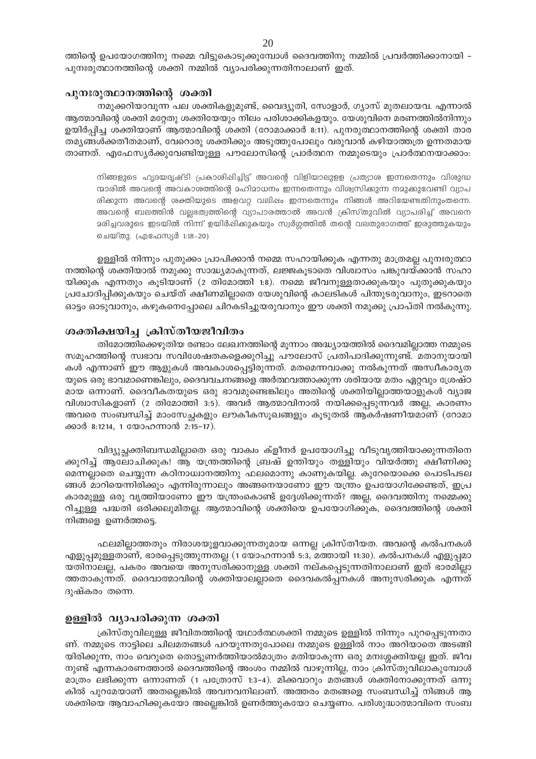ത്തിന്റെ ഉപയോഗത്തിനു നമ്മെ വിട്ടുകൊടുക്കുമ്പോൾ ദൈവത്തിനു നമ്മിൽ പ്രവർത്തിക്കാനായി – പുനഃരുത്ഥാനത്തിന്റെ ശക്തി നമ്മിൽ വ്യാപരിക്കുന്നതിനാലാണ് ഇത്.

#### പുനഃരുത്ഥാനത്തിന്റെ ശക്തി

നമുക്കറിയാവുന്ന പല ശക്തികളുമുണ്ട്, വൈദ്യുതി, സോളാർ, ഗ്യാസ് മുതലായവ. എന്നാൽ ആത്മാവിന്റെ ശക്തി മറ്റേതു ശക്തിയേയും നിലം പരിശാക്കികളയും. യേശുവിനെ മരണത്തിൽനിന്നും ഉയിർപ്പിച്ച ശക്തിയാണ് ആത്മാവിന്റെ ശക്തി (റോമാക്കാർ 8:11). പുനരുത്ഥാനത്തിന്റെ ശക്തി താര തമൃങ്ങൾക്കതീതമാണ്, വേറൊരു ശക്തിക്കും അടുത്തുപോലും വരുവാൻ കഴിയാത്തത്ര ഉന്നതമായ താണത്. എഫേസ്യർക്കുവേണ്ടിയുള്ള പൗലോസിന്റെ പ്രാർത്ഥന നമ്മുടെയും പ്രാർത്ഥനയാക്കാം:

നിങ്ങളുടെ ഹൃദയദൃഷ്ടി പ്രകാശിപ്പിച്ചിട്ട് അവന്റെ വിളിയാലുളള പ്രത്യാശ ഇന്നതെന്നും വിശുദ്ധ ന്മാരിൽ അവന്റെ അവകാശത്തിന്റെ മഹിമാധനം ഇന്നതെന്നും വിശ്വസിക്കുന്ന നമുക്കുവേണ്ടി വ്യാപ രിക്കുന്ന അവന്റെ ശക്തിയുടെ അളവറ്റ വലിഷം ഇന്നതെന്നും നിങ്ങൾ അറിയേണ്ടതിനുംതന്നെ. അവന്റെ ബലത്തിൻ വല്ലഭത്വത്തിന്റെ വ്യാപാരത്താൽ അവൻ ക്രിസ്തുവിൽ വ്യാപരിച്ച് അവനെ മരിച്ചവരുടെ ഇടയിൽ നിന്ന് ഉയിർപ്പിക്കുകയും സ്വർഗ്ഗത്തിൽ തന്റെ വലതുഭാഗത്ത് ഇരുത്തുകയും ചെയ്തു. (എഫേസ്യർ 1:18-20)

ഉള്ളിൽ നിന്നും പുതുക്കം പ്രാപിക്കാൻ നമ്മെ സഹായിക്കുക എന്നതു മാത്രമല്ല പുനഃരുത്ഥാ നത്തിന്റെ ശക്തിയാൽ നമുക്കു സാദ്ധ്യമാകുന്നത്, ലജ്ജകൂടാതെ വിശ്വാസം പങ്കുവയ്ക്കാൻ സഹാ യിക്കുക എന്നതും കുടിയാണ് (2 തിമോത്തി 1:8). നമ്മെ ജീവനുള്ളതാക്കുകയും പുതുക്കുകയും പ്രചോദിപ്പിക്കുകയും ചെയ്ത് ക്ഷീണമില്ലാതെ യേശുവിന്റെ കാലടികൾ പിന്തുടരുവാനും, ഇടറാതെ ഓട്ടം ഓടുവാനും, കഴുകനെപ്പോലെ ചിറകടിച്ചുയരുവാനും ഈ ശക്തി നമുക്കു പ്രാപ്തി നൽകുന്നു.

#### ശക്തിക്ഷയിച്ച ക്രിസ്തീയജീവിതം

തിമോത്തിക്കെഴുതിയ രണ്ടാം ലേഖനത്തിന്റെ മൂന്നാം അദ്ധ്യായത്തിൽ ദൈവമില്ലാത്ത നമ്മുടെ സമൂഹത്തിന്റെ സ്വഭാവ സവിശേഷതകളെക്കുറിച്ചു പൗലോസ് പ്രതിപാദിക്കുന്നുണ്ട്. മതാനുയായി കൾ എന്നാണ് ഈ ആളുകൾ അവകാശപ്പെട്ടിരുന്നത്. മതമെന്നവാക്കു നൽകുന്നത് അസ്ഥീകാര്യത യുടെ ഒരു ഭാവമാണെങ്കിലും, ദൈവവചനങ്ങളെ അർത്ഥവത്താക്കുന്ന ശരിയായ മതം ഏറ്റവും ശ്രേഷ്ഠ മായ ഒന്നാണ്. ദൈവീകതയുടെ ഒരു ഭാവമുണ്ടെങ്കിലും അതിന്റെ ശക്തിയില്ലാത്തയാളുകൾ വ്യാജ വിശ്വാസികളാണ് (2 തിമോത്തി 3:5). അവർ ആത്മാവിനാൽ നയിക്കപ്പെടുന്നവർ അല്ല, കാരണം അവരെ സംബന്ധിച്ച് മാംസേച്ചകളും ലൗകീകസൂഖങ്ങളും കൂടുതൽ ആകർഷണീയമാണ് (റോമാ ക്കാർ 8:1214, 1 യോഹന്നാൻ 2:15-17).

വിദ്യുച്ചക്തിബന്ധമില്ലാതെ ഒരു വാക്വം ക്ളീനർ ഉപയോഗിച്ചു വീടുവൃത്തിയാക്കുന്നതിനെ ക്കുറിച്ച് ആലോചിക്കുക! ആ യന്ത്രത്തിന്റെ ബ്രഷ് ഉന്തിയും തള്ളിയും വിയർത്തു ക്ഷീണിക്കു മെന്നല്ലാതെ ചെയ്യുന്ന കഠിനാധ്വാനത്തിനു ഫലമൊന്നു കാണുകയില്ല. കുറേയൊക്കെ പൊടിപടല ങ്ങൾ മാറിയെന്നിരിക്കും എന്നിരുന്നാലും അങ്ങനെയാണോ ഈ യന്ത്രം ഉപയോഗിക്കേണ്ടത്, ഇപ്ര കാരമുള്ള ഒരു വൃത്തിയാണോ ഈ യന്ത്രംകൊണ്ട് ഉദ്ദേശിക്കുന്നത്? അല്ല, ദൈവത്തിനു നമ്മെക്കു റിച്ചുള്ള പദ്ധതി ഒരിക്കലുമിതല്ല. ആത്മാവിന്റെ ശക്തിയെ ഉപയോഗിക്കുക, ദൈവത്തിന്റെ ശക്തി നിങ്ങളെ ഉണർത്തട്ടെ.

ഫലമില്ലാത്തതും നിരാശയുളവാക്കുന്നതുമായ ഒന്നല്ല ക്രിസ്തീയത. അവന്റെ കൽപനകൾ എളുപ്പമുള്ളതാണ്, ഭാരപ്പെടുത്തുന്നതല്ല (1 യോഹന്നാൻ 5:3, മത്തായി 11:30). കൽപനകൾ എളുപ്പമാ യതിനാലല്ല, പകരം അവയെ അനുസരിക്കാനുള്ള ശക്തി നല്കപ്പെടുന്നതിനാലാണ് ഇത് ഭാരമില്ലാ ത്തതാകുന്നത്. ദൈവാത്മാവിന്റെ ശക്തിയാലല്ലാതെ ദൈവകൽപ്പനകൾ അനുസരിക്കുക എന്നത് ദുഷ്കരം തന്നെ.

#### ഉള്ളിൽ വ്യാപരിക്കുന്ന ശക്തി

ക്രിസ്തുവിലുള്ള ജീവിതത്തിന്റെ യഥാർത്ഥശക്തി നമ്മുടെ ഉള്ളിൽ നിന്നും പുറപ്പെടുന്നതാ ണ്. നമ്മുടെ നാട്ടിലെ ചിലമതങ്ങൾ പറയുന്നതുപോലെ നമ്മുടെ ഉള്ളിൽ നാം അറിയാതെ അടങ്ങി യിരിക്കുന്ന, നാം വെറുതെ തൊട്ടുണർത്തിയാൽമാത്രം മതിയാകുന്ന ഒരു മനഃശ്ശക്തിയല്ല ഇത്. ജീവ നുണ്ട് എന്നകാരണത്താൽ ദൈവത്തിന്റെ അംശം നമ്മിൽ വാഴുന്നില്ല, നാം ക്രിസ്തുവിലാകുമ്പോൾ മാത്രം ലഭിക്കുന്ന ഒന്നാണത് (1 പത്രോസ് 1:3-4). മിക്കവാറും മതങ്ങൾ ശക്തിനോക്കുന്നത് ഒന്നു കിൽ പുറമേയാണ് അതല്ലെങ്കിൽ അവനവനിലാണ്. അത്തരം മതങ്ങളെ സംബന്ധിച്ച് നിങ്ങൾ ആ ശക്തിയെ ആവാഹിക്കുകയോ അല്ലെങ്കിൽ ഉണർത്തുകയോ ചെയ്യണം. പരിശുദ്ധാത്മാവിനെ സംബ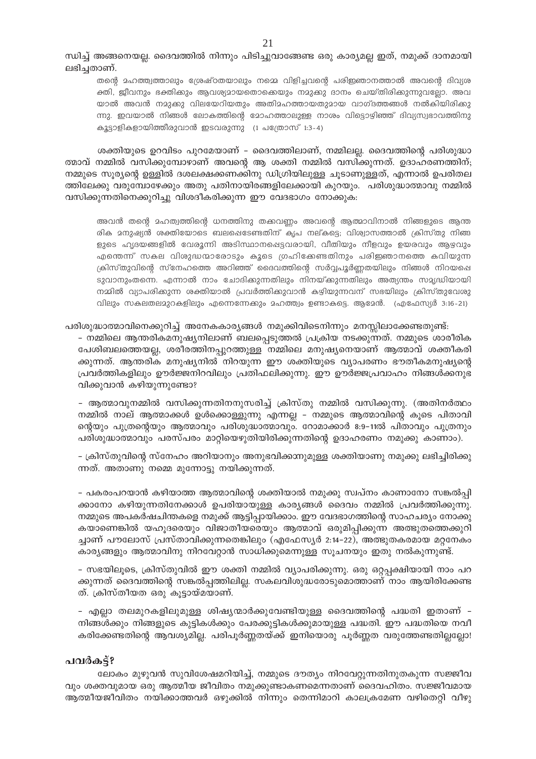ന്ധിച്ച് അങ്ങനെയല്ല. ദൈവത്തിൽ നിന്നും പിടിച്ചുവാങ്ങേണ്ട ഒരു കാര്യമല്ല ഇത്, നമുക്ക് ദാനമായി ലഭിച്ചതാണ്.

തന്റെ മഹത്ത്വത്താലും ശ്രേഷ്ഠതയാലും നമ്മെ വിളിച്ചവന്റെ പരിജ്ഞാനത്താൽ അവന്റെ ദിവ്യശ ക്തി, ജീവനും ഭക്തിക്കും ആവശ്യമായതൊക്കെയും നമുക്കു ദാനം ചെയ്തിരിക്കുന്നുവല്ലോ. അവ യാൽ അവൻ നമുക്കു വിലയേറിയതും അതിമഹത്തായതുമായ വാഗ്ദത്തങ്ങൾ നൽകിയിരിക്കു ന്നു. ഇവയാൽ നിങ്ങൾ ലോകത്തിന്റെ മോഹത്താലുള്ള നാശം വിട്ടൊഴിഞ്ഞ് ദിവ്യസ്വഭാവത്തിനു കൂട്ടാളികളായിത്തീരുവാൻ ഇടവരുന്നു (1 പത്രോസ് 1:3-4)

ശക്തിയുടെ ഉറവിടം പുറമേയാണ് – ദൈവത്തിലാണ്, നമ്മിലല്ല. ദൈവത്തിന്റെ പരിശുദ്ധാ ത്മാവ് നമ്മിൽ വസിക്കുമ്പോഴാണ് അവന്റെ ആ ശക്തി നമ്മിൽ വസിക്കുന്നത്. ഉദാഹരണത്തിന്; നമ്മുടെ സൂര്യന്റെ ഉള്ളിൽ ദശലക്ഷക്കണക്കിനു ഡിഗ്രിയിലുള്ള ചൂടാണുള്ളത്, എന്നാൽ ഉപരിതല ത്തിലേക്കു വരുമ്പോഴേക്കും അതു പതിനായിരങ്ങളിലേക്കായി കുറയും. പരിശുദ്ധാത്മാവു നമ്മിൽ വസിക്കുന്നതിനെക്കുറിച്ചു വിശദീകരിക്കുന്ന ഈ വേദഭാഗം നോക്കുക:

അവൻ തന്റെ മഹത്വത്തിന്റെ ധനത്തിനു തക്കവണ്ണം അവന്റെ ആത്മാവിനാൽ നിങ്ങളുടെ ആന്ത രിക മനുഷ്യൻ രക്തിയോടെ ബലഷെടേണ്ടതിന് കൃപ നല്കട്ടെ; വിശ്വാസത്താൽ ക്രിസ്തു നിങ്ങ ളുടെ ഹൃദയങ്ങളിൽ വേരൂന്നി അടിസ്ഥാനപ്പെട്ടവരായി, വീതിയും നീളവും ഉയരവും ആഴവും എന്തെന്ന് സകല വിശുദ്ധന്മാരോടും കൂടെ ഗ്രഹിക്കേണ്ടതിനും പരിഇഞാനത്തെ കവിയുന്ന ക്രിസ്തുവിന്റെ സ്നേഹത്തെ അറിഞ്ഞ് ദൈവത്തിന്റെ സർവ്വപൂർണ്ണതയിലും നിങ്ങൾ നിറയപ്പെ ടുവാനുംതന്നെ. എന്നാൽ നാം ചോദിക്കുന്നതിലും നിനയ്കുന്നതിലും അത്യന്തം സമൃദ്ധിയായി നമ്മിൽ വ്യാപരിക്കുന്ന ശക്തിയാൽ പ്രവർത്തിക്കുവാൻ കഴിയുന്നവന് സഭയിലും ക്രിസ്തുവേശു വിലും സകലതലമുറകളിലും എന്നെന്നേക്കും മഹത്ത്വം ഉണ്ടാകട്ടെ. ആമേൻ. (എഫേസ്യർ 3:16-21)

പരിശുദ്ധാത്മാവിനെക്കുറിച്ച് അനേകകാര്യങ്ങൾ നമുക്കിവിടെനിന്നും മനസ്സിലാക്കേണ്ടതുണ്ട്: - നമ്മിലെ ആന്തരികമനുഷ്യനിലാണ് ബലപ്പെടുത്തൽ പ്രക്രിയ നടക്കുന്നത്. നമ്മുടെ ശാരീരിക പേശിബലത്തെയല്ല, ശരീരത്തിനപ്പുറത്തുള്ള നമ്മിലെ മനുഷ്യനെയാണ് ആത്മാവ് ശക്തീകരി ക്കുന്നത്. ആന്തരിക മനുഷ്യനിൽ നിറയുന്ന ഈ ശക്തിയുടെ വ്യാപരണം ഭൗതീകമനുഷ്യന്റെ പ്രവർത്തികളിലും ഊർജ്ജനിറവിലും പ്രതിഫലിക്കുന്നു. ഈ ഊർജ്ജപ്രവാഹം നിങ്ങൾക്കനുഭ വിക്കുവാൻ കഴിയുന്നുണ്ടോ?

- ആത്മാവുനമ്മിൽ വസിക്കുന്നതിനനുസരിച്ച് ക്രിസ്തു നമ്മിൽ വസിക്കുന്നു. (അതിനർത്ഥം നമ്മിൽ നാല് ആത്മാക്കൾ ഉൾക്കൊള്ളുന്നു എന്നല്ല - നമ്മുടെ ആത്മാവിന്റെ കൂടെ പിതാവി ന്റെയും പുത്രന്റെയും ആത്മാവും പരിശുദ്ധാത്മാവും. റോമാക്കാർ 8:9-11ൽ പിതാവും പുത്രനും പരിശുദ്ധാത്മാവും പരസ്പരം മാറ്റിയെഴുതിയിരിക്കുന്നതിന്റെ ഉദാഹരണം നമുക്കു കാണാം).

– ക്രിസ്തുവിന്റെ സ്നേഹം അറിയാനും അനുഭവിക്കാനുമുള്ള ശക്തിയാണു നമുക്കു ലഭിച്ചിരിക്കു ന്നത്. അതാണു നമ്മെ മുന്നോട്ടു നയിക്കുന്നത്.

– പകരംപറയാൻ കഴിയാത്ത ആത്മാവിന്റെ ശക്തിയാൽ നമുക്കു സ്വപ്നം കാണാനോ സങ്കൽപ്പി ക്കാനോ കഴിയുന്നതിനേക്കാൾ ഉപരിയായുള്ള കാര്യങ്ങൾ ദൈവം നമ്മിൽ പ്രവർത്തിക്കുന്നു. നമ്മുടെ അപകർഷചിന്തകളെ നമുക്ക് ആട്ടിപ്പായിക്കാം. ഈ വേദഭാഗത്തിന്റെ സാഹചര്യം നോക്കു കയാണെങ്കിൽ യഹൂദരെയും വിജാതീയരെയും ആത്മാവ് ഒരുമിപ്പിക്കുന്ന അത്ഭുതത്തെക്കുറി ച്ചാണ് പൗലോസ് പ്രസ്താവിക്കുന്നതെങ്കിലും (എഫേസ്യർ 2:14–22), അത്ഭുതകരമായ മറ്റനേകം കാര്യങ്ങളും ആത്മാവിനു നിറവേറ്റാൻ സാധിക്കുമെന്നുള്ള സൂചനയും ഇതു നൽകുന്നുണ്ട്.

– സഭയിലൂടെ, ക്രിസ്തുവിൽ ഈ ശക്തി നമ്മിൽ വ്യാപരിക്കുന്നു. ഒരു ഒറ്റപ്പക്ഷിയായി നാം പറ ക്കുന്നത് ദൈവത്തിന്റെ സങ്കൽപ്പത്തിലില്ല. സകലവിശുദ്ധരോടുമൊത്താണ് നാം ആയിരിക്കേണ്ട ത്. ക്രിസ്തീയത ഒരു കൂട്ടായ്മയാണ്.

- എല്ലാ തലമുറകളിലുമുള്ള ശിഷ്യന്മാർക്കുവേണ്ടിയുള്ള ദൈവത്തിന്റെ പദ്ധതി ഇതാണ് -നിങ്ങൾക്കും നിങ്ങളുടെ കുട്ടികൾക്കും പേരക്കുട്ടികൾക്കുമായുള്ള പദ്ധതി. ഈ പദ്ധതിയെ നവീ കരിക്കേണ്ടതിന്റെ ആവശ്യമില്ല. പരിപൂർണ്ണതയ്ക്ക് ഇനിയൊരു പൂർണ്ണത വരുത്തേണ്ടതില്ലല്ലോ!

#### പവർകട്?

ലോകം മുഴുവൻ സുവിശേഷമറിയിച്ച്, നമ്മുടെ ദൗത്യം നിറവേറ്റുന്നതിനുതകുന്ന സജ്ജീവ വും ശക്തവുമായ ഒരു ആത്മീയ ജീവിതം നമുക്കുണ്ടാകണമെന്നതാണ് ദൈവഹിതം. സജ്ജീവമായ ആത്മീയജീവിതം നയിക്കാത്തവർ ഒഴുക്കിൽ നിന്നും തെന്നിമാറി കാലക്രമേണ വഴിതെറ്റി വീഴു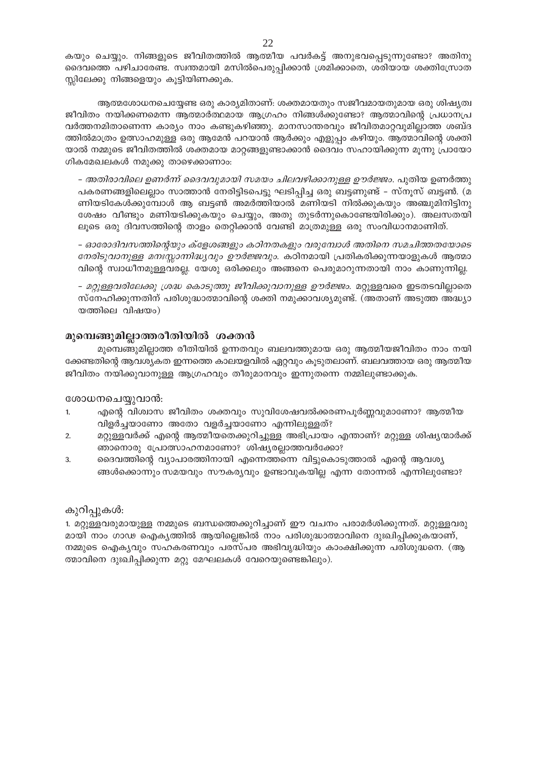കയും ചെയ്യും. നിങ്ങളുടെ ജീവിതത്തിൽ ആത്മീയ പവർകട്ട് അനുഭവപ്പെടുന്നുണ്ടോ? അതിനു ദൈവത്തെ പഴിചാരേണ്ട. സ്വന്തമായി മസിൽപെരുപ്പിക്കാൻ ശ്രമിക്കാതെ, ശരിയായ ശക്തിസ്രോത സ്സിലേക്കു നിങ്ങളെയും കൂട്ടിയിണക്കുക.

ആത്മശോധനചെയ്യേണ്ട ഒരു കാര്യമിതാണ്: ശക്തമായതും സജീവമായതുമായ ഒരു ശിഷ്യത്വ ജീവിതം നയിക്കണമെന്ന ആത്മാർത്ഥമായ ആഗ്രഹം നിങ്ങൾക്കുണ്ടോ? ആത്മാവിന്റെ പ്രധാനപ്ര വർത്തനമിതാണെന്ന കാര്യം നാം കണ്ടുകഴിഞ്ഞു. മാനസാന്തരവും ജീവിതമാറ്റവുമില്ലാത്ത ശബ്ദ ത്തിൽമാത്രം ഉത്സാഹമുള്ള ഒരു ആമേൻ പറയാൻ ആർക്കും എളുപ്പം കഴിയും. ആത്മാവിന്റെ ശക്തി യാൽ നമ്മുടെ ജീവിതത്തിൽ ശക്തമായ മാറ്റങ്ങളുണ്ടാക്കാൻ ദൈവം സഹായിക്കുന്ന മൂന്നു പ്രായോ ഗികമേഖലകൾ നമുക്കു താഴെക്കാണാം:

– *അതിരാവിലെ ഉണർന്ന് ദൈവവുമായി സമയം ചിലവഴിക്കാനുള്ള ഊർജ്ജം*. പുതിയ ഉണർത്തു പകരണങ്ങളിലെല്ലാം സാത്താൻ നേരിട്ടിടപെട്ടു ഘടിപ്പിച്ച ഒരു ബട്ടണുണ്ട് – സ്നൂസ് ബട്ടൺ. (മ ണിയടികേൾക്കുമ്പോൾ ആ ബട്ടൺ അമർത്തിയാൽ മണിയടി നിൽക്കുകയും അഞ്ചുമിനിട്ടിനു ശേഷം വീണ്ടും മണിയടിക്കുകയും ചെയ്യും, അതു തുടർന്നുകൊണ്ടേയിരിക്കും). അലസതയി ലൂടെ ഒരു ദിവസത്തിന്റെ താളം തെറ്റിക്കാൻ വേണ്ടി മാത്രമുള്ള ഒരു സംവിധാനമാണിത്.

– ഓരോദിവസത്തിന്റെയും ക്ളേശങ്ങളും കഠിനതകളും വരുമ്പോൾ അതിനെ സമചിത്തതയോടെ *നേരിടുവാനുള്ള മനഃസ്സാന്നിദ്ധ്യവും ഊർജ്ജവും.* കഠിനമായി പ്രതികരിക്കുന്നയാളുകൾ ആത്മാ വിന്റെ സ്വാധീനമുള്ളവരല്ല. യേശു ഒരിക്കലും അങ്ങനെ പെരുമാറുന്നതായി നാം കാണുന്നില്ല.

- *മറ്റുള്ളവരിലേക്കു ശ്രദ്ധ കൊടുത്തു ജീവിക്കുവാനുള്ള ഊർജ്ജം.* മറ്റുള്ളവരെ ഇടതടവില്ലാതെ സ്നേഹിക്കുന്നതിന് പരിശുദ്ധാത്മാവിന്റെ ശക്തി നമുക്കാവശ്യമുണ്ട്. (അതാണ് അടുത്ത അദ്ധ്യാ യത്തിലെ വിഷയം)

#### മുമ്പെങ്ങുമില്ലാത്തരീതിയിൽ ശക്തൻ

മുമ്പെങ്ങുമില്ലാത്ത രീതിയിൽ ഉന്നതവും ബലവത്തുമായ ഒരു ആത്മീയജീവിതം നാം നയി ക്കേണ്ടതിന്റെ ആവശ്യകത ഇന്നത്തെ കാലയളവിൽ ഏറ്റവും കൂടുതലാണ്. ബലവത്തായ ഒരു ആത്മീയ ജീവിതം നയിക്കുവാനുള്ള ആഗ്രഹവും തീരുമാനവും ഇന്നുതന്നെ നമ്മിലുണ്ടാക്കുക.

#### ശോധനചെയ്യുവാൻ:

- എന്റെ വിശ്വാസ ജീവിതം ശക്തവും സുവിശേഷവൽക്കരണപൂർണ്ണവുമാണോ? ആത്മീയ  $\mathbf{1}$ വിളർച്ചയാണോ അതോ വളർച്ചയാണോ എന്നിലുള്ളത്?
- $\overline{2}$ . മറ്റുള്ളവർക്ക് എന്റെ ആത്മീയതെക്കുറിച്ചുള്ള അഭിപ്രായം എന്താണ്? മറ്റുള്ള ശിഷ്യന്മാർക്ക് ഞാനൊരു പ്രോത്സാഹനമാണോ? ശിഷ്യരല്ലാത്തവർക്കോ?
- ദൈവത്തിന്റെ വ്യാപാരത്തിനായി എന്നെത്തന്നെ വിട്ടുകൊടുത്താൽ എന്റെ ആവശ്യ 3. ങ്ങൾക്കൊന്നും സമയവും സൗകര്യവും ഉണ്ടാവുകയില്ല എന്ന തോന്നൽ എന്നിലുണ്ടോ?

#### കുറിപ്പുകൾ:

1. മറ്റുള്ളവരുമായുള്ള നമ്മുടെ ബന്ധത്തെക്കുറിച്ചാണ് ഈ വചനം പരാമർശിക്കുന്നത്. മറ്റുള്ളവരു മായി നാം ഗാഢ ഐക്യത്തിൽ ആയില്ലെങ്കിൽ നാം പരിശുദ്ധാത്മാവിനെ ദുഃഖിപ്പിക്കുകയാണ്, നമ്മുടെ ഐക്യവും സഹകരണവും പരസ്പര അഭിവൃദ്ധിയും കാംക്ഷിക്കുന്ന പരിശുദ്ധനെ. (ആ ത്മാവിനെ ദുഃഖിപ്പിക്കുന്ന മറ്റു മേഘലകൾ വേറെയുണ്ടെങ്കിലും).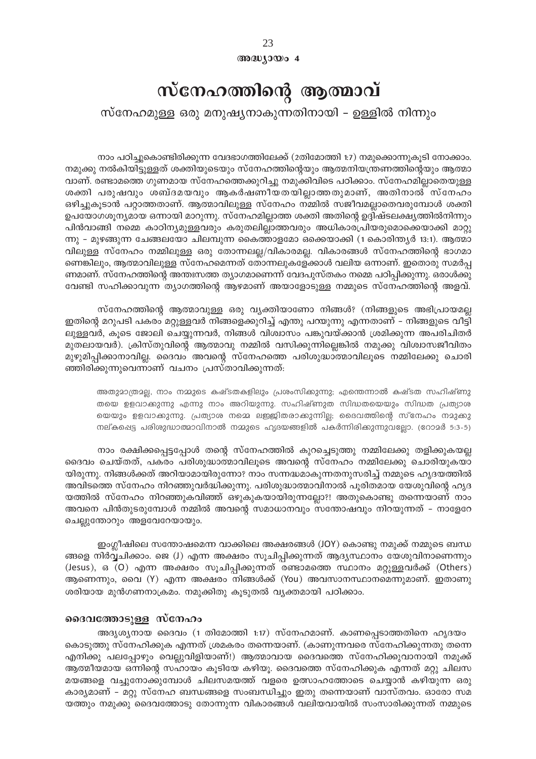23  $@0@0<sub>1</sub>0@0<sub>0</sub>4$ 

## സ്നേഹത്തിന്റെ ആത്മാവ്

സ്നേഹമുള്ള ഒരു മനുഷ്യനാകുന്നതിനായി – ഉള്ളിൽ നിന്നും

നാം പഠിച്ചുകൊണ്ടിരിക്കുന്ന വേദഭാഗത്തിലേക്ക് (2തിമോത്തി 1:7) നമുക്കൊന്നുകുടി നോക്കാം. നമുക്കു നൽകിയിട്ടുള്ളത് ശക്തിയുടെയും സ്നേഹത്തിന്റെയും ആത്മനിയന്ത്രണത്തിന്റെയും ആത്മാ വാണ്. രണ്ടാമത്തെ ഗുണമായ സ്നേഹത്തെക്കുറിച്ചു നമുക്കിവിടെ പഠിക്കാം. സ്നേഹമില്ലാതെയുള്ള ശക്തി പരുഷവും ശബ്ദമയവും ആകർഷണീയതയില്ലാത്തതുമാണ്, അതിനാൽ സ്നേഹം ഒഴിച്ചുകുടാൻ പറ്റാത്തതാണ്. ആത്മാവിലുള്ള സ്നേഹം നമ്മിൽ സജീവമല്ലാതെവരുമ്പോൾ ശക്തി ഉപയോഗശൂന്യമായ ഒന്നായി മാറുന്നു. സ്നേഹമില്ലാത്ത ശക്തി അതിന്റെ ഉദ്ദിഷ്ടലക്ഷ്യത്തിൽനിന്നും പിൻവാങ്ങി നമ്മെ കാഠിന്യമുള്ളവരും കരുതലില്ലാത്തവരും അധികാരപ്രിയരുമൊക്കെയാക്കി മാറ്റു ന്നു – മുഴങ്ങുന്ന ചേങ്ങലയോ ചിലമ്പുന്ന കൈത്താളമോ ഒക്കെയാക്കി (1 കൊരിന്ത്യർ 13:1). ആത്മാ വിലുള്ള സ്നേഹം നമ്മിലുള്ള ഒരു തോന്നലല്ല/വികാരമല്ല. വികാരങ്ങൾ സ്നേഹത്തിന്റെ ഭാഗമാ ണെങ്കിലും, ആത്മാവിലുള്ള സ്നേഹമെന്നത് തോന്നലുകളേക്കാൾ വലിയ ഒന്നാണ്. ഇതൊരു സമർപ ണമാണ്. സ്നേഹത്തിന്റെ അന്തഃസത്ത ത്യാഗമാണെന്ന് വേദപുസ്തകം നമ്മെ പഠിപ്പിക്കുന്നു. ഒരാൾക്കു വേണ്ടി സഹിക്കാവുന്ന ത്യാഗത്തിന്റെ ആഴമാണ് അയാളോടുള്ള നമ്മുടെ സ്നേഹത്തിന്റെ അളവ്.

സ്നേഹത്തിന്റെ ആത്മാവുള്ള ഒരു വ്യക്തിയാണോ നിങ്ങൾ? (നിങ്ങളുടെ അഭിപ്രായമല്ല ഇതിന്റെ മറുപടി പകരം മറ്റുള്ളവർ നിങ്ങളെക്കുറിച്ച് എന്തു പറയുന്നു എന്നതാണ് – നിങ്ങളുടെ വീട്ടി ലുള്ളവർ, കുടെ ജോലി ചെയ്യുന്നവർ, നിങ്ങൾ വിശ്വാസം പങ്കുവയ്ക്കാൻ ശ്രമിക്കുന്ന അപരിചിതർ മുതലായവർ). ക്രിസ്തുവിന്റെ ആത്മാവു നമ്മിൽ വസിക്കുന്നില്ലെങ്കിൽ നമുക്കു വിശ്വാസജീവിതം മുഴുമിപ്പിക്കാനാവില്ല. ദൈവം അവന്റെ സ്നേഹത്തെ പരിശുദ്ധാത്മാവിലൂടെ നമ്മിലേക്കു ചൊരി ഞ്ഞിരിക്കുന്നുവെന്നാണ് വചനം പ്രസ്താവിക്കുന്നത്:

അതുമാത്രമല്ല, നാം നമ്മുടെ കഷ്ടതകളിലും പ്രശംസിക്കുന്നു; എന്തെന്നാൽ കഷ്ടത സഹിഷ്ണു തയെ ഉളവാക്കുന്നു എന്നു നാം അറിയുന്നു. സഹിഷ്ണുത സിദ്ധതയെയും സിദ്ധത പ്രത്യാശ യെയും ഉളവാക്കുന്നു. പ്രത്യാശ നമ്മെ ലഇജിതരാക്കുന്നില്ല; ദൈവത്തിന്റെ സ്നേഹം നമുക്കു നല്കപ്പെട്ട പരിശുദ്ധാത്മാവിനാൽ നമ്മുടെ ഹൃദയങ്ങളിൽ പകർന്നിരിക്കുന്നുവല്ലോ. (റോമർ 5:3-5)

നാം രക്ഷിക്കപ്പെട്ടപ്പോൾ തന്റെ സ്നേഹത്തിൽ കുറച്ചെടുത്തു നമ്മിലേക്കു തളിക്കുകയല്ല ദൈവം ചെയ്തത്, പകരം പരിശുദ്ധാത്മാവിലൂടെ അവന്റെ സ്നേഹം നമ്മിലേക്കു ചൊരിയുകയാ യിരുന്നു. നിങ്ങൾക്കത് അറിയാമായിരുന്നോ? നാം സന്നദ്ധമാകുന്നതനുസരിച്ച് നമ്മുടെ ഹൃദയത്തിൽ അവിടത്തെ സ്നേഹം നിറഞ്ഞുവർദ്ധിക്കുന്നു. പരിശുദ്ധാത്മാവിനാൽ പൂരിതമായ യേശുവിന്റെ ഹൃദ യത്തിൽ സ്നേഹം നിറഞ്ഞുകവിഞ്ഞ് ഒഴുകുകയായിരുന്നല്ലോ?! അതുകൊണ്ടു തന്നെയാണ് നാം അവനെ പിൻതുടരുമ്പോൾ നമ്മിൽ അവന്റെ സമാധാനവും സന്തോഷവും നിറയുന്നത് – നാളേറേ ചെല്ലുന്തോറും അളവേറേയായും.

ഇംഗ്ലീഷിലെ സന്തോഷമെന്ന വാക്കിലെ അക്ഷരങ്ങൾ (JOY) കൊണ്ടു നമൂക്ക് നമ്മുടെ ബന്ധ ങ്ങളെ നിർവ്വചിക്കാം. ജെ (J) എന്ന അക്ഷരം സൂചിപ്പിക്കുന്നത് ആദ്യസ്ഥാനം യേശുവിനാണെന്നും (Jesus), ഒ (O) എന്ന അക്ഷരം സുചിപ്പിക്കുന്നത് രണ്ടാമത്തെ സ്ഥാനം മറ്റുള്ളവർക്ക് (Others) ആണെന്നും, വൈ (Y) എന്ന അക്ഷരം നിങ്ങൾക്ക് (You) അവസാനസ്ഥാനമെന്നുമാണ്. ഇതാണു ശരിയായ മുൻഗണനാക്രമം. നമുക്കിതു കൂടുതൽ വ്യക്തമായി പഠിക്കാം.

#### ദൈവത്തോടുള്ള സ്നേഹം

അദൃശ്യനായ ദൈവം (1 തിമോത്തി 1:17) സ്നേഹമാണ്. കാണപ്പെടാത്തതിനെ ഹൃദയം കൊടുത്തു സ്നേഹിക്കുക എന്നത് ശ്രമകരം തന്നെയാണ്. (കാണുന്നവരെ സ്നേഹിക്കുന്നതു തന്നെ എനിക്കു പലപ്പോഴും വെല്ലുവിളിയാണ്!) ആത്മാവായ ദൈവത്തെ സ്നേഹിക്കുവാനായി നമുക്ക് ആത്മീയമായ ഒന്നിന്റെ സഹായം കൂടിയേ കഴിയൂ. ദൈവത്തെ സ്നേഹിക്കുക എന്നത് മറ്റു ചിലസ മയങ്ങളെ വച്ചുനോക്കുമ്പോൾ ചിലസമയത്ത് വളരെ ഉത്സാഹത്തോടെ ചെയ്യാൻ കഴിയുന്ന ഒരു കാര്യമാണ് - മറ്റു സ്നേഹ ബന്ധങ്ങളെ സംബന്ധിച്ചും ഇതു തന്നെയാണ് വാസ്തവം. ഓരോ സമ യത്തും നമുക്കു ദൈവത്തോടു തോന്നുന്ന വികാരങ്ങൾ വലിയവായിൽ സംസാരിക്കുന്നത് നമ്മുടെ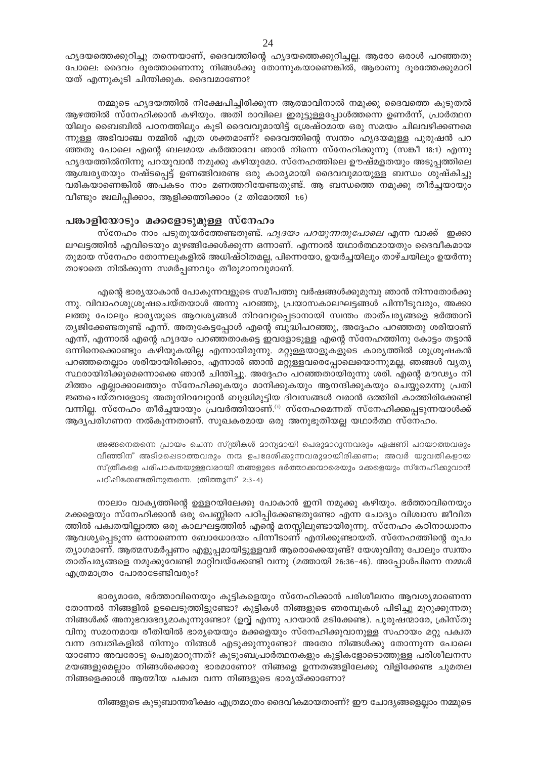ഹൃദയത്തെക്കുറിച്ചു തന്നെയാണ്, ദൈവത്തിന്റെ ഹൃദയത്തെക്കുറിച്ചല്ല. ആരോ ഒരാൾ പറഞ്ഞതു പോലെ: ദൈവം ദൂരത്താണെന്നു നിങ്ങൾക്കു തോന്നുകയാണെങ്കിൽ, ആരാണു ദൂരത്തേക്കുമാറി യത് എന്നുകൂടി ചിന്തിക്കുക. ദൈവമാണോ?

നമ്മുടെ ഹൃദയത്തിൽ നിക്ഷേപിച്ചിരിക്കുന്ന ആത്മാവിനാൽ നമുക്കു ദൈവത്തെ കൂടുതൽ ആഴത്തിൽ സ്നേഹിക്കാൻ കഴിയും. അതി രാവിലെ ഇരുട്ടുള്ളപ്പോൾത്തന്നെ ഉണർന്ന്, പ്രാർത്ഥന യിലും ബൈബിൽ പഠനത്തിലും കൂടി ദൈവവുമായിട്ട് ശ്രേഷ്ഠമായ ഒരു സമയം ചിലവഴിക്കണമെ ന്നുള്ള അഭിവാഞ്ച നമ്മിൽ എത്ര ശക്തമാണ്? ദൈവത്തിന്റെ സ്വന്തം ഹൃദയമുള്ള പുരുഷൻ പറ ഞ്ഞതു പോലെ എന്റെ ബലമായ കർത്താവേ ഞാൻ നിന്നെ സ്നേഹിക്കുന്നു (സങ്കീ 18:1) എന്നു ഹൃദയത്തിൽനിന്നു പറയുവാൻ നമുക്കു കഴിയുമോ. സ്നേഹത്തിലെ ഊഷ്മളതയും അടുപ്പത്തിലെ ആശ്ചര്യതയും നഷ്ടപ്പെട്ട് ഉണങ്ങിവരണ്ട ഒരു കാര്യമായി ദൈവവുമായുള്ള ബന്ധം ശുഷ്കിച്ചു വരികയാണെങ്കിൽ അപകടം നാം മണത്തറിയേണ്ടതുണ്ട്. ആ ബന്ധത്തെ നമുക്കു തീർച്ചയായും വീണ്ടും ജ്വലിപ്പിക്കാം, ആളിക്കത്തിക്കാം (2 തിമോത്തി 1:6)

#### പങ്കാളിയോടും മക്കളോടുമുള്ള സ്നേഹം

സ്നേഹം നാം പടുതുയർത്തേണ്ടതുണ്ട്. *ഹൃദയം പറയുന്നതുപോലെ* എന്ന വാക്ക് ഇക്കാ ലഘട്ടത്തിൽ എവിടെയും മുഴങ്ങിക്കേൾക്കുന്ന ഒന്നാണ്. എന്നാൽ യഥാർത്ഥമായതും ദൈവീകമായ തുമായ സ്നേഹം തോന്നലുകളിൽ അധിഷ്ഠിതമല്ല, പിന്നെയോ, ഉയർച്ചയിലും താഴ്ചയിലും ഉയർന്നു താഴാതെ നിൽക്കുന്ന സമർപ്പണവും തീരുമാനവുമാണ്.

എന്റെ ഭാര്യയാകാൻ പോകുന്നവളുടെ സമീപത്തു വർഷങ്ങൾക്കുമുമ്പു ഞാൻ നിന്നതോർക്കു ന്നു. വിവാഹശുശ്രൂഷചെയ്തയാൾ അന്നു പറഞ്ഞു, പ്രയാസകാലഘട്ടങ്ങൾ പിന്നീടുവരും, അക്കാ ലത്തു പോലും ഭാര്യയുടെ ആവശ്യങ്ങൾ നിറവേറ്റപ്പെടാനായി സ്വന്തം താത്പര്യങ്ങളെ ഭർത്താവ് ത്യജിക്കേണ്ടതുണ്ട് എന്ന്. അതുകേട്ടപ്പോൾ എന്റെ ബുദ്ധിപറഞ്ഞു, അദ്ദേഹം പറഞ്ഞതു ശരിയാണ് എന്ന്, എന്നാൽ എന്റെ ഹൃദയം പറഞ്ഞതാകട്ടെ ഇവളോടുള്ള എന്റെ സ്നേഹത്തിനു കോട്ടം തട്ടാൻ ഒന്നിനെക്കൊണ്ടും കഴിയുകയില്ല എന്നായിരുന്നു. മറ്റുള്ളയാളുകളുടെ കാര്യത്തിൽ ശുശ്രുഷകൻ പറഞ്ഞതെല്ലാം ശരിയായിരിക്കാം, എന്നാൽ ഞാൻ മറ്റുള്ളവരെപ്പോലെയൊന്നുമല്ല, ഞങ്ങൾ വൃത്യ സ്ഥരായിരിക്കുമെന്നൊക്കെ ഞാൻ ചിന്തിച്ചു. അദ്ദേഹം പറഞ്ഞതായിരുന്നു ശരി. എന്റെ മൗഢ്യം നി മിത്തം എല്ലാക്കാലത്തും സ്നേഹിക്കുകയും മാനിക്കുകയും ആനന്ദിക്കുകയും ചെയ്യുമെന്നു പ്രതി ജ്ഞചെയ്തവളോടു അതുനിറവേറ്റാൻ ബുദ്ധിമുട്ടിയ ദിവസങ്ങൾ വരാൻ ഒത്തിരി കാത്തിരിക്കേണ്ടി വന്നില്ല. സ്നേഹം തീർച്ചയായും പ്രവർത്തിയാണ്.<sup>(1)</sup> സ്നേഹമെന്നത് സ്നേഹിക്കപ്പെടുന്നയാൾക്ക് ആദ്യപരിഗണന നൽകുന്നതാണ്. സുഖകരമായ ഒരു അനുഭൂതിയല്ല യഥാർത്ഥ സ്നേഹം.

അങ്ങനെതന്നെ പ്രായം ചെന്ന സ്ത്രീകൾ മാന്യമായി പെരുമാറുന്നവരും ഏഷണി പറയാത്തവരും വീഞ്ഞിന് അടിമപ്പെടാത്തവരും നന്മ ഉപദേശിക്കുന്നവരുമായിരിക്കണം; അവർ യുവതികളായ സ്ത്രീകളെ പരിപാകതയുള്ളവരായി തങ്ങളുടെ ഭർത്താക്കന്മാരെയും മകളെയും സ്നേഹിക്കുവാൻ പഠിപ്പിക്കേണ്ടതിനുതന്നെ. (തിത്തൂസ് 2:3-4)

നാലാം വാകൃത്തിന്റെ ഉള്ളറയിലേക്കു പോകാൻ ഇനി നമുക്കു കഴിയും. ഭർത്താവിനെയും മക്കളെയും സ്നേഹിക്കാൻ ഒരു പെണ്ണിനെ പഠിപ്പിക്കേണ്ടതുണ്ടോ എന്ന ചോദ്യം വിശ്വാസ ജീവിത ത്തിൽ പക്വതയില്ലാത്ത ഒരു കാലഘട്ടത്തിൽ എന്റെ മനസ്സിലുണ്ടായിരുന്നു. സ്നേഹം കഠിനാധ്വാനം ആവശ്യപ്പെടുന്ന ഒന്നാണെന്ന ബോധോദയം പിന്നീടാണ് എനിക്കുണ്ടായത്. സ്നേഹത്തിന്റെ രൂപം ത്യാഗമാണ്. ആത്മസമർപ്പണം എളുപ്പമായിട്ടുള്ളവർ ആരൊക്കെയുണ്ട്? യേശുവിനു പോലും സ്വന്തം താത്പര്യങ്ങളെ നമുക്കുവേണ്ടി മാറ്റിവയ്ക്കേണ്ടി വന്നു (മത്തായി 26:36–46). അപ്പോൾപിന്നെ നമ്മൾ എത്രമാത്രം പോരാടേണ്ടിവരും?

ഭാര്യമാരേ, ഭർത്താവിനെയും കുട്ടികളെയും സ്നേഹിക്കാൻ പരിശീലനം ആവശ്യമാണെന്ന തോന്നൽ നിങ്ങളിൽ ഉടലെടുത്തിട്ടുണ്ടോ? കുട്ടികൾ നിങ്ങളുടെ ഞരമ്പുകൾ പിടിച്ചു മുറുക്കുന്നതു നിങ്ങൾക്ക് അനുഭവഭേദ്യമാകുന്നുണ്ടോ? (ഉവ്വ് എന്നു പറയാൻ മടിക്കേണ്ട). പുരുഷന്മാരേ, ക്രിസ്തു വിനു സമാനമായ രീതിയിൽ ഭാര്യയെയും മക്കളെയും സ്നേഹിക്കുവാനുള്ള സഹായം മറ്റു പക്വത വന്ന ദമ്പതികളിൽ നിന്നും നിങ്ങൾ എടുക്കുന്നുണ്ടോ? അതോ നിങ്ങൾക്കു തോന്നുന്ന പോലെ യാണോ അവരോടു പെരുമാറുന്നത്? കുടുംബപ്രാർത്ഥനകളും കുട്ടികളോടൊത്തുള്ള പരിശീലനസ മയങ്ങളുമെല്ലാം നിങ്ങൾക്കൊരു ഭാരമാണോ? നിങ്ങളെ ഉന്നതങ്ങളിലേക്കു വിളിക്കേണ്ട ചുമതല നിങ്ങളെക്കാൾ ആത്മീയ പക്വത വന്ന നിങ്ങളുടെ ഭാര്യയ്ക്കാണോ?

നിങ്ങളുടെ കുടുബാന്തരീക്ഷം എത്രമാത്രം ദൈവീകമായതാണ്? ഈ ചോദ്യങ്ങളെല്ലാം നമ്മുടെ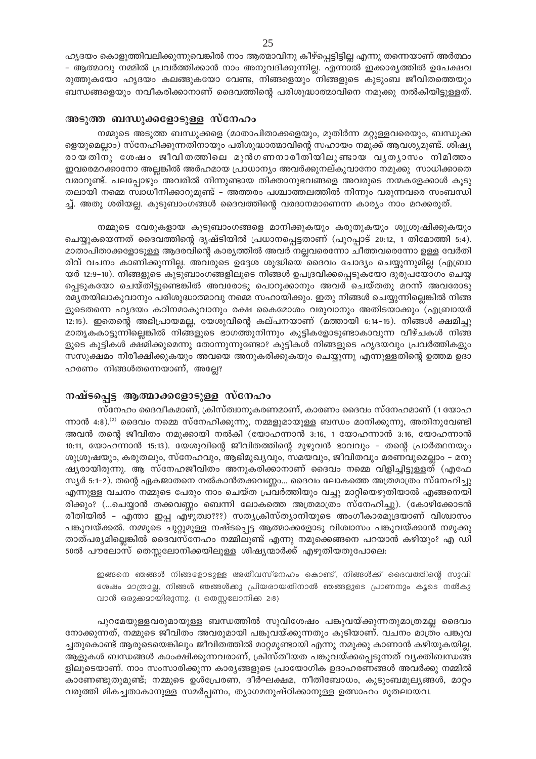ഹൃദയം കൊളുത്തിവലിക്കുന്നുവെങ്കിൽ നാം ആത്മാവിനു കീഴ്പ്പെട്ടിട്ടില്ല എന്നു തന്നെയാണ് അർത്ഥം – ആത്മാവു നമ്മിൽ പ്രവർത്തിക്കാൻ നാം അനുവദിക്കുന്നില്ല. എന്നാൽ ഇക്കാര്യത്തിൽ ഉപേക്ഷവ രുത്തുകയോ ഹൃദയം കലങ്ങുകയോ വേണ്ട, നിങ്ങളെയും നിങ്ങളുടെ കുടുംബ ജീവിതത്തെയും ബന്ധങ്ങളെയും നവീകരിക്കാനാണ് ദൈവത്തിന്റെ പരിശുദ്ധാത്മാവിനെ നമുക്കു നൽകിയിട്ടുള്ളത്.

#### അടുത്ത ബന്ധുക്കളോടുള്ള സ്നേഹം

നമ്മുടെ അടുത്ത ബന്ധുക്കളെ (മാതാപിതാക്കളെയും, മുതിർന്ന മറ്റുള്ളവരെയും, ബന്ധുക്ക ളെയുമെല്ലാം) സ്നേഹിക്കുന്നതിനായും പരിശുദ്ധാത്മാവിന്റെ സഹായം നമുക്ക് ആവശ്യമുണ്ട്. ശിഷ്യ രായതിനു ശേഷം ജീവിതത്തിലെ മുൻഗണനാരീതിയിലുണ്ടായ വൃത്യാസം നിമിത്തം ഇവരെമറക്കാനോ അല്ലങ്കിൽ അർഹമായ പ്രാധാന്യം അവർക്കുനല്കുവാനോ നമുക്കു സാധിക്കാതെ വരാറുണ്ട്. പലപ്പോഴും അവരിൽ നിന്നുണ്ടായ തിക്താനുഭവങ്ങളെ അവരുടെ നന്മകളേക്കാൾ കൂടു തലായി നമ്മെ സ്വാധീനിക്കാറുമുണ്ട് – അത്തരം പശ്ചാത്തലത്തിൽ നിന്നും വരുന്നവരെ സംബന്ധി ച്ച്. അതു ശരിയല്ല. കുടുബാംഗങ്ങൾ ദൈവത്തിന്റെ വരദാനമാണെന്ന കാര്യം നാം മറക്കരുത്.

നമ്മുടെ വേരുകളായ കുടുബാംഗങ്ങളെ മാനിക്കുകയും കരുതുകയും ശുശ്രൂഷിക്കുകയും ചെയ്യുകയെന്നത് ദൈവത്തിന്റെ ദൃഷ്ടിയിൽ പ്രധാനപ്പെട്ടതാണ് (പുറപ്പാട് 20:12, 1 തിമോത്തി 5:4). മാതാപിതാക്കളോടുള്ള ആദരവിന്റെ കാര്യത്തിൽ അവർ നല്ലവരെന്നോ ചീത്തവരെന്നോ ഉള്ള വേർതി രിവ് വചനം കാണിക്കുന്നില്ല. അവരുടെ ഉദ്ദേശ ശുദ്ധിയെ ദൈവം ചോദ്യം ചെയ്യുന്നുമില്ല (എബ്രാ യർ 12:9-10). നിങ്ങളുടെ കുടുബാംഗങ്ങളിലൂടെ നിങ്ങൾ ഉപദ്രവിക്കപ്പെടുകയോ ദുരുപയോഗം ചെയ്യ പ്പെടുകയോ ചെയ്തിട്ടുണ്ടെങ്കിൽ അവരോടു പൊറുക്കാനും അവർ ചെയ്തതു മറന്ന് അവരോടു രമ്യതയിലാകുവാനും പരിശുദ്ധാത്മാവു നമ്മെ സഹായിക്കും. ഇതു നിങ്ങൾ ചെയ്യുന്നില്ലെങ്കിൽ നിങ്ങ ളുടെതന്നെ ഹൃദയം കഠിനമാകുവാനും രക്ഷ കൈമോശം വരുവാനും അതിടയാക്കും (എബ്രായർ 12:15). ഇതെന്റെ അഭിപ്രായമല്ല, യേശുവിന്റെ കല്പനയാണ് (മത്തായി 6:14-15). നിങ്ങൾ ക്ഷമിച്ചു മാതൃകകാട്ടുന്നില്ലെങ്കിൽ നിങ്ങളുടെ ഭാഗത്തുനിന്നും കുട്ടികളോടുണ്ടാകാവുന്ന വീഴ്ചകൾ നിങ്ങ ളുടെ കുട്ടികൾ ക്ഷമിക്കുമെന്നു തോന്നുന്നുണ്ടോ? കുട്ടികൾ നിങ്ങളുടെ ഹൃദയവും പ്രവർത്തികളും സസൂക്ഷമം നിരീക്ഷിക്കുകയും അവയെ അനുകരിക്കുകയും ചെയ്യുന്നു എന്നുള്ളതിന്റെ ഉത്തമ ഉദാ ഹരണം നിങ്ങൾതന്നെയാണ്, അല്ലേ?

#### നഷ്ടപ്പെട്ട ആത്മാക്കളോടുള്ള സ്നേഹം

സ്നേഹം ദൈവീകമാണ്, ക്രിസ്ത്വാനുകരണമാണ്, കാരണം ദൈവം സ്നേഹമാണ് (1 യോഹ ന്നാൻ 4:8).<sup>(2)</sup> ദൈവം നമ്മെ സ്നേഹിക്കുന്നു, നമ്മളുമായുള്ള ബന്ധം മാനിക്കുന്നു, അതിനുവേണ്ടി അവൻ തന്റെ ജീവിതം നമുക്കായി നൽകി (യോഹന്നാൻ 3:16, 1 യോഹന്നാൻ 3:16, യോഹന്നാൻ 10:11, യോഹന്നാൻ 15:13). യേശുവിന്റെ ജീവിതത്തിന്റെ മുഴുവൻ ഭാവവും - തന്റെ പ്രാർത്ഥനയും ശുശ്രൂഷയും, കരുതലും, സ്നേഹവും, ആഭിമുഖ്യവും, സമയവും, ജീവിതവും മരണവുമെല്ലാം - മനു ഷ്യരായിരുന്നു. ആ സ്നേഹജീവിതം അനുകരിക്കാനാണ് ദൈവം നമ്മെ വിളിച്ചിട്ടുള്ളത് (എഫേ സ്യർ 5:1–2). തന്റെ ഏകജാതനെ നൽകാൻതക്കവണ്ണം... ദൈവം ലോകത്തെ അത്രമാത്രം സ്നേഹിച്ചു എന്നുള്ള വചനം നമ്മുടെ പേരും നാം ചെയ്ത പ്രവർത്തിയും വച്ചു മാറ്റിയെഴുതിയാൽ എങ്ങനെയി രിക്കും? (...ചെയ്യാൻ തക്കവണ്ണം ബെന്നി ലോകത്തെ അത്രമാത്രം സ്നേഹിച്ചു). (കോഴിക്കോടൻ രീതിയിൽ - എന്താ ഇപ്പ എഴുത്വാ???) സത്യക്രിസ്ത്യാനിയുടെ അംഗീകാരമുദ്രയാണ് വിശ്വാസം പങ്കുവയ്ക്കൽ. നമ്മുടെ ചുറ്റുമുള്ള നഷ്ടപ്പെട്ട ആത്മാക്കളോടു വിശ്വാസം പങ്കുവയ്ക്കാൻ നമുക്കു താത്പര്യമില്ലെങ്കിൽ ദൈവസ്നേഹം നമ്മിലുണ്ട് എന്നു നമുക്കെങ്ങനെ പറയാൻ കഴിയും? എ ഡി 50ൽ പൗലോസ് തെസ്സലോനിക്കയിലുള്ള ശിഷ്യന്മാർക്ക് എഴുതിയതുപോലെ:

ഇങ്ങനെ ഞങ്ങൾ നിങ്ങളോടുള്ള അതീവസ്നേഹം കൊണ്ട്, നിങ്ങൾക്ക് ദൈവത്തിന്റെ സുവി രേഷം മാത്രമല്ല, നിങ്ങൾ ഞങ്ങൾക്കു പ്രിയരായതിനാൽ ഞങ്ങളുടെ പ്രാണനും കൂടെ നൽകു വാൻ ഒരുക്കമായിരുന്നു. (1 തെസ്സലോനിക്ക 2:8)

പുറമേയുള്ളവരുമായുള്ള ബന്ധത്തിൽ സുവിശേഷം പങ്കുവയ്ക്കുന്നതുമാത്രമല്ല ദൈവം നോക്കുന്നത്, നമ്മുടെ ജീവിതം അവരുമായി പങ്കുവയ്ക്കുന്നതും കൂടിയാണ്. വചനം മാത്രം പങ്കുവ ച്ചതുകൊണ്ട് ആരുടെയെങ്കിലും ജീവിതത്തിൽ മാറ്റമുണ്ടായി എന്നു നമുക്കു കാണാൻ കഴിയുകയില്ല. ആളുകൾ ബന്ധങ്ങൾ കാംക്ഷിക്കുന്നവരാണ്, ക്രിസ്തീയത പങ്കുവയ്ക്കപ്പെടുന്നത് വൃക്തിബന്ധങ്ങ ളിലൂടെയാണ്. നാം സംസാരിക്കുന്ന കാര്യങ്ങളുടെ പ്രായോഗിക ഉദാഹരണങ്ങൾ അവർക്കു നമ്മിൽ കാണേണ്ടുതുമുണ്ട്; നമ്മുടെ ഉൾപ്രേരണ, ദീർഘക്ഷമ, നീതിബോധം, കുടുംബമൂല്യങ്ങൾ, മാറ്റം വരുത്തി മികച്ചതാകാനുള്ള സമർപ്പണം, ത്യാഗമനുഷ്ഠിക്കാനുള്ള ഉത്സാഹം മുതലായവ.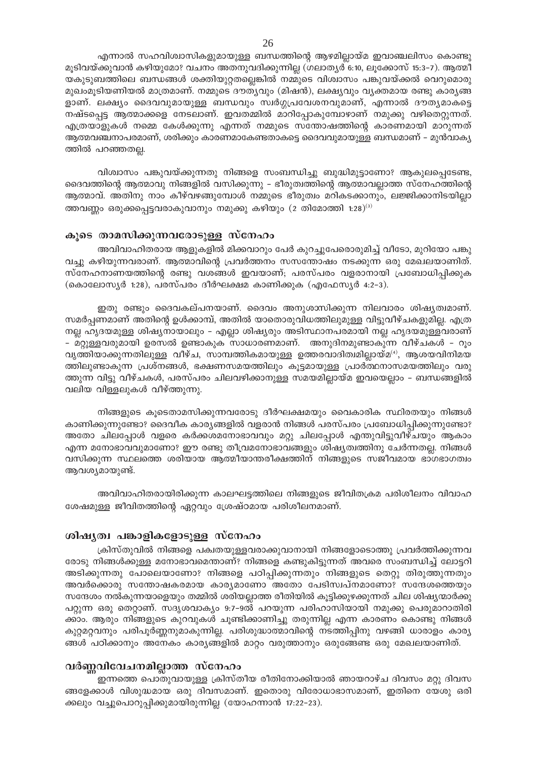എന്നാൽ സഹവിശ്വാസികളുമായുള്ള ബന്ധത്തിന്റെ ആഴമില്ലായ്മ ഇവാഞ്ചലിസം കൊണ്ടു മൂടിവയ്ക്കുവാൻ കഴിയുമോ? വചനം അതനുവദിക്കുന്നില്ല (ഗലാതൃർ 6:10, ലൂക്കോസ് 15:3–7). ആത്മീ യകുടുബത്തിലെ ബന്ധങ്ങൾ ശക്തിയുറ്റതല്ലെങ്കിൽ നമ്മുടെ വിശ്വാസം പങ്കുവയ്ക്കൽ വെറുമൊരു മുഖംമൂടിയണിയൽ മാത്രമാണ്. നമ്മുടെ ദൗത്യവും (മിഷൻ), ലക്ഷ്യവും വ്യക്തമായ രണ്ടു കാര്യങ്ങ ളാണ്. ലക്ഷ്യം ദൈവവുമായുള്ള ബന്ധവും സ്വർഗ്ഗപ്രവേശനവുമാണ്, എന്നാൽ ദൗത്യമാകട്ടെ നഷ്ടപ്പെട്ട ആത്മാക്കളെ നേടലാണ്. ഇവതമ്മിൽ മാറിപ്പോകുമ്പോഴാണ് നമുക്കു വഴിതെറ്റുന്നത്. എത്രയാളുകൾ നമ്മെ കേൾക്കുന്നു എന്നത് നമ്മുടെ സന്തോഷത്തിന്റെ കാരണമായി മാറുന്നത് ആത്മവഞ്ചനാപരമാണ്, ശരിക്കും കാരണമാകേണ്ടതാകട്ടെ ദൈവവുമായുള്ള ബന്ധമാണ് – മുൻവാകൃ ത്തിൽ പറഞ്ഞതല്ല.

വിശ്വാസം പങ്കുവയ്ക്കുന്നതു നിങ്ങളെ സംബന്ധിച്ചു ബുദ്ധിമുട്ടാണോ? ആകുലപ്പെടേണ്ട, ദൈവത്തിന്റെ ആത്മാവു നിങ്ങളിൽ വസിക്കുന്നു – ഭീരുത്വത്തിന്റെ ആത്മാവല്ലാത്ത സ്നേഹത്തിന്റെ ആത്മാവ്. അതിനു നാം കീഴ്വഴങ്ങുമ്പോൾ നമ്മുടെ ഭീരുത്വം മറികടക്കാനും, ലജ്ജിക്കാനിടയില്ലാ ത്തവണ്ണം ഒരുക്കപ്പെട്ടവരാകുവാനും നമുക്കു കഴിയും (2 തിമോത്തി 1:28)<sup>(3)</sup>

#### കൂടെ താമസിക്കുന്നവരോടുള്ള സ്നേഹം

അവിവാഹിതരായ ആളുകളിൽ മിക്കവാറും പേർ കുറച്ചുപേരൊരുമിച്ച് വീടോ, മുറിയോ പങ്കു വച്ചു കഴിയുന്നവരാണ്. ആത്മാവിന്റെ പ്രവർത്തനം സസന്തോഷം നടക്കുന്ന ഒരു മേഖലയാണിത്. സ്നേഹനാണയത്തിന്റെ രണ്ടു വശങ്ങൾ ഇവയാണ്; പരസ്പരം വളരാനായി പ്രബോധിപ്പിക്കുക (കൊലോസ്യർ 1:28), പരസ്പരം ദീർഘക്ഷമ കാണിക്കുക (എഫേസ്യർ 4:2-3).

ഇതു രണ്ടും ദൈവകല്പനയാണ്. ദൈവം അനുശാസിക്കുന്ന നിലവാരം ശിഷ്യത്വമാണ്. സമർപ്പണമാണ് അതിന്റെ ഉൾക്കാമ്പ്, അതിൽ യാതൊരുവിധത്തിലുമുള്ള വിട്ടുവീഴ്ചകളുമില്ല. എത്ര നല്ല ഹൃദയമുള്ള ശിഷ്യനായാലും - എല്ലാ ശിഷ്യരും അടിസ്ഥാനപരമായി നല്ല ഹൃദയമുള്ളവരാണ് – മറ്റുള്ളവരുമായി ഉരസൽ ഉണ്ടാകുക സാധാരണമാണ്. അനുദിനമുണ്ടാകുന്ന വീഴ്ചകൾ – റൂം വൃത്തിയാക്കുന്നതിലുള്ള വീഴ്ച, സാമ്പത്തികമായുള്ള ഉത്തരവാദിത്വമില്ലായ്മ<sup>(4)</sup>, ആശയവിനിമയ ത്തിലുണ്ടാകുന്ന പ്രശ്നങ്ങൾ, ഭക്ഷണസമയത്തിലും കൂട്ടമായുള്ള പ്രാർത്ഥനാസമയത്തിലും വരു ത്തുന്ന വിട്ടു വീഴ്ചകൾ, പരസ്പരം ചിലവഴിക്കാനുള്ള സമയമില്ലായ്മ ഇവയെല്ലാം – ബന്ധങ്ങളിൽ വലിയ വിള്ളലുകൾ വീഴ്ത്തുന്നു.

നിങ്ങളുടെ കൂടെതാമസിക്കുന്നവരോടു ദീർഘക്ഷമയും വൈകാരിക സ്ഥിരതയും നിങ്ങൾ കാണിക്കുന്നുണ്ടോ? ദൈവീക കാര്യങ്ങളിൽ വളരാൻ നിങ്ങൾ പരസ്പരം പ്രബോധിപ്പിക്കുന്നുണ്ടോ? അതോ ചിലപ്പോൾ വളരെ കർക്കശമനോഭാവവും മറ്റു ചിലപ്പോൾ എന്തുവിട്ടുവീഴ്ചയും ആകാം എന്ന മനോഭാവവുമാണോ? ഈ രണ്ടു തീവ്രമനോഭാവങ്ങളും ശിഷ്യത്വത്തിനു ചേർന്നതല്ല. നിങ്ങൾ വസിക്കുന്ന സ്ഥലത്തെ ശരിയായ ആത്മീയാന്തരീക്ഷത്തിന് നിങ്ങളുടെ സജീവമായ ഭാഗഭാഗത്വം ആവശ്യമായുണ്ട്.

അവിവാഹിതരായിരിക്കുന്ന കാലഘട്ടത്തിലെ നിങ്ങളുടെ ജീവിതക്രമ പരിശീലനം വിവാഹ ശേഷമുള്ള ജീവിതത്തിന്റെ ഏറ്റവും ശ്രേഷ്ഠമായ പരിശീലനമാണ്.

#### ശിഷൃത്വ പങ്കാളികളോടുള്ള സ്നേഹം

ക്രിസ്തുവിൽ നിങ്ങളെ പക്വതയുള്ളവരാക്കുവാനായി നിങ്ങളോടൊത്തു പ്രവർത്തിക്കുന്നവ രോടു നിങ്ങൾക്കുള്ള മനോഭാവമെന്താണ്? നിങ്ങളെ കണ്ടുകിട്ടുന്നത് അവരെ സംബന്ധിച്ച് ലോട്ടറി അടിക്കുന്നതു പോലെയാണോ? നിങ്ങളെ പഠിപ്പിക്കുന്നതും നിങ്ങളുടെ തെറ്റു തിരുത്തുന്നതും അവർക്കൊരു സന്തോഷകരമായ കാര്യമാണോ അതോ പേടിസ്വപ്നമാണോ? സന്ദേശത്തെയും സന്ദേശം നൽകുന്നയാളെയും തമ്മിൽ ശരിയല്ലാത്ത രീതിയിൽ കൂട്ടിക്കുഴക്കുന്നത് ചില ശിഷ്യന്മാർക്കു പറ്റുന്ന ഒരു തെറ്റാണ്. സദൃശവാക്യം 9:7–9ൽ പറയുന്ന പരിഹാസിയായി നമുക്കു പെരുമാറാതിരി ക്കാം. ആരും നിങ്ങളുടെ കുറവുകൾ ചൂണ്ടിക്കാണിച്ചു തരുന്നില്ല എന്ന കാരണം കൊണ്ടു നിങ്ങൾ കുറ്റമറ്റവനും പരിപൂർണ്ണനുമാകുന്നില്ല. പരിശുദ്ധാത്മാവിന്റെ നടത്തിപ്പിനു വഴങ്ങി ധാരാളം കാര്യ ങ്ങൾ പഠിക്കാനും അനേകം കാര്യങ്ങളിൽ മാറ്റം വരുത്താനും ഒരുങ്ങേണ്ട ഒരു മേഖലയാണിത്.

#### വർണ്ണവിവേചനമില്ലാത്ത സ്നേഹം

ഇന്നത്തെ പൊതുവായുള്ള ക്രിസ്തീയ രീതിനോക്കിയാൽ ഞായറാഴ്ച ദിവസം മറ്റു ദിവസ ങ്ങളേക്കാൾ വിശുദ്ധമായ ഒരു ദിവസമാണ്. ഇതൊരു വിരോധാഭാസമാണ്, ഇതിനെ യേശു ഒരി ക്കലും വച്ചുപൊറുപ്പിക്കുമായിരുന്നില്ല (യോഹന്നാൻ 17:22–23).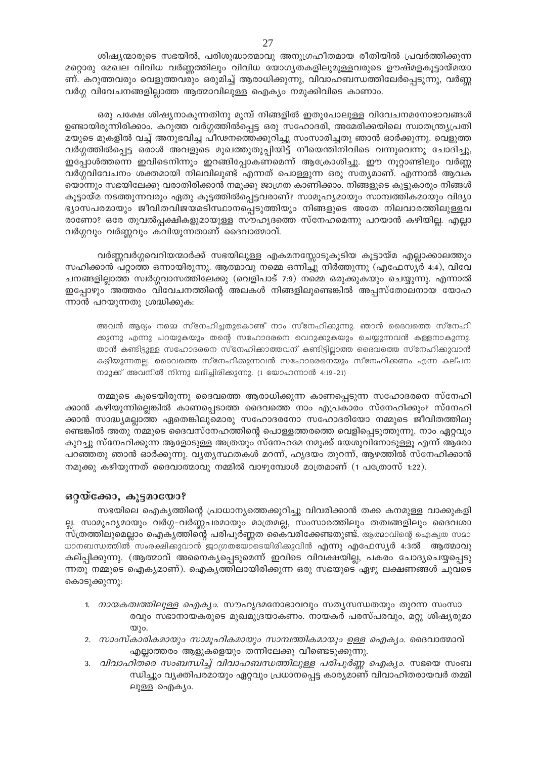ശിഷ്യന്മാരുടെ സഭയിൽ, പരിശുദ്ധാത്മാവു അനുഗ്രഹീതമായ രീതിയിൽ പ്രവർത്തിക്കുന്ന മറ്റൊരു മേഖല വിവിധ വർണ്ണത്തിലും വിവിധ യോഗ്യതകളിലുമുള്ളവരുടെ ഊഷ്മളകൂട്ടായ്മയാ ണ്. കറുത്തവരും വെളുത്തവരും ഒരുമിച്ച് ആരാധിക്കുന്നു, വിവാഹബന്ധത്തിലേർപ്പെടുന്നു, വർണ്ണ വർഗ്ഗ വിവേചനങ്ങളില്ലാത്ത ആത്മാവിലുള്ള ഐക്യം നമുക്കിവിടെ കാണാം.

ഒരു പക്ഷേ ശിഷ്യനാകുന്നതിനു മുമ്പ് നിങ്ങളിൽ ഇതുപോലുള്ള വിവേചനമനോഭാവങ്ങൾ ഉണ്ടായിരുന്നിരിക്കാം. കറുത്ത വർഗ്ഗത്തിൽപ്പെട്ട ഒരു സഹോദരി, അമേരിക്കയിലെ സ്വാതന്ത്ര്യപ്രതി മയുടെ മുകളിൽ വച്ച് അനുഭവിച്ച പീഢനത്തെക്കുറിച്ചു സംസാരിച്ചതു ഞാൻ ഓർക്കുന്നു. വെളുത്ത വർഗ്ഗത്തിൽപ്പെട്ട ഒരാൾ അവളുടെ മുഖത്തുതുപ്പിയിട്ട് നീയെന്തിനിവിടെ വന്നുവെന്നു ചോദിച്ചു, ഇപ്പോൾത്തന്നെ ഇവിടെനിന്നും ഇറങ്ങിപ്പോകണമെന്ന് ആക്രോശിച്ചു. ഈ നൂറ്റാണ്ടിലും വർണ്ണ വർഗ്ഗവിവേചനം ശക്തമായി നിലവിലുണ്ട് എന്നത് പൊള്ളുന്ന ഒരു സത്യമാണ്. എന്നാൽ ആവക യൊന്നും സഭയിലേക്കു വരാതിരിക്കാൻ നമുക്കു ജാഗ്രത കാണിക്കാം. നിങ്ങളുടെ കൂട്ടുകാരും നിങ്ങൾ കൂട്ടായ്മ നടത്തുന്നവരും ഏതു കൂട്ടത്തിൽപ്പെട്ടവരാണ്? സാമൂഹ്യമായും സാമ്പത്തികമായും വിദ്യാ ഭ്യാസപരമായും ജീവിതവിജയമടിസ്ഥാനപ്പെടുത്തിയും നിങ്ങളുടെ അതേ നിലവാരത്തിലുള്ളവ രാണോ? ഒരേ തൂവൽപ്പക്ഷികളുമായുള്ള സൗഹൃദത്തെ സ്നേഹമെന്നു പറയാൻ കഴിയില്ല. എല്ലാ വർഗ്ഗവും വർണ്ണവും കവിയുന്നതാണ് ദൈവാത്മാവ്.

വർണ്ണവർഗ്ഗവെറിയന്മാർക്ക് സഭയിലുള്ള എകമനസ്സോടുകൂടിയ കൂട്ടായ്മ എല്ലാക്കാലത്തും സഹിക്കാൻ പറ്റാത്ത ഒന്നായിരുന്നു. ആത്മാവു നമ്മെ ഒന്നിച്ചു നിർത്തുന്നു (എഫേസ്യർ 4:4), വിവേ ചനങ്ങളില്ലാത്ത സ്വർഗ്ഗവാസത്തിലേക്കു (വെളിപാട് 7:9) നമ്മെ ഒരുക്കുകയും ചെയ്യുന്നു. എന്നാൽ ഇപ്പോഴും അത്തരം വിവേചനത്തിന്റെ അലകൾ നിങ്ങളിലുണ്ടെങ്കിൽ അപ്പസ്തോലനായ യോഹ ന്നാൻ പറയുന്നതു ശ്രദ്ധിക്കുക:

അവൻ ആദ്യം നമ്മെ സ്നേഹിച്ചതുകൊണ്ട് നാം സ്നേഹിക്കുന്നു. ഞാൻ ദൈവത്തെ സ്നേഹി ക്കുന്നു എന്നു പറയുകയും തന്റെ സഹോദരനെ വെറുക്കുകയും ചെയ്യുന്നവൻ കള്ളനാകുന്നു. താൻ കണ്ടിട്ടുള്ള സഹോദരനെ സ്നേഹിക്കാത്തവന് കണ്ടിട്ടില്ലാത്ത ദൈവത്തെ സ്നേഹിക്കുവാൻ കഴിയുന്നതല്ല. ദൈവത്തെ സ്നേഹിക്കുന്നവൻ സഹോദരനെയും സ്നേഹിക്കണം എന്ന കല്പന നമുക്ക് അവനിൽ നിന്നു ലഭിച്ചിരിക്കുന്നു. (1 യോഹന്നാൻ 4:19-21)

നമ്മുടെ കൂടെയിരുന്നു ദൈവത്തെ ആരാധിക്കുന്ന കാണപ്പെടുന്ന സഹോദരനെ സ്നേഹി ക്കാൻ കഴിയുന്നില്ലെങ്കിൽ കാണപ്പെടാത്ത ദൈവത്തെ നാം എപ്രകാരം സ്നേഹിക്കും? സ്നേഹി ക്കാൻ സാദ്ധ്യമല്ലാത്ത ഏതെങ്കിലുമൊരു സഹോദരനോ സഹോദരിയോ നമ്മുടെ ജീവിതത്തിലു ണ്ടെങ്കിൽ അതു നമ്മുടെ ദൈവസ്നേഹത്തിന്റെ പൊള്ളത്തരത്തെ വെളിപ്പെടുത്തുന്നു. നാം ഏറ്റവും കുറച്ചു സ്നേഹിക്കുന്ന ആളോടുള്ള അത്രയും സ്നേഹമേ നമുക്ക് യേശുവിനോടുള്ളൂ എന്ന് ആരോ പറഞ്ഞതു ഞാൻ ഓർക്കുന്നു. വ്യത്യസ്ഥതകൾ മറന്ന്, ഹൃദയം തുറന്ന്, ആഴത്തിൽ സ്നേഹിക്കാൻ നമുക്കു കഴിയുന്നത് ദൈവാത്മാവു നമ്മിൽ വാഴുമ്പോൾ മാത്രമാണ് (1 പത്രോസ് 1:22).

#### ഒറ്റയ്ക്കോ, കൂട്ടമായോ?

സഭയിലെ ഐക്യത്തിന്റെ പ്രാധാന്യത്തെക്കുറിച്ചു വിവരിക്കാൻ തക്ക കനമുള്ള വാക്കുകളി ല്ല. സാമുഹ്യമായും വർഗ്ഗ-വർണ്ണപരമായും മാത്രമല്ല, സംസാരത്തിലും തത്വങ്ങളിലും ദൈവശാ സ്ത്രത്തിലുമെല്ലാം ഐക്യത്തിന്റെ പരിപൂർണ്ണത കൈവരിക്കേണ്ടതുണ്ട്. ആത്മാവിന്റെ ഐക്യത സമാ ധാനബന്ധത്തിൽ സംരക്ഷിക്കുവാൻ ജാഗ്രതയോടെയിരിക്കുവിൻ എന്നു എഫേസ്യർ 4:3ൽ ആത്മാവു കല്പ്പിക്കുന്നു. (ആത്മാവ് അനൈകൃപ്പെടുമെന്ന് ഇവിടെ വിവക്ഷയില്ല, പകരം ചോദൃചെയ്യപ്പെടു ന്നതു നമ്മുടെ ഐക്യമാണ്). ഐക്യത്തിലായിരിക്കുന്ന ഒരു സഭയുടെ ഏഴു ലക്ഷണങ്ങൾ ചുവടെ കൊടുക്കുന്നു:

- 1. *നായകത്വത്തിലുള്ള ഐക്യം.* സൗഹൃദമനോഭാവവും സത്യസന്ധതയും തുറന്ന സംസാ രവും സഭാനായകരുടെ മുഖമുദ്രയാകണം. നായകർ പരസ്പരവും, മറ്റു ശിഷ്യരുമാ  $\omega$ )o.
- 2. സാംസ്കാരികമായും സാമൂഹികമായും സാമ്പത്തികമായും ഉള്ള ഐക്യം. ദൈവാത്മാവ് എല്ലാത്തരം ആളുകളെയും തന്നിലേക്കു വീണ്ടെടുക്കുന്നു.
- 3. *വിവാഹിതരെ സംബന്ധിച്ച് വിവാഹബന്ധത്തിലുള്ള പരിപൂർണ്ണ ഐക്യാ.* സഭയെ സംബ ന്ധിച്ചും വ്യക്തിപരമായും ഏറ്റവും പ്രധാനപ്പെട്ട കാര്യമാണ് വിവാഹിതരായവർ തമ്മി ലുള്ള ഐക്യം.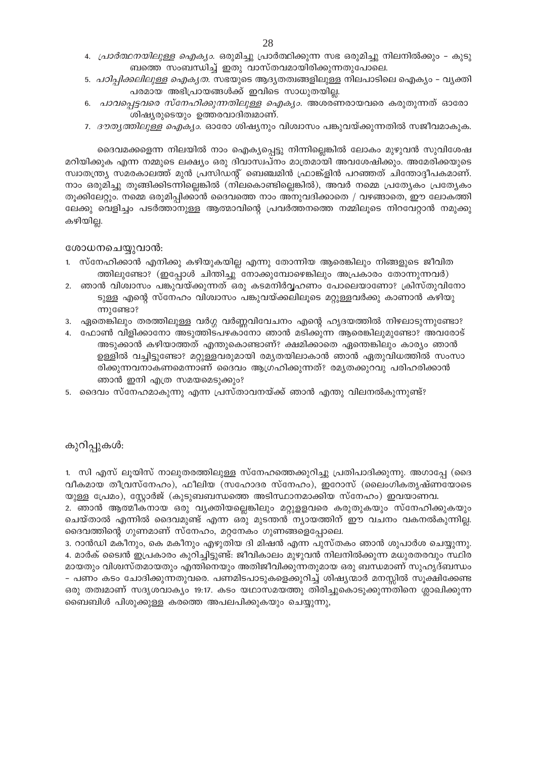- 4. *പ്രാർത്ഥനയിലുള്ള ഐക്യാം.* ഒരുമിച്ചു പ്രാർത്ഥിക്കുന്ന സഭ ഒരുമിച്ചു നിലനിൽക്കും കുടു ബത്തെ സംബന്ധിച്ച് ഇതു വാസ്തവമായിരിക്കുന്നതുപോലെ.
- <u>5. *പഠിപിക്കലിലുള്ള ഐക്യത.* സഭയുടെ ആദ്യതത്വങ്ങളിലുള്ള നിലപാടിലെ ഐക്യം വ്യക്തി</u> പരമായ അഭിപ്രായങ്ങൾക്ക് ഇവിടെ സാധുതയില്ല.
- 6. *പാവപ്പെട്ടവരെ സ്നേഹിക്കുന്നതിലുള്ള ഐക്യാം*. അശരണരായവരെ കരുതുന്നത് ഓരോ ശിഷ്യരുടെയും ഉത്തരവാദിത്വമാണ്.
- 7. *ദൗതൃത്തിലുള്ള ഐക്യം.* ഓരോ ശിഷ്യനും വിശ്വാസം പങ്കുവയ്ക്കുന്നതിൽ സജീവമാകുക.

ദൈവമക്കളെന്ന നിലയിൽ നാം ഐക്യപ്പെട്ടു നിന്നില്ലെങ്കിൽ ലോകം മുഴുവൻ സുവിശേഷ മറിയിക്കുക എന്ന നമ്മുടെ ലക്ഷ്യം ഒരു ദിവാസ്വപ്നം മാത്രമായി അവശേഷിക്കും. അമേരിക്കയുടെ സ്വാതന്ത്ര്യ സമരകാലത്ത് മുൻ പ്രസിഡന്റ് ബെഞ്ചമിൻ ഫ്രാങ്ക്ളിൻ പറഞ്ഞത് ചിന്തോദ്ദീപകമാണ്. നാം ഒരുമിച്ചു തുങ്ങിക്കിടന്നില്ലെങ്കിൽ (നിലകൊണ്ടില്ലെങ്കിൽ), അവർ നമ്മെ പ്രത്യേകം പ്രത്യേകം തുക്കിലേറ്റും. നമ്മെ ഒരുമിപ്പിക്കാൻ ദൈവത്തെ നാം അനുവദിക്കാതെ / വഴങ്ങാതെ, ഈ ലോകത്തി ലേക്കു വെളിച്ചം പടർത്താനുള്ള ആത്മാവിന്റെ പ്രവർത്തനത്തെ നമ്മിലൂടെ നിറവേറ്റാൻ നമുക്കു കഴിയില്ല.

#### ശോധനചെയ്യുവാൻ:

- 1. സ്നേഹിക്കാൻ എനിക്കു കഴിയുകയില്ല എന്നു തോന്നിയ ആരെങ്കിലും നിങ്ങളുടെ ജീവിത ത്തിലുണ്ടോ? (ഇപ്പോൾ ചിന്തിച്ചു നോക്കുമ്പോഴെങ്കിലും അപ്രകാരം തോന്നുന്നവർ)
- 2. ഞാൻ വിശ്വാസം പങ്കുവയ്ക്കുന്നത് ഒരു കടമനിർവ്വഹണം പോലെയാണോ? ക്രിസ്തുവിനോ ടുള്ള എന്റെ സ്നേഹം വിശ്വാസം പങ്കുവയ്ക്കലിലൂടെ മറ്റുള്ളവർക്കു കാണാൻ കഴിയു  $m$ ) അോ?
- 3. ഏതെങ്കിലും തരത്തിലുള്ള വർഗ്ഗ വർണ്ണവിവേചനം എന്റെ ഹൃദയത്തിൽ നിഴലാടുന്നുണ്ടോ?
- 4. ഫോൺ വിളിക്കാനോ അടുത്തിടപഴകാനോ ഞാൻ മടിക്കുന്ന ആരെങ്കിലുമുണ്ടോ? അവരോട്
- അടുക്കാൻ കഴിയാത്തത് എന്തുകൊണ്ടാണ്? ക്ഷമിക്കാതെ ഏന്തെങ്കിലും കാര്യം ഞാൻ ഉള്ളിൽ വച്ചിട്ടുണ്ടോ? മറ്റുള്ളവരുമായി രമ്യതയിലാകാൻ ഞാൻ ഏതുവിധത്തിൽ സംസാ രിക്കുന്നവനാകണമെന്നാണ് ദൈവം ആഗ്രഹിക്കുന്നത്? രമൃതക്കുറവു പരിഹരിക്കാൻ ഞാൻ ഇനി എത്ര സമയമെടുക്കും?
- 5. ദൈവം സ്നേഹമാകുന്നു എന്ന പ്രസ്താവനയ്ക്ക് ഞാൻ എന്തു വിലനൽകുന്നുണ്ട്?

#### കുറിപ്പുകൾ:

1. സി എസ് ലൂയിസ് നാലുതരത്തിലുള്ള സ്നേഹത്തെക്കുറിച്ചു പ്രതിപാദിക്കുന്നു. അഗാപ്പേ (ദൈ വീകമായ തീവ്രസ്നേഹം), ഫീലിയ (സഹോദര സ്നേഹം), ഇറോസ് (ലൈംഗികതൃഷ്ണയോടെ യുള്ള പ്രേമം), സ്റ്റോർജ് (കുടുബബന്ധത്തെ അടിസ്ഥാനമാക്കിയ സ്നേഹം) ഇവയാണവ.

2. ഞാൻ ആത്മീകനായ ഒരു വ്യക്തിയല്ലെങ്കിലും മറ്റുള്ളവരെ കരുതുകയും സ്നേഹിക്കുകയും ചെയ്താൽ എന്നിൽ ദൈവമുണ്ട് എന്ന ഒരു മുടന്തൻ ന്യായത്തിന് ഈ വചനം വകനൽകുന്നില്ല. ദൈവത്തിന്റെ ഗുണമാണ് സ്നേഹം, മറ്റനേകം ഗുണങ്ങളെപ്പോലെ.

3. റാൻഡി മകീനും, കെ മകീനും എഴുതിയ ദി മിഷൻ എന്ന പുസ്തകം ഞാൻ ശുപാർശ ചെയ്യുന്നു. 4. മാർക് ടൈൻ ഇപ്രകാരം കുറിച്ചിട്ടുണ്ട്: ജീവികാലം മുഴുവൻ നിലനിൽക്കുന്ന മധുരതരവും സ്ഥിര മായതും വിശ്വസ്തമായതും എന്തിനെയും അതിജീവിക്കുന്നതുമായ ഒരു ബന്ധമാണ് സുഹൃദ്ബന്ധം - പണം കടം ചോദിക്കുന്നതുവരെ. പണമിടപാടുകളെക്കുറിച്ച് ശിഷ്യന്മാർ മനസ്സിൽ സുക്ഷിക്കേണ്ട ഒരു തത്വമാണ് സദൃശവാക്യം 19:17. കടം യഥാസമയത്തു തിരിച്ചുകൊടുക്കുന്നതിനെ ശ്ലാഖിക്കുന്ന ബൈബിൾ പിശുക്കുള്ള കരത്തെ അപലപിക്കുകയും ചെയ്യുന്നു,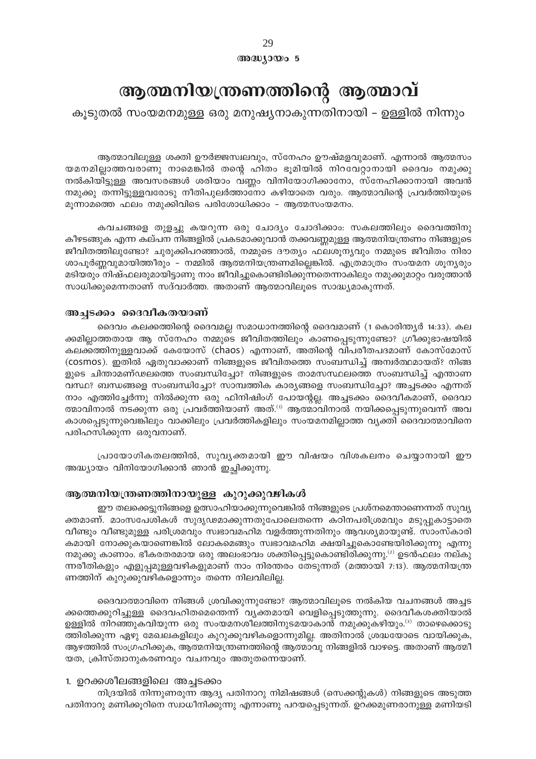അദ്ധ്യായം 5

## ആത്മനിയന്ത്രണത്തിന്റെ ആത്മാവ്

കൂടുതൽ സംയമനമുള്ള ഒരു മനുഷ്യനാകുന്നതിനായി – ഉള്ളിൽ നിന്നും

ആത്മാവിലുള്ള ശക്തി ഊർജ്ജസ്വലവും, സ്നേഹം ഊഷ്മളവുമാണ്. എന്നാൽ ആത്മസം യമനമില്ലാത്തവരാണു നാമെങ്കിൽ തന്റെ ഹിതം ഭൂമിയിൽ നിറവേറ്റാനായി ദൈവം നമുക്കു നൽകിയിട്ടുള്ള അവസരങ്ങൾ ശരിയാം വണ്ണം വിനിയോഗിക്കാനോ, സ്നേഹിക്കാനായി അവൻ നമുക്കു തന്നിട്ടുള്ളവരോടു നീതിപുലർത്താനോ കഴിയാതെ വരും. ആത്മാവിന്റെ പ്രവർത്തിയുടെ മൂന്നാമത്തെ ഫലം നമുക്കിവിടെ പരിശോധിക്കാം - ആത്മസംയമനം.

കവചങ്ങളെ തുളച്ചു കയറുന്ന ഒരു ചോദ്യം ചോദിക്കാം: സകലത്തിലും ദൈവത്തിനു കീഴടങ്ങുക എന്ന കല്പന നിങ്ങളിൽ പ്രകടമാക്കുവാൻ തക്കവണ്ണമുള്ള ആത്മനിയന്ത്രണം നിങ്ങളുടെ ജീവിതത്തിലുണ്ടോ? ചുരുക്കിപറഞ്ഞാൽ, നമ്മുടെ ദൗത്യം ഫലശൂന്യവും നമ്മുടെ ജീവിതം നിരാ ശാപൂർണ്ണവുമായിത്തീരും - നമ്മിൽ ആത്മനിയന്ത്രണമില്ലെങ്കിൽ. എത്രമാത്രം സംയമന ശൂന്യരും മടിയരും നിഷ്ഫലരുമായിട്ടാണു നാം ജീവിച്ചുകൊണ്ടിരിക്കുന്നതെന്നാകിലും നമുക്കുമാറ്റം വരുത്താൻ സാധിക്കുമെന്നതാണ് സദ്വാർത്ത. അതാണ് ആത്മാവിലൂടെ സാദ്ധ്യമാകുന്നത്.

#### അച്ചടക്കം ദൈവീകതയാണ്

ദൈവം കലക്കത്തിന്റെ ദൈവമല്ല സമാധാനത്തിന്റെ ദൈവമാണ് (1 കൊരിന്ത്യർ 14:33). കല ക്കമില്ലാത്തതായ ആ സ്നേഹം നമ്മുടെ ജീവിതത്തിലും കാണപ്പെടുന്നുണ്ടോ? ഗ്രീക്കുഭാഷയിൽ കലക്കത്തിനുള്ളവാക്ക് കേയോസ് (chaos) എന്നാണ്, അതിന്റെ വിപരീതപദമാണ് കോസ്മോസ് (cosmos). ഇതിൽ ഏതുവാക്കാണ് നിങ്ങളുടെ ജീവിതത്തെ സംബന്ധിച്ച് അമ്പർത്ഥമായത്? നിങ്ങ ളുടെ ചിന്താമണ്ഢലത്തെ സംബന്ധിച്ചോ? നിങ്ങളുടെ താമസസ്ഥലത്തെ സംബന്ധിച്ച് എന്താണ വസ്ഥ? ബന്ധങ്ങളെ സംബന്ധിച്ചോ? സാമ്പത്തിക കാര്യങ്ങളെ സംബന്ധിച്ചോ? അച്ചടക്കം എന്നത് നാം എത്തിച്ചേർന്നു നിൽക്കുന്ന ഒരു ഫിനിഷിംഗ് പോയന്റല്ല. അച്ചടക്കം ദൈവീകമാണ്, ദൈവാ ത്മാവിനാൽ നടക്കുന്ന ഒരു പ്രവർത്തിയാണ് അത്.<sup>ന</sup> ആത്മാവിനാൽ നയിക്കപ്പെടുന്നുവെന്ന് അവ കാശപ്പെടുന്നുവെങ്കിലും വാക്കിലും പ്രവർത്തികളിലും സംയമനമില്ലാത്ത വ്യക്തി ദൈവാത്മാവിനെ പരിഹസിക്കുന്ന ഒരുവനാണ്.

പ്രായോഗികതലത്തിൽ, സുവൃക്തമായി ഈ വിഷയം വിശകലനം ചെയ്യാനായി ഈ അദ്ധ്യായം വിനിയോഗിക്കാൻ ഞാൻ ഇച്ഛിക്കുന്നു.

#### ആത്മനിയന്ത്രണത്തിനായുള്ള കുറുക്കുവഴികൾ

ഈ തലക്കെട്ടുനിങ്ങളെ ഉത്സാഹിയാക്കുന്നുവെങ്കിൽ നിങ്ങളുടെ പ്രശ്നമെന്താണെന്നത് സുവൃ ക്തമാണ്. മാംസപേശികൾ സുദൃഢമാക്കുന്നതുപോലെതന്നെ കഠിനപരിശ്രമവും മടുപ്പുകാട്ടാതെ വീണ്ടും വീണ്ടുമുള്ള പരിശ്രമവും സ്വഭാവമഹിമ വളർത്തുന്നതിനും ആവശ്യമായുണ്ട്. സാംസ്കാരി കമായി നോക്കുകയാണെങ്കിൽ ലോകമെങ്ങും സ്വഭാവമഹിമ ക്ഷയിച്ചുകൊണ്ടേയിരിക്കുന്നു എന്നു നമുക്കു കാണാം. ഭീകരതരമായ ഒരു അലംഭാവം ശക്തിപ്പെട്ടുകൊണ്ടിരിക്കുന്നു.<sup>(2)</sup> ഉടൻഫലം നല്കു ന്നരീതികളും എളുപ്പമുള്ളവഴികളുമാണ് നാം നിരന്തരം തേടുന്നത് (മത്തായി 7:13). ആത്മനിയന്ത്ര ണത്തിന് കുറുക്കുവഴികളൊന്നും തന്നെ നിലവിലില്ല.

ദൈവാത്മാവിനെ നിങ്ങൾ ശ്രവിക്കുന്നുണ്ടോ? ആത്മാവിലൂടെ നൽകിയ വചനങ്ങൾ അച്ചട ക്കത്തെക്കുറിച്ചുള്ള ദൈവഹിതമെന്തെന്ന് വ്യക്തമായി വെളിപ്പെടുത്തുന്നു. ദൈവീകശക്തിയാൽ ഉള്ളിൽ നിറഞ്ഞുകവിയുന്ന ഒരു സംയമനശീലത്തിനുടമയാകാൻ നമുക്കുകഴിയും.<sup>ദു</sup> താഴെക്കൊടു ത്തിരിക്കുന്ന ഏഴു മേഖലകളിലും കുറുക്കുവഴികളൊന്നുമില്ല. അതിനാൽ ശ്രദ്ധയോടെ വായിക്കുക, ആഴത്തിൽ സംഗ്രഹിക്കുക, ആത്മനിയന്ത്രണത്തിന്റെ ആത്മാവു നിങ്ങളിൽ വാഴട്ടെ. അതാണ് ആത്മീ യത, ക്രിസ്ത്വാനുകരണവും വചനവും അതുതന്നെയാണ്.

#### 1. ഉറക്കശീലങ്ങളിലെ അച്ചടക്കം

നിദ്രയിൽ നിന്നുണരുന്ന ആദ്യ പതിനാറു നിമിഷങ്ങൾ (സെക്കന്റുകൾ) നിങ്ങളുടെ അടുത്ത പതിനാറു മണിക്കൂറിനെ സ്വാധീനിക്കുന്നു എന്നാണു പറയപ്പെടുന്നത്. ഉറക്കമുണരാനുള്ള മണിയടി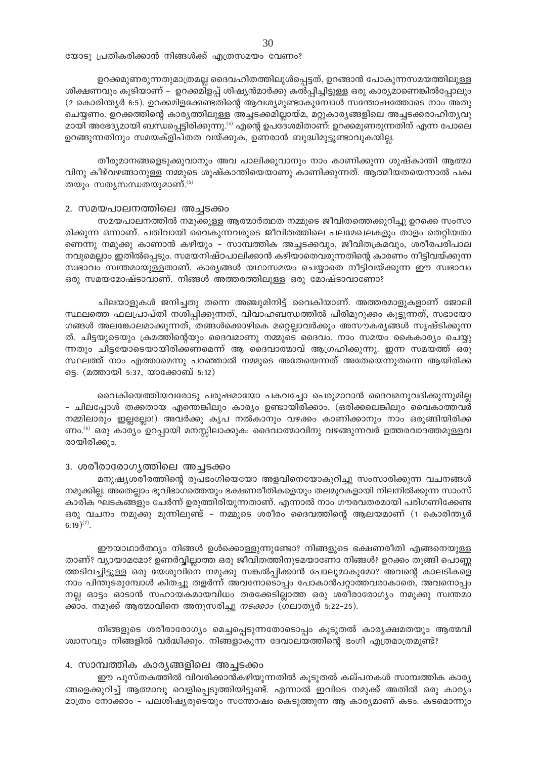യോട്വ പ്രതികരിക്കാൻ നിങ്ങൾക്ക് എത്രസമയം വേണം?

ഉറക്കമുണരുന്നതുമാത്രമല്ല ദൈവഹിതത്തിലുൾപ്പെട്ടത്, ഉറങ്ങാൻ പോകുന്നസമയത്തിലുള്ള ശിക്ഷണവും കൂടിയാണ് – ഉറക്കമിളപ്പ് ശിഷ്യൻമാർക്കു കൽപ്പിച്ചിട്ടുള്ള ഒരു കാര്യമാണെങ്കിൽപ്പോലും (2 കൊരിന്ത്യർ 6:5). ഉറക്കമിളക്കേണ്ടതിന്റെ ആവശ്യമുണ്ടാകുമ്പോൾ സന്തോഷത്തോടെ നാം അതു ചെയ്യണം. ഉറക്കത്തിന്റെ കാര്യത്തിലുള്ള അച്ചടക്കമില്ലായ്മ, മറ്റുകാര്യങ്ങളിലെ അച്ചടക്കരാഹിത്യവു മായി അഭേദ്യമായി ബന്ധപ്പെട്ടിരിക്കുന്നു.<sup>(4)</sup> എന്റെ ഉപദേശമിതാണ്: ഉറക്കമുണരുന്നതിന് എന്ന പോലെ ഉറങ്ങുന്നതിനും സമയക്ളിപ്തത വയ്ക്കുക, ഉണരാൻ ബുദ്ധിമുട്ടുണ്ടാവുകയില്ല.

തീരുമാനങ്ങളെടുക്കുവാനും അവ പാലിക്കുവാനും നാം കാണിക്കുന്ന ശുഷ്കാന്തി ആത്മാ വിനു കീഴ്വഴങ്ങാനുള്ള നമ്മുടെ ശുഷ്കാന്തിയെയാണു കാണിക്കുന്നത്. ആത്മീയതയെന്നാൽ പക്വ തയും സതൃസന്ധതയുമാണ്.  $^{(5)}$ 

#### 2. സമയപാലനത്തിലെ അച്ചടക്കം

സമയപാലനത്തിൽ നമുക്കുള്ള ആത്മാർത്ഥത നമ്മുടെ ജീവിതത്തെക്കുറിച്ചു ഉറക്കെ സംസാ രിക്കുന്ന ഒന്നാണ്. പതിവായി വൈകുന്നവരുടെ ജീവിതത്തിലെ പലമേഖലകളും താളം തെറ്റിയതാ ണെന്നു നമുക്കു കാണാൻ കഴിയും - സാമ്പത്തിക അച്ചടക്കവും, ജീവിതക്രമവും, ശരീരപരിപാല നവുമെല്ലാം ഇതിൽപ്പെടും. സമയനിഷ്ഠപാലിക്കാൻ കഴിയാതെവരുന്നതിന്റെ കാരണം നീട്ടിവയ്ക്കുന്ന സ്വഭാവം സ്വന്തമായുള്ളതാണ്. കാരൃങ്ങൾ യഥാസമയം ചെയ്യാതെ നീട്ടിവയ്ക്കുന്ന ഈ സ്വഭാവം ഒരു സമയമോഷ്ടാവാണ്. നിങ്ങൾ അത്തരത്തിലുള്ള ഒരു മോഷ്ടാവാണോ?

ചിലയാളുകൾ ജനിച്ചതു തന്നെ അഞ്ചുമിനിട്ട് വൈകിയാണ്. അത്തരമാളുകളാണ് ജോലി സ്ഥലത്തെ ഫലപ്രാപ്തി നശിപ്പിക്കുന്നത്, വിവാഹബന്ധത്തിൽ പിരിമുറുക്കം കൂട്ടുന്നത്, സഭായോ ഗങ്ങൾ അലങ്കോലമാക്കുന്നത്, തങ്ങൾക്കൊഴികെ മറ്റെല്ലാവർക്കും അസൗകര്യങ്ങൾ സൃഷ്ടിക്കുന്ന ത്. ചിട്ടയുടെയും ക്രമത്തിന്റെയും ദൈവമാണു നമ്മുടെ ദൈവം. നാം സമയം കൈകാര്യം ചെയ്യു ന്നതും ചിട്ടയോടെയായിരിക്കണമെന്ന് ആ ദൈവാത്മാവ് ആഗ്രഹിക്കുന്നു. ഇന്ന സമയത്ത് ഒരു സ്ഥലത്ത് നാം എത്താമെന്നു പറഞ്ഞാൽ നമ്മുടെ അതേയെന്നത് അതേയെന്നുതന്നെ ആയിരിക്ക ട്ടെ. (മത്തായി 5:37, യാക്കോബ് 5:12)

വൈകിയെത്തിയവരോടു പരുഷമായോ പകവച്ചോ പെരുമാറാൻ ദൈവമനുവദിക്കുന്നുമില്ല - ചിലപ്പോൾ തക്കതായ എന്തെങ്കിലും കാര്യം ഉണ്ടായിരിക്കാം. (ഒരിക്കലെങ്കിലും വൈകാത്തവർ നമ്മിലാരും ഇല്ലല്ലോ!) അവർക്കു കൃപ നൽകാനും വഴക്കം കാണിക്കാനും നാം ഒരുങ്ങിയിരിക്ക ണം.<sup>(6)</sup> ഒരു കാര്യം ഉറപ്പായി മനസ്സിലാക്കുക: ദൈവാത്മാവിനു വഴങ്ങുന്നവർ ഉത്തരവാദത്തമുള്ളവ രായിരിക്കും.

#### 3. ശരീരാരോഗൃത്തിലെ അച്ചടക്കം

മനുഷ്യശരീരത്തിന്റെ രൂപഭംഗിയെയോ അളവിനെയോകുറിച്ചു സംസാരിക്കുന്ന വചനങ്ങൾ നമുക്കില്ല. അതെല്ലാം ഭൂവിഭാഗത്തെയും ഭക്ഷണരീതികളെയും തലമുറകളായി നിലനിൽക്കുന്ന സാംസ് കാരിക ഘടകങ്ങളും ചേർന്ന് ഉരുത്തിരിയുന്നതാണ്. എന്നാൽ നാം ഗൗരവതരമായി പരിഗണിക്കേണ്ട ഒരു വചനം നമുക്കു മുന്നിലുണ്ട് - നമ്മുടെ ശരീരം ദൈവത്തിന്റെ ആലയമാണ് (1 കൊരിന്ത്യർ  $(6:19)^{(7)}$ .

ഈയാഥാർത്ഥ്യം നിങ്ങൾ ഉൾക്കൊള്ളുന്നുണ്ടോ? നിങ്ങളുടെ ഭക്ഷണരീതി എങ്ങനെയുള്ള താണ്? വ്യായാമമോ? ഉണർവ്വില്ലാത്ത ഒരു ജീവിതത്തിനുടമയാണോ നിങ്ങൾ? ഉറക്കം തൂങ്ങി പൊണ്ണ ത്തടിവച്ചിട്ടുള്ള ഒരു യേശുവിനെ നമുക്കു സങ്കൽപ്പിക്കാൻ പോലുമാകുമോ? അവന്റെ കാലടികളെ നാം പിന്തുടരുമ്പോൾ കിതച്ചു തളർന്ന് അവനോടൊപ്പം പോകാൻപറ്റാത്തവരാകാതെ, അവനൊപ്പം നല്ല ഓട്ടം ഓടാൻ സഹായകമായവിധം തരക്കേടില്ലാത്ത ഒരു ശരീരാരോഗ്യം നമുക്കു സ്വന്തമാ ക്കാം. നമുക്ക് ആത്മാവിനെ അനുസരിച്ചു *നടക്കാം* (ഗലാതൃർ 5:22–25).

നിങ്ങളുടെ ശരീരാരോഗ്യം മെച്ചപ്പെടുന്നതോടൊപ്പം കൂടുതൽ കാര്യക്ഷമതയും ആത്മവി ശ്വാസവും നിങ്ങളിൽ വർദ്ധിക്കും. നിങ്ങളാകുന്ന ദേവാലയത്തിന്റെ ഭംഗി എത്രമാത്രമുണ്ട്?

#### 4. സാമ്പത്തിക കാര്യങ്ങളിലെ അച്ചടക്കം

ഈ പുസ്തകത്തിൽ വിവരിക്കാൻകഴിയുന്നതിൽ കൂടുതൽ കല്പനകൾ സാമ്പത്തിക കാര്യ ങ്ങളെക്കുറിച്ച് ആത്മാവു വെളിപ്പെടുത്തിയിട്ടുണ്ട്. എന്നാൽ ഇവിടെ നമുക്ക് അതിൽ ഒരു കാര്യം മാത്രം നോക്കാം - പലശിഷ്യരുടെയും സന്തോഷം കെടുത്തുന്ന ആ കാര്യമാണ് കടം. കടമൊന്നും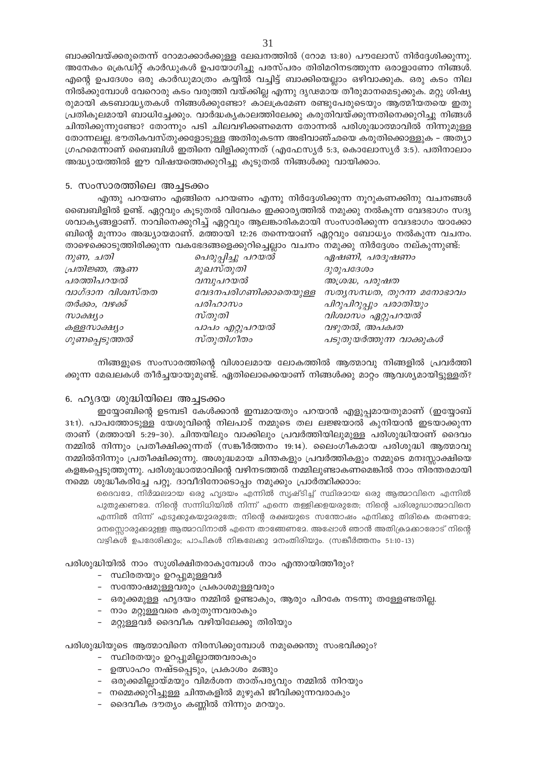ബാക്കിവയ്ക്കരുതെന്ന് റോമാക്കാർക്കുള്ള ലേഖനത്തിൽ (റോമ 13:80) പൗലോസ് നിർദ്ദേശിക്കുന്നു. അനേകം ക്രെഡിറ്റ് കാർഡുകൾ ഉപയോഗിച്ചു പരസ്പരം തിരിമറിനടത്തുന്ന ഒരാളാണോ നിങ്ങൾ. എന്റെ ഉപദേശം ഒരു കാർഡുമാത്രം കയ്യിൽ വച്ചിട്ട് ബാക്കിയെല്ലാം ഒഴിവാക്കുക. ഒരു കടം നില നിൽക്കുമ്പോൾ വേറൊരു കടം വരുത്തി വയ്ക്കില്ല എന്നു ദൃഢമായ തീരുമാനമെടുക്കുക. മറ്റു ശിഷ്യ രുമായി കടബാദ്ധ്യതകൾ നിങ്ങൾക്കുണ്ടോ? കാലക്രമേണ രണ്ടുപേരുടെയും ആത്മീയതയെ ഇതു പ്രതികുലമായി ബാധിച്ചേക്കും. വാർദ്ധകൃകാലത്തിലേക്കു കരുതിവയ്ക്കുന്നതിനെക്കുറിച്ചു നിങ്ങൾ ചിന്തിക്കുന്നുണ്ടോ? തോന്നും പടി ചിലവഴിക്കണമെന്ന തോന്നൽ പരിശുദ്ധാത്മാവിൽ നിന്നുമുള്ള തോന്നലല്ല. ഭൗതികവസ്തുക്കളോടുള്ള അതിരുകടന്ന അഭിവാഞ്ഛയെ കരുതിക്കൊള്ളുക – അത്യാ ഗ്രഹമെന്നാണ് ബൈബിൾ ഇതിനെ വിളിക്കുന്നത് (എഫേസ്യർ 5:3, കൊലോസ്യർ 3:5). പതിനാലാം അദ്ധ്യായത്തിൽ ഈ വിഷയത്തെക്കുറിച്ചു കൂടുതൽ നിങ്ങൾക്കു വായിക്കാം.

#### 5. സംസാരത്തിലെ അച്ചടക്കം

എന്തു പറയണം എങ്ങിനെ പറയണം എന്നു നിർദ്ദേശിക്കുന്ന നൂറുകണക്കിനു വചനങ്ങൾ ബൈബിളിൽ ഉണ്ട്. ഏറ്റവും കൂടുതൽ വിവേകം ഇക്കാര്യത്തിൽ നമുക്കു നൽകുന്ന വേദഭാഗം സദൃ ശവാകൃങ്ങളാണ്. നാവിനെക്കുറിച്ച് ഏറ്റവും ആലങ്കാരികമായി സംസാരിക്കുന്ന വേദഭാഗം യാക്കോ ബിന്റെ മുന്നാം അദ്ധ്യായമാണ്. മത്തായി 12:26 തന്നെയാണ് ഏറ്റവും ബോധ്യം നൽകുന്ന വചനം. താഴെക്കൊടുത്തിരിക്കുന്ന വകഭേദങ്ങളെക്കുറിച്ചെല്ലാം വചനം നമുക്കു നിർദ്ദേശം നല്കുന്നുണ്ട്:

|                   | 0∪ —                  |                             |
|-------------------|-----------------------|-----------------------------|
| നുണ, ചതി          | പെരുപ്പിച്ചു പറയൽ     | ഏഷണി, പരദൂഷണം               |
| പ്രതിജ്ഞ, ആണ      | മുഖസ്തുതി             | ദുരുപദേശം                   |
| പരത്തിപറയൽ        | വമ്പുപറയൽ             | അശ്രദ്ധ, പരുഷത              |
| വാഗ്ദാന വിശ്വസ്തത | വേദനപരിഗണിക്കാതെയുള്ള | $m$ തൃസന്ധത, തുറന്ന മനോഭാവം |
| തർക്കം, വഴക്ക്    | പരിഹാസം               | പിറുപിറുപ്പും പരാതിയും      |
| സാക്ഷ്യാ          | സ്തുതി                | വിശ്വാസം ഏറ്റുപറയൽ          |
| കള്ളസാക്ഷ്യം      | പാപം എറ്റുപറയൽ        | വഴുതൽ, അപക്വത               |
| ഗുണപ്പെടുത്തൽ     | സ്തുതിഗീതം            | പടുതുയർത്തുന്ന വാക്കുകൾ     |

നിങ്ങളുടെ സംസാരത്തിന്റെ വിശാലമായ ലോകത്തിൽ ആത്മാവു നിങ്ങളിൽ പ്രവർത്തി ക്കുന്ന മേഖലകൾ തീർച്ചയായുമുണ്ട്. ഏതിലൊക്കെയാണ് നിങ്ങൾക്കു മാറ്റം ആവശ്യമായിട്ടുള്ളത്?

#### 6. ഹ്യദയ ശുദ്ധിയിലെ അച്ചടക്കം

ഇയ്യോബിന്റെ ഉടമ്പടി കേൾക്കാൻ ഇമ്പമായതും പറയാൻ എളുപ്പമായതുമാണ് (ഇയ്യോബ് 31:1). പാപത്തോടുള്ള യേശുവിന്റെ നിലപാട് നമ്മുടെ തല ലജ്ജയാൽ കുനിയാൻ ഇടയാക്കുന്ന താണ് (മത്തായി 5:29–30). ചിന്തയിലും വാക്കിലും പ്രവർത്തിയിലുമുള്ള പരിശുദ്ധിയാണ് ദൈവം നമ്മിൽ നിന്നും പ്രതീക്ഷിക്കുന്നത് (സങ്കീർത്തനം 19:14). ലൈംഗീകമായ പരിശുദ്ധി ആത്മാവു നമ്മിൽനിന്നും പ്രതീക്ഷിക്കുന്നു. അശുദ്ധമായ ചിന്തകളും പ്രവർത്തികളും നമ്മുടെ മനഃസ്സാക്ഷിയെ കളങ്കപ്പെടുത്തുന്നു. പരിശുദ്ധാത്മാവിന്റെ വഴിനടത്തൽ നമ്മിലുണ്ടാകണമെങ്കിൽ നാം നിരന്തരമായി നമ്മെ ശുദ്ധീകരിച്ചേ പറ്റൂ. ദാവീദിനോടൊപ്പം നമുക്കും പ്രാർത്ഥിക്കാാം:

ദൈവദേ, നിർമ്മലമായ ഒരു ഹൃദയം എന്നിൽ സൃഷ്ടിച്ച് സ്ഥിരമായ ഒരു ആത്മാവിനെ എന്നിൽ പുതുകണമേ. നിന്റെ സന്നിധിയിൽ നിന്ന് എന്നെ തള്ളിക്കളയരുതേ; നിന്റെ പരിശുദ്ധാത്മാവിനെ എന്നിൽ നിന്ന് എടുക്കുകയുമരുതേ; നിന്റെ രക്ഷയുടെ സന്തോഷം എനിക്കു തിരികെ തരണമേ; 2നസൊരുക്കമുള്ള ആത്മാവിനാൽ എന്നെ താങ്ങേണമേ. അഷോൾ ഞാൻ അതിക്രമക്കാരോട് നിൻെ വഴികൾ ഉപദേശിക്കും; പാപികൾ നികലേക്കു മനംതിരിയും. (സങ്കീർത്തനം 51:10-13)

പരിശുദ്ധിയിൽ നാം സുശിക്ഷിതരാകുമ്പോൾ നാം എന്തായിത്തീരും?

- സ്ഥിരതയും ഉറപ്പുമുള്ളവർ
- സന്തോഷമുള്ളവരും പ്രകാശമുള്ളവരും
- ഒരുക്കമുള്ള ഹ്യദയം നമ്മിൽ ഉണ്ടാകും, ആരും പിറകേ നടന്നു തള്ളേണ്ടതില്ല.
- നാം മറ്റുള്ളവരെ കരുതുന്നവരാകും
- മറ്റുള്ളവർ ദൈവീക വഴിയിലേക്കു തിരിയും

പരിശുദ്ധിയുടെ ആത്മാവിനെ നിരസിക്കുമ്പോൾ നമുക്കെന്തു സംഭവിക്കും?

- സ്ഥിരതയും ഉറപ്പുമില്ലാത്തവരാകും
- ഉത്സാഹം നഷ്ടപ്പെടും, പ്രകാശം മങ്ങും
- ഒരുക്കമില്ലായ്മയും വിമർശന താത്പര്യവും നമ്മിൽ നിറയും
- നമ്മെക്കുറിച്ചുള്ള ചിന്തകളിൽ മുഴുകി ജീവിക്കുന്നവരാകും
- ദൈവീക ദൗത്യം കണ്ണിൽ നിന്നും മറയും.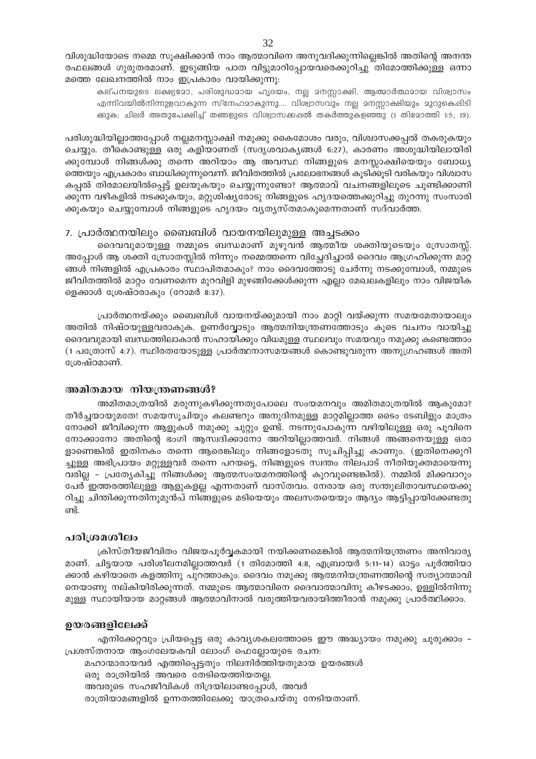വിശുദ്ധിയോടെ നമ്മെ സൂക്ഷിക്കാൻ നാം ആത്മാവിനെ അനുവദിക്കുന്നില്ലെങ്കിൽ അതിന്റെ അനന്ത രഫലങ്ങൾ ഗുരുതരമാണ്. ഇടുങ്ങിയ പാത വിട്ടുമാറിപ്പോയവരെക്കുറിച്ചു തിമോത്തിക്കുള്ള ഒന്നാ മത്തെ ലേഖനത്തിൽ നാം ഇപ്രകാരം വായിക്കുന്നു:

കല്പനയുടെ ലക്ഷ്യമോ, പരിശുദ്ധമായ ഹൃദയം, നല്ല മനസ്സാക്ഷി, ആത്മാർത്ഥമായ വിശ്വാസം എന്നിവയിൽനിന്നുളവാകുന്ന സ്നേഹമാകുന്നു.... വിശ്വാസവും നല്ല മനസ്സാക്ഷിയും മുറുകെപ്പിടി ക്കുക; ചിലർ അതുപേക്ഷിച്ച് തങ്ങളുടെ വിശ്വാസക്കപ്പൽ തകർത്തുകളഞ്ഞു (1 തിമോത്തി 1:5, 19).

പരിശുദ്ധിയില്ലാത്തപ്പോൾ നല്ലമനസ്സാക്ഷി നമുക്കു കൈമോശം വരും, വിശ്വാസക്കപ്പൽ തകരുകയും ചെയ്യും. തീകൊണ്ടുള്ള ഒരു കളിയാണത് (സദൃശവാകൃങ്ങൾ 6:27), കാരണം അശുദ്ധിയിലായിരി ക്കുമ്പോൾ നിങ്ങൾക്കു തന്നെ അറിയാം ആ അവസ്ഥ നിങ്ങളുടെ മനസ്സാക്ഷിയെയും ബോധ്യ ത്തെയും എപ്രകാരം ബാധിക്കുന്നുവെന്ന്. ജീവിതത്തിൽ പ്രലോഭനങ്ങൾ കൂടിക്കൂടി വരികയും വിശ്വാസ കപ്പൽ തിരമാലയിൽപ്പെട്ട് ഉലയുകയും ചെയ്യുന്നുണ്ടോ? ആത്മാവ് വചനങ്ങളിലൂടെ ചൂണ്ടിക്കാണി ക്കുന്ന വഴികളിൽ നടക്കുകയും, മറ്റുശിഷ്യരോടു നിങ്ങളുടെ ഹൃദയത്തെക്കുറിച്ചു തുറന്നു സംസാരി ക്കുകയും ചെയ്യുമ്പോൾ നിങ്ങളുടെ ഹൃദയം വൃത്യസ്തമാകുമെന്നതാണ് സദ്വാർത്ത.

#### 7. പ്രാർത്ഥനയിലും ബൈബിൾ വായനയിലുമുള്ള അച്ചടക്കം

ദൈവവുമായുള്ള നമ്മുടെ ബന്ധമാണ് മുഴുവൻ ആത്മീയ ശക്തിയുടെയും സ്രോതസ്സ്. അപ്പോൾ ആ ശക്തി സ്രോതസ്സിൽ നിന്നും നമ്മെത്തന്നെ വിച്ഛേദിച്ചാൽ ദൈവം ആഗ്രഹിക്കുന്ന മാറ്റ ങ്ങൾ നിങ്ങളിൽ എപ്രകാരം സ്ഥാപിതമാകും? നാം ദൈവത്തോടു ചേർന്നു നടക്കുമ്പോൾ, നമ്മുടെ ജീവിതത്തിൽ മാറ്റം വേണമെന്ന മുറവിളി മുഴങ്ങിക്കേൾക്കുന്ന എല്ലാ മേഖലകളിലും നാം വിജയിക ളെക്കാൾ ശ്രേഷ്ഠരാകും (റോമർ 8:37).

പ്രാർത്ഥനയ്ക്കും ബൈബിൾ വായനയ്ക്കുമായി നാം മാറ്റി വയ്ക്കുന്ന സമയമേതായാലും അതിൽ നിഷ്ഠയുള്ളവരാകുക. ഉണർവ്വോടും ആത്മനിയന്ത്രണത്തോടും കൂടെ വചനം വായിച്ചു ദൈവവുമായി ബന്ധത്തിലാകാൻ സഹായിക്കും വിധമുള്ള സ്ഥലവും സമയവും നമുക്കു കണ്ടെത്താം (1 പത്രോസ് 4:7). സ്ഥിരതയോടുള്ള പ്രാർത്ഥനാസമയങ്ങൾ കൊണ്ടുവരുന്ന അനുഗ്രഹങ്ങൾ അതി ശ്രേഷ്ഠമാണ്.

#### അമിതമായ നിയന്ത്രണങ്ങൾ?

അമിതമാത്രയിൽ മരുന്നുകഴിക്കുന്നതുപോലെ സംയമനവും അമിതമാത്രയിൽ ആകുമോ? തീർച്ചയായുമതേ! സമയസൂചിയും കലണ്ടറും അനുദിനമുള്ള മാറ്റമില്ലാത്ത ടൈം ടേബിളും മാത്രം നോക്കി ജീവിക്കുന്ന ആളുകൾ നമുക്കു ചുറ്റും ഉണ്ട്. നടന്നുപോകുന്ന വഴിയിലുള്ള ഒരു പൂവിനെ നോക്കാനോ അതിന്റെ ഭംഗി ആസ്വദിക്കാനോ അറിയില്ലാത്തവർ. നിങ്ങൾ അങ്ങനെയുള്ള ഒരാ ളാണെങ്കിൽ ഇതിനകം തന്നെ ആരെങ്കിലും നിങ്ങളോടതു സൂചിപ്പിച്ചു കാണും. (ഇതിനെക്കുറി ച്ചുള്ള അഭിപ്രായം മറ്റുള്ളവർ തന്നെ പറയട്ടെ, നിങ്ങളുടെ സ്വന്തം നിലപാട് നീതിയുക്തമായെന്നു വരില്ല - പ്രത്യേകിച്ചു നിങ്ങൾക്കു ആത്മസംയമനത്തിന്റെ കുറവുണ്ടെങ്കിൽ). നമ്മിൽ മിക്കവാറും പേർ ഇത്തരത്തിലുള്ള ആളുകളല്ല എന്നതാണ് വാസ്തവം. നേരായ ഒരു സന്തുലിതാവസ്ഥയെക്കു റിച്ചു ചിന്തിക്കുന്നതിനുമുൻപ് നിങ്ങളുടെ മടിയെയും അലസതയെയും ആദ്യം ആട്ടിപ്പായിക്കേണ്ടതു ണ്ട്.

#### പരിശ്രമശീലം

ക്രിസ്തീയജീവിതം വിജയപൂർവ്വകമായി നയിക്കണമെങ്കിൽ ആത്മനിയന്ത്രണം അനിവാര്യ മാണ്. ചിട്ടയായ പരിശീലനമില്ലാത്തവർ (1 തിമോത്തി 4:8, എബ്രായർ 5:11-14) ഓട്ടം പൂർത്തിയാ ക്കാൻ കഴിയാതെ കളത്തിനു പുറത്താകും. ദൈവം നമുക്കു ആത്മനിയന്ത്രണത്തിന്റെ സത്യാത്മാവി നെയാണു നല്കിയിരിക്കുന്നത്. നമ്മുടെ ആത്മാവിനെ ദൈവാത്മാവിനു കീഴടക്കാം, ഉള്ളിൽനിന്നു മുള്ള സ്ഥായിയായ മാറ്റങ്ങൾ ആത്മാവിനാൽ വരുത്തിയവരായിത്തീരാൻ നമുക്കു പ്രാർത്ഥിക്കാം.

#### ഊരങ്ങളിലേക്ക്

എനിക്കേറ്റവും പ്രിയപ്പെട്ട ഒരു കാവ്യശകലത്തോടെ ഈ അദ്ധ്യായം നമുക്കു ചുരുക്കാം -പ്രശസ്തനായ ആംഗലേയകവി ലോംഗ് ഫെല്ലോയുടെ രചന:

മഹാന്മാരായവർ എത്തിപ്പെട്ടതും നിലനിർത്തിയതുമായ ഉയരങ്ങൾ

ഒരു രാത്രിയിൽ അവരെ തേടിയെത്തിയതല്ല.

അവരുടെ സഹജീവികൾ നിദ്രയിലാണ്ടപ്പോൾ, അവർ

രാത്രിയാമങ്ങളിൽ ഉന്നതത്തിലേക്കു യാത്രചെയ്തു നേടിയതാണ്.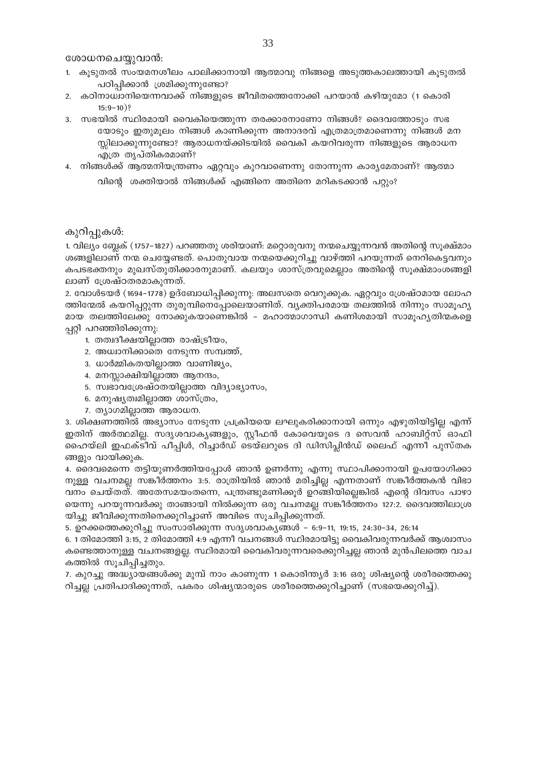ശോധനചെയ്യുവാൻ:

- 1. കൂടുതൽ സംയമനശീലം പാലിക്കാനായി ആത്മാവു നിങ്ങളെ അടുത്തകാലത്തായി കൂടുതൽ പഠിപ്പിക്കാൻ ശ്രമിക്കുന്നുണ്ടോ?
- 2. കഠിനാധ്വാനിയെന്നവാക്ക് നിങ്ങളുടെ ജീവിതത്തെനോക്കി പറയാൻ കഴിയുമോ (1 കൊരി  $15:9-10$ ?
- 3. സഭയിൽ സ്ഥിരമായി വൈകിയെത്തുന്ന തരക്കാരനാണോ നിങ്ങൾ? ദൈവത്തോടും സഭ യോടും ഇതുമൂലം നിങ്ങൾ കാണിക്കുന്ന അനാദരവ് എത്രമാത്രമാണെന്നു നിങ്ങൾ മന സ്സിലാക്കുന്നുണ്ടോ? ആരാധനയ്ക്കിടയിൽ വൈകി കയറിവരുന്ന നിങ്ങളുടെ ആരാധന എത്ര തൃപ്തികരമാണ്?
- 4. നിങ്ങൾക്ക് ആത്മനിയന്ത്രണം ഏറ്റവും കുറവാണെന്നു തോന്നുന്ന കാര്യമേതാണ്? ആത്മാ വിന്റെ ശക്തിയാൽ നിങ്ങൾക്ക് എങ്ങിനെ അതിനെ മറികടക്കാൻ പറ്റും?

കുറിപ്പുകൾ:

1. വില്യം ബ്ലേക് (1757–1827) പറഞ്ഞതു ശരിയാണ്: മറ്റൊരുവനു നന്മചെയ്യുന്നവൻ അതിന്റെ സൂക്ഷ്മാം ശങ്ങളിലാണ് നന്മ ചെയ്യേണ്ടത്. പൊതുവായ നന്മയെക്കുറിച്ചു വാഴ്ത്തി പറയുന്നത് നെറികെട്ടവനും കപടഭക്തനും മുഖസ്തുതിക്കാരനുമാണ്. കലയും ശാസ്ത്രവുമെല്ലാം അതിന്റെ സൂക്ഷ്മാംശങ്ങളി ലാണ് ശ്രേഷ്ഠതരമാകുന്നത്.

2. വോൾടയർ (1694–1778) ഉദ്ബോധിപ്പിക്കുന്നു: അലസതെ വെറുക്കുക. ഏറ്റവും ശ്രേഷ്ഠമായ ലോഹ ത്തിന്മേൽ കയറിപ്പറ്റുന്ന തുരുമ്പിനെപ്പോലെയാണിത്. വ്യക്തിപരമായ തലത്തിൽ നിന്നും സാമൂഹ്യ മായ തലത്തിലേക്കു നോക്കുകയാണെങ്കിൽ - മഹാത്മാഗാന്ധി കണിശമായി സാമൂഹൃതിന്മകളെ പ്പറ്റി പറഞ്ഞിരിക്കുന്നു:

- 1. തത്വദീക്ഷയില്ലാത്ത രാഷ്ട്രീയം,
- 2. അധ്വാനിക്കാതെ നേടുന്ന സമ്പത്ത്,
- 3. ധാർമ്മികതയില്ലാത്ത വാണിജ്യം,
- 4. മനസ്സാക്ഷിയില്ലാത്ത ആനന്ദം,
- 5. സ്വഭാവശ്രേഷ്ഠതയില്ലാത്ത വിദ്യാഭ്യാസം,
- 6. മനുഷ്യത്വമില്ലാത്ത ശാസ്ത്രം,
- 7. ത്യാഗമില്ലാത്ത ആരാധന.

3. ശിക്ഷണത്തിൽ അഭ്യാസം നേടുന്ന പ്രക്രിയയെ ലഘുകരിക്കാനായി ഒന്നും എഴുതിയിട്ടില്ല എന്ന് ഇതിന് അർത്ഥമില്ല. സദൃശവാകൃങ്ങളും, സ്റ്റീഫൻ കോവെയുടെ ദ സെവൻ ഹാബിറ്റ്സ് ഓഫി ഹൈയ്ലി ഇഫക്ടീവ് പീപ്പിൾ, റിച്ചാർഡ് ടെയ്ലറുടെ ദി ഡിസിപ്ലിൻഡ് ലൈഫ് എന്നീ പുസ്തക ങ്ങളും വായിക്കുക.

4. ദൈവമെന്നെ തട്ടിയുണർത്തിയപ്പോൾ ഞാൻ ഉണർന്നു എന്നു സ്ഥാപിക്കാനായി ഉപയോഗിക്കാ നുള്ള വചനമല്ല സങ്കീർത്തനം 3:5. രാത്രിയിൽ ഞാൻ മരിച്ചില്ല എന്നതാണ് സങ്കീർത്തകൻ വിഭാ വനം ചെയ്തത്. അതേസമയംതന്നെ, പന്ത്രണ്ടുമണിക്കൂർ ഉറങ്ങിയില്ലെങ്കിൽ എന്റെ ദിവസം പാഴാ യെന്നു പറയുന്നവർക്കു താങ്ങായി നിൽക്കുന്ന ഒരു വചനമല്ല സങ്കീർത്തനം 127:2. ദൈവത്തിലാശ്ര യിച്ചു ജീവിക്കുന്നതിനെക്കുറിച്ചാണ് അവിടെ സൂചിപ്പിക്കുന്നത്.

5. ഉറക്കത്തെക്കുറിച്ചു സംസാരിക്കുന്ന സദൃശവാകൃങ്ങൾ – 6:9–11, 19:15, 24:30–34, 26:14

6. 1 തിമോത്തി 3:15, 2 തിമോത്തി 4:9 എന്നീ വചനങ്ങൾ സ്ഥിരമായിട്ടു വൈകിവരുന്നവർക്ക് ആശ്വാസം കണ്ടെത്താനുള്ള വചനങ്ങളല്ല. സ്ഥിരമായി വൈകിവരുന്നവരെക്കുറിച്ചല്ല ഞാൻ മുൻപിലത്തെ വാച കത്തിൽ സൂചിപ്പിച്ചതും.

7. കുറച്ചു അദ്ധ്യായങ്ങൾക്കു മുമ്പ് നാം കാണുന്ന 1 കൊരിന്ത്യർ 3:16 ഒരു ശിഷ്യന്റെ ശരീരത്തെക്കു റിച്ചല്ല പ്രതിപാദിക്കുന്നത്, പകരം ശിഷ്യന്മാരുടെ ശരീരത്തെക്കുറിച്ചാണ് (സഭയെക്കുറിച്ച്).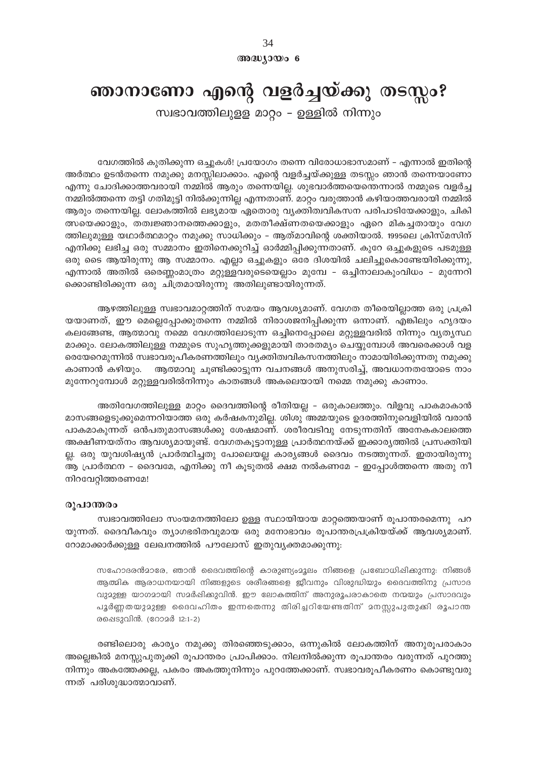34 അദ്ധ്യായം 6

## ഞാനാണോ എന്റെ വളർച്ചയ്ക്കു തടസ്സം?

സ്വഭാവത്തിലുളള മാറ്റം - ഉള്ളിൽ നിന്നും

വേഗത്തിൽ കുതിക്കുന്ന ഒച്ചുകൾ! പ്രയോഗം തന്നെ വിരോധാഭാസമാണ് – എന്നാൽ ഇതിന്റെ അർത്ഥം ഉടൻതന്നെ നമുക്കു മനസ്സിലാക്കാം. എന്റെ വളർച്ചയ്ക്കുള്ള തടസ്സം ഞാൻ തന്നെയാണോ എന്നു ചോദിക്കാത്തവരായി നമ്മിൽ ആരും തന്നെയില്ല. ശുഭവാർത്തയെന്തെന്നാൽ നമ്മുടെ വളർച്ച നമ്മിൽത്തന്നെ തട്ടി ഗതിമുട്ടി നിൽക്കുന്നില്ല എന്നതാണ്. മാറ്റം വരുത്താൻ കഴിയാത്തവരായി നമ്മിൽ ആരും തന്നെയില്ല. ലോകത്തിൽ ലഭ്യമായ ഏതൊരു വ്യക്തിത്വവികസന പരിപാടിയേക്കാളും, ചികി ത്സയെക്കാളും, തത്വജ്ഞാനത്തെക്കാളും, മതതീക്ഷ്ണതയെക്കാളും ഏറെ മികച്ചതായും വേഗ ത്തിലുമുള്ള യഥാർത്ഥമാറ്റം നമുക്കു സാധിക്കും – ആത്മാവിന്റെ ശക്തിയാൽ. 1995ലെ ക്രിസ്മസിന് എനിക്കു ലഭിച്ച ഒരു സമ്മാനം ഇതിനെക്കുറിച്ച് ഓർമ്മിപ്പിക്കുന്നതാണ്. കുറേ ഒച്ചുകളുടെ പടമുള്ള ഒരു ടൈ ആയിരുന്നു ആ സമ്മാനം. എല്ലാ ഒച്ചുകളും ഒരേ ദിശയിൽ ചലിച്ചുകൊണ്ടേയിരിക്കുന്നു, എന്നാൽ അതിൽ ഒരെണ്ണംമാത്രം മറ്റുള്ളവരുടെയെല്ലാം മുമ്പേ – ഒച്ചിനാലാകുംവിധം – മുന്നേറി ക്കൊണ്ടിരിക്കുന്ന ഒരു ചിത്രമായിരുന്നു അതിലുണ്ടായിരുന്നത്.

ആഴത്തിലുള്ള സ്വഭാവമാറ്റത്തിന് സമയം ആവശ്യമാണ്. വേഗത തീരെയില്ലാത്ത ഒരു പ്രക്രി യയാണത്, ഈ മെല്ലെപ്പോക്കുതന്നെ നമ്മിൽ നിരാശജനിപ്പിക്കുന്ന ഒന്നാണ്. എങ്കിലും ഹൃദയം കലങ്ങേണ്ട, ആത്മാവു നമ്മെ വേഗത്തിലോടുന്ന ഒച്ചിനെപ്പോലെ മറ്റുള്ളവരിൽ നിന്നും വ്യത്യസ്ഥ മാക്കും. ലോകത്തിലുള്ള നമ്മുടെ സുഹൃത്തുക്കളുമായി താരതമ്യം ചെയ്യുമ്പോൾ അവരെക്കാൾ വള രെയേറെമുന്നിൽ സ്വഭാവരൂപീകരണത്തിലും വ്യക്തിത്വവികസനത്തിലും നാമായിരിക്കുന്നതു നമുക്കു കാണാൻ കഴിയും. ആത്മാവു ചൂണ്ടിക്കാട്ടുന്ന വചനങ്ങൾ അനുസരിച്ച്, അവധാനതയോടെ നാം മുന്നേറുമ്പോൾ മറ്റുള്ളവരിൽനിന്നും കാതങ്ങൾ അകലെയായി നമ്മെ നമുക്കു കാണാം.

അതിവേഗത്തിലുള്ള മാറ്റം ദൈവത്തിന്റെ രീതിയല്ല - ഒരുകാലത്തും. വിളവു പാകമാകാൻ മാസങ്ങളെടുക്കുമെന്നറിയാത്ത ഒരു കർഷകനുമില്ല. ശിശു അമ്മയുടെ ഉദരത്തിനുവെളിയിൽ വരാൻ പാകമാകുന്നത് ഒൻപതുമാസങ്ങൾക്കു ശേഷമാണ്. ശരീരവടിവു നേടുന്നതിന് അനേകകാലത്തെ അക്ഷീണയത്നം ആവശ്യമായുണ്ട്. വേഗതകൂട്ടാനുള്ള പ്രാർത്ഥനയ്ക്ക് ഇക്കാര്യത്തിൽ പ്രസക്തിയി ല്ല. ഒരു യുവശിഷ്യൻ പ്രാർത്ഥിച്ചതു പോലെയല്ല കാര്യങ്ങൾ ദൈവം നടത്തുന്നത്. ഇതായിരുന്നു ആ പ്രാർത്ഥന – ദൈവമേ, എനിക്കു നീ കൂടുതൽ ക്ഷമ നൽകണമേ – ഇപ്പോൾത്തന്നെ അതു നീ നിറവേറ്റിത്തരണമേ!

#### രൂപാന്തരം

സ്വഭാവത്തിലോ സംയമനത്തിലോ ഉള്ള സ്ഥായിയായ മാറ്റത്തെയാണ് രൂപാന്തരമെന്നു പറ യുന്നത്. ദൈവീകവും ത്യാഗഭരിതവുമായ ഒരു മനോഭാവം രൂപാന്തരപ്രക്രിയയ്ക്ക് ആവശ്യമാണ്. റോമാക്കാർക്കുള്ള ലേഖനത്തിൽ പൗലോസ് ഇതുവൃക്തമാക്കുന്നു:

സഹോദരൻമാരേ, ഞാൻ ദൈവത്തിന്റെ കാരുണ്യംമൂലം നിങ്ങളെ പ്രബോധിഷിക്കുന്നു: നിങ്ങൾ ആത്മിക ആരാധനയായി നിങ്ങളുടെ ശരീരങ്ങളെ ജീവനും വിശുദ്ധിയും ദൈവത്തിനു പ്രസാദ വുമുള്ള യാഗമായി സമർഷിക്കുവിൻ. ഈ ലോകത്തിന് അനുരൂപരാകാതെ നന്മയും പ്രസാദവും പൂർണ്ണതയുമുള്ള ദൈവഹിതം ഇന്നതെന്നു തിരിച്ചറിയേണ്ടതിന് മനസ്സുപുതുക്കി രൂപാന്ത രഷെടുവിൻ. (റോമർ 12:1-2)

രണ്ടിലൊരു കാര്യം നമുക്കു തിരഞ്ഞെടുക്കാം, ഒന്നുകിൽ ലോകത്തിന് അനുരൂപരാകാം അല്ലെങ്കിൽ മനസ്സുപുതുക്കി രൂപാന്തരം പ്രാപിക്കാം. നിലനിൽക്കുന്ന രൂപാന്തരം വരുന്നത് പുറത്തു നിന്നും അകത്തേക്കല്ല, പകരം അകത്തുനിന്നും പുറത്തേക്കാണ്. സ്വഭാവരൂപീകരണം കൊണ്ടുവരു ന്നത് പരിശുദ്ധാത്മാവാണ്.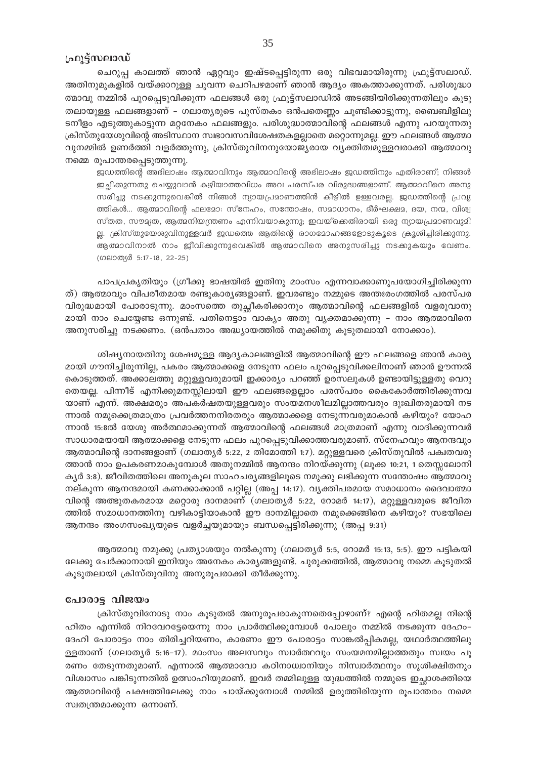#### ഫ്രൂട്ട്സലാഡ്

ചെറുപ്പ കാലത്ത് ഞാൻ ഏറ്റവും ഇഷ്ടപ്പെട്ടിരുന്ന ഒരു വിഭവമായിരുന്നു ഫ്രൂട്ട്സലാഡ്. അതിനുമുകളിൽ വയ്ക്കാറുള്ള ചുവന്ന ചെറിപഴമാണ് ഞാൻ ആദ്യം അകത്താക്കുന്നത്. പരിശുദ്ധാ ത്മാവു നമ്മിൽ പുറപ്പെടുവിക്കുന്ന ഫലങ്ങൾ ഒരു ഫ്രൂട്ട്സലാഡിൽ അടങ്ങിയിരിക്കുന്നതിലും കൂടു തലായുള്ള ഫലങ്ങളാണ് – ഗലാത്യരുടെ പുസ്തകം ഒൻപതെണ്ണം ചൂണ്ടിക്കാട്ടുന്നു, ബൈബിളിലു ടനീളം എടുത്തുകാട്ടുന്ന മറ്റനേകം ഫലങ്ങളും. പരിശുദ്ധാത്മാവിന്റെ ഫലങ്ങൾ എന്നു പറയുന്നതു ക്രിസ്തുയേശുവിന്റെ അടിസ്ഥാന സ്വഭാവസവിശേഷതകളല്ലാതെ മറ്റൊന്നുമല്ല. ഈ ഫലങ്ങൾ ആത്മാ വുനമ്മിൽ ഉണർത്തി വളർത്തുന്നു, ക്രിസ്തുവിനനുയോജ്യരായ വ്യക്തിത്വമുള്ളവരാക്കി ആത്മാവു നമ്മെ രൂപാന്തരപ്പെടുത്തുന്നു.

ജഡത്തിന്റെ അഭിലാഷം ആത്മാവിനും ആത്മാവിന്റെ അഭിലാഷം ജഡത്തിനും എതിരാണ്; നിങ്ങൾ ഇച്ഛിക്കുന്നതു ചെയ്യുവാൻ കഴിയാത്തവിധം അവ പരസ്പര വിരുദ്ധങ്ങളാണ്. ആത്മാവിനെ അനു സരിച്ചു നടക്കുന്നുവെങ്കിൽ നിങ്ങൾ ന്യായപ്രമാണത്തിൻ കീഴിൽ ഉള്ളവരല്ല. ജഡത്തിന്റെ പ്രവൃ ത്തികൾ... ആത്മാവിന്റെ ഫലമോ: സ്നേഹം, സന്തോഷം, സമാധാനം, ദീർഘക്ഷമ, ദയ, നന്മ, വിശ്വ സ്തത, സൗമ്യത, ആത്മനിയന്ത്രണം എന്നിവയാകുന്നു; ഇവയ്ക്കെതിരായി ഒരു ന്യായപ്രമാണവുമി ല്ല. ക്രിസ്തുയേശുവിനുള്ളവർ ജഡത്തെ ആതിന്റെ രാഗമോഹങ്ങളോടുകൂടെ ക്രൂശിച്ചിരിക്കുന്നു. ആത്മാവിനാൽ നാം ജീവിക്കുന്നുവെങ്കിൽ ആത്മാവിനെ അനുസരിച്ചു നടക്കുകയും വേണം. (ഗലാത്യർ 5:17-18, 22-25)

പാപപ്രകൃതിയും (ഗ്രീക്കു ഭാഷയിൽ ഇതിനു മാംസം എന്നവാക്കാണുപയോഗിച്ചിരിക്കുന്ന ത്) ആത്മാവും വിപരീതമായ രണ്ടുകാര്യങ്ങളാണ്. ഇവരണ്ടും നമ്മുടെ അന്തഃരംഗത്തിൽ പരസ്പര വിരുദ്ധമായി പോരാടുന്നു. മാംസത്തെ തുച്ഛീകരിക്കാനും ആത്മാവിന്റെ ഫലങ്ങളിൽ വളരുവാനു മായി നാം ചെയ്യേണ്ട ഒന്നുണ്ട്. പതിനെട്ടാം വാക്യം അതു വ്യക്തമാക്കുന്നു - നാം ആത്മാവിനെ അനുസരിച്ചു നടക്കണം. (ഒൻപതാം അദ്ധ്യായത്തിൽ നമുക്കിതു കൂടുതലായി നോക്കാം).

ശിഷ്യനായതിനു ശേഷമുള്ള ആദ്യകാലങ്ങളിൽ ആത്മാവിന്റെ ഈ ഫലങ്ങളെ ഞാൻ കാര്യ മായി ഗൗനിച്ചിരുന്നില്ല, പകരം ആത്മാക്കളെ നേടുന്ന ഫലം പുറപ്പെടുവിക്കലിനാണ് ഞാൻ ഊന്നൽ കൊടുത്തത്. അക്കാലത്തു മറ്റുള്ളവരുമായി ഇക്കാര്യം പറഞ്ഞ് ഉരസലുകൾ ഉണ്ടായിട്ടുള്ളതു വെറു തെയല്ല. പിന്നീട് എനിക്കുമനസ്സിലായി ഈ ഫലങ്ങളെല്ലാം പരസ്പരം കൈകോർത്തിരിക്കുന്നവ യാണ് എന്ന്. അക്ഷമരും അപകർഷതയുള്ളവരും സംയമനശീലമില്ലാത്തവരും ദുഃഖിതരുമായി നട ന്നാൽ നമുക്കെത്രമാത്രം പ്രവർത്തനനിരതരും ആത്മാക്കളെ നേടുന്നവരുമാകാൻ കഴിയും? യോഹ ന്നാൻ 15:8ൽ യേശു അർത്ഥമാക്കുന്നത് ആത്മാവിന്റെ ഫലങ്ങൾ മാത്രമാണ് എന്നു വാദിക്കുന്നവർ സാധാരമയായി ആത്മാക്കളെ നേടുന്ന ഫലം പുറപ്പെടുവിക്കാത്തവരുമാണ്. സ്നേഹവും ആനന്ദവും ആത്മാവിന്റെ ദാനങ്ങളാണ് (ഗലാതൃർ 5:22, 2 തിമോത്തി 1:7). മറ്റുള്ളവരെ ക്രിസ്തുവിൽ പക്വതവരു ത്താൻ നാം ഉപകരണമാകുമ്പോൾ അതുനമ്മിൽ ആനന്ദം നിറയ്ക്കുന്നു (ലൂക്ക 10:21, 1 തെസ്സലോനി ക്യർ 3:8). ജീവിതത്തിലെ അനുകൂല സാഹചര്യങ്ങളിലൂടെ നമുക്കു ലഭിക്കുന്ന സന്തോഷം ആത്മാവു നല്കുന്ന ആനന്ദമായി കണക്കാക്കാൻ പറ്റില്ല (അപ്പ 14:17). വ്യക്തിപരമായ സമാധാനം ദൈവാത്മാ വിന്റെ അത്ഭുതകരമായ മറ്റൊരു ദാനമാണ് (ഗലാതൃർ 5:22, റോമർ 14:17), മറ്റുള്ളവരുടെ ജീവിത ത്തിൽ സമാധാനത്തിനു വഴികാട്ടിയാകാൻ ഈ ദാനമില്ലാതെ നമുക്കെങ്ങിനെ കഴിയും? സഭയിലെ ആനന്ദം അംഗസംഖ്യയുടെ വളർച്ചയുമായും ബന്ധപ്പെട്ടിരിക്കുന്നു (അപ്പ 9:31)

ആത്മാവു നമുക്കു പ്രത്യാശയും നൽകുന്നു (ഗലാതൃർ 5:5, റോമർ 15:13, 5:5). ഈ പട്ടികയി ലേക്കു ചേർക്കാനായി ഇനിയും അനേകം കാര്യങ്ങളുണ്ട്. ചുരുക്കത്തിൽ, ആത്മാവു നമ്മെ കൂടുതൽ കൂടുതലായി ക്രിസ്തുവിനു അനുരൂപരാക്കി തീർക്കുന്നു.

#### പോരാട്ട വിജയം

ക്രിസ്തുവിനോടു നാം കൂടുതൽ അനുരൂപരാകുന്നതെപ്പോഴാണ്? എന്റെ ഹിതമല്ല നിന്റെ ഹിതം എന്നിൽ നിറവേറട്ടേയെന്നു നാം പ്രാർത്ഥിക്കുമ്പോൾ പോലും നമ്മിൽ നടക്കുന്ന ദേഹം– ദേഹി പോരാട്ടം നാം തിരിച്ചറിയണം, കാരണം ഈ പോരാട്ടം സാങ്കൽപ്പികമല്ല, യഥാർത്ഥത്തിലു ള്ളതാണ് (ഗലാത്യർ 5:16-17). മാംസം അലസവും സ്വാർത്ഥവും സംയമനമില്ലാത്തതും സ്വയം പൂ രണം തേടുന്നതുമാണ്. എന്നാൽ ആത്മാവോ കഠിനാധ്വാനിയും നിസ്ഥർത്ഥനും സുശിക്ഷിതനും വിശ്വാസം പങ്കിടുന്നതിൽ ഉത്സാഹിയുമാണ്. ഇവർ തമ്മിലുള്ള യുദ്ധത്തിൽ നമ്മുടെ ഇച്ചാശക്തിയെ ആത്മാവിന്റെ പക്ഷത്തിലേക്കു നാം ചായ്ക്കുമ്പോൾ നമ്മിൽ ഉരുത്തിരിയുന്ന രൂപാന്തരം നമ്മെ സ്വതന്ത്രമാക്കുന്ന ഒന്നാണ്.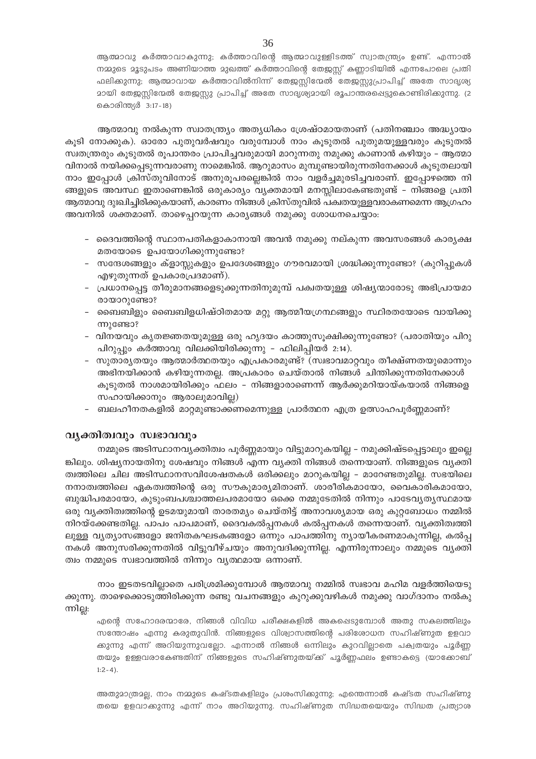ആത്മാവു കർത്താവാകുന്നു; കർത്താവിന്റെ ആത്മാവുള്ളിടത്ത് സ്വാതന്ത്ര്യം ഉണ്ട്. എന്നാൽ നമ്മുടെ മൂടുപടം അണിയാത്ത മുഖത്ത് കർത്താവിന്റെ തേജസ്സ് കണ്ണാടിയിൽ എന്നപോലെ പ്രതി ഫലിക്കുന്നു; ആത്മാവായ കർത്താവിൽനിന്ന് തേജസ്സിന്മേൽ തേജസ്സുപ്രാപിച്ച് അതേ സാദൃശ്യ <u>ാായി തേജസ്റ്റിന്മേൽ തേജസ്റ്റു പ്രാപിച്ച് അതേ സാദൃശ്യമായി രൂപാന്തരപ്പെട്ടുകൊണ്ടിരിക്കുന്നു. (2</u> കൊരിന്ത്യർ 3:17-18)

ആത്മാവു നൽകുന്ന സ്വാതന്ത്ര്യം അത്യധികം ശ്രേഷ്ഠമായതാണ് (പതിനഞ്ചാം അദ്ധ്യായം കൂടി നോക്കുക). ഓരോ പുതുവർഷവും വരുമ്പോൾ നാം കൂടുതൽ പുതുമയുള്ളവരും കൂടുതൽ സ്വതന്ത്രരും കൂടുതൽ രൂപാന്തരം പ്രാപിച്ചവരുമായി മാറുന്നതു നമുക്കു കാണാൻ കഴിയും – ആത്മാ വിനാൽ നയിക്കപ്പെടുന്നവരാണു നാമെങ്കിൽ. ആറുമാസം മുമ്പുണ്ടായിരുന്നതിനേക്കാൾ കൂടുതലായി നാം ഇപ്പോൾ ക്രിസ്തുവിനോട് അനുരൂപരല്ലെങ്കിൽ നാം വളർച്ചമുരടിച്ചവരാണ്. ഇപ്പോഴത്തെ നി ങ്ങളുടെ അവസ്ഥ ഇതാണെങ്കിൽ ഒരുകാര്യം വ്യക്തമായി മനസ്സിലാകേണ്ടതുണ്ട് - നിങ്ങളെ പ്രതി ആത്മാവു ദുഃഖിച്ചിരിക്കുകയാണ്, കാരണം നിങ്ങൾ ക്രിസ്തുവിൽ പക്വതയുള്ളവരാകണമെന്ന ആഗ്രഹം അവനിൽ ശക്തമാണ്. താഴെപ്പറയുന്ന കാര്യങ്ങൾ നമുക്കു ശോധനചെയ്യാം:

- ദൈവത്തിന്റെ സ്ഥാനപതികളാകാനായി അവൻ നമുക്കു നല്കുന്ന അവസരങ്ങൾ കാര്യക്ഷ മതയോടെ ഉപയോഗിക്കുന്നുണ്ടോ?
- സന്ദേശങ്ങളും ക്ളാസ്സുകളും ഉപദേശങ്ങളും ഗൗരവമായി ശ്രദ്ധിക്കുന്നുണ്ടോ? (കുറിപ്പുകൾ എഴുതുന്നത് ഉപകാരപ്രദമാണ്).
- പ്രധാനപ്പെട്ട തീരുമാനങ്ങളെടുക്കുന്നതിനുമുമ്പ് പക്വതയുള്ള ശിഷ്യന്മാരോടു അഭിപ്രായമാ രായാറുണ്ടോ?
- ബൈബിളും ബൈബിളധിഷ്ഠിതമായ മറ്റു ആത്മീയഗ്രന്ഥങ്ങളും സ്ഥിരതയോടെ വായിക്കു ന്നുണ്ടോ?
- വിനയവും കൃതജ്ഞതയുമുള്ള ഒരു ഹൃദയം കാത്തുസൂക്ഷിക്കുന്നുണ്ടോ? (പരാതിയും പിറു പിറുപ്പും കർത്താവു വിലക്കിയിരിക്കുന്നു - ഫിലിപ്പിയർ 2:14).
- സുതാര്യതയും ആത്മാർത്ഥതയും എപ്രകാരമുണ്ട്? (സ്വഭാവമാറ്റവും തീക്ഷ്ണതയുമൊന്നും അഭിനയിക്കാൻ കഴിയുന്നതല്ല. അപ്രകാരം ചെയ്താൽ നിങ്ങൾ ചിന്തിക്കുന്നതിനേക്കാൾ കൂടുതൽ നാശമായിരിക്കും ഫലം – നിങ്ങളാരാണെന്ന് ആർക്കുമറിയായ്കയാൽ നിങ്ങളെ സഹായിക്കാനും ആരാലുമാവില്ല)
- ബലഹീനതകളിൽ മാറ്റമുണ്ടാക്കണമെന്നുള്ള പ്രാർത്ഥന എത്ര ഉത്സാഹപൂർണ്ണമാണ്?

# വൃക്തിത്വവും സ്വഭാവവും

നമ്മുടെ അടിസ്ഥാനവൃക്തിത്വം പൂർണ്ണമായും വിട്ടുമാറുകയില്ല – നമുക്കിഷ്ടപ്പെട്ടാലും ഇല്ലെ ങ്കിലും. ശിഷ്യനായതിനു ശേഷവും നിങ്ങൾ എന്ന വ്യക്തി നിങ്ങൾ തന്നെയാണ്. നിങ്ങളുടെ വ്യക്തി ത്വത്തിലെ ചില അടിസ്ഥാനസവിശേഷതകൾ ഒരിക്കലും മാറുകയില്ല – മാറേണ്ടതുമില്ല. സഭയിലെ നനാത്വത്തിലെ ഏകത്വത്തിന്റെ ഒരു സൗകുമാര്യമിതാണ്. ശാരീരികമായോ, വൈകാരികമായോ, ബുദ്ധിപരമായോ, കുടുംബപശ്ചാത്തലപരമായോ ഒക്കെ നമ്മുടേതിൽ നിന്നും പാടേവൃത്യസ്ഥമായ ഒരു വ്യക്തിത്വത്തിന്റെ ഉടമയുമായി താരതമ്യം ചെയ്തിട്ട് അനാവശ്യമായ ഒരു കുറ്റബോധം നമ്മിൽ നിറയ്ക്കേണ്ടതില്ല. പാപം പാപമാണ്, ദൈവകൽപ്പനകൾ കൽപ്പനകൾ തന്നെയാണ്. വ്യക്തിത്വത്തി ലുള്ള വ്യത്യാസങ്ങളോ ജനിതകഘടകങ്ങളോ ഒന്നും പാപത്തിനു ന്യായീകരണമാകുന്നില്ല, കൽപ്പ നകൾ അനുസരിക്കുന്നതിൽ വിട്ടുവീഴ്ചയും അനുവദിക്കുന്നില്ല. എന്നിരുന്നാലും നമ്മുടെ വ്യക്തി ത്വം നമ്മുടെ സ്വഭാവത്തിൽ നിന്നും വൃത്ഥമായ ഒന്നാണ്.

നാം ഇടതടവില്ലാതെ പരിശ്രമിക്കുമ്പോൾ ആത്മാവു നമ്മിൽ സ്വഭാവ മഹിമ വളർത്തിയെടു ക്കുന്നു. താഴെക്കൊടുത്തിരിക്കുന്ന രണ്ടു വചനങ്ങളും കുറുക്കുവഴികൾ നമുക്കു വാഗ്ദാനം നൽകു ന്നില്ല:

എന്റെ സഹോദരന്മാരേ, നിങ്ങൾ വിവിധ പരീക്ഷകളിൽ അകപ്പെടുമ്പോൾ അതു സകലത്തിലും സന്തോഷം എന്നു കരുതുവിൻ. നിങ്ങളുടെ വിശ്വാസത്തിന്റെ പരിശോധന സഹിഷ്ണുത ഉളവാ ക്കുന്നു എന്ന് അറിയുന്നുവല്ലോ. എന്നാൽ നിങ്ങൾ ഒന്നിലും കുറവില്ലാതെ പക്വതയും പൂർണ്ണ തയും ഉള്ളവരാകേണ്ടതിന് നിങ്ങളുടെ സഹിഷ്ണുതയ്ക്ക് പൂർണ്ണഫലം ഉണ്ടാകട്ടെ (യാക്കോബ്  $1:2-4$ ).

അതുമാത്രമല്ല, നാം നമ്മുടെ കഷ്ടതകളിലും പ്രശംസിക്കുന്നു; എന്തെന്നാൽ കഷ്ടത സഹിഷ്ണു തയെ ഉളവാക്കുന്നു എന്ന് നാം അറിയുന്നു. സഹിഷ്ണുത സിദ്ധതയെയും സിദ്ധത പ്രത്യാശ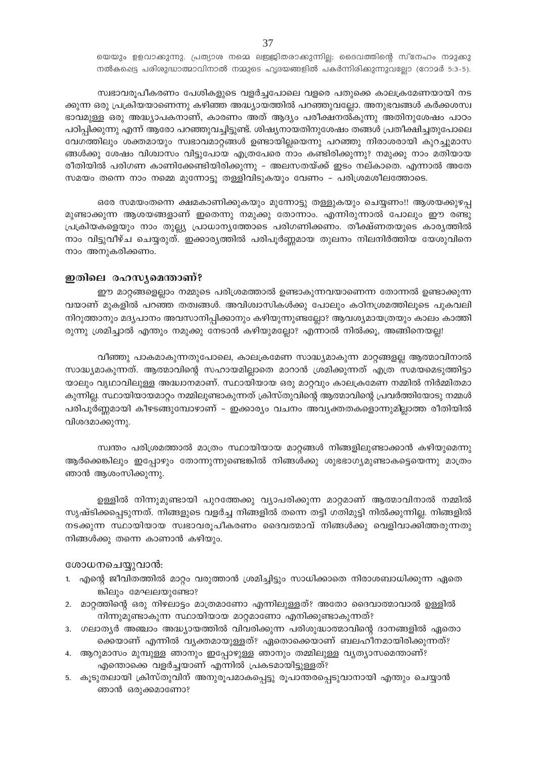യെയും ഉളവാക്കുന്നു. പ്രത്യാശ നമ്മെ ലജ്ജിതരാക്കുന്നില്ല; ദൈവത്തിന്റെ സ്നേഹം നമുക്കു നൽകപ്പെട്ട പരിശുദ്ധാത്മാവിനാൽ നമ്മുടെ ഹൃദയങ്ങളിൽ പകർന്നിരിക്കുന്നുവല്ലോ (റോമർ 5:3-5).

സ്വഭാവരൂപീകരണം പേശികളുടെ വളർച്ചപോലെ വളരെ പതുക്കെ കാലക്രമേണയായി നട ക്കുന്ന ഒരു പ്രക്രിയയാണെന്നു കഴിഞ്ഞ അദ്ധ്യായത്തിൽ പറഞ്ഞുവല്ലോ. അനുഭവങ്ങൾ കർക്കശസ്വ ഭാവമുള്ള ഒരു അദ്ധ്യാപകനാണ്, കാരണം അത് ആദ്യം പരീക്ഷനൽകുന്നു അതിനുശേഷം പാഠം പഠിപ്പിക്കുന്നു എന്ന് ആരോ പറഞ്ഞുവച്ചിട്ടുണ്ട്. ശിഷ്യനായതിനുശേഷം തങ്ങൾ പ്രതീക്ഷിച്ചതുപോലെ വേഗത്തിലും ശക്തമായും സ്വഭാവമാറ്റങ്ങൾ ഉണ്ടായില്ലയെന്നു പറഞ്ഞു നിരാശരായി കുറച്ചുമാസ ങ്ങൾക്കു ശേഷം വിശ്വാസം വിട്ടുപോയ എത്രപേരെ നാം കണ്ടിരിക്കുന്നു? നമുക്കു നാം മതിയായ രീതിയിൽ പരിഗണ കാണിക്കേണ്ടിയിരിക്കുന്നു – അലസതയ്ക്ക് ഇടം നല്കാതെ. എന്നാൽ അതേ സമയം തന്നെ നാം നമ്മെ മുന്നോട്ടു തള്ളിവിടുകയും വേണം – പരിശ്രമശീലത്തോടെ.

ഒരേ സമയംതന്നെ ക്ഷമകാണിക്കുകയും മുന്നോട്ടു തള്ളുകയും ചെയ്യണം!! ആശയക്കുഴപ്പ മുണ്ടാക്കുന്ന ആശയങ്ങളാണ് ഇതെന്നു നമുക്കു തോന്നാം. എന്നിരുന്നാൽ പോലും ഈ രണ്ടു പ്രക്രിയകളെയും നാം തുല്ല്യ പ്രാധാന്യത്തോടെ പരിഗണിക്കണം. തീക്ഷ്ണതയുടെ കാര്യത്തിൽ നാം വിട്ടുവീഴ്ച ചെയ്യരുത്. ഇക്കാരൃത്തിൽ പരിപൂർണ്ണമായ തുലനം നിലനിർത്തിയ യേശുവിനെ നാം അനുകരിക്കണം.

# ഇതിലെ രഹസ്യമെന്താണ്?

ഈ മാറ്റങ്ങളെല്ലാം നമ്മുടെ പരിശ്രമത്താൽ ഉണ്ടാകുന്നവയാണെന്ന തോന്നൽ ഉണ്ടാക്കുന്ന വയാണ് മുകളിൽ പറഞ്ഞ തത്വങ്ങൾ. അവിശ്വാസികൾക്കു പോലും കഠിനശ്രമത്തിലൂടെ പുകവലി നിറുത്താനും മദൃപാനം അവസാനിപ്പിക്കാനും കഴിയുന്നുണ്ടല്ലോ? ആവശ്യമായത്രയും കാലം കാത്തി രുന്നു ശ്രമിച്ചാൽ എന്തും നമുക്കു നേടാൻ കഴിയുമല്ലോ? എന്നാൽ നിൽക്കൂ, അങ്ങിനെയല്ല!

വീഞ്ഞു പാകമാകുന്നതുപോലെ, കാലക്രമേണ സാദ്ധ്യമാകുന്ന മാറ്റങ്ങളല്ല ആത്മാവിനാൽ സാദ്ധ്യമാകുന്നത്. ആത്മാവിന്റെ സഹായമില്ലാതെ മാറാൻ ശ്രമിക്കുന്നത് എത്ര സമയമെടുത്തിട്ടാ യാലും വൃഥാവിലുള്ള അദ്ധ്വാനമാണ്. സ്ഥായിയായ ഒരു മാറ്റവും കാലക്രമേണ നമ്മിൽ നിർമ്മിതമാ കുന്നില്ല. സ്ഥായിയായമാറ്റം നമ്മിലുണ്ടാകുന്നത് ക്രിസ്തുവിന്റെ ആത്മാവിന്റെ പ്രവർത്തിയോടു നമ്മൾ പരിപൂർണ്ണമായി കീഴടങ്ങുമ്പോഴാണ് – ഇക്കാര്യം വചനം അവ്യക്തതകളൊന്നുമില്ലാത്ത രീതിയിൽ വിശദമാക്കുന്നു.

സ്വന്തം പരിശ്രമത്താൽ മാത്രം സ്ഥായിയായ മാറ്റങ്ങൾ നിങ്ങളിലുണ്ടാക്കാൻ കഴിയുമെന്നു ആർക്കെങ്കിലും ഇപ്പോഴും തോന്നുന്നുണ്ടെങ്കിൽ നിങ്ങൾക്കു ശുഭഭാഗ്യമുണ്ടാകട്ടെയെന്നു മാത്രം ഞാൻ ആശംസിക്കുന്നു.

ഉള്ളിൽ നിന്നുമുണ്ടായി പുറത്തേക്കു വ്യാപരിക്കുന്ന മാറ്റമാണ് ആത്മാവിനാൽ നമ്മിൽ സൃഷ്ടിക്കപ്പെടുന്നത്. നിങ്ങളുടെ വളർച്ച നിങ്ങളിൽ തന്നെ തട്ടി ഗതിമുട്ടി നിൽക്കുന്നില്ല. നിങ്ങളിൽ നടക്കുന്ന സ്ഥായിയായ സ്വഭാവരൂപീകരണം ദൈവത്മാവ് നിങ്ങൾക്കു വെളിവാക്കിത്തരുന്നതു നിങ്ങൾക്കു തന്നെ കാണാൻ കഴിയും.

#### ശോധനചെയ്യുവാൻ:

- 1. എന്റെ ജീവിതത്തിൽ മാറ്റം വരുത്താൻ ശ്രമിച്ചിട്ടും സാധിക്കാതെ നിരാശബാധിക്കുന്ന ഏതെ ങ്കിലും മേഘലയുണ്ടോ?
- 2. മാറ്റത്തിന്റെ ഒരു നിഴലാട്ടം മാത്രമാണോ എന്നിലുള്ളത്? അതോ ദൈവാത്മാവാൽ ഉള്ളിൽ നിന്നുമുണ്ടാകുന്ന സ്ഥായിയായ മാറ്റമാണോ എനിക്കുണ്ടാകുന്നത്?
- 3. ഗലാതൃർ അഞ്ചാം അദ്ധ്യായത്തിൽ വിവരിക്കുന്ന പരിശുദ്ധാത്മാവിന്റെ ദാനങ്ങളിൽ ഏതൊ ക്കെയാണ് എന്നിൽ വ്യക്തമായുള്ളത്? ഏതൊക്കെയാണ് ബലഹീനമായിരിക്കുന്നത്?
- 4. ആറുമാസം മുമ്പുള്ള ഞാനും ഇപ്പോഴുള്ള ഞാനും തമ്മിലുള്ള വൃത്യാസമെന്താണ്? എന്തൊക്കെ വളർച്ചയാണ് എന്നിൽ പ്രകടമായിട്ടുള്ളത്?
- 5. കൂടുതലായി ക്രിസ്തുവിന് അനുരൂപമാകപ്പെട്ടു രൂപാന്തരപ്പെടുവാനായി എന്തും ചെയ്യാൻ ഞാൻ ഒരുക്കമാണോ?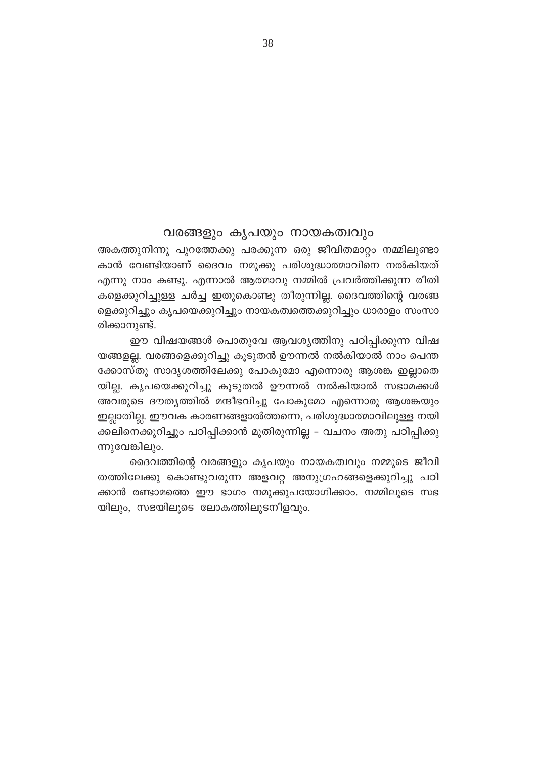# വരങ്ങളും കൃപയും നായകത്വവും

അകത്തുനിന്നു പുറത്തേക്കു പരക്കുന്ന ഒരു ജീവിതമാറ്റം നമ്മിലുണ്ടാ കാൻ വേണ്ടിയാണ് ദൈവം നമുക്കു പരിശുദ്ധാത്മാവിനെ നൽകിയത് എന്നു നാം കണ്ടു. എന്നാൽ ആത്മാവു നമ്മിൽ പ്രവർത്തിക്കുന്ന രീതി കളെക്കുറിച്ചുള്ള ചർച്ച ഇതുകൊണ്ടു തീരുന്നില്ല. ദൈവത്തിന്റെ വരങ്ങ ളെക്കുറിച്ചും കൃപയെക്കുറിച്ചും നായകത്വത്തെക്കുറിച്ചും ധാരാളം സംസാ രിക്കാനുണ്ട്.

ഈ വിഷയങ്ങൾ പൊതുവേ ആവശ്യത്തിനു പഠിപ്പിക്കുന്ന വിഷ യങ്ങളല്ല. വരങ്ങളെക്കുറിച്ചു കൂടുതൻ ഊന്നൽ നൽകിയാൽ നാം പെന്ത ക്കോസ്തു സാദൃശത്തിലേക്കു പോകുമോ എന്നൊരു ആശങ്ക ഇല്ലാതെ യില്ല. കൃപയെക്കുറിച്ചു കൂടുതൽ ഊന്നൽ നൽകിയാൽ സഭാമക്കൾ അവരുടെ ദൗത്യത്തിൽ മന്ദീഭവിച്ചു പോകുമോ എന്നൊരു ആശങ്കയും ഇല്ലാതില്ല. ഈവക കാരണങ്ങളാൽത്തന്നെ, പരിശുദ്ധാത്മാവിലുള്ള നയി ക്കലിനെക്കുറിച്ചും പഠിപ്പിക്കാൻ മുതിരുന്നില്ല – വചനം അതു പഠിപ്പിക്കു ന്നുവേങ്കിലും.

ദൈവത്തിന്റെ വരങ്ങളും കൃപയും നായകത്വവും നമ്മുടെ ജീവി തത്തിലേക്കു കൊണ്ടുവരുന്ന അളവറ്റ അനുഗ്രഹങ്ങളെക്കുറിച്ചു പഠി ക്കാൻ രണ്ടാമത്തെ ഈ ഭാഗം നമുക്കുപയോഗിക്കാം. നമ്മിലൂടെ സഭ യിലും, സഭയിലുടെ ലോകത്തിലുടനീളവും.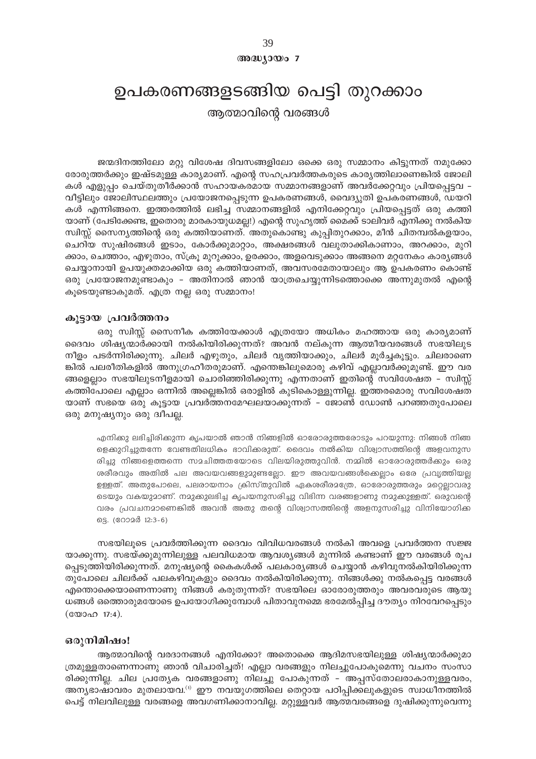അദ്ധ്യായം 7

# ഉപകരണങ്ങളടങ്ങിയ പെട്ടി തുറക്കാം

ആത്മാവിന്റെ വരങ്ങൾ

ജന്മദിനത്തിലോ മറ്റു വിശേഷ ദിവസങ്ങളിലോ ഒക്കെ ഒരു സമ്മാനം കിട്ടുന്നത് നമുക്കോ രോരുത്തർക്കും ഇഷ്ടമുള്ള കാര്യമാണ്. എന്റെ സഹപ്രവർത്തകരുടെ കാര്യത്തിലാണെങ്കിൽ ജോലി കൾ എളുപ്പം ചെയ്തുതീർക്കാൻ സഹായകരമായ സമ്മാനങ്ങളാണ് അവർക്കേറ്റവും പ്രിയപ്പെട്ടവ – വീട്ടിലും ജോലിസ്ഥലത്തും പ്രയോജനപ്പെടുന്ന ഉപകരണങ്ങൾ, വൈദ്യുതി ഉപകരണങ്ങൾ, ഡയറി കൾ എന്നിങ്ങനെ. ഇത്തരത്തിൽ ലഭിച്ച സമ്മാനങ്ങളിൽ എനിക്കേറ്റവും പ്രിയപ്പെട്ടത് ഒരു കത്തി യാണ് (പേടിക്കേണ്ട, ഇതൊരു മാരകായുധമല്ല!) എന്റെ സുഹൃത്ത് മൈക്ക് ടാലിവർ എനിക്കു നൽകിയ സ്വിസ്സ് സൈന്യത്തിന്റെ ഒരു കത്തിയാണത്. അതുകൊണ്ടു കുപ്പിതുറക്കാം, മീൻ ചിതമ്പൽകളയാം, ചെറിയ സുഷിരങ്ങൾ ഇടാം, കോർക്കുമാറ്റാം, അക്ഷരങ്ങൾ വലുതാക്കികാണാം, അറക്കാം, മുറി ക്കാം, ചെത്താം, എഴുതാം, സ്ക്രൂ മുറുക്കാം, ഉരക്കാം, അളവെടുക്കാം അങ്ങനെ മറ്റനേകം കാരൃങ്ങൾ ചെയ്യാനായി ഉപയുക്തമാക്കിയ ഒരു കത്തിയാണത്, അവസരമേതായാലും ആ ഉപകരണം കൊണ്ട് ഒരു പ്രയോജനമുണ്ടാകും – അതിനാൽ ഞാൻ യാത്രചെയ്യുന്നിടത്തൊക്കെ അന്നുമുതൽ എന്റെ കൂടെയുണ്ടാകുമത്. എത്ര നല്ല ഒരു സമ്മാനം!

# കൂട്ടായ പ്രവർത്തനം

ഒരു സ്ഥിസ്സ് സൈനീക കത്തിയേക്കാൾ എത്രയോ അധികം മഹത്തായ ഒരു കാര്യമാണ് ദൈവം ശിഷ്യന്മാർക്കായി നൽകിയിരിക്കുന്നത്? അവൻ നല്കുന്ന ആത്മീയവരങ്ങൾ സഭയിലുട നീളം പടർന്നിരിക്കുന്നു. ചിലർ എഴുതും, ചിലർ വൃത്തിയാക്കും, ചിലർ മൂർച്ചകൂട്ടും. ചിലരാണെ ങ്കിൽ പലരീതികളിൽ അനുഗ്രഹീതരുമാണ്. എന്തെങ്കിലുമൊരു കഴിവ് എല്ലാവർക്കുമുണ്ട്. ഈ വര ങ്ങളെല്ലാം സഭയിലുടനീളമായി ചൊരിഞ്ഞിരിക്കുന്നു എന്നതാണ് ഇതിന്റെ സവിശേഷത – സ്വിസ്സ് കത്തിപോലെ എല്ലാം ഒന്നിൽ അല്ലെങ്കിൽ ഒരാളിൽ കുടികൊള്ളുന്നില്ല. ഇത്തരമൊരു സവിശേഷത യാണ് സഭയെ ഒരു കൂട്ടായ പ്രവർത്തനമേഘലയാക്കുന്നത് – ജോൺ ഡോൺ പറഞ്ഞതുപോലെ ഒരു മനുഷ്യനും ഒരു ദ്വീപല്ല.

എനിക്കു ലഭിച്ചിരിക്കുന്ന കൃപയാൽ ഞാൻ നിങ്ങളിൽ ഓരോരുത്തരോടും പറയുന്നു: നിങ്ങൾ നിങ്ങ ളെക്കുറിച്ചുതന്നേ വേണ്ടതിലധികം ഭാവിക്കരുത്. ദൈവം നൽകിയ വിശ്വാസത്തിന്റെ അളവനുസ രിച്ചു നിങ്ങളെത്തന്നെ സമചിത്തതയോടെ വിലയിരുത്തുവിൻ. നമ്മിൽ ഓരോരുത്തർക്കും ഒരു ശരീരവും അതിൽ പല അവയവങ്ങളുമുണ്ടല്ലോ. ഈ അവയവങ്ങൾക്കെല്ലാം ഒരേ പ്രവൃത്തിയല്ല ഉള്ളത്. അതുപോലെ, പലരായനാം ക്രിസ്തുവിൽ ഏകശരീരമത്രേ, ഓരോരുത്തരും മറ്റെല്ലാവരു ടെയും വകയുമാണ്. നമുക്കുലഭിച്ച കൃപയനുസരിച്ചു വിഭിന്ന വരങ്ങളാണു നമുക്കുള്ളത്. ഒരുവന്റെ വരം പ്രവചനമാണെങ്കിൽ അവൻ അതു തന്റെ വിശ്വാസത്തിന്റെ അളനുസരിച്ചു വിനിയോഗിക്ക 69. (റോമർ 12:3-6)

സഭയിലൂടെ പ്രവർത്തിക്കുന്ന ദൈവം വിവിധവരങ്ങൾ നൽകി അവളെ പ്രവർത്തന സജ്ജ യാക്കുന്നു. സഭയ്ക്കുമുന്നിലുള്ള പലവിധമായ ആവശ്യങ്ങൾ മുന്നിൽ കണ്ടാണ് ഈ വരങ്ങൾ രൂപ പ്പെടുത്തിയിരിക്കുന്നത്. മനുഷ്യന്റെ കൈകൾക്ക് പലകാര്യങ്ങൾ ചെയ്യാൻ കഴിവുനൽകിയിരിക്കുന്ന തുപോലെ ചിലർക്ക് പലകഴിവുകളും ദൈവം നൽകിയിരിക്കുന്നു. നിങ്ങൾക്കു നൽകപ്പെട്ട വരങ്ങൾ എന്തൊക്കെയാണെന്നാണു നിങ്ങൾ കരുതുന്നത്? സഭയിലെ ഓരോരുത്തരും അവരവരുടെ ആയു ധങ്ങൾ ഒത്തൊരുമയോടെ ഉപയോഗിക്കുമ്പോൾ പിതാവുനമ്മെ ഭരമേൽപ്പിച്ച ദൗതൃം നിറവേറപ്പെടും 

# ഒരുനിമിഷം!

ആത്മാവിന്റെ വരദാനങ്ങൾ എനിക്കോ? അതൊക്കെ ആദിമസഭയിലുള്ള ശിഷ്യന്മാർക്കുമാ ത്രമുള്ളതാണെന്നാണു ഞാൻ വിചാരിച്ചത്! എല്ലാ വരങ്ങളും നിലച്ചുപോകുമെന്നു വചനം സംസാ രിക്കുന്നില്ല. ചില പ്രത്യേക വരങ്ങളാണു നിലച്ചു പോകുന്നത് - അപ്പസ്തോലരാകാനുള്ളവരം, അന്യഭാഷാവരം മുതലായവ.<sup>(1)</sup> ഈ നവയുഗത്തിലെ തെറ്റായ പഠിപ്പിക്കലുകളുടെ സ്വാധീനത്തിൽ പെട്ട് നിലവിലുള്ള വരങ്ങളെ അവഗണിക്കാനാവില്ല. മറ്റുള്ളവർ ആത്മവരങ്ങളെ ദുഷിക്കുന്നുവെന്നു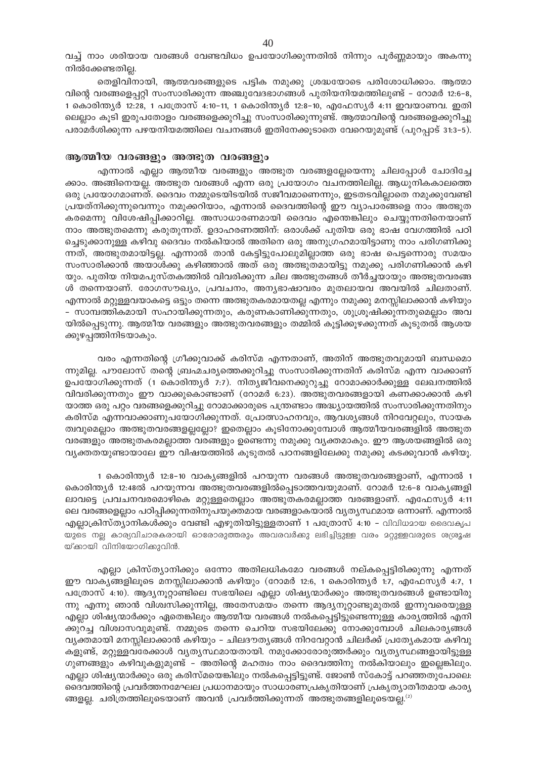വച്ച് നാം ശരിയായ വരങ്ങൾ വേണ്ടവിധം ഉപയോഗിക്കുന്നതിൽ നിന്നും പൂർണ്ണമായും അകന്നു നിൽക്കേണ്ടതില്ല.

തെളിവിനായി, ആത്മവരങ്ങളുടെ പട്ടിക നമുക്കു ശ്രദ്ധയോടെ പരിശോധിക്കാം. ആത്മാ വിന്റെ വരങ്ങളെപ്പറ്റി സംസാരിക്കുന്ന അഞ്ചുവേദഭാഗങ്ങൾ പുതിയനിയമത്തിലുണ്ട് – റോമർ 12:6–8, 1 കൊരിന്ത്യർ 12:28, 1 പത്രോസ് 4:10-11, 1 കൊരിന്ത്യർ 12:8-10, എഫേസ്യർ 4:11 ഇവയാണവ. ഇതി ലെല്ലാം കൂടി ഇരുപതോളം വരങ്ങളെക്കുറിച്ചു സംസാരിക്കുന്നുണ്ട്. ആത്മാവിന്റെ വരങ്ങളെക്കുറിച്ചു പരാമർശിക്കുന്ന പഴയനിയമത്തിലെ വചനങ്ങൾ ഇതിനേക്കൂടാതെ വേറെയുമുണ്ട് (പുറപ്പാട് 31:3-5).

# ആത്മീയ വരങ്ങളും അത്ഭുത വരങ്ങളും

എന്നാൽ എല്ലാ ആത്മീയ വരങ്ങളും അത്ഭുത വരങ്ങളല്ലേയെന്നു ചിലപ്പോൾ ചോദിച്ചേ ക്കാം. അങ്ങിനെയല്ല. അത്ഭുത വരങ്ങൾ എന്ന ഒരു പ്രയോഗം വചനത്തിലില്ല. ആധുനികകാലത്തെ ഒരു പ്രയോഗമാണത്. ദൈവം നമ്മുടെയിടയിൽ സജീവമാണെന്നും, ഇടതടവില്ലാതെ നമുക്കുവേണ്ടി പ്രയത്നിക്കുന്നുവെന്നും നമുക്കറിയാം, എന്നാൽ ദൈവത്തിന്റെ ഈ വ്യാപാരങ്ങളെ നാം അത്ഭുത കരമെന്നു വിശേഷിപ്പിക്കാറില്ല. അസാധാരണമായി ദൈവം എന്തെങ്കിലും ചെയ്യുന്നതിനെയാണ് നാം അത്ഭുതമെന്നു കരുതുന്നത്. ഉദാഹരണത്തിന്: ഒരാൾക്ക് പുതിയ ഒരു ഭാഷ വേഗത്തിൽ പഠി ച്ചെടുക്കാനുള്ള കഴിവു ദൈവം നൽകിയാൽ അതിനെ ഒരു അനുഗ്രഹമായിട്ടാണു നാം പരിഗണിക്കു ന്നത്, അത്ഭുതമായിട്ടല്ല. എന്നാൽ താൻ കേട്ടിട്ടുപോലുമില്ലാത്ത ഒരു ഭാഷ പെട്ടന്നൊരു സമയം സംസാരിക്കാൻ അയാൾക്കു കഴിഞ്ഞാൽ അത് ഒരു അത്ഭുതമായിട്ടു നമുക്കു പരിഗണിക്കാൻ കഴി യും. പുതിയ നിയമപുസ്തകത്തിൽ വിവരിക്കുന്ന ചില അത്ഭുതങ്ങൾ തീർച്ചയായും അത്ഭുതവരങ്ങ ൾ തന്നെയാണ്. രോഗസൗഖ്യം, പ്രവചനം, അനൃഭാഷാവരം മുതലായവ അവയിൽ ചിലതാണ്. എന്നാൽ മറ്റുള്ളവയാകട്ടെ ഒട്ടും തന്നെ അത്ഭുതകരമായതല്ല എന്നും നമുക്കു മനസ്സിലാക്കാൻ കഴിയും – സാമ്പത്തികമായി സഹായിക്കുന്നതും, കരുണകാണിക്കുന്നതും, ശുശ്രൂഷിക്കുന്നതുമെല്ലാം അവ യിൽപ്പെടുന്നു. ആത്മീയ വരങ്ങളും അത്ഭുതവരങ്ങളും തമ്മിൽ കൂട്ടിക്കൂഴക്കുന്നത് കൂടുതൽ ആശയ ക്കുഴപ്പത്തിനിടയാകും.

വരം എന്നതിന്റെ ഗ്രീക്കുവാക്ക് കരിസ്മ എന്നതാണ്, അതിന് അത്ഭുതവുമായി ബന്ധമൊ ന്നുമില്ല. പൗലോസ് തന്റെ ബ്രഹ്മചര്യത്തെക്കുറിച്ചു സംസാരിക്കുന്നതിന് കരിസ്മ എന്ന വാക്കാണ് ഉപയോഗിക്കുന്നത് (1 കൊരിന്ത്യർ 7:7). നിത്യജീവനെക്കുറുച്ചു റോമാക്കാർക്കുള്ള ലേഖനത്തിൽ വിവരിക്കുന്നതും ഈ വാക്കുകൊണ്ടാണ് (റോമർ 6:23). അത്ഭുതവരങ്ങളായി കണക്കാക്കാൻ കഴി യാത്ത ഒരു പറ്റം വരങ്ങളെക്കുറിച്ചു റോമാക്കാരുടെ പന്ത്രണ്ടാം അദ്ധ്യായത്തിൽ സംസാരിക്കുന്നതിനും കരിസ്മ എന്നവാക്കാണുപയോഗിക്കുന്നത്. പ്രോത്സാഹനവും, ആവശ്യങ്ങൾ നിറവേറ്റലും, സായക ത്വവുമെല്ലാം അത്ഭുതവരങ്ങളല്ലല്ലോ? ഇതെല്ലാം കൂടിനോക്കുമ്പോൾ ആത്മീയവരങ്ങളിൽ അത്ഭുത വരങ്ങളും അത്ഭുതകരമല്ലാത്ത വരങ്ങളും ഉണ്ടെന്നു നമുക്കു വൃക്തമാകും. ഈ ആശയങ്ങളിൽ ഒരു വ്യക്തതയുണ്ടായാലേ ഈ വിഷയത്തിൽ കൂടുതൽ പഠനങ്ങളിലേക്കു നമുക്കു കടക്കുവാൻ കഴിയൂ.

1 കൊരിന്ത്യർ 12:8-10 വാക്യങ്ങളിൽ പറയുന്ന വരങ്ങൾ അത്ഭുതവരങ്ങളാണ്, എന്നാൽ 1 കൊരിന്ത്യർ 12:48ൽ പറയുന്നവ അത്ഭുതവരങ്ങളിൽപ്പെടാത്തവയുമാണ്. റോമർ 12:6-8 വാക്യങ്ങളി ലാവട്ടെ പ്രവചനവരമൊഴികെ മറ്റുള്ളതെല്ലാം അത്ഭുതകരമല്ലാത്ത വരങ്ങളാണ്. എഫേസ്യർ 4:11 ലെ വരങ്ങളെല്ലാം പഠിപ്പിക്കുന്നതിനുപയുക്തമായ വരങ്ങളാകയാൽ വ്യത്യസ്ഥമായ ഒന്നാണ്. എന്നാൽ എല്ലാക്രിസ്ത്യാനികൾക്കും വേണ്ടി എഴുതിയിട്ടുള്ളതാണ് 1 പത്രോസ് 4:10 − വിവിധമായ ദൈവകൃപ യുടെ നല്ല കാര്യവിചാരകരായി ഓരോരുത്തരും അവരവർക്കു ലഭിച്ചിട്ടുള്ള വരം മറ്റുള്ളവരുടെ ശശ്രൂഷ യ്ക്കായി വിനിയോഗിക്കുവിൻ.

എല്ലാ ക്രിസ്ത്യാനിക്കും ഒന്നോ അതിലധികമോ വരങ്ങൾ നല്കപ്പെട്ടിരിക്കുന്നു എന്നത് ഈ വാക്യങ്ങളിലൂടെ മനസ്സിലാക്കാൻ കഴിയും (റോമർ 12:6, 1 കൊരിന്ത്യർ 1:7, എഫേസ്യർ 4:7, 1 പത്രോസ് 4:10). ആദ്യനൂറ്റാണ്ടിലെ സഭയിലെ എല്ലാ ശിഷ്യന്മാർക്കും അത്ഭുതവരങ്ങൾ ഉണ്ടായിരു ന്നു എന്നു ഞാൻ വിശ്വസിക്കുന്നില്ല, അതേസമയം തന്നെ ആദ്യനൂറ്റാണ്ടുമുതൽ ഇന്നുവരെയുള്ള എല്ലാ ശിഷ്യന്മാർക്കും ഏതെങ്കിലും ആത്മീയ വരങ്ങൾ നൽകപ്പെട്ടിട്ടുണ്ടെന്നുള്ള കാര്യത്തിൽ എനി ക്കുറച്ച വിശ്വാസവുമുണ്ട്. നമ്മുടെ തന്നെ ചെറിയ സഭയിലേക്കു നോക്കുമ്പോൾ ചിലകാരൃങ്ങൾ വ്യക്തമായി മനസ്സിലാക്കാൻ കഴിയും - ചിലദൗത്യങ്ങൾ നിറവേറ്റാൻ ചിലർക്ക് പ്രത്യേകമായ കഴിവു കളുണ്ട്, മറ്റുള്ളവരേക്കാൾ വ്യത്യസ്ഥമായതായി. നമുക്കോരോരുത്തർക്കും വ്യത്യസ്ഥങ്ങളായിട്ടുള്ള ഗുണങ്ങളും കഴിവുകളുമുണ്ട് – അതിന്റെ മഹത്വം നാം ദൈവത്തിനു നൽകിയാലും ഇല്ലെങ്കിലും. എല്ലാ ശിഷ്യന്മാർക്കും ഒരു കരിസ്മയെങ്കിലും നൽകപ്പെട്ടിട്ടുണ്ട്. ജോൺ സ്കോട്ട് പറഞ്ഞതുപോലെ: ദൈവത്തിന്റെ പ്രവർത്തനമേഘല പ്രധാനമായും സാധാരണപ്രകൃതിയാണ് പ്രകൃത്യാതീതമായ കാര്യ ങ്ങളല്ല. ചരിത്രത്തിലൂടെയാണ് അവൻ പ്രവർത്തിക്കുന്നത് അത്ഭുതങ്ങളിലൂടെയല്ല. $^{(2)}$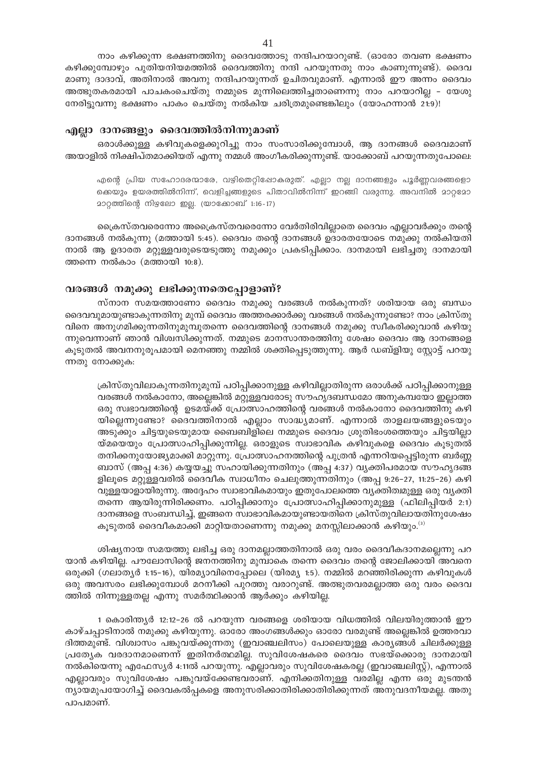നാം കഴിക്കുന്ന ഭക്ഷണത്തിനു ദൈവത്തോടു നന്ദിപറയാറുണ്ട്. (ഓരോ തവണ ഭക്ഷണം കഴിക്കുമ്പോഴും പുതിയനിയമത്തിൽ ദൈവത്തിനു നന്ദി പറയുന്നതു നാം കാണുന്നുണ്ട്). ദൈവ മാണു ദാദാവ്, അതിനാൽ അവനു നന്ദിപറയുന്നത് ഉചിതവുമാണ്. എന്നാൽ ഈ അന്നം ദൈവം അത്ഭുതകരമായി പാചകംചെയ്തു നമ്മുടെ മുന്നിലെത്തിച്ചതാണെന്നു നാം പറയാറില്ല - യേശു നേരിട്ടുവന്നു ഭക്ഷണം പാകം ചെയ്തു നൽകിയ ചരിത്രമുണ്ടെങ്കിലും (യോഹന്നാൻ 21:9)!

### എല്ലാ ദാനങ്ങളും ദൈവത്തിൽനിന്നുമാണ്

ഒരാൾക്കുള്ള കഴിവുകളെക്കുറിച്ചു നാം സംസാരിക്കുമ്പോൾ, ആ ദാനങ്ങൾ ദൈവമാണ് അയാളിൽ നിക്ഷിപ്തമാക്കിയത് എന്നു നമ്മൾ അംഗീകരിക്കുന്നുണ്ട്. യാക്കോബ് പറയുന്നതുപോലെ:

എന്റെ പ്രിയ സഹോദരന്മാരേ, വഴിതെറ്റിഷോകരുത്. എല്ലാ നല്ല ദാനങ്ങളും പൂർണ്ണവരങ്ങളൊ കെയും ഉയരത്തിൽനിന്ന്, വെളിച്ചങ്ങളുടെ പിതാവിൽനിന്ന് ഇറങ്ങി വരുന്നു. അവനിൽ മാറ്റമോ മാറ്റത്തിന്റെ നിഴ്ചോ ഇല്ല. (യാക്കോബ് 1:16-17)

ക്രൈസ്തവരെന്നോ അക്രൈസ്തവരെന്നോ വേർതിരിവില്ലാതെ ദൈവം എല്ലാവർക്കും തന്റെ ദാനങ്ങൾ നൽകുന്നു (മത്തായി 5:45). ദൈവം തന്റെ ദാനങ്ങൾ ഉദാരതയോടെ നമുക്കു നൽകിയതി നാൽ ആ ഉദാരത മറ്റുള്ളവരുടെയടുത്തു നമുക്കും പ്രകടിപ്പിക്കാം. ദാനമായി ലഭിച്ചതു ദാനമായി ത്തന്നെ നൽകാം (മത്തായി 10:8).

# വരങ്ങൾ നമുക്കു ലഭിക്കുന്നതെപ്പോളാണ്?

സ്നാന സമയത്താണോ ദൈവം നമുക്കു വരങ്ങൾ നൽകുന്നത്? ശരിയായ ഒരു ബന്ധം ദൈവവുമായുണ്ടാകുന്നതിനു മുമ്പ് ദൈവം അത്തരക്കാർക്കു വരങ്ങൾ നൽകുന്നുണ്ടോ? നാം ക്രിസ്തു വിനെ അനുഗമിക്കുന്നതിനുമുമ്പുതന്നെ ദൈവത്തിന്റെ ദാനങ്ങൾ നമുക്കു സ്വീകരിക്കുവാൻ കഴിയു ന്നുവെന്നാണ് ഞാൻ വിശ്വസിക്കുന്നത്. നമ്മുടെ മാനസാന്തരത്തിനു ശേഷം ദൈവം ആ ദാനങ്ങളെ കൂടുതൽ അവനനുരൂപമായി മെനഞ്ഞു നമ്മിൽ ശക്തിപ്പെടുത്തുന്നു. ആർ ഡബ്ളിയു സ്റ്റോട്ട് പറയു ന്നതു നോക്കുക:

ക്രിസ്തുവിലാകുന്നതിനുമുമ്പ് പഠിപ്പിക്കാനുള്ള കഴിവില്ലാതിരുന്ന ഒരാൾക്ക് പഠിപ്പിക്കാനുള്ള വരങ്ങൾ നൽകാനോ, അല്ലെങ്കിൽ മറ്റുള്ളവരോടു സൗഹൃദബന്ധമോ അനുകമ്പയോ ഇല്ലാത്ത ഒരു സ്വഭാവത്തിന്റെ ഉടമയ്ക്ക് പ്രോത്സാഹത്തിന്റെ വരങ്ങൾ നൽകാനോ ദൈവത്തിനു കഴി യില്ലെന്നുണ്ടോ? ദൈവത്തിനാൽ എല്ലാം സാദ്ധ്യമാണ്. എന്നാൽ താളലയങ്ങളുടെയും അടുക്കും ചിട്ടയുടെയുമായ ബൈബിളിലെ നമ്മുടെ ദൈവം ശ്രുതിഭംശത്തെയും ചിട്ടയില്ലാ യ്മയെയും പ്രോത്സാഹിപ്പിക്കുന്നില്ല. ഒരാളുടെ സ്വാഭാവിക കഴിവുകളെ ദൈവം കൂടുതൽ തനിക്കനുയോജ്യമാക്കി മാറ്റുന്നു. പ്രോത്സാഹനത്തിന്റെ പുത്രൻ എന്നറിയപ്പെട്ടിരുന്ന ബർണ്ണ ബാസ് (അപ്പ 4:36) കയ്യയച്ചു സഹായിക്കുന്നതിനും (അപ്പ 4:37) വ്യക്തിപരമായ സൗഹൃദങ്ങ ളിലൂടെ മറ്റുള്ളവരിൽ ദൈവീക സ്വാധീനം ചെലുത്തുന്നതിനും (അപ്പ 9:26–27, 11:25–26) കഴി വുള്ളയാളായിരുന്നു. അദ്ദേഹം സ്വാഭാവികമായും ഇതുപോലത്തെ വ്യക്തിത്വമുള്ള ഒരു വ്യക്തി തന്നെ ആയിരുന്നിരിക്കണം. പഠിപ്പിക്കാനും പ്രോത്സാഹിപ്പിക്കാനുമുള്ള (ഫിലിപ്പിയർ 2:1) ദാനങ്ങളെ സംബന്ധിച്ച്, ഇങ്ങനെ സ്വാഭാവികമായുണ്ടായതിനെ ക്രിസ്തുവിലായതിനുശേഷം കൂടുതൽ ദൈവീകമാക്കി മാറ്റിയതാണെന്നു നമുക്കു മനസ്സിലാക്കാൻ കഴിയും. $^{\textrm{\tiny{(3)}}}$ 

ശിഷ്യനായ സമയത്തു ലഭിച്ച ഒരു ദാനമല്ലാത്തതിനാൽ ഒരു വരം ദൈവീകദാനമല്ലെന്നു പറ യാൻ കഴിയില്ല. പൗലോസിന്റെ ജനനത്തിനു മുമ്പാകെ തന്നെ ദൈവം തന്റെ ജോലിക്കായി അവനെ ഒരുക്കി (ഗലാതൃർ 1:15–16), യിരമ്യാവിനെപ്പോലെ (യിരമ്യ 1:5). നമ്മിൽ മറഞ്ഞിരിക്കുന്ന കഴിവുകൾ ഒരു അവസരം ലഭിക്കുമ്പോൾ മറനീക്കി പുറത്തു വരാറുണ്ട്. അത്ഭുതവരമല്ലാത്ത ഒരു വരം ദൈവ ത്തിൽ നിന്നുള്ളതല്ല എന്നു സമർത്ഥിക്കാൻ ആർക്കും കഴിയില്ല.

1 കൊരിന്ത്യർ 12:12–26 ൽ പറയുന്ന വരങ്ങളെ ശരിയായ വിധത്തിൽ വിലയിരുത്താൻ ഈ കാഴ്ചപ്പാടിനാൽ നമുക്കു കഴിയുന്നു. ഓരോ അംഗങ്ങൾക്കും ഓരോ വരമുണ്ട് അല്ലെങ്കിൽ ഉത്തരവാ ദിത്തമുണ്ട്. വിശ്വാസം പങ്കുവയ്ക്കുന്നതു (ഇവാഞ്ചലിസം) പോലെയുള്ള കാര്യങ്ങൾ ചിലർക്കുള്ള പ്രത്യേക വരദാനമാണെന്ന് ഇതിനർത്ഥമില്ല. സുവിശേഷകരെ ദൈവം സഭയ്ക്കൊരു ദാനമായി നൽകിയെന്നു എഫേസ്യർ 4:11ൽ പറയുന്നു. എല്ലാവരും സുവിശേഷകരല്ല (ഇവാഞ്ചലിസ്റ്റ്), എന്നാൽ എല്ലാവരും സുവിശേഷം പങ്കുവയ്ക്കേണ്ടവരാണ്. എനിക്കതിനുള്ള വരമില്ല എന്ന ഒരു മുടന്തൻ ന്യായമുപയോഗിച്ച് ദൈവകൽപ്പകളെ അനുസരിക്കാതിരിക്കാതിരിക്കുന്നത് അനുവദനീയമല്ല. അതു പാപമാണ്.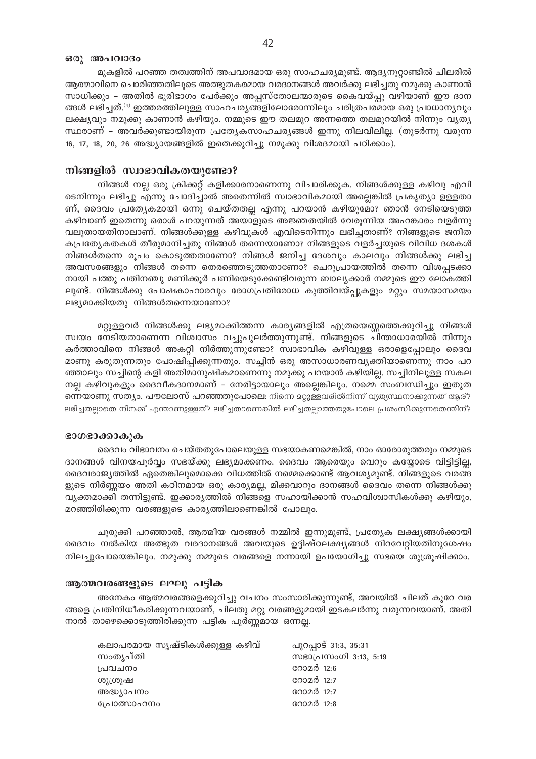#### ഒരു അപവാദം

മുകളിൽ പറഞ്ഞ തത്വത്തിന് അപവാദമായ ഒരു സാഹചര്യമുണ്ട്. ആദ്യനൂറ്റാണ്ടിൽ ചിലരിൽ ആത്മാവിനെ ചൊരിഞ്ഞതിലൂടെ അത്ഭുതകരമായ വരദാനങ്ങൾ അവർക്കു ലഭിച്ചതു നമുക്കു കാണാൻ സാധിക്കും – അതിൽ ഭൂരിഭാഗം പേർക്കും അപ്പസ്തോലന്മാരുടെ കൈവയ്പ്പു വഴിയാണ് ഈ ദാന ങ്ങൾ ലഭിച്ചത്.'ª) ഇത്തരത്തിലുള്ള സാഹചര്യങ്ങളിലോരോന്നിലും ചരിത്രപരമായ ഒരു പ്രാധാന്യവും ലക്ഷ്യവും നമുക്കു കാണാൻ കഴിയും. നമ്മുടെ ഈ തലമുറ അന്നത്തെ തലമുറയിൽ നിന്നും വ്യത്യ സ്ഥരാണ് - അവർക്കുണ്ടായിരുന്ന പ്രത്യേകസാഹചര്യങ്ങൾ ഇന്നു നിലവിലില്ല. (തുടർന്നു വരുന്ന 16, 17, 18, 20, 26 അദ്ധ്യായങ്ങളിൽ ഇതെക്കുറിച്ചു നമുക്കു വിശദമായി പഠിക്കാം).

# നിങ്ങളിൽ സ്വാഭാവികതയുണ്ടോ?

നിങ്ങൾ നല്ല ഒരു ക്രിക്കറ്റ് കളിക്കാരനാണെന്നു വിചാരിക്കുക. നിങ്ങൾക്കുള്ള കഴിവു എവി ടെനിന്നും ലഭിച്ചു എന്നു ചോദിച്ചാൽ അതെന്നിൽ സ്വാഭാവികമായി അല്ലെങ്കിൽ പ്രകൃത്യാ ഉള്ളതാ ണ്, ദൈവം പ്രത്യേകമായി ഒന്നു ചെയ്തതല്ല എന്നു പറയാൻ കഴിയുമോ? ഞാൻ നേടിയെടുത്ത കഴിവാണ് ഇതെന്നു ഒരാൾ പറയുന്നത് അയാളുടെ അജ്ഞതയിൽ വേരൂന്നിയ അഹങ്കാരം വളർന്നു വലുതായതിനാലാണ്. നിങ്ങൾക്കുള്ള കഴിവുകൾ എവിടെനിന്നും ലഭിച്ചതാണ്? നിങ്ങളുടെ ജനിത കപ്രത്യേകതകൾ തീരുമാനിച്ചതു നിങ്ങൾ തന്നെയാണോ? നിങ്ങളുടെ വളർച്ചയുടെ വിവിധ ദശകൾ നിങ്ങൾതന്നെ രൂപം കൊടുത്തതാണോ? നിങ്ങൾ ജനിച്ച ദേശവും കാലവും നിങ്ങൾക്കു ലഭിച്ച അവസരങ്ങളും നിങ്ങൾ തന്നെ തെരഞ്ഞെടുത്തതാണോ? ചെറുപ്രായത്തിൽ തന്നെ വിശപ്പടക്കാ നായി പത്തു പതിനഞ്ചു മണിക്കൂർ പണിയെടുക്കേണ്ടിവരുന്ന ബാല്യക്കാർ നമ്മുടെ ഈ ലോകത്തി ലുണ്ട്. നിങ്ങൾക്കു പോഷകാഹാരവും രോഗപ്രതിരോധ കുത്തിവയ്പ്പുകളും മറ്റും സമയാസമയം ലഭ്യമാക്കിയതു നിങ്ങൾതന്നെയാണോ?

മറ്റുള്ളവർ നിങ്ങൾക്കു ലഭ്യമാക്കിത്തന്ന കാര്യങ്ങളിൽ എത്രയെണ്ണത്തെക്കുറിച്ചു നിങ്ങൾ സ്വയം നേടിയതാണെന്ന വിശ്വാസം വച്ചുപുലർത്തുന്നുണ്ട്. നിങ്ങളുടെ ചിന്താധാരയിൽ നിന്നും കർത്താവിനെ നിങ്ങൾ അകറ്റി നിർത്തുന്നുണ്ടോ? സ്വാഭാവിക കഴിവുള്ള ഒരാളെപ്പോലും ദൈവ മാണു കരുതുന്നതും പോഷിപ്പിക്കുന്നതും. സച്ചിൻ ഒരു അസാധാരണവ്യക്തിയാണെന്നു നാം പറ ഞ്ഞാലും സച്ചിന്റെ കളി അതിമാനുഷികമാണെന്നു നമുക്കു പറയാൻ കഴിയില്ല. സച്ചിനിലുള്ള സകല നല്ല കഴിവുകളും ദൈവീകദാനമാണ് – നേരിട്ടായാലും അല്ലെങ്കിലും. നമ്മെ സംബന്ധിച്ചും ഇതുത **ന്നെയാണു സത്യം. പൗലോസ് പറഞ്ഞതുപോലെ**: നിന്നെ മറ്റുള്ളവരിൽനിന്ന് വ്യത്യസ്ഥനാക്കുന്നത് ആര്? ലഭിച്ചതല്ലാതെ നിനക്ക് എന്താണുള്ളത്? ലഭിച്ചതാണെങ്കിൽ ലഭിച്ചതല്ലാത്തതുപോലെ പ്രശംസിക്കുന്നതെന്തിന്?

#### ഭാഗഭാക്കാകുക

ദൈവം വിഭാവനം ചെയ്തതുപോലെയുള്ള സഭയാകണമെങ്കിൽ, നാം ഓരോരുത്തരും നമ്മുടെ ദാനങ്ങൾ വിനയപൂർവ്വം സഭയ്ക്കു ലഭ്യമാക്കണം. ദൈവം ആരെയും വെറും കയ്യോടെ വിട്ടിട്ടില്ല, ദൈവരാജ്യത്തിൽ ഏതെങ്കിലുമൊക്കെ വിധത്തിൽ നമ്മെക്കൊണ്ട് ആവശ്യമുണ്ട്. നിങ്ങളുടെ വരങ്ങ ളുടെ നിർണ്ണയം അതി കഠിനമായ ഒരു കാര്യമല്ല, മിക്കവാറും ദാനങ്ങൾ ദൈവം തന്നെ നിങ്ങൾക്കു വ്യക്തമാക്കി തന്നിട്ടുണ്ട്. ഇക്കാര്യത്തിൽ നിങ്ങളെ സഹായിക്കാൻ സഹവിശ്വാസികൾക്കു കഴിയും, മറഞ്ഞിരിക്കുന്ന വരങ്ങളുടെ കാര്യത്തിലാണെങ്കിൽ പോലും.

ചുരുക്കി പറഞ്ഞാൽ, ആത്മീയ വരങ്ങൾ നമ്മിൽ ഇന്നുമുണ്ട്, പ്രത്യേക ലക്ഷ്യങ്ങൾക്കായി ദൈവം നൽകിയ അത്ഭുത വരദാനങ്ങൾ അവയുടെ ഉദ്ദിഷ്ഠലക്ഷ്യങ്ങൾ നിറവേറ്റിയതിനുശേഷം നിലച്ചുപോയെങ്കിലും. നമുക്കു നമ്മുടെ വരങ്ങളെ നന്നായി ഉപയോഗിച്ചു സഭയെ ശുശ്രൂഷിക്കാം.

#### ആത്മവരങ്ങളുടെ ലഘു പട്ടിക

അനേകം ആത്മവരങ്ങളെക്കുറിച്ചു വചനം സംസാരിക്കുന്നുണ്ട്, അവയിൽ ചിലത് കുറേ വര ങ്ങളെ പ്രതിനിധീകരിക്കുന്നവയാണ്, ചിലതു മറ്റു വരങ്ങളുമായി ഇടകലർന്നു വരുന്നവയാണ്. അതി നാൽ താഴെക്കൊടുത്തിരിക്കുന്ന പട്ടിക പൂർണ്ണമായ ഒന്നല്ല.

| കലാപരമായ സൃഷ്ടികൾക്കുള്ള കഴിവ് | പുറപ്പാട് 31:3, 35:31 |
|--------------------------------|-----------------------|
| സംതൃപ്തി                       | സഭാപ്രസംഗി 3:13, 5:19 |
| പ്രവചനം                        | റോമർ 12:6             |
| ശുശ്രുഷ                        | റോമർ 12:7             |
| അദ്ധ്യാപനം                     | റോമർ 12:7             |
| പ്രോത്സാഹനം                    | റോമർ 12:8             |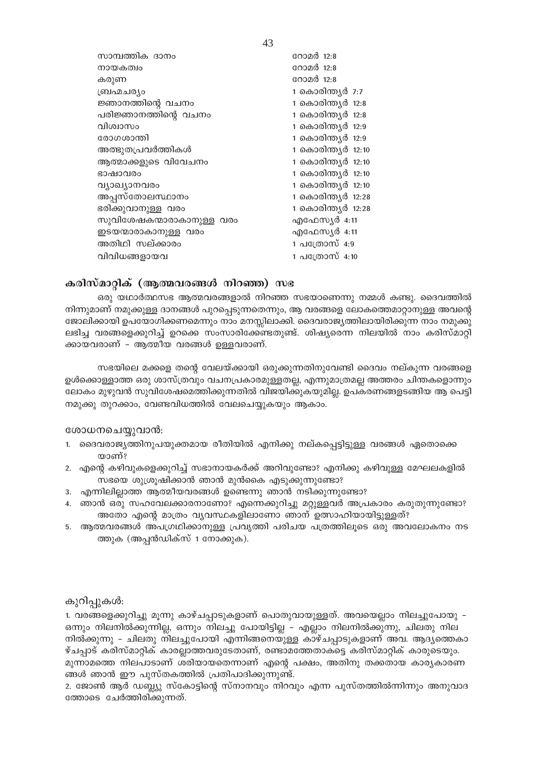| സാമ്പത്തിക ദാനം           | റോമർ 12:8          |
|---------------------------|--------------------|
| നായകത്വം                  | റോമർ 12:8          |
| കരുണ                      | റോമർ 12:8          |
| ബ്രഹ്മചര്യം               | 1 കൊരിന്ത്യർ 7:7   |
| ജ്ഞാനത്തിന്റെ വചനം        | 1 കൊരിന്ത്യർ 12:8  |
| പരിജ്ഞാനത്തിന്റെ വചനം     | 1 കൊരിന്ത്യർ 12:8  |
| വിശ്വാസം                  | 1 കൊരിന്ത്യർ 12:9  |
| രോഗശാന്തി                 | 1 കൊരിന്ത്യർ 12:9  |
| അത്ഭുതപ്രവർത്തികൾ         | 1 കൊരിന്ത്യർ 12:10 |
| ആത്മാക്കളുടെ വിവേചനം      | 1 കൊരിന്ത്യർ 12:10 |
| ഭാഷാവരം                   | 1 കൊരിന്ത്യർ 12:10 |
| വ്യാഖ്യാനവരം              | 1 കൊരിന്ത്യർ 12:10 |
| അപ്പസ്തോലസ്ഥാനം           | 1 കൊരിന്ത്യർ 12:28 |
| ഭരിക്കുവാനുള്ള വരം        | 1 കൊരിന്ത്യർ 12:28 |
| സുവിശേഷകന്മാരാകാനുള്ള വരം | എഫേസ്യർ 4:11       |
| ഇടയന്മാരാകാനുള്ള വരം      | എഫേസൃർ 4:11        |
| അതിഥി സല്ക്കാരം           | 1 പത്രോസ് 4:9      |
| വിവിധങ്ങളായവ              | 1 പത്രോസ് 4:10     |
|                           |                    |

# **കരിസ്മാറ്റിക് (ആത്മവരങ്ങൾ നിറഞ്ഞ) സഭ**

ഒരു യഥാർത്ഥസഭ ആത്മവരങ്ങളാൽ നിറഞ്ഞ സഭയാണെന്നു നമ്മൾ കണ്ടു. ദൈവത്തിൽ നിന്നുമാണ് നമുക്കുള്ള ദാനങ്ങൾ പുറപ്പെടുന്നതെന്നും, ആ വരങ്ങളെ ലോകത്തെമാറ്റാനുള്ള അവന്റെ  $\epsilon$ ജാലിക്കായി ഉപയോഗിക്കണമെന്നും നാം മനസ്സിലാക്കി. ദൈവരാജൃത്തിലായിരിക്കുന്ന നാം നമുക്കു ലഭിച്ച വരങ്ങളെക്കുറിച്ച് ഉറക്കെ സംസാരിക്കേണ്ടതുണ്ട്. ശിഷ്യരെന്ന നിലയിൽ നാം കരിസ്മാറ്റി ക്കായവരാണ് - ആത്മീയ വരങ്ങൾ ഉള്ളവരാണ്.

സഭയിലെ മക്കളെ തന്റെ വേലയ്ക്കായി ഒരുക്കുന്നതിനുവേണ്ടി ദൈവം നല്കുന്ന വരങ്ങളെ ഉൾക്കൊള്ളാത്ത ഒരു ശാസ്ത്രവും വചനപ്രകാരമുള്ളതല്ല, എന്നുമാത്രമല്ല അത്തരം ചിന്തകളൊന്നും ലോകം മുഴുവൻ സുവിശേഷമെത്തിക്കുന്നതിൽ വിജയിക്കുകയുമില്ല. ഉപകരണങ്ങളടങ്ങിയ ആ പെട്ടി നമുക്കു തുറക്കാം, വേണ്ടവിധത്തിൽ വേലചെയ്യുകയും ആകാം.

# ശോധനചെയ്യുവാൻ:

- 1. ദൈവരാജ്യത്തിനുപയുക്തമായ രീതിയിൽ എനിക്കു നല്കപ്പെട്ടിട്ടുള്ള വരങ്ങൾ ഏതൊക്കെ യാണ്?
- 2. എന്റെ കഴിവുകളെക്കുറിച്ച് സഭാനായകർക്ക് അറിവുണ്ടോ? എനിക്കു കഴിവുള്ള മേഘലകളിൽ സഭയെ ശുശ്രൂഷിക്കാൻ ഞാൻ മുൻകൈ എടുക്കുന്നുണ്ടോ?
- 3. എന്നിലില്ലാത്ത ആത്മീയവരങ്ങൾ ഉണ്ടെന്നു ഞാൻ നടിക്കുന്നുണ്ടോ?
- 4. ഞാൻ ഒരു സഹവേലക്കാരനാണോ? എന്നെക്കുറിച്ചു മറ്റുള്ളവർ അപ്രകാരം കരുതുന്നുണ്ടോ? അതോ എന്റെ മാത്രം വ്യവസ്ഥകളിലാണോ ഞാന് ഉത്സാഹിയായിട്ടുള്ളത്?
- 5. ആത്മവരങ്ങൾ അപഗ്രഥിക്കാനുള്ള പ്രവൃത്തി പരിചയ പത്രത്തിലൂടെ ഒരു അവലോകനം നട ത്തുക (അപ്പൻഡിക്സ് 1 നോക്കുക).

# കുറിപ്പുകൾ:

1. വരങ്ങളെക്കുറിച്ചു മൂന്നു കാഴ്ചപ്പാടുകളാണ് പൊതുവായുള്ളത്. അവയെല്ലാം നിലച്ചുപോയു – ഒന്നും നിലനിൽക്കുന്നില്ല, ഒന്നും നിലച്ചു പോയിട്ടില്ല – എല്ലാം നിലനിൽക്കുന്നു, ചിലതു നില നിൽക്കുന്നു - ചിലതു നിലച്ചുപോയി എന്നിങ്ങനെയുള്ള കാഴ്ചപ്പാടുകളാണ് അവ. ആദ്യത്തെകാ ഴ്ചപ്പാട് കരിസ്മാറ്റിക് കാരല്ലാത്തവരുടേതാണ്, രണ്ടാമത്തേതാകട്ടെ കരിസ്മാറ്റിക് കാരുടെയും. മുന്നാമത്തെ നിലപാടാണ് ശരിയായതെന്നാണ് എന്റെ പക്ഷം, അതിനു തക്കതായ കാരൃകാരണ ങ്ങൾ ഞാൻ ഈ പുസ്തകത്തിൽ പ്രതിപാദിക്കുന്നുണ്ട്.

2. ജോൺ ആർ ഡബ്ല്യു സ്കോട്ടിന്റെ സ്നാനവും നിറവും എന്ന പുസ്തത്തിൽന്നിന്നും അനുവാദ ത്തോടെ ചേർത്തിരിക്കുന്നത്.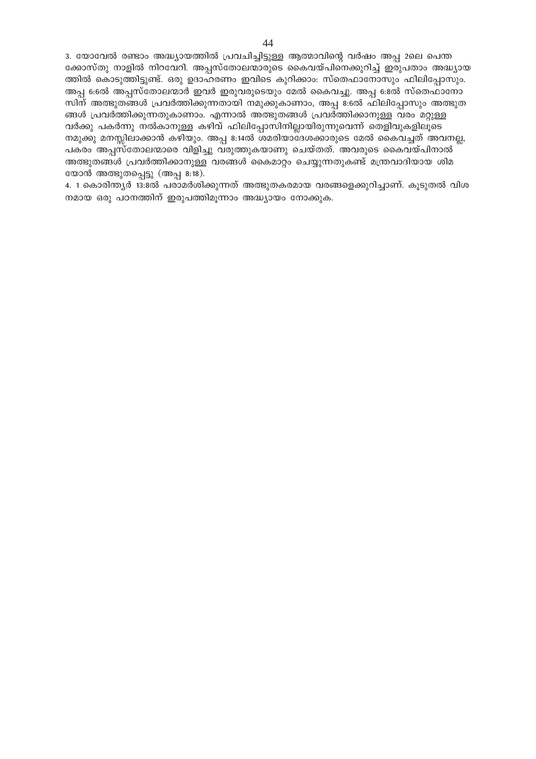3. യോവേൽ രണ്ടാം അദ്ധ്യായത്തിൽ പ്രവചിച്ചിട്ടുള്ള ആത്മാവിന്റെ വർഷം അപ്പ 2ലെ പെന്ത ക്കോസ്തു നാളിൽ നിറവേറി. അപ്പസ്തോലന്മാരുടെ കൈവയ്പിനെക്കുറിച്ച് ഇരുപതാം അദ്ധ്യായ ത്തിൽ കൊടുത്തിട്ടുണ്ട്. ഒരു ഉദാഹരണം ഇവിടെ കുറിക്കാം: സ്തെഫാനോസും ഫിലിപ്പോസും. അപ്പ 6:6ൽ അപ്പസ്തോലന്മാർ ഇവർ ഇരുവരുടെയും മേൽ കൈവച്ചു. അപ്പ 6:8ൽ സ്തെഫാനോ സിന് അത്ഭുതങ്ങൾ പ്രവർത്തിക്കുന്നതായി നമുക്കുകാണാം, അപ്പ 8:6ൽ ഫിലിപ്പോസും അത്ഭുത ങ്ങൾ പ്രവർത്തിക്കുന്നതുകാണാം. എന്നാൽ അത്ഭുതങ്ങൾ പ്രവർത്തിക്കാനുള്ള വരം മറ്റുള്ള വർക്കു പകർന്നു നൽകാനുള്ള കഴിവ് ഫിലിപ്പോസിനില്ലായിരുന്നുവെന്ന് തെളിവുകളിലൂടെ നമുക്കു മനസ്സിലാക്കാൻ കഴിയും. അപ്പ 8:14ൽ ശമരിയാദേശക്കാരുടെ മേൽ കൈവച്ചത് അവനല്ല, പകരം അപ്പസ്തോലന്മാരെ വിളിച്ചു വരുത്തുകയാണു ചെയ്തത്. അവരുടെ കൈവയ്പിനാൽ അത്ഭുതങ്ങൾ പ്രവർത്തിക്കാനുള്ള വരങ്ങൾ കൈമാറ്റം ചെയ്യുന്നതുകണ്ട് മന്ത്രവാദിയായ ശിമ യോൻ അത്ഭുതപ്പെട്ടു (അപ്പ 8:18).

4. 1 കൊരിന്ത്യർ 13:8ൽ പരാമർശിക്കുന്നത് അത്ഭുതകരമായ വരങ്ങളെക്കുറിച്ചാണ്. കൂടുതൽ വിശ നമായ ഒരു പഠനത്തിന് ഇരുപത്തിമൂന്നാം അദ്ധ്യായം നോക്കുക.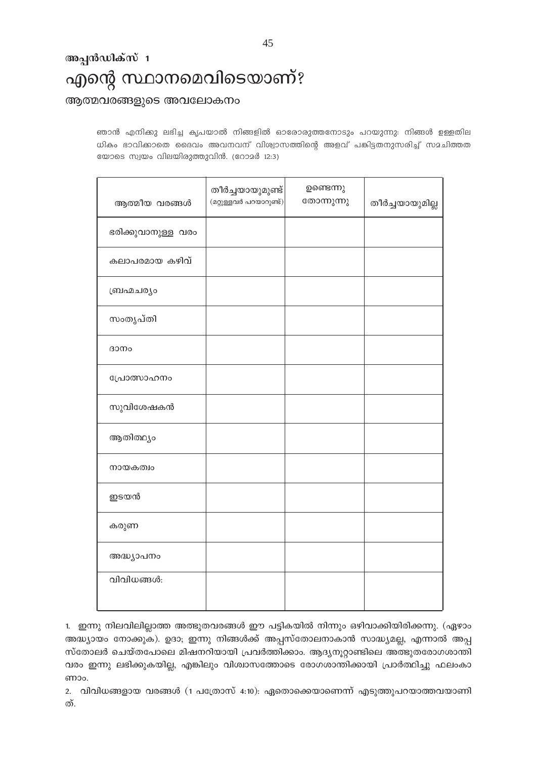ഞാൻ എനിക്കു ലഭിച്ച കൃപയാൽ നിങ്ങളിൽ ഓരോരുത്തനോടും പറയുന്നു: നിങ്ങൾ ഉള്ളതില ധികം ഭാവികാതെ ദൈവം അവനവന് വിശ്വാസത്തിന്റെ അളവ് പങ്കിട്ടതനുസരിച്ച് സമചിത്തത യോടെ സ്വയം വിലയിരുത്തുവിൻ. (റോമർ 12:3)

| ആത്മീയ വരങ്ങൾ      | തീർച്ചയായുമുണ്ട്<br>(മറ്റുള്ളവർ പറയാറുണ്ട്) | ഉണ്ടെന്നു<br>തോന്നുന്നു | തീർച്ചയായുമില്ല |
|--------------------|---------------------------------------------|-------------------------|-----------------|
| ഭരിക്കുവാനുള്ള വരം |                                             |                         |                 |
| കലാപരമായ കഴിവ്     |                                             |                         |                 |
| ബ്രഹ്മചര്യം        |                                             |                         |                 |
| സംതൃപ്തി           |                                             |                         |                 |
| ദാനം               |                                             |                         |                 |
| പ്രോത്സാഹനം        |                                             |                         |                 |
| സുവിശേഷകൻ          |                                             |                         |                 |
| ആതിത്ഥ്യം          |                                             |                         |                 |
| നായകത്വം           |                                             |                         |                 |
| ഇടയൻ               |                                             |                         |                 |
| കരുണ               |                                             |                         |                 |
| അദ്ധ്യാപനം         |                                             |                         |                 |
| വിവിധങ്ങൾ:         |                                             |                         |                 |
|                    |                                             |                         |                 |

1. ഇന്നു നിലവിലില്ലാത്ത അത്ഭുതവരങ്ങൾ ഈ പട്ടികയിൽ നിന്നും ഒഴിവാക്കിയിരിക്കന്നു. (ഏഴാം അദ്ധ്യായം നോക്കുക). ഉദാ; ഇന്നു നിങ്ങൾക്ക് അപ്പസ്തോലനാകാൻ സാദ്ധ്യമല്ല, എന്നാൽ അപ്പ സ്തോലർ ചെയ്തപോലെ മിഷനറിയായി പ്രവർത്തിക്കാം. ആദ്യനൂറ്റാണ്ടിലെ അത്ഭുതരോഗശാന്തി വരം ഇന്നു ലഭിക്കുകയില്ല, എങ്കിലും വിശ്വാസത്തോടെ രോഗശാന്തിക്കായി പ്രാർത്ഥിച്ചു ഫലംകാ ണാം.

2. വിവിധങ്ങളായ വരങ്ങൾ (1 പത്രോസ് 4:10): ഏതൊക്കെയാണെന്ന് എടുത്തുപറയാത്തവയാണി ത്.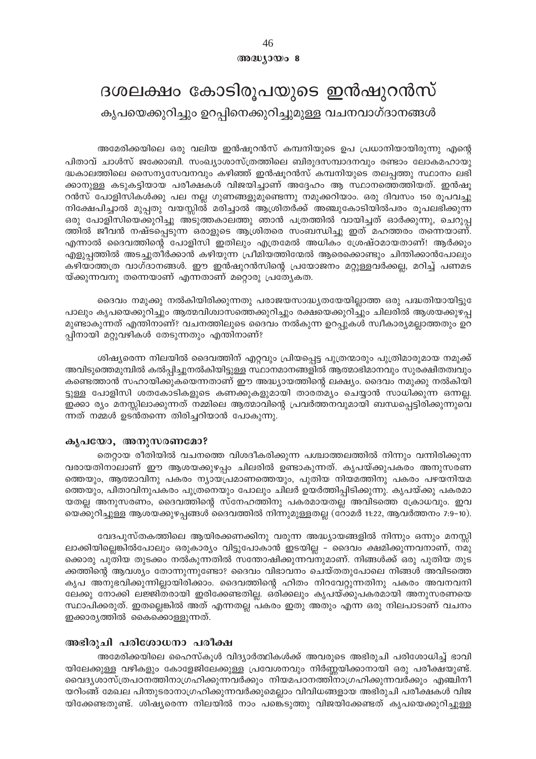# അദ്ധ്യായം 8

# ദശലക്ഷം കോടിരൂപയുടെ ഇൻഷുറൻസ് കൃപയെക്കുറിച്ചും ഉറപ്പിനെക്കുറിച്ചുമുള്ള വചനവാഗ്ദാനങ്ങൾ

# അമേരിക്കയിലെ ഒരു വലിയ ഇൻഷൂറൻസ് കമ്പനിയുടെ ഉപ പ്രധാനിയായിരുന്നു എന്റെ

പിതാവ് ചാൾസ് ജക്കോബി. സംഖ്യാശാസ്ത്രത്തിലെ ബിരുദസമ്പാദനവും രണ്ടാം ലോകമഹായു ദ്ധകാലത്തിലെ സൈന്യസേവനവും കഴിഞ്ഞ് ഇൻഷൂറൻസ് കമ്പനിയുടെ തലപ്പത്തു സ്ഥാനം ലഭി ക്കാനുള്ള കടുകട്ടിയായ പരീക്ഷകൾ വിജയിച്ചാണ് അദ്ദേഹം ആ സ്ഥാനത്തെത്തിയത്. ഇൻഷൂ റൻസ് പോളിസികൾക്കു പല നല്ല ഗുണങ്ങളുമുണ്ടെന്നു നമുക്കറിയാം. ഒരു ദിവസം 150 രൂപവച്ചു നിക്ഷേപിച്ചാൽ മുപ്പതു വയസ്സിൽ മരിച്ചാൽ ആശ്രിതർക്ക് അഞ്ചുകോടിയിൽപരം രൂപലഭിക്കുന്ന ഒരു പോളിസിയെക്കുറിച്ചു അടുത്തകാലത്തു ഞാൻ പത്രത്തിൽ വായിച്ചത് ഓർക്കുന്നു, ചെറുപ്പ ത്തിൽ ജീവൻ നഷ്ടപ്പെടുന്ന ഒരാളുടെ ആശ്രിതരെ സംബന്ധിച്ചു ഇത് മഹത്തരം തന്നെയാണ്. എന്നാൽ ദൈവത്തിന്റെ പോളിസി ഇതിലും എത്രമേൽ അധികം ശ്രേഷ്ഠമായതാണ്! ആർക്കും എളുപ്പത്തിൽ അടച്ചുതീർക്കാൻ കഴിയുന്ന പ്രീമിയത്തിന്മേൽ ആരെക്കൊണ്ടും ചിന്തിക്കാൻപോലും കഴിയാത്തത്ര വാഗ്ദാനങ്ങൾ. ഈ ഇൻഷുറൻസിന്റെ പ്രയോജനം മറ്റുള്ളവർക്കല്ല, മറിച്ച് പണമട യ്ക്കുന്നവനു തന്നെയാണ് എന്നതാണ് മറ്റൊരു പ്രത്യേകത.

ദൈവം നമുക്കു നൽകിയിരിക്കുന്നതു പരാജയസാദ്ധ്യതയേയില്ലാത്ത ഒരു പദ്ധതിയായിട്ടു പാലും കൃപയെക്കുറിച്ചും ആത്മവിശ്വാസത്തെക്കുറിച്ചും രക്ഷയെക്കുറിച്ചും ചിലരിൽ ആശയക്കുഴപ്പ മുണ്ടാകുന്നത് എന്തിനാണ്? വചനത്തിലുടെ ദൈവം നൽകുന്ന ഉറപ്പുകൾ സ്വീകാര്യമല്ലാത്തതും ഉറ പ്പിനായി മറ്റുവഴികൾ തേടുന്നതും എന്തിനാണ്?

ശിഷ്യരെന്ന നിലയിൽ ദൈവത്തിന് എറ്റവും പ്രിയപ്പെട്ട പുത്രന്മാരും പുത്രിമാരുമായ നമുക്ക് അവിടുത്തെമുമ്പിൽ കൽപ്പിച്ചുനൽകിയിട്ടുള്ള സ്ഥാനമാനങ്ങളിൽ ആത്മാഭിമാനവും സുരക്ഷിതത്വവും കണ്ടെത്താൻ സഹായിക്കുകയെന്നതാണ് ഈ അദ്ധ്യായത്തിന്റെ ലക്ഷ്യം. ദൈവം നമുക്കു നൽകിയി ട്ടുള്ള പോളിസി ശതകോടികളുടെ കണക്കുകളുമായി താരതമ്യം ചെയ്യാൻ സാധിക്കുന്ന ഒന്നല്ല. ഇക്കാ ര്യം മനസ്സിലാക്കുന്നത് നമ്മിലെ ആത്മാവിന്റെ പ്രവർത്തനവുമായി ബന്ധപ്പെട്ടിരിക്കുന്നുവെ ന്നത് നമ്മൾ ഉടൻതന്നെ തിരിച്ചറിയാൻ പോകുന്നു.

# കൃപയോ, അനുസരണമോ?

തെറ്റായ രീതിയിൽ വചനത്തെ വിശദീകരിക്കുന്ന പശ്ചാത്തലത്തിൽ നിന്നും വന്നിരിക്കുന്ന വരായതിനാലാണ് ഈ ആശയക്കുഴപ്പം ചിലരിൽ ഉണ്ടാകുന്നത്. കൃപയ്ക്കുപകരം അനുസരണ ത്തെയും, ആത്മാവിനു പകരം ന്യായപ്രമാണത്തെയും, പുതിയ നിയമത്തിനു പകരം പഴയനിയമ ത്തെയും, പിതാവിനുപകരം പുത്രനെയും പോലും ചിലർ ഉയർത്തിപ്പിടിക്കുന്നു. കൃപയ്ക്കു പകരമാ യതല്ല അനുസരണം, ദൈവത്തിന്റെ സ്നേഹത്തിനു പകരമായതല്ല അവിടത്തെ ക്രോധവും. ഇവ യെക്കുറിച്ചുള്ള ആശയക്കുഴപ്പങ്ങൾ ദൈവത്തിൽ നിന്നുമുള്ളതല്ല (റോമർ 11:22, ആവർത്തനം 7:9–10).

വേദപുസ്തകത്തിലെ ആയിരക്കണക്കിനു വരുന്ന അദ്ധ്യായങ്ങളിൽ നിന്നും ഒന്നും മനസ്സി ലാക്കിയില്ലെങ്കിൽപോലും ഒരുകാര്യം വിട്ടുപോകാൻ ഇടയില്ല – ദൈവം ക്ഷമിക്കുന്നവനാണ്, നമു ക്കൊരു പുതിയ തുടക്കം നൽകുന്നതിൽ സന്തോഷിക്കുന്നവനുമാണ്. നിങ്ങൾക്ക് ഒരു പുതിയ തുട ക്കത്തിന്റെ ആവശ്യം തോന്നുന്നുണ്ടോ? ദൈവം വിഭാവനം ചെയ്തതുപോലെ നിങ്ങൾ അവിടത്തെ കൃപ അനുഭവിക്കുന്നില്ലായിരിക്കാം. ദൈവത്തിന്റെ ഹിതം നിറവേറ്റുന്നതിനു പകരം അവനവനി ലേക്കു നോക്കി ലജ്ജിതരായി ഇരിക്കേണ്ടതില്ല. ഒരിക്കലും കൃപയ്ക്കുപകരമായി അനുസരണയെ സ്ഥാപിക്കരുത്. ഇതല്ലെങ്കിൽ അത് എന്നതല്ല പകരം ഇതു അതും എന്ന ഒരു നിലപാടാണ് വചനം ഇക്കാര്യത്തിൽ കൈക്കൊള്ളുന്നത്.

# അഭിരുചി പരിശോധനാ പരീക്ഷ

അമേരിക്കയിലെ ഹൈസ്കൂൾ വിദ്യാർത്ഥികൾക്ക് അവരുടെ അഭിരുചി പരിശോധിച്ച് ഭാവി യിലേക്കുള്ള വഴികളും കോളേജിലേക്കുള്ള പ്രവേശനവും നിർണ്ണയിക്കാനായി ഒരു പരീക്ഷയുണ്ട്. വൈദ്യശാസ്ത്രപഠനത്തിനാഗ്രഹിക്കുന്നവർക്കും നിയമപഠനത്തിനാഗ്രഹിക്കുന്നവർക്കും എഞ്ചിനീ യറിംങ്ങ് മേഖല പിന്തുടരാനാഗ്രഹിക്കുന്നവർക്കുമെല്ലാം വിവിധങ്ങളായ അഭിരുചി പരീക്ഷകൾ വിജ യിക്കേണ്ടതുണ്ട്. ശിഷ്യരെന്ന നിലയിൽ നാം പങ്കെടുത്തു വിജയിക്കേണ്ടത് കൃപയെക്കുറിച്ചുള്ള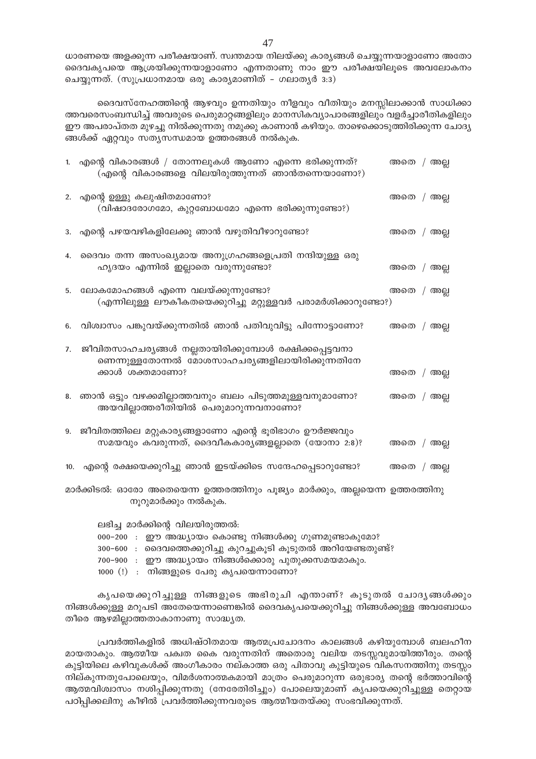ധാരണയെ അളക്കുന്ന പരീക്ഷയാണ്. സ്വന്തമായ നിലയ്ക്കു കാര്യങ്ങൾ ചെയ്യുന്നയാളാണോ അതോ ദൈവകൃപയെ ആശ്രയിക്കുന്നയാളാണോ എന്നതാണു നാം ഈ പരീക്ഷയിലൂടെ അവലോകനം ചെയ്യുന്നത്. (സുപ്രധാനമായ ഒരു കാര്യമാണിത് – ഗലാത്യർ 3:3)

ദൈവസ്നേഹത്തിന്റെ ആഴവും ഉന്നതിയും നീളവും വീതിയും മനസ്സിലാക്കാൻ സാധിക്കാ ത്തവരെസംബന്ധിച്ച് അവരുടെ പെരുമാറ്റങ്ങളിലും മാനസികവ്യാപാരങ്ങളിലും വളർച്ചാരീതികളിലും ഈ അപരാപ്തത മുഴച്ചു നിൽക്കുന്നതു നമുക്കു കാണാൻ കഴിയും. താഴെക്കൊടുത്തിരിക്കുന്ന ചോദ്യ ങ്ങൾക്ക് ഏറ്റവും സതൃസന്ധമായ ഉത്തരങ്ങൾ നൽകുക.

|     | 1. എന്റെ വികാരങ്ങൾ / തോന്നലുകൾ ആണോ എന്നെ ഭരിക്കുന്നത്?<br>(എന്റെ വികാരങ്ങളെ വിലയിരുത്തുന്നത് ഞാൻതന്നെയാണോ?)    | അതെ / അല്ല |  |
|-----|----------------------------------------------------------------------------------------------------------------|------------|--|
|     | 2. എന്റെ ഉള്ളു കലുഷിതമാണോ?<br>(വിഷാദരോഗമോ, കുറ്റബോധമോ എന്നെ ഭരിക്കുന്നുണ്ടോ?)                                  | അതെ / അല്ല |  |
|     | 3. എന്റെ പഴയവഴികളിലേക്കു ഞാൻ വഴുതിവീഴാറുണ്ടോ?                                                                  | അതെ / അല്ല |  |
|     | 4. ദൈവം തന്ന അസംഖ്യമായ അനുഗ്രഹങ്ങളെപ്രതി നന്ദിയുള്ള ഒരു<br>ഹൃദയം എന്നിൽ ഇല്ലാതെ വരുന്നുണ്ടോ?                   | അതെ / അല്ല |  |
|     | 5. ലോകമോഹങ്ങൾ എന്നെ വലയ്ക്കുന്നുണ്ടോ?<br>(എന്നിലുള്ള ലൗകീകതയെക്കുറിച്ചു മറ്റുള്ളവർ പരാമർശിക്കാറുണ്ടോ?)         | അതെ / അല്ല |  |
| 6.  | വിശ്വാസം പങ്കുവയ്ക്കുന്നതിൽ ഞാൻ പതിവുവിട്ടു പിന്നോട്ടാണോ?                                                      | അതെ / അല്ല |  |
| 7.  | ജീവിതസാഹചര്യങ്ങൾ നല്ലതായിരിക്കുമ്പോൾ രക്ഷിക്കപ്പെട്ടവനാ<br>ണെന്നുള്ളതോന്നൽ മോശസാഹചര്യങ്ങളിലായിരിക്കുന്നതിനേ    |            |  |
|     | ക്കാൾ ശക്തമാണോ?                                                                                                | അതെ / അല്ല |  |
|     | 8. ഞാൻ ഒട്ടും വഴക്കമില്ലാത്തവനും ബലം പിടുത്തമുള്ളവനുമാണോ?<br>അയവില്ലാത്തരീതിയിൽ പെരുമാറുന്നവനാണോ?              | അതെ / അല്ല |  |
|     | 9. ജീവിതത്തിലെ മറ്റുകാര്യങ്ങളാണോ എന്റെ ഭൂരിഭാഗം ഊർജ്ജവും<br>സമയവും കവരുന്നത്, ദൈവീകകാര്യങ്ങളല്ലാതെ (യോനാ 2:8)? | അതെ / അല്ല |  |
| 10. | എന്റെ രക്ഷയെക്കുറിച്ചു ഞാൻ ഇടയ്ക്കിടെ സന്ദേഹപ്പെടാറുണ്ടോ?                                                      | അതെ / അല്ല |  |
|     |                                                                                                                |            |  |

മാർക്കിടൽ: ഓരോ അതെയെന്ന ഉത്തരത്തിനും പുജ്യം മാർക്കും, അല്ലയെന്ന ഉത്തരത്തിനു നൂറുമാർക്കും നൽകുക.

ലഭിച്ച മാർക്കിന്റെ വിലയിരുത്തൽ:

000-200 : ഈ അദ്ധ്യായം കൊണ്ടു നിങ്ങൾക്കു ഗുണമുണ്ടാകുമോ?

300-600 : ദൈവത്തെക്കുറിച്ചു കുറച്ചുകൂടി കൂടുതൽ അറിയേണ്ടതുണ്ട്?

700-900 : ഈ അദ്ധ്യായം നിങ്ങൾക്കൊരു പുതുക്കസമയമാകും.

 $1000$   $(!)$  : നിങ്ങളുടെ പേരു കൃപയെന്നാണോ?

കൃപയെക്കുറിച്ചുള്ള നിങ്ങളുടെ അഭിരുചി എന്താണ്? കൂടുതൽ ചോദൃങ്ങൾക്കും നിങ്ങൾക്കുള്ള മറുപടി അതേയെന്നാണെങ്കിൽ ദൈവകൃപയെക്കുറിച്ചു നിങ്ങൾക്കുള്ള അവബോധം തീരെ ആഴമില്ലാത്തതാകാനാണു സാദ്ധ്യത.

പ്രവർത്തികളിൽ അധിഷ്ഠിതമായ ആത്മപ്രചോദനം കാലങ്ങൾ കഴിയുമ്പോൾ ബലഹീന മായതാകും. ആത്മീയ പക്വത കൈ വരുന്നതിന് അതൊരു വലിയ തടസ്സവുമായിത്തീരും. തന്റെ കുട്ടിയിലെ കഴിവുകൾക്ക് അംഗീകാരം നല്കാത്ത ഒരു പിതാവു കുട്ടിയുടെ വികസനത്തിനു തടസ്സം നില്കുന്നതുപോലെയും, വിമർശനാത്മകമായി മാത്രം പെരുമാറുന്ന ഒരുഭാര്യ തന്റെ ഭർത്താവിന്റെ ആത്മവിശ്വാസം നശിപ്പിക്കുന്നതു (നേരേതിരിച്ചും) പോലെയുമാണ് കൃപയെക്കുറിച്ചുള്ള തെറ്റായ പഠിപ്പിക്കലിനു കീഴിൽ പ്രവർത്തിക്കുന്നവരുടെ ആത്മീയതയ്ക്കു സംഭവിക്കുന്നത്.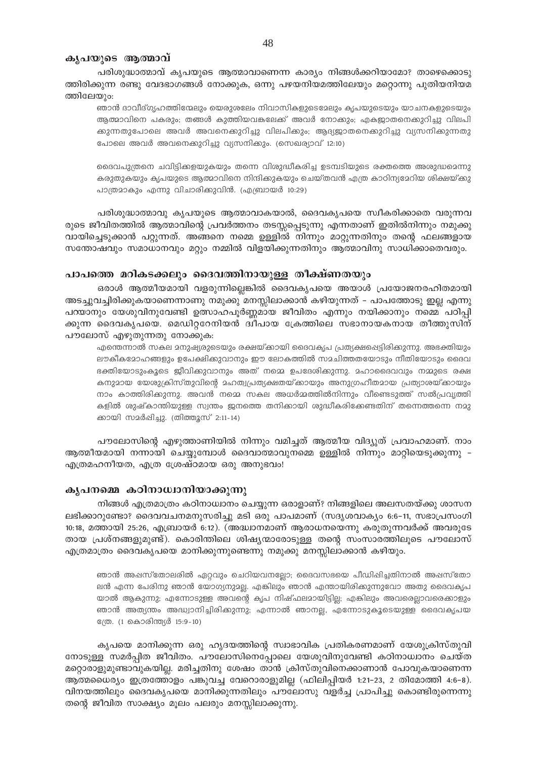#### കൃപയുടെ ആത്മാവ്

പരിശുദ്ധാത്മാവ് കൃപയുടെ ആത്മാവാണെന്ന കാര്യം നിങ്ങൾക്കറിയാമോ? താഴെക്കൊടു ത്തിരിക്കുന്ന രണ്ടു വേദഭാഗങ്ങൾ നോക്കുക, ഒന്നു പഴയനിയമത്തിലേയും മറ്റൊന്നു പുതിയനിയമ ത്തിലേയും:

ഞാൻ ദാവീദ്ഗൃഹത്തിന്മേലും യെരുശലേം നിവാസികളുടെമേലും കൃപയുടെയും യാചനകളുടെയും ആത്മാവിനെ പകരും; തങ്ങൾ കുത്തിയവകലേക്ക് അവർ നോക്കും; എകജ്യാതനെക്കുറിച്ചു വിലപി ക്കുന്നതുപോലെ അവർ അവനെക്കുറിച്ചു വിലപിക്കും; ആദ്യജാതനെക്കുറിച്ചു വ്യസനിക്കുന്നതു പോലെ അവർ അവനെക്കുറിച്ചു വ്യസനിക്കും. (സെഖര്യാവ് 12:10)

ദൈവപുത്രനെ ചവിട്ടിക്കളയുകയും തന്നെ വിശുദ്ധീകരിച്ച ഉടമ്പടിയുടെ രക്തത്തെ അശുദ്ധമെന്നു കരുതുകയും കൃപയുടെ ആത്മാവിനെ നിന്ദിക്കുകയും ചെയ്തവൻ എത്ര കാഠിന്യമേറിയ ശിക്ഷയ്ക്കു പാത്രമാകും എന്നു വിചാരിക്കുവിൻ. (എബ്രായർ 10:29)

പരിശുദ്ധാത്മാവു കൃപയുടെ ആത്മാവാകയാൽ, ദൈവകൃപയെ സ്വീകരിക്കാതെ വരുന്നവ രുടെ ജീവിതത്തിൽ ആത്മാവിന്റെ പ്രവർത്തനം തടസ്സപ്പെടുന്നു എന്നതാണ് ഇതിൽനിന്നും നമുക്കു വായിച്ചെടുക്കാൻ പറ്റുന്നത്. അങ്ങനെ നമ്മെ ഉള്ളിൽ നിന്നും മാറ്റുന്നതിനും തന്റെ ഫലങ്ങളായ സന്തോഷവും സമാധാനവും മറ്റും നമ്മിൽ വിളയിക്കുന്നതിനും ആത്മാവിനു സാധിക്കാതെവരും.

# പാപത്തെ മറികടക്കലും ദൈവത്തിനായുള്ള തീക്ഷ്ണതയും

ഒരാൾ ആത്മീയമായി വളരുന്നില്ലെങ്കിൽ ദൈവകൃപയെ അയാൾ പ്രയോജനരഹിതമായി അടച്ചുവച്ചിരിക്കുകയാണെന്നാണു നമുക്കു മനസ്സിലാക്കാൻ കഴിയുന്നത് – പാപത്തോടു ഇല്ല എന്നു പറയാനും യേശുവിനുവേണ്ടി ഉത്സാഹപൂർണ്ണമായ ജീവിതം എന്നും നയിക്കാനും നമ്മെ പഠിപ്പി ക്കുന്ന ദൈവകൃപയെ. മെഡിറ്ററേനിയൻ ദ്വീപായ ക്രേത്തിലെ സഭാനായകനായ തീത്തുസിന് പൗലോസ് എഴുതുന്നതു നോക്കുക:

എന്തെന്നാൽ സകല മനുഷ്യരുടെയും രക്ഷയ്ക്കായി ദൈവകൃപ പ്രത്യക്ഷപ്പെട്ടിരിക്കുന്നു. അഭക്തിയും ലൗകീകമോഹങ്ങളും ഉപേക്ഷിക്കുവാനും ഈ ലോകത്തിൽ സമചിത്തതയോടും നീതിയോടും ദൈവ ഭക്തിയോടുംകൂടെ ജീവിക്കുവാനും അത് നമ്മെ ഉപദേശിക്കുന്നു. മഹാദൈവവും നമ്മുടെ രക്ഷ കനുമായ യേശുക്രിസ്തുവിന്റെ മഹത്വപ്രത്യക്ഷതയ്ക്കായും അനുഗ്രഹീതമായ പ്രത്യാശയ്ക്കായും നാം കാത്തിരിക്കുന്നു. അവൻ നമ്മെ സകല അധർമ്മത്തിൽനിന്നും വീണ്ടെടുത്ത് സൽപ്രവൃത്തി കളിൽ ശുഷ്കാന്തിയുള്ള സ്വന്തം ജനത്തെ തനിക്കായി ശുദ്ധീകരിക്കേണ്ടതിന് തന്നെത്തന്നെ നമു ക്കായി സമർഷിച്ചു. (തിത്തൂസ് 2:11-14)

പൗലോസിന്റെ എഴുത്താണിയിൽ നിന്നും വമിച്ചത് ആത്മീയ വിദ്യുത് പ്രവാഹമാണ്. നാം ആത്മീയമായി നന്നായി ചെയ്യുമ്പോൾ ദൈവാത്മാവുനമ്മെ ഉള്ളിൽ നിന്നും മാറ്റിയെടുക്കുന്നു – എത്രമഹനീയത, എത്ര ശ്രേഷ്ഠമായ ഒരു അനുഭവം!

#### കൃപനമ്മെ കഠിനാധ്വാനിയാക്കുന്നു

നിങ്ങൾ എത്രമാത്രം കഠിനാധ്വാനം ചെയ്യുന്ന ഒരാളാണ്? നിങ്ങളിലെ അലസതയ്ക്കു ശാസന ലഭിക്കാറുണ്ടോ? ദൈവവചനമനുസരിച്ചു മടി ഒരു പാപമാണ് (സദൃശവാക്യം 6:6–11, സഭാപ്രസംഗി 10:18, മത്തായി 25:26, എബ്രായർ 6:12). (അദ്ധ്വാനമാണ് ആരാധനയെന്നു കരുതുന്നവർക്ക് അവരുടേ തായ പ്രശ്നങ്ങളുമുണ്ട്). കൊരിന്തിലെ ശിഷ്യന്മാരോടുള്ള തന്റെ സംസാരത്തിലൂടെ പൗലോസ് എത്രമാത്രം ദൈവകൃപയെ മാനിക്കുന്നുണ്ടെന്നു നമുക്കു മനസ്സിലാക്കാൻ കഴിയും.

ഞാൻ അഷസ്തോലരിൽ ഏറ്റവും ചെറിയവനല്ലോ; ദൈവസഭയെ പീഡിഷിച്ചതിനാൽ അഷസ്തോ ലൻ എന്ന പേരിനു ഞാൻ യോഗ്യനുമല്ല. എങ്കിലും ഞാൻ എന്തായിരിക്കുന്നുവോ അതു ദൈവകൃപ യാൽ ആകുന്നു; എന്നോടുള്ള അവന്റെ കൃപ നിഷ്ഫലമായിട്ടില്ല; എങ്കിലും അവരെല്ലാവരെക്കാളും ഞാൻ അത്യന്തം അദ്ധ്വാനിച്ചിരിക്കുന്നു; എന്നാൽ ഞാനല്ല, എന്നോടുകൂടെയുള്ള ദൈവകൃപയ ന്രേ. (1 കൊരിന്ത്യർ 15:9-10)

കൃപയെ മാനിക്കുന്ന ഒരു ഹൃദയത്തിന്റെ സ്വാഭാവിക പ്രതികരണമാണ് യേശുക്രിസ്തുവി നോടുള്ള സമർപ്പിത ജീവിതം. പൗലോസിനെപ്പോലെ യേശുവിനുവേണ്ടി കഠിനാധ്വാനം ചെയ്ത മറ്റൊരാളുമുണ്ടാവുകയില്ല. മരിച്ചതിനു ശേഷം താൻ ക്രിസ്തുവിനെക്കാണാൻ പോവുകയാണെന്ന ആത്മധൈര്യം ഇത്രത്തോളം പങ്കുവച്ച വേറൊരാളുമില്ല (ഫിലിപ്പിയർ 1:21-23, 2 തിമോത്തി 4:6-8). വിനയത്തിലും ദൈവകൃപയെ മാനിക്കുന്നതിലും പൗലോസു വളർച്ച പ്രാപിച്ചു കൊണ്ടിരുന്നെന്നു തന്റെ ജീവിത സാക്ഷ്യം മൂലം പലരും മനസ്സിലാക്കുന്നു.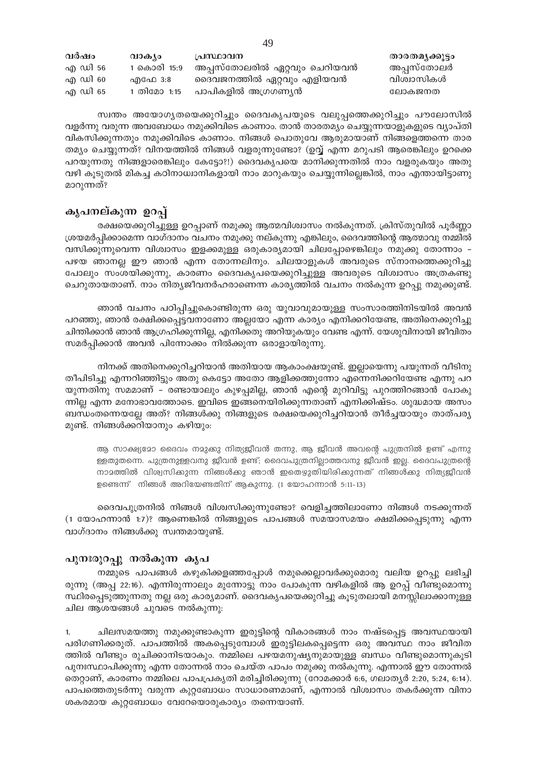| വർഷം    | വാക്യാ      | പ്രസ്ഥാവന                    | താരതമൃക്കൂട്ടം |
|---------|-------------|------------------------------|----------------|
| എ ഡി 56 | 1 കൊരി 15:9 | അപ്പസ്തോലരിൽ ഏറ്റവും ചെറിയവൻ | അപ്പസ്തോലർ     |
| എ ഡി 60 | എഫേ 3:8     | ദൈവജനത്തിൽ ഏറ്റവും എളിയവൻ    | വിശ്വാസികൾ     |
| എ ഡി 65 | 1 തിമോ 1:15 | പാപികളിൽ അഗ്രഗണ്യൻ           | ലോകജനത         |

സ്വന്തം അയോഗൃതയെക്കുറിച്ചും ദൈവകൃപയുടെ വലുപ്പത്തെക്കുറിച്ചും പൗലോസിൽ വളർന്നു വരുന്ന അവബോധം നമുക്കിവിടെ കാണാം. താൻ താരതമ്യം ചെയ്യുന്നയാളുകളുടെ വ്യാപ്തി വികസിക്കുന്നതും നമുക്കിവിടെ കാണാം. നിങ്ങൾ പൊതുവേ ആരുമായാണ് നിങ്ങളെത്തന്നെ താര തമ്യം ചെയ്യുന്നത്? വിനയത്തിൽ നിങ്ങൾ വളരുന്നുണ്ടോ? (ഉവ്വ് എന്ന മറുപടി ആരെങ്കിലും ഉറക്കെ പറയുന്നതു നിങ്ങളാരെങ്കിലും കേട്ടോ?!) ദൈവകൃപയെ മാനിക്കുന്നതിൽ നാം വളരുകയും അതു വഴി കൂടുതൽ മികച്ച കഠിനാധ്വാനികളായി നാം മാറുകയും ചെയ്യുന്നില്ലെങ്കിൽ, നാം എന്തായിട്ടാണു മാറുന്നത്?

# കൃപനല്കുന്ന ഉറപ്പ്

രക്ഷയെക്കുറിച്ചുള്ള ഉറപ്പാണ് നമുക്കു ആത്മവിശ്വാസം നൽകുന്നത്. ക്രിസ്തുവിൽ പൂർണ്ണാ ശ്രയമർപ്പിക്കാമെന്ന വാഗ്ദാനം വചനം നമുക്കു നല്കുന്നു എങ്കിലും, ദൈവത്തിന്റെ ആത്മാവു നമ്മിൽ വസിക്കുന്നുവെന്ന വിശ്വാസം ഇളക്കമുള്ള ഒരുകാര്യമായി ചിലപ്പോഴെങ്കിലും നമുക്കു തോന്നാം – പഴയ ഞാനല്ല ഈ ഞാൻ എന്ന തോന്നലിനും. ചിലയാളുകൾ അവരുടെ സ്നാനത്തെക്കുറിച്ചു പോലും സംശയിക്കുന്നു, കാരണം ദൈവകൃപയെക്കുറിച്ചുള്ള അവരുടെ വിശ്വാസം അത്രകണ്ടു ചെറുതായതാണ്. നാം നിത്യജീവനർഹരാണെന്ന കാര്യത്തിൽ വചനം നൽകുന്ന ഉറപ്പു നമുക്കുണ്ട്.

ഞാൻ വചനം പഠിപ്പിച്ചുകൊണ്ടിരുന്ന ഒരു യുവാവുമായുള്ള സംസാരത്തിനിടയിൽ അവൻ പറഞ്ഞു, ഞാൻ രക്ഷിക്കപ്പെട്ടവനാണോ അല്ലയോ എന്ന കാര്യം എനിക്കറിയേണ്ട, അതിനെക്കുറിച്ചു ചിന്തിക്കാൻ ഞാൻ ആഗ്രഹിക്കുന്നില്ല, എനിക്കതു അറിയുകയും വേണ്ട എന്ന്. യേശുവിനായി ജീവിതം സമർപ്പിക്കാൻ അവൻ പിന്നോക്കം നിൽക്കുന്ന ഒരാളായിരുന്നു.

നിനക്ക് അതിനെക്കുറിച്ചറിയാൻ അതിയായ ആകാംക്ഷയുണ്ട്. ഇല്ലായെന്നു പയുന്നത് വീടിനു തീപിടിച്ചു എന്നറിഞ്ഞിട്ടും അതു കെട്ടോ അതോ ആളിക്കത്തുന്നോ എന്നെനിക്കറിയേണ്ട എന്നു പറ യുന്നതിനു സമമാണ് - രണ്ടായാലും കുഴപ്പമില്ല, ഞാൻ എന്റെ മുറിവിട്ടു പുറത്തിറങ്ങാൻ പോകു ന്നില്ല എന്ന മനോഭാവത്തോടെ. ഇവിടെ ഇങ്ങനെയിരിക്കുന്നതാണ് എനിക്കിഷ്ടം. ശുദ്ധമായ അസം ബന്ധംതന്നെയല്ലേ അത്? നിങ്ങൾക്കു നിങ്ങളുടെ രക്ഷയെക്കുറിച്ചറിയാൻ തീർച്ചയായും താത്പര്യ മുണ്ട്. നിങ്ങൾക്കറിയാനും കഴിയും:

ആ സാക്ഷ്യമോ ദൈവം നമുക്കു നിത്യജീവൻ തന്നു, ആ ജീവൻ അവന്റെ പുത്രനിൽ ഉണ്ട് എന്നു ള്ളതുതന്നെ. പുത്രനുള്ളവനു ജീവൻ ഉണ്ട്; ദൈവപുത്രനില്ലാത്തവനു ജീവൻ ഇല്ല. ദൈവപുത്രന്റെ നാമത്തിൽ വിശ്വസിക്കുന്ന നിങ്ങൾക്കു ഞാൻ ഇതെഴുതിയിരിക്കുന്നത് നിങ്ങൾക്കു നിത്യജീവൻ ഉണ്ടെന്ന് നിങ്ങൾ അറിയേണ്ടതിന് ആകുന്നു. (1 യോഹന്നാൻ 5:11-13)

ദൈവപുത്രനിൽ നിങ്ങൾ വിശ്വസിക്കുന്നുണ്ടോ? വെളിച്ചത്തിലാണോ നിങ്ങൾ നടക്കുന്നത് (1 യോഹന്നാൻ 1:7)? ആണെങ്കിൽ നിങ്ങളുടെ പാപങ്ങൾ സമയാസമയം ക്ഷമിക്കപ്പെടുന്നു എന്ന വാഗ്ദാനം നിങ്ങൾക്കു സ്വന്തമായുണ്ട്.

# പുനഃരുറപ്പു നൽകുന്ന കൃപ

നമ്മുടെ പാപങ്ങൾ കഴുകിക്കളഞ്ഞപ്പോൾ നമുക്കെല്ലാവർക്കുമൊരു വലിയ ഉറപ്പു ലഭിച്ചി രുന്നു (അപ്പ 22:16). എന്നിരുന്നാലും മുന്നോട്ടു നാം പോകുന്ന വഴികളിൽ ആ ഉറപ്പ് വീണ്ടുമൊന്നു സ്ഥിരപ്പെടുത്തുന്നതു നല്ല ഒരു കാര്യമാണ്. ദൈവകൃപയെക്കുറിച്ചു കൂടുതലായി മനസ്സിലാക്കാനുള്ള ചില ആശയങ്ങൾ ചുവടെ നൽകുന്നു:

ചിലസമയത്തു നമുക്കുണ്ടാകുന്ന ഇരുട്ടിന്റെ വികാരങ്ങൾ നാം നഷ്ടപ്പെട്ട അവസ്ഥയായി 1. പരിഗണിക്കരുത്. പാപത്തിൽ അകപ്പെടുമ്പോൾ ഇരുട്ടിലകപ്പെട്ടെന്ന ഒരു അവസ്ഥ നാം ജീവിത ത്തിൽ വീണ്ടും രുചിക്കാനിടയാകും. നമ്മിലെ പഴയമനുഷ്യനുമായുള്ള ബന്ധം വീണ്ടുമൊന്നുകൂടി പുനഃസ്ഥാപിക്കുന്നു എന്ന തോന്നൽ നാം ചെയ്ത പാപം നമുക്കു നൽകുന്നു. എന്നാൽ ഈ തോന്നൽ തെറ്റാണ്, കാരണം നമ്മിലെ പാപപ്രകൃതി മരിച്ചിരിക്കുന്നു (റോമക്കാർ 6:6, ഗലാതൃർ 2:20, 5:24, 6:14). പാപത്തെതുടർന്നു വരുന്ന കുറ്റബോധം സാധാരണമാണ്, എന്നാൽ വിശ്വാസം തകർക്കുന്ന വിനാ ശകരമായ കുറ്റബോധം വേറേയൊരുകാര്യം തന്നെയാണ്.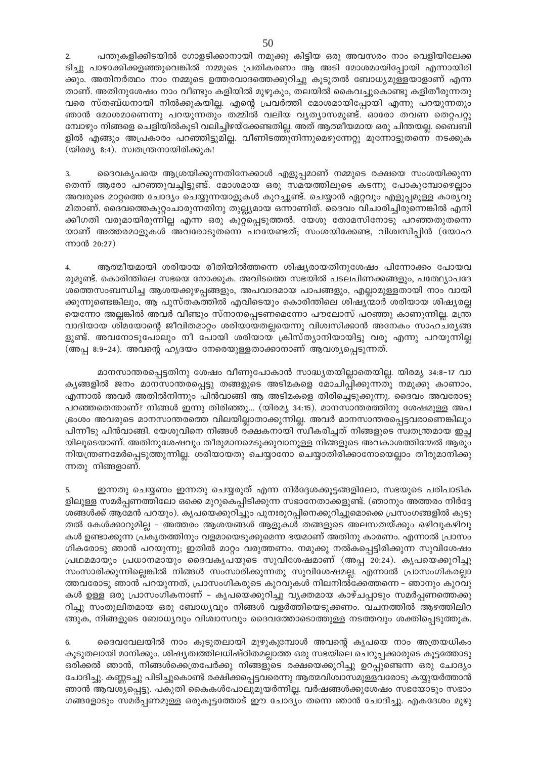$2.$ പന്തുകളിക്കിടയിൽ ഗോളടിക്കാനായി നമുക്കു കിട്ടിയ ഒരു അവസരം നാം വെളിയിലേക്ക ടിച്ചു പാഴാക്കിക്കളഞ്ഞുവെങ്കിൽ നമ്മുടെ പ്രതികരണം ആ അടി മോശമായിപ്പോയി എന്നായിരി ക്കും. അതിനർത്ഥം നാം നമ്മുടെ ഉത്തരവാദത്തെക്കുറിച്ചു കൂടുതൽ ബോധ്യമുള്ളയാളാണ് എന്ന താണ്. അതിനുശേഷം നാം വീണ്ടും കളിയിൽ മുഴുകും, തലയിൽ കൈവച്ചുകൊണ്ടു കളിതീരുന്നതു വരെ സ്തബ്ധനായി നിൽക്കുകയില്ല. എന്റെ പ്രവർത്തി മോശമായിപ്പോയി എന്നു പറയുന്നതും ഞാൻ മോശമാണെന്നു പറയുന്നതും തമ്മിൽ വലിയ വ്യത്യാസമുണ്ട്. ഓരോ തവണ തെറ്റപറ്റു മ്പോഴും നിങ്ങളെ ചെളിയിൽകൂടി വലിച്ചിഴയ്ക്കേണ്ടതില്ല. അത് ആത്മീയമായ ഒരു ചിന്തയല്ല. ബൈബി ളിൽ എങ്ങും അപ്രകാരം പറഞ്ഞിട്ടുമില്ല. വീണിടത്തുനിന്നുമെഴുന്നേറ്റു മുന്നോട്ടുതന്നെ നടക്കുക (യിരമ്യ 8:4). സ്വതന്ത്രനായിരിക്കുക!

ദൈവകൃപയെ ആശ്രയിക്കുന്നതിനേക്കാൾ എളുപ്പമാണ് നമ്മുടെ രക്ഷയെ സംശയിക്കുന്ന  $3.$ തെന്ന് ആരോ പറഞ്ഞുവച്ചിട്ടുണ്ട്. മോശമായ ഒരു സമയത്തിലൂടെ കടന്നു പോകുമ്പോഴെല്ലാം അവരുടെ മാറ്റത്തെ ചോദ്യം ചെയ്യുന്നയാളുകൾ കുറച്ചുണ്ട്. ചെയ്യാൻ ഏറ്റവും എളുപ്പമുള്ള കാര്യവു മിതാണ്. ദൈവത്തെകുറ്റാചാരുന്നതിനു തുല്ല്യമായ ഒന്നാണിത്. ദൈവം വിചാരിച്ചിരുന്നെങ്കിൽ എനി ക്കീഗതി വരുമായിരുന്നില്ല എന്ന ഒരു കുറ്റപ്പെടുത്തൽ. യേശു തോമസിനോടു പറഞ്ഞതുതന്നെ യാണ് അത്തരമാളുകൾ അവരോടുതന്നെ പറയേണ്ടത്; സംശയിക്കേണ്ട, വിശ്വസിപ്പിൻ (യോഹ ന്നാൻ 20:27)

ആത്മീയമായി ശരിയായ രീതിയിൽത്തന്നെ ശിഷ്യരായതിനുശേഷം പിന്നോക്കം പോയവ  $4.$ രുമുണ്ട്. കൊരിന്തിലെ സഭയെ നോക്കുക. അവിടത്തെ സഭയിൽ പടലപിണക്കങ്ങളും, പത്ഥ്യോപദേ ശത്തെസംബന്ധിച്ച ആശയക്കുഴപ്പങ്ങളും, അപവാദമായ പാപങ്ങളും, എല്ലാമുള്ളതായി നാം വായി ക്കുന്നുണ്ടെങ്കിലും, ആ പുസ്തകത്തിൽ എവിടെയും കൊരിന്തിലെ ശിഷ്യന്മാർ ശരിയായ ശിഷ്യരല്ല യെന്നോ അല്ലങ്കിൽ അവർ വീണ്ടും സ്നാനപ്പെടണമെന്നോ പൗലോസ് പറഞ്ഞു കാണുന്നില്ല. മന്ത്ര വാദിയായ ശിമയോന്റെ ജീവിതമാറ്റം ശരിയായതല്ലയെന്നു വിശ്വസിക്കാൻ അനേകം സാഹചര്യങ്ങ ളുണ്ട്. അവനോടുപോലും നീ പോയി ശരിയായ ക്രിസ്ത്യാനിയായിട്ടു വരൂ എന്നു പറയുന്നില്ല (അപ്പ 8:9-24). അവന്റെ ഹൃദയം നേരെയുള്ളതാക്കാനാണ് ആവശ്യപ്പെടുന്നത്.

മാനസാന്തരപ്പെട്ടതിനു ശേഷം വീണുപോകാൻ സാദ്ധ്യതയില്ലാതെയില്ല. യിരമ്യ 34:8–17 വാ കൃങ്ങളിൽ ജനം മാനസാന്തരപ്പെട്ടു തങ്ങളുടെ അടിമകളെ മോചിപ്പിക്കുന്നതു നമുക്കു കാണാം, എന്നാൽ അവർ അതിൽനിന്നും പിൻവാങ്ങി ആ അടിമകളെ തിരിച്ചെടുക്കുന്നു. ദൈവം അവരോടു പറഞ്ഞതെന്താണ്? നിങ്ങൾ ഇന്നു തിരിഞ്ഞു... (യിരമ്യ 34:15). മാനസാന്തരത്തിനു ശേഷമുള്ള അപ ഭ്രംശം അവരുടെ മാനസാന്തരത്തെ വിലയില്ലാതാക്കുന്നില്ല. അവർ മാനസാന്തരപ്പെട്ടവരാണെങ്കിലും പിന്നീടു പിൻവാങ്ങി. യേശുവിനെ നിങ്ങൾ രക്ഷകനായി സ്വീകരിച്ചത് നിങ്ങളുടെ സ്വതന്ത്രമായ ഇച്ഛ യിലൂടെയാണ്. അതിനുശേഷവും തീരുമാനമെടുക്കുവാനുള്ള നിങ്ങളുടെ അവകാശത്തിന്മേൽ ആരും നിയന്ത്രണമേർപ്പെടുത്തുന്നില്ല. ശരിയായതു ചെയ്യാനോ ചെയ്യാതിരിക്കാനോയെല്ലാം തീരുമാനിക്കു ന്നതു നിങ്ങളാണ്.

5. ഇന്നതു ചെയ്യണം ഇന്നതു ചെയ്യരുത് എന്ന നിർദ്ദേശക്കൂട്ടങ്ങളിലോ, സഭയുടെ പരിപാടിക ളിലുള്ള സമർപ്പണത്തിലോ ഒക്കെ മുറുകെപ്പിടിക്കുന്ന സഭാനേതാക്കളുണ്ട്. (ഞാനും അത്തരം നിർദ്ദേ ശങ്ങൾക്ക് ആമേൻ പറയും). കൃപയെക്കുറിച്ചും പുനഃരുറപ്പിനെക്കുറിച്ചുമൊക്കെ പ്രസംഗങ്ങളിൽ കൂടു തൽ കേൾക്കാറുമില്ല – അത്തരം ആശയങ്ങൾ ആളുകൾ തങ്ങളുടെ അലസതയ്ക്കും ഒഴിവുകഴിവു കൾ ഉണ്ടാക്കുന്ന പ്രകൃതത്തിനും വളമായെടുക്കുമെന്ന ഭയമാണ് അതിനു കാരണം. എന്നാൽ പ്രാസം ഗികരോടു ഞാൻ പറയുന്നു; ഇതിൽ മാറ്റം വരുത്തണം. നമുക്കു നൽകപ്പെട്ടിരിക്കുന്ന സുവിശേഷം പ്രഥമമായും പ്രധാനമായും ദൈവകൃപയുടെ സുവിശേഷമാണ് (അപ്പ 20:24). കൃപയെക്കുറിച്ചു സംസാരിക്കുന്നില്ലെങ്കിൽ നിങ്ങൾ സംസാരിക്കുന്നതു സുവിശേഷമല്ല. എന്നാൽ പ്രാസംഗികരല്ലാ ത്തവരോടു ഞാൻ പറയുന്നത്, പ്രാസംഗികരുടെ കുറവുകൾ നിലനിൽക്കേത്തന്നെ – ഞാനും കുറവു കൾ ഉള്ള ഒരു പ്രാസംഗികനാണ് - കൃപയെക്കുറിച്ചു വൃക്തമായ കാഴ്ചപ്പാടും സമർപ്പണത്തെക്കു റിച്ചു സംതുലിതമായ ഒരു ബോധ്യവും നിങ്ങൾ വളർത്തിയെടുക്കണം. വചനത്തിൽ ആഴത്തിലിറ ങ്ങുക, നിങ്ങളുടെ ബോധ്യവും വിശ്വാസവും ദൈവത്തോടൊത്തുള്ള നടത്തവും ശക്തിപ്പെടുത്തുക.

ദൈവവേലയിൽ നാം കൂടുതലായി മുഴുകുമ്പോൾ അവന്റെ കൃപയെ നാം അത്രയധികം 6. കൂടുതലായി മാനിക്കും. ശിഷ്യത്വത്തിലധിഷ്ഠിതമല്ലാത്ത ഒരു സഭയിലെ ചെറുപ്പക്കാരുടെ കൂട്ടത്തോടു ഒരിക്കൽ ഞാൻ, നിങ്ങൾക്കെത്രപേർക്കു നിങ്ങളുടെ രക്ഷയെക്കുറിച്ചു ഉറപ്പുണ്ടെന്ന ഒരു ചോദ്യം ചോദിച്ചു. കണ്ണടച്ചു പിടിച്ചുകൊണ്ട് രക്ഷിക്കപ്പെട്ടവരെന്നു ആത്മവിശ്വാസമുള്ളവരോടു കയ്യുയർത്താൻ ഞാൻ ആവശ്യപ്പെട്ടു. പകുതി കൈകൾപോലുമുയർന്നില്ല. വർഷങ്ങൾക്കുശേഷം സഭയോടും സഭാം ഗങ്ങളോടും സമർപ്പണമുള്ള ഒരുകൂട്ടത്തോട് ഈ ചോദ്യം തന്നെ ഞാൻ ചോദിച്ചു. എകദേശം മുഴു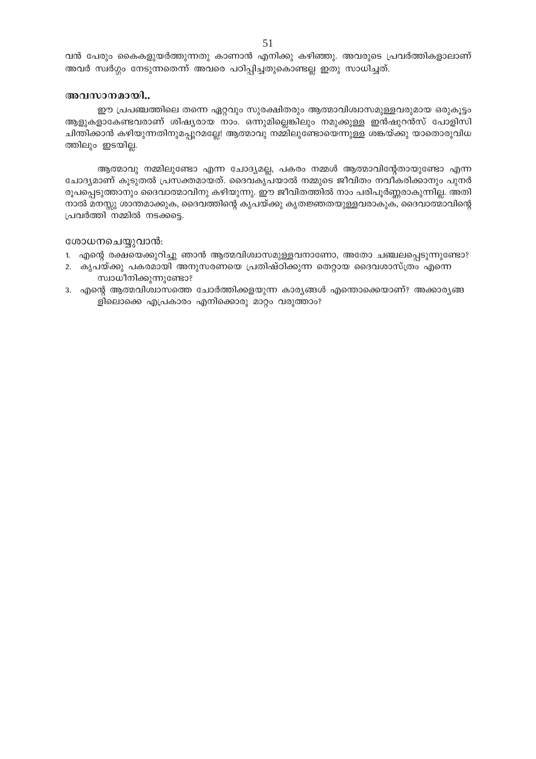വൻ പേരും കൈകളുയർത്തുന്നതു കാണാൻ എനിക്കു കഴിഞ്ഞു. അവരുടെ പ്രവർത്തികളാലാണ് അവർ സ്ഥർഗ്ഗം നേടുന്നതെന്ന് അവരെ പഠിപ്പിച്ചതുകൊണ്ടല്ല ഇതു സാധിച്ചത്.

#### അവസാനമായി..

ഈ പ്രപഞ്ചത്തിലെ തന്നെ ഏറ്റവും സുരക്ഷിതരും ആത്മാവിശ്വാസമുള്ളവരുമായ ഒരുകൂട്ടം ആളുകളാകേണ്ടവരാണ് ശിഷ്യരായ നാം. ഒന്നുമില്ലെങ്കിലും നമുക്കുള്ള ഇൻഷുറൻസ് പോളിസി ചിന്തിക്കാൻ കഴിയുന്നതിനുമപ്പുറമല്ലേ! ആത്മാവു നമ്മിലുണ്ടോയെന്നുള്ള ശങ്കയ്ക്കു യാതൊരുവിധ ത്തിലും ഇടയില്ല.

ആത്മാവു നമ്മിലുണ്ടോ എന്ന ചോദ്യമല്ല, പകരം നമ്മൾ ആത്മാവിന്റേതായുണ്ടോ എന്ന ചോദ്യമാണ് കൂടുതൽ പ്രസക്തമായത്. ദൈവകൃപയാൽ നമ്മുടെ ജീവിതം നവീകരിക്കാനും പുനർ രൂപപ്പെടുത്താനും ദൈവാത്മാവിനു കഴിയുന്നു. ഈ ജീവിതത്തിൽ നാം പരിപൂർണ്ണരാകുന്നില്ല. അതി നാൽ മനസ്സു ശാന്തമാക്കുക, ദൈവത്തിന്റെ കൃപയ്ക്കു കൃതജ്ഞതയുള്ളവരാകുക, ദൈവാത്മാവിന്റെ പ്രവർത്തി നമ്മിൽ നടക്കട്ടെ.

#### ശോധനചെയ്യുവാൻ:

- 1. എന്റെ രക്ഷയെക്കുറിച്ചു ഞാൻ ആത്മവിശ്വാസമുള്ളവനാണോ, അതോ ചഞ്ചലപ്പെടുന്നുണ്ടോ?
- 2. കൃപയ്ക്കു പകരമായി അനുസരണയെ പ്രതിഷ്ഠിക്കുന്ന തെറ്റായ ദൈവശാസ്ത്രം എന്നെ സ്വാധീനിക്കുന്നുണ്ടോ?
- 3. എന്റെ ആത്മവിശ്വാസത്തെ ചോർത്തിക്കളയുന്ന കാര്യങ്ങൾ എന്തൊക്കെയാണ്? അക്കാര്യങ്ങ ളിലൊക്കെ എപ്രകാരം എനിക്കൊരു മാറ്റം വരുത്താം?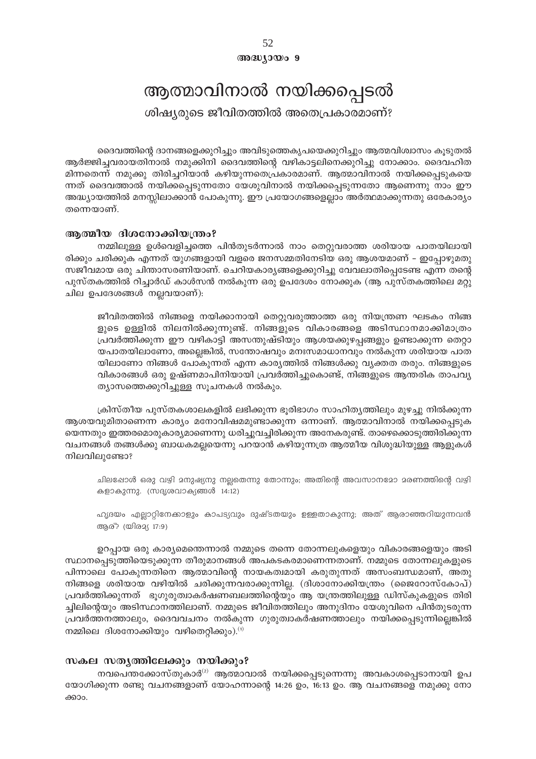52  $@0@0y0@09$ 

# ആത്മാവിനാൽ നയിക്കപ്പെടൽ

ശിഷ്യരുടെ ജീവിതത്തിൽ അതെപ്രകാരമാണ്?

ദൈവത്തിന്റെ ദാനങ്ങളെക്കുറിച്ചും അവിടുത്തെകൃപയെക്കുറിച്ചും ആത്മവിശ്വാസം കൂടുതൽ ആർജ്ജിച്ചവരായതിനാൽ നമുക്കിനി ദൈവത്തിന്റെ വഴികാട്ടലിനെക്കുറിച്ചു നോക്കാം. ദൈവഹിത മിന്നതെന്ന് നമുക്കു തിരിച്ചറിയാൻ കഴിയുന്നതെപ്രകാരമാണ്. ആത്മാവിനാൽ നയിക്കപ്പെടുകയെ ന്നത് ദൈവത്താൽ നയിക്കപ്പെടുന്നതോ യേശുവിനാൽ നയിക്കപ്പെടുന്നതോ ആണെന്നു നാം ഈ അദ്ധ്യായത്തിൽ മനസ്സിലാക്കാൻ പോകുന്നു. ഈ പ്രയോഗങ്ങളെല്ലാം അർത്ഥമാക്കുന്നതു ഒരേകാര്യം തന്നെയാണ്.

# ആത്മീയ ദിശനോക്കിയന്ത്രം?

നമ്മിലുള്ള ഉൾവെളിച്ചത്തെ പിൻതുടർന്നാൽ നാം തെറ്റുവരാത്ത ശരിയായ പാതയിലായി രിക്കും ചരിക്കുക എന്നത് യുഗങ്ങളായി വളരെ ജനസമ്മതിനേടിയ ഒരു ആശയമാണ് – ഇപ്പോഴുമതു സജീവമായ ഒരു ചിന്താസരണിയാണ്. ചെറിയകാര്യങ്ങളെക്കുറിച്ചു വേവലാതിപ്പെടേണ്ട എന്ന തന്റെ പുസ്തകത്തിൽ റിച്ചാർഡ് കാൾസൻ നൽകുന്ന ഒരു ഉപദേശം നോക്കുക (ആ പുസ്തകത്തിലെ മറ്റു ചില ഉപദേശങ്ങൾ നല്ലവയാണ്):

ജീവിതത്തിൽ നിങ്ങളെ നയിക്കാനായി തെറ്റുവരുത്താത്ത ഒരു നിയന്ത്രണ ഘടകം നിങ്ങ ളുടെ ഉള്ളിൽ നിലനിൽക്കുന്നുണ്ട്. നിങ്ങളുടെ വികാരങ്ങളെ അടിസ്ഥാനമാക്കിമാത്രം പ്രവർത്തിക്കുന്ന ഈ വഴികാട്ടി അസന്തുഷ്ടിയും ആശയക്കുഴപ്പങ്ങളും ഉണ്ടാക്കുന്ന തെറ്റാ യപാതയിലാണോ, അല്ലെങ്കിൽ, സന്തോഷവും മനഃസമാധാനവും നൽകുന്ന ശരിയായ പാത യിലാണോ നിങ്ങൾ പോകുന്നത് എന്ന കാര്യത്തിൽ നിങ്ങൾക്കു വ്യക്തത തരും. നിങ്ങളുടെ വികാരങ്ങൾ ഒരു ഉഷ്ണമാപിനിയായി പ്രവർത്തിച്ചുകൊണ്ട്, നിങ്ങളുടെ ആന്തരിക താപവ്യ ത്യാസത്തെക്കുറിച്ചുള്ള സൂചനകൾ നൽകും.

ക്രിസ്തീയ പുസ്തകശാലകളിൽ ലഭിക്കുന്ന ഭൂരിഭാഗം സാഹിതൃത്തിലും മുഴച്ചു നിൽക്കുന്ന ആശയവുമിതാണെന്ന കാര്യം മനോവിഷമമുണ്ടാക്കുന്ന ഒന്നാണ്. ആത്മാവിനാൽ നയിക്കപ്പെടുക യെന്നതും ഇത്തരമൊരുകാര്യമാണെന്നു ധരിച്ചുവച്ചിരിക്കുന്ന അനേകരുണ്ട്. താഴെക്കൊടുത്തിരിക്കുന്ന വചനങ്ങൾ തങ്ങൾക്കു ബാധകമല്ലയെന്നു പറയാൻ കഴിയുന്നത്ര ആത്മീയ വിശുദ്ധിയുള്ള ആളുകൾ നിലവിലുണ്ടോ?

ചിലപ്പോൾ ഒരു വഴി മനുഷ്യനു നല്ലതെന്നു തോന്നും; അതിന്റെ അവസാനമോ മരണത്തിന്റെ വഴി കളാകുന്നു. (സദൃശവാക്യങ്ങൾ 14:12)

ഹൃദയം എല്ലാറ്റിനേക്കാളും കാപട്യവും ദുഷ്ടതയും ഉള്ളതാകുന്നു; അത് ആരാഞ്ഞറിയുന്നവൻ ആര്? (യിരമ്യ 17:9)

ഉറപ്പായ ഒരു കാര്യമെന്തെന്നാൽ നമ്മുടെ തന്നെ തോന്നലുകളെയും വികാരങ്ങളെയും അടി സ്ഥാനപ്പെടുത്തിയെടുക്കുന്ന തീരുമാനങ്ങൾ അപകടകരമാണെന്നതാണ്. നമ്മുടെ തോന്നലുകളുടെ പിന്നാലെ പോകുന്നതിനെ ആത്മാവിന്റെ നായകത്വമായി കരുതുന്നത് അസംബന്ധമാണ്, അതു നിങ്ങളെ ശരിയായ വഴിയിൽ ചരിക്കുന്നവരാക്കുന്നില്ല. (ദിശാനോക്കിയന്ത്രം (ജൈറോസ്കോപ്) പ്രവർത്തിക്കുന്നത് ഭൂഗുരുത്വാകർഷണബലത്തിന്റെയും ആ യന്ത്രത്തിലുള്ള ഡിസ്കുകളുടെ തിരി ച്ചിലിന്റെയും അടിസ്ഥാനത്തിലാണ്. നമ്മുടെ ജീവിതത്തിലും അനുദിനം യേശുവിനെ പിൻതുടരുന്ന പ്രവർത്തനത്താലും, ദൈവവചനം നൽകുന്ന ഗുരുത്വാകർഷണത്താലും നയിക്കപ്പെടുന്നില്ലെങ്കിൽ നമ്മിലെ ദിശനോക്കിയും വഴിതെറ്റിക്കും). $^{(1)}$ 

# സകല സതൃത്തിലേക്കും നയിക്കും?

നവപെന്തക്കോസ്തുകാർ<sup>ദു</sup> ആത്മാവാൽ നയിക്കപ്പെടുന്നെന്നു അവകാശപ്പെടാനായി ഉപ യോഗിക്കുന്ന രണ്ടു വചനങ്ങളാണ് യോഹന്നാന്റെ 14:26 ഉം, 16:13 ഉം. ആ വചനങ്ങളെ നമുക്കു നോ ക്കാം.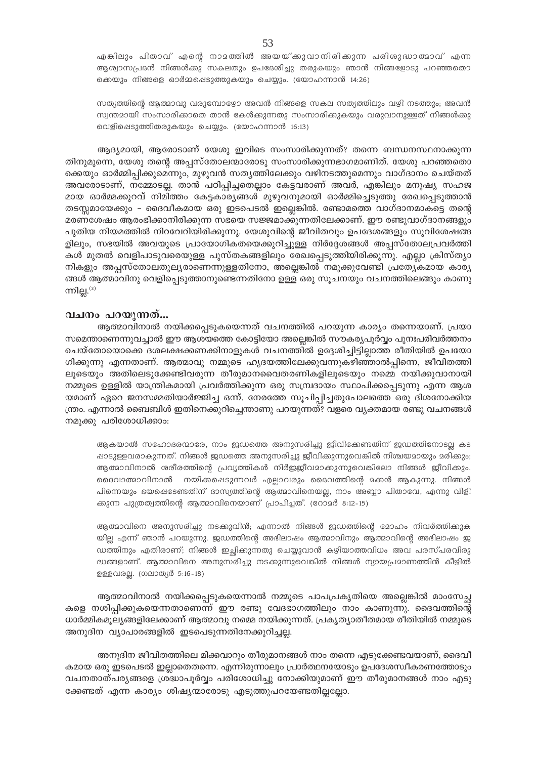എങ്കിലും പിതാവ് എന്റെ നാമത്തിൽ അയയ്ക്കുവാനിരിക്കുന്ന പരിശുദ്ധാത്മാവ് എന്ന ആശ്വാസപ്രദൻ നിങ്ങൾക്കു സകലതും ഉപദേശിച്ചു തരുകയും ഞാൻ നിങ്ങളോടു പറഞ്ഞതൊ ക്കെയും നിങ്ങളെ ഓർമ്മപ്പെടുത്തുകയും ചെയ്യും. (യോഹന്നാൻ 14:26)

സത്യത്തിന്റെ ആത്മാവു വരുമ്പോഴോ അവൻ നിങ്ങളെ സകല സത്യത്തിലും വഴി നടത്തും; അവൻ സ്വന്തമായി സംസാരിക്കാതെ താൻ കേൾക്കുന്നതു സംസാരിക്കുകയും വരുവാനുള്ളത് നിങ്ങൾക്കു വെളിഷെടുത്തിതരുകയും ചെയ്യും. (യോഹന്നാൻ 16:13)

ആദ്യമായി, ആരോടാണ് യേശു ഇവിടെ സംസാരിക്കുന്നത്? തന്നെ ബന്ധനസ്ഥനാക്കുന്ന തിനുമുന്നെ, യേശു തന്റെ അപ്പസ്തോലന്മാരോടു സംസാരിക്കുന്നഭാഗമാണിത്. യേശു പറഞ്ഞതൊ ക്കെയും ഓർമ്മിപ്പിക്കുമെന്നും, മുഴുവൻ സതൃത്തിലേക്കും വഴിനടത്തുമെന്നും വാഗ്ദാനം ചെയ്തത് അവരോടാണ്, നമ്മോടല്ല. താൻ പഠിപ്പിച്ചതെല്ലാം കേട്ടവരാണ് അവർ, എങ്കിലും മനുഷ്യ സഹജ മായ ഓർമ്മക്കുറവ് നിമിത്തം കേട്ടകാര്യങ്ങൾ മുഴുവനുമായി ഓർമ്മിച്ചെടുത്തു രേഖപ്പെടുത്താൻ തടസ്സമായേക്കും – ദൈവീകമായ ഒരു ഇടപെടൽ ഇല്ലെങ്കിൽ. രണ്ടാമത്തെ വാഗ്ദാനമാകട്ടെ തന്റെ മരണശേഷം ആരംഭിക്കാനിരിക്കുന്ന സഭയെ സജ്ജമാക്കുന്നതിലേക്കാണ്. ഈ രണ്ടുവാഗ്ദാനങ്ങളും പുതിയ നിയമത്തിൽ നിറവേറിയിരിക്കുന്നു. യേശുവിന്റെ ജീവിതവും ഉപദേശങ്ങളും സുവിശേഷങ്ങ ളിലും, സഭയിൽ അവയുടെ പ്രായോഗികതയെക്കുറിച്ചുള്ള നിർദ്ദേശങ്ങൾ അപ്പസ്തോലപ്രവർത്തി കൾ മുതൽ വെളിപാടുവരെയുള്ള പുസ്തകങ്ങളിലും രേഖപ്പെടുത്തിയിരിക്കുന്നു. എല്ലാ ക്രിസ്ത്യാ നികളും അപ്പസ്തോലതുലൃരാണെന്നുള്ളതിനോ, അല്ലെങ്കിൽ നമുക്കുവേണ്ടി പ്രത്യേകമായ കാരൃ ങ്ങൾ ആത്മാവിനു വെളിപ്പെടുത്താനുണ്ടെന്നതിനോ ഉള്ള ഒരു സൂചനയും വചനത്തിലെങ്ങും കാണു ന്നില്ല. $^{(3)}$ 

# വചനം പറയുന്നത്...

ആത്മാവിനാൽ നയിക്കപ്പെടുകയെന്നത് വചനത്തിൽ പറയുന്ന കാര്യം തന്നെയാണ്. പ്രയാ സമെന്താണെന്നുവച്ചാൽ ഈ ആശയത്തെ കോട്ടിയോ അല്ലെങ്കിൽ സൗകര്യപൂർവ്വം പുനഃപരിവർത്തനം ചെയ്തോയൊക്കെ ദശലക്ഷക്കണക്കിനാളുകൾ വചനത്തിൽ ഉദ്ദേശിച്ചിട്ടില്ലാത്ത രീതിയിൽ ഉപയോ ഗിക്കുന്നു എന്നതാണ്. ആത്മാവു നമ്മുടെ ഹൃദയത്തിലേക്കുവന്നുകഴിഞ്ഞാൽപ്പിന്നെ, ജീവിതത്തി ലൂടെയും അതിലെടുക്കേണ്ടിവരുന്ന തീരുമാനവൈതരണികളിലൂടെയും നമ്മെ നയിക്കുവാനായി നമ്മുടെ ഉള്ളിൽ യാന്ത്രികമായി പ്രവർത്തിക്കുന്ന ഒരു സമ്പ്രദായം സ്ഥാപിക്കപ്പെടുന്നു എന്ന ആശ യമാണ് ഏറെ ജനസമ്മതിയാർജ്ജിച്ച ഒന്ന്. നേരത്തേ സൂചിപ്പിച്ചതുപോലത്തെ ഒരു ദിശനോക്കിയ ന്ത്രം. എന്നാൽ ബൈബിൾ ഇതിനെക്കുറിച്ചെന്താണു പറയുന്നത്? വളരെ വ്യക്തമായ രണ്ടു വചനങ്ങൾ നമുക്കു പരിശോധിക്കാം:

ആകയാൽ സഹോദരന്മാരേ, നാം ജഡത്തെ അനുസരിച്ചു ജീവിക്കേണ്ടതിന് ജഡത്തിനോടല്ല കട ഷാടുള്ളവരാകുന്നത്. നിങ്ങൾ ജഡത്തെ അനുസരിച്ചു ജീവിക്കുന്നുവെങ്കിൽ നിശ്ചയമായും മരിക്കും; ആത്മാവിനാൽ ശരീരത്തിന്റെ പ്രവൃത്തികൾ നിർഇജീവമാകുന്നുവെങ്കിലോ നിങ്ങൾ ജീവികും. ദൈവാത്മാവിനാൽ നയിക്കപ്പെടുന്നവർ എല്ലാവരും ദൈവത്തിന്റെ മകൾ ആകുന്നു. നിങ്ങൾ പിന്നെയും ഭയപ്പെടേണ്ടതിന് ദാസ്യത്തിന്റെ ആത്മാവിനെയല്ല, നാം അബ്ബാ പിതാവേ, എന്നു വിളി ക്കുന്ന പുത്രത്വത്തിന്റെ ആത്മാവിനെയാണ് പ്രാപിച്ചത്. (റോമർ 8:12-15)

ആത്മാവിനെ അനുസരിച്ചു നടക്കുവിൻ; എന്നാൽ നിങ്ങൾ ജഡത്തിന്റെ മോഹം നിവർത്തിക്കുക യില എന്ന് ഞാൻ പറയുന്നു. ജഡത്തിന്റെ അഭിലാഷം ആത്മാവിനും ആത്മാവിന്റെ അഭിലാഷം ജ ഡത്തിനും എതിരാണ്; നിങ്ങൾ ഇച്ചിക്കുന്നതു ചെയ്യുവാൻ കഴിയാത്തവിധം അവ പരസ്പരവിരു ദ്ധങ്ങളാണ്. ആത്മാവിനെ അനുസരിച്ചു നടക്കുന്നുവെങ്കിൽ നിങ്ങൾ ന്യായപ്രമാണത്തിൻ കീഴിൽ ഉള്ളവരല്ല. (ഗലാത്യർ 5:16-18)

ആത്മാവിനാൽ നയിക്കപ്പെടുകയെന്നാൽ നമ്മുടെ പാപപ്രകൃതിയെ അല്ലെങ്കിൽ മാംസേച്ച കളെ നശിപ്പിക്കുകയെന്നതാണെന്ന് ഈ രണ്ടു വേദഭാഗത്തിലും നാം കാണുന്നു. ദൈവത്തിന്റെ ധാർമ്മികമൂല്യങ്ങളിലേക്കാണ് ആത്മാവു നമ്മെ നയിക്കുന്നത്. പ്രകൃത്യാതീതമായ രീതിയിൽ നമ്മുടെ അനുദിന വ്യാപാരങ്ങളിൽ ഇടപെടുന്നതിനേക്കുറിച്ചല്ല.

അനുദിന ജീവിതത്തിലെ മിക്കവാറും തീരുമാനങ്ങൾ നാം തന്നെ എടുക്കേണ്ടവയാണ്, ദൈവീ കമായ ഒരു ഇടപെടൽ ഇല്ലാതെതന്നെ. എന്നിരുന്നാലും പ്രാർത്ഥനയോടും ഉപദേശസ്വീകരണത്തോടും വചനതാത്പര്യങ്ങളെ ശ്രദ്ധാപൂർവ്വം പരിശോധിച്ചു നോക്കിയുമാണ് ഈ തീരുമാനങ്ങൾ നാം എടു ക്കേണ്ടത് എന്ന കാര്യം ശിഷ്യന്മാരോടു എടുത്തുപറയേണ്ടതില്ലല്ലോ.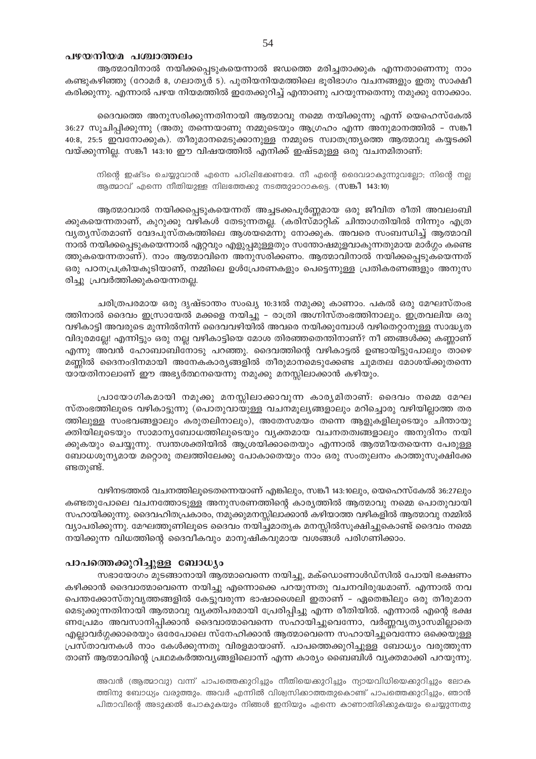# പഴയനിയമ പശ്ചാത്തലം

ആത്മാവിനാൽ നയിക്കപ്പെടുകയെന്നാൽ ജഡത്തെ മരിച്ചതാക്കുക എന്നതാണെന്നു നാം കണ്ടുകഴിഞ്ഞു (റോമർ 8, ഗലാതൃർ 5). പുതിയനിയമത്തിലെ ഭൂരിഭാഗം വചനങ്ങളും ഇതു സാക്ഷീ കരിക്കുന്നു. എന്നാൽ പഴയ നിയമത്തിൽ ഇതേക്കുറിച്ച് എന്താണു പറയുന്നതെന്നു നമുക്കു നോക്കാം.

ദൈവത്തെ അനുസരിക്കുന്നതിനായി ആത്മാവു നമ്മെ നയിക്കുന്നു എന്ന് യെഹെസ്കേൽ 36:27 സൂചിപ്പിക്കുന്നു (അതു തന്നെയാണു നമ്മുടെയും ആഗ്രഹം എന്ന അനുമാനത്തിൽ – സങ്കീ 40:8, 25:5 ഇവനോക്കുക). തീരുമാനമെടുക്കാനുള്ള നമ്മുടെ സ്വാതന്ത്ര്യത്തെ ആത്മാവു കയ്യടക്കി വയ്ക്കുന്നില്ല. സങ്കീ 143:10 ഈ വിഷയത്തിൽ എനിക്ക് ഇഷ്ടമുള്ള ഒരു വചനമിതാണ്:

നിന്റെ ഇഷ്ടം ചെയ്യുവാൻ എന്നെ പഠിഷിക്കേണമേ. നീ എന്റെ ദൈവമാകുന്നുവല്ലോ; നിന്റെ നല്ല ആത്മാവ് എന്നെ നീതിയുള്ള നിലത്തേക്കു നടത്തുമാറാകട്ടെ. (സങ്കീ 143:10)

ആത്മാവാൽ നയിക്കപ്പെടുകയെന്നത് അച്ചടക്കപൂർണ്ണമായ ഒരു ജീവിത രീതി അവലംബി ക്കുകയെന്നതാണ്, കുറുക്കു വഴികൾ തേടുന്നതല്ല. (കരിസ്മാറ്റിക് ചിന്താഗതിയിൽ നിന്നും എത്ര വ്യത്യസ്തമാണ് വേദപുസ്തകത്തിലെ ആശയമെന്നു നോക്കുക. അവരെ സംബന്ധിച്ച് ആത്മാവി നാൽ നയിക്കപ്പെടുകയെന്നാൽ ഏറ്റവും എളുപ്പമുള്ളതും സന്തോഷമുളവാകുന്നതുമായ മാർഗ്ഗം കണ്ടെ ത്തുകയെന്നതാണ്). നാം ആത്മാവിനെ അനുസരിക്കണം. ആത്മാവിനാൽ നയിക്കപ്പെടുകയെന്നത് ഒരു പഠനപ്രക്രിയകൂടിയാണ്, നമ്മിലെ ഉൾപ്രേരണകളും പെട്ടെന്നുള്ള പ്രതികരണങ്ങളും അനുസ രിച്ചു പ്രവർത്തിക്കുകയെന്നതല്ല.

ചരിത്രപരമായ ഒരു ദൃഷ്ടാന്തം സംഖ്യ 10:31ൽ നമുക്കു കാണാം. പകൽ ഒരു മേഘസ്തംഭ ത്തിനാൽ ദൈവം ഇസ്രായേൽ മക്കളെ നയിച്ചു – രാത്രി അഗ്നിസ്തംഭത്തിനാലും. ഇത്രവലിയ ഒരു വഴികാട്ടി അവരുടെ മുന്നിൽനിന്ന് ദൈവവഴിയിൽ അവരെ നയിക്കുമ്പോൾ വഴിതെറ്റാനുള്ള സാദ്ധ്യത വിദൂരമല്ലേ! എന്നിട്ടും ഒരു നല്ല വഴികാട്ടിയെ മോശ തിരഞ്ഞതെന്തിനാണ്? നീ ഞങ്ങൾക്കു കണ്ണാണ് എന്നു അവൻ ഹോബാബിനോടു പറഞ്ഞു. ദൈവത്തിന്റെ വഴികാട്ടൽ ഉണ്ടായിട്ടുപോലും താഴെ മണ്ണിൽ ദൈനംദിനമായി അനേകകാര്യങ്ങളിൽ തീരുമാനമെടുക്കേണ്ട ചുമതല മോശയ്ക്കുതന്നെ യായതിനാലാണ് ഈ അഭ്യർത്ഥനയെന്നു നമുക്കു മനസ്സിലാക്കാൻ കഴിയും.

പ്രായോഗികമായി നമുക്കു മനസ്സിലാക്കാവുന്ന കാര്യമിതാണ്: ദൈവം നമ്മെ മേഘ സ്തംഭത്തിലൂടെ വഴികാട്ടുന്നു (പൊതുവായുള്ള വചനമൂല്യങ്ങളാലും മറിച്ചൊരു വഴിയില്ലാത്ത തര ത്തിലുള്ള സംഭവങ്ങളാലും കരുതലിനാലും), അതേസമയം തന്നെ ആളുകളിലൂടെയും ചിന്തായു ക്തിയിലൂടെയും സാമാന്യബോധത്തിലുടെയും വ്യക്തമായ വചനതത്വങ്ങളാലും അനുദിനം നയി ക്കുകയും ചെയ്യുന്നു. സ്വന്തശക്തിയിൽ ആശ്രയിക്കാതെയും എന്നാൽ ആത്മീയതയെന്ന പേരുള്ള ബോധശൂന്യമായ മറ്റൊരു തലത്തിലേക്കു പോകാതെയും നാം ഒരു സംതുലനം കാത്തുസൂക്ഷിക്കേ ണ്ടതുണ്ട്.

വഴിനടത്തൽ വചനത്തിലൂടെതന്നെയാണ് എങ്കിലും, സങ്കീ 143:10ലും, യെഹെസ്കേൽ 36:27ലും കണ്ടതുപോലെ വചനത്തോടുള്ള അനുസരണത്തിന്റെ കാര്യത്തിൽ ആത്മാവു നമ്മെ പൊതുവായി സഹായിക്കുന്നു. ദൈവഹിതപ്രകാരം, നമുക്കുമനസ്സിലാക്കാൻ കഴിയാത്ത വഴികളിൽ ആത്മാവു നമ്മിൽ വ്യാപരിക്കുന്നു. മേഘത്തൂണിലൂടെ ദൈവം നയിച്ചമാതൃക മനസ്സിൽസൂക്ഷിച്ചുകൊണ്ട് ദൈവം നമ്മെ നയിക്കുന്ന വിധത്തിന്റെ ദൈവീകവും മാനുഷികവുമായ വശങ്ങൾ പരിഗണിക്കാം.

#### പാപത്തെക്കുറിച്ചുള്ള ബോധ്യം

സഭായോഗം മുടങ്ങാനായി ആത്മാവെന്നെ നയിച്ചു, മക്ഡൊണാൾഡ്സിൽ പോയി ഭക്ഷണം കഴിക്കാൻ ദൈവാത്മാവെന്നെ നയിച്ചു എന്നൊക്കെ പറയുന്നതു വചനവിരുദ്ധമാണ്. എന്നാൽ നവ പെന്തക്കോസ്തുവൃത്തങ്ങളിൽ കേട്ടുവരുന്ന ഭാഷാശൈലി ഇതാണ് – ഏതെങ്കിലും ഒരു തീരുമാന മെടുക്കുന്നതിനായി ആത്മാവു വ്യക്തിപരമായി പ്രേരിപ്പിച്ചു എന്ന രീതിയിൽ. എന്നാൽ എന്റെ ഭക്ഷ ണപ്രേമം അവസാനിപ്പിക്കാൻ ദൈവാത്മാവെന്നെ സഹായിച്ചുവെന്നോ, വർണ്ണവൃത്യാസമില്ലാതെ എല്ലാവർഗ്ഗക്കാരെയും ഒരേപോലെ സ്നേഹിക്കാൻ ആത്മാവെന്നെ സഹായിച്ചുവെന്നോ ഒക്കെയുള്ള പ്രസ്താവനകൾ നാം കേൾക്കുന്നതു വിരളമായാണ്. പാപത്തെക്കുറിച്ചുള്ള ബോധ്യം വരുത്തുന്ന താണ് ആത്മാവിന്റെ പ്രഥമകർത്തവ്യങ്ങളിലൊന്ന് എന്ന കാര്യം ബൈബിൾ വ്യക്തമാക്കി പറയുന്നു.

അവൻ (ആത്മാവു) വന്ന് പാപത്തെക്കുറിച്ചും നീതിയെക്കുറിച്ചും ന്യായവിധിയെക്കുറിച്ചും ലോക ത്തിനു ബോധ്യം വരുത്തും. അവർ എന്നിൽ വിശ്വസിക്കാത്തതുകൊണ്ട് പാപത്തെക്കുറിച്ചും, ഞാൻ പിതാവിന്റെ അടുക്കൽ പോകുകയും നിങ്ങൾ ഇനിയും എന്നെ കാണാതിരിക്കുകയും ചെയ്യുന്നതു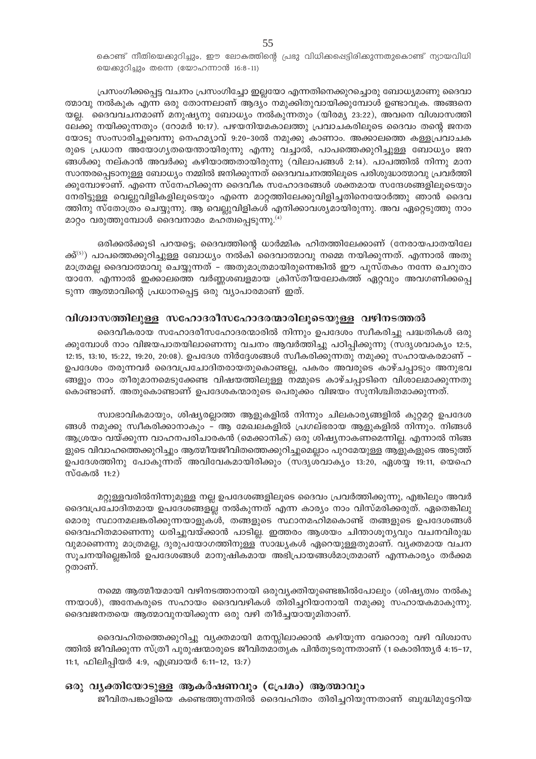കൊണ്ട് നീതിയെക്കുറിച്ചും, ഈ ലോകത്തിന്റെ പ്രഭു വിധിക്കപ്പെട്ടിരിക്കുന്നതുകൊണ്ട് ന്യായവിധി യെക്കുറിച്ചും തന്നെ (യോഹന്നാൻ 16:8-11)

്രപസംഗിക്കപ്പെട്ട വചനം പ്രസംഗിച്ചോ ഇല്ലയോ എന്നതിനെക്കുറച്ചൊരു ബോധ്യമാണു ദൈവാ ത്മാവു നൽകുക എന്ന ഒരു തോന്നലാണ് ആദ്യം നമുക്കിതുവായിക്കുമ്പോൾ ഉണ്ടാവുക. അങ്ങനെ യല്ല. ദൈവവചനമാണ് മനുഷ്യനു ബോധ്യം നൽകുന്നതും (യിരമ്യ 23:22), അവനെ വിശ്വാസത്തി ലേക്കു നയിക്കുന്നതും (റോമർ 10:17). പഴയനിയമകാലത്തു പ്രവാചകരിലൂടെ ദൈവം തന്റെ ജനത യോടു സംസാരിച്ചുവെന്നു നെഹമ്യാവ് 9:20–30ൽ നമുക്കു കാണാം. അക്കാലത്തെ കള്ളപ്രവാചക രുടെ പ്രധാന അയോഗൃതയെന്തായിരുന്നു എന്നു വച്ചാൽ, പാപത്തെക്കുറിച്ചുള്ള ബോധൃം ജന ങ്ങൾക്കു നല്കാൻ അവർക്കു കഴിയാത്തതായിരുന്നു (വിലാപങ്ങൾ 2:14). പാപത്തിൽ നിന്നു മാന സാന്തരപ്പെടാനുള്ള ബോധ്യം നമ്മിൽ ജനിക്കുന്നത് ദൈവവചനത്തിലൂടെ പരിശുദ്ധാത്മാവു പ്രവർത്തി ക്കുമ്പോഴാണ്. എന്നെ സ്നേഹിക്കുന്ന ദൈവീക സഹോദരങ്ങൾ ശക്തമായ സന്ദേശങ്ങളിലൂടെയും നേരിട്ടുള്ള വെല്പുവിളികളിലുടെയും എന്നെ മാറ്റത്തിലേക്കുവിളിച്ചതിനെയോർത്തു ഞാൻ ദൈവ ത്തിനു സ്തോത്രം ചെയ്യുന്നു. ആ വെല്ലുവിളികൾ എനിക്കാവശ്യമായിരുന്നു. അവ ഏറ്റെടുത്തു നാം മാറ്റം വരുത്തുമ്പോൾ ദൈവനാമം മഹത്വപ്പെടുന്നു. $^{(4)}$ 

ഒരിക്കൽക്കൂടി പറയട്ടെ; ദൈവത്തിന്റെ ധാർമ്മിക ഹിതത്തിലേക്കാണ് (നേരായപാതയിലേ ക്ക്<sup>(5)</sup>) പാപത്തെക്കുറിച്ചുള്ള ബോധ്യം നൽകി ദൈവാത്മാവു നമ്മെ നയിക്കുന്നത്. എന്നാൽ അതു മാത്രമല്ല ദൈവാത്മാവു ചെയ്യുന്നത് - അതുമാത്രമായിരുന്നെങ്കിൽ ഈ പുസ്തകം നന്നേ ചെറുതാ യാനേ. എന്നാൽ ഇക്കാലത്തെ വർണ്ണശബളമായ ക്രിസ്തീയലോകത്ത് ഏറ്റവും അവഗണിക്കപ്പെ ടുന്ന ആത്മാവിന്റെ പ്രധാനപെട്ട ഒരു വ്യാപാരമാണ് ഇത്.

# **hnizm-k-Ønep≈ ktlm-Z-co-k-tlm-Z-c-∑m-cn-eq-sS-bp≈ hgn\-S-ج**

ദെവീകരായ സഹോദരീസഹോദരന്മാരിൽ നിന്നും ഉപദേശം സ്വീകരിച്ചു പദ്ധതികൾ ഒരു ക്കുമ്പോൾ നാം വിജയപാതയിലാണെന്നു വചനം ആവർത്തിച്ചു പഠിപ്പിക്കുന്നു (സദൃശവാകൃം 12:5, 12:15, 13:10, 15:22, 19:20, 20:08). ഉപദേശ നിർദ്ദേശങ്ങൾ സ്വീകരിക്കുന്നതു നമുക്കു സഹായകരമാണ് – ഉപദേശം തരുന്നവർ ദൈവപ്രചോദിതരായതുകൊണ്ടല്ല, പകരം അവരുടെ കാഴ്ചപ്പാടും അനുഭവ ങ്ങളും നാം തീരുമാനമെടുക്കേണ്ട വിഷയത്തിലുള്ള നമ്മുടെ കാഴ്ചപ്പാടിനെ വിശാലമാക്കുന്നതു കൊണ്ടാണ്. അതുകൊണ്ടാണ് ഉപദേശകന്മാരുടെ പെരുക്കം വിജയം സുനിശ്ചിതമാക്കുന്നത്.

സ്ഥഭാവികമായും, ശിഷ്യരല്ലാത്ത ആളുകളിൽ നിന്നും ചിലകാര്യങ്ങളിൽ കുറ്റമറ്റ ഉപദേശ ങ്ങൾ നമുക്കു സ്വീകരിക്കാനാകും – ആ മേഖലകളിൽ പ്രഗല്ഭരായ ആളുകളിൽ നിന്നും. നിങ്ങൾ ആശ്രയം വയ്ക്കുന്ന വാഹനപരിചാരകൻ (മെക്കാനിക്) ഒരു ശിഷ്യനാകണമെന്നില്ല. എന്നാൽ നിങ്ങ ളുടെ വിവാഹത്തെക്കുറിച്ചും ആത്മീയജീവിതത്തെക്കുറിച്ചുമെല്ലാം പുറമേയുള്ള ആളുകളുടെ അടുത്ത് ഉപദേശത്തിനു പോകുന്നത് അവിവേകമായിരിക്കും (സദൃശവാകൃം 13:20, ഏശയ്യ 19:11, യെഹെ സ്കേൽ  $11:2$ )

മറ്റുള്ളവരിൽനിന്നുമുള്ള നല്ല ഉപദേശങ്ങളിലൂടെ ദൈവം പ്രവർത്തിക്കുന്നു, എങ്കിലും അവർ ഭൈവപ്രചോദിതമായ ഉപദേശങ്ങളല്ല നൽകുന്നത് എന്ന കാര്യം നാം വിസ്മരിക്കരുത്. ഏതെങ്കിലു മൊരു സ്ഥാനമലങ്കരിക്കുന്നയാളുകൾ, തങ്ങളുടെ സ്ഥാനമഹിമകൊണ്ട് തങ്ങളുടെ ഉപദേശങ്ങൾ ദെവഹിതമാണെന്നു ധരിച്ചുവയ്ക്കാൻ പാടില്ല. ഇത്തരം ആശയം ചിന്താശൂനൃവും വചനവിരുദ്ധ വുമാണെന്നു മാത്രമല്ല, ദുരുപയോഗത്തിനുള്ള സാദ്ധ്യകൾ ഏറെയുള്ളതുമാണ്. വൃക്തമായ വചന സൂചനയില്ലെങ്കിൽ ഉപദേശങ്ങൾ മാനുഷികമായ അഭിപ്രായങ്ങൾമാത്രമാണ് എന്നകാര്യം തർക്കമ റ്റതാണ്.

നമ്മെ ആത്മീയമായി വഴിനടത്താനായി ഒരുവൃക്തിയുണ്ടെങ്കിൽപോലും (ശിഷൃത്വം നൽകു  $\alpha$ ന്നയാൾ), അനേകരുടെ സഹായം ദൈവവഴികൾ തിരിച്ചറിയാനായി നമുക്കു സഹായകമാകുന്നു. ദെവജനതയെ ആത്മാവുനയിക്കുന്ന ഒരു വഴി തീർച്ചയായുമിതാണ്.

ദൈവഹിതത്തെക്കുറിച്ചു വൃക്തമായി മനസ്സിലാക്കാൻ കഴിയുന്ന വേറൊരു വഴി വിശ്വാസ ത്തിൽ ജീവിക്കുന്ന സ്ത്രീ പുരുഷന്മാരുടെ ജീവിതമാതൃക പിൻതുടരുന്നതാണ് (1 കൊരിന്ത്യർ 4:15−17, 11:1, ഫിലിപ്പിയർ 4:9, എബ്രായർ 6:11-12, 13:7)

# ഒരു വൃക്തിയോടുള്ള ആകർഷണവും (പ്രേമം) ആത്മാവും

ജീവിതപങ്കാളിയെ കണ്ടെത്തുന്നതിൽ ദൈവഹിതം തിരിച്ചറിയുന്നതാണ് ബുദ്ധിമുട്ടേറിയ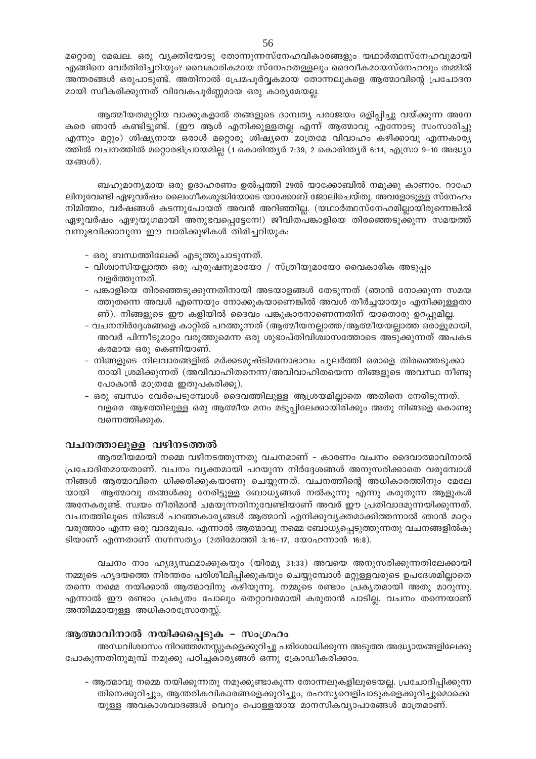മറ്റൊരു മേഖല. ഒരു വ്യക്തിയോടു തോന്നുന്നസ്നേഹവികാരങ്ങളും യഥാർത്ഥസ്നേഹവുമായി എങ്ങിനെ വേർതിരിച്ചറിയും? വൈകാരികമായ സ്നേഹതള്ളലും ദൈവീകമായസ്നേഹവും തമ്മിൽ അന്തരങ്ങൾ ഒരുപാടുണ്ട്. അതിനാൽ പ്രേമപൂർവ്വകമായ തോന്നലുകളെ ആത്മാവിന്റെ പ്രചോദന മായി സ്വീകരിക്കുന്നത് വിവേകപൂർണ്ണമായ ഒരു കാര്യമേയല്ല.

ആത്മീയതമുറ്റിയ വാക്കുകളാൽ തങ്ങളുടെ ദാമ്പത്യ പരാജയം ഒളിപ്പിച്ചു വയ്ക്കുന്ന അനേ കരെ ഞാൻ കണ്ടിട്ടുണ്ട്. (ഈ ആൾ എനിക്കുള്ളതല്ല എന്ന് ആത്മാവു എന്നോടു സംസാരിച്ചു എന്നും മറ്റും) ശിഷ്യനായ ഒരാൾ മറ്റൊരു ശിഷ്യനെ മാത്രമേ വിവാഹം കഴിക്കാവൂ എന്നകാര്യ ത്തിൽ വചനത്തിൽ മറ്റൊരഭിപ്രായമില്ല (1 കൊരിന്ത്യർ 7:39, 2 കൊരിന്ത്യർ 6:14, എസ്രാ 9–10 അദ്ധ്യാ  $\omega$ ങ്ങൾ).

ബഹുമാന്യമായ ഒരു ഉദാഹരണം ഉൽപ്പത്തി 29ൽ യാക്കോബിൽ നമുക്കു കാണാം. റാഹേ ലിനുവേണ്ടി ഏഴുവർഷം ലൈംഗീകശുദ്ധിയോടെ യാക്കോബ് ജോലിചെയ്തു. അവളോടുള്ള സ്നേഹം നിമിത്തം, വർഷങ്ങൾ കടന്നുപോയത് അവൻ അറിഞ്ഞില്ല. (യഥാർത്ഥസ്നേഹമില്ലായിരുന്നെങ്കിൽ ഏഴുവർഷം ഏഴുയുഗമായി അനുഭവപ്പെട്ടേനേ!) ജീവിതപങ്കാളിയെ തിരഞ്ഞെടുക്കുന്ന സമയത്ത് വന്നുഭവിക്കാവുന്ന ഈ വാരിക്കുഴികൾ തിരിച്ചറിയുക:

- ഒരു ബന്ധത്തിലേക്ക് എടുത്തുചാടുന്നത്.
- വിശ്വാസിയല്ലാത്ത ഒരു പുരുഷനുമായോ / സ്ത്രീയുമായോ വൈകാരിക അടുപ്പം വളർത്തുന്നത്.
- പങ്കാളിയെ തിരഞ്ഞെടുക്കുന്നതിനായി അടയാളങ്ങൾ തേടുന്നത് (ഞാൻ നോക്കുന്ന സമയ ത്തുതന്നെ അവൾ എന്നെയും നോക്കുകയാണെങ്കിൽ അവൾ തീർച്ചയായും എനിക്കുള്ളതാ ണ്). നിങ്ങളുടെ ഈ കളിയിൽ ദൈവം പങ്കുകാരനാണെന്നതിന് യാതൊരു ഉറപ്പുമില്ല.
- വചനനിർദ്ദേശങ്ങളെ കാറ്റിൽ പറത്തുന്നത് (ആത്മീയനല്ലാത്ത/ആത്മീയയല്ലാത്ത ഒരാളുമായി, അവർ പിന്നീടുമാറ്റം വരുത്തുമെന്ന ഒരു ശുഭാപ്തിവിശ്വാസത്തോടെ അടുക്കുന്നത് അപകട കരമായ ഒരു കെണിയാണ്.
- നിങ്ങളുടെ നിലവാരങ്ങളിൽ മർക്കടമുഷ്ടിമനോഭാവം പുലർത്തി ഒരാളെ തിരഞ്ഞെടുക്കാ നായി ശ്രമിക്കുന്നത് (അവിവാഹിതനെന്ന/അവിവാഹിതയെന്ന നിങ്ങളുടെ അവസ്ഥ നീണ്ടു പോകാൻ മാത്രമേ ഇതുപകരിക്കൂ).
- ഒരു ബന്ധം വേർപെടുമ്പോൾ ദൈവത്തിലുള്ള ആശ്രയമില്ലാതെ അതിനെ നേരിടുന്നത്. വളരെ ആഴത്തിലുള്ള ഒരു ആത്മീയ മനം മടുപ്പിലേക്കായിരിക്കും അതു നിങ്ങളെ കൊണ്ടു വന്നെത്തിക്കുക.

# വചനത്താലുള്ള വഴിനടത്തൽ

ആത്മീയമായി നമ്മെ വഴിനടത്തുന്നതു വചനമാണ് - കാരണം വചനം ദൈവാത്മാവിനാൽ പ്രചോദിതമായതാണ്. വചനം വ്യക്തമായി പറയുന്ന നിർദ്ദേശങ്ങൾ അനുസരിക്കാതെ വരുമ്പോൾ നിങ്ങൾ ആത്മാവിനെ ധിക്കരിക്കുകയാണു ചെയ്യുന്നത്. വചനത്തിന്റെ അധികാരത്തിനും മേലേ ആത്മാവു തങ്ങൾക്കു നേരിട്ടുള്ള ബോധ്യങ്ങൾ നൽകുന്നു എന്നു കരുതുന്ന ആളുകൾ യായി അനേകരുണ്ട്. സ്വയം നീതിമാൻ ചമയുന്നതിനുവേണ്ടിയാണ് അവർ ഈ പ്രതിവാദമുന്നയിക്കുന്നത്. വചനത്തിലൂടെ നിങ്ങൾ പറഞ്ഞകാര്യങ്ങൾ ആത്മാവ് എനിക്കുവ്യക്തമാക്കിത്തന്നാൽ ഞാൻ മാറ്റം വരുത്താം എന്ന ഒരു വാദമുഖം. എന്നാൽ ആത്മാവു നമ്മെ ബോധ്യപ്പെടുത്തുന്നതു വചനങ്ങളിൽകൂ ടിയാണ് എന്നതാണ് നഗ്നസത്യം (2തിമോത്തി 3:16-17, യോഹന്നാൻ 16:8).

വചനം നാം ഹൃദൃസ്ഥമാക്കുകയും (യിരമ്യ 31:33) അവയെ അനുസരിക്കുന്നതിലേക്കായി നമ്മുടെ ഹൃദയത്തെ നിരന്തരം പരിശീലിപ്പിക്കുകയും ചെയ്യുമ്പോൾ മറ്റുള്ളവരുടെ ഉപദേശമില്ലാതെ തന്നെ നമ്മെ നയിക്കാൻ ആത്മാവിനു കഴിയുന്നു. നമ്മുടെ രണ്ടാം പ്രകൃതമായി അതു മാറുന്നു. എന്നാൽ ഈ രണ്ടാം പ്രകൃതം പോലും തെറ്റാവരമായി കരുതാൻ പാടില്ല. വചനം തന്നെയാണ് അന്തിമമായുള്ള അധികാരസ്രോതസ്സ്.

# ആത്മാവിനാൽ നയിക്കപ്പെടുക – സംഗ്രഹം

അന്ധവിശ്വാസം നിറഞ്ഞമനസ്സുകളെക്കുറിച്ചു പരിശോധിക്കുന്ന അടുത്ത അദ്ധ്യായങ്ങളിലേക്കു പോകുന്നതിനുമുമ്പ് നമുക്കു പഠിച്ചകാര്യങ്ങൾ ഒന്നു ക്രോഡീകരിക്കാം.

– ആത്മാവു നമ്മെ നയിക്കുന്നതു നമുക്കുണ്ടാകുന്ന തോന്നലുകളിലൂടെയല്ല. പ്രചോദിപ്പിക്കുന്ന തിനെക്കുറിച്ചും, ആന്തരികവികാരങ്ങളെക്കുറിച്ചും, രഹസ്യവെളിപാടുകളെക്കുറിച്ചുമൊക്കെ യുള്ള അവകാശവാദങ്ങൾ വെറും പൊള്ളയായ മാനസികവ്യാപാരങ്ങൾ മാത്രമാണ്.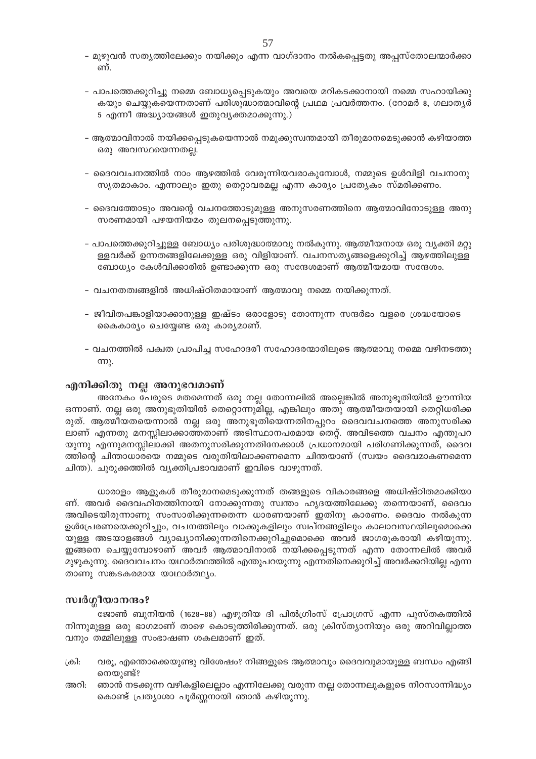- മുഴുവൻ സത്യത്തിലേക്കും നയിക്കും എന്ന വാഗ്ദാനം നൽകപ്പെട്ടതു അപ്പസ്തോലന്മാർക്കാ ണ്.
- പാപത്തെക്കുറിച്ചു നമ്മെ ബോധ്യപ്പെടുകയും അവയെ മറികടക്കാനായി നമ്മെ സഹായിക്കു കയും ചെയ്യുകയെന്നതാണ് പരിശുദ്ധാത്മാവിന്റെ പ്രഥമ പ്രവർത്തനം. (റോമർ 8, ഗലാതൃർ 5 എന്നീ അദ്ധ്യായങ്ങൾ ഇതുവ്യക്തമാക്കുന്നു.)
- ആത്മാവിനാൽ നയിക്കപ്പെടുകയെന്നാൽ നമുക്കുസ്ഥതമായി തീരുമാനമെടുക്കാൻ കഴിയാത്ത ഒരു അവസ്ഥയെന്നതല്ല.
- ദൈവവചനത്തിൽ നാം ആഴത്തിൽ വേരുന്നിയവരാകുമ്പോൾ, നമ്മുടെ ഉൾവിളി വചനാനു സൃതമാകാം. എന്നാലും ഇതു തെറ്റാവരമല്ല എന്ന കാര്യം പ്രത്യേകം സ്മരിക്കണം.
- ദൈവത്തോടും അവന്റെ വചനത്തോടുമുള്ള അനുസരണത്തിനെ ആത്മാവിനോടുള്ള അനു സരണമായി പഴയനിയമം തുലനപ്പെടുത്തുന്നു.
- പാപത്തെക്കുറിച്ചുള്ള ബോധ്യം പരിശുദ്ധാത്മാവു നൽകുന്നു. ആത്മീയനായ ഒരു വ്യക്തി മറ്റു ള്ളവർക്ക് ഉന്നതങ്ങളിലേക്കുള്ള ഒരു വിളിയാണ്. വചനസത്യങ്ങളെക്കുറിച്ച് ആഴത്തിലുള്ള ബോധ്യം കേൾവിക്കാരിൽ ഉണ്ടാക്കുന്ന ഒരു സന്ദേശമാണ് ആത്മീയമായ സന്ദേശം.
- വചനതത്വങ്ങളിൽ അധിഷ്ഠിതമായാണ് ആത്മാവു നമ്മെ നയിക്കുന്നത്.
- ജീവിതപങ്കാളിയാക്കാനുള്ള ഇഷ്ടം ഒരാളോടു തോന്നുന്ന സന്ദർഭം വളരെ ശ്രദ്ധയോടെ കൈകാര്യം ചെയ്യേണ്ട ഒരു കാര്യമാണ്.
- വചനത്തിൽ പക്വത പ്രാപിച്ച സഹോദരീ സഹോദരന്മാരിലൂടെ ആത്മാവു നമ്മെ വഴിനടത്തു  $(m)$ .

# എനിക്കിതു നല്ല അനുഭവമാണ്

അനേകം പേരുടെ മതമെന്നത് ഒരു നല്ല തോന്നലിൽ അല്ലെങ്കിൽ അനുഭൂതിയിൽ ഊന്നിയ ഒന്നാണ്. നല്ല ഒരു അനുഭൂതിയിൽ തെറ്റൊന്നുമില്ല, എങ്കിലും അതു ആത്മീയതയായി തെറ്റിധരിക്ക രുത്. ആത്മിയതയെന്നാൽ നല്ല ഒരു അനുഭൂതിയെന്നതിനപ്പുറം ദൈവവചനത്തെ അനുസരിക്ക ലാണ് എന്നതു മനസ്സിലാക്കാത്തതാണ് അടിസ്ഥാനപരമായ തെറ്റ്. അവിടത്തെ വചനം എന്തുപറ യുന്നു എന്നുമനസ്സിലാക്കി അതനുസരിക്കുന്നതിനേക്കാൾ പ്രധാനമായി പരിഗണിക്കുന്നത്, ദൈവ ത്തിന്റെ ചിന്താധാരയെ നമ്മുടെ വരുതിയിലാക്കണമെന്ന ചിന്തയാണ് (സ്വയം ദൈവമാകണമെന്ന ചിന്ത). ചുരുക്കത്തിൽ വ്യക്തിപ്രഭാവമാണ് ഇവിടെ വാഴുന്നത്.

ധാരാളം ആളുകൾ തീരുമാനമെടുക്കുന്നത് തങ്ങളുടെ വികാരങ്ങളെ അധിഷ്ഠിതമാക്കിയാ ണ്. അവർ ദൈവഹിതത്തിനായി നോക്കുന്നതു സ്വന്തം ഹൃദയത്തിലേക്കു തന്നെയാണ്, ദൈവം അവിടെയിരുന്നാണു സംസാരിക്കുന്നതെന്ന ധാരണയാണ് ഇതിനു കാരണം. ദൈവം നൽകുന്ന ഉൾപ്രേരണയെക്കുറിച്ചും, വചനത്തിലും വാക്കുകളിലും സ്വപ്നങ്ങളിലും കാലാവസ്ഥയിലുമൊക്കെ യുള്ള അടയാളങ്ങൾ വ്യാഖ്യാനിക്കുന്നതിനെക്കുറിച്ചുമൊക്കെ അവർ ജാഗരുകരായി കഴിയുന്നു. ഇങ്ങനെ ചെയ്യുമ്പോഴാണ് അവർ ആത്മാവിനാൽ നയിക്കപ്പെടുന്നത് എന്ന തോന്നലിൽ അവർ മുഴുകുന്നു. ദൈവവചനം യഥാർത്ഥത്തിൽ എന്തുപറയുന്നു എന്നതിനെക്കുറിച്ച് അവർക്കറിയില്ല എന്ന താണു സങ്കടകരമായ യാഥാർത്ഥ്യം.

# സ്വർഗ്ഗീയാനന്ദം?

ജോൺ ബുനിയൻ (1628–88) എഴുതിയ ദി പിൽഗ്രിംസ് പ്രോഗ്രസ് എന്ന പുസ്തകത്തിൽ നിന്നുമുള്ള ഒരു ഭാഗമാണ് താഴെ കൊടുത്തിരിക്കുന്നത്. ഒരു ക്രിസ്ത്യാനിയും ഒരു അറിവില്ലാത്ത വനും തമ്മിലുള്ള സംഭാഷണ ശകലമാണ് ഇത്.

- വരു, എന്തൊക്കെയുണ്ടു വിശേഷം? നിങ്ങളുടെ ആത്മാവും ദൈവവുമായുള്ള ബന്ധം എങ്ങി ക്രി: നെയുണ്ട്?
- അറി: ഞാൻ നടക്കുന്ന വഴികളിലെല്ലാം എന്നിലേക്കു വരുന്ന നല്ല തോന്നലുകളുടെ നിറസാന്നിദ്ധ്യം കൊണ്ട് പ്രത്യാശാ പൂർണ്ണനായി ഞാൻ കഴിയുന്നു.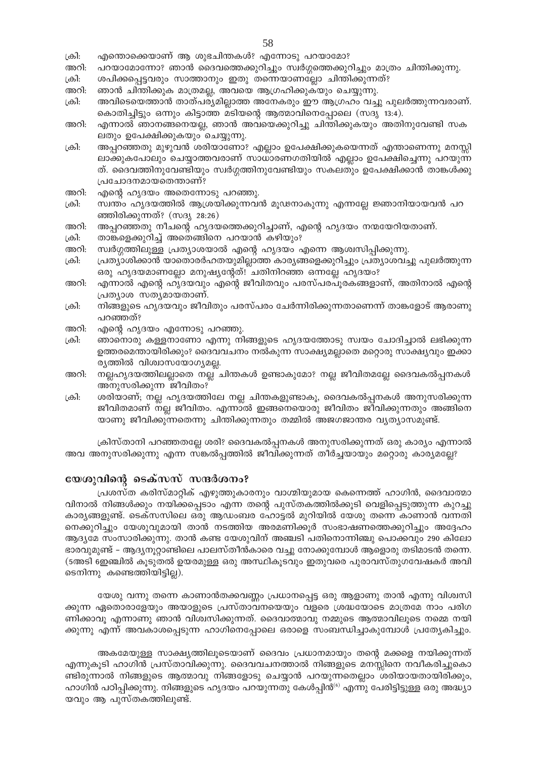- டும். എന്തൊക്കെയാണ് ആ ശുഭചിന്തകൾ? എന്നോടു പറയാമോ?
- പറയാമോന്നോ? ഞാൻ ദൈവത്തെക്കുറിച്ചും സ്വർഗ്ഗത്തെക്കുറിച്ചും മാത്രം ചിന്തിക്കുന്നു. അറി:
- ക്രി: ശപിക്കപ്പെട്ടവരും സാത്താനും ഇതു തന്നെയാണല്ലോ ചിന്തിക്കുന്നത്?
- അറി: ഞാൻ ചിന്തിക്കുക മാത്രമല്ല, അവയെ ആഗ്രഹിക്കുകയും ചെയ്യുന്നു.
- ക്രി: അവിടെയെത്താൻ താത്പര്യമില്ലാത്ത അനേകരും ഈ ആഗ്രഹം വച്ചു പുലർത്തുന്നവരാണ്. കൊതിച്ചിട്ടും ഒന്നും കിട്ടാത്ത മടിയന്റെ ആത്മാവിനെപ്പോലെ (സദൃ 13:4).
- അറി: എന്നാൽ ഞാനങ്ങനെയല്ല, ഞാൻ അവയെക്കുറിച്ചു ചിന്തിക്കുകയും അതിനുവേണ്ടി സക ലതും ഉപേക്ഷിക്കുകയും ചെയ്യുന്നു.
- ക്രി: അപ്പറഞ്ഞതു മുഴുവൻ ശരിയാണോ? എല്ലാം ഉപേക്ഷിക്കുകയെന്നത് എന്താണെന്നു മനസ്സി ലാക്കുകപോലും ചെയ്യാത്തവരാണ് സാധാരണഗതിയിൽ എല്ലാം ഉപേക്ഷിച്ചെന്നു പറയുന്ന ത്. ദൈവത്തിനുവേണ്ടിയും സ്വർഗ്ഗത്തിനുവേണ്ടിയും സകലതും ഉപേക്ഷിക്കാൻ താങ്കൾക്കു പ്രചോദനമായതെന്താണ്?
- അറി: എന്റെ ഹൃദയം അതെന്നോടു പറഞ്ഞു.
- സ്ഥതം ഹൃദയത്തിൽ ആശ്രയിക്കുന്നവൻ മൂഢനാകുന്നു എന്നല്ലേ ജ്ഞാനിയായവൻ പറ ക്രി: ഞ്ഞിരിക്കുന്നത്? (സദൃ 28:26)
- അറി: അപ്പറഞ്ഞതു നീചന്റെ ഹൃദയത്തെക്കുറിച്ചാണ്, എന്റെ ഹൃദയം നന്മയേറിയതാണ്.
- ക്രി: താങ്കളെക്കുറിച്ച് അതെങ്ങിനെ പറയാൻ കഴിയും?
- അറി: സ്വർഗ്ഗത്തിലുള്ള പ്രത്യാശയാൽ എന്റെ ഹൃദയം എന്നെ ആശ്വസിപ്പിക്കുന്നു.
- ക്രി: പ്രത്യാശിക്കാൻ യാതൊരർഹതയുമില്ലാത്ത കാര്യങ്ങളെക്കുറിച്ചും പ്രത്യാശവച്ചു പുലർത്തുന്ന ഒരു ഹൃദയമാണല്ലോ മനുഷ്യന്റേത്! ചതിനിറഞ്ഞ ഒന്നല്ലേ ഹൃദയം?
- എന്നാൽ എന്റെ ഹൃദയവും എന്റെ ജീവിതവും പരസ്പരപൂരകങ്ങളാണ്, അതിനാൽ എന്റെ അറി: പ്രത്യാശ സത്യമായതാണ്.
- നിങ്ങളുടെ ഹൃദയവും ജീവിതും പരസ്പരം ചേർന്നിരിക്കുന്നതാണെന്ന് താങ്കളോട് ആരാണു ക്രി: പറഞ്ഞത്?
- അറി: എന്റെ ഹൃദയം എന്നോടു പറഞ്ഞു.
- ക്രി: ഞാനൊരു കള്ളനാണോ എന്നു നിങ്ങളുടെ ഹൃദയത്തോടു സ്വയം ചോദിച്ചാൽ ലഭിക്കുന്ന ഉത്തരമെന്തായിരിക്കും? ദൈവവചനം നൽകുന്ന സാക്ഷ്യമല്ലാതെ മറ്റൊരു സാക്ഷ്യവും ഇക്കാ ര്യത്തിൽ വിശ്വാസയോഗ്യമല്ല.
- നല്ലഹൃദയത്തിലല്ലാതെ നല്ല ചിന്തകൾ ഉണ്ടാകുമോ? നല്ല ജീവിതമല്ലേ ദൈവകൽപ്പനകൾ അറി: അനുസരിക്കുന്ന ജീവിതം?
- ക്രി: ശരിയാണ്; നല്ല ഹൃദയത്തിലേ നല്ല ചിന്തകളുണ്ടാകൂ, ദൈവകൽപ്പനകൾ അനുസരിക്കുന്ന ജീവിതമാണ് നല്ല ജീവിതം. എന്നാൽ ഇങ്ങനെയൊരു ജീവിതം ജീവിക്കുന്നതും അങ്ങിനെ യാണു ജീവിക്കുന്നതെന്നു ചിന്തിക്കുന്നതും തമ്മിൽ അജഗജാന്തര വ്യത്യാസമുണ്ട്.

ക്രിസ്താനി പറഞ്ഞതല്ലേ ശരി? ദൈവകൽപ്പനകൾ അനുസരിക്കുന്നത് ഒരു കാര്യം എന്നാൽ അവ അനുസരിക്കുന്നു എന്ന സങ്കൽപ്പത്തിൽ ജീവിക്കുന്നത് തീർച്ചയായും മറ്റൊരു കാര്യമല്ലേ?

# യേശുവിന്റെ ടെക്സസ് സന്ദർശനം?

പ്രശസ്ത കരിസ്മാറ്റിക് എഴുത്തുകാരനും വാഗ്മിയുമായ കെന്നെത്ത് ഹാഗിൻ, ദൈവാത്മാ വിനാൽ നിങ്ങൾക്കും നയിക്കപ്പെടാം എന്ന തന്റെ പുസ്തകത്തിൽക്കൂടി വെളിപ്പെടുത്തുന്ന കുറച്ചു കാര്യങ്ങളുണ്ട്. ടെക്സസിലെ ഒരു ആഡംബര ഹോട്ടൽ മുറിയിൽ യേശു തന്നെ കാണാൻ വന്നതി നെക്കുറിച്ചും യേശുവുമായി താൻ നടത്തിയ അരമണിക്കൂർ സംഭാഷണത്തെക്കുറിച്ചും അദ്ദേഹം ആദ്യമേ സംസാരിക്കുന്നു. താൻ കണ്ട യേശുവിന് അഞ്ചടി പതിനൊന്നിഞ്ചു പൊക്കവും 290 കിലോ ഭാരവുമുണ്ട് – ആദ്യനൂറ്റാണ്ടിലെ പാലസ്തീൻകാരെ വച്ചു നോക്കുമ്പോൾ ആളൊരു തടിമാടൻ തന്നെ. (5അടി ഇേഞ്ചിൽ കൂടുതൽ ഉയരമുള്ള ഒരു അസ്ഥികൂടവും ഇതുവരെ പുരാവസ്തുഗവേഷകർ അവി ടെനിന്നു കണ്ടെത്തിയിട്ടില്ല).

യേശു വന്നു തന്നെ കാണാൻതക്കവണ്ണം പ്രധാനപ്പെട്ട ഒരു ആളാണു താൻ എന്നു വിശ്വസി ക്കുന്ന ഏതൊരാളേയും അയാളുടെ പ്രസ്താവനയെയും വളരെ ശ്രദ്ധയോടെ മാത്രമേ നാം പരിഗ ണിക്കാവൂ എന്നാണു ഞാൻ വിശ്വസിക്കുന്നത്. ദൈവാത്മാവു നമ്മുടെ ആത്മാവിലൂടെ നമ്മെ നയി ക്കുന്നു എന്ന് അവകാശപ്പെടുന്ന ഹാഗിനെപ്പോലെ ഒരാളെ സംബന്ധിച്ചാകുമ്പോൾ പ്രത്യേകിച്ചും.

അകമേയുള്ള സാക്ഷ്യത്തിലൂടെയാണ് ദൈവം പ്രധാനമായും തന്റെ മക്കളെ നയിക്കുന്നത് എന്നുകൂടി ഹാഗിൻ പ്രസ്താവിക്കുന്നു. ദൈവവചനത്താൽ നിങ്ങളുടെ മനസ്സിനെ നവീകരിച്ചുകൊ ണ്ടിരുന്നാൽ നിങ്ങളുടെ ആത്മാവു നിങ്ങളോടു ചെയ്യാൻ പറയുന്നതെല്ലാം ശരിയായതായിരിക്കും, ഹാഗിൻ പഠിപ്പിക്കുന്നു. നിങ്ങളുടെ ഹൃദയം പറയുന്നതു കേൾപ്പിൻ<sup>(6)</sup> എന്നു പേരിട്ടിട്ടുള്ള ഒരു അദ്ധ്യാ യവും ആ പുസ്തകത്തിലുണ്ട്.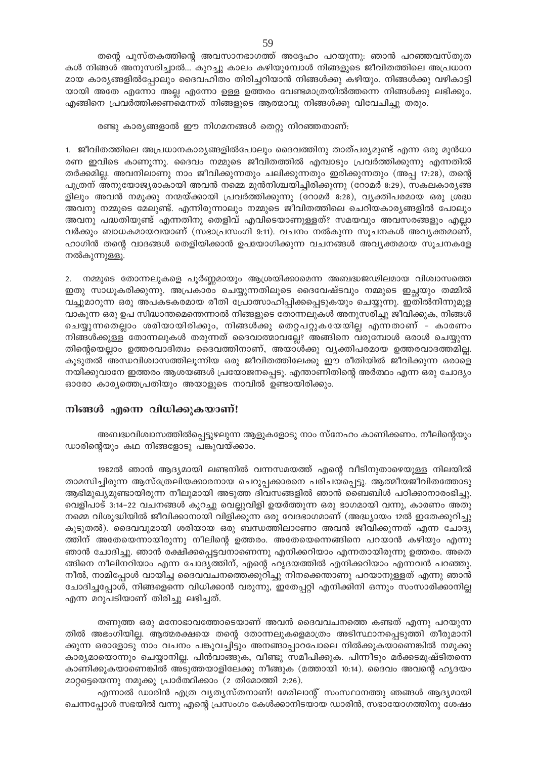തന്റെ പുസ്തകത്തിന്റെ അവസാനഭാഗത്ത് അദ്ദേഹം പറയുന്നു: ഞാൻ പറഞ്ഞവസ്തുത കൾ നിങ്ങൾ അനുസരിച്ചാൽ... കുറച്ചു കാലം കഴിയുമ്പോൾ നിങ്ങളുടെ ജീവിതത്തിലെ അപ്രധാന മായ കാര്യങ്ങളിൽപ്പോലും ദൈവഹിതം തിരിച്ചറിയാൻ നിങ്ങൾക്കു കഴിയും. നിങ്ങൾക്കു വഴികാട്ടി യായി അതേ എന്നോ അല്ല എന്നോ ഉള്ള ഉത്തരം വേണ്ടമാത്രയിൽത്തന്നെ നിങ്ങൾക്കു ലഭിക്കും. എങ്ങിനെ പ്രവർത്തിക്കണമെന്നത് നിങ്ങളുടെ ആത്മാവു നിങ്ങൾക്കു വിവേചിച്ചു തരും.

#### രണ്ടു കാര്യങ്ങളാൽ ഈ നിഗമനങ്ങൾ തെറ്റു നിറഞ്ഞതാണ്:

1. ജീവിതത്തിലെ അപ്രധാനകാര്യങ്ങളിൽപോലും ദൈവത്തിനു താത്പര്യമുണ്ട് എന്ന ഒരു മുൻധാ രണ ഇവിടെ കാണുന്നു. ദൈവം നമ്മുടെ ജീവിതത്തിൽ എമ്പാടും പ്രവർത്തിക്കുന്നു എന്നതിൽ തർക്കമില്ല. അവനിലാണു നാം ജീവിക്കുന്നതും ചലിക്കുന്നതും ഇരിക്കുന്നതും (അപ്പ 17:28), തന്റെ പുത്രന് അനുയോജ്യരാകായി അവൻ നമ്മെ മുൻനിശ്ചയിച്ചിരിക്കുന്നു (റോമർ 8:29), സകലകാരൃങ്ങ ളിലും അവൻ നമുക്കു നന്മയ്ക്കായി പ്രവർത്തിക്കുന്നു (റോമർ 8:28), വ്യക്തിപരമായ ഒരു ശ്രദ്ധ അവനു നമ്മുടെ മേലുണ്ട്. എന്നിരുന്നാലും നമ്മുടെ ജീവിതത്തിലെ ചെറിയകാര്യങ്ങളിൽ പോലും അവനു പദ്ധതിയുണ്ട് എന്നതിനു തെളിവ് എവിടെയാണുള്ളത്? സമയവും അവസരങ്ങളും എല്ലാ വർക്കും ബാധകമായവയാണ് (സഭാപ്രസംഗി 9:11). വചനം നൽകുന്ന സൂചനകൾ അവ്യക്തമാണ്, ഹാഗിൻ തന്റെ വാദങ്ങൾ തെളിയിക്കാൻ ഉപയോഗിക്കുന്ന വചനങ്ങൾ അവ്യക്തമായ സൂചനകളേ നൽകുന്നുള്ളൂ.

2. നമ്മുടെ തോന്നലുകളെ പൂർണ്ണമായും ആശ്രയിക്കാമെന്ന അബദ്ധജഢിലമായ വിശ്വാസത്തെ ഇതു സാധൂകരിക്കുന്നു. അപ്രകാരം ചെയ്യുന്നതിലൂടെ ദൈവേഷ്ടവും നമ്മുടെ ഇച്ചയും തമ്മിൽ വച്ചുമാറുന്ന ഒരു അപകടകരമായ രീതി പ്രോത്സാഹിപ്പിക്കപ്പെടുകയും ചെയ്യുന്നു. ഇതിൽനിന്നുമുള വാകുന്ന ഒരു ഉപ സിദ്ധാന്തമെന്തെന്നാൽ നിങ്ങളുടെ തോന്നലുകൾ അനുസരിച്ചു ജീവിക്കുക, നിങ്ങൾ ചെയ്യുന്നതെല്ലാം ശരിയായിരിക്കും, നിങ്ങൾക്കു തെറ്റപറ്റുകയേയില്ല എന്നതാണ് - കാരണം നിങ്ങൾക്കുള്ള തോന്നലുകൾ തരുന്നത് ദൈവാത്മാവല്ലേ? അങ്ങിനെ വരുമ്പോൾ ഒരാൾ ചെയ്യുന്ന തിന്റെയെല്ലാം ഉത്തരവാദിത്വം ദൈവത്തിനാണ്, അയാൾക്കു വൃക്തിപരമായ ഉത്തരവാദത്തമില്ല. കൂടുതൽ അന്ധവിശ്വാസത്തിലൂന്നിയ ഒരു ജീവിതത്തിലേക്കു ഈ രീതിയിൽ ജീവിക്കുന്ന ഒരാളെ നയിക്കുവാനേ ഇത്തരം ആശയങ്ങൾ പ്രയോജനപ്പെടൂ. എന്താണിതിന്റെ അർത്ഥം എന്ന ഒരു ചോദ്യം ഓരോ കാര്യത്തെപ്രതിയും അയാളുടെ നാവിൽ ഉണ്ടായിരിക്കും.

# നിങ്ങൾ എന്നെ വിധിക്കുകയാണ്!

അബദ്ധവിശ്വാസത്തിൽപ്പെട്ടുഴലുന്ന ആളുകളോടു നാം സ്നേഹം കാണിക്കണം. നീലിന്റെയും ഡാരിന്റെയും കഥ നിങ്ങളോടു പങ്കുവയ്ക്കാം.

1982ൽ ഞാൻ ആദ്യമായി ലണ്ടനിൽ വന്നസമയത്ത് എന്റെ വീടിനുതാഴെയുള്ള നിലയിൽ താമസിച്ചിരുന്ന ആസ്ത്രേലിയക്കാരനായ ചെറുപ്പക്കാരനെ പരിചയപ്പെട്ടു. ആത്മീയജീവിതത്തോടു ആഭിമുഖ്യമുണ്ടായിരുന്ന നീലുമായി അടുത്ത ദിവസങ്ങളിൽ ഞാൻ ബൈബിൾ പഠിക്കാനാരംഭിച്ചു. വെളിപാട് 3:14–22 വചനങ്ങൾ കുറച്ചു വെല്ലുവിളി ഉയർത്തുന്ന ഒരു ഭാഗമായി വന്നു, കാരണം അതു നമ്മെ വിശുദ്ധിയിൽ ജീവിക്കാനായി വിളിക്കുന്ന ഒരു വേദഭാഗമാണ് (അദ്ധ്യായം 12ൽ ഇതേക്കുറിച്ചു കൂടുതൽ). ദൈവവുമായി ശരിയായ ഒരു ബന്ധത്തിലാണോ അവൻ ജീവിക്കുന്നത് എന്ന ചോദ്യ ത്തിന് അതേയെന്നായിരുന്നു നീലിന്റെ ഉത്തരം. അതേയെന്നെങ്ങിനെ പറയാൻ കഴിയും എന്നു ഞാൻ ചോദിച്ചു. ഞാൻ രക്ഷിക്കപ്പെട്ടവനാണെന്നു എനിക്കറിയാം എന്നതായിരുന്നു ഉത്തരം. അതെ ങ്ങിനെ നീലിനറിയാം എന്ന ചോദ്യത്തിന്, എന്റെ ഹൃദയത്തിൽ എനിക്കറിയാം എന്നവൻ പറഞ്ഞു. നീൽ, നാമിപ്പോൾ വായിച്ച ദൈവവചനത്തെക്കുറിച്ചു നിനക്കെന്താണു പറയാനുള്ളത് എന്നു ഞാൻ ചോദിച്ചപ്പോൾ, നിങ്ങളെന്നെ വിധിക്കാൻ വരുന്നു, ഇതേപ്പറ്റി എനിക്കിനി ഒന്നും സംസാരിക്കാനില്ല എന്ന മറുപടിയാണ് തിരിച്ചു ലഭിച്ചത്.

തണുത്ത ഒരു മനോഭാവത്തോടെയാണ് അവൻ ദൈവവചനത്തെ കണ്ടത് എന്നു പറയുന്ന തിൽ അഭംഗിയില്ല. ആത്മരക്ഷയെ തന്റെ തോന്നലുകളെമാത്രം അടിസ്ഥാനപ്പെടുത്തി തീരുമാനി ക്കുന്ന ഒരാളോടു നാം വചനം പങ്കുവച്ചിട്ടും അനങ്ങാപ്പാറപോലെ നിൽക്കുകയാണെങ്കിൽ നമുക്കു കാര്യമായൊന്നും ചെയ്യാനില്ല. പിൻവാങ്ങുക, വീണ്ടു സമീപിക്കുക. പിന്നീടും മർക്കടമുഷ്ടിതന്നെ കാണിക്കുകയാണെങ്കിൽ അടുത്തയാളിലേക്കു നീങ്ങുക (മത്തായി 10:14). ദൈവം അവന്റെ ഹൃദയം മാറ്റട്ടെയെന്നു നമുക്കു പ്രാർത്ഥിക്കാം (2 തിമോത്തി 2:26).

എന്നാൽ ഡാരിൻ എത്ര വ്യത്യസ്തനാണ്! മേരിലാന്റ് സംസ്ഥാനത്തു ഞങ്ങൾ ആദ്യമായി ചെന്നപ്പോൾ സഭയിൽ വന്നു എന്റെ പ്രസംഗം കേൾക്കാനിടയായ ഡാരിൻ, സഭായോഗത്തിനു ശേഷം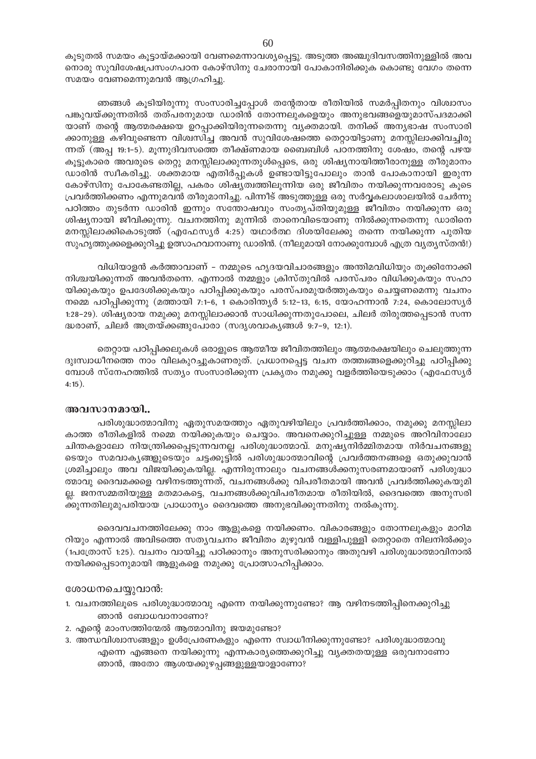കൂടുതൽ സമയം കൂട്ടായ്മക്കായി വേണമെന്നാവശ്യപ്പെട്ടു. അടുത്ത അഞ്ചുദിവസത്തിനുള്ളിൽ അവ നൊരു സുവിശേഷപ്രസംഗപഠന കോഴ്സിനു ചേരാനായി പോകാനിരിക്കുക കൊണ്ടു വേഗം തന്നെ സമയം വേണമെന്നുമവൻ ആഗ്രഹിച്ചു.

ഞങ്ങൾ കൂടിയിരുന്നു സംസാരിച്ചപ്പോൾ തന്റേതായ രീതിയിൽ സമർപ്പിതനും വിശ്വാസം പങ്കുവയ്ക്കുന്നതിൽ തത്പരനുമായ ഡാരിൻ തോന്നലുകളെയും അനുഭവങ്ങളെയുമാസ്പദമാക്കി യാണ് തന്റെ ആത്മരക്ഷയെ ഉറപ്പാക്കിയിരുന്നതെന്നു വ്യക്തമായി. തനിക്ക് അനൃഭാഷ സംസാരി ക്കാനുള്ള കഴിവുണ്ടെന്ന വിശ്വസിച്ച അവൻ സുവിശേഷത്തെ തെറ്റായിട്ടാണു മനസ്സിലാക്കിവച്ചിരു ന്നത് (അപ്പ 19:1-5). മൂന്നുദിവസത്തെ തീക്ഷ്ണമായ ബൈബിൾ പഠനത്തിനു ശേഷം, തന്റെ പഴയ കൂട്ടുകാരെ അവരുടെ തെറ്റു മനസ്സിലാക്കുന്നതുൾപ്പെടെ, ഒരു ശിഷ്യനായിത്തീരാനുള്ള തീരുമാനം ഡാരിൻ സ്ഥീകരിച്ചു. ശക്തമായ എതിർപ്പുകൾ ഉണ്ടായിട്ടുപോലും താൻ പോകാനായി ഇരുന്ന കോഴ്സിനു പോകേണ്ടതില്ല, പകരം ശിഷ്യത്വത്തിലൂന്നിയ ഒരു ജീവിതം നയിക്കുന്നവരോടു കൂടെ പ്രവർത്തിക്കണം എന്നുമവൻ തീരുമാനിച്ചു. പിന്നീട് അടുത്തുള്ള ഒരു സർവ്വകലാശാലയിൽ ചേർന്നു പഠിത്തം തുടർന്ന ഡാരിൻ ഇന്നും സന്തോഷവും സംതൃപ്തിയുമുള്ള ജീവിതം നയിക്കുന്ന ഒരു ശിഷ്യനായി ജീവിക്കുന്നു. വചനത്തിനു മുന്നിൽ താനെവിടെയാണു നിൽക്കുന്നതെന്നു ഡാരിനെ മനസ്സിലാക്കികൊടുത്ത് (എഫേസ്യർ 4:25) യഥാർത്ഥ ദിശയിലേക്കു തന്നെ നയിക്കുന്ന പുതിയ സുഹൃത്തുക്കളെക്കുറിച്ചു ഉത്സാഹവാനാണു ഡാരിൻ. (നീലുമായി നോക്കുമ്പോൾ എത്ര വ്യത്യസ്തൻ!)

വിധിയാളൻ കർത്താവാണ് – നമ്മുടെ ഹൃദയവിചാരങ്ങളും അന്തിമവിധിയും തൂക്കിനോക്കി നിശ്ചയിക്കുന്നത് അവൻതന്നെ. എന്നാൽ നമ്മളും ക്രിസ്തുവിൽ പരസ്പരം വിധിക്കുകയും സഹാ യിക്കുകയും ഉപദേശിക്കുകയും പഠിപ്പിക്കുകയും പരസ്പരമുയർത്തുകയും ചെയ്യണമെന്നു വചനം നമ്മെ പഠിപ്പിക്കുന്നു (മത്തായി 7:1-6, 1 കൊരിന്ത്യർ 5:12-13, 6:15, യോഹന്നാൻ 7:24, കൊലോസ്യർ 1:28–29). ശിഷ്യരായ നമുക്കു മനസ്സിലാക്കാൻ സാധിക്കുന്നതുപോലെ, ചിലർ തിരുത്തപ്പെടാൻ സന്ന ദ്ധരാണ്, ചിലർ അത്രയ്ക്കങ്ങുപോരാ (സദൃശവാകൃങ്ങൾ 9:7-9, 12:1).

തെറ്റായ പഠിപ്പിക്കലുകൾ ഒരാളുടെ ആത്മീയ ജീവിതത്തിലും ആത്മരക്ഷയിലും ചെലുത്തുന്ന ദുഃസ്വാധീനത്തെ നാം വിലകുറച്ചുകാണരുത്. പ്രധാനപ്പെട്ട വചന തത്ത്വങ്ങളെക്കുറിച്ചു പഠിപ്പിക്കു മ്പോൾ സ്നേഹത്തിൽ സത്യം സംസാരിക്കുന്ന പ്രകൃതം നമുക്കു വളർത്തിയെടുക്കാം (എഫേസ്യർ  $4:15$ ).

# അവസാനമായി..

പരിശുദ്ധാത്മാവിനു ഏതുസമയത്തും ഏതുവഴിയിലും പ്രവർത്തിക്കാം, നമുക്കു മനസ്സിലാ കാത്ത രീതികളിൽ നമ്മെ നയിക്കുകയും ചെയ്യാം. അവനെക്കുറിച്ചുള്ള നമ്മുടെ അറിവിനാലോ ചിന്തകളാലോ നിയന്ത്രിക്കപ്പെടുന്നവനല്ല പരിശുദ്ധാത്മാവ്. മനുഷ്യനിർമ്മിതമായ നിർവചനങ്ങളു ടെയും സമവാകൃങ്ങളുടെയും ചട്ടക്കൂട്ടിൽ പരിശുദ്ധാത്മാവിന്റെ പ്രവർത്തനങ്ങളെ ഒതുക്കുവാൻ ശ്രമിച്ചാലും അവ വിജയിക്കുകയില്ല. എന്നിരുന്നാലും വചനങ്ങൾക്കനുസരണമായാണ് പരിശുദ്ധാ ത്മാവു ദൈവമക്കളെ വഴിനടത്തുന്നത്, വചനങ്ങൾക്കു വിപരീതമായി അവൻ പ്രവർത്തിക്കുകയുമി ല്ല. ജനസമ്മതിയുള്ള മതമാകട്ടെ, വചനങ്ങൾക്കുവിപരീതമായ രീതിയിൽ, ദൈവത്തെ അനുസരി ക്കുന്നതിലുമുപരിയായ പ്രാധാന്യം ദൈവത്തെ അനുഭവിക്കുന്നതിനു നൽകുന്നു.

ദൈവവചനത്തിലേക്കു നാം ആളുകളെ നയിക്കണം. വികാരങ്ങളും തോന്നലുകളും മാറിമ റിയും എന്നാൽ അവിടത്തെ സതൃവചനം ജീവിതം മുഴുവൻ വള്ളിപുള്ളി തെറ്റാതെ നിലനിൽക്കും (1പത്രോസ് 1:25). വചനം വായിച്ചു പഠിക്കാനും അനുസരിക്കാനും അതുവഴി പരിശുദ്ധാത്മാവിനാൽ നയിക്കപ്പെടാനുമായി ആളുകളെ നമുക്കു പ്രോത്സാഹിപ്പിക്കാം.

#### ശോധനചെയ്യുവാൻ:

- 1. വചനത്തിലൂടെ പരിശുദ്ധാത്മാവു എന്നെ നയിക്കുന്നുണ്ടോ? ആ വഴിനടത്തിപ്പിനെക്കുറിച്ചു ഞാൻ ബോധവാനാണോ?
- 2. എന്റെ മാംസത്തിന്മേൽ ആത്മാവിനു ജയമുണ്ടോ?
- 3. അന്ധവിശ്വാസങ്ങളും ഉൾപ്രേരണകളും എന്നെ സ്വാധീനിക്കുന്നുണ്ടോ? പരിശുദ്ധാത്മാവു എന്നെ എങ്ങനെ നയിക്കുന്നു എന്നകാര്യത്തെക്കുറിച്ചു വ്യക്തതയുള്ള ഒരുവനാണോ ഞാൻ, അതോ ആശയക്കുഴപ്പങ്ങളുള്ളയാളാണോ?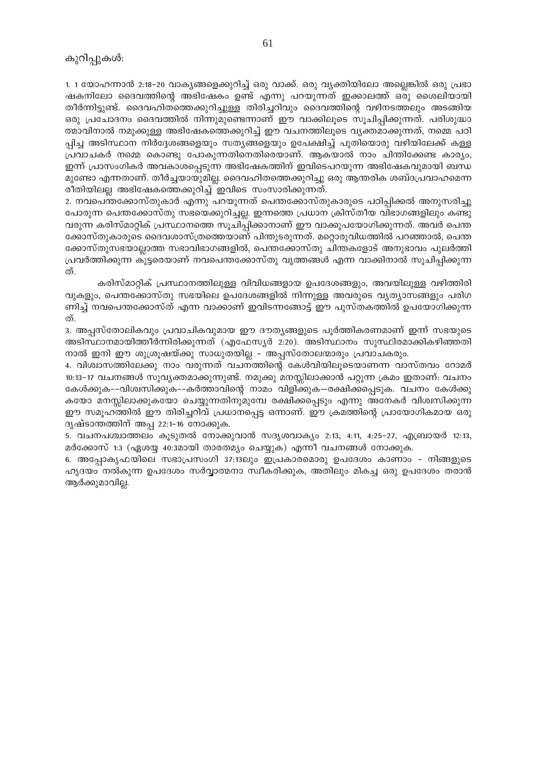1. 1 യോഹന്നാൻ 2:18-20 വാകൃങ്ങളെക്കുറിച്ച് ഒരു വാക്ക്. ഒരു വ്യക്തിയിലോ അല്ലെങ്കിൽ ഒരു പ്രഭാ ഷകനിലോ ദൈവത്തിന്റെ അഭിഷേകം ഉണ്ട് എന്നു പറയുന്നത് ഇക്കാലത്ത് ഒരു ശൈലിയായി തീർന്നിട്ടുണ്ട്. ദൈവഹിതത്തെക്കുറിച്ചുള്ള തിരിച്ചറിവും ദൈവത്തിന്റെ വഴിനടത്തലും അടങ്ങിയ ഒരു പ്രചോദനം ദൈവത്തിൽ നിന്നുമുണ്ടെന്നാണ് ഈ വാക്കിലൂടെ സൂചിപ്പിക്കുന്നത്. പരിശുദ്ധാ ത്മാവിനാൽ നമുക്കുള്ള അഭിഷേകത്തെക്കുറിച്ച് ഈ വചനത്തിലൂടെ വ്യക്തമാക്കുന്നത്, നമ്മെ പഠി പ്പിച്ച അടിസ്ഥാന നിർദ്ദേശങ്ങളെയും സത്യങ്ങളെയും ഉപേക്ഷിച്ച് പുതിയൊരു വഴിയിലേക്ക് കള്ള പ്രവാചകർ നമ്മെ കൊണ്ടു പോകുന്നതിനെതിരെയാണ്. ആകയാൽ നാം ചിന്തിക്കേണ്ട കാര്യം, ഇന്ന് പ്രാസംഗികർ അവകാശപ്പെടുന്ന അഭിഷേകത്തിന് ഇവിടെപറയുന്ന അഭിഷേകവുമായി ബന്ധ മുണ്ടോ എന്നതാണ്. തീർച്ചയായുമില്ല. ദൈവഹിതത്തെക്കുറിച്ചു ഒരു ആന്തരിക ശബ്ദപ്രവാഹമെന്ന രീതിയിലല്ല അഭിഷേകത്തെക്കുറിച്ച് ഇവിടെ സംസാരിക്കുന്നത്.

2. നവപെന്തക്കോസ്തുകാർ എന്നു പറയുന്നത് പെന്തക്കോസ്തുകാരുടെ പഠിപ്പിക്കൽ അനുസരിച്ചു പോരുന്ന പെന്തക്കോസ്തു സഭയെക്കുറിച്ചല്ല. ഇന്നത്തെ പ്രധാന ക്രിസ്തീയ വിഭാഗങ്ങളിലും കണ്ടു വരുന്ന കരിസ്മാറ്റിക് പ്രസ്ഥാനത്തെ സൂചിപ്പിക്കാനാണ് ഈ വാക്കുപയോഗിക്കുന്നത്. അവർ പെന്ത ക്കോസ്തുകാരുടെ ദൈവശാസ്ത്രത്തെയാണ് പിന്തുടരുന്നത്. മറ്റൊരുവിധത്തിൽ പറഞ്ഞാൽ, പെന്ത ക്കോസ്തുസഭയാല്ലാത്ത സഭാവിഭാഗങ്ങളിൽ, പെന്തക്കോസ്തു ചിന്തകളോട് അനുഭാവം പുലർത്തി പ്രവർത്തിക്കുന്ന കൂട്ടരെയാണ് നവപെന്തക്കോസ്തു വൃത്തങ്ങൾ എന്ന വാക്കിനാൽ സൂചിപ്പിക്കുന്ന ത്.

കരിസ്മാറ്റിക് പ്രസ്ഥാനത്തിലുള്ള വിവിധങ്ങളായ ഉപദേശങ്ങളും, അവയിലുള്ള വഴിത്തിരി വുകളും, പെന്തക്കോസ്തു സഭയിലെ ഉപദേശങ്ങളിൽ നിന്നുള്ള അവരുടെ വ്യത്യാസങ്ങളും പരിഗ ണിച്ച് നവപെന്തക്കോസ്ത് എന്ന വാക്കാണ് ഇവിടന്നങ്ങോട്ട് ഈ പുസ്തകത്തിൽ ഉപയോഗിക്കുന്ന ത്.

3. അപ്പസ്തോലികവും പ്രവാചികവുമായ ഈ ദൗത്യങ്ങളുടെ പൂർത്തികരണമാണ് ഇന്ന് സഭയുടെ അടിസ്ഥാനമായിത്തീർന്നിരിക്കുന്നത് (എഫേസ്യർ 2:20). അടിസ്ഥാനം സുസ്ഥിരമാക്കികഴിഞ്ഞതി നാൽ ഇനി ഈ ശുശ്രൂഷയ്ക്കു സാധുതയില്ല – അപ്പസ്തോലന്മാരും പ്രവാചകരും.

4. വിശ്വാസത്തിലേക്കു നാം വരുന്നത് വചനത്തിന്റെ കേൾവിയിലൂടെയാണന്ന വാസ്തവം റോമർ 10:13–17 വചനങ്ങൾ സുവൃക്തമാക്കുന്നുണ്ട്. നമുക്കു മനസ്സിലാക്കാൻ പറ്റുന്ന ക്രമം ഇതാണ്: വചനം കേൾക്കുക–-വിശ്വസിക്കുക–-കർത്താവിന്റെ നാമം വിളിക്കുക—രക്ഷിക്കപ്പെടുക. വചനം കേൾക്കു കയോ മനസ്സിലാക്കുകയോ ചെയ്യുന്നതിനുമുമ്പേ രക്ഷിക്കപ്പെടും എന്നു അനേകർ വിശ്വസിക്കുന്ന ഈ സമൂഹത്തിൽ ഈ തിരിച്ചറിവ് പ്രധാനപ്പെട്ട ഒന്നാണ്. ഈ ക്രമത്തിന്റെ പ്രായോഗികമായ ഒരു ദൃഷ്ടാന്തത്തിന് അപ്പ 22:1-16 നോക്കുക.

5. വചനപശ്ചാത്തലം കൂടുതൽ നോക്കുവാൻ സദൃശവാക്യം 2:13, 4:11, 4:25-27, എബ്രായർ 12:13, മർക്കോസ് 1:3 (ഏശയ്യ 40:3മായി താരതമ്യം ചെയ്യുക) എന്നീ വചനങ്ങൾ നോക്കുക.

6. അപ്പോകൃഫയിലെ സഭാപ്രസംഗി 37:13ലും ഇപ്രകാരമൊരു ഉപദേശം കാണാം - നിങ്ങളുടെ ഹൃദയം നൽകുന്ന ഉപദേശം സർവ്വാത്മനാ സ്വീകരിക്കുക, അതിലും മികച്ച ഒരു ഉപദേശം തരാൻ ആർക്കുമാവില്ല.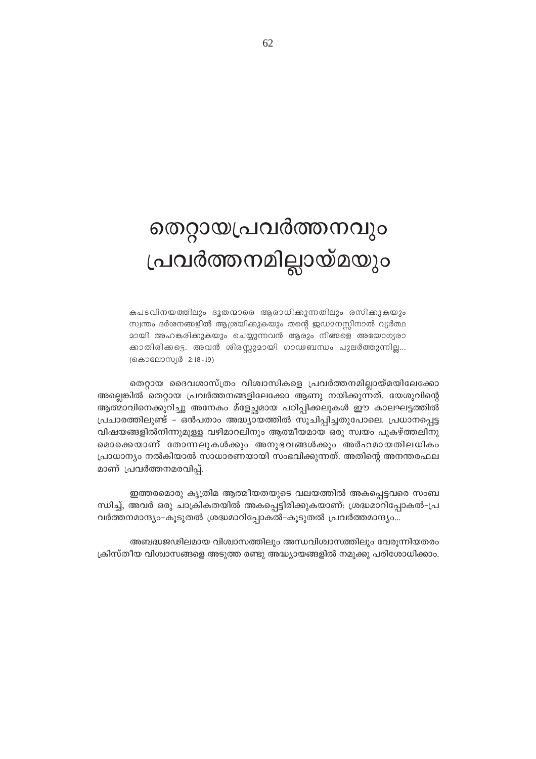# തെറ്റായപ്രവർത്തനവും പ്രവർത്തനമില്ലായ്മയും

കപടവിനയത്തിലും ദൂതന്മാരെ ആരാധിക്കുന്നതിലും രസിക്കുകയും സ്വന്തം ദർശനങ്ങളിൽ ആശ്രയിക്കുകയും തന്റെ ജഡമനസ്സിനാൽ വ്യർത്ഥ മായി അഹങ്കരിക്കുകയും ചെയ്യുന്നവൻ ആരും നിങ്ങളെ അയോഗ്യരാ ക്കാതിരിക്കട്ടെ. അവൻ ശിരസ്സുമായി ഗാഢബന്ധം പുലർത്തുന്നില്ല... (കൊലോസ്യർ 2:18-19)

തെറ്റായ ദൈവശാസ്ത്രം വിശ്വാസികളെ പ്രവർത്തനമില്ലായ്മയിലേക്കോ അല്ലെങ്കിൽ തെറ്റായ പ്രവർത്തനങ്ങളിലേക്കോ ആണു നയിക്കുന്നത്. യേശുവിന്റെ ആത്മാവിനെക്കുറിച്ചു അനേകം മ്ളേച്ഛമായ പഠിപ്പിക്കലുകൾ ഈ കാലഘട്ടത്തിൽ പ്രചാരത്തിലുണ്ട് - ഒൻപതാം അദ്ധ്യായത്തിൽ സൂചിപ്പിച്ചതുപോലെ. പ്രധാനപ്പെട്ട വിഷയങ്ങളിൽനിന്നുമുള്ള വഴിമാറലിനും ആത്മീയമായ ഒരു സ്വയം പുകഴ്ത്തലിനു മൊക്കെയാണ് തോന്നലുകൾക്കും അനുഭവങ്ങൾക്കും അർഹമായതിലധികം പ്രാധാന്യം നൽകിയാൽ സാധാരണയായി സംഭവിക്കുന്നത്. അതിന്റെ അനന്തരഫല മാണ് പ്രവർത്തനമരവിപ്പ്.

ഇത്തരമൊരു കൃത്രിമ ആത്മീയതയുടെ വലയത്തിൽ അകപ്പെട്ടവരെ സംബ ന്ധിച്ച്, അവർ ഒരു ചാക്രികതയിൽ അകപ്പെട്ടിരിക്കുകയാണ്: ശ്രദ്ധമാറിപ്പോകൽ–പ്ര വർത്തനമാന്ദ്യം-കൂടുതൽ ശ്രദ്ധമാറിപ്പോകൽ-കൂടുതൽ പ്രവർത്തമാന്ദ്യം...

അബദ്ധജഢിലമായ വിശ്വാസത്തിലും അന്ധവിശ്വാസത്തിലും വേരൂന്നിയതരം ക്രിസ്തീയ വിശ്വാസങ്ങളെ അടുത്ത രണ്ടു അദ്ധ്യായങ്ങളിൽ നമുക്കു പരിശോധിക്കാം.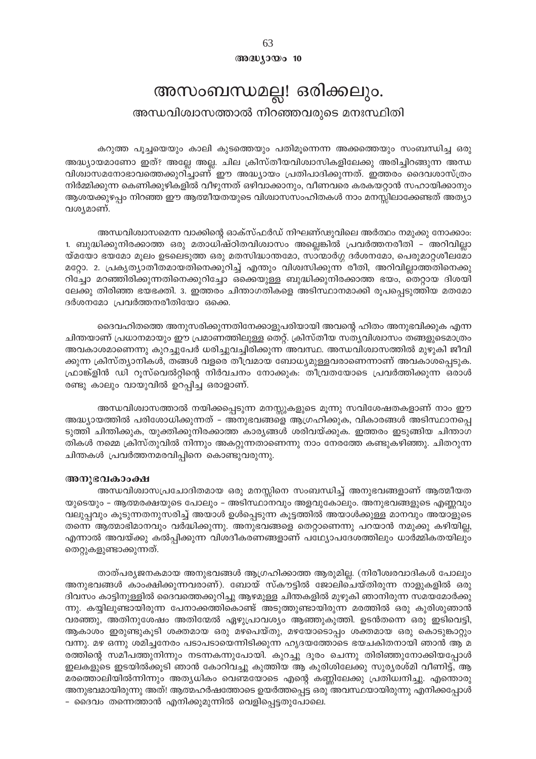$@0@0y0@0000000$ 

# അസംബന്ധമല്ല! ഒരിക്കലും.

# അന്ധവിശ്വാസത്താൽ നിറഞ്ഞവരുടെ മനഃസ്ഥിതി

കറുത്ത പൂച്ചയെയും കാലി കുടത്തെയും പതിമൂന്നെന്ന അക്കത്തെയും സംബന്ധിച്ച ഒരു അദ്ധ്യായമാണോ ഇത്? അല്ലേ അല്ല. ചില ക്രിസ്തീയവിശ്വാസികളിലേക്കു അരിച്ചിറങ്ങുന്ന അന്ധ വിശ്വാസമനോഭാവത്തെക്കുറിച്ചാണ് ഈ അദ്ധ്യായം പ്രതിപാദിക്കുന്നത്. ഇത്തരം ദൈവശാസ്ത്രം നിർമ്മിക്കുന്ന കെണിക്കുഴികളിൽ വീഴുന്നത് ഒഴിവാക്കാനും, വീണവരെ കരകയറ്റാൻ സഹായിക്കാനും ആശയക്കുഴപ്പം നിറഞ്ഞ ഈ ആത്മീയതയുടെ വിശ്വാസസംഹിതകൾ നാം മനസ്സിലാക്കേണ്ടത് അത്യാ വശ്യമാണ്.

അന്ധവിശ്വാസമെന്ന വാക്കിന്റെ ഓക്സ്ഫർഡ് നിഘണ്ഢുവിലെ അർത്ഥം നമുക്കു നോക്കാം. 1. ബുദ്ധിക്കുനിരക്കാത്ത ഒരു മതാധിഷ്ഠിതവിശ്വാസം അല്ലെങ്കിൽ പ്രവർത്തനരീതി – അറിവില്ലാ യ്മയോ ഭയമോ മൂലം ഉടലെടുത്ത ഒരു മതസിദ്ധാന്തമോ, സാന്മാർഗ്ഗ ദർശനമോ, പെരുമാറ്റശീലമോ മറ്റോ. 2. പ്രകൃത്യാതീതമായതിനെക്കുറിച്ച് എന്തും വിശ്വസിക്കുന്ന രീതി, അറിവില്ലാത്തതിനെക്കു റിച്ചോ മറഞ്ഞിരിക്കുന്നതിനെക്കുറിച്ചോ ഒക്കെയുള്ള ബുദ്ധിക്കുനിരക്കാത്ത ഭയം, തെറ്റായ ദിശയി ലേക്കു തിരിഞ്ഞ ഭയഭക്തി. 3. ഇത്തരം ചിന്താഗതികളെ അടിസ്ഥാനമാക്കി രൂപപ്പെടുത്തിയ മതമോ ദർശനമോ പ്രവർത്തനരീതിയോ ഒക്കെ.

ദൈവഹിതത്തെ അനുസരിക്കുന്നതിനേക്കാളുപരിയായി അവന്റെ ഹിതം അനുഭവിക്കുക എന്ന ചിന്തയാണ് പ്രധാനമായും ഈ പ്രമാണത്തിലുള്ള തെറ്റ്. ക്രിസ്തീയ സത്യവിശ്വാസം തങ്ങളുടെമാത്രം അവകാശമാണെന്നു കുറച്ചുപേർ ധരിച്ചുവച്ചിരിക്കുന്ന അവസ്ഥ. അന്ധവിശ്വാസത്തിൽ മുഴുകി ജീവി ക്കുന്ന ക്രിസ്ത്യാനികൾ, തങ്ങൾ വളരെ തീവ്രമായ ബോധ്യമുള്ളവരാണെന്നാണ് അവകാശപ്പെടുക. ഫ്രാങ്ക്ളിൻ ഡി റൂസ്വെൽറ്റിന്റെ നിർവചനം നോക്കുക: തീവ്രതയോടെ പ്രവർത്തിക്കുന്ന ഒരാൾ രണ്ടു കാലും വായുവിൽ ഉറപ്പിച്ച ഒരാളാണ്.

അന്ധവിശ്വാസത്താൽ നയിക്കപ്പെടുന്ന മനസ്സുകളുടെ മൂന്നു സവിശേഷതകളാണ് നാം ഈ അദ്ധ്യായത്തിൽ പരിശോധിക്കുന്നത് – അനുഭവങ്ങളെ ആഗ്രഹിക്കുക, വികാരങ്ങൾ അടിസ്ഥാനപ്പെ ടുത്തി ചിന്തിക്കുക, യുക്തിക്കുനിരക്കാത്ത കാര്യങ്ങൾ ശരിവയ്ക്കുക. ഇത്തരം ഇടുങ്ങിയ ചിന്താഗ തികൾ നമ്മെ ക്രിസ്തുവിൽ നിന്നും അകറ്റുന്നതാണെന്നു നാം നേരത്തേ കണ്ടുകഴിഞ്ഞു. ചിതറുന്ന ചിന്തകൾ പ്രവർത്തനമരവിപ്പിനെ കൊണ്ടുവരുന്നു.

#### അനുഭവകാംക്ഷ

അന്ധവിശ്വാസപ്രചോദിതമായ ഒരു മനസ്സിനെ സംബന്ധിച്ച് അനുഭവങ്ങളാണ് ആത്മീയത യുടെയും – ആത്മരക്ഷയുടെ പോലും – അടിസ്ഥാനവും അളവുകോലും. അനുഭവങ്ങളുടെ എണ്ണവും വലുപ്പവും കൂടുന്നതനുസരിച്ച് അയാൾ ഉൾപ്പെടുന്ന കൂട്ടത്തിൽ അയാൾക്കുള്ള മാനവും അയാളുടെ തന്നെ ആത്മാഭിമാനവും വർദ്ധിക്കുന്നു. അനുഭവങ്ങളെ തെറ്റാണെന്നു പറയാൻ നമുക്കു കഴിയില്ല, എന്നാൽ അവയ്ക്കു കൽപ്പിക്കുന്ന വിശദീകരണങ്ങളാണ് പഥ്വ്യോപദേശത്തിലും ധാർമ്മികതയിലും തെറ്റുകളുണ്ടാക്കുന്നത്.

താത്പര്യജനകമായ അനുഭവങ്ങൾ ആഗ്രഹിക്കാത്ത ആരുമില്ല. (നിരീശ്വരവാദികൾ പോലും അനുഭവങ്ങൾ കാംക്ഷിക്കുന്നവരാണ്). ബോയ് സ്കൗട്ടിൽ ജോലിചെയ്തിരുന്ന നാളുകളിൽ ഒരു ദിവസം കാട്ടിനുള്ളിൽ ദൈവത്തെക്കുറിച്ചു ആഴമുള്ള ചിന്തകളിൽ മുഴുകി ഞാനിരുന്ന സമയമോർക്കു ന്നു. കയ്യിലുണ്ടായിരുന്ന പേനാക്കത്തികൊണ്ട് അടുത്തുണ്ടായിരുന്ന മരത്തിൽ ഒരു കുരിശുഞാൻ വരഞ്ഞു, അതിനുശേഷം അതിന്മേൽ ഏഴുപ്രാവശ്യം ആഞ്ഞുകുത്തി. ഉടൻതന്നെ ഒരു ഇടിവെട്ടി, ആകാശം ഇരുണ്ടുകൂടി ശക്തമായ ഒരു മഴപെയ്തു, മഴയോടൊപ്പം ശക്തമായ ഒരു കൊടുങ്കാറ്റും വന്നു. മഴ ഒന്നു ശമിച്ചനേരം പടാപടായെന്നിടിക്കുന്ന ഹൃദയത്തോടെ ഭയചകിതനായി ഞാൻ ആ മ രത്തിന്റെ സമീപത്തുനിന്നും നടന്നകന്നുപോയി. കുറച്ചു ദൂരം ചെന്നു തിരിഞ്ഞുനോക്കിയപ്പോൾ ഇലകളുടെ ഇടയിൽക്കൂടി ഞാൻ കോറിവച്ചു കുത്തിയ ആ കുരിശിലേക്കു സുര്യരശ്മി വീണിട്ട്, ആ മരത്തൊലിയിൽന്നിന്നും അത്യധികം വെണ്മയോടെ എന്റെ കണ്ണിലേക്കു പ്രതിധ്വനിച്ചു. എന്തൊരു അനുഭവമായിരുന്നു അത്! ആത്മഹർഷത്തോടെ ഉയർത്തപ്പെട്ട ഒരു അവസ്ഥയായിരുന്നു എനിക്കപ്പോൾ - ദൈവം തന്നെത്താൻ എനിക്കുമുന്നിൽ വെളിപ്പെട്ടതുപോലെ.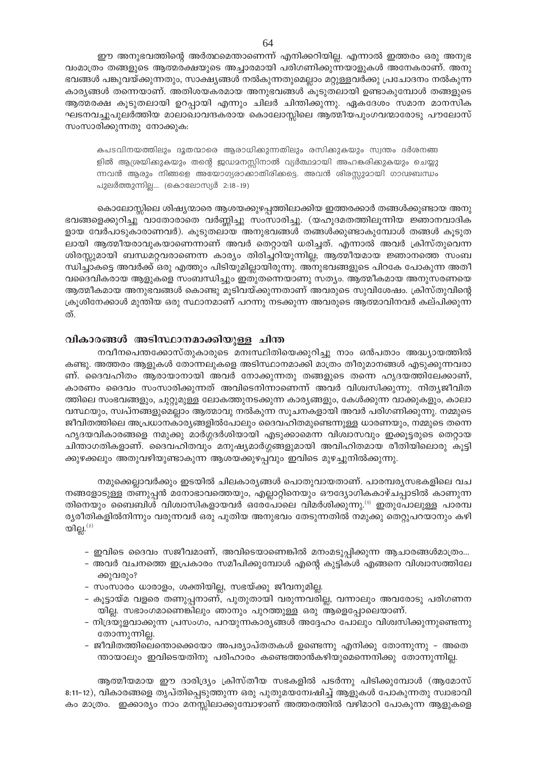ഈ അനുഭവത്തിന്റെ അർത്ഥമെന്താണെന്ന് എനിക്കറിയില്ല. എന്നാൽ ഇത്തരം ഒരു അനുഭ വംമാത്രം തങ്ങളുടെ ആത്മരക്ഷയുടെ അച്ചാരമായി പരിഗണിക്കുന്നയാളുകൾ അനേകരാണ്. അനു ഭവങ്ങൾ പങ്കുവയ്ക്കുന്നതും, സാക്ഷ്യങ്ങൾ നൽകുന്നതുമെല്ലാം മറ്റുള്ളവർക്കു പ്രചോദനം നൽകുന്ന കാര്യങ്ങൾ തന്നെയാണ്. അതിശയകരമായ അനുഭവങ്ങൾ കൂടുതലായി ഉണ്ടാകുമ്പോൾ തങ്ങളുടെ ആത്മരക്ഷ കൂടുതലായി ഉറപ്പായി എന്നും ചിലർ ചിന്തിക്കുന്നു. ഏകദേശം സമാന മാനസിക ഘടനവച്ചുപുലർത്തിയ മാലാഖാവന്ദകരായ കൊലോസ്സിലെ ആത്മീയപുംഗവന്മാരോടു പൗലോസ് സംസാരിക്കുന്നതു നോക്കുക:

കപടവിനയത്തിലും ദൂതന്മാരെ ആരാധിക്കുന്നതിലും രസിക്കുകയും സ്വന്തം ദർശനങ്ങ ളിൽ ആശ്രയിക്കുകയും തന്റെ ജഡമനസ്സിനാൽ വ്യർത്ഥമായി അഹങ്കരിക്കുകയും ചെയ്യു ന്നവൻ ആരും നിങ്ങളെ അയോഗ്യരാക്കാതിരിക്കട്ടെ. അവൻ ശിരസ്സുമായി ഗാഢബന്ധം പുലർത്തുന്നില്ല... (കൊലോസ്യർ 2:18-19)

കൊലോസ്സിലെ ശിഷ്യന്മാരെ ആശയക്കുഴപ്പത്തിലാക്കിയ ഇത്തരക്കാർ തങ്ങൾക്കുണ്ടായ അനു ഭവങ്ങളെക്കുറിച്ചു വാതോരാതെ വർണ്ണിച്ചു സംസാരിച്ചു. (യഹൂദമതത്തിലൂന്നിയ ജ്ഞാനവാദിക ളായ വേർപാടുകാരാണവർ). കൂടുതലായ അനുഭവങ്ങൾ തങ്ങൾക്കുണ്ടാകുമ്പോൾ തങ്ങൾ കൂടുത ലായി ആത്മീയരാവുകയാണെന്നാണ് അവർ തെറ്റായി ധരിച്ചത്. എന്നാൽ അവർ ക്രിസ്തുവെന്ന ശിരസ്സുമായി ബന്ധമറ്റവരാണെന്ന കാര്യം തിരിച്ചറിയുന്നില്ല; ആത്മീയമായ ജ്ഞാനത്തെ സംബ ന്ധിച്ചാകട്ടെ അവർക്ക് ഒരു എത്തും പിടിയുമില്ലായിരുന്നു. അനുഭവങ്ങളുടെ പിറകേ പോകുന്ന അതീ വദൈവികരായ ആളുകളെ സംബന്ധിച്ചും ഇതുതന്നെയാണു സത്യം. ആത്മീകമായ അനുസരണയെ ആത്മീകമായ അനുഭവങ്ങൾ കൊണ്ടു മൂടിവയ്ക്കുന്നതാണ് അവരുടെ സുവിശേഷം. ക്രിസ്തുവിന്റെ ക്രൂശിനേക്കാൾ മുന്തിയ ഒരു സ്ഥാനമാണ് പറന്നു നടക്കുന്ന അവരുടെ ആത്മാവിനവർ കല്പിക്കുന്ന ത്.

# വികാരങ്ങൾ അടിസ്ഥാനമാക്കിയുള്ള ചിന്ത

നവീനപെന്തക്കോസ്തുകാരുടെ മനഃസ്ഥിതിയെക്കുറിച്ചു നാം ഒൻപതാം അദ്ധ്യായത്തിൽ കണ്ടു. അത്തരം ആളുകൾ തോന്നലുകളെ അടിസ്ഥാനമാക്കി മാത്രം തീരുമാനങ്ങൾ എടുക്കുന്നവരാ ണ്. ദൈവഹിതം ആരായാനായി അവർ നോക്കുന്നതു തങ്ങളുടെ തന്നെ ഹൃദയത്തിലേക്കാണ്, കാരണം ദൈവം സംസാരിക്കുന്നത് അവിടെനിന്നാണെന്ന് അവർ വിശ്വസിക്കുന്നു. നിതൃജീവിത ത്തിലെ സംഭവങ്ങളും, ചുറ്റുമുള്ള ലോകത്തുനടക്കുന്ന കാര്യങ്ങളും, കേൾക്കുന്ന വാക്കുകളും, കാലാ വസ്ഥയും, സ്വപ്നങ്ങളുമെല്ലാം ആത്മാവു നൽകുന്ന സൂചനകളായി അവർ പരിഗണിക്കുന്നു. നമ്മുടെ ജീവിതത്തിലെ അപ്രധാനകാര്യങ്ങളിൽപോലും ദൈവഹിതമുണ്ടെന്നുള്ള ധാരണയും, നമ്മുടെ തന്നെ ഹൃദയവികാരങ്ങളെ നമുക്കു മാർഗ്ഗദർശിയായി എടുക്കാമെന്ന വിശ്വാസവും ഇക്കൂട്ടരുടെ തെറ്റായ ചിന്താഗതികളാണ്. ദൈവഹിതവും മനുഷ്യമാർഗ്ഗങ്ങളുമായി അവിഹിതമായ രീതിയിലൊരു കൂട്ടി ക്കുഴക്കലും അതുവഴിയുണ്ടാകുന്ന ആശയക്കുഴപ്പവും ഇവിടെ മുഴച്ചുനിൽക്കുന്നു.

നമുക്കെല്ലാവർക്കും ഇടയിൽ ചിലകാര്യങ്ങൾ പൊതുവായതാണ്. പാരമ്പര്യസഭകളിലെ വച നങ്ങളോടുള്ള തണുപ്പൻ മനോഭാവത്തെയും, എല്ലാറ്റിനെയും ഔദ്യോഗികകാഴ്ചപ്പാടിൽ കാണുന്ന തിനെയും ബൈബിൾ വിശ്വാസികളായവർ ഒരേപോലെ വിമർശിക്കുന്നു.<sup>(1)</sup> ഇതുപോലുള്ള പാരമ്പ ര്യരീതികളിൽനിന്നും വരുന്നവർ ഒരു പുതിയ അനുഭവം തേടുന്നതിൽ നമുക്കു തെറ്റുപറയാനും കഴി യില്ല. $^{(2)}$ 

- ഇവിടെ ദൈവം സജീവമാണ്, അവിടെയാണെങ്കിൽ മനംമടുപ്പിക്കുന്ന ആചാരങ്ങൾമാത്രം...
- അവർ വചനത്തെ ഇപ്രകാരം സമീപിക്കുമ്പോൾ എന്റെ കുട്ടികൾ എങ്ങനെ വിശ്വാസത്തിലേ ക്കുവരും?
- സംസാരം ധാരാളം, ശക്തിയില്ല, സഭയ്ക്കു ജീവനുമില്ല.
- കൂട്ടായ്മ വളരെ തണുപ്പനാണ്, പുതുതായി വരുന്നവരില്ല, വന്നാലും അവരോടു പരിഗണന യില്ല. സഭാംഗമാണെങ്കിലും ഞാനും പുറത്തുള്ള ഒരു ആളെപ്പോലെയാണ്.
- നിദ്രയുളവാക്കുന്ന പ്രസംഗം, പറയുന്നകാര്യങ്ങൾ അദ്ദേഹം പോലും വിശ്വസിക്കുന്നുണ്ടെന്നു തോന്നുന്നില്ല.
- ജീവിതത്തിലെന്തൊക്കെയോ അപര്യാപ്തതകൾ ഉണ്ടെന്നു എനിക്കു തോന്നുന്നു അതെ ന്തായാലും ഇവിടെയതിനു പരിഹാരം കണ്ടെത്താൻകഴിയുമെന്നെനിക്കു തോന്നുന്നില്ല.

ആത്മീയമായ ഈ ദാരിദ്ര്യം ക്രിസ്തീയ സഭകളിൽ പടർന്നു പിടിക്കുമ്പോൾ (ആമോസ് 8:11-12), വികാരങ്ങളെ തൃപ്തിപ്പെടുത്തുന്ന ഒരു പുതുമയന്വേഷിച്ച് ആളുകൾ പോകുന്നതു സ്വാഭാവി കം മാത്രം. ഇക്കാര്യം നാം മനസ്സിലാക്കുമ്പോഴാണ് അത്തരത്തിൽ വഴിമാറി പോകുന്ന ആളുകളെ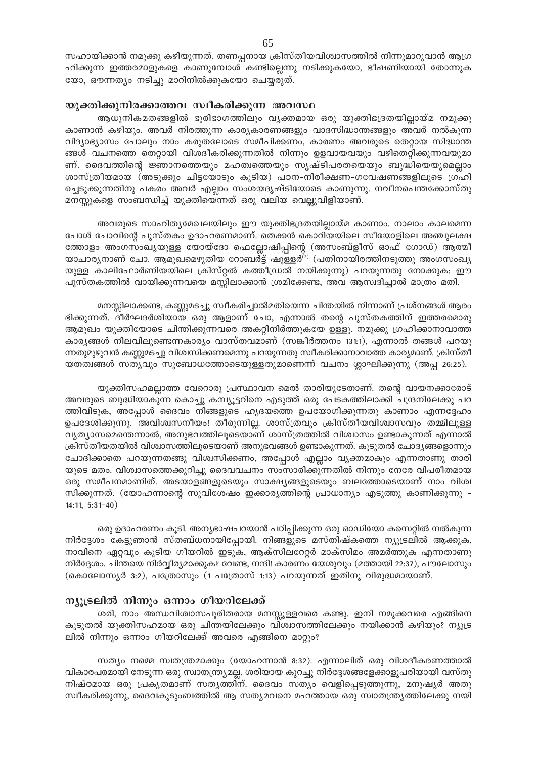# യുക്തിക്കുനിരക്കാത്തവ സ്വീകരിക്കുന്ന അവസ്ഥ

ആധുനികമതങ്ങളിൽ ഭൂരിഭാഗത്തിലും വ്യക്തമായ ഒരു യുക്തിഭദ്രതയില്ലായ്മ നമുക്കു കാണാൻ കഴിയും. അവർ നിരത്തുന്ന കാര്യകാരണങ്ങളും വാദസിദ്ധാന്തങ്ങളും അവർ നൽകുന്ന വിദ്യാഭ്യാസം പോലും നാം കരുതലോടെ സമീപിക്കണം, കാരണം അവരുടെ തെറ്റായ സിദ്ധാന്ത ങ്ങൾ വചനത്തെ തെറ്റായി വിശദീകരിക്കുന്നതിൽ നിന്നും ഉളവായവയും വഴിതെറ്റിക്കുന്നവയുമാ ണ്. ദൈവത്തിന്റെ ജ്ഞാനത്തെയും മഹത്വത്തെയും സൃഷ്ടിപരതയെയും ബുദ്ധിയെയുമെല്ലാം ശാസ്ത്രീയമായ (അടുക്കും ചിട്ടയോടും കൂടിയ) പഠന-നിരീക്ഷണ-ഗവേഷണങ്ങളിലൂടെ ഗ്രഹി ച്ചെടുക്കുന്നതിനു പകരം അവർ എല്ലാം സംശയദൃഷ്ടിയോടെ കാണുന്നു. നവീനപെന്തക്കോസ്തു മനസ്സുകളെ സംബന്ധിച്ച് യുക്തിയെന്നത് ഒരു വലിയ വെല്ലുവിളിയാണ്.

അവരുടെ സാഹിത്യമേഖലയിലും ഈ യുക്തിഭദ്രതയില്ലായ്മ കാണാം. നാലാം കാലമെന്ന പോൾ ചോവിന്റെ പുസ്തകം ഉദാഹരണമാണ്. തെക്കൻ കൊറിയയിലെ സീയോളിലെ അഞ്ചുലക്ഷ ത്തോളം അംഗസംഖ്യയുള്ള യോയ്ദോ ഫെല്ലോഷിപ്പിന്റെ (അസംബ്ളീസ് ഓഫ് ഗോഡ്) ആത്മീ യാചാര്യനാണ് ചോ. ആമുഖമെഴുതിയ റോബർട്ട് ഷുള്ളർ $^{(2)}$  (പതിനായിരത്തിനടുത്തു അംഗസംഖ്യ യുള്ള കാലിഫോർണിയയിലെ ക്രിസ്റ്റൽ കത്തീഡ്രൽ നയിക്കുന്നു) പറയുന്നതു നോക്കുക: ഈ പുസ്തകത്തിൽ വായിക്കുന്നവയെ മസ്സിലാക്കാൻ ശ്രമിക്കേണ്ട, അവ ആസ്വദിച്ചാൽ മാത്രം മതി.

മനസ്സിലാക്കണ്ട, കണ്ണുമടച്ചു സ്വീകരിച്ചാൽമതിയെന്ന ചിന്തയിൽ നിന്നാണ് പ്രശ്നങ്ങൾ ആരം ഭിക്കുന്നത്. ദീർഘദർശിയായ ഒരു ആളാണ് ചോ, എന്നാൽ തന്റെ പുസ്തകത്തിന് ഇത്തരമൊരു ആമുഖം യുക്തിയോടെ ചിന്തിക്കുന്നവരെ അകറ്റിനിർത്തുകയേ ഉള്ളൂ. നമുക്കു ഗ്രഹിക്കാനാവാത്ത കാര്യങ്ങൾ നിലവിലൂണ്ടെന്നകാര്യം വാസ്തവമാണ് (സങ്കീർത്തനം 131:1), എന്നാൽ തങ്ങൾ പറയു ന്നതുമുഴുവൻ കണ്ണുമടച്ചു വിശ്വസിക്കണമെന്നു പറയുന്നതു സ്വീകരിക്കാനാവാത്ത കാര്യമാണ്. ക്രിസ്തീ യതത്വങ്ങൾ സതൃവും സുബോധത്തോടെയുള്ളതുമാണെന്ന് വചനം ശ്ലാഘിക്കുന്നു (അപ്പ 26:25).

യുക്തിസഹമല്ലാത്ത വേറൊരു പ്രസ്ഥാവന മെൽ താരിയുടേതാണ്. തന്റെ വായനക്കാരോട് അവരുടെ ബുദ്ധിയാകുന്ന കൊച്ചു കമ്പ്യൂട്ടറിനെ എടുത്ത് ഒരു പേടകത്തിലാക്കി ചന്ദ്രനിലേക്കു പറ ത്തിവിടുക, അപ്പോൾ ദൈവം നിങ്ങളുടെ ഹൃദയത്തെ ഉപയോഗിക്കുന്നതു കാണാം എന്നദ്ദേഹം ഉപദേശിക്കുന്നു. അവിശ്വസനീയം! തീരുന്നില്ല. ശാസ്ത്രവും ക്രിസ്തീയവിശ്വാസവും തമ്മിലുള്ള വ്യത്യാസമെന്തെന്നാൽ, അനുഭവത്തിലൂടെയാണ് ശാസ്ത്രത്തിൽ വിശ്വാസം ഉണ്ടാകുന്നത് എന്നാൽ ക്രിസ്തീയതയിൽ വിശ്വാസത്തിലൂടെയാണ് അനുഭവങ്ങൾ ഉണ്ടാകുന്നത്. കൂടുതൽ ചോദ്യങ്ങളൊന്നും ചോദിക്കാതെ പറയുന്നതങ്ങു വിശ്വസിക്കണം, അപ്പോൾ എല്ലാം വ്യക്തമാകും എന്നതാണു താരി യുടെ മതം. വിശ്വാസത്തെക്കുറിച്ചു ദൈവവചനം സംസാരിക്കുന്നതിൽ നിന്നും നേരേ വിപരീതമായ ഒരു സമീപനമാണിത്. അടയാളങ്ങളുടെയും സാക്ഷ്യങ്ങളുടെയും ബലത്തോടെയാണ് നാം വിശ്വ സിക്കുന്നത്. (യോഹന്നാന്റെ സുവിശേഷം ഇക്കാര്യത്തിന്റെ പ്രാധാന്യം എടുത്തു കാണിക്കുന്നു –  $14:11, 5:31-40)$ 

ഒരു ഉദാഹരണം കൂടി. അന്യഭാഷപറയാൻ പഠിപ്പിക്കുന്ന ഒരു ഓഡിയോ കസെറ്റിൽ നൽകുന്ന നിർദ്ദേശം കേട്ടുഞാൻ സ്തബ്ധനായിപ്പോയി. നിങ്ങളുടെ മസ്തിഷ്കത്തെ ന്യൂട്രലിൽ ആക്കുക, നാവിനെ ഏറ്റവും കൂടിയ ഗീയറിൽ ഇടുക, ആക്സിലറേറ്റർ മാക്സിമം അമർത്തുക എന്നതാണു നിർദ്ദേശം. ചിന്തയെ നിർവ്വീര്യമാക്കുക? വേണ്ട, നന്ദി! കാരണം യേശുവും (മത്തായി 22:37), പൗലോസും (കൊലോസ്യർ 3:2), പത്രോസും (1 പത്രോസ് 1:13) പറയുന്നത് ഇതിനു വിരുദ്ധമായാണ്.

# ന്യുട്രലിൽ നിന്നും ഒന്നാം ഗീയറിലേക്ക്

ശരി, നാം അന്ധവിശ്വാസപൂരിതരായ മനസ്സുള്ളവരെ കണ്ടു. ഇനി നമുക്കവരെ എങ്ങിനെ കൂടുതൽ യുക്തിസഹമായ ഒരു ചിന്തയിലേക്കും വിശ്വാസത്തിലേക്കും നയിക്കാൻ കഴിയും? ന്യൂട്ര ലിൽ നിന്നും ഒന്നാം ഗീയറിലേക്ക് അവരെ എങ്ങിനെ മാറ്റും?

സത്യം നമ്മെ സ്വതന്ത്രമാക്കും (യോഹന്നാൻ 8:32). എന്നാലിത് ഒരു വിശദീകരണത്താൽ വികാരപരമായി നേടുന്ന ഒരു സ്വാതന്ത്ര്യമല്ല. ശരിയായ കുറച്ചു നിർദ്ദേശങ്ങളേക്കാളുപരിയായി വസ്തു നിഷ്ഠമായ ഒരു പ്രകൃതമാണ് സതൃത്തിന്. ദൈവം സത്യം വെളിപ്പെടുത്തുന്നു, മനുഷ്യർ അതു സ്ഥീകരിക്കുന്നു, ദൈവകുടുംബത്തിൽ ആ സത്യമവനെ മഹത്തായ ഒരു സ്വാതന്ത്ര്യത്തിലേക്കു നയി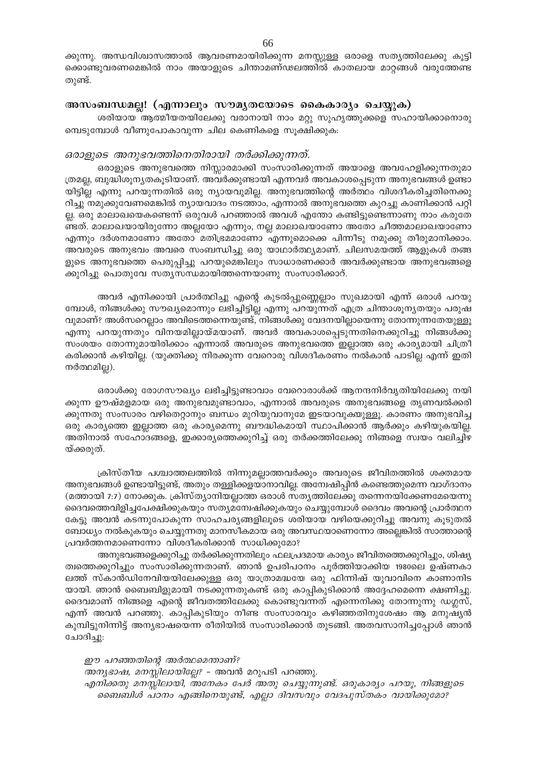ക്കുന്നു. അന്ധവിശ്വാസത്താൽ ആവരണമായിരിക്കുന്ന മനസ്സുള്ള ഒരാളെ സതൃത്തിലേക്കു കൂട്ടി ക്കൊണ്ടുവരണമെങ്കിൽ നാം അയാളുടെ ചിന്താമണ്ഢലത്തിൽ കാതലായ മാറ്റങ്ങൾ വരുത്തേണ്ട തുണ്ട്.

# അസംബന്ധമല്ല! (എന്നാലും സൗമൃതയോടെ കൈകാര്യം ചെയ്യുക)

ശരിയായ ആത്മീയതയിലേക്കു വരാനായി നാം മറ്റു സുഹൃത്തുക്കളെ സഹായിക്കാനൊരു മ്പെടുമ്പോൾ വീണുപോകാവുന്ന ചില കെണികളെ സൂക്ഷിക്കുക:

# ഒരാളുടെ അനുഭവത്തിനെതിരായി തർക്കിക്കുന്നത്.

ഒരാളുടെ അനുഭവത്തെ നിസ്സാരമാക്കി സംസാരിക്കുന്നത് അയാളെ അവഹേളിക്കുന്നതുമാ ത്രമല്ല, ബുദ്ധിശൂന്യതകൂടിയാണ്. അവർക്കുണ്ടായി എന്നവർ അവകാശപ്പെടുന്ന അനുഭവങ്ങൾ ഉണ്ടാ യിട്ടില്ല എന്നു പറയുന്നതിൽ ഒരു ന്യായവുമില്ല. അനുഭവത്തിന്റെ അർത്ഥം വിശദീകരിച്ചതിനെക്കു റിച്ചു നമുക്കുവേണമെങ്കിൽ ന്യായവാദം നടത്താം, എന്നാൽ അനുഭവത്തെ കുറച്ചു കാണിക്കാൻ പറ്റി ല്ല. ഒരു മാലാഖയെകണ്ടെന്ന് ഒരുവൾ പറഞ്ഞാൽ അവൾ എന്തോ കണ്ടിട്ടുണ്ടെന്നാണു നാം കരുതേ ണ്ടത്. മാലാഖയായിരുന്നോ അല്ലയോ എന്നും, നല്ല മാലാഖയാണോ അതോ ചീത്തമാലാഖയാണോ എന്നും ദർശനമാണോ അതോ മതിഭ്രമമാണോ എന്നുമൊക്കെ പിന്നീടു നമുക്കു തീരുമാനിക്കാം. അവരുടെ അനുഭവം അവരെ സംബന്ധിച്ചു ഒരു യാഥാർത്ഥ്യമാണ്. ചിലസമയത്ത് ആളുകൾ തങ്ങ ളുടെ അനുഭവത്തെ പെരുപ്പിച്ചു പറയുമെങ്കിലും സാധാരണക്കാർ അവർക്കുണ്ടായ അനുഭവങ്ങളെ ക്കുറിച്ചു പൊതുവേ സതൃസന്ധമായിത്തന്നെയാണു സംസാരിക്കാറ്.

അവർ എനിക്കായി പ്രാർത്ഥിച്ചു എന്റെ കുടൽപ്പുണ്ണെല്ലാം സുഖമായി എന്ന് ഒരാൾ പറയു മ്പോൾ, നിങ്ങൾക്കു സൗഖ്യമൊന്നും ലഭിച്ചിട്ടില്ല എന്നു പറയുന്നത് എത്ര ചിന്താശൂന്യതയും പരുഷ വുമാണ്? അൾസറെല്ലാം അവിടെത്തന്നെയുണ്ട്, നിങ്ങൾക്കു വേദനയില്ലായെന്നു തോന്നുന്നതേയുള്ളൂ എന്നു പറയുന്നതും വിനയമില്ലായ്മയാണ്. അവർ അവകാശപ്പെടുന്നതിനെക്കുറിച്ചു നിങ്ങൾക്കു സംശയം തോന്നുമായിരിക്കാം എന്നാൽ അവരുടെ അനുഭവത്തെ ഇല്ലാത്ത ഒരു കാര്യമായി ചിത്രീ കരിക്കാൻ കഴിയില്ല. (യുക്തിക്കു നിരക്കുന്ന വേറൊരു വിശദീകരണം നൽകാൻ പാടില്ല എന്ന് ഇതി നർത്ഥമില്ല).

ഒരാൾക്കു രോഗസൗഖ്യം ലഭിച്ചിട്ടുണ്ടാവാം വേറൊരാൾക്ക് ആനന്ദനിർവൃതിയിലേക്കു നയി ക്കുന്ന ഊഷ്മളമായ ഒരു അനുഭവമുണ്ടാവാം, എന്നാൽ അവരുടെ അനുഭവങ്ങളെ തൃണവൽക്കരി ക്കുന്നതു സംസാരം വഴിതെറ്റാനും ബന്ധം മുറിയുവാനുമേ ഇടയാവുക്യുള്ളൂ. കാരണം അനുഭവിച്ച ഒരു കാര്യത്തെ ഇല്ലാത്ത ഒരു കാര്യമെന്നു ബൗദ്ധികമായി സ്ഥാപിക്കാൻ ആർക്കും കഴിയുകയില്ല. അതിനാൽ സഹോദങ്ങളെ, ഇക്കാര്യത്തെക്കുറിച്ച് ഒരു തർക്കത്തിലേക്കു നിങ്ങളെ സ്വയം വലിച്ചിഴ യ്ക്കരുത്.

ക്രിസ്തീയ പശ്ചാത്തലത്തിൽ നിന്നുമല്ലാത്തവർക്കും അവരുടെ ജീവിതത്തിൽ ശക്തമായ അനുഭവങ്ങൾ ഉണ്ടായിട്ടുണ്ട്, അതും തള്ളിക്കളയാനാവില്ല. അന്വേഷിപ്പിൻ കണ്ടെത്തുമെന്ന വാഗ്ദാനം (മത്തായി 7:7) നോക്കുക. ക്രിസ്ത്യാനിയല്ലാത്ത ഒരാൾ സത്യത്തിലേക്കു തന്നെനയിക്കേണമേയെന്നു ദൈവത്തെവിളിച്ചപേക്ഷിക്കുകയും സത്യമന്വേഷിക്കുകയും ചെയ്യുമ്പോൾ ദൈവം അവന്റെ പ്രാർത്ഥന കേട്ടു അവൻ കടന്നുപോകുന്ന സാഹചര്യങ്ങളിലൂടെ ശരിയായ വഴിയെക്കുറിച്ചു അവനു കൂടുതൽ ബോധ്യം നൽകുകയും ചെയ്യുന്നതു മാനസീകമായ ഒരു അവസ്ഥയാണെന്നോ അല്ലെങ്കിൽ സാത്താന്റെ പ്രവർത്തനമാണെന്നോ വിശദീകരിക്കാൻ സാധിക്കുമോ?

അനുഭവങ്ങളെക്കുറിച്ചു തർക്കിക്കുന്നതിലും ഫലപ്രദമായ കാര്യം ജീവിതത്തെക്കുറിച്ചും, ശിഷ്യ ത്വത്തെക്കുറിച്ചും സംസാരിക്കുന്നതാണ്. ഞാൻ ഉപരിപഠനം പൂർത്തിയാക്കിയ 1980ലെ ഉഷ്ണകാ ലത്ത് സ്കാൻഡിനേവിയയിലേക്കുള്ള ഒരു യാത്രാമദ്ധയേ ഒരു ഫിന്നിഷ് യുവാവിനെ കാണാനിട യായി. ഞാൻ ബൈബിളുമായി നടക്കുന്നതുകണ്ട് ഒരു കാപ്പികുടിക്കാൻ അദ്ദേഹമെന്നെ ക്ഷണിച്ചു. ദൈവമാണ് നിങ്ങളെ എന്റെ ജീവതത്തിലേക്കു കൊണ്ടുവന്നത് എന്നെനിക്കു തോന്നുന്നു ഡഗ്ലസ്, എന്ന് അവൻ പറഞ്ഞു. കാപ്പികുടിയും നീണ്ട സംസാരവും കഴിഞ്ഞതിനുശേഷം ആ മനുഷ്യൻ കുമ്പിട്ടുനിന്നിട്ട് അന്യഭാഷയെന്ന രീതിയിൽ സംസാരിക്കാൻ തുടങ്ങി. അതവസാനിച്ചപ്പോൾ ഞാൻ ചോദിച്ചു:

ഈ പറഞ്ഞതിന്റെ അർത്ഥമെന്താണ്? *അന്യഭാഷ, മനസ്സിലായില്ലേ*? - അവൻ മറുപടി പറഞ്ഞു. എനിക്കതു മനസ്സിലായി, അനേകം പേർ അതു ചെയ്യുന്നുണ്ട്. ഒരുകാര്യം പറയൂ, നിങ്ങളുടെ ബൈബിൾ പഠനം എങ്ങിനെയുണ്ട്, എല്ലാ ദിവസവും വേദപുസ്തകം വായിക്കുമോ?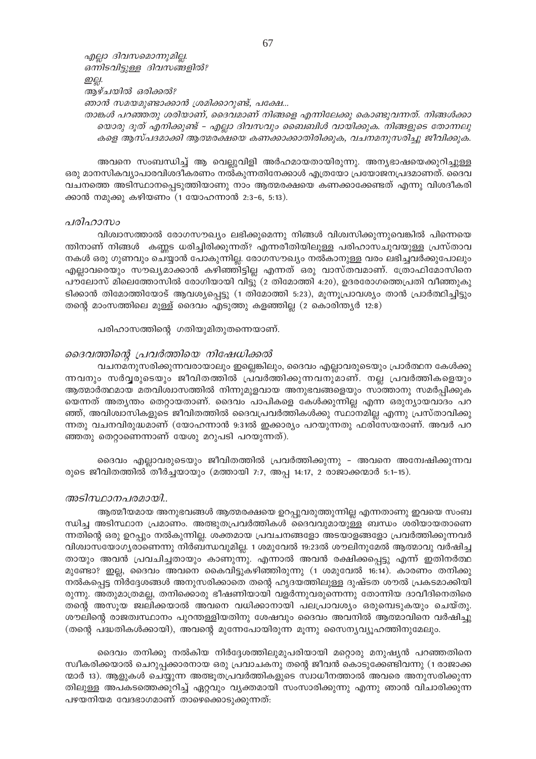എല്ലാ ദിവസമൊന്നുമില്ല. ഒന്നിടവിട്ടുള്ള ദിവസങ്ങളിൽ? ഇല്ല. ആഴ്ചയിൽ ഒരിക്കൽ? ഞാൻ സമയമുണ്ടാക്കാൻ ശ്രമിക്കാറുണ്ട്, പക്ഷേ... താങ്കൾ പറഞ്ഞതു ശരിയാണ്, ദൈവമാണ് നിങ്ങളെ എന്നിലേക്കു കൊണ്ടുവന്നത്. നിങ്ങൾക്കാ

യൊരു ദൂത് എനിക്കുണ്ട് – എല്ലാ ദിവസവും ബൈബിൾ വായിക്കുക. നിങ്ങളുടെ തോന്നലു കളെ ആസ്പദമാക്കി ആത്മരക്ഷയെ കണക്കാക്കാതിരിക്കുക, വചനമനുസരിച്ചു ജീവിക്കുക.

അവനെ സംബന്ധിച്ച് ആ വെല്ലുവിളി അർഹമായതായിരുന്നു. അന്യഭാഷയെക്കുറിച്ചുള്ള ഒരു മാനസികവ്യാപാരവിശദീകരണം നൽകുന്നതിനേക്കാൾ എത്രയോ പ്രയോജനപ്രദമാണത്. ദൈവ വചനത്തെ അടിസ്ഥാനപ്പെടുത്തിയാണു നാം ആത്മരക്ഷയെ കണക്കാക്കേണ്ടത് എന്നു വിശദീകരി ക്കാൻ നമുക്കു കഴിയണം (1 യോഹന്നാൻ 2:3-6, 5:13).

### പരിഹാസം

വിശ്വാസത്താൽ രോഗസൗഖ്യം ലഭിക്കുമെന്നു നിങ്ങൾ വിശ്വസിക്കുന്നുവെങ്കിൽ പിന്നെയെ ന്തിനാണ് നിങ്ങൾ കണ്ണട ധരിച്ചിരിക്കുന്നത്? എന്നരീതിയിലുള്ള പരിഹാസചുവയുള്ള പ്രസ്താവ നകൾ ഒരു ഗുണവും ചെയ്യാൻ പോകുന്നില്ല. രോഗസൗഖ്യം നൽകാനുള്ള വരം ലഭിച്ചവർക്കുപോലും എല്ലാവരെയും സൗഖ്യമാക്കാൻ കഴിഞ്ഞിട്ടില്ല എന്നത് ഒരു വാസ്തവമാണ്. ത്രോഫിമോസിനെ പൗലോസ് മിലെത്തോസിൽ രോഗിയായി വിട്ടു (2 തിമോത്തി 4:20), ഉദരരോഗത്തെപ്രതി വീഞ്ഞുകു ടിക്കാൻ തിമോത്തിയോട് ആവശ്യപ്പെട്ടു (1 തിമോത്തി 5:23), മൂന്നൂപ്രാവശ്യം താൻ പ്രാർത്ഥിച്ചിട്ടും തന്റെ മാംസത്തിലെ മുള്ള് ദൈവം എടുത്തു കളഞ്ഞില്ല (2 കൊരിന്ത്യർ 12:8)

പരിഹാസത്തിന്റെ ഗതിയുമിതുതന്നെയാണ്.

# ദൈവത്തിന്റെ പ്രവർത്തിയെ നിഷേധിക്കൽ

വചനമനുസരിക്കുന്നവരായാലും ഇല്ലെങ്കിലും, ദൈവം എല്ലാവരുടെയും പ്രാർത്ഥന കേൾക്കു ന്നവനും സർവ്വരുടെയും ജീവിതത്തിൽ പ്രവർത്തിക്കുന്നവനുമാണ്. നല്ല പ്രവർത്തികളെയും ആത്മാർത്ഥമായ മതവിശ്വാസത്തിൽ നിന്നുമുളവായ അനുഭവങ്ങളെയും സാത്താനു സമർപ്പിക്കുക യെന്നത് അതൃന്തം തെറ്റായതാണ്. ദൈവം പാപികളെ കേൾക്കുന്നില്ല എന്ന ഒരുന്യായവാദം പറ ഞ്ഞ്, അവിശ്വാസികളുടെ ജീവിതത്തിൽ ദൈവപ്രവർത്തികൾക്കു സ്ഥാനമില്ല എന്നു പ്രസ്താവിക്കു ന്നതു വചനവിരുദ്ധമാണ് (യോഹന്നാൻ 9:31ൽ ഇക്കാര്യം പറയുന്നതു ഫരിസേയരാണ്. അവർ പറ ഞ്ഞതു തെറ്റാണെന്നാണ് യേശു മറുപടി പറയുന്നത്).

ദൈവം എല്ലാവരുടെയും ജീവിതത്തിൽ പ്രവർത്തിക്കുന്നു - അവനെ അമ്പേഷിക്കുന്നവ രുടെ ജീവിതത്തിൽ തീർച്ചയായും (മത്തായി 7:7, അപ്പ 14:17, 2 രാജാക്കന്മാർ 5:1-15).

#### അടിസ്ഥാനപരമായി..

ആത്മീയമായ അനുഭവങ്ങൾ ആത്മരക്ഷയെ ഉറപ്പുവരുത്തുന്നില്ല എന്നതാണു ഇവയെ സംബ ന്ധിച്ച അടിസ്ഥാന പ്രമാണം. അത്ഭുതപ്രവർത്തികൾ ദൈവവുമായുള്ള ബന്ധം ശരിയായതാണെ ന്നതിന്റെ ഒരു ഉറപ്പും നൽകുന്നില്ല. ശക്തമായ പ്രവചനങ്ങളോ അടയാളങ്ങളോ പ്രവർത്തിക്കുന്നവർ വിശ്വാസയോഗ്യരാണെന്നു നിർബന്ധവുമില്ല. 1 ശമുവേൽ 19:23ൽ ശൗലിനുമേൽ ആത്മാവു വർഷിച്ച തായും അവൻ പ്രവചിച്ചതായും കാണുന്നു. എന്നാൽ അവൻ രക്ഷിക്കപ്പെട്ടു എന്ന് ഇതിനർത്ഥ മുണ്ടോ? ഇല്ല, ദൈവം അവനെ കൈവിട്ടുകഴിഞ്ഞിരുന്നു (1 ശമുവേൽ 16:14). കാരണം തനിക്കു നൽകപ്പെട്ട നിർദ്ദേശങ്ങൾ അനുസരിക്കാതെ തന്റെ ഹൃദയത്തിലുള്ള ദുഷ്ടത ശൗൽ പ്രകടമാക്കിയി രുന്നു. അതുമാത്രമല്ല, തനിക്കൊരു ഭീഷണിയായി വളർന്നുവരുന്നെന്നു തോന്നിയ ദാവീദിനെതിരെ തന്റെ അസൂയ ജ്വലിക്കയാൽ അവനെ വധിക്കാനായി പലപ്രാവശ്യം ഒരുമ്പെടുകയും ചെയ്തു. ശൗലിന്റെ രാജത്വസ്ഥാനം പുറന്തള്ളിയതിനു ശേഷവും ദൈവം അവനിൽ ആത്മാവിനെ വർഷിച്ചു (തന്റെ പദ്ധതികൾക്കായി), അവന്റെ മുന്നേപോയിരുന്ന മൂന്നു സൈന്യവ്യൂഹത്തിനുമേലും.

ദൈവം തനിക്കു നൽകിയ നിർദ്ദേശത്തിലുമുപരിയായി മറ്റൊരു മനുഷ്യൻ പറഞ്ഞതിനെ സ്ഥീകരിക്കയാൽ ചെറുപ്പക്കാരനായ ഒരു പ്രവാചകനു തന്റെ ജീവൻ കൊടുക്കേണ്ടിവന്നു (1 രാജാക്ക ന്മാർ 13). ആളുകൾ ചെയ്യുന്ന അത്ഭൂതപ്രവർത്തികളുടെ സ്വാധീനത്താൽ അവരെ അനുസരിക്കുന്ന തിലുള്ള അപകടത്തെക്കുറിച്ച് ഏറ്റവും വ്യക്തമായി സംസാരിക്കുന്നു എന്നു ഞാൻ വിചാരിക്കുന്ന പഴയനിയമ വേദഭാഗമാണ് താഴെക്കൊടുക്കുന്നത്: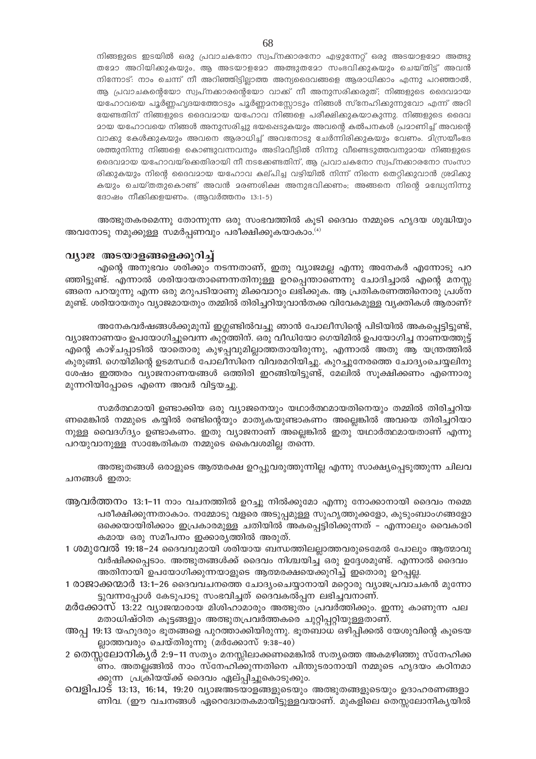നിങ്ങളുടെ ഇടയിൽ ഒരു പ്രവാചകനോ സ്വപ്നക്കാരനോ എഴുന്നേറ്റ് ഒരു അടയാളമോ അത്ഭു തമോ അറിയിക്കുകയും, ആ അടയാളമോ അത്ഭുതമോ സംഭവിക്കുകയും ചെയ്തിട്ട് അവൻ നിന്നോട്: നാം ചെന്ന് നീ അറിഞ്ഞിട്ടില്ലാത്ത അന്യദൈവങ്ങളെ ആരാധിക്കാം എന്നു പറഞ്ഞാൽ, ആ പ്രവാചകന്റെയോ സ്വപ്നക്കാരന്റെയോ വാക്ക് നീ അനുസരിക്കരുത്; നിങ്ങളുടെ ദൈവമായ യഹോവയെ പൂർണ്ണഹൃദയത്തോടും പൂർണ്ണമനസ്സോടും നിങ്ങൾ സ്നേഹിക്കുന്നുവോ എന്ന് അറി യേണ്ടതിന് നിങ്ങളുടെ ദൈവമായ യഹോവ നിങ്ങളെ പരീക്ഷിക്കുകയാകുന്നു. നിങ്ങളുടെ ദൈവ മായ യഹോവയെ നിങ്ങൾ അനുസരിച്ചു ഭയപ്പെടുകയും അവന്റെ കൽപനകൾ പ്രമാണിച്ച് അവന്റെ വാക്കു കേൾക്കുകയും അവനെ ആരാധിച്ച് അവനോടു ചേർന്നിരിക്കുകയും വേണം. മിസ്രയീംദേ ശത്തുനിന്നു നിങ്ങളെ കൊണ്ടുവന്നവനും അടിമവീട്ടിൽ നിന്നു വീണ്ടെടുത്തവനുമായ നിങ്ങളുടെ ദൈവമായ യഹോവയ്ക്കെതിരായി നീ നടക്കേണ്ടതിന്, ആ പ്രവാചകനോ സ്വപ്നക്കാരനോ സംസാ രിക്കുകയും നിന്റെ ദൈവമായ യഹോവ കല്പിച്ച വഴിയിൽ നിന്ന് നിന്നെ തെറ്റിക്കുവാൻ ശ്രമിക്കു കയും ചെയ്തതുകൊണ്ട് അവൻ മരണശിക്ഷ അനുഭവിക്കണം; അങ്ങനെ നിന്റെ മദ്ധ്യേനിന്നു ദോഷം നീക്കിക്കളയണം. (ആവർത്തനം 13:1-5)

അത്ഭുതകരമെന്നു തോന്നുന്ന ഒരു സംഭവത്തിൽ കൂടി ദൈവം നമ്മുടെ ഹൃദയ ശുദ്ധിയും അവനോടു നമുക്കുള്ള സമർപ്പണവും പരീക്ഷിക്കുകയാകാം. $^{(4)}$ 

#### വ്യാജ അടയാളങ്ങളെക്കുറിച്ച്

എന്റെ അനുഭവം ശരിക്കും നടന്നതാണ്, ഇതു വ്യാജമല്ല എന്നു അനേകർ എന്നോടു പറ ഞ്ഞിട്ടുണ്ട്. എന്നാൽ ശരിയായതാണെന്നതിനുള്ള ഉറപ്പെന്താണെന്നു ചോദിച്ചാൽ എന്റെ മനസ്സ ങ്ങനെ പറയുന്നു എന്ന ഒരു മറുപടിയാണു മിക്കവാറും ലഭിക്കുക. ആ പ്രതികരണത്തിനൊരു പ്രശ്ന മുണ്ട്. ശരിയായതും വ്യാജമായതും തമ്മിൽ തിരിച്ചറിയുവാൻതക്ക വിവേകമുള്ള വ്യക്തികൾ ആരാണ്?

അനേകവർഷങ്ങൾക്കുമുമ്പ് ഇഗ്ലണ്ടിൽവച്ചു ഞാൻ പോലീസിന്റെ പിടിയിൽ അകപ്പെട്ടിട്ടുണ്ട്, വ്യാജനാണയം ഉപയോഗിച്ചുവെന്ന കുറ്റത്തിന്. ഒരു വീഡിയോ ഗെയിമിൽ ഉപയോഗിച്ച നാണയത്തുട്ട് എന്റെ കാഴ്ചപ്പാടിൽ യാതൊരു കുഴപ്പവുമില്ലാത്തതായിരുന്നു, എന്നാൽ അതു ആ യന്ത്രത്തിൽ കുരുങ്ങി. ഗെയിമിന്റെ ഉടമസ്ഥർ പോലീസിനെ വിവരമറിയിച്ചു. കുറച്ചുനേരത്തെ ചോദ്യംചെയ്യലിനു ശേഷം ഇത്തരം വ്യാജനാണയങ്ങൾ ഒത്തിരി ഇറങ്ങിയിട്ടുണ്ട്, മേലിൽ സൂക്ഷിക്കണം എന്നൊരു മുന്നറിയിപ്പോടെ എന്നെ അവർ വിട്ടയച്ചു.

സമർത്ഥമായി ഉണ്ടാക്കിയ ഒരു വ്യാജനെയും യഥാർത്ഥമായതിനെയും തമ്മിൽ തിരിച്ചറിയ ണമെങ്കിൽ നമ്മുടെ കയ്യിൽ രണ്ടിന്റെയും മാതൃകയുണ്ടാകണം അല്ലെങ്കിൽ അവയെ തിരിച്ചറിയാ നുള്ള വൈദഗ്ദ്യം ഉണ്ടാകണം. ഇതു വ്യാജനാണ് അല്ലെങ്കിൽ ഇതു യഥാർത്ഥമായതാണ് എന്നു പറയുവാനുള്ള സാങ്കേതികത നമ്മുടെ കൈവശമില്ല തന്നെ.

അത്ഭുതങ്ങൾ ഒരാളുടെ ആത്മരക്ഷ ഉറപ്പുവരുത്തുന്നില്ല എന്നു സാക്ഷ്യപ്പെടുത്തുന്ന ചിലവ ചനങ്ങൾ ഇതാ:

- ആവർത്തനം 13:1–11 നാം വചനത്തിൽ ഉറച്ചു നിൽക്കുമോ എന്നു നോക്കാനായി ദൈവം നമ്മെ പരീക്ഷിക്കുന്നതാകാം. നമ്മോടു വളരെ അടുപ്പമുള്ള സുഹൃത്തുക്കളോ, കുടുംബാംഗങ്ങളോ ഒക്കെയായിരിക്കാം ഇപ്രകാരമുള്ള ചതിയിൽ അകപ്പെട്ടിരിക്കുന്നത് – എന്നാലും വൈകാരി കമായ ഒരു സമീപനം ഇക്കാര്യത്തിൽ അരുത്.
- 1 ശമുവേൽ 19:18–24 ദൈവവുമായി ശരിയായ ബന്ധത്തിലല്ലാത്തവരുടെമേൽ പോലും ആത്മാവു വർഷിക്കപ്പെടാം. അത്ഭുതങ്ങൾക്ക് ദൈവം നിശ്ചയിച്ച ഒരു ഉദ്ദേശമുണ്ട്. എന്നാൽ ദൈവം അതിനായി ഉപയോഗിക്കുന്നയാളുടെ ആത്മരക്ഷയെക്കുറിച്ച് ഇതൊരു ഉറപ്പല്ല.
- 1 രാജാക്കന്മാർ 13:1–26 ദൈവവചനത്തെ ചോദ്യംചെയ്യാനായി മറ്റൊരു വ്യാജപ്രവാചകൻ മുന്നോ ട്ടുവന്നപ്പോൾ കേടുപാടു സംഭവിച്ചത് ദൈവകൽപ്പന ലഭിച്ചവനാണ്.
- മർക്കോസ് 13:22 വ്യാജന്മാരായ മിശിഹാമാരും അത്ഭുതം പ്രവർത്തിക്കും. ഇന്നു കാണുന്ന പല മതാധിഷ്ഠിത കൂട്ടങ്ങളും അത്ഭുതപ്രവർത്തകരെ ചുറ്റിപ്പറ്റിയുള്ളതാണ്.
- അപ്പ 19:13 യഹൂദരും ഭൂതങ്ങളെ പുറത്താക്കിയിരുന്നു. ഭൂതബാധ ഒഴിപ്പിക്കൽ യേശുവിന്റെ കൂടെയ ല്ലാത്തവരും ചെയ്തിരുന്നു (മർക്കോസ് 9:38–40)
- 2 തെസ്സലോനികൃർ 2:9–11 സത്യം മനസ്സിലാക്കണമെങ്കിൽ സത്യത്തെ അകമഴിഞ്ഞു സ്നേഹിക്ക ണം. അതല്ലങ്ങിൽ നാം സ്നേഹിക്കുന്നതിനെ പിന്തുടരാനായി നമ്മുടെ ഹൃദയം കഠിനമാ ക്കുന്ന പ്രക്രിയയ്ക്ക് ദൈവം ഏല്പ്പിച്ചുകൊടുക്കും.
- വെളിപാട് 13:13, 16:14, 19:20 വ്യാജഅടയാളങ്ങളുടെയും അത്ഭുതങ്ങളുടെയും ഉദാഹരണങ്ങളാ ണിവ. (ഈ വചനങ്ങൾ ഏറെദ്വോതകമായിട്ടുള്ളവയാണ്. മുകളിലെ തെസ്സലോനികൃയിൽ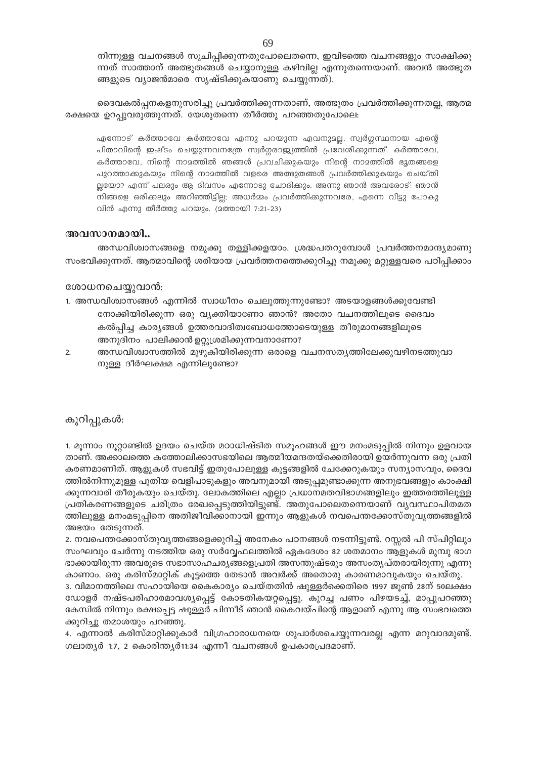നിന്നുള്ള വചനങ്ങൾ സൂചിപ്പിക്കുന്നതുപോലെതന്നെ, ഇവിടത്തെ വചനങ്ങളും സാക്ഷിക്കു ന്നത് സാത്താന് അത്ഭുതങ്ങൾ ചെയ്യാനുള്ള കഴിവില്ല എന്നുതന്നെയാണ്. അവൻ അത്ഭുത ങ്ങളുടെ വ്യാജൻമാരെ സൃഷ്ടിക്കുകയാണു ചെയ്യുന്നത്).

ദൈവകൽപ്പനകളനുസരിച്ചു പ്രവർത്തിക്കുന്നതാണ്, അത്ഭുതം പ്രവർത്തിക്കുന്നതല്ല, ആത്മ രക്ഷയെ ഉറപ്പുവരുത്തുന്നത്. യേശുതന്നെ തീർത്തു പറഞ്ഞതുപോലെ:

എന്നോട് കർത്താവേ കർത്താവേ എന്നു പറയുന്ന ഏവനുമല്ല, സ്വർഗ്ഗസ്ഥനായ എന്റെ പിതാവിന്റെ ഇഷ്ടം ചെയ്യുന്നവനത്രേ സ്വർഗ്ഗരാജ്യത്തിൽ പ്രവേശിക്കുന്നത്. കർത്താവേ, കർത്താവേ, നിന്റെ നാമത്തിൽ ഞങ്ങൾ പ്രവചിക്കുകയും നിന്റെ നാമത്തിൽ ഭൂതങ്ങളെ പുറത്താക്കുകയും നിന്റെ നാമത്തിൽ വളരെ അത്ഭുതങ്ങൾ പ്രവർത്തിക്കുകയും ചെയ്തി ല്ലയോ? എന്ന് പലരും ആ ദിവസം എന്നോടു ചോദിക്കും. അന്നു ഞാൻ അവരോട്: ഞാൻ നിങ്ങളെ ഒരിക്കലും അറിഞ്ഞിട്ടില്ല; അധർമ്മം പ്രവർത്തിക്കുന്നവരേ, എന്നെ വിട്ടു പോകു വിൻ എന്നു തീർത്തു പറയും. (മത്തായി 7:21-23)

# അവസാനമായി..

അന്ധവിശ്വാസങ്ങളെ നമുക്കു തള്ളിക്കളയാം. ശ്രദ്ധപതറുമ്പോൾ പ്രവർത്തനമാന്ദ്യമാണു സംഭവിക്കുന്നത്. ആത്മാവിന്റെ ശരിയായ പ്രവർത്തനത്തെക്കുറിച്ചു നമുക്കു മറ്റുള്ളവരെ പഠിപ്പിക്കാം

# ശോധനചെയ്യുവാൻ:

- 1. അന്ധവിശ്വാസങ്ങൾ എന്നിൽ സ്വാധീനം ചെലുത്തുന്നുണ്ടോ? അടയാളങ്ങൾക്കുവേണ്ടി നോക്കിയിരിക്കുന്ന ഒരു വ്യക്തിയാണോ ഞാൻ? അതോ വചനത്തിലൂടെ ദൈവം കൽപ്പിച്ച കാര്യങ്ങൾ ഉത്തരവാദിത്വബോധത്തോടെയുള്ള തീരുമാനങ്ങളിലൂടെ അനുദിനം പാലിക്കാൻ ഉറ്റുശ്രമിക്കുന്നവനാണോ?
- $\overline{2}$ അന്ധവിശ്വാസത്തിൽ മുഴുകിയിരിക്കുന്ന ഒരാളെ വചനസത്യത്തിലേക്കുവഴിനടത്തുവാ നുള്ള ദീർഘക്ഷമ എന്നിലുണ്ടോ?

# കുറിപ്പുകൾ:

1. മൂന്നാം നൂറ്റാണ്ടിൽ ഉദയം ചെയ്ത മഠാധിഷ്ടിത സമൂഹങ്ങൾ ഈ മനംമടുപ്പിൽ നിന്നും ഉളവായ താണ്. അക്കാലത്തെ കത്തോലിക്കാസഭയിലെ ആത്മീയമന്ദതയ്ക്കെതിരായി ഉയർന്നുവന്ന ഒരു പ്രതി കരണമാണിത്. ആളുകൾ സഭവിട്ട് ഇതുപോലുള്ള കൂട്ടങ്ങളിൽ ചേക്കേറുകയും സന്യാസവും, ദൈവ ത്തിൽനിന്നുമുള്ള പുതിയ വെളിപാടുകളും അവനുമായി അടുപ്പമുണ്ടാക്കുന്ന അനുഭവങ്ങളും കാംക്ഷി ക്കുന്നവാരി തീരുകയും ചെയ്തു. ലോകത്തിലെ എല്ലാ പ്രധാനമതവിഭാഗങ്ങളിലും ഇത്തരത്തിലുള്ള പ്രതികരണങ്ങളുടെ ചരിത്രം രേഖപ്പെടുത്തിയിട്ടുണ്ട്. അതുപോലെതന്നെയാണ് വ്യവസ്ഥാപിതമത ത്തിലുള്ള മനംമടുപ്പിനെ അതിജീവിക്കാനായി ഇന്നും ആളുകൾ നവപെന്തക്കോസ്തുവൃത്തങ്ങളിൽ അഭയം തേടുന്നത്.

2. നവപെന്തക്കോസ്തുവൃത്തങ്ങളെക്കുറിച്ച് അനേകം പഠനങ്ങൾ നടന്നിട്ടുണ്ട്. റസ്സൽ പി സ്പിറ്റിലും സംഘവും ചേർന്നു നടത്തിയ ഒരു സർവ്വേഫലത്തിൽ ഏകദേശം 82 ശതമാനം ആളുകൾ മുമ്പു ഭാഗ ഭാക്കായിരുന്ന അവരുടെ സഭാസാഹചര്യങ്ങളെപ്രതി അസന്തുഷ്ടരും അസംതൃപ്തരായിരുന്നു എന്നു കാണാം. ഒരു കരിസ്മാറ്റിക് കൂട്ടത്തെ തേടാൻ അവർക്ക് അതൊരു കാരണമാവുകയും ചെയ്തു.

3. വിമാനത്തിലെ സഹായിയെ കൈകാര്യം ചെയ്തതിൻ ഷുള്ളർക്കെതിരെ 1997 ജൂൺ 28ന് 50ലക്ഷം ഡോളർ നഷ്ടപരിഹാരമാവശ്യപ്പെട്ട് കോടതികയറ്റപ്പെട്ടു. കുറച്ച പണം പിഴയടച്ച്, മാപ്പുപറഞ്ഞു കേസിൽ നിന്നും രക്ഷപ്പെട്ട ഷുള്ളർ പിന്നീട് ഞാൻ കൈവയ്പിന്റെ ആളാണ് എന്നു ആ സംഭവത്തെ ക്കുറിച്ചു തമാശയും പറഞ്ഞു.

4. എന്നാൽ കരിസ്മാറ്റിക്കുകാർ വിഗ്രഹാരാധനയെ ശുപാർശചെയ്യുന്നവരല്ല എന്ന മറുവാദമുണ്ട്. ഗലാതൃർ 1:7, 2 കൊരിന്തൃർ11:34 എന്നീ വചനങ്ങൾ ഉപകാരപ്രദമാണ്.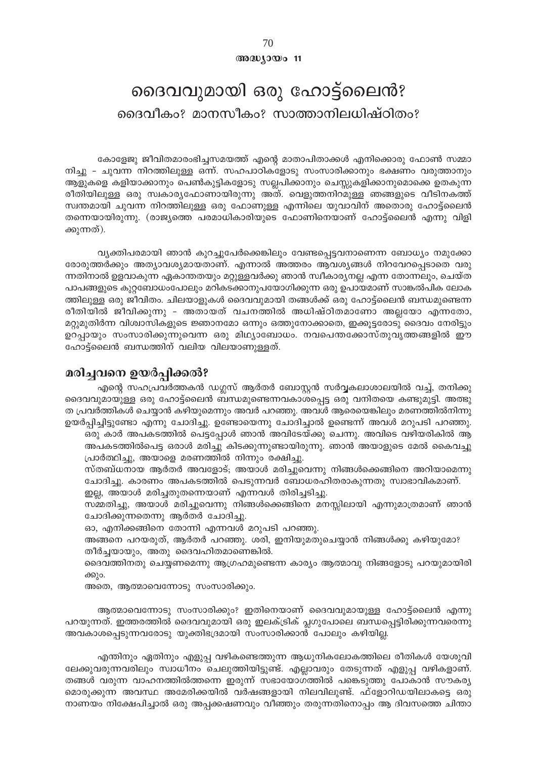# അദ്ധ്യായം 11

# ദൈവവുമായി ഒരു ഹോട്ട്ലൈൻ? ദൈവീകം? മാനസീകം? സാത്താനിലധിഷ്ഠിതം?

കോളേജു ജീവിതമാരംഭിച്ചസമയത്ത് എന്റെ മാതാപിതാക്കൾ എനിക്കൊരു ഫോൺ സമ്മാ നിച്ചു – ചുവന്ന നിറത്തിലുള്ള ഒന്ന്. സഹപാഠികളോടു സംസാരിക്കാനും ഭക്ഷണം വരുത്താനും ആളുകളെ കളിയാക്കാനും പെൺകുട്ടികളോടു സല്ലപിക്കാനും ചെസ്സുകളിക്കാനുമൊക്കെ ഉതകുന്ന രീതിയിലുള്ള ഒരു സ്വകാര്യഫോണായിരുന്നു അത്. വെളുത്തനിറമുള്ള ഞങ്ങളുടെ വീടിനകത്ത് സ്വന്തമായി ചുവന്ന നിറത്തിലുള്ള ഒരു ഫോണുള്ള എന്നിലെ യുവാവിന് അതൊരു ഹോട്ട്ലൈൻ തന്നെയായിരുന്നു. (രാജ്യത്തെ പരമാധികാരിയുടെ ഫോണിനെയാണ് ഹോട്ട്ലൈൻ എന്നു വിളി ക്കുന്നത്).

വ്യക്തിപരമായി ഞാൻ കുറച്ചുപേർക്കെങ്കിലും വേണ്ടപ്പെട്ടവനാണെന്ന ബോധ്യം നമുക്കോ രോരുത്തർക്കും അത്യാവശ്യമായതാണ്. എന്നാൽ അത്തരം ആവശ്യങ്ങൾ നിറവേറപ്പെടാതെ വരു ന്നതിനാൽ ഉളവാകുന്ന ഏകാന്തതയും മറ്റുള്ളവർക്കു ഞാൻ സ്ഥീകാര്യനല്ല എന്ന തോന്നലും, ചെയ്ത പാപങ്ങളുടെ കുറ്റബോധംപോലും മറികടക്കാനുപയോഗിക്കുന്ന ഒരു ഉപായമാണ് സാങ്കൽപിക ലോക ത്തിലുള്ള ഒരു ജീവിതം. ചിലയാളുകൾ ദൈവവുമായി തങ്ങൾക്ക് ഒരു ഹോട്ട്ലൈൻ ബന്ധമുണ്ടെന്ന രീതിയിൽ ജീവിക്കുന്നു - അതായത് വചനത്തിൽ അധിഷ്ഠിതമാണോ അല്ലയോ എന്നതോ, മറ്റുമുതിർന്ന വിശ്വാസികളുടെ ജ്ഞാനമോ ഒന്നും ഒത്തുനോക്കാതെ, ഇക്കൂട്ടരോടു ദൈവം നേരിട്ടും ഉറപ്പായും സംസാരിക്കുന്നുവെന്ന ഒരു മിഥ്യാബോധം. നവപെന്തക്കോസ്തുവൃത്തങ്ങളിൽ ഈ ഹോട്ട്ലൈൻ ബന്ധത്തിന് വലിയ വിലയാണുള്ളത്.

# മരിച്ചവനെ ഉയർപ്പിക്കൽ?

എന്റെ സഹപ്രവർത്തകൻ ഡഗ്ലസ് ആർതർ ബോസ്റ്റൻ സർവ്വകലാശാലയിൽ വച്ച്, തനിക്കു ദൈവവുമായുള്ള ഒരു ഹോട്ട്ലൈൻ ബന്ധമുണ്ടെന്നവകാശപ്പെട്ട ഒരു വനിതയെ കണ്ടുമുട്ടി. അത്ഭു ത പ്രവർത്തികൾ ചെയ്യാൻ കഴിയുമെന്നും അവർ പറഞ്ഞു. അവൾ ആരെയെങ്കിലും മരണത്തിൽനിന്നു ഉയർപ്പിച്ചിട്ടുണ്ടോ എന്നു ചോദിച്ചു. ഉണ്ടോയെന്നു ചോദിച്ചാൽ ഉണ്ടെന്ന് അവൾ മറുപടി പറഞ്ഞു.

ഒരു കാർ അപകടത്തിൽ പെട്ടപ്പോൾ ഞാൻ അവിടേയ്ക്കു ചെന്നു. അവിടെ വഴിയരികിൽ ആ അപകടത്തിൽപെട്ട ഒരാൾ മരിച്ചു കിടക്കുന്നുണ്ടായിരുന്നു. ഞാൻ അയാളുടെ മേൽ കൈവച്ചു പ്രാർത്ഥിച്ചു, അയാളെ മരണത്തിൽ നിന്നും രക്ഷിച്ചു.

സ്തബ്ധനായ ആർതർ അവളോട്; അയാൾ മരിച്ചുവെന്നു നിങ്ങൾക്കെങ്ങിനെ അറിയാമെന്നു ചോദിച്ചു. കാരണം അപകടത്തിൽ പെടുന്നവർ ബോധരഹിതരാകുന്നതു സ്വാഭാവികമാണ്.

ഇല്ല, അയാൾ മരിച്ചതുതന്നെയാണ് എന്നവൾ തിരിച്ചടിച്ചു.

സമ്മതിച്ചു, അയാൾ മരിച്ചുവെന്നു നിങ്ങൾക്കെങ്ങിനെ മനസ്സിലായി എന്നുമാത്രമാണ് ഞാൻ ചോദിക്കുന്നതെന്നു ആർതർ ചോദിച്ചു.

ഓ, എനിക്കങ്ങിനെ തോന്നി എന്നവൾ മറുപടി പറഞ്ഞു.

അങ്ങനെ പറയരുത്, ആർതർ പറഞ്ഞു. ശരി, ഇനിയുമതുചെയ്യാൻ നിങ്ങൾക്കു കഴിയുമോ? തീർച്ചയായും, അതു ദൈവഹിതമാണെങ്കിൽ.

ദൈവത്തിനതു ചെയ്യണമെന്നു ആഗ്രഹമുണ്ടെന്ന കാര്യം ആത്മാവു നിങ്ങളോടു പറയുമായിരി ക്കും.

അതെ, ആത്മാവെന്നോടു സംസാരിക്കും.

ആത്മാവെന്നോടു സംസാരിക്കും? ഇതിനെയാണ് ദൈവവുമായുള്ള ഹോട്ട്ലൈൻ എന്നു പറയുന്നത്. ഇത്തരത്തിൽ ദൈവവുമായി ഒരു ഇലക്ട്രിക് പ്ലഗുപോലെ ബന്ധപ്പെട്ടിരിക്കുന്നവരെന്നു അവകാശപ്പെടുന്നവരോടു യുക്തിഭദ്രമായി സംസാരിക്കാൻ പോലും കഴിയില്ല.

എന്തിനും ഏതിനും എളുപ്പ വഴികണ്ടെത്തുന്ന ആധുനികലോകത്തിലെ രീതികൾ യേശുവി ലേക്കുവരുന്നവരിലും സ്വാധീനം ചെലുത്തിയിട്ടുണ്ട്. എല്ലാവരും തേടുന്നത് എളുപ്പ വഴികളാണ്. തങ്ങൾ വരുന്ന വാഹനത്തിൽത്തന്നെ ഇരുന്ന് സഭായോഗത്തിൽ പങ്കെടുത്തു പോകാൻ സൗകര്യ മൊരുക്കുന്ന അവസ്ഥ അമേരിക്കയിൽ വർഷങ്ങളായി നിലവിലുണ്ട്. ഫ്ളോറിഡയിലാകട്ടെ ഒരു നാണയം നിക്ഷേപിച്ചാൽ ഒരു അപ്പക്കഷണവും വീഞ്ഞും തരുന്നതിനൊപ്പം ആ ദിവസത്തെ ചിന്താ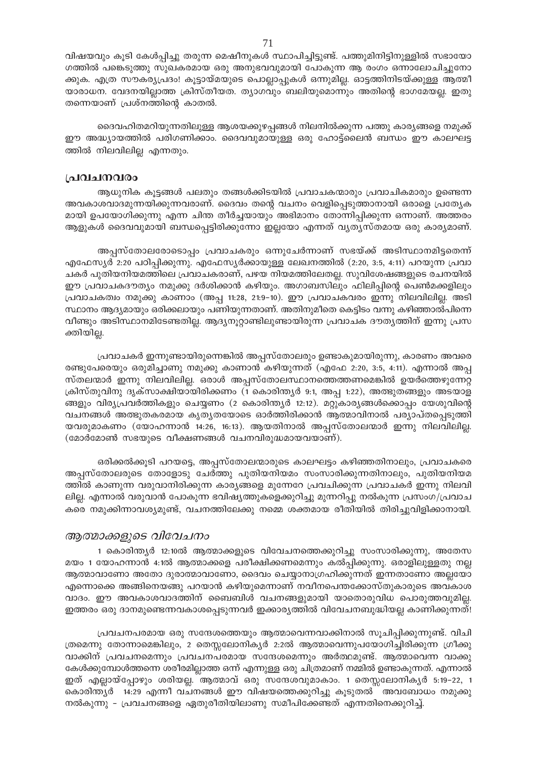വിഷയവും കൂടി കേൾപ്പിച്ചു തരുന്ന മെഷീനുകൾ സ്ഥാപിച്ചിട്ടുണ്ട്. പത്തുമിനിട്ടിനുള്ളിൽ സഭായോ ഗത്തിൽ പങ്കെടുത്തു സുഖകരമായ ഒരു അനുഭവവുമായി പോകുന്ന ആ രംഗം ഒന്നാലോചിച്ചുനോ ക്കുക. എത്ര സൗകര്യപ്രദം! കൂട്ടായ്മയുടെ പൊല്ലാപ്പുകൾ ഒന്നുമില്ല. ഓട്ടത്തിനിടയ്ക്കുള്ള ആത്മീ യാരാധന. വേദനയില്ലാത്ത ക്രിസ്തീയത. ത്യാഗവും ബലിയുമൊന്നും അതിന്റെ ഭാഗമേയല്ല. ഇതു തന്നെയാണ് പ്രശ്നത്തിന്റെ കാതൽ.

ദൈവഹിതമറിയുന്നതിലുള്ള ആശയക്കുഴപ്പങ്ങൾ നിലനിൽക്കുന്ന പത്തു കാര്യങ്ങളെ നമുക്ക് ഈ അദ്ധ്യായത്തിൽ പരിഗണിക്കാം. ദൈവവുമായുള്ള ഒരു ഹോട്ട്ലൈൻ ബന്ധം ഈ കാലഘട്ട ത്തിൽ നിലവിലില്ല എന്നതും.

# പ്രവചനവരം

ആധുനിക കൂട്ടങ്ങൾ പലതും തങ്ങൾക്കിടയിൽ പ്രവാചകന്മാരും പ്രവാചികമാരും ഉണ്ടെന്ന അവകാശവാദമുന്നയിക്കുന്നവരാണ്. ദൈവം തന്റെ വചനം വെളിപ്പെടുത്താനായി ഒരാളെ പ്രത്യേക മായി ഉപയോഗിക്കുന്നു എന്ന ചിന്ത തീർച്ചയായും അഭിമാനം തോന്നിപ്പിക്കുന്ന ഒന്നാണ്. അത്തരം ആളുകൾ ദൈവവുമായി ബന്ധപ്പെട്ടിരിക്കുന്നോ ഇല്ലയോ എന്നത് വ്യത്യസ്തമായ ഒരു കാര്യമാണ്.

അപ്പസ്തോലരോടൊപ്പം പ്രവാചകരും ഒന്നുചേർന്നാണ് സഭയ്ക്ക് അടിസ്ഥാനമിട്ടതെന്ന് എഫേസ്യർ 2:20 പഠിപ്പിക്കുന്നു. എഫേസ്യർക്കായുള്ള ലേഖനത്തിൽ (2:20, 3:5, 4:11) പറയുന്ന പ്രവാ ചകർ പുതിയനിയമത്തിലെ പ്രവാചകരാണ്, പഴയ നിയമത്തിലേതല്ല. സുവിശേഷങ്ങളുടെ രചനയിൽ ഈ പ്രവാചകദൗത്യം നമുക്കു ദർശിക്കാൻ കഴിയും. അഗാബസിലും ഫിലിപ്പിന്റെ പെൺമക്കളിലും പ്രവാചകത്വം നമുക്കു കാണാം (അപ്പ 11:28, 21:9-10). ഈ പ്രവാചകവരം ഇന്നു നിലവിലില്ല. അടി സ്ഥാനം ആദ്യമായും ഒരിക്കലായും പണിയുന്നതാണ്. അതിനുമീതെ കെട്ടിടം വന്നു കഴിഞ്ഞാൽപിന്നെ വീണ്ടും അടിസ്ഥാനമിടേണ്ടതില്ല. ആദ്യനൂറ്റാണ്ടിലുണ്ടായിരുന്ന പ്രവാചക ദൗത്യത്തിന് ഇന്നു പ്രസ ക്തിയില്ല.

പ്രവാചകർ ഇന്നുണ്ടായിരുന്നെങ്കിൽ അപ്പസ്തോലരും ഉണ്ടാകുമായിരുന്നു, കാരണം അവരെ രണ്ടുപേരെയും ഒരുമിച്ചാണു നമുക്കു കാണാൻ കഴിയുന്നത് (എഫേ 2:20, 3:5, 4:11). എന്നാൽ അപ്പ സ്തലന്മാർ ഇന്നു നിലവിലില്ല. ഒരാൾ അപ്പസ്തോലസ്ഥാനത്തെത്തണമെങ്കിൽ ഉയർത്തെഴുന്നേറ്റ ക്രിസ്തുവിനു ദൃക്സാക്ഷിയായിരിക്കണം (1 കൊരിന്ത്യർ 9:1, അപ്പ 1:22), അത്ഭുതങ്ങളും അടയാള ങ്ങളും വിര്യപ്രവർത്തികളും ചെയ്യണം (2 കൊരിന്ത്യർ 12:12). മറ്റുകാര്യങ്ങൾക്കൊപ്പം യേശുവിന്റെ വചനങ്ങൾ അത്ഭുതകരമായ കൃത്യതയോടെ ഓർത്തിരിക്കാൻ ആത്മാവിനാൽ പര്യാപ്തപ്പെടുത്തി യവരുമാകണം (യോഹന്നാൻ 14:26, 16:13). ആയതിനാൽ അപ്പസ്തോലന്മാർ ഇന്നു നിലവിലില്ല. (മോർമോൺ സഭയുടെ വീക്ഷണങ്ങൾ വചനവിരുദ്ധമായവയാണ്).

ഒരിക്കൽക്കൂടി പറയട്ടെ, അപ്പസ്തോലന്മാരുടെ കാലഘട്ടം കഴിഞ്ഞതിനാലും, പ്രവാചകരെ അപ്പസ്തോലരുടെ തോളോടു ചേർത്തു പുതിയനിയമം സംസാരിക്കുന്നതിനാലും, പുതിയനിയമ ത്തിൽ കാണുന്ന വരുവാനിരിക്കുന്ന കാര്യങ്ങളെ മുന്നേറേ പ്രവചിക്കുന്ന പ്രവാചകർ ഇന്നു നിലവി ലില്ല. എന്നാൽ വരുവാൻ പോകുന്ന ഭവിഷ്യത്തുകളെക്കുറിച്ചു മുന്നറിപ്പു നൽകുന്ന പ്രസംഗ/പ്രവാച കരെ നമുക്കിന്നാവശ്യമുണ്ട്, വചനത്തിലേക്കു നമ്മെ ശക്തമായ രീതിയിൽ തിരിച്ചുവിളിക്കാനായി.

# ആത്മാക്കളുടെ വിവേചനം

1 കൊരിന്ത്യർ 12:10ൽ ആത്മാക്കളുടെ വിവേചനത്തെക്കുറിച്ചു സംസാരിക്കുന്നു, അതേസ മയം 1 യോഹന്നാൻ 4:1ൽ ആത്മാക്കളെ പരീക്ഷിക്കണമെന്നും കൽപ്പിക്കുന്നു. ഒരാളിലുള്ളതു നല്ല ആത്മാവാണോ അതോ ദുരാത്മാവാണോ, ദൈവം ചെയ്യാനാഗ്രഹിക്കുന്നത് ഇന്നതാണോ അല്ലയോ എന്നൊക്കെ അങ്ങിനെയങ്ങു പറയാൻ കഴിയുമെന്നാണ് നവീനപെന്തക്കോസ്തുകാരുടെ അവകാശ വാദം. ഈ അവകാശവാദത്തിന് ബൈബിൾ വചനങ്ങളുമായി യാതൊരുവിധ പൊരുത്തവുമില്ല. ഇത്തരം ഒരു ദാനമുണ്ടെന്നവകാശപ്പെടുന്നവർ ഇക്കാര്യത്തിൽ വിവേചനബുദ്ധിയല്ല കാണിക്കുന്നത്!

പ്രവചനപരമായ ഒരു സന്ദേശത്തെയും ആത്മാവെന്നവാക്കിനാൽ സൂചിപ്പിക്കുന്നുണ്ട്. വിചി ത്രമെന്നു തോന്നാമെങ്കിലും, 2 തെസ്സലോനികൃർ 2:2ൽ ആത്മാവെന്നുപയോഗിച്ചിരിക്കുന്ന ഗ്രീക്കു വാക്കിന് പ്രവചനമെന്നും പ്രവചനപരമായ സന്ദേശമെന്നും അർത്ഥമുണ്ട്. ആത്മാവെന്ന വാക്കു കേൾക്കുമ്പോൾത്തന്നെ ശരീരമില്ലാത്ത ഒന്ന് എന്നുള്ള ഒരു ചിത്രമാണ് നമ്മിൽ ഉണ്ടാകുന്നത്. എന്നാൽ ഇത് എല്ലായ്പ്പോഴും ശരിയല്ല. ആത്മാവ് ഒരു സന്ദേശവുമാകാം. 1 തെസ്സലോനികൃർ 5:19–22, 1 കൊരിന്ത്യർ 14:29 എന്നീ വചനങ്ങൾ ഈ വിഷയത്തെക്കുറിച്ചു കൂടുതൽ അവബോധം നമുക്കു നൽകുന്നു - പ്രവചനങ്ങളെ ഏതുരീതിയിലാണു സമീപിക്കേണ്ടത് എന്നതിനെക്കുറിച്ച്.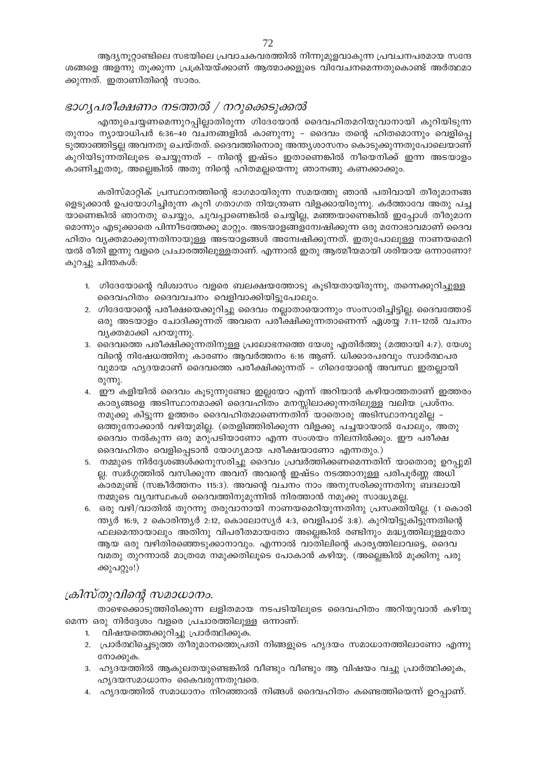ആദ്യനൂറ്റാണ്ടിലെ സഭയിലെ പ്രവാചകവരത്തിൽ നിന്നുമുളവാകുന്ന പ്രവചനപരമായ സന്ദേ ശങ്ങളെ അളന്നു തൂക്കുന്ന പ്രക്രിയയ്ക്കാണ് ആത്മാക്കളുടെ വിവേചനമെന്നതുകൊണ്ട് അർത്ഥമാ ക്കുന്നത്. ഇതാണിതിന്റെ സാരം.

# ഭാഗൃപരീക്ഷണം നടത്തൽ / നറുക്കെടുക്കൽ

എന്തുചെയ്യണമെന്നുറപ്പില്ലാതിരുന്ന ഗിദേയോൻ ദൈവഹിതമറിയുവാനായി കുറിയിടുന്ന തുനാം ന്യായാധിപർ 6:36-40 വചനങ്ങളിൽ കാണുന്നു – ദൈവം തന്റെ ഹിതമൊന്നും വെളിപ്പെ ടുത്താഞ്ഞിട്ടല്ല അവനതു ചെയ്തത്. ദൈവത്തിനൊരു അന്ത്യശാസനം കൊടുക്കുന്നതുപോലെയാണ് കുറിയിടുന്നതിലൂടെ ചെയ്യുന്നത് - നിന്റെ ഇഷ്ടം ഇതാണെങ്കിൽ നീയെനിക്ക് ഇന്ന അടയാളം കാണിച്ചുതരൂ, അല്ലെങ്കിൽ അതു നിന്റെ ഹിതമല്ലയെന്നു ഞാനങ്ങു കണക്കാക്കും.

കരിസ്മാറ്റിക് പ്രസ്ഥാനത്തിന്റെ ഭാഗമായിരുന്ന സമയത്തു ഞാൻ പതിവായി തീരുമാനങ്ങ ളെടുക്കാൻ ഉപയോഗിച്ചിരുന്ന കുറി ഗതാഗത നിയന്ത്രണ വിളക്കായിരുന്നു. കർത്താവേ അതു പച്ച യാണെങ്കിൽ ഞാനതു ചെയ്യും, ചുവപ്പാണെങ്കിൽ ചെയ്യില്ല, മഞ്ഞയാണെങ്കിൽ ഇപ്പോൾ തീരുമാന മൊന്നും എടുക്കാതെ പിന്നീടത്തേക്കു മാറ്റും. അടയാളങ്ങളന്വേഷിക്കുന്ന ഒരു മനോഭാവമാണ് ദൈവ ഹിതം വ്യക്തമാക്കുന്നതിനായുള്ള അടയാളങ്ങൾ അന്വേഷിക്കുന്നത്. ഇതുപോലുള്ള നാണയമെറി യൽ രീതി ഇന്നു വളരെ പ്രചാരത്തിലുള്ളതാണ്. എന്നാൽ ഇതു ആത്മീയമായി ശരിയായ ഒന്നാണോ? കുറച്ചു ചിന്തകൾ:

- 1. ഗിദേയോന്റെ വിശ്വാസം വളരെ ബലക്ഷയത്തോടു കൂടിയതായിരുന്നു, തന്നെക്കുറിച്ചുള്ള ദൈവഹിതം ദൈവവചനം വെളിവാക്കിയിട്ടുപോലും.
- 2. ഗിദേയോന്റെ പരീക്ഷയെക്കുറിച്ചു ദൈവം നല്ലാതായൊന്നും സംസാരിച്ചിട്ടില്ല. ദൈവത്തോട് ഒരു അടയാളം ചോദിക്കുന്നത് അവനെ പരീക്ഷിക്കുന്നതാണെന്ന് ഏശയ്യ 7:11–12ൽ വചനം വ്യക്തമാക്കി പറയുന്നു.
- 3. ദൈവത്തെ പരീക്ഷിക്കുന്നതിനുള്ള പ്രലോഭനത്തെ യേശു എതിർത്തു (മത്തായി 4:7). യേശു വിന്റെ നിഷേധത്തിനു കാരണം ആവർത്തനം 6:16 ആണ്. ധിക്കാരപരവും സ്വാർത്ഥപര വുമായ ഹൃദയമാണ് ദൈവത്തെ പരീക്ഷിക്കുന്നത് - ഗിദെയോന്റെ അവസ്ഥ ഇതല്ലായി രുന്നു.
- 4. ഈ കളിയിൽ ദൈവം കുടുന്നുണ്ടോ ഇല്ലയോ എന്ന് അറിയാൻ കഴിയാത്തതാണ് ഇത്തരം കാര്യങ്ങളെ അടിസ്ഥാനമാക്കി ദൈവഹിതം മനസ്സിലാക്കുന്നതിലുള്ള വലിയ പ്രശ്നം. നമുക്കു കിട്ടുന്ന ഉത്തരം ദൈവഹിതമാണെന്നതിന് യാതൊരു അടിസ്ഥാനവുമില്ല – ഒത്തുനോക്കാൻ വഴിയുമില്ല. (തെളിഞ്ഞിരിക്കുന്ന വിളക്കു പച്ചയായാൽ പോലും, അതു ദൈവം നൽകുന്ന ഒരു മറുപടിയാണോ എന്ന സംശയം നിലനിൽക്കും. ഈ പരീക്ഷ ദൈവഹിതം വെളിപ്പെടാൻ യോഗ്യമായ പരീക്ഷയാണോ എന്നതും.)
- 5. നമ്മുടെ നിർദ്ദേശങ്ങൾക്കനുസരിച്ചു ദൈവം പ്രവർത്തിക്കണമെന്നതിന് യാതൊരു ഉറപ്പുമി ല്ല. സ്വർഗ്ഗത്തിൽ വസിക്കുന്ന അവന് അവന്റെ ഇഷ്ടം നടത്താനുള്ള പരിപൂർണ്ണ അധി കാരമുണ്ട് (സങ്കീർത്തനം 115:3). അവന്റെ വചനം നാം അനുസരിക്കുന്നതിനു ബദലായി നമ്മുടെ വ്യവസ്ഥകൾ ദൈവത്തിനുമുന്നിൽ നിരത്താൻ നമുക്കു സാദ്ധ്യമല്ല.
- 6. ഒരു വഴി/വാതിൽ തുറന്നു തരുവാനായി നാണയമെറിയുന്നതിനു പ്രസക്തിയില്ല. (1 കൊരി ന്ത്യർ 16:9, 2 കൊരിന്ത്യർ 2:12, കൊലോസ്യർ 4:3, വെളിപാട് 3:8). കുറിയിട്ടുകിട്ടുന്നതിന്റെ ഫലമെന്തായാലും അതിനു വിപരീതമായതോ അല്ലെങ്കിൽ രണ്ടിനും മദ്ധ്യത്തിലുള്ളതോ ആയ ഒരു വഴിതിരഞ്ഞെടുക്കാനാവും. എന്നാൽ വാതിലിന്റെ കാര്യത്തിലാവട്ടെ, ദൈവ വമതു തുറന്നാൽ മാത്രമേ നമുക്കതിലൂടെ പോകാൻ കഴിയൂ. (അല്ലെങ്കിൽ മൂക്കിനു പരു ക്കുപറ്റും!)

# ക്രിസ്തുവിന്റെ സമാധാനം.

താഴെക്കൊടുത്തിരിക്കുന്ന ലളിതമായ നടപടിയിലൂടെ ദൈവഹിതം അറിയുവാൻ കഴിയു മെന്ന ഒരു നിർദ്ദേശം വളരെ പ്രചാരത്തിലുള്ള ഒന്നാണ്:

- 1. വിഷയത്തെക്കുറിച്ചു പ്രാർത്ഥിക്കുക.
- 2. പ്രാർത്ഥിച്ചെടുത്ത തീരുമാനത്തെപ്രതി നിങ്ങളുടെ ഹൃദയം സമാധാനത്തിലാണോ എന്നു നോക്കുക.
- 3. ഹ്യദയത്തിൽ ആകുലതയുണ്ടെങ്കിൽ വീണ്ടും വീണ്ടും ആ വിഷയം വച്ചു പ്രാർത്ഥിക്കുക, ഹ്യദയസമാധാനം കൈവരുന്നതുവരെ.
- 4. ഹൃദയത്തിൽ സമാധാനം നിറഞ്ഞാൽ നിങ്ങൾ ദൈവഹിതം കണ്ടെത്തിയെന്ന് ഉറപ്പാണ്.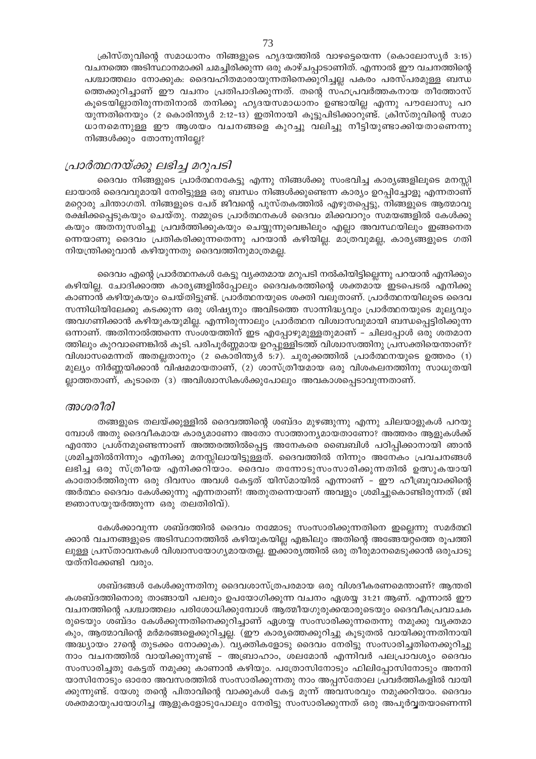ക്രിസ്തുവിന്റെ സമാധാനം നിങ്ങളുടെ ഹൃദയത്തിൽ വാഴട്ടെയെന്ന (കൊലോസ്യർ 3:15) വചനത്തെ അടിസ്ഥാനമാക്കി ചമച്ചിരിക്കുന്ന ഒരു കാഴ്ചപ്പാടാണിത്. എന്നാൽ ഈ വചനത്തിന്റെ പശ്ചാത്തലം നോക്കുക: ദൈവഹിതമാരായുന്നതിനെക്കുറിച്ചല്ല പകരം പരസ്പരമുള്ള ബന്ധ ത്തെക്കുറിച്ചാണ് ഈ വചനം പ്രതിപാദിക്കുന്നത്. തന്റെ സഹപ്രവർത്തകനായ തീത്തോസ് കൂടെയില്ലാതിരുന്നതിനാൽ തനിക്കു ഹൃദയസമാധാനം ഉണ്ടായില്ല എന്നു പൗലോസു പറ യുന്നതിനെയും (2 കൊരിന്ത്യർ 2:12–13) ഇതിനായി കൂട്ടുപിടിക്കാറുണ്ട്. ക്രിസ്തുവിന്റെ സമാ ധാനമെന്നുള്ള ഈ ആശയം വചനങ്ങളെ കുറച്ചു വലിച്ചു നീട്ടിയുണ്ടാക്കിയതാണെന്നു നിങ്ങൾക്കും തോന്നുന്നില്ലേ?

# പ്രാർത്ഥനയ്ക്കു ലഭിച്ച മറുപടി

ദൈവം നിങ്ങളുടെ പ്രാർത്ഥനകേട്ടു എന്നു നിങ്ങൾക്കു സംഭവിച്ച കാര്യങ്ങളിലൂടെ മനസ്സി ലായാൽ ദൈവവുമായി നേരിട്ടുള്ള ഒരു ബന്ധം നിങ്ങൾക്കുണ്ടെന്ന കാര്യം ഉറപ്പിച്ചോളൂ എന്നതാണ് മറ്റൊരു ചിന്താഗതി. നിങ്ങളുടെ പേര് ജീവന്റെ പുസ്തകത്തിൽ എഴുതപ്പെട്ടു, നിങ്ങളുടെ ആത്മാവു രക്ഷിക്കപ്പെടുകയും ചെയ്തു. നമ്മുടെ പ്രാർത്ഥനകൾ ദൈവം മിക്കവാറും സമയങ്ങളിൽ കേൾക്കു കയും അതനുസരിച്ചു പ്രവർത്തിക്കുകയും ചെയ്യുന്നുവെങ്കിലും എല്ലാ അവസ്ഥയിലും ഇങ്ങനെത ന്നെയാണു ദൈവം പ്രതികരിക്കുന്നതെന്നു പറയാൻ കഴിയില്ല. മാത്രവുമല്ല, കാര്യങ്ങളുടെ ഗതി നിയന്ത്രിക്കുവാൻ കഴിയുന്നതു ദൈവത്തിനുമാത്രമല്ല.

ദൈവം എന്റെ പ്രാർത്ഥനകൾ കേട്ടു വൃക്തമായ മറുപടി നൽകിയിട്ടില്ലെന്നു പറയാൻ എനിക്കും കഴിയില്ല. ചോദിക്കാത്ത കാര്യങ്ങളിൽപ്പോലും ദൈവകരത്തിന്റെ ശക്തമായ ഇടപെടൽ എനിക്കു കാണാൻ കഴിയുകയും ചെയ്തിട്ടുണ്ട്. പ്രാർത്ഥനയുടെ ശക്തി വലുതാണ്. പ്രാർത്ഥനയിലൂടെ ദൈവ സന്നിധിയിലേക്കു കടക്കുന്ന ഒരു ശിഷ്യനും അവിടത്തെ സാന്നിദ്ധ്യവും പ്രാർത്ഥനയുടെ മൂല്യവും അവഗണിക്കാൻ കഴിയുകയുമില്ല. എന്നിരുന്നാലും പ്രാർത്ഥന വിശ്വാസവുമായി ബന്ധപ്പെട്ടിരിക്കുന്ന ഒന്നാണ്. അതിനാൽത്തന്നെ സംശയത്തിന് ഇട എപ്പോഴുമുള്ളതുമാണ് – ചിലപ്പോൾ ഒരു ശതമാന ത്തിലും കുറവാണെങ്കിൽ കൂടി. പരിപൂർണ്ണമായ ഉറപ്പുള്ളിടത്ത് വിശ്വാസത്തിനു പ്രസക്തിയെന്താണ്? വിശ്വാസമെന്നത് അതല്ലതാനും (2 കൊരിന്ത്യർ 5:7). ചുരുക്കത്തിൽ പ്രാർത്ഥനയുടെ ഉത്തരം (1) മുല്യം നിർണ്ണയിക്കാൻ വിഷമമായതാണ്, (2) ശാസ്ത്രീയമായ ഒരു വിശകലനത്തിനു സാധുതയി ല്ലാത്തതാണ്, കൂടാതെ (3) അവിശ്വാസികൾക്കുപോലും അവകാശപ്പെടാവുന്നതാണ്.

#### അശരീരി

തങ്ങളുടെ തലയ്ക്കുള്ളിൽ ദൈവത്തിന്റെ ശബ്ദം മുഴങ്ങുന്നു എന്നു ചിലയാളുകൾ പറയു മ്പോൾ അതു ദൈവീകമായ കാര്യമാണോ അതോ സാത്താന്യമായതാണോ? അത്തരം ആളുകൾക്ക് എന്തോ പ്രശ്നമുണ്ടെന്നാണ് അത്തരത്തിൽപ്പെട്ട അനേകരെ ബൈബിൾ പഠിപ്പിക്കാനായി ഞാൻ ശ്രമിച്ചതിൽനിന്നും എനിക്കു മനസ്സിലായിട്ടുള്ളത്. ദൈവത്തിൽ നിന്നും അനേകം പ്രവചനങ്ങൾ ലഭിച്ച ഒരു സ്ത്രീയെ എനിക്കറിയാം. ദൈവം തന്നോടുസംസാരിക്കുന്നതിൽ ഉത്സുകയായി കാതോർത്തിരുന്ന ഒരു ദിവസം അവൾ കേട്ടത് യിസ്മായിൽ എന്നാണ് - ഈ ഹീബ്രൂവാക്കിന്റെ അർത്ഥം ദൈവം കേൾക്കുന്നു എന്നതാണ്! അതുതന്നെയാണ് അവളും ശ്രമിച്ചുകൊണ്ടിരുന്നത് (ജി ജ്ഞാസയുയർത്തുന്ന ഒരു തലതിരിവ്).

കേൾക്കാവുന്ന ശബ്ദത്തിൽ ദൈവം നമ്മോടു സംസാരിക്കുന്നതിനെ ഇല്ലെന്നു സമർത്ഥി ക്കാൻ വചനങ്ങളുടെ അടിസ്ഥാനത്തിൽ കഴിയുകയില്ല എങ്കിലും അതിന്റെ അങ്ങേയറ്റത്തെ രൂപത്തി ലുള്ള പ്രസ്താവനകൾ വിശ്വാസയോഗ്യമായതല്ല. ഇക്കാര്യത്തിൽ ഒരു തീരുമാനമെടുക്കാൻ ഒരുപാടു യത്നിക്കേണ്ടി വരും.

ശബ്ദങ്ങൾ കേൾക്കുന്നതിനു ദൈവശാസ്ത്രപരമായ ഒരു വിശദീകരണമെന്താണ്? ആന്തരി കശബ്ദത്തിനൊരു താങ്ങായി പലരും ഉപയോഗിക്കുന്ന വചനം ഏശയ്യ 31:21 ആണ്. എന്നാൽ ഈ വചനത്തിന്റെ പശ്ചാത്തലം പരിശോധിക്കുമ്പോൾ ആത്മീയഗുരുക്കന്മാരുടെയും ദൈവീകപ്രവാചക രുടെയും ശബ്ദം കേൾക്കുന്നതിനെക്കുറിച്ചാണ് ഏശയ്യ സംസാരിക്കുന്നതെന്നു നമുക്കു വ്യക്തമാ കും, ആത്മാവിന്റെ മർമരങ്ങളെക്കുറിച്ചല്ല. (ഈ കാര്യത്തെക്കുറിച്ചു കൂടുതൽ വായിക്കുന്നതിനായി അദ്ധ്യായം 27ന്റെ തുടക്കം നോക്കുക). വ്യക്തികളോടു ദൈവം നേരിട്ടു സംസാരിച്ചതിനെക്കുറിച്ചു നാം വചനത്തിൽ വായിക്കുന്നുണ്ട് - അബ്രാഹാം, ശലമോൻ എന്നിവർ പലപ്രാവശ്യം ദൈവം സംസാരിച്ചതു കേട്ടത് നമുക്കു കാണാൻ കഴിയും. പത്രോസിനോടും ഫിലിപ്പോസിനോടും അനനി യാസിനോടും ഓരോ അവസരത്തിൽ സംസാരിക്കുന്നതു നാം അപ്പസ്തോല പ്രവർത്തികളിൽ വായി ക്കുന്നുണ്ട്. യേശു തന്റെ പിതാവിന്റെ വാക്കുകൾ കേട്ട മൂന്ന് അവസരവും നമുക്കറിയാം. ദൈവം ശക്തമായുപയോഗിച്ച ആളുകളോടുപോലും നേരിട്ടു സംസാരിക്കുന്നത് ഒരു അപൂർവ്വതയാണെന്നി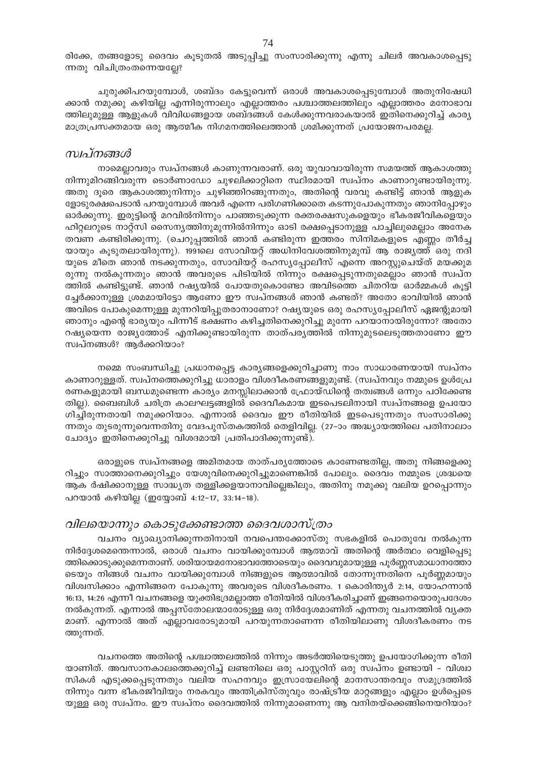രിക്കേ, തങ്ങളോടു ദൈവം കൂടുതൽ അടുപ്പിച്ചു സംസാരിക്കുന്നു എന്നു ചിലർ അവകാശപ്പെടു ന്നതു വിചിത്രംതന്നെയല്ലേ?

ചുരുക്കിപറയുമ്പോൾ, ശബ്ദം കേട്ടുവെന്ന് ഒരാൾ അവകാശപ്പെടുമ്പോൾ അതുനിഷേധി ക്കാൻ നമുക്കു കഴിയില്ല എന്നിരുന്നാലും എല്ലാത്തരം പശ്ചാത്തലത്തിലും എല്ലാത്തരം മനോഭാവ ത്തിലുമുള്ള ആളുകൾ വിവിധങ്ങളായ ശബ്ദങ്ങൾ കേൾക്കുന്നവരാകയാൽ ഇതിനെക്കുറിച്ച് കാര്യ മാത്രപ്രസക്തമായ ഒരു ആത്മീക നിഗമനത്തിലെത്താൻ ശ്രമിക്കുന്നത് പ്രയോജനപരമല്ല.

# സ്ഥ്നങ്ങൾ

നാമെല്ലാവരും സ്വപ്നങ്ങൾ കാണുന്നവരാണ്. ഒരു യുവാവായിരുന്ന സമയത്ത് ആകാശത്തു നിന്നുമിറങ്ങിവരുന്ന ടൊർണാഡോ ചുഴലിക്കാറ്റിനെ സ്ഥിരമായി സ്വപ്നം കാണാറുണ്ടായിരുന്നു. അതു ദൂരെ ആകാശത്തുനിന്നും ചുഴിഞ്ഞിറങ്ങുന്നതും, അതിന്റെ വരവു കണ്ടിട്ട് ഞാൻ ആളുക ളോടുരക്ഷപെടാൻ പറയുമ്പോൾ അവർ എന്നെ പരിഗണിക്കാതെ കടന്നുപോകുന്നതും ഞാനിപ്പോഴും ഓർക്കുന്നു. ഇരുട്ടിന്റെ മറവിൽനിന്നും പാഞ്ഞടുക്കുന്ന രക്തരക്ഷസുകളെയും ഭീകരജീവികളെയും ഹിറ്റലറുടെ നാറ്റ്സി സൈന്യത്തിനുമുന്നിൽനിന്നും ഓടി രക്ഷപ്പെടാനുള്ള പാച്ചിലുമെല്ലാം അനേക തവണ കണ്ടിരിക്കുന്നു. (ചെറുപ്പത്തിൽ ഞാൻ കണ്ടിരുന്ന ഇത്തരം സിനിമകളുടെ എണ്ണം തീർച്ച യായും കൂടുതലായിരുന്നു). 1991ലെ സോവിയറ്റ് അധിനിവേശത്തിനുമുമ്പ് ആ രാജ്യത്ത് ഒരു നദി യുടെ മീതെ ഞാൻ നടക്കുന്നതും, സോവിയറ്റ് രഹസ്യപ്പോലീസ് എന്നെ അറസ്റ്റുചെയ്ത് മയക്കുമ രുന്നു നൽകുന്നതും ഞാൻ അവരുടെ പിടിയിൽ നിന്നും രക്ഷപ്പെടുന്നതുമെല്ലാം ഞാൻ സ്വപ്ന ത്തിൽ കണ്ടിട്ടുണ്ട്. ഞാൻ റഷ്യയിൽ പോയതുകൊണ്ടോ അവിടത്തെ ചിതറിയ ഓർമ്മകൾ കൂട്ടി ച്ചേർക്കാനുള്ള ശ്രമമായിട്ടോ ആണോ ഈ സ്വപ്നങ്ങൾ ഞാൻ കണ്ടത്? അതോ ഭാവിയിൽ ഞാൻ അവിടെ പോകുമെന്നുള്ള മുന്നറിയിപ്പുതരാനാണോ? റഷ്യയുടെ ഒരു രഹസ്യപ്പോലീസ് ഏജന്റുമായി ഞാനും എന്റെ ഭാര്യയും പിന്നീട് ഭക്ഷണം കഴിച്ചതിനെക്കുറിച്ചു മുന്നേ പറയാനായിരുന്നോ? അതോ റഷ്യയെന്ന രാജ്യത്തോട് എനിക്കുണ്ടായിരുന്ന താത്പര്യത്തിൽ നിന്നുമുടലെടുത്തതാണോ ഈ സ്വപ്നങ്ങൾ? ആർക്കറിയാം?

നമ്മെ സംബന്ധിച്ചു പ്രധാനപ്പെട്ട കാര്യങ്ങളെക്കുറിച്ചാണു നാം സാധാരണയായി സ്ഥപ്നം കാണാറുള്ളത്. സ്വപ്നത്തെക്കുറിച്ചു ധാരാളം വിശദീകരണങ്ങളുമുണ്ട്. (സ്വപ്നവും നമ്മുടെ ഉൾപ്രേ രണകളുമായി ബന്ധമുണ്ടെന്ന കാര്യം മനസ്സിലാക്കാൻ പ്രോയ്ഡിന്റെ തത്വങ്ങൾ ഒന്നും പഠിക്കേണ്ട തില്ല). ബൈബിൾ ചരിത്ര കാലഘട്ടങ്ങളിൽ ദൈവീകമായ ഇടപെടലിനായി സ്വപ്നങ്ങളെ ഉപയോ ഗിച്ചിരുന്നതായി നമുക്കറിയാം. എന്നാൽ ദൈവം ഈ രീതിയിൽ ഇടപെടുന്നതും സംസാരിക്കു ന്നതും തുടരുന്നുവെന്നതിനു വേദപുസ്തകത്തിൽ തെളിവില്ല. (27–ാം അദ്ധ്യായത്തിലെ പതിനാലാം ചോദ്യം ഇതിനെക്കുറിച്ചു വിശദമായി പ്രതിപാദിക്കുന്നുണ്ട്).

ഒരാളുടെ സ്വപ്നങ്ങളെ അമിതമായ താത്പര്യത്തോടെ കാണേണ്ടതില്ല, അതു നിങ്ങളെക്കു റിച്ചും സാത്താനെക്കുറിച്ചും യേശുവിനെക്കുറിച്ചുമാണെങ്കിൽ പോലും. ദൈവം നമ്മുടെ ശ്രദ്ധയെ ആക ർഷിക്കാനുള്ള സാദ്ധ്യത തള്ളിക്കളയാനാവില്ലെങ്കിലും, അതിനു നമുക്കു വലിയ ഉറപ്പൊന്നും പറയാൻ കഴിയില്ല (ഇയ്യോബ് 4:12-17, 33:14-18).

# വിലയൊന്നും കൊടുക്കേണ്ടാത്ത ദൈവശാസ്ത്രം

വചനം വ്യാഖ്യാനിക്കുന്നതിനായി നവപെന്തക്കോസ്തു സഭകളിൽ പൊതുവേ നൽകുന്ന നിർദ്ദേശമെന്തെന്നാൽ, ഒരാൾ വചനം വായിക്കുമ്പോൾ ആത്മാവ് അതിന്റെ അർത്ഥം വെളിപ്പെടു ത്തിക്കൊടുക്കുമെന്നതാണ്. ശരിയായമനോഭാവത്തോടെയും ദൈവവുമായുള്ള പൂർണ്ണസമാധാനത്തോ ടെയും നിങ്ങൾ വചനം വായിക്കുമ്പോൾ നിങ്ങളുടെ ആത്മാവിൽ തോന്നുന്നതിനെ പൂർണ്ണമായും വിശ്വസിക്കാം എന്നിങ്ങനെ പോകുന്നു അവരുടെ വിശദീകരണം. 1 കൊരിന്ത്യർ 2:14, യോഹന്നാൻ 16:13, 14:26 എന്നീ വചനങ്ങളെ യുക്തിഭദ്രമല്ലാത്ത രീതിയിൽ വിശദീകരിച്ചാണ് ഇങ്ങനെയൊരുപദേശം നൽകുന്നത്. എന്നാൽ അപ്പസ്തോലന്മാരോടുള്ള ഒരു നിർദ്ദേശമാണിത് എന്നതു വചനത്തിൽ വ്യക്ത മാണ്. എന്നാൽ അത് എല്ലാവരോടുമായി പറയുന്നതാണെന്ന രീതിയിലാണു വിശദീകരണം നട ത്തുന്നത്.

വചനത്തെ അതിന്റെ പശ്ചാത്തലത്തിൽ നിന്നും അടർത്തിയെടുത്തു ഉപയോഗിക്കുന്ന രീതി യാണിത്. അവസാനകാലത്തെക്കുറിച്ച് ലണ്ടനിലെ ഒരു പാസ്റ്ററിന് ഒരു സ്വപ്നം ഉണ്ടായി – വിശ്വാ സികൾ എടുക്കപ്പെടുന്നതും വലിയ സഹനവും ഇസ്രായേലിന്റെ മാനസാന്തരവും സമുദ്രത്തിൽ നിന്നും വന്ന ഭീകരജീവിയും നരകവും അന്തിക്രിസ്തുവും രാഷ്ട്രീയ മാറ്റങ്ങളും എല്ലാം ഉൾപ്പെടെ യുള്ള ഒരു സ്വപ്നം. ഈ സ്വപ്നം ദൈവത്തിൽ നിന്നുമാണെന്നു ആ വനിതയ്ക്കെങ്ങിനെയറിയാം?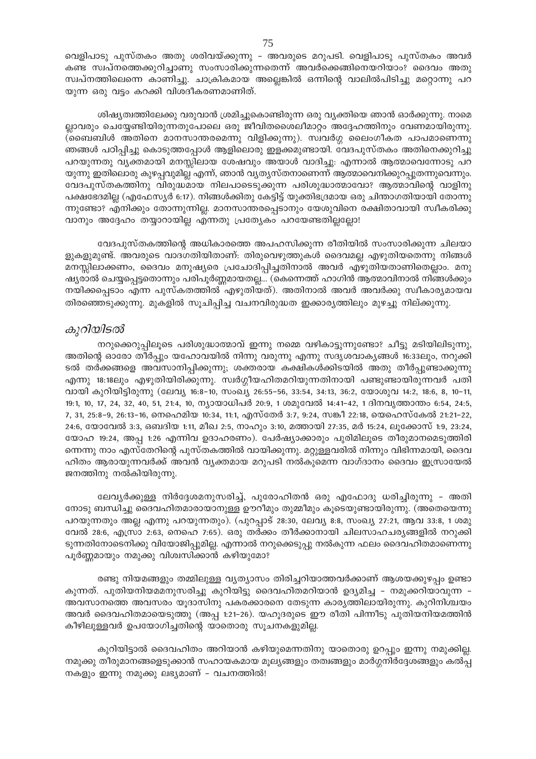വെളിപാടു പുസ്തകം അതു ശരിവയ്ക്കുന്നു – അവരുടെ മറുപടി. വെളിപാടു പുസ്തകം അവർ കണ്ട സ്വപ്നത്തെക്കുറിച്ചാണു സംസാരിക്കുന്നതെന്ന് അവർക്കെങ്ങിനെയറിയാം? ദൈവം അതു സ്വപ്നത്തിലെന്നെ കാണിച്ചു. ചാക്രികമായ അല്ലെങ്കിൽ ഒന്നിന്റെ വാലിൽപിടിച്ചു മറ്റൊന്നു പറ യുന്ന ഒരു വട്ടം കറക്കി വിശദീകരണമാണിത്.

ശിഷ്യത്വത്തിലേക്കു വരുവാൻ ശ്രമിച്ചുകൊണ്ടിരുന്ന ഒരു വ്യക്തിയെ ഞാൻ ഓർക്കുന്നു. നാമെ ല്ലാവരും ചെയ്യേണ്ടിയിരുന്നതുപോലെ ഒരു ജീവിതശൈലീമാറ്റം അദ്ദേഹത്തിനും വേണമായിരുന്നു. (ബൈബിൾ അതിനെ മാനസാന്തരമെന്നു വിളിക്കുന്നു). സ്വവർഗ്ഗ ലൈംഗീകത പാപമാണെന്നു ഞങ്ങൾ പഠിപ്പിച്ചു കൊടുത്തപ്പോൾ ആളിലൊരു ഇളക്കമുണ്ടായി. വേദപുസ്തകം അതിനെക്കുറിച്ചു പറയുന്നതു വ്യക്തമായി മനസ്സിലായ ശേഷവും അയാൾ വാദിച്ചു: എന്നാൽ ആത്മാവെന്നോടു പറ യുന്നു ഇതിലൊരു കുഴപ്പവുമില്ല എന്ന്, ഞാൻ വ്യത്യസ്തനാണെന്ന് ആത്മാവെനിക്കുറപ്പുതന്നുവെന്നും. വേദപുസ്തകത്തിനു വിരുദ്ധമായ നിലപാടെടുക്കുന്ന പരിശുദ്ധാത്മാവോ? ആത്മാവിന്റെ വാളിനു പക്ഷഭേദമില്ല (എഫേസ്യർ 6:17). നിങ്ങൾക്കിതു കേട്ടിട്ട് യുക്തിഭദ്രമായ ഒരു ചിന്താഗതിയായി തോന്നു ന്നുണ്ടോ? എനിക്കും തോന്നുന്നില്ല. മാനസാന്തരപ്പെടാനും യേശുവിനെ രക്ഷിതാവായി സ്വീകരിക്കു വാനും അദ്ദേഹം തയ്യാറായില്ല എന്നതു പ്രത്യേകം പറയേണ്ടതില്ലല്ലോ!

വേദപുസ്തകത്തിന്റെ അധികാരത്തെ അപഹസിക്കുന്ന രീതിയിൽ സംസാരിക്കുന്ന ചിലയാ ളുകളുമുണ്ട്. അവരുടെ വാദഗതിയിതാണ്: തിരുവെഴുത്തുകൾ ദൈവമല്ല എഴുതിയതെന്നു നിങ്ങൾ മനസ്സിലാക്കണം, ദൈവം മനുഷ്യരെ പ്രചോദിപ്പിച്ചതിനാൽ അവർ എഴുതിയതാണിതെല്ലാം. മനു ഷ്യരാൽ ചെയ്യപ്പെട്ടതൊന്നും പരിപൂർണ്ണമായതല്ല... (കെന്നെത്ത് ഹാഗിൻ ആത്മാവിനാൽ നിങ്ങൾക്കും നയിക്കപ്പെടാം എന്ന പുസ്കതത്തിൽ എഴുതിയത്). അതിനാൽ അവർ അവർക്കു സ്വീകാര്യമായവ തിരഞ്ഞെടുക്കുന്നു. മുകളിൽ സൂചിപ്പിച്ച വചനവിരുദ്ധത ഇക്കാര്യത്തിലും മുഴച്ചു നില്ക്കുന്നു.

# കുറിയിടൽ

നറുക്കെറുപ്പിലൂടെ പരിശുദ്ധാത്മാവ് ഇന്നു നമ്മെ വഴികാട്ടുന്നുണ്ടോ? ചീട്ടു മടിയിലിടുന്നു, അതിന്റെ ഓരോ തീർപ്പും യഹോവയിൽ നിന്നു വരുന്നു എന്നു സദൃശവാകൃങ്ങൾ 16:33ലും, നറുക്കി ടൽ തർക്കങ്ങളെ അവസാനിപ്പിക്കുന്നു; ശക്തരായ കക്ഷികൾക്കിടയിൽ അതു തീർപ്പുണ്ടാക്കുന്നു എന്നു 18:18ലും എഴുതിയിരിക്കുന്നു. സ്വർഗ്ഗീയഹിതമറിയുന്നതിനായി പണ്ടുണ്ടായിരുന്നവർ പതി വായി കുറിയിട്ടിരുന്നു (ലേവ്യ 16:8-10, സംഖ്യ 26:55-56, 33:54, 34:13, 36:2, യോശുവ 14:2, 18:6, 8, 10-11, 19:1, 10, 17, 24, 32, 40, 51, 21:4, 10, ന്യായാധിപർ 20:9, 1 ശമുവേൽ 14:41-42, 1 ദിനവൃത്താന്തം 6:54, 24:5, 7, 31, 25:8-9, 26:13-16, നെഹെമിയ 10:34, 11:1, എസ്തേർ 3:7, 9:24, സങ്കീ 22:18, യെഹെസ്കേൽ 21:21-22, 24:6, യോവേൽ 3:3, ഒബദിയ 1:11, മീഖ 2:5, നാഹും 3:10, മത്തായി 27:35, മർ 15:24, ലൂക്കോസ് 1:9, 23:24, യോഹ 19:24, അപ്പ 1:26 എന്നിവ ഉദാഹരണം). പേർഷ്യാക്കാരും പുരിമിലൂടെ തീരുമാനമെടുത്തിരി ന്നെന്നു നാം എസ്തേറിന്റെ പുസ്തകത്തിൽ വായിക്കുന്നു. മറ്റുള്ളവരിൽ നിന്നും വിഭിന്നമായി, ദൈവ ഹിതം ആരായുന്നവർക്ക് അവൻ വൃക്തമായ മറുപടി നൽകുമെന്ന വാഗ്ദാനം ദൈവം ഇസ്രായേൽ ജനത്തിനു നൽകിയിരുന്നു.

ലേവൃർക്കുള്ള നിർദ്ദേശമനുസരിച്ച്, പുരോഹിതൻ ഒരു എഫോദു ധരിച്ചിരുന്നു - അതി നോടു ബന്ധിച്ചു ദൈവഹിതമാരായാനുള്ള ഊറീമും തുമ്മീമും കൂടെയുണ്ടായിരുന്നു. (അതെയെന്നു പറയുന്നതും അല്ല എന്നു പറയുന്നതും). (പുറപ്പാട് 28:30, ലേവ്യ 8:8, സംഖ്യ 27:21, ആവ 33:8, 1 ശമു വേൽ 28:6, എസ്രാ 2:63, നെഹെ 7:65). ഒരു തർക്കം തീർക്കാനായി ചിലസാഹചര്യങ്ങളിൽ നറുക്കി ടുന്നതിനോടെനിക്കു വിയോജിപ്പുമില്ല. എന്നാൽ നറുക്കെടുപ്പു നൽകുന്ന ഫലം ദൈവഹിതമാണെന്നു പൂർണ്ണമായും നമുക്കു വിശ്വസിക്കാൻ കഴിയുമോ?

രണ്ടു നിയമങ്ങളും തമ്മിലുള്ള വ്യത്യാസം തിരിച്ചറിയാത്തവർക്കാണ് ആശയക്കുഴപ്പം ഉണ്ടാ കുന്നത്. പുതിയനിയമമനുസരിച്ചു കുറിയിട്ടു ദൈവഹിതമറിയാൻ ഉദ്യമിച്ച - നമുക്കറിയാവുന്ന -അവസാനത്തെ അവസരം യൂദാസിനു പകരക്കാരനെ തേടുന്ന കാര്യത്തിലായിരുന്നു. കുറിനിശ്ചയം അവർ ദൈവഹിതമായെടുത്തു (അപ്പ 1:21-26). യഹൂദരുടെ ഈ രീതി പിന്നീടു പുതിയനിയമത്തിൻ കീഴിലുള്ളവർ ഉപയോഗിച്ചതിന്റെ യാതൊരു സൂചനകളുമില്ല.

കുറിയിട്ടാൽ ദൈവഹിതം അറിയാൻ കഴിയുമെന്നതിനു യാതൊരു ഉറപ്പും ഇന്നു നമുക്കില്ല. നമുക്കു തീരുമാനങ്ങളെടുക്കാൻ സഹായകമായ മൂല്യങ്ങളും തത്വങ്ങളും മാർഗ്ഗനിർദ്ദേശങ്ങളും കൽപ്പ നകളും ഇന്നു നമുക്കു ലഭ്യമാണ് - വചനത്തിൽ!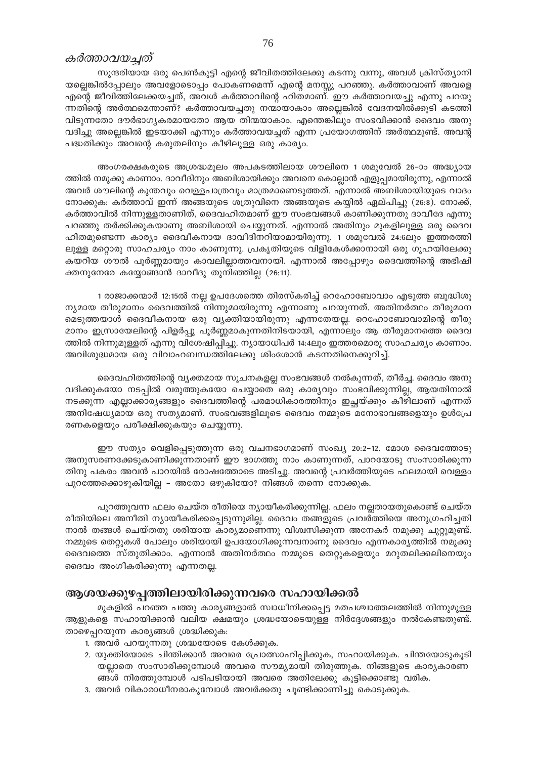#### കർത്താവയച്ചത്

സുന്ദരിയായ ഒരു പെൺകുട്ടി എന്റെ ജീവിതത്തിലേക്കു കടന്നു വന്നു, അവൾ ക്രിസ്ത്യാനി യല്ലെങ്കിൽപ്പോലും അവളോടൊപ്പം പോകണമെന്ന് എന്റെ മനസ്സു പറഞ്ഞു. കർത്താവാണ് അവളെ എന്റെ ജീവിത്തിലേക്കയച്ചത്, അവൾ കർത്താവിന്റെ ഹിതമാണ്. ഈ കർത്താവയച്ചു എന്നു പറയു ന്നതിന്റെ അർത്ഥമെന്താണ്? കർത്താവയച്ചതു നന്മായാകാം അല്ലെങ്കിൽ വേദനയിൽക്കൂടി കടത്തി വിടുന്നതോ ദൗർഭാഗൃകരമായതോ ആയ തിന്മയാകാം. എന്തെങ്കിലും സംഭവിക്കാൻ ദൈവം അനു വദിച്ചു അല്ലെങ്കിൽ ഇടയാക്കി എന്നും കർത്താവയച്ചത് എന്ന പ്രയോഗത്തിന് അർത്ഥമുണ്ട്. അവന്റ പദ്ധതിക്കും അവന്റെ കരുതലിനും കീഴിലുള്ള ഒരു കാര്യം.

അംഗരക്ഷകരുടെ അശ്രദ്ധമൂലം അപകടത്തിലായ ശൗലിനെ 1 ശമുവേൽ 26-ാം അദ്ധ്യായ ത്തിൽ നമുക്കു കാണാം. ദാവീദിനും അബിശായിക്കും അവനെ കൊല്ലാൻ എളുപ്പമായിരുന്നു, എന്നാൽ അവർ ശൗലിന്റെ കുന്തവും വെള്ളപാത്രവും മാത്രമാണെടുത്തത്. എന്നാൽ അബിശായിയുടെ വാദം നോക്കുക: കർത്താവ് ഇന്ന് അങ്ങയുടെ ശത്രുവിനെ അങ്ങയുടെ കയ്യിൽ ഏല്പിച്ചു (26:8). നോക്ക്, കർത്താവിൽ നിന്നുള്ളതാണിത്, ദൈവഹിതമാണ് ഈ സംഭവങ്ങൾ കാണിക്കുന്നതു ദാവീദേ എന്നു പറഞ്ഞു തർക്കിക്കുകയാണു അബിശായി ചെയ്യുന്നത്. എന്നാൽ അതിനും മുകളിലുള്ള ഒരു ദൈവ ഹിതമുണ്ടെന്ന കാര്യം ദൈവീകനായ ദാവീദിനറിയാമായിരുന്നു. 1 ശമുവേൽ 24:6ലും ഇത്തരത്തി ലുള്ള മറ്റൊരു സാഹചര്യം നാം കാണുന്നു. പ്രകൃതിയുടെ വിളികേൾക്കാനായി ഒരു ഗുഹയിലേക്കു കയറിയ ശൗൽ പൂർണ്ണമായും കാവലില്ലാത്തവനായി. എന്നാൽ അപ്പോഴും ദൈവത്തിന്റെ അഭിഷി ക്തനുനേരേ കയ്യോങ്ങാൻ ദാവീദു തുനിഞ്ഞില്ല (26:11).

1 രാജാക്കന്മാർ 12:15ൽ നല്ല ഉപദേശത്തെ തിരസ്കരിച്ച് റെഹോബോവാം എടുത്ത ബുദ്ധിശൂ ന്യമായ തീരുമാനം ദൈവത്തിൽ നിന്നുമായിരുന്നു എന്നാണു പറയുന്നത്. അതിനർത്ഥം തീരുമാന മെടുത്തയാൾ ദൈവീകനായ ഒരു വ്യക്തിയായിരുന്നു എന്നതേയല്ല. റെഹോബോവാമിന്റെ തീരു മാനം ഇസ്രായേലിന്റെ പിളർപ്പു പൂർണ്ണമാകുന്നതിനിടയായി, എന്നാലും ആ തീരുമാനത്തെ ദൈവ ത്തിൽ നിന്നുമുള്ളത് എന്നു വിശേഷിപ്പിച്ചു. ന്യായാധിപർ 14:4ലും ഇത്തരമൊരു സാഹചര്യം കാണാം. അവിശുദ്ധമായ ഒരു വിവാഹബന്ധത്തിലേക്കു ശിംശോൻ കടന്നതിനെക്കുറിച്ച്.

ദൈവഹിതത്തിന്റെ വ്യക്തമായ സൂചനകളല്ല സംഭവങ്ങൾ നൽകുന്നത്, തീർച്ച. ദൈവം അനു വദിക്കുകയോ നടപ്പിൽ വരുത്തുകയോ ചെയ്യാതെ ഒരു കാര്യവും സംഭവിക്കുന്നില്ല, ആയതിനാൽ നടക്കുന്ന എല്ലാക്കാര്യങ്ങളും ദൈവത്തിന്റെ പരമാധികാരത്തിനും ഇച്ചയ്ക്കും കീഴിലാണ് എന്നത് അനിഷേധ്യമായ ഒരു സത്യമാണ്. സംഭവങ്ങളിലൂടെ ദൈവം നമ്മുടെ മനോഭാവങ്ങളെയും ഉൾപ്രേ രണകളെയും പരീക്ഷിക്കുകയും ചെയ്യുന്നു.

ഈ സത്യം വെളിപ്പെടുത്തുന്ന ഒരു വചനഭാഗമാണ് സംഖ്യ 20:2-12. മോശ ദൈവത്തോടു അനുസരണക്കേടുകാണിക്കുന്നതാണ് ഈ ഭാഗത്തു നാം കാണുന്നത്, പാറയോടു സംസാരിക്കുന്ന തിനു പകരം അവൻ പാറയിൽ രോഷത്തോടെ അടിച്ചു. അവന്റെ പ്രവർത്തിയുടെ ഫലമായി വെള്ളം പുറത്തേക്കൊഴുകിയില്ല - അതോ ഒഴുകിയോ? നിങ്ങൾ തന്നെ നോക്കുക.

പുറത്തുവന്ന ഫലം ചെയ്ത രീതിയെ ന്യായീകരിക്കുന്നില്ല. ഫലം നല്ലതായതുകൊണ്ട് ചെയ്ത രീതിയിലെ അനീതി ന്യായീകരിക്കപ്പെടുന്നുമില്ല. ദൈവം തങ്ങളുടെ പ്രവർത്തിയെ അനുഗ്രഹിച്ചതി നാൽ തങ്ങൾ ചെയ്തതു ശരിയായ കാര്യമാണെന്നു വിശ്വസിക്കുന്ന അനേകർ നമുക്കു ചുറ്റുമുണ്ട്. നമ്മുടെ തെറ്റുകൾ പോലും ശരിയായി ഉപയോഗിക്കുന്നവനാണു ദൈവം എന്നകാര്യത്തിൽ നമുക്കു ദൈവത്തെ സ്തുതിക്കാം. എന്നാൽ അതിനർത്ഥം നമ്മുടെ തെറ്റുകളെയും മറുതലിക്കലിനെയും ദൈവം അംഗീകരിക്കുന്നു എന്നതല്ല.

# ആശയക്കുഴപ്പത്തിലായിരിക്കുന്നവരെ സഹായിക്കൽ

മുകളിൽ പറഞ്ഞ പത്തു കാര്യങ്ങളാൽ സ്വാധീനിക്കപ്പെട്ട മതപശ്ചാത്തലത്തിൽ നിന്നുമുള്ള ആളുകളെ സഹായിക്കാൻ വലിയ ക്ഷമയും ശ്രദ്ധയോടെയുള്ള നിർദ്ദേശങ്ങളും നൽകേണ്ടതുണ്ട്. താഴെപ്പറയുന്ന കാര്യങ്ങൾ ശ്രദ്ധിക്കുക:

- 1. അവർ പറയുന്നതു ശ്രദ്ധയോടെ കേൾക്കുക.
- 2. യുക്തിയോടെ ചിന്തിക്കാൻ അവരെ പ്രോത്സാഹിപ്പിക്കുക, സഹായിക്കുക. ചിന്തയോടുകൂടി യല്ലാതെ സംസാരിക്കുമ്പോൾ അവരെ സൗമ്യമായി തിരുത്തുക. നിങ്ങളുടെ കാര്യകാരണ ങ്ങൾ നിരത്തുമ്പോൾ പടിപടിയായി അവരെ അതിലേക്കു കൂട്ടിക്കൊണ്ടു വരിക.
- 3. അവർ വികാരാധീനരാകുമ്പോൾ അവർക്കതു ചൂണ്ടിക്കാണിച്ചു കൊടുക്കുക.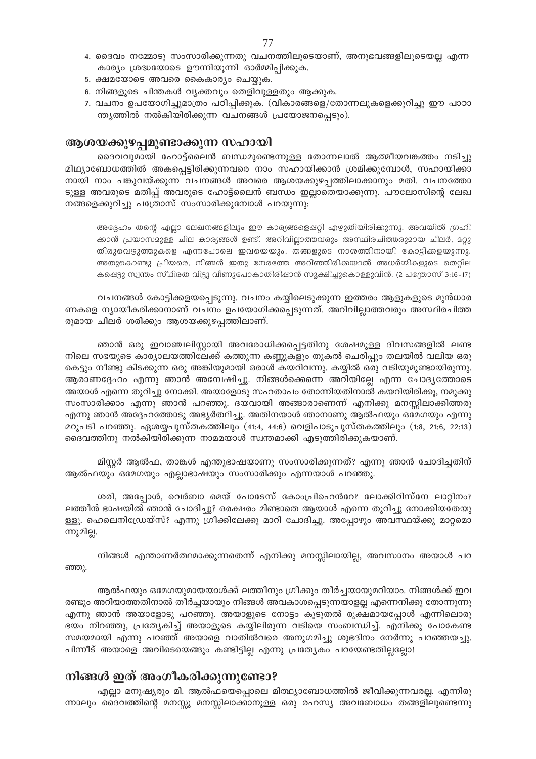- 4. ദൈവം നമ്മോടു സംസാരിക്കുന്നതു വചനത്തിലൂടെയാണ്, അനുഭവങ്ങളിലൂടെയല്ല എന്ന കാര്യം ശ്രദ്ധയോടെ ഊന്നിയൂന്നി ഓർമ്മിപ്പിക്കുക.
- 5. ക്ഷമയോടെ അവരെ കൈകാര്യം ചെയ്യുക.
- 6. നിങ്ങളുടെ ചിന്തകൾ വ്യക്തവും തെളിവുള്ളതും ആക്കുക.
- 7. വചനം ഉപയോഗിച്ചുമാത്രം പഠിപ്പിക്കുക. (വികാരങ്ങളെ/തോന്നലുകളെക്കുറിച്ചു ഈ പാഠാ ന്ത്യത്തിൽ നൽകിയിരിക്കുന്ന വചനങ്ങൾ പ്രയോജനപ്പെടും).

# ആശയക്കുഴപ്പമുണ്ടാക്കുന്ന സഹായി

ദൈവവുമായി ഹോട്ട്ലൈൻ ബന്ധമുണ്ടെന്നുള്ള തോന്നലാൽ ആത്മീയവങ്കത്തം നടിച്ചു മിഥ്യാബോധത്തിൽ അകപ്പെട്ടിരിക്കുന്നവരെ നാം സഹായിക്കാൻ ശ്രമിക്കുമ്പോൾ, സഹായിക്കാ നായി നാം പങ്കുവയ്ക്കുന്ന വചനങ്ങൾ അവരെ ആശയക്കുഴപ്പത്തിലാക്കാനും മതി. വചനത്തോ ടുള്ള അവരുടെ മതിപ്പ് അവരുടെ ഹോട്ട്ലൈൻ ബന്ധം ഇല്ലാതെയാക്കുന്നു. പൗലോസിന്റെ ലേഖ നങ്ങളെക്കുറിച്ചു പത്രോസ് സംസാരിക്കുമ്പോൾ പറയുന്നു.

അദ്ദേഹം തന്റെ എല്ലാ ലേഖനങ്ങളിലും ഈ കാര്യങ്ങളെഷറ്റി എഴുതിയിരിക്കുന്നു. അവയിൽ ഗ്രഹി ക്കാൻ പ്രയാസമുള്ള ചില കാര്യങ്ങൾ ഉണ്ട്. അറിവില്ലാത്തവരും അസ്ഥിരചിത്തരുമായ ചിലർ, മറ്റു തിരുവെഴുത്തുകളെ എന്നപോലെ ഇവയെയും, തങ്ങളുടെ നാശത്തിനായി കോട്ടിക്കളയുന്നു. അതുകൊണ്ടു പ്രിയരെ, നിങ്ങൾ ഇതു നേരത്തേ അറിഞ്ഞിരിക്കയാൽ അധർമ്മികളുടെ തെറ്റില കപ്പെട്ടു സ്വന്തം സ്ഥിരത വിട്ടു വീണുപോകാതിരിഷാൻ സൂക്ഷിച്ചുകൊള്ളുവിൻ. (2 പത്രോസ് 3:16-17)

വചനങ്ങൾ കോട്ടിക്കളയപ്പെടുന്നു. വചനം കയ്യിലെടുക്കുന്ന ഇത്തരം ആളുകളുടെ മുൻധാര ണകളെ ന്യായീകരിക്കാനാണ് വചനം ഉപയോഗിക്കപ്പെടുന്നത്. അറിവില്ലാത്തവരും അസ്ഥിരചിത്ത രുമായ ചിലർ ശരിക്കും ആശയക്കുഴപ്പത്തിലാണ്.

ഞാൻ ഒരു ഇവാഞ്ചലിസ്റ്റായി അവരോധിക്കപ്പെട്ടതിനു ശേഷമുള്ള ദിവസങ്ങളിൽ ലണ്ട നിലെ സഭയുടെ കാര്യാലയത്തിലേക്ക് കത്തുന്ന കണ്ണുകളും തുകൽ ചെരിപ്പും തലയിൽ വലിയ ഒരു കെട്ടും നീണ്ടു കിടക്കുന്ന ഒരു അങ്കിയുമായി ഒരാൾ കയറിവന്നു. കയ്യിൽ ഒരു വടിയുമുണ്ടായിരുന്നു. ആരാണദ്ദേഹം എന്നു ഞാൻ അന്വേഷിച്ചു. നിങ്ങൾക്കെന്നെ അറിയില്ലേ എന്ന ചോദൃത്തോടെ അയാൾ എന്നെ തുറിച്ചു നോക്കി. അയാളോടു സഹതാപം തോന്നിയതിനാൽ കയറിയിരിക്കു, നമുക്കു സംസാരിക്കാം എന്നു ഞാൻ പറഞ്ഞു. ദയവായി അങ്ങാരാണെന്ന് എനിക്കു മനസ്സിലാക്കിത്തരൂ എന്നു ഞാൻ അദ്ദേഹത്തോടു അഭ്യർത്ഥിച്ചു. അതിനയാൾ ഞാനാണു ആൽഫയും ഒമേഗയും എന്നു മറുപടി പറഞ്ഞു. ഏശയ്യപുസ്തകത്തിലും (41:4, 44:6) വെളിപാടുപുസ്തകത്തിലും (1:8, 21:6, 22:13) ദൈവത്തിനു നൽകിയിരിക്കുന്ന നാമമയാൾ സ്വന്തമാക്കി എടുത്തിരിക്കുകയാണ്.

മിസ്റ്റർ ആൽഫ, താങ്കൾ എന്തുഭാഷയാണു സംസാരിക്കുന്നത്? എന്നു ഞാൻ ചോദിച്ചതിന് ആൽഫയും ഒമേഗയും എല്ലാഭാഷയും സംസാരിക്കും എന്നയാൾ പറഞ്ഞു.

ശരി, അപ്പോൾ, വെർബാ മെയ് പോടേസ് കോംപ്രിഹെൻറേ? ലോക്കിറിസ്നേ ലാറ്റിനം? ലത്തീൻ ഭാഷയിൽ ഞാൻ ചോദിച്ചു? ഒരക്ഷരം മിണ്ടാതെ ആയാൾ എന്നെ തുറിച്ചു നോക്കിയതേയു ള്ളൂ. ഹെലെനിഡ്രേയ്സ്? എന്നു ഗ്രീക്കിലേക്കു മാറി ചോദിച്ചു. അപ്പോഴും അവസ്ഥയ്ക്കു മാറ്റമൊ ന്നുമില്ല.

നിങ്ങൾ എന്താണർത്ഥമാക്കുന്നതെന്ന് എനിക്കു മനസ്സിലായില്ല, അവസാനം അയാൾ പറ ഞ്ഞു.

ആൽഫയും ഒമേഗയുമായയാൾക്ക് ലത്തീനും ഗ്രീക്കും തീർച്ചയായുമറിയാം. നിങ്ങൾക്ക് ഇവ രണ്ടും അറിയാത്തതിനാൽ തീർച്ചയായും നിങ്ങൾ അവകാശപ്പെടുന്നയാളല്ല എന്നെനിക്കു തോന്നുന്നു എന്നു ഞാൻ അയാളോടു പറഞ്ഞു. അയാളുടെ നോട്ടം കൂടുതൽ രൂക്ഷമായപ്പോൾ എന്നിലൊരു ഭയം നിറഞ്ഞു, പ്രത്യേകിച്ച് അയാളുടെ കയ്യിലിരുന്ന വടിയെ സംബന്ധിച്ച്. എനിക്കു പോകേണ്ട സമയമായി എന്നു പറഞ്ഞ് അയാളെ വാതിൽവരെ അനുഗമിച്ചു ശുഭദിനം നേർന്നു പറഞ്ഞയച്ചു. പിന്നീട് അയാളെ അവിടെയെങ്ങും കണ്ടിട്ടില്ല എന്നു പ്രത്യേകം പറയേണ്ടതില്ലല്ലോ!

# നിങ്ങൾ ഇത് അംഗീകരിക്കുന്നുണ്ടോ?

എല്ലാ മനുഷ്യരും മി. ആൽഫയെപ്പൊലെ മിത്ഥ്യാബോധത്തിൽ ജീവിക്കുന്നവരല്ല. എന്നിരു ന്നാലും ദൈവത്തിന്റെ മനസ്സു മനസ്സിലാക്കാനുള്ള ഒരു രഹസ്യ അവബോധം തങ്ങളിലുണ്ടെന്നു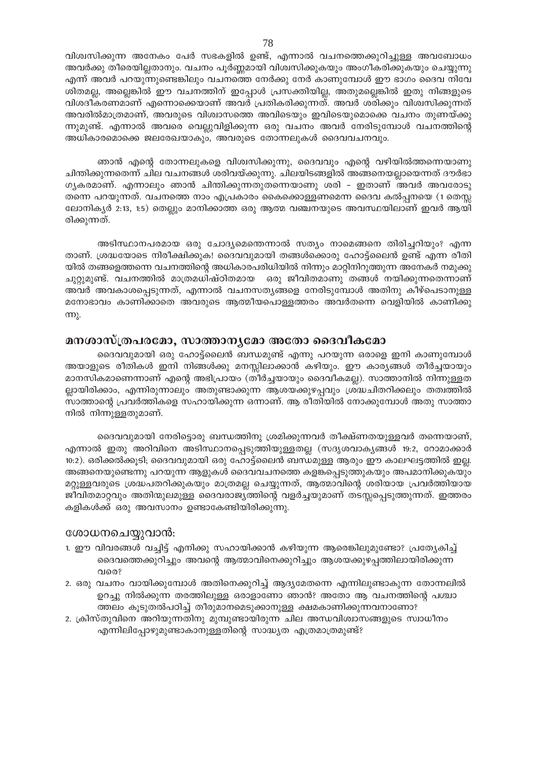വിശ്വസിക്കുന്ന അനേകം പേർ സഭകളിൽ ഉണ്ട്, എന്നാൽ വചനത്തെക്കുറിച്ചുള്ള അവബോധം അവർക്കു തീരെയില്ലതാനും. വചനം പൂർണ്ണമായി വിശ്വസിക്കുകയും അംഗീകരിക്കുകയും ചെയ്യുന്നു എന്ന് അവർ പറയുന്നുണ്ടെങ്കിലും വചനത്തെ നേർക്കു നേർ കാണുമ്പോൾ ഈ ഭാഗം ദൈവ നിവേ ശിതമല്ല, അല്ലെങ്കിൽ ഈ വചനത്തിന് ഇപ്പോൾ പ്രസക്തിയില്ല, അതുമല്ലെങ്കിൽ ഇതു നിങ്ങളുടെ വിശദീകരണമാണ് എന്നൊക്കെയാണ് അവർ പ്രതികരിക്കുന്നത്. അവർ ശരിക്കും വിശ്വസിക്കുന്നത് അവരിൽമാത്രമാണ്, അവരുടെ വിശ്വാസത്തെ അവിടെയും ഇവിടെയുമൊക്കെ വചനം തുണയ്ക്കു ന്നുമുണ്ട്. എന്നാൽ അവരെ വെല്ലുവിളിക്കുന്ന ഒരു വചനം അവർ നേരിടുമ്പോൾ വചനത്തിന്റെ അധികാരമൊക്കെ ജലരേഖയാകും, അവരുടെ തോന്നലുകൾ ദൈവവചനവും.

ഞാൻ എന്റെ തോന്നലുകളെ വിശ്വസിക്കുന്നു, ദൈവവും എന്റെ വഴിയിൽത്തന്നെയാണു ചിന്തിക്കുന്നതെന്ന് ചില വചനങ്ങൾ ശരിവയ്ക്കുന്നു. ചിലയിടങ്ങളിൽ അങ്ങനെയല്ലായെന്നത് ദൗർഭാ ഗൃകരമാണ്. എന്നാലും ഞാൻ ചിന്തിക്കുന്നതുതന്നെയാണു ശരി - ഇതാണ് അവർ അവരോടു തന്നെ പറയുന്നത്. വചനത്തെ നാം എപ്രകാരം കൈക്കൊള്ളണമെന്ന ദൈവ കൽപ്പനയെ (1 തെസ്സ ലോനികൃർ 2:13, 1:5) തെല്ലും മാനിക്കാത്ത ഒരു ആത്മ വഞ്ചനയുടെ അവസ്ഥയിലാണ് ഇവർ ആയി രിക്കുന്നത്.

അടിസ്ഥാനപരമായ ഒരു ചോദ്യമെന്തെന്നാൽ സത്യം നാമെങ്ങനെ തിരിച്ചറിയും? എന്ന താണ്. ശ്രദ്ധയോടെ നിരീക്ഷിക്കുക! ദൈവവുമായി തങ്ങൾക്കൊരു ഹോട്ട്ലൈൻ ഉണ്ട് എന്ന രീതി യിൽ തങ്ങളെത്തന്നെ വചനത്തിന്റെ അധികാരപരിധിയിൽ നിന്നും മാറ്റിനിറുത്തുന്ന അനേകർ നമുക്കു ചുറ്റുമുണ്ട്. വചനത്തിൽ മാത്രമധിഷ്ഠിതമായ ഒരു ജീവിതമാണു തങ്ങൾ നയിക്കുന്നതെന്നാണ് അവർ അവകാശപ്പെടുന്നത്, എന്നാൽ വചനസത്യങ്ങളെ നേരിടുമ്പോൾ അതിനു കീഴ്പെടാനുള്ള മനോഭാവം കാണിക്കാതെ അവരുടെ ആത്മീയപൊള്ളത്തരം അവർതന്നെ വെളിയിൽ കാണിക്കു m<sub>2</sub>.

# മനശാസ്ത്രപരമോ, സാത്താനൃമോ അതോ ദൈവീകമോ

ദൈവവുമായി ഒരു ഹോട്ട്ലൈൻ ബന്ധമുണ്ട് എന്നു പറയുന്ന ഒരാളെ ഇനി കാണുമ്പോൾ അയാളുടെ രീതികൾ ഇനി നിങ്ങൾക്കു മനസ്സിലാക്കാൻ കഴിയും. ഈ കാര്യങ്ങൾ തീർച്ചയായും മാനസികമാണെന്നാണ് എന്റെ അഭിപ്രായം (തീർച്ചയായും ദൈവീകമല്ല). സാത്താനിൽ നിന്നുള്ളത ല്ലായിരിക്കാം, എന്നിരുന്നാലും അതുണ്ടാക്കുന്ന ആശയക്കുഴപ്പവും ശ്രദ്ധചിതറിക്കലും തത്വത്തിൽ സാത്താന്റെ പ്രവർത്തികളെ സഹായിക്കുന്ന ഒന്നാണ്. ആ രീതിയിൽ നോക്കുമ്പോൾ അതു സാത്താ നിൽ നിന്നുള്ളതുമാണ്.

ദൈവവുമായി നേരിട്ടൊരു ബന്ധത്തിനു ശ്രമിക്കുന്നവർ തീക്ഷ്ണതയുള്ളവർ തന്നെയാണ്, എന്നാൽ ഇതു അറിവിനെ അടിസ്ഥാനപ്പെടുത്തിയുള്ളതല്ല (സദൃശവാകൃങ്ങൾ 19:2, റോമാക്കാർ 10:2). ഒരിക്കൽക്കൂടി; ദൈവവുമായി ഒരു ഹോട്ട്ലൈൻ ബന്ധമുള്ള ആരും ഈ കാലഘട്ടത്തിൽ ഇല്ല. അങ്ങനെയുണ്ടെന്നു പറയുന്ന ആളുകൾ ദൈവവചനത്തെ കളങ്കപ്പെടുത്തുകയും അപമാനിക്കുകയും മറ്റുള്ളവരുടെ ശ്രദ്ധപതറിക്കുകയും മാത്രമല്ല ചെയ്യുന്നത്, ആത്മാവിന്റെ ശരിയായ പ്രവർത്തിയായ ജീവിതമാറ്റവും അതിന്മുലമുള്ള ദൈവരാജ്യത്തിന്റെ വളർച്ചയുമാണ് തടസ്സപ്പെടുത്തുന്നത്. ഇത്തരം കളികൾക്ക് ഒരു അവസാനം ഉണ്ടാകേണ്ടിയിരിക്കുന്നു.

#### ശോധനചെയ്യുവാൻ:

- 1. ഈ വിവരങ്ങൾ വച്ചിട്ട് എനിക്കു സഹായിക്കാൻ കഴിയുന്ന ആരെങ്കിലുമുണ്ടോ? പ്രത്യേകിച്ച് ദൈവത്തെക്കുറിച്ചും അവന്റെ ആത്മാവിനെക്കുറിച്ചും ആശയക്കുഴപ്പത്തിലായിരിക്കുന്ന വരെ?
- 2. ഒരു വചനം വായിക്കുമ്പോൾ അതിനെക്കുറിച്ച് ആദ്യമേതന്നെ എന്നിലുണ്ടാകുന്ന തോന്നലിൽ ഉറച്ചു നിൽക്കുന്ന തരത്തിലുള്ള ഒരാളാണോ ഞാൻ? അതോ ആ വചനത്തിന്റെ പശ്ചാ ത്തലം കുടുതൽപഠിച്ച് തീരുമാനമെടുക്കാനുള്ള ക്ഷമകാണിക്കുന്നവനാണോ?
- 2. ക്രിസ്തുവിനെ അറിയുന്നതിനു മുമ്പുണ്ടായിരുന്ന ചില അന്ധവിശ്വാസങ്ങളുടെ സ്വാധീനം എന്നിലിപ്പോഴുമുണ്ടാകാനുള്ളതിന്റെ സാദ്ധ്യത എത്രമാത്രമുണ്ട്?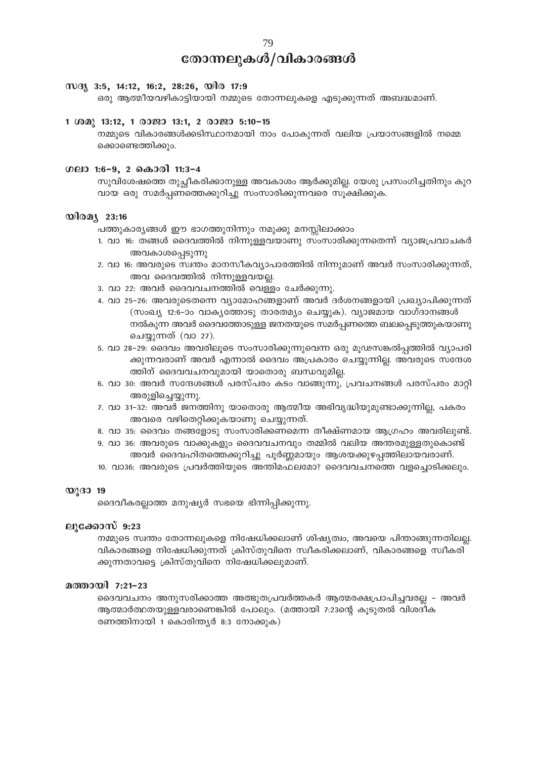# തോന്നലുകൾ/വികാരങ്ങൾ

#### WG 3:5, 14:12, 16:2, 28:26, wlo 17:9

ഒരു ആത്മീയവഴികാട്ടിയായി നമ്മുടെ തോന്നലുകളെ എടുക്കുന്നത് അബദ്ധമാണ്.

#### 1 ശമു 13:12, 1 രാജാ 13:1, 2 രാജാ 5:10-15

നമ്മുടെ വികാരങ്ങൾക്കടിസ്ഥാനമായി നാം പോകുന്നത് വലിയ പ്രയാസങ്ങളിൽ നമ്മെ ക്കൊണ്ടെത്തിക്കും.

#### ഗലാ 1:6-9, 2 കൊരി 11:3-4

സുവിശേഷത്തെ തുച്ചീകരിക്കാനുള്ള അവകാശം ആർക്കുമില്ല. യേശു പ്രസംഗിച്ചതിനും കുറ വായ ഒരു സമർപ്പണത്തെക്കുറിച്ചു സംസാരിക്കുന്നവരെ സുക്ഷിക്കുക.

#### $\mathbf{O}$ lo $\mathbf{O}$  23:16

പത്തുകാര്യങ്ങൾ ഈ ഭാഗത്തുനിന്നും നമുക്കു മനസ്സിലാക്കാം

- 1. വാ 16: തങ്ങൾ ദൈവത്തിൽ നിന്നുള്ളവയാണു സംസാരിക്കുന്നതെന്ന് വ്യാജപ്രവാചകർ അവകാശപ്പെടുന്നു
- 2. വാ 16: അവരുടെ സ്വന്തം മാനസീകവ്യാപാരത്തിൽ നിന്നുമാണ് അവർ സംസാരിക്കുന്നത്, അവ ദൈവത്തിൽ നിന്നുള്ളവയല്ല.
- 3. വാ 22: അവർ ദൈവവചനത്തിൽ വെള്ളം ചേർക്കുന്നു.
- 4. വാ 25–26: അവരുടെതന്നെ വ്യാമോഹങ്ങളാണ് അവർ ദർശനങ്ങളായി പ്രഖ്യാപിക്കുന്നത് (സംഖ്യ 12:6-ാം വാകൃത്തോടു താരതമ്യം ചെയ്യുക). വ്യാജമായ വാഗ്ദാനങ്ങൾ നൽകുന്ന അവർ ദൈവത്തോടുള്ള ജനതയുടെ സമർപ്പണത്തെ ബലപ്പെടുത്തുകയാണു ചെയ്യുന്നത് (വാ 27).
- 5. വാ 28–29: ദൈവം അവരിലൂടെ സംസാരിക്കുന്നുവെന്ന ഒരു മൂഢസങ്കൽപ്പത്തിൽ വ്യാപരി ക്കുന്നവരാണ് അവർ എന്നാൽ ദൈവം അപ്രകാരം ചെയ്യുന്നില്ല. അവരുടെ സന്ദേശ ത്തിന് ദൈവവചനവുമായി യാതൊരു ബന്ധവുമില്ല.
- 6. വാ 30: അവർ സന്ദേശങ്ങൾ പരസ്പരം കടം വാങ്ങുന്നു, പ്രവചനങ്ങൾ പരസ്പരം മാറ്റി അരുളിച്ചെയ്യുന്നു.
- 7. വാ 31-32: അവർ ജനത്തിനു യാതൊരു ആത്മീയ അഭിവൃദ്ധിയുമുണ്ടാക്കുന്നില്ല, പകരം അവരെ വഴിതെറ്റിക്കുകയാണു ചെയ്യുന്നത്.
- 8. വാ 35: ദൈവം തങ്ങളോടു സംസാരിക്കണമെന്ന തീക്ഷ്ണമായ ആഗ്രഹം അവരിലുണ്ട്.
- 9. വാ 36: അവരുടെ വാക്കുകളും ദൈവവചനവും തമ്മിൽ വലിയ അന്തരമുള്ളതുകൊണ്ട് അവർ ദൈവഹിതത്തെക്കുറിച്ചു പൂർണ്ണമായും ആശയക്കുഴപ്പത്തിലായവരാണ്.
- 10. വാ36: അവരുടെ പ്രവർത്തിയുടെ അന്തിമഫലമോ? ദൈവവചനത്തെ വളച്ചൊടിക്കലും.

#### $\mathbf{W}$  (30 19

ദൈവീകരല്ലാത്ത മനുഷ്യർ സഭയെ ഭിന്നിപ്പിക്കുന്നു.

#### ലൂക്കോസ് 9:23

നമ്മുടെ സ്വന്തം തോന്നലുകളെ നിഷേധിക്കലാണ് ശിഷ്യത്വം, അവയെ പിന്താങ്ങുന്നതിലല്ല. വികാരങ്ങളെ നിഷേധിക്കുന്നത് ക്രിസ്തുവിനെ സ്വീകരിക്കലാണ്, വികാരങ്ങളെ സ്വീകരി ക്കുന്നതാവട്ടെ ക്രിസ്തുവിനെ നിഷേധിക്കലുമാണ്.

#### മത്തായി 7:21-23

ദൈവവചനം അനുസരിക്കാത്ത അത്ഭുതപ്രവർത്തകർ ആത്മരക്ഷപ്രാപിച്ചവരല്ല - അവർ ആത്മാർത്ഥതയുള്ളവരാണെങ്കിൽ പോലും. (മത്തായി 7:23ന്റെ കുടുതൽ വിശദീക രണത്തിനായി 1 കൊരിന്ത്യർ 8:3 നോക്കുക)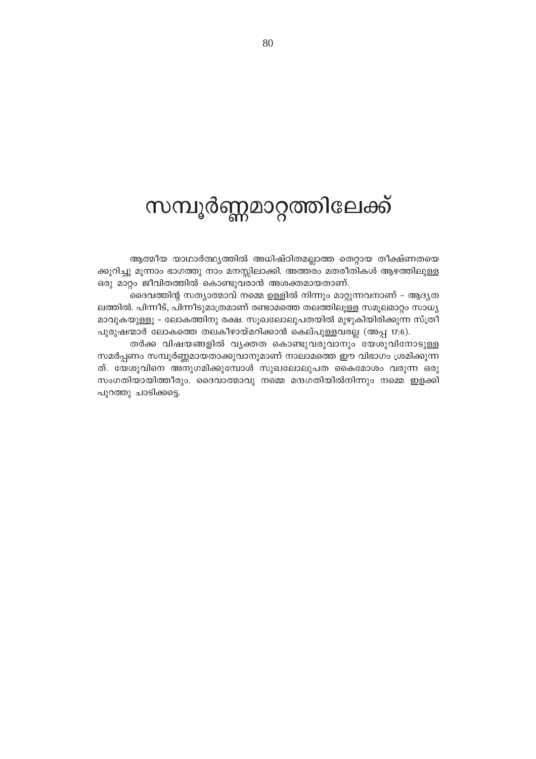# സമ്പൂർണ്ണമാറ്റത്തിലേക്ക്

ആത്മീയ യാഥാർത്ഥ്യത്തിൽ അധിഷ്ഠിതമല്ലാത്ത തെറ്റായ തീക്ഷ്ണതയെ ക്കുറിച്ചു മൂന്നാം ഭാഗത്തു നാം മനസ്സിലാക്കി. അത്തരം മതരീതികൾ ആഴത്തിലുള്ള ഒരു മാറ്റം ജീവിതത്തിൽ കൊണ്ടുവരാൻ അശക്തമായതാണ്.

ദൈവത്തിന്റ സത്യാത്മാവ് നമ്മെ ഉള്ളിൽ നിന്നും മാറ്റുന്നവനാണ് – ആദ്യത ലത്തിൽ. പിന്നീട്, പിന്നീടുമാത്രമാണ് രണ്ടാമത്തെ തലത്തിലുള്ള സമൂലമാറ്റം സാധ്യ മാവുകയുള്ളൂ – ലോകത്തിനു രക്ഷ. സൂഖലോലുപതയിൽ മുഴുകിയിരിക്കുന്ന സ്ത്രീ പുരുഷന്മാർ ലോകത്തെ തലകീഴായ്മറിക്കാൻ കെല്പുള്ളവരല്ല (അപ്പ 17:6).

തർക്ക വിഷയങ്ങളിൽ വ്യക്തത കൊണ്ടുവരുവാനും യേശുവിനോടുള്ള സമർപ്പണം സമ്പൂർണ്ണമായതാക്കുവാനുമാണ് നാലാമത്തെ ഈ വിഭാഗം ശ്രമിക്കുന്ന ത്. യേശുവിനെ അനുഗമിക്കുമ്പോൾ സുഖലോലുപത കൈമോശം വരുന്ന ഒരു സംഗതിയായിത്തീരും. ദൈവാത്മാവു നമ്മെ മന്ദഗതിയിൽനിന്നും നമ്മെ ഇളക്കി പുറത്തു ചാടിക്കട്ടെ.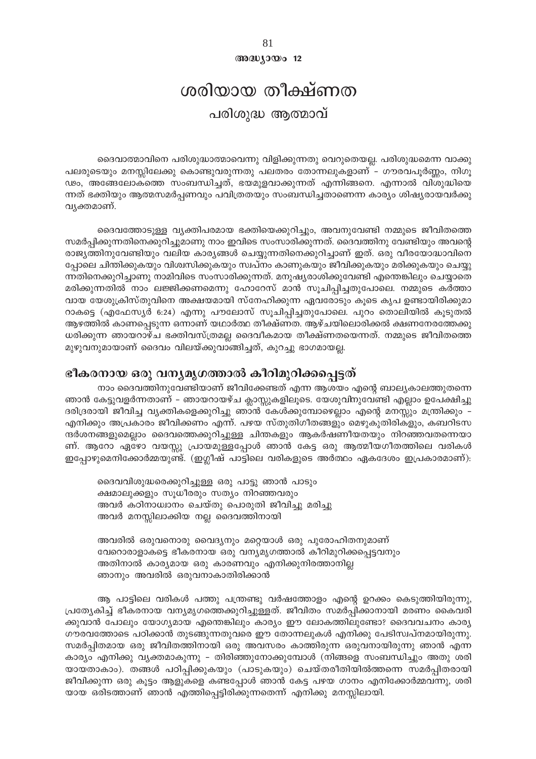$@0@0J0@012$ 

# ശരിയായ തീക്ഷ്ണത പരിശുദ്ധ ആത്മാവ്

ദൈവാത്മാവിനെ പരിശുദ്ധാത്മാവെന്നു വിളിക്കുന്നതു വെറുതെയല്ല. പരിശുദ്ധമെന്ന വാക്കു പലരുടെയും മനസ്സിലേക്കു കൊണ്ടുവരുന്നതു പലതരം തോന്നലുകളാണ് – ഗൗരവപൂർണ്ണം, നിഗൂ ഢം, അങ്ങേലോകത്തെ സംബന്ധിച്ചത്, ഭയമുളവാക്കുന്നത് എന്നിങ്ങനെ. എന്നാൽ വിശുദ്ധിയെ ന്നത് ഭക്തിയും ആത്മസമർപ്പണവും പവിത്രതയും സംബന്ധിച്ചതാണെന്ന കാര്യം ശിഷ്യരായവർക്കു വ്യക്തമാണ്.

ദൈവത്തോടുള്ള വൃക്തിപരമായ ഭക്തിയെക്കുറിച്ചും, അവനുവേണ്ടി നമ്മുടെ ജീവിതത്തെ സമർപ്പിക്കുന്നതിനെക്കുറിച്ചുമാണു നാം ഇവിടെ സംസാരിക്കുന്നത്. ദൈവത്തിനു വേണ്ടിയും അവന്റെ രാജ്യത്തിനുവേണ്ടിയും വലിയ കാര്യങ്ങൾ ചെയ്യുന്നതിനെക്കുറിച്ചാണ് ഇത്. ഒരു വീരയോദ്ധാവിനെ പ്പോലെ ചിന്തിക്കുകയും വിശ്വസിക്കുകയും സ്വപ്നം കാണുകയും ജീവിക്കുകയും മരിക്കുകയും ചെയ്യു ന്നതിനെക്കുറിച്ചാണു നാമിവിടെ സംസാരിക്കുന്നത്. മനുഷ്യരാശിക്കുവേണ്ടി എന്തെങ്കിലും ചെയ്യാതെ മരിക്കുന്നതിൽ നാം ലജ്ജിക്കണമെന്നു ഹോറേസ് മാൻ സൂചിപ്പിച്ചതുപോലെ. നമ്മുടെ കർത്താ വായ യേശുക്രിസ്തുവിനെ അക്ഷയമായി സ്നേഹിക്കുന്ന ഏവരോടും കൂടെ കൃപ ഉണ്ടായിരിക്കുമാ റാകട്ടെ (എഫേസ്യർ 6:24) എന്നു പൗലോസ് സൂചിപ്പിച്ചതുപോലെ. പുറം തൊലിയിൽ കൂടുതൽ ആഴത്തിൽ കാണപ്പെടുന്ന ഒന്നാണ് യഥാർത്ഥ തീക്ഷ്ണത. ആഴ്ചയിലൊരിക്കൽ ക്ഷണനേരത്തേക്കു ധരിക്കുന്ന ഞായറാഴ്ച ഭക്തിവസ്ത്രമല്ല ദൈവീകമായ തീക്ഷ്ണതയെന്നത്. നമ്മുടെ ജീവിതത്തെ മുഴുവനുമായാണ് ദൈവം വിലയ്ക്കുവാങ്ങിച്ചത്, കുറച്ചു ഭാഗമായല്ല.

# ഭീകരനായ ഒരു വന്യമൃഗത്താൽ കീറിമുറിക്കപ്പെട്ടത്

നാം ദൈവത്തിനുവേണ്ടിയാണ് ജീവിക്കേണ്ടത് എന്ന ആശയം എന്റെ ബാല്യകാലത്തുതന്നെ ഞാൻ കേട്ടുവളർന്നതാണ് – ഞായറായഴ്ച ക്ലാസ്സുകളിലൂടെ. യേശുവിനുവേണ്ടി എല്ലാം ഉപേക്ഷിച്ചു ദരിദ്രരായി ജീവിച്ച വ്യക്തികളെക്കുറിച്ചു ഞാൻ കേൾക്കുമ്പോഴെല്ലാം എന്റെ മനസ്സും മന്ത്രിക്കും – എനിക്കും അപ്രകാരം ജീവിക്കണം എന്ന്. പഴയ സ്തുതിഗീതങ്ങളും മെഴുകുതിരികളും, കബറിടസ ന്ദർശനങ്ങളുമെല്ലാം ദൈവത്തെക്കുറിച്ചുള്ള ചിന്തകളും ആകർഷണീയതയും നിറഞ്ഞവതന്നെയാ ണ്. ആറോ ഏഴോ വയസ്സു പ്രായമുള്ളപ്പോൾ ഞാൻ കേട്ട ഒരു ആത്മീയഗീതത്തിലെ വരികൾ ഇപ്പോഴുമെനിക്കോർമ്മയുണ്ട്. (ഇഗ്ലീഷ് പാട്ടിലെ വരികളുടെ അർത്ഥം ഏകദേശം ഇപ്രകാരമാണ്):

ദൈവവിശുദ്ധരെക്കുറിച്ചുള്ള ഒരു പാട്ടു ഞാൻ പാടും ക്ഷമാലുക്കളും സൂധീരരും സത്യം നിറഞ്ഞവരും അവർ കഠിനാധ്വാനം ചെയ്തു പൊരുതി ജീവിച്ചു മരിച്ചു അവർ മനസ്സിലാക്കിയ നല്ല ദൈവത്തിനായി

അവരിൽ ഒരുവനൊരു വൈദ്യനും മറ്റെയാൾ ഒരു പുരോഹിതനുമാണ് വേറൊരാളാകട്ടെ ഭീകരനായ ഒരു വന്യമൃഗത്താൽ കീറിമുറിക്കപ്പെട്ടവനും അതിനാൽ കാര്യമായ ഒരു കാരണവും എനിക്കുനിരത്താനില്ല ഞാനും അവരിൽ ഒരുവനാകാതിരിക്കാൻ

ആ പാട്ടിലെ വരികൾ പത്തു പന്ത്രണ്ടു വർഷത്തോളം എന്റെ ഉറക്കം കെടുത്തിയിരുന്നു, പ്രത്യേകിച്ച് ഭീകരനായ വന്യമൃഗത്തെക്കുറിച്ചുള്ളത്. ജീവിതം സമർപ്പിക്കാനായി മരണം കൈവരി ക്കുവാൻ പോലും യോഗ്യമായ എന്തെങ്കിലും കാര്യം ഈ ലോകത്തിലുണ്ടോ? ദൈവവചനം കാര്യ ഗൗരവത്തോടെ പഠിക്കാൻ തുടങ്ങുന്നതുവരെ ഈ തോന്നലുകൾ എനിക്കു പേടിസ്വപ്നമായിരുന്നു. സമർപ്പിതമായ ഒരു ജീവിതത്തിനായി ഒരു അവസരം കാത്തിരുന്ന ഒരുവനായിരുന്നു ഞാൻ എന്ന കാര്യം എനിക്കു വ്യക്തമാകുന്നു - തിരിഞ്ഞുനോക്കുമ്പോൾ (നിങ്ങളെ സംബന്ധിച്ചും അതു ശരി യായതാകാം). തങ്ങൾ പഠിപ്പിക്കുകയും (പാടുകയും) ചെയ്തരീതിയിൽത്തന്നെ സമർപ്പിതരായി ജീവിക്കുന്ന ഒരു കൂട്ടം ആളുകളെ കണ്ടപ്പോൾ ഞാൻ കേട്ട പഴയ ഗാനം എനിക്കോർമ്മവന്നു, ശരി യായ ഒരിടത്താണ് ഞാൻ എത്തിപ്പെട്ടിരിക്കുന്നതെന്ന് എനിക്കു മനസ്സിലായി.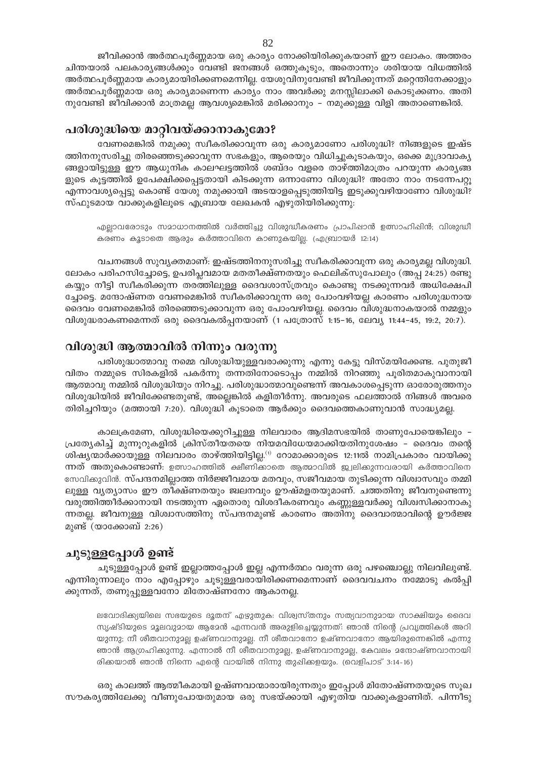ജീവിക്കാൻ അർത്ഥപൂർണ്ണമായ ഒരു കാര്യം നോക്കിയിരിക്കുകയാണ് ഈ ലോകം. അത്തരം ചിന്തയാൽ പലകാര്യങ്ങൾക്കും വേണ്ടി ജനങ്ങൾ ഒത്തുകൂടും, അതൊന്നും ശരിയായ വിധത്തിൽ അർത്ഥപൂർണ്ണമായ കാര്യമായിരിക്കണമെന്നില്ല. യേശുവിനുവേണ്ടി ജീവിക്കുന്നത് മറ്റെന്തിനേക്കാളും അർത്ഥപൂർണ്ണമായ ഒരു കാര്യമാണെന്ന കാര്യം നാം അവർക്കു മനസ്സിലാക്കി കൊടുക്കണം. അതി നുവേണ്ടി ജീവിക്കാൻ മാത്രമല്ല ആവശ്യമെങ്കിൽ മരിക്കാനും - നമുക്കുള്ള വിളി അതാണെങ്കിൽ.

# പരിശുദ്ധിയെ മാറ്റിവയ്ക്കാനാകുമോ?

വേണമെങ്കിൽ നമുക്കു സ്വീകരിക്കാവുന്ന ഒരു കാര്യമാണോ പരിശുദ്ധി? നിങ്ങളുടെ ഇഷ്ട ത്തിനനുസരിച്ചു തിരഞ്ഞെടുക്കാവുന്ന സഭകളും, ആരെയും വിധിച്ചുകൂടാകയും, ഒക്കെ മുദ്രാവാകൃ ങ്ങളായിട്ടുള്ള ഈ ആധുനിക കാലഘട്ടത്തിൽ ശബ്ദം വളരെ താഴ്ത്തിമാത്രം പറയുന്ന കാര്യങ്ങ ളുടെ കൂട്ടത്തിൽ ഉപേക്ഷിക്കപ്പെട്ടതായി കിടക്കുന്ന ഒന്നാണോ വിശുദ്ധി? അതോ നാം നടന്നേപറ്റൂ എന്നാവശ്യപ്പെട്ടു കൊണ്ട് യേശു നമുക്കായി അടയാളപ്പെടുത്തിയിട്ട ഇടുക്കുവഴിയാണോ വിശുദ്ധി? സ്ഫുടമായ വാക്കുകളിലൂടെ എബ്രായ ലേഖകൻ എഴുതിയിരിക്കുന്നു:

എല്ലാവരോടും സമാധാനത്തിൽ വർത്തിച്ചു വിശുദ്ധീകരണം പ്രാപിഷാൻ ഉത്സാഹിഷിൻ; വിശുദ്ധീ കരണം കൂടാതെ ആരും കർത്താവിനെ കാണുകയില്ല. (എബ്രായർ 12:14)

വചനങ്ങൾ സുവ്യക്തമാണ്: ഇഷ്ടത്തിനനുസരിച്ചു സ്വീകരിക്കാവുന്ന ഒരു കാര്യമല്ല വിശുദ്ധി. ലോകം പരിഹസിച്ചോട്ടെ, ഉപരിപ്ലവമായ മതതീക്ഷ്ണതയും ഫെലിക്സുപോലും (അപ്പ 24:25) രണ്ടു കയ്യും നീട്ടി സ്വീകരിക്കുന്ന തരത്തിലുള്ള ദൈവശാസ്ത്രവും കൊണ്ടു നടക്കുന്നവർ അധിക്ഷേപി ച്ചോട്ടെ. മന്ദോഷ്ണത വേണമെങ്കിൽ സ്വീകരിക്കാവുന്ന ഒരു പോംവഴിയല്ല കാരണം പരിശുദ്ധനായ ദൈവം വേണമെങ്കിൽ തിരഞ്ഞെടുക്കാവുന്ന ഒരു പോംവഴിയല്ല. ദൈവം വിശുദ്ധനാകയാൽ നമ്മളും വിശുദ്ധരാകണമെന്നത് ഒരു ദൈവകൽപ്പനയാണ് (1 പത്രോസ് 1:15–16, ലേവ്യ 11:44–45, 19:2, 20:7).

# വിശുദ്ധി ആത്മാവിൽ നിന്നും വരുന്നു

പരിശുദ്ധാത്മാവു നമ്മെ വിശുദ്ധിയുള്ളവരാക്കുന്നു എന്നു കേട്ടു വിസ്മയിക്കേണ്ട. പുതുജീ വിതം നമ്മുടെ സിരകളിൽ പകർന്നു തന്നതിനോടൊപ്പം നമ്മിൽ നിറഞ്ഞു പൂരിതമാകുവാനായി ആത്മാവു നമ്മിൽ വിശുദ്ധിയും നിറച്ചു. പരിശുദ്ധാത്മാവുണ്ടെന്ന് അവകാശപ്പെടുന്ന ഓരോരുത്തനും വിശുദ്ധിയിൽ ജീവിക്കേണ്ടതുണ്ട്, അല്ലെങ്കിൽ കളിതീർന്നു. അവരുടെ ഫലത്താൽ നിങ്ങൾ അവരെ തിരിച്ചറിയും (മത്തായി 7:20). വിശുദ്ധി കൂടാതെ ആർക്കും ദൈവത്തെകാണുവാൻ സാദ്ധ്യമല്ല.

കാലക്രമേണ, വിശുദ്ധിയെക്കുറിച്ചുള്ള നിലവാരം ആദിമസഭയിൽ താണുപോയെങ്കിലും -പ്രത്യേകിച്ച് മുന്നൂറുകളിൽ ക്രിസ്തീയതയെ നിയമവിധേയമാക്കിയതിനുശേഷം – ദൈവം തന്റെ ശിഷ്യന്മാർക്കായുള്ള നിലവാരം താഴ്ത്തിയിട്ടില്ല.<sup>(1)</sup> റോമാക്കാരുടെ 12:11ൽ നാമിപ്രകാരം വായിക്കു ന്നത് അതുകൊണ്ടാണ്: ഉത്സാഹത്തിൽ ക്ഷീണിക്കാതെ ആത്മാവിൽ ജ്വലിക്കുന്നവരായി കർത്താവിനെ സേവികുവിൻ. സ്പന്ദനമില്ലാത്ത നിർജ്ജീവമായ മതവും, സജീവമായ തുടിക്കുന്ന വിശ്വാസവും തമ്മി ലുള്ള വ്യത്യാസം ഈ തീക്ഷ്ണതയും ജ്വലനവും ഊഷ്മളതയുമാണ്. ചത്തതിനു ജീവനുണ്ടെന്നു വരുത്തിത്തീർക്കാനായി നടത്തുന്ന ഏതൊരു വിശദീകരണവും കണ്ണുള്ളവർക്കു വിശ്വസിക്കാനാകു ന്നതല്ല. ജീവനുള്ള വിശ്വാസത്തിനു സ്പന്ദനമുണ്ട് കാരണം അതിനു ദൈവാത്മാവിന്റെ ഊർജ്ജ മുണ്ട് (യാക്കോബ് 2:26)

# ചുടുള്ളപ്പോൾ ഉണ്ട്

ചൂടുള്ളപ്പോൾ ഉണ്ട് ഇല്ലാത്തപ്പോൾ ഇല്ല എന്നർത്ഥം വരുന്ന ഒരു പഴഞ്ചൊല്ലു നിലവിലുണ്ട്. എന്നിരുന്നാലും നാം എപ്പോഴും ചൂടുള്ളവരായിരിക്കണമെന്നാണ് ദൈവവചനം നമ്മോടു കൽപ്പി ക്കുന്നത്, തണുപ്പുള്ളവനോ മിതോഷ്ണനോ ആകാനല്ല.

ലവോദിക്ക്യയിലെ സഭയുടെ ദൂതന് എഴുതുക: വിശ്വസ്തനും സത്യവാനുമായ സാക്ഷിയും ദൈവ സൃഷ്ടിയുടെ മൂലവുമായ ആമേൻ എന്നവൻ അരുളിച്ചെയ്യുന്നത്: ഞാൻ നിന്റെ പ്രവൃത്തികൾ അറി യുന്നു; നീ ശീതവാനുമല്ല ഉഷ്ണവാനുമല്ല. നീ ശീതവാനോ ഉഷ്ണവാനോ ആയിരുന്നെങ്കിൽ എന്നു ഞാൻ ആഗ്രഹിക്കുന്നു. എന്നാൽ നീ ശീതവാനുമല്ല, ഉഷ്ണവാനുമല്ല, കേവലം മന്ദോഷ്ണവാനായി രിക്കയാൽ ഞാൻ നിന്നെ എന്റെ വായിൽ നിന്നു തുപ്പിക്കളയും. (വെളിപാട് 3:14-16)

ഒരു കാലത്ത് ആത്മീകമായി ഉഷ്ണവാന്മാരായിരുന്നതും ഇപ്പോൾ മിതോഷ്ണതയുടെ സുഖ സൗകര്യത്തിലേക്കു വീണുപോയതുമായ ഒരു സഭയ്ക്കായി എഴുതിയ വാക്കുകളാണിത്. പിന്നീടു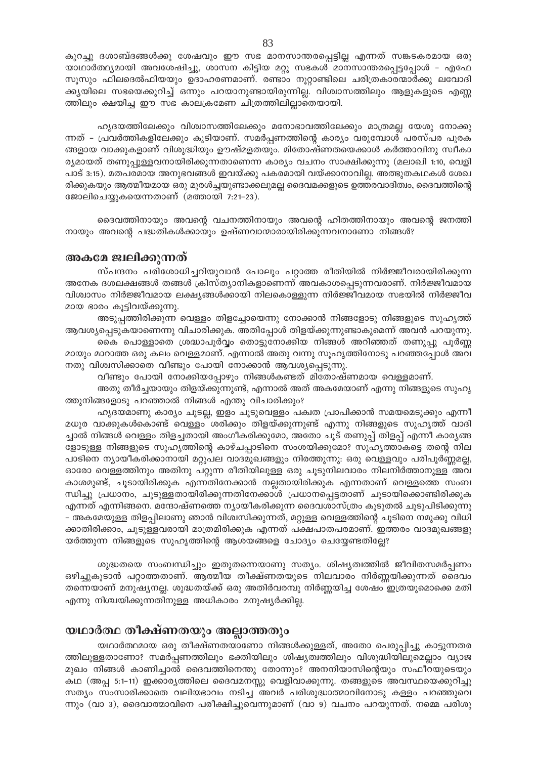കുറച്ചു ദശാബ്ദങ്ങൾക്കു ശേഷവും ഈ സഭ മാനസാന്തരപ്പെട്ടില്ല എന്നത് സങ്കടകരമായ ഒരു യാഥാർത്ഥ്യമായി അവശേഷിച്ചു, ശാസന കിട്ടിയ മറ്റു സഭകൾ മാനസാന്തരപ്പെട്ടപ്പോൾ - എഫേ സൂസും ഫിലദെൽഫിയയും ഉദാഹരണമാണ്. രണ്ടാം നൂറ്റാണ്ടിലെ ചരിത്രകാരന്മാർക്കു ലവോദി ക്കുയിലെ സഭയെക്കുറിച്ച് ഒന്നും പറയാനുണ്ടായിരുന്നില്ല. വിശ്വാസത്തിലും ആളുകളുടെ എണ്ണ ത്തിലും ക്ഷയിച്ച ഈ സഭ കാലക്രമേണ ചിത്രത്തിലില്ലാതെയായി.

ഹൃദയത്തിലേക്കും വിശ്വാസത്തിലേക്കും മനോഭാവത്തിലേക്കും മാത്രമല്ല യേശു നോക്കു ന്നത് - പ്രവർത്തികളിലേക്കും കൂടിയാണ്. സമർപ്പണത്തിന്റെ കാര്യം വരുമ്പോൾ പരസ്പര പൂരക ങ്ങളായ വാക്കുകളാണ് വിശുദ്ധിയും ഊഷ്മളതയും. മിതോഷ്ണതയെക്കാൾ കർത്താവിനു സ്വീകാ ര്യമായത് തണുപ്പുള്ളവനായിരിക്കുന്നതാണെന്ന കാര്യം വചനം സാക്ഷിക്കുന്നു (മലാഖി 1:10, വെളി പാട് 3:15). മതപരമായ അനുഭവങ്ങൾ ഇവയ്ക്കു പകരമായി വയ്ക്കാനാവില്ല. അത്ഭുതകഥകൾ ശേഖ രിക്കുകയും ആത്മീയമായ ഒരു മുരൾച്ചയുണ്ടാക്കലുമല്ല ദൈവമക്കളുടെ ഉത്തരവാദിത്വം, ദൈവത്തിന്റെ ജോലിചെയ്യുകയെന്നതാണ് (മത്തായി 7:21-23).

ദൈവത്തിനായും അവന്റെ വചനത്തിനായും അവന്റെ ഹിതത്തിനായും അവന്റെ ജനത്തി നായും അവന്റെ പദ്ധതികൾക്കായും ഉഷ്ണവാന്മാരായിരിക്കുന്നവനാണോ നിങ്ങൾ?

#### അകമേ ജ്വലിക്കുന്നത്

സ്പന്ദനം പരിശോധിച്ചറിയുവാൻ പോലും പറ്റാത്ത രീതിയിൽ നിർജ്ജീവരായിരിക്കുന്ന അനേക ദശലക്ഷങ്ങൾ തങ്ങൾ ക്രിസ്ത്യാനികളാണെന്ന് അവകാശപ്പെടുന്നവരാണ്. നിർജ്ജീവമായ വിശ്വാസം നിർജ്ജീവമായ ലക്ഷ്യങ്ങൾക്കായി നിലകൊള്ളുന്ന നിർജ്ജീവമായ സഭയിൽ നിർജ്ജീവ മായ ഭാരം കൂട്ടിവയ്ക്കുന്നു.

അടുപ്പത്തിരിക്കുന്ന വെള്ളം തിളച്ചോയെന്നു നോക്കാൻ നിങ്ങളോടു നിങ്ങളുടെ സുഹൃത്ത് ആവശ്യപ്പെടുകയാണെന്നു വിചാരിക്കുക. അതിപ്പോൾ തിളയ്ക്കുന്നുണ്ടാകുമെന്ന് അവൻ പറയുന്നു. കൈ പൊള്ളാതെ ശ്രദ്ധാപൂർവ്വം തൊട്ടുനോക്കിയ നിങ്ങൾ അറിഞ്ഞത് തണുപ്പു പൂർണ്ണ

മായും മാറാത്ത ഒരു കലം വെള്ളമാണ്. എന്നാൽ അതു വന്നു സൂഹൃത്തിനോടു പറഞ്ഞപ്പോൾ അവ നതു വിശ്വസിക്കാതെ വീണ്ടും പോയി നോക്കാൻ ആവശ്യപ്പെടുന്നു.

വീണ്ടും പോയി നോക്കിയപ്പോഴും നിങ്ങൾകണ്ടത് മിതോഷ്ണമായ വെള്ളമാണ്.

അതു തീർച്ചയായും തിളയ്ക്കുന്നുണ്ട്, എന്നാൽ അത് അകമേയാണ് എന്നു നിങ്ങളുടെ സുഹൃ ത്തുനിങ്ങളോടു പറഞ്ഞാൽ നിങ്ങൾ എന്തു വിചാരിക്കും?

ഹൃദയമാണു കാര്യം ചൂടല്ല, ഇളം ചൂടുവെള്ളം പക്വത പ്രാപിക്കാൻ സമയമെടുക്കും എന്നീ മധുര വാക്കുകൾകൊണ്ട് വെള്ളം ശരിക്കും തിളയ്ക്കുന്നുണ്ട് എന്നു നിങ്ങളുടെ സുഹൃത്ത് വാദി ച്ചാൽ നിങ്ങൾ വെള്ളം തിളച്ചതായി അംഗീകരിക്കുമോ, അതോ ചൂട് തണുപ്പ് തിളപ്പ് എന്നീ കാര്യങ്ങ ളോടുള്ള നിങ്ങളുടെ സുഹൃത്തിന്റെ കാഴ്ചപ്പാടിനെ സംശയിക്കുമോ? സുഹൃത്താകട്ടെ തന്റെ നില പാടിനെ ന്യായീകരിക്കാനായി മറ്റുപല വാദമുഖങ്ങളും നിരത്തുന്നു: ഒരു വെള്ളവും പരിപൂർണ്ണമല്ല, ഓരോ വെള്ളത്തിനും അതിനു പറ്റുന്ന രീതിയിലുള്ള ഒരു ചൂടുനിലവാരം നിലനിർത്താനുള്ള അവ കാശമുണ്ട്, ചൂടായിരിക്കുക എന്നതിനേക്കാൻ നല്ലതായിരിക്കുക എന്നതാണ് വെള്ളത്തെ സംബ ന്ധിച്ചു പ്രധാനം, ചൂടുള്ളതായിരിക്കുന്നതിനേക്കാൾ പ്രധാനപ്പെട്ടതാണ് ചൂടായിക്കൊണ്ടിരിക്കുക എന്നത് എന്നിങ്ങനെ. മന്ദോഷ്ണത്തെ ന്യായീകരിക്കുന്ന ദൈവശാസ്ത്രം കൂടുതൽ ചൂടുപിടിക്കുന്നു – അകമേയുള്ള തിളപ്പിലാണു ഞാൻ വിശ്വസിക്കുന്നത്, മറ്റുള്ള വെള്ളത്തിന്റെ ചൂടിനെ നമുക്കു വിധി ക്കാതിരിക്കാം, ചൂടുള്ളവരായി മാത്രമിരിക്കുക എന്നത് പക്ഷപാതപരമാണ്. ഇത്തരം വാദമുഖങ്ങളു യർത്തുന്ന നിങ്ങളുടെ സുഹൃത്തിന്റെ ആശയങ്ങളെ ചോദ്യം ചെയ്യേണ്ടതില്ലേ?

ശുദ്ധതയെ സംബന്ധിച്ചും ഇതുതന്നെയാണു സത്യം. ശിഷ്യത്വത്തിൽ ജീവിതസമർപ്പണം ഒഴിച്ചുകൂടാൻ പറ്റാത്തതാണ്. ആത്മീയ തീക്ഷ്ണതയുടെ നിലവാരം നിർണ്ണയിക്കുന്നത് ദൈവം തന്നെയാണ് മനുഷ്യനല്ല. ശുദ്ധതയ്ക്ക് ഒരു അതിർവരമ്പു നിർണ്ണയിച്ച ശേഷം ഇത്രയുമൊക്കെ മതി എന്നു നിശ്ചയിക്കുന്നതിനുള്ള അധികാരം മനുഷ്യർക്കില്ല.

# യഥാർത്ഥ തീക്ഷ്ണതയും അല്ലാത്തതും

യഥാർത്ഥമായ ഒരു തീക്ഷ്ണതയാണോ നിങ്ങൾക്കുള്ളത്, അതോ പെരുപ്പിച്ചു കാട്ടുന്നതര ത്തിലൂള്ളതാണോ? സമർപ്പണത്തിലും ഭക്തിയിലും ശിഷ്യത്വത്തിലും വിശുദ്ധിയിലുമെല്ലാം വ്യാജ മുഖം നിങ്ങൾ കാണിച്ചാൽ ദൈവത്തിനെന്തു തോന്നും? അനനിയാസിന്റെയും സഫീറയുടെയും കഥ (അപ്പ 5:1-11) ഇക്കാര്യത്തിലെ ദൈവമനസ്സു വെളിവാക്കുന്നു. തങ്ങളുടെ അവസ്ഥയെക്കുറിച്ചു സത്യം സംസാരിക്കാതെ വലിയഭാവം നടിച്ച അവർ പരിശുദ്ധാത്മാവിനോടു കള്ളം പറഞ്ഞുവെ ന്നും (വാ 3), ദൈവാത്മാവിനെ പരീക്ഷിച്ചുവെന്നുമാണ് (വാ 9) വചനം പറയുന്നത്. നമ്മെ പരിശു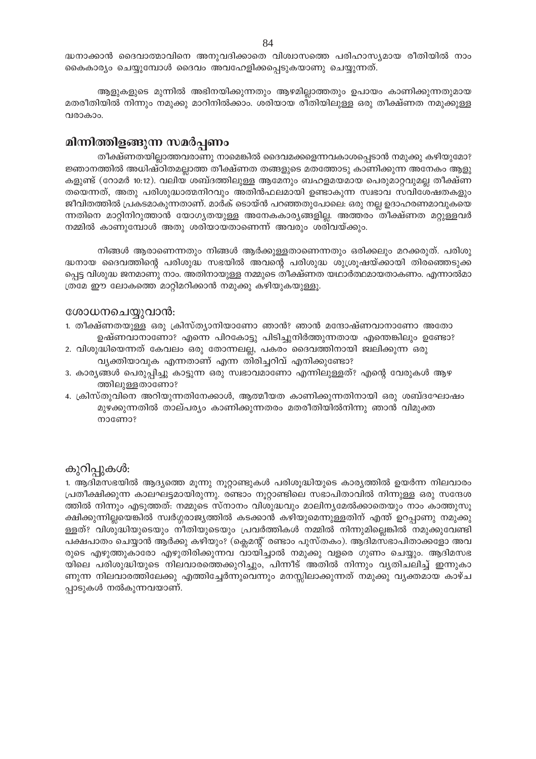ദ്ധനാക്കാൻ ദൈവാത്മാവിനെ അനുവദിക്കാതെ വിശ്വാസത്തെ പരിഹാസ്യമായ രീതിയിൽ നാം കൈകാര്യം ചെയ്യുമ്പോൾ ദൈവം അവഹേളിക്കപ്പെടുകയാണു ചെയ്യുന്നത്.

ആളുകളുടെ മുന്നിൽ അഭിനയിക്കുന്നതും ആഴമില്ലാത്തതും ഉപായം കാണിക്കുന്നതുമായ മതരീതിയിൽ നിന്നും നമുക്കു മാറിനിൽക്കാം. ശരിയായ രീതിയിലുള്ള ഒരു തീക്ഷ്ണത നമുക്കുള്ള വരാകാം.

# മിന്നിത്തിളങ്ങുന്ന സമർപ്പണം

തീക്ഷ്ണതയില്ലാത്തവരാണു നാമെങ്കിൽ ദൈവമക്കളെന്നവകാശപ്പെടാൻ നമുക്കു കഴിയുമോ? ജ്ഞാനത്തിൽ അധിഷ്ഠിതമല്ലാത്ത തീക്ഷ്ണത തങ്ങളുടെ മതത്തോടു കാണിക്കുന്ന അനേകം ആളു കളുണ്ട് (റോമർ 10:12). വലിയ ശബ്ദത്തിലുള്ള ആമേനും ബഹളമയമായ പെരുമാറ്റവുമല്ല തീക്ഷ്ണ തയെന്നത്, അതു പരിശുദ്ധാത്മനിറവും അതിൻഫലമായി ഉണ്ടാകുന്ന സ്വഭാവ സവിശേഷതകളും ജീവിതത്തിൽ പ്രകടമാകുന്നതാണ്. മാർക് ടൊയ്ൻ പറഞ്ഞതുപോലെ: ഒരു നല്ല ഉദാഹരണമാവുകയെ ന്നതിനെ മാറ്റിനിറുത്താൻ യോഗ്യതയുള്ള അനേകകാര്യങ്ങളില്ല. അത്തരം തീക്ഷ്ണത മറ്റുള്ളവർ നമ്മിൽ കാണുമ്പോൾ അതു ശരിയായതാണെന്ന് അവരും ശരിവയ്ക്കും.

നിങ്ങൾ ആരാണെന്നതും നിങ്ങൾ ആർക്കുള്ളതാണെന്നതും ഒരിക്കലും മറക്കരുത്. പരിശു ദ്ധനായ ദൈവത്തിന്റെ പരിശുദ്ധ സഭയിൽ അവന്റെ പരിശുദ്ധ ശുശ്രൂഷയ്ക്കായി തിരഞ്ഞെടുക്ക പ്പെട്ട വിശുദ്ധ ജനമാണു നാം. അതിനായുള്ള നമ്മുടെ തീക്ഷ്ണത യഥാർത്ഥമായതാകണം. എന്നാൽമാ ത്രമേ ഈ ലോകത്തെ മാറ്റിമറിക്കാൻ നമുക്കു കഴിയുകയുള്ളൂ.

# ശോധനചെയ്യുവാൻ:

- 1. തീക്ഷ്ണതയുള്ള ഒരു ക്രിസ്ത്യാനിയാണോ ഞാൻ? ഞാൻ മന്ദോഷ്ണവാനാണോ അതോ ഉഷ്ണവാനാണോ? എന്നെ പിറകോട്ടു പിടിച്ചുനിർത്തുന്നതായ എന്തെങ്കിലും ഉണ്ടോ?
- 2. വിശുദ്ധിയെന്നത് കേവലം ഒരു തോന്നലല്ല, പകരം ദൈവത്തിനായി ജ്വലിക്കുന്ന ഒരു വ്യക്തിയാവുക എന്നതാണ് എന്ന തിരിച്ചറിവ് എനിക്കുണ്ടോ?
- 3. കാര്യങ്ങൾ പെരുപ്പിച്ചു കാട്ടുന്ന ഒരു സ്വഭാവമാണോ എന്നിലുള്ളത്? എന്റെ വേരുകൾ ആഴ ത്തിലുള്ളതാണോ?
- 4. ക്രിസ്തുവിനെ അറിയുന്നതിനേക്കാൾ, ആത്മീയത കാണിക്കുന്നതിനായി ഒരു ശബ്ദഘോഷം മുഴക്കുന്നതിൽ താല്പര്യം കാണിക്കുന്നതരം മതരീതിയിൽനിന്നു ഞാൻ വിമുക്ത mocomo?

# കുറിപ്പുകൾ:

1. ആദിമസഭയിൽ ആദ്യത്തെ മൂന്നു നൂറ്റാണ്ടുകൾ പരിശൂദ്ധിയുടെ കാര്യത്തിൽ ഉയർന്ന നിലവാരം പ്രതീക്ഷിക്കുന്ന കാലഘട്ടമായിരുന്നു. രണ്ടാം നൂറ്റാണ്ടിലെ സഭാപിതാവിൽ നിന്നുള്ള ഒരു സന്ദേശ ത്തിൽ നിന്നും എടുത്തത്: നമ്മുടെ സ്നാനം വിശുദ്ധവും മാലിന്യമേൽക്കാതെയും നാം കാത്തുസൂ ക്ഷിക്കുന്നില്ലയെങ്കിൽ സ്വർഗ്ഗരാജ്യത്തിൽ കടക്കാൻ കഴിയുമെന്നുള്ളതിന് എന്ത് ഉറപ്പാണു നമുക്കു ള്ളത്? വിശുദ്ധിയുടെയും നീതിയുടെയും പ്രവർത്തികൾ നമ്മിൽ നിന്നുമില്ലെങ്കിൽ നമുക്കുവേണ്ടി പക്ഷപാതം ചെയ്യാൻ ആർക്കു കഴിയും? (ക്ലെമന്റ് രണ്ടാം പുസ്തകം). ആദിമസഭാപിതാക്കളോ അവ രുടെ എഴുത്തുകാരോ എഴുതിരിക്കുന്നവ വായിച്ചാൽ നമുക്കു വളരെ ഗുണം ചെയ്യും. ആദിമസഭ യിലെ പരിശുദ്ധിയുടെ നിലവാരത്തെക്കുറിച്ചും, പിന്നീട് അതിൽ നിന്നും വ്യതിചലിച്ച് ഇന്നുകാ ണുന്ന നിലവാരത്തിലേക്കു എത്തിച്ചേർന്നുവെന്നും മനസ്സിലാക്കുന്നത് നമുക്കു വ്യക്തമായ കാഴ്ച പ്പാടുകൾ നൽകുന്നവയാണ്.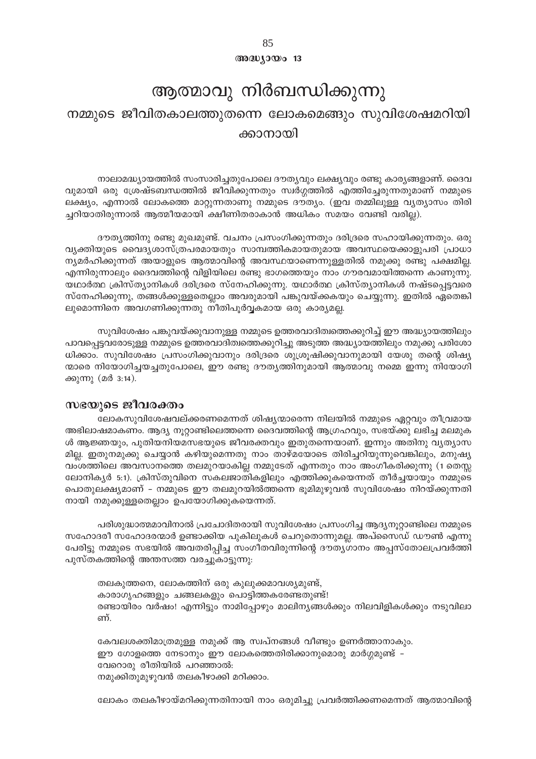$@0@0000013$ 

# ആത്മാവു നിർബന്ധിക്കുന്നു നമ്മുടെ ജീവിതകാലത്തുതന്നെ ലോകമെങ്ങും സുവിശേഷമറിയി ക്കാനായി

നാലാമദ്ധ്യായത്തിൽ സംസാരിച്ചതുപോലെ ദൗത്യവും ലക്ഷ്യവും രണ്ടു കാര്യങ്ങളാണ്. ദൈവ വുമായി ഒരു ശ്രേഷ്ടബന്ധത്തിൽ ജീവിക്കുന്നതും സ്വർഗ്ഗത്തിൽ എത്തിച്ചേരുന്നതുമാണ് നമ്മുടെ ലക്ഷ്യം, എന്നാൽ ലോകത്തെ മാറ്റുന്നതാണു നമ്മുടെ ദൗത്യം. (ഇവ തമ്മിലുള്ള വ്യത്യാസം തിരി ച്ചറിയാതിരുന്നാൽ ആത്മീയമായി ക്ഷീണിതരാകാൻ അധികം സമയം വേണ്ടി വരില്ല).

ദൗതൃത്തിനു രണ്ടു മുഖമുണ്ട്. വചനം പ്രസംഗിക്കുന്നതും ദരിദ്രരെ സഹായിക്കുന്നതും. ഒരു വ്യക്തിയുടെ വൈദ്യശാസ്ത്രപരമായതും സാമ്പത്തികമായതുമായ അവസ്ഥയെക്കാളുപരി പ്രാധാ ന്യമർഹിക്കുന്നത് അയാളുടെ ആത്മാവിന്റെ അവസ്ഥയാണെന്നുള്ളതിൽ നമുക്കു രണ്ടു പക്ഷമില്ല. എന്നിരുന്നാലും ദൈവത്തിന്റെ വിളിയിലെ രണ്ടു ഭാഗത്തെയും നാം ഗൗരവമായിത്തന്നെ കാണുന്നു. യഥാർത്ഥ ക്രിസ്ത്യാനികൾ ദരിദ്രരെ സ്നേഹിക്കുന്നു. യഥാർത്ഥ ക്രിസ്ത്യാനികൾ നഷ്ടപ്പെട്ടവരെ സ്നേഹിക്കുന്നു, തങ്ങൾക്കുള്ളതെല്ലാം അവരുമായി പങ്കുവയ്ക്കകയും ചെയ്യുന്നു. ഇതിൽ ഏതെങ്കി ലുമൊന്നിനെ അവഗണിക്കുന്നതു നീതിപൂർവ്വകമായ ഒരു കാര്യമല്ല.

സുവിശേഷം പങ്കുവയ്ക്കുവാനുള്ള നമ്മുടെ ഉത്തരവാദിത്വത്തെക്കുറിച്ച് ഈ അദ്ധ്യായത്തിലും പാവപ്പെട്ടവരോടുള്ള നമ്മുടെ ഉത്തരവാദിത്വത്തെക്കുറിച്ചു അടുത്ത അദ്ധ്യായത്തിലും നമുക്കു പരിശോ ധിക്കാം. സുവിശേഷം പ്രസംഗിക്കുവാനും ദരിദ്രരെ ശുശ്രൂഷിക്കുവാനുമായി യേശു തന്റെ ശിഷ്യ ന്മാരെ നിയോഗിച്ചയച്ചതുപോലെ, ഈ രണ്ടു ദൗതൃത്തിനുമായി ആത്മാവു നമ്മെ ഇന്നു നിയോഗി ക്കുന്നു (മർ 3:14).

# സഭയുടെ ജീവരക്തം

ലോകസുവിശേഷവല്ക്കരണമെന്നത് ശിഷ്യന്മാരെന്ന നിലയിൽ നമ്മുടെ ഏറ്റവും തീവ്രമായ അഭിലാഷമാകണം. ആദ്യ നൂറ്റാണ്ടിലെത്തന്നെ ദൈവത്തിന്റെ ആഗ്രഹവും, സഭയ്ക്കു ലഭിച്ച മലമുക ൾ ആജ്ഞയും, പുതിയനിയമസഭയുടെ ജീവരക്തവും ഇതുതന്നെയാണ്. ഇന്നും അതിനു വ്യത്യാസ മില്ല. ഇതുനമുക്കു ചെയ്യാൻ കഴിയുമെന്നതു നാം താഴ്മയോടെ തിരിച്ചറിയുന്നുവെങ്കിലും, മനുഷ്യ വംശത്തിലെ അവസാനത്തെ തലമുറയാകില്ല നമ്മുടേത് എന്നതും നാം അംഗീകരിക്കുന്നു (1 തെസ്സ ലോനികൃർ 5:1). ക്രിസ്തുവിനെ സകലജാതികളിലും എത്തിക്കുകയെന്നത് തീർച്ചയായും നമ്മുടെ പൊതുലക്ഷ്യമാണ് - നമ്മുടെ ഈ തലമുറയിൽത്തന്നെ ഭൂമിമുഴുവൻ സുവിശേഷം നിറയ്ക്കുന്നതി നായി നമുക്കുള്ളതെല്ലാം ഉപയോഗിക്കുകയെന്നത്.

പരിശുദ്ധാത്മമാവിനാൽ പ്രചോദിതരായി സുവിശേഷം പ്രസംഗിച്ച ആദ്യനൂറ്റാണ്ടിലെ നമ്മുടെ സഹോദരീ സഹോദരന്മാർ ഉണ്ടാക്കിയ പുകിലുകൾ ചെറുതൊന്നുമല്ല. അപ്സൈഡ് ഡൗൺ എന്നു പേരിട്ടു നമ്മുടെ സഭയിൽ അവതരിപ്പിച്ച സംഗീതവിരുന്നിന്റെ ദൗത്യഗാനം അപ്പസ്തോലപ്രവർത്തി പുസ്തകത്തിന്റെ അന്തസത്ത വരച്ചുകാട്ടുന്നു:

തലകുത്തനെ, ലോകത്തിന് ഒരു കുലുക്കമാവശ്യമുണ്ട്, കാരാഗൃഹങ്ങളും ചങ്ങലകളും പൊട്ടിത്തകരേണ്ടതുണ്ട്! രണ്ടായിരം വർഷം! എന്നിട്ടും നാമിപ്പോഴും മാലിന്യങ്ങൾക്കും നിലവിളികൾക്കും നടുവിലാ ണ്.

കേവലശക്തിമാത്രമുള്ള നമുക്ക് ആ സ്വപ്നങ്ങൾ വീണ്ടും ഉണർത്താനാകും. ഈ ഗോളത്തെ നേടാനും ഈ ലോകത്തെതിരിക്കാനുമൊരു മാർഗ്ഗമുണ്ട് – വേറൊരു രീതിയിൽ പറഞ്ഞാൽ: നമുക്കിതുമുഴുവൻ തലകീഴാക്കി മറിക്കാം.

ലോകം തലകീഴായ്മറിക്കുന്നതിനായി നാം ഒരുമിച്ചു പ്രവർത്തിക്കണമെന്നത് ആത്മാവിന്റെ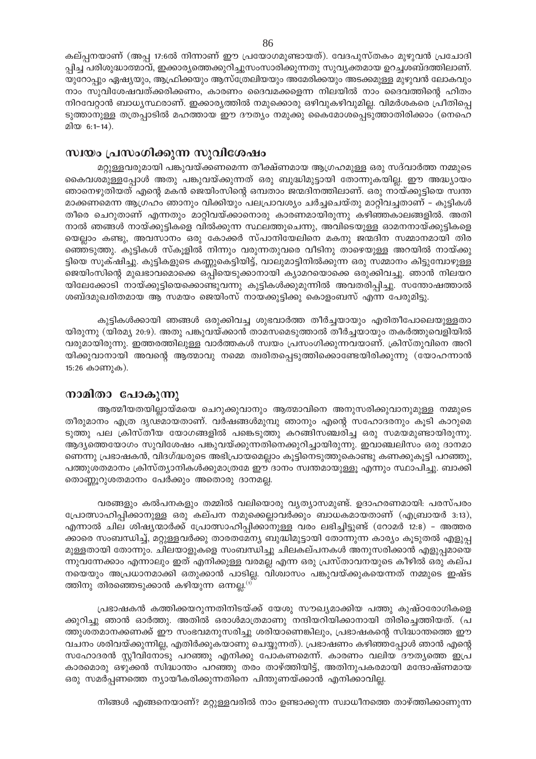കല്പ്പനയാണ് (അപ്പ 17:6ൽ നിന്നാണ് ഈ പ്രയോഗമുണ്ടായത്). വേദപുസ്തകം മുഴുവൻ പ്രചോദി പ്പിച്ച പരിശുദ്ധാത്മാവ്, ഇക്കാര്യത്തെക്കുറിച്ചുസംസാരിക്കുന്നതു സുവ്യക്തമായ ഉറച്ചശബ്ദത്തിലാണ്. യുറോപ്പും ഏഷ്യയും, ആഫ്രിക്കയും ആസ്ത്രേലിയയും അമേരിക്കയും അടക്കമുള്ള മുഴുവൻ ലോകവും നാം സുവിശേഷവത്ക്കരിക്കണം, കാരണം ദൈവമക്കളെന്ന നിലയിൽ നാം ദൈവത്തിന്റെ ഹിതം നിറവേറ്റാൻ ബാധ്യസ്ഥരാണ്. ഇക്കാര്യത്തിൽ നമുക്കൊരു ഒഴിവുകഴിവുമില്ല. വിമർശകരെ പ്രീതിപ്പെ ടുത്താനുള്ള തത്രപ്പാടിൽ മഹത്തായ ഈ ദൗത്യം നമുക്കു കൈമോശപ്പെടുത്താതിരിക്കാം (നെഹെ മിയ 6:1-14).

# സ്വയം പ്രസംഗിക്കുന്ന സുവിശേഷം

മറ്റുള്ളവരുമായി പങ്കുവയ്ക്കണമെന്ന തീക്ഷ്ണമായ ആഗ്രഹമുള്ള ഒരു സദ്വാർത്ത നമ്മുടെ കൈവശമുള്ളപ്പോൾ അതു പങ്കുവയ്ക്കുന്നത് ഒരു ബുദ്ധിമുട്ടായി തോന്നുകയില്ല. ഈ അദ്ധ്യായം ഞാനെഴുതിയത് എന്റെ മകൻ ജെയിംസിന്റെ ഒമ്പതാം ജന്മദിനത്തിലാണ്. ഒരു നായ്ക്കുട്ടിയെ സ്വന്ത മാക്കണമെന്ന ആഗ്രഹം ഞാനും വിക്കിയും പലപ്രാവശ്യം ചർച്ചചെയ്തു മാറ്റിവച്ചതാണ് – കുട്ടികൾ തീരെ ചെറുതാണ് എന്നതും മാറ്റിവയ്ക്കാനൊരു കാരണമായിരുന്നു കഴിഞ്ഞകാലങ്ങളിൽ. അതി നാൽ ഞങ്ങൾ നായ്ക്കുട്ടികളെ വിൽക്കുന്ന സ്ഥലത്തുചെന്നു, അവിടെയുള്ള ഓമനനായ്ക്കുട്ടികളെ യെല്ലാം കണ്ടു, അവസാനം ഒരു കോക്കർ സ്പാനിയേലിനെ മകനു ജന്മദിന സമ്മാനമായി തിര ഞ്ഞെടുത്തു. കുട്ടികൾ സ്കൂളിൽ നിന്നും വരുന്നതുവരെ വീടിനു താഴെയുള്ള അറയിൽ നായ്ക്കു ട്ടിയെ സൂക്ഷിച്ചു. കുട്ടികളുടെ കണ്ണുകെട്ടിയിട്ട്, വാലുമാട്ടിനിൽക്കുന്ന ഒരു സമ്മാനം കിട്ടുമ്പോഴുള്ള ജെയിംസിന്റെ മുഖഭാവമൊക്കെ ഒപ്പിയെടുക്കാനായി ക്യാമറയൊക്കെ ഒരുക്കിവച്ചു. ഞാൻ നിലയറ യിലേക്കോടി നായ്ക്കുട്ടിയെക്കൊണ്ടുവന്നു കുട്ടികൾക്കുമുന്നിൽ അവതരിപ്പിച്ചു. സന്തോഷത്താൽ ശബ്ദമുഖരിതമായ ആ സമയം ജെയിംസ് നായക്കുട്ടിക്കു കൊളംബസ് എന്ന പേരുമിട്ടു.

കുട്ടികൾക്കായി ഞങ്ങൾ ഒരുക്കിവച്ച ശുഭവാർത്ത തീർച്ചയായും എരിതീപോലെയുള്ളതാ യിരുന്നു (യിരമ്യ 20:9). അതു പങ്കുവയ്ക്കാൻ താമസമെടുത്താൽ തീർച്ചയായും തകർത്തുവെളിയിൽ വരുമായിരുന്നു. ഇത്തരത്തിലുള്ള വാർത്തകൾ സ്വയം പ്രസംഗിക്കുന്നവയാണ്. ക്രിസ്തുവിനെ അറി യിക്കുവാനായി അവന്റെ ആത്മാവു നമ്മെ ത്വരിതപ്പെടുത്തിക്കൊണ്ടേയിരിക്കുന്നു (യോഹന്നാൻ 15:26 കാണുക).

# നാമിതാ പോകുന്നു

ആത്മീയതയില്ലായ്മയെ ചെറുക്കുവാനും ആത്മാവിനെ അനുസരിക്കുവാനുമുള്ള നമ്മുടെ തീരുമാനം എത്ര ദൃഢമായതാണ്. വർഷങ്ങൾമുമ്പു ഞാനും എന്റെ സഹോദരനും കൂടി കാറുമെ ടുത്തു പല ക്രിസ്തീയ യോഗങ്ങളിൽ പങ്കെടുത്തു കറങ്ങിസഞ്ചരിച്ച ഒരു സമയമുണ്ടായിരുന്നു. ആദ്യത്തെയോഗം സുവിശേഷം പങ്കുവയ്ക്കുന്നതിനെക്കുറിച്ചായിരുന്നു. ഇവാഞ്ചലിസം ഒരു ദാനമാ ണെന്നു പ്രഭാഷകൻ, വിദഗ്ദ്ധരുടെ അഭിപ്രായമെല്ലാം കൂട്ടിനെടുത്തുകൊണ്ടു കണക്കുകൂട്ടി പറഞ്ഞു, പത്തുശതമാനം ക്രിസ്ത്യാനികൾക്കുമാത്രമേ ഈ ദാനം സ്വന്തമായുള്ളൂ എന്നും സ്ഥാപിച്ചു. ബാക്കി തൊണ്ണൂറുശതമാനം പേർക്കും അതൊരു ദാനമല്ല.

വരങ്ങളും കൽപനകളും തമ്മിൽ വലിയൊരു വ്യത്യാസമുണ്ട്. ഉദാഹരണമായി: പരസ്പരം പ്രോത്സാഹിപ്പിക്കാനുള്ള ഒരു കല്പന നമുക്കെല്ലാവർക്കും ബാധകമായതാണ് (എബ്രായർ 3:13), എന്നാൽ ചില ശിഷ്യന്മാർക്ക് പ്രോത്സാഹിപ്പിക്കാനുള്ള വരം ലഭിച്ചിട്ടുണ്ട് (റോമർ 12:8) - അത്തര ക്കാരെ സംബന്ധിച്ച്, മറ്റുള്ളവർക്കു താരതമേന്യ ബുദ്ധിമുട്ടായി തോന്നുന്ന കാര്യം കൂടുതൽ എളുപ്പ മുള്ളതായി തോന്നും. ചിലയാളുകളെ സംബന്ധിച്ചു ചിലകല്പനകൾ അനുസരിക്കാൻ എളുപ്പമായെ ന്നുവന്നേക്കാം എന്നാലും ഇത് എനിക്കുള്ള വരമല്ല എന്ന ഒരു പ്രസ്താവനയുടെ കീഴിൽ ഒരു കല്പ നയെയും അപ്രധാനമാക്കി ഒതുക്കാൻ പാടില്ല. വിശ്വാസം പങ്കുവയ്ക്കുകയെന്നത് നമ്മുടെ ഇഷ്ട ത്തിനു തിരഞ്ഞെടുക്കാൻ കഴിയുന്ന ഒന്നല്ല.<sup>(1)</sup>

പ്രഭാഷകൻ കത്തിക്കയറുന്നതിനിടയ്ക്ക് യേശു സൗഖ്യമാക്കിയ പത്തു കുഷ്ഠരോഗികളെ ക്കുറിച്ചു ഞാൻ ഓർത്തു. അതിൽ ഒരാൾമാത്രമാണു നന്ദിയറിയിക്കാനായി തിരിച്ചെത്തിയത്. (പ ത്തുശതമാനക്കണക്ക് ഈ സംഭവമനുസരിച്ചു ശരിയാണെങ്കിലും, പ്രഭാഷകന്റെ സിദ്ധാന്തത്തെ ഈ വചനം ശരിവയ്ക്കുന്നില്ല, എതിർക്കുകയാണു ചെയ്യുന്നത്). പ്രഭാഷണം കഴിഞ്ഞപ്പോൾ ഞാൻ എന്റെ സഹോദരൻ സ്റ്റീവിനോടു പറഞ്ഞു എനിക്കു പോകണമെന്ന്. കാരണം വലിയ ദൗത്യത്തെ ഇപ്ര കാരമൊരു ഒഴുക്കൻ സിദ്ധാന്തം പറഞ്ഞു തരം താഴ്ത്തിയിട്ട്, അതിനുപകരമായി മന്ദോഷ്ണമായ ഒരു സമർപ്പണത്തെ ന്യായീകരിക്കുന്നതിനെ പിന്തുണയ്ക്കാൻ എനിക്കാവില്ല.

നിങ്ങൾ എങ്ങനെയാണ്? മറ്റുള്ളവരിൽ നാം ഉണ്ടാക്കുന്ന സ്വാധീനത്തെ താഴ്ത്തിക്കാണുന്ന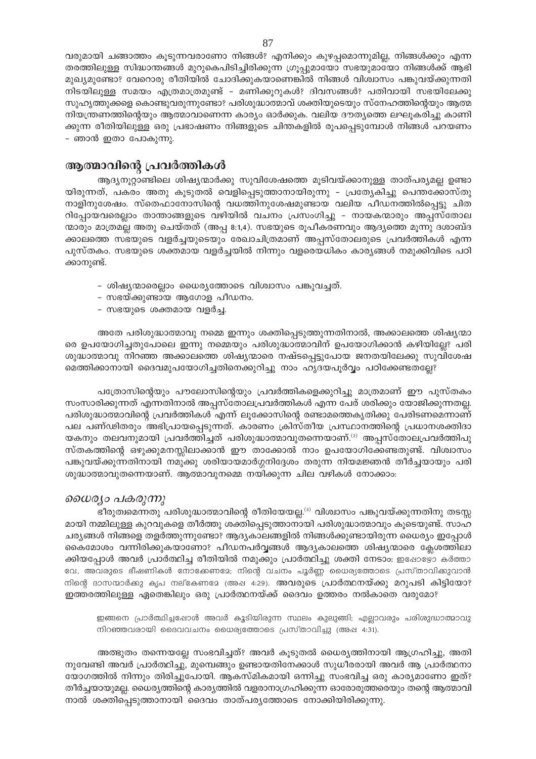വരുമായി ചങ്ങാത്തം കൂടുന്നവരാണോ നിങ്ങൾ? എനിക്കും കുഴപ്പമൊന്നുമില്ല, നിങ്ങൾക്കും എന്ന തരത്തിലുള്ള സിദ്ധാന്തങ്ങൾ മുറുകെപിടിച്ചിരിക്കുന്ന ഗ്രൂപ്പുമായോ സഭയുമായോ നിങ്ങൾക്ക് ആഭി മുഖ്യമുണ്ടോ? വേറൊരു രീതിയിൽ ചോദിക്കുകയാണെങ്കിൽ നിങ്ങൾ വിശ്വാസം പങ്കുവയ്ക്കുന്നതി നിടയിലുള്ള സമയം എത്രമാത്രമുണ്ട് - മണിക്കൂറുകൾ? ദിവസങ്ങൾ? പതിവായി സഭയിലേക്കു സുഹൃത്തുക്കളെ കൊണ്ടുവരുന്നുണ്ടോ? പരിശുദ്ധാത്മാവ് ശക്തിയുടെയും സ്നേഹത്തിന്റെയും ആത്മ നിയന്ത്രണത്തിന്റെയും ആത്മാവാണെന്ന കാര്യം ഓർക്കുക. വലിയ ദൗത്യത്തെ ലഘൂകരിച്ചു കാണി ക്കുന്ന രീതിയിലുള്ള ഒരു പ്രഭാഷണം നിങ്ങളുടെ ചിന്തകളിൽ രൂപപ്പെടുമ്പോൾ നിങ്ങൾ പറയണം - ഞാൻ ഇതാ പോകുന്നു.

# ആത്മാവിന്റെ പ്രവർത്തികൾ

ആദ്യനൂറ്റാണ്ടിലെ ശിഷ്യന്മാർക്കു സുവിശേഷത്തെ മൂടിവയ്ക്കാനുള്ള താത്പര്യമല്ല ഉണ്ടാ യിരുന്നത്, പകരം അതു കൂടുതൽ വെളിപ്പെടുത്താനായിരുന്നു - പ്രത്യേകിച്ചു പെന്തക്കോസ്തു നാളിനുശേഷം. സ്തെഫാനോസിന്റെ വധത്തിനുശേഷമുണ്ടായ വലിയ പീഡനത്തിൽപ്പെട്ടു ചിത റിപ്പോയവരെല്ലാം താന്താങ്ങളുടെ വഴിയിൽ വചനം പ്രസംഗിച്ചു – നായകന്മാരും അപ്പസ്തോല ന്മാരും മാത്രമല്ല അതു ചെയ്തത് (അപ്പ 8:1,4). സഭയുടെ രൂപീകരണവും ആദ്യത്തെ മൂന്നു ദശാബ്ദ ക്കാലത്തെ സഭയുടെ വളർച്ചയുടെയും രേഖാചിത്രമാണ് അപ്പസ്തോലരുടെ പ്രവർത്തികൾ എന്ന പുസ്തകം. സഭയുടെ ശക്തമായ വളർച്ചയിൽ നിന്നും വളരെയധികം കാര്യങ്ങൾ നമുക്കിവിടെ പഠി ക്കാനുണ്ട്.

- ശിഷ്യന്മാരെല്ലാം ധൈര്യത്തോടെ വിശ്വാസം പങ്കുവച്ചത്.
- സഭയ്ക്കുണ്ടായ ആഗോള പീഡനം.
- സഭയുടെ ശക്തമായ വളർച്ച.

അതേ പരിശുദ്ധാത്മാവു നമ്മെ ഇന്നും ശക്തിപ്പെടുത്തുന്നതിനാൽ, അക്കാലത്തെ ശിഷ്യന്മാ രെ ഉപയോഗിച്ചതുപോലെ ഇന്നു നമ്മെയും പരിശുദ്ധാത്മാവിന് ഉപയോഗിക്കാൻ കഴിയില്ലേ? പരി ശുദ്ധാത്മാവു നിറഞ്ഞ അക്കാലത്തെ ശിഷ്യന്മാരെ നഷ്ടപ്പെട്ടുപോയ ജനതയിലേക്കു സുവിശേഷ മെത്തിക്കാനായി ദൈവമുപയോഗിച്ചതിനെക്കുറിച്ചു നാം ഹൃദയപൂർവ്വം പഠിക്കേണ്ടതല്ലേ?

പത്രോസിന്റെയും പൗലോസിന്റെയും പ്രവർത്തികളെക്കുറിച്ചു മാത്രമാണ് ഈ പുസ്തകം സംസാരിക്കുന്നത് എന്നതിനാൽ അപ്പസ്തോലപ്രവർത്തികൾ എന്ന പേര് ശരിക്കും യോജിക്കുന്നതല്ല. പരിശുദ്ധാത്മാവിന്റെ പ്രവർത്തികൾ എന്ന് ലൂക്കോസിന്റെ രണ്ടാമത്തെകൃതിക്കു പേരിടണമെന്നാണ് പല പണ്ഢിതരും അഭിപ്രായപ്പെടുന്നത്. കാരണം ക്രിസ്തീയ പ്രസ്ഥാനത്തിന്റെ പ്രധാനശക്തിദാ യകനും തലവനുമായി പ്രവർത്തിച്ചത് പരിശുദ്ധാത്മാവുതന്നെയാണ്. $^{(2)}$  അപ്പസ്തോലപ്രവർത്തിപു സ്തകത്തിന്റെ ഒഴുക്കുമനസ്സിലാക്കാൻ ഈ താക്കോൽ നാം ഉപയോഗിക്കേണ്ടതുണ്ട്. വിശ്വാസം പങ്കുവയ്ക്കുന്നതിനായി നമുക്കു ശരിയായമാർഗ്ഗനിദ്ദേശം തരുന്ന നിയമജ്ഞൻ തീർച്ചയായും പരി ശുദ്ധാത്മാവുതന്നെയാണ്. ആത്മാവുനമ്മെ നയിക്കുന്ന ചില വഴികൾ നോക്കാം:

# ധൈര്യാ പകരുന്നു

ഭീരുത്വമെന്നതു പരിശുദ്ധാത്മാവിന്റെ രീതിയേയല്ല.<sup>(3)</sup> വിശ്വാസം പങ്കുവയ്ക്കുന്നതിനു തടസ്സ മായി നമ്മിലുള്ള കുറവുകളെ തീർത്തു ശക്തിപ്പെടുത്താനായി പരിശുദ്ധാത്മാവും കൂടെയുണ്ട്. സാഹ ചര്യങ്ങൾ നിങ്ങളെ തളർത്തുന്നുണ്ടോ? ആദ്യകാലങ്ങളിൽ നിങ്ങൾക്കുണ്ടായിരുന്ന ധൈര്യം ഇപ്പോൾ കൈമോശം വന്നിരിക്കുകയാണോ? പീഡനപർവ്വങ്ങൾ ആദ്യകാലത്തെ ശിഷ്യന്മാരെ ക്ലേശത്തിലാ ക്കിയപ്പോൾ അവർ പ്രാർത്ഥിച്ച രീതിയിൽ നമുക്കും പ്രാർത്ഥിച്ചു ശക്തി നേടാം: ഇഷോഴ്യോ കർത്താ വേ, അവരുടെ ഭീഷണികൾ നോക്കേണമേ; നിന്റെ വചനം പൂർണ്ണ ധൈര്യത്തോടെ പ്രസ്താവിക്കുവാൻ നിന്റെ ദാസന്മാർക്കു കൃപ നല്കേണദേ (അഷ 4:29). **അവ**രുടെ **പ്രാർത്ഥനയ്ക്കു മറുപടി കിട്ടിയോ**? ഇത്തരത്തിലുള്ള ഏതെങ്കിലും ഒരു പ്രാർത്ഥനയ്ക്ക് ദൈവം ഉത്തരം നൽകാതെ വരുമോ?

ഇങ്ങനെ പ്രാർത്ഥിച്ചപ്പോൾ അവർ കൂടിയിരുന്ന സ്ഥലം കുലുങ്ങി; എല്ലാവരും പരിശുദ്ധാത്മാവു നിറഞ്ഞവരായി ദൈവവചനം ധൈര്യത്തോടെ പ്രസ്താവിച്ചു (അഷ 4:31).

അത്ഭുതം തന്നെയല്ലേ സംഭവിച്ചത്? അവർ കൂടുതൽ ധൈര്യത്തിനായി ആഗ്രഹിച്ചു, അതി നുവേണ്ടി അവർ പ്രാർത്ഥിച്ചു, മുമ്പെങ്ങും ഉണ്ടായതിനേക്കാൾ സുധീരരായി അവർ ആ പ്രാർത്ഥനാ യോഗത്തിൽ നിന്നും തിരിച്ചുപോയി. ആകസ്മികമായി ഒന്നിച്ചു സംഭവിച്ച ഒരു കാര്യമാണോ ഇത്? തീർച്ചയായുമല്ല. ധൈര്യത്തിന്റെ കാര്യത്തിൽ വളരാനാഗ്രഹിക്കുന്ന ഓരോരുത്തരെയും തന്റെ ആത്മാവി നാൽ ശക്തിപ്പെടുത്താനായി ദൈവം താത്പര്യത്തോടെ നോക്കിയിരിക്കുന്നു.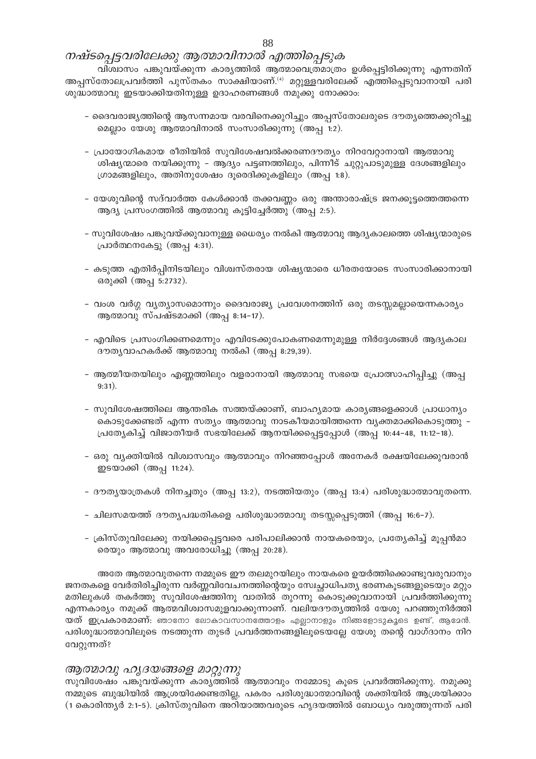# നഷ്ടപ്പെട്ടവരിലേക്കു ആത്മാവിനാൽ എത്തിപ്പെടുക

വിശ്വാസം പങ്കുവയ്ക്കുന്ന കാര്യത്തിൽ ആത്മാവെത്രമാത്രം ഉൾപ്പെട്ടിരിക്കുന്നു എന്നതിന് അപ്പസ്തോലപ്രവർത്തി പുസ്തകം സാക്ഷിയാണ്.<sup>(4)</sup> മറ്റുള്ളവരിലേക്ക് എത്തിപ്പെടുവാനായി പരി ശുദ്ധാത്മാവു ഇടയാക്കിയതിനുള്ള ഉദാഹരണങ്ങൾ നമുക്കു നോക്കാം:

- ദൈവരാജ്യത്തിന്റെ ആസന്നമായ വരവിനെക്കുറിച്ചും അപ്പസ്തോലരുടെ ദൗത്യത്തെക്കുറിച്ചു മെല്ലാം യേശു ആത്മാവിനാൽ സംസാരിക്കുന്നു (അപ്പ 1:2).
- പ്രായോഗികമായ രീതിയിൽ സുവിശേഷവൽക്കരണദൗത്യം നിറവേറ്റാനായി ആത്മാവു ശിഷ്യന്മാരെ നയിക്കുന്നു – ആദ്യം പട്ടണത്തിലും, പിന്നീട് ചുറ്റുപാടുമുള്ള ദേശങ്ങളിലും ഗ്രാമങ്ങളിലും, അതിനുശേഷം ദൂരെദിക്കുകളിലും (അപ്പ 1:8).
- യേശുവിന്റെ സദ്വാർത്ത കേൾക്കാൻ തക്കവണ്ണം ഒരു അന്താരാഷ്ട്ര ജനക്കൂട്ടത്തെത്തന്നെ ആദ്യ പ്രസംഗത്തിൽ ആത്മാവു കൂട്ടിച്ചേർത്തു (അപ്പ 2:5).
- സുവിശേഷം പങ്കുവയ്ക്കുവാനുള്ള ധൈര്യം നൽകി ആത്മാവു ആദ്യകാലത്തെ ശിഷ്യന്മാരുടെ പ്രാർത്ഥനകേട്ടു (അപ്പ 4:31).
- കടുത്ത എതിർപ്പിനിടയിലും വിശ്വസ്തരായ ശിഷ്യന്മാരെ ധീരതയോടെ സംസാരിക്കാനായി ഒരുക്കി (അപ്പ 5:2732).
- വംശ വർഗ്ഗ വ്യത്യാസമൊന്നും ദൈവരാജ്യ പ്രവേശനത്തിന് ഒരു തടസ്സമല്ലായെന്നകാര്യം ആത്മാവു സ്പഷ്ടമാക്കി (അപ്പ 8:14–17).
- എവിടെ പ്രസംഗിക്കണമെന്നും എവിടേക്കുപോകണമെന്നുമുള്ള നിർദ്ദേശങ്ങൾ ആദ്യകാല ദൗത്യവാഹകർക്ക് ആത്മാവു നൽകി (അപ്പ 8:29,39).
- ആത്മീയതയിലും എണ്ണത്തിലും വളരാനായി ആത്മാവു സഭയെ പ്രോത്സാഹിപ്പിച്ചു (അപ്പ  $9:31).$
- സുവിശേഷത്തിലെ ആന്തരിക സത്തയ്ക്കാണ്, ബാഹ്യമായ കാര്യങ്ങളെക്കാൾ പ്രാധാന്യം കൊടുക്കേണ്ടത് എന്ന സത്യം ആത്മാവു നാടകീയമായിത്തന്നെ വ്യക്തമാക്കികൊടുത്തു – പ്രത്യേകിച്ച് വിജാതീയർ സഭയിലേക്ക് ആനയിക്കപ്പെട്ടപ്പോൾ (അപ്പ 10:44-48, 11:12-18).
- ഒരു വ്യക്തിയിൽ വിശ്വാസവും ആത്മാവും നിറഞ്ഞപ്പോൾ അനേകർ രക്ഷയിലേക്കുവരാൻ ഇടയാക്കി (അപ്പ 11:24).
- ദൗതൃയാത്രകൾ നിനച്ചതും (അപ്പ 13:2), നടത്തിയതും (അപ്പ 13:4) പരിശുദ്ധാത്മാവുതന്നെ.
- ചിലസമയത്ത് ദൗതൃപദ്ധതികളെ പരിശുദ്ധാത്മാവു തടസ്സപ്പെടുത്തി (അപ്പ 16:6–7).
- ക്രിസ്തുവിലേക്കു നയിക്കപ്പെട്ടവരെ പരിപാലിക്കാൻ നായകരെയും, പ്രത്യേകിച്ച് മൂപ്പൻമാ രെയും ആത്മാവു അവരോധിച്ചു (അപ്പ 20:28).

അതേ ആത്മാവുതന്നെ നമ്മുടെ ഈ തലമുറയിലും നായകരെ ഉയർത്തിക്കൊണ്ടുവരുവാനും ജനതകളെ വേർതിരിച്ചിരുന്ന വർണ്ണവിവേചനത്തിന്റെയും സ്വേച്ഛാധിപത്യ ഭരണകൂടങ്ങളുടെയും മറ്റും മതിലുകൾ തകർത്തു സുവിശേഷത്തിനു വാതിൽ തുറന്നു കൊടുക്കുവാനായി പ്രവർത്തിക്കുന്നു എന്നകാര്യം നമുക്ക് ആത്മവിശ്വാസമുളവാക്കുന്നാണ്. വലിയദൗത്യത്തിൽ യേശു പറഞ്ഞുനിർത്തി യത് ഇപ്രകാരമാണ്: ഞാനോ ലോകാവസാനത്തോളം എല്ലാനാളും നിങ്ങളോടുകൂടെ ഉണ്ട്, ആമേൻ. പരിശുദ്ധാത്മാവിലൂടെ നടത്തുന്ന തുടർ പ്രവർത്തനങ്ങളിലൂടെയല്ലേ യേശു തന്റെ വാഗ്ദാനം നിറ വേറ്റുന്നത്?

#### ആത്മാവു ഹൃദയങ്ങളെ മാറ്റുന്നു

സുവിശേഷം പങ്കുവയ്ക്കുന്ന കാര്യത്തിൽ ആത്മാവും നമ്മോടു കൂടെ പ്രവർത്തിക്കുന്നു. നമുക്കു നമ്മുടെ ബുദ്ധിയിൽ ആശ്രയിക്കേണ്ടതില്ല, പകരം പരിശുദ്ധാത്മാവിന്റെ ശക്തിയിൽ ആശ്രയിക്കാം (1 കൊരിന്ത്യർ 2:1-5). ക്രിസ്തുവിനെ അറിയാത്തവരുടെ ഹൃദയത്തിൽ ബോധ്യം വരുത്തുന്നത് പരി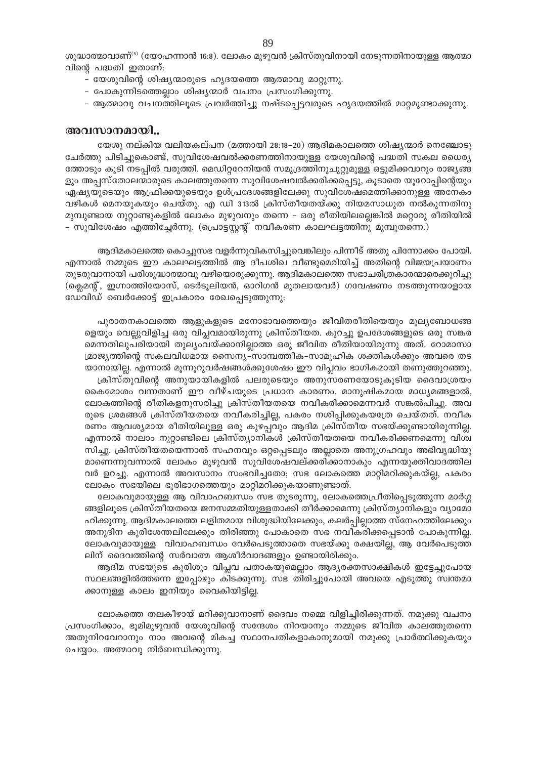ശുദ്ധാത്മാവാണ്<sup>ദ്ര)</sup> (യോഹന്നാൻ 16:8). ലോകം മുഴുവൻ ക്രിസ്തുവിനായി നേടുന്നതിനായുള്ള ആത്മാ വിന്റെ പദ്ധതി ഇതാണ്:

- യേശുവിന്റെ ശിഷ്യന്മാരുടെ ഹൃദയത്തെ ആത്മാവു മാറ്റുന്നു.
- പോകുന്നിടത്തെല്ലാം ശിഷ്യന്മാർ വചനം പ്രസംഗിക്കുന്നു.
- ആത്മാവു വചനത്തിലൂടെ പ്രവർത്തിച്ചു നഷ്ടപ്പെട്ടവരുടെ ഹൃദയത്തിൽ മാറ്റമുണ്ടാക്കുന്നു.

#### അവസാനമായി..

യേശു നല്കിയ വലിയകല്പന (മത്തായി 28:18–20) ആദിമകാലത്തെ ശിഷ്യന്മാർ നെഞ്ചോടു ചേർത്തു പിടിച്ചുകൊണ്ട്, സുവിശേഷവൽക്കരണത്തിനായുള്ള യേശുവിന്റെ പദ്ധതി സകല ധൈര്യ ത്തോടും കൂടി നടപ്പിൽ വരുത്തി. മെഡിറ്ററേനിയൻ സമുദ്രത്തിനുചുറ്റുമുള്ള ഒട്ടുമിക്കവാറും രാജ്യങ്ങ ളും അപ്പസ്തോലന്മാരുടെ കാലത്തുതന്നെ സുവിശേഷവൽക്കരിക്കപ്പെട്ടു, കൂടാതെ യൂറോപ്പിന്റെയും ഏഷ്യയുടെയും ആഫ്രിക്കയുടെയും ഉൾപ്രദേശങ്ങളിലേക്കു സുവിശേഷമെത്തിക്കാനുള്ള അനേകം വഴികൾ മെനയുകയും ചെയ്തു. എ ഡി 313ൽ ക്രിസ്തീയതയ്ക്കു നിയമസാധുത നൽകുന്നതിനു മുമ്പുണ്ടായ നുറ്റാണ്ടുകളിൽ ലോകം മുഴുവനും തന്നെ – ഒരു രീതിയിലല്ലെങ്കിൽ മറ്റൊരു രീതിയിൽ - സുവിശേഷം എത്തിച്ചേർന്നു. (പ്രൊട്ടസ്റ്റന്റ് നവീകരണ കാലഘട്ടത്തിനു മുമ്പുതന്നെ.)

ആദിമകാലത്തെ കൊച്ചുസഭ വളർന്നുവികസിച്ചുവെങ്കിലും പിന്നീട് അതു പിന്നോക്കം പോയി. എന്നാൽ നമ്മുടെ ഈ കാലഘട്ടത്തിൽ ആ ദീപശിഖ വീണ്ടുമെരിയിച്ച് അതിന്റെ വിജയപ്രയാണം തുടരുവാനായി പരിശുദ്ധാത്മാവു വഴിയൊരുക്കുന്നു. ആദിമകാലത്തെ സഭാചരിത്രകാരന്മാരെക്കുറിച്ചു (ക്ലെമന്റ്, ഇഗ്നാത്തിയോസ്, ടെർടൂലിയൻ, ഓറിഗൻ മുതലായവർ) ഗവേഷണം നടത്തുന്നയാളായ ഡേവിഡ് ബെർക്കോട്ട് ഇപ്രകാരം രേഖപ്പെടുത്തുന്നു:

പുരാതനകാലത്തെ ആളുകളുടെ മനോഭാവത്തെയും ജീവിതരീതിയെയും മൂല്യബോധങ്ങ ളെയും വെല്ലുവിളിച്ച ഒരു വിപ്ലവമായിരുന്നു ക്രിസ്തീയത. കുറച്ചു ഉപദേശങ്ങളുടെ ഒരു സങ്കര മെന്നതിലുപരിയായി തുല്യംവയ്ക്കാനില്ലാത്ത ഒരു ജീവിത രീതിയായിരുന്നു അത്. റോമാസാ മ്രാജ്യത്തിന്റെ സകലവിധമായ സൈന്യ–സാമ്പത്തീക–സാമൂഹിക ശക്തികൾക്കും അവരെ തട യാനായില്ല. എന്നാൽ മൂന്നൂറുവർഷങ്ങൾക്കുശേഷം ഈ വിപ്ലവം ഭാഗികമായി തണുത്തുറഞ്ഞു. ക്രിസ്തുവിന്റെ അനുയായികളിൽ പലരുടെയും അനുസരണയോടുകൂടിയ ദൈവാശ്രയം

കൈമോശം വന്നതാണ് ഈ വീഴ്ചയുടെ പ്രധാന കാരണം. മാനുഷികമായ മാധ്യമങ്ങളാൽ, ലോകത്തിന്റെ രീതികളനുസരിച്ചു ക്രിസ്തീയതയെ നവീകരിക്കാമെന്നവർ സങ്കൽപിച്ചു. അവ രുടെ ശ്രമങ്ങൾ ക്രിസ്തീയതയെ നവീകരിച്ചില്ല, പകരം നശിപ്പിക്കുകയത്രേ ചെയ്തത്. നവീക രണം ആവശ്യമായ രീതിയിലുള്ള ഒരു കുഴപ്പവും ആദിമ ക്രിസ്തീയ സഭയ്ക്കുണ്ടായിരുന്നില്ല. എന്നാൽ നാലാം നൂറ്റാണ്ടിലെ ക്രിസ്ത്യാനികൾ ക്രിസ്തീയതയെ നവീകരിക്കണമെന്നു വിശ്വ സിച്ചു. ക്രിസ്തീയതയെന്നാൽ സഹനവും ഒറ്റപ്പെടലും അല്ലാതെ അനുഗ്രഹവും അഭിവൃദ്ധിയു മാണെന്നുവന്നാൽ ലോകം മുഴുവൻ സുവിശേഷവല്ക്കരിക്കാനാകും എന്നയുക്തിവാദത്തില വർ ഉറച്ചു. എന്നാൽ അവസാനം സംഭവിച്ചതോ; സഭ ലോകത്തെ മാറ്റിമറിക്കുകയ്ല്ല, പകരം ലോകം സഭയിലെ ഭൂരിഭാഗത്തെയും മാറ്റിമറിക്കുകയാണുണ്ടാത്.

ലോകവുമായുള്ള ആ വിവാഹബന്ധം സഭ തുടരുന്നു, ലോകത്തെപ്രീതിപ്പെടുത്തുന്ന മാർഗ്ഗ ങ്ങളിലൂടെ ക്രിസ്തീയതയെ ജനസമ്മതിയുള്ളതാക്കി തീർക്കാമെന്നു ക്രിസ്ത്യാനികളും വ്യാമോ ഹിക്കുന്നു. ആദിമകാലത്തെ ലളിതമായ വിശുദ്ധിയിലേക്കും, കലർപ്പില്ലാത്ത സ്നേഹത്തിലേക്കും അനുദിന കുരിശേന്തലിലേക്കും തിരിഞ്ഞു പോകാതെ സഭ നവീകരിക്കപ്പെടാൻ പോകുന്നില്ല. ലോകവുമായുള്ള വിവാഹബന്ധം വേർപെടുത്താതെ സഭയ്ക്കു രക്ഷയില്ല, ആ വേർപെടുത്ത ലിന് ദൈവത്തിന്റെ സർവാത്മ ആശീർവാദങ്ങളും ഉണ്ടായിരിക്കും.

ആദിമ സഭയുടെ കുരിശും വിപ്ലവ പതാകയുമെല്ലാം ആദ്യരക്തസാക്ഷികൾ ഇട്ടേച്ചുപോയ സ്ഥലങ്ങളിൽത്തന്നെ ഇപ്പോഴും കിടക്കുന്നു. സഭ തിരിച്ചുപോയി അവയെ എടുത്തു സ്വന്തമാ ക്കാനുള്ള കാലം ഇനിയും വൈകിയിട്ടില്ല.

ലോകത്തെ തലകീഴായ് മറിക്കുവാനാണ് ദൈവം നമ്മെ വിളിച്ചിരിക്കുന്നത്. നമുക്കു വചനം പ്രസംഗിക്കാം, ഭൂമിമുഴുവൻ യേശുവിന്റെ സന്ദേശം നിറയാനും നമ്മുടെ ജീവിത കാലത്തുതന്നെ അതുനിറവേറാനും നാം അവന്റെ മികച്ച സ്ഥാനപതികളാകാനുമായി നമുക്കു പ്രാർത്ഥിക്കുകയും ചെയ്യാം. അത്മാവു നിർബന്ധിക്കുന്നു.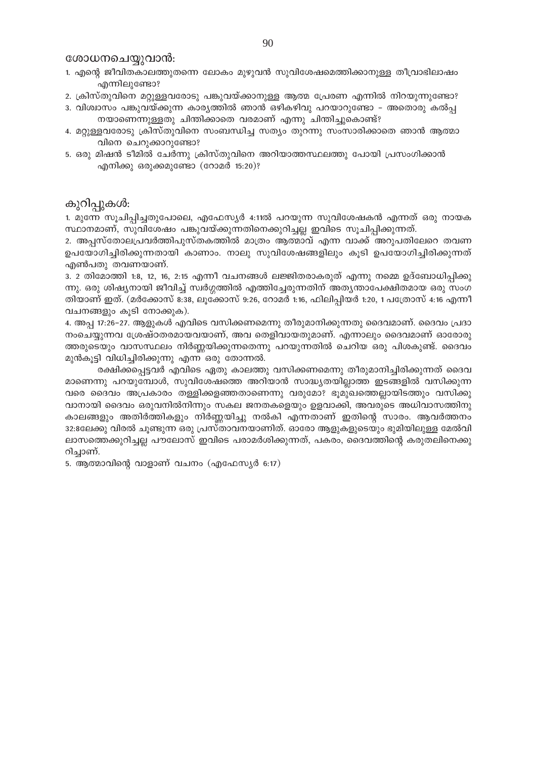ശോധനചെയ്യവാൻ:

- 1. എന്റെ ജീവിതകാലത്തുതന്നെ ലോകം മുഴുവൻ സുവിശേഷമെത്തിക്കാനുള്ള തീവ്രാഭിലാഷം എന്നിലുണ്ടോ?
- 2. ക്രിസ്തുവിനെ മറ്റുള്ളവരോടു പങ്കുവയ്ക്കാനുള്ള ആത്മ പ്രേരണ എന്നിൽ നിറയുന്നുണ്ടോ?
- 3. വിശ്വാസം പങ്കുവയ്ക്കുന്ന കാര്യത്തിൽ ഞാൻ ഒഴികഴിവു പറയാറുണ്ടോ അതൊരു കൽപ നയാണെന്നുള്ളതു ചിന്തിക്കാതെ വരമാണ് എന്നു ചിന്തിച്ചുകൊണ്ട്?
- 4. മറ്റുള്ളവരോടു ക്രിസ്തുവിനെ സംബന്ധിച്ച സത്യം തുറന്നു സംസാരിക്കാതെ ഞാൻ ആത്മാ വിനെ ചെറുക്കാറുണ്ടോ?
- 5. ഒരു മിഷൻ ടീമിൽ ചേർന്നു ക്രിസ്തുവിനെ അറിയാത്തസ്ഥലത്തു പോയി പ്രസംഗിക്കാൻ  $q_0$ നിക്കു ഒരുക്കമുണ്ടോ (റോമർ 15:20)?

# കുറിപ്പുകൾ:

1. മുന്നേ സൂചിപ്പിച്ചതുപോലെ, എഫേസ്യർ 4:11ൽ പറയുന്ന സുവിശേഷകൻ എന്നത് ഒരു നായക സ്ഥാനമാണ്, സുവിശേഷം പങ്കുവയ്ക്കുന്നതിനെക്കുറിച്ചല്ല ഇവിടെ സൂചിപ്പിക്കുന്നത്.

2. അപ്പസ്തോലപ്രവർത്തിപുസ്തകത്തിൽ മാത്രം ആത്മാവ് എന്ന വാക്ക് അറുപതിലേറെ തവണ ഉപയോഗിച്ചിരിക്കുന്നതായി കാണാം. നാലു സുവിശേഷങ്ങളിലും കുടി ഉപയോഗിച്ചിരിക്കുന്നത് എൺപതു തവണയാണ്.

3. 2 തിമോത്തി 1:8, 12, 16, 2:15 എന്നീ വചനങ്ങൾ ലജ്ജിതരാകരുത് എന്നു നമ്മെ ഉദ്ബോധിപ്പിക്കു ന്നു. ഒരു ശിഷ്യനായി ജീവിച്ച് സ്വർഗ്ഗത്തിൽ എത്തിച്ചേരുന്നതിന് അത്യന്താപേക്ഷിതമായ ഒരു സംഗ തിയാണ് ഇത്. (മർക്കോസ് 8:38, ലൂക്കോസ് 9:26, റോമർ 1:16, ഫിലിപ്പിയർ 1:20, 1 പത്രോസ് 4:16 എന്നീ വചനങ്ങളും കൂടി നോക്കുക).

4. അപ്പ 17:26–27. ആളുകൾ എവിടെ വസിക്കണമെന്നു തീരുമാനിക്കുന്നതു ദൈവമാണ്. ദൈവം പ്രദാ നംചെയ്യുന്നവ ശ്രേഷ്ഠതരമായവയാണ്, അവ തെളിവായതുമാണ്. എന്നാലും ദൈവമാണ് ഓരോരു ത്തരുടെയും വാസസ്ഥലം നിർണ്ണയിക്കുന്നതെന്നു പറയുന്നതിൽ ചെറിയ ഒരു പിശകുണ്ട്. ദൈവം മുൻകൂട്ടി വിധിച്ചിരിക്കുന്നു എന്ന ഒരു തോന്നൽ.

രക്ഷിക്കപ്പെട്ടവർ എവിടെ ഏതു കാലത്തു വസിക്കണമെന്നു തീരുമാനിച്ചിരിക്കുന്നത് ദൈവ മാണെന്നു പറയുമ്പോൾ, സുവിശേഷത്തെ അറിയാൻ സാദ്ധ്യതയില്ലാത്ത ഇടങ്ങളിൽ വസിക്കുന്ന വരെ ദൈവം അപ്രകാരം തള്ളിക്കളഞ്ഞതാണെന്നു വരുമോ? ഭൂമുഖത്തെല്ലായിടത്തും വസിക്കു വാനായി ദൈവം ഒരുവനിൽനിന്നും സകല ജനതകളെയും ഉളവാക്കി, അവരുടെ അധിവാസത്തിനു കാലങ്ങളും അതിർത്തികളും നിർണ്ണയിച്ചു നൽകി എന്നതാണ് ഇതിന്റെ സാരം. ആവർത്തനം 32:8ലേക്കു വിരൽ ചൂണ്ടുന്ന ഒരു പ്രസ്താവനയാണിത്. ഓരോ ആളുകളുടെയും ഭുമിയിലുള്ള മേൽവി ലാസത്തെക്കുറിച്ചല്ല പൗലോസ് ഇവിടെ പരാമർശിക്കുന്നത്, പകരം, ദൈവത്തിന്റെ കരുതലിനെക്കു റിച്ചാണ്.

5. ആത്മാവിന്റെ വാളാണ് വചനം (എഫേസ്യർ 6:17)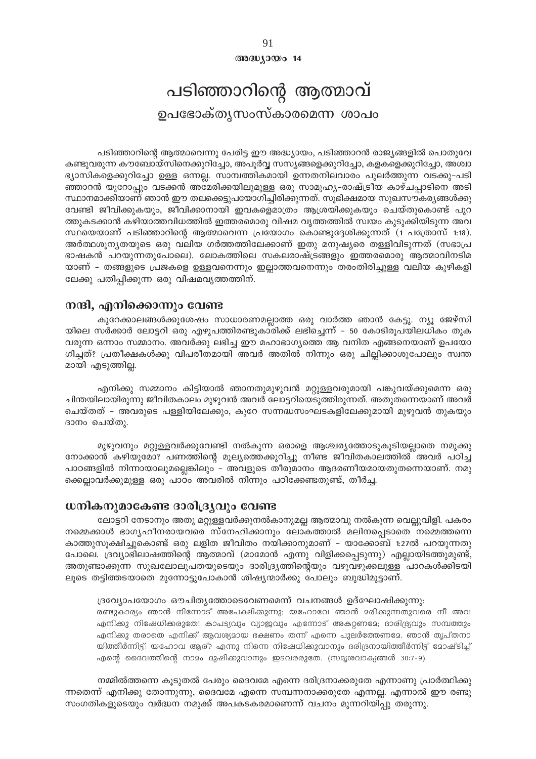$@0@0J0@014$ 

# പടിഞ്ഞാറിന്റെ ആത്മാവ് ഉപഭോക്തൃസംസ്കാരമെന്ന ശാപം

പടിഞ്ഞാറിന്റെ ആത്മാവെന്നു പേരിട്ട ഈ അദ്ധ്യായം, പടിഞ്ഞാറൻ രാജ്യങ്ങളിൽ പൊതുവേ കണ്ടുവരുന്ന കൗബോയ്സിനെക്കുറിച്ചോ, അപൂർവ്വ സസ്യങ്ങളെക്കുറിച്ചോ, കളകളെക്കുറിച്ചോ, അശ്വാ ഭ്യാസികളെക്കുറിച്ചോ ഉള്ള ഒന്നല്ല. സാമ്പത്തികമായി ഉന്നതനിലവാരം പുലർത്തുന്ന വടക്കു-പടി ഞ്ഞാറൻ യൂറോപ്പും വടക്കൻ അമേരിക്കയിലുമുള്ള ഒരു സാമൂഹ്യ-രാഷ്ട്രീയ കാഴ്ചപ്പാടിനെ അടി സ്ഥാനമാക്കിയാണ് ഞാൻ ഈ തലക്കെട്ടുപയോഗിച്ചിരിക്കുന്നത്. സൂഭിക്ഷമായ സുഖസൗകര്യങ്ങൾക്കു വേണ്ടി ജീവിക്കുകയും, ജീവിക്കാനായി ഇവകളെമാത്രം ആശ്രയിക്കുകയും ചെയ്തുകൊണ്ട് പുറ ത്തുകടക്കാൻ കഴിയാത്തവിധത്തിൽ ഇത്തരമൊരു വിഷമ വൃത്തത്തിൽ സ്വയം കുടുക്കിയിടുന്ന അവ സ്ഥയെയാണ് പടിഞ്ഞാറിന്റെ ആത്മാവെന്ന പ്രയോഗം കൊണ്ടുദ്ദേശിക്കുന്നത് (1 പത്രോസ് 1:18). അർത്ഥശൂന്യതയുടെ ഒരു വലിയ ഗർത്തത്തിലേക്കാണ് ഇതു മനുഷ്യരെ തള്ളിവിടുന്നത് (സഭാപ്ര ഭാഷകൻ പറയുന്നതുപോലെ). ലോകത്തിലെ സകലരാഷ്ട്രങ്ങളും ഇത്തരമൊരു ആത്മാവിനടിമ യാണ് - തങ്ങളുടെ പ്രജകളെ ഉള്ളവനെന്നും ഇല്ലാത്തവനെന്നും തരംതിരിച്ചുള്ള വലിയ കുഴികളി ലേക്കു പതിപ്പിക്കുന്ന ഒരു വിഷമവൃത്തത്തിന്.

# നന്ദി, എനിക്കൊന്നും വേണ്ട

കുറേക്കാലങ്ങൾക്കുശേഷം സാധാരണമല്ലാത്ത ഒരു വാർത്ത ഞാൻ കേട്ടു. ന്യൂ ജേഴ്സി യിലെ സർക്കാർ ലോട്ടറി ഒരു എഴുപത്തിരണ്ടുകാരിക്ക് ലഭിച്ചെന്ന് – 50 കോടിരൂപയിലധികം തുക വരുന്ന ഒന്നാം സമ്മാനം. അവർക്കു ലഭിച്ച ഈ മഹാഭാഗ്യത്തെ ആ വനിത എങ്ങനെയാണ് ഉപയോ ഗിച്ചത്? പ്രതീക്ഷകൾക്കു വിപരീതമായി അവർ അതിൽ നിന്നും ഒരു ചില്ലിക്കാശുപോലും സ്വന്ത മായി എടുത്തില്ല.

എനിക്കു സമ്മാനം കിട്ടിയാൽ ഞാനതുമുഴുവൻ മറ്റുള്ളവരുമായി പങ്കുവയ്ക്കുമെന്ന ഒരു ചിന്തയിലായിരുന്നു ജീവിതകാലം മുഴുവൻ അവർ ലോട്ടറിയെടുത്തിരുന്നത്. അതുതന്നെയാണ് അവർ ചെയ്തത് – അവരുടെ പള്ളിയിലേക്കും, കുറേ സന്നദ്ധസംഘടകളിലേക്കുമായി മുഴുവൻ തുകയും ദാനം ചെയ്തു.

മുഴുവനും മറ്റുള്ളവർക്കുവേണ്ടി നൽകുന്ന ഒരാളെ ആശ്ചര്യത്തോടുകൂടിയല്ലാതെ നമുക്കു നോക്കാൻ കഴിയുമോ? പണത്തിന്റെ മൂല്യത്തെക്കുറിച്ചു നീണ്ട ജീവിതകാലത്തിൽ അവർ പഠിച്ച പാഠങ്ങളിൽ നിന്നായാലുമല്ലെങ്കിലും – അവളുടെ തീരുമാനം ആദരണീയമായതുതന്നെയാണ്. നമു ക്കെല്ലാവർക്കുമുള്ള ഒരു പാഠം അവരിൽ നിന്നും പഠിക്കേണ്ടതുണ്ട്, തീർച്ച.

#### ധനികനുമാകേണ്ട ദാരിദ്ര്യവും വേണ്ട

ലോട്ടറി നേടാനും അതു മറ്റുള്ളവർക്കുനൽകാനുമല്ല ആത്മാവു നൽകുന്ന വെല്ലുവിളി. പകരം നമ്മെക്കാൾ ഭാഗൃഹീനരായവരെ സ്നേഹിക്കാനും ലോകത്താൽ മലിനപ്പെടാതെ നമ്മെത്തന്നെ കാത്തുസൂക്ഷിച്ചുകൊണ്ട് ഒരു ലളിത ജീവിതം നയിക്കാനുമാണ് – യാക്കോബ് 1:27ൽ പറയുന്നതു പോലെ. ദ്രവ്യാഭിലാഷത്തിന്റെ ആത്മാവ് (മാമോൻ എന്നു വിളിക്കപ്പെടുന്നു) എല്ലായിടത്തുമുണ്ട്, അതുണ്ടാക്കുന്ന സുഖലോലുപതയുടെയും ദാരിദ്ര്യത്തിന്റെയും വഴുവഴുക്കലുള്ള പാറകൾക്കിടയി ലൂടെ തട്ടിത്തടയാതെ മുന്നോട്ടുപോകാൻ ശിഷ്യന്മാർക്കു പോലും ബുദ്ധിമുട്ടാണ്.

#### ദ്രവ്യോപയോഗം ഔചിതൃത്തോടെവേണമെന്ന് വചനങ്ങൾ ഉദ്ഘോഷിക്കുന്നു:

രണ്ടുകാര്യം ഞാൻ നിന്നോട് അപേക്ഷിക്കുന്നു; യഹോവേ ഞാൻ മരിക്കുന്നതുവരെ നീ അവ എനിക്കു നിഷേധിക്കരുതേ! കാപട്യവും വ്യാജവും എന്നോട് അകറ്റണദേ; ദാരിദ്ര്യവും സമ്പത്തും എനിക്കു തരാതെ എനിക്ക് ആവശ്യമായ ഭക്ഷണം തന്ന് എന്നെ പുലർത്തേണമേ. ഞാൻ തൃപ്തനാ യിത്തീർന്നിട്ട്: യഹോവ ആര്? എന്നു നിന്നെ നിഷേധിക്കുവാനും ദരിദ്രനായിത്തീർന്നിട്ട് മോഷ്ടിച്ച് എന്റെ ദൈവത്തിന്റെ നാമം ദുഷിക്കുവാനും ഇടവരരുതേ. (സദൃശവാക്യങ്ങൾ 30:7-9).

നമ്മിൽത്തന്നെ കൂടുതൽ പേരും ദൈവമേ എന്നെ ദരിദ്രനാക്കരുതേ എന്നാണു പ്രാർത്ഥിക്കു ന്നതെന്ന് എനിക്കു തോന്നുന്നു, ദൈവമേ എന്നെ സമ്പന്നനാക്കരുതേ എന്നല്ല. എന്നാൽ ഈ രണ്ടു സംഗതികളുടെയും വർദ്ധന നമുക്ക് അപകടകരമാണെന്ന് വചനം മുന്നറിയിപ്പു തരുന്നു.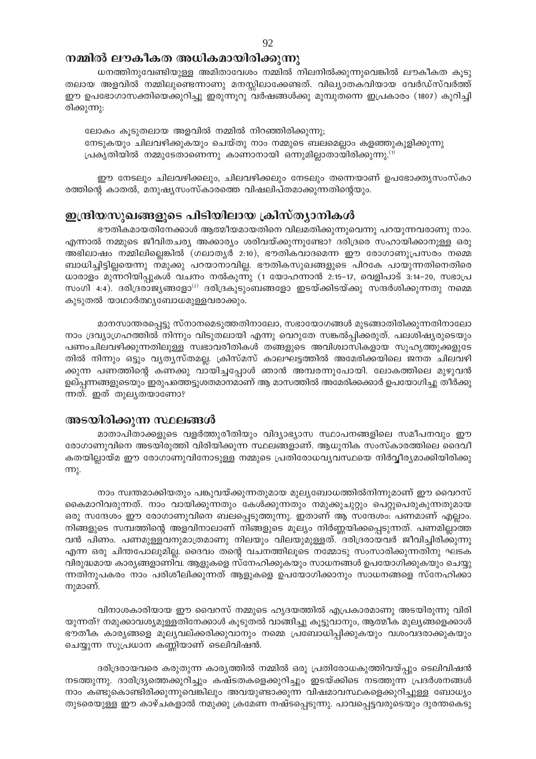# നമ്മിൽ ലൗകീകത അധികമായിരിക്കുന്നു

ധനത്തിനുവേണ്ടിയുള്ള അമിതാവേശം നമ്മിൽ നിലനിൽക്കുന്നുവെങ്കിൽ ലൗകീകത കൂടു തലായ അളവിൽ നമ്മിലുണ്ടെന്നാണു മനസ്സിലാക്കേണ്ടത്. വിഖ്യാതകവിയായ വേർഡ്സ്വർത്ത് ഈ ഉപഭോഗാസക്തിയെക്കുറിച്ചു ഇരുന്നൂറു വർഷങ്ങൾക്കു മുമ്പുതന്നെ ഇപ്രകാരം (1807) കുറിച്ചി രിക്കുന്നു:

ലോകം കൂടുതലായ അളവിൽ നമ്മിൽ നിറഞ്ഞിരിക്കുന്നു; നേടുകയും ചിലവഴിക്കുകയും ചെയ്തു നാം നമ്മുടെ ബലമെല്ലാം കളഞ്ഞുകുളിക്കുന്നു പ്രകൃതിയിൽ നമ്മുടേതാണെന്നു കാണാനായി ഒന്നുമില്ലാതായിരിക്കുന്നു. $^{(1)}$ 

ഈ നേടലും ചിലവഴിക്കലും, ചിലവഴിക്കലും നേടലും തന്നെയാണ് ഉപഭോക്തൃസംസ്കാ രത്തിന്റെ കാതൽ, മനുഷ്യസംസ്കാരത്തെ വിഷലിപ്തമാക്കുന്നതിന്റെയും.

# ഇന്ദ്രിയസുഖങ്ങളുടെ പിടിയിലായ ക്രിസ്ത്യാനികൾ

ഭൗതികമായതിനേക്കാൾ ആത്മീയമായതിനെ വിലമതിക്കുന്നുവെന്നു പറയുന്നവരാണു നാം. എന്നാൽ നമ്മുടെ ജീവിതചര്യ അക്കാര്യം ശരിവയ്ക്കുന്നുണ്ടോ? ദരിദ്രരെ സഹായിക്കാനുള്ള ഒരു അഭിലാഷം നമ്മിലില്ലെങ്കിൽ (ഗലാതൃർ 2:10), ഭൗതികവാദമെന്ന ഈ രോഗാണുപ്രസരം നമ്മെ ബാധിച്ചിട്ടില്ലയെന്നു നമുക്കു പറയാനാവില്ല. ഭൗതികസുഖങ്ങളുടെ പിറകേ പായുന്നതിനെതിരെ ധാരാളം മുന്നറിയിപ്പുകൾ വചനം നൽകുന്നു (1 യോഹന്നാൻ 2:15-17, വെളിപാട് 3:14-20, സഭാപ്ര സംഗി 4:4). ദരിദ്രരാജ്യങ്ങളോ<sup>(2)</sup> ദരിദ്രകുടുംബങ്ങളോ ഇടയ്ക്കിടയ്ക്കു സന്ദർശിക്കുന്നതു നമ്മെ കുടുതൽ യാഥാർത്ഥ്യബോധമുള്ളവരാക്കും.

മാനസാന്തരപ്പെട്ടു സ്നാനമെടുത്തതിനാലോ, സഭായോഗങ്ങൾ മുടങ്ങാതിരിക്കുന്നതിനാലോ നാം ദ്രവ്യാഗ്രഹത്തിൽ നിന്നും വിടുതലായി എന്നു വെറുതേ സങ്കൽപ്പിക്കരുത്. പലശിഷ്യരുടെയും പണംചിലവഴിക്കുന്നതിലുള്ള സ്വഭാവരീതികൾ തങ്ങളുടെ അവിശ്വാസികളായ സുഹൃത്തുക്കളുടേ തിൽ നിന്നും ഒട്ടും വ്യത്യസ്തമല്ല. ക്രിസ്മസ് കാലഘട്ടത്തിൽ അമേരിക്കയിലെ ജനത ചിലവഴി ക്കുന്ന പണത്തിന്റെ കണക്കു വായിച്ചപ്പോൾ ഞാൻ അമ്പരന്നുപോയി. ലോകത്തിലെ മുഴുവൻ ഉല്പ്പന്നങ്ങളുടെയും ഇരുപത്തെട്ടുശതമാനമാണ് ആ മാസത്തിൽ അമേരിക്കക്കാർ ഉപയോഗിച്ചു തീർക്കു ന്നത്. ഇത് തുലൃതയാണോ?

# അടയിരിക്കുന്ന സ്ഥലങ്ങൾ

മാതാപിതാക്കളുടെ വളർത്തുരീതിയും വിദ്യാഭ്യാസ സ്ഥാപനങ്ങളിലെ സമീപനവും ഈ രോഗാണുവിനെ അടയിരുത്തി വിരിയിക്കുന്ന സ്ഥലങ്ങളാണ്. ആധുനിക സംസ്കാരത്തിലെ ദൈവീ കതയില്ലായ്മ ഈ രോഗാണുവിനോടുള്ള നമ്മുടെ പ്രതിരോധവ്യവസ്ഥയെ നിർവ്വീര്യമാക്കിയിരിക്കു  $mp<sub>k</sub>$ .

നാം സ്വന്തമാക്കിയതും പങ്കുവയ്ക്കുന്നതുമായ മുല്യബോധത്തിൽനിന്നുമാണ് ഈ വൈറസ് കൈമാറിവരുന്നത്. നാം വായിക്കുന്നതും കേൾക്കുന്നതും നമുക്കുചുറ്റും പെറ്റുപെരുകുന്നതുമായ ഒരു സന്ദേശം ഈ രോഗാണുവിനെ ബലപ്പെടുത്തുന്നു. ഇതാണ് ആ സന്ദേശം: പണമാണ് എല്ലാം. നിങ്ങളുടെ സമ്പത്തിന്റെ അളവിനാലാണ് നിങ്ങളുടെ മൂല്യം നിർണ്ണയിക്കപ്പെടുന്നത്. പണമില്ലാത്ത വൻ പിണം. പണമുള്ളവനുമാത്രമാണു നിലയും വിലയുമുള്ളത്. ദരിദ്രരായവർ ജീവിച്ചിരിക്കുന്നു എന്ന ഒരു ചിന്തപോലുമില്ല. ദൈവം തന്റെ വചനത്തിലൂടെ നമ്മോടു സംസാരിക്കുന്നതിനു ഘടക വിരുദ്ധമായ കാര്യങ്ങളാണിവ. ആളുകളെ സ്നേഹിക്കുകയും സാധനങ്ങൾ ഉപയോഗിക്കുകയും ചെയ്യു ന്നതിനുപകരം നാം പരിശീലിക്കുന്നത് ആളുകളെ ഉപയോഗിക്കാനും സാധനങ്ങളെ സ്നേഹിക്കാ നുമാണ്.

വിനാശകാരിയായ ഈ വൈറസ് നമ്മുടെ ഹൃദയത്തിൽ എപ്രകാരമാണു അടയിരുന്നു വിരി യുന്നത്? നമുക്കാവശ്യമുള്ളതിനേക്കാൾ കൂടുതൽ വാങ്ങിച്ചു കൂട്ടുവാനും, ആത്മീക മുല്യങ്ങളെക്കാൾ ഭൗതീക കാര്യങ്ങളെ മൂല്യവല്ക്കരിക്കുവാനും നമ്മെ പ്രബോധിപ്പിക്കുകയും വശംവദരാക്കുകയും ചെയ്യുന്ന സുപ്രധാന കണ്ണിയാണ് ടെലിവിഷൻ.

ദരിദ്രരായവരെ കരുതുന്ന കാര്യത്തിൽ നമ്മിൽ ഒരു പ്രതിരോധകുത്തിവയ്പ്പും ടെലിവിഷൻ നടത്തുന്നു. ദാരിദ്ര്യത്തെക്കുറിച്ചും കഷ്ടതകളെക്കുറിച്ചും ഇടയ്ക്കിടെ നടത്തുന്ന പ്രദർശനങ്ങൾ നാം കണ്ടുകൊണ്ടിരിക്കുന്നുവെങ്കിലും അവയുണ്ടാക്കുന്ന വിഷമാവസ്ഥകളെക്കുറിച്ചുള്ള ബോധ്യം തുടരെയുള്ള ഈ കാഴ്ചകളാൽ നമുക്കു ക്രമേണ നഷ്ടപ്പെടുന്നു. പാവപ്പെട്ടവരുടെയും ദുരന്തകെടു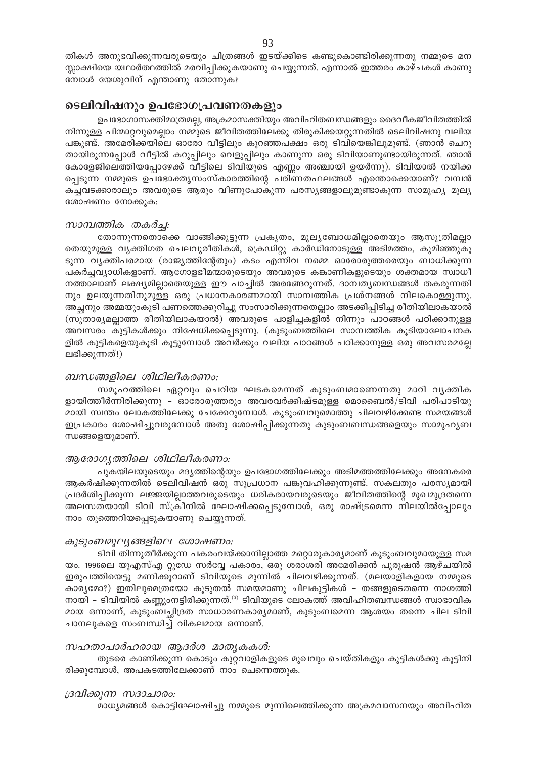# ടെലിവിഷനും ഉപഭോഗപ്രവണതകളും

മ്പോൾ യേശുവിന് എന്താണു തോന്നുക?

ഉപഭോഗാസക്തിമാത്രമല്ല, അക്രമാസക്തിയും അവിഹിതബന്ധങ്ങളും ദൈവീകജീവിതത്തിൽ നിന്നുള്ള പിന്മാറ്റവുമെല്ലാം നമ്മുടെ ജീവിതത്തിലേക്കു തിരുകിക്കയറ്റുന്നതിൽ ടെലിവിഷനു വലിയ പങ്കുണ്ട്. അമേരിക്കയിലെ ഓരോ വീട്ടിലും കുറഞ്ഞപക്ഷം ഒരു ടിവിയെങ്കിലുമുണ്ട്. (ഞാൻ ചെറു തായിരുന്നപ്പോൾ വീട്ടിൽ കറുപ്പിലും വെളുപ്പിലും കാണുന്ന ഒരു ടിവിയാണുണ്ടായിരുന്നത്. ഞാൻ കോളേജിലെത്തിയപ്പോഴേക്ക് വീട്ടിലെ ടിവിയുടെ എണ്ണം അഞ്ചായി ഉയർന്നു). ടിവിയാൽ നയിക്ക പ്പെടുന്ന നമ്മുടെ ഉപഭോക്തൃസംസ്കാരത്തിന്റെ പരിണതഫലങ്ങൾ എന്തൊക്കെയാണ്? വമ്പൻ കച്ചവടക്കാരാലും അവരുടെ ആരും വീണുപോകുന്ന പരസൃങ്ങളാലുമുണ്ടാകുന്ന സാമുഹൃ മൂല്യ ശോഷണം നോക്കുക:

#### സാമ്പത്തിക തകർച്ച:

തോന്നുന്നതൊക്കെ വാങ്ങിക്കൂട്ടുന്ന പ്രകൃതം, മുല്യബോധമില്ലാതെയും ആസൂത്രിമല്ലാ തെയുമുള്ള വൃക്തിഗത ചെലവുരീതികൾ, ക്രെഡിറ്റു കാർഡിനോടുള്ള അടിമത്തം, കുമിഞ്ഞുകൂ ടുന്ന വൃക്തിപരമായ (രാജ്യത്തിന്റേതും) കടം എന്നിവ നമ്മെ ഓരോരുത്തരെയും ബാധിക്കുന്ന പകർച്ചവ്യാധികളാണ്. ആഗോളഭീമന്മാരുടെയും അവരുടെ കങ്കാണികളുടെയും ശക്തമായ സ്വാധീ നത്താലാണ് ലക്ഷ്യമില്ലാതെയുള്ള ഈ പാച്ചിൽ അരങ്ങേറുന്നത്. ദാമ്പത്യബന്ധങ്ങൾ തകരുന്നതി നും ഉലയുന്നതിനുമുള്ള ഒരു പ്രധാനകാരണമായി സാമ്പത്തിക പ്രശ്നങ്ങൾ നിലകൊള്ളുന്നു. അച്ഛനും അമ്മയുംകൂടി പണത്തെക്കുറിച്ചു സംസാരിക്കുന്നതെല്ലാം അടക്കിപ്പിടിച്ച രീതിയിലാകയാൽ (സുതാര്യമല്ലാത്ത രീതിയിലാകയാൽ) അവരുടെ പാളിച്ചകളിൽ നിന്നും പാഠങ്ങൾ പഠിക്കാനുള്ള അവസരം കുട്ടികൾക്കും നിഷേധിക്കപ്പെടുന്നു. (കുടുംബത്തിലെ സാമ്പത്തിക കൂടിയാലോചനക ളിൽ കുട്ടികളെയുകൂടി കൂട്ടുമ്പോൾ അവർക്കും വലിയ പാഠങ്ങൾ പഠിക്കാനുള്ള ഒരു അവസരമല്ലേ ലഭിക്കുന്നത്!)

#### ബന്ധങ്ങളിലെ ശിഥിലീകരണം:

സമൂഹത്തിലെ ഏറ്റവും ചെറിയ ഘടകമെന്നത് കുടുംബമാണെന്നതു മാറി വൃക്തിക ളായിത്തീർന്നിരിക്കുന്നു - ഓരോരുത്തരും അവരവർക്കിഷ്ടമുള്ള മൊബൈൽ/ടിവി പരിപാടിയു മായി സ്വന്തം ലോകത്തിലേക്കു ചേക്കേറുമ്പോൾ. കുടുംബവുമൊത്തു ചിലവഴിക്കേണ്ട സമയങ്ങൾ ഇപ്രകാരം ശോഷിച്ചുവരുമ്പോൾ അതു ശോഷിപ്പിക്കുന്നതു കുടുംബബന്ധങ്ങളെയും സാമുഹൃബ ന്ധങ്ങളെയുമാണ്.

# ആരോഗ്യത്തിലെ ശിഥിലീകരണം:

പുകയിലയുടെയും മദ്യത്തിന്റെയും ഉപഭോഗത്തിലേക്കും അടിമത്തത്തിലേക്കും അനേകരെ ആകർഷിക്കുന്നതിൽ ടെലിവിഷൻ ഒരു സുപ്രധാന പങ്കുവഹിക്കുന്നുണ്ട്. സകലതും പരസ്യമായി പ്രദർശിപ്പിക്കുന്ന ലജ്ജയില്ലാത്തവരുടെയും ധരികരായവരുടെയും ജീവിതത്തിന്റെ മുഖമുദ്രതന്നെ അലസതയായി ടിവി സ്ക്രീനിൽ ഘോഷിക്കപ്പെടുമ്പോൾ, ഒരു രാഷ്ട്രമെന്ന നിലയിൽപ്പോലും നാം തൂത്തെറിയപ്പെടുകയാണു ചെയ്യുന്നത്.

# കുടുംബമൂല്യങ്ങളിലെ ശോഷണം:

ടിവി തിന്നുതീർക്കുന്ന പകരംവയ്ക്കാനില്ലാത്ത മറ്റൊരുകാര്യമാണ് കുടുംബവുമായുള്ള സമ യം. 1996ലെ യുഎസ്എ റ്റുഡേ സർവ്വേ പകാരം, ഒരു ശരാശരി അമേരിക്കൻ പുരുഷൻ ആഴ്ചയിൽ ഇരുപത്തിയെട്ടു മണിക്കൂറാണ് ടിവിയുടെ മുന്നിൽ ചിലവഴിക്കുന്നത്. (മലയാളികളായ നമ്മുടെ കാര്യമോ?) ഇതിലുമെത്രയോ കൂടുതൽ സമയമാണു ചിലകുട്ടികൾ – തങ്ങളുടെതന്നെ നാശത്തി നായി - ടിവിയിൽ കണ്ണുംനട്ടിരിക്കുന്നത്.<sup>(3)</sup> ടിവിയുടെ ലോകത്ത് അവിഹിതബന്ധങ്ങൾ സ്വാഭാവിക മായ ഒന്നാണ്, കുടുംബച്ഛിദ്രത സാധാരണകാര്യമാണ്, കുടുംബമെന്ന ആശയം തന്നെ ചില ടിവി ചാനലുകളെ സംബന്ധിച്ച് വികലമായ ഒന്നാണ്.

# സഹതാപാർഹരായ ആദർശ മാതൃകകൾ:

തുടരെ കാണിക്കുന്ന കൊടും കുറ്റവാളികളുടെ മുഖവും ചെയ്തികളും കുട്ടികൾക്കു കൂട്ടിനി രിക്കുമ്പോൾ, അപകടത്തിലേക്കാണ് നാം ചെന്നെത്തുക.

#### ദ്രവിക്കുന്ന സദാചാരം:

മാധ്യമങ്ങൾ കൊട്ടിഘോഷിച്ചു നമ്മുടെ മുന്നിലെത്തിക്കുന്ന അക്രമവാസനയും അവിഹിത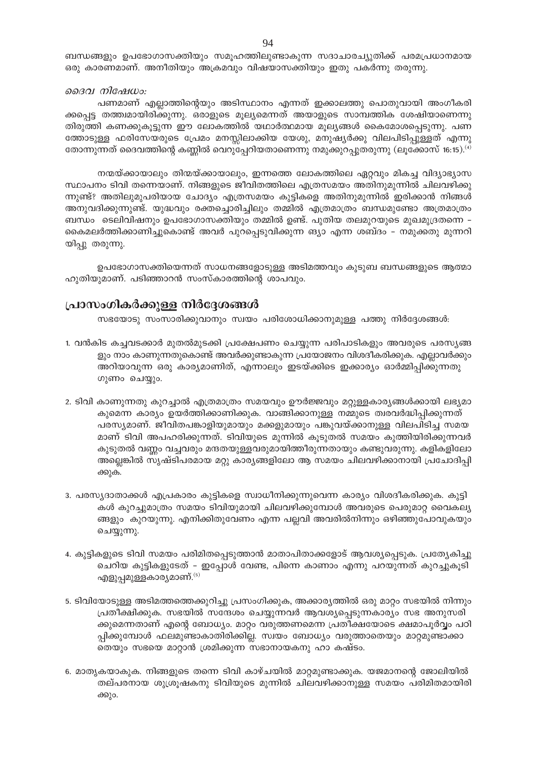ബന്ധങ്ങളും ഉപഭോഗാസക്തിയും സമൂഹത്തിലുണ്ടാകുന്ന സദാചാരച്യുതിക്ക് പരമപ്രധാനമായ ഒരു കാരണമാണ്. അനീതിയും അക്രമവും വിഷയാസക്തിയും ഇതു പകർന്നു തരുന്നു.

#### ദൈവ നിഷേധം:

പണമാണ് എല്ലാത്തിന്റെയും അടിസ്ഥാനം എന്നത് ഇക്കാലത്തു പൊതുവായി അംഗീകരി ക്കപ്പെട്ട തത്ത്വമായിരിക്കുന്നു. ഒരാളുടെ മൂല്യമെന്നത് അയാളുടെ സാമ്പത്തിക ശേഷിയാണെന്നു തിരുത്തി കണക്കുകൂട്ടുന്ന ഈ ലോകത്തിൽ യഥാർത്ഥമായ മൂല്യങ്ങൾ കൈമോശപ്പെടുന്നു. പണ ത്തോടുള്ള ഫരിസേയരുടെ പ്രേമം മനസ്സിലാക്കിയ യേശു, മനുഷ്യർക്കു വിലപിടിപ്പുള്ളത് എന്നു തോന്നുന്നത് ദൈവത്തിന്റെ കണ്ണിൽ വെറുപ്പേറിയതാണെന്നു നമുക്കുറപ്പുതരുന്നു (ലൂക്കോസ് 16:15). $^{(4)}$ 

നന്മയ്ക്കായാലും തിന്മയ്ക്കായാലും, ഇന്നത്തെ ലോകത്തിലെ ഏറ്റവും മികച്ച വിദ്യാഭ്യാസ സ്ഥാപനം ടിവി തന്നെയാണ്. നിങ്ങളുടെ ജീവിതത്തിലെ എത്രസമയം അതിനുമുന്നിൽ ചിലവഴിക്കു ന്നുണ്ട്? അതിലുമുപരിയായ ചോദ്യം എത്രസമയം കുട്ടികളെ അതിനുമുന്നിൽ ഇരിക്കാൻ നിങ്ങൾ അനുവദിക്കുന്നുണ്ട്. യുദ്ധവും രക്തച്ചൊരിച്ചിലും തമ്മിൽ എത്രമാത്രം ബന്ധമുണ്ടോ അത്രമാത്രം ബന്ധം ടെലിവിഷനും ഉപഭോഗാസക്തിയും തമ്മിൽ ഉണ്ട്. പുതിയ തലമുറയുടെ മുഖമുദ്രതന്നെ – കൈമലർത്തിക്കാണിച്ചുകൊണ്ട് അവർ പുറപ്പെടുവിക്കുന്ന ങ്യാ എന്ന ശബ്ദം – നമുക്കതു മുന്നറി യിപ്പു തരുന്നു.

ഉപഭോഗാസക്തിയെന്നത് സാധനങ്ങളോടുള്ള അടിമത്തവും കുടുബ ബന്ധങ്ങളുടെ ആത്മാ ഹുതിയുമാണ്. പടിഞ്ഞാറൻ സംസ്കാരത്തിന്റെ ശാപവും.

# പ്രാസംഗികർക്കുള്ള നിർദ്ദേശങ്ങൾ

സഭയോടു സംസാരിക്കുവാനും സ്വയം പരിശോധിക്കാനുമുള്ള പത്തു നിർദ്ദേശങ്ങൾ:

- 1. വൻകിട കച്ചവടക്കാർ മുതൽമുടക്കി പ്രക്ഷേപണം ചെയ്യുന്ന പരിപാടികളും അവരുടെ പരസൃങ്ങ ളും നാം കാണുന്നതുകൊണ്ട് അവർക്കുണ്ടാകുന്ന പ്രയോജനം വിശദീകരിക്കുക. എല്ലാവർക്കും അറിയാവുന്ന ഒരു കാര്യമാണിത്, എന്നാലും ഇടയ്ക്കിടെ ഇക്കാര്യം ഓർമ്മിപ്പിക്കുന്നതു ഗുണം ചെയ്യും.
- 2. ടിവി കാണുന്നതു കുറച്ചാൽ എത്രമാത്രം സമയവും ഊർജ്ജവും മറ്റുള്ളകാര്യങ്ങൾക്കായി ലഭ്യമാ കുമെന്ന കാര്യം ഉയർത്തിക്കാണിക്കുക. വാങ്ങിക്കാനുള്ള നമ്മുടെ ത്വരവർദ്ധിപ്പിക്കുന്നത് പരസ്യമാണ്. ജീവിതപങ്കാളിയുമായും മക്കളുമായും പങ്കുവയ്ക്കാനുള്ള വിലപിടിച്ച സമയ മാണ് ടിവി അപഹരിക്കുന്നത്. ടിവിയുടെ മുന്നിൽ കൂടുതൽ സമയം കുത്തിയിരിക്കുന്നവർ കുടുതൽ വണ്ണം വച്ചവരും മന്ദതയുള്ളവരുമായിത്തീരുന്നതായും കണ്ടുവരുന്നു. കളികളിലോ അല്ലെങ്കിൽ സൃഷ്ടിപരമായ മറ്റു കാര്യങ്ങളിലോ ആ സമയം ചിലവഴിക്കാനായി പ്രചോദിപ്പി ക്കുക.
- 3. പരസ്യദാതാക്കൾ എപ്രകാരം കുട്ടികളെ സ്വാധീനിക്കുന്നുവെന്ന കാര്യം വിശദീകരിക്കുക. കുട്ടി കൾ കുറച്ചുമാത്രം സമയം ടിവിയുമായി ചിലവഴിക്കുമ്പോൾ അവരുടെ പെരുമാറ്റ വൈകല്യ ങ്ങളും കുറയുന്നു. എനിക്കിതുവേണം എന്ന പല്ലവി അവരിൽനിന്നും ഒഴിഞ്ഞുപോവുകയും ചെയ്യുന്നു.
- 4. കുട്ടികളുടെ ടിവി സമയം പരിമിതപ്പെടുത്താൻ മാതാപിതാക്കളോട് ആവശ്യപ്പെടുക. പ്രത്യേകിച്ചു ചെറിയ കുട്ടികളുടേത് – ഇപ്പോൾ വേണ്ട, പിന്നെ കാണാം എന്നു പറയുന്നത് കുറച്ചുകൂടി എളുപ്പമുള്ളകാര്യമാണ്. $^{(5)}$
- 5. ടിവിയോടുള്ള അടിമത്തത്തെക്കുറിച്ചു പ്രസംഗിക്കുക, അക്കാര്യത്തിൽ ഒരു മാറ്റം സഭയിൽ നിന്നും പ്രതീക്ഷിക്കുക. സഭയിൽ സന്ദേശം ചെയ്യുന്നവർ ആവശ്യപ്പെടുന്നകാര്യം സഭ അനുസരി ക്കുമെന്നതാണ് എന്റെ ബോധ്യം. മാറ്റം വരുത്തണമെന്ന പ്രതീക്ഷയോടെ ക്ഷമാപൂർവ്വം പഠി പ്പിക്കുമ്പോൾ ഫലമുണ്ടാകാതിരിക്കില്ല. സ്വയം ബോധ്യം വരുത്താതെയും മാറ്റമുണ്ടാക്കാ തെയും സഭയെ മാറ്റാൻ ശ്രമിക്കുന്ന സഭാനായകനു ഹാ കഷ്ടം.
- 6. മാതൃകയാകുക. നിങ്ങളുടെ തന്നെ ടിവി കാഴ്ചയിൽ മാറ്റമുണ്ടാക്കുക. യജമാനന്റെ ജോലിയിൽ തല്പരനായ ശുശ്രൂഷകനു ടിവിയുടെ മുന്നിൽ ചിലവഴിക്കാനുള്ള സമയം പരിമിതമായിരി ക്കും.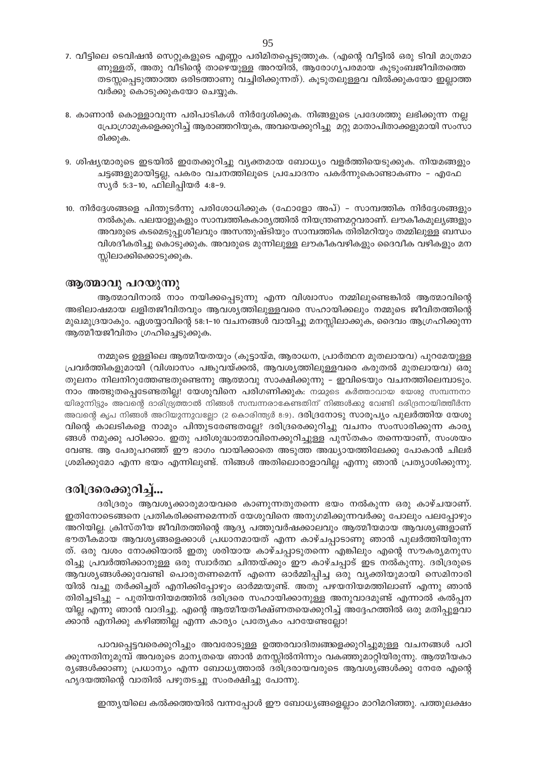- 7. വീട്ടിലെ ടെവിഷൻ സെറ്റുകളുടെ എണ്ണം പരിമിതപ്പെടുത്തുക. (എന്റെ വീട്ടിൽ ഒരു ടിവി മാത്രമാ ണുള്ളത്, അതു വീടിന്റെ താഴെയുള്ള അറയിൽ, ആരോഗ്യപരമായ കുടുംബജീവിതത്തെ തടസ്സപ്പെടുത്താത്ത ഒരിടത്താണു വച്ചിരിക്കുന്നത്). കൂടുതലുള്ളവ വിൽക്കുകയോ ഇല്ലാത്ത വർക്കു കൊടുക്കുകയോ ചെയ്യുക.
- 8. കാണാൻ കൊള്ളാവുന്ന പരിപാടികൾ നിർദ്ദേശിക്കുക. നിങ്ങളുടെ പ്രദേശത്തു ലഭിക്കുന്ന നല്ല പ്രോഗ്രാമുകളെക്കുറിച്ച് ആരാഞ്ഞറിയുക, അവയെക്കുറിച്ചു മറ്റു മാതാപിതാക്കളുമായി സംസാ രിക്കുക.
- 9. ശിഷ്യന്മാരുടെ ഇടയിൽ ഇതേക്കുറിച്ചു വ്യക്തമായ ബോധ്യം വളർത്തിയെടുക്കുക. നിയമങ്ങളും ചട്ടങ്ങളുമായിട്ടല്ല, പകരം വചനത്തിലൂടെ പ്രചോദനം പകർന്നുകൊണ്ടാകണം - എഫേ സ്യർ 5:3-10, ഫിലിപ്പിയർ 4:8-9.
- 10. നിർദ്ദേശങ്ങളെ പിന്തുടർന്നു പരിശോധിക്കുക (ഫോളോ അപ്) സാമ്പത്തിക നിർദ്ദേശങ്ങളും നൽകുക. പലയാളുകളും സാമ്പത്തികകാര്യത്തിൽ നിയന്ത്രണമറ്റവരാണ്. ലൗകീകമൂല്യങ്ങളും അവരുടെ കടമെടുപ്പുശീലവും അസന്തുഷ്ടിയും സാമ്പത്തിക തിരിമറിയും തമ്മിലുള്ള ബന്ധം വിശദീകരിച്ചു കൊടുക്കുക. അവരുടെ മുന്നിലുള്ള ലൗകീകവഴികളും ദൈവീക വഴികളും മന സ്സിലാക്കിക്കൊടുക്കുക.

# ആത്മാവു പറയുന്നു

ആത്മാവിനാൽ നാം നയിക്കപ്പെടുന്നു എന്ന വിശ്വാസം നമ്മിലുണ്ടെങ്കിൽ ആത്മാവിന്റെ അഭിലാഷമായ ലളിതജീവിതവും ആവശ്യത്തിലുള്ളവരെ സഹായിക്കലും നമ്മുടെ ജീവിതത്തിന്റെ മുഖമുദ്രയാകും. ഏശയ്യാവിന്റെ 58:1–10 വചനങ്ങൾ വായിച്ചു മനസ്സിലാക്കുക, ദൈവം ആഗ്രഹിക്കുന്ന ആത്മീയജീവിതം ഗ്രഹിച്ചെടുക്കുക.

നമ്മുടെ ഉള്ളിലെ ആത്മീയതയും (കൂട്ടായ്മ, ആരാധന, പ്രാർത്ഥന മുതലായവ) പുറമേയുള്ള പ്രവർത്തികളുമായി (വിശ്വാസം പങ്കുവയ്ക്കൽ, ആവശ്യത്തിലുള്ളവരെ കരുതൽ മുതലായവ) ഒരു തുലനം നിലനിറുത്തേണ്ടതുണ്ടെന്നു ആത്മാവു സാക്ഷിക്കുന്നു – ഇവിടെയും വചനത്തിലെമ്പാടും. നാം അത്ഭുതപ്പെടേണ്ടതില്ല! യേശുവിനെ പരിഗണിക്കുക: നമ്മുടെ കർത്താവായ യേശു സമ്പന്നനാ യിരുന്നിട്ടും അവന്റെ ദാരിദ്ര്യത്താൽ നിങ്ങൾ സമ്പന്നരാകേണ്ടതിന് നിങ്ങൾക്കു വേണ്ടി ദരിദ്രനായിത്തീർന്ന അവന്റെ കൃപ നിങ്ങൾ അറിയുന്നുവല്ലോ (2 കൊരിന്ത്യർ 8:9). ദരിദ്രനോടു സാരൂപ്യം പുലർത്തിയ യേശു വിന്റെ കാലടികളെ നാമും പിന്തുടരേണ്ടതല്ലേ? ദരിദ്രരെക്കുറിച്ചു വചനം സംസാരിക്കുന്ന കാര്യ ങ്ങൾ നമുക്കു പഠിക്കാം. ഇതു പരിശുദ്ധാത്മാവിനെക്കുറിച്ചുള്ള പുസ്തകം തന്നെയാണ്, സംശയം വേണ്ട. ആ പേരുപറഞ്ഞ് ഈ ഭാഗം വായിക്കാതെ അടുത്ത അദ്ധ്യായത്തിലേക്കു പോകാൻ ചിലർ ശ്രമിക്കുമോ എന്ന ഭയം എന്നിലുണ്ട്. നിങ്ങൾ അതിലൊരാളാവില്ല എന്നു ഞാൻ പ്രത്യാശിക്കുന്നു.

# ദരിദ്രരെക്കുറിച്ച്...

ദരിദ്രരും ആവശ്യക്കാരുമായവരെ കാണുന്നതുതന്നെ ഭയം നൽകുന്ന ഒരു കാഴ്ചയാണ്. ഇതിനോടെങ്ങനെ പ്രതികരിക്കണമെന്നത് യേശുവിനെ അനുഗമിക്കുന്നവർക്കു പോലും പലപ്പോഴും അറിയില്ല. ക്രിസ്തീയ ജീവിതത്തിന്റെ ആദ്യ പത്തുവർഷക്കാലവും ആത്മീയമായ ആവശ്യങ്ങളാണ് ഭൗതീകമായ ആവശ്യങ്ങളെക്കാൾ പ്രധാനമായത് എന്ന കാഴ്ചപ്പാടാണു ഞാൻ പുലർത്തിയിരുന്ന ത്. ഒരു വശം നോക്കിയാൽ ഇതു ശരിയായ കാഴ്ചപ്പാടുതന്നെ എങ്കിലും എന്റെ സൗകര്യമനുസ രിച്ചു പ്രവർത്തിക്കാനുള്ള ഒരു സ്വാർത്ഥ ചിന്തയ്ക്കും ഈ കാഴ്ചപ്പാട് ഇട നൽകുന്നു. ദരിദ്രരുടെ ആവശ്യങ്ങൾക്കുവേണ്ടി പൊരുതണമെന്ന് എന്നെ ഓർമ്മിപ്പിച്ച ഒരു വ്യക്തിയുമായി സെമിനാരി യിൽ വച്ചു തർക്കിച്ചത് എനിക്കിപ്പോഴും ഓർമ്മയുണ്ട്. അതു പഴയനിയമത്തിലാണ് എന്നു ഞാൻ തിരിച്ചടിച്ചു – പുതിയനിയമത്തിൽ ദരിദ്രരെ സഹായിക്കാനുള്ള അനുവാദമുണ്ട് എന്നാൽ കൽപ്പന യില്ല എന്നു ഞാൻ വാദിച്ചു. എന്റെ ആത്മീയതീക്ഷ്ണതയെക്കുറിച്ച് അദ്ദേഹത്തിൽ ഒരു മതിപ്പുളവാ ക്കാൻ എനിക്കു കഴിഞ്ഞില്ല എന്ന കാര്യം പ്രത്യേകം പറയേണ്ടല്ലോ!

പാവപ്പെട്ടവരെക്കുറിച്ചും അവരോടുള്ള ഉത്തരവാദിത്വങ്ങളെക്കുറിച്ചുമുള്ള വചനങ്ങൾ പഠി ക്കുന്നതിനുമുമ്പ് അവരുടെ മാന്യതയെ ഞാൻ മനസ്സിൽനിന്നും വകഞ്ഞുമാറ്റിയിരുന്നു. ആത്മീയകാ ര്യങ്ങൾക്കാണു പ്രധാന്യം എന്ന ബോധ്യത്താൽ ദരിദ്രരായവരുടെ ആവശ്യങ്ങൾക്കു നേരേ എന്റെ ഹൃദയത്തിന്റെ വാതിൽ പഴുതടച്ചു സംരക്ഷിച്ചു പോന്നു.

ഇന്ത്യയിലെ കൽക്കത്തയിൽ വന്നപ്പോൾ ഈ ബോധ്യങ്ങളെല്ലാം മാറിമറിഞ്ഞു. പത്തുലക്ഷം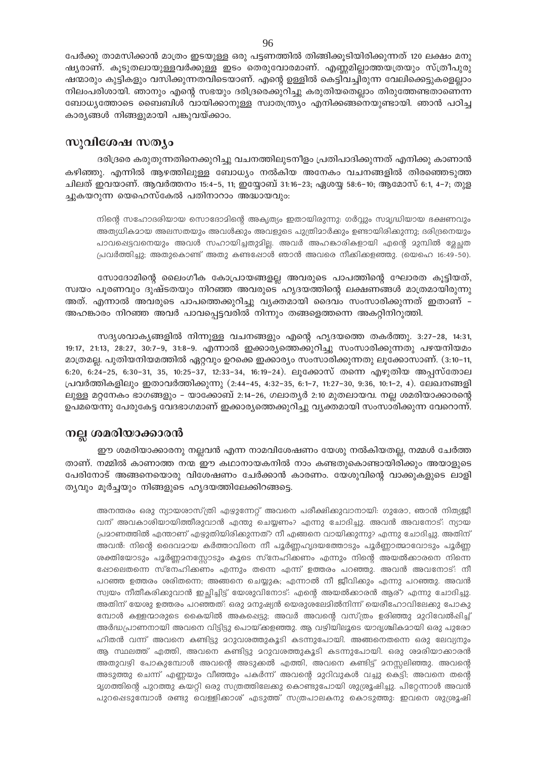പേർക്കു താമസിക്കാൻ മാത്രം ഇടയുള്ള ഒരു പട്ടണത്തിൽ തിങ്ങിക്കുടിയിരിക്കുന്നത് 120 ലക്ഷം മനു ഷ്യരാണ്. കൂടുതലായുള്ളവർക്കുള്ള ഇടം തെരുവോരമാണ്. എണ്ണമില്ലാത്തയത്രയും സ്ത്രീപുരു ഷന്മാരും കുട്ടികളും വസിക്കുന്നതവിടെയാണ്. എന്റെ ഉള്ളിൽ കെട്ടിവച്ചിരുന്ന വേലിക്കെട്ടുകളെല്ലാം നിലംപരിശായി. ഞാനും എന്റെ സഭയും ദരിദ്രരെക്കുറിച്ചു കരുതിയതെല്ലാം തിരുത്തേണ്ടതാണെന്ന ബോധ്യത്തോടെ ബൈബിൾ വായിക്കാനുള്ള സ്വാതന്ത്ര്യം എനിക്കങ്ങനെയുണ്ടായി. ഞാൻ പഠിച്ച കാര്യങ്ങൾ നിങ്ങളുമായി പങ്കുവയ്ക്കാം.

# സുവിശേഷ സത്യം

ദരിദ്രരെ കരുതുന്നതിനെക്കുറിച്ചു വചനത്തിലുടനീളം പ്രതിപാദിക്കുന്നത് എനിക്കു കാണാൻ കഴിഞ്ഞു. എന്നിൽ ആഴത്തിലുള്ള ബോധ്യം നൽകിയ അനേകം വചനങ്ങളിൽ തിരഞ്ഞെടുത്ത ചിലത് ഇവയാണ്. ആവർത്തനം 15:4–5, 11; ഇയ്യോബ് 31:16–23; ഏശയ്യ 58:6–10; ആമോസ് 6:1, 4–7; തുള ച്ചുകയറുന്ന യെഹെസ്കേൽ പതിനാറാം അദ്ധായവും:

നിന്റെ സഹോദരിയായ സൊദോമിന്റെ അകൃത്യം ഇതായിരുന്നു: ഗർവ്വും സമൃദ്ധിയായ ഭക്ഷണവും അത്യധികമായ അലസതയും അവൾക്കും അവളുടെ പുത്രിമാർക്കും ഉണ്ടായിരിക്കുന്നു; ദരിദ്രനെയും പാവപ്പെട്ടവനെയും അവൾ സഹായിച്ചതുമില്ല. അവർ അഹങ്കാരികളായി എന്റെ മുമ്പിൽ മ്ലേച്ഛത പ്രവർത്തിച്ചു; അതുകൊണ്ട് അതു കണ്ടപ്പോൾ ഞാൻ അവരെ നീക്കികളഞ്ഞു. (യെഹെ 16:49-50).

സോദോമിന്റെ ലൈംഗീക കോപ്രായങ്ങളല്ല അവരുടെ പാപത്തിന്റെ ഘോരത കൂട്ടിയത്, സ്വയം പൂരണവും ദുഷ്ടതയും നിറഞ്ഞ അവരുടെ ഹൃദയത്തിന്റെ ലക്ഷണങ്ങൾ മാത്രമായിരുന്നു അത്. എന്നാൽ അവരുടെ പാപത്തെക്കുറിച്ചു വൃക്തമായി ദൈവം സംസാരിക്കുന്നത് ഇതാണ് -അഹങ്കാരം നിറഞ്ഞ അവർ പാവപ്പെട്ടവരിൽ നിന്നും തങ്ങളെത്തന്നെ അകറ്റിനിറുത്തി.

സദൃശവാകൃങ്ങളിൽ നിന്നുള്ള വചനങ്ങളും എന്റെ ഹൃദയത്തെ തകർത്തു. 3:27-28, 14:31, 19:17, 21:13, 28:27, 30:7–9, 31:8–9. എന്നാൽ ഇക്കാര്യത്തെക്കുറിച്ചു സംസാരിക്കുന്നതു പഴയനിയമം മാത്രമല്ല. പുതിയനിയമത്തിൽ ഏറ്റവും ഉറക്കെ ഇക്കാര്യം സംസാരിക്കുന്നതു ലൂക്കോസാണ്. (3:10–11, 6:20, 6:24–25, 6:30–31, 35, 10:25–37, 12:33–34, 16:19–24). ലൂക്കോസ് തന്നെ എഴുതിയ അപ്പസ്തോല പ്രവർത്തികളിലും ഇതാവർത്തിക്കുന്നു (2:44-45, 4:32-35, 6:1-7, 11:27-30, 9:36, 10:1-2, 4). ലേഖനങ്ങളി ലുള്ള മറ്റനേകം ഭാഗങ്ങളും – യാക്കോബ് 2:14–26, ഗലാതൃർ 2:10 മുതലായവ. നല്ല ശമരിയാക്കാരന്റെ ഉപമയെന്നു പേരുകേട്ട വേദഭാഗമാണ് ഇക്കാര്യത്തെക്കുറിച്ചു വ്യക്തമായി സംസാരിക്കുന്ന വേറൊന്ന്.

# നല്ല ശമരിയാക്കാരൻ

ഈ ശമരിയാക്കാരനു നല്ലവൻ എന്ന നാമവിശേഷണം യേശു നൽകിയതല്ല, നമ്മൾ ചേർത്ത താണ്. നമ്മിൽ കാണാത്ത നന്മ ഈ കഥാനായകനിൽ നാം കണ്ടതുകൊണ്ടായിരിക്കും അയാളുടെ പേരിനോട് അങ്ങനെയൊരു വിശേഷണം ചേർക്കാൻ കാരണം. യേശുവിന്റെ വാക്കുകളുടെ ലാളി ത്യവും മൂർച്ചയും നിങ്ങളുടെ ഹൃദയത്തിലേക്കിറങ്ങട്ടെ.

അനന്തരം ഒരു ന്യായശാസ്ത്രി എഴുന്നേറ്റ് അവനെ പരീക്ഷിക്കുവാനായി: ഗുരോ, ഞാൻ നിത്യജീ വന് അവകാശിയായിത്തീരുവാൻ എന്തു ചെയ്യണം? എന്നു ചോദിച്ചു. അവൻ അവനോട്: ന്യായ പ്രമാണത്തിൽ എന്താണ് എഴുതിയിരിക്കുന്നത്? നീ എങ്ങനെ വായിക്കുന്നു? എന്നു ചോദിച്ചു. അതിന് അവൻ: നിന്റെ ദൈവമായ കർത്താവിനെ നീ പൂർണ്ണഹൃദയത്തോടും പൂർണ്ണാത്മാവോടും പൂർണ്ണ ശക്തിയോടും പൂർണ്ണമനസ്സോടും കൂടെ സ്നേഹിക്കണം എന്നും നിന്റെ അയൽക്കാരനെ നിന്നെ ഷോലെതന്നെ സ്നേഹിക്കണം എന്നും തന്നെ എന്ന് ഉത്തരം പറഞ്ഞു. അവൻ അവനോട്: നീ പറഞ്ഞ ഉത്തരം ശരിതന്നെ; അങ്ങനെ ചെയ്യുക; എന്നാൽ നീ ജീവിക്കും എന്നു പറഞ്ഞു. അവൻ സ്വയം നീതീകരിക്കുവാൻ ഇച്ഛിച്ചിട്ട് യേശുവിനോട്: എന്റെ അയൽക്കാരൻ ആര്? എന്നു ചോദിച്ചു. അതിന് യേശു ഉത്തരം പറഞ്ഞത്: ഒരു മനുഷ്യൻ യെരുശലേമിൽനിന്ന് യെരീഹോവിലേക്കു പോകു മ്പോൾ കള്ളന്മാരുടെ കൈയിൽ അകപ്പെട്ടു; അവർ അവന്റെ വസ്ത്രം ഉരിഞ്ഞു മുറിവേൽപ്പിച്ച് അർദ്ധപ്രാണനായി അവനെ വിട്ടിട്ടു പൊയ്ക്കളഞ്ഞു. ആ വഴിയിലൂടെ യാദൃശ്ചികമായി ഒരു പുരോ ഹിതൻ വന്ന് അവനെ കണ്ടിട്ടു മറുവശത്തുകൂടി കടന്നുപോയി. അങ്ങനെതന്നെ ഒരു ലേവ്യനും ആ സ്ഥലത്ത് എത്തി, അവനെ കണ്ടിട്ടു മറുവശത്തുകൂടി കടന്നുപോയി. ഒരു ശമരിയാക്കാരൻ അതുവഴി പോകുമ്പോൾ അവന്റെ അടുക്കൽ എത്തി, അവനെ കണ്ടിട്ട് മനസ്സലിഞ്ഞു. അവന്റെ അടുത്തു ചെന്ന് എണ്ണയും വീഞ്ഞും പകർന്ന് അവന്റെ മുറിവുകൾ വച്ചു കെട്ടി; അവനെ തന്റെ ദ്യഗത്തിന്റെ പുറത്തു കയറ്റി ഒരു സത്രത്തിലേക്കു കൊണ്ടുപോയി ശുശ്രൂഷിച്ചു. പിറ്റേന്നാൾ അവൻ പുറപ്പെടുമ്പോൾ രണ്ടു വെള്ളിക്കാശ് എടുത്ത് സത്രപാലകനു കൊടുത്തു: ഇവനെ ശുശ്രൂഷി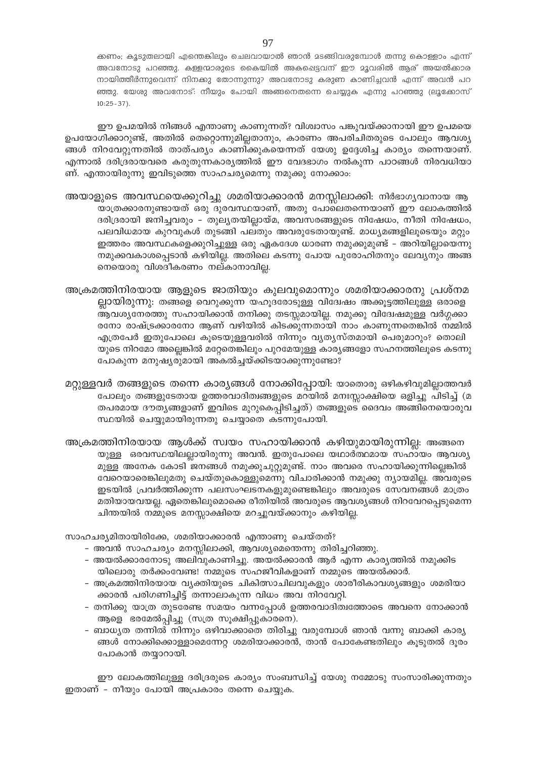ക്കണം; കൂടുതലായി എന്തെങ്കിലും ചെലവായാൽ ഞാൻ മടങ്ങിവരുമ്പോൾ തന്നു കൊള്ളാം എന്ന് അവനോടു പറഞ്ഞു. കള്ളന്മാരുടെ കൈയിൽ അകപ്പെട്ടവന് ഈ മൂവരിൽ ആര് അയൽക്കാര നായിത്തീർന്നുവെന്ന് നിനക്കു തോന്നുന്നു? അവനോടു കരുണ കാണിച്ചവൻ എന്ന് അവൻ പറ ഞ്ഞു. യേശു അവനോട്: നീയും പോയി അങ്ങനെതന്നെ ചെയ്യുക എന്നു പറഞ്ഞു (ലുക്കോസ്  $10:25 - 37$ ).

ഈ ഉപമയിൽ നിങ്ങൾ എന്താണു കാണുന്നത്? വിശ്വാസം പങ്കുവയ്ക്കാനായി ഈ ഉപമയെ ഉപയോഗിക്കാറുണ്ട്, അതിൽ തെറ്റൊന്നുമില്ലതാനും, കാരണം അപരിചിതരുടെ പോലും ആവശ്യ ങ്ങൾ നിറവേറ്റുന്നതിൽ താത്പര്യം കാണിക്കുകയെന്നത് യേശു ഉദ്ദേശിച്ച കാര്യം തന്നെയാണ്. എന്നാൽ ദരിദ്രരായവരെ കരുതുന്നകാര്യത്തിൽ ഈ വേദഭാഗം നൽകുന്ന പാഠങ്ങൾ നിരവധിയാ ണ്. എന്തായിരുന്നു ഇവിടുത്തെ സാഹചര്യമെന്നു നമുക്കു നോക്കാം:

അയാളുടെ അവസ്ഥയെക്കുറിച്ചു ശമരിയാക്കാരൻ മനസ്സിലാക്കി: നിർഭാഗ്യവാനായ ആ യാത്രക്കാരനുണ്ടായത് ഒരു ദുരവസ്ഥയാണ്, അതു പോലെതന്നെയാണ് ഈ ലോകത്തിൽ ദരിദ്രരായി ജനിച്ചവരും - തുല്യതയില്ലായ്മ, അവസരങ്ങളുടെ നിഷേധം, നീതി നിഷേധം, പലവിധമായ കുറവുകൾ തുടങ്ങി പലതും അവരുടേതായുണ്ട്. മാധ്യമങ്ങളിലൂടെയും മറ്റും ഇത്തരം അവസ്ഥകളെക്കുറിച്ചുള്ള ഒരു ഏകദേശ ധാരണ നമുക്കുമുണ്ട് – അറിയില്ലായെന്നു നമുക്കവകാശപ്പെടാൻ കഴിയില്ല. അതിലെ കടന്നു പോയ പുരോഹിതനും ലേവ്യനും അങ്ങ നെയൊരു വിശദീകരണം നല്കാനാവില്ല.

അക്രമത്തിനിരയായ ആളുടെ ജാതിയും കുലവുമൊന്നും ശമരിയാക്കാരനു പ്രശ്നമ ല്ലായിരുന്നു: തങ്ങളെ വെറുക്കുന്ന യഹൂദരോടുള്ള വിദ്വേഷം അക്കൂട്ടത്തിലുള്ള ഒരാളെ ആവശ്യനേരത്തു സഹായിക്കാൻ തനിക്കു തടസ്സമായില്ല. നമുക്കു വിദേഷമുള്ള വർഗ്ഗക്കാ രനോ രാഷ്ട്രക്കാരനോ ആണ് വഴിയിൽ കിടക്കുന്നതായി നാം കാണുന്നതെങ്കിൽ നമ്മിൽ എത്രപേർ ഇതുപോലെ കൂടെയുള്ളവരിൽ നിന്നും വ്യത്യസ്തമായി പെരുമാറും? തൊലി യുടെ നിറമോ അല്ലെങ്കിൽ മറ്റേതെങ്കിലും പുറമേയുള്ള കാര്യങ്ങളോ സഹനത്തിലൂടെ കടന്നു പോകുന്ന മനുഷ്യരുമായി അകൽച്ചയ്ക്കിടയാക്കുന്നുണ്ടോ?

മറ്റുള്ളവർ തങ്ങളുടെ തന്നെ കാര്യങ്ങൾ നോക്കിപ്പോയി: യാതൊരു ഒഴികഴിവുമില്ലാത്തവർ പോലും തങ്ങളുടേതായ ഉത്തരവാദിത്വങ്ങളുടെ മറയിൽ മനഃസ്സാക്ഷിയെ ഒളിച്ചു പിടിച്ച് (മ തപരമായ ദൗതൃങ്ങളാണ് ഇവിടെ മുറുകെപ്പിടിച്ചത്) തങ്ങളുടെ ദൈവം അങ്ങിനെയൊരുവ സ്ഥയിൽ ചെയ്യുമായിരുന്നതു ചെയ്യാതെ കടന്നുപോയി.

അക്രമത്തിനിരയായ ആൾക്ക് സ്വയം സഹായിക്കാൻ കഴിയുമായിരുന്നില്ല: അങ്ങനെ യുള്ള ഒരവസ്ഥയിലല്ലായിരുന്നു അവൻ. ഇതുപോലെ യഥാർത്ഥമായ സഹായം ആവശ്യ മുള്ള അനേക കോടി ജനങ്ങൾ നമുക്കുചുറ്റുമുണ്ട്. നാം അവരെ സഹായിക്കുന്നില്ലെങ്കിൽ വേറെയാരെങ്കിലുമതു ചെയ്തുകൊള്ളുമെന്നു വിചാരിക്കാൻ നമുക്കു ന്യായമില്ല. അവരുടെ ഇടയിൽ പ്രവർത്തിക്കുന്ന പലസംഘടനകളുമുണ്ടെങ്കിലും അവരുടെ സേവനങ്ങൾ മാത്രം മതിയായവയല്ല. ഏതെങ്കിലുമൊക്കെ രീതിയിൽ അവരുടെ ആവശ്യങ്ങൾ നിറവേറപ്പെടുമെന്ന ചിന്തയിൽ നമ്മുടെ മനസ്സാക്ഷിയെ മറച്ചുവയ്ക്കാനും കഴിയില്ല.

സാഹചര്യമിതായിരിക്കേ, ശമരിയാക്കാരൻ എന്താണു ചെയ്തത്?

- അവൻ സാഹചര്യം മനസ്സിലാക്കി, ആവശ്യമെന്തെന്നു തിരിച്ചറിഞ്ഞു.
- അയൽക്കാരനോടു അലിവുകാണിച്ചു. അയൽക്കാരൻ ആർ എന്ന കാര്യത്തിൽ നമുക്കിട യിലൊരു തർക്കംവേണ്ട! നമ്മുടെ സഹജീവികളാണ് നമ്മുടെ അയൽക്കാർ.
- അക്രമത്തിനിരയായ വ്യക്തിയുടെ ചികിത്സാചിലവുകളും ശാരീരികാവശ്യങ്ങളും ശമരിയാ ക്കാരൻ പരിഗണിച്ചിട്ട് തന്നാലാകുന്ന വിധം അവ നിറവേറ്റി.
- തനിക്കു യാത്ര തുടരേണ്ട സമയം വന്നപ്പോൾ ഉത്തരവാദിത്വത്തോടെ അവനെ നോക്കാൻ ആളെ ഭരമേൽപ്പിച്ചു (സത്ര സൂക്ഷിപ്പുകാരനെ).
- ബാധ്യത തന്നിൽ നിന്നും ഒഴിവാക്കാതെ തിരിച്ചു വരുമ്പോൾ ഞാൻ വന്നു ബാക്കി കാര്യ ങ്ങൾ നോക്കിക്കൊള്ളാമെന്നേറ്റ ശമരിയാക്കാരൻ, താൻ പോകേണ്ടതിലും കൂടുതൽ ദൂരം പോകാൻ തയ്യാറായി.

ഈ ലോകത്തിലുള്ള ദരിദ്രരുടെ കാര്യം സംബന്ധിച്ച് യേശു നമ്മോടു സംസാരിക്കുന്നതും ഇതാണ് - നീയും പോയി അപ്രകാരം തന്നെ ചെയ്യുക.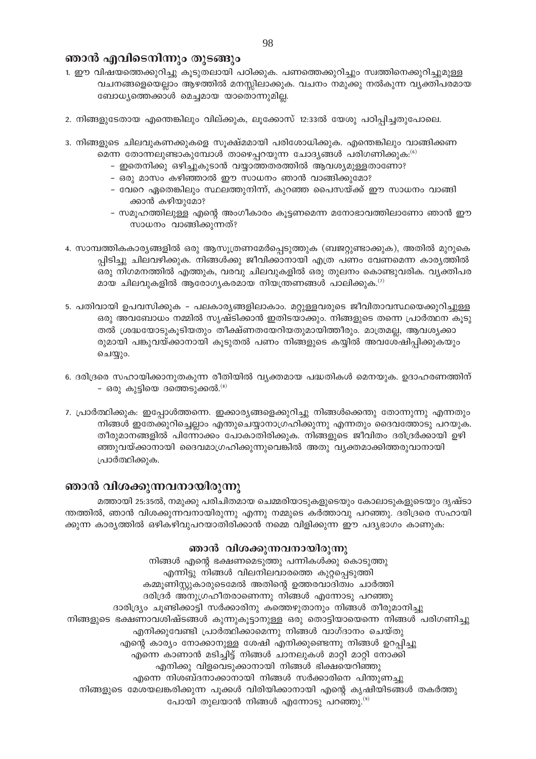# ഞാൻ എവിടെനിന്നും തുടങ്ങും

- 1. ഈ വിഷയത്തെക്കുറിച്ചു കൂടുതലായി പഠിക്കുക. പണത്തെക്കുറിച്ചും സ്വത്തിനെക്കുറിച്ചുമുള്ള വചനങ്ങളെയെല്ലാം ആഴത്തിൽ മനസ്സിലാക്കുക. വചനം നമുക്കു നൽകുന്ന വ്യക്തിപരമായ ബോധ്യത്തെക്കാൾ മെച്ചമായ യാതൊന്നുമില്ല.
- 2. നിങ്ങളുടേതായ എന്തെങ്കിലും വില്ക്കുക, ലൂക്കോസ് 12:33ൽ യേശു പഠിപ്പിച്ചതുപോലെ.
- 3. നിങ്ങളുടെ ചിലവുകണക്കുകളെ സൂക്ഷ്മമായി പരിശോധിക്കുക. എന്തെങ്കിലും വാങ്ങിക്കണ മെന്ന തോന്നലുണ്ടാകുമ്പോൾ താഴെപ്പറയുന്ന ചോദ്യങ്ങൾ പരിഗണിക്കുക: $^{(6)}$ 
	- ഇതെനിക്കു ഒഴിച്ചുകൂടാൻ വയ്യാത്തതരത്തിൽ ആവശ്യമുള്ളതാണോ?
	- ഒരു മാസം കഴിഞ്ഞാൽ ഈ സാധനം ഞാൻ വാങ്ങിക്കുമോ?
	- വേറെ ഏതെങ്കിലും സ്ഥലത്തുനിന്ന്, കുറഞ്ഞ പൈസയ്ക്ക് ഈ സാധനം വാങ്ങി ക്കാൻ കഴിയുമോ?
	- സമൂഹത്തിലുള്ള എന്റെ അംഗീകാരം കൂട്ടണമെന്ന മനോഭാവത്തിലാണോ ഞാൻ ഈ സാധനം വാങ്ങിക്കുന്നത്?
- 4. സാമ്പത്തികകാര്യങ്ങളിൽ ഒരു ആസൂത്രണമേർപ്പെടുത്തുക (ബജറ്റുണ്ടാക്കുക), അതിൽ മുറുകെ പ്പിടിച്ചു ചിലവഴിക്കുക. നിങ്ങൾക്കു ജീവിക്കാനായി എത്ര പണം വേണമെന്ന കാര്യത്തിൽ ഒരു നിഗമനത്തിൽ എത്തുക, വരവു ചിലവുകളിൽ ഒരു തുലനം കൊണ്ടുവരിക. വ്യക്തിപര മായ ചിലവുകളിൽ ആരോഗ്യകരമായ നിയന്ത്രണങ്ങൾ പാലിക്കുക. $^{(\prime)}$
- 5. പതിവായി ഉപവസിക്കുക പലകാര്യങ്ങളിലാകാം. മറ്റുള്ളവരുടെ ജീവിതാവസ്ഥയെക്കുറിച്ചുള്ള ഒരു അവബോധം നമ്മിൽ സൃഷ്ടിക്കാൻ ഇതിടയാക്കും. നിങ്ങളുടെ തന്നെ പ്രാർത്ഥന കൂടു തൽ ശ്രദ്ധയോടുകൂടിയതും തീക്ഷ്ണതയേറിയതുമായിത്തീരും. മാത്രമല്ല, ആവശ്യക്കാ രുമായി പങ്കുവയ്ക്കാനായി കൂടുതൽ പണം നിങ്ങളുടെ കയ്യിൽ അവശേഷിപ്പിക്കുകയും ചെയ്യും.
- 6. ദരിദ്രരെ സഹായിക്കാനുതകുന്ന രീതിയിൽ വ്യക്തമായ പദ്ധതികൾ മെനയുക. ഉദാഹരണത്തിന് - ഒരു കുട്ടിയെ ദത്തെടുക്കൽ. $^{(8)}$
- 7. പ്രാർത്ഥിക്കുക: ഇപ്പോൾത്തന്നെ. ഇക്കാര്യങ്ങളെക്കുറിച്ചു നിങ്ങൾക്കെന്തു തോന്നുന്നു എന്നതും നിങ്ങൾ ഇതേക്കുറിച്ചെല്ലാം എന്തുചെയ്യാനാഗ്രഹിക്കുന്നു എന്നതും ദൈവത്തോടു പറയുക. തീരുമാനങ്ങളിൽ പിന്നോക്കം പോകാതിരിക്കുക. നിങ്ങളുടെ ജീവിതം ദരിദ്രർക്കായി ഉഴി ഞ്ഞുവയ്ക്കാനായി ദൈവമാഗ്രഹിക്കുന്നുവെങ്കിൽ അതു വ്യക്തമാക്കിത്തരുവാനായി പ്രാർത്ഥിക്കുക.

# ഞാൻ വിശക്കുന്നവനായിരുന്നു

മത്തായി 25:35ൽ, നമുക്കു പരിചിതമായ ചെമ്മരിയാടുകളുടെയും കോലാടുകളുടെയും ദൃഷ്ടാ ന്തത്തിൽ, ഞാൻ വിശക്കുന്നവനായിരുന്നു എന്നു നമ്മുടെ കർത്താവു പറഞ്ഞു. ദരിദ്രരെ സഹായി ക്കുന്ന കാര്യത്തിൽ ഒഴികഴിവുപറയാതിരിക്കാൻ നമ്മെ വിളിക്കുന്ന ഈ പദ്യഭാഗം കാണുക:

# ഞാൻ വിശക്കുന്നവനായിരുന്നു

നിങ്ങൾ എന്റെ ഭക്ഷണമെടുത്തു പന്നികൾക്കു കൊടുത്തു എന്നിട്ടു നിങ്ങൾ വിലനിലവാരത്തെ കുറ്റപ്പെടുത്തി കമ്മൂണിസ്റ്റുകാരുടെമേൽ അതിന്റെ ഉത്തരവാദിത്വം ചാർത്തി ദരിദ്രർ അനുഗ്രഹീതരാണെന്നു നിങ്ങൾ എന്നോടു പറഞ്ഞു ദാരിദ്ര്യം ചൂണ്ടിക്കാട്ടി സർക്കാരിനു കത്തെഴുതാനും നിങ്ങൾ തീരുമാനിച്ചു നിങ്ങളുടെ ഭക്ഷണാവശിഷ്ടങ്ങൾ കുന്നുകൂട്ടാനുള്ള ഒരു തൊട്ടിയായെന്നെ നിങ്ങൾ പരിഗണിച്ചു എനിക്കുവേണ്ടി പ്രാർത്ഥിക്കാമെന്നു നിങ്ങൾ വാഗ്ദാനം ചെയ്തു എന്റെ കാര്യം നോക്കാനുള്ള ശേഷി എനിക്കുണ്ടെന്നു നിങ്ങൾ ഉറപ്പിച്ചു എന്നെ കാണാൻ മടിച്ചിട്ട് നിങ്ങൾ ചാനലുകൾ മാറ്റി മാറ്റി നോക്കി എനിക്കു വിളവെടുക്കാനായി നിങ്ങൾ ഭിക്ഷയെറിഞ്ഞു എന്നെ നിശബ്ദനാക്കാനായി നിങ്ങൾ സർക്കാരിനെ പിന്തുണച്ചു നിങ്ങളുടെ മേശയലങ്കരിക്കുന്ന പൂക്കൾ വിരിയിക്കാനായി എന്റെ കൃഷിയിടങ്ങൾ തകർത്തു പോയി തുലയാൻ നിങ്ങൾ എന്നോടു പറഞ്ഞു.<sup>(9)</sup>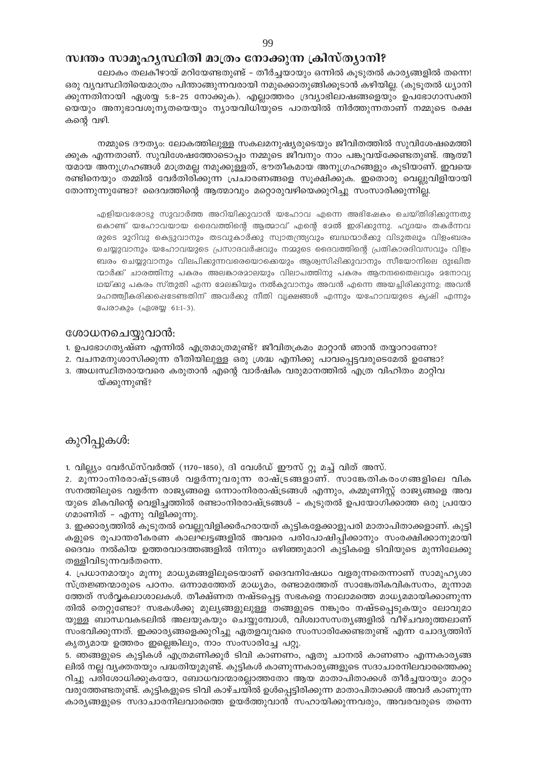# സ്ഥതം സാമൂഹൃസ്ഥിതി മാത്രം നോക്കുന്ന ക്രിസ്ത്യാനി?

ലോകം തലകീഴായ് മറിയേണ്ടതുണ്ട് – തീർച്ചയായും ഒന്നിൽ കുടുതൽ കാര്യങ്ങളിൽ തന്നെ! ഒരു വ്യവസ്ഥിതിയെമാത്രം പിന്താങ്ങുന്നവരായി നമുക്കൊതുങ്ങിക്കൂടാൻ കഴിയില്ല. (കുടൂതൽ ധ്യാനി ക്കുന്നതിനായി ഏശയ്യ 5:8–25 നോക്കുക). എല്ലാത്തരം ദ്രവ്യാഭിലാഷങ്ങളെയും ഉപഭോഗാസക്തി യെയും അനുഭാവശൂന്യതയെയും ന്യായവിധിയുടെ പാതയിൽ നിർത്തുന്നതാണ് നമ്മുടെ രക്ഷ കന്റെ വഴി.

നമ്മുടെ ദൗത്യം: ലോകത്തിലുള്ള സകലമനുഷ്യരുടെയും ജീവിതത്തിൽ സുവിശേഷമെത്തി ക്കുക എന്നതാണ്. സുവിശേഷത്തോടൊപ്പം നമ്മുടെ ജീവനും നാം പങ്കുവയ്ക്കേണ്ടതുണ്ട്. ആത്മീ യമായ അനുഗ്രഹങ്ങൾ മാത്രമല്ല നമുക്കുള്ളത്, ഭൗതീകമായ അനുഗ്രഹങ്ങളും കൂടിയാണ്. ഇവയെ രണ്ടിനെയും തമ്മിൽ വേർതിരിക്കുന്ന പ്രചാരണങ്ങളെ സൂക്ഷിക്കുക. ഇതൊരു വെല്ലുവിളിയായി തോന്നുന്നുണ്ടോ? ദൈവത്തിന്റെ ആത്മാവും മറ്റൊരുവഴിയെക്കുറിച്ചു സംസാരിക്കുന്നില്ല.

എളിയവരോടു സുവാർത്ത അറിയിക്കുവാൻ യഹോവ എന്നെ അഭിഷേകം ചെയ്തിരിക്കുന്നതു കൊണ്ട് യഹോവയായ ദൈവത്തിന്റെ ആത്മാവ് എന്റെ മേൽ ഇരിക്കുന്നു. ഹൃദയം തകർന്നവ രുടെ മുറിവു കെട്ടുവാനും തടവുകാർക്കു സ്വാതന്ത്ര്യവും ബദ്ധന്മാർക്കു വിടുതലും വിളംബരം ചെയ്യുവാനും യഹോവയുടെ പ്രസാദവർഷവും നമ്മുടെ ദൈവത്തിന്റെ പ്രതികാരദിവസവും വിളം ബരം ചെയ്യുവാനും വിലപിക്കുന്നവരെയൊക്കെയും ആശ്വസിഷിക്കുവാനും സീയോനിലെ ദുഃഖിത ന്മാർക്ക് ചാരത്തിനു പകരം അലങ്കാരമാലയും വിലാപത്തിനു പകരം ആനന്ദതൈലവും മനോവ്യ ഥയ്ക്കു പകരം സ്തുതി എന്ന മേലങ്കിയും നൽകുവാനും അവൻ എന്നെ അയച്ചിരിക്കുന്നു; അവൻ മഹത്ത്വീകരിക്കപ്പെടേണ്ടതിന് അവർക്കു നീതി വ്യക്ഷങ്ങൾ എന്നും യഹോവയുടെ കൃഷി എന്നും പേരാകും (ഏശയ്യ 61:1-3).

# ശോധനചെയ്യുവാൻ:

- 1. ഉപഭോഗതൃഷ്ണ എന്നിൽ എത്രമാത്രമുണ്ട്? ജീവിതക്രമം മാറ്റാൻ ഞാൻ തയ്യാറാണോ?
- 2. വചനമനുശാസിക്കുന്ന രീതിയിലുള്ള ഒരു ശ്രദ്ധ എനിക്കു പാവപ്പെട്ടവരുടെമേൽ ഉണ്ടോ?
- 3. അധഃസ്ഥിതരായവരെ കരുതാൻ എന്റെ വാർഷിക വരുമാനത്തിൽ എത്ര വിഹിതം മാറ്റിവ യ്ക്കുന്നുണ്ട്?

കുറിപ്പുകൾ:

1. വില്ല്യം വേർഡ്സ്വർത്ത് (1170–1850), ദി വേൾഡ് ഈസ് റ്റു മച്ച് വിത് അസ്.

2. മുന്നാംനിരരാഷ്ട്രങ്ങൾ വളർന്നുവരുന്ന രാഷ്ട്രങ്ങളാണ്. സാങ്കേതികരംഗങ്ങളിലെ വിക സനത്തിലൂടെ വളർന്ന രാജ്യങ്ങളെ ഒന്നാംനിരരാഷ്ട്രങ്ങൾ എന്നും, കമ്മൂണിസ്റ്റ് രാജ്യങ്ങളെ അവ യുടെ മികവിന്റെ വെളിച്ചത്തിൽ രണ്ടാംനിരരാഷ്ട്രങ്ങൾ – കൂടുതൽ ഉപയോഗിക്കാത്ത ഒരു പ്രയോ ഗമാണിത് – എന്നു വിളിക്കുന്നു.

3. ഇക്കാര്യത്തിൽ കൂടുതൽ വെല്ലുവിളിക്കർഹരായത് കുട്ടികളേക്കാളുപരി മാതാപിതാക്കളാണ്. കുട്ടി കളുടെ രുപാന്തരീകരണ കാലഘട്ടങ്ങളിൽ അവരെ പരിപോഷിപ്പിക്കാനും സംരക്ഷിക്കാനുമായി ദൈവം നൽകിയ ഉത്തരവാദത്തങ്ങളിൽ നിന്നും ഒഴിഞ്ഞുമാറി കുട്ടികളെ ടിവിയുടെ മുന്നിലേക്കു തള്ളിവിടുന്നവർതന്നെ.

4. പ്രധാനമായും മൂന്നു മാധ്യമങ്ങളിലൂടെയാണ് ദൈവനിഷേധം വളരുന്നതെന്നാണ് സാമുഹ്യശാ സ്ത്രജ്ഞന്മാരുടെ പഠനം. ഒന്നാമത്തേത് മാധ്യമം, രണ്ടാമത്തേത് സാങ്കേതികവികസനം, മൂന്നാമ ത്തേത് സർവ്വകലാശാലകൾ. തീക്ഷ്ണത നഷ്ടപ്പെട്ട സഭകളെ നാലാമത്തെ മാധ്യമമായിക്കാണുന്ന തിൽ തെറ്റുണ്ടോ? സഭകൾക്കു മുല്യങ്ങളുലുള്ള തങ്ങളുടെ നങ്കൂരം നഷ്ടപ്പെടുകയും ലോവുമാ യുള്ള ബാന്ധവകടലിൽ അലയുകയും ചെയ്യുമ്പോൾ, വിശ്വാസസത്യങ്ങളിൽ വീഴ്ചവരുത്തലാണ് സംഭവിക്കുന്നത്. ഇക്കാര്യങ്ങളെക്കുറിച്ചു ഏതളവുവരെ സംസാരിക്കേണ്ടതുണ്ട് എന്ന ചോദ്യത്തിന് കൃത്യമായ ഉത്തരം ഇല്ലെങ്കിലും, നാം സംസാരിച്ചേ പറ്റൂ.

5. ഞങ്ങളുടെ കുട്ടികൾ എത്രമണിക്കൂർ ടിവി കാണണം, ഏതു ചാനൽ കാണണം എന്നകാര്യങ്ങ ലിൽ നല്ല വ്യക്തതയും പദ്ധതിയുമുണ്ട്. കുട്ടികൾ കാണുന്നകാര്യങ്ങളുടെ സദാചാരനിലവാരത്തെക്കു റിച്ചു പരിശോധിക്കുകയോ, ബോധവാന്മാരല്ലാത്തതോ ആയ മാതാപിതാക്കൾ തീർച്ചയായും മാറ്റം വരുത്തേണ്ടതുണ്ട്. കുട്ടികളുടെ ടിവി കാഴ്ചയിൽ ഉൾപ്പെട്ടിരിക്കുന്ന മാതാപിതാക്കൾ അവർ കാണുന്ന കാര്യങ്ങളുടെ സദാചാരനിലവാരത്തെ ഉയർത്തുവാൻ സഹായിക്കുന്നവരും, അവരവരുടെ തന്നെ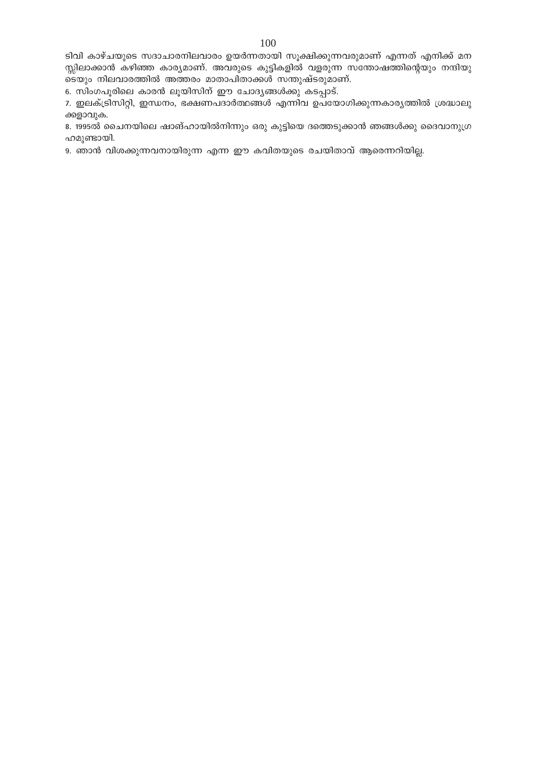ടിവി കാഴ്ചയുടെ സദാചാരനിലവാരം ഉയർന്നതായി സൂക്ഷിക്കുന്നവരുമാണ് എന്നത് എനിക്ക് മന സ്സിലാക്കാൻ കഴിഞ്ഞ കാര്യമാണ്. അവരുടെ കുട്ടികളിൽ വളരുന്ന സന്തോഷത്തിന്റെയും നന്ദിയു ടെയും നിലവാരത്തിൽ അത്തരം മാതാപിതാക്കൾ സന്തുഷ്ടരുമാണ്.

6. സിംഗപൂരിലെ കാരൻ ലൂയിസിന് ഈ ചോദ്യങ്ങൾക്കു കടപ്പാട്.

7. ഇലക്ട്രിസിറ്റി, ഇന്ധനം, ഭക്ഷണപദാർത്ഥങ്ങൾ എന്നിവ ഉപയോഗിക്കുന്നകാര്യത്തിൽ ശ്രദ്ധാലു ക്കളാവുക.

8. 1995ൽ ചൈനയിലെ ഷാങ്ഹായിൽനിന്നും ഒരു കുട്ടിയെ ദത്തെടുക്കാൻ ഞങ്ങൾക്കു ദൈവാനുഗ്ര ഹമുണ്ടായി.

9. ഞാൻ വിശക്കുന്നവനായിരുന്ന എന്ന ഈ കവിതയുടെ രചയിതാവ് ആരെന്നറിയില്ല.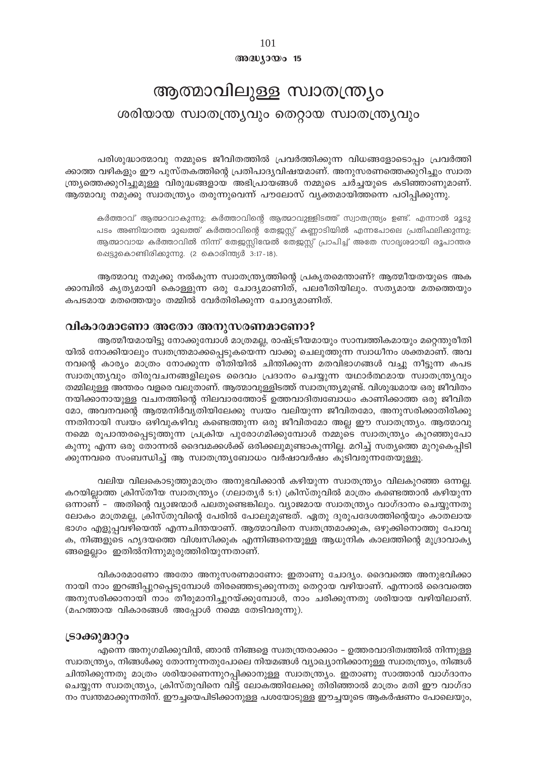#### അദ്ധ്യായം 15

# ആത്മാവിലുള്ള സ്വാതന്ത്ര്യം ശരിയായ സ്വാതന്ത്ര്യവും തെറ്റായ സ്വാതന്ത്ര്യവും

പരിശുദ്ധാത്മാവു നമ്മുടെ ജീവിതത്തിൽ പ്രവർത്തിക്കുന്ന വിധങ്ങളോടൊപ്പം പ്രവർത്തി ക്കാത്ത വഴികളും ഈ പുസ്തകത്തിന്റെ പ്രതിപാദ്യവിഷയമാണ്. അനുസരണത്തെക്കുറിച്ചും സ്വാത ന്ത്ര്യത്തെക്കുറിച്ചുമുള്ള വിരുദ്ധങ്ങളായ അഭിപ്രായങ്ങൾ നമ്മുടെ ചർച്ചയുടെ കടിഞ്ഞാണുമാണ്. ആത്മാവു നമുക്കു സ്വാതന്ത്ര്യം തരുന്നുവെന്ന് പൗലോസ് വ്യക്തമായിത്തന്നെ പഠിപ്പിക്കുന്നു.

കർത്താവ് ആത്മാവാകുന്നു; കർത്താവിന്റെ ആത്മാവുള്ളിടത്ത് സ്വാതന്ത്ര്യം ഉണ്ട്. എന്നാൽ മൂടു പടം അണിയാത്ത മുഖത്ത് കർത്താവിന്റെ തേജസ്റ്റ് കണ്ണാടിയിൽ എന്നപോലെ പ്രതിഫലിക്കുന്നു; ആത്മാവായ കർത്താവിൽ നിന്ന് തേജസ്സിന്മേൽ തേജസ്സ് പ്രാപിച്ച് അതേ സാദൃശമായി രൂപാന്തര ഷെട്ടുകൊണ്ടിരിക്കുന്നു. (2 കൊരിന്ത്യർ 3:17-18).

ആത്മാവു നമുക്കു നൽകുന്ന സ്വാതന്ത്ര്യത്തിന്റെ പ്രകൃതമെന്താണ്? ആത്മീയതയുടെ അക ക്കാമ്പിൽ കൃത്യമായി കൊള്ളുന്ന ഒരു ചോദ്യമാണിത്, പലരീതിയിലും. സത്യമായ മതത്തെയും കപടമായ മതത്തെയും തമ്മിൽ വേർതിരിക്കുന്ന ചോദ്യമാണിത്.

#### വികാരമാണോ അതോ അനുസരണമാണോ?

ആത്മീയമായിട്ടു നോക്കുമ്പോൾ മാത്രമല്ല, രാഷ്ട്രീയമായും സാമ്പത്തികമായും മറ്റെന്തുരീതി യിൽ നോക്കിയാലും സ്വതന്ത്രമാക്കപ്പെടുകയെന്ന വാക്കു ചെലുത്തുന്ന സ്വാധീനം ശക്തമാണ്. അവ നവന്റെ കാര്യം മാത്രം നോക്കുന്ന രീതിയിൽ ചിന്തിക്കുന്ന മതവിഭാഗങ്ങൾ വച്ചു നീട്ടുന്ന കപട സ്ഥാതന്ത്ര്യവും തിരുവചനങ്ങളിലൂടെ ദൈവം പ്രദാനം ചെയ്യുന്ന യഥാർത്ഥമായ സ്ഥാതന്ത്ര്യവും തമ്മിലുള്ള അന്തരം വളരെ വലുതാണ്. ആത്മാവുള്ളിടത്ത് സ്വാതന്ത്ര്യമുണ്ട്. വിശുദ്ധമായ ഒരു ജീവിതം നയിക്കാനായുള്ള വചനത്തിന്റെ നിലവാരത്തോട് ഉത്തവാദിത്വബോധം കാണിക്കാത്ത ഒരു ജീവിത മോ, അവനവന്റെ ആത്മനിർവൃതിയിലേക്കു സ്വയം വലിയുന്ന ജീവിതമോ, അനുസരിക്കാതിരിക്കു ന്നതിനായി സ്വയം ഒഴിവുകഴിവു കണ്ടെത്തുന്ന ഒരു ജീവിതമോ അല്ല ഈ സ്വാതന്ത്ര്യം. ആത്മാവു നമ്മെ രൂപാന്തരപ്പെടുത്തുന്ന പ്രക്രിയ പുരോഗമിക്കുമ്പോൾ നമ്മുടെ സ്വാതന്ത്ര്യം കുറഞ്ഞുപോ കുന്നു എന്ന ഒരു തോന്നൽ ദൈവമക്കൾക്ക് ഒരിക്കലുമുണ്ടാകുന്നില്ല. മറിച്ച് സത്യത്തെ മുറുകെപ്പിടി ക്കുന്നവരെ സംബന്ധിച്ച് ആ സ്വാതന്ത്ര്യബോധം വർഷാവർഷം കൂടിവരുന്നതേയുള്ളൂ.

വലിയ വിലകൊടുത്തുമാത്രം അനുഭവിക്കാൻ കഴിയുന്ന സ്വാതന്ത്ര്യം വിലകുറഞ്ഞ ഒന്നല്ല. കറയില്ലാത്ത ക്രിസ്തീയ സ്വാതന്ത്ര്യം (ഗലാതൃർ 5:1) ക്രിസ്തുവിൽ മാത്രം കണ്ടെത്താൻ കഴിയുന്ന ഒന്നാണ് – അതിന്റെ വ്യാജന്മാർ പലതുണ്ടെങ്കിലും. വ്യാജമായ സ്വാതന്ത്ര്യം വാഗ്ദാനം ചെയ്യുന്നതു ലോകം മാത്രമല്ല, ക്രിസ്തുവിന്റെ പേരിൽ പോലുമുണ്ടത്. ഏതു ദുരുപദേശത്തിന്റെയും കാതലായ ഭാഗം എളുപ്പവഴിയെന്ത് എന്നചിന്തയാണ്. ആത്മാവിനെ സ്വതന്ത്രമാക്കുക, ഒഴുക്കിനൊത്തു പോവു ക, നിങ്ങളുടെ ഹൃദയത്തെ വിശ്വസിക്കുക എന്നിങ്ങനെയുള്ള ആധുനിക കാലത്തിന്റെ മുദ്രാവാക്യ ങ്ങളെല്ലാം ഇതിൽനിന്നുമുരുത്തിരിയുന്നതാണ്.

വികാരമാണോ അതോ അനുസരണമാണോ: ഇതാണു ചോദ്യം. ദൈവത്തെ അനുഭവിക്കാ നായി നാം ഇറങ്ങിപ്പുറപ്പെടുമ്പോൾ തിരഞ്ഞെടുക്കുന്നതു തെറ്റായ വഴിയാണ്. എന്നാൽ ദൈവത്തെ അനുസരിക്കാനായി നാം തീരുമാനിച്ചുറയ്ക്കുമ്പോൾ, നാം ചരിക്കുന്നതു ശരിയായ വഴിയിലാണ്. (മഹത്തായ വികാരങ്ങൾ അപ്പോൾ നമ്മെ തേടിവരുന്നു).

#### ട്രാക്കുമാറ്റം

എന്നെ അനുഗമിക്കുവിൻ, ഞാൻ നിങ്ങളെ സ്വതന്ത്രരാക്കാം – ഉത്തരവാദിത്വത്തിൽ നിന്നുള്ള സ്വാതന്ത്ര്യം, നിങ്ങൾക്കു തോന്നുന്നതുപോലെ നിയമങ്ങൾ വ്യാഖ്യാനിക്കാനുള്ള സ്വാതന്ത്ര്യം, നിങ്ങൾ ചിന്തിക്കുന്നതു മാത്രം ശരിയാണെന്നുറപ്പിക്കാനുള്ള സ്വാതന്ത്ര്യം. ഇതാണു സാത്താൻ വാഗ്ദാനം ചെയ്യുന്ന സ്വാതന്ത്ര്യം, ക്രിസ്തുവിനെ വിട്ട് ലോകത്തിലേക്കു തിരിഞ്ഞാൽ മാത്രം മതി ഈ വാഗ്ദാ നം സ്വന്തമാക്കുന്നതിന്. ഈച്ചയെപിടിക്കാനുള്ള പശയോടുള്ള ഈച്ചയുടെ ആകർഷണം പോലെയും,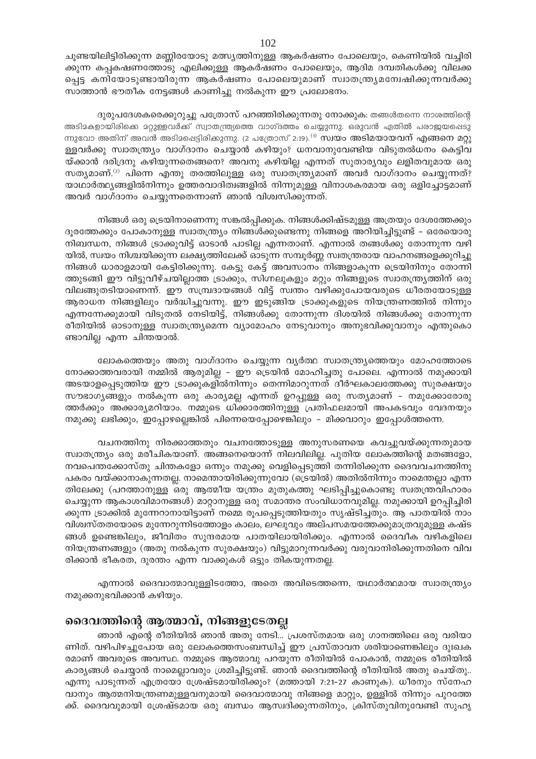ചൂണ്ടയിലിട്ടിരിക്കുന്ന മണ്ണിരയോടു മത്സ്യത്തിനുള്ള ആകർഷണം പോലെയും, കെണിയിൽ വച്ചിരി ക്കുന്ന കപ്പകഷണത്തോടു എലിക്കുള്ള ആകർഷണം പോലെയും, ആദിമ ദമ്പതികൾക്കു വിലക്ക പ്പെട്ട കനിയോടുണ്ടായിരുന്ന ആകർഷണം പോലെയുമാണ് സ്വാതന്ത്ര്യമന്വേഷിക്കുന്നവർക്കു സാത്താൻ ഭൗതീക നേട്ടങ്ങൾ കാണിച്ചു നൽകുന്ന ഈ പ്രലോഭനം.

ദുരുപദേശകരെക്കുറുച്ചു പത്രോസ് പറഞ്ഞിരിക്കുന്നതു നോക്കുക: തങ്ങൾതന്നെ നാശത്തിന്റെ അടിമകളായിരിക്കെ മറ്റുള്ളവർക്ക് സ്വാതന്ത്ര്യത്തെ വാഗ്ദത്തം ചെയ്യുന്നു. ഒരുവൻ ഏതിൽ പരാജയപ്പെടു ന്നുവോ അതിന് അവൻ അടിമപ്പെട്ടിരിക്കുന്നു. (2 പത്രോസ് 2:19).<sup>(1)</sup> സ്വയം അടിമയായവന് എങ്ങനെ മറ്റു ള്ളവർക്കു സ്വാതന്ത്ര്യം വാഗ്ദാനം ചെയ്യാൻ കഴിയും? ധനവാനുവേണ്ടിയ വിടുതൽധനം കെട്ടിവ യ്ക്കാൻ ദരിദ്രനു കഴിയുന്നതെങ്ങനെ? അവനു കഴിയില്ല എന്നത് സുതാര്യവും ലളിതവുമായ ഒരു സത്യമാണ്. $^{(2)}$  പിന്നെ എന്തു തരത്തിലുള്ള ഒരു സ്ഥാത്ത്ര്യമാണ് അവർ വാഗ്ദാനം ചെയ്യുന്നത്? യാഥാർത്ഥ്യങ്ങളിൽനിന്നും ഉത്തരവാദിത്വങ്ങളിൽ നിന്നുമുള്ള വിനാശകരമായ ഒരു ഒളിച്ചോട്ടമാണ് അവർ വാഗ്ദാനം ചെയ്യുന്നതെന്നാണ് ഞാൻ വിശ്വസിക്കുന്നത്.

നിങ്ങൾ ഒരു ട്രെയിനാണെന്നു സങ്കൽപ്പിക്കുക. നിങ്ങൾക്കിഷ്ടമുള്ള അത്രയും ദേശത്തേക്കും ദൂരത്തേക്കും പോകാനുള്ള സ്വാതന്ത്ര്യം നിങ്ങൾക്കുണ്ടെന്നു നിങ്ങളെ അറിയിച്ചിട്ടുണ്ട് – ഒരേയൊരു നിബന്ധന, നിങ്ങൾ ട്രാക്കുവിട്ട് ഓടാൻ പാടില്ല എന്നതാണ്. എന്നാൽ തങ്ങൾക്കു തോന്നുന്ന വഴി യിൽ, സ്വയം നിശ്ചയിക്കുന്ന ലക്ഷ്യത്തിലേക്ക് ഓടുന്ന സമ്പൂർണ്ണ സ്വതന്ത്രരായ വാഹനങ്ങളെക്കുറിച്ചു നിങ്ങൾ ധാരാളമായി കേട്ടിരിക്കുന്നു. കേട്ടു കേട്ട് അവസാനം നിങ്ങളാകുന്ന ട്രെയിനിനും തോന്നി ത്തുടങ്ങി ഈ വിട്ടുവീഴ്ചയില്ലാത്ത ട്രാക്കും, സിഗ്നലുകളും മറ്റും നിങ്ങളുടെ സ്വാതന്ത്ര്യത്തിന് ഒരു വിലങ്ങുതടിയാണെന്ന്. ഈ സമ്പ്രദായങ്ങൾ വിട്ട് സ്വന്തം വഴിക്കുപോയവരുടെ ധീരതയോടുള്ള ആരാധന നിങ്ങളിലും വർദ്ധിച്ചുവന്നു. ഈ ഇടുങ്ങിയ ട്രാക്കുകളുടെ നിയന്ത്രണത്തിൽ നിന്നും എന്നന്നേക്കുമായി വിടുതൽ നേടിയിട്ട്, നിങ്ങൾക്കു തോന്നുന്ന ദിശയിൽ നിങ്ങൾക്കു തോന്നുന്ന രീതിയിൽ ഓടാനുള്ള സ്വാതന്ത്ര്യമെന്ന വ്യാമോഹം നേടുവാനും അനുഭവിക്കുവാനും എന്തുകൊ ണ്ടാവില്ല എന്ന ചിന്തയാൽ.

ലോകത്തെയും അതു വാഗ്ദാനം ചെയ്യുന്ന വ്യർത്ഥ സ്വാതന്ത്ര്യത്തെയും മോഹത്തോടെ നോക്കാത്തവരായി നമ്മിൽ ആരുമില്ല - ഈ ട്രെയിൻ മോഹിച്ചതു പോലെ. എന്നാൽ നമുക്കായി അടയാളപ്പെടുത്തിയ ഈ ട്രാക്കുകളിൽനിന്നും തെന്നിമാറുന്നത് ദീർഘകാലത്തേക്കു സുരക്ഷയും സൗഭാഗ്യങ്ങളും നൽകുന്ന ഒരു കാര്യമല്ല എന്നത് ഉറപ്പുള്ള ഒരു സത്യമാണ് – നമുക്കോരോരു ത്തർക്കും അക്കാര്യമറിയാം. നമ്മുടെ ധിക്കാരത്തിനുള്ള പ്രതിഫലമായി അപകടവും വേദനയും നമുക്കു ലഭിക്കും, ഇപ്പോഴല്ലെങ്കിൽ പിന്നെയെപ്പോഴെങ്കിലും – മിക്കവാറും ഇപ്പോൾത്തന്നെ.

വചനത്തിനു നിരക്കാത്തതും വചനത്തോടുള്ള അനുസരണയെ കവച്ചുവയ്ക്കുന്നതുമായ സ്വാതന്ത്ര്യം ഒരു മരീചികയാണ്. അങ്ങനെയൊന്ന് നിലവിലില്ല. പുതിയ ലോകത്തിന്റെ മതങ്ങളോ, നവപെന്തക്കോസ്തു ചിന്തകളോ ഒന്നും നമുക്കു വെളിപ്പെടുത്തി തന്നിരിക്കുന്ന ദൈവവചനത്തിനു പകരം വയ്ക്കാനാകുന്നതല്ല. നാമെന്തായിരിക്കുന്നുവോ (ട്രെയിൽ) അതിൽനിന്നും നാമെന്തല്ലാ എന്ന തിലേക്കു (പറത്താനുള്ള ഒരു ആത്മീയ യന്ത്രം മുതുകത്തു ഘടിപ്പിച്ചുകൊണ്ടു സ്വതന്ത്രവിഹാരം ചെയ്യുന്ന ആകാശവിമാനങ്ങൾ) മാറ്റാനുള്ള ഒരു സമാന്തര സംവിധാനവുമില്ല. നമുക്കായി ഉറപ്പിച്ചിരി ക്കുന്ന ട്രാക്കിൽ മുന്നേറാനായിട്ടാണ് നമ്മെ രൂപപ്പെടുത്തിയതും സൃഷ്ടിച്ചതും. ആ പാതയിൽ നാം വിശ്വസ്തതയോടെ മുന്നേറുന്നിടത്തോളം കാലം, ലഘുവും അല്പസമയത്തേക്കുമാത്രവുമുള്ള കഷ്ട ങ്ങൾ ഉണ്ടെങ്കിലും, ജീവിതം സുന്ദരമായ പാതയിലായിരിക്കും. എന്നാൽ ദൈവീക വഴികളിലെ നിയന്ത്രണങ്ങളും (അതു നൽകുന്ന സുരക്ഷയും) വിട്ടുമാറുന്നവർക്കു വരുവാനിരിക്കുന്നതിനെ വിവ രിക്കാൻ ഭീകരത, ദുരന്തം എന്ന വാക്കുകൾ ഒട്ടും തികയുന്നതല്ല.

എന്നാൽ ദൈവാത്മാവുള്ളിടത്തോ, അതെ അവിടെത്തന്നെ, യഥാർത്ഥമായ സ്വാതന്ത്ര്യം നമുക്കനുഭവിക്കാൻ കഴിയും.

# ദൈവത്തിന്റെ ആത്മാവ്, നിങ്ങളുടേതല്ല

ഞാൻ എന്റെ രീതിയിൽ ഞാൻ അതു നേടി… പ്രശസ്തമായ ഒരു ഗാനത്തിലെ ഒരു വരിയാ ണിത്. വഴിപിഴച്ചുപോയ ഒരു ലോകത്തെസംബന്ധിച്ച് ഈ പ്രസ്താവന ശരിയാണെങ്കിലും ദുഃഖക രമാണ് അവരുടെ അവസ്ഥ. നമ്മുടെ ആത്മാവു പറയുന്ന രീതിയിൽ പോകാൻ, നമ്മുടെ രീതിയിൽ കാര്യങ്ങൾ ചെയ്യാൻ നാമെല്ലാവരും ശ്രമിച്ചിട്ടുണ്ട്. ഞാൻ ദൈവത്തിന്റെ രീതിയിൽ അതു ചെയ്തു.. എന്നു പാടുന്നത് എത്രയോ ശ്രേഷ്ടമായിരിക്കും? (മത്തായി 7:21–27 കാണുക). ധീരനും സ്നേഹ വാനും ആത്മനിയന്ത്രണമുള്ളവനുമായി ദൈവാത്മാവു നിങ്ങളെ മാറ്റും, ഉള്ളിൽ നിന്നും പുറത്തേ ക്ക്. ദൈവവുമായി ശ്രേഷ്ടമായ ഒരു ബന്ധം ആസ്വദിക്കുന്നതിനും, ക്രിസ്തുവിനുവേണ്ടി സുഹൃ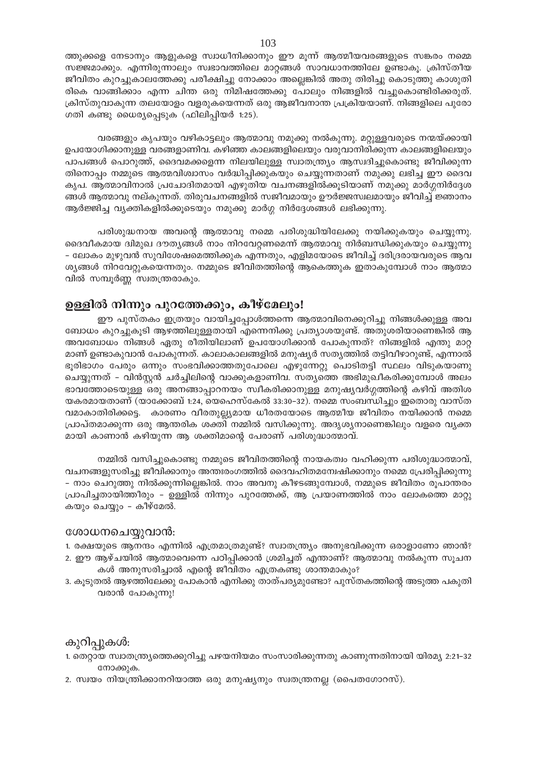ത്തുക്കളെ നേടാനും ആളുകളെ സ്വാധീനിക്കാനും ഈ മൂന്ന് ആത്മീയവരങ്ങളുടെ സങ്കരം നമ്മെ സജ്ജമാക്കും. എന്നിരുന്നാലും സ്വഭാവത്തിലെ മാറ്റങ്ങൾ സാവധാനത്തിലേ ഉണ്ടാകൂ. ക്രിസ്തീയ ജീവിതം കുറച്ചുകാലത്തേക്കു പരീക്ഷിച്ചു നോക്കാം അല്ലെങ്കിൽ അതു തിരിച്ചു കൊടുത്തു കാശുതി രികെ വാങ്ങിക്കാം എന്ന ചിന്ത ഒരു നിമിഷത്തേക്കു പോലും നിങ്ങളിൽ വച്ചുകൊണ്ടിരിക്കരുത്. ക്രിസ്തുവാകുന്ന തലയോളം വളരുകയെന്നത് ഒരു ആജീവനാന്ത പ്രക്രിയയാണ്. നിങ്ങളിലെ പുരോ ഗതി കണ്ടു ധൈര്യപ്പെടുക (ഫിലിപ്പിയർ 1:25).

വരങ്ങളും കൃപയും വഴികാട്ടലും ആത്മാവു നമുക്കു നൽകുന്നു. മറ്റുള്ളവരുടെ നന്മയ്ക്കായി ഉപയോഗിക്കാനുള്ള വരങ്ങളാണിവ. കഴിഞ്ഞ കാലങ്ങളിലെയും വരുവാനിരിക്കുന്ന കാലങ്ങളിലെയും പാപങ്ങൾ പൊറുത്ത്, ദൈവമക്കളെന്ന നിലയിലുള്ള സ്വാതന്ത്ര്യം ആസ്വദിച്ചുകൊണ്ടു ജീവിക്കുന്ന തിനൊപ്പം നമ്മുടെ ആത്മവിശ്വാസം വർദ്ധിപ്പിക്കുകയും ചെയ്യുന്നതാണ് നമുക്കു ലഭിച്ച ഈ ദൈവ കൃപ. ആത്മാവിനാൽ പ്രചോദിതമായി എഴുതിയ വചനങ്ങളിൽക്കൂടിയാണ് നമുക്കു മാർഗ്ഗനിർദ്ദേശ ങ്ങൾ ആത്മാവു നല്കുന്നത്. തിരുവചനങ്ങളിൽ സജീവമായും ഊർജ്ജസ്വലമായും ജീവിച്ച് ജ്ഞാനം ആർജ്ജിച്ച വ്യക്തികളിൽക്കൂടെയും നമുക്കു മാർഗ്ഗ നിർദ്ദേശങ്ങൾ ലഭിക്കുന്നു.

പരിശുദ്ധനായ അവന്റെ ആത്മാവു നമ്മെ പരിശുദ്ധിയിലേക്കു നയിക്കുകയും ചെയ്യുന്നു. ദൈവീകമായ ദ്വിമുഖ ദൗത്യങ്ങൾ നാം നിറവേറ്റണമെന്ന് ആത്മാവു നിർബന്ധിക്കുകയും ചെയ്യുന്നു - ലോകം മുഴുവൻ സുവിശേഷമെത്തിക്കുക എന്നതും, എളിമയോടെ ജീവിച്ച് ദരിദ്രരായവരുടെ ആവ ശ്യങ്ങൾ നിറവേറ്റുകയെന്നതും. നമ്മുടെ ജീവിതത്തിന്റെ ആകെത്തുക ഇതാകുമ്പോൾ നാം ആത്മാ വിൽ സമ്പൂർണ്ണ സ്വതന്ത്രരാകും.

# ഉള്ളിൽ നിന്നും പുറത്തേക്കും, കീഴ്മേലും!

ഈ പുസ്തകം ഇത്രയും വായിച്ചപ്പോൾത്തന്നെ ആത്മാവിനെക്കുറിച്ചു നിങ്ങൾക്കുള്ള അവ ബോധം കുറച്ചുകൂടി ആഴത്തിലുള്ളതായി എന്നെനിക്കു പ്രത്യാശയുണ്ട്. അതുശരിയാണെങ്കിൽ ആ അവബോധം നിങ്ങൾ ഏതു രീതിയിലാണ് ഉപയോഗിക്കാൻ പോകുന്നത്? നിങ്ങളിൽ എന്തു മാറ്റ മാണ് ഉണ്ടാകുവാൻ പോകുന്നത്. കാലാകാലങ്ങളിൽ മനുഷ്യർ സത്യത്തിൽ തട്ടിവീഴാറുണ്ട്, എന്നാൽ ഭൂരിഭാഗം പേരും ഒന്നും സംഭവിക്കാത്തതുപോലെ എഴുന്നേറ്റു പൊടിതട്ടി സ്ഥലം വിടുകയാണു ചെയ്യുന്നത് – വിൻസ്റ്റൻ ചർച്ചിലിന്റെ വാക്കുകളാണിവ. സത്യത്തെ അഭിമുഖീകരിക്കുമ്പോൾ അലം ഭാവത്തോടെയുള്ള ഒരു അനങ്ങാപ്പാറനയം സ്വീകരിക്കാനുള്ള മനുഷ്യവർഗ്ഗത്തിന്റെ കഴിവ് അതിശ യകരമായതാണ് (യാക്കോബ് 1:24, യെഹെസ്കേൽ 33:30–32). നമ്മെ സംബന്ധിച്ചും ഇതൊരു വാസ്ത വമാകാതിരിക്കട്ടെ. കാരണം വീരതുല്ല്യമായ ധീരതയോടെ ആത്മീയ ജീവിതം നയിക്കാൻ നമ്മെ പ്രാപ്തമാക്കുന്ന ഒരു ആന്തരിക ശക്തി നമ്മിൽ വസിക്കുന്നു. അദൃശ്യനാണെങ്കിലും വളരെ വൃക്ത മായി കാണാൻ കഴിയുന്ന ആ ശക്തിമാന്റെ പേരാണ് പരിശുദ്ധാത്മാവ്.

നമ്മിൽ വസിച്ചുകൊണ്ടു നമ്മുടെ ജീവിതത്തിന്റെ നായകത്വം വഹിക്കുന്ന പരിശുദ്ധാത്മാവ്, വചനങ്ങളുസരിച്ചു ജീവിക്കാനും അന്തഃരംഗത്തിൽ ദൈവഹിതമന്വേഷിക്കാനും നമ്മെ പ്രേരിപ്പിക്കുന്നു – നാം ചെറുത്തു നിൽക്കുന്നില്ലെങ്കിൽ. നാം അവനു കീഴടങ്ങുമ്പോൾ, നമ്മുടെ ജീവിതം രൂപാന്തരം പ്രാപിച്ചതായിത്തീരും - ഉള്ളിൽ നിന്നും പുറത്തേക്ക്, ആ പ്രയാണത്തിൽ നാം ലോകത്തെ മാറ്റു കയും ചെയ്യും - കീഴ്മേൽ.

#### ശോധനചെയ്യുവാൻ:

1. രക്ഷയുടെ ആനന്ദം എന്നിൽ എത്രമാത്രമുണ്ട്? സ്വാതന്ത്ര്യം അനുഭവിക്കുന്ന ഒരാളാണോ ഞാൻ? 2. ഈ ആഴ്ചയിൽ ആത്മാവെന്നെ പഠിപ്പിക്കാൻ ശ്രമിച്ചത് എന്താണ്? ആത്മാവു നൽകുന്ന സൂചന കൾ അനുസരിച്ചാൽ എന്റെ ജീവിതം എത്രകണ്ടു ശാന്തമാകും?

3. കൂടുതൽ ആഴത്തിലേക്കു പോകാൻ എനിക്കു താത്പര്യമുണ്ടോ? പുസ്തകത്തിന്റെ അടുത്ത പകുതി വരാൻ പോകുന്നു!

# കുറിപ്പുകൾ:

- 1. തെറ്റായ സ്വാതന്ത്ര്യത്തെക്കുറിച്ചു പഴയനിയമം സംസാരിക്കുന്നതു കാണുന്നതിനായി യിരമ്യ 2:21–32 നോക്കുക.
- 2. സ്വയം നിയന്ത്രിക്കാനറിയാത്ത ഒരു മനുഷ്യനും സ്വതന്ത്രനല്ല (പൈതഗോറസ്).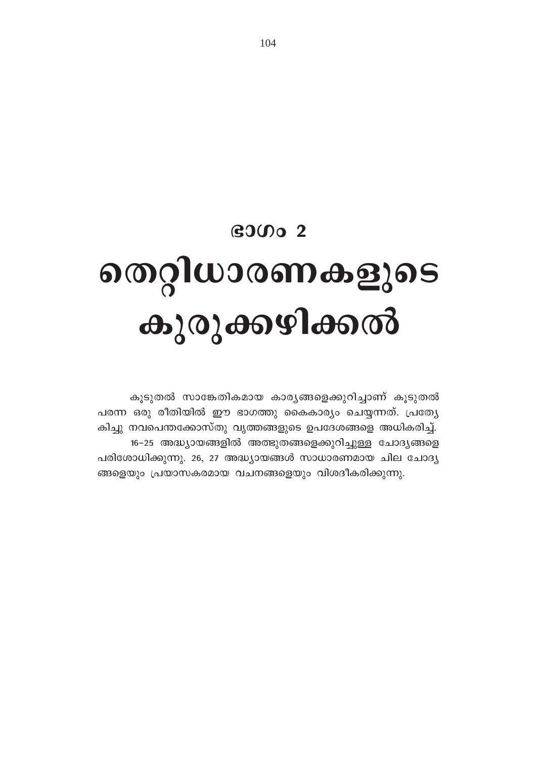# $\mathbf{G}$ OO 2

# തെറ്റിധാരണകളുടെ കുരുക്കഴിക്കൽ

കൂടുതൽ സാങ്കേതികമായ കാര്യങ്ങളെക്കുറിച്ചാണ് കൂടുതൽ പരന്ന ഒരു രീതിയിൽ ഈ ഭാഗത്തു കൈകാര്യം ചെയ്യന്നത്. പ്രത്യേ കിച്ചു നവപെന്തക്കോസ്തു വൃത്തങ്ങളുടെ ഉപദേശങ്ങളെ അധികരിച്ച്. 16-25 അദ്ധ്യായങ്ങളിൽ അത്ഭുതങ്ങളെക്കുറിച്ചുള്ള ചോദ്യങ്ങളെ പരിശോധിക്കുന്നു. 26, 27 അദ്ധ്യായങ്ങൾ സാധാരണമായ ചില ചോദ്യ ങ്ങളെയും പ്രയാസകരമായ വചനങ്ങളെയും വിശദീകരിക്കുന്നു.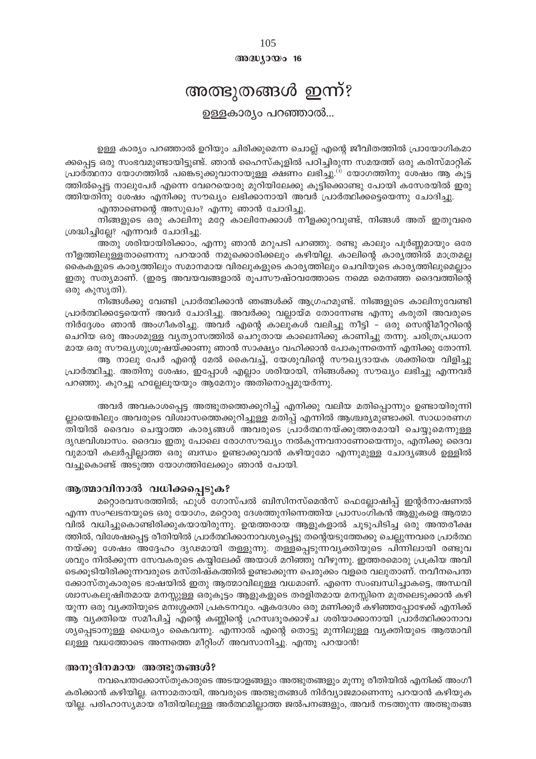$@0@0J0@016$ 

# അത്ഭുതങ്ങൾ ഇന്ന്?

ഉള്ളകാര്യം പറഞ്ഞാൽ...

ഉള്ള കാര്യം പറഞ്ഞാൽ ഉറിയും ചിരിക്കുമെന്ന ചൊല്ല് എന്റെ ജീവിതത്തിൽ പ്രായോഗികമാ ക്കപ്പെട്ട ഒരു സംഭവമുണ്ടായിട്ടുണ്ട്. ഞാൻ ഹൈസ്കൂളിൽ പഠിച്ചിരുന്ന സമയത്ത് ഒരു കരിസ്മാറ്റിക് പ്രാർത്ഥനാ യോഗത്തിൽ പങ്കെടുക്കുവാനായുള്ള ക്ഷണം ലഭിച്ചു.<sup>(1)</sup> യോഗത്തിനു ശേഷം ആ കൂട്ട ത്തിൽപ്പെട്ട നാലുപേർ എന്നെ വേറെയൊരു മുറിയിലേക്കു കൂട്ടിക്കൊണ്ടു പോയി കസേരയിൽ ഇരു ത്തിയതിനു ശേഷം എനിക്കു സൗഖ്യം ലഭിക്കാനായി അവർ പ്രാർത്ഥിക്കട്ടെയെന്നു ചോദിച്ചു.

എന്താണെന്റെ അസുഖം? എന്നു ഞാൻ ചോദിച്ചു.

നിങ്ങളുടെ ഒരു കാലിനു മറ്റേ കാലിനേക്കാൾ നീളക്കുറവുണ്ട്, നിങ്ങൾ അത് ഇതുവരെ ശ്രദ്ധിച്ചില്ലേ? എന്നവർ ചോദിച്ചു.

അതു ശരിയായിരിക്കാം, എന്നു ഞാൻ മറുപടി പറഞ്ഞു. രണ്ടു കാലും പൂർണ്ണമായും ഒരേ നീളത്തിലുള്ളതാണെന്നു പറയാൻ നമുക്കൊരിക്കലും കഴിയില്ല. കാലിന്റെ കാര്യത്തിൽ മാത്രമല്ല കൈകളുടെ കാര്യത്തിലും സമാനമായ വിരലുകളുടെ കാര്യത്തിലും ചെവിയുടെ കാര്യത്തിലുമെല്ലാം ഇതു സത്യമാണ്. (ഇരട്ട അവയവങ്ങളാൽ രൂപസൗഷ്ഠവത്തോടെ നമ്മെ മെനഞ്ഞ ദൈവത്തിന്റെ ഒരു കുസൃതി).

നിങ്ങൾക്കു വേണ്ടി പ്രാർത്ഥിക്കാൻ ഞങ്ങൾക്ക് ആഗ്രഹമുണ്ട്. നിങ്ങളുടെ കാലിനുവേണ്ടി പ്രാർത്ഥിക്കട്ടേയെന്ന് അവർ ചോദിച്ചു. അവർക്കു വല്ലായ്മ തോന്നേണ്ട എന്നു കരുതി അവരുടെ നിർദ്ദേശം ഞാൻ അംഗീകരിച്ചു. അവർ എന്റെ കാലുകൾ വലിച്ചു നീട്ടി - ഒരു സെന്റിമീറ്ററിന്റെ ചെറിയ ഒരു അംശമുള്ള വ്യത്യാസത്തിൽ ചെറുതായ കാലെനിക്കു കാണിച്ചു തന്നു. ചരിത്രപ്രധാന മായ ഒരു സൗഖ്യശുശ്രൂഷയ്ക്കാണു ഞാൻ സാക്ഷ്യം വഹിക്കാൻ പോകുന്നതെന്ന് എനിക്കു തോന്നി. ആ നാലു പേർ എന്റെ മേൽ കൈവച്ച്, യേശുവിന്റെ സൗഖ്യദായക ശക്തിയെ വിളിച്ചു

പ്രാർത്ഥിച്ചു. അതിനു ശേഷം, ഇപ്പോൾ എല്ലാം ശരിയായി, നിങ്ങൾക്കു സൗഖ്യം ലഭിച്ചു എന്നവർ പറഞ്ഞു. കുറച്ചു ഹല്ലേലൂയയും ആമേനും അതിനൊപ്പമുയർന്നു.

അവർ അവകാശപ്പെട്ട അത്ഭുതത്തെക്കുറിച്ച് എനിക്കു വലിയ മതിപ്പൊന്നും ഉണ്ടായിരുന്നി ല്ലായെങ്കിലും അവരുടെ വിശ്വാസത്തെക്കുറിച്ചുള്ള മതിപ്പ് എന്നിൽ ആശ്ചര്യമുണ്ടാക്കി. സാധാരണഗ തിയിൽ ദൈവം ചെയ്യാത്ത കാര്യങ്ങൾ അവരുടെ പ്രാർത്ഥനയ്ക്കുത്തരമായി ചെയ്യുമെന്നുള്ള ദൃഢവിശ്വാസം. ദൈവം ഇതു പോലെ രോഗസൗഖ്യം നൽകുന്നവനാണോയെന്നും, എനിക്കു ദൈവ വുമായി കലർപ്പില്ലാത്ത ഒരു ബന്ധം ഉണ്ടാക്കുവാൻ കഴിയുമോ എന്നുമുള്ള ചോദ്യങ്ങൾ ഉള്ളിൽ വച്ചുകൊണ്ട് അടുത്ത യോഗത്തിലേക്കും ഞാൻ പോയി.

#### ആത്മാവിനാൽ വധിക്കപ്പെടുക?

മറ്റൊരവസരത്തിൽ; ഫുൾ ഗോസ്പൽ ബിസിനസ്മെൻസ് ഫെല്ലോഷിപ്പ് ഇന്റർനാഷണൽ എന്ന സംഘടനയുടെ ഒരു യോഗം, മറ്റൊരു ദേശത്തുനിന്നെത്തിയ പ്രാസംഗികൻ ആളുകളെ ആത്മാ വിൽ വധിച്ചുകൊണ്ടിരിക്കുകയായിരുന്നു. ഉന്മത്തരായ ആളുകളാൽ ചൂടുപിടിച്ച ഒരു അന്തരീക്ഷ ത്തിൽ, വിശേഷപ്പെട്ട രീതിയിൽ പ്രാർത്ഥിക്കാനാവശ്യപ്പെട്ടു തന്റെയടുത്തേക്കു ചെല്ലുന്നവരെ പ്രാർത്ഥ നയ്ക്കു ശേഷം അദ്ദേഹം ദൃഢമായി തള്ളുന്നു. തള്ളപ്പെടുന്നവൃക്തിയുടെ പിന്നിലായി രണ്ടുവ ശവും നിൽക്കുന്ന സേവകരുടെ കയ്യിലേക്ക് അയാൾ മറിഞ്ഞു വീഴുന്നു. ഇത്തരമൊരു പ്രക്രിയ അവി ടെക്കൂടിയിരിക്കുന്നവരുടെ മസ്തിഷ്കത്തിൽ ഉണ്ടാക്കുന്ന പെരുക്കം വളരെ വലുതാണ്. നവീനപെന്ത ക്കോസ്തുകാരുടെ ഭാഷയിൽ ഇതു ആത്മാവിലുള്ള വധമാണ്. എന്നെ സംബന്ധിച്ചാകട്ടെ, അന്ധവി ശ്വാസകലുഷിതമായ മനസ്സുള്ള ഒരുകൂട്ടം ആളുകളുടെ തരളിതമായ മനസ്സിനെ മുതലെടുക്കാൻ കഴി യുന്ന ഒരു വ്യക്തിയുടെ മനഃശ്ശക്തി പ്രകടനവും. ഏകദേശം ഒരു മണിക്കൂർ കഴിഞ്ഞപ്പോഴേക്ക് എനിക്ക് ആ വ്യക്തിയെ സമീപിച്ച് എന്റെ കണ്ണിന്റെ ഹ്രസ്വദൂരക്കാഴ്ച ശരിയാക്കാനായി പ്രാർത്ഥിക്കാനാവ ശ്യപ്പെടാനുള്ള ധൈര്യം കൈവന്നു. എന്നാൽ എന്റെ തൊട്ടു മുന്നിലുള്ള വ്യക്തിയുടെ ആത്മാവി ലുള്ള വധത്തോടെ അന്നത്തെ മീറ്റിംഗ് അവസാനിച്ചു. എന്തു പറയാൻ!

#### അനുദിനമായ അത്ഭുതങ്ങൾ?

നവപെന്തക്കോസ്തുകാരുടെ അടയാളങ്ങളും അത്ഭുതങ്ങളും മൂന്നു രീതിയിൽ എനിക്ക് അംഗീ കരിക്കാൻ കഴിയില്ല. ഒന്നാമതായി, അവരുടെ അത്ഭുതങ്ങൾ നിർവ്യാജമാണെന്നു പറയാൻ കഴിയുക യില്ല. പരിഹാസ്യമായ രീതിയിലുള്ള അർത്ഥമില്ലാത്ത ജൽപനങ്ങളും, അവർ നടത്തുന്ന അത്ഭുതങ്ങ

# 105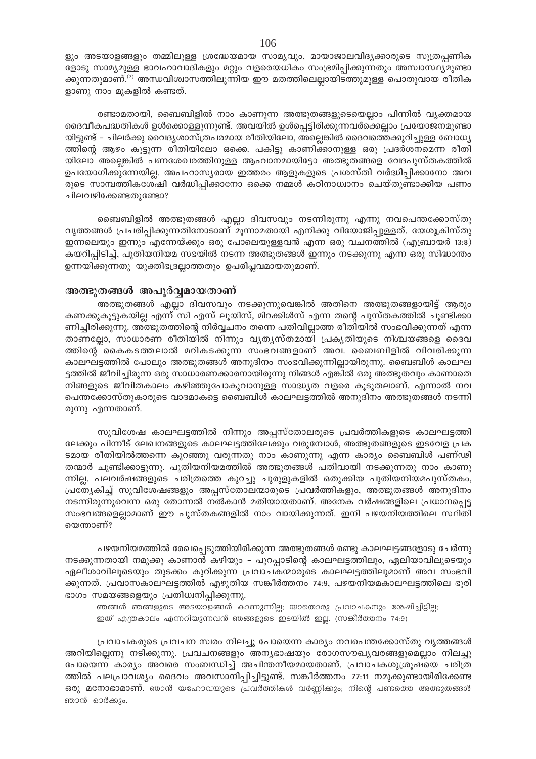ളും അടയാളങ്ങളും തമ്മിലുള്ള ശ്രദ്ധേയമായ സാമ്യവും, മായാജാലവിദൃക്കാരുടെ സൂത്രപ്പണിക ളോടു സാമ്യമുള്ള ഭാവഹാവാദികളും മറ്റും വളരെയധികം സംഭ്രമിപ്പിക്കുന്നതും അസ്വാസ്ഥ്യമുണ്ടാ ക്കുന്നതുമാണ്.<sup>(2)</sup> അന്ധവിശ്വാസത്തിലൂന്നിയ ഈ മതത്തിലെല്ലായിടത്തുമുള്ള പൊതുവായ രീതിക ളാണു നാം മുകളിൽ കണ്ടത്.

രണ്ടാമതായി, ബൈബിളിൽ നാം കാണുന്ന അത്ഭുതങ്ങളുടെയെല്ലാം പിന്നിൽ വൃക്തമായ ദൈവീകപദ്ധതികൾ ഉൾക്കൊള്ളുന്നുണ്ട്. അവയിൽ ഉൾപ്പെട്ടിരിക്കുന്നവർക്കെല്ലാം പ്രയോജനമുണ്ടാ യിട്ടുണ്ട് – ചിലർക്കു വൈദ്യശാസ്ത്രപരമായ രീതിയിലോ, അല്ലെങ്കിൽ ദൈവത്തെക്കുറിച്ചുള്ള ബോധ്യ ത്തിന്റെ ആഴം കൂട്ടുന്ന രീതിയിലോ ഒക്കെ. പകിട്ടു കാണിക്കാനുള്ള ഒരു പ്രദർശനമെന്ന രീതി യിലോ അല്ലെങ്കിൽ പണശേഖരത്തിനുള്ള ആഹ്വാനമായിട്ടോ അത്ഭുതങ്ങളെ വേദപുസ്തകത്തിൽ ഉപയോഗിക്കുന്നേയില്ല. അപഹാസ്യരായ ഇത്തരം ആളുകളുടെ പ്രശസ്തി വർദ്ധിപ്പിക്കാനോ അവ രുടെ സാമ്പത്തികശേഷി വർദ്ധിപ്പിക്കാനോ ഒക്കെ നമ്മൾ കഠിനാധ്വാനം ചെയ്തുണ്ടാക്കിയ പണം ചിലവഴിക്കേണ്ടതുണ്ടോ?

ബൈബിളിൽ അത്ഭുതങ്ങൾ എല്ലാ ദിവസവും നടന്നിരുന്നു എന്നു നവപെന്തക്കോസ്തു വൃത്തങ്ങൾ പ്രചരിപ്പിക്കുന്നതിനോടാണ് മൂന്നാമതായി എനിക്കു വിയോജിപ്പുള്ളത്. യേശൂകിസ്തു ഇന്നലെയും ഇന്നും എന്നേയ്ക്കും ഒരു പോലെയുള്ളവൻ എന്ന ഒരു വചനത്തിൽ (എബ്രായർ 13:8) കയറിപ്പിടിച്ച്, പുതിയനിയമ സഭയിൽ നടന്ന അത്ഭുതങ്ങൾ ഇന്നും നടക്കുന്നു എന്ന ഒരു സിദ്ധാന്തം ഉന്നയിക്കുന്നതു യുക്തിഭദ്രല്ലാത്തതും ഉപരിപ്ലവമായതുമാണ്.

#### അത്ഭുതങ്ങൾ അപൂർവ്വമായതാണ്

അത്ഭുതങ്ങൾ എല്ലാ ദിവസവും നടക്കുന്നുവെങ്കിൽ അതിനെ അത്ഭുതങ്ങളായിട്ട് ആരും കണക്കുകൂട്ടുകയില്ല എന്ന് സി എസ് ലൂയിസ്, മിറക്കിൾസ് എന്ന തന്റെ പുസ്തകത്തിൽ ചൂണ്ടിക്കാ ണിച്ചിരിക്കുന്നു. അത്ഭുതത്തിന്റെ നിർവ്വചനം തന്നെ പതിവില്ലാത്ത രീതിയിൽ സംഭവിക്കുന്നത് എന്ന താണല്ലോ, സാധാരണ രീതിയിൽ നിന്നും വൃത്യസ്തമായി പ്രകൃതിയുടെ നിശ്ചയങ്ങളെ ദൈവ ത്തിന്റെ കൈകടത്തലാൽ മറികടക്കുന്ന സംഭവങ്ങളാണ് അവ. ബൈബിളിൽ വിവരിക്കുന്ന കാലഘട്ടത്തിൽ പോലും അത്ഭുതങ്ങൾ അനുദിനം സംഭവിക്കുന്നില്ലായിരുന്നു. ബൈബിൾ കാലഘ ട്ടത്തിൽ ജീവിച്ചിരുന്ന ഒരു സാധാരണക്കാരനായിരുന്നു നിങ്ങൾ എങ്കിൽ ഒരു അത്ഭുതവും കാണാതെ നിങ്ങളുടെ ജീവിതകാലം കഴിഞ്ഞുപോകുവാനുള്ള സാദ്ധ്യത വളരെ കൂടുതലാണ്. എന്നാൽ നവ പെന്തക്കോസ്തുകാരുടെ വാദമാകട്ടെ ബൈബിൾ കാലഘട്ടത്തിൽ അനുദിനം അത്ഭുതങ്ങൾ നടന്നി രുന്നു എന്നതാണ്.

സുവിശേഷ കാലഘട്ടത്തിൽ നിന്നും അപ്പസ്തോലരുടെ പ്രവർത്തികളുടെ കാലഘട്ടത്തി ലേക്കും പിന്നീട് ലേഖനങ്ങളുടെ കാലഘട്ടത്തിലേക്കും വരുമ്പോൾ, അത്ഭുതങ്ങളുടെ ഇടവേള പ്രക ടമായ രീതിയിൽത്തന്നെ കുറഞ്ഞു വരുന്നതു നാം കാണുന്നു എന്ന കാര്യം ബൈബിൾ പണ്ഢി തന്മാർ ചൂണ്ടിക്കാട്ടുന്നു. പുതിയനിയമത്തിൽ അത്ഭുതങ്ങൾ പതിവായി നടക്കുന്നതു നാം കാണു ന്നില്ല. പലവർഷങ്ങളുടെ ചരിത്രത്തെ കുറച്ചു ചുരുളുകളിൽ ഒതുക്കിയ പുതിയനിയമപുസ്തകം, പ്രത്യേകിച്ച് സുവിശേഷങ്ങളും അപ്പസ്തോലന്മാരുടെ പ്രവർത്തികളും, അത്ഭുതങ്ങൾ അനുദിനം നടന്നിരുന്നുവെന്ന ഒരു തോന്നൽ നൽകാൻ മതിയായതാണ്. അനേക വർഷങ്ങളിലെ പ്രധാനപ്പെട്ട സംഭവങ്ങളെല്ലാമാണ് ഈ പുസ്തകങ്ങളിൽ നാം വായിക്കുന്നത്. ഇനി പഴയനിയത്തിലെ സ്ഥിതി യെന്താണ്?

പഴയനിയമത്തിൽ രേഖപ്പെടുത്തിയിരിക്കുന്ന അത്ഭുതങ്ങൾ രണ്ടു കാലഘട്ടങ്ങളോടു ചേർന്നു നടക്കുന്നതായി നമുക്കു കാണാൻ കഴിയും – പുറപ്പാടിന്റെ കാലഘട്ടത്തിലും, ഏലിയാവിലൂടെയും ഏലീശാവിലൂടെയും തുടക്കം കുറിക്കുന്ന പ്രവാചകന്മാരുടെ കാലഘട്ടത്തിലുമാണ് അവ സംഭവി ക്കുന്നത്. പ്രവാസകാലഘട്ടത്തിൽ എഴുതിയ സങ്കീർത്തനം 74:9, പഴയനിയമകാലഘട്ടത്തിലെ ഭൂരി ഭാഗം സമയങ്ങളെയും പ്രതിധ്വനിപ്പിക്കുന്നു.

ഞങ്ങൾ ഞങ്ങളുടെ അടയാളങ്ങൾ കാണുന്നില്ല; യാതൊരു പ്രവാചകനും ശേഷിച്ചിട്ടില്ല; ഇത് എത്രകാലം എന്നറിയുന്നവൻ ഞങ്ങളുടെ ഇടയിൽ ഇല്ല. (സങ്കീർത്തനം 74:9)

പ്രവാചകരുടെ പ്രവചന സ്വരം നിലച്ചു പോയെന്ന കാര്യം നവപെന്തക്കോസ്തു വൃത്തങ്ങൾ അറിയില്ലെന്നു നടിക്കുന്നു. പ്രവചനങ്ങളും അന്യഭാഷയും രോഗസൗഖ്യവരങ്ങളുമെല്ലാം നിലച്ചു പോയെന്ന കാര്യം അവരെ സംബന്ധിച്ച് അചിന്തനീയമായതാണ്. പ്രവാചകശുശ്രൂഷയെ ചരിത്ര ത്തിൽ പലപ്രാവശ്യം ദൈവം അവസാനിപ്പിച്ചിട്ടുണ്ട്. സങ്കീർത്തനം 77:11 നമുക്കുണ്ടായിരിക്കേണ്ട ഒരു മനോഭാമാണ്. ഞാൻ യഹോവയുടെ പ്രവർത്തികൾ വർണ്ണിക്കും; നിന്റെ പണ്ടത്തെ അത്ഭുതങ്ങൾ ഞാൻ ഓർക്കും.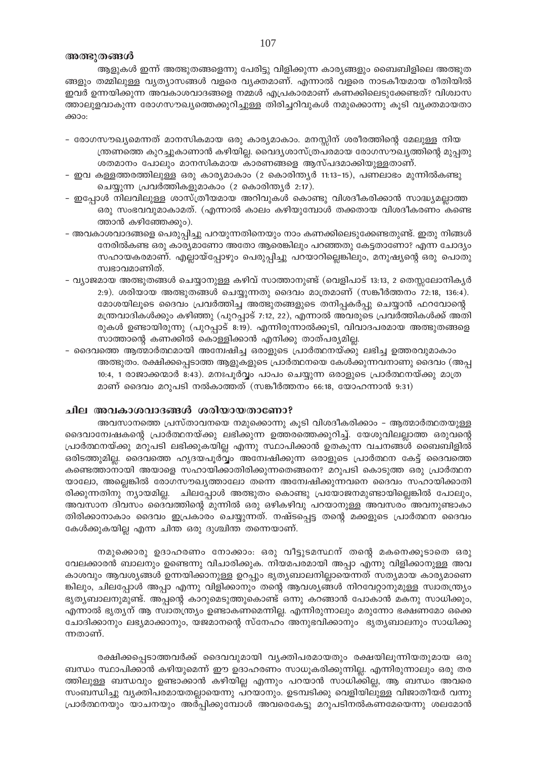# അത്ഭുതങ്ങൾ

ആളുകൾ ഇന്ന് അത്ഭുതങ്ങളെന്നു പേരിട്ടു വിളിക്കുന്ന കാര്യങ്ങളും ബൈബിളിലെ അത്ഭുത ങ്ങളും തമ്മിലുള്ള വ്യത്യാസങ്ങൾ വളരെ വ്യക്തമാണ്. എന്നാൽ വളരെ നാടകീയമായ രീതിയിൽ ഇവർ ഉന്നയിക്കുന്ന അവകാശവാദങ്ങളെ നമ്മൾ എപ്രകാരമാണ് കണക്കിലെടുക്കേണ്ടത്? വിശ്വാസ ത്താലുളവാകുന്ന രോഗസൗഖ്യത്തെക്കുറിച്ചുള്ള തിരിച്ചറിവുകൾ നമുക്കൊന്നു കൂടി വ്യക്തമായതാ ക്കാം:

- രോഗസൗഖ്യമെന്നത് മാനസികമായ ഒരു കാര്യമാകാം. മനസ്സിന് ശരീരത്തിന്റെ മേലുള്ള നിയ ന്ത്രണത്തെ കുറച്ചുകാണാൻ കഴിയില്ല. വൈദ്യശാസ്ത്രപരമായ രോഗസൗഖ്യത്തിന്റെ മുപ്പതു ശതമാനം പോലും മാനസികമായ കാരണങ്ങളെ ആസ്പദമാക്കിയുള്ളതാണ്.
- ഇവ കള്ളത്തരത്തിലുള്ള ഒരു കാര്യമാകാം (2 കൊരിന്ത്യർ 11:13–15), പണലാഭം മുന്നിൽകണ്ടു ചെയ്യുന്ന പ്രവർത്തികളുമാകാം (2 കൊരിന്ത്യർ 2:17).
- ഇപ്പോൾ നിലവിലുള്ള ശാസ്ത്രീയമായ അറിവുകൾ കൊണ്ടു വിശദീകരിക്കാൻ സാദ്ധ്യമല്ലാത്ത ഒരു സംഭവവുമാകാമത്. (എന്നാൽ കാലം കഴിയുമ്പോൾ തക്കതായ വിശദീകരണം കണ്ടെ ത്താൻ കഴിഞ്ഞേക്കും).
- അവകാശവാദങ്ങളെ പെരുപ്പിച്ചു പറയുന്നതിനെയും നാം കണക്കിലെടുക്കേണ്ടതുണ്ട്. ഇതു നിങ്ങൾ നേരിൽകണ്ട ഒരു കാര്യമാണോ അതോ ആരെങ്കിലും പറഞ്ഞതു കേട്ടതാണോ? എന്ന ചോദ്യം സഹായകരമാണ്. എല്ലായ്പ്പോഴും പെരുപ്പിച്ചു പറയാറില്ലെങ്കിലും, മനുഷ്യന്റെ ഒരു പൊതു സ്വഭാവമാണിത്.
- വ്യാജമായ അത്ഭുതങ്ങൾ ചെയ്യാനുള്ള കഴിവ് സാത്താനുണ്ട് (വെളിപാട് 13:13, 2 തെസ്സലോനികൃർ 2:9). ശരിയായ അത്ഭുതങ്ങൾ ചെയ്യുന്നതു ദൈവം മാത്രമാണ് (സങ്കീർത്തനം 72:18, 136:4). മോശയിലൂടെ ദൈവം പ്രവർത്തിച്ച അത്ഭുതങ്ങളുടെ തനിപ്പകർപ്പു ചെയ്യാൻ ഫറവോന്റെ മന്ത്രവാദികൾക്കും കഴിഞ്ഞു (പുറപ്പാട് 7:12, 22), എന്നാൽ അവരുടെ പ്രവർത്തികൾക്ക് അതി രുകൾ ഉണ്ടായിരുന്നു (പുറപ്പാട് 8:19). എന്നിരുന്നാൽക്കൂടി, വിവാദപരമായ അത്ഭുതങ്ങളെ സാത്താന്റെ കണക്കിൽ കൊള്ളിക്കാൻ എനിക്കു താത്പര്യമില്ല.
- ദൈവത്തെ ആത്മാർത്ഥമായി അമ്പേഷിച്ച ഒരാളുടെ പ്രാർത്ഥനയ്ക്കു ലഭിച്ച ഉത്തരവുമാകാം അത്ഭുതം. രക്ഷിക്കപ്പെടാത്ത ആളുകളുടെ പ്രാർത്ഥനയെ കേൾക്കുന്നവനാണു ദൈവം (അപ്പ 10:4, 1 രാജാക്കന്മാർ 8:43). മനഃപൂർവ്വം പാപം ചെയ്യുന്ന ഒരാളുടെ പ്രാർത്ഥനയ്ക്കു മാത്ര മാണ് ദൈവം മറുപടി നൽകാത്തത് (സങ്കീർത്തനം 66:18, യോഹന്നാൻ 9:31)

#### ചില അവകാശവാദങ്ങൾ ശരിയായതാണോ?

അവസാനത്തെ പ്രസ്താവനയെ നമുക്കൊന്നു കൂടി വിശദീകരിക്കാം – ആത്മാർത്ഥതയുള്ള ദൈവാന്വേഷകന്റെ പ്രാർത്ഥനയ്ക്കു ലഭിക്കുന്ന ഉത്തരത്തെക്കുറിച്ച്. യേശുവിലല്ലാത്ത ഒരുവന്റെ പ്രാർത്ഥനയ്ക്കു മറുപടി ലഭിക്കുകയില്ല എന്നു സ്ഥാപിക്കാൻ ഉതകുന്ന വചനങ്ങൾ ബൈബിളിൽ ഒരിടത്തുമില്ല. ദൈവത്തെ ഹൃദയപൂർവ്വം അമ്പേഷിക്കുന്ന ഒരാളുടെ പ്രാർത്ഥന കേട്ട് ദൈവത്തെ കണ്ടെത്താനായി അയാളെ സഹായിക്കാതിരിക്കുന്നതെങ്ങനെ? മറുപടി കൊടുത്ത ഒരു പ്രാർത്ഥന യാലോ, അല്ലെങ്കിൽ രോഗസൗഖ്യത്താലോ തന്നെ അന്വേഷിക്കുന്നവനെ ദൈവം സഹായിക്കാതി രിക്കുന്നതിനു ന്യായമില്ല. ചിലപ്പോൾ അത്ഭുതം കൊണ്ടു പ്രയോജനമുണ്ടായില്ലെങ്കിൽ പോലും, അവസാന ദിവസം ദൈവത്തിന്റെ മുന്നിൽ ഒരു ഒഴികഴിവു പറയാനുള്ള അവസരം അവനുണ്ടാകാ തിരിക്കാനാകാം ദൈവം ഇപ്രകാരം ചെയ്യുന്നത്. നഷ്ടപ്പെട്ട തന്റെ മക്കളുടെ പ്രാർത്ഥന ദൈവം കേൾക്കുകയില്ല എന്ന ചിന്ത ഒരു ദുശ്ചിന്ത തന്നെയാണ്.

നമുക്കൊരു ഉദാഹരണം നോക്കാം. ഒരു വീട്ടുടമസ്ഥന് തന്റെ മകനെക്കൂടാതെ ഒരു വേലക്കാരൻ ബാലനും ഉണ്ടെന്നു വിചാരിക്കുക. നിയമപരമായി അപ്പാ എന്നു വിളിക്കാനുള്ള അവ കാശവും ആവശ്യങ്ങൾ ഉന്നയിക്കാനുള്ള ഉറപ്പും ഭൃത്യബാലനില്ലായെന്നത് സത്യമായ കാര്യമാണെ ങ്കിലും, ചിലപ്പോൾ അപ്പാ എന്നു വിളിക്കാനും തന്റെ ആവശ്യങ്ങൾ നിറവേറ്റാനുമുള്ള സ്വാതന്ത്ര്യം ഭൃതൃബാലനുമുണ്ട്. അപ്പന്റെ കാറുമെടുത്തുകൊണ്ട് ഒന്നു കറങ്ങാൻ പോകാൻ മകനു സാധിക്കും, എന്നാൽ ഭൃത്യന് ആ സ്വാതന്ത്ര്യം ഉണ്ടാകണമെന്നില്ല. എന്നിരുന്നാലും മരുന്നോ ഭക്ഷണമോ ഒക്കെ ചോദിക്കാനും ലഭ്യമാക്കാനും, യജമാനന്റെ സ്നേഹം അനുഭവിക്കാനും ഭൃത്യബാലനും സാധിക്കു ന്നതാണ്.

രക്ഷിക്കപ്പെടാത്തവർക്ക് ദൈവവുമായി വ്യക്തിപരമായതും രക്ഷയിലൂന്നിയതുമായ ഒരു ബന്ധം സ്ഥാപിക്കാൻ കഴിയുമെന്ന് ഈ ഉദാഹരണം സാധൂകരിക്കുന്നില്ല. എന്നിരുന്നാലും ഒരു തര ത്തിലുള്ള ബന്ധവും ഉണ്ടാക്കാൻ കഴിയില്ല എന്നും പറയാൻ സാധിക്കില്ല, ആ ബന്ധം അവരെ സംബന്ധിച്ചു വൃക്തിപരമായതല്ലായെന്നു പറയാനും. ഉടമ്പടിക്കു വെളിയിലുള്ള വിജാതീയർ വന്നു പ്രാർത്ഥനയും യാചനയും അർപ്പിക്കുമ്പോൾ അവരെകേട്ടു മറുപടിനൽകണമേയെന്നു ശലമോൻ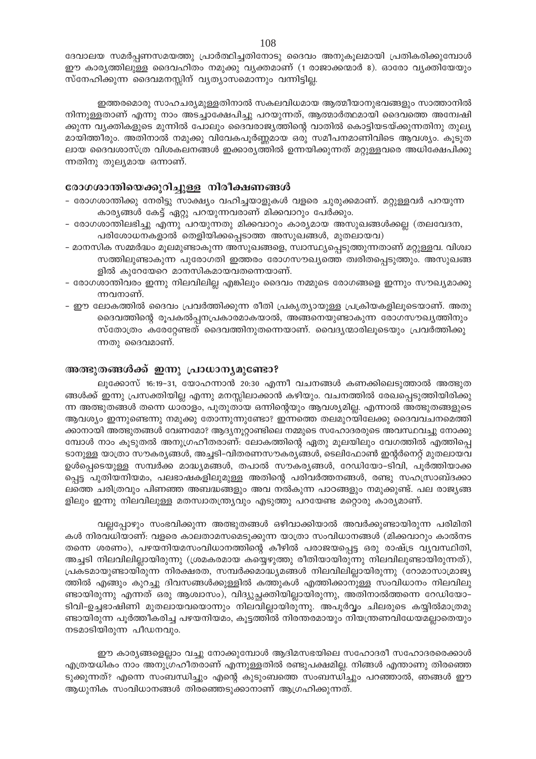ദേവാലയ സമർപ്പണസമയത്തു പ്രാർത്ഥിച്ചതിനോടു ദൈവം അനുകൂലമായി പ്രതികരിക്കുമ്പോൾ ഈ കാര്യത്തിലുള്ള ദൈവഹിതം നമുക്കു വ്യക്തമാണ് (1 രാജാക്കന്മാർ 8). ഓരോ വ്യക്തിയേയും സ്നേഹിക്കുന്ന ദൈവമനസ്സിന് വ്യത്യാസമൊന്നും വന്നിട്ടില്ല.

ഇത്തരമൊരു സാഹചര്യമുള്ളതിനാൽ സകലവിധമായ ആത്മീയാനുഭവങ്ങളും സാത്താനിൽ നിന്നുള്ളതാണ് എന്നു നാം അടച്ചാക്ഷേപിച്ചു പറയുന്നത്, ആത്മാർത്ഥമായി ദൈവത്തെ അന്വേഷി ക്കുന്ന വ്യക്തികളുടെ മുന്നിൽ പോലും ദൈവരാജ്യത്തിന്റെ വാതിൽ കൊട്ടിയടയ്ക്കുന്നതിനു തുല്യ മായിത്തീരും. അതിനാൽ നമുക്കു വിവേകപൂർണ്ണമായ ഒരു സമീപനമാണിവിടെ ആവശ്യം. കൂടുത ലായ ദൈവശാസ്ത്ര വിശകലനങ്ങൾ ഇക്കാര്യത്തിൽ ഉന്നയിക്കുന്നത് മറ്റുള്ളവരെ അധിക്ഷേപിക്കു ന്നതിനു തുല്യമായ ഒന്നാണ്.

## രോഗശാന്തിയെക്കുറിച്ചുള്ള നിരീക്ഷണങ്ങൾ

- രോഗശാന്തിക്കു നേരിട്ടു സാക്ഷ്യം വഹിച്ചയാളുകൾ വളരെ ചുരുക്കമാണ്. മറ്റുള്ളവർ പറയുന്ന കാര്യങ്ങൾ കേട്ട് ഏറ്റു പറയുന്നവരാണ് മിക്കവാറും പേർക്കും.
- രോഗശാന്തിലഭിച്ചു എന്നു പറയുന്നതു മിക്കവാറും കാര്യമായ അസുഖങ്ങൾക്കല്ല (തലവേദന, പരിശോധനകളാൽ തെളിയിക്കപ്പെടാത്ത അസുഖങ്ങൾ, മുതലായവ)
- മാനസിക സമ്മർദ്ധം മൂലമുണ്ടാകുന്ന അസുഖങ്ങളെ, സ്വാസ്ഥ്യപ്പെടുത്തുന്നതാണ് മറ്റുള്ളവ. വിശ്വാ സത്തിലുണ്ടാകുന്ന പുരോഗതി ഇത്തരം രോഗസൗഖ്യത്തെ ത്വരിതപ്പെടുത്തും. അസുഖങ്ങ ളിൽ കുറേയേറെ മാനസികമായവതന്നെയാണ്.
- രോഗശാന്തിവരം ഇന്നു നിലവിലില്ല എങ്കിലും ദൈവം നമ്മുടെ രോഗങ്ങളെ ഇന്നും സൗഖ്യമാക്കു ന്നവനാണ്.
- ഈ ലോകത്തിൽ ദൈവം പ്രവർത്തിക്കുന്ന രീതി പ്രകൃത്യായുള്ള പ്രക്രിയകളിലൂടെയാണ്. അതു ദൈവത്തിന്റെ രൂപകൽപ്പനപ്രകാരമാകയാൽ, അങ്ങനെയുണ്ടാകുന്ന രോഗസൗഖ്യത്തിനും സ്തോത്രം കരേറ്റേണ്ടത് ദൈവത്തിനുതന്നെയാണ്. വൈദ്യന്മാരിലൂടെയും പ്രവർത്തിക്കു ന്നതു ദൈവമാണ്.

## അത്ഭുതങ്ങൾക്ക് ഇന്നു പ്രാധാന്യമുണ്ടോ?

ലൂക്കോസ് 16:19-31, യോഹന്നാൻ 20:30 എന്നീ വചനങ്ങൾ കണക്കിലെടുത്താൽ അത്ഭുത ങ്ങൾക്ക് ഇന്നു പ്രസക്തിയില്ല എന്നു മനസ്സിലാക്കാൻ കഴിയും. വചനത്തിൽ രേഖപ്പെടുത്തിയിരിക്കു ന്ന അത്ഭുതങ്ങൾ തന്നെ ധാരാളം, പുതുതായ ഒന്നിന്റെയും ആവശ്യമില്ല. എന്നാൽ അത്ഭുതങ്ങളുടെ ആവശ്യം ഇന്നുണ്ടെന്നു നമുക്കു തോന്നുന്നുണ്ടോ? ഇന്നത്തെ തലമുറയിലേക്കു ദൈവവചനമെത്തി ക്കാനായി അത്ഭുതങ്ങൾ വേണമോ? ആദ്യനൂറ്റാണ്ടിലെ നമ്മുടെ സഹോദരരുടെ അവസ്ഥവച്ചു നോക്കു മ്പോൾ നാം കൂടുതൽ അനുഗ്രഹീതരാണ്: ലോകത്തിന്റെ ഏതു മൂലയിലും വേഗത്തിൽ എത്തിപ്പെ ടാനുള്ള യാത്രാ സൗകര്യങ്ങൾ, അച്ചടി-വിതരണസൗകര്യങ്ങൾ, ടെലിഫോൺ ഇന്റർനെറ്റ് മുതലായവ ഉൾപ്പെടെയുള്ള സമ്പർക്ക മാദ്ധ്യമങ്ങൾ, തപാൽ സൗകര്യങ്ങൾ, റേഡിയോ-ടിവി, പൂർത്തിയാക്ക പ്പെട്ട പുതിയനിയമം, പലഭാഷകളിലുമുള്ള അതിന്റെ പരിവർത്തനങ്ങൾ, രണ്ടു സഹസ്രാബ്ദക്കാ ലത്തെ ചരിത്രവും പിണഞ്ഞ അബദ്ധങ്ങളും അവ നൽകുന്ന പാഠങ്ങളും നമുക്കുണ്ട്. പല രാജ്യങ്ങ ളിലും ഇന്നു നിലവിലുള്ള മതസ്വാതന്ത്ര്യവും എടുത്തു പറയേണ്ട മറ്റൊരു കാര്യമാണ്.

വല്ലപ്പോഴും സംഭവിക്കുന്ന അത്ഭുതങ്ങൾ ഒഴിവാക്കിയാൽ അവർക്കുണ്ടായിരുന്ന പരിമിതി കൾ നിരവധിയാണ്: വളരെ കാലതാമസമെടുക്കുന്ന യാത്രാ സംവിധാനങ്ങൾ (മിക്കവാറും കാൽനട തന്നെ ശരണം), പഴയനിയമസംവിധാനത്തിന്റെ കീഴിൽ പരാജയപ്പെട്ട ഒരു രാഷ്ട്ര വ്യവസ്ഥിതി, അച്ചടി നിലവിലില്ലായിരുന്നു (ശ്രമകരമായ കയ്യെഴുത്തു രീതിയായിരുന്നു നിലവിലുണ്ടായിരുന്നത്), പ്രകടമായുണ്ടായിരുന്ന നിരക്ഷരത, സമ്പർക്കമാദ്ധ്യമങ്ങൾ നിലവിലില്ലായിരുന്നു (റോമാസാമ്രാജ്യ ത്തിൽ എങ്ങും കുറച്ചു ദിവസങ്ങൾക്കുള്ളിൽ കത്തുകൾ എത്തിക്കാനുള്ള സംവിധാനം നിലവിലു ണ്ടായിരുന്നു എന്നത് ഒരു ആശ്വാസം), വിദ്യുച്ഛക്തിയില്ലായിരുന്നു, അതിനാൽത്തന്നെ റേഡിയോ– ടിവി-ഉച്ചഭാഷിണി മുതലായവയൊന്നും നിലവില്ലായിരുന്നു. അപൂർവ്വം ചിലരുടെ കയ്യിൽമാത്രമു ണ്ടായിരുന്ന പൂർത്തീകരിച്ച പഴയനിയമം, കൂട്ടത്തിൽ നിരന്തരമായും നിയന്ത്രണവിധേയമല്ലാതെയും നടമാടിയിരുന്ന പീഡനവും.

ഈ കാര്യങ്ങളെല്ലാം വച്ചു നോക്കുമ്പോൾ ആദിമസഭയിലെ സഹോദരീ സഹോദരരെക്കാൾ എത്രയധികം നാം അനുഗ്രഹീതരാണ് എന്നുള്ളതിൽ രണ്ടുപക്ഷമില്ല. നിങ്ങൾ എന്താണു തിരഞ്ഞെ ടുക്കുന്നത്? എന്നെ സംബന്ധിച്ചും എന്റെ കുടുംബത്തെ സംബന്ധിച്ചും പറഞ്ഞാൽ, ഞങ്ങൾ ഈ ആധുനിക സംവിധാനങ്ങൾ തിരഞ്ഞെടുക്കാനാണ് ആഗ്രഹിക്കുന്നത്.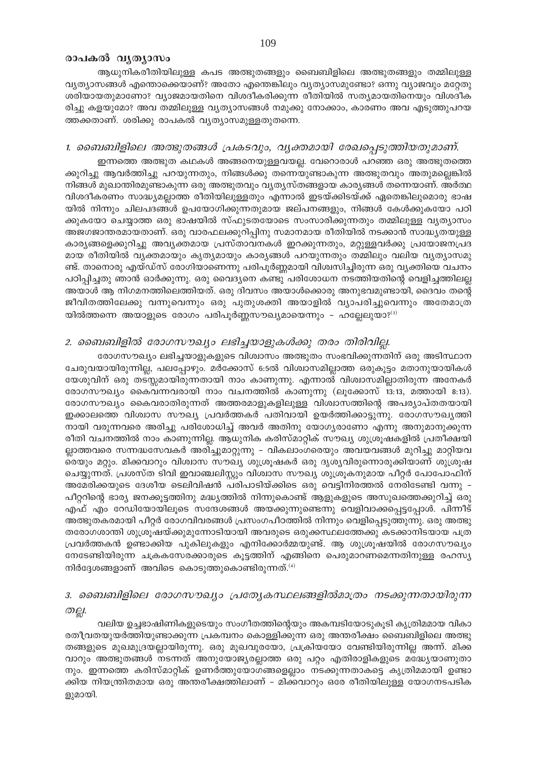## രാപകൽ വൃത്യാസം

ആധുനികരീതിയിലുള്ള കപട അത്ഭുതങ്ങളും ബൈബിളിലെ അത്ഭുതങ്ങളും തമ്മിലുള്ള വൃത്യാസങ്ങൾ എന്തൊക്കെയാണ്? അതോ എന്തെങ്കിലും വൃത്യാസമുണ്ടോ? ഒന്നു വ്യാജവും മറ്റേതു ശരിയായതുമാണോ? വ്യാജമായതിനെ വിശദീകരിക്കുന്ന രീതിയിൽ സത്യമായതിനെയും വിശദീക രിച്ചു കളയുമോ? അവ തമ്മിലുള്ള വൃത്യാസങ്ങൾ നമുക്കു നോക്കാം, കാരണം അവ എടുത്തുപറയ ത്തക്കതാണ്. ശരിക്കു രാപകൽ വ്യത്യാസമുള്ളതുതന്നെ.

## 1. ബൈബിളിലെ അത്ഭുതങ്ങൾ പ്രകടവും, വ്യക്തമായി രേഖപ്പെടുത്തിയതുമാണ്.

ഇന്നത്തെ അത്ഭുത കഥകൾ അങ്ങനെയുള്ളവയല്ല. വേറൊരാൾ പറഞ്ഞ ഒരു അത്ഭുതത്തെ ക്കുറിച്ചു ആവർത്തിച്ചു പറയുന്നതും, നിങ്ങൾക്കു തന്നെയുണ്ടാകുന്ന അത്ഭുതവും അതുമല്ലെങ്കിൽ നിങ്ങൾ മുഖാന്തിരമുണ്ടാകുന്ന ഒരു അത്ഭുതവും വ്യത്യസ്തങ്ങളായ കാര്യങ്ങൾ തന്നെയാണ്. അർത്ഥ വിശദീകരണം സാദ്ധ്യമല്ലാത്ത രീതിയിലുള്ളതും എന്നാൽ ഇടയ്ക്കിടയ്ക്ക് ഏതെങ്കിലുമൊരു ഭാഷ യിൽ നിന്നും ചിലപദങ്ങൾ ഉപയോഗിക്കുന്നതുമായ ജല്പനങ്ങളും, നിങ്ങൾ കേൾക്കുകയോ പഠി ക്കുകയോ ചെയ്യാത്ത ഒരു ഭാഷയിൽ സ്ഫുടതയോടെ സംസാരിക്കുന്നതും തമ്മിലുള്ള വൃത്യാസം അജഗജാന്തരമായതാണ്. ഒരു വാരഫലക്കുറിപ്പിനു സമാനമായ രീതിയിൽ നടക്കാൻ സാദ്ധ്യതയുള്ള കാര്യങ്ങളെക്കുറിച്ചു അവ്യക്തമായ പ്രസ്താവനകൾ ഇറക്കുന്നതും, മറ്റുള്ളവർക്കു പ്രയോജനപ്രദ മായ രീതിയിൽ വ്യക്തമായും കൃത്യമായും കാര്യങ്ങൾ പറയുന്നതും തമ്മിലും വലിയ വ്യത്യാസമു ണ്ട്. താനൊരു എയ്ഡ്സ് രോഗിയാണെന്നു പരിപൂർണ്ണമായി വിശ്വസിച്ചിരുന്ന ഒരു വ്യക്തിയെ വചനം പഠിപ്പിച്ചതു ഞാൻ ഓർക്കുന്നു. ഒരു വൈദ്യനെ കണ്ടു പരിശോധന നടത്തിയതിന്റെ വെളിച്ചത്തിലല്ല അയാൾ ആ നിഗമനത്തിലെത്തിയത്. ഒരു ദിവസം അയാൾക്കൊരു അനുഭവമുണ്ടായി, ദൈവം തന്റെ ജീവിതത്തിലേക്കു വന്നുവെന്നും ഒരു പുതുശക്തി അയാളിൽ വ്യാപരിച്ചുവെന്നും അതേമാത്ര യിൽത്തന്നെ അയാളുടെ രോഗം പരിപൂർണ്ണസൗഖ്യമായെന്നും - ഹല്ലേലുയാ? $^{(3)}$ 

## 2. ബൈബിളിൽ രോഗസൗഖ്യം ലഭിച്ചയാളുകൾക്കു തരം തിരിവില്ല.

രോഗസൗഖ്യം ലഭിച്ചയാളുകളുടെ വിശ്വാസം അത്ഭുതം സംഭവിക്കുന്നതിന് ഒരു അടിസ്ഥാന ചേരുവയായിരുന്നില്ല, പലപ്പോഴും. മർക്കോസ് 6:5ൽ വിശ്വാസമില്ലാത്ത ഒരുകൂട്ടം മതാനുയായികൾ യേശുവിന് ഒരു തടസ്സമായിരുന്നതായി നാം കാണുന്നു. എന്നാൽ വിശ്വാസമില്ലാതിരുന്ന അനേകർ രോഗസൗഖ്യം കൈവന്നവരായി നാം വചനത്തിൽ കാണുന്നു (ലൂക്കോസ് 13:13, മത്തായി 8:13). രോഗസൗഖ്യം കൈവരാതിരുന്നത് അത്തരമാളുകളിലുള്ള വിശ്വാസത്തിന്റെ അപര്യാപ്തതയായി ഇക്കാലത്തെ വിശ്വാസ സൗഖ്യ പ്രവർത്തകർ പതിവായി ഉയർത്തിക്കാട്ടുന്നു. രോഗസൗഖ്യത്തി നായി വരുന്നവരെ അരിച്ചു പരിശോധിച്ച് അവർ അതിനു യോഗ്യരാണോ എന്നു അനുമാനുക്കുന്ന രീതി വചനത്തിൽ നാം കാണുന്നില്ല. ആധുനിക കരിസ്മാറ്റിക് സൗഖ്യ ശുശ്രൂഷകളിൽ പ്രതീക്ഷയി ല്ലാത്തവരെ സന്നദ്ധസേവകർ അരിച്ചുമാറ്റുന്നു – വികലാംഗരെയും അവയവങ്ങൾ മുറിച്ചു മാറ്റിയവ രെയും മറ്റും. മിക്കവാറും വിശ്വാസ സൗഖ്യ ശുശ്രൂഷകർ ഒരു ദൃശ്യവിരുന്നൊരുക്കിയാണ് ശുശ്രൂഷ ചെയ്യുന്നത്. പ്രശസ്ത ടിവി ഇവാഞ്ചലിസ്റ്റും വിശ്വാസ സൗഖ്യ ശുശ്രൂകനുമായ പീറ്റർ പോപോഫിന് അമേരിക്കയുടെ ദേശീയ ടെലിവിഷൻ പരിപാടിയ്ക്കിടെ ഒരു വെട്ടിനിരത്തൽ നേരിടേണ്ടി വന്നു -പീറ്ററിന്റെ ഭാര്യ ജനക്കൂട്ടത്തിനു മദ്ധ്യത്തിൽ നിന്നുകൊണ്ട് ആളുകളുടെ അസുഖത്തെക്കുറിച്ച് ഒരു എഫ് എം റേഡിയോയിലൂടെ സന്ദേശങ്ങൾ അയക്കുന്നുണ്ടെന്നു വെളിവാക്കപ്പെട്ടപ്പോൾ. പിന്നീട് അത്ഭുതകരമായി പീറ്റർ രോഗവിവരങ്ങൾ പ്രസംഗപീഠത്തിൽ നിന്നും വെളിപ്പെടുത്തുന്നു. ഒരു അത്ഭു തരോഗശാന്തി ശുശ്രൂഷയ്ക്കുമുന്നോടിയായി അവരുടെ ഒരുക്കസ്ഥലത്തേക്കു കടക്കാനിടയായ പത്ര പ്രവർത്തകൻ ഉണ്ടാക്കിയ പുകിലുകളും എനിക്കോർമ്മയുണ്ട്. ആ ശുശ്രൂഷയിൽ രോഗസൗഖ്യം നേടേണ്ടിയിരുന്ന ചക്രകസേരക്കാരുടെ കൂട്ടത്തിന് എങ്ങിനെ പെരുമാറണമെന്നതിനുള്ള രഹസ്യ നിർദ്ദേശങ്ങളാണ് അവിടെ കൊടുത്തുകൊണ്ടിരുന്നത്. $^{(4)}$ 

## 3. ബൈബിളിലെ രോഗസൗഖ്യം പ്രത്യേകസ്ഥലങ്ങളിൽമാത്രം നടക്കുന്നതായിരുന്ന ற்பூ.

വലിയ ഉച്ചഭാഷിണികളുടെയും സംഗീതത്തിന്റെയും അകമ്പടിയോടുകൂടി കൃത്രിമമായ വികാ രതീവതയുയർത്തിയുണ്ടാക്കുന്ന പ്രകമ്പനം കൊള്ളിക്കുന്ന ഒരു അന്തരീക്ഷം ബൈബിളിലെ അത്ഭു തങ്ങളുടെ മുഖമുദ്രയല്ലായിരുന്നു. ഒരു മുഖവുരയോ, പ്രക്രിയയോ വേണ്ടിയിരുന്നില്ല അന്ന്. മിക്ക വാറും അത്ഭുതങ്ങൾ നടന്നത് അനുയോജ്യരല്ലാത്ത ഒരു പറ്റം എതിരാളികളുടെ മദ്ധ്യേയാണുതാ നും. ഇന്നത്തെ കരിസ്മാറ്റിക് ഉണർത്തുയോഗങ്ങളെല്ലാം നടക്കുന്നതാകട്ടെ കൃത്രിമമായി ഉണ്ടാ ക്കിയ നിയന്ത്രിതമായ ഒരു അന്തരീക്ഷത്തിലാണ് – മിക്കവാറും ഒരേ രീതിയിലുള്ള യോഗനടപടിക ളുമായി.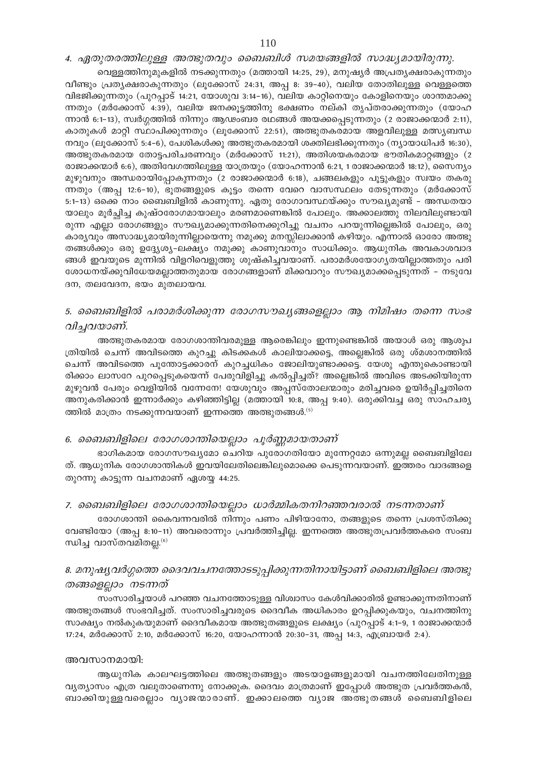4. ഏതുതരത്തിലുള്ള അത്ഭുതവും ബൈബിൾ സമയങ്ങളിൽ സാദ്ധ്യമായിരുന്നു.

വെള്ളത്തിനുമുകളിൽ നടക്കുന്നതും (മത്തായി 14:25, 29), മനുഷ്യർ അപ്രത്യക്ഷരാകുന്നതും വീണ്ടും പ്രത്യക്ഷരാകുന്നതും (ലൂക്കോസ് 24:31, അപ്പ 8: 39-40), വലിയ തോതിലുള്ള വെള്ളത്തെ വിഭജിക്കുന്നതും (പുറപ്പാട് 14:21, യോശുവ 3:14-16), വലിയ കാറ്റിനെയും കോളിനെയും ശാന്തമാക്കു ന്നതും (മർക്കോസ് 4:39), വലിയ ജനക്കൂട്ടത്തിനു ഭക്ഷണം നല്കി തൃപ്തരാക്കുന്നതും (യോഹ ന്നാൻ 6:1−13), സ്വർഗ്ഗത്തിൽ നിന്നും ആഢംബര രഥങ്ങൾ അയക്കപ്പെടുന്നതും (2 രാജാക്കന്മാർ 2:11), കാതുകൾ മാറ്റി സ്ഥാപിക്കുന്നതും (ലൂക്കോസ് 22:51), അത്ഭുതകരമായ അളവിലുള്ള മത്സ്യബന്ധ  $\mathfrak{m}$ വും (ലൂക്കോസ് 5:4–6), പേശികൾക്കു അത്ഭുതകരമായി ശക്തിലഭിക്കുന്നതും (ന്യായാധിപർ 16:30), അത്ഭുതകരമായ തോട്ടപരിചരണവും (മർക്കോസ് 11:21), അതിശയകരമായ ഭൗതികമാറ്റങ്ങളും (2 രാജാക്കന്മാർ 6:6), അതിവേഗത്തിലുള്ള യാത്രയും (യോഹന്നാൻ 6:21, 1 രാജാക്കന്മാർ 18:12), സൈന്യം മുഴുവനും അന്ധരായിപ്പോകുന്നതും (2 രാജാക്കന്മാർ 6:18), ചങ്ങലകളും പൂട്ടുകളും സ്വയം തകരു ിനതും (അപ്പ 12:6−10), ഭൂതങ്ങളുടെ കൂട്ടം തന്നെ വേറെ വാസസ്ഥലം തേടുന്നതും (മർക്കോസ് 5:1−13) ഒക്കെ നാം ബൈബിളിൽ കാണുന്നു. ഏതു രോഗാവസ്ഥയ്ക്കും സൗഖ്യമുണ്ട് – അന്ധതയാ യാലും മൂർച്ഛിച്ച കുഷ്ഠരോഗമായാലും മരണമാണെങ്കിൽ പോലും. അക്കാലത്തു നിലവിലുണ്ടായി രുന്ന എല്ലാ രോഗങ്ങളും സൗഖ്യമാക്കുന്നതിനെക്കുറിച്ചു വചനം പറയുന്നില്ലെങ്കിൽ പോലും, ഒരു കാര്യവും അസാദ്ധ്യമായിരുന്നില്ലായെന്നു നമുക്കു മനസ്സിലാക്കാൻ കഴിയും. എന്നാൽ ഓരോ അത്ഭു തങ്ങൾക്കും ഒരു ഉദ്ദ്യേശ്യ-ലക്ഷ്യം നമുക്കു കാണുവാനും സാധിക്കും. ആധുനിക അവകാശവാദ ങ്ങൾ ഇവയുടെ മുന്നിൽ വിളറിവെളുത്തു ശുഷ്കിച്ചവയാണ്. പരാമർശയോഗ്യതയില്ലാത്തതും പരി ശോധനയ്ക്കുവിധേയമല്ലാത്തതുമായ രോഗങ്ങളാണ് മിക്കവാറും സൗഖ്യമാക്കപ്പെടുന്നത് – നടുവേ  $\alpha$ ന, തലവേദന, ഭയം മുതലായവ.

## *5. ബൈബിളിൽ പരാമർശിക്കുന്ന രോഗസൗഖ്യങ്ങളെല്ലാം ആ നിമിഷം തന്നെ സംഭ വിച്ചവയാണ്.*

അത്ഭുതകരമായ രോഗശാന്തിവരമുള്ള ആരെങ്കിലും ഇന്നുണ്ടെങ്കിൽ അയാൾ ഒരു ആശുപ @ിയിൽ ചെന്ന് അവിടത്തെ കുറച്ചു കിടക്കകൾ കാലിയാക്കട്ടെ, അല്ലെങ്കിൽ ഒരു ശ്മശാനത്തിൽ ചെന്ന് അവിടത്തെ പൂന്തോട്ടക്കാരന് കുറച്ചധികം ജോലിയുണ്ടാക്കട്ടെ. യേശു എന്തുകൊണ്ടായി രിക്കാം ലാസറേ പുറപ്പെടുകയെന്ന് പേരുവിളിച്ചു കൽപ്പിച്ചത്? അല്ലെങ്കിൽ അവിടെ അടക്കിയിരുന്ന മുഴുവൻ പേരും വെളിയിൽ വന്നേനേ! യേശുവും അപ്പസ്തോലന്മാരും മരിച്ചവരെ ഉയിർപ്പിച്ചതിനെ അനുകരിക്കാൻ ഇന്നാർക്കും കഴിഞ്ഞിട്ടില്ല (മത്തായി 10:8, അപ്പ 9:40). ഒരുക്കിവച്ച ഒരു സാഹചര്യ ത്തിൽ മാത്രം നടക്കുന്നവയാണ് ഇന്നത്തെ അത്ഭുതങ്ങൾ. $^{(5)}$ 

## *6. ബൈബിളിലെ രോഗശാന്തിയെല്ലാം പൂർണ്ണമായതാണ്*

ഭാഗികമായ രോഗസൗഖ്യമോ ചെറിയ പുരോഗതിയോ മുന്നേറ്റമോ ഒന്നുമല്ല ബൈബിളിലേ ത്. ആധുനിക രോഗശാന്തികൾ ഇവയിലേതിലെങ്കിലുമൊക്കെ പെടുന്നവയാണ്. ഇത്തരം വാദങ്ങളെ തുറന്നു കാട്ടുന്ന വചനമാണ് ഏശയ്യ 44:25.

## *7. ബൈബിളിലെ രോഗശാന്തിയെല്ലാം ധാർമ്മികതനിറഞ്ഞവരാൽ നടന്നതാണ്*

രോഗശാന്തി കൈവന്നവരിൽ നിന്നും പണം പിഴിയാനോ, തങ്ങളുടെ തന്നെ പ്രശസ്തിക്കു വേണ്ടിയോ (അപ്പ 8:10−11) അവരൊന്നും പ്രവർത്തിച്ചില്ല. ഇന്നത്തെ അത്ഭുതപ്രവർത്തകരെ സംബ ന്ധിച്ച വാസ്തവമിതല്ല. $^{(6)}$ 

## 8. മനുഷ്യവർഗ്ഗത്തെ ദൈവവചനത്തോടടുപ്പിക്കുന്നതിനായിട്ടാണ് ബൈബിളിലെ അത്ഭു *തങ്ങളെല്ലാം നടന്നത്*

സംസാരിച്ചയാൾ പറഞ്ഞ വചനത്തോടുള്ള വിശ്വാസം കേൾവിക്കാരിൽ ഉണ്ടാക്കുന്നതിനാണ് അത്ഭുതങ്ങൾ സംഭവിച്ചത്. സംസാരിച്ചവരുടെ ദൈവീക അധികാരം ഉറപ്പിക്കുകയും, വചനത്തിനു സാക്ഷ്യം നൽകുകയുമാണ് ദൈവീകമായ അത്ഭുതങ്ങളുടെ ലക്ഷ്യം (പുറപ്പാട് 4:1-9, 1 രാജാക്കന്മാർ 17:24, മർക്കോസ് 2:10, മർക്കോസ് 16:20, യോഹന്നാൻ 20:30−31, അപ്പ 14:3, എബ്രായർ 2:4).

## അവസാനമായി:

ആധുനിക കാലഘട്ടത്തിലെ അത്ഭുതങ്ങളും അടയാളങ്ങളുമായി വചനത്തിലേതിനുള്ള  $\alpha$ ്വത്യാസം എത്ര വലുതാണെന്നു നോക്കുക. ദൈവം മാത്രമാണ് ഇപ്പോൾ അത്ഭുത പ്രവർത്തകൻ, ബാക്കിയുള്ളവരെല്ലാം വ്യാജന്മാരാണ്. ഇക്കാലത്തെ വ്യാജ അത്ഭുതങ്ങൾ ബൈബിളിലെ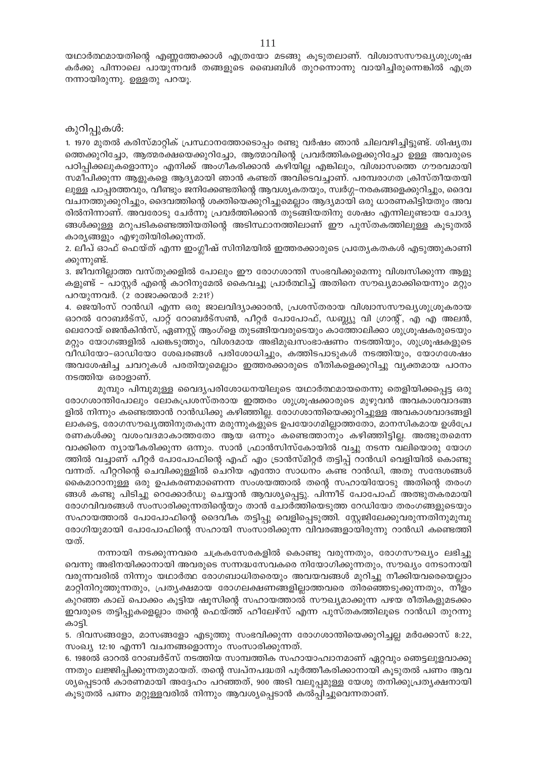യഥാർത്ഥമായതിന്റെ എണ്ണത്തേക്കാൾ എത്രയോ മടങ്ങു കൂടുതലാണ്. വിശ്വാസസൗഖ്യശുശ്രൂഷ കർക്കു പിന്നാലെ പായുന്നവർ തങ്ങളുടെ ബൈബിൾ തുറന്നൊന്നു വായിച്ചിരുന്നെങ്കിൽ എത്ര നന്നായിരുന്നു. ഉള്ളതു പറയൂ.

## കുറിപ്പുകൾ:

1. 1970 മുതൽ കരിസ്മാറ്റിക് പ്രസ്ഥാനത്തോടൊപ്പം രണ്ടു വർഷം ഞാൻ ചിലവഴിച്ചിട്ടുണ്ട്. ശിഷ്യത്വ ത്തെക്കുറിച്ചോ, ആത്മരക്ഷയെക്കുറിച്ചോ, ആത്മാവിന്റെ പ്രവർത്തികളെക്കുറിച്ചോ ഉള്ള അവരുടെ പഠിപ്പിക്കലുകളൊന്നും എനിക്ക് അംഗീകരിക്കാൻ കഴിയില്ല എങ്കിലും, വിശ്വാസത്തെ ഗൗരവമായി സമീപിക്കുന്ന ആളുകളെ ആദ്യമായി ഞാൻ കണ്ടത് അവിടെവച്ചാണ്. പരമ്പരാഗത ക്രിസ്തീയതയി ലുള്ള പാപ്പരത്തവും, വീണ്ടും ജനിക്കേണ്ടതിന്റെ ആവശ്യകതയും, സ്വർഗ്ഗ–നരകങ്ങളെക്കുറിച്ചും, ദൈവ വചനത്തുക്കുറിച്ചും, ദൈവത്തിന്റെ ശക്തിയെക്കുറിച്ചുമെല്ലാം ആദ്യമായി ഒരു ധാരണകിട്ടിയതും അവ രിൽനിന്നാണ്. അവരോടു ചേർന്നു പ്രവർത്തിക്കാൻ തുടങ്ങിയതിനു ശേഷം എന്നിലുണ്ടായ ചോദ്യ ങ്ങൾക്കുള്ള മറുപടികണ്ടെത്തിയതിന്റെ അടിസ്ഥാനത്തിലാണ് ഈ പുസ്തകത്തിലുള്ള കൂടുതൽ കാര്യങ്ങളും എഴുതിയിരിക്കുന്നത്.

2. ലീപ് ഓഫ് ഫെയ്ത് എന്ന ഇംഗ്ലീഷ് സിനിമയിൽ ഇത്തരക്കാരുടെ പ്രത്യേകതകൾ എടുത്തുകാണി ക്കുന്നുണ്ട്.

3. ജീവനില്ലാത്ത വസ്തുക്കളിൽ പോലും ഈ രോഗശാന്തി സംഭവിക്കുമെന്നു വിശ്വസിക്കുന്ന ആളു കളുണ്ട് – പാസ്റ്റർ എന്റെ കാറിനുമേൽ കൈവച്ചു പ്രാർത്ഥിച്ച് അതിനെ സൗഖ്യമാക്കിയെന്നും മറ്റും പറയുന്നവർ. (2 രാജാക്കന്മാർ 2:21?)

4. ജെയിംസ് റാൻഡി എന്ന ഒരു ജാലവിദ്യാക്കാരൻ, പ്രശസ്തരായ വിശ്വാസസൗഖ്യശുശ്രൂകരായ ഓറൽ റോബർട്സ്, പാറ്റ് റോബർട്സൺ, പീറ്റർ പോപോഫ്, ഡബ്ല്യു വി ഗ്രാന്റ്, എ എ അലൻ, ലെറോയ് ജെൻകിൻസ്, ഏണസ്റ്റ് ആംഗ്ളെ തുടങ്ങിയവരുടെയും കാത്തോലിക്കാ ശുശ്രൂഷകരുടെയും മറ്റും യോഗങ്ങളിൽ പങ്കെടുത്തും, വിശദമായ അഭിമുഖസംഭാഷണം നടത്തിയും, ശുശ്രൂഷകളുടെ വീഡിയോ-ഓഡിയോ ശേഖരങ്ങൾ പരിശോധിച്ചും, കത്തിടപാടുകൾ നടത്തിയും, യോഗശേഷം അവശേഷിച്ച ചവറുകൾ പരതിയുമെല്ലാം ഇത്തരക്കാരുടെ രീതികളെക്കുറിച്ചു വൃക്തമായ പഠനം നടത്തിയ ഒരാളാണ്.

മുമ്പും പിമ്പുമുള്ള വൈദ്യപരിശോധനയിലൂടെ യഥാർത്ഥമായതെന്നു തെളിയിക്കപ്പെട്ട ഒരു രോഗശാന്തിപോലും ലോകപ്രശസ്തരായ ഇത്തരം ശുശ്രൂഷക്കാരുടെ മുഴുവൻ അവകാശവാദങ്ങ ളിൽ നിന്നും കണ്ടെത്താൻ റാൻഡിക്കു കഴിഞ്ഞില്ല. രോഗശാന്തിയെക്കുറിച്ചുള്ള അവകാശവാദങ്ങളി ലാകട്ടെ, രോഗസൗഖ്യത്തിനുതകുന്ന മരുന്നുകളുടെ ഉപയോഗമില്ലാത്തതോ, മാനസികമായ ഉൾപ്രേ രണകൾക്കു വശംവദമാകാത്തതോ ആയ ഒന്നും കണ്ടെത്താനും കഴിഞ്ഞിട്ടില്ല. അത്ഭുതമെന്ന വാക്കിനെ ന്യായീകരിക്കുന്ന ഒന്നും. സാൻ ഫ്രാൻസിസ്കോയിൽ വച്ചു നടന്ന വലിയൊരു യോഗ ത്തിൽ വച്ചാണ് പീറ്റർ പോപോഫിന്റെ എഫ് എം ട്രാൻസ്മിറ്റർ തട്ടിപ്പ് റാൻഡി വെളിയിൽ കൊണ്ടു വന്നത്. പീറ്ററിന്റെ ചെവിക്കുള്ളിൽ ചെറിയ എന്തോ സാധനം കണ്ട റാൻഡി, അതു സന്ദേശങ്ങൾ കൈമാറാനുള്ള ഒരു ഉപകരണമാണെന്ന സംശയത്താൽ തന്റെ സഹായിയോടു അതിന്റെ തരംഗ ങ്ങൾ കണ്ടു പിടിച്ചു റെക്കോർഡു ചെയ്യാൻ ആവശ്യപ്പെട്ടു. പിന്നീട് പോപോഫ് അത്ഭുതകരമായി രോഗവിവരങ്ങൾ സംസാരിക്കുന്നതിന്റെയും താൻ ചോർത്തിയെടുത്ത റേഡിയോ തരംഗങ്ങളുടെയും സഹായത്താൽ പോപോഫിന്റെ ദൈവീക തട്ടിപ്പു വെളിപ്പെടുത്തി. സ്റ്റേജിലേക്കുവരുന്നതിനുമുമ്പു രോഗിയുമായി പോപോഫിന്റെ സഹായി സംസാരിക്കുന്ന വിവരങ്ങളായിരുന്നു റാൻഡി കണ്ടെത്തി യത്.

നന്നായി നടക്കുന്നവരെ ചക്രകസേരകളിൽ കൊണ്ടു വരുന്നതും, രോഗസൗഖ്യം ലഭിച്ചു വെന്നു അഭിനയിക്കാനായി അവരുടെ സന്നദ്ധസേവകരെ നിയോഗിക്കുന്നതും, സൗഖ്യം നേടാനായി വരുന്നവരിൽ നിന്നും യഥാർത്ഥ രോഗബാധിതരെയും അവയവങ്ങൾ മുറിച്ചു നീക്കിയവരെയെല്ലാം മാറ്റിനിറുത്തുന്നതും, പ്രത്യക്ഷമായ രോഗലക്ഷണങ്ങളില്ലാത്തവരെ തിരഞ്ഞെടുക്കുന്നതും, നീളം കുറഞ്ഞ കാല് പൊക്കം കൂട്ടിയ ഷൂസിന്റെ സഹായത്താൽ സൗഖ്യമാക്കുന്ന പഴയ രീതികളുമടക്കം ഇവരുടെ തട്ടിപ്പുകളെല്ലാം തന്റെ ഫെയ്ത്ത് ഹീലേഴ്സ് എന്ന പുസ്തകത്തിലൂടെ റാൻഡി തുറന്നു കാട്ടി.

5. ദിവസങ്ങളോ, മാസങ്ങളോ എടുത്തു സംഭവിക്കുന്ന രോഗശാന്തിയെക്കുറിച്ചല്ല മർക്കോസ് 8:22, സംഖ്യ 12:10 എന്നീ വചനങ്ങളൊന്നും സംസാരിക്കുന്നത്.

6. 1980ൽ ഓറൽ റോബർട്സ് നടത്തിയ സാമ്പത്തിക സഹായാഹ്വാനമാണ് ഏറ്റവും ഞെട്ടലുളവാക്കു ന്നതും ലജ്ജിപ്പിക്കുന്നതുമായത്. തന്റെ സ്വപ്നപദ്ധതി പൂർത്തീകരിക്കാനായി കൂടുതൽ പണം ആവ ശ്യപ്പെടാൻ കാരണമായി അദ്ദേഹം പറഞ്ഞത്, 900 അടി വലുപ്പമുള്ള യേശു തനിക്കുപ്രത്യക്ഷനായി കൂടുതൽ പണം മറ്റുള്ളവരിൽ നിന്നും ആവശ്യപ്പെടാൻ കൽപ്പിച്ചുവെന്നതാണ്.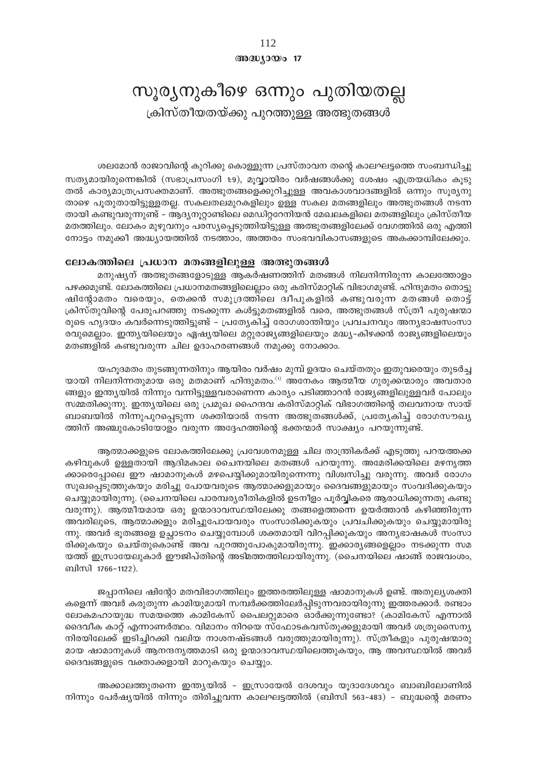112  $@0@0J0@017$ 

# സൂര്യനുകീഴെ ഒന്നും പുതിയതല്ല

ക്രിസ്തീയതയ്ക്കു പുറത്തുള്ള അത്ഭുതങ്ങൾ

## ശലമോൻ രാജാവിന്റെ കുറിക്കു കൊള്ളുന്ന പ്രസ്താവന തന്റെ കാലഘട്ടത്തെ സംബന്ധിച്ചു

സത്യമായിരുന്നെങ്കിൽ (സഭാപ്രസംഗി 1:9), മൂവ്വായിരം വർഷങ്ങൾക്കു ശേഷം എത്രയധികം കൂടു തൽ കാര്യമാത്രപ്രസക്തമാണ്. അത്ഭുതങ്ങളെക്കുറിച്ചുള്ള അവകാശവാദങ്ങളിൽ ഒന്നും സൂര്യനു താഴെ പൂതുതായിട്ടുള്ളതല്ല. സകലതലമുറകളിലും ഉള്ള സകല മതങ്ങളിലും അത്ഭുതങ്ങൾ നടന്ന തായി കണ്ടുവരുന്നുണ്ട് – ആദ്യനൂറ്റാണ്ടിലെ മെഡിറ്ററേനിയൻ മേഖലകളിലെ മതങ്ങളിലും ക്രിസ്തീയ മതത്തിലും. ലോകം മുഴുവനും പരസ്യപ്പെടുത്തിയിട്ടുള്ള അത്ഭുതങ്ങളിലേക്ക് വേഗത്തിൽ ഒരു എത്തി നോട്ടം നമുക്കീ അദ്ധ്യായത്തിൽ നടത്താം, അത്തരം സംഭവവികാസങ്ങളുടെ അകക്കാമ്പിലേക്കും.

### ലോകത്തിലെ പ്രധാന മതങ്ങളിലുള്ള അത്ഭുതങ്ങൾ

മനുഷ്യന് അത്ഭുതങ്ങളോടുള്ള ആകർഷണത്തിന് മതങ്ങൾ നിലനിന്നിരുന്ന കാലത്തോളം പഴക്കമുണ്ട്. ലോകത്തിലെ പ്രധാനമതങ്ങളിലെല്ലാം ഒരു കരിസ്മാറ്റിക് വിഭാഗമുണ്ട്. ഹിന്ദുമതം തൊട്ടു ഷിന്റോമതം വരെയും, തെക്കൻ സമുദ്രത്തിലെ ദ്വീപുകളിൽ കണ്ടുവരുന്ന മതങ്ങൾ തൊട്ട് ക്രിസ്തുവിന്റെ പേരുപറഞ്ഞു നടക്കുന്ന കൾട്ടുമതങ്ങളിൽ വരെ, അത്ഭുതങ്ങൾ സ്ത്രീ പുരുഷന്മാ രുടെ ഹൃദയം കവർന്നെടുത്തിട്ടുണ്ട് - പ്രത്യേകിച്ച് രോഗശാന്തിയും പ്രവചനവും അനൃഭാഷസംസാ രവുമെല്ലാം. ഇന്ത്യയിലെയും ഏഷ്യയിലെ മറ്റുരാജ്യങ്ങളിലെയും മദ്ധ്യ-കിഴക്കൻ രാജ്യങ്ങളിലെയും മതങ്ങളിൽ കണ്ടുവരുന്ന ചില ഉദാഹരണങ്ങൾ നമുക്കു നോക്കാം.

യഹൂദമതം തുടങ്ങുന്നതിനും ആയിരം വർഷം മുമ്പ് ഉദയം ചെയ്തതും ഇതുവരെയും തുടർച്ച യായി നിലനിന്നതുമായ ഒരു മതമാണ് ഹിന്ദുമതം.<sup>(1)</sup> അനേകം ആത്മീയ ഗുരുക്കന്മാരും അവതാര ങ്ങളും ഇന്ത്യയിൽ നിന്നും വന്നിട്ടുള്ളവരാണെന്ന കാര്യം പടിഞ്ഞാറൻ രാജ്യങ്ങളിലുള്ളവർ പോലും സമ്മതിക്കുന്നു. ഇന്ത്യയിലെ ഒരു പ്രമുഖ ഹൈന്ദവ കരിസ്മാറ്റിക് വിഭാഗത്തിന്റെ തലവനായ സായ് ബാബയിൽ നിന്നുപുറപ്പെടുന്ന ശക്തിയാൽ നടന്ന അത്ഭുതങ്ങൾക്ക്, പ്രത്യേകിച്ച് രോഗസൗഖ്യ ത്തിന് അഞ്ചുകോടിയോളം വരുന്ന അദ്ദേഹത്തിന്റെ ഭക്തന്മാർ സാക്ഷ്യം പറയുന്നുണ്ട്.

ആത്മാക്കളുടെ ലോകത്തിലേക്കു പ്രവേശനമുള്ള ചില താന്ത്രികർക്ക് എടുത്തു പറയത്തക്ക കഴിവുകൾ ഉള്ളതായി ആദിമകാല ചൈനയിലെ മതങ്ങൾ പറയുന്നു. അമേരിക്കയിലെ മഴനൃത്ത ക്കാരെപ്പോലെ ഈ ഷാമാനുകൾ മഴപെയ്യിക്കുമായിരുന്നെന്നു വിശ്വസിച്ചു വരുന്നു. അവർ രോഗം സുഖപ്പെടുത്തുകയും മരിച്ചു പോയവരുടെ ആത്മാക്കളുമായും ദൈവങ്ങളുമായും സംവദിക്കുകയും ചെയ്യുമായിരുന്നു. (ചൈനയിലെ പാരമ്പര്യരീതികളിൽ ഉടനീളം പൂർവ്വികരെ ആരാധിക്കുന്നതു കണ്ടു വരുന്നു). ആത്മീയമായ ഒരു ഉന്മാദാവസ്ഥയിലേക്കു തങ്ങളെത്തന്നെ ഉയർത്താൻ കഴിഞ്ഞിരുന്ന അവരിലൂടെ, ആത്മാക്കളും മരിച്ചുപോയവരും സംസാരിക്കുകയും പ്രവചിക്കുകയും ചെയ്യുമായിരു ന്നു. അവർ ഭൂതങ്ങളെ ഉച്ഛാടനം ചെയ്യുമ്പോൾ ശക്തമായി വിറപ്പിക്കുകയും അന്യഭാഷകൾ സംസാ രിക്കുകയും ചെയ്തുകൊണ്ട് അവ പുറത്തുപോകുമായിരുന്നു. ഇക്കാര്യങ്ങളെല്ലാം നടക്കുന്ന സമ യത്ത് ഇസ്രായേലുകാർ ഈജിപ്തിന്റെ അടിമത്തത്തിലായിരുന്നു. (ചൈനയിലെ ഷാങ്ങ് രാജവംശം, ബിസി 1766-1122).

ജപ്പാനിലെ ഷിന്റോ മതവിഭാഗത്തിലും ഇത്തരത്തിലുള്ള ഷാമാനുകൾ ഉണ്ട്. അതുല്യശക്തി കളെന്ന് അവർ കരുതുന്ന കാമിയുമായി സമ്പർക്കത്തിലേർപ്പിടുന്നവരായിരുന്നു ഇത്തരക്കാർ. രണ്ടാം ലോകമഹായുദ്ധ സമയത്തെ കാമികേസ് പൈലറ്റുമാരെ ഓർക്കുന്നുണ്ടോ? (കാമികേസ് എന്നാൽ ദൈവീക കാറ്റ് എന്നാണർത്ഥം. വിമാനം നിറയെ സ്ഫോടകവസ്തുക്കളുമായി അവർ ശത്രുസൈന്യ നിരയിലേക്ക് ഇടിച്ചിറക്കി വലിയ നാശനഷ്ടങ്ങൾ വരുത്തുമായിരുന്നു). സ്ത്രീകളും പുരുഷന്മാരു മായ ഷാമാനുകൾ ആനന്ദനൃത്തമാടി ഒരു ഉന്മാദാവസ്ഥയിലെത്തുകയും, ആ അവസ്ഥയിൽ അവർ ദൈവങ്ങളുടെ വക്താക്കളായി മാറുകയും ചെയ്യും.

അക്കാലത്തുതന്നെ ഇന്ത്യയിൽ - ഇസ്രായേൽ ദേശവും യൂദാദേശവും ബാബിലോണിൽ നിന്നും പേർഷ്യയിൽ നിന്നും തിരിച്ചുവന്ന കാലഘട്ടത്തിൽ (ബിസി 563–483) - ബുദ്ധന്റെ മരണം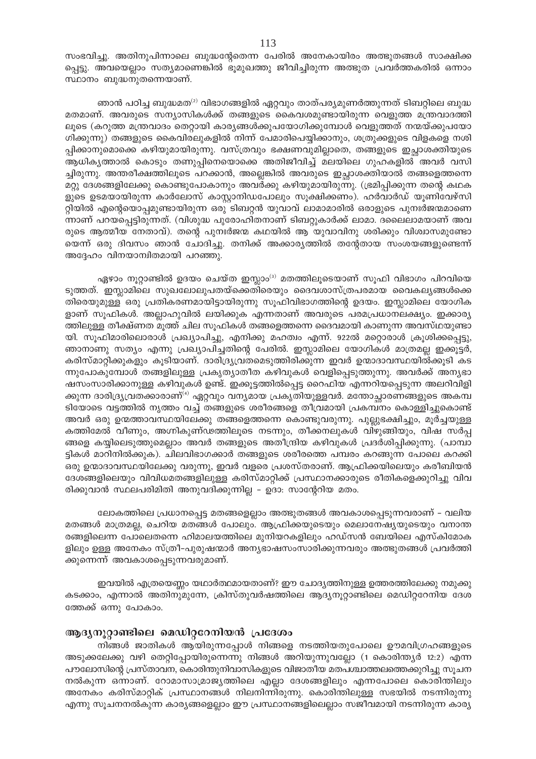സംഭവിച്ചു. അതിനുപിന്നാലെ ബുദ്ധന്റേതെന്ന പേരിൽ അനേകായിരം അത്ഭുതങ്ങൾ സാക്ഷിക്ക പ്പെട്ടു. അവയെല്ലാം സത്യമാണെങ്കിൽ ഭൂമുഖത്തു ജീവിച്ചിരുന്ന അത്ഭുത പ്രവർത്തകരിൽ ഒന്നാം സ്ഥാനം ബുദ്ധനുതന്നെയാണ്.

ഞാൻ പഠിച്ച ബുദ്ധമത<sup>്ര)</sup> വിഭാഗങ്ങളിൽ ഏറ്റവും താത്പര്യമുണർത്തുന്നത് ടിബറ്റിലെ ബുദ്ധ മതമാണ്. അവരുടെ സന്യാസികൾക്ക് തങ്ങളുടെ കൈവശമുണ്ടായിരുന്ന വെളുത്ത മന്ത്രവാദത്തി ലൂടെ (കറുത്ത മന്ത്രവാദം തെറ്റായി കാര്യങ്ങൾക്കുപയോഗിക്കുമ്പോൾ വെളുത്തത് നന്മയ്ക്കുപയോ ഗിക്കുന്നു) തങ്ങളുടെ കൈവിരലുകളിൽ നിന്ന് പേമാരിപെയ്യിക്കാനും, ശത്രുക്കളുടെ വിളകളെ നശി പ്പിക്കാനുമൊക്കെ കഴിയുമായിരുന്നു. വസ്ത്രവും ഭക്ഷണവുമില്ലാതെ, തങ്ങളുടെ ഇച്ഛാശക്തിയുടെ ആധികൃത്താൽ കൊടും തണുപ്പിനെയൊക്കെ അതിജീവിച്ച് മലയിലെ ഗുഹകളിൽ അവർ വസി ച്ചിരുന്നു. അന്തരീക്ഷത്തിലൂടെ പറക്കാൻ, അല്ലെങ്കിൽ അവരുടെ ഇച്ഛാശക്തിയാൽ തങ്ങളെത്തന്നെ മറ്റു ദേശങ്ങളിലേക്കു കൊണ്ടുപോകാനും അവർക്കു കഴിയുമായിരുന്നു. (ഭ്രമിപ്പിക്കുന്ന തന്റെ കഥക ളുടെ ഉടമയായിരുന്ന കാർലോസ് കാസ്റ്റാനിഡപോലും സൂക്ഷിക്കണം). ഹർവാർഡ് യൂണിവേഴ്സി റ്റിയിൽ എന്റെയൊപ്പമുണ്ടായിരുന്ന ഒരു ടിബറ്റൻ യുവാവ് ലാമാമാരിൽ ഒരാളുടെ പുനഃർജന്മമാണെ ന്നാണ് പറയപ്പെട്ടിരുന്നത്. (വിശുദ്ധ പുരോഹിതനാണ് ടിബറ്റുകാർക്ക് ലാമാ. ദലൈലാമയാണ് അവ രുടെ ആത്മീയ നേതാവ്). തന്റെ പുനഃർജന്മ കഥയിൽ ആ യുവാവിനു ശരിക്കും വിശ്വാസമുണ്ടോ യെന്ന് ഒരു ദിവസം ഞാൻ ചോദിച്ചു. തനിക്ക് അക്കാര്യത്തിൽ തന്റേതായ സംശയങ്ങളുണ്ടെന്ന് അദ്ദേഹം വിനയാന്വിതമായി പറഞ്ഞു.

ഏഴാം നൂറ്റാണ്ടിൽ ഉദയം ചെയ്ത ഇസ്ലാം<sup>ദ)</sup> മതത്തിലൂടെയാണ് സൂഫി വിഭാഗം പിറവിയെ ടുത്തത്. ഇസ്ലാമിലെ സുഖലോലുപതയ്ക്കെതിരെയും ദൈവശാസ്ത്രപരമായ വൈകല്യങ്ങൾക്കെ തിരെയുമുള്ള ഒരു പ്രതികരണമായിട്ടായിരുന്നു സൂഫിവിഭാഗത്തിന്റെ ഉദയം. ഇസ്ലാമിലെ യോഗിക ളാണ് സൂഫികൾ. അല്ലാഹുവിൽ ലയിക്കുക എന്നതാണ് അവരുടെ പരമപ്രധാനലക്ഷ്യം. ഇക്കാര്യ ത്തിലുള്ള തീക്ഷ്ണത മൂത്ത് ചില സൂഫികൾ തങ്ങളെത്തന്നെ ദൈവമായി കാണുന്ന അവസ്ഥയുണ്ടാ യി. സൂഫിമാരിലൊരാൾ പ്രഖ്യാപിച്ചു, എനിക്കു മഹത്വം എന്ന്. 922ൽ മറ്റൊരാൾ ക്രൂശിക്കപ്പെട്ടു, ഞാനാണു സത്യം എന്നു പ്രഖ്യാപിച്ചതിന്റെ പേരിൽ. ഇസ്ലാമിലെ യോഗികൾ മാത്രമല്ല ഇക്കൂട്ടർ, കരിസ്മാറ്റിക്കുകളും കൂടിയാണ്. ദാരിദ്ര്യവ്രതമെടുത്തിരിക്കുന്ന ഇവർ ഉന്മാദാവസ്ഥയിൽക്കൂടി കട ന്നുപോകുമ്പോൾ തങ്ങളിലുള്ള പ്രകൃത്യാതീത കഴിവുകൾ വെളിപ്പെടുത്തുന്നു. അവർക്ക് അന്യഭാ ഷസംസാരിക്കാനുള്ള കഴിവുകൾ ഉണ്ട്. ഇക്കൂട്ടത്തിൽപ്പെട്ട റൈഫിയ എന്നറിയപ്പെടുന്ന അലറിവിളി ക്കുന്ന ദാരിദ്ര്യവതക്കാരാണ് $\mathrm{^{(4)}}$  ഏറ്റവും വന്യമായ പ്രകൃതിയുള്ളവർ. മന്തോച്ഛാരണങ്ങളുടെ അകമ്പ ടിയോടെ വട്ടത്തിൽ നൃത്തം വച്ച് തങ്ങളുടെ ശരീരങ്ങളെ തീവ്രമായി പ്രകമ്പനം കൊള്ളിച്ചുകൊണ്ട് അവർ ഒരു ഉന്മത്താവസ്ഥയിലേക്കു തങ്ങളെത്തന്നെ കൊണ്ടുവരുന്നു. പുല്ലുഭക്ഷിച്ചും, മൂർച്ചയുള്ള കത്തിമേൽ വീണും, അഗ്നികുണ്ഢത്തിലൂടെ നടന്നും, തീക്കനലുകൾ വിഴുങ്ങിയും, വിഷ സർപ്പ ങ്ങളെ കയ്യിലെടുത്തുമെല്ലാം അവർ തങ്ങളുടെ അതീന്ദ്രിയ കഴിവുകൾ പ്രദർശിപ്പിക്കുന്നു. (പാമ്പാ ട്ടികൾ മാറിനിൽക്കുക). ചിലവിഭാഗക്കാർ തങ്ങളുടെ ശരീരത്തെ പമ്പരം കറങ്ങുന്ന പോലെ കറക്കി ഒരു ഉന്മാദാവസ്ഥയിലേക്കു വരുന്നു, ഇവർ വളരെ പ്രശസ്തരാണ്. ആഫ്രിക്കയിലെയും കരീബിയൻ ദേശങ്ങളിലെയും വിവിധമതങ്ങളിലുള്ള കരിസ്മാറ്റിക്ക് പ്രസ്ഥാനക്കാരുടെ രീതികളെക്കുറിച്ചു വിവ രിക്കുവാൻ സ്ഥലപരിമിതി അനുവദിക്കുന്നില്ല – ഉദാ: സാന്റേറിയ മതം.

ലോകത്തിലെ പ്രധാനപ്പെട്ട മതങ്ങളെല്ലാം അത്ഭുതങ്ങൾ അവകാശപ്പെടുന്നവരാണ് – വലിയ മതങ്ങൾ മാത്രമല്ല, ചെറിയ മതങ്ങൾ പോലും. ആഫ്രിക്കയുടെയും മെലാനേഷ്യയുടെയും വനാന്ത രങ്ങളിലെന്ന പോലെതന്നെ ഹിമാലയത്തിലെ മുനിയറകളിലും ഹഡ്സൻ ബേയിലെ എസ്കിമോക ളിലും ഉള്ള അനേകം സ്ത്രീ-പുരുഷന്മാർ അന്യഭാഷസംസാരിക്കുന്നവരും അത്ഭുതങ്ങൾ പ്രവർത്തി ക്കുന്നെന്ന് അവകാശപ്പെടുന്നവരുമാണ്.

ഇവയിൽ എത്രയെണ്ണം യഥാർത്ഥമായതാണ്? ഈ ചോദ്യത്തിനുള്ള ഉത്തരത്തിലേക്കു നമുക്കു കടക്കാം, എന്നാൽ അതിനുമുന്നേ, ക്രിസ്തുവർഷത്തിലെ ആദ്യനൂറ്റാണ്ടിലെ മെഡിറ്ററേനിയ ദേശ ത്തേക്ക് ഒന്നു പോകാം.

## ആദ്യനൂറ്റാണ്ടിലെ മെഡിറ്ററേനിയൻ പ്രദേശം

നിങ്ങൾ ജാതികൾ ആയിരുന്നപ്പോൾ നിങ്ങളെ നടത്തിയതുപോലെ ഊമവിഗ്രഹങ്ങളുടെ അടുക്കലേക്കു വഴി തെറ്റിപ്പോയിരുന്നെന്നു നിങ്ങൾ അറിയുന്നുവല്ലോ (1 കൊരിന്ത്യർ 12:2) എന്ന പൗലോസിന്റെ പ്രസ്താവന, കൊരിന്തുനിവാസികളുടെ വിജാതീയ മതപശ്ചാത്തലത്തെക്കുറിച്ചു സൂചന നൽകുന്ന ഒന്നാണ്. റോമാസാമ്രാജ്യത്തിലെ എല്ലാ ദേശങ്ങളിലും എന്നപോലെ കൊരിന്തിലും അനേകം കരിസ്മാറ്റിക് പ്രസ്ഥാനങ്ങൾ നിലനിന്നിരുന്നു. കൊരിത്തിലുള്ള സഭയിൽ നടന്നിരുന്നു എന്നു സൂചനനൽകുന്ന കാര്യങ്ങളെല്ലാം ഈ പ്രസ്ഥാനങ്ങളിലെല്ലാം സജീവമായി നടന്നിരുന്ന കാര്യ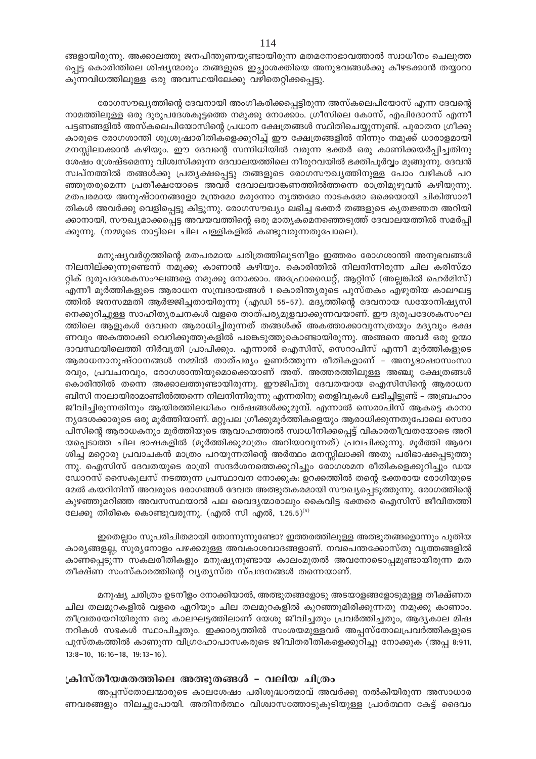ങ്ങളായിരുന്നു. അക്കാലത്തു ജനപിന്തുണയുണ്ടായിരുന്ന മതമനോഭാവത്താൽ സ്വാധീനം ചെലുത്ത പ്പെട്ട കൊരിന്തിലെ ശിഷ്യന്മാരും തങ്ങളുടെ ഇച്ഛാശക്തിയെ അനുഭവങ്ങൾക്കു കീഴടക്കാൻ തയ്യാറാ കുന്നവിധത്തിലുള്ള ഒരു അവസ്ഥയിലേക്കു വഴിതെറ്റിക്കപ്പെട്ടു.

രോഗസൗഖ്യത്തിന്റെ ദേവനായി അംഗീകരിക്കപ്പെട്ടിരുന്ന അസ്കലെപിയോസ് എന്ന ദേവന്റെ നാമത്തിലുള്ള ഒരു ദുരുപദേശകൂട്ടത്തെ നമുക്കു നോക്കാം. ഗ്രീസിലെ കോസ്, എപിദോറസ് എന്നീ പട്ടണങ്ങളിൽ അസ്കലെപിയോസിന്റെ പ്രധാന ക്ഷേത്രങ്ങൾ സ്ഥിതിചെയ്യുന്നുണ്ട്. പുരാതന ഗ്രീക്കു കാരുടെ രോഗശാന്തി ശുശ്രൂഷാരീതികളെക്കുറിച്ച് ഈ ക്ഷേത്രങ്ങളിൽ നിന്നും നമുക്ക് ധാരാളമായി മനസ്സിലാക്കാൻ കഴിയും. ഈ ദേവന്റെ സന്നിധിയിൽ വരുന്ന ഭക്തർ ഒരു കാണിക്കയർപ്പിച്ചതിനു ശേഷം ശ്രേഷ്ടമെന്നു വിശ്വസിക്കുന്ന ദേവാലയത്തിലെ നീരുറവയിൽ ഭക്തിപൂർവ്വം മുങ്ങുന്നു. ദേവൻ സ്വപ്നത്തിൽ തങ്ങൾക്കു പ്രത്യക്ഷപ്പെട്ടു തങ്ങളുടെ രോഗസൗഖ്യത്തിനുള്ള പോം വഴികൾ പറ ഞ്ഞുതരുമെന്ന പ്രതീക്ഷയോടെ അവർ ദേവാലയാങ്കണത്തിൽത്തന്നെ രാത്രിമുഴുവൻ കഴിയുന്നു. മതപരമായ അനുഷ്ഠാനങ്ങളോ മന്ത്രമോ മരുന്നോ നൃത്തമോ നാടകമോ ഒക്കെയായി ചികിത്സാരീ തികൾ അവർക്കു വെളിപ്പെട്ടു കിട്ടുന്നു. രോഗസൗഖ്യം ലഭിച്ച ഭക്തർ തങ്ങളുടെ കൃതജ്ഞത അറിയി ക്കാനായി, സൗഖ്യമാക്കപ്പെട്ട അവയവത്തിന്റെ ഒരു മാതൃകമെനഞ്ഞെടുത്ത് ദേവാലയത്തിൽ സമർപ്പി ക്കുന്നു. (നമ്മുടെ നാട്ടിലെ ചില പള്ളികളിൽ കണ്ടുവരുന്നതുപോലെ).

മനുഷ്യവർഗ്ഗത്തിന്റെ മതപരമായ ചരിത്രത്തിലുടനീളം ഇത്തരം രോഗശാന്തി അനുഭവങ്ങൾ നിലനില്ക്കുന്നുണ്ടെന്ന് നമുക്കു കാണാൻ കഴിയും. കൊരിന്തിൽ നിലനിന്നിരുന്ന ചില കരിസ്മാ റ്റിക് ദുരുപദേശകസംഘങ്ങളെ നമുക്കു നോക്കാം. അഫ്രോഡൈറ്റ്, ആറ്റിസ് (അല്ലങ്കിൽ ഹെർമിസ്) എന്നീ മൂർത്തികളുടെ ആരാധന സമ്പ്രദായങ്ങൾ 1 കൊരിന്ത്യരുടെ പുസ്തകം എഴുതിയ കാലഘട്ട ത്തിൽ ജനസമ്മതി ആർജ്ജിച്ചതായിരുന്നു (എഡി 55-57). മദൃത്തിന്റെ ദേവനായ ഡയോനിഷൃസി നെക്കുറിച്ചുള്ള സാഹിതൃരചനകൾ വളരെ താത്പര്യമുളവാക്കുന്നവയാണ്. ഈ ദുരുപദേശകസംഘ ത്തിലെ ആളുകൾ ദേവനെ ആരാധിച്ചിരുന്നത് തങ്ങൾക്ക് അകത്താക്കാവുന്നത്രയും മദ്യവും ഭക്ഷ ണവും അകത്താക്കി വെറിക്കൂത്തുകളിൽ പങ്കെടുത്തുകൊണ്ടായിരുന്നു. അങ്ങനെ അവർ ഒരു ഉന്മാ ദാവസ്ഥയിലെത്തി നിർവൃതി പ്രാപിക്കും. എന്നാൽ ഐസിസ്, സെറാപിസ് എന്നീ മൂർത്തികളുടെ ആരാധനാനുഷ്ഠാനങ്ങൾ നമ്മിൽ താത്പര്യം ഉണർത്തുന്ന രീതികളാണ് – അന്യഭാഷാസംസാ രവും, പ്രവചനവും, രോഗശാന്തിയുമൊക്കെയാണ് അത്. അത്തരത്തിലുള്ള അഞ്ചു ക്ഷേത്രങ്ങൾ കൊരിന്തിൽ തന്നെ അക്കാലത്തുണ്ടായിരുന്നു. ഈജിപ്തു ദേവതയായ ഐസിസിന്റെ ആരാധന ബിസി നാലായിരാമാണ്ടിൽത്തന്നെ നിലനിന്നിരുന്നു എന്നതിനു തെളിവുകൾ ലഭിച്ചിട്ടുണ്ട് – അബ്രഹാം ജീവിച്ചിരുന്നതിനും ആയിരത്തിലധികം വർഷങ്ങൾക്കുമുമ്പ്. എന്നാൽ സെരാപിസ് ആകട്ടെ കാനാ നൃദേശക്കാരുടെ ഒരു മൂർത്തിയാണ്. മറ്റുപല ഗ്രീക്കുമൂർത്തികളെയും ആരാധിക്കുന്നതുപോലെ സെരാ പിസിന്റെ ആരാധകനും മൂർത്തിയുടെ ആവാഹത്താൽ സ്വാധീനിക്കപ്പെട്ട് വികാരതീവ്രതയോടെ അറി യപ്പെടാത്ത ചില ഭാഷകളിൽ (മൂർത്തിക്കുമാത്രം അറിയാവുന്നത്) പ്രവചിക്കുന്നു. മൂർത്തി ആവേ ശിച്ച് മറ്റൊരു പ്രവാചകൻ മാത്രം പറയുന്നതിന്റെ അർത്ഥം മനസ്സിലാക്കി അതു പരിഭാഷപ്പെടുത്തു ന്നു. ഐസിസ് ദേവതയുടെ രാത്രി സന്ദർശനത്തെക്കുറിച്ചും രോഗശമന രീതികളെക്കുറിച്ചും ഡയ ഡോറസ് സൈകുലസ് നടത്തുന്ന പ്രസ്ഥാവന നോക്കുക: ഉറക്കത്തിൽ തന്റെ ഭക്തരായ രോഗിയുടെ മേൽ കയറിനിന്ന് അവരുടെ രോഗങ്ങൾ ദേവത അത്ഭുതകരമായി സൗഖ്യപ്പെടുത്തുന്നു. രോഗത്തിന്റെ കുഴഞ്ഞുമറിഞ്ഞ അവസസ്ഥയാൽ പല വൈദൃന്മാരാലും കൈവിട്ട ഭക്തരെ ഐസിസ് ജീവിതത്തി ലേക്കു തിരികെ കൊണ്ടുവരുന്നു. (എൽ സി എൽ, 1.25.5)<sup>(5)</sup>

ഇതെല്ലാം സുപരിചിതമായി തോന്നുന്നുണ്ടോ? ഇത്തരത്തിലുള്ള അത്ഭുതങ്ങളൊന്നും പുതിയ കാര്യങ്ങളല്ല, സുര്യനോളം പഴക്കമുള്ള അവകാശവാദങ്ങളാണ്. നവപെന്തക്കോസ്തു വ്യത്തങ്ങളിൽ കാണപ്പെടുന്ന സകലരീതികളും മനുഷ്യനുണ്ടായ കാലംമുതൽ അവനോടൊപ്പമുണ്ടായിരുന്ന മത തീക്ഷ്ണ സംസ്കാരത്തിന്റെ വൃതൃസ്ത സ്പന്ദനങ്ങൾ തന്നെയാണ്.

മനുഷ്യ ചരിത്രം ഉടനീളം നോക്കിയാൽ, അത്ഭുതങ്ങളോടു അടയാളങ്ങളോടുമുള്ള തീക്ഷ്ണത ചില തലമുറകളിൽ വളരെ ഏറിയും ചില തലമുറകളിൽ കുറഞ്ഞുമിരിക്കുന്നതു നമുക്കു കാണാം. തീവ്രതയേറിയിരുന്ന ഒരു കാലഘട്ടത്തിലാണ് യേശു ജീവിച്ചതും പ്രവർത്തിച്ചതും, ആദ്യകാല മിഷ നറികൾ സഭകൾ സ്ഥാപിച്ചതും. ഇക്കാര്യത്തിൽ സംശയമുള്ളവർ അപ്പസ്തോലപ്രവർത്തികളുടെ പുസ്തകത്തിൽ കാണുന്ന വിഗ്രഹോപാസകരുടെ ജീവിതരീതികളെക്കുറിച്ചു നോക്കുക (അപ്പ 8:911,  $13:8-10$ ,  $16:16-18$ ,  $19:13-16$ ).

## ക്രിസ്തീയമതത്തിലെ അത്ഭുതങ്ങൾ - വലിയ ചിത്രം

അപ്പസ്തോലന്മാരുടെ കാലശേഷം പരിശുദ്ധാത്മാവ് അവർക്കു നൽകിയിരുന്ന അസാധാര ണവരങ്ങളും നിലച്ചുപോയി. അതിനർത്ഥം വിശ്വാസത്തോടുകൂടിയുള്ള പ്രാർത്ഥന കേട്ട് ദൈവം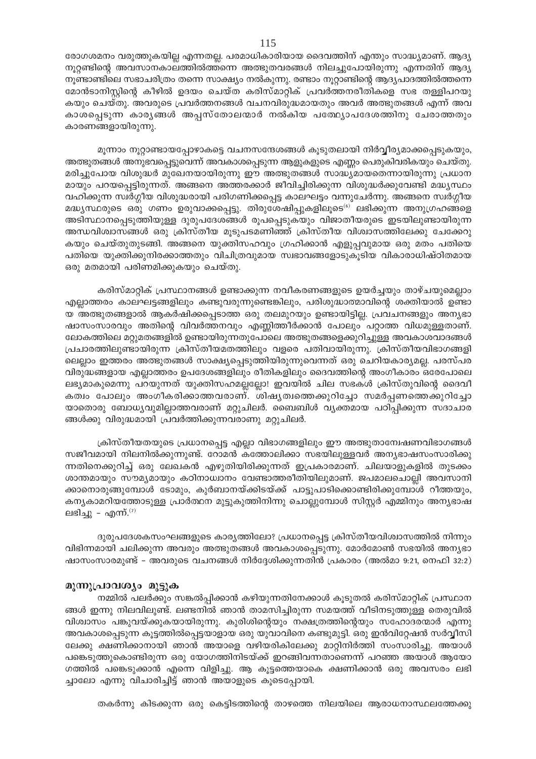രോഗശമനം വരുത്തുകയില്ല എന്നതല്ല. പരമാധികാരിയായ ദൈവത്തിന് എന്തും സാദ്ധ്യമാണ്. ആദ്യ നൂറ്റണ്ടിന്റെ അവസാനകാലത്തിൽത്തന്നെ അത്ഭുതവരങ്ങൾ നിലച്ചുപോയിരുന്നു എന്നതിന് ആദ്യ നൂണ്ടാണ്ടിലെ സഭാചരിത്രം തന്നെ സാക്ഷ്യം നൽകുന്നു. രണ്ടാം നൂറ്റാണ്ടിന്റെ ആദ്യപാദത്തിൽത്തന്നെ മോൻടാനിസ്റ്റിന്റെ കീഴിൽ ഉദയം ചെയ്ത കരിസ്മാറ്റിക് പ്രവർത്തനരീതികളെ സഭ തള്ളിപറയു കയും ചെയ്തു. അവരുടെ പ്രവർത്തനങ്ങൾ വചനവിരുദ്ധമായതും അവർ അത്ഭുതങ്ങൾ എന്ന് അവ കാശപ്പെടുന്ന കാരൃങ്ങൾ അപ്പസ്തോലന്മാർ നൽകിയ പത്ഥ്യോപദേശത്തിനു ചേരാത്തതും കാരണങ്ങളായിരുന്നു.

മൂന്നാം നൂറ്റാണ്ടായപ്പോഴാകട്ടെ വചനസന്ദേശങ്ങൾ കൂടുതലായി നിർവ്വീര്യമാക്കപ്പെടുകയും, അത്ഭുതങ്ങൾ അനുഭവപ്പെട്ടുവെന്ന് അവകാശപ്പെടുന്ന ആളുകളുടെ എണ്ണം പെരുകിവരികയും ചെയ്തു. മരിച്ചുപോയ വിശുദ്ധർ മുഖേനയായിരുന്നു ഈ അത്ഭുതങ്ങൾ സാദ്ധ്യമായതെന്നായിരുന്നു പ്രധാന മായും പറയപ്പെട്ടിരുന്നത്. അങ്ങനെ അത്തരക്കാർ ജീവിച്ചിരിക്കുന്ന വിശുദ്ധർക്കുവേണ്ടി മദ്ധ്യസ്ഥം വഹിക്കുന്ന സ്വർഗ്ഗീയ വിശുദ്ധരായി പരിഗണിക്കപ്പെട്ട കാലഘട്ടം വന്നുചേർന്നു. അങ്ങനെ സ്വർഗ്ഗീയ മദ്ധ്യസ്ഥരുടെ ഒരു ഗണം ഉരുവാക്കപ്പെട്ടു. തിരുശേഷിപ്പുകളിലൂടെ<sup>(6)</sup> ലഭിക്കുന്ന അനുഗ്രഹങ്ങളെ അടിസ്ഥാനപ്പെടുത്തിയുള്ള ദുരുപദേശങ്ങൾ രൂപപ്പെടുകയും വിജാതീയരുടെ ഇടയിലുണ്ടായിരുന്ന അന്ധവിശ്വാസങ്ങൾ ഒരു ക്രിസ്തീയ മൂടുപടമണിഞ്ഞ് ക്രിസ്തീയ വിശ്വാസത്തിലേക്കു ചേക്കേറു കയും ചെയ്തുതുടങ്ങി. അങ്ങനെ യുക്തിസഹവും ഗ്രഹിക്കാൻ എളുപ്പവുമായ ഒരു മതം പതിയെ പതിയെ യുക്തിക്കുനിരക്കാത്തതും വിചിത്രവുമായ സ്വഭാവങ്ങളോടുകൂടിയ വികാരാധിഷ്ഠിതമായ ഒരു മതമായി പരിണമിക്കുകയും ചെയ്തു.

കരിസ്മാറ്റിക് പ്രസ്ഥാനങ്ങൾ ഉണ്ടാക്കുന്ന നവീകരണങ്ങളുടെ ഉയർച്ചയും താഴ്ചയുമെല്ലാം എല്ലാത്തരം കാലഘട്ടങ്ങളിലും കണ്ടുവരുന്നുണ്ടെങ്കിലും, പരിശുദ്ധാത്മാവിന്റെ ശക്തിയാൽ ഉണ്ടാ യ അത്ഭുതങ്ങളാൽ ആകർഷിക്കപ്പെടാത്ത ഒരു തലമുറയും ഉണ്ടായിട്ടില്ല. പ്രവചനങ്ങളും അന്യഭാ ഷാസംസാരവും അതിന്റെ വിവർത്തനവും എണ്ണിത്തീർക്കാൻ പോലും പറ്റാത്ത വിധമുള്ളതാണ്. ലോകത്തിലെ മറ്റുമതങ്ങളിൽ ഉണ്ടായിരുന്നതുപോലെ അത്ഭുതങ്ങളെക്കുറിച്ചുള്ള അവകാശവാദങ്ങൾ പ്രചാരത്തിലുണ്ടായിരുന്ന ക്രിസ്തീയമതത്തിലും വളരെ പതിവായിരുന്നു. ക്രിസ്തീയവിഭാഗങ്ങളി ലെല്ലാം ഇത്തരം അത്ഭുതങ്ങൾ സാക്ഷ്യപ്പെടുത്തിയിരുന്നുവെന്നത് ഒരു ചെറിയകാര്യമല്ല. പരസ്പര വിരുദ്ധങ്ങളായ എല്ലാത്തരം ഉപദേശങ്ങളിലും രീതികളിലും ദൈവത്തിന്റെ അംഗീകാരം ഒരേപോലെ ലഭ്യമാകുമെന്നു പറയുന്നത് യുക്തിസഹമല്ലല്ലോ! ഇവയിൽ ചില സഭകൾ ക്രിസ്തുവിന്റെ ദൈവീ കത്വം പോലും അംഗീകരിക്കാത്തവരാണ്. ശിഷ്യത്വത്തെക്കുറിച്ചോ സമർപ്പണത്തെക്കുറിച്ചോ യാതൊരു ബോധ്യവുമില്ലാത്തവരാണ് മറ്റുചിലർ. ബൈബിൾ വ്യക്തമായ പഠിപ്പിക്കുന്ന സദാചാര ങ്ങൾക്കു വിരുദ്ധമായി പ്രവർത്തിക്കുന്നവരാണു മറ്റുചിലർ.

ക്രിസ്തീയതയുടെ പ്രധാനപ്പെട്ട എല്ലാ വിഭാഗങ്ങളിലും ഈ അത്ഭുതാമ്പേഷണവിഭാഗങ്ങൾ സജീവമായി നിലനിൽക്കുന്നുണ്ട്. റോമൻ കത്തോലിക്കാ സഭയിലുള്ളവർ അന്യഭാഷസംസാരിക്കു ന്നതിനെക്കുറിച്ച് ഒരു ലേഖകൻ എഴുതിയിരിക്കുന്നത് ഇപ്രകാരമാണ്. ചിലയാളുകളിൽ തുടക്കം ശാന്തമായും സൗമൃമായും കഠിനാധ്വാനം വേണ്ടാത്തരീതിയിലുമാണ്. ജപമാലചൊല്ലി അവസാനി ക്കാനൊരുങ്ങുമ്പോൾ ടോമും, കുർബാനയ്ക്കിടയ്ക്ക് പാട്ടുപാടിക്കൊണ്ടിരിക്കുമ്പോൾ റീത്തയും, കന്യകാമറിയത്തോടുള്ള പ്രാർത്ഥന മുട്ടുകുത്തിനിന്നു ചൊല്ലുമ്പോൾ സിസ്റ്റർ എമ്മിനും അന്യഭാഷ ലഭിച്ചു – എന്ന്.<sup>(7)</sup>

ദുരുപദേശകസംഘങ്ങളുടെ കാര്യത്തിലോ? പ്രധാനപ്പെട്ട ക്രിസ്തീയവിശ്വാസത്തിൽ നിന്നും വിഭിന്നമായി ചലിക്കുന്ന അവരും അത്ഭുതങ്ങൾ അവകാശപ്പെടുന്നു. മോർമോൺ സഭയിൽ അന്യഭാ ഷാസംസാരമുണ്ട് - അവരുടെ വചനങ്ങൾ നിർദ്ദേശിക്കുന്നതിൻ പ്രകാരം (അൽമാ 9:21, നെഫി 32:2)

## മൂന്നുപ്രാവശ്യം മുട്ടുക

നമ്മിൽ പലർക്കും സങ്കൽപ്പിക്കാൻ കഴിയുന്നതിനേക്കാൾ കൂടുതൽ കരിസ്മാറ്റിക് പ്രസ്ഥാന ങ്ങൾ ഇന്നു നിലവിലുണ്ട്. ലണ്ടനിൽ ഞാൻ താമസിച്ചിരുന്ന സമയത്ത് വീടിനടുത്തുള്ള തെരുവിൽ വിശ്വാസം പങ്കുവയ്ക്കുകയായിരുന്നു. കുരിശിന്റെയും നക്ഷത്രത്തിന്റെയും സഹോദരന്മാർ എന്നു അവകാശപ്പെടുന്ന കൂട്ടത്തിൽപ്പെട്ടയാളായ ഒരു യുവാവിനെ കണ്ടുമുട്ടി. ഒരു ഇൻവിറ്റേഷൻ സർവ്വീസി ലേക്കു ക്ഷണിക്കാനായി ഞാൻ അയാളെ വഴിയരികിലേക്കു മാറ്റിനിർത്തി സംസാരിച്ചു. അയാൾ പങ്കെടുത്തുകൊണ്ടിരുന്ന ഒരു യോഗത്തിനിടയ്ക്ക് ഇറങ്ങിവന്നതാണെന്ന് പറഞ്ഞ അയാൾ ആയോ ഗത്തിൽ പങ്കെടുക്കാൻ എന്നെ വിളിച്ചു. ആ കൂട്ടത്തെയാകെ ക്ഷണിക്കാൻ ഒരു അവസരം ലഭി ച്ചാലോ എന്നു വിചാരിച്ചിട്ട് ഞാൻ അയാളുടെ കൂടെപ്പോയി.

തകർന്നു കിടക്കുന്ന ഒരു കെട്ടിടത്തിന്റെ താഴത്തെ നിലയിലെ ആരാധനാസ്ഥലത്തേക്കു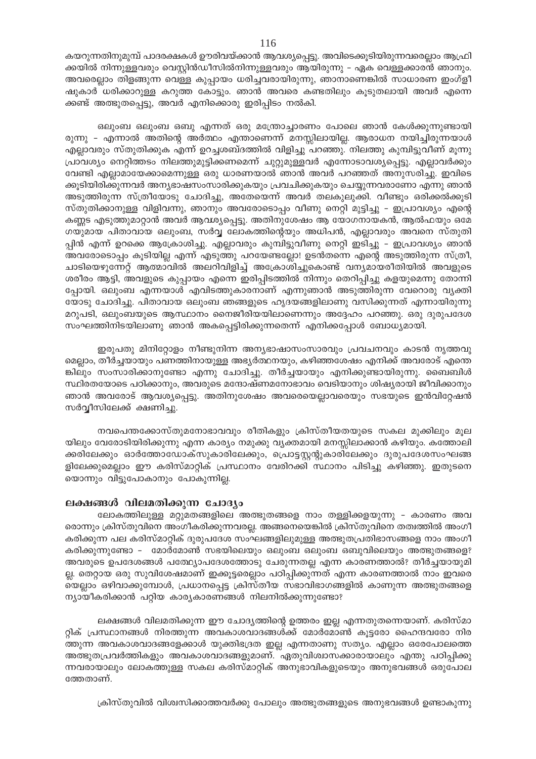കയറുന്നതിനുമുമ്പ് പാദരക്ഷകൾ ഊരിവയ്ക്കാൻ ആവശ്യപ്പെട്ടു. അവിടെക്കുടിയിരുന്നവരെല്ലാം ആഫ്രി ക്കയിൽ നിന്നുള്ളവരും വെസ്റ്റിൻഡീസിൽനിന്നുള്ളവരും ആയിരുന്നു – ഏക വെള്ളക്കാരൻ ഞാനും. അവരെല്ലാം തിളങ്ങുന്ന വെള്ള കുപ്പായം ധരിച്ചവരായിരുന്നു, ഞാനാണെങ്കിൽ സാധാരണ ഇംഗ്ളീ ഷുകാർ ധരിക്കാറുള്ള കറുത്ത കോട്ടും. ഞാൻ അവരെ കണ്ടതിലും കൂടുതലായി അവർ എന്നെ ക്കണ്ട് അത്ഭുതപ്പെട്ടു, അവർ എനിക്കൊരു ഇരിപ്പിടം നൽകി.

ഒലുംബ ഒലുംബ ഒബു എന്നത് ഒരു മന്ത്രോച്ചാരണം പോലെ ഞാൻ കേൾക്കുന്നുണ്ടായി രുന്നു - എന്നാൽ അതിന്റെ അർത്ഥം എന്താണെന്ന് മനസ്സിലായില്ല. ആരാധന നയിച്ചിരുന്നയാൾ എല്ലാവരും സ്തുതിക്കുക എന്ന് ഉറച്ചശബ്ദത്തിൽ വിളിച്ചു പറഞ്ഞു. നിലത്തു കുമ്പിട്ടുവീണ് മൂന്നു പ്രാവശ്യം നെറ്റിത്തടം നിലത്തുമുട്ടിക്കണമെന്ന് ചുറ്റുമുള്ളവർ എന്നോടാവശ്യപ്പെട്ടു. എല്ലാവർക്കും വേണ്ടി എല്ലാമായേക്കാമെന്നുള്ള ഒരു ധാരണയാൽ ഞാൻ അവർ പറഞ്ഞത് അനുസരിച്ചു. ഇവിടെ ക്കൂടിയിരിക്കുന്നവർ അന്യഭാഷസംസാരിക്കുകയും പ്രവചിക്കുകയും ചെയ്യുന്നവരാണോ എന്നു ഞാൻ അടുത്തിരുന്ന സ്ത്രീയോടു ചോദിച്ചു, അതേയെന്ന് അവർ തലകുലുക്കി. വീണ്ടും ഒരിക്കൽക്കൂടി സ്തുതിക്കാനുള്ള വിളിവന്നു, ഞാനും അവരോടൊപ്പം വീണു നെറ്റി മുട്ടിച്ചു – ഇപ്രാവശ്യം എന്റെ കണ്ണട എടുത്തുമാറ്റാൻ അവർ ആവശ്യപ്പെട്ടു. അതിനുശേഷം ആ യോഗനായകൻ, ആൽഫയും ഒമേ ഗയുമായ പിതാവായ ഒലുംബ, സർവ്വ ലോകത്തിന്റെയും അധിപൻ, എല്ലാവരും അവനെ സ്തുതി പ്പിൻ എന്ന് ഉറക്കെ ആക്രോശിച്ചു. എല്ലാവരും കുമ്പിട്ടുവീണു നെറ്റി ഇടിച്ചു – ഇപ്രാവശ്യം ഞാൻ അവരോടൊപ്പം കൂടിയില്ല എന്ന് എടുത്തു പറയേണ്ടല്ലോ! ഉടൻതന്നെ എന്റെ അടുത്തിരുന്ന സ്ത്രീ, ചാടിയെഴുന്നേറ്റ് ആത്മാവിൽ അലറിവിളിച്ച് അക്രോശിച്ചുകൊണ്ട് വന്യമായരീതിയിൽ അവളുടെ ശരീരം ആട്ടി, അവളുടെ കുപ്പായം എന്നെ ഇരിപ്പിടത്തിൽ നിന്നും തെറിപ്പിച്ചു കളയുമെന്നു തോന്നി പ്പോയി. ഒലുംബ എന്നയാൾ എവിടത്തുകാരനാണ് എന്നുഞാൻ അടുത്തിരുന്ന വേറൊരു വ്യക്തി യോടു ചോദിച്ചു. പിതാവായ ഒലുംബ ഞങ്ങളുടെ ഹൃദയങ്ങളിലാണു വസിക്കുന്നത് എന്നായിരുന്നു മറുപടി, ഒലുംബയുടെ ആസ്ഥാനം നൈജീരിയയിലാണെന്നും അദ്ദേഹം പറഞ്ഞു. ഒരു ദുരുപദേശ സംഘത്തിനിടയിലാണു ഞാൻ അകപ്പെട്ടിരിക്കുന്നതെന്ന് എനിക്കപ്പോൾ ബോധ്യമായി.

ഇരുപതു മിനിറ്റോളം നീണ്ടുനിന്ന അന്യഭാഷാസംസാരവും പ്രവചനവും കാടൻ നൃത്തവു മെല്ലാം, തീർച്ചയായും പണത്തിനായുള്ള അഭ്യർത്ഥനയും, കഴിഞ്ഞശേഷം എനിക്ക് അവരോട് എന്തെ ങ്കിലും സംസാരിക്കാനുണ്ടോ എന്നു ചോദിച്ചു. തീർച്ചയായും എനിക്കുണ്ടായിരുന്നു. ബൈബിൾ സ്ഥിരതയോടെ പഠിക്കാനും, അവരുടെ മന്ദോഷ്ണമനോഭാവം വെടിയാനും ശിഷ്യരായി ജീവിക്കാനും ഞാൻ അവരോട് ആവശ്യപ്പെട്ടു. അതിനുശേഷം അവരെയെല്ലാവരെയും സഭയുടെ ഇൻവിറ്റേഷൻ സർവ്വീസിലേക്ക് ക്ഷണിച്ചു.

നവപെന്തക്കോസ്തുമനോഭാവവും രീതികളും ക്രിസ്തീയതയുടെ സകല മുക്കിലും മൂല യിലും വേരോടിയിരിക്കുന്നു എന്ന കാര്യം നമുക്കു വ്യക്തമായി മനസ്സിലാക്കാൻ കഴിയും. കത്തോലി ക്കരിലേക്കും ഓർത്തോഡോക്സുകാരിലേക്കും, പ്രൊട്ടസ്റ്റന്റുകാരിലേക്കും ദുരുപദേശസംഘങ്ങ ളിലേക്കുമെല്ലാം ഈ കരിസ്മാറ്റിക് പ്രസ്ഥാനം വേരിറക്കി സ്ഥാനം പിടിച്ചു കഴിഞ്ഞു. ഇതുടനെ യൊന്നും വിട്ടുപോകാനും പോകുന്നില്ല.

## ലക്ഷങ്ങൾ വിലമതിക്കുന്ന ചോദ്യം

ലോകത്തിലുള്ള മറ്റുമതങ്ങളിലെ അത്ഭുതങ്ങളെ നാം തള്ളിക്കളയുന്നു – കാരണം അവ രൊന്നും ക്രിസ്തുവിനെ അംഗീകരിക്കുന്നവരല്ല. അങ്ങനെയെങ്കിൽ ക്രിസ്തുവിനെ തത്വത്തിൽ അംഗീ കരിക്കുന്ന പല കരിസ്മാറ്റിക് ദുരുപദേശ സംഘങ്ങളിലുമുള്ള അത്ഭുതപ്രതിഭാസങ്ങളെ നാം അംഗീ കരിക്കുന്നുണ്ടോ – മോർമോൺ സഭയിലെയും ഒലുംബ ഒലുംബ ഒബുവിലെയും അത്ഭുതങ്ങളെ? അവരുടെ ഉപദേശങ്ങൾ പത്ഥ്യോപദേശത്തോടു ചേരുന്നതല്ല എന്ന കാരണത്താൽ? തീർച്ചയായുമി ല്ല. തെറ്റായ ഒരു സുവിശേഷമാണ് ഇക്കൂട്ടരെല്ലാം പഠിപ്പിക്കുന്നത് എന്ന കാരണത്താൽ നാം ഇവരെ യെല്ലാം ഒഴിവാക്കുമ്പോൾ, പ്രധാനപ്പെട്ട ക്രിസ്തീയ സഭാവിഭാഗങ്ങളിൽ കാണുന്ന അത്ഭുതങ്ങളെ ന്യായീകരിക്കാൻ പറ്റിയ കാര്യകാരണങ്ങൾ നിലനിൽക്കുന്നുണ്ടോ?

ലക്ഷങ്ങൾ വിലമതിക്കുന്ന ഈ ചോദ്യത്തിന്റെ ഉത്തരം ഇല്ല എന്നതുതന്നെയാണ്. കരിസ്മാ റ്റിക് പ്രസ്ഥാനങ്ങൾ നിരത്തുന്ന അവകാശവാദങ്ങൾക്ക് മോർമോൺ കൂട്ടരോ ഹൈന്ദവരോ നിര ത്തുന്ന അവകാശവാദങ്ങളേക്കാൾ യുക്തിഭദ്രത ഇല്ല എന്നതാണു സത്യം. എല്ലാം ഒരേപോലത്തെ അത്ഭുതപ്രവർത്തികളും അവകാശവാദങ്ങളുമാണ്. ഏതുവിശ്വാസക്കാരായാലും എന്തു പഠിപ്പിക്കു ന്നവരായാലും ലോകത്തുള്ള സകല കരിസ്മാറ്റിക് അനുഭാവികളുടെയും അനുഭവങ്ങൾ ഒരുപോല ത്തേതാണ്.

ക്രിസ്തുവിൽ വിശ്വസിക്കാത്തവർക്കു പോലും അത്ഭുതങ്ങളുടെ അനുഭവങ്ങൾ ഉണ്ടാകുന്നു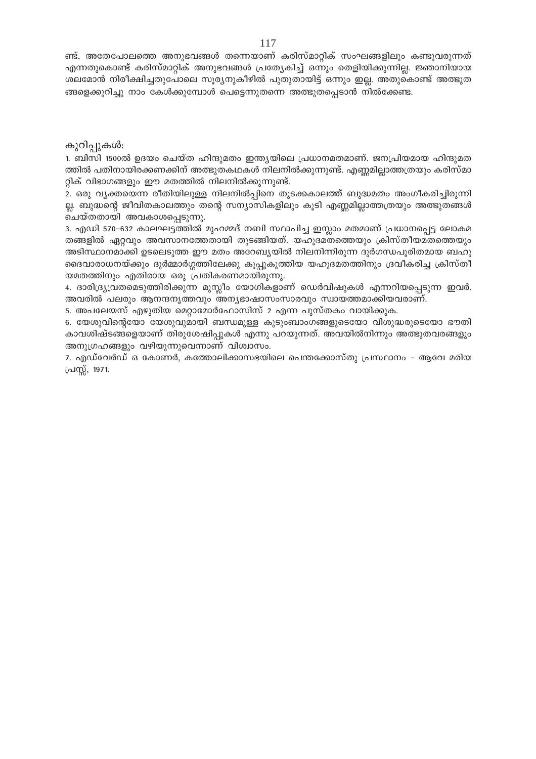ണ്ട്, അതേപോലത്തെ അനുഭവങ്ങൾ തന്നെയാണ് കരിസ്മാറ്റിക് സംഘങ്ങളിലും കണ്ടുവരുന്നത് എന്നതുകൊണ്ട് കരിസ്മാറ്റിക് അനുഭവങ്ങൾ പ്രത്യേകിച്ച് ഒന്നും തെളിയിക്കുന്നില്ല. ജ്ഞാനിയായ ശലമോൻ നിരീക്ഷിച്ചതുപോലെ സൂര്യനുകീഴിൽ പുതുതായിട്ട് ഒന്നും ഇല്ല. അതുകൊണ്ട് അത്ഭുത ങ്ങളെക്കുറിച്ചു നാം കേൾക്കുമ്പോൾ പെട്ടെന്നുതന്നെ അത്ഭുതപ്പെടാൻ നിൽക്കേണ്ട.

## കുറിപ്പുകൾ:

1. ബിസി 1500ൽ ഉദയം ചെയ്ത ഹിന്ദുമതം ഇന്ത്യയിലെ പ്രധാനമതമാണ്. ജനപ്രിയമായ ഹിന്ദുമത ത്തിൽ പതിനായിരക്കണക്കിന് അത്ഭുതകഥകൾ നിലനിൽക്കുന്നുണ്ട്. എണ്ണമില്ലാത്തത്രയും കരിസ്മാ റ്റിക് വിഭാഗങ്ങളും ഈ മതത്തിൽ നിലനിൽക്കുന്നുണ്ട്.

2. ഒരു വ്യക്തയെന്ന രീതിയിലുള്ള നിലനിൽപ്പിനെ തുടക്കകാലത്ത് ബുദ്ധമതം അംഗീകരിച്ചിരുന്നി ല്ല. ബുദ്ധന്റെ ജീവിതകാലത്തും തന്റെ സന്യാസികളിലും കൂടി എണ്ണമില്ലാത്തത്രയും അത്ഭുതങ്ങൾ ചെയ്തതായി അവകാശപ്പെടുന്നു.

3. എഡി 570–632 കാലഘട്ടത്തിൽ മുഹമ്മദ് നബി സ്ഥാപിച്ച ഇസ്ലാം മതമാണ് പ്രധാനപ്പെട്ട ലോകമ തങ്ങളിൽ ഏറ്റവും അവസാനത്തേതായി തുടങ്ങിയത്. യഹൂദമതത്തെയും ക്രിസ്തീയമതത്തെയും അടിസ്ഥാനമാക്കി ഉടലെടുത്ത ഈ മതം അറേബ്യയിൽ നിലനിന്നിരുന്ന ദുർഗന്ധപൂരിതമായ ബഹു ദൈവാരാധനയ്ക്കും ദുർമ്മാർഗ്ഗത്തിലേക്കു കൂപ്പുകുത്തിയ യഹൂദമതത്തിനും ദ്രവീകരിച്ച ക്രിസ്തീ യമതത്തിനും എതിരായ ഒരു പ്രതികരണമായിരുന്നു.

4. ദാരിദ്ര്യവ്രതമെടുത്തിരിക്കുന്ന മുസ്ലീം യോഗികളാണ് ഡെർവിഷുകൾ എന്നറിയപ്പെടുന്ന ഇവർ. അവരിൽ പലരും ആനന്ദനൃത്തവും അന്യഭാഷാസംസാരവും സ്വായത്തമാക്കിയവരാണ്.

5. അപലേയസ് എഴുതിയ മെറ്റാമോർഫോസിസ് 2 എന്ന പുസ്തകം വായിക്കുക.

6. യേശുവിന്റെയോ യേശുവുമായി ബന്ധമുള്ള കുടുംബാംഗങ്ങളുടെയോ വിശുദ്ധരുടെയോ ഭൗതി കാവശിഷ്ടങ്ങളെയാണ് തിരുശേഷിപ്പുകൾ എന്നു പറയുന്നത്. അവയിൽനിന്നും അത്ഭുതവരങ്ങളും അനുഗ്രഹങ്ങളും വഴിയുന്നുവെന്നാണ് വിശ്വാസം.

7. എഡ്വേർഡ് ഒ കോണർ, കത്തോലിക്കാസഭയിലെ പെന്തക്കോസ്തു പ്രസ്ഥാനം – ആവേ മരിയ പ്രസ്സ്, 1971.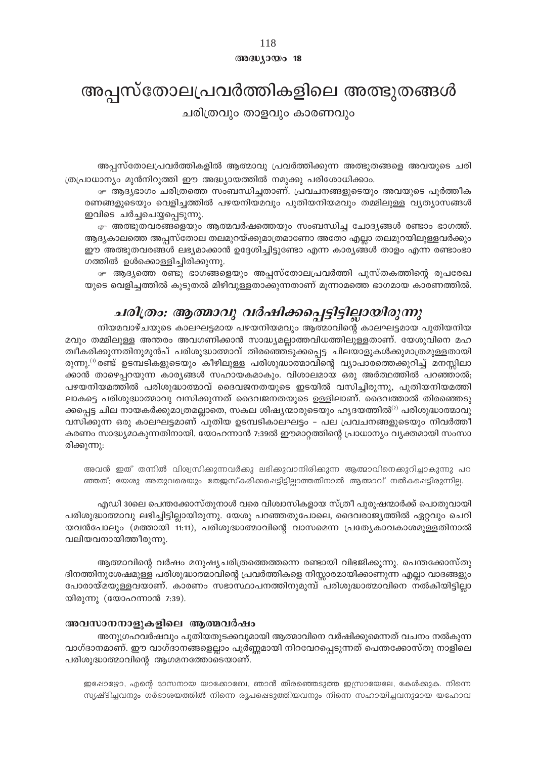## $@0@0J0@018$

## അപ്പസ്തോലപ്രവർത്തികളിലെ അത്ഭുതങ്ങൾ

ചരിത്രവും താളവും കാരണവും

അപ്പസ്തോലപ്രവർത്തികളിൽ ആത്മാവു പ്രവർത്തിക്കുന്ന അത്ഭുതങ്ങളെ അവയുടെ ചരി ത്രപ്രാധാന്യം മുൻനിറുത്തി ഈ അദ്ധ്യായത്തിൽ നമുക്കു പരിശോധിക്കാം.

േ ആദ്യഭാഗം ചരിത്രത്തെ സംബന്ധിച്ചതാണ്. പ്രവചനങ്ങളുടെയും അവയുടെ പൂർത്തീക രണങ്ങളുടെയും വെളിച്ചത്തിൽ പഴയനിയമവും പുതിയനിയമവും തമ്മിലുള്ള വ്യത്യാസങ്ങൾ ഇവിടെ ചർച്ചചെയ്യപ്പെടുന്നു.

േ അത്ഭുതവരങ്ങളെയും ആത്മവർഷത്തെയും സംബന്ധിച്ച ചോദ്യങ്ങൾ രണ്ടാം ഭാഗത്ത്. ആദ്യകാലത്തെ അപ്പസ്തോല തലമുറയ്ക്കുമാത്രമാണോ അതോ എല്ലാ തലമുറയിലുള്ളവർക്കും ഈ അത്ഭുതവരങ്ങൾ ലഭ്യമാക്കാൻ ഉദ്ദേശിച്ചിട്ടുണ്ടോ എന്ന കാര്യങ്ങൾ താളം എന്ന രണ്ടാംഭാ ഗത്തിൽ ഉൾക്കൊള്ളിച്ചിരിക്കുന്നു.

േ ആദ്യത്തെ രണ്ടു ഭാഗങ്ങളെയും അപ്പസ്തോലപ്രവർത്തി പുസ്തകത്തിന്റെ രൂപരേഖ യുടെ വെളിചുത്തിൽ കൂടുതൽ മിഴിവുള്ളതാക്കുന്നതാണ് മുന്നാമത്തെ ഭാഗമായ കാരണത്തിൽ.

## ചരിത്രം: ആത്മാവു വർഷിക്കപ്പെട്ടിട്ടില്ലായിരുന്നു

നിയമവാഴ്ചയുടെ കാലഘട്ടമായ പഴയനിയമവും ആത്മാവിന്റെ കാലഘട്ടമായ പുതിയനിയ മവും തമ്മിലുള്ള അന്തരം അവഗണിക്കാൻ സാദ്ധ്യമല്ലാത്തവിധത്തിലുള്ളതാണ്. യേശുവിനെ മഹ ത്വീകരിക്കുന്നതിനുമുൻപ് പരിശുദ്ധാത്മാവ് തിരഞ്ഞെടുക്കപ്പെട്ട ചിലയാളുകൾക്കുമാത്രമുള്ളതായി രുന്നു.<sup>(1)</sup> രണ്ട് ഉടമ്പടികളുടെയും കീഴിലുള്ള പരിശുദ്ധാത്മാവിന്റെ വ്യാപാരത്തെക്കുറിച്ച് മനസ്സിലാ ക്കാൻ താഴെപ്പറയുന്ന കാര്യങ്ങൾ സഹായകമാകും. വിശാലമായ ഒരു അർത്ഥത്തിൽ പറഞ്ഞാൽ; പഴയനിയമത്തിൽ പരിശുദ്ധാത്മാവ് ദൈവജനതയുടെ ഇടയിൽ വസിച്ചിരുന്നു, പുതിയനിയമത്തി ലാകട്ടെ പരിശുദ്ധാത്മാവു വസിക്കുന്നത് ദൈവജനതയുടെ ഉള്ളിലാണ്. ദൈവത്താൽ തിരഞ്ഞെടു ക്കപ്പെട്ട ചില നായകർക്കുമാത്രമല്ലാതെ, സകല ശിഷ്യന്മാരുടെയും ഹൃദയത്തിൽ<sup>ഗ</sup> പരിശുദ്ധാത്മാവു വസിക്കുന്ന ഒരു കാലഘട്ടമാണ് പുതിയ ഉടമ്പടികാലഘട്ടം – പല പ്രവചനങ്ങളുടെയും നിവർത്തീ കരണം സാദ്ധ്യമാകുന്നതിനായി. യോഹന്നാൻ 7:39ൽ ഈമാറ്റത്തിന്റെ പ്രാധാന്യം വ്യക്തമായി സംസാ രിക്കുന്നു:

അവൻ ഇത് തന്നിൽ വിശ്വസിക്കുന്നവർക്കു ലഭിക്കുവാനിരിക്കുന്ന ആത്മാവിനെക്കുറിച്ചാകുന്നു പറ ഞ്ഞത്; യേശു അതുവരെയും തേജസ്കരിക്കപ്പെട്ടിട്ടില്ലാത്തതിനാൽ ആത്മാവ് നൽകപ്പെട്ടിരുന്നില്ല.

എഡി 30ലെ പെന്തക്കോസ്തുനാൾ വരെ വിശ്വാസികളായ സ്ത്രീ പുരുഷന്മാർക്ക് പൊതുവായി പരിശുദ്ധാത്മാവു ലഭിച്ചിട്ടില്ലായിരുന്നു. യേശു പറഞ്ഞതുപോലെ, ദൈവരാജ്യത്തിൽ ഏറ്റവും ചെറി യവൻപോലും (മത്തായി 11:11), പരിശുദ്ധാത്മാവിന്റെ വാസമെന്ന പ്രത്യേകാവകാശമുള്ളതിനാൽ വലിയവനായിത്തീരുന്നു.

ആത്മാവിന്റെ വർഷം മനുഷ്യചരിത്രത്തെത്തന്നെ രണ്ടായി വിഭജിക്കുന്നു. പെന്തക്കോസ്തു ദിനത്തിനുശേഷമുള്ള പരിശുദ്ധാത്മാവിന്റെ പ്രവർത്തികളെ നിസ്സാരമായിക്കാണുന്ന എല്ലാ വാദങ്ങളും പോരായ്മയുള്ളവയാണ്. കാരണം സഭാസ്ഥാപനത്തിനുമുമ്പ് പരിശുദ്ധാത്മാവിനെ നൽകിയിട്ടില്ലാ യിരുന്നു (യോഹന്നാൻ 7:39).

## അവസാനനാളുകളിലെ ആത്മവർഷം

അനുഗ്രഹവർഷവും പുതിയതുടക്കവുമായി ആത്മാവിനെ വർഷിക്കുമെന്നത് വചനം നൽകുന്ന വാഗ്ദാനമാണ്. ഈ വാഗ്ദാനങ്ങളെല്ലാം പൂർണ്ണമായി നിറവേറപ്പെടുന്നത് പെന്തക്കോസ്തു നാളിലെ പരിശുദ്ധാത്മാവിന്റെ ആഗമനത്തോടെയാണ്.

ഇപ്പോഴ്യോ, എന്റെ ദാസനായ യാക്കോബേ, ഞാൻ തിരഞ്ഞെടുത്ത ഇസ്രായേലേ, കേൾക്കുക. നിന്നെ സൃഷ്ടിച്ചവനും ഗർഭാശയത്തിൽ നിന്നെ രൂപപ്പെടുത്തിയവനും നിന്നെ സഹായിച്ചവനുമായ യഹോവ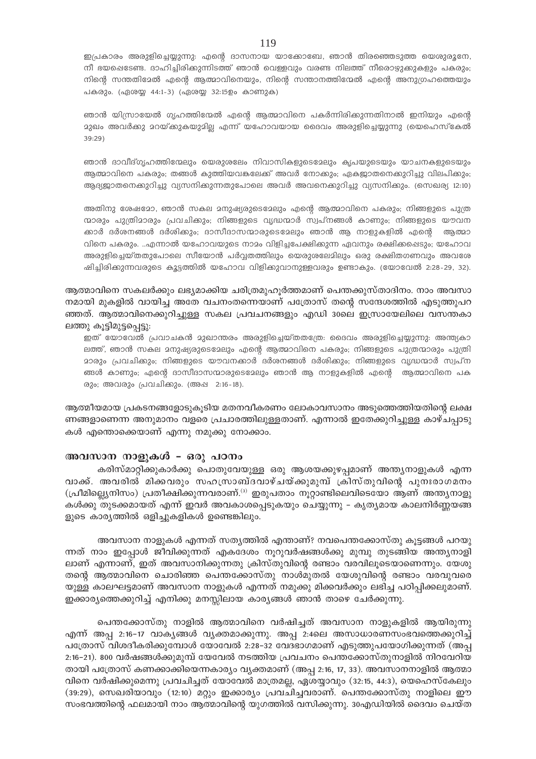ഇപ്രകാരം അരുളിച്ചെയ്യുന്നു: എന്റെ ദാസനായ യാക്കോബേ, ഞാൻ തിരഞ്ഞെടുത്ത യെശുരൂനേ, നീ ഭയപ്പെടേണ്ട. ദാഹിച്ചിരിക്കുന്നിടത്ത് ഞാൻ വെള്ളവും വരണ്ട നിലത്ത് നീരൊഴുക്കുകളും പകരും; നിന്റെ സന്തതിമേൽ എന്റെ ആത്മാവിനെയും, നിന്റെ സന്താനത്തിന്മേൽ എന്റെ അനുഗ്രഹത്തെയും പകരും. (ഏശയ്യ 44:1-3) (ഏശയ്യ 32:15ഉം കാണുക)

ഞാൻ യിസ്രായേൽ ഗൃഹത്തിന്മേൽ എന്റെ ആത്മാവിനെ പകർന്നിരിക്കുന്നതിനാൽ ഇനിയും എന്റെ <u>ാുഖം അവർക്കു മറയ്ക്കുകയുമില്ല എന്ന് യഹോവയായ ദൈവം അരുളിച്ചെയ്യുന്നു (യെഹെസ്കേൽ</u> 39:29)

ഞാൻ ദാവീദ്ഗ്യഹത്തിന്മേലും യെരുശലേം നിവാസികളുടെമേലും കൃപയുടെയും യാചനകളുടെയും ആത്മാവിനെ പകരും; തങ്ങൾ കുത്തിയവകലേക്ക് അവർ നോക്കും; ഏകജാതനെക്കുറിച്ചു വിലപിക്കും; ആദ്യജാതനെക്കുറിച്ചു വ്യസനിക്കുന്നതുപോലെ അവർ അവനെക്കുറിച്ചു വ്യസനിക്കും. (സെഖര്യ 12:10)

അതിനു ശേഷമോ, ഞാൻ സകല മനുഷ്യരുടെമ്പോം എന്റെ ആത്മാവിനെ പകരും; നിങ്ങളുടെ പുത്ര ന്മാരും പുത്രിമാരും പ്രവചിക്കും; നിങ്ങളുടെ വൃദ്ധന്മാർ സ്വപ്നങ്ങൾ കാണും; നിങ്ങളുടെ യൗവന ക്കാർ ദർശനങ്ങൾ ദർശിക്കും; ദാസീദാസന്മാരുടെമേലും ഞാൻ ആ നാളുകളിൽ എന്റെ അത്മാ വിനെ പകരും. ..എന്നാൽ യഹോവയുടെ നാമം വിളിച്ചപേക്ഷിക്കുന്ന ഏവനും രക്ഷിക്കപ്പെടും; യഹോവ അരുളിച്ചെയ്തതുപോലെ സീയോൻ പർവ്വതത്തിലും യെരുശലേമിലും ഒരു രക്ഷിതഗണവും അവശേ ഷിച്ചിരിക്കുന്നവരുടെ കൂട്ടത്തിൽ യഹോവ വിളിക്കുവാനുള്ളവരും ഉണ്ടാകും. (യോവേൽ 2:28-29, 32).

ആത്മാവിനെ സകലർക്കും ലഭ്യമാക്കിയ ചരിത്രമുഹൂർത്തമാണ് പെന്തക്കുസ്താദിനം. നാം അവസാ നമായി മുകളിൽ വായിച്ച അതേ വചനംതന്നെയാണ് പത്രോസ് തന്റെ സന്ദേശത്തിൽ എടുത്തുപറ ഞ്ഞത്. ആത്മാവിനെക്കുറിച്ചുള്ള സകല പ്രവചനങ്ങളും എഡി 30ലെ ഇസ്രായേലിലെ വസന്തകാ ലത്തു കൂട്ടിമുട്ടപ്പെട്ടു:

ഇത് യോവേൽ പ്രവാചകൻ മുഖാന്തരം അരുളിച്ചെയ്തതന്ത്രേ: ദൈവം അരുളിച്ചെയ്യുന്നു: അന്ത്യകാ ലത്ത്, ഞാൻ സകല മനുഷ്യരുടെമേലും എന്റെ ആത്മാവിനെ പകരും; നിങ്ങളുടെ പുത്രന്മാരും പുത്രി <u>ാാരും പ്രവചിക്കും; നിങ്ങളുടെ യൗവനക്കാർ ദർശനങ്ങൾ ദർശിക്കും; നിങ്ങളുടെ വൃദ്ധന്മാർ സ്വപ്ന</u> ങ്ങൾ കാണും; എന്റെ ദാസീദാസന്മാരുടെമ്പേും ഞാൻ ആ നാളുകളിൽ എന്റെ ആത്മാവിനെ പക രും; അവരും പ്രവചിക്കും. (അഷ 2:16-18).

ആത്മീയമായ പ്രകടനങ്ങളോടുകൂടിയ മതനവീകരണം ലോകാവസാനം അടുത്തെത്തിയതിന്റെ ലക്ഷ ണങ്ങളാണെന്ന അനുമാനം വളരെ പ്രചാരത്തിലുള്ളതാണ്. എന്നാൽ ഇതേക്കുറിച്ചുള്ള കാഴ്ചപ്പാടു കൾ എന്തൊക്കെയാണ് എന്നു നമുക്കു നോക്കാം.

#### അവസാന നാളുകൾ - ഒരു പഠനം

കരിസ്മാറ്റിക്കുകാർക്കു പൊതുവേയുള്ള ഒരു ആശയക്കുഴപ്പമാണ് അന്ത്യനാളുകൾ എന്ന വാക്ക്. അവരിൽ മിക്കവരും സഹസ്രാബ്ദവാഴ്ചയ്ക്കുമുമ്പ് ക്രിസ്തുവിന്റെ പുനഃരാഗമനം (പ്രീമില്ല്യെനിസം) പ്രതീക്ഷിക്കുന്നവരാണ്.<sup>(3)</sup> ഇരുപതാം നൂറ്റാണ്ടിലെവിടെയോ ആണ് അന്ത്യനാളു കൾക്കു തുടക്കമായത് എന്ന് ഇവർ അവകാശപ്പെടുകയും ചെയ്യുന്നു – കൃതൃമായ കാലനിർണ്ണയങ്ങ ളുടെ കാര്യത്തിൽ ഒളിച്ചുകളികൾ ഉണ്ടെങ്കിലും.

അവസാന നാളുകൾ എന്നത് സത്യത്തിൽ എന്താണ്? നവപെന്തക്കോസ്തു കുട്ടങ്ങൾ പറയു ന്നത് നാം ഇപ്പോൾ ജീവിക്കുന്നത് എകദേശം നൂറുവർഷങ്ങൾക്കു മുമ്പു തുടങ്ങിയ അന്തൃനാളി ലാണ് എന്നാണ്, ഇത് അവസാനിക്കുന്നതു ക്രിസ്തുവിന്റെ രണ്ടാം വരവിലൂടെയാണെന്നും. യേശു തന്റെ ആത്മാവിനെ ചൊരിഞ്ഞ പെന്തക്കോസ്തു നാൾമുതൽ യേശുവിന്റെ രണ്ടാം വരവുവരെ യുള്ള കാലഘട്ടമാണ് അവസാന നാളുകൾ എന്നത് നമുക്കു മിക്കവർക്കും ലഭിച്ച പഠിപ്പിക്കലുമാണ്. ഇക്കാര്യത്തെക്കുറിച്ച് എനിക്കു മനസ്സിലായ കാര്യങ്ങൾ ഞാൻ താഴെ ചേർക്കുന്നു.

പെന്തക്കോസ്തു നാളിൽ ആത്മാവിനെ വർഷിച്ചത് അവസാന നാളുകളിൽ ആയിരുന്നു എന്ന് അപ്പ 2:16–17 വാകൃങ്ങൾ വൃക്തമാക്കുന്നു. അപ്പ 2:4ലെ അസാധാരണസംഭവത്തെക്കുറിച്ച് പത്രോസ് വിശദീകരിക്കുമ്പോൾ യോവേൽ 2:28–32 വേദഭാഗമാണ് എടുത്തുപയോഗിക്കുന്നത് (അപ്പ 2:16-21). 800 വർഷങ്ങൾക്കുമുമ്പ് യേവേൽ നടത്തിയ പ്രവചനം പെന്തക്കോസ്തുനാളിൽ നിറവേറിയ തായി പത്രോസ് കണക്കാക്കിയെന്നകാര്യം വ്യക്തമാണ് (അപ്പ 2:16, 17, 33). അവസാനനാളിൽ ആത്മാ വിനെ വർഷിക്കുമെന്നു പ്രവചിച്ചത് യോവേൽ മാത്രമല്ല, ഏശയ്യാവും (32:15, 44:3), യെഹെസ്കേലും (39:29), സെഖരിയാവും (12:10) മറ്റും ഇക്കാര്യം പ്രവചിച്ചവരാണ്. പെന്തക്കോസ്തു നാളിലെ ഈ സംഭവത്തിന്റെ ഫലമായി നാം ആത്മാവിന്റെ യുഗത്തിൽ വസിക്കുന്നു. 30എഡിയിൽ ദൈവം ചെയ്ത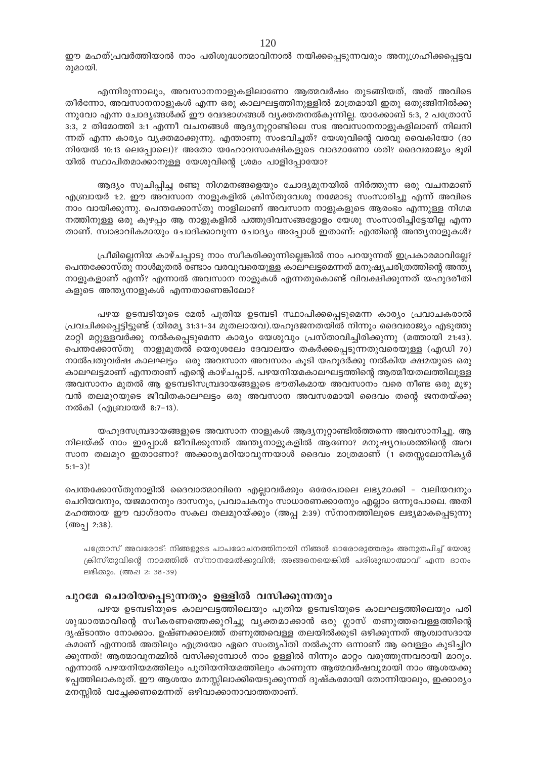ഈ മഹത്പ്രവർത്തിയാൽ നാം പരിശുദ്ധാത്മാവിനാൽ നയിക്കപ്പെടുന്നവരും അനുഗ്രഹിക്കപ്പെട്ടവ രുമായി.

എന്നിരുന്നാലും, അവസാനനാളുകളിലാണോ ആത്മവർഷം തുടങ്ങിയത്, അത് അവിടെ തീർന്നോ, അവസാനനാളുകൾ എന്ന ഒരു കാലഘട്ടത്തിനുള്ളിൽ മാത്രമായി ഇതു ഒതുങ്ങിനിൽക്കു ന്നുവോ എന്ന ചോദ്യങ്ങൾക്ക് ഈ വേദഭാഗങ്ങൾ വ്യക്തതനൽകുന്നില്ല. യാക്കോബ് 5:3, 2 പത്രോസ് 3:3, 2 തിമോത്തി 3:1 എന്നീ വചനങ്ങൾ ആദ്യനൂറ്റാണ്ടിലെ സഭ അവസാനനാളുകളിലാണ് നിലനി ന്നത് എന്ന കാര്യം വ്യക്തമാക്കുന്നു. എന്താണു സംഭവിച്ചത്? യേശുവിന്റെ വരവു വൈകിയോ (ദാ നിയേൽ 10:13 ലെപ്പോലെ)? അതോ യഹോവസാക്ഷികളുടെ വാദമാണോ ശരി? ദൈവരാജ്യം ഭൂമി യിൽ സ്ഥാപിതമാക്കാനുള്ള യേശുവിന്റെ ശ്രമം പാളിപ്പോയോ?

ആദ്യം സൂചിപ്പിച്ച രണ്ടു നിഗമനങ്ങളെയും ചോദ്യമുനയിൽ നിർത്തുന്ന ഒരു വചനമാണ് എബ്രായർ 1:2. ഈ അവസാന നാളുകളിൽ ക്രിസ്തുവേശു നമ്മോടു സംസാരിച്ചു എന്ന് അവിടെ നാം വായിക്കുന്നു. പെന്തക്കോസ്തു നാളിലാണ് അവസാന നാളുകളുടെ ആരംഭം എന്നുള്ള നിഗമ നത്തിനുള്ള ഒരു കുഴപ്പം ആ നാളുകളിൽ പത്തുദിവസങ്ങളോളം യേശു സംസാരിച്ചിട്ടേയില്ല എന്ന താണ്. സ്വാഭാവികമായും ചോദിക്കാവുന്ന ചോദ്യം അപ്പോൾ ഇതാണ്: എന്തിന്റെ അന്ത്യനാളുകൾ?

ഫ്രീമില്ലെനിയ കാഴ്ചപ്പാടു നാം സ്വീകരിക്കുന്നില്ലെങ്കിൽ നാം പറയുന്നത് ഇപ്രകാരമാവില്ലേ? പെന്തക്കോസ്തു നാൾമുതൽ രണ്ടാം വരവുവരെയുള്ള കാലഘട്ടമെന്നത് മനുഷ്യചരിത്രത്തിന്റെ അന്ത്യ നാളുകളാണ് എന്ന്? എന്നാൽ അവസാന നാളുകൾ എന്നതുകൊണ്ട് വിവക്ഷിക്കുന്നത് യഹുദരീതി കളുടെ അന്ത്യനാളുകൾ എന്നതാണെങ്കിലോ?

പഴയ ഉടമ്പടിയുടെ മേൽ പുതിയ ഉടമ്പടി സ്ഥാപിക്കപ്പെടുമെന്ന കാര്യം പ്രവാചകരാൽ പ്രവചിക്കപ്പെട്ടിട്ടുണ്ട് (യിരമ്യ 31:31–34 മുതലായവ).യഹൂദജനതയിൽ നിന്നും ദൈവരാജ്യം എടുത്തു മാറ്റി മറ്റുള്ളവർക്കു നൽകപ്പെടുമെന്ന കാര്യം യേശുവും പ്രസ്താവിച്ചിരിക്കുന്നു (മത്തായി 21:43). പെന്തക്കോസ്തു നാളുമുതൽ യെരുശലേം ദേവാലയം തകർക്കപ്പെടുന്നതുവരെയുള്ള (എഡി 70) നാൽപതുവർഷ കാലഘട്ടം ഒരു അവസാന അവസരം കുടി യഹുദർക്കു നൽകിയ ക്ഷമയുടെ ഒരു കാലഘട്ടമാണ് എന്നതാണ് എന്റെ കാഴ്ചപ്പാട്. പഴയനിയമകാലഘട്ടത്തിന്റെ ആത്മീയതലത്തിലുള്ള അവസാനം മുതൽ ആ ഉടമ്പടിസമ്പ്രദായങ്ങളുടെ ഭൗതികമായ അവസാനം വരെ നീണ്ട ഒരു മുഴു വൻ തലമുറയുടെ ജീവിതകാലഘട്ടം ഒരു അവസാന അവസരമായി ദൈവം തന്റെ ജനതയ്ക്കു നൽകി (എബ്രായർ 8:7-13).

യഹൂദസമ്പ്രദായങ്ങളുടെ അവസാന നാളുകൾ ആദ്യനൂറ്റാണ്ടിൽത്തന്നെ അവസാനിച്ചു. ആ നിലയ്ക്ക് നാം ഇപ്പോൾ ജീവിക്കുന്നത് അന്ത്യനാളുകളിൽ ആണോ? മനുഷ്യവംശത്തിന്റെ അവ സാന തലമുറ ഇതാണോ? അക്കാര്യമറിയാവുന്നയാൾ ദൈവം മാത്രമാണ് (1 തെസ്സലോനിക്യർ  $5:1-3$ )!

പെന്തക്കോസ്തുനാളിൽ ദൈവാത്മാവിനെ എല്ലാവർക്കും ഒരേപോലെ ലഭ്യമാക്കി - വലിയവനും ചെറിയവനും, യജമാനനും ദാസനും, പ്രവാചകനും സാധാരണക്കാരനും എല്ലാം ഒന്നുപോലെ. അതി മഹത്തായ ഈ വാഗ്ദാനം സകല തലമുറയ്ക്കും (അപ്പ 2:39) സ്നാനത്തിലൂടെ ലഭ്യമാകപ്പെടുന്നു (അപ്പ 2:38).

പത്രോസ് അവരോട്: നിങ്ങളുടെ പാപമോചനത്തിനായി നിങ്ങൾ ഓരോരുത്തരും അനുതപിച്ച് യേശു ക്രിസ്തുവിന്റെ നാമത്തിൽ സ്നാനമേൽക്കുവിൻ; അങ്ങനെയെങ്കിൽ പരിശുദ്ധാത്മാവ് എന്ന ദാനം ലഭിക്കും. (അഷ 2: 38-39)

## പുറമേ ചൊരിയപ്പെടുന്നതും ഉള്ളിൽ വസിക്കുന്നതും

പഴയ ഉടമ്പടിയുടെ കാലഘട്ടത്തിലെയും പുതിയ ഉടമ്പടിയുടെ കാലഘട്ടത്തിലെയും പരി ശുദ്ധാത്മാവിന്റെ സ്വീകരണത്തെക്കുറിച്ചു വൃക്തമാക്കാൻ ഒരു ഗ്ലാസ് തണുത്തവെള്ളത്തിന്റെ ദൃഷ്ടാന്തം നോക്കാം. ഉഷ്ണക്കാലത്ത് തണുത്തവെള്ള തലയിൽക്കൂടി ഒഴിക്കുന്നത് ആശ്വാസദായ കമാണ് എന്നാൽ അതിലും എത്രയോ ഏറെ സംതൃപ്തി നൽകുന്ന ഒന്നാണ് ആ വെള്ളം കുടിച്ചിറ ക്കുന്നത്! ആത്മാവുനമ്മിൽ വസിക്കുമ്പോൾ നാം ഉള്ളിൽ നിന്നും മാറ്റം വരുത്തുന്നവരായി മാറും. എന്നാൽ പഴയനിയമത്തിലും പുതിയനിയമത്തിലും കാണുന്ന ആത്മവർഷവുമായി നാം ആശയക്കു ഴപ്പത്തിലാകരുത്. ഈ ആശയം മനസ്സിലാക്കിയെടുക്കുന്നത് ദുഷ്കരമായി തോന്നിയാലും, ഇക്കാര്യം മനസ്സിൽ വച്ചേക്കണമെന്നത് ഒഴിവാക്കാനാവാത്തതാണ്.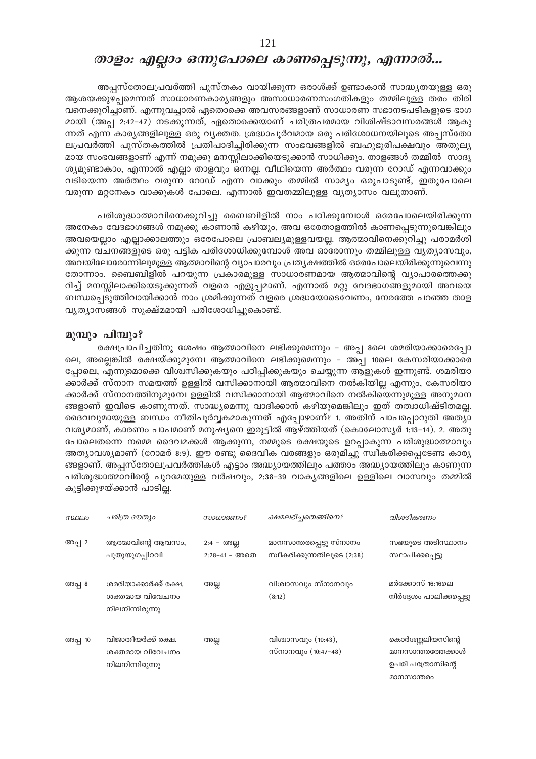## താളം: എല്ലാം ഒന്നുപോലെ കാണപ്പെടുന്നു, എന്നാൽ...

അപ്പസ്തോലപ്രവർത്തി പുസ്തകം വായിക്കുന്ന ഒരാൾക്ക് ഉണ്ടാകാൻ സാദ്ധ്യതയുള്ള ഒരു ആശയക്കുഴപ്പമെന്നത് സാധാരണകാര്യങ്ങളും അസാധാരണസംഗതികളും തമ്മിലുള്ള തരം തിരി വനെക്കുറിച്ചാണ്. എന്നുവച്ചാൽ ഏതൊക്കെ അവസരങ്ങളാണ് സാധാരണ സഭാനടപടികളുടെ ഭാഗ മായി (അപ്പ 2:42-47) നടക്കുന്നത്, ഏതൊക്കെയാണ് ചരിത്രപരമായ വിശിഷ്ടാവസരങ്ങൾ ആകു ന്നത് എന്ന കാര്യങ്ങളിലുള്ള ഒരു വ്യക്തത. ശ്രദ്ധാപൂർവമായ ഒരു പരിശോധനയിലൂടെ അപ്പസ്തോ ലപ്രവർത്തി പുസ്തകത്തിൽ പ്രതിപാദിച്ചിരിക്കുന്ന സംഭവങ്ങളിൽ ബഹുഭൂരിപക്ഷവും അതുല്യ മായ സംഭവങ്ങളാണ് എന്ന് നമുക്കു മനസ്സിലാക്കിയെടുക്കാൻ സാധിക്കും. താളങ്ങൾ തമ്മിൽ സാദൃ ശ്യമുണ്ടാകാം, എന്നാൽ എല്ലാ താളവും ഒന്നല്ല. വീഥിയെന്ന അർത്ഥം വരുന്ന റോഡ് എന്നവാക്കും വടിയെന്ന അർത്ഥം വരുന്ന റോഡ് എന്ന വാക്കും തമ്മിൽ സാമ്യം ഒരുപാടുണ്ട്, ഇതുപോലെ വരുന്ന മറ്റനേകം വാക്കുകൾ പോലെ. എന്നാൽ ഇവതമ്മിലുള്ള വ്യത്യാസം വലുതാണ്.

പരിശുദ്ധാത്മാവിനെക്കുറിച്ചു ബൈബിളിൽ നാം പഠിക്കുമ്പോൾ ഒരേപോലെയിരിക്കുന്ന അനേകം വേദഭാഗങ്ങൾ നമുക്കു കാണാൻ കഴിയും, അവ ഒരേതാളത്തിൽ കാണപ്പെടുന്നുവെങ്കിലും അവയെല്ലാം എല്ലാക്കാലത്തും ഒരേപോലെ പ്രാബല്യമുള്ളവയല്ല. ആത്മാവിനെക്കുറിച്ചു പരാമർശി ക്കുന്ന വചനങ്ങളുടെ ഒരു പട്ടിക പരിശോധിക്കുമ്പോൾ അവ ഓരോന്നും തമ്മിലുള്ള വൃത്യാസവും, അവയിലോരോന്നിലുമുള്ള ആത്മാവിന്റെ വ്യാപാരവും പ്രത്യക്ഷത്തിൽ ഒരേപോലെയിരിക്കുന്നുവെന്നു തോന്നാം. ബൈബിളിൽ പറയുന്ന പ്രകാരമുള്ള സാധാരണമായ ആത്മാവിന്റെ വ്യാപാരത്തെക്കു റിച്ച് മനസ്സിലാക്കിയെടുക്കുന്നത് വളരെ എളുപ്പമാണ്. എന്നാൽ മറ്റു വേദഭാഗങ്ങളുമായി അവയെ ബന്ധപ്പെടുത്തിവായിക്കാൻ നാം ശ്രമിക്കുന്നത് വളരെ ശ്രദ്ധയോടെവേണം, നേരത്തേ പറഞ്ഞ താള വ്യത്യാസങ്ങൾ സൂക്ഷ്മമായി പരിശോധിച്ചുകൊണ്ട്.

### മുമ്പും പിമ്പും?

രക്ഷപ്രാപിച്ചതിനു ശേഷം ആത്മാവിനെ ലഭിക്കുമെന്നും - അപ്പ 8ലെ ശമരിയാക്കാരെപ്പോ ലെ, അല്ലെങ്കിൽ രക്ഷയ്ക്കുമുമ്പേ ആത്മാവിനെ ലഭിക്കുമെന്നും - അപ്പ 10ലെ കേസരിയാക്കാരെ പ്പോലെ, എന്നുമൊക്കെ വിശ്വസിക്കുകയും പഠിപ്പിക്കുകയും ചെയ്യുന്ന ആളുകൾ ഇന്നുണ്ട്. ശമരിയാ ക്കാർക്ക് സ്നാന സമയത്ത് ഉള്ളിൽ വസിക്കാനായി ആത്മാവിനെ നൽകിയില്ല എന്നും, കേസരിയാ ക്കാർക്ക് സ്നാനത്തിനുമുമ്പേ ഉള്ളിൽ വസിക്കാനായി ആത്മാവിനെ നൽകിയെന്നുമുള്ള അനുമാന ങ്ങളാണ് ഇവിടെ കാണുന്നത്. സാദ്ധ്യമെന്നു വാദിക്കാൻ കഴിയുമെങ്കിലും ഇത് തത്വാധിഷ്ടിതമല്ല. ദൈവവുമായുള്ള ബന്ധം നീതിപൂർവ്വകമാകുന്നത് എപ്പോഴാണ്? 1. അതിന് പാപപ്പൊറുതി അത്യാ വശ്യമാണ്, കാരണം പാപമാണ് മനുഷ്യനെ ഇരുട്ടിൽ ആഴ്ത്തിയത് (കൊലോസ്യർ 1:13–14). 2. അതു പോലെതന്നെ നമ്മെ ദൈവമക്കൾ ആക്കുന്ന, നമ്മുടെ രക്ഷയുടെ ഉറപ്പാകുന്ന പരിശുദ്ധാത്മാവും അത്യാവശ്യമാണ് (റോമർ 8:9). ഈ രണ്ടു ദൈവീക വരങ്ങളും ഒരുമിച്ചു സ്വീകരിക്കപ്പെടേണ്ട കാര്യ ങ്ങളാണ്. അപ്പസ്തോലപ്രവർത്തികൾ എട്ടാം അദ്ധ്യായത്തിലും പത്താം അദ്ധ്യായത്തിലും കാണുന്ന പരിശുദ്ധാത്മാവിന്റെ പുറമേയുള്ള വർഷവും, 2:38-39 വാകൃങ്ങളിലെ ഉള്ളിലെ വാസവും തമ്മിൽ കൂട്ടിക്കുഴയ്ക്കാൻ പാടില്ല.

| moelo   | ചരിത്ര ദൗത്യം                                               | സാധാരണം?                        | ക്ഷമലഭിച്ചതെങ്ങിനെ?                                     | വിശദീകരണം                                                                |
|---------|-------------------------------------------------------------|---------------------------------|---------------------------------------------------------|--------------------------------------------------------------------------|
| അപ്പ 2  | ആത്മാവിന്റെ ആവസം,<br>പുതുയുഗപ്പിറവി                         | $2:4 -$ അല്ല<br>$2:28-41 -$ അതെ | മാനസാന്തരപ്പെട്ടു സ്നാനം<br>സ്വീകരിക്കുന്നതിലൂടെ (2:38) | സഭയുടെ അടിസ്ഥാനം<br>സ്ഥാപിക്കപ്പെട്ടു                                    |
| അപ്പ 8  | ശമരിയാക്കാർക്ക് രക്ഷ.<br>ശക്തമായ വിവേചനം<br>നിലനിന്നിരുന്നു | അല്ല                            | വിശ്വാസവും സ്നാനവും<br>(8:12)                           | മർക്കോസ് 16:16ലെ<br>നിർദ്ദേശം പാലിക്കപ്പെട്ടു                            |
| അപ്പ 10 | വിജാതീയർക്ക് രക്ഷ.<br>ശക്തമായ വിവേചനം<br>നിലനിന്നിരുന്നു    | അല്ല                            | വിശ്വാസവും $(10:43)$ ,<br>സ്നാനവും (10:47-48)           | കൊർണ്ണേലിയസിന്റെ<br>മാനസാന്തരത്തേക്കാൾ<br>ഉപരി പത്രോസിന്റെ<br>മാനസാന്തരം |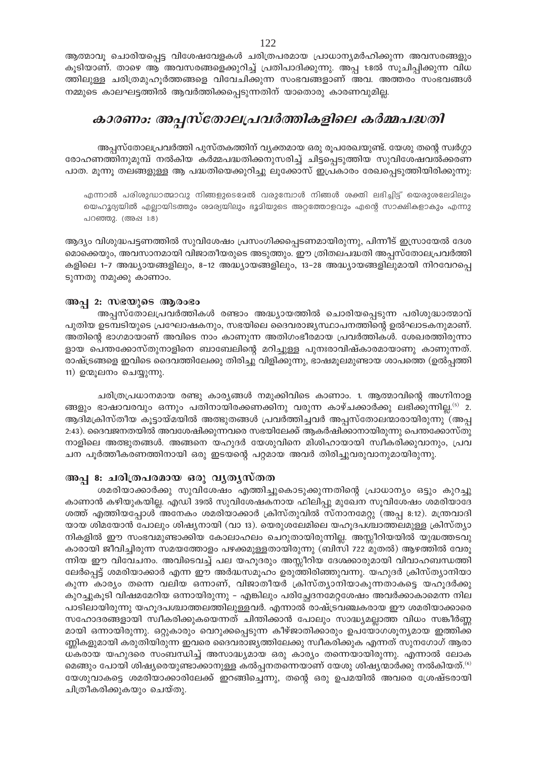ആത്മാവൂ ചൊരിയപ്പെട്ട വിശേഷവേളകൾ ചരിത്രപരമായ പ്രാധാന്യമർഹിക്കുന്ന അവസരങ്ങളും കൂടിയാണ്. താഴെ ആ അവസരങ്ങളെക്കുറിച്ച് പ്രതിപാദിക്കുന്നു. അപ്പ 1:8ൽ സൂചിപ്പിക്കുന്ന വിധ ത്തിലുള്ള ചരിത്രമുഹൂർത്തങ്ങളെ വിവേചിക്കുന്ന സംഭവങ്ങളാണ് അവ. അത്തരം സംഭവങ്ങൾ നമ്മുടെ കാലഘട്ടത്തിൽ ആവർത്തിക്കപ്പെടുന്നതിന് യാതൊരു കാരണവുമില്ല.

## കാരണം: അപ്പസ്തോലപ്രവർത്തികളിലെ കർമ്മപദ്ധതി

അപ്പസ്തോലപ്രവർത്തി പുസ്തകത്തിന് വൃക്തമായ ഒരു രൂപരേഖയുണ്ട്. യേശു തന്റെ സ്വർഗ്ഗാ രോഹണത്തിനുമുമ്പ് നൽകിയ കർമ്മപദ്ധതിക്കനുസരിച്ച് ചിട്ടപ്പെടുത്തിയ സുവിശേഷവൽക്കരണ പാത. മൂന്നൂ തലങ്ങളുള്ള ആ പദ്ധതിയെക്കുറിച്ചു ലൂക്കോസ് ഇപ്രകാരം രേഖപ്പെടുത്തിയിരിക്കുന്നു:

എന്നാൽ പരിശുദ്ധാത്മാവു നിങ്ങളുടെമേൽ വരുമ്പോൾ നിങ്ങൾ ശക്തി ലഭിച്ചിട്ട് യെരുശലേമിലും യെഹുദ്യയിൽ എല്ലായിടത്തും ശമര്യയിലും ഭൂമിയുടെ അറ്റത്തോളവും എന്റെ സാക്ഷികളാകും എന്നു പറഞ്ഞു. (അഷ 1:8)

ആദ്യം വിശുദ്ധപട്ടണത്തിൽ സുവിശേഷം പ്രസംഗിക്കപ്പെടണമായിരുന്നു, പിന്നീട് ഇസ്രായേൽ ദേശ മൊക്കെയും, അവസാനമായി വിജാതീയരുടെ അടുത്തും. ഈ ത്രിതലപദ്ധതി അപ്പസ്തോലപ്രവർത്തി കളിലെ 1–7 അദ്ധ്യായങ്ങളിലും, 8–12 അദ്ധ്യായങ്ങളിലും, 13–28 അദ്ധ്യായങ്ങളിലുമായി നിറവേറപ്പെ ടുന്നതു നമുക്കു കാണാം.

## അപ്പ 2: സഭയുടെ ആരംഭം

അപ്പസ്തോലപ്രവർത്തികൾ രണ്ടാം അദ്ധ്യായത്തിൽ ചൊരിയപ്പെടുന്ന പരിശുദ്ധാത്മാവ് പുതിയ ഉടമ്പടിയുടെ പ്രഘോഷകനും, സഭയിലെ ദൈവരാജ്യസ്ഥാപനത്തിന്റെ ഉൽഘാടകനുമാണ്. അതിന്റെ ഭാഗമായാണ് അവിടെ നാം കാണുന്ന അതിഗംഭീരമായ പ്രവർത്തികൾ. ശേഖരത്തിരുന്നാ ളായ പെന്തക്കോസ്തുനാളിനെ ബാബേലിന്റെ മറിച്ചുള്ള പുനഃരാവിഷ്കാരമായാണു കാണുന്നത്. രാഷ്ട്രങ്ങളെ ഇവിടെ ദൈവത്തിലേക്കു തിരിച്ചു വിളിക്കുന്നു, ഭാഷമൂലമുണ്ടായ ശാപത്തെ (ഉൽപ്പത്തി 11) ഉന്മൂലനം ചെയ്യുന്നു.

ചരിത്രപ്രധാനമായ രണ്ടു കാര്യങ്ങൾ നമുക്കിവിടെ കാണാം. 1. ആത്മാവിന്റെ അഗ്നിനാള ങ്ങളും ഭാഷാവരവും ഒന്നും പതിനായിരക്കണക്കിനു വരുന്ന കാഴ്ചക്കാർക്കു ലഭിക്കുന്നില്ല.<sup>(5)</sup> 2. ആദിമക്രിസ്തീയ കൂട്ടായ്മയിൽ അത്ഭുതങ്ങൾ പ്രവർത്തിച്ചവർ അപ്പസ്തോലന്മാരായിരുന്നു (അപ്പ 2:43). ദൈവജനതയിൽ അവശേഷിക്കുന്നവരെ സഭയിലേക്ക് ആകർഷിക്കാനായിരുന്നു പെന്തക്കോസ്തു നാളിലെ അത്ഭുതങ്ങൾ. അങ്ങനെ യഹുദർ യേശുവിനെ മിശിഹായായി സ്വീകരിക്കുവാനും, പ്രവ ചന പൂർത്തീകരണത്തിനായി ഒരു ഇടയന്റെ പറ്റമായ അവർ തിരിച്ചുവരുവാനുമായിരുന്നു.

## അപ്പ 8: ചരിത്രപരമായ ഒരു വൃതൃസ്തത

ശമരിയാക്കാർക്കു സുവിശേഷം എത്തിച്ചുകൊടുക്കുന്നതിന്റെ പ്രാധാന്യം ഒട്ടും കുറച്ചു കാണാൻ കഴിയുകയില്ല. എഡി 39ൽ സുവിശേഷകനായ ഫിലിപ്പു മുഖേന സൂവിശേഷം ശമരിയാദേ ശത്ത് എത്തിയപ്പോൾ അനേകം ശമരിയാക്കാർ ക്രിസ്തുവിൽ സ്നാനമേറ്റു (അപ്പ 8:12). മന്ത്രവാദി യായ ശിമയോൻ പോലും ശിഷ്യനായി (വാ 13). യെരുശലേമിലെ യഹൂദപശ്ചാത്തലമുള്ള ക്രിസ്ത്യാ നികളിൽ ഈ സംഭവമുണ്ടാക്കിയ കോലാഹലം ചെറുതായിരുന്നില്ല. അസ്സീറിയയിൽ യുദ്ധത്തടവു കാരായി ജീവിച്ചിരുന്ന സമയത്തോളം പഴക്കമുള്ളതായിരുന്നു (ബിസി 722 മുതൽ) ആഴത്തിൽ വേരൂ ന്നിയ ഈ വിവേചനം. അവിടെവച്ച് പല യഹൂദരും അസ്സീറിയ ദേശക്കാരുമായി വിവാഹബന്ധത്തി ലേർപ്പെട്ട് ശമരിയാക്കാർ എന്ന ഈ അർദ്ധസമൂഹം ഉരുത്തിരിഞ്ഞുവന്നു. യഹുദർ ക്രിസ്ത്യാനിയാ കുന്ന കാര്യം തന്നെ വലിയ ഒന്നാണ്, വിജാതീയർ ക്രിസ്ത്യാനിയാകുന്നതാകട്ടെ യഹൂദർക്കു കുറച്ചുകൂടി വിഷമമേറിയ ഒന്നായിരുന്നു – എങ്കിലും പരിച്ഛേദനമേറ്റശേഷം അവർക്കാകാമെന്ന നില പാടിലായിരുന്നു യഹൂദപശ്ചാത്തലത്തിലുള്ളവർ. എന്നാൽ രാഷ്ട്രവഞ്ചകരായ ഈ ശമരിയാക്കാരെ സഹോദരങ്ങളായി സ്വീകരിക്കുകയെന്നത് ചിന്തിക്കാൻ പോലും സാദ്ധ്യമല്ലാത്ത വിധം സങ്കീർണ്ണ മായി ഒന്നായിരുന്നു. ഒറ്റുകാരും വെറുക്കപ്പെടുന്ന കീഴ്ജാതിക്കാരും ഉപയോഗശൂന്യമായ ഇത്തിക്ക ണ്ണികളുമായി കരുതിയിരുന്ന ഇവരെ ദൈവരാജ്യത്തിലേക്കു സ്ഥീകരിക്കുക എന്നത് സുനഗോഗ് ആരാ ധകരായ യഹുദരെ സംബന്ധിച്ച് അസാദ്ധ്യമായ ഒരു കാര്യം തന്നെയായിരുന്നു. എന്നാൽ ലോക മെങ്ങും പോയി ശിഷ്യരെയുണ്ടാക്കാനുള്ള കൽപ്പനതന്നെയാണ് യേശു ശിഷ്യന്മാർക്കു നൽകിയത്. $^{(6)}$ യേശുവാകട്ടെ ശമരിയാക്കാരിലേക്ക് ഇറങ്ങിച്ചെന്നു, തന്റെ ഒരു ഉപമയിൽ അവരെ ശ്രേഷ്ടരായി ചിത്രീകരിക്കുകയും ചെയ്തു.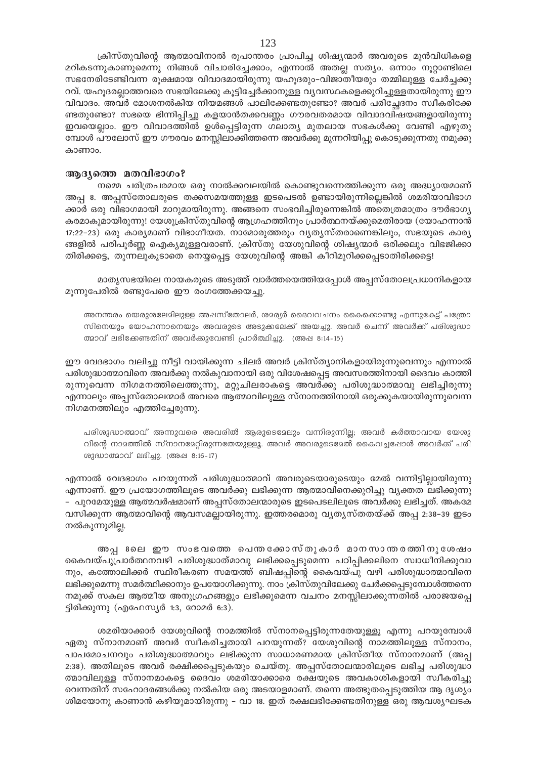ക്രിസ്തുവിന്റെ ആത്മാവിനാൽ രൂപാന്തരം പ്രാപിച്ച ശിഷ്യന്മാർ അവരുടെ മുൻവിധികളെ മറികടന്നുകാണുമെന്നു നിങ്ങൾ വിചാരിച്ചേക്കാം, എന്നാൽ അതല്ല സത്യം. ഒന്നാം നൂറ്റാണ്ടിലെ സഭനേരിടേണ്ടിവന്ന രൂക്ഷമായ വിവാദമായിരുന്നു യഹൂദരും-വിജാതീയരും തമ്മിലുള്ള ചേർച്ചക്കു റവ്. യഹൂദരല്ലാത്തവരെ സഭയിലേക്കു കൂട്ടിച്ചേർക്കാനുള്ള വ്യവസ്ഥകളെക്കുറിച്ചുള്ളതായിരുന്നു ഈ വിവാദം. അവർ മോശനൽകിയ നിയമങ്ങൾ പാലിക്കേണ്ടതുണ്ടോ? അവർ പരിച്ഛേദനം സ്വീകരിക്കേ ണ്ടതുണ്ടോ? സഭയെ ഭിന്നിപ്പിച്ചു കളയാൻതക്കവണ്ണം ഗൗരവതരമായ വിവാദവിഷയങ്ങളായിരുന്നു ഇവയെല്ലാം. ഈ വിവാദത്തിൽ ഉൾപ്പെട്ടിരുന്ന ഗലാത്യ മുതലായ സഭകൾക്കു വേണ്ടി എഴുതു മ്പോൾ പൗലോസ് ഈ ഗൗരവം മനസ്സിലാക്കിത്തന്നെ അവർക്കു മുന്നറിയിപ്പു കൊടുക്കുന്നതു നമുക്കു കാണാം.

#### ആദ്യത്തെ മതവിഭാഗം?

നമ്മെ ചരിത്രപരമായ ഒരു നാൽക്കവലയിൽ കൊണ്ടുവന്നെത്തിക്കുന്ന ഒരു അദ്ധ്യായമാണ് അപ്പ 8. അപ്പസ്തോലരുടെ തക്കസമയത്തുള്ള ഇടപെടൽ ഉണ്ടായിരുന്നില്ലെങ്കിൽ ശമരിയാവിഭാഗ ക്കാർ ഒരു വിഭാഗമായി മാറുമായിരുന്നു. അങ്ങനെ സംഭവിച്ചിരുന്നെങ്കിൽ അതെത്രമാത്രം ദൗർഭാഗ്യ കരമാകുമായിരുന്നു! യേശുക്രിസ്തുവിന്റെ ആഗ്രഹത്തിനും പ്രാർത്ഥനയ്ക്കുമെതിരായ (യോഹന്നാൻ 17:22-23) ഒരു കാര്യമാണ് വിഭാഗീയത. നാമോരുത്തരും വ്യത്യസ്തരാണെങ്കിലും, സഭയുടെ കാര്യ ങ്ങളിൽ പരിപൂർണ്ണ ഐക്യമുള്ളവരാണ്. ക്രിസ്തു യേശുവിന്റെ ശിഷ്യന്മാർ ഒരിക്കലും വിഭജിക്കാ തിരിക്കട്ടെ, തുന്നലുകൂടാതെ നെയ്യപ്പെട്ട യേശുവിന്റെ അങ്കി കീറിമുറിക്കപ്പെടാതിരിക്കട്ടെ!

മാത്യസഭയിലെ നായകരുടെ അടുത്ത് വാർത്തയെത്തിയപ്പോൾ അപ്പസ്തോലപ്രധാനികളായ മൂന്നുപേരിൽ രണ്ടുപേരെ ഈ രംഗത്തേക്കയച്ചു.

അനന്തരം യെരുശലേമിലുള്ള അഷസ്തോലർ, ശമര്യർ ദൈവവചനം കൈക്കൊണ്ടു എന്നുകേട്ട് പത്രോ സിനെയും യോഹന്നാനെയും അവരുടെ അടുക്കലേക്ക് അയച്ചു. അവർ ചെന്ന് അവർക്ക് പരിശുദ്ധാ ത്മാവ് ലഭിക്കേണ്ടതിന് അവർക്കുവേണ്ടി പ്രാർത്ഥിച്ചു. (അഷ 8:14-15)

ഈ വേദഭാഗം വലിച്ചു നീട്ടി വായിക്കുന്ന ചിലർ അവർ ക്രിസ്ത്യാനികളായിരുന്നുവെന്നും എന്നാൽ പരിശുദ്ധാത്മാവിനെ അവർക്കു നൽകുവാനായി ഒരു വിശേഷപ്പെട്ട അവസരത്തിനായി ദൈവം കാത്തി രുന്നുവെന്ന നിഗമനത്തിലെത്തുന്നു, മറ്റുചിലരാകട്ടെ അവർക്കു പരിശുദ്ധാത്മാവു ലഭിച്ചിരുന്നു എന്നാലും അപ്പസ്തോലന്മാർ അവരെ ആത്മാവിലുള്ള സ്നാനത്തിനായി ഒരുക്കുകയായിരുന്നുവെന്ന നിഗമനത്തിലും എത്തിച്ചേരുന്നു.

പരിശുദ്ധാത്മാവ് അന്നുവരെ അവരിൽ ആരുടെമേലും വന്നിരുന്നില്ല; അവർ കർത്താവായ യേശു വിന്റെ നാമത്തിൽ സ്നാനമേറ്റിരുന്നതേയുള്ളൂ. അവർ അവരുടെമേൽ കൈവച്ചപ്പോൾ അവർക്ക് പരി ശുദ്ധാത്മാവ് ലഭിച്ചു. (അഷ 8:16-17)

എന്നാൽ വേദഭാഗം പറയുന്നത് പരിശുദ്ധാത്മാവ് അവരുടെയാരുടെയും മേൽ വന്നിട്ടില്ലായിരുന്നു എന്നാണ്. ഈ പ്രയോഗത്തിലൂടെ അവർക്കു ലഭിക്കുന്ന ആത്മാവിനെക്കുറിച്ചു വ്യക്തത ലഭിക്കുന്നു – പുറമേയുള്ള ആത്മവർഷമാണ് അപ്പസ്തോലന്മാരുടെ ഇടപെടലിലൂടെ അവർക്കു ലഭിച്ചത്. അകമേ വസിക്കുന്ന ആത്മാവിന്റെ ആവസമല്ലായിരുന്നു. ഇത്തരമൊരു വ്യത്യസ്തതയ്ക്ക് അപ്പ 2:38–39 ഇടം നൽകുന്നുമില്ല.

അപ്പ ദലെ ഈ സംഭവത്തെ പെന്തക്കോസ്തുകാർ മാനസാന്തരത്തിനുശേഷം കൈവയ്പുപ്രാർത്ഥനവഴി പരിശുദ്ധാത്മാവു ലഭിക്കപ്പെടുമെന്ന പഠിപ്പിക്കലിനെ സ്വാധീനിക്കുവാ നും, കത്തോലിക്കർ സ്ഥിരീകരണ സമയത്ത് ബിഷപ്പിന്റെ കൈവയ്പു വഴി പരിശുദ്ധാത്മാവിനെ ലഭിക്കുമെന്നു സമർത്ഥിക്കാനും ഉപയോഗിക്കുന്നു. നാം ക്രിസ്തുവിലേക്കു ചേർക്കപ്പെടുമ്പോൾത്തന്നെ നമുക്ക് സകല ആത്മീയ അനുഗ്രഹങ്ങളും ലഭിക്കുമെന്ന വചനം മനസ്സിലാക്കുന്നതിൽ പരാജയപ്പെ ട്ടിരിക്കുന്നു (എഫേസ്യർ 1:3, റോമർ 6:3).

ശമരിയാക്കാർ യേശുവിന്റെ നാമത്തിൽ സ്നാനപ്പെട്ടിരുന്നതേയുള്ളൂ എന്നു പറയുമ്പോൾ ഏതു സ്നാനമാണ് അവർ സ്വീകരിച്ചതായി പറയുന്നത്? യേശുവിന്റെ നാമത്തിലുള്ള സ്നാനം, പാപമോചനവും പരിശുദ്ധാത്മാവും ലഭിക്കുന്ന സാധാരണമായ ക്രിസ്തീയ സ്നാനമാണ് (അപ്പ 2:38). അതിലൂടെ അവർ രക്ഷിക്കപ്പെടുകയും ചെയ്തു. അപ്പസ്തോലന്മാരിലൂടെ ലഭിച്ച പരിശുദ്ധാ ത്മാവിലുള്ള സ്നാനമാകട്ടെ ദൈവം ശമരിയാക്കാരെ രക്ഷയുടെ അവകാശികളായി സ്വീകരിച്ചു വെന്നതിന് സഹോദരങ്ങൾക്കു നൽകിയ ഒരു അടയാളമാണ്. തന്നെ അത്ഭുതപ്പെടുത്തിയ ആ ദൃശ്യം ശിമയോനു കാണാൻ കഴിയുമായിരുന്നു – വാ 18. ഇത് രക്ഷലഭിക്കേണ്ടതിനുള്ള ഒരു ആവശ്യഘടക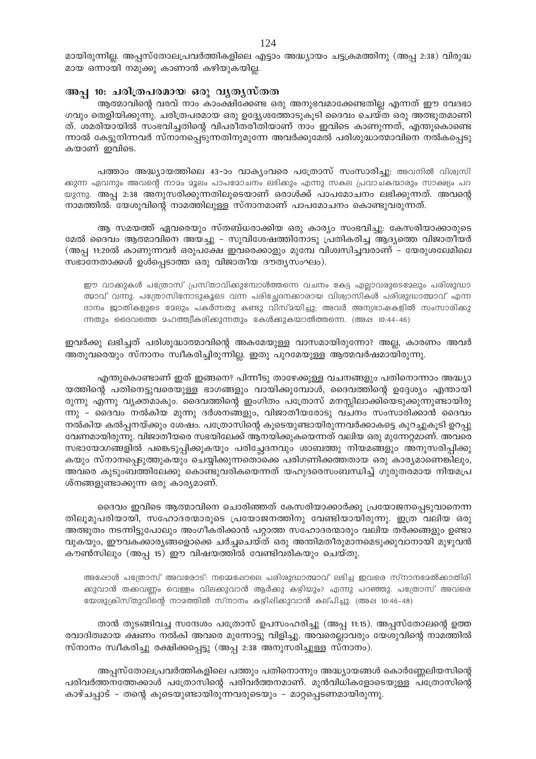മായിരുന്നില്ല. അപ്പസ്തോലപ്രവർത്തികളിലെ എട്ടാം അദ്ധ്യായം ചട്ടക്രമത്തിനു (അപ്പ 2:38) വിരുദ്ധ മായ ഒന്നായി നമുക്കു കാണാൻ കഴിയുകയില്ല.

### അപ്പ 10: ചരിത്രപരമായ ഒരു വൃതൃസ്തത

ആത്മാവിന്റെ വരവ് നാം കാംക്ഷിക്കേണ്ട ഒരു അനുഭവമാക്കേണ്ടതില്ല എന്നത് ഈ വേദഭാ ഗവും തെളിയിക്കുന്നു. ചരിത്രപരമായ ഒരു ഉദ്ദ്യേശത്തോടുകൂടി ദൈവം ചെയ്ത ഒരു അത്ഭുതമാണി ത്. ശമരിയായിൽ സംഭവിച്ചതിന്റെ വിപരീതരീതിയാണ് നാം ഇവിടെ കാണുന്നത്, എന്തുകൊണ്ടെ ന്നാൽ കേട്ടുനിന്നവർ സ്നാനപ്പെടുന്നതിനുമുന്നേ അവർക്കുമേൽ പരിശുദ്ധാത്മാവിനെ നൽകപ്പെടു കയാണ് ഇവിടെ.

പത്താം അദ്ധ്യായത്തിലെ 43-ാം വാക്യംവരെ പത്രോസ് സംസാരിച്ചു: അവനിൽ വിശ്വസി ക്കുന്ന ഏവനും അവന്റെ നാമം മൂലം പാപമോചനം ലഭിക്കും എന്നു സകല പ്രവാചകന്മാരും സാക്ഷ്യം പറ യുന്നു. അപ്പ 2:38 അനുസരിക്കുന്നതിലൂടെയാണ് ഒരാൾക്ക് പാപമോചനം ലഭിക്കുന്നത്. അവന്റെ നാമത്തിൽ: യേശുവിന്റെ നാമത്തിലുള്ള സ്നാനമാണ് പാപമോചനം കൊണ്ടുവരുന്നത്.

ആ സമയത്ത് ഏവരെയും സ്തബ്ധരാക്കിയ ഒരു കാര്യം സംഭവിച്ചു. കേസരിയാക്കാരുടെ മേൽ ദൈവം ആത്മാവിനെ അയച്ചു – സുവിശേഷത്തിനോടു പ്രതികരിച്ച ആദ്യത്തെ വിജാതീയർ (അപ്പ 11:20ൽ കാണുന്നവർ ഒരുപക്ഷേ ഇവരെക്കാളും മുമ്പേ വിശ്വസിച്ചവരാണ് - യേരുശലേമിലെ സഭാനേതാക്കൾ ഉൾപ്പെടാത്ത ഒരു വിജാതീയ ദൗതൃസംഘം).

ഈ വാക്കുകൾ പത്രോസ് പ്രസ്താവിക്കുമ്പോൾത്തന്നെ വചനം കേട്ട എല്ലാവരുടെമേലും പരിശുദ്ധാ ത്മാവ് വന്നു. പത്രോസിനോടുകൂടെ വന്ന പരിച്ഛേദനക്കാരായ വിശ്വാസികൾ പരിശുദ്ധാത്മാവ് എന്ന ദാനം ജാതികളുടെ മേലും പകർന്നതു കണ്ടു വിസ്മയിച്ചു; അവർ അന്യഭാഷകളിൽ സംസാരിക്കു ന്നതും ദൈവത്തെ മഹത്ത്വീകരിക്കുന്നതും കേൾക്കുകയാൽത്തന്നെ. (അഷ 10:44-46)

ഇവർക്കു ലഭിച്ചത് പരിശുദ്ധാത്മാവിന്റെ അകമേയുള്ള വാസമായിരുന്നോ? അല്ല, കാരണം അവർ അതുവരെയും സ്നാനം സ്ഥീകരിച്ചിരുന്നില്ല. ഇതു പുറമേയുള്ള ആത്മവർഷമായിരുന്നു.

എന്തുകൊണ്ടാണ് ഇത് ഇങ്ങനെ? പിന്നീടു താഴേക്കുള്ള വചനങ്ങളും പതിനൊന്നാം അദ്ധ്യാ യത്തിന്റെ പതിനെട്ടുവരെയുള്ള ഭാഗങ്ങളും വായിക്കുമ്പോൾ, ദൈവത്തിന്റെ ഉദ്ദേശ്യം എന്തായി രുന്നു എന്നു വ്യക്തമാകും. ദൈവത്തിന്റെ ഇംഗിതം പത്രോസ് മനസ്സിലാക്കിയെടുക്കുന്നുണ്ടായിരു ന്നു - ദൈവം നൽകിയ മുന്നു ദർശനങ്ങളും, വിജാതീയരോടു വചനം സംസാരിക്കാൻ ദൈവം നൽകിയ കൽപ്പനയ്ക്കും ശേഷം. പത്രോസിന്റെ കൂടെയുണ്ടായിരുന്നവർക്കാകട്ടെ കുറച്ചുകൂടി ഉറപ്പു വേണമായിരുന്നു. വിജാതീയരെ സഭയിലേക്ക് ആനയിക്കുകയെന്നത് വലിയ ഒരു മുന്നേറ്റമാണ്. അവരെ സഭായേഗ്നങ്ങളിൽ പങ്കെടുപ്പിക്കുകയും പരിച്ഛേദനവും ശാബത്തു നിയമങ്ങളും അനുസരിപ്പിക്കു കയും സ്നാനപ്പെടുത്തുകയും ചെയ്യിക്കുന്നതൊക്കെ പരിഗണിക്കത്തതായ ഒരു കാര്യമാണെങ്കിലും, അവരെ കുടുംബത്തിലേക്കു കൊണ്ടുവരികയെന്നത് യഹുദരെസംബന്ധിച്ച് ഗുരുതരമായ നിയമപ്ര ശ്നങ്ങളുണ്ടാക്കുന്ന ഒരു കാര്യമാണ്.

ദൈവം ഇവിടെ ആത്മാവിനെ ചൊരിഞ്ഞത് കേസരിയാക്കാർക്കു പ്രയോജനപ്പെടുവാനെന്ന തിലുമുപരിയായി, സഹോദരന്മാരുടെ പ്രയോജനത്തിനു വേണ്ടിയായിരുന്നു. ഇത്ര വലിയ ഒരു അത്ഭുതം നടന്നിട്ടുപോലും അംഗീകരിക്കാൻ പറ്റാത്ത സഹോദരന്മാരും വലിയ തർക്കങ്ങളും ഉണ്ടാ വുകയും, ഈവകക്കാര്യങ്ങളൊക്കെ ചർച്ചചെയ്ത് ഒരു അന്തിമതീരുമാനമെടുക്കുവാനായി മുഴുവൻ കൗൺസിലും (അപ്പ 15) ഈ വിഷയത്തിൽ വേണ്ടിവരികയും ചെയ്തു.

അഷോൾ പത്രോസ് അവരോട്: നമ്മെപ്പോലെ പരിശുദ്ധാത്മാവ് ലഭിച്ച ഇവരെ സ്നാനമേൽക്കാതിരി ക്കുവാൻ തക്കവണ്ണം വെള്ളം വിലക്കുവാൻ ആർക്കു കഴിയും? എന്നു പറഞ്ഞു. പത്രോസ് അവരെ യേശുക്രിസ്തുവിന്റെ നാമത്തിൽ സ്നാനം കഴിപ്പിക്കുവാൻ കല്പിച്ചു. (അപ്പ 10:46-48)

താൻ തുടങ്ങിവച്ച സന്ദേശം പത്രോസ് ഉപസംഹരിച്ചു (അപ്പ 11:15). അപ്പസ്തോലന്റെ ഉത്ത രവാദിത്വമായ ക്ഷണം നൽകി അവരെ മുന്നോട്ടു വിളിച്ചു. അവരെല്ലാവരും യേശുവിന്റെ നാമത്തിൽ സ്നാനം സ്വീകരിച്ചു രക്ഷിക്കപ്പെട്ടു (അപ്പ 2:38 അനുസരിച്ചുള്ള സ്നാനം).

അപ്പസ്തോലപ്രവർത്തികളിലെ പത്തും പതിനൊന്നും അദ്ധ്യായങ്ങൾ കൊർണ്ണേലിയസിന്റെ പരിവർത്തനത്തേക്കാൾ പത്രോസിന്റെ പരിവർത്തനമാണ്. മുൻവിധികളോടെയുള്ള പത്രോസിന്റെ കാഴ്ചപ്പാട് - തന്റെ കൂടെയുണ്ടായിരുന്നവരുടെയും - മാറ്റപ്പെടണമായിരുന്നു.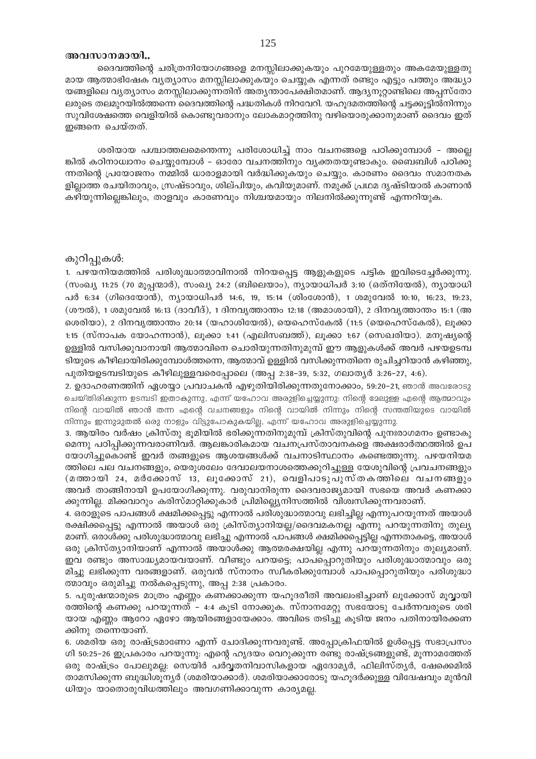#### അവസാനമായി..

ദൈവത്തിന്റെ ചരിത്രനിയോഗങ്ങളെ മനസ്സിലാക്കുകയും പുറമേയുള്ളതും അകമേയുള്ളതു മായ ആത്മാഭിഷേക വ്യത്യാസം മനസ്സിലാക്കുകയും ചെയ്യുക എന്നത് രണ്ടും എട്ടും പത്തും അദ്ധ്യാ യങ്ങളിലെ വ്യത്യാസം മനസ്സിലാക്കുന്നതിന് അത്യന്താപേക്ഷിതമാണ്. ആദ്യനൂറ്റാണ്ടിലെ അപ്പസ്തോ ലരുടെ തലമുറയിൽത്തന്നെ ദൈവത്തിന്റെ പദ്ധതികൾ നിറവേറി. യഹൂദമതത്തിന്റെ ചട്ടക്കൂട്ടിൽനിന്നും സുവിശേഷത്തെ വെളിയിൽ കൊണ്ടുവരാനും ലോകമാറ്റത്തിനു വഴിയൊരുക്കാനുമാണ് ദൈവം ഇത് ഇങ്ങനെ ചെയ്തത്.

ശരിയായ പശ്ചാത്തലമെന്തെന്നു പരിശോധിച്ച് നാം വചനങ്ങളെ പഠിക്കുമ്പോൾ - അല്ലെ ങ്കിൽ കഠിനാധ്വാനം ചെയ്യുമ്പോൾ – ഓരോ വചനത്തിനും വൃക്തതയുണ്ടാകും. ബൈബിൾ പഠിക്കു ന്നതിന്റെ പ്രയോജനം നമ്മിൽ ധാരാളമായി വർദ്ധിക്കുകയും ചെയ്യും. കാരണം ദൈവം സമാനതക ളില്ലാത്ത രചയിതാവും, സ്രഷ്ടാവും, ശില്പിയും, കവിയുമാണ്. നമുക്ക് പ്രഥമ ദൃഷ്ടിയാൽ കാണാൻ കഴിയുന്നില്ലെങ്കിലും, താളവും കാരണവും നിശ്ചയമായും നിലനിൽക്കുന്നുണ്ട് എന്നറിയുക.

### കുറിപ്പുകൾ:

1. പഴയനിയമത്തിൽ പരിശുദ്ധാത്മാവിനാൽ നിറയപ്പെട്ട ആളുകളുടെ പട്ടിക ഇവിടെച്ചേർക്കുന്നു. (സംഖ്യ 11:25 (70 മുപ്പന്മാർ), സംഖ്യ 24:2 (ബിലെയാം), ന്യായാധിപർ 3:10 (ഒത്നിയേൽ), ന്യായാധി പർ 6:34 (ഗിദെയോൻ), ന്യായാധിപർ 14:6, 19, 15:14 (ശിംശോൻ), 1 ശമുവേൽ 10:10, 16:23, 19:23, (ശൗൽ), 1 ശമുവേൽ 16:13 (ദാവീദ്), 1 ദിനവൃത്താന്തം 12:18 (അമാശായി), 2 ദിനവൃത്താന്തം 15:1 (അ ശെരിയാ), 2 ദിനവൃത്താന്തം 20:14 (യഹാശിയേൽ), യെഹെസ്കേൽ (11:5 (യെഹെസ്കേൽ), ലുക്കാ 1:15 (സ്നാപക യോഹന്നാൻ), ലൂക്കാ 1:41 (എലിസബത്ത്), ലൂക്കാ 1:67 (സെഖരിയാ). മനുഷ്യന്റെ ഉള്ളിൽ വസിക്കുവാനായി ആത്മാവിനെ ചൊരിയുന്നതിനുമുമ്പ് ഈ ആളുകൾക്ക് അവർ പഴയഉടമ്പ ടിയുടെ കീഴിലായിരിക്കുമ്പോൾത്തന്നെ, ആത്മാവ് ഉള്ളിൽ വസിക്കുന്നതിനെ രൂചിച്ചറിയാൻ കഴിഞ്ഞു, പുതിയഉടമ്പടിയുടെ കീഴിലുള്ളവരെപ്പോലെ (അപ്പ 2:38-39, 5:32, ഗലാതൃർ 3:26-27, 4:6).

2. ഉദാഹരണത്തിന് ഏശയ്യാ പ്രവാചകൻ എഴുതിയിരിക്കുന്നതുനോക്കാം, 59:20–21, ഞാൻ അവരോടു ചെയ്തിരിക്കുന്ന ഉടമ്പടി ഇതാകുന്നു, എന്ന് യഹോവ അരുളിച്ചെയ്യുന്നു: നിന്റെ ദേലുള്ള എന്റെ ആത്മാവും നിന്റെ വായിൽ ഞാൻ തന്ന എന്റെ വചനങ്ങളും നിന്റെ വായിൽ നിന്നും നിന്റെ സന്തതിയുടെ വായിൽ നിന്നും ഇന്നുമുതൽ ഒരു നാളും വിട്ടുപോകുകയില്ല, എന്ന് യഹോവ അരുളിച്ചെയ്യുന്നു.

3. ആയിരം വർഷം ക്രിസ്തു ഭൂമിയിൽ ഭരിക്കുന്നതിനുമുമ്പ് ക്രിസ്തുവിന്റെ പുനഃരാഗമനം ഉണ്ടാകു മെന്നു പഠിപ്പിക്കുന്നവരാണിവർ. ആലങ്കാരികമായ വചനപ്രസ്താവനകളെ അക്ഷരാർത്ഥത്തിൽ ഉപ യോഗിച്ചുകൊണ്ട് ഇവർ തങ്ങളുടെ ആശയങ്ങൾക്ക് വചനാടിസ്ഥാനം കണ്ടെത്തുന്നു. പഴയനിയമ ത്തിലെ പല വചനങ്ങളും, യെരുശലേം ദേവാലയനാശത്തെക്കുറിച്ചുള്ള യേശുവിന്റെ പ്രവചനങ്ങളും (മത്തായി 24, മർക്കോസ് 13, ലൂക്കോസ് 21), വെളിപാടുപുസ്തകത്തിലെ വചനങ്ങളും അവർ താങ്ങിനായി ഉപയോഗിക്കുന്നു. വരുവാനിരുന്ന ദൈവരാജ്യമായി സഭയെ അവർ കണക്കാ ക്കുന്നില്ല. മിക്കവാറും കരിസ്മാറ്റിക്കുകാർ പ്രിമില്ല്യെനിസത്തിൽ വിശ്വസിക്കുന്നവരാണ്.

4. ഒരാളുടെ പാപങ്ങൾ ക്ഷമിക്കപ്പെട്ടു എന്നാൽ പരിശുദ്ധാത്മാവു ലഭിച്ചില്ല എന്നുപറയുന്നത് അയാൾ രക്ഷിക്കപ്പെട്ടു എന്നാൽ അയാൾ ഒരു ക്രിസ്ത്യാനിയല്ല/ദൈവമകനല്ല എന്നു പറയുന്നതിനു തുല്യ മാണ്. ഒരാൾക്കു പരിശുദ്ധാത്മാവു ലഭിച്ചു എന്നാൽ പാപങ്ങൾ ക്ഷമിക്കപ്പെട്ടില്ല എന്നതാകട്ടെ, അയാൾ ഒരു ക്രിസ്ത്യാനിയാണ് എന്നാൽ അയാൾക്കു ആത്മരക്ഷയില്ല എന്നു പറയുന്നതിനും തുല്യമാണ്. ഇവ രണ്ടും അസാദ്ധ്യമായവയാണ്. വീണ്ടും പറയട്ടെ; പാപപ്പൊറുതിയും പരിശുദ്ധാത്മാവും ഒരു മിച്ചു ലഭിക്കുന്ന വരങ്ങളാണ്. ഒരുവൻ സ്നാനം സ്വീകരിക്കുമ്പോൾ പാപപ്പൊറുതിയും പരിശുദ്ധാ ത്മാവും ഒരുമിച്ചു നൽകപ്പെടുന്നു, അപ്പ 2:38 പ്രകാരം.

5. പുരുഷന്മാരുടെ മാത്രം എണ്ണം കണക്കാക്കുന്ന യഹൂദരീതി അവലംഭിച്ചാണ് ലൂക്കോസ് മൂവ്വായി രത്തിന്റെ കണക്കു പറയുന്നത് - 4:4 കൂടി നോക്കുക. സ്നാനമേറ്റു സഭയോടു ചേർന്നവരുടെ ശരി യായ എണ്ണം ആറോ ഏഴോ ആയിരങ്ങളായേക്കാം. അവിടെ തടിച്ചു കൂടിയ ജനം പതിനായിരക്കണ ക്കിനു തന്നെയാണ്.

6. ശമരിയ ഒരു രാഷ്ട്രമാണോ എന്ന് ചോദിക്കുന്നവരുണ്ട്. അപ്പോക്രിഫയിൽ ഉൾപ്പെട്ട സഭാപ്രസം ഗി 50:25–26 ഇപ്രകാരം പറയുന്നു: എന്റെ ഹൃദയം വെറുക്കുന്ന രണ്ടു രാഷ്ട്രങ്ങളുണ്ട്, മൂന്നാമത്തേത് ഒരു രാഷ്ട്രം പോലുമല്ല: സെയിർ പർവ്വതനിവാസികളായ ഏദോമൃർ, ഫിലിസ്തൃർ, ഷേക്കെമിൽ താമസിക്കുന്ന ബുദ്ധിശുന്യർ (ശമരിയാക്കാർ). ശമരിയാക്കാരോടു യഹുദർക്കുള്ള വിദ്വേഷവും മുൻവി ധിയും യാതൊരുവിധത്തിലും അവഗണിക്കാവുന്ന കാര്യമല്ല.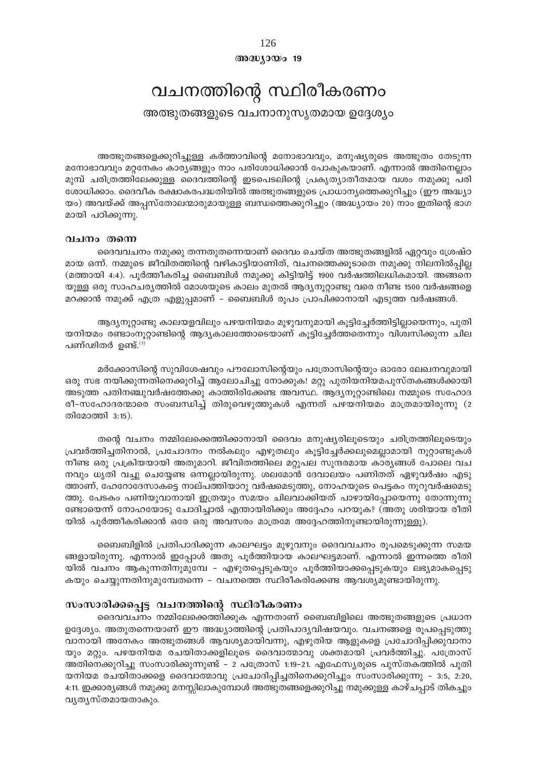126 അദ്ധ്യായം 19

## വചനത്തിന്റെ സ്ഥിരീകരണം

അത്ഭുതങ്ങളുടെ വചനാനുസൃതമായ ഉദ്ദേശ്യം

അത്ഭുതങ്ങളെക്കുറിച്ചുള്ള കർത്താവിന്റെ മനോഭാവവും, മനുഷ്യരുടെ അത്ഭുതം തേടുന്ന മനോഭാവവും മറ്റനേകം കാര്യങ്ങളും നാം പരിശോധിക്കാൻ പോകുകയാണ്. എന്നാൽ അതിനെല്ലാം മുമ്പ് ചരിത്രത്തിലേക്കുള്ള ദൈവത്തിന്റെ ഇടപെടലിന്റെ പ്രകൃത്യാതീതമായ വശം നമുക്കു പരി ശോധിക്കാം. ദൈവീക രക്ഷാകരപദ്ധതിയിൽ അത്ഭുതങ്ങളുടെ പ്രാധാന്യത്തെക്കുറിച്ചും (ഈ അദ്ധ്യാ യം) അവയ്ക്ക് അപ്പസ്തോലന്മാരുമായുള്ള ബന്ധത്തെക്കുറിച്ചും (അദ്ധ്യായം 20) നാം ഇതിന്റെ ഭാഗ മായി പഠിക്കുന്നു.

## വചനം തന്നെ

ദൈവവചനം നമുക്കു തന്നതുതന്നെയാണ് ദൈവം ചെയ്ത അത്ഭുതങ്ങളിൽ ഏറ്റവും ശ്രേഷ്ഠ മായ ഒന്ന്. നമ്മുടെ ജീവിതത്തിന്റെ വഴികാട്ടിയാണിത്, വചനത്തെക്കൂടാതെ നമുക്കു നിലനിൽപ്പില്ല (മത്തായി 4:4). പൂർത്തീകരിച്ച ബൈബിൾ നമുക്കു കിട്ടിയിട്ട് 1900 വർഷത്തിലധികമായി. അങ്ങനെ യുള്ള ഒരു സാഹചര്യത്തിൽ മോശയുടെ കാലം മുതൽ ആദ്യനൂറ്റാണ്ടു വരെ നീണ്ട 1500 വർഷങ്ങളെ മറക്കാൻ നമുക്ക് എത്ര എളുപ്പമാണ് – ബൈബിൾ രൂപം പ്രാപിക്കാനായി എടുത്ത വർഷങ്ങൾ.

ആദ്യനൂറ്റാണ്ടു കാലയളവിലും പഴയനിയമം മുഴുവനുമായി കൂട്ടിച്ചേർത്തിട്ടില്ലായെന്നും, പുതി യനിയമം രണ്ടാംനൂറ്റാണ്ടിന്റെ ആദ്യകാലത്തോടെയാണ് കൂട്ടിച്ചേർത്തതെന്നും വിശ്വസിക്കുന്ന ചില പണ്ഢിതർ ഉണ്ട്. $(1)$ 

മർക്കോസിന്റെ സുവിശേഷവും പൗലോസിന്റെയും പത്രോസിന്റെയും ഓരോ ലേഖനവുമായി ഒരു സഭ നയിക്കുന്നതിനെക്കുറിച്ച് ആലോചിച്ചു നോക്കുക! മറ്റു പുതിയനിയമപുസ്തകങ്ങൾക്കായി അടുത്ത പതിനഞ്ചുവർഷത്തേക്കു കാത്തിരിക്കേണ്ട അവസ്ഥ. ആദ്യനൂറ്റാണ്ടിലെ നമ്മുടെ സഹോദ രീ-സഹോദരന്മാരെ സംബന്ധിച്ച് തിരുവെഴുത്തുകൾ എന്നത് പഴയനിയമം മാത്രമായിരുന്നു (2 തിമോത്തി 3:15).

തന്റെ വചനം നമ്മിലേക്കെത്തിക്കാനായി ദൈവം മനുഷ്യരിലൂടെയും ചരിത്രത്തിലൂടെയും പ്രവർത്തിച്ചതിനാൽ, പ്രചോദനം നൽകലും എഴുതലും കൂട്ടിച്ചേർക്കലുമെല്ലാമായി നൂറ്റാണ്ടുകൾ നീണ്ട ഒരു പ്രക്രിയയായി അതുമാറി. ജീവിതത്തിലെ മറ്റുപല സുന്ദരമായ കാര്യങ്ങൾ പോലെ വച നവും ധൃതി വച്ചു ചെയ്യേണ്ട ഒന്നല്ലായിരുന്നു. ശലമോൻ ദേവാലയം പണിതത് ഏഴുവർഷം എടു ത്താണ്, ഹേറോദേസാകട്ടെ നാല്പത്തിയാറു വർഷമെടുത്തു, നോഹയുടെ പെട്ടകം നൂറുവർഷമെടു ത്തു. പേടകം പണിയുവാനായി ഇത്രയും സമയം ചിലവാക്കിയത് പാഴായിപ്പോയെന്നു തോന്നുന്നു ണ്ടോയെന്ന് നോഹയോടു ചോദിച്ചാൽ എന്തായിരിക്കും അദ്ദേഹം പറയുക? (അതു ശരിയായ രീതി യിൽ പൂർത്തീകരിക്കാൻ ഒരേ ഒരു അവസരം മാത്രമേ അദ്ദേഹത്തിനുണ്ടായിരുന്നുള്ളൂ).

ബൈബിളിൽ പ്രതിപാദിക്കുന്ന കാലഘട്ടം മുഴുവനും ദൈവവചനം രൂപമെടുക്കുന്ന സമയ ങ്ങളായിരുന്നു. എന്നാൽ ഇപ്പോൾ അതു പൂർത്തിയായ കാലഘട്ടമാണ്. എന്നാൽ ഇന്നത്തെ രീതി യിൽ വചനം ആകുന്നതിനുമുമ്പേ - എഴുതപ്പെടുകയും പൂർത്തിയാക്കപ്പെടുകയും ലഭ്യമാകപ്പെടു കയും ചെയ്യുന്നതിനുമുമ്പേതന്നെ – വചനത്തെ സ്ഥിരീകരിക്കേണ്ട ആവശ്യമുണ്ടായിരുന്നു.

## സംസാരിക്കപ്പെട്ട വചനത്തിന്റെ സ്ഥിരീകരണം

ദൈവവചനം നമ്മിലേക്കെത്തിക്കുക എന്നതാണ് ബൈബിളിലെ അത്ഭുതങ്ങളുടെ പ്രധാന ഉദ്ദേശ്യം. അതുതന്നെയാണ് ഈ അദ്ധ്യാത്തിന്റെ പ്രതിപാദ്യവിഷയവും. വചനങ്ങളെ രൂപപ്പെടുത്തു വാനായി അനേകം അത്ഭുതങ്ങൾ ആവശ്യമായിവന്നു, എഴുതിയ ആളുകളെ പ്രചോദിപ്പിക്കുവാനാ യും മറ്റും. പഴയനിയമ രചയിതാക്കളിലൂടെ ദൈവാത്മാവു ശക്തമായി പ്രവർത്തിച്ചു. പത്രോസ് അതിനെക്കുറിച്ചു സംസാരിക്കുന്നുണ്ട് - 2 പത്രോസ് 1:19-21. എഫേസ്യരുടെ പുസ്തകത്തിൽ പുതി യനിയമ രചയിതാക്കളെ ദൈവാത്മാവു പ്രചോദിപ്പിച്ചതിനെക്കുറിച്ചും സംസാരിക്കുന്നു – 3:5, 2:20, 4:11. ഇക്കാര്യങ്ങൾ നമുക്കു മനസ്സിലാകുമ്പോൾ അത്ഭുതങ്ങളെക്കുറിച്ചു നമുക്കുള്ള കാഴ്ചപ്പാട് തികച്ചും വൃതൃസ്തമായതാകും.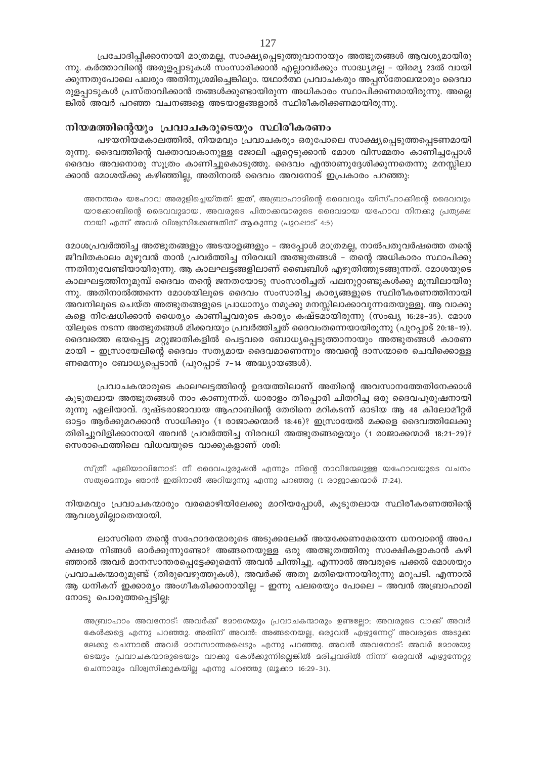പ്രചോദിപ്പിക്കാനായി മാത്രമല്ല, സാക്ഷ്യപ്പെടുത്തുവാനായും അത്ഭുതങ്ങൾ ആവശ്യമായിരു ന്നു. കർത്താവിന്റെ അരുളപ്പാടുകൾ സംസാരിക്കാൻ എല്ലാവർക്കും സാദ്ധ്യമല്ല – യിരമ്യ 23ൽ വായി ക്കുന്നതുപോലെ പലരും അതിനുശ്രമിച്ചെങ്കിലും. യഥാർത്ഥ പ്രവാചകരും അപ്പസ്തോലന്മാരും ദൈവാ രുളപ്പാടുകൾ പ്രസ്താവിക്കാൻ തങ്ങൾക്കുണ്ടായിരുന്ന അധികാരം സ്ഥാപിക്കണമായിരുന്നു. അല്ലെ ങ്കിൽ അവർ പറഞ്ഞ വചനങ്ങളെ അടയാളങ്ങളാൽ സ്ഥിരീകരിക്കണമായിരുന്നു.

### നിയമത്തിന്റെയും പ്രവാചകരുടെയും സ്ഥിരീകരണം

പഴയനിയമകാലത്തിൽ, നിയമവും പ്രവാചകരും ഒരുപോലെ സാക്ഷ്യപ്പെടുത്തപ്പെടണമായി രുന്നു. ദൈവത്തിന്റെ വക്താവാകാനുള്ള ജോലി ഏറ്റെടുക്കാൻ മോശ വിസമ്മതം കാണിച്ചപ്പോൾ ദൈവം അവനൊരു സൂത്രം കാണിച്ചുകൊടുത്തു. ദൈവം എന്താണുദ്ദേശിക്കുന്നതെന്നു മനസ്സിലാ ക്കാൻ മോശയ്ക്കു കഴിഞ്ഞില്ല, അതിനാൽ ദൈവം അവനോട് ഇപ്രകാരം പറഞ്ഞു:

അനന്തരം യഹോവ അരുളിച്ചെയ്തത്: ഇത്, അബ്രാഹാമിന്റെ ദൈവവും യിസ്ഹാക്കിന്റെ ദൈവവും യാക്കോബിന്റെ ദൈവവുമായ, അവരുടെ പിതാക്കന്മാരുടെ ദൈവമായ യഹോവ നിനക്കു പ്രത്യക്ഷ നായി എന്ന് അവർ വിശ്വസിക്കേണ്ടതിന് ആകുന്നു (പുറപ്പാട് 4:5)

മോശപ്രവർത്തിച്ച അത്ഭുതങ്ങളും അടയാളങ്ങളും - അപ്പോൾ മാത്രമല്ല, നാൽപതുവർഷത്തെ തന്റെ ജീവിതകാലം മുഴുവൻ താൻ പ്രവർത്തിച്ച നിരവധി അത്ഭുതങ്ങൾ – തന്റെ അധികാരം സ്ഥാപിക്കു ്നനതിനുവേണ്ടിയായിരുന്നു. ആ കാലഘട്ടങ്ങളിലാണ് ബൈബിൾ എഴുതിത്തുടങ്ങുന്നത്. മോശയുടെ കാലഘട്ടത്തിനുമുമ്പ് ദൈവം തന്റെ ജനതയോടു സംസാരിച്ചത് പലനൂറ്റാണ്ടുകൾക്കു മുമ്പിലായിരു ന്നു. അതിനാൽത്തന്നെ മോശയിലൂടെ ദൈവം സംസാരിച്ച കാര്യങ്ങളുടെ സ്ഥിരീകരണത്തിനായി അവനിലൂടെ ചെയ്ത അത്ഭുതങ്ങളുടെ പ്രാധാന്യം നമുക്കു മനസ്സിലാക്കാവുന്നതേയുള്ളൂ. ആ വാക്കു കളെ നിഷേധിക്കാൻ ധൈര്യം കാണിച്ചവരുടെ കാര്യം കഷ്ടമായിരുന്നു (സംഖ്യ 16:28-35). മോശ യിലൂടെ നടന്ന അത്ഭുതങ്ങൾ മിക്കവയും പ്രവർത്തിച്ചത് ദൈവംതന്നെയായിരുന്നു (പുറപ്പാട് 20:18–19). ദൈവത്തെ ഭയപ്പെട്ട മറ്റുജാതികളിൽ പെട്ടവരെ ബോധ്യപ്പെടുത്താനായും അത്ഭുതങ്ങൾ കാരണ മായി – ഇസ്രായേലിന്റെ ദൈവം സത്യമായ ദൈവമാണെന്നും അവന്റെ ദാസന്മാരെ ചെവിക്കൊള്ള ണമെന്നും ബോധ്യപ്പെടാൻ (പുറപ്പാട് 7-14 അദ്ധ്യായങ്ങൾ).

പ്രവാചകന്മാരുടെ കാലഘട്ടത്തിന്റെ ഉദയത്തിലാണ് അതിന്റെ അവസാനത്തേതിനേക്കാൾ കൂടുതലായ അത്ഭുതങ്ങൾ നാം കാണുന്നത്. ധാരാളം തീപ്പൊരി ചിതറിച്ച ഒരു ദൈവപുരുഷനായി രുന്നു ഏലിയാവ്. ദുഷ്ടരാജാവായ ആഹാബിന്റെ തേരിനെ മറികടന്ന് ഓടിയ ആ 48 കിലോമീറ്റർ ഓട്ടം ആർക്കുമറക്കാൻ സാധിക്കും (1 രാജാക്കന്മാർ 18:46)? ഇസ്രായേൽ മക്കളെ ദൈവത്തിലേക്കു തിരിച്ചുവിളിക്കാനായി അവൻ പ്രവർത്തിച്ച നിരവധി അത്ഭുതങ്ങളെയും (1 രാജാക്കന്മാർ 18:21-29)? സെരാഫെത്തിലെ വിധവയുടെ വാക്കുകളാണ് ശരി:

സ്ത്രീ ഏലിയാവിനോട്: നീ ദൈവപുരുഷൻ എന്നും നിന്റെ നാവിന്മേലുള്ള യഹോവയുടെ വചനം സത്യമെന്നും ഞാൻ ഇതിനാൽ അറിയുന്നു എന്നു പറഞ്ഞു (1 രാജാക്കന്മാർ 17:24).

നിയമവും പ്രവാചകന്മാരും വരമൊഴിയിലേക്കു മാറിയപ്പോൾ, കൂടുതലായ സ്ഥിരീകരണത്തിന്റെ ആവശ്യമില്ലാതെയായി.

ലാസറിനെ തന്റെ സഹോദരന്മാരുടെ അടുക്കലേക്ക് അയക്കേണമേയെന്ന ധനവാന്റെ അപേ ക്ഷയെ നിങ്ങൾ ഓർക്കുന്നുണ്ടോ? അങ്ങനെയുള്ള ഒരു അത്ഭുതത്തിനു സാക്ഷികളാകാൻ കഴി ഞ്ഞാൽ അവർ മാനസാന്തരപ്പെട്ടേക്കുമെന്ന് അവൻ ചിന്തിച്ചു. എന്നാൽ അവരുടെ പക്കൽ മോശയും പ്രവാചകന്മാരുമുണ്ട് (തിരുവെഴുത്തുകൾ), അവർക്ക് അതു മതിയെന്നായിരുന്നു മറുപടി. എന്നാൽ ആ ധനികന് ഇക്കാര്യം അംഗീകരിക്കാനായില്ല – ഇന്നു പലരെയും പോലെ – അവൻ അബ്രാഹാമി നോടു പൊരുത്തപ്പെട്ടില്ല:

അബ്രാഹാം അവനോട്: അവർക്ക് മോരെയും പ്രവാചകന്മാരും ഉണ്ടല്ലോ; അവരുടെ വാക്ക് അവർ കേൾക്കട്ടെ എന്നു പറഞ്ഞു. അതിന് അവൻ: അങ്ങനെയല്ല, ഒരുവൻ എഴുന്നേറ്റ് അവരുടെ അടുക്ക ലേക്കു ചെന്നാൽ അവർ മാനസാന്തരപ്പെടും എന്നു പറഞ്ഞു. അവൻ അവനോട്: അവർ മോശയു ടെയും പ്രവാചകന്മാരുടെയും വാക്കു കേൾക്കുന്നില്ലെങ്കിൽ മരിച്ചവരിൽ നിന്ന് ഒരുവൻ എഴുന്നേറ്റു ചെന്നാലും വിശ്വസിക്കുകയില്ല എന്നു പറഞ്ഞു (ലൂക്കാ 16:29-31).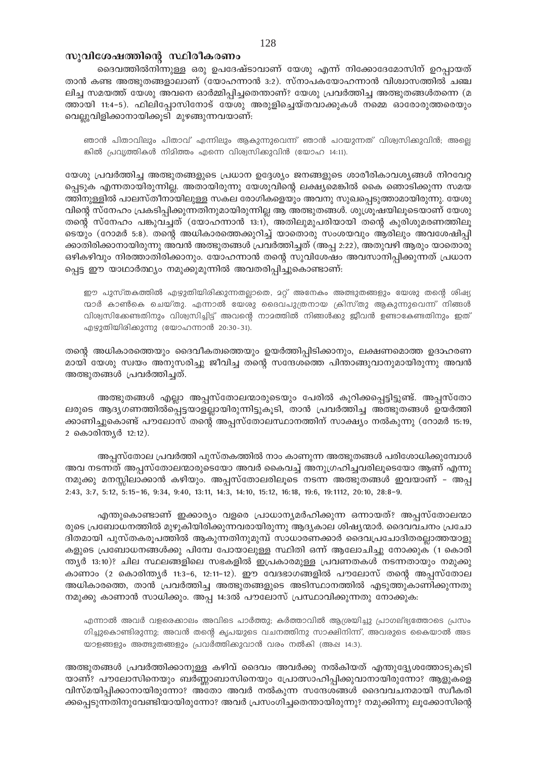## സുവിശേഷത്തിന്റെ സ്ഥിരീകരണം

ദൈവത്തിൽനിന്നുള്ള ഒരു ഉപദേഷ്ടാവാണ് യേശു എന്ന് നിക്കോദേമോസിന് ഉറപ്പായത് താൻ കണ്ട അത്ഭുതങ്ങളാലാണ് (യോഹന്നാൻ 3:2). സ്നാപകയോഹന്നാൻ വിശ്വാസത്തിൽ ചഞ്ച ലിച്ച സമയത്ത് യേശു അവനെ ഓർമ്മിപ്പിച്ചതെന്താണ്? യേശു പ്രവർത്തിച്ച അത്ഭുതങ്ങൾതന്നെ (മ ത്തായി 11:4-5). ഫിലിപ്പോസിനോട് യേശു അരുളിച്ചെയ്തവാക്കുകൾ നമ്മെ ഓരോരുത്തരെയും വെല്ലുവിളിക്കാനായിക്കൂടി മുഴങ്ങുന്നവയാണ്:

ഞാൻ പിതാവിലും പിതാവ് എന്നിലും ആകുന്നുവെന്ന് ഞാൻ പറയുന്നത് വിശ്വസിക്കുവിൻ; അല്ലെ ങ്കിൽ പ്രവൃത്തികൾ നിമിത്തം എന്നെ വിശ്വസിക്കുവിൻ (യോഹ 14:11).

യേശു പ്രവർത്തിച്ച അത്ഭുതങ്ങളുടെ പ്രധാന ഉദ്ദേശ്യം ജനങ്ങളുടെ ശാരീരികാവശ്യങ്ങൾ നിറവേറ്റ പ്പെടുക എന്നതായിരുന്നില്ല. അതായിരുന്നു യേശുവിന്റെ ലക്ഷ്യമെങ്കിൽ കൈ ഞൊടിക്കുന്ന സമയ ത്തിനുള്ളിൽ പാലസ്തീനായിലുള്ള സകല രോഗികളെയും അവനു സുഖപ്പെടുത്താമായിരുന്നു. യേശു വിന്റെ സ്നേഹം പ്രകടിപ്പിക്കുന്നതിനുമായിരുന്നില്ല ആ അത്ഭുതങ്ങൾ. ശുശ്രൂഷയിലൂടെയാണ് യേശു തന്റെ സ്നേഹം പങ്കുവച്ചത് (യോഹന്നാൻ 13:1), അതിലുമുപരിയായി തന്റെ കുരിശുമരണത്തിലൂ ടെയും (റോമർ 5:8). തന്റെ അധികാരത്തെക്കുറിച്ച് യാതൊരു സംശയവും ആരിലും അവശേഷിപ്പി ക്കാതിരിക്കാനായിരുന്നു അവൻ അത്ഭുതങ്ങൾ പ്രവർത്തിച്ചത് (അപ്പ 2:22), അതുവഴി ആരും യാതൊരു ഒഴികഴിവും നിരത്താതിരിക്കാനും. യോഹന്നാൻ തന്റെ സുവിശേഷം അവസാനിപ്പിക്കുന്നത് പ്രധാന പ്പെട്ട ഈ യാഥാർത്ഥ്യം നമുക്കുമുന്നിൽ അവതരിപ്പിച്ചുകൊണ്ടാണ്:

ഈ പുസ്തകത്തിൽ എഴുതിയിരിക്കുന്നതല്ലാതെ, മറ്റ് അനേകം അത്ഭുതങ്ങളും യേശു തന്റെ ശിഷ്യ ന്മാർ കാൺകെ ചെയ്തു. എന്നാൽ യേശു ദൈവപുത്രനായ ക്രിസ്തു ആകുന്നുവെന്ന് നിങ്ങൾ വിശ്വസിക്കേണ്ടതിനും വിശ്വസിച്ചിട്ട് അവന്റെ നാമത്തിൽ നിങ്ങൾക്കു ജീവൻ ഉണ്ടാകേണ്ടതിനും ഇത് എഴുതിയിരിക്കുന്നു (യോഹന്നാൻ 20:30-31).

തന്റെ അധികാരത്തെയും ദൈവീകത്വത്തെയും ഉയർത്തിപ്പിടിക്കാനും, ലക്ഷണമൊത്ത ഉദാഹരണ മായി യേശു സ്വയം അനുസരിച്ചു ജീവിച്ച തന്റെ സന്ദേശത്തെ പിന്താങ്ങുവാനുമായിരുന്നു അവൻ അത്ഭുതങ്ങൾ പ്രവർത്തിച്ചത്.

അത്ഭുതങ്ങൾ എല്ലാ അപ്പസ്തോലന്മാരുടെയും പേരിൽ കുറിക്കപ്പെട്ടിട്ടുണ്ട്. അപ്പസ്തോ ലരുടെ ആദ്യഗണത്തിൽപ്പെട്ടയാളല്ലായിരുന്നിട്ടുകൂടി, താൻ പ്രവർത്തിച്ച അത്ഭുതങ്ങൾ ഉയർത്തി ക്കാണിച്ചുകൊണ്ട് പൗലോസ് തന്റെ അപ്പസ്തോലസ്ഥാനത്തിന് സാക്ഷ്യം നൽകുന്നു (റോമർ 15:19, 2 കൊരിന്ത്യർ 12:12).

അപ്പസ്തോല പ്രവർത്തി പുസ്തകത്തിൽ നാം കാണുന്ന അത്ഭുതങ്ങൾ പരിശോധിക്കുമ്പോൾ അവ നടന്നത് അപ്പസ്തോലന്മാരുടെയോ അവർ കൈവച്ച് അനുഗ്രഹിച്ചവരിലൂടെയോ ആണ് എന്നു നമുക്കു മനസ്സിലാക്കാൻ കഴിയും. അപ്പസ്തോലരിലൂടെ നടന്ന അത്ഭുതങ്ങൾ ഇവയാണ് - അപ്പ 2:43, 3:7, 5:12, 5:15-16, 9:34, 9:40, 13:11, 14:3, 14:10, 15:12, 16:18, 19:6, 19:1112, 20:10, 28:8-9.

എന്തുകൊണ്ടാണ് ഇക്കാര്യം വളരെ പ്രാധാന്യമർഹിക്കുന്ന ഒന്നായത്? അപ്പസ്തോലന്മാ രുടെ പ്രബോധനത്തിൽ മുഴുകിയിരിക്കുന്നവരായിരുന്നു ആദ്യകാല ശിഷ്യന്മാർ. ദൈവവചനം പ്രചോ ദിതമായി പുസ്തകരൂപത്തിൽ ആകുന്നതിനുമുമ്പ് സാധാരണക്കാർ ദൈവപ്രചോദിതരല്ലാത്തയാളു കളുടെ പ്രബോധനങ്ങൾക്കു പിമ്പേ പോയാലുള്ള സ്ഥിതി ഒന്ന് ആലോചിച്ചു നോക്കുക (1 കൊരി ന്ത്യർ 13:10)? ചില സ്ഥലങ്ങളിലെ സഭകളിൽ ഇപ്രകാരമുള്ള പ്രവണതകൾ നടന്നതായും നമുക്കു കാണാം (2 കൊരിന്ത്യർ 11:3–6, 12:11–12). ഈ വേദഭാഗങ്ങളിൽ പൗലോസ് തന്റെ അപ്പസ്തോല അധികാരത്തെ, താൻ പ്രവർത്തിച്ച അത്ഭുതങ്ങളുടെ അടിസ്ഥാനത്തിൽ എടുത്തുകാണിക്കുന്നതു നമുക്കു കാണാൻ സാധിക്കും. അപ്പ 14:3ൽ പൗലോസ് പ്രസ്ഥാവിക്കുന്നതു നോക്കുക:

എന്നാൽ അവർ വളരെക്കാലം അവിടെ പാർത്തു; കർത്താവിൽ ആശ്രയിച്ചു പ്രാഗല്ഭ്യത്തോടെ പ്രസം ഗിച്ചുകൊണ്ടിരുന്നു; അവൻ തന്റെ കൃപയുടെ വചനത്തിനു സാക്ഷിനിന്ന്, അവരുടെ കൈയാൽ അട യാളങ്ങളും അത്ഭുതങ്ങളും പ്രവർത്തിക്കുവാൻ വരം നൽകി (അഷ 14:3).

അത്ഭുതങ്ങൾ പ്രവർത്തിക്കാനുള്ള കഴിവ് ദൈവം അവർക്കു നൽകിയത് എന്തുദ്ദ്യേശത്തോടുകൂടി യാണ്? പൗലോസിനെയും ബർണ്ണാബാസിനെയും പ്രോത്സാഹിപ്പിക്കുവാനായിരുന്നോ? ആളുകളെ വിസ്മയിപ്പിക്കാനായിരുന്നോ? അതോ അവർ നൽകുന്ന സന്ദേശങ്ങൾ ദൈവവചനമായി സ്വീകരി ക്കപ്പെടുന്നതിനുവേണ്ടിയായിരുന്നോ? അവർ പ്രസംഗിച്ചതെന്തായിരുന്നു? നമുക്കിന്നു ലൂക്കോസിന്റെ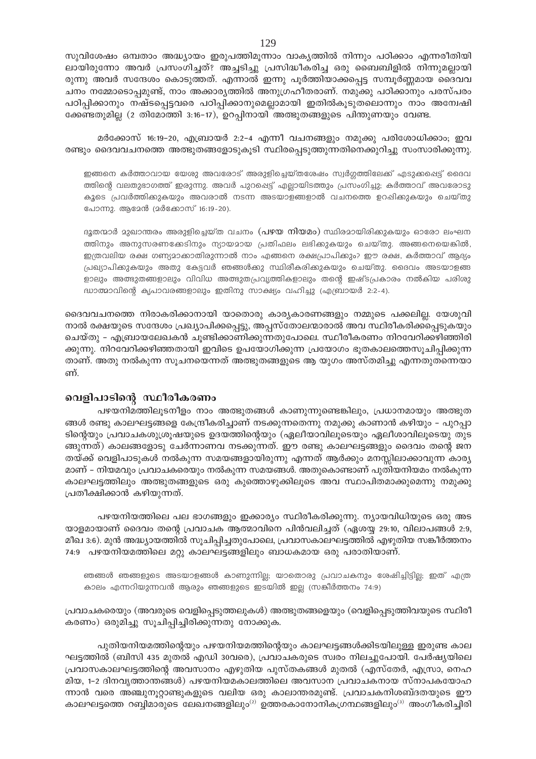സുവിശേഷം ഒമ്പതാം അദ്ധ്യായം ഇരുപത്തിമൂന്നാം വാകൃത്തിൽ നിന്നും പഠിക്കാം എന്നരീതിയി ലായിരുന്നോ അവർ പ്രസംഗിച്ചത്? അച്ചടിച്ചു പ്രസിദ്ധീകരിച്ച ഒരു ബൈബിളിൽ നിന്നുമല്ലായി രുന്നു അവർ സന്ദേശം കൊടുത്തത്. എന്നാൽ ഇന്നു പൂർത്തിയാക്കപ്പെട്ട സമ്പൂർണ്ണമായ ദൈവവ ചനം നമ്മോടൊപ്പമുണ്ട്, നാം അക്കാര്യത്തിൽ അനുഗ്രഹീതരാണ്. നമുക്കു പഠിക്കാനും പരസ്പരം പഠിപ്പിക്കാനും നഷ്ടപ്പെട്ടവരെ പഠിപ്പിക്കാനുമെല്ലാമായി ഇതിൽകൂടുതലൊന്നും നാം അന്വേഷി ക്കേണ്ടതുമില്ല (2 തിമോത്തി 3:16-17), ഉറപ്പിനായി അത്ഭുതങ്ങളുടെ പിന്തുണയും വേണ്ട.

മർക്കോസ് 16:19-20, എബ്രായർ 2:2-4 എന്നീ വചനങ്ങളും നമുക്കു പരിശോധിക്കാം; ഇവ രണ്ടും ദൈവവചനത്തെ അത്ഭുതങ്ങളോടുകൂടി സ്ഥിരപ്പെടുത്തുന്നതിനെക്കുറിച്ചു സംസാരിക്കുന്നു.

ഇങ്ങനെ കർത്താവായ യേശു അവരോട് അരുളിച്ചെയ്തശേഷം സ്വർഗ്ഗത്തിലേക്ക് എടുക്കപ്പെട്ട് ദൈവ ത്തിന്റെ വലതുഭാഗത്ത് ഇരുന്നു. അവർ പുറപ്പെട്ട് എല്ലായിടത്തും പ്രസംഗിച്ചു; കർത്താവ് അവരോടു കുടെ പ്രവർത്തിക്കുകയും അവരാൽ നടന്ന അടയാളങ്ങളാൽ വചനത്തെ ഉറപ്പിക്കുകയും ചെയ്തു പോന്നു. ആമേൻ (മർക്കോസ് 16:19-20).

ദുതന്മാർ മുഖാന്തരം അരുളിച്ചെയ്ത വചനം (**പഴയ നിയമം**) സ്ഥിരമായിരിക്കുകയും ഓരോ ലംഘന ത്തിനും അനുസരണക്കേടിനും ന്യായമായ പ്രതിഫലം ലഭിക്കുകയും ചെയ്തു. അങ്ങനെയെങ്കിൽ, ഇത്രവലിയ രക്ഷ ഗണ്യമാക്കാതിരുന്നാൽ നാം എങ്ങനെ രക്ഷപ്രാപിക്കും? ഈ രക്ഷ, കർത്താവ് ആദ്യം പ്രഖ്യാപിക്കുകയും അതു കേട്ടവർ ഞങ്ങൾക്കു സ്ഥിരീകരിക്കുകയും ചെയ്തു. ദൈവം അടയാളങ്ങ ളാലും അത്ഭുതങ്ങളാലും വിവിധ അത്ഭുതപ്രവൃത്തികളാലും തന്റെ ഇഷ്ടപ്രകാരം നൽകിയ പരിശു ദ്ധാത്മാവിന്റെ കൃപാവരങ്ങളാലും ഇതിനു സാക്ഷ്യം വഹിച്ചു (എബ്രായർ 2:2-4).

ദൈവവചനത്തെ നിരാകരിക്കാനായി യാതൊരു കാര്യകാരണങ്ങളും നമ്മുടെ പക്കലില്ല. യേശുവി നാൽ രക്ഷയുടെ സന്ദേശം പ്രഖ്യാപിക്കപ്പെട്ടു, അപ്പസ്തോലന്മാരാൽ അവ സ്ഥിരീകരിക്കപ്പെടുകയും ചെയ്തു - എബ്രായലേഖകൻ ചൂണ്ടിക്കാണിക്കുന്നതുപോലെ. സ്ഥീരീകരണം നിറവേറിക്കഴിഞ്ഞിരി ക്കുന്നു. നിറവേറിക്കഴിഞ്ഞതായി ഇവിടെ ഉപയോഗിക്കുന്ന പ്രയോഗം ഭൂതകാലത്തെസൂചിപ്പിക്കുന്ന താണ്. അതു നൽകുന്ന സൂചനയെന്നത് അത്ഭുതങ്ങളുടെ ആ യുഗം അസ്തമിച്ചു എന്നതുതന്നെയാ ണ്.

## വെളിപാടിന്റെ സ്ഥീരീകരണം

പഴയനിമത്തിലൂടനീളം നാം അത്ഭുതങ്ങൾ കാണുന്നുണ്ടെങ്കിലും, പ്രധാനമായും അത്ഭുത ങ്ങൾ രണ്ടു കാലഘട്ടങ്ങളെ കേന്ദ്രീകരിച്ചാണ് നടക്കുന്നതെന്നു നമുക്കു കാണാൻ കഴിയും – പുറപ്പാ ടിന്റെയും പ്രവാചകശുശ്രൂഷയുടെ ഉദയത്തിന്റെയും (ഏലീയാവിലൂടെയും ഏലീശാവിലൂടെയു തുട ങ്ങുന്നത്) കാലങ്ങളോടു ചേർന്നാണവ നടക്കുന്നത്. ഈ രണ്ടു കാലഘട്ടങ്ങളും ദൈവം തന്റെ ജന തയ്ക്ക് വെളിപാടുകൾ നൽകുന്ന സമയങ്ങളായിരുന്നു എന്നത് ആർക്കും മനസ്സിലാക്കാവുന്ന കാര്യ മാണ് – നിയമവും പ്രവാചകരെയും നൽകുന്ന സമയങ്ങൾ. അതുകൊണ്ടാണ് പുതിയനിയമം നൽകുന്ന കാലഘട്ടത്തിലും അത്ഭുതങ്ങളുടെ ഒരു കുത്തൊഴുക്കിലൂടെ അവ സ്ഥാപിതമാക്കുമെന്നു നമുക്കു പ്രതീക്ഷിക്കാൻ കഴിയുന്നത്.

പഴയനിയത്തിലെ പല ഭാഗങ്ങളും ഇക്കാര്യം സ്ഥിരീകരിക്കുന്നു. ന്യായവിധിയുടെ ഒരു അട യാളമായാണ് ദൈവം തന്റെ പ്രവാചക ആത്മാവിനെ പിൻവലിച്ചത് (ഏശയ്യ 29:10, വിലാപങ്ങൾ 2:9, മീഖ 3:6). മുൻ അദ്ധ്യായത്തിൽ സൂചിപ്പിച്ചതുപോലെ, പ്രവാസകാലഘട്ടത്തിൽ എഴുതിയ സങ്കീർത്തനം 74:9 പഴയനിയമത്തിലെ മറ്റു കാലഘട്ടങ്ങളിലും ബാധകമായ ഒരു പരാതിയാണ്.

ഞങ്ങൾ ഞങ്ങളുടെ അടയാളങ്ങൾ കാണുന്നില്ല; യാതൊരു പ്രവാചകനും ശേഷിച്ചിട്ടില്ല; ഇത് എത്ര കാലം എന്നറിയുന്നവൻ ആരും ഞങ്ങളുടെ ഇടയിൽ ഇല്ല (സങ്കീർത്തനം 74:9)

പ്രവാചകരെയും (അവരുടെ വെളിപ്പെടുത്തലുകൾ) അത്ഭുതങ്ങളെയും (വെളിപ്പെടുത്തിവയുടെ സ്ഥിരീ കരണം) ഒരുമിച്ചു സൂചിപ്പിച്ചിരിക്കുന്നതു നോക്കുക.

പുതിയനിയമത്തിന്റെയും പഴയനിയമത്തിന്റെയും കാലഘട്ടങ്ങൾക്കിടയിലുള്ള ഇരുണ്ട കാല ഘട്ടത്തിൽ (ബിസി 435 മുതൽ എഡി 30വരെ), പ്രവാചകരുടെ സ്വരം നിലച്ചുപോയി. പേർഷ്യയിലെ പ്രവാസകാലഘട്ടത്തിന്റെ അവസാനം എഴുതിയ പുസ്തകങ്ങൾ മുതൽ (എസ്തേർ, എസ്രാ, നെഹ മിയ, 1-2 ദിനവൃത്താന്തങ്ങൾ) പഴയനിയമകാലത്തിലെ അവസാന പ്രവാചകനായ സ്നാപകയോഹ ന്നാൻ വരെ അഞ്ചുനൂറ്റാണ്ടുകളുടെ വലിയ ഒരു കാലാന്തരമുണ്ട്. പ്രവാചകനിശബ്ദതയുടെ ഈ കാലഘട്ടത്തെ റബ്ബിമാരുടെ ലേഖനങ്ങളിലും $^{(2)}$  ഉത്തരകാനോനികഗ്രന്ഥങ്ങളിലും $^{(3)}$  അംഗീകരിച്ചിരി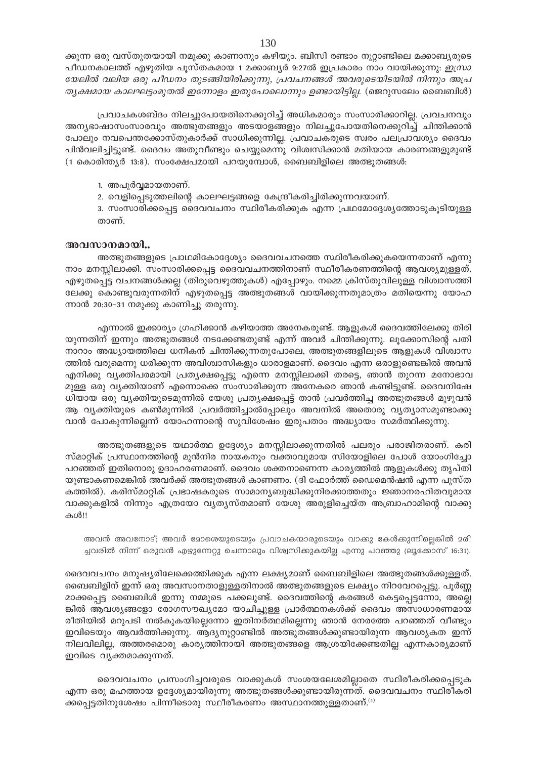ക്കുന്ന ഒരു വസ്തുതയായി നമുക്കു കാണാനും കഴിയും. ബിസി രണ്ടാം നൂറ്റാണ്ടിലെ മക്കാബൃരുടെ പീഡനകാലത്ത് എഴുതിയ പൂസ്തകമായ 1 മക്കാബ്യർ 9:27ൽ ഇപ്രകാരം നാം വായിക്കുന്നു: *ഇസ്രാ* യേലിൽ വലിയ ഒരു പീഡനം തുടങ്ങിയിരിക്കുന്നു, പ്രവചനങ്ങൾ അവരുടെയിടയിൽ നിന്നും അപ്ര തൃക്ഷമായ കാലഘട്ടംമുതൽ ഇന്നോളം ഇതുപോലൊന്നും ഉണ്ടായിട്ടില്ല. (ജെറുസലേം ബൈബിൾ)

പ്രവാചകശബ്ദം നിലച്ചുപോയതിനെക്കുറിച്ച് അധികമാരും സംസാരിക്കാറില്ല. പ്രവചനവും അന്യഭാഷാസംസാരവും അത്ഭുതങ്ങളും അടയാളങ്ങളും നിലച്ചുപോയതിനെക്കുറിച്ച് ചിന്തിക്കാൻ പോലും നവപെന്തക്കോസ്തുകാർക്ക് സാധിക്കുന്നില്ല. പ്രവാചകരുടെ സ്വരം പലപ്രാവശ്യം ദൈവം പിൻവലിച്ചിട്ടുണ്ട്. ദൈവം അതുവീണ്ടും ചെയ്യുമെന്നു വിശ്വസിക്കാൻ മതിയായ കാരണങ്ങളുമുണ്ട് (1 കൊരിന്ത്യർ 13:8). സംക്ഷേപമായി പറയുമ്പോൾ, ബൈബിളിലെ അത്ഭുതങ്ങൾ:

- 1. അപൂർവ്വമായതാണ്.
- 2. വെളിപ്പെടുത്തലിന്റെ കാലഘട്ടങ്ങളെ കേന്ദ്രീകരിച്ചിരിക്കുന്നവയാണ്.

3. സംസാരിക്കപ്പെട്ട ദൈവവചനം സ്ഥിരീകരിക്കുക എന്ന പ്രഥമോദ്ദേശ്യത്തോടുകൂടിയുള്ള താണ്.

## അവസാനമായി..

അത്ഭുതങ്ങളുടെ പ്രാഥമികോദ്ദേശ്യം ദൈവവചനത്തെ സ്ഥിരീകരിക്കുകയെന്നതാണ് എന്നു നാം മനസ്സിലാക്കി. സംസാരിക്കപ്പെട്ട ദൈവവചനത്തിനാണ് സ്ഥീരീകരണത്തിന്റെ ആവശ്യമുള്ളത്, എഴുതപ്പെട്ട വചനങ്ങൾക്കല്ല (തിരുവെഴുത്തുകൾ) എപ്പോഴും. നമ്മെ ക്രിസ്തുവിലുള്ള വിശ്വാസത്തി ലേക്കു കൊണ്ടുവരുന്നതിന് എഴുതപ്പെട്ട അത്ഭുതങ്ങൾ വായിക്കുന്നതുമാത്രം മതിയെന്നു യോഹ ന്നാൻ 20:30–31 നമുക്കു കാണിച്ചു തരുന്നു.

എന്നാൽ ഇക്കാര്യം ഗ്രഹിക്കാൻ കഴിയാത്ത അനേകരുണ്ട്. ആളുകൾ ദൈവത്തിലേക്കു തിരി യുന്നതിന് ഇന്നും അത്ഭുതങ്ങൾ നടക്കേണ്ടതുണ്ട് എന്ന് അവർ ചിന്തിക്കുന്നു. ലൂക്കോസിന്റെ പതി നാറാം അദ്ധ്യായത്തിലെ ധനികൻ ചിന്തിക്കുന്നതുപോലെ, അത്ഭുതങ്ങളിലൂടെ ആളുകൾ വിശ്വാസ ത്തിൽ വരുമെന്നു ധരിക്കുന്ന അവിശ്വാസികളും ധാരാളമാണ്. ദൈവം എന്ന ഒരാളുണ്ടെങ്കിൽ അവൻ എനിക്കു വ്യക്തിപരമായി പ്രത്യക്ഷപ്പെട്ടു എന്നെ മനസ്സിലാക്കി തരട്ടെ, ഞാൻ തുറന്ന മനോഭാവ മുള്ള ഒരു വ്യക്തിയാണ് എന്നൊക്കെ സംസാരിക്കുന്ന അനേകരെ ഞാൻ കണ്ടിട്ടുണ്ട്. ദൈവനിഷേ ധിയായ ഒരു വ്യക്തിയുടെമുന്നിൽ യേശു പ്രത്യക്ഷപ്പെട്ട് താൻ പ്രവർത്തിച്ച അത്ഭുതങ്ങൾ മുഴുവൻ ആ വ്യക്തിയുടെ കൺമുന്നിൽ പ്രവർത്തിച്ചാൽപ്പോലും അവനിൽ അതൊരു വ്യത്യാസമുണ്ടാക്കു വാൻ പോകുന്നില്ലെന്ന് യോഹന്നാന്റെ സുവിശേഷം ഇരുപതാം അദ്ധ്യായം സമർത്ഥിക്കുന്നു.

അത്ഭുതങ്ങളുടെ യഥാർത്ഥ ഉദ്ദേശ്യം മനസ്സിലാക്കുന്നതിൽ പലരും പരാജിതരാണ്. കരി സ്മാറ്റിക് പ്രസ്ഥാനത്തിന്റെ മുൻനിര നായകനും വക്താവുമായ സിയോളിലെ പോൾ യോംഗിച്ചോ പറഞ്ഞത് ഇതിനൊരു ഉദാഹരണമാണ്. ദൈവം ശക്തനാണെന്ന കാര്യത്തിൽ ആളുകൾക്കു തൃപ്തി യുണ്ടാകണമെങ്കിൽ അവർക്ക് അത്ഭുതങ്ങൾ കാണണം. (ദി ഫോർത്ത് ഡൈമെൻഷൻ എന്ന പുസ്ത കത്തിൽ). കരിസ്മാറ്റിക് പ്രഭാഷകരുടെ സാമാന്യബുദ്ധിക്കുനിരക്കാത്തതും ജ്ഞാനരഹിതവുമായ വാക്കുകളിൽ നിന്നും എത്രയോ വ്യത്യസ്തമാണ് യേശു അരുളിച്ചെയ്ത അബ്രാഹാമിന്റെ വാക്കു കൾ!!

അവൻ അവനോട്; അവർ മോരെയുടെയും പ്രവാചകന്മാരുടെയും വാക്കു കേൾക്കുന്നില്ലെങ്കിൽ മരി ച്ചവരിൽ നിന്ന് ഒരുവൻ എഴുന്നേറ്റു ചെന്നാലും വിശ്വസിക്കുകയില്ല എന്നു പറഞ്ഞു (ലൂക്കോസ് 16:31).

ദൈവവചനം മനുഷ്യരിലേക്കെത്തിക്കുക എന്ന ലക്ഷ്യമാണ് ബൈബിളിലെ അത്ഭുതങ്ങൾക്കുള്ളത്. ബൈബിളിന് ഇന്ന് ഒരു അവസാനതാളുള്ളതിനാൽ അത്ഭുതങ്ങളുടെ ലക്ഷ്യം നിറവേറപ്പെട്ടു. പൂർണ്ണ മാക്കപ്പെട്ട ബൈബിൾ ഇന്നു നമ്മുടെ പക്കലുണ്ട്. ദൈവത്തിന്റെ കരങ്ങൾ കെട്ടപ്പെട്ടന്നോ, അല്ലെ ങ്കിൽ ആവശ്യങ്ങളോ രോഗസൗഖ്യമോ യാചിച്ചുള്ള പ്രാർത്ഥനകൾക്ക് ദൈവം അസാധാരണമായ രീതിയിൽ മറുപടി നൽകുകയില്ലെന്നോ ഇതിനർത്ഥമില്ലെന്നു ഞാൻ നേരത്തേ പറഞ്ഞത് വീണ്ടും ഇവിടെയും ആവർത്തിക്കുന്നു. ആദ്യനൂറ്റാണ്ടിൽ അത്ഭുതങ്ങൾക്കുണ്ടായിരുന്ന ആവശ്യകത ഇന്ന് നിലവിലില്ല, അത്തരമൊരു കാര്യത്തിനായി അത്ഭുതങ്ങളെ ആശ്രയിക്കേണ്ടതില്ല എന്നകാര്യമാണ് ഇവിടെ വൃക്തമാക്കുന്നത്.

ദൈവവചനം പ്രസംഗിച്ചവരുടെ വാക്കുകൾ സംശയലേശമില്ലാതെ സ്ഥിരീകരിക്കപ്പെടുക എന്ന ഒരു മഹത്തായ ഉദ്ദേശ്യമായിരുന്നു അത്ഭുതങ്ങൾക്കുണ്ടായിരുന്നത്. ദൈവവചനം സ്ഥിരീകരി ക്കപ്പെട്ടതിനുശേഷം പിന്നീടൊരു സ്ഥീരീകരണം അസ്ഥാനത്തുള്ളതാണ്. $\cdot^{\scriptscriptstyle(4)}$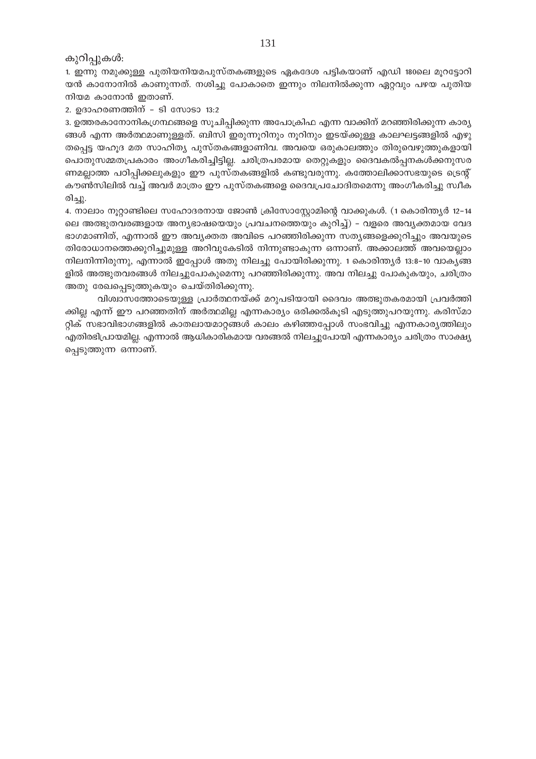കുറിപ്പുകൾ:

1. ഇന്നു നമുക്കുള്ള പുതിയനിയമപുസ്തകങ്ങളുടെ ഏകദേശ പട്ടികയാണ് എഡി 180ലെ മൂറട്ടോറി യൻ കാനോനിൽ കാണുന്നത്. നശിച്ചു പോകാതെ ഇന്നും നിലനിൽക്കുന്ന ഏറ്റവും പഴയ പുതിയ നിയമ കാനോൻ ഇതാണ്.

2. ഉദാഹരണത്തിന് - ടി സോടാ 13:2

3. ഉത്തരകാനോനികഗ്രന്ഥങ്ങളെ സൂചിപ്പിക്കുന്ന അപോക്രിഫ എന്ന വാക്കിന് മറഞ്ഞിരിക്കുന്ന കാര്യ ങ്ങൾ എന്ന അർത്ഥമാണുള്ളത്. ബിസി ഇരുന്നൂറിനും നൂറിനും ഇടയ്ക്കുള്ള കാലഘട്ടങ്ങളിൽ എഴു തപ്പെട്ട യഹൂദ മത സാഹിത്യ പുസ്തകങ്ങളാണിവ. അവയെ ഒരുകാലത്തും തിരുവെഴുത്തുകളായി പൊതുസമ്മതപ്രകാരം അംഗീകരിച്ചിട്ടില്ല. ചരിത്രപരമായ തെറ്റുകളും ദൈവകൽപ്പനകൾക്കനുസര ണമല്ലാത്ത പഠിപ്പിക്കലുകളും ഈ പുസ്തകങ്ങളിൽ കണ്ടുവരുന്നു. കത്തോലിക്കാസഭയുടെ ട്രെന്റ് കൗൺസിലിൽ വച്ച് അവർ മാത്രം ഈ പുസ്തകങ്ങളെ ദൈവപ്രചോദിതമെന്നു അംഗീകരിച്ചു സ്വീക രിച്ചു.

4. നാലാം നൂറ്റാണ്ടിലെ സഹോദരനായ ജോൺ ക്രിസോസ്റ്റോമിന്റെ വാക്കുകൾ. (1 കൊരിന്ത്യർ 12–14 ലെ അത്ഭുതവരങ്ങളായ അന്യഭാഷയെയും പ്രവചനത്തെയും കുറിച്ച്) - വളരെ അവ്യക്തമായ വേദ ഭാഗമാണിത്, എന്നാൽ ഈ അവൃക്തത അവിടെ പറഞ്ഞിരിക്കുന്ന സത്യങ്ങളെക്കുറിച്ചും അവയുടെ തിരോധാനത്തെക്കുറിച്ചുമുള്ള അറിവുകേടിൽ നിന്നുണ്ടാകുന്ന ഒന്നാണ്. അക്കാലത്ത് അവയെല്ലാം നിലനിന്നിരുന്നു, എന്നാൽ ഇപ്പോൾ അതു നിലച്ചു പോയിരിക്കുന്നു. 1 കൊരിന്ത്യർ 13:8–10 വാകൃങ്ങ ളിൽ അത്ഭുതവരങ്ങൾ നിലച്ചുപോകുമെന്നു പറഞ്ഞിരിക്കുന്നു. അവ നിലച്ചു പോകുകയും, ചരിത്രം അതു രേഖപ്പെടുത്തുകയും ചെയ്തിരിക്കുന്നു.

വിശ്വാസത്തോടെയുള്ള പ്രാർത്ഥനയ്ക്ക് മറുപടിയായി ദൈവം അത്ഭുതകരമായി പ്രവർത്തി ക്കില്ല എന്ന് ഈ പറഞ്ഞതിന് അർത്ഥമില്ല എന്നകാര്യം ഒരിക്കൽകൂടി എടുത്തുപറയുന്നു. കരിസ്മാ റ്റിക് സഭാവിഭാഗങ്ങളിൽ കാതലായമാറ്റങ്ങൾ കാലം കഴിഞ്ഞപ്പോൾ സംഭവിച്ചു എന്നകാര്യത്തിലും എതിരഭിപ്രായമില്ല. എന്നാൽ ആധികാരികമായ വരങ്ങൽ നിലച്ചുപോയി എന്നകാര്യം ചരിത്രം സാക്ഷ്യ പ്പെടുത്തുന്ന ഒന്നാണ്.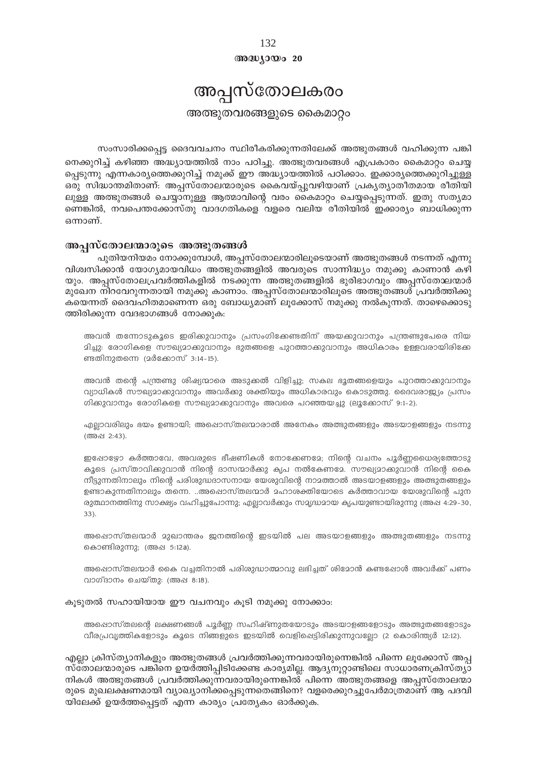$@0@0J0@020$ 

# അപ്പസ്തോലകരം

അത്ഭുതവരങ്ങളുടെ കൈമാറ്റം

സംസാരിക്കപ്പെട്ട ദൈവവചനം സ്ഥിരീകരിക്കുന്നതിലേക്ക് അത്ഭുതങ്ങൾ വഹിക്കുന്ന പങ്കി

നെക്കുറിച്ച് കഴിഞ്ഞ അദ്ധ്യായത്തിൽ നാം പഠിച്ചു. അത്ഭുതവരങ്ങൾ എപ്രകാരം കൈമാറ്റം ചെയ്യ പ്പെടുന്നു എന്നകാര്യത്തെക്കുറിച്ച് നമുക്ക് ഈ അദ്ധ്യായത്തിൽ പഠിക്കാം. ഇക്കാര്യത്തെക്കുറിച്ചുള്ള ഒരു സിദ്ധാന്തമിതാണ്: അപ്പസ്തോലന്മാരുടെ കൈവയ്പ്പുവഴിയാണ് പ്രകൃത്യാതീതമായ രീതിയി ലുള്ള അത്ഭുതങ്ങൾ ചെയ്യാനുള്ള ആത്മാവിന്റെ വരം കൈമാറ്റം ചെയ്യപ്പെടുന്നത്. ഇതു സത്യമാ ണെങ്കിൽ, നവപെന്തക്കോസ്തു വാദഗതികളെ വളരെ വലിയ രീതിയിൽ ഇക്കാര്യം ബാധിക്കുന്ന ഒന്നാണ്.

### അപ്പസ്തോലന്മാരുടെ അത്ഭുതങ്ങൾ

പുതിയനിയമം നോക്കുമ്പോൾ, അപ്പസ്തോലന്മാരിലൂടെയാണ് അത്ഭുതങ്ങൾ നടന്നത് എന്നു വിശ്വസിക്കാൻ യോഗ്യമായവിധം അത്ഭുതങ്ങളിൽ അവരുടെ സാന്നിദ്ധ്യം നമുക്കു കാണാൻ കഴി യും. അപ്പസ്തോലപ്രവർത്തികളിൽ നടക്കുന്ന അത്ഭുതങ്ങളിൽ ഭുരിഭാഗവും അപ്പസ്തോലന്മാർ മുഖേന നിറവേറുന്നതായി നമുക്കു കാണാം. അപ്പസ്തോലന്മാരിലൂടെ അത്ഭുതങ്ങൾ പ്രവർത്തിക്കു കയെന്നത് ദൈവഹിതമാണെന്ന ഒരു ബോധ്യമാണ് ലൂക്കോസ് നമുക്കു നൽകുന്നത്. താഴെക്കൊടു ത്തിരിക്കുന്ന വേദഭാഗങ്ങൾ നോക്കുക:

അവൻ തന്നോടുകൂടെ ഇരിക്കുവാനും പ്രസംഗിക്കേണ്ടതിന് അയക്കുവാനും പന്ത്രണ്ടുപേരെ നിയ മിച്ചു: രോഗികളെ സൗഖ്യമാക്കുവാനും ഭുതങ്ങളെ പുറത്താക്കുവാനും അധികാരം ഉള്ളവരായിരിക്കേ ണ്ടതിനുതന്നെ (മർക്കോസ് 3:14-15).

അവൻ തന്റെ പന്ത്രണ്ടു ശിഷ്യന്മാരെ അടുക്കൽ വിളിച്ചു; സകല ഭൂതങ്ങളെയും പുറത്താക്കുവാനും വ്യാധികൾ സൗഖ്യമാക്കുവാനും അവർക്കു ശക്തിയും അധികാരവും കൊടുത്തു. ദൈവരാജ്യം പ്രസം ഗിക്കുവാനും രോഗികളെ സൗഖ്യമാക്കുവാനും അവരെ പറഞ്ഞയച്ചു (ലൂക്കോസ് 9:1-2).

എല്ലാവരിലും ഭയം ഉണ്ടായി; അഷൊസ്തലന്മാരാൽ അനേകം അത്ഭുതങ്ങളും അടയാളങ്ങളും നടന്നു (അപ്പ 2:43).

ഇപ്പോഴ്യോ കർത്താവേ, അവരുടെ ഭീഷണികൾ നോക്കേണമേ; നിന്റെ വചനം പൂർണ്ണധൈര്യത്തോടു കൂടെ പ്രസ്താവിക്കുവാൻ നിന്റെ ദാസന്മാർക്കു കൃപ നൽകേണമേ. സൗഖ്യമാക്കുവാൻ നിന്റെ കൈ നീട്ടുന്നതിനാലും നിന്റെ പരിശുദ്ധദാസനായ യേശുവിന്റെ നാമത്താൽ അടയാളങ്ങളും അത്ഭുതങ്ങളും ഉണ്ടാകുന്നതിനാലും തന്നെ. ..അഷൊസ്തലന്മാർ മഹാശക്തിയോടെ കർത്താവായ യേശുവിന്റെ പുന രുത്ഥാനത്തിനു സാക്ഷ്യം വഹിച്ചുപോന്നു; എല്ലാവർക്കും സമൃദ്ധമായ കൃപയുണ്ടായിരുന്നു (അഷ 4:29-30,  $33$ ).

അഷൊസ്തലന്മാർ മുഖാന്തരം ജനത്തിന്റെ ഇടയിൽ പല അടയാളങ്ങളും അത്ഭുതങ്ങളും നടന്നു കൊണ്ടിരുന്നു; (അഷ 5:12a).

അപ്പൊസ്തലന്മാർ കൈ വച്ചതിനാൽ പരിശുദ്ധാത്മാവു ലഭിച്ചത് ശിമോൻ കണ്ടപ്പോൾ അവർക്ക് പണം വാഗ്ദാനം ചെയ്തു: (അഷ 8:18).

#### കൂടുതൽ സഹായിയായ ഈ വചനവും കൂടി നമുക്കു നോക്കാം:

അഷൊസ്തലന്റെ ലക്ഷണങ്ങൾ പൂർണ്ണ സഹിഷ്ണുതയോടും അടയാളങ്ങളോടും അത്ഭുതങ്ങളോടും വീരപ്രവൃത്തികളോടും കൂടെ നിങ്ങളുടെ ഇടയിൽ വെളിപ്പെട്ടിരിക്കുന്നുവല്ലോ (2 കൊരിന്ത്യർ 12:12).

എല്ലാ ക്രിസ്ത്യാനികളും അത്ഭുതങ്ങൾ പ്രവർത്തിക്കുന്നവരായിരുന്നെങ്കിൽ പിന്നെ ലൂക്കോസ് അപ്പ സ്തോലന്മാരുടെ പങ്കിനെ ഉയർത്തിപ്പിടിക്കേണ്ട കാര്യമില്ല. ആദ്യനൂറ്റാണ്ടിലെ സാധാരണക്രിസ്ത്യാ നികൾ അത്ഭുതങ്ങൾ പ്രവർത്തിക്കുന്നവരായിരുന്നെങ്കിൽ പിന്നെ അത്ഭുതങ്ങളെ അപ്പസ്തോലന്മാ രുടെ മുഖലക്ഷണമായി വ്യാഖ്യാനിക്കപ്പെടുന്നതെങ്ങിനെ? വളരെക്കുറച്ചുപേർമാത്രമാണ് ആ പദവി യിലേക്ക് ഉയർത്തപ്പെട്ടത് എന്ന കാര്യം പ്രത്യേകം ഓർക്കുക.

132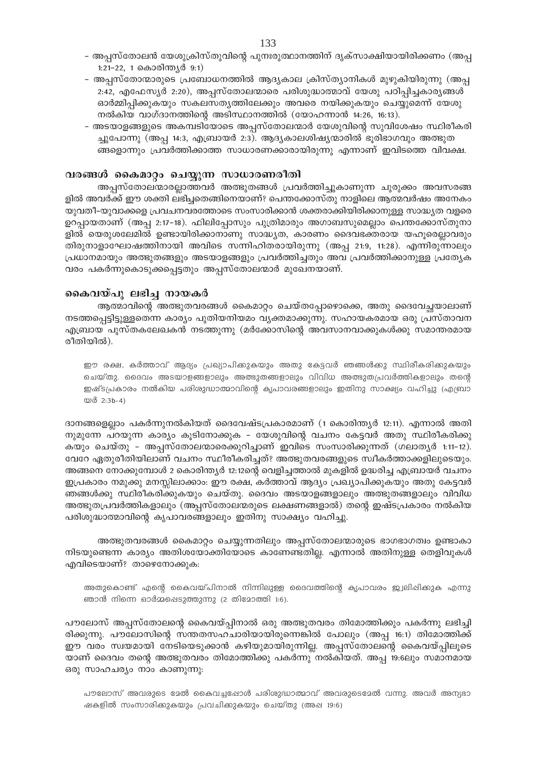- അപ്പസ്തോലൻ യേശുക്രിസ്തുവിന്റെ പുനഃരുത്ഥാനത്തിന് ദൃക്സാക്ഷിയായിരിക്കണം (അപ്പ 1:21-22, 1 കൊരിന്ത്യർ 9:1)
- അപ്പസ്തോന്മാരുടെ പ്രബോധനത്തിൽ ആദ്യകാല ക്രിസ്ത്യാനികൾ മുഴുകിയിരുന്നു (അപ്പ 2:42, എഫേസ്യർ 2:20), അപ്പസ്തോലന്മാരെ പരിശുദ്ധാത്മാവ് യേശു പഠിപ്പിച്ചകാര്യങ്ങൾ ഓർമ്മിപ്പിക്കുകയും സകലസത്യത്തിലേക്കും അവരെ നയിക്കുകയും ചെയ്യുമെന്ന് യേശു നൽകിയ വാഗ്ദാനത്തിന്റെ അടിസ്ഥാനത്തിൽ (യോഹന്നാൻ 14:26, 16:13).
- അടയാളങ്ങളുടെ അകമ്പടിയോടെ അപ്പസ്തോലന്മാർ യേശുവിന്റെ സുവിശേഷം സ്ഥിരീകരി ച്ചുപോന്നു (അപ്പ 14:3, എബ്രായർ 2:3). ആദ്യകാലശിഷ്യന്മാരിൽ ഭൂരിഭാഗവും അത്ഭുത ങ്ങളൊന്നും പ്രവർത്തിക്കാത്ത സാധാരണക്കാരായിരുന്നു എന്നാണ് ഇവിടത്തെ വിവക്ഷ.

### വരങ്ങൾ കൈമാറ്റം ചെയ്യുന്ന സാധാരണരീതി

അപ്പസ്തോലന്മാരല്ലാത്തവർ അത്ഭുതങ്ങൾ പ്രവർത്തിച്ചുകാണുന്ന ചുരുക്കം അവസരങ്ങ ളിൽ അവർക്ക് ഈ ശക്തി ലഭിച്ചതെങ്ങിനെയാണ്? പെന്തക്കോസ്തു നാളിലെ ആത്മവർഷം അനേകം യുവതീ–യുവാക്കളെ പ്രവചനവരത്തോടെ സംസാരിക്കാൻ ശക്തരാക്കിയിരിക്കാനുള്ള സാദ്ധ്യത വളരെ ഉറപ്പായതാണ് (അപ്പ 2:17–18). ഫിലിപ്പോസും പുത്രിമാരും അഗാബസുമെല്ലാം പെന്തക്കോസ്തുനാ ളിൽ യെരുശലേമിൽ ഉണ്ടായിരിക്കാനാണു സാദ്ധ്യത, കാരണം ദൈവഭക്തരായ യഹൂരെല്ലാവരും തിരുനാളാഘോഷത്തിനായി അവിടെ സന്നിഹിതരായിരുന്നു (അപ്പ 21:9, 11:28). എന്നിരുന്നാലും പ്രധാനമായും അത്ഭുതങ്ങളും അടയാളങ്ങളും പ്രവർത്തിച്ചതും അവ പ്രവർത്തിക്കാനുള്ള പ്രത്യേക വരം പകർന്നുകൊടുക്കപ്പെട്ടതും അപ്പസ്തോലന്മാർ മുഖേനയാണ്.

### കൈവയ്പു ലഭിച്ച നായകർ

ആത്മാവിന്റെ അത്ഭുതവരങ്ങൾ കൈമാറ്റം ചെയ്തപ്പോഴൊക്കെ, അതു ദൈവേച്ഛയാലാണ് നടത്തപ്പെട്ടിട്ടുള്ളതെന്ന കാര്യം പുതിയനിയമം വ്യക്തമാക്കുന്നു. സഹായകരമായ ഒരു പ്രസ്താവന എബ്രായ പുസ്തകലേഖകൻ നടത്തുന്നു (മർക്കോസിന്റെ അവസാനവാക്കുകൾക്കു സമാന്തരമായ രീതിയിൽ).

ഈ രക്ഷ, കർത്താവ് ആദ്യം പ്രഖ്യാപിക്കുകയും അതു കേട്ടവർ ഞങ്ങൾക്കു സ്ഥിരീകരിക്കുകയും ചെയ്തു. ദൈവം അടയാളങ്ങളാലും അത്ഭുതങ്ങളാലും വിവിധ അത്ഭുതപ്രവർത്തികളാലും തന്റെ ഇഷ്ടപ്രകാരം നൽകിയ പരിശുദ്ധാത്മാവിന്റെ കൃപാവരങ്ങളാലും ഇതിനു സാക്ഷ്യം വഹിച്ചു (എബ്രാ യർ 2:3b-4)

ദാനങ്ങളെല്ലാം പകർന്നുനൽകിയത് ദൈവേഷ്ടപ്രകാരമാണ് (1 കൊരിന്ത്യർ 12:11). എന്നാൽ അതി നുമുന്നേ പറയുന്ന കാര്യം കൂടിനോക്കുക - യേശുവിന്റെ വചനം കേട്ടവർ അതു സ്ഥിരീകരിക്കു കയും ചെയ്തു - അപ്പസ്തോലന്മാരെക്കുറിച്ചാണ് ഇവിടെ സംസാരിക്കുന്നത് (ഗലാതൃർ 1:11-12). വേറേ ഏതുരീതിയിലാണ് വചനം സ്ഥീരീകരിച്ചത്? അത്ഭുതവരങ്ങളുടെ സ്വീകർത്താക്കളിലുടെയും. അങ്ങനെ നോക്കുമ്പോൾ 2 കൊരിന്ത്യർ 12:12ന്റെ വെളിച്ചത്താൽ മുകളിൽ ഉദ്ധരിച്ച എബ്രായർ വചനം ഇപ്രകാരം നമുക്കു മനസ്സിലാക്കാം: ഈ രക്ഷ, കർത്താവ് ആദ്യം പ്രഖ്യാപിക്കുകയും അതു കേട്ടവർ ഞങ്ങൾക്കു സ്ഥിരീകരിക്കുകയും ചെയ്തു. ദൈവം അടയാളങ്ങളാലും അത്ഭുതങ്ങളാലും വിവിധ അത്ഭുതപ്രവർത്തികളാലും (അപ്പസ്തോലന്മരുടെ ലക്ഷണങ്ങളാൽ) തന്റെ ഇഷ്ടപ്രകാരം നൽകിയ പരിശുദ്ധാത്മാവിന്റെ കൃപാവരങ്ങളാലും ഇതിനു സാക്ഷ്യം വഹിച്ചു.

അത്ഭുതവരങ്ങൾ കൈമാറ്റം ചെയ്യുന്നതിലും അപ്പസ്തോലന്മാരുടെ ഭാഗഭാഗത്വം ഉണ്ടാകാ നിടയുണ്ടെന്ന കാര്യം അതിശയോക്തിയോടെ കാണേണ്ടതില്ല. എന്നാൽ അതിനുള്ള തെളിവുകൾ എവിടെയാണ്? താഴെനോക്കുക:

അതുകൊണ്ട് എന്റെ കൈവയ്പിനാൽ നിന്നിലുള്ള ദൈവത്തിന്റെ കൃപാവരം ജ്വലിഷിക്കുക എന്നു ഞാൻ നിന്നെ ഓർമ്മഷെടുത്തുന്നു (2 തിമോത്തി 1:6).

പൗലോസ് അപ്പസ്തോലന്റെ കൈവയ്പ്പിനാൽ ഒരു അത്ഭുതവരം തിമോത്തിക്കും പകർന്നു ലഭിച്ചി രിക്കുന്നു. പൗലോസിന്റെ സന്തതസഹചാരിയായിരുന്നെങ്കിൽ പോലും (അപ്പ 16:1) തിമോത്തിക്ക് ഈ വരം സ്വയമായി നേടിയെടുക്കാൻ കഴിയുമായിരുന്നില്ല. അപ്പസ്തോലന്റെ കൈവയ്പ്പിലൂടെ യാണ് ദൈവം തന്റെ അത്ഭുതവരം തിമോത്തിക്കു പകർന്നു നൽകിയത്. അപ്പ 19:6ലും സമാനമായ ഒരു സാഹചര്യം നാം കാണുന്നു:

പൗലോസ് അവരുടെ മേൽ കൈവച്ചപ്പോൾ പരിശുദ്ധാത്മാവ് അവരുടെമേൽ വന്നു. അവർ അന്യഭാ ഷകളിൽ സംസാരിക്കുകയും പ്രവചിക്കുകയും ചെയ്തു (അപ്പ 19:6)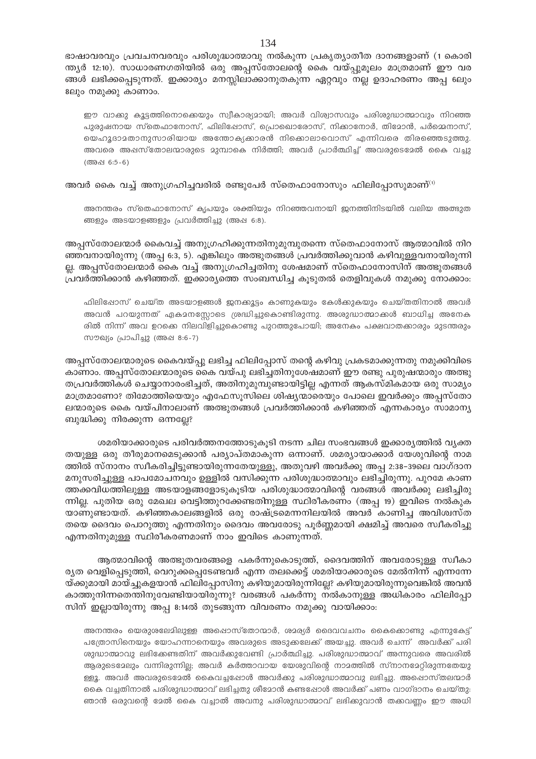ഭാഷാവരവും പ്രവചനവരവും പരിശുദ്ധാത്മാവു നൽകുന്ന പ്രകൃത്യാതീത ദാനങ്ങളാണ് (1 കൊരി ന്ത്യർ 12:10). സാധാരണഗതിയിൽ ഒരു അപ്പസ്തോലന്റെ കൈ വയ്പ്പുമൂലം മാത്രമാണ് ഈ വര ങ്ങൾ ലഭിക്കപ്പെടുന്നത്. ഇക്കാര്യം മനസ്സിലാക്കാനുതകുന്ന ഏറ്റവും നല്ല ഉദാഹരണം അപ്പ 6ലും 8ലും നമുക്കു കാണാം.

ഈ വാക്കു കൂട്ടത്തിനൊക്കെയും സ്വീകാര്യമായി; അവർ വിശ്വാസവും പരിശുദ്ധാത്മാവും നിറഞ്ഞ പുരുഷനായ സ്തെഫാനോസ്, ഫിലിഷോസ്, പ്രൊഖൊരോസ്, നിക്കാനോർ, തിമോൻ, പർമ്മെനാസ്, യെഹൂദാമതാനുസാരിയായ അന്തോക്യക്കാരൻ നിക്കൊലാവൊസ് എന്നിവരെ തിരഞ്ഞെടുത്തു. അവരെ അപ്പസ്തോലന്മാരുടെ മുമ്പാകെ നിർത്തി; അവർ പ്രാർത്ഥിച്ച് അവരുടെമേൽ കൈ വച്ചു (അഷ 6:5-6)

### അവർ കൈ വച്ച് അനുഗ്രഹിച്ചവരിൽ രണ്ടുപേർ സ്തെഫാനോസും ഫിലിപ്പോസുമാണ്<sup>ന</sup>

അനന്തരം സ്തെഫാനോസ് കൃപയും ശക്തിയും നിറഞ്ഞവനായി ജനത്തിനിടയിൽ വലിയ അത്ഭുത ങ്ങളും അടയാളങ്ങളും പ്രവർത്തിച്ചു (അഷ 6:8).

അപ്പസ്തോലന്മാർ കൈവച്ച് അനുഗ്രഹിക്കുന്നതിനുമുമ്പുതന്നെ സ്തെഫാനോസ് ആത്മാവിൽ നിറ ഞ്ഞവനായിരുന്നു (അപ്പ 6:3, 5). എങ്കിലും അത്ഭുതങ്ങൾ പ്രവർത്തിക്കുവാൻ കഴിവുള്ളവനായിരുന്നി ല്ല. അപ്പസ്തോലന്മാർ കൈ വച്ച് അനുഗ്രഹിച്ചതിനു ശേഷമാണ് സ്തെഫാനോസിന് അത്ഭുതങ്ങൾ പ്രവർത്തിക്കാൻ കഴിഞ്ഞത്. ഇക്കാര്യത്തെ സംബന്ധിച്ച കൂടുതൽ തെളിവുകൾ നമുക്കു നോക്കാം:

ഫിലിഷോസ് ചെയ്ത അടയാളങ്ങൾ ജനക്കൂട്ടം കാണുകയും കേൾക്കുകയും ചെയ്തതിനാൽ അവർ അവൻ പറയുന്നത് ഏകമനസ്സോടെ ശ്രദ്ധിച്ചുകൊണ്ടിരുന്നു. അശുദ്ധാത്മാക്കൾ ബാധിച്ച അനേക രിൽ നിന്ന് അവ ഉറക്കെ നിലവിളിച്ചുകൊണ്ടു പുറത്തുപോയി; അനേകം പക്ഷവാതക്കാരും മുടന്തരും സൗഖ്യം പ്രാപിച്ചു (അഷ 8:6-7)

അപ്പസ്തോലന്മാരുടെ കൈവയ്പ്പു ലഭിച്ച ഫിലിപ്പോസ് തന്റെ കഴിവു പ്രകടമാക്കുന്നതു നമുക്കിവിടെ കാണാം. അപ്പസ്തോലന്മാരുടെ കൈ വയ്പു ലഭിച്ചതിനുശേഷമാണ് ഈ രണ്ടു പുരുഷന്മാരും അത്ഭു തപ്രവർത്തികൾ ചെയ്യാനാരംഭിച്ചത്, അതിനുമുമ്പുണ്ടായിട്ടില്ല എന്നത് ആകസ്മികമായ ഒരു സാമ്യം മാത്രമാണോ? തിമോത്തിയെയും എഫേസൂസിലെ ശിഷ്യന്മാരെയും പോലെ ഇവർക്കും അപ്പസ്തോ ലന്മാരുടെ കൈ വയ്പിനാലാണ് അത്ഭുതങ്ങൾ പ്രവർത്തിക്കാൻ കഴിഞ്ഞത് എന്നകാര്യം സാമാന്യ ബുദ്ധിക്കു നിരക്കുന്ന ഒന്നല്ലേ?

ശമരിയാക്കാരുടെ പരിവർത്തനത്തോടുകൂടി നടന്ന ചില സംഭവങ്ങൾ ഇക്കാര്യത്തിൽ വ്യക്ത തയുള്ള ഒരു തീരുമാനമെടുക്കാൻ പര്യാപ്തമാകുന്ന ഒന്നാണ്. ശമര്യായാക്കാർ യേശുവിന്റെ നാമ ത്തിൽ സ്നാനം സ്വീകരിച്ചിട്ടുണ്ടായിരുന്നതേയുള്ളൂ, അതുവഴി അവർക്കു അപ്പ 2:38–39ലെ വാഗ്ദാന മനുസരിച്ചുള്ള പാപമോചനവും ഉള്ളിൽ വസിക്കുന്ന പരിശുദ്ധാത്മാവും ലഭിച്ചിരുന്നു. പുറമേ കാണ ത്തക്കവിധത്തിലുള്ള അടയാളങ്ങളോടുകൂടിയ പരിശുദ്ധാത്മാവിന്റെ വരങ്ങൾ അവർക്കു ലഭിച്ചിരു ന്നില്ല. പുതിയ ഒരു മേഖല വെട്ടിത്തുറക്കേണ്ടതിനുള്ള സ്ഥിരീകരണം (അപ്പ 19) ഇവിടെ നൽകുക യാണുണ്ടായത്. കഴിഞ്ഞകാലങ്ങളിൽ ഒരു രാഷ്ട്രമെന്നനിലയിൽ അവർ കാണിച്ച അവിശ്വസ്ത തയെ ദൈവം പൊറുത്തു എന്നതിനും ദൈവം അവരോടു പൂർണ്ണമായി ക്ഷമിച്ച് അവരെ സ്വീകരിച്ചു എന്നതിനുമുള്ള സ്ഥിരീകരണമാണ് നാം ഇവിടെ കാണുന്നത്.

ആത്മാവിന്റെ അത്ഭുതവരങ്ങളെ പകർന്നുകൊടുത്ത്, ദൈവത്തിന് അവരോടുള്ള സ്വീകാ ര്യത വെളിപ്പെടുത്തി, വെറുക്കപ്പെടേണ്ടവർ എന്ന തലക്കെട്ട് ശമരിയാക്കാരുടെ മേൽനിന്ന് എന്നന്നേ യ്ക്കുമായി മായ്ച്ചുകളയാൻ ഫിലിപ്പോസിനു കഴിയുമായിരുന്നില്ലേ? കഴിയുമായിരുന്നുവെങ്കിൽ അവൻ കാത്തുനിന്നതെന്തിനുവേണ്ടിയായിരുന്നു? വരങ്ങൾ പകർന്നു നൽകാനുള്ള അധികാരം ഫിലിപ്പോ സിന് ഇല്ലായിരുന്നു അപ്പ 8:14ൽ തുടങ്ങുന്ന വിവരണം നമുക്കു വായിക്കാം:

അനന്തരം യെരുശലേമിലുള്ള അപ്പൊസ്തോന്മാർ, ശമര്യർ ദൈവവചനം കൈക്കൊണ്ടു എന്നുകേട്ട് പത്രോസിനെയും യോഹന്നാനെയും അവരുടെ അടുക്കലേക്ക് അയച്ചു. അവർ ചെന്ന് അവർക്ക് പരി ശുദ്ധാത്മാവു ലഭിക്കേണ്ടതിന് അവർക്കുവേണ്ടി പ്രാർത്ഥിച്ചു. പരിശുദ്ധാത്മാവ് അന്നുവരെ അവരിൽ ആരുടെമ്പോം വന്നിരുന്നില്ല; അവർ കർത്താവായ യേശുവിന്റെ നാമത്തിൽ സ്നാനമേറ്റിരുന്നതേയു ള്ളൂ. അവർ അവരുടെമേൽ കൈവച്ചപ്പോൾ അവർക്കു പരിശുദ്ധാത്മാവു ലഭിച്ചു. അപ്പൊസ്തലന്മാർ കൈ വച്ചതിനാൽ പരിശുദ്ധാത്മാവ് ലഭിച്ചതു ശീമോൻ കണ്ടപ്പോൾ അവർക്ക് പണം വാഗ്ദാനം ചെയ്തു: ഞാൻ ഒരുവന്റെ മേൽ കൈ വച്ചാൽ അവനു പരിശുദ്ധാത്മാവ് ലഭിക്കുവാൻ തക്കവണ്ണം ഈ അധി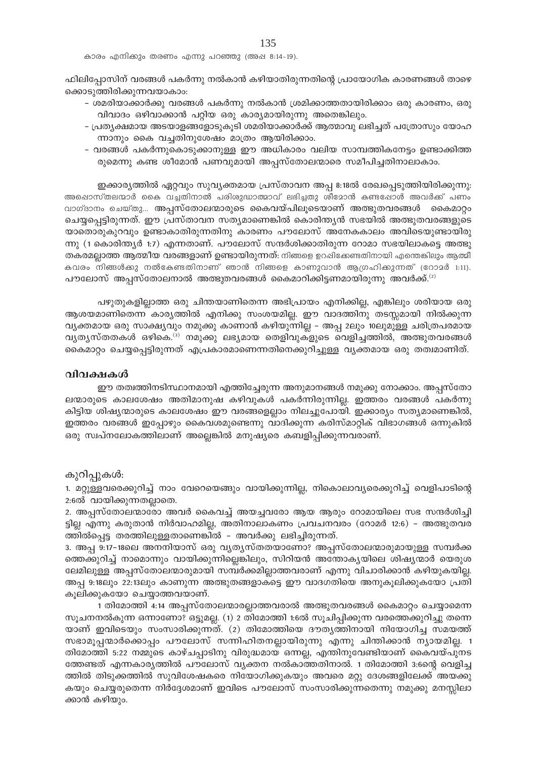കാരം എനിക്കും തരണം എന്നു പറഞ്ഞു (അഷ 8:14-19).

ഫിലിപ്പോസിന് വരങ്ങൾ പകർന്നു നൽകാൻ കഴിയാതിരുന്നതിന്റെ പ്രായോഗിക കാരണങ്ങൾ താഴെ ക്കൊടുത്തിരിക്കുന്നവയാകാം:

- ശമരിയാക്കാർക്കു വരങ്ങൾ പകർന്നു നൽകാൻ ശ്രമിക്കാത്തതായിരിക്കാം ഒരു കാരണം, ഒരു വിവാദം ഒഴിവാക്കാൻ പറ്റിയ ഒരു കാര്യമായിരുന്നു അതെങ്കിലും.
- പ്രത്യക്ഷമായ അടയാളങ്ങളോടുകൂടി ശമരിയാക്കാർക്ക് ആത്മാവു ലഭിച്ചത് പത്രോസും യോഹ ന്നാനും കൈ വച്ചതിനുശേഷം മാത്രം ആയിരിക്കാം.
- വരങ്ങൾ പകർന്നുകൊടുക്കാനുള്ള ഈ അധികാരം വലിയ സാമ്പത്തികനേട്ടം ഉണ്ടാക്കിത്ത രുമെന്നു കണ്ട ശീമോൻ പണവുമായി അപ്പസ്തോലന്മാരെ സമീപിച്ചതിനാലാകാം.

ഇക്കാര്യത്തിൽ ഏറ്റവും സുവ്യക്തമായ പ്രസ്താവന അപ്പ 8:18ൽ രേഖപ്പെടുത്തിയിരിക്കുന്നു: അഷൊസ്തലന്മാർ കൈ വച്ചതിനാൽ പരിശുദ്ധാത്മാവ് ലഭിച്ചതു ശീമോൻ കണ്ടപ്പോൾ അവർക്ക് പണം വാഗ്ദാനം ചെയ്തു... അപ്പസ്തോലന്മാരുടെ കൈവയ്പിലൂടെയാണ് അത്ഭുതവരങ്ങൾ കൈമാറ്റം ചെയ്യപ്പെട്ടിരുന്നത്. ഈ പ്രസ്താവന സത്യമാണെങ്കിൽ കൊരിന്ത്യൻ സഭയിൽ അത്ഭുതവരങ്ങളുടെ യാതൊരുകുറവും ഉണ്ടാകാതിരുന്നതിനു കാരണം പൗലോസ് അനേകകാലം അവിടെയുണ്ടായിരു ന്നു (1 കൊരിന്ത്യർ 1:7) എന്നതാണ്. പൗലോസ് സന്ദർശിക്കാതിരുന്ന റോമാ സഭയിലാകട്ടെ അത്ഭു തകരമല്ലാത്ത ആത്മീയ വരങ്ങളാണ് ഉണ്ടായിരുന്നത്. നിങ്ങളെ ഉറപ്പിക്കേണ്ടതിനായി എന്തെങ്കിലും ആത്മീ കവരം നിങ്ങൾക്കു നൽകേണ്ടതിനാണ് ഞാൻ നിങ്ങളെ കാണുവാൻ ആഗ്രഹിക്കുന്നത് (റോമർ 1:11). പൗലോസ് അപ്പസ്തോലനാൽ അത്ഭുതവരങ്ങൾ കൈമാറിക്കിട്ടണമായിരുന്നു അവർക്ക്. $^{\textrm{\tiny{(2)}}}$ 

പഴുതുകളില്ലാത്ത ഒരു ചിന്തയാണിതെന്ന അഭിപ്രായം എനിക്കില്ല, എങ്കിലും ശരിയായ ഒരു ആശയമാണിതെന്ന കാര്യത്തിൽ എനിക്കു സംശയമില്ല. ഈ വാദത്തിനു തടസ്സമായി നിൽക്കുന്ന വ്യക്തമായ ഒരു സാക്ഷ്യവും നമുക്കു കാണാൻ കഴിയുന്നില്ല – അപ്പ 2ലും 10ലുമുള്ള ചരിത്രപരമായ വ്യത്യസ്തതകൾ ഒഴികെ. <sup>ദ)</sup> നമുക്കു ലഭ്യമായ തെളിവുകളുടെ വെളിച്ചത്തിൽ, അത്ഭുതവരങ്ങൾ കൈമാറ്റം ചെയ്യപ്പെട്ടിരുന്നത് എപ്രകാരമാണെന്നതിനെക്കുറിച്ചുള്ള വ്യക്തമായ ഒരു തത്വമാണിത്.

#### വിവക്ഷകൾ

ഈ തത്വത്തിനടിസ്ഥാനമായി എത്തിച്ചേരുന്ന അനുമാനങ്ങൾ നമുക്കു നോക്കാം. അപ്പസ്തോ ലന്മാരുടെ കാലശേഷം അതിമാനുഷ കഴിവുകൾ പകർന്നിരുന്നില്ല. ഇത്തരം വരങ്ങൾ പകർന്നു കിട്ടിയ ശിഷ്യന്മാരുടെ കാലശേഷം ഈ വരങ്ങളെല്ലാം നിലച്ചുപോയി. ഇക്കാര്യം സത്യമാണെങ്കിൽ, ഇത്തരം വരങ്ങൾ ഇപ്പോഴും കൈവശമുണ്ടെന്നു വാദിക്കുന്ന കരിസ്മാറ്റിക് വിഭാഗങ്ങൾ ഒന്നുകിൽ ഒരു സ്ഥപ്നലോകത്തിലാണ് അല്ലെങ്കിൽ മനുഷ്യരെ കബളിപ്പിക്കുന്നവരാണ്.

### കുറിപ്പുകൾ:

1. മറ്റുള്ളവരെക്കുറിച്ച് നാം വേറെയെങ്ങും വായിക്കുന്നില്ല, നികൊലാവ്യരെക്കുറിച്ച് വെളിപാടിന്റെ 2:6ൽ വായിക്കുന്നതല്ലാതെ.

2. അപ്പസ്തോലന്മാരോ അവർ കൈവച്ച് അയച്ചവരോ ആയ ആരും റോമായിലെ സഭ സന്ദർശിച്ചി ട്ടില്ല എന്നു കരുതാൻ നിർവാഹമില്ല, അതിനാലാകണം പ്രവചനവരം (റോമർ 12:6) - അത്ഭുതവര ത്തിൽപ്പെട്ട തരത്തിലുള്ളതാണെങ്കിൽ - അവർക്കു ലഭിച്ചിരുന്നത്.

3. അപ്പ 9:17-18ലെ അനനിയാസ് ഒരു വ്യതൃസ്തതയാണോ? അപ്പസ്തോലന്മാരുമായുള്ള സമ്പർക്ക ത്തെക്കുറിച്ച് നാമൊന്നും വായിക്കുന്നില്ലെങ്കിലും, സിറിയൻ അന്തോകൃയിലെ ശിഷ്യന്മാർ യെരുശ ലേമിലുള്ള അപ്പസ്തോലന്മാരുമായി സമ്പർക്കമില്ലാത്തവരാണ് എന്നു വിചാരിക്കാൻ കഴിയുകയില്ല. അപ്പ 9:18ലും 22:13ലും കാണുന്ന അത്ഭുതങ്ങളാകട്ടെ ഈ വാദഗതിയെ അനുകൂലിക്കുകയോ പ്രതി കൂലിക്കുകയോ ചെയ്യാത്തവയാണ്.

1 തിമോത്തി 4:14 അപ്പസ്തോലന്മാരല്ലാത്തവരാൽ അത്ഭുതവരങ്ങൾ കൈമാറ്റം ചെയ്യാമെന്ന സൂചനനൽകുന്ന ഒന്നാണോ? ഒട്ടുമല്ല. (1) 2 തിമോത്തി 1:6ൽ സൂചിപ്പിക്കുന്ന വരത്തെക്കുറിച്ചു തന്നെ യാണ് ഇവിടെയും സംസാരിക്കുന്നത്. (2) തിമോത്തിയെ ദൗതൃത്തിനായി നിയോഗിച്ച സമയത്ത് സഭാമൂപ്പന്മാർക്കൊപ്പം പൗലോസ് സന്നിഹിതനല്ലായിരുന്നു എന്നു ചിന്തിക്കാൻ ന്യായമില്ല. 1 തിമോത്തി 5:22 നമ്മുടെ കാഴ്ചപ്പാടിനു വിരുദ്ധമായ ഒന്നല്ല, എന്തിനുവേണ്ടിയാണ് കൈവയ്പുനട ത്തേണ്ടത് എന്നകാര്യത്തിൽ പൗലോസ് വ്യക്തന നൽകാത്തതിനാൽ. 1 തിമോത്തി 3:6ന്റെ വെളിച്ച ത്തിൽ തിടുക്കത്തിൽ സുവിശേഷകരെ നിയോഗിക്കുകയും അവരെ മറ്റു ദേശങ്ങളിലേക്ക് അയക്കു കയും ചെയ്യരുതെന്ന നിർദ്ദേശമാണ് ഇവിടെ പൗലോസ് സംസാരിക്കുന്നതെന്നു നമുക്കു മനസ്സിലാ ക്കാൻ കഴിയും.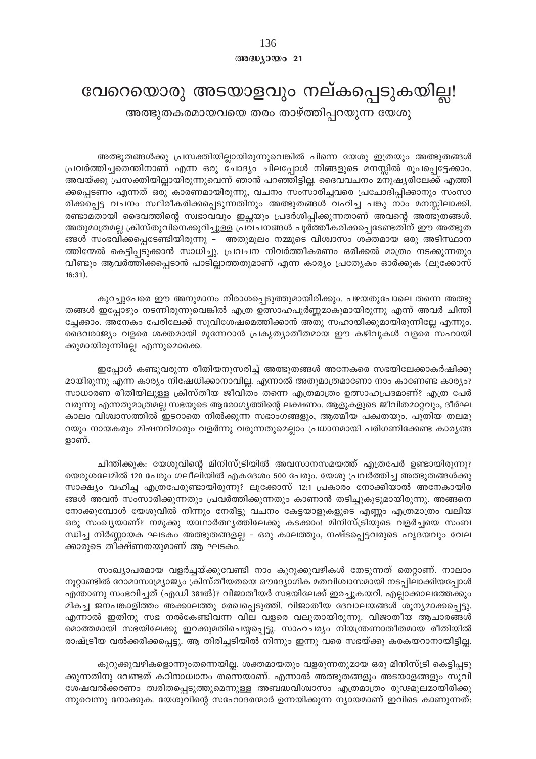## 136  $@0@0J0@021$

# വേറെയൊരു അടയാളവും നല്കപ്പെടുകയില്ല!

അത്ഭുതകരമായവയെ തരം താഴ്ത്തിപ്പറയുന്ന യേശു

അത്ഭുതങ്ങൾക്കു പ്രസക്തിയില്ലായിരുന്നുവെങ്കിൽ പിന്നെ യേശു ഇത്രയും അത്ഭുതങ്ങൾ പ്രവർത്തിച്ചതെന്തിനാണ് എന്ന ഒരു ചോദ്യം ചിലപ്പോൾ നിങ്ങളുടെ മനസ്സിൽ രൂപപ്പെട്ടേക്കാം. അവയ്ക്കു പ്രസക്തിയില്ലായിരുന്നുവെന്ന് ഞാൻ പറഞ്ഞിട്ടില്ല. ദൈവവചനം മനുഷ്യരിലേക്ക് എത്തി ക്കപ്പെടണം എന്നത് ഒരു കാരണമായിരുന്നു, വചനം സംസാരിച്ചവരെ പ്രചോദിപ്പിക്കാനും സംസാ രിക്കപ്പെട്ട വചനം സ്ഥിരീകരിക്കപ്പെടുന്നതിനും അത്ഭുതങ്ങൾ വഹിച്ച പങ്കു നാം മനസ്സിലാക്കി. രണ്ടാമതായി ദൈവത്തിന്റെ സ്വഭാവവും ഇച്ഛയും പ്രദർശിപ്പിക്കുന്നതാണ് അവന്റെ അത്ഭുതങ്ങൾ. അതുമാത്രമല്ല ക്രിസ്തുവിനെക്കുറിച്ചുള്ള പ്രവചനങ്ങൾ പൂർത്തീകരിക്കപ്പെടേണ്ടതിന് ഈ അത്ഭുത ങ്ങൾ സംഭവിക്കപ്പെടേണ്ടിയിരുന്നു – അതുമൂലം നമ്മുടെ വിശ്വാസം ശക്തമായ ഒരു അടിസ്ഥാന ത്തിന്മേൽ കെട്ടിപ്പടുക്കാൻ സാധിച്ചു. പ്രവചന നിവർത്തീകരണം ഒരിക്കൽ മാത്രം നടക്കുന്നതും വീണ്ടും ആവർത്തിക്കപ്പെടാൻ പാടില്ലാത്തതുമാണ് എന്ന കാര്യം പ്രത്യേകം ഓർക്കുക (ലൂക്കോസ്  $16:31)$ .

കുറച്ചുപേരെ ഈ അനുമാനം നിരാശപ്പെടുത്തുമായിരിക്കും. പഴയതുപോലെ തന്നെ അത്ഭു തങ്ങൾ ഇപ്പോഴും നടന്നിരുന്നുവെങ്കിൽ എത്ര ഉത്സാഹപൂർണ്ണമാകുമായിരുന്നു എന്ന് അവർ ചിന്തി ച്ചേക്കാം. അനേകം പേരിലേക്ക് സുവിശേഷമെത്തിക്കാൻ അതു സഹായിക്കുമായിരുന്നില്ലേ എന്നും. ദൈവരാജ്യം വളരെ ശക്തമായി മുന്നേറാൻ പ്രകൃത്യാതീതമായ ഈ കഴിവുകൾ വളരെ സഹായി ക്കുമായിരുന്നില്ലേ എന്നുമൊക്കെ.

ഇപ്പോൾ കണ്ടുവരുന്ന രീതിയനുസരിച്ച് അത്ഭുതങ്ങൾ അനേകരെ സഭയിലേക്കാകർഷിക്കു മായിരുന്നു എന്ന കാര്യം നിഷേധിക്കാനാവില്ല. എന്നാൽ അതുമാത്രമാണോ നാം കാണേണ്ട കാര്യം? സാധാരണ രീതിയിലുള്ള ക്രിസ്തീയ ജീവിതം തന്നെ എത്രമാത്രം ഉത്സാഹപ്രദമാണ്? എത്ര പേർ വരുന്നു എന്നതുമാത്രമല്ല സഭയുടെ ആരോഗൃത്തിന്റെ ലക്ഷണം. ആളുകളുടെ ജീവിതമാറ്റവും, ദീർഘ കാലം വിശ്വാസത്തിൽ ഇടറാതെ നിൽക്കുന്ന സഭാംഗങ്ങളും, ആത്മീയ പക്വതയും, പുതിയ തലമു റയും നായകരും മിഷനറിമാരും വളർന്നു വരുന്നതുമെല്ലാം പ്രധാനമായി പരിഗണിക്കേണ്ട കാര്യങ്ങ ളാണ്.

ചിന്തിക്കുക: യേശുവിന്റെ മിനിസ്ട്രിയിൽ അവസാനസമയത്ത് എത്രപേർ ഉണ്ടായിരുന്നു? യെരുശലേമിൽ 120 പേരും ഗലീലിയിൽ എകദേശം 500 പേരും. യേശു പ്രവർത്തിച്ച അത്ഭുതങ്ങൾക്കു സാക്ഷ്യം വഹിച്ച എത്രപേരുണ്ടായിരുന്നു? ലൂക്കോസ് 12:1 പ്രകാരം നോക്കിയാൽ അനേകായിര ങ്ങൾ അവൻ സംസാരിക്കുന്നതും പ്രവർത്തിക്കുന്നതും കാണാൻ തടിച്ചുകൂടുമായിരുന്നു. അങ്ങനെ നോക്കുമ്പോൾ യേശുവിൽ നിന്നും നേരിട്ടു വചനം കേട്ടയാളുകളുടെ എണ്ണം എത്രമാത്രം വലിയ ഒരു സംഖ്യയാണ്? നമുക്കു യാഥാർത്ഥ്യത്തിലേക്കു കടക്കാം! മിനിസ്ട്രിയുടെ വളർച്ചയെ സംബ ന്ധിച്ച നിർണ്ണായക ഘടകം അത്ഭുതങ്ങളല്ല – ഒരു കാലത്തും, നഷ്ടപ്പെട്ടവരുടെ ഹൃദയവും വേല ക്കാരുടെ തീക്ഷ്ണതയുമാണ് ആ ഘടകം.

സംഖ്യാപരമായ വളർച്ചയ്ക്കുവേണ്ടി നാം കുറുക്കുവഴികൾ തേടുന്നത് തെറ്റാണ്. നാലാം നൂറ്റാണ്ടിൽ റോമാസാമ്ര്യാജ്യം ക്രിസ്തീയതയെ ഔദ്യോഗിക മതവിശ്വാസമായി നടപ്പിലാക്കിയപ്പോൾ എന്താണു സംഭവിച്ചത് (എഡി 381ൽ)? വിജാതീയർ സഭയിലേക്ക് ഇരച്ചുകയറി. എല്ലാക്കാലത്തേക്കും മികച്ച ജനപങ്കാളിത്തം അക്കാലത്തു രേഖപ്പെടുത്തി. വിജാതീയ ദേവാലയങ്ങൾ ശൂന്യമാക്കപ്പെട്ടു. എന്നാൽ ഇതിനു സഭ നൽകേണ്ടിവന്ന വില വളരെ വലുതായിരുന്നു. വിജാതീയ ആചാരങ്ങൾ മൊത്തമായി സഭയിലേക്കു ഇറക്കുമതിചെയ്യപ്പെട്ടു. സാഹചര്യം നിയന്ത്രണാതീതമായ രീതിയിൽ രാഷ്ട്രീയ വൽക്കരിക്കപ്പെട്ടു. ആ തിരിച്ചടിയിൽ നിന്നും ഇന്നു വരെ സഭയ്ക്കു കരകയറാനായിട്ടില്ല.

കുറുക്കുവഴികളൊന്നുംതന്നെയില്ല. ശക്തമായതും വളരുന്നതുമായ ഒരു മിനിസ്ട്രി കെട്ടിപ്പടു ക്കുന്നതിനു വേണ്ടത് കഠിനാധ്വാനം തന്നെയാണ്. എന്നാൽ അത്ഭുതങ്ങളും അടയാളങ്ങളും സുവി ശേഷവൽക്കരണം ത്വരിതപ്പെടുത്തുമെന്നുള്ള അബദ്ധവിശ്വാസം എത്രമാത്രം രൂഢമൂലമായിരിക്കു ന്നുവെന്നു നോക്കുക. യേശുവിന്റെ സഹോദരന്മാർ ഉന്നയിക്കുന്ന ന്യായമാണ് ഇവിടെ കാണുന്നത്: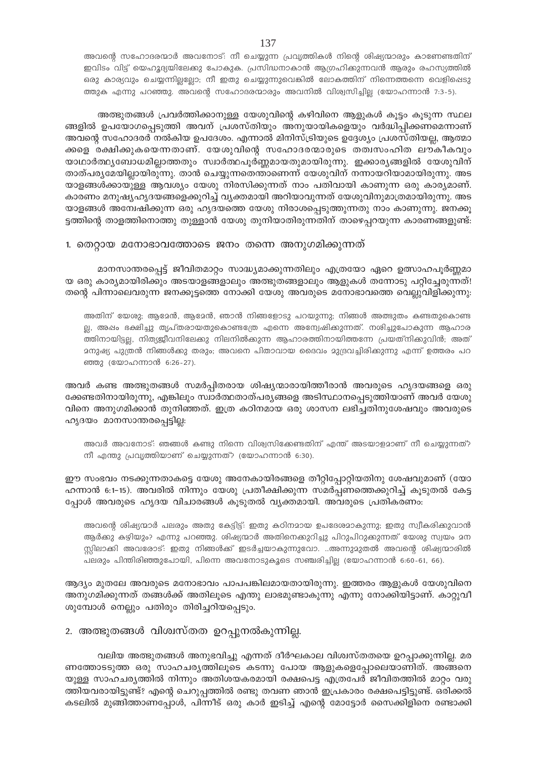അവന്റെ സഹോദരന്മാർ അവനോട്: നീ ചെയ്യുന്ന പ്രവൃത്തികൾ നിന്റെ ശിഷ്യന്മാരും കാണേണ്ടതിന് ഇവിടം വിട്ട് യെഹൂദ്യയിലേക്കു പോകുക. പ്രസിദ്ധനാകാൻ ആഗ്രഹിക്കുന്നവൻ ആരും രഹസ്യത്തിൽ ഒരു കാര്യവും ചെയ്യന്നില്ലല്ലോ; നീ ഇതു ചെയ്യുന്നുവെങ്കിൽ ലോകത്തിന് നിന്നെത്തന്നെ വെളിപ്പെടു ത്തുക എന്നു പറഞ്ഞു. അവന്റെ സഹോദരന്മാരും അവനിൽ വിശ്വസിച്ചില്ല (യോഹന്നാൻ 7:3-5).

അത്ഭുതങ്ങൾ പ്രവർത്തിക്കാനുള്ള യേശുവിന്റെ കഴിവിനെ ആളുകൾ കൂട്ടം കൂടുന്ന സ്ഥല ങ്ങളിൽ ഉപയോഗപ്പെടുത്തി അവന് പ്രശസ്തിയും അനുയായികളെയും വർദ്ധിപ്പിക്കണമെന്നാണ് അവന്റെ സഹോദരർ നൽകിയ ഉപദേശം. എന്നാൽ മിനിസ്ട്രിയുടെ ഉദ്ദേശ്യം പ്രശസ്തിയല്ല, ആത്മാ ക്കളെ രക്ഷിക്കുകയെന്നതാണ്. യേശുവിന്റെ സഹോദരന്മാരുടെ തത്വസംഹിത ലൗകീകവും യാഥാർത്ഥ്യബോധമില്ലാത്തതും സ്വാർത്ഥപൂർണ്ണമായതുമായിരുന്നു. ഇക്കാര്യങ്ങളിൽ യേശുവിന് താത്പര്യമേയില്ലായിരുന്നു. താൻ ചെയ്യുന്നതെന്താണെന്ന് യേശുവിന് നന്നായറിയാമായിരുന്നു. അട യാളങ്ങൾക്കായുള്ള ആവശ്യം യേശു നിരസിക്കുന്നത് നാം പതിവായി കാണുന്ന ഒരു കാര്യമാണ്. കാരണം മനുഷ്യഹൃദയങ്ങളെക്കുറിച്ച് വൃക്തമായി അറിയാവുന്നത് യേശുവിനുമാത്രമായിരുന്നു. അട യാളങ്ങൾ അമ്പേഷിക്കുന്ന ഒരു ഹൃദയത്തെ യേശു നിരാശപ്പെടുത്തുന്നതു നാം കാണുന്നു. ജനക്കൂ ട്ടത്തിന്റെ താളത്തിനൊത്തു തുള്ളാൻ യേശു തുനിയാതിരുന്നതിന് താഴെപ്പറയുന്ന കാരണങ്ങളുണ്ട്:

## 1. തെറ്റായ മനോഭാവത്തോടെ ജനം തന്നെ അനുഗമിക്കുന്നത്

മാനസാന്തരപ്പെട്ട് ജീവിതമാറ്റം സാദ്ധ്യമാക്കുന്നതിലും എത്രയോ ഏറെ ഉത്സാഹപൂർണ്ണമാ യ ഒരു കാര്യമായിരിക്കും അടയാളങ്ങളാലും അത്ഭുതങ്ങളാലും ആളുകൾ തന്നോടു പറ്റിച്ചേരുന്നത്! തന്റെ പിന്നാലെവരുന്ന ജനക്കൂട്ടത്തെ നോക്കി യേശു അവരുടെ മനോഭാവത്തെ വെല്ലുവിളിക്കുന്നു:

അതിന് യേശു; ആമേൻ, ആമേൻ, ഞാൻ നിങ്ങളോടു പറയുന്നു; നിങ്ങൾ അത്ഭുതം കണ്ടതുകൊണ്ട ല്ല, അഷം ഭക്ഷിച്ചു തൃപ്തരായതുകൊണ്ടത്രേ എന്നെ അന്വേഷിക്കുന്നത്. നശിച്ചുപോകുന്ന ആഹാര ത്തിനായിട്ടല്ല, നിത്യജീവനിലേക്കു നിലനിൽക്കുന്ന ആഹാരത്തിനായിത്തന്നേ പ്രയത്നിക്കുവിൻ; അത് മനുഷ്യ പുത്രൻ നിങ്ങൾക്കു തരും; അവനെ പിതാവായ ദൈവം മുദ്രവച്ചിരിക്കുന്നു എന്ന് ഉത്തരം പറ ഞ്ഞു (യോഹന്നാൻ 6:26-27).

അവർ കണ്ട അത്ഭുതങ്ങൾ സമർപ്പിതരായ ശിഷ്യന്മാരായിത്തീരാൻ അവരുടെ ഹൃദയങ്ങളെ ഒരു ക്കേണ്ടതിനായിരുന്നു, എങ്കിലും സ്വാർത്ഥതാത്പര്യങ്ങളെ അടിസ്ഥാനപ്പെടുത്തിയാണ് അവർ യേശു വിനെ അനുഗമിക്കാൻ തുനിഞ്ഞത്. ഇത്ര കഠിനമായ ഒരു ശാസന ലഭിച്ചതിനുശേഷവും അവരുടെ ഹ്യദയം മാനസാന്തരപ്പെട്ടില്ല:

അവർ അവനോട്: ഞങ്ങൾ കണ്ടു നിന്നെ വിശ്വസിക്കേണ്ടതിന് എന്ത് അടയാളമാണ് നീ ചെയ്യുന്നത്? നീ എന്തു പ്രവൃത്തിയാണ് ചെയ്യുന്നത്? (യോഹന്നാൻ 6:30).

ഈ സംഭവം നടക്കുന്നതാകട്ടെ യേശു അനേകായിരങ്ങളെ തീറ്റിപ്പോറ്റിയതിനു ശേഷവുമാണ് (യോ ഹന്നാൻ 6:1-15). അവരിൽ നിന്നും യേശു പ്രതീക്ഷിക്കുന്ന സമർപ്പണത്തെക്കുറിച്ച് കൂടുതൽ കേട്ട പ്പോൾ അവരുടെ ഹൃദയ വിചാരങ്ങൾ കൂടുതൽ വ്യക്തമായി. അവരുടെ പ്രതികരണം:

അവന്റെ ശിഷ്യന്മാർ പലരും അതു കേട്ടിട്ട്: ഇതു കഠിനമായ ഉപദേശമാകുന്നു; ഇതു സ്വീകരിക്കുവാൻ ആർക്കു കഴിയും? എന്നു പറഞ്ഞു. ശിഷ്യന്മാർ അതിനെക്കുറിച്ചു പിറുപിറുക്കുന്നത് യേശു സ്വയം മന സ്സിലാക്കി അവരോട്: ഇതു നിങ്ങൾക്ക് ഇടർച്ചയാകുന്നുവോ. ..അന്നുമുതൽ അവന്റെ ശിഷ്യന്മാരിൽ പലരും പിന്തിരിഞ്ഞുപോയി, പിന്നെ അവനോടുകൂടെ സഞ്ചരിച്ചില്ല (യോഹന്നാൻ 6:60-61, 66).

ആദ്യം മുതലേ അവരുടെ മനോഭാവം പാപപങ്കിലമായതായിരുന്നു. ഇത്തരം ആളുകൾ യേശുവിനെ അനുഗമിക്കുന്നത് തങ്ങൾക്ക് അതിലൂടെ എന്തു ലാഭമുണ്ടാകുന്നു എന്നു നോക്കിയിട്ടാണ്. കാറ്റുവീ ശുമ്പോൾ നെല്ലും പതിരും തിരിച്ചറിയപ്പെടും.

## 2. അത്ഭുതങ്ങൾ വിശ്വസ്തത ഉറപ്പുനൽകുന്നില്ല.

വലിയ അത്ഭുതങ്ങൾ അനുഭവിച്ചു എന്നത് ദീർഘകാല വിശ്വസ്തതയെ ഉറപ്പാക്കുന്നില്ല. മര ണത്തോടടുത്ത ഒരു സാഹചര്യത്തിലൂടെ കടന്നു പോയ ആളുകളെപ്പോലെയാണിത്. അങ്ങനെ യുള്ള സാഹചര്യത്തിൽ നിന്നും അതിശയകരമായി രക്ഷപെട്ട എത്രപേർ ജീവിതത്തിൽ മാറ്റം വരു ത്തിയവരായിട്ടുണ്ട്? എന്റെ ചെറുപ്പത്തിൽ രണ്ടു തവണ ഞാൻ ഇപ്രകാരം രക്ഷപെട്ടിട്ടുണ്ട്. ഒരിക്കൽ കടലിൽ മുങ്ങിത്താണപ്പോൾ, പിന്നീട് ഒരു കാർ ഇടിച്ച് എന്റെ മോട്ടോർ സൈക്കിളിനെ രണ്ടാക്കി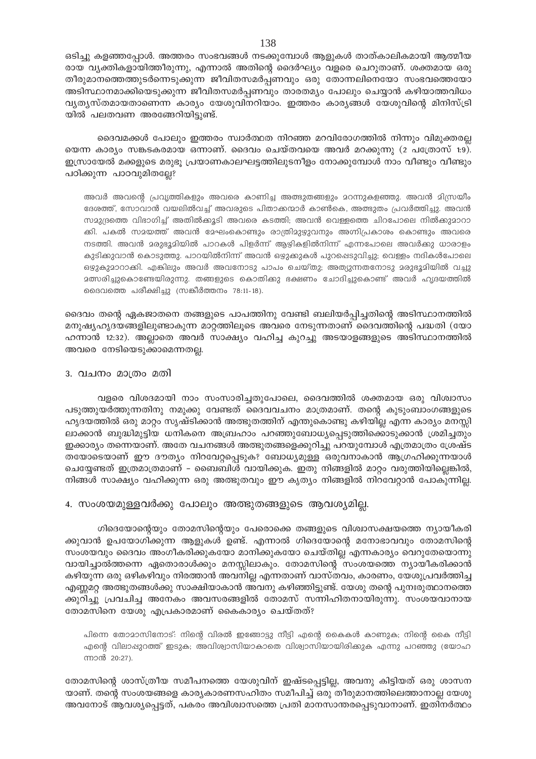ഒടിച്ചു കളഞ്ഞപ്പോൾ. അത്തരം സംഭവങ്ങൾ നടക്കുമ്പോൾ ആളുകൾ താത്കാലികമായി ആത്മീയ രായ വ്യക്തികളായിത്തീരുന്നു, എന്നാൽ അതിന്റെ ദൈർഘ്യം വളരെ ചെറുതാണ്. ശക്തമായ ഒരു തീരുമാനത്തെത്തുടർന്നെടുക്കുന്ന ജീവിതസമർപ്പണവും ഒരു തോന്നലിനെയോ സംഭവത്തെയോ അടിസ്ഥാനമാക്കിയെടുക്കുന്ന ജീവിതസമർപ്പണവും താരതമ്യം പോലും ചെയ്യാൻ കഴിയാത്തവിധം വൃത്യസ്തമായതാണെന്ന കാര്യം യേശുവിനറിയാം. ഇത്തരം കാര്യങ്ങൾ യേശുവിന്റെ മിനിസ്ട്രി യിൽ പലതവണ അരങ്ങേറിയിട്ടുണ്ട്.

ദൈവമക്കൾ പോലും ഇത്തരം സ്വാർത്ഥത നിറഞ്ഞ മറവിരോഗത്തിൽ നിന്നും വിമുക്തരല്ല യെന്ന കാര്യം സങ്കടകരമായ ഒന്നാണ്. ദൈവം ചെയ്തവയെ അവർ മറക്കുന്നു (2 പത്രോസ് 1:9). ഇസ്രായേൽ മക്കളുടെ മരുഭൂ പ്രയാണകാലഘട്ടത്തിലുടനീളം നോക്കുമ്പോൾ നാം വീണ്ടും വീണ്ടും പഠിക്കുന്ന പാഠവുമിതല്ലേ?

അവർ അവന്റെ പ്രവൃത്തികളും അവരെ കാണിച്ച അത്ഭുതങ്ങളും മറന്നുകളഞ്ഞു. അവൻ മിസ്രയീം ദേശത്ത്, സോവാൻ വയലിൽവച്ച് അവരുടെ പിതാക്കന്മാർ കാൺകെ, അത്ഭുതം പ്രവർത്തിച്ചു. അവൻ സമുദ്രത്തെ വിഭാഗിച്ച് അതിൽക്കൂടി അവരെ കടത്തി; അവൻ വെള്ളത്തെ ചിറപോലെ നിൽകുമാറാ ക്കി. പകൽ സമയത്ത് അവൻ മേഘംകൊണ്ടും രാത്രിമുഴുവനും അഗ്നിപ്രകാശം കൊണ്ടും അവരെ നടത്തി. അവൻ മരുഭൂമിയിൽ പാറകൾ പിളർന്ന് ആഴികളിൽനിന്ന് എന്നപോലെ അവർക്കു ധാരാളം കുടിക്കുവാൻ കൊടുത്തു. പാറയിൽനിന്ന് അവൻ ഒഴുക്കുകൾ പുറപ്പെടുവിച്ചു; വെള്ളം നദികൾപോലെ ഒഴുകുമാറാക്കി. എങ്കിലും അവർ അവനോടു പാപം ചെയ്തു; അത്യുന്നതനോടു മരുഭൂമിയിൽ വച്ചു **മത്സരിച്ചുകൊണ്ടേയിരുന്നു. തങ്ങളുടെ കൊതിക്കു ഭക്ഷണം ചോ**ദിച്ചുകൊണ്ട് അവർ ഹൃദയത്തിൽ മൈവത്തെ പരീക്ഷിച്ചു (സങ്കീർത്തനം 78:11-18).

ദൈവം തന്റെ ഏകജാതനെ തങ്ങളുടെ പാപത്തിനു വേണ്ടി ബലിയർപ്പിച്ചതിന്റെ അടിസ്ഥാനത്തിൽ മനുഷ്യഹൃദയങ്ങളിലുണ്ടാകുന്ന മാറ്റത്തിലൂടെ അവരെ നേടുന്നതാണ് ദൈവത്തിന്റെ പദ്ധതി (യോ ഹന്നാൻ 12:32). അല്ലാതെ അവർ സാക്ഷ്യം വഹിച്ച കുറച്ചു അടയാളങ്ങളുടെ അടിസ്ഥാനത്തിൽ അവരെ നേടിയെടുക്കാമെന്നതല്ല.

### 3. വചനം മാത്രം മതി

വളരെ വിശദമായി നാം സംസാരിച്ചതുപോലെ, ദൈവത്തിൽ ശക്തമായ ഒരു വിശ്വാസം പടുത്തുയർത്തുന്നതിനു നമുക്കു വേണ്ടത് ദൈവവചനം മാത്രമാണ്. തന്റെ കുടുംബാംഗങ്ങളുടെ ഹൃദയത്തിൽ ഒരു മാറ്റം സൃഷ്ടിക്കാൻ അത്ഭുതത്തിന് എന്തുകൊണ്ടു കഴിയില്ല എന്ന കാര്യം മനസ്സി ലാക്കാൻ ബുദ്ധിമുട്ടിയ ധനികനെ അബ്രഹാം പറഞ്ഞുബോധ്യപ്പെടുത്തിക്കൊടുക്കാൻ ശ്രമിച്ചതും ഇക്കാര്യം തന്നെയാണ്. അതേ വചനങ്ങൾ അത്ഭുതങ്ങളെക്കുറിച്ചു പറയുമ്പോൾ എത്രമാത്രം ശ്രേഷ്ട തയോടെയാണ് ഈ ദൗത്യം നിറവേറ്റപ്പെടുക? ബോധ്യമുള്ള ഒരുവനാകാൻ ആഗ്രഹിക്കുന്നയാൾ ചെയ്യേണ്ടത് ഇത്രമാത്രമാണ് – ബൈബിൾ വായിക്കുക. ഇതു നിങ്ങളിൽ മാറ്റം വരുത്തിയില്ലെങ്കിൽ, നിങ്ങൾ സാക്ഷ്യം വഹിക്കുന്ന ഒരു അത്ഭുതവും ഈ കൃത്യം നിങ്ങളിൽ നിറവേറ്റാൻ പോകുന്നില്ല.

## 4. സംശയമുള്ളവർക്കു പോലും അത്ഭുതങ്ങളുടെ ആവശ്യമില്ല.

ഗിദെയോന്റെയും തോമസിന്റെയും പേരൊക്കെ തങ്ങളുടെ വിശ്വാസക്ഷയത്തെ ന്യായീകരി ക്കുവാൻ ഉപയോഗിക്കുന്ന ആളുകൾ ഉണ്ട്. എന്നാൽ ഗിദെയോന്റെ മനോഭാവവും തോമസിന്റെ സംശയവും ദൈവം അംഗീകരിക്കുകയോ മാനിക്കുകയോ ചെയ്തില്ല എന്നകാര്യം വെറുതേയൊന്നു വായിച്ചാൽത്തന്നെ ഏതൊരാൾക്കും മനസ്സിലാകും. തോമസിന്റെ സംശയത്തെ ന്യായീകരിക്കാൻ കഴിയുന്ന ഒരു ഒഴികഴിവും നിരത്താൻ അവനില്ല എന്നതാണ് വാസ്തവം, കാരണം, യേശുപ്രവർത്തിച്ച എണ്ണമറ്റ അത്ഭുതങ്ങൾക്കു സാക്ഷിയാകാൻ അവനു കഴിഞ്ഞിട്ടുണ്ട്. യേശു തന്റെ പുനഃരുത്ഥാനത്തെ ക്കുറിച്ചു പ്രവചിച്ച അനേകം അവസരങ്ങളിൽ തോമസ് സന്നിഹിതനായിരുന്നു. സംശയവാനായ തോമസിനെ യേശു എപ്രകാരമാണ് കൈകാര്യം ചെയ്തത്?

പിന്നെ തോമാസിനോട്: നിന്റെ വിരൽ ഇങ്ങോട്ടു നീട്ടി എന്റെ കൈകൾ കാണുക; നിന്റെ കൈ നീട്ടി എന്റെ വിലാഷുറത്ത് ഇടുക; അവിശ്വാസിയാകാതെ വിശ്വാസിയായിരിക്കുക എന്നു പറഞ്ഞു (യോഹ ന്നാൻ 20:27).

തോമസിന്റെ ശാസ്ത്രീയ സമീപനത്തെ യേശുവിന് ഇഷ്ടപ്പെട്ടില്ല, അവനു കിട്ടിയത് ഒരു ശാസന യാണ്. തന്റെ സംശയങ്ങളെ കാര്യകാരണസഹിതം സമീപിച്ച് ഒരു തീരുമാനത്തിലെത്താനാല്ല യേശു അവനോട് ആവശ്യപ്പെട്ടത്, പകരം അവിശ്വാസത്തെ പ്രതി മാനസാന്തരപ്പെടുവാനാണ്. ഇതിനർത്ഥം

138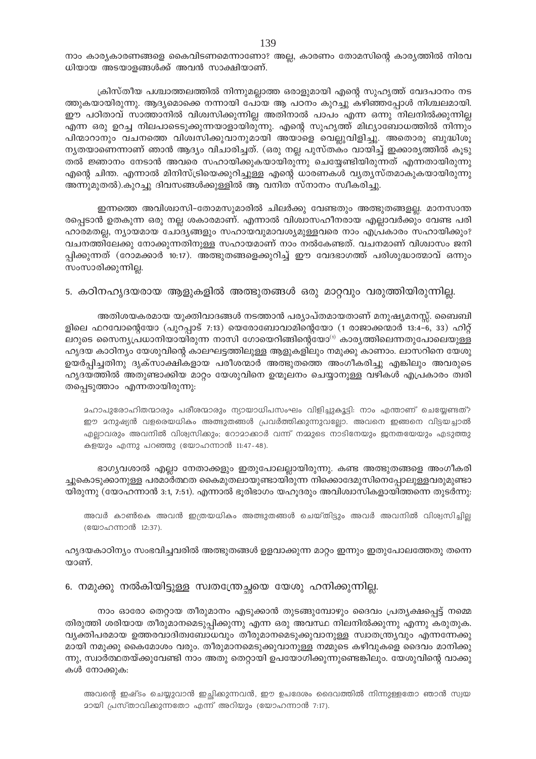നാം കാര്യകാരണങ്ങളെ കൈവിടണമെന്നാണോ? അല്ല, കാരണം തോമസിന്റെ കാര്യത്തിൽ നിരവ ധിയായ അടയാളങ്ങൾക്ക് അവൻ സാക്ഷിയാണ്.

ക്രിസ്തീയ പശ്ചാത്തലത്തിൽ നിന്നുമല്ലാത്ത ഒരാളുമായി എന്റെ സുഹൃത്ത് വേദപഠനം നട ത്തുകയായിരുന്നു. ആദ്യമൊക്കെ നന്നായി പോയ ആ പഠനം കുറച്ചു കഴിഞ്ഞപ്പോൾ നിശ്ചലമായി. ഈ പഠിതാവ് സാത്താനിൽ വിശ്വസിക്കുന്നില്ല അതിനാൽ പാപം എന്ന ഒന്നു നിലനിൽക്കുന്നില്ല എന്ന ഒരു ഉറച്ച നിലപാടെടുക്കുന്നയാളായിരുന്നു. എന്റെ സുഹൃത്ത് മിഥ്യാബോധത്തിൽ നിന്നും പിന്മാറാനും വചനത്തെ വിശ്വസിക്കുവാനുമായി അയാളെ വെല്ലുവിളിച്ചു. അതൊരു ബുദ്ധിശൂ നൃതയാണെന്നാണ് ഞാൻ ആദ്യം വിചാരിച്ചത്. (ഒരു നല്ല പുസ്തകം വായിച്ച് ഇക്കാരൃത്തിൽ കൂടു തൽ ജ്ഞാനം നേടാൻ അവരെ സഹായിക്കുകയായിരുന്നു ചെയ്യേണ്ടിയിരുന്നത് എന്നതായിരുന്നു എന്റെ ചിന്ത. എന്നാൽ മിനിസ്ട്രിയെക്കുറിച്ചുള്ള എന്റെ ധാരണകൾ വ്യത്യസ്തമാകുകയായിരുന്നു അന്നുമുതൽ).കുറച്ചു ദിവസങ്ങൾക്കുള്ളിൽ ആ വനിത സ്നാനം സ്ഥീകരിച്ചു.

ഇന്നത്തെ അവിശ്വാസി–തോമസുമാരിൽ ചിലർക്കു വേണ്ടതും അത്ഭുതങ്ങളല്ല. മാനസാന്ത രപ്പെടാൻ ഉതകുന്ന ഒരു നല്ല ശകാരമാണ്. എന്നാൽ വിശ്വാസഹീനരായ എല്ലാവർക്കും വേണ്ട പരി ഹാരമതല്ല, ന്യായമായ ചോദ്യങ്ങളും സഹായവുമാവശ്യമുള്ളവരെ നാം എപ്രകാരം സഹായിക്കും? വചനത്തിലേക്കു നോക്കുന്നതിനുള്ള സഹായമാണ് നാം നൽകേണ്ടത്. വചനമാണ് വിശ്വാസം ജനി പ്പിക്കുന്നത് (റോമക്കാർ 10:17). അത്ഭുതങ്ങളെക്കുറിച്ച് ഈ വേദഭാഗത്ത് പരിശുദ്ധാത്മാവ് ഒന്നും സംസാരിക്കുന്നില്ല.

## 5. കഠിനഹൃദയരായ ആളുകളിൽ അത്ഭുതങ്ങൾ ഒരു മാറ്റവും വരുത്തിയിരുന്നില്ല.

അതിശയകരമായ യുക്തിവാദങ്ങൾ നടത്താൻ പര്യാപ്തമായതാണ് മനുഷ്യമനസ്സ്. ബൈബി ളിലെ ഫറവോന്റെയോ (പുറപ്പാട് 7:13) യെരോബോവാമിന്റെയോ (1 രാജാക്കന്മാർ 13:4–6, 33) ഹിറ്റ് ലറുടെ സൈന്യപ്രധാനിയായിരുന്ന നാസി ഗോയെറിങ്ങിന്റെയോ<sup>ന</sup> കാര്യത്തിലെന്നതുപോലെയുള്ള ഹൃദയ കാഠിന്യം യേശുവിന്റെ കാലഘട്ടത്തിലുള്ള ആളുകളിലും നമുക്കു കാണാം. ലാസറിനെ യേശു ഉയർപ്പിച്ചതിനു ദൃക്സാക്ഷികളായ പരീശന്മാർ അത്ഭുതത്തെ അംഗീകരിച്ചു എങ്കിലും അവരുടെ ഹൃദയത്തിൽ അതുണ്ടാക്കിയ മാറ്റം യേശുവിനെ ഉന്മൂലനം ചെയ്യാനുള്ള വഴികൾ എപ്രകാരം ത്വരി തപ്പെടുത്താം എന്നതായിരുന്നു:

ഛാപുരോഹിതന്മാരും പരീശന്മാരും ന്യായാധിപസംഘം വിളിച്ചുകൂട്ടി: നാം എന്താണ് ചെയ്യേണ്ടത്? ഈ മനുഷ്യൻ വളരെയധികം അത്ഭുതങ്ങൾ പ്രവർത്തിക്കുന്നുവല്വോ. അവനെ ഇങ്ങനെ വിട്ടയച്ചാൽ എല്ലാവരും അവനിൽ വിശ്വസിക്കും; റോമാക്കാർ വന്ന് നമ്മുടെ നാടിനേയും ജനതയേയും എടുത്തു കളയും എന്നു പറഞ്ഞു (യോഹന്നാൻ 11:47-48).

ഭാഗ്യവശാൽ എല്ലാ നേതാക്കളും ഇതുപോലല്ലായിരുന്നു. കണ്ട അത്ഭുതങ്ങളെ അംഗീകരി ച്ചുകൊടുക്കാനുള്ള പരമാർത്ഥത കൈമുതലായുണ്ടായിരുന്ന നിക്കൊദേമുസിനെപ്പോലുള്ളവരുമുണ്ടാ യിരുന്നു (യോഹന്നാൻ 3:1, 7:51). എന്നാൽ ഭൂരിഭാഗം യഹൂദരും അവിശ്വാസികളായിത്തന്നെ തുടർന്നു:

അവർ കാൺകെ അവൻ ഇത്രയധികം അത്ഭുതങ്ങൾ ചെയ്തിട്ടും അവർ അവനിൽ വിശ്വസിച്ചില്ല (യോഹന്നാൻ 12:37).

ഹൃദയകാഠിന്യം സംഭവിച്ചവരിൽ അത്ഭുതങ്ങൾ ഉളവാക്കുന്ന മാറ്റം ഇന്നും ഇതുപോലത്തേതു തന്നെ യാണ്.

## 6. നമുക്കു നൽകിയിട്ടുള്ള സ്വതന്ത്രേച്ചയെ യേശു ഹനിക്കുന്നില്ല.

നാം ഓരോ തെറ്റായ തീരുമാനം എടുക്കാൻ തുടങ്ങുമ്പോഴും ദൈവം പ്രത്യക്ഷപ്പെട്ട് നമ്മെ തിരുത്തി ശരിയായ തീരുമാനമെടുപ്പിക്കുന്നു എന്ന ഒരു അവസ്ഥ നിലനിൽക്കുന്നു എന്നു കരുതുക. വ്യക്തിപരമായ ഉത്തരവാദിത്വബോധവും തീരുമാനമെടുക്കുവാനുള്ള സ്വാതന്ത്ര്യവും എന്നന്നേക്കു മായി നമുക്കു കൈമോശം വരും. തീരുമാനമെടുക്കുവാനുള്ള നമ്മുടെ കഴിവുകളെ ദൈവം മാനിക്കു ന്നു, സ്വാർത്ഥതയ്ക്കുവേണ്ടി നാം അതു തെറ്റായി ഉപയോഗിക്കുന്നുണ്ടെങ്കിലും. യേശുവിന്റെ വാക്കു കൾ നോക്കുക:

അവന്റെ ഇഷ്ടം ചെയ്യുവാൻ ഇച്ഛിക്കുന്നവൻ, ഈ ഉപദേശം ദൈവത്തിൽ നിന്നുള്ളതോ ഞാൻ സ്വയ 2ായി പ്രസ്താവിക്കുന്നതോ എന്ന് അറിയും (യോഹന്നാൻ 7:17).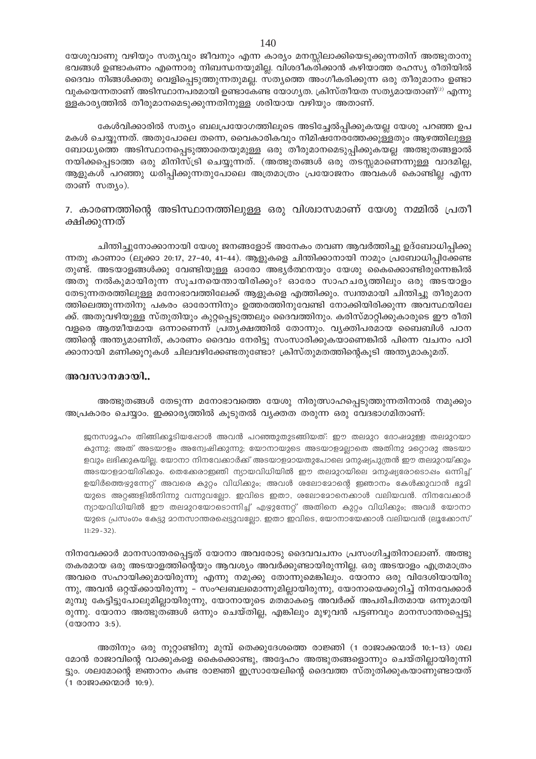യേശുവാണു വഴിയും സത്യവും ജീവനും എന്ന കാര്യം മനസ്സിലാക്കിയെടുക്കുന്നതിന് അത്ഭുതാനു ഭവങ്ങൾ ഉണ്ടാകണം എന്നൊരു നിബന്ധനയുമില്ല. വിശദീകരിക്കാൻ കഴിയാത്ത രഹസ്യ രീതിയിൽ ദൈവം നിങ്ങൾക്കതു വെളിപ്പെടുത്തുന്നതുമല്ല. സത്യത്തെ അംഗീകരിക്കുന്ന ഒരു തീരുമാനം ഉണ്ടാ വുകയെന്നതാണ് അടിസ്ഥാനപരമായി ഉണ്ടാകേണ്ട യോഗ്യത. ക്രിസ്തീയത സത്യമായതാണ്<sup>(2)</sup> എന്നു ള്ളകാര്യത്തിൽ തീരുമാനമെടുക്കുന്നതിനുള്ള ശരിയായ വഴിയും അതാണ്.

കേൾവിക്കാരിൽ സത്യം ബലപ്രയോഗത്തിലൂടെ അടിച്ചേൽപ്പിക്കുകയല്ല യേശു പറഞ്ഞ ഉപ മകൾ ചെയ്യുന്നത്. അതുപോലെ തന്നെ, വൈകാരികവും നിമിഷനേരത്തേക്കുള്ളതും ആഴത്തിലുള്ള ബോധ്യത്തെ അടിസ്ഥാനപ്പെടുത്താതെയുമുള്ള ഒരു തീരുമാനമെടുപ്പിക്കുകയല്ല അത്ഭുതങ്ങളാൽ നയിക്കപ്പെടാത്ത ഒരു മിനിസ്ട്രി ചെയ്യുന്നത്. (അത്ഭുതങ്ങൾ ഒരു തടസ്സമാണെന്നുള്ള വാദമില്ല, ആളുകൾ പറഞ്ഞു ധരിപ്പിക്കുന്നതുപോലെ അത്രമാത്രം പ്രയോജനം അവകൾ കൊണ്ടില്ല എന്ന താണ് സത്യം).

## 7. കാരണത്തിന്റെ അടിസ്ഥാനത്തിലുള്ള ഒരു വിശ്വാസമാണ് യേശു നമ്മിൽ പ്രതീ ക്ഷിക്കുന്നത്

ചിന്തിച്ചുനോക്കാനായി യേശു ജനങ്ങളോട് അനേകം തവണ ആവർത്തിച്ചു ഉദ്ബോധിപ്പിക്കു ന്നതു കാണാം (ലൂക്കാ 20:17, 27–40, 41–44). ആളുകളെ ചിന്തിക്കാനായി നാമും പ്രബോധിപ്പിക്കേണ്ട തുണ്ട്. അടയാളങ്ങൾക്കു വേണ്ടിയുള്ള ഓരോ അഭ്യർത്ഥനയും യേശു കൈക്കൊണ്ടിരുന്നെങ്കിൽ അതു നൽകുമായിരുന്ന സൂചനയെന്തായിരിക്കും? ഓരോ സാഹചര്യത്തിലും ഒരു അടയാളം തേടുന്നതരത്തിലുള്ള മനോഭാവത്തിലേക്ക് ആളുകളെ എത്തിക്കും. സ്വന്തമായി ചിന്തിച്ചു തീരുമാന ത്തിലെത്തുന്നതിനു പകരം ഓരോന്നിനും ഉത്തരത്തിനുവേണ്ടി നോക്കിയിരിക്കുന്ന അവസ്ഥയിലേ ക്ക്. അതുവഴിയുള്ള സ്തുതിയും കുറ്റപ്പെടുത്തലും ദൈവത്തിനും. കരിസ്മാറ്റിക്കുകാരുടെ ഈ രീതി വളരെ ആത്മീയമായ ഒന്നാണെന്ന് പ്രത്യക്ഷത്തിൽ തോന്നും. വ്യക്തിപരമായ ബൈബിൾ പഠന ത്തിന്റെ അന്ത്യമാണിത്, കാരണം ദൈവം നേരിട്ടു സംസാരിക്കുകയാണെങ്കിൽ പിന്നെ വചനം പഠി ക്കാനായി മണിക്കൂറുകൾ ചിലവഴിക്കേണ്ടതുണ്ടോ? ക്രിസ്തുമതത്തിന്റെകൂടി അന്ത്യമാകുമത്.

### അവസാനമായി..

## അത്ഭുതങ്ങൾ തേടുന്ന മനോഭാവത്തെ യേശു നിരുത്സാഹപ്പെടുത്തുന്നതിനാൽ നമുക്കും അപ്രകാരം ചെയ്യാം. ഇക്കാര്യത്തിൽ കൂടുതൽ വ്യക്തത തരുന്ന ഒരു വേദഭാഗമിതാണ്:

ജനസമൂഹം തിങ്ങിക്കുടിയപ്പോൾ അവൻ പറഞ്ഞുതുടങ്ങിയത്: ഈ തലമുറ ദോഷമുള്ള തലമുറയാ കുന്നു; അത് അടയാളം അന്വേഷിക്കുന്നു; യോനായുടെ അടയാളാല്ലാതെ അതിനു മറ്റൊരു അടയാ ളവും ലഭിക്കുകയില്ല. യോനാ നിനവേക്കാർക്ക് അടയാളമായതുപോലെ മനുഷ്യപുത്രൻ ഈ തലമുറയ്ക്കും അടയാളമായിരിക്കും. തെക്കേരാഇഞി ന്യായവിധിയിൽ ഈ തലമുറയിലെ മനുഷ്യരോടൊഷം ഒന്നിച്ച് ഉയിർത്തെഴുന്നേറ്റ് അവരെ കുറ്റം വിധിക്കും; അവൾ ശലോമോന്റെ ഇഞാനം കേൾക്കുവാൻ ഭൂമി യുടെ അറ്റങ്ങളിൽനിന്നു വന്നുവല്ലോ. ഇവിടെ ഇതാ, ശലോമോനെക്കാൾ വലിയവൻ. നിനവേക്കാർ ന്യായവിധിയിൽ ഈ തലമുറയോടൊന്നിച്ച് എഴുന്നേറ്റ് അതിനെ കുറ്റം വിധിക്കും; അവർ യോനാ യുടെ പ്രസംഗം കേട്ടു മാനസാന്തരപ്പെട്ടുവല്ലോ. ഇതാ ഇവിടെ, യോനായേക്കാൾ വലിയവൻ ല്രൂക്കോസ്  $11:29 - 32$ ).

നിനവേക്കാർ മാനസാന്തരപ്പെട്ടത് യോനാ അവരോടു ദൈവവചനം പ്രസംഗിച്ചതിനാലാണ്. അത്ഭു തകരമായ ഒരു അടയാളത്തിന്റെയും ആവശ്യം അവർക്കുണ്ടായിരുന്നില്ല. ഒരു അടയാളം എത്രമാത്രം അവരെ സഹായിക്കുമായിരുന്നു എന്നു നമുക്കു തോന്നുമെങ്കിലും. യോനാ ഒരു വിദേശിയായിരു ന്നു, അവൻ ഒറ്റയ്ക്കായിരുന്നു – സംഘബലമൊന്നുമില്ലായിരുന്നു, യോനായെക്കുറിച്ച് നിനവേക്കാർ മുമ്പു കേട്ടിട്ടുപോലുമില്ലായിരുന്നു, യോനായുടെ മതമാകട്ടെ അവർക്ക് അപരിചിതമായ ഒന്നുമായി രുന്നു. യോനാ അത്ഭുതങ്ങൾ ഒന്നും ചെയ്തില്ല, എങ്കിലും മുഴുവൻ പട്ടണവും മാനസാന്തരപ്പെട്ടു (യോനാ 3:5).

അതിനും ഒരു നൂറ്റാണ്ടിനു മുമ്പ് തെക്കുദേശത്തെ രാജ്ഞി (1 രാജാക്കന്മാർ 10:1-13) ശല മോൻ രാജാവിന്റെ വാക്കുകളെ കൈക്കൊണ്ടു, അദ്ദേഹം അത്ഭുതങ്ങളൊന്നും ചെയ്തില്ലായിരുന്നി ട്ടും. ശലമോന്റെ ജ്ഞാനം കണ്ട രാജ്ഞി ഇസ്രായേലിന്റെ ദൈവത്ത സ്തുതിക്കുകയാണുണ്ടായത് (1 രാജാക്കന്മാർ 10:9).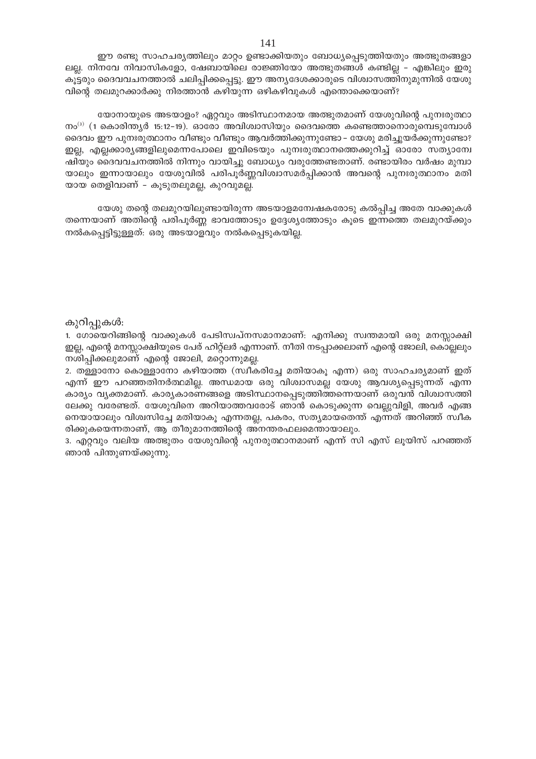ഈ രണ്ടു സാഹചര്യത്തിലും മാറ്റം ഉണ്ടാക്കിയതും ബോധ്യപ്പെടുത്തിയതും അത്ഭുതങ്ങളാ ലല്ല. നിനവേ നിവാസികളോ, ഷേബായിലെ രാജ്ഞിയോ അത്ഭുതങ്ങൾ കണ്ടില്ല – എങ്കിലും ഇരു കൂട്ടരും ദൈവവചനത്താൽ ചലിപ്പിക്കപ്പെട്ടു. ഈ അന്യദേശക്കാരുടെ വിശ്വാസത്തിനുമുന്നിൽ യേശു വിന്റെ തലമുറക്കാർക്കു നിരത്താൻ കഴിയുന്ന ഒഴികഴിവുകൾ എന്തൊക്കെയാണ്?

യോനായുടെ അടയാളം? ഏറ്റവും അടിസ്ഥാനമായ അത്ഭുതമാണ് യേശുവിന്റെ പുനഃരുത്ഥാ നം<sup>(3)</sup> (1 കൊരിന്ത്യർ 15:12-19). ഓരോ അവിശ്വാസിയും ദൈവത്തെ കണ്ടെത്താനൊരുമ്പെടുമ്പോൾ ദൈവം ഈ പുനഃരുത്ഥാനം വീണ്ടും വീണ്ടും ആവർത്തിക്കുന്നുണ്ടോ – യേശു മരിച്ചുയർക്കുന്നുണ്ടോ? ഇല്ല, എല്ലക്കാര്യങ്ങളിലുമെന്നപോലെ ഇവിടെയും പുനഃരുത്ഥാനത്തെക്കുറിച്ച് ഓരോ സത്യാമ്പേ ഷിയും ദൈവവചനത്തിൽ നിന്നും വായിച്ചു ബോധ്യം വരുത്തേണ്ടതാണ്. രണ്ടായിരം വർഷം മുമ്പാ യാലും ഇന്നായാലും യേശുവിൽ പരിപൂർണ്ണവിശ്വാസമർപ്പിക്കാൻ അവന്റെ പുനഃരുത്ഥാനം മതി യായ തെളിവാണ് – കുടുതലുമല്ല, കുറവുമല്ല.

യേശു തന്റെ തലമുറയിലുണ്ടായിരുന്ന അടയാളമന്വേഷകരോടു കൽപ്പിച്ച അതേ വാക്കുകൾ തന്നെയാണ് അതിന്റെ പരിപൂർണ്ണ ഭാവത്തോടും ഉദ്ദേശ്യത്തോടും കൂടെ ഇന്നത്തെ തലമുറയ്ക്കും നൽകപ്പെട്ടിട്ടുള്ളത്: ഒരു അടയാളവും നൽകപ്പെടുകയില്ല.

## കുറിപ്പുകൾ:

1. ഗോയെറിങ്ങിന്റെ വാക്കുകൾ പേടിസ്വപ്നസമാനമാണ്: എനിക്കു സ്വന്തമായി ഒരു മനസ്സാക്ഷി ഇല്ല, എന്റെ മനസ്സാക്ഷിയുടെ പേര് ഹിറ്റ്ലർ എന്നാണ്. നീതി നടപ്പാക്കലാണ് എന്റെ ജോലി, കൊല്ലലും നശിപ്പിക്കലുമാണ് എന്റെ ജോലി, മറ്റൊന്നുമല്ല.

2. തള്ളാനോ കൊള്ളാനോ കഴിയാത്ത (സ്വീകരിച്ചേ മതിയാകൂ എന്ന) ഒരു സാഹചര്യമാണ് ഇത് എന്ന് ഈ പറഞ്ഞതിനർത്ഥമില്ല. അന്ധമായ ഒരു വിശ്വാസമല്ല യേശു ആവശ്യപ്പെടുന്നത് എന്ന കാര്യം വ്യക്തമാണ്. കാര്യകാരണങ്ങളെ അടിസ്ഥാനപ്പെടുത്തിത്തന്നെയാണ് ഒരുവൻ വിശ്വാസത്തി ലേക്കു വരേണ്ടത്. യേശുവിനെ അറിയാത്തവരോട് ഞാൻ കൊടുക്കുന്ന വെല്ലുവിളി, അവർ എങ്ങ നെയായാലും വിശ്വസിച്ചേ മതിയാകൂ എന്നതല്ല, പകരം, സത്യമായതെന്ത് എന്നത് അറിഞ്ഞ് സ്വീക രിക്കുകയെന്നതാണ്, ആ തീരുമാനത്തിന്റെ അനന്തരഫലമെന്തായാലും.

3. എറ്റവും വലിയ അത്ഭുതം യേശുവിന്റെ പുനരുത്ഥാനമാണ് എന്ന് സി എസ് ലൂയിസ് പറഞ്ഞത് ഞാൻ പിന്തുണയ്ക്കുന്നു.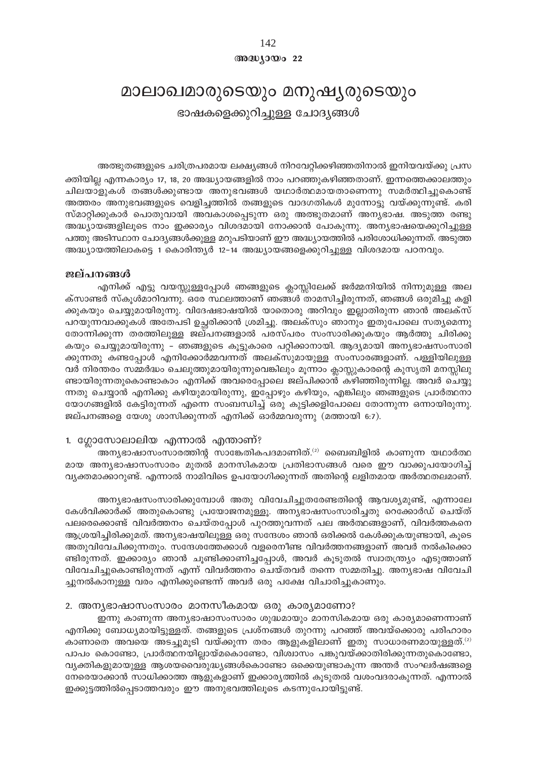## അദ്ധ്യായം 22

## മാലാഖമാരുടെയും മനുഷൃരുടെയും ഭാഷകളെക്കുറിച്ചുള്ള ചോദ്യങ്ങൾ

അത്ഭുതങ്ങളുടെ ചരിത്രപരമായ ലക്ഷ്യങ്ങൾ നിറവേറ്റിക്കഴിഞ്ഞതിനാൽ ഇനിയവയ്ക്കു പ്രസ

ക്തിയില്ല എന്നകാര്യം 17, 18, 20 അദ്ധ്യായങ്ങളിൽ നാം പറഞ്ഞുകഴിഞ്ഞതാണ്. ഇന്നത്തെക്കാലത്തും ചിലയാളുകൾ തങ്ങൾക്കുണ്ടായ അനുഭവങ്ങൾ യഥാർത്ഥമായതാണെന്നു സമർത്ഥിച്ചുകൊണ്ട് അത്തരം അനുഭവങ്ങളുടെ വെളിച്ചത്തിൽ തങ്ങളുടെ വാദഗതികൾ മുന്നോട്ടു വയ്ക്കുന്നുണ്ട്. കരി സ്മാറ്റിക്കുകാർ പൊതുവായി അവകാശപ്പെടുന്ന ഒരു അത്ഭുതമാണ് അന്യഭാഷ. അടുത്ത രണ്ടു അദ്ധ്യായങ്ങളിലൂടെ നാം ഇക്കാര്യം വിശദമായി നോക്കാൻ പോകുന്നു. അന്യഭാഷയെക്കുറിച്ചുള്ള പത്തു അടിസ്ഥാന ചോദ്യങ്ങൾക്കുള്ള മറുപടിയാണ് ഈ അദ്ധ്യായത്തിൽ പരിശോധിക്കുന്നത്. അടുത്ത അദ്ധ്യായത്തിലാകട്ടെ 1 കൊരിന്ത്യർ 12-14 അദ്ധ്യായങ്ങളെക്കുറിച്ചുള്ള വിശദമായ പഠനവും.

### ജല്പനങ്ങൾ

എനിക്ക് എട്ടു വയസ്സുള്ളപ്പോൾ ഞങ്ങളുടെ ക്ലാസ്സിലേക്ക് ജർമ്മനിയിൽ നിന്നുമുള്ള അല ക്സാണ്ടർ സ്കൂൾമാറിവന്നു. ഒരേ സ്ഥലത്താണ് ഞങ്ങൾ താമസിച്ചിരുന്നത്, ഞങ്ങൾ ഒരുമിച്ചു കളി ക്കുകയും ചെയ്യുമായിരുന്നു. വിദേഷഭാഷയിൽ യാതൊരു അറിവും ഇല്ലാതിരുന്ന ഞാൻ അലക്സ് പറയുന്നവാക്കുകൾ അതേപടി ഉച്ഛരിക്കാൻ ശ്രമിച്ചു. അലക്സും ഞാനും ഇതുപോലെ സത്യമെന്നു തോന്നിക്കുന്ന തരത്തിലുള്ള ജല്പനങ്ങളാൽ പരസ്പരം സംസാരിക്കുകയും ആർത്തു ചിരിക്കു കയും ചെയ്യുമായിരുന്നു - ഞങ്ങളുടെ കൂട്ടുകാരെ പറ്റിക്കാനായി. ആദ്യമായി അന്യഭാഷസംസാരി ക്കുന്നതു കണ്ടപ്പോൾ എനിക്കോർമ്മവന്നത് അലക്സുമായുള്ള സംസാരങ്ങളാണ്. പള്ളിയിലുള്ള വർ നിരന്തരം സമ്മർദ്ധം ചെലുത്തുമായിരുന്നുവെങ്കിലും മൂന്നാം ക്ലാസ്സുകാരന്റെ കുസൃതി മനസ്സിലു ണ്ടായിരുന്നതുകൊണ്ടാകാം എനിക്ക് അവരെപ്പോലെ ജല്പിക്കാൻ കഴിഞ്ഞിരുന്നില്ല. അവർ ചെയ്യു ന്നതു ചെയ്യാൻ എനിക്കു കഴിയുമായിരുന്നു, ഇപ്പോഴും കഴിയും, എങ്കിലും ഞങ്ങളുടെ പ്രാർത്ഥനാ യോഗങ്ങളിൽ കേട്ടിരുന്നത് എന്നെ സംബന്ധിച്ച് ഒരു കുട്ടിക്കളിപോലെ തോന്നുന്ന ഒന്നായിരുന്നു. ജല്പനങ്ങളെ യേശു ശാസിക്കുന്നത് എനിക്ക് ഓർമ്മവരുന്നു (മത്തായി 6:7).

## 1. ഗ്ലോസോലാലിയ എന്നാൽ എന്താണ്?

അന്യഭാഷാസംസാരത്തിന്റ സാങ്കേതികപദമാണിത്. $^{(2)}$  ബൈബിളിൽ കാണുന്ന യഥാർത്ഥ മായ അന്യഭാഷാസംസാരം മുതൽ മാനസികമായ പ്രതിഭാസങ്ങൾ വരെ ഈ വാക്കുപയോഗിച്ച് വ്യക്തമാക്കാറുണ്ട്. എന്നാൽ നാമിവിടെ ഉപയോഗിക്കുന്നത് അതിന്റെ ലളിതമായ അർത്ഥതലമാണ്.

അന്യഭാഷസംസാരിക്കുമ്പോൾ അതു വിവേചിച്ചുതരേണ്ടതിന്റെ ആവശ്യമുണ്ട്, എന്നാലേ കേൾവിക്കാർക്ക് അതുകൊണ്ടു പ്രയോജനമുള്ളൂ. അനൃഭാഷസംസാരിച്ചതു റെക്കോർഡ് ചെയ്ത് പലരെക്കൊണ്ട് വിവർത്തനം ചെയ്തപ്പോൾ പുറത്തുവന്നത് പല അർത്ഥങ്ങളാണ്, വിവർത്തകനെ ആശ്രയിച്ചിരിക്കുമത്. അന്യഭാഷയിലുള്ള ഒരു സന്ദേശം ഞാൻ ഒരിക്കൽ കേൾക്കുകയുണ്ടായി, കൂടെ അതുവിവേചിക്കുന്നതും. സന്ദേശത്തേക്കാൾ വളരെനീണ്ട വിവർത്തനങ്ങളാണ് അവർ നൽകിക്കൊ ണ്ടിരുന്നത്. ഇക്കാര്യം ഞാൻ ചൂണ്ടിക്കാണിച്ചപ്പോൾ, അവർ കൂടുതൽ സ്വാതന്ത്ര്യം എടുത്താണ് വിവേചിച്ചുകൊണ്ടിരുന്നത് എന്ന് വിവർത്തനം ചെയ്തവർ തന്നെ സമ്മതിച്ചു. അന്യഭാഷ വിവേചി ച്ചുനൽകാനുള്ള വരം എനിക്കുണ്ടെന്ന് അവർ ഒരു പക്ഷേ വിചാരിച്ചുകാണും.

#### 2. അന്യഭാഷാസംസാരം മാനസീകമായ ഒരു കാര്യമാണോ?

ഇന്നു കാണുന്ന അനൃഭാഷാസംസാരം ശുദ്ധമായും മാനസികമായ ഒരു കാര്യമാണെന്നാണ് എനിക്കു ബോധ്യമായിട്ടുള്ളത്. തങ്ങളുടെ പ്രശ്നങ്ങൾ തുറന്നു പറഞ്ഞ് അവയ്ക്കൊരു പരിഹാരം കാണാതെ അവയെ അടച്ചുമൂടി വയ്ക്കുന്ന തരം ആളുകളിലാണ് ഇതു സാധാരണമായുള്ളത്.<sup>ഗ</sup> പാപം കൊണ്ടോ, പ്രാർത്ഥനയില്ലായ്മകൊണ്ടോ, വിശ്വാസം പങ്കുവയ്ക്കാതിരിക്കുന്നതുകൊണ്ടോ, വ്യക്തികളുമായുള്ള ആശയവൈരുദ്ധ്യങ്ങൾകൊണ്ടോ ഒക്കെയുണ്ടാകുന്ന അന്തർ സംഘർഷങ്ങളെ നേരെയാക്കാൻ സാധിക്കാത്ത ആളുകളാണ് ഇക്കാരൃത്തിൽ കൂടുതൽ വശംവദരാകുന്നത്. എന്നാൽ ഇക്കുട്ടത്തിൽപ്പെടാത്തവരും ഈ അനുഭവത്തിലൂടെ കടന്നുപോയിട്ടുണ്ട്.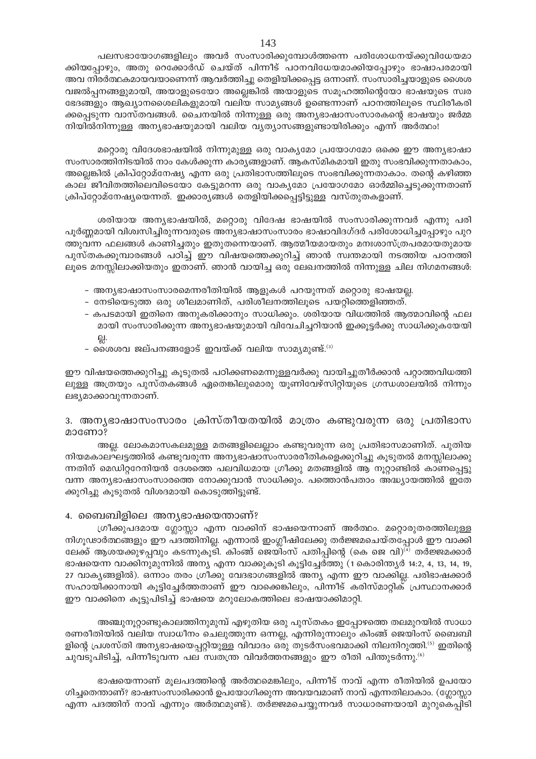പലസഭായോഗങ്ങളിലും അവർ സംസാരിക്കുമ്പോൾത്തന്നെ പരിശോധനയ്ക്കുവിധേയമാ ക്കിയപ്പോഴും, അതു റെക്കോർഡ് ചെയ്ത് പിന്നീട് പഠനവിധേയമാക്കിയപ്പോഴും ഭാഷാപരമായി അവ നിരർത്ഥകമായവയാണെന്ന് ആവർത്തിച്ചു തെളിയിക്കപ്പെട്ട ഒന്നാണ്. സംസാരിച്ചയാളുടെ ശൈശ വജൽപ്പനങ്ങളുമായി, അയാളുടെയോ അല്ലെങ്കിൽ അയാളുടെ സമൂഹത്തിന്റെയോ ഭാഷയുടെ സ്വര ഭേദങ്ങളും ആഖ്യാനശൈലികളുമായി വലിയ സാമൃങ്ങൾ ഉണ്ടെന്നാണ് പഠനത്തിലൂടെ സ്ഥിരീകരി ക്കപ്പെടുന്ന വാസ്തവങ്ങൾ. ചൈനയിൽ നിന്നുള്ള ഒരു അന്യഭാഷാസംസാരകന്റെ ഭാഷയും ജർമ്മ നിയിൽനിന്നുള്ള അന്യഭാഷയുമായി വലിയ വ്യത്യാസങ്ങളുണ്ടായിരിക്കും എന്ന് അർത്ഥം!

മറ്റൊരു വിദേശഭാഷയിൽ നിന്നുമുള്ള ഒരു വാകൃമോ പ്രയോഗമോ ഒക്കെ ഈ അനൃഭാഷാ സംസാരത്തിനിടയിൽ നാം കേൾക്കുന്ന കാര്യങ്ങളാണ്. ആകസ്മികമായി ഇതു സംഭവിക്കുന്നതാകാം, അല്ലെങ്കിൽ ക്രിപ്റ്റോമ്നേഷ്യ എന്ന ഒരു പ്രതിഭാസത്തിലൂടെ സംഭവിക്കുന്നതാകാം. തന്റെ കഴിഞ്ഞ കാല ജീവിതത്തിലെവിടെയോ കേട്ടുമറന്ന ഒരു വാകൃമോ പ്രയോഗമോ ഓർമ്മിച്ചെടുക്കുന്നതാണ് ക്രിപ്റ്റോമ്നേഷ്യയെന്നത്. ഇക്കാര്യങ്ങൾ തെളിയിക്കപ്പെട്ടിട്ടുള്ള വസ്തുതകളാണ്.

ശരിയായ അന്യഭാഷയിൽ, മറ്റൊരു വിദേഷ ഭാഷയിൽ സംസാരിക്കുന്നവർ എന്നു പരി പൂർണ്ണമായി വിശ്വസിച്ചിരുന്നവരുടെ അന്യഭാഷാസംസാരം ഭാഷാവിദഗ്ദർ പരിശോധിച്ചപ്പോഴും പുറ ത്തുവന്ന ഫലങ്ങൾ കാണിച്ചതും ഇതുതന്നെയാണ്. ആത്മീയമായതും മനഃശാസ്ത്രപരമായതുമായ പുസ്തകക്കുമ്പാരങ്ങൾ പഠിച്ച് ഈ വിഷയത്തെക്കുറിച്ച് ഞാൻ സ്വന്തമായി നടത്തിയ പഠനത്തി ലൂടെ മനസ്സിലാക്കിയതും ഇതാണ്. ഞാൻ വായിച്ച ഒരു ലേഖനത്തിൽ നിന്നുള്ള ചില നിഗമനങ്ങൾ:

- അന്യഭാഷാസംസാരമെന്നരീതിയിൽ ആളുകൾ പറയുന്നത് മറ്റൊരു ഭാഷയല്ല.
- നേടിയെടുത്ത ഒരു ശീലമാണിത്, പരിശീലനത്തിലൂടെ പയറിത്തെളിഞ്ഞത്.
- കപടമായി ഇതിനെ അനുകരിക്കാനും സാധിക്കും. ശരിയായ വിധത്തിൽ ആത്മാവിന്റെ ഫല മായി സംസാരിക്കുന്ന അന്യഭാഷയുമായി വിവേചിച്ചറിയാൻ ഇക്കൂട്ടർക്കു സാധിക്കുകയേയി
- ശൈശവ ജല്പനങ്ങളോട് ഇവയ്ക്ക് വലിയ സാമ്യമുണ്ട്.  $^{(3)}$

ഈ വിഷയത്തെക്കുറിച്ചു കൂടുതൽ പഠിക്കണമെന്നുള്ളവർക്കു വായിച്ചുതീർക്കാൻ പറ്റാത്തവിധത്തി ലുള്ള അത്രയും പുസ്തകങ്ങൾ ഏതെങ്കിലുമൊരു യൂണിവേഴ്സിറ്റിയുടെ ഗ്രന്ധശാലയിൽ നിന്നും ലഭ്യമാക്കാവുന്നതാണ്.

## 3. അനൃഭാഷാസംസാരം ക്രിസ്തീയതയിൽ മാത്രം കണ്ടുവരുന്ന ഒരു പ്രതിഭാസ മാണോ?

അല്ല. ലോകമാസകലമുള്ള മതങ്ങളിലെല്ലാം കണ്ടുവരുന്ന ഒരു പ്രതിഭാസമാണിത്. പുതിയ നിയമകാലഘട്ടത്തിൽ കണ്ടുവരുന്ന അന്യഭാഷാസംസാരരീതികളെക്കുറിച്ചു കൂടുതൽ മനസ്സിലാക്കു ന്നതിന് മെഡിറ്ററേനിയൻ ദേശത്തെ പലവിധമായ ഗ്രീക്കു മതങ്ങളിൽ ആ നൂറ്റാണ്ടിൽ കാണപ്പെട്ടു വന്ന അനൃഭാഷാസംസാരത്തെ നോക്കുവാൻ സാധിക്കും. പത്തൊൻപതാം അദ്ധ്യായത്തിൽ ഇതേ ക്കുറിച്ചു കൂടുതൽ വിശദമായി കൊടുത്തിട്ടുണ്ട്.

## 4. ബൈബിളിലെ അന്യഭാഷയെന്താണ്?

ഗ്രീക്കുപദമായ ഗ്ലോസ്ലാ എന്ന വാക്കിന് ഭാഷയെന്നാണ് അർത്ഥം. മറ്റൊരുതരത്തിലുള്ള നിഗൂഢാർത്ഥങ്ങളും ഈ പദത്തിനില്ല. എന്നാൽ ഇംഗ്ലീഷിലേക്കു തർജ്ജമചെയ്തപ്പോൾ ഈ വാക്കി ലേക്ക് ആശയക്കുഴപ്പവും കടന്നുകൂടി. കിംങ്ങ് ജെയിംസ് പതിപ്പിന്റെ (കെ ജെ വി) $^{(4)}$  തർജ്ജമക്കാർ ഭാഷയെന്ന വാക്കിനുമുന്നിൽ അന്യ എന്ന വാക്കുകൂടി കൂട്ടിച്ചേർത്തു (1 കൊരിന്ത്യർ 14:2, 4, 13, 14, 19, 27 വാകൃങ്ങളിൽ). ഒന്നാം തരം ഗ്രീക്കു വേദഭാഗങ്ങളിൽ അന്യ എന്ന ഈ വാക്കില്ല. പരിഭാഷക്കാർ സഹായിക്കാനായി കൂട്ടിച്ചേർത്തതാണ് ഈ വാക്കെങ്കിലും, പിന്നീട് കരിസ്മാറ്റിക് പ്രസ്ഥാനക്കാർ ഈ വാക്കിനെ കൂട്ടുപിടിച്ച് ഭാഷയെ മറുലോകത്തിലെ ഭാഷയാക്കിമാറ്റി.

അഞ്ചുനൂറ്റാണ്ടുകാലത്തിനുമുമ്പ് എഴുതിയ ഒരു പുസ്തകം ഇപ്പോഴത്തെ തലമുറയിൽ സാധാ രണരീതിയിൽ വലിയ സ്വാധീനം ചെലുത്തുന്ന ഒന്നല്ല, എന്നിരുന്നാലും കിംങ്ങ് ജെയിംസ് ബൈബി ളിന്റെ പ്രശസ്തി അന്യഭാഷയെപ്പറ്റിയുള്ള വിവാദം ഒരു തുടർസംഭവമാക്കി നിലനിറുത്തി.<sup>(s)</sup> ഇതിന്റെ ചുവടുപിടിച്ച്, പിന്നീടുവന്ന പല സ്വതന്ത്ര വിവർത്തനങ്ങളും ഈ രീതി പിന്തുടർന്നു.<sup>(6)</sup>

ഭാഷയെന്നാണ് മൂലപദത്തിന്റെ അർത്ഥമെങ്കിലും, പിന്നീട് നാവ് എന്ന രീതിയിൽ ഉപയോ ഗിച്ചതെന്താണ്? ഭാഷസംസാരിക്കാൻ ഉപയോഗിക്കുന്ന അവയവമാണ് നാവ് എന്നതിലാകാം. (ഗ്ലോസ്സാ എന്ന പദത്തിന് നാവ് എന്നും അർത്ഥമുണ്ട്). തർജ്ജമചെയ്യുന്നവർ സാധാരണയായി മുറുകെപ്പിടി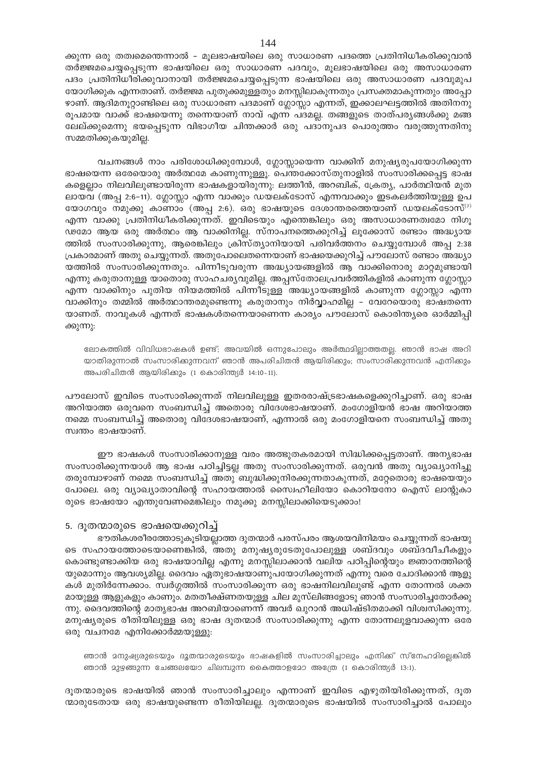ക്കുന്ന ഒരു തത്വമെന്തെന്നാൽ – മൂലഭാഷയിലെ ഒരു സാധാരണ പദത്തെ പ്രതിനിധീകരിക്കുവാൻ തർജ്ജമചെയ്യപ്പെടുന്ന ഭാഷയിലെ ഒരു സാധാരണ പദവും, മൂലഭാഷയിലെ ഒരു അസാധാരണ പദം പ്രതിനിധീരിക്കുവാനായി തർജ്ജമചെയ്യപ്പെടുന്ന ഭാഷയിലെ ഒരു അസാധാരണ പദവുമുപ യോഗിക്കുക എന്നതാണ്. തർജ്ജമ പുതുക്കമുള്ളതും മനസ്സിലാകുന്നതും പ്രസക്തമാകുന്നതും അപ്പോ ഴാണ്. ആദിമനൂറ്റാണ്ടിലെ ഒരു സാധാരണ പദമാണ് ഗ്ലോസ്സാ എന്നത്, ഇക്കാലഘട്ടത്തിൽ അതിനനു രൂപമായ വാക്ക് ഭാഷയെന്നു തന്നെയാണ് നാവ് എന്ന പദമല്ല. തങ്ങളുടെ താത്പര്യങ്ങൾക്കു മങ്ങ ലേല്ക്കുമെന്നു ഭയപ്പെടുന്ന വിഭാഗീയ ചിന്തക്കാർ ഒരു പദാനുപദ പൊരുത്തം വരുത്തുന്നതിനു സമ്മതിക്കുകയുമില്ല.

വചനങ്ങൾ നാം പരിശോധിക്കുമ്പോൾ, ഗ്ലോസ്സായെന്ന വാക്കിന് മനുഷ്യരുപയോഗിക്കുന്ന ഭാഷയെന്ന ഒരേയൊരു അർത്ഥമേ കാണുന്നുള്ളൂ. പെന്തക്കോസ്തുനാളിൽ സംസാരിക്കപ്പെട്ട ഭാഷ കളെല്ലാം നിലവിലുണ്ടായിരുന്ന ഭാഷകളായിരുന്നു: ലത്തീൻ, അറബിക്, ക്രേത്യ, പാർത്ഥിയൻ മുത ലായവ (അപ്പ 2:6-11). ഗ്ലോസ്സാ എന്ന വാക്കും ഡയലക്ടോസ് എന്നവാക്കും ഇടകലർത്തിയുള്ള ഉപ യോഗവും നമുക്കു കാണാം (അപ്പ 2:6). ഒരു ഭാഷയുടെ ദേശാന്തരത്തെയാണ് ഡയലക്ടോസ്<sup>(7)</sup> എന്ന വാക്കു പ്രതിനിധീകരിക്കുന്നത്. ഇവിടെയും എന്തെങ്കിലും ഒരു അസാധാരണത്വമോ നിഗൂ ഢമോ ആയ ഒരു അർത്ഥം ആ വാക്കിനില്ല. സ്നാപനത്തെക്കുറിച്ച് ലൂക്കോസ് രണ്ടാം അദ്ധ്യായ ത്തിൽ സംസാരിക്കുന്നു, ആരെങ്കിലും ക്രിസ്ത്യാനിയായി പരിവർത്തനം ചെയ്യുമ്പോൾ അപ്പ 2:38 പ്രകാരമാണ് അതു ചെയ്യുന്നത്. അതുപോലെതന്നെയാണ് ഭാഷയെക്കുറിച്ച് പൗലോസ് രണ്ടാം അദ്ധ്യാ യത്തിൽ സംസാരിക്കുന്നതും. പിന്നീടുവരുന്ന അദ്ധ്യായങ്ങളിൽ ആ വാക്കിനൊരു മാറ്റമുണ്ടായി എന്നു കരുതാനുള്ള യാതൊരു സാഹചര്യവുമില്ല. അപ്പസ്തോലപ്രവർത്തികളിൽ കാണുന്ന ഗ്ലോസ്സാ എന്ന വാക്കിനും പുതിയ നിയമത്തിൽ പിന്നീടുള്ള അദ്ധ്യായങ്ങളിൽ കാണുന്ന ഗ്ലോസ്സാ എന്ന വാക്കിനും തമ്മിൽ അർത്ഥാന്തരമുണ്ടെന്നു കരുതാനും നിർവ്വാഹമില്ല - വേറേയൊരു ഭാഷതന്നെ യാണത്. നാവുകൾ എന്നത് ഭാഷകൾതന്നെയാണെന്ന കാര്യം പൗലോസ് കൊരിന്ത്യരെ ഓർമ്മിപ്പി ക്കുന്നു:

ലോകത്തിൽ വിവിധഭാഷകൾ ഉണ്ട്; അവയിൽ ഒന്നുപോലും അർത്ഥമില്ലാത്തതല്ല. ഞാൻ ഭാഷ അറി യാതിരുന്നാൽ സംസാരിക്കുന്നവന് ഞാൻ അപരിചിതൻ ആയിരിക്കും; സംസാരിക്കുന്നവൻ എനിക്കും അപരിചിതൻ ആയിരിക്കും (1 കൊരിന്ത്യർ 14:10-11).

പൗലോസ് ഇവിടെ സംസാരിക്കുന്നത് നിലവിലുള്ള ഇതരരാഷ്ട്രഭാഷകളെക്കുറിച്ചാണ്. ഒരു ഭാഷ അറിയാത്ത ഒരുവനെ സംബന്ധിച്ച് അതൊരു വിദേശഭാഷയാണ്. മംഗോളിയൻ ഭാഷ അറിയാത്ത നമ്മെ സംബന്ധിച്ച് അതൊരു വിദേശഭാഷയാണ്, എന്നാൽ ഒരു മംഗോളിയനെ സംബന്ധിച്ച് അതു സ്വന്തം ഭാഷയാണ്.

ഈ ഭാഷകൾ സംസാരിക്കാനുള്ള വരം അത്ഭുതകരമായി സിദ്ധിക്കപ്പെട്ടതാണ്. അന്യഭാഷ സംസാരിക്കുന്നയാൾ ആ ഭാഷ പഠിച്ചിട്ടല്ല അതു സംസാരിക്കുന്നത്. ഒരുവൻ അതു വ്യാഖ്യാനിച്ചു തരുമ്പോഴാണ് നമ്മെ സംബന്ധിച്ച് അതു ബുദ്ധിക്കുനിരക്കുന്നതാകുന്നത്, മറ്റേതൊരു ഭാഷയെയും പോലെ. ഒരു വ്യാഖ്യാതാവിന്റെ സഹായത്താൽ സൈഹീലിയോ കൊറിയനോ ഐസ് ലാന്റുകാ രുടെ ഭാഷയോ എന്തുവേണമെങ്കിലും നമുക്കു മനസ്സിലാക്കിയെടുക്കാം!

#### 5. ദൂതന്മാരുടെ ഭാഷയെക്കുറിച്ച്

ഭൗതികശരീരത്തോടുകൂടിയല്ലാത്ത ദുതന്മാർ പരസ്പരം ആശയവിനിമയം ചെയ്യുന്നത് ഭാഷയു ടെ സഹായത്തോടെയാണെങ്കിൽ, അതു മനുഷ്യരുടേതുപോലുള്ള ശബ്ദവും ശബ്ദവീചീകളും കൊണ്ടുണ്ടാക്കിയ ഒരു ഭാഷയാവില്ല എന്നു മനസ്സിലാക്കാൻ വലിയ പഠിപ്പിന്റെയും ജ്ഞാനത്തിന്റെ യുമൊന്നും ആവശ്യമില്ല. ദൈവം ഏതുഭാഷയാണുപയോഗിക്കുന്നത് എന്നു വരെ ചോദിക്കാൻ ആളു കൾ മുതിർന്നേക്കാം. സ്വർഗ്ഗത്തിൽ സംസാരിക്കുന്ന ഒരു ഭാഷനിലവിലുണ്ട് എന്ന തോന്നൽ ശക്ത മായുള്ള ആളുകളും കാണും. മതതീക്ഷ്ണതയുള്ള ചില മുസ്ലിങ്ങളോടു ഞാൻ സംസാരിച്ചതോർക്കു ന്നു. ദൈവത്തിന്റെ മാതൃഭാഷ അറബിയാണെന്ന് അവർ ഖുറാൻ അധിഷ്ടിതമാക്കി വിശ്വസിക്കുന്നു. മനുഷ്യരുടെ രീതിയിലുള്ള ഒരു ഭാഷ ദൂതന്മാർ സംസാരിക്കുന്നു എന്ന തോന്നലുളവാക്കുന്ന ഒരേ ഒരു വചനമേ എനിക്കോർമ്മയുള്ളു:

ഞാൻ മനുഷ്യരുടെയും ദൂതന്മാരുടെയും ഭാഷകളിൽ സംസാരിച്ചാലും എനിക്ക് സ്നേഹമില്ലെങ്കിൽ ഞാൻ മുഴ്യങ്ങുന്ന ചേങ്ങലയോ ചിലമ്പുന്ന കൈത്താളമോ അത്രേ (1 കൊരിന്ത്യർ 13:1).

ദൂതന്മാരുടെ ഭാഷയിൽ ഞാൻ സംസാരിച്ചാലും എന്നാണ് ഇവിടെ എഴുതിയിരിക്കുന്നത്, ദൂത ന്മാരുടേതായ ഒരു ഭാഷയുണ്ടെന്ന രീതിയിലല്ല. ദൂതന്മാരുടെ ഭാഷയിൽ സംസാരിച്ചാൽ പോലും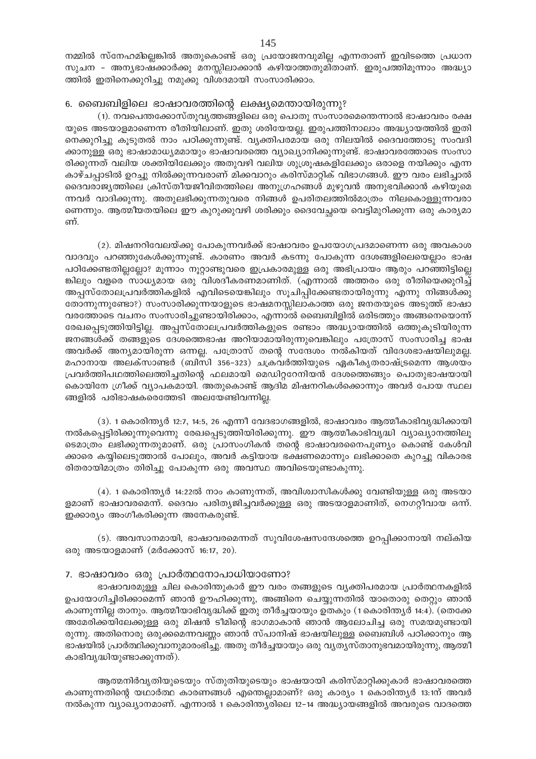നമ്മിൽ സ്നേഹമില്ലെങ്കിൽ അതുകൊണ്ട് ഒരു പ്രയോജനവുമില്ല എന്നതാണ് ഇവിടത്തെ പ്രധാന സുചന - അന്യഭാഷക്കാർക്കു മനസ്സിലാക്കാൻ കഴിയാത്തതുമിതാണ്. ഇരുപത്തിമൂന്നാം അദ്ധ്യാ ത്തിൽ ഇതിനെക്കുറിച്ചു നമുക്കു വിശദമായി സംസാരിക്കാം.

#### 6. ബൈബിളിലെ ഭാഷാവരത്തിന്റെ ലക്ഷ്യമെന്തായിരുന്നു?

(1). നവപെന്തക്കോസ്തുവൃത്തങ്ങളിലെ ഒരു പൊതു സംസാരമെന്തെന്നാൽ ഭാഷാവരം രക്ഷ യുടെ അടയാളമാണെന്ന രീതിയിലാണ്. ഇതു ശരിയേയല്ല. ഇരുപത്തിനാലാം അദ്ധ്യായത്തിൽ ഇതി നെക്കുറിച്ചു കൂടുതൽ നാം പഠിക്കുന്നുണ്ട്. വ്യക്തിപരമായ ഒരു നിലയിൽ ദൈവത്തോടു സംവദി ക്കാനുള്ള ഒരു ഭാഷാമാധ്യമമായും ഭാഷാവരത്തെ വ്യാഖ്യാനിക്കുന്നുണ്ട്. ഭാഷാവരത്തോടെ സംസാ രിക്കുന്നത് വലിയ ശക്തിയിലേക്കും അതുവഴി വലിയ ശുശ്രുഷകളിലേക്കും ഒരാളെ നയിക്കും എന്ന കാഴ്ചപ്പാടിൽ ഉറച്ചു നിൽക്കുന്നവരാണ് മിക്കവാറും കരിസ്മാറ്റിക് വിഭാഗങ്ങൾ. ഈ വരം ലഭിച്ചാൽ ദൈവരാജ്യത്തിലെ ക്രിസ്തീയജീവിതത്തിലെ അനുഗ്രഹങ്ങൾ മുഴുവൻ അനുഭവിക്കാൻ കഴിയുമെ ന്നവർ വാദിക്കുന്നു. അതുലഭിക്കുന്നതുവരെ നിങ്ങൾ ഉപരിതലത്തിൽമാത്രം നിലകൊള്ളുന്നവരാ ണെന്നും. ആത്മീയതയിലെ ഈ കുറുക്കുവഴി ശരിക്കും ദൈവേച്ചയെ വെട്ടിമുറിക്കുന്ന ഒരു കാര്യമാ ണ്.

(2). മിഷനറിവേലയ്ക്കു പോകുന്നവർക്ക് ഭാഷാവരം ഉപയോഗപ്രദമാണെന്ന ഒരു അവകാശ വാദവും പറഞ്ഞുകേൾക്കുന്നുണ്ട്. കാരണം അവർ കടന്നു പോകുന്ന ദേശങ്ങളിലെയെല്ലാം ഭാഷ പഠിക്കേണ്ടതില്ലല്ലോ? മൂന്നാം നൂറ്റാണ്ടുവരെ ഇപ്രകാരമുള്ള ഒരു അഭിപ്രായം ആരും പറഞ്ഞിട്ടില്ലെ ങ്കിലും വളരെ സാധ്യമായ ഒരു വിശദീകരണമാണിത്. (എന്നാൽ അത്തരം ഒരു രീതിയെക്കുറിച്ച് അപ്പസ്തോലപ്രവർത്തികളിൽ എവിടെയെങ്കിലും സൂചിപ്പിക്കേണ്ടതായിരുന്നു എന്നു നിങ്ങൾക്കു തോന്നുന്നുണ്ടോ?) സംസാരിക്കുന്നയാളുടെ ഭാഷമനസ്സിലാകാത്ത ഒരു ജനതയുടെ അടുത്ത് ഭാഷാ വരത്തോടെ വചനം സംസാരിച്ചുണ്ടായിരിക്കാം, എന്നാൽ ബൈബിളിൽ ഒരിടത്തും അങ്ങനെയൊന്ന് രേഖപ്പെടുത്തിയിട്ടില്ല. അപ്പസ്തോലപ്രവർത്തികളുടെ രണ്ടാം അദ്ധ്യായത്തിൽ ഒത്തുകൂടിയിരുന്ന ജനങ്ങൾക്ക് തങ്ങളുടെ ദേശത്തെഭാഷ അറിയാമായിരുന്നുവെങ്കിലും പത്രോസ് സംസാരിച്ച ഭാഷ അവർക്ക് അന്യമായിരുന്ന ഒന്നല്ല. പത്രോസ് തന്റെ സന്ദേശം നൽകിയത് വിദേശഭാഷയിലുമല്ല. മഹാനായ അലക്സാണ്ടർ (ബിസി 356–323) ചക്രവർത്തിയുടെ ഏകീകൃതരാഷ്ട്രമെന്ന ആശയം പ്രവർത്തിപഥത്തിലെത്തിച്ചതിന്റെ ഫലമായി മെഡിറ്ററേനിയൻ ദേശത്തെങ്ങും പൊതുഭാഷയായി കൊയിനേ ഗ്രീക്ക് വ്യാപകമായി. അതുകൊണ്ട് ആദിമ മിഷനറികൾക്കൊന്നും അവർ പോയ സ്ഥല ങ്ങളിൽ പരിഭാഷകരെത്തേടി അലയേണ്ടിവന്നില്ല.

(3). 1 കൊരിന്ത്യർ 12:7, 14:5, 26 എന്നീ വേദഭാഗങ്ങളിൽ, ഭാഷാവരം ആത്മീകാഭിവൃദ്ധിക്കായി നൽകപ്പെട്ടിരിക്കുന്നുവെന്നു രേഖപ്പെടുത്തിയിരിക്കുന്നു. ഈ ആത്മീകാഭിവൃദ്ധി വ്യാഖ്യാനത്തിലൂ ടെമാത്രം ലഭിക്കുന്നതുമാണ്. ഒരു പ്രാസംഗികൻ തന്റെ ഭാഷാവരനൈപുണ്യം കൊണ്ട് കേൾവി ക്കാരെ കയ്യിലെടുത്താൽ പോലും, അവർ കട്ടിയായ ഭക്ഷണമൊന്നും ലഭിക്കാതെ കുറച്ചു വികാരഭ രിതരായിമാത്രം തിരിച്ചു പോകുന്ന ഒരു അവസ്ഥ അവിടെയുണ്ടാകുന്നു.

(4). 1 കൊരിന്ത്യർ 14:22ൽ നാം കാണുന്നത്, അവിശ്വാസികൾക്കു വേണ്ടിയുള്ള ഒരു അടയാ ളമാണ് ഭാഷാവരമെന്ന്. ദൈവം പരിത്യജിച്ചവർക്കുള്ള ഒരു അടയാളമാണിത്, നെഗറ്റീവായ ഒന്ന്. ഇക്കാര്യം അംഗീകരിക്കുന്ന അനേകരുണ്ട്.

(5). അവസാനമായി, ഭാഷാവരമെന്നത് സുവിശേഷസന്ദേശത്തെ ഉറപ്പിക്കാനായി നല്കിയ ഒരു അടയാളമാണ് (മർക്കോസ് 16:17, 20).

#### 7. ഭാഷാവരം ഒരു പ്രാർത്ഥനോപാധിയാണോ?

ഭാഷാവരമുള്ള ചില കൊരിന്തുകാർ ഈ വരം തങ്ങളുടെ വ്യക്തിപരമായ പ്രാർത്ഥനകളിൽ ഉപയോഗിച്ചിരിക്കാമെന്ന് ഞാൻ ഊഹിക്കുന്നു, അങ്ങിനെ ചെയ്യുന്നതിൽ യാതൊരു തെറ്റും ഞാൻ കാണുന്നില്ല താനും. ആത്മീയാഭിവൃദ്ധിക്ക് ഇതു തീർച്ചയായും ഉതകും (1കൊരിന്ത്യർ 14:4). (തെക്കേ അമേരിക്കയിലേക്കുള്ള ഒരു മിഷൻ ടീമിന്റെ ഭാഗമാകാൻ ഞാൻ ആലോചിച്ച ഒരു സമയമുണ്ടായി രുന്നു. അതിനൊരു ഒരുക്കമെന്നവണ്ണം ഞാൻ സ്പാനിഷ് ഭാഷയിലുള്ള ബൈബിൾ പഠിക്കാനും ആ ഭാഷയിൽ പ്രാർത്ഥിക്കുവാനുമാരംഭിച്ചു. അതു തീർച്ചയായും ഒരു വ്യത്യസ്താനുഭവമായിരുന്നു, ആത്മീ കാഭിവൃദ്ധിയുണ്ടാക്കുന്നത്).

ആത്മനിർവൃതിയുടെയും സ്തുതിയുടെയും ഭാഷയായി കരിസ്മാറ്റിക്കുകാർ ഭാഷാവരത്തെ കാണുന്നതിന്റെ യഥാർത്ഥ കാരണങ്ങൾ എന്തെല്ലാമാണ്? ഒരു കാര്യം 1 കൊരിന്ത്യർ 13:1ന് അവർ നൽകുന്ന വ്യാഖ്യാനമാണ്. എന്നാൽ 1 കൊരിന്ത്യരിലെ 12–14 അദ്ധ്യായങ്ങളിൽ അവരുടെ വാദത്തെ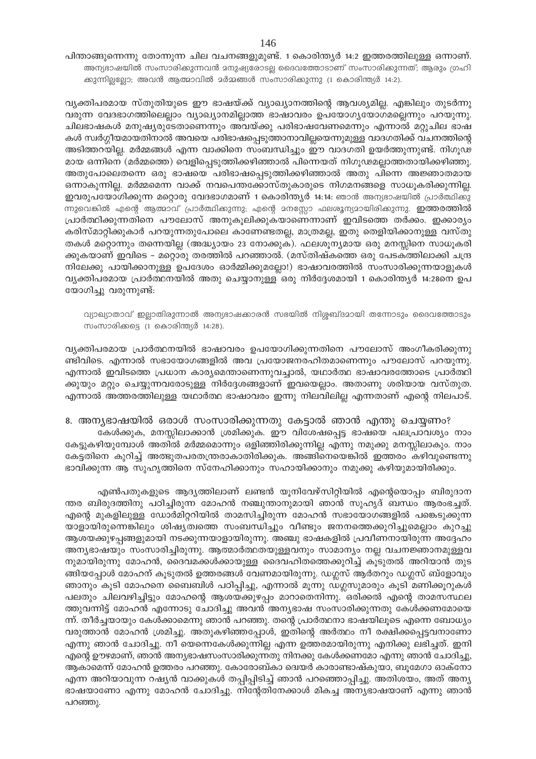പിന്താങ്ങുന്നെന്നു തോന്നുന്ന ചില വചനങ്ങളുമുണ്ട്. 1 കൊരിന്ത്യർ 14:2 ഇത്തരത്തിലുള്ള ഒന്നാണ്. അന്യഭാഷയിൽ സംസാരിക്കുന്നവൻ മനുഷ്യരോടല്ല ദൈവത്തോടാണ് സംസാരിക്കുന്നത്; ആരും ഗ്രഹി ക്കുന്നില്ലല്ലോ; അവൻ ആത്മാവിൽ മർമ്മങ്ങൾ സംസാരിക്കുന്നു (1 കൊരിന്ത്യർ 14:2).

വൃക്തിപരമായ സ്തുതിയുടെ ഈ ഭാഷയ്ക്ക് വ്യാഖ്യാനത്തിന്റെ ആവശ്യമില്ല. എങ്കിലും തുടർന്നു വരുന്ന വേദഭാഗത്തിലെല്ലാം വ്യാഖ്യാനമില്ലാത്ത ഭാഷാവരം ഉപയോഗൃയോഗമല്ലെന്നും പറയുന്നു. ചിലഭാഷകൾ മനുഷ്യരുടേതാണെന്നും അവയ്ക്കു പരിഭാഷവേണമെന്നും എന്നാൽ മറ്റുചില ഭാഷ കൾ സ്ഥർഗ്ഗീയമായതിനാൽ അവയെ പരിഭാഷപ്പെടുത്താനാവില്ലയെന്നുമുള്ള വാദഗതിക്ക് വചനത്തിന്റെ അടിത്തറയില്ല. മർമ്മങ്ങൾ എന്ന വാക്കിനെ സംബന്ധിച്ചും ഈ വാദഗതി ഉയർത്തുന്നുണ്ട്. നിഗൂഢ മായ ഒന്നിനെ (മർമ്മത്തെ) വെളിപ്പെടുത്തിക്കഴിഞ്ഞാൽ പിന്നെയത് നിഗൂഢമല്ലാത്തതായിക്കഴിഞ്ഞു. അതുപോലെതന്നെ ഒരു ഭാഷയെ പരിഭാഷപ്പെടുത്തിക്കഴിഞ്ഞാൽ അതു പിന്നെ അജ്ഞാതമായ ഒന്നാകുന്നില്ല. മർമ്മമെന്ന വാക്ക് നവപെന്തക്കോസ്തുകാരുടെ നിഗമനങ്ങളെ സാധൂകരിക്കുന്നില്ല. ഇവരുപയോഗിക്കുന്ന മറ്റൊരു വേദഭാഗമാണ് 1 കൊരിന്ത്യർ 14:14: ഞാൻ അന്യഭാഷയിൽ പ്രാർത്ഥിക്കു ന്നുവെങ്കിൽ എന്റെ ആത്മാവ് പ്രാർത്ഥിക്കുന്നു; എന്റെ മനസ്സോ ഫലശൂന്യമായിരിക്കുന്നു. **ഇത്തരത്തിൽ** പ്രാർത്ഥിക്കുന്നതിനെ പൗലോസ് അനുകൂലിക്കുകയാണെന്നാണ് ഇവിടത്തെ തർക്കം. ഇക്കാര്യം കരിസ്മാറ്റിക്കുകാർ പറയുന്നതുപോലെ കാണേണ്ടതല്ല, മാത്രമല്ല, ഇതു തെളിയിക്കാനുള്ള വസ്തു തകൾ മറ്റൊന്നും തന്നെയില്ല (അദ്ധ്യായം 23 നോക്കുക). ഫലശൂന്യമായ ഒരു മനസ്സിനെ സാധൂകരി ക്കുകയാണ് ഇവിടെ – മറ്റൊരു തരത്തിൽ പറഞ്ഞാൽ. (മസ്തിഷ്കത്തെ ഒരു പേടകത്തിലാക്കി ചന്ദ്ര നിലേക്കു പായിക്കാനുള്ള ഉപദേശം ഓർമ്മിക്കുമല്ലോ!) ഭാഷാവരത്തിൽ സംസാരിക്കുന്നയാളുകൾ വ്യക്തിപരമായ പ്രാർത്ഥനയിൽ അതു ചെയ്യാനുള്ള ഒരു നിർദ്ദേശമായി 1 കൊരിന്ത്യർ 14:28നെ ഉപ യോഗിച്ചു വരുന്നുണ്ട്:

വ്യാഖ്യാതാവ് ഇല്ലാതിരുന്നാൽ അന്യഭാഷക്കാരൻ സഭയിൽ നിശ്ശബ്ദമായി തന്നോടും ദൈവത്തോടും സംസാരിക്കട്ടെ (1 കൊരിന്ത്യർ 14:28).

വ്യക്തിപരമായ പ്രാർത്ഥനയിൽ ഭാഷാവരം ഉപയോഗിക്കുന്നതിനെ പൗലോസ് അംഗീകരിക്കുന്നു ണ്ടിവിടെ. എന്നാൽ സഭായോഗങ്ങളിൽ അവ പ്രയോജനരഹിതമാണെന്നും പൗലോസ് പറയുന്നു. എന്നാൽ ഇവിടത്തെ പ്രധാന കാര്യമെന്താണെന്നുവച്ചാൽ, യഥാർത്ഥ ഭാഷാവരത്തോടെ പ്രാർത്ഥി ക്കുയും മറ്റും ചെയ്യുന്നവരോടുള്ള നിർദ്ദേശങ്ങളാണ് ഇവയെല്ലാം. അതാണു ശരിയായ വസ്തുത. എന്നാൽ അത്തരത്തിലുള്ള യഥാർത്ഥ ഭാഷാവരം ഇന്നു നിലവിലില്ല എന്നതാണ് എന്റെ നിലപാട്.

8. അന്യഭാഷയിൽ ഒരാൾ സംസാരിക്കുന്നതു കേട്ടാൽ ഞാൻ എന്തു ചെയ്യണം? കേൾക്കുക, മനസ്സിലാക്കാൻ ശ്രമിക്കുക. ഈ വിശേഷപ്പെട്ട ഭാഷയെ പലപ്രാവശ്യം നാം കേട്ടുകഴിയുമ്പോൾ അതിൽ മർമ്മമൊന്നും ഒളിഞ്ഞിരിക്കുന്നില്ല എന്നു നമുക്കു മനസ്സിലാകും. നാം കേട്ടതിനെ കുറിച്ച് അത്ഭുതപരതന്ത്രരാകാതിരിക്കുക. അങ്ങിനെയെങ്കിൽ ഇത്തരം കഴിവുണ്ടെന്നു ഭാവിക്കുന്ന ആ സുഹൃത്തിനെ സ്നേഹിക്കാനും സഹായിക്കാനും നമുക്കു കഴിയുമായിരിക്കും.

എൺപതുകളുടെ ആദ്യത്തിലാണ് ലണ്ടൻ യൂനിവേഴ്സിറ്റിയിൽ എന്റെയൊപ്പം ബിരുദാന ന്തര ബിരുദത്തിനു പഠിച്ചിരുന്ന മോഹൻ നഞ്ചുന്താനുമായി ഞാൻ സുഹൃദ് ബന്ധം ആരംഭച്ചത്. എന്റെ മുകളിലുള്ള ഡോർമിറ്ററിയിൽ താമസിച്ചിരുന്ന മോഹൻ സഭായോഗങ്ങളിൽ പങ്കെടുക്കുന്ന യാളായിരുന്നെങ്കിലും ശിഷ്യത്വത്തെ സംബന്ധിച്ചും വീണ്ടും ജനനത്തെക്കുറിച്ചുമെല്ലാം കുറച്ചു ആശയക്കുഴപ്പങ്ങളുമായി നടക്കുന്നയാളായിരുന്നു. അഞ്ചു ഭാഷകളിൽ പ്രവീണനായിരുന്ന അദ്ദേഹം അന്യഭാഷയും സംസാരിച്ചിരുന്നു. ആത്മാർത്ഥതയുള്ളവനും സാമാന്യം നല്ല വചനജ്ഞാനമുള്ളവ നുമായിരുന്നു മോഹൻ, ദൈവമക്കൾക്കായുള്ള ദൈവഹിതത്തെക്കുറിച്ച് കൂടുതൽ അറിയാൻ തുട ങ്ങിയപ്പോൾ മോഹന് കൂടുതൽ ഉത്തരങ്ങൾ വേണമായിരുന്നു. ഡഗ്ലസ് ആർതറും ഡഗ്ലസ് ബ്ളോവും ഞാനും കൂടി മോഹനെ ബൈബിൾ പഠിപ്പിച്ചു, എന്നാൽ മൂന്നു ഡഗ്ലസുമാരും കൂടി മണിക്കൂറുകൾ പലതും ചിലവഴിച്ചിട്ടും മോഹന്റെ ആശയക്കുഴപ്പം മാറാതെനിന്നു. ഒരിക്കൽ എന്റെ താമസസ്ഥല ത്തുവന്നിട്ട് മോഹൻ എന്നോടു ചോദിച്ചു അവൻ അന്യഭാഷ സംസാരിക്കുന്നതു കേൾക്കണമോയെ ന്ന്. തീർച്ചയായും കേൾക്കാമെന്നു ഞാൻ പറഞ്ഞു. തന്റെ പ്രാർത്ഥനാ ഭാഷയിലൂടെ എന്നെ ബോധ്യം വരുത്താൻ മോഹൻ ശ്രമിച്ചു. അതുകഴിഞ്ഞപ്പോൾ, ഇതിന്റെ അർത്ഥം നീ രക്ഷിക്കപ്പെട്ടവനാണോ എന്നു ഞാൻ ചോദിച്ചു. നീ യെന്നെകേൾക്കുന്നില്ല എന്ന ഉത്തരമായിരുന്നു എനിക്കു ലഭിച്ചത്. ഇനി എന്റെ ഊഴമാണ്, ഞാൻ അന്യഭാഷസംസാരിക്കുന്നതു നിനക്കു കേൾക്കണമോ എന്നു ഞാൻ ചോദിച്ചു, ആകാമെന്ന് മോഹൻ ഉത്തരം പറഞ്ഞു. കോരോബ്കാ ദ്വെയർ കാരാണ്ടാഷ്കുയാ, ബൂമേഗാ ഓക്നോ എന്ന അറിയാവുന്ന റഷ്യൻ വാക്കുകൾ തപ്പിപ്പിടിച്ച് ഞാൻ പറഞ്ഞൊപ്പിച്ചു. അതിശയം, അത് അന്യ ഭാഷയാണോ എന്നു മോഹൻ ചോദിച്ചു. നിന്റേതിനേക്കാൾ മികച്ച അന്യഭാഷയാണ് എന്നു ഞാൻ പറഞ്ഞു.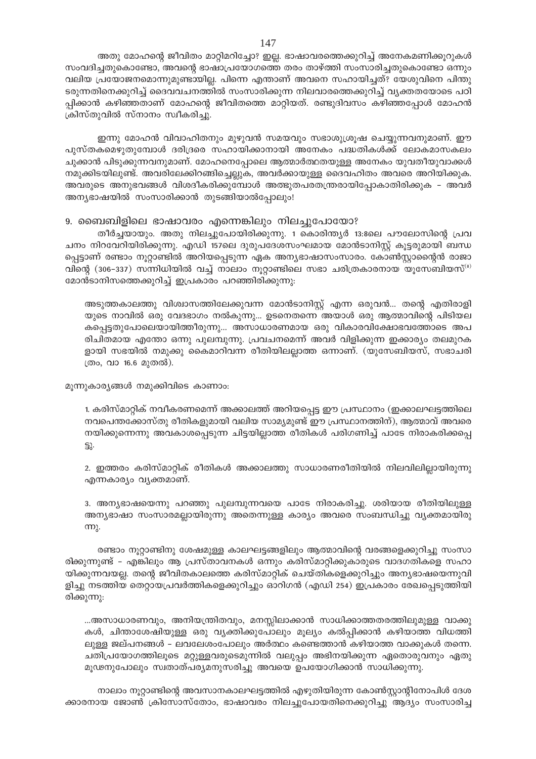അതു മോഹന്റെ ജീവിതം മാറ്റിമറിച്ചോ? ഇല്ല. ഭാഷാവരത്തെക്കുറിച്ച് അനേകമണിക്കൂറുകൾ സംവദിച്ചതുകൊണ്ടോ, അവന്റെ ഭാഷാപ്രയോഗത്തെ തരം താഴ്ത്തി സംസാരിച്ചതുകൊണ്ടോ ഒന്നും വലിയ പ്രയോജനമൊന്നുമുണ്ടായില്ല. പിന്നെ എന്താണ് അവനെ സഹായിച്ചത്? യേശുവിനെ പിന്തു ടരുന്നതിനെക്കുറിച്ച് ദൈവവചനത്തിൽ സംസാരിക്കുന്ന നിലവാരത്തെക്കുറിച്ച് വ്യക്തതയോടെ പഠി പ്പിക്കാൻ കഴിഞ്ഞതാണ് മോഹന്റെ ജീവിതത്തെ മാറ്റിയത്. രണ്ടുദിവസം കഴിഞ്ഞപ്പോൾ മോഹൻ ക്രിസ്തുവിൽ സ്നാനം സ്വീകരിച്ചു.

ഇന്നു മോഹൻ വിവാഹിതനും മുഴുവൻ സമയവും സഭാശുശ്രൂഷ ചെയ്യുന്നവനുമാണ്. ഈ പുസ്തകമെഴുതുമ്പോൾ ദരിദ്രരെ സഹായിക്കാനായി അനേകം പദ്ധതികൾക്ക് ലോകമാസകലം ചുക്കാൻ പിടുക്കുന്നവനുമാണ്. മോഹനെപ്പോലെ ആത്മാർത്ഥതയുള്ള അനേകം യുവതീയുവാക്കൾ നമുക്കിടയിലുണ്ട്. അവരിലേക്കിറങ്ങിച്ചെല്ലുക, അവർക്കായുള്ള ദൈവഹിതം അവരെ അറിയിക്കുക. അവരുടെ അനുഭവങ്ങൾ വിശദീകരിക്കുമ്പോൾ അത്ഭുതപരതന്ത്രരായിപ്പോകാതിരിക്കുക - അവർ അന്യഭാഷയിൽ സംസാരിക്കാൻ തുടങ്ങിയാൽപ്പോലും!

9. ബൈബിളിലെ ഭാഷാവരം എന്നെങ്കിലും നിലച്ചുപോയോ?

തീർച്ചയായും. അതു നിലച്ചുപോയിരിക്കുന്നു. 1 കൊരിന്ത്യർ 13:8ലെ പൗലോസിന്റെ പ്രവ ചനം നിറവേറിയിരിക്കുന്നു. എഡി 157ലെ ദുരുപദേശസംഘമായ മോൻടാനിസ്റ്റ് കൂട്ടരുമായി ബന്ധ പ്പെട്ടാണ് രണ്ടാം നൂറ്റാണ്ടിൽ അറിയപ്പെടുന്ന ഏക അന്യഭാഷാസംസാരം. കോൺസ്റ്റാന്റൈൻ രാജാ വിന്റെ (306–337) സന്നിധിയിൽ വച്ച് നാലാം നൂറ്റാണ്ടിലെ സഭാ ചരിത്രകാരനായ യൂസേബിയസ്<sup>(8)</sup> മോൻടാനിസത്തെക്കുറിച്ച് ഇപ്രകാരം പറഞ്ഞിരിക്കുന്നു:

അടുത്തകാലത്തു വിശ്വാസത്തിലേക്കുവന്ന മോൻടാനിസ്റ്റ് എന്ന ഒരുവൻ... തന്റെ എതിരാളി യുടെ നാവിൽ ഒരു വേദഭാഗം നൽകുന്നു... ഉടനെതന്നെ അയാൾ ഒരു ആത്മാവിന്റെ പിടിയല കപ്പെട്ടതുപോലെയായിത്തീരുന്നു... അസാധാരണമായ ഒരു വികാരവിക്ഷോഭവത്തോടെ അപ രിചിതമായ എന്തോ ഒന്നു പുലമ്പുന്നു. പ്രവചനമെന്ന് അവർ വിളിക്കുന്ന ഇക്കാര്യം തലമുറക ളായി സഭയിൽ നമുക്കു കൈമാറിവന്ന രീതിയിലല്ലാത്ത ഒന്നാണ്. (യുസേബിയസ്, സഭാചരി ത്രം, വാ 16.6 മുതൽ).

മൂന്നുകാര്യങ്ങൾ നമുക്കിവിടെ കാണാം:

1. കരിസ്മാറ്റിക് നവീകരണമെന്ന് അക്കാലത്ത് അറിയപ്പെട്ട ഈ പ്രസ്ഥാനം (ഇക്കാലഘട്ടത്തിലെ നവപെന്തക്കോസ്തു രീതികളുമായി വലിയ സാമ്യമുണ്ട് ഈ പ്രസ്ഥാനത്തിന്), ആത്മാവ് അവരെ നയിക്കുന്നെന്നു അവകാശപ്പെടുന്ന ചിട്ടയില്ലാത്ത രീതികൾ പരിഗണിച്ച് പാടേ നിരാകരിക്കപ്പെ  $\mathsf{S}$ 

2. ഇത്തരം കരിസ്മാറ്റിക് രീതികൾ അക്കാലത്തു സാധാരണരീതിയിൽ നിലവിലില്ലായിരുന്നു എന്നകാര്യം വ്യക്തമാണ്.

3. അന്യഭാഷയെന്നു പറഞ്ഞു പുലമ്പുന്നവയെ പാടേ നിരാകരിച്ചു. ശരിയായ രീതിയിലുള്ള അന്യഭാഷാ സംസാരമല്ലായിരുന്നു അതെന്നുള്ള കാര്യം അവരെ സംബന്ധിച്ചു വ്യക്തമായിരു  $mp<sub>2</sub>$ .

രണ്ടാം നൂറ്റാണ്ടിനു ശേഷമുള്ള കാലഘട്ടങ്ങളിലും ആത്മാവിന്റെ വരങ്ങളെക്കുറിച്ചു സംസാ രിക്കുന്നുണ്ട് – എങ്കിലും ആ പ്രസ്താവനകൾ ഒന്നും കരിസ്മാറ്റിക്കുകാരുടെ വാദഗതികളെ സഹാ യിക്കുന്നവയല്ല. തന്റെ ജീവിതകാലത്തെ കരിസ്മാറ്റിക് ചെയ്തികളെക്കുറിച്ചും അന്യഭാഷയെന്നുവി ളിച്ചു നടത്തിയ തെറ്റായപ്രവർത്തികളെക്കുറിച്ചും ഓറിഗൻ (എഡി 254) ഇപ്രകാരം രേഖപ്പെടുത്തിയി രിക്കുന്നു:

...അസാധാരണവും, അനിയന്ത്രിതവും, മനസ്സിലാക്കാൻ സാധിക്കാത്തതരത്തിലുമുള്ള വാക്കു കൾ, ചിന്താശേഷിയുള്ള ഒരു വ്യക്തിക്കുപോലും മൂല്യം കൽപ്പിക്കാൻ കഴിയാത്ത വിധത്തി ലുള്ള ജല്പനങ്ങൾ – ലവലേശംപോലും അർത്ഥം കണ്ടെത്താൻ കഴിയാത്ത വാക്കുകൾ തന്നെ. ചതിപ്രയോഗത്തിലൂടെ മറ്റുള്ളവരുടെമുന്നിൽ വലുപ്പം അഭിനയിക്കുന്ന ഏതൊരുവനും ഏതു മൂഢനുപോലും സ്വതാത്പര്യമനുസരിച്ചു അവയെ ഉപയോഗിക്കാൻ സാധിക്കുന്നു.

നാലാം നൂറ്റാണ്ടിന്റെ അവസാനകാലഘട്ടത്തിൽ എഴുതിയിരുന്ന കോൺസ്റ്റാന്റിനോപിൾ ദേശ ക്കാരനായ ജോൺ ക്രിസോസ്തോം, ഭാഷാവരം നിലച്ചുപോയതിനെക്കുറിച്ചു ആദ്യം സംസാരിച്ച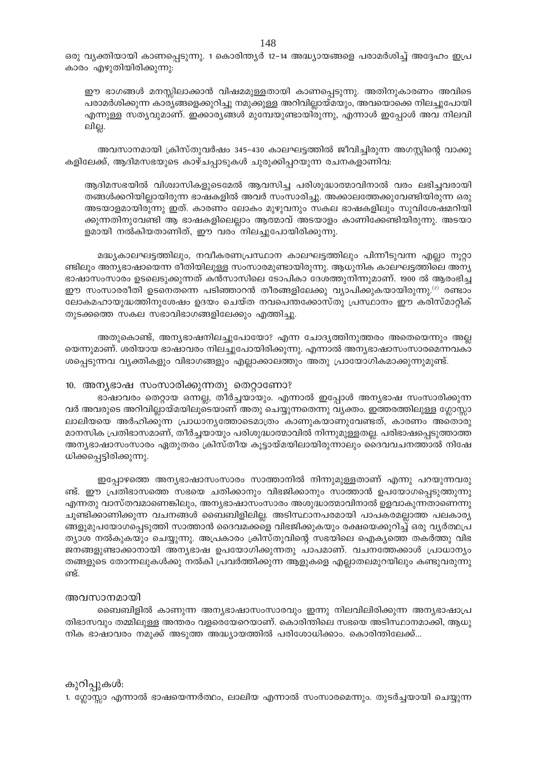ഒരു വ്യക്തിയായി കാണപ്പെടുന്നു. 1 കൊരിന്ത്യർ 12–14 അദ്ധ്യായങ്ങളെ പരാമർശിച്ച് അദ്ദേഹം ഇപ്ര കാരം എഴുതിയിരിക്കുന്നു:

ഈ ഭാഗങ്ങൾ മനസ്സിലാക്കാൻ വിഷമമുള്ളതായി കാണപ്പെടുന്നു. അതിനുകാരണം അവിടെ പരാമർശിക്കുന്ന കാര്യങ്ങളെക്കുറിച്ചു നമുക്കുള്ള അറിവില്ലായ്മയും, അവയൊക്കെ നിലച്ചുപോയി എന്നുള്ള സത്യവുമാണ്. ഇക്കാര്യങ്ങൾ മുമ്പേയുണ്ടായിരുന്നു, എന്നാൾ ഇപ്പോൾ അവ നിലവി ലില്ല.

അവസാനമായി ക്രിസ്തുവർഷം 345–430 കാലഘട്ടത്തിൽ ജീവിച്ചിരുന്ന അഗസ്റ്റിന്റെ വാക്കു കളിലേക്ക്, ആദിമസഭയുടെ കാഴ്ചപ്പാടുകൾ ചുരുക്കിപ്പറയുന്ന രചനകളാണിവ:

ആദിമസഭയിൽ വിശ്വാസികളുടെമേൽ ആവസിച്ച പരിശുദ്ധാത്മാവിനാൽ വരം ലഭിച്ചവരായി തങ്ങൾക്കറിയില്ലായിരുന്ന ഭാഷകളിൽ അവർ സംസാരിച്ചു. അക്കാലത്തേക്കുവേണ്ടിയിരുന്ന ഒരു അടയാളമായിരുന്നു ഇത്. കാരണം ലോകം മുഴുവനും സകല ഭാഷകളിലും സുവിശേഷമറിയി ക്കുന്നതിനുവേണ്ടി ആ ഭാഷകളിലെല്ലാം ആത്മാവ് അടയാളം കാണിക്കേണ്ടിയിരുന്നു. അടയാ ളമായി നൽകിയതാണിത്, ഈ വരം നിലച്ചുപോയിരിക്കുന്നു.

മദ്ധ്യകാലഘട്ടത്തിലും, നവീകരണപ്രസ്ഥാന കാലഘട്ടത്തിലും പിന്നീടുവന്ന എല്ലാ നൂറ്റാ ണ്ടിലും അന്യഭാഷായെന്ന രീതിയിലുള്ള സംസാരമുണ്ടായിരുന്നു. ആധുനിക കാലഘട്ടത്തിലെ അന്യ ഭാഷാസംസാരം ഉടലെടുക്കുന്നത് കൻസാസിലെ ടോപികാ ദേശത്തുനിന്നുമാണ്. 1900 ൽ ആരംഭിച്ച ഈ സംസാരരീതി ഉടനെതന്നെ പടിഞ്ഞാറൻ തീരങ്ങളിലേക്കു വ്യാപിക്കുകയായിരുന്നു. $^{(2)}$  രണ്ടാം ലോകമഹായുദ്ധത്തിനുശേഷം ഉദയം ചെയ്ത നവപെന്തക്കോസ്തു പ്രസ്ഥാനം ഈ കരിസ്മാറ്റിക് തുടക്കത്തെ സകല സഭാവിഭാഗങ്ങളിലേക്കും എത്തിച്ചു.

അതുകൊണ്ട്, അന്യഭാഷനിലച്ചുപോയോ? എന്ന ചോദ്യത്തിനുത്തരം അതെയെന്നും അല്ല യെന്നുമാണ്. ശരിയായ ഭാഷാവരം നിലച്ചുപോയിരിക്കുന്നു. എന്നാൽ അന്യഭാഷാസംസാരമെന്നവകാ ശപ്പെടുന്നവ വ്യക്തികളും വിഭാഗങ്ങളും എല്ലാക്കാലത്തും അതു പ്രായോഗികമാക്കുന്നുമുണ്ട്.

#### 10. അനൃഭാഷ സംസാരിക്കുന്നതു തെറ്റാണോ?

ഭാഷാവരം തെറ്റായ ഒന്നല്ല, തീർച്ചയായും. എന്നാൽ ഇപ്പോൾ അന്യഭാഷ സംസാരിക്കുന്ന വർ അവരുടെ അറിവില്ലായ്മയിലൂടെയാണ് അതു ചെയ്യുന്നതെന്നു വ്യക്തം. ഇത്തരത്തിലുള്ള ഗ്ലോസ്സാ ലാലിയയെ അർഹിക്കുന്ന പ്രാധാന്യത്തോടെമാത്രം കാണുകയാണുവേണ്ടത്, കാരണം അതൊരു മാനസിക പ്രതിഭാസമാണ്, തീർച്ചയായും പരിശുദ്ധാത്മാവിൽ നിന്നുമുള്ളതല്ല. പരിഭാഷപ്പെടുത്താത്ത അനൃഭാഷാസംസാരം ഏതുതരം ക്രിസ്തീയ കൂട്ടായ്മയിലായിരുന്നാലും ദൈവവചനത്താൽ നിഷേ ധിക്കപ്പെട്ടിരിക്കുന്നു.

ഇപ്പോഴത്തെ അന്യഭാഷാസംസാരം സാത്താനിൽ നിന്നുമുള്ളതാണ് എന്നു പറയുന്നവരു ണ്ട്. ഈ പ്രതിഭാസത്തെ സഭയെ ചതിക്കാനും വിഭജിക്കാനും സാത്താൻ ഉപയോഗപ്പെടുത്തുന്നു എന്നതു വാസ്തവമാണെങ്കിലും, അന്യഭാഷാസംസാരം അശുദ്ധാത്മാവിനാൽ ഉളവാകുന്നതാണെന്നു ചൂണ്ടിക്കാണിക്കുന്ന വചനങ്ങൾ ബൈബിളിലില്ല. അടിസ്ഥാനപരമായി പാപകരമല്ലാത്ത പലകാര്യ ങ്ങളുമുപയോഗപ്പെടുത്തി സാത്താൻ ദൈവമക്കളെ വിഭജിക്കുകയും രക്ഷയെക്കുറിച്ച് ഒരു വൃർത്ഥപ്ര ത്യാശ നൽകുകയും ചെയ്യുന്നു. അപ്രകാരം ക്രിസ്തുവിന്റെ സഭയിലെ ഐക്യത്തെ തകർത്തു വിഭ ജനങ്ങളുണ്ടാക്കാനായി അനൃഭാഷ ഉപയോഗിക്കുന്നതു പാപമാണ്. വചനത്തേക്കാൾ പ്രാധാന്യം തങ്ങളുടെ തോന്നലുകൾക്കു നൽകി പ്രവർത്തിക്കുന്ന ആളുകളെ എല്ലാതലമുറയിലും കണ്ടുവരുന്നു ണ്ട്.

### അവസാനമായി

ബൈബിളിൽ കാണുന്ന അന്യഭാഷാസംസാരവും ഇന്നു നിലവിലിരിക്കുന്ന അന്യഭാഷാപ്ര തിഭാസവും തമ്മിലുള്ള അന്തരം വളരെയേറെയാണ്. കൊരിന്തിലെ സഭയെ അടിസ്ഥാനമാക്കി, ആധു നിക ഭാഷാവരം നമുക്ക് അടുത്ത അദ്ധ്യായത്തിൽ പരിശോധിക്കാം. കൊരിന്തിലേക്ക്...

കുറിപ്പുകൾ:

1. ഗ്ലോസ്സാ എന്നാൽ ഭാഷയെന്നർത്ഥം, ലാലിയ എന്നാൽ സംസാരമെന്നും. തുടർച്ചയായി ചെയ്യുന്ന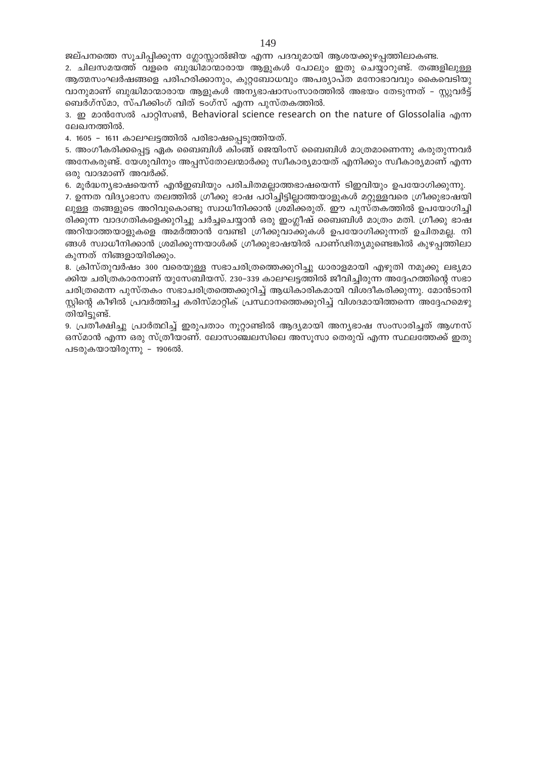ജല്പനത്തെ സൂചിപ്പിക്കുന്ന ഗ്ലോസ്സാൽജിയ എന്ന പദവുമായി ആശയക്കുഴപ്പത്തിലാകണ്ട.

2. ചിലസമയത്ത് വളരെ ബുദ്ധിമാന്മാരായ ആളുകൾ പോലും ഇതു ചെയ്യാറുണ്ട്. തങ്ങളിലുള്ള ആത്മസംഘർഷങ്ങളെ പരിഹരിക്കാനും, കുറ്റബോധവും അപര്യാപ്ത മനോഭാവവും കൈവെടിയു വാനുമാണ് ബുദ്ധിമാന്മാരായ ആളുകൾ അന്യഭാഷാസംസാരത്തിൽ അഭയം തേടുന്നത് – സ്റ്റുവർട്ട് ബെർഗ്സ്മാ, സ്പീക്കിംഗ് വിത് ടംഗ്സ് എന്ന പുസ്തകത്തിൽ.

3. m 2008 2009 2009 3. applmom, Behavioral science research on the nature of Glossolalia and ലേഖനത്തിൽ.

4. 1605 - 1611 കാലഘട്ടത്തിൽ പരിഭാഷപ്പെടുത്തിയത്.

5. അംഗീകരിക്കപ്പെട്ട ഏക ബൈബിൾ കിംങ്ങ് ജെയിംസ് ബൈബിൾ മാത്രമാണെന്നു കരുതുന്നവർ അനേകരുണ്ട്. യേശുവിനും അപ്പസ്തോലന്മാർക്കു സ്വീകാര്യമായത് എനിക്കും സ്വീകാര്യമാണ് എന്ന ഒരു വാദമാണ് അവർക്ക്.

6. മൂർദ്ധന്യഭാഷയെന്ന് എൻഇബിയും പരിചിതമല്ലാത്തഭാഷയെന്ന് ടിഇവിയും ഉപയോഗിക്കുന്നു.

7. ഉന്നത വിദ്യാഭാസ തലത്തിൽ ഗ്രീക്കു ഭാഷ പഠിച്ചിട്ടില്ലാത്തയാളുകൾ മറ്റുള്ളവരെ ഗ്രീക്കുഭാഷയി ലുള്ള തങ്ങളുടെ അറിവുകൊണ്ടു സ്വാധീനിക്കാൻ ശ്രമിക്കരുത്. ഈ പുസ്തകത്തിൽ ഉപയോഗിച്ചി രിക്കുന്ന വാദഗതികളെക്കുറിച്ചു ചർച്ചചെയ്യാൻ ഒരു ഇംഗ്ലീഷ് ബൈബിൾ മാത്രം മതി. ഗ്രീക്കു ഭാഷ അറിയാത്തയാളുകളെ അമർത്താൻ വേണ്ടി ഗ്രീക്കുവാക്കുകൾ ഉപയോഗിക്കുന്നത് ഉചിതമല്ല. നി ങ്ങൾ സ്വാധീനിക്കാൻ ശ്രമിക്കുന്നയാൾക്ക് ഗ്രീക്കുഭാഷയിൽ പാണ്ഢിത്യമുണ്ടെങ്കിൽ കുഴപ്പത്തിലാ കുന്നത് നിങ്ങളായിരിക്കും.

8. ക്രിസ്തുവർഷം 300 വരെയുള്ള സഭാചരിത്രത്തെക്കുറിച്ചു ധാരാളമായി എഴുതി നമുക്കു ലഭ്യമാ ക്കിയ ചരിത്രകാരനാണ് യുസേബിയസ്. 230–339 കാലഘട്ടത്തിൽ ജീവിച്ചിരുന്ന അദ്ദേഹത്തിന്റെ സഭാ ചരിത്രമെന്ന പുസ്തകം സഭാചരിത്രത്തെക്കുറിച്ച് ആധികാരികമായി വിശദീകരിക്കുന്നു. മോൻടാനി സ്റ്റിന്റെ കീഴിൽ പ്രവർത്തിച്ച കരിസ്മാറ്റിക് പ്രസ്ഥാനത്തെക്കുറിച്ച് വിശദമായിത്തന്നെ അദ്ദേഹമെഴു തിയിട്ടുണ്ട്.

9. പ്രതീക്ഷിച്ചു പ്രാർത്ഥിച്ച് ഇരുപതാം നൂറ്റാണ്ടിൽ ആദ്യമായി അന്യഭാഷ സംസാരിച്ചത് ആഗ്നസ് ഒസ്മാൻ എന്ന ഒരു സ്ത്രീയാണ്. ലോസാഞ്ചലസിലെ അസൂസാ തെരുവ് എന്ന സ്ഥലത്തേക്ക് ഇതു പടരുകയായിരുന്നു - 1906ൽ.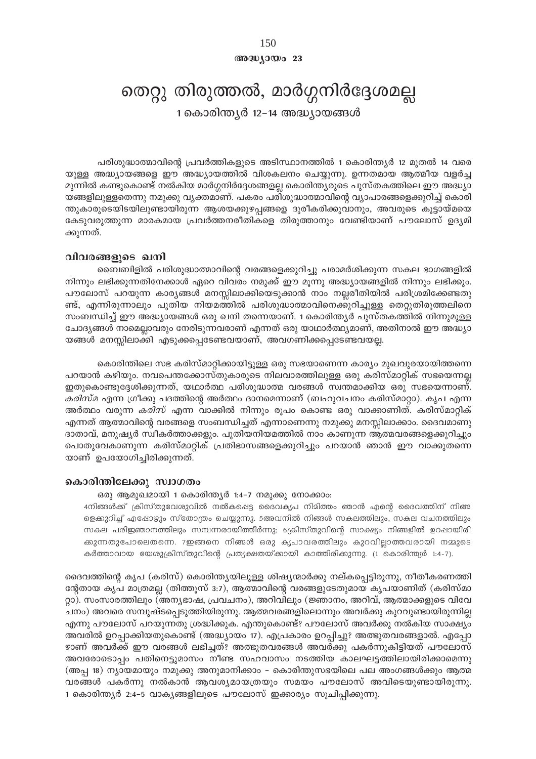## അദ്ധ്യായം 23

# തെറ്റു തിരുത്തൽ, മാർഗ്ഗനിർദ്ദേശമല്ല

1 കൊരിന്ത്യർ 12-14 അദ്ധ്യായങ്ങൾ

പരിശുദ്ധാത്മാവിന്റെ പ്രവർത്തികളുടെ അടിസ്ഥാനത്തിൽ 1 കൊരിന്ത്യർ 12 മുതൽ 14 വരെ യുള്ള അദ്ധ്യായങ്ങളെ ഈ അദ്ധ്യായത്തിൽ വിശകലനം ചെയ്യുന്നു. ഉന്നതമായ ആത്മീയ വളർച്ച മുന്നിൽ കണ്ടുകൊണ്ട് നൽകിയ മാർഗ്ഗനിർദ്ദേശങ്ങളല്ല കൊരിന്ത്യരുടെ പുസ്തകത്തിലെ ഈ അദ്ധ്യാ യങ്ങളിലുള്ളതെന്നു നമുക്കു വ്യക്തമാണ്. പകരം പരിശുദ്ധാത്മാവിന്റെ വ്യാപാരങ്ങളെക്കുറിച്ച് കൊരി ന്തുകാരുടെയിടയിലുണ്ടായിരുന്ന ആശയക്കുഴപ്പങ്ങളെ ദുരീകരിക്കുവാനും, അവരുടെ കൂട്ടായ്മയെ കേടുവരുത്തുന്ന മാരകമായ പ്രവർത്തനരീതികളെ തിരുത്താനും വേണ്ടിയാണ് പൗലോസ് ഉദ്യമി ക്കുന്നത്.

## വിവരങ്ങളുടെ ഖനി

ബൈബിളിൽ പരിശുദ്ധാത്മാവിന്റെ വരങ്ങളെക്കുറിച്ചു പരാമർശിക്കുന്ന സകല ഭാഗങ്ങളിൽ നിന്നും ലഭിക്കുന്നതിനേക്കാൾ ഏറെ വിവരം നമുക്ക് ഈ മൂന്നു അദ്ധ്യായങ്ങളിൽ നിന്നും ലഭിക്കും. പൗലോസ് പറയുന്ന കാര്യങ്ങൾ മനസ്സിലാക്കിയെടുക്കാൻ നാം നല്ലരീതിയിൽ പരിശ്രമിക്കേണ്ടതു ണ്ട്, എന്നിരുന്നാലും പുതിയ നിയമത്തിൽ പരിശുദ്ധാത്മാവിനെക്കുറിച്ചുള്ള തെറ്റുതിരുത്തലിനെ സംബന്ധിച്ച് ഈ അദ്ധ്യായങ്ങൾ ഒരു ഖനി തന്നെയാണ്. 1 കൊരിന്ത്യർ പുസ്തകത്തിൽ നിന്നുമുള്ള ചോദ്യങ്ങൾ നാമെല്ലാവരും നേരിടുന്നവരാണ് എന്നത് ഒരു യാഥാർത്ഥ്യമാണ്, അതിനാൽ ഈ അദ്ധ്യാ യങ്ങൾ മനസ്സിലാക്കി എടുക്കപ്പെടേണ്ടവയാണ്, അവഗണിക്കപ്പെടേണ്ടവയല്ല.

കൊരിന്തിലെ സഭ കരിസ്മാറ്റിക്കായിട്ടുള്ള ഒരു സഭയാണെന്ന കാര്യം മുഖവുരയായിത്തന്നെ പറയാൻ കഴിയും. നവപെന്തക്കോസ്തുകാരുടെ നിലവാരത്തിലുള്ള ഒരു കരിസ്മാറ്റിക് സഭയെന്നല്ല ഇതുകൊണ്ടുദ്ദേശിക്കുന്നത്, യഥാർത്ഥ പരിശുദ്ധാത്മ വരങ്ങൾ സ്വന്തമാക്കിയ ഒരു സഭയെന്നാണ്. *കരിസ്മ* എന്ന ഗ്രീക്കു പദത്തിന്റെ അർത്ഥം ദാനമെന്നാണ് (ബഹുവചനം കരിസ്മാറ്റാ). കൃപ എന്ന അർത്ഥം വരുന്ന *കരിസ്* എന്ന വാക്കിൽ നിന്നും രൂപം കൊണ്ട ഒരു വാക്കാണിത്. കരിസ്മാറ്റിക് എന്നത് ആത്മാവിന്റെ വരങ്ങളെ സംബന്ധിച്ചത് എന്നാണെന്നു നമുക്കു മനസ്സിലാക്കാം. ദൈവമാണു ദാതാവ്, മനുഷ്യർ സ്വീകർത്താക്കളും. പുതിയനിയമത്തിൽ നാം കാണുന്ന ആത്മവരങ്ങളെക്കുറിച്ചും പൊതുവേകാണുന്ന കരിസ്മാറ്റിക് പ്രതിഭാസങ്ങളെക്കുറിച്ചും പറയാൻ ഞാൻ ഈ വാക്കുതന്നെ യാണ് ഉപയോഗിച്ചിരിക്കുന്നത്.

## കൊരിന്തിലേക്കു സ്വാഗതം

ഒരു ആമുഖമായി 1 കൊരിന്ത്യർ 1:4-7 നമുക്കു നോക്കാം:

4നിങ്ങൾക്ക് ക്രിസ്തുവേശുവിൽ നൽകപ്പെട്ട ദൈവകൃപ നിമിത്തം ഞാൻ എന്റെ ദൈവത്തിന് നിങ്ങ ളെക്കുറിച്ച് എഷോഴും സ്തോത്രം ചെയ്യുന്നു. 5അവനിൽ നിങ്ങൾ സകലത്തിലും, സകല വചനത്തിലും സകല പരിജ്ഞാനത്തിലും സമ്പന്നരായിത്തീർന്നു; 6ക്രിസ്തുവിന്റെ സാക്ഷ്യം നിങ്ങളിൽ ഉറപ്പായിരി ക്കുന്നതുപോലെതന്നെ. 7ഇങ്ങനെ നിങ്ങൾ ഒരു കൃപാവരത്തിലും കുറവില്ലാത്തവരായി നമ്മുടെ കർത്താവായ യേശുക്രിസ്തുവിന്റെ പ്രത്യക്ഷതയ്ക്കായി കാത്തിരിക്കുന്നു. (1 കൊരിന്ത്യർ 1:4-7).

ദൈവത്തിന്റെ കൃപ (കരിസ്) കൊരിന്ത്യയിലുള്ള ശിഷ്യന്മാർക്കു നല്കപ്പെട്ടിരുന്നു, നീതീകരണത്തി ന്റേതായ കൃപ മാത്രമല്ല (തിത്തൂസ് 3:7), ആത്മാവിന്റെ വരങ്ങളുടേതുമായ കൃപയാണിത് (കരിസ്മാ റ്റാ). സംസാരത്തിലും (അന്യഭാഷ, പ്രവചനം), അറിവിലും (ജ്ഞാനം, അറിവ്, ആത്മാക്കളുടെ വിവേ ചനം) അവരെ സമ്പുഷ്ടപ്പെടുത്തിയിരുന്നു. ആത്മവരങ്ങളിലൊന്നും അവർക്കു കുറവുണ്ടായിരുന്നില്ല എന്നു പൗലോസ് പറയുന്നതു ശ്രദ്ധിക്കുക. എന്തുകൊണ്ട്? പൗലോസ് അവർക്കു നൽകിയ സാക്ഷ്യം അവരിൽ ഉറപ്പാക്കിയതുകൊണ്ട് (അദ്ധ്യായം 17). എപ്രകാരം ഉറപ്പിച്ചു? അത്ഭുതവരങ്ങളാൽ. എപ്പോ ഴാണ് അവർക്ക് ഈ വരങ്ങൾ ലഭിച്ചത്? അത്ഭുതവരങ്ങൾ അവർക്കു പകർന്നുകിട്ടിയത് പൗലോസ് അവരോടൊപ്പം പതിനെട്ടുമാസം നീണ്ട സഹവാസം നടത്തിയ കാലഘട്ടത്തിലായിരിക്കാമെന്നു (അപ്പ 18) ന്യായമായും നമുക്കു അനുമാനിക്കാം – കൊരിന്തുസഭയിലെ പല അംഗങ്ങൾക്കും ആത്മ വരങ്ങൾ പകർന്നു നൽകാൻ ആവശ്യമായത്രയും സമയം പൗലോസ് അവിടെയുണ്ടായിരുന്നു. 1 കൊരിന്ത്യർ 2:4-5 വാകൃങ്ങളിലൂടെ പൗലോസ് ഇക്കാര്യം സൂചിപ്പിക്കുന്നു.

150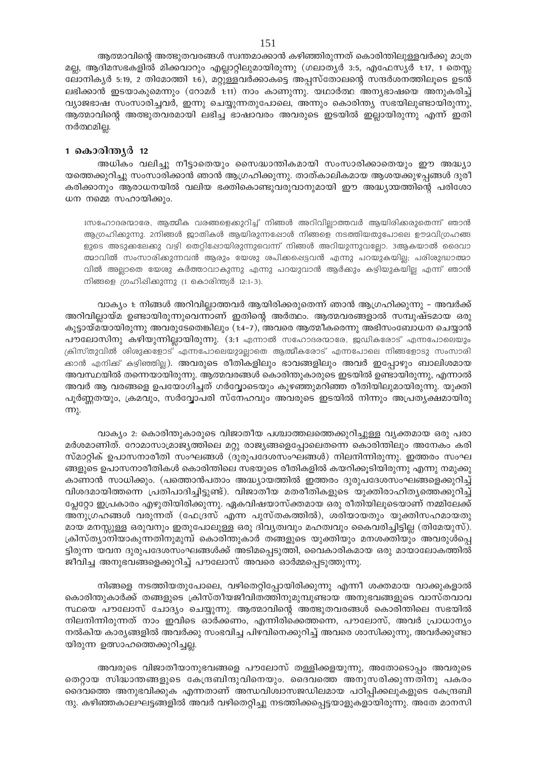ആത്മാവിന്റെ അത്ഭുതവരങ്ങൾ സ്വന്തമാക്കാൻ കഴിഞ്ഞിരുന്നത് കൊരിന്തിലുള്ളവർക്കു മാത്ര മല്ല, ആദിമസഭകളിൽ മിക്കവാറും എല്ലാറ്റിലുമായിരുന്നു (ഗലാതൃർ 3:5, എഫേസ്യർ 1:17, 1 തെസ്സ ലോനികൃർ 5:19, 2 തിമോത്തി 1:6), മറ്റുള്ളവർക്കാകട്ടെ അപ്പസ്തോലന്റെ സന്ദർശനത്തിലൂടെ ഉടൻ ലഭിക്കാൻ ഇടയാകുമെന്നും (റോമർ 1:11) നാം കാണുന്നു. യഥാർത്ഥ അന്യഭാഷയെ അനുകരിച്ച് വ്യാജഭാഷ സംസാരിച്ചവർ, ഇന്നു ചെയ്യുന്നതുപോലെ, അന്നും കൊരിന്ത്യ സഭയിലുണ്ടായിരുന്നു, ആത്മാവിന്റെ അത്ഭുതവരമായി ലഭിച്ച ഭാഷാവരം അവരുടെ ഇടയിൽ ഇല്ലായിരുന്നു എന്ന് ഇതി നർത്ഥമില്ല.

## 1 കൊരിന്ത്യർ 12

അധികം വലിച്ചു നീട്ടാതെയും സൈദ്ധാന്തികമായി സംസാരിക്കാതെയും ഈ അദ്ധ്യാ യത്തെക്കുറിച്ചു സംസാരിക്കാൻ ഞാൻ ആഗ്രഹിക്കുന്നു. താത്കാലികമായ ആശയക്കുഴപ്പങ്ങൾ ദുരീ കരിക്കാനും ആരാധനയിൽ വലിയ ഭക്തികൊണ്ടുവരുവാനുമായി ഈ അദ്ധ്യായത്തിന്റെ പരിശോ ധന നമ്മെ സഹായിക്കും.

1സഹോദരന്മാരേ, ആത്മീക വരങ്ങളെക്കുറിച്ച് നിങ്ങൾ അറിവില്ലാത്തവർ ആയിരിക്കരുതെന്ന് ഞാൻ ആഗ്രഹിക്കുന്നു. 2നിങ്ങൾ ജാതികൾ ആയിരുന്നപ്പോൾ നിങ്ങളെ നടത്തിയതുപോലെ ഊമവിഗ്രഹങ്ങ ളുടെ അടുക്കലേക്കു വഴി തെറ്റിഷോയിരുന്നുവെന്ന് നിങ്ങൾ അറിയുന്നുവല്ലോ. 3ആകയാൽ ദൈവാ ത്മാവിൽ സംസാരിക്കുന്നവൻ ആരും യേശു ശപിക്കപ്പെട്ടവൻ എന്നു പറയുകയില്ല; പരിശുദ്ധാത്മാ വിൽ അല്ലാതെ യേശു കർത്താവാകുന്നു എന്നു പറയുവാൻ ആർക്കും കഴിയുകയില്ല എന്ന് ഞാൻ നിങ്ങളെ ഗ്രഹിഷിക്കുന്നു (1 കൊരിന്ത്യർ 12:1-3).

വാക്യം 1: നിങ്ങൾ അറിവില്ലാത്തവർ ആയിരിക്കരുതെന്ന് ഞാൻ ആഗ്രഹിക്കുന്നു – അവർക്ക് അറിവില്ലായ്മ ഉണ്ടായിരുന്നുവെന്നാണ് ഇതിന്റെ അർത്ഥം. ആത്മവരങ്ങളാൽ സമ്പുഷ്ടമായ ഒരു കൂട്ടായ്മയായിരുന്നു അവരുടേതെങ്കിലും (1:4–7), അവരെ ആത്മീകരെന്നു അഭിസംബോധന ചെയ്യാൻ പൗലോസിനു കഴിയുന്നില്ലായിരുന്നു. (3:1 എന്നാൽ സഹോദരന്മാരേ, ജഡികരോട് എന്നപോലെയും ക്രിസ്തുവിൽ ശിശുക്കളോട് എന്നപോലെയുമല്ലാതെ ആത്മീകരോട് എന്നപോലെ നിങ്ങളോടു സംസാരി ക്കാൻ എനിക്ക് കഴിഞ്ഞില്ല). അവരുടെ രീതികളിലും ഭാവങ്ങളിലും അവർ ഇപ്പോഴും ബാലിശമായ അവസ്ഥയിൽ തന്നെയായിരുന്നു. ആത്മവരങ്ങൾ കൊരിന്തുകാരുടെ ഇടയിൽ ഉണ്ടായിരുന്നു, എന്നാൽ അവർ ആ വരങ്ങളെ ഉപയോഗിച്ചത് ഗർവ്വോടെയും കുഴഞ്ഞുമറിഞ്ഞ രീതിയിലുമായിരുന്നു. യുക്തി പൂർണ്ണതയും, ക്രമവും, സർവ്വോപരി സ്നേഹവും അവരുടെ ഇടയിൽ നിന്നും അപ്രത്യക്ഷമായിരു  $m<sub>λ</sub>$ .

വാക്യം 2: കൊരിന്തുകാരുടെ വിജാതീയ പശ്ചാത്തലത്തെക്കുറിച്ചുള്ള വ്യക്തമായ ഒരു പരാ മർശമാണിത്. റോമാസാമ്രാജ്യത്തിലെ മറ്റു രാജ്യങ്ങളെപ്പോലെതന്നെ കൊരിന്തിലും അനേകം കരി സ്മാറ്റിക് ഉപാസനാരീതി സംഘങ്ങൾ (ദുരുപദേശസംഘങ്ങൾ) നിലനിന്നിരുന്നു. ഇത്തരം സംഘ ങ്ങളുടെ ഉപാസനാരീതികൾ കൊരിന്തിലെ സഭയുടെ രീതികളിൽ കയറിക്കൂടിയിരുന്നു എന്നു നമുക്കു കാണാൻ സാധിക്കും. (പത്തൊൻപതാം അദ്ധ്യായത്തിൽ ഇത്തരം ദുരുപദേശസംഘങ്ങളെക്കുറിച്ച് വിശദമായിത്തന്നെ പ്രതിപാദിച്ചിട്ടുണ്ട്). വിജാതീയ മതരീതികളുടെ യുക്തിരാഹിത്യത്തെക്കുറിച്ച് പ്ലേറ്റോ ഇപ്രകാരം എഴുതിയിരിക്കുന്നു. ഏകവിഷയാസ്ക്തമായ ഒരു രീതിയിലൂടെയാണ് നമ്മിലേക്ക് അനുഗ്രഹങ്ങൾ വരുന്നത് (ഫേദ്രസ് എന്ന പുസ്തകത്തിൽ), ശരിയായതും യുക്തിസഹമായതു മായ മനസ്സുള്ള ഒരുവനും ഇതുപോലുള്ള ഒരു ദിവ്യത്വവും മഹത്വവും കൈവരിച്ചിട്ടില്ല (തിമേയുസ്). ക്രിസ്ത്യാനിയാകുന്നതിനുമുമ്പ് കൊരിന്തുകാർ തങ്ങളുടെ യുക്തിയും മനശക്തിയും അവരുൾപ്പെ ട്ടിരുന്ന യവന ദുരുപദേശസംഘങ്ങൾക്ക് അടിമപ്പെടുത്തി, വൈകാരികമായ ഒരു മായാലോകത്തിൽ ജീവിച്ച അനുഭവങ്ങളെക്കുറിച്ച് പൗലോസ് അവരെ ഓർമ്മപ്പെടുത്തുന്നു.

നിങ്ങളെ നടത്തിയതുപോലെ, വഴിതെറ്റിപ്പോയിരിക്കുന്നു എന്നീ ശക്തമായ വാക്കുകളാൽ കൊരിന്തുകാർക്ക് തങ്ങളുടെ ക്രിസ്തീയജീവിതത്തിനുമുമ്പുണ്ടായ അനുഭവങ്ങളുടെ വാസ്തവാവ സ്ഥയെ പൗലോസ് ചോദ്യം ചെയ്യുന്നു. ആത്മാവിന്റെ അത്ഭുതവരങ്ങൾ കൊരിന്തിലെ സഭയിൽ നിലനിന്നിരുന്നത് നാം ഇവിടെ ഓർക്കണം, എന്നിരിക്കെത്തന്നെ, പൗലോസ്, അവർ പ്രാധാന്യം നൽകിയ കാര്യങ്ങളിൽ അവർക്കു സംഭവിച്ച പിഴവിനെക്കുറിച്ച് അവരെ ശാസിക്കുന്നു, അവർക്കുണ്ടാ യിരുന്ന ഉത്സാഹത്തെക്കുറിച്ചല്ല.

അവരുടെ വിജാതീയാനുഭവങ്ങളെ പൗലോസ് തള്ളിക്കളയുന്നു, അതോടൊപ്പം അവരുടെ തെറ്റായ സിദ്ധാന്തങ്ങളുടെ കേന്ദ്രബിന്ദുവിനെയും. ദൈവത്തെ അനുസരിക്കുന്നതിനു പകരം ദൈവത്തെ അനുഭവിക്കുക എന്നതാണ് അന്ധവിശ്വാസജഡിലമായ പഠിപ്പിക്കലുകളുടെ കേന്ദ്രബി ന്ദു. കഴിഞ്ഞകാലഘട്ടങ്ങളിൽ അവർ വഴിതെറ്റിച്ചു നടത്തിക്കപ്പെട്ടയാളുകളായിരുന്നു. അതേ മാനസി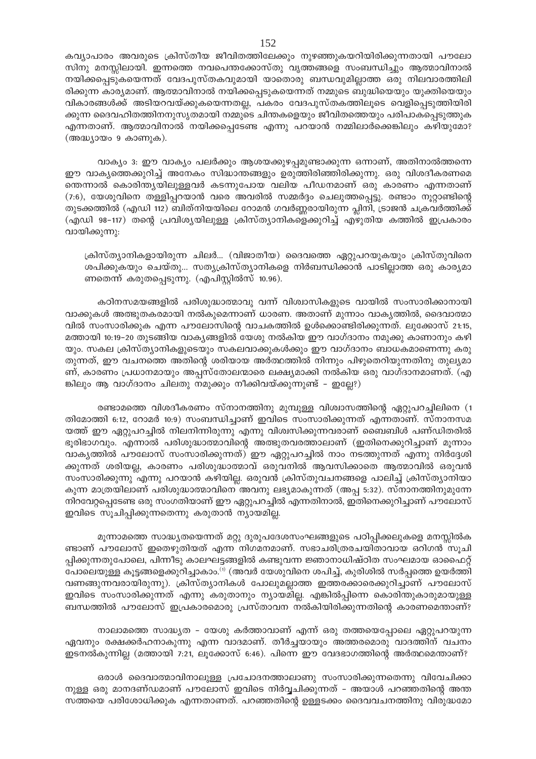കവ്യാപാരം അവരുടെ ക്രിസ്തീയ ജീവിതത്തിലേക്കും നുഴഞ്ഞുകയറിയിരിക്കുന്നതായി പൗലോ സിനു മനസ്സിലായി. ഇന്നത്തെ നവപെന്തക്കോസ്തു വൃത്തങ്ങളെ സംബന്ധിച്ചും ആത്മാവിനാൽ നയിക്കപ്പെടുകയെന്നത് വേദപുസ്തകവുമായി യാതൊരു ബന്ധവുമില്ലാത്ത ഒരു നിലവാരത്തിലി രിക്കുന്ന കാര്യമാണ്. ആത്മാവിനാൽ നയിക്കപ്പെടുകയെന്നത് നമ്മുടെ ബുദ്ധിയെയും യുക്തിയെയും വികാരങ്ങൾക്ക് അടിയറവയ്ക്കുകയെന്നതല്ല, പകരം വേദപുസ്തകത്തിലൂടെ വെളിപ്പെടുത്തിയിരി ക്കുന്ന ദൈവഹിതത്തിനനുസൃതമായി നമ്മുടെ ചിന്തകളെയും ജീവിതത്തെയും പരിപാകപ്പെടുത്തുക എന്നതാണ്. ആത്മാവിനാൽ നയിക്കപ്പെടേണ്ട എന്നു പറയാൻ നമ്മിലാർക്കെങ്കിലും കഴിയുമോ? (അദ്ധ്യായം 9 കാണുക).

വാക്യം 3: ഈ വാക്യം പലർക്കും ആശയക്കുഴപ്പമുണ്ടാക്കുന്ന ഒന്നാണ്, അതിനാൽത്തന്നെ ഈ വാകൃത്തെക്കുറിച്ച് അനേകം സിദ്ധാന്തങ്ങളും ഉരുത്തിരിഞ്ഞിരിക്കുന്നു. ഒരു വിശദീകരണമെ തെന്നാൽ കൊരിന്ത്യയിലുള്ളവർ കടന്നുപോയ വലിയ പീഡനമാണ് ഒരു കാരണം എന്നതാണ്  $(7.6)$ , യേശുവിനെ തള്ളിപ്പറയാൻ വരെ അവരിൽ സമ്മർദ്ദം ചെലുത്തപ്പെട്ടു. രണ്ടാം നൂറ്റാണ്ടിന്റെ തുടക്കത്തിൽ (എഡി 112) ബിത്നിയയിലെ റോമൻ ഗവർണ്ണരായിരുന്ന പ്ലിനി, ട്രാജൻ ചക്രവർത്തിക്ക് (എഡി 98-117) തന്റെ പ്രവിശ്യയിലുള്ള ക്രിസ്ത്യാനികളെക്കുറിച്ച് എഴുതിയ കത്തിൽ ഇപ്രകാരം വായിക്കുന്നു:

ക്രിസ്ത്യാനികളായിരുന്ന ചിലർ... (വിജാതീയ) ദൈവത്തെ ഏറ്റുപറയുകയും ക്രിസ്തുവിനെ ശപിക്കുകയും ചെയ്തു... സത്യക്രിസ്ത്യാനികളെ നിർബന്ധിക്കാൻ പാടില്ലാത്ത ഒരു കാര്യമാ ണതെന്ന് കരുതപ്പെടുന്നു. (എപിസ്റ്റിൽസ് 10.96).

കഠിനസമയങ്ങളിൽ പരിശുദ്ധാത്മാവു വന്ന് വിശ്വാസികളുടെ വായിൽ സംസാരിക്കാനായി വാക്കുകൾ അത്ഭുതകരമായി നൽകുമെന്നാണ് ധാരണ. അതാണ് മുന്നാം വാകൃത്തിൽ, ദൈവാത്മാ വിൽ സംസാരിക്കുക എന്ന പൗലോസിന്റെ വാചകത്തിൽ ഉൾക്കൊണ്ടിരിക്കുന്നത്. ലുക്കോസ് 21:15, മത്തായി 10:19-20 തുടങ്ങിയ വാകൃങ്ങളിൽ യേശു നൽകിയ ഈ വാഗ്ദാനം നമുക്കു കാണാനും കഴി യും. സകല ക്രിസ്ത്യാനികളുടെയും സകലവാക്കുകൾക്കും ഈ വാഗ്ദാനം ബാധകമാണെന്നു കരു തുന്നത്, ഈ വചനത്തെ അതിന്റെ ശരിയായ അർത്ഥത്തിൽ നിന്നും പിഴുതെറിയുന്നതിനു തുല്യമാ ണ്, കാരണം പ്രധാനമായും അപ്പസ്തോലന്മാരെ ലക്ഷ്യമാക്കി നൽകിയ ഒരു വാഗ്ദാനമാണത്. (എ ങ്കിലും ആ വാഗ്ദാനം ചിലതു നമുക്കും നീക്കിവയ്ക്കുന്നുണ്ട് – ഇല്ലേ?)

രണ്ടാമത്തെ വിശദീകരണം സ്നാനത്തിനു മുമ്പുള്ള വിശ്വാസത്തിന്റെ ഏറ്റുപറച്ചിലിനെ (1 തിമോത്തി 6:12, റോമർ 10:9) സംബന്ധിച്ചാണ് ഇവിടെ സംസാരിക്കുന്നത് എന്നതാണ്. സ്നാനസമ യത്ത് ഈ ഏറ്റുപറച്ചിൽ നിലനിന്നിരുന്നു എന്നു വിശ്വസിക്കുന്നവരാണ് ബൈബിൾ പണ്ഡിതരിൽ ഭൂരിഭാഗവും. എന്നാൽ പരിശുദ്ധാത്മാവിന്റെ അത്ഭുതവരത്താലാണ് (ഇതിനെക്കുറിച്ചാണ് മൂന്നാം വാകൃത്തിൽ പൗലോസ് സംസാരിക്കുന്നത്) ഈ ഏറ്റുപറച്ചിൽ നാം നടത്തുന്നത് എന്നു നിർദ്ദേശി ക്കുന്നത് ശരിയല്ല, കാരണം പരിശുദ്ധാത്മാവ് ഒരുവനിൽ ആവസിക്കാതെ ആത്മാവിൽ ഒരുവൻ സംസാരിക്കുന്നു എന്നു പറയാൻ കഴിയില്ല. ഒരുവൻ ക്രിസ്തുവചനങ്ങളെ പാലിച്ച് ക്രിസ്ത്യാനിയാ കുന്ന മാത്രയിലാണ് പരിശുദ്ധാത്മാവിനെ അവനു ലഭ്യമാകുന്നത് (അപ്പ 5:32). സ്നാനത്തിനുമുന്നേ നിറവേറ്റപ്പെടേണ്ട ഒരു സംഗതിയാണ് ഈ ഏറ്റുപറച്ചിൽ എന്നതിനാൽ, ഇതിനെക്കുറിച്ചാണ് പൗലോസ് ഇവിടെ സൂചിപ്പിക്കുന്നതെന്നു കരുതാൻ ന്യായമില്ല.

മൂന്നാമത്തെ സാദ്ധ്യതയെന്നത് മറ്റു ദുരുപദേശസംഘങ്ങളുടെ പഠിപ്പിക്കലുകളെ മനസ്സിൽക ണ്ടാണ് പൗലോസ് ഇതെഴുതിയത് എന്ന നിഗമനമാണ്. സഭാചരിത്രരചയിതാവായ ഒറിഗൻ സൂചി പ്പിക്കുന്നതുപോലെ, പിന്നീടു കാലഘട്ടങ്ങളിൽ കണ്ടുവന്ന ജ്ഞാനാധിഷ്ഠിത സംഘമായ ഓഫൈറ്റ് പോലെയുള്ള കൂട്ടങ്ങളെക്കുറിച്ചാകാം.<sup>(1)</sup> (അവർ യേശുവിനെ ശപിച്ച്, കുരിശിൽ സർപ്പത്തെ ഉയർത്തി വണങ്ങുന്നവരായിരുന്നു). ക്രിസ്ത്യാനികൾ പോലുമല്ലാത്ത ഇത്തരക്കാരെക്കുറിച്ചാണ് പൗലോസ് ഇവിടെ സംസാരിക്കുന്നത് എന്നു കരുതാനും ന്യായമില്ല. എങ്കിൽപ്പിന്നെ കൊരിന്തുകാരുമായുള്ള ബന്ധത്തിൽ പൗലോസ് ഇപ്രകാരമൊരു പ്രസ്താവന നൽകിയിരിക്കുന്നതിന്റെ കാരണമെന്താണ്?

നാലാമത്തെ സാദ്ധ്യത – യേശു കർത്താവാണ് എന്ന് ഒരു തത്തയെപ്പോലെ ഏറ്റുപറയുന്ന ഏവനും രക്ഷക്കർഹനാകുന്നു എന്ന വാദമാണ്. തീർച്ചയായും അത്തരമൊരു വാദത്തിന് വചനം ഇടനൽകുന്നില്ല (മത്തായി 7:21, ലൂക്കോസ് 6:46). പിന്നെ ഈ വേദഭാഗത്തിന്റെ അർത്ഥമെന്താണ്?

ഒരാൾ ദൈവാത്മാവിനാലുള്ള പ്രചോദനത്താലാണു സംസാരിക്കുന്നതെന്നു വിവേചിക്കാ നുള്ള ഒരു മാനദണ്ഡമാണ് പൗലോസ് ഇവിടെ നിർവ്വചിക്കുന്നത് – അയാൾ പറഞ്ഞതിന്റെ അന്ത സത്തയെ പരിശോധിക്കുക എന്നതാണത്. പറഞ്ഞതിന്റെ ഉള്ളടക്കം ദൈവവചനത്തിനു വിരുദ്ധമോ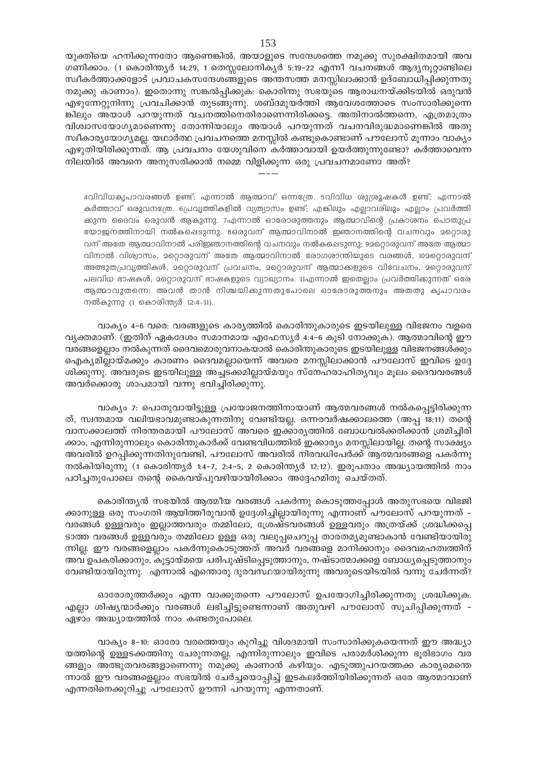യുക്തിയെ ഹനിക്കുന്നതോ ആണെങ്കിൽ, അയാളുടെ സന്ദേശത്തെ നമുക്കു സുരക്ഷിതമായി അവ ഗണിക്കാം. (1 കൊരിന്ത്യർ 14:29, 1 തെസ്സലോനിക്യർ 5:19–22 എന്നീ വചനങ്ങൾ ആദ്യനൂറ്റാണ്ടിലെ സ്ഥീകർത്താക്കളോട് പ്രവാചകസന്ദേശങ്ങളുടെ അന്തസത്ത മനസ്സിലാക്കാൻ ഉദ്ബോധിപ്പിക്കുന്നതു നമുക്കു കാണാം). ഇതൊന്നു സങ്കൽപ്പിക്കുക: കൊരിന്തു സഭയുടെ ആരാധനയ്ക്കിടയിൽ ഒരുവൻ എഴുന്നേറ്റുനിന്നു പ്രവചിക്കാൻ തുടങ്ങുന്നു. ശബ്ദമുയർത്തി ആവേശത്തോടെ സംസാരിക്കുന്നെ ങ്കിലും അയാൾ പറയുന്നത് വചനത്തിനെതിരാണെന്നിരിക്കട്ടെ. അതിനാൽത്തന്നെ, എത്രമാത്രം വിശ്വാസയോഗ്യമാണെന്നു തോന്നിയാലും അയാൾ പറയുന്നത് വചനവിരുദ്ധമാണെങ്കിൽ അതു സ്ഥീകാര്യയോഗ്യമല്ല. യഥാർത്ഥ പ്രവചനത്തെ മനസ്സിൽ കണ്ടുകൊണ്ടാണ് പൗലോസ് മൂന്നാം വാക്യം എഴുതിയിരിക്കുന്നത്. ആ പ്രവചനം യേശുവിനെ കർത്താവായി ഉയർത്തുന്നുണ്ടോ? കർത്താവെന്ന നിലയിൽ അവനെ അനുസരിക്കാൻ നമ്മെ വിളിക്കുന്ന ഒരു പ്രവചനമാണോ അത്?

4വിവിധകൃപാവരങ്ങൾ ഉണ്ട്; എന്നാൽ ആത്മാവ് ഒന്നത്രേ. 5വിവിധ ശുശ്രൂഷകൾ ഉണ്ട്; എന്നാൽ കർത്താവ് ഒരുവനത്രേ. 6പ്രവൃത്തികളിൽ വ്യത്യാസം ഉണ്ട്; എങ്കിലും എല്ലാവരിലും എല്ലാം പ്രവർത്തി ക്കുന്ന ദൈവം ഒരുവൻ ആകുന്നു. 7എന്നാൽ ഓരോരുത്തനും ആത്മാവിന്റെ പ്രകാശനം പൊതുപ്ര യോജനത്തിനായി നൽകപ്പെടുന്നു. ഒരുവന് ആത്മാവിനാൽ ഇഞാനത്തിന്റെ വചനവും മറ്റൊരു വന് അതേ ആത്മാവിനാൽ പരിജ്ഞാനത്തിന്റെ വചനവും നൽകപ്പെടുന്നു; 9മറ്റൊരുവന് അതേ ആത്മാ വിനാൽ വിശ്വാസം, മറ്റൊരുവന് അതേ ആത്മാവിനാൽ രോഗരാന്തിയുടെ വരങ്ങൾ, 102റ്റൊരുവന് അത്ഭുതപ്രവൃത്തികൾ, മറ്റൊരുവന് പ്രവചനം, മറ്റൊരുവന് ആത്മാക്കളുടെ വിവേചനം, മറ്റൊരുവന് പലവിധ ഭാഷകൾ, മറ്റൊരുവന് ഭാഷകളുടെ വ്യാഖ്യാനം. 11എന്നാൽ ഇതെല്ലാം പ്രവർത്തിക്കുന്നത് ഒരേ ആത്മാവുതന്നെ; അവൻ താൻ നിശ്ചയിക്കുന്നതുപോലെ ഓരോരുത്തനും അതതു കൃപാവരം നൽകുന്നു (1 കൊരിന്ത്യർ 12:4-11).

വാക്യം 4-6 വരെ: വരങ്ങളുടെ കാര്യത്തിൽ കൊരിന്തുകാരുടെ ഇടയിലുള്ള വിഭജനം വളരെ വൃക്തമാണ്. (ഇതിന് ഏകദേശം സമാനമായ എഫേസ്യർ 4:4-6 കൂടി നോക്കുക). ആത്മാവിന്റെ ഈ വരങ്ങളെല്ലാം നൽകുന്നത് ദൈവമൊരുവനാകയാൽ കൊരിന്തുകാരുടെ ഇടയിലുള്ള വിഭജനങ്ങൾക്കും ഐക്യമില്ലായ്മക്കും കാരണം ദൈവമല്ലായെന്ന് അവരെ മനസ്സിലാക്കാൻ പൗലോസ് ഇവിടെ ഉദ്ദേ ശിക്കുന്നു. അവരുടെ ഇടയിലുള്ള അച്ചടക്കമില്ലായ്മയും സ്നേഹരാഹിത്യവും മൂലം ദൈവവരങ്ങൾ അവർക്കൊരു ശാപമായി വന്നു ഭവിച്ചിരിക്കുന്നു.

വാക്യം 7: പൊതുവായിട്ടുള്ള പ്രയോജനത്തിനായാണ് ആത്മവരങ്ങൾ നൽകപ്പെട്ടിരിക്കുന്ന ത്, സ്വന്തമായ വലിയഭാവമുണ്ടാകുന്നതിനു വേണ്ടിയല്ല. ഒന്നരവർഷക്കാലത്തെ (അപ്പ 18:11) തന്റെ വാസക്കാലത്ത് നിരന്തരമായി പൗലോസ് അവരെ ഇക്കാര്യത്തിൽ ബോധവൽക്കരിക്കാൻ ശ്രമിച്ചിരി ക്കാം, എന്നിരുന്നാലും കൊരിന്തുകാർക്ക് വേണ്ടവിധത്തിൽ ഇക്കാര്യം മനസ്സിലായില്ല. തന്റെ സാക്ഷ്യം അവരിൽ ഉറപ്പിക്കുന്നതിനുവേണ്ടി, പൗലോസ് അവരിൽ നിരവധിപേർക്ക് ആത്മവരങ്ങളെ പകർന്നു നൽകിയിരുന്നു (1 കൊരിന്ത്യർ 1:4-7, 2:4-5, 2 കൊരിന്ത്യർ 12:12). ഇരുപതാം അദ്ധ്യായത്തിൽ നാം പഠിച്ചതുപോലെ തന്റെ കൈവയ്പുവഴിയായിരിക്കാം അദ്ദേഹമിതു ചെയ്തത്.

കൊരിന്ത്യൻ സഭയിൽ ആത്മീയ വരങ്ങൾ പകർന്നു കൊടുത്തപ്പോൾ അതുസഭയെ വിഭജി ക്കാനുള്ള ഒരു സംഗതി ആയിത്തീരുവാൻ ഉദ്ദേശിച്ചില്ലായിരുന്നു എന്നാണ് പൗലോസ് പറയുന്നത് – വരങ്ങൾ ഉള്ളവരും ഇല്ലാത്തവരും തമ്മിലോ, ശ്രേഷ്ടവരങ്ങൾ ഉള്ളവരും അത്രയ്ക്ക് ശ്രദ്ധിക്കപ്പെ ടാത്ത വരങ്ങൾ ഉള്ളവരും തമ്മിലോ ഉള്ള ഒരു വലുപ്പചെറുപ്പ താരതമ്യമുണ്ടാകാൻ വേണ്ടിയായിരു ന്നില്ല. ഈ വരങ്ങളെല്ലാം പകർന്നുകൊടുത്തത് അവർ വരങ്ങളെ മാനിക്കാനും ദൈവമഹത്വത്തിന് അവ ഉപകരിക്കാനും, കൂട്ടായ്മയെ പരിപുഷ്ടിപ്പെടുത്താനും, നഷ്ടാത്മാക്കളെ ബോധ്യപ്പെടുത്താനും വേണ്ടിയായിരുന്നു. എന്നാൽ എന്തൊരു ദുരവസ്ഥയായിരുന്നു അവരുടെയിടയിൽ വന്നു ചേർന്നത്?

ഓരോരുത്തർക്കും എന്ന വാക്കുതന്നെ പൗലോസ് ഉപയോഗിച്ചിരിക്കുന്നതു ശ്രദ്ധിക്കുക. എല്ലാ ശിഷ്യന്മാർക്കും വരങ്ങൾ ലഭിച്ചിട്ടുണ്ടെന്നാണ് അതുവഴി പൗലോസ് സൂചിപ്പിക്കുന്നത് -ഏഴാം അദ്ധ്യായത്തിൽ നാം കണ്ടതുപോലെ.

വാക്യം 8-10: ഓരോ വരത്തെയും കുറിച്ചു വിശദമായി സംസാരിക്കുകയെന്നത് ഈ അദ്ധ്യാ യത്തിന്റെ ഉള്ളടക്കത്തിനു ചേരുന്നതല്ല, എന്നിരുന്നാലും ഇവിടെ പരാമർശിക്കുന്ന ഭൂരിഭാഗം വര ങ്ങളും അത്ഭുതവരങ്ങളാണെന്നു നമുക്കു കാണാൻ കഴിയും. എടുത്തുപറയത്തക്ക കാര്യമെന്തെ ന്നാൽ ഈ വരങ്ങളെല്ലാം സഭയിൽ ചേർച്ചയൊപ്പിച്ച് ഇടകലർത്തിയിരിക്കുന്നത് ഒരേ ആത്മാവാണ് എന്നതിനെക്കുറിച്ചു പൗലോസ് ഊന്നി പറയുന്നു എന്നതാണ്.

153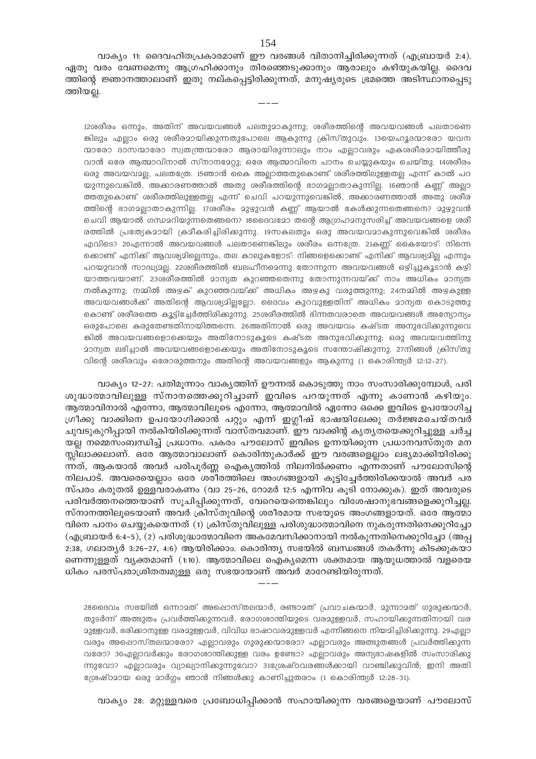വാക്യം 11: ദൈവഹിതപ്രകാരമാണ് ഈ വരങ്ങൾ വിതാനിച്ചിരിക്കുന്നത് (എബ്രായർ 2:4). ഏതു വരം വേണമെന്നു ആഗ്രഹിക്കാനും തിരഞ്ഞെടുക്കാനും ആരാലും കഴിയുകയില്ല. ദൈവ ത്തിന്റെ ജ്ഞാനത്താലാണ് ഇതു നല്കപ്പെട്ടിരിക്കുന്നത്, മനുഷ്യരുടെ ഭ്രമത്തെ അടിസ്ഥാനപ്പെടു ത്തിയല്ല.

12ശരീരം ഒന്നും, അതിന് അവയവങ്ങൾ പലതുമാകുന്നു; ശരീരത്തിന്റെ അവയവങ്ങൾ പലതാണെ ങ്കിലും എല്ലാം ഒരു ശരീരമായിക്കുന്നതുപോലെ ആകുന്നു ക്രിസ്തുവും. 13യെഹൂദന്മാരോ യവന ന്മാരോ ദാസന്മാരോ സ്വതന്ത്രന്മാരോ ആരായിരുന്നാലും നാം എല്ലാവരും ഏകശരീരമായിത്തീരു വാൻ ഒരേ ആത്മാവിനാൽ സ്നാനമേറ്റു; ഒരേ ആത്മാവിനെ പാനം ചെയ്യുകയും ചെയ്തു. 14ശരീരം ഒരു അവയവാല്ല, പലതത്രേ. 15ഞാൻ കൈ അല്ലാത്തതുകൊണ്ട് ശരീരത്തിലുള്ളതല്ല എന്ന് കാൽ പറ യുന്നുവെങ്കിൽ, അക്കാരണത്താൽ അതു ശരീരത്തിന്റെ ഭാഗമല്ലാതാകുന്നില്ല. 16ഞാൻ കണ്ണ് അല്ലാ ത്തതുകൊണ്ട് ശരീരത്തിലുള്ളതല്ല എന്ന് ചെവി പറയുന്നുവെങ്കിൽ, അക്കാരണത്താൽ അതു ശരീര ത്തിന്റെ ഭാഗമല്ലാതാകുന്നില്ല. 17ശരീരം മുഴുവൻ കണ്ണ് ആയാൽ കേൾക്കുന്നതെങ്ങനെ? മുഴുവൻ ചെവി ആയാൽ ഗന്ധമറിയുന്നതെങ്ങനെ? 18ബൈമോ തന്റെ ആഗ്രഹമനുസരിച്ച് അവയവങ്ങളെ ശരീ രത്തിൽ പ്രത്യേകമായി ക്രമീകരിച്ചിരിക്കുന്നു. 19സകലതും ഒരു അവയവമാകുന്നുവെങ്കിൽ ശരീരം എവിടെ? 20എന്നാൽ അവയവങ്ങൾ പലതാണെങ്കിലും ശരീരം ഒന്നത്രേ. 21കണ്ണ് കൈയോട്: നിന്നെ ക്കൊണ്ട് എനിക്ക് ആവശ്യമില്ലെന്നും, തല കാലുകളോട്: നിങ്ങളെക്കൊണ്ട് എനിക്ക് ആവശ്യമില്ല എന്നും പറയുവാൻ സാദ്ധ്യാല്ല. 22ശരീരത്തിൽ ബലഹീനമെന്നു തോന്നുന്ന അവയവങ്ങൾ ഒഴിച്ചുകൂടാൻ കഴി യാത്തവയാണ്. 23ശരീരത്തിൽ മാന്യത കുറഞ്ഞതെന്നു തോന്നുന്നവയ്ക്ക് നാം അധികം മാന്യത നൽകുന്നു; നമ്മിൽ അഴക് കുറഞ്ഞവയ്ക്ക് അധികം അഴകു വരുത്തുന്നു; 24നമ്മിൽ അഴകുള്ള അവയവങ്ങൾക്ക് അതിന്റെ ആവശ്യമില്ലല്ലോ. ദൈവം കുറവുള്ളതിന് അധികം മാന്യത കൊടുത്തു കൊണ്ട് ശരീരത്തെ കൂട്ടിച്ചേർത്തിരിക്കുന്നു. 25ശരീരത്തിൽ ഭിന്നതവരാതെ അവയവങ്ങൾ അന്യോന്യം ഒരുപോലെ കരുതേണ്ടതിനായിത്തന്നെ. 26അതിനാൽ ഒരു അവയവം കഷ്ടത അനുഭവിക്കുന്നുവെ കിൽ അവയവങ്ങളൊക്കെയും അതിനോടുകൂടെ കഷ്ടത അനുഭവിക്കുന്നു; ഒരു അവയവത്തിനു മാന്യത ലഭിച്ചാൽ അവയവങ്ങളൊക്കെയും അതിനോടുകൂടെ സന്തോഷിക്കുന്നു. 27നിങ്ങൾ ക്രിസ്തു വിന്റെ ശരീരവും ഒരോരുത്തനും അതിന്റെ അവയവങ്ങളും ആകുന്നു (1 കൊരിന്ത്യർ 12:12-27).

വാക്യം 12–27: പതിമൂന്നാം വാകൃത്തിന് ഊന്നൽ കൊടുത്തു നാം സംസാരിക്കുമ്പോൾ, പരി ശുദ്ധാത്മാവിലുള്ള സ്നാനത്തെക്കുറിച്ചാണ് ഇവിടെ പറയുന്നത് എന്നു കാണാൻ കഴിയും. ആത്മാവിനാൽ എന്നോ, ആത്മാവിലൂടെ എന്നോ, ആത്മാവിൽ ഏന്നോ ഒക്കെ ഇവിടെ ഉപയോഗിച്ച ഗ്രീക്കു വാക്കിനെ ഉപയോഗിക്കാൻ പറ്റും എന്ന് ഇഗ്ലീഷ് ഭാഷയിലേക്കു തർജ്ജമചെയ്തവർ ചുവടുകുറിപ്പായി നൽകിയിരിക്കുന്നത് വാസ്തവമാണ്. ഈ വാക്കിന്റ കൃതൃതയെക്കുറിച്ചുള്ള ചർച്ച യല്ല നമ്മെസംബന്ധിച്ച് പ്രധാനം. പകരം പൗലോസ് ഇവിടെ ഉന്നയിക്കുന്ന പ്രധാനവസ്തുത മന സ്സിലാക്കലാണ്. ഒരേ ആത്മാവാലാണ് കൊരിന്തുകാർക്ക് ഈ വരങ്ങളെല്ലാം ലഭ്യമാക്കിയിരിക്കു ന്നത്, ആകയാൽ അവർ പരിപൂർണ്ണ ഐക്യത്തിൽ നിലനിൽക്കണം എന്നതാണ് പൗലോസിന്റെ നിലപാട്. അവരെയെല്ലാം ഒരേ ശരീരത്തിലെ അംഗങ്ങളായി കൂട്ടിച്ചേർത്തിരിക്കയാൽ അവർ പര സ്പരം കരുതൽ ഉള്ളവരാകണം (വാ 25–26, റോമർ 12:5 എന്നിവ കൂടി നോക്കുക). ഇത് അവരുടെ പരിവർത്തനത്തെയാണ് സൂചിപ്പിക്കുന്നത്, വേറെയെന്തെങ്കിലും വിശേഷാനുഭവങ്ങളെക്കുറിച്ചല്ല. സ്നാനത്തിലൂടെയാണ് അവർ ക്രിസ്തുവിന്റെ ശരീരമായ സഭയുടെ അംഗങ്ങളായത്. ഒരേ ആത്മാ വിനെ പാനം ചെയ്യുകയെന്നത് (1) ക്രിസ്തുവിലുള്ള പരിശുദ്ധാത്മാവിനെ നുകരുന്നതിനെക്കുറിച്ചോ (എബ്രായർ 6:4–5), (2) പരിശുദ്ധാത്മാവിനെ അകമേവസിക്കാനായി നൽകുന്നതിനെക്കുറിച്ചോ (അപ്പ  $2:38$ , ഗലാത്യർ  $3:26-27$ ,  $4:6$ ) ആയിരിക്കാം. കൊരിന്ത്യ സഭയിൽ ബന്ധങ്ങൾ തകർന്നു കിടക്കുകയാ ണെന്നുള്ളത് വ്യക്തമാണ് (1:10). ആത്മാവിലെ ഐക്യമെന്ന ശക്തമായ ആയുധത്താൽ വളരെയ ധികം പരസ്പരാശ്രിതത്വമുള്ള ഒരു സഭയായാണ് അവർ മാറേണ്ടിയിരുന്നത്.

28മൈവം സഭയിൽ ഒന്നാമത് അപ്പൊസ്തലന്മാർ, രണ്ടാമത് പ്രവാചകന്മാർ, മുന്നാമത് ഗുരുക്കന്മാർ, തുടർന്ന് അത്ഭുതം പ്രവർത്തിക്കുന്നവർ, രോഗശാന്തിയുടെ വരമുള്ളവർ, സഹായിക്കുന്നതിനായി വര ദുള്ളവർ, ഭരിക്കാനുള്ള വരദുള്ളവർ, വിവിധ ഭാഷാവരദുള്ളവർ എന്നിങ്ങനെ നിയദിച്ചിരിക്കുന്നു. 29എല്ലാ വരും അപ്പൊസ്തലന്മാരോ? എല്ലാവരും ഗുരുക്കന്മാരോ? എല്ലാവരും അത്ഭുതങ്ങൾ പ്രവർത്തിക്കുന്ന വരോ? 30എല്ലാവർക്കും രോഗശാന്തിക്കുള്ള വരം ഉണ്ടോ? എല്ലാവരും അന്യഭാഷകളിൽ സംസാരിക്കു ന്നുവോ? എല്ലാവരും വ്യാഖ്യാനിക്കുന്നുവോ? 31ഗ്രേഷ്ഠവരങ്ങൾക്കായി വാഞ്ചിക്കുവിൻ; ഇനി അതി ശ്രേഷ്ഠമായ ഒരു മാർഗം ഞാൻ നിങ്ങൾക്കു കാണിച്ചുതരാം (1 കൊരിന്ത്യർ 12:28-31).

വാക്യം 28: മറ്റുള്ളവരെ പ്രബോധിപ്പിക്കാൻ സഹായിക്കുന്ന വരങ്ങളെയാണ് പൗലോസ്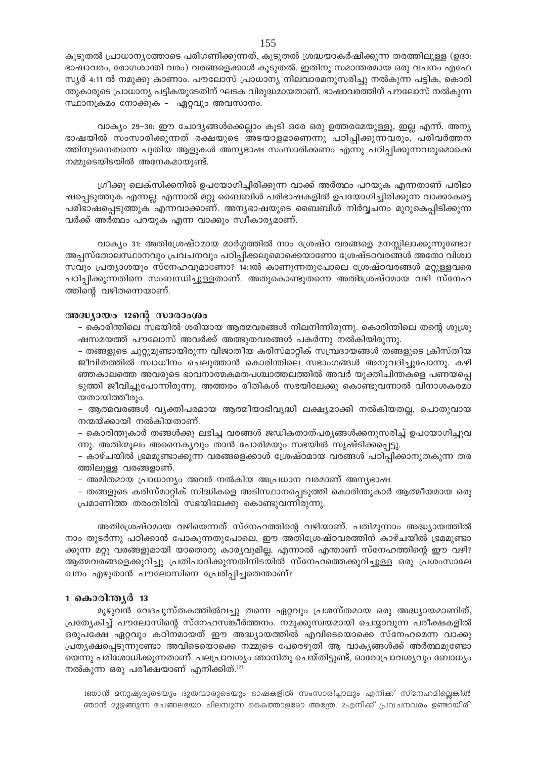കൂടുതൽ പ്രാധാന്യത്തോടെ പരിഗണിക്കുന്നത്, കൂടുതൽ ശ്രദ്ധയാകർഷിക്കുന്ന തരത്തിലുള്ള (ഉദാ: ഭാഷാവരം, രോഗശാന്തി വരം) വരങ്ങളെക്കാൾ കൂടുതൽ. ഇതിനു സമാന്തരമായ ഒരു വചനം എഫേ സ്യർ 4:11 ൽ നമുക്കു കാണാം. പൗലോസ് പ്രാധാന്യ നിലവാരമനുസരിച്ചു നൽകുന്ന പട്ടിക, കൊരി ന്തുകാരുടെ പ്രാധാന്യ പട്ടികയുടേതിന് ഘടക വിരുദ്ധമായതാണ്. ഭാഷാവരത്തിന് പൗലോസ് നൽകുന്ന സ്ഥാനക്രമം നോക്കുക - ഏറ്റവും അവസാനം.

വാക്യം 29-30: ഈ ചോദ്യങ്ങൾക്കെല്ലാം കൂടി ഒരേ ഒരു ഉത്തരമേയുള്ളൂ, ഇല്ല എന്ന്. അന്യ ഭാഷയിൽ സംസാരിക്കുന്നത് രക്ഷയുടെ അടയാളമാണെന്നു പഠിപ്പിക്കുന്നവരും, പരിവർത്തന ത്തിനുടനെതന്നെ പുതിയ ആളുകൾ അന്യഭാഷ സംസാരിക്കണം എന്നു പഠിപ്പിക്കുന്നവരുമൊക്കെ നമ്മുടെയിടയിൽ അനേകമായുണ്ട്.

ഗ്രീക്കു ലെക്സിക്കനിൽ ഉപയോഗിച്ചിരിക്കുന്ന വാക്ക് അർത്ഥം പറയുക എന്നതാണ് പരിഭാ ഷപ്പെടുത്തുക എന്നല്ല. എന്നാൽ മറ്റു ബൈബിൾ പരിഭാഷകളിൽ ഉപയോഗിച്ചിരിക്കുന്ന വാക്കാകട്ടെ പരിഭാഷപ്പെടുത്തുക എന്നവാക്കാണ്. അന്യഭാഷയുടെ ബൈബിൾ നിർവ്വചനം മുറുകെപ്പിടിക്കുന്ന വർക്ക് അർത്ഥം പറയുക എന്ന വാക്കും സ്വീകാര്യമാണ്.

വാക്യം 31: അതിശ്രേഷ്ഠമായ മാർഗ്ഗത്തിൽ നാം ശ്രേഷ്ഠ വരങ്ങളെ മനസ്സിലാക്കുന്നുണ്ടോ? അപ്പസ്തോലസ്ഥാനവും പ്രവചനവും പഠിപ്പിക്കലുമൊക്കെയാണോ ശ്രേഷ്ടഠവരങ്ങൾ അതോ വിശ്വാ സവും പ്രത്യാശയും സ്നേഹവുമാണോ? 14:1ൽ കാണുന്നതുപോലെ ശ്രേഷ്ഠവരങ്ങൾ മറ്റുള്ളവരെ പഠിപ്പിക്കുന്നതിനെ സംബന്ധിച്ചുള്ളതാണ്. അതുകൊണ്ടുതന്നെ അതിശ്രേഷ്ഠമായ വഴി സ്നേഹ ത്തിന്റെ വഴിതന്നെയാണ്.

#### അദ്ധ്യായം 12ന്റെ സാരാംശം

– കൊരിന്തിലെ സഭയിൽ ശരിയായ ആത്മവരങ്ങൾ നിലനിന്നിരുന്നു. കൊരിന്തിലെ തന്റെ ശുശ്രൂ ഷസമയത്ത് പൗലോസ് അവർക്ക് അത്ഭുതവരങ്ങൾ പകർന്നു നൽകിയിരുന്നു.

- തങ്ങളുടെ ചുറ്റുമുണ്ടായിരുന്ന വിജാതീയ കരിസ്മാറ്റിക് സമ്പ്രദായങ്ങൾ തങ്ങളുടെ ക്രിസ്തീയ ജീവിതത്തിൽ സ്വാധീനം ചെലുത്താൻ കൊരിന്തിലെ സഭാംഗങ്ങൾ അനുവദിച്ചുപോന്നു. കഴി ഞ്ഞകാലത്തെ അവരുടെ ഭാവനാത്മകമതപശ്ചാത്തലത്തിൽ അവർ യുക്തിചിന്തകളെ പണയപ്പെ ടുത്തി ജീവിച്ചുപോന്നിരുന്നു. അത്തരം രീതികൾ സഭയിലേക്കു കൊണ്ടുവന്നാൽ വിനാശകരമാ യതായിത്തീരും.

- ആത്മവരങ്ങൾ വ്യക്തിപരമായ ആത്മീയാഭിവൃദ്ധി ലക്ഷ്യമാക്കി നൽകിയതല്ല, പൊതുവായ നന്മയ്ക്കായി നൽകിയതാണ്.

– കൊരിന്തുകാർ തങ്ങൾക്കു ലഭിച്ച വരങ്ങൾ ജഡികതാത്പര്യങ്ങൾക്കനുസരിച്ച് ഉപയോഗിച്ചുവ ന്നു. അതിന്മുലം അനൈക്യവും താൻ പോരിമയും സഭയിൽ സൃഷ്ടിക്കപ്പെട്ടു.

– കാഴ്ചയിൽ ഭ്രമമുണ്ടാക്കുന്ന വരങ്ങളെക്കാൾ ശ്രേഷ്ഠമായ വരങ്ങൾ പഠിപ്പിക്കാനുതകുന്ന തര ത്തിലുള്ള വരങ്ങളാണ്.

- അമിതമായ പ്രാധാന്യം അവർ നൽകിയ അപ്രധാന വരമാണ് അന്യഭാഷ.

– തങ്ങളുടെ കരിസ്മാറ്റിക് സിദ്ധികളെ അടിസ്ഥാനപ്പെടുത്തി കൊരിന്തുകാർ ആത്മീയമായ ഒരു പ്രമാണിത്ത തരംതിരിവ് സഭയിലേക്കു കൊണ്ടുവന്നിരുന്നു.

അതിശ്രേഷ്ഠമായ വഴിയെന്നത് സ്നേഹത്തിന്റെ വഴിയാണ്. പതിമുന്നാം അദ്ധ്യായത്തിൽ നാം തുടർന്നു പഠിക്കാൻ പോകുന്നതുപോലെ, ഈ അതിശ്രേഷ്ഠവരത്തിന് കാഴ്ചയിൽ ഭ്രമമുണ്ടാ ക്കുന്ന മറ്റു വരങ്ങളുമായി യാതൊരു കാര്യവുമില്ല. എന്നാൽ എന്താണ് സ്നേഹത്തിന്റെ ഈ വഴി? ആത്മവരങ്ങളെക്കുറിച്ചു പ്രതിപാദിക്കുന്നതിനിടയിൽ സ്നേഹത്തെക്കുറിച്ചുള്ള ഒരു പ്രശംസാലേ ഖനം എഴുതാൻ പൗലോസിനെ പ്രേരിപ്പിച്ചതെന്താണ്?

## 1 കൊരിന്ത്യർ 13

മുഴുവൻ വേദപുസ്തകത്തിൽവച്ചു തന്നെ ഏറ്റവും പ്രശസ്തമായ ഒരു അദ്ധ്യായമാണിത്, പ്രത്യേകിച്ച് പൗലോസിന്റെ സ്നേഹസങ്കീർത്തനം. നമുക്കുസ്വയമായി ചെയ്യാവുന്ന പരീക്ഷകളിൽ ഒരുപക്ഷേ ഏറ്റവും കഠിനമായത് ഈ അദ്ധ്യായത്തിൽ എവിടെയൊക്കെ സ്നേഹമെന്ന വാക്കു പ്രത്യക്ഷപ്പെടുന്നുണ്ടോ അവിടെയൊക്കെ നമ്മുടെ പേരെഴുതി ആ വാക്യങ്ങൾക്ക് അർത്ഥമുണ്ടോ യെന്നു പരിശോധിക്കുന്നതാണ്. പലപ്രാവശ്യം ഞാനിതു ചെയ്തിട്ടുണ്ട്, ഓരോപ്രാവശ്യവും ബോധ്യം നൽകുന്ന ഒരു പരീക്ഷയാണ് എനിക്കിത്. $^{(2)}$ 

1ഞാൻ മനുഷ്യരുടെയും ദൂതന്മാരുടെയും ഭാഷകളിൽ സംസാരിച്ചാലും എനിക്ക് സ്നേഹമില്ലെങ്കിൽ ഞാൻ മുഴങ്ങുന്ന ചേങ്ങലയോ ചിലമ്പുന്ന കൈത്താളമോ അത്രേ. 2എനിക്ക് പ്രവചനവരം ഉണ്ടായിരി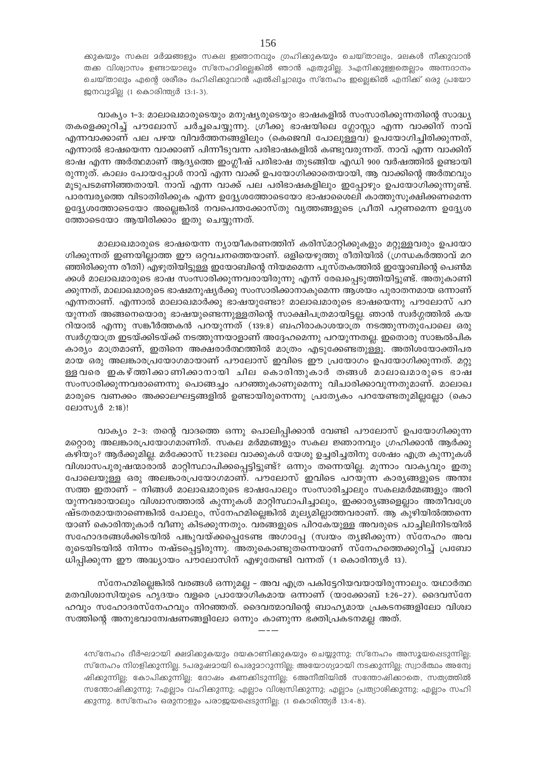ക്കുകയും സകല മർമ്മങ്ങളും സകല ഇഞാനവും ഗ്രഹിക്കുകയും ചെയ്താലും, മലകൾ നീക്കുവാൻ തക്ക വിശ്വാസം ഉണ്ടായാലും സ്നേഹമില്ലെങ്കിൽ ഞാൻ ഏതുമില്ല. 3എനിക്കുള്ളതെല്ലാം അന്നദാനം ചെയ്താലും എന്റെ ശരീരം ദഹിഷിക്കുവാൻ ഏൽഷിച്ചാലും സ്നേഹം ഇല്ലെങ്കിൽ എനിക്ക് ഒരു പ്രയോ ജനവുമില (1 കൊരിന്ത്യർ 13:1-3).

വാക്യം 1-3: മാലാഖമാരുടെയും മനുഷ്യരുടെയും ഭാഷകളിൽ സംസാരിക്കുന്നതിന്റെ സാദ്ധ്യ തകളെക്കുറിച്ച് പൗലോസ് ചർച്ചചെയ്യുന്നു. ഗ്രീക്കു ഭാഷയിലെ ഗ്ലോസ്ലാ എന്ന വാക്കിന് നാവ് എന്നവാക്കാണ് പല പഴയ വിവർത്തനങ്ങളിലും (കെജെവി പോലുള്ളവ) ഉപയോഗിച്ചിരിക്കുന്നത്, എന്നാൽ ഭാഷയെന്ന വാക്കാണ് പിന്നീടുവന്ന പരിഭാഷകളിൽ കണ്ടുവരുന്നത്. നാവ് എന്ന വാക്കിന് ഭാഷ എന്ന അർത്ഥമാണ് ആദ്യത്തെ ഇംഗ്ലീഷ് പരിഭാഷ തുടങ്ങിയ എഡി 900 വർഷത്തിൽ ഉണ്ടായി രുന്നുത്. കാലം പോയപ്പോൾ നാവ് എന്ന വാക്ക് ഉപയോഗിക്കാതെയായി, ആ വാക്കിന്റെ അർത്ഥവും മൂടുപടമണിഞ്ഞതായി. നാവ് എന്ന വാക്ക് പല പരിഭാഷകളിലും ഇപ്പോഴും ഉപയോഗിക്കുന്നുണ്ട്. പാരമ്പര്യത്തെ വിടാതിരിക്കുക എന്ന ഉദ്ദ്യശത്തോടെയോ ഭാഷാശൈലി കാത്തുസുക്ഷിക്കണമെന്ന ഉദ്ദ്യേശത്തോടെയോ അല്ലെങ്കിൽ നവപെന്തക്കോസ്തു വൃത്തങ്ങളുടെ പ്രീതി പറ്റണമെന്ന ഉദ്ദ്യേശ ത്തോടെയോ ആയിരിക്കാം ഇതു ചെയ്യുന്നത്.

മാലാഖമാരുടെ ഭാഷയെന്ന ന്യായീകരണത്തിന് കരിസ്മാറ്റിക്കുകളും മറ്റുള്ളവരും ഉപയോ ഗിക്കുന്നത് ഇണയില്ലാത്ത ഈ ഒറ്റവചനത്തെയാണ്. ഒളിയെഴുത്തു രീതിയിൽ (ഗ്രന്ധകർത്താവ് മറ ഞ്ഞിരിക്കുന്ന രീതി) എഴുതിയിട്ടുള്ള ഇയോബിന്റെ നിയമമെന്ന പുസ്തകത്തിൽ ഇയ്യോബിന്റെ പെൺമ ക്കൾ മാലാഖമാരുടെ ഭാഷ സംസാരിക്കുന്നവരായിരുന്നു എന്ന് രേഖപ്പെടുത്തിയിട്ടുണ്ട്. അതുകാണി ക്കുന്നത്, മാലാഖമാരുടെ ഭാഷമനുഷ്യർക്കു സംസാരിക്കാനാകുമെന്ന ആശയം പുരാതനമായ ഒന്നാണ് എന്നതാണ്. എന്നാൽ മാലാഖമാർക്കു ഭാഷയുണ്ടോ? മാലാഖമാരുടെ ഭാഷയെന്നു പൗലോസ് പറ യുന്നത് അങ്ങനെയൊരു ഭാഷയുണ്ടെന്നുള്ളതിന്റെ സാക്ഷിപത്രമായിട്ടല്ല. ഞാൻ സ്വർഗ്ഗത്തിൽ കയ റിയാൽ എന്നു സങ്കീർത്തകൻ പറയുന്നത് (139:8) ബഹിരാകാശയാത്ര നടത്തുന്നതുപോലെ ഒരു സ്വർഗ്ഗയാത്ര ഇടയ്ക്കിടയ്ക്ക് നടത്തുന്നയാളാണ് അദ്ദേഹമെന്നു പറയുന്നതല്ല. ഇതൊരു സാങ്കൽപിക കാര്യം മാത്രമാണ്, ഇതിനെ അക്ഷരാർത്ഥത്തിൽ മാത്രം എടുക്കേണ്ടതുള്ളൂ. അതിശയോക്തിപര മായ ഒരു അലങ്കാരപ്രയോഗമായാണ് പൗലോസ് ഇവിടെ ഈ പ്രയോഗം ഉപയോഗിക്കുന്നത്. മറ്റു ള്ളവരെ ഇകഴ്ത്തിക്കാണിക്കാനായി ചില കൊരിന്തുകാർ തങ്ങൾ മാലാഖമാരുടെ ഭാഷ സംസാരിക്കുന്നവരാണെന്നു പൊങ്ങച്ചം പറഞ്ഞുകാണുമെന്നു വിചാരിക്കാവുന്നതുമാണ്. മാലാഖ മാരുടെ വണക്കം അക്കാലഘട്ടങ്ങളിൽ ഉണ്ടായിരുന്നെന്നു പ്രത്യേകം പറയേണ്ടതുമില്ലല്ലോ (കൊ ലോസ്യർ 2:18)!

വാക്യം 2-3: തന്റെ വാദത്തെ ഒന്നു പൊലിപ്പിക്കാൻ വേണ്ടി പൗലോസ് ഉപയോഗിക്കുന്ന മറ്റൊരു അലങ്കാരപ്രയോഗമാണിത്. സകല മർമ്മങ്ങളും സകല ജ്ഞാനവും ഗ്രഹിക്കാൻ ആർക്കു കഴിയും? ആർക്കുമില്ല. മർക്കോസ് 11:23ലെ വാക്കുകൾ യേശു ഉച്ചരിച്ചതിനു ശേഷം എത്ര കുന്നുകൾ വിശ്വാസപുരുഷന്മാരാൽ മാറ്റിസ്ഥാപിക്കപ്പെട്ടിട്ടുണ്ട്? ഒന്നും തന്നെയില്ല. മൂന്നാം വാകൃവും ഇതു പോലെയുള്ള ഒരു അലങ്കാരപ്രയോഗമാണ്. പൗലോസ് ഇവിടെ പറയുന്ന കാരൃങ്ങളുടെ അന്തഃ സത്ത ഇതാണ് – നിങ്ങൾ മാലാഖമാരുടെ ഭാഷപോലും സംസാരിച്ചാലും സകലമർമ്മങ്ങളും അറി യുന്നവരായാലും വിശ്വാസത്താൽ കുന്നുകൾ മാറ്റിസ്ഥാപിച്ചാലും, ഇക്കാര്യങ്ങളെല്ലാം അതീവശ്രേ ഷ്ടതരമായതാണെങ്കിൽ പോലും, സ്നേഹമില്ലെങ്കിൽ മൂല്യമില്ലാത്തവരാണ്. ആ കുഴിയിൽത്തന്നെ യാണ് കൊരിന്തുകാർ വീണു കിടക്കുന്നതും. വരങ്ങളുടെ പിറകേയുള്ള അവരുടെ പാച്ചിലിനിടയിൽ സഹോദരങ്ങൾക്കിടയിൽ പങ്കുവയ്ക്കപ്പെടേണ്ട അഗാപ്പേ (സ്വയം തൃജിക്കുന്ന) സ്നേഹം അവ രുടെയിടയിൽ നിന്നം നഷ്ടപ്പെട്ടിരുന്നു. അതുകൊണ്ടുതന്നെയാണ് സ്നേഹത്തെക്കുറിച്ച് പ്രബോ ധിപ്പിക്കുന്ന ഈ അദ്ധ്യായം പൗലോസിന് എഴുതേണ്ടി വന്നത് (1 കൊരിന്ത്യർ 13).

സ്നേഹമില്ലെങ്കിൽ വരങ്ങൾ ഒന്നുമല്ല – അവ എത്ര പകിട്ടേറിയവയായിരുന്നാലും. യഥാർത്ഥ മതവിശ്വാസിയുടെ ഹൃദയം വളരെ പ്രായോഗികമായ ഒന്നാണ് (യാക്കോബ് 1:26–27). ദൈവസ്നേ ഹവും സഹോദരസ്നേഹവും നിറഞ്ഞത്. ദൈവത്മാവിന്റെ ബാഹ്യമായ പ്രകടനങ്ങളിലോ വിശ്വാ സത്തിന്റെ അനുഭവാമ്പേഷണങ്ങളിലോ ഒന്നും കാണുന്ന ഭക്തിപ്രകടനമല്ല അത്.

4സ്നേഹം ദീർഘമായി ക്ഷമിക്കുകയും ദയകാണിക്കുകയും ചെയ്യുന്നു; സ്നേഹം അസൂയപ്പെടുന്നില്ല; സ്നേഹം നിഗളിക്കുന്നില്ല. 5പരുഷമായി പെരുമാറുന്നില്ല; അയോഗ്യമായി നടക്കുന്നില്ല; സ്വാർത്ഥം അന്വേ ഷിക്കുന്നില്യ; കോപിക്കുന്നില്യ; ദോഷം കണക്കിടുന്നില്യ; ഒഅനീതിയിൽ സന്തോഷിക്കാതെ, സത്യത്തിൽ സന്തോഷിക്കുന്നു; 7എല്ലാം വഹിക്കുന്നു; എല്ലാം വിശ്വസിക്കുന്നു; എല്ലാം പ്രത്യാശിക്കുന്നു; എല്ലാം സഹി ക്കുന്നു. 8സ്നേഹം ഒരുനാളും പരാജയപ്പെടുന്നില്ല; (1 കൊരിന്ത്യർ 13:4-8).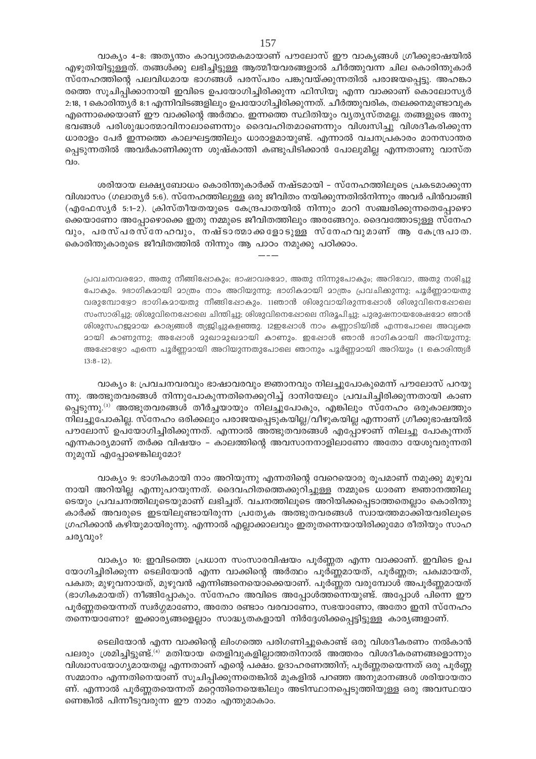വാക്യം 4-8; അത്യന്തം കാവ്യാത്മകമായാണ് പൗലോസ് ഈ വാക്യങ്ങൾ ഗ്രീക്കുഭാഷയിൽ എഴുതിയിട്ടുള്ളത്. തങ്ങൾക്കു ലഭിച്ചിട്ടുള്ള ആത്മീയവരങ്ങളാൽ ചീർത്തുവന്ന ചില കൊരിന്തുകാർ സ്നേഹത്തിന്റെ പലവിധമായ ഭാഗങ്ങൾ പരസ്പരം പങ്കുവയ്ക്കുന്നതിൽ പരാജയപ്പെട്ടു. അഹങ്കാ രത്തെ സൂചിപ്പിക്കാനായി ഇവിടെ ഉപയോഗിച്ചിരിക്കുന്ന ഫിസിയൂ എന്ന വാക്കാണ് കൊലോസ്യർ 2:18, 1 കൊരിന്ത്യർ 8:1 എന്നിവിടങ്ങളിലും ഉപയോഗിച്ചിരിക്കുന്നത്. ചീർത്തുവരിക, തലക്കനമുണ്ടാവുക എന്നൊക്കെയാണ് ഈ വാക്കിന്റെ അർത്ഥം. ഇന്നത്തെ സ്ഥിതിയും വ്യത്യസ്തമല്ല. തങ്ങളുടെ അനു ഭവങ്ങൾ പരിശുദ്ധാത്മാവിനാലാണെന്നും ദൈവഹിതമാണെന്നും വിശ്വസിച്ചു വിശദീകരിക്കുന്ന ധാരാളം പേർ ഇന്നത്തെ കാലഘട്ടത്തിലും ധാരാളമായുണ്ട്. എന്നാൽ വചനപ്രകാരം മാനസാന്തര പ്പെടുന്നതിൽ അവർകാണിക്കുന്ന ശുഷ്കാന്തി കണ്ടുപിടിക്കാൻ പോലുമില്ല എന്നതാണു വാസ്ത  $Q$ lo.

ശരിയായ ലക്ഷ്യബോധം കൊരിന്തുകാർക്ക് നഷ്ടമായി - സ്നേഹത്തിലൂടെ പ്രകടമാക്കുന്ന വിശ്വാസം (ഗലാതൃർ 5:6). സ്നേഹത്തിലുള്ള ഒരു ജീവിതം നയിക്കുന്നതിൽനിന്നും അവർ പിൻവാങ്ങി (എഫേസ്യർ 5:1-2). ക്രിസ്തീയതയുടെ കേന്ദ്രപാതയിൽ നിന്നും മാറി സഞ്ചരിക്കുന്നതെപ്പോഴൊ ക്കെയാണോ അപ്പോഴൊക്കെ ഇതു നമ്മുടെ ജീവിതത്തിലും അരങ്ങേറും. ദൈവത്തോടുള്ള സ്നേഹ വും, പരസ്പരസ്നേഹവും, നഷ്ടാതമാക്കളോടുള്ള സ്നേഹവുമാണ് ആ കേന്ദ്രപാത. കൊരിന്തുകാരുടെ ജീവിതത്തിൽ നിന്നും ആ പാഠം നമുക്കു പഠിക്കാം.

പ്രവചനവരമോ, അതു നീങ്ങിഷോകും; ഭാഷാവരമോ, അതു നിന്നുപോകും; അറിവോ, അതു നശിച്ചു പോകും. 9ഭാഗികമായി മാത്രം നാം അറിയുന്നു; ഭാഗികമായി മാത്രം പ്രവചിക്കുന്നു; പൂർണ്ണമായതു വരുമ്പോഴ്യോ ഭാഗികമായതു നീങ്ങിഷോകും. 11ഞാൻ ശിശുവായിരുന്നപ്പോൾ ശിശുവിനെപ്പോലെ സംസാരിച്ചു; ശിശുവിനെഷോലെ ചിന്തിച്ചു; ശിശുവിനെഷോലെ നിരൂപിച്ചു; പുരുഷനായശേഷമോ ഞാൻ ശിശുസഹജമായ കാര്യങ്ങൾ ത്യജിച്ചുകളഞ്ഞു. 12ഇപ്പോൾ നാം കണ്ണാടിയിൽ എന്നപോലെ അവ്യക്ത മായി കാണുന്നു; അഷോൾ മുഖാമുഖമായി കാണും. ഇപ്പോൾ ഞാൻ ഭാഗികമായി അറിയുന്നു; അഷോഴോ എന്നെ പൂർണ്ണമായി അറിയുന്നതുപോലെ ഞാനും പൂർണ്ണമായി അറിയും (1 കൊരിന്ത്യർ  $13:8 - 12$ ).

വാക്യം ഃ. പ്രവചനവരവും ഭാഷാവരവും ജ്ഞാനവും നിലച്ചുപോകുമെന്ന് പൗലോസ് പറയു ന്നു. അത്ഭുതവരങ്ങൾ നിന്നുപോകുന്നതിനെക്കുറിച്ച് ദാനിയേലും പ്രവചിച്ചിരിക്കുന്നതായി കാണ പ്പെടുന്നു.<sup>ദ്രു</sup> അത്ഭുതവരങ്ങൾ തീർച്ചയായും നിലച്ചുപോകും, എങ്കിലും സ്നേഹം ഒരുകാലത്തും നിലച്ചുപോകില്ല. സ്നേഹം ഒരിക്കലും പരാജയപ്പെടുകയില്ല/വീഴുകയില്ല എന്നാണ് ഗ്രീക്കുഭാഷയിൽ പൗലോസ് ഉപയോഗിച്ചിരിക്കുന്നത്. എന്നാൽ അത്ഭുതവരങ്ങൾ എപ്പോഴാണ് നിലച്ചു പോകുന്നത് എന്നകാര്യമാണ് തർക്ക വിഷയം – കാലത്തിന്റെ അവസാനനാളിലാണോ അതോ യേശുവരുന്നതി നുമുമ്പ് എപ്പോഴെങ്കിലുമോ?

വാക്യം 9: ഭാഗികമായി നാം അറിയുന്നു എന്നതിന്റെ വേറെയൊരു രൂപമാണ് നമുക്കു മുഴുവ നായി അറിയില്ല എന്നുപറയുന്നത്. ദൈവഹിതത്തെക്കുറിച്ചുള്ള നമ്മുടെ ധാരണ ജ്ഞാനത്തിലൂ ടെയും പ്രവചനത്തിലൂടെയുമാണ് ലഭിച്ചത്. വചനത്തിലൂടെ അറിയിക്കപ്പെടാത്തതെല്ലാം കൊരിന്തു കാർക്ക് അവരുടെ ഇടയിലുണ്ടായിരുന്ന പ്രത്യേക അത്ഭുതവരങ്ങൾ സ്വായത്തമാക്കിയവരിലൂടെ ഗ്രഹിക്കാൻ കഴിയുമായിരുന്നു. എന്നാൽ എല്ലാക്കാലവും ഇതുതന്നെയായിരിക്കുമോ രീതിയും സാഹ ചര്യവും?

വാക്യം 10: ഇവിടത്തെ പ്രധാന സംസാരവിഷയം പൂർണ്ണത എന്ന വാക്കാണ്. ഇവിടെ ഉപ യോഗിച്ചിരിക്കുന്ന ടെലിയോൻ എന്ന വാക്കിന്റെ അർത്ഥം പൂർണ്ണമായത്, പൂർണ്ണത; പക്വമായത്, പക്വത; മുഴുവനായത്, മുഴുവൻ എന്നിങ്ങനെയൊക്കെയാണ്. പൂർണ്ണത വരുമ്പോൾ അപൂർണ്ണമായത് (ഭാഗികമായത്) നീങ്ങിപ്പോകും. സ്നേഹം അവിടെ അപ്പോൾത്തന്നെയുണ്ട്. അപ്പോൾ പിന്നെ ഈ പൂർണ്ണതയെന്നത് സ്വർഗ്ഗമാണോ, അതോ രണ്ടാം വരവാണോ, സഭയാണോ, അതോ ഇനി സ്നേഹം തന്നെയാണോ? ഇക്കാര്യങ്ങളെല്ലാം സാദ്ധ്യതകളായി നിർദ്ദേശിക്കപ്പെട്ടിട്ടുള്ള കാര്യങ്ങളാണ്.

ടെലിയോൻ എന്ന വാക്കിന്റെ ലിംഗത്തെ പരിഗണിച്ചുകൊണ്ട് ഒരു വിശദീകരണം നൽകാൻ പലരും ശ്രമിച്ചിട്ടുണ്ട്.<sup>(4)</sup> മതിയായ തെളിവുകളില്ലാത്തതിനാൽ അത്തരം വിശദീകരണങ്ങളൊന്നും വിശ്വാസയോഗ്യമായതല്ല എന്നതാണ് എന്റെ പക്ഷം. ഉദാഹരണത്തിന്, പൂർണ്ണതയെന്നത് ഒരു പൂർണ്ണ സമ്മാനം എന്നതിനെയാണ് സുചിപിക്കുന്നതെങ്കിൽ മുകളിൽ പറഞ്ഞ അനുമാനങ്ങൾ ശരിയായതാ ണ്. എന്നാൽ പൂർണ്ണതയെന്നത് മറ്റെന്തിനെയെങ്കിലും അടിസ്ഥാനപ്പെടുത്തിയുള്ള ഒരു അവസ്ഥയാ ണെങ്കിൽ പിന്നീടുവരുന്ന ഈ നാമം എന്തുമാകാം.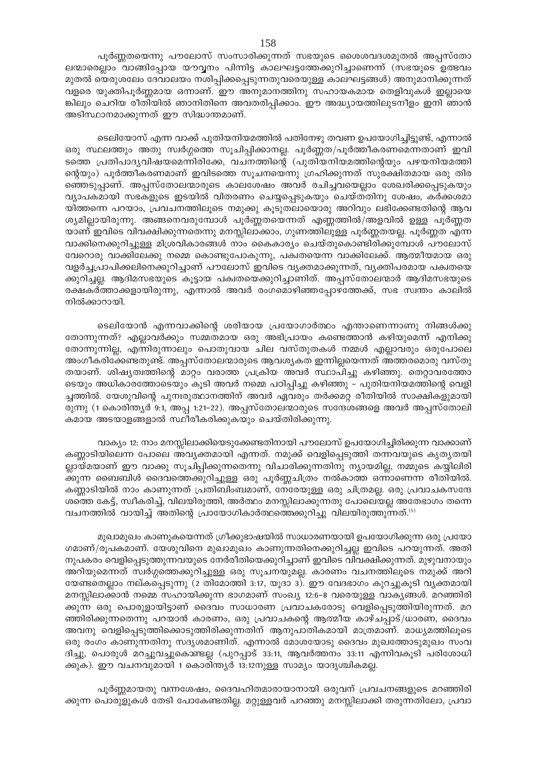പൂർണ്ണതയെന്നു പൗലോസ് സംസാരിക്കുന്നത് സഭയുടെ ശൈശവദശമുതൽ അപ്പസ്തോ ലന്മാരെല്ലാം വാങ്ങിപ്പോയ യൗവ്വനം പിന്നിട്ട കാലഘട്ടത്തേക്കുറിച്ചാണെന്ന് (സഭയുടെ ഉത്ഭവം മുതൽ യെരുശലേം ദേവാലയം നശിപ്പിക്കപ്പെടുന്നതുവരെയുള്ള കാലഘട്ടങ്ങൾ) അനുമാനിക്കുന്നത് വളരെ യുക്തിപൂർണ്ണമായ ഒന്നാണ്. ഈ അനുമാനത്തിനു സഹായകമായ തെളിവുകൾ ഇല്ലായെ ങ്കിലും ചെറിയ രീതിയിൽ ഞാനിതിനെ അവതരിപ്പിക്കാം. ഈ അദ്ധ്യായത്തിലുടനീളം ഇനി ഞാൻ അടിസ്ഥാനമാക്കുന്നത് ഈ സിദ്ധാന്തമാണ്.

ടെലിയോസ് എന്ന വാക്ക് പുതിയനിയമത്തിൽ പതിനേഴു തവണ ഉപയോഗിച്ചിട്ടുണ്ട്, എന്നാൽ ഒരു സ്ഥലത്തും അതു സ്വർഗ്ഗത്തെ സൂചിപ്പിക്കാനല്ല. പൂർണ്ണത/പൂർത്തീകരണമെന്നതാണ് ഇവി ടത്തെ പ്രതിപാദൃവിഷയമെന്നിരിക്കേ, വചനത്തിന്റെ (പുതിയനിയമത്തിന്റെയും പഴയനിയമത്തി ന്റെയും) പൂർത്തീകരണമാണ് ഇവിടത്തെ സൂചനയെന്നു ഗ്രഹിക്കുന്നത് സുരക്ഷിതമായ ഒരു തിര ഞ്ഞെടുപ്പാണ്. അപ്പസ്തോലന്മാരുടെ കാലശേഷം അവർ രചിച്ചവയെല്ലാം ശേഖരിക്കപ്പെടുകയും വ്യാപകമായി സഭകളുടെ ഇടയിൽ വിതരണം ചെയ്യപ്പെടുകയും ചെയ്തതിനു ശേഷം, കർക്കശമാ യിത്തന്നെ പറയാം, പ്രവചനത്തിലൂടെ നമുക്കു കൂടുതലായൊരു അറിവും ലഭിക്കേണ്ടതിന്റെ ആവ ശ്യമില്ലായിരുന്നു. അങ്ങനെവരുമ്പോൾ പൂർണ്ണതയെന്നത് എണ്ണത്തിൽ/അളവിൽ ഉള്ള പൂർണ്ണത യാണ് ഇവിടെ വിവക്ഷിക്കുന്നതെന്നു മനസ്സിലാക്കാം, ഗുണത്തിലുള്ള പൂർണ്ണതയല്ല. പൂർണ്ണത എന്ന വാക്കിനെക്കുറിച്ചുള്ള മിശ്രവികാരങ്ങൾ നാം കൈകാര്യം ചെയ്തുകൊണ്ടിരിക്കുമ്പോൾ പൗലോസ് വേറൊരു വാക്കിലേക്കു നമ്മെ കൊണ്ടുപോകുന്നു, പക്വതയെന്ന വാക്കിലേക്ക്. ആത്മീയമായ ഒരു വളർച്ചപ്രാപിക്കലിനെക്കുറിച്ചാണ് പൗലോസ് ഇവിടെ വ്യക്തമാക്കുന്നത്, വ്യക്തിപരമായ പക്വതയെ ക്കുറിച്ചല്ല. ആദിമസഭയുടെ കൂട്ടായ പക്വതയെക്കുറിച്ചാണിത്. അപ്പസ്തോലന്മാർ ആദിമസഭയുടെ രക്ഷകർത്താക്കളായിരുന്നു, എന്നാൽ അവർ രംഗമൊഴിഞ്ഞപ്പോഴത്തേക്ക്, സഭ സ്വന്തം കാലിൽ നിൽക്കാറായി.

ടെലിയോൻ എന്നവാക്കിന്റെ ശരിയായ പ്രയോഗാർത്ഥം എന്താണെന്നാണു നിങ്ങൾക്കു തോന്നുന്നത്? എല്ലാവർക്കും സമ്മതമായ ഒരു അഭിപ്രായം കണ്ടെത്താൻ കഴിയുമെന്ന് എനിക്കു തോന്നുന്നില്ല, എന്നിരുന്നാലും പൊതുവായ ചില വസ്തുതകൾ നമ്മൾ എല്ലാവരും ഒരുപോലെ അംഗീകരിക്കേണ്ടതുണ്ട്. അപ്പസ്തോലന്മാരുടെ ആവശ്യകത ഇന്നില്ലയെന്നത് അത്തരമൊരു വസ്തു തയാണ്. ശിഷ്യത്വത്തിന്റെ മാറ്റം വരാത്ത പ്രക്രിയ അവർ സ്ഥാപിച്ചു കഴിഞ്ഞു. തെറ്റാവരത്തോ ടെയും അധികാരത്തോടെയും കൂടി അവർ നമ്മെ പഠിപ്പിച്ചു കഴിഞ്ഞു – പുതിയനിയമത്തിന്റെ വെളി ച്ചത്തിൽ. യേശുവിന്റെ പുനഃരുത്ഥാനത്തിന് അവർ ഏവരും തർക്കമറ്റ രീതിയിൽ സാക്ഷികളുമായി രുന്നു (1 കൊരിന്ത്യർ 9:1, അപ്പ 1:21–22). അപ്പസ്തോലന്മാരുടെ സന്ദേശങ്ങളെ അവർ അപ്പസ്തോലി കമായ അടയാളങ്ങളാൽ സ്ഥീരീകരിക്കുകയും ചെയ്തിരിക്കുന്നു.

വാക്യം 12: നാം മനസ്സിലാക്കിയെടുക്കേണ്ടതിനായി പൗലോസ് ഉപയോഗിച്ചിരിക്കുന്ന വാക്കാണ് കണ്ണാടിയിലെന്ന പോലെ അവ്യക്തമായി എന്നത്. നമുക്ക് വെളിപ്പെടുത്തി തന്നവയുടെ കൃത്യതയി ല്ലായ്മയാണ് ഈ വാക്കു സൂചിപ്പിക്കുന്നതെന്നു വിചാരിക്കുന്നതിനു ന്യായമില്ല, നമ്മുടെ കയ്യിലിരി ക്കുന്ന ബൈബിൾ ദൈവത്തെക്കുറിച്ചുള്ള ഒരു പൂർണ്ണചിത്രം നൽകാത്ത ഒന്നാണെന്ന രീതിയിൽ. കണ്ണാടിയിൽ നാം കാണുന്നത് പ്രതിബിംബമാണ്, നേരേയുള്ള ഒരു ചിത്രമല്ല. ഒരു പ്രവാചകസന്ദേ ശത്തെ കേട്ട്, സ്വീകരിച്ച്, വിലയിരുത്തി, അർത്ഥം മനസ്സിലാക്കുന്നതു പോലെയല്ല അതേഭാഗം തന്നെ വചനത്തിൽ വായിച്ച് അതിന്റെ പ്രായോഗികാർത്ഥത്തെക്കുറിച്ചു വിലയിരുത്തുന്നത്. $\epsilon_{\rm s}$ 

മുഖാമുഖം കാണുകയെന്നത് ഗ്രീക്കുഭാഷയിൽ സാധാരണയായി ഉപയോഗിക്കുന്ന ഒരു പ്രയോ ഗമാണ്/രൂപകമാണ്. യേശുവിനെ മുഖാമുഖം കാണുന്നതിനെക്കുറിച്ചല്ല ഇവിടെ പറയുന്നത്. അതി നുപകരം വെളിപ്പെടുത്തുന്നവയുടെ നേർരീതിയെക്കുറിച്ചാണ് ഇവിടെ വിവക്ഷിക്കുന്നത്. മുഴുവനായും അറിയുമെന്നത് സ്വർഗ്ഗത്തെക്കുറിച്ചുള്ള ഒരു സൂചനയുമല്ല. കാരണം വചനത്തിലൂടെ നമുക്ക് അറി യേണ്ടതെല്ലാം നല്കപ്പെടുന്നു (2 തിമോത്തി 3:17, യൂദാ 3). ഈ വേദഭാഗം കുറച്ചുകൂടി വ്യക്തമായി മനസ്സിലാക്കാൻ നമ്മെ സഹായിക്കുന്ന ഭാഗമാണ് സംഖ്യ 12:6–8 വരെയുള്ള വാകൃങ്ങൾ. മറഞ്ഞിരി ക്കുന്ന ഒരു പൊരുളായിട്ടാണ് ദൈവം സാധാരണ പ്രവാചകരോടു വെളിപ്പെടുത്തിയിരുന്നത്. മറ ഞ്ഞിരിക്കുന്നതെന്നു പറയാൻ കാരണം, ഒരു പ്രവാചകന്റെ ആത്മീയ കാഴ്ചപ്പാട്/ധാരണ, ദൈവം അവനു വെളിപ്പെടുത്തിക്കൊടുത്തിരിക്കുന്നതിന് ആനുപാതികമായി മാത്രമാണ്. മാധ്യമത്തിലൂടെ ഒരു രംഗം കാണുന്നതിനു സദൃശമാണിത്. എന്നാൽ മോശയോടു ദൈവം മുഖത്തോടുമുഖം സംവ ദിച്ചു, പൊരുൾ മറച്ചുവച്ചുകൊണ്ടല്ല (പുറപ്പാട് 33:11, ആവർത്തനം 33:11 എന്നിവകൂടി പരിശോധി ക്കുക). ഈ വചനവുമായി 1 കൊരിന്ത്യർ 13:12നുള്ള സാമ്യം യാദൃശ്ചികമല്ല.

പൂർണ്ണമായതു വന്നശേഷം, ദൈവഹിതമാരായാനായി ഒരുവന് പ്രവചനങ്ങളുടെ മറഞ്ഞിരി ക്കുന്ന പൊരുളുകൾ തേടി പോകേണ്ടതില്ല. മറ്റുള്ളവർ പറഞ്ഞു മനസ്സിലാക്കി തരുന്നതിലോ, പ്രവാ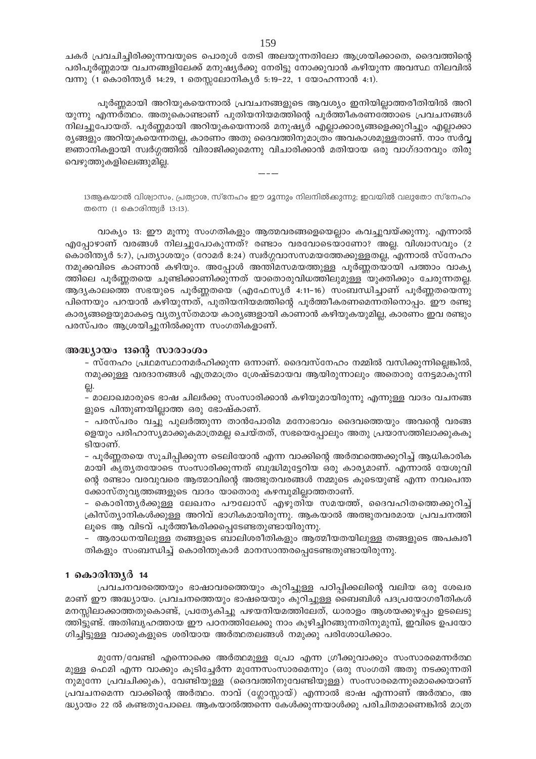ചകർ പ്രവചിച്ചിരിക്കുന്നവയുടെ പൊരുൾ തേടി അലയുന്നതിലോ ആശ്രയിക്കാതെ, ദൈവത്തിന്റെ പരിപൂർണ്ണമായ വചനങ്ങളിലേക്ക് മനുഷ്യർക്കു നേരിട്ടു നോക്കുവാൻ കഴിയുന്ന അവസ്ഥ നിലവിൽ വന്നു (1 കൊരിന്ത്യർ 14:29, 1 തെസ്സലോനികൃർ 5:19-22, 1 യോഹന്നാൻ 4:1).

പൂർണ്ണമായി അറിയുകയെന്നാൽ പ്രവചനങ്ങളുടെ ആവശ്യം ഇനിയില്ലാത്തരീതിയിൽ അറി യുന്നു എന്നർത്ഥം. അതുകൊണ്ടാണ് പുതിയനിയമത്തിന്റെ പുർത്തീകരണത്തോടെ പ്രവചനങ്ങൾ നിലച്ചുപോയത്. പൂർണ്ണമായി അറിയുകയെന്നാൽ മനുഷ്യർ എല്ലാക്കാര്യങ്ങളെക്കുറിച്ചും എല്ലാക്കാ ര്യങ്ങളും അറിയുകയെന്നതല്ല, കാരണം അതു ദൈവത്തിനുമാത്രം അവകാശമുള്ളതാണ്. നാം സർവ്വ ജ്ഞാനികളായി സ്വർഗ്ഗത്തിൽ വിരാജിക്കുമെന്നു വിചാരിക്കാൻ മതിയായ ഒരു വാഗ്ദാനവും തിരു വെഴുത്തുകളിലെങ്ങുമില്ല.

13ആകയാൽ വിശ്വാസം, പ്രത്യാശ, സ്നേഹം ഈ മൂന്നും നിലനിൽക്കുന്നു; ഇവയിൽ വലുതോ സ്നേഹം തന്നെ (1 കൊരിന്ത്യർ 13:13).

വാക്യം 13: ഈ മൂന്നു സംഗതികളും ആത്മവരങ്ങളെയെല്ലാം കവച്ചുവയ്ക്കുന്നു. എന്നാൽ എപ്പോഴാണ് വരങ്ങൾ നിലച്ചുപോകുന്നത്? രണ്ടാം വരവോടെയാണോ? അല്ല. വിശ്വാസവും (2 കൊരിന്ത്യർ 5:7), പ്രത്യാശയും (റോമർ 8:24) സ്വർഗ്ഗവാസസമയത്തേക്കുള്ളതല്ല, എന്നാൽ സ്നേഹം നമുക്കവിടെ കാണാൻ കഴിയും. അപ്പോൾ അന്തിമസമയത്തുള്ള പൂർണ്ണതയായി പത്താം വാകൃ ത്തിലെ പൂർണ്ണതയെ ചൂണ്ടിക്കാണിക്കുന്നത് യാതൊരുവിധത്തിലുമുള്ള യുക്തിക്കും ചേരുന്നതല്ല. ആദൃകാലത്തെ സഭയുടെ പൂർണ്ണതയെ (എഫേസ്യർ 4:11-16) സംബന്ധിച്ചാണ് പൂർണ്ണതയെന്നു പിന്നെയും പറയാൻ കഴിയുന്നത്, പുതിയനിയമത്തിന്റെ പൂർത്തീകരണമെന്നതിനൊപ്പം. ഈ രണ്ടു കാര്യങ്ങളെയുമാകട്ടെ വ്യത്യസ്തമായ കാര്യങ്ങളായി കാണാൻ കഴിയുകയുമില്ല, കാരണം ഇവ രണ്ടും പരസ്പരം ആശ്രയിച്ചുനിൽക്കുന്ന സംഗതികളാണ്.

#### അദ്ധ്യായം 13ന്റെ സാരാംശം

– സ്നേഹം പ്രഥമസ്ഥാനമർഹിക്കുന്ന ഒന്നാണ്. ദൈവസ്നേഹം നമ്മിൽ വസിക്കുന്നില്ലെങ്കിൽ, നമുക്കുള്ള വരദാനങ്ങൾ എത്രമാത്രം ശ്രേഷ്ടമായവ ആയിരുന്നാലും അതൊരു നേട്ടമാകുന്നി 읝.

– മാലാഖമാരുടെ ഭാഷ ചിലർക്കു സംസാരിക്കാൻ കഴിയുമായിരുന്നു എന്നുള്ള വാദം വചനങ്ങ ളുടെ പിന്തുണയില്ലാത്ത ഒരു ഭോഷ്കാണ്.

- പരസ്പരം വച്ചു പുലർത്തുന്ന താൻപോരിമ മനോഭാവം ദൈവത്തെയും അവന്റെ വരങ്ങ ളെയും പരിഹാസ്യമാക്കുകമാത്രമല്ല ചെയ്തത്, സഭയെപ്പോലും അതു പ്രയാസത്തിലാക്കുകകൂ ടിയാണ്.

– പൂർണ്ണതയെ സൂചിപ്പിക്കുന്ന ടെലിയോൻ എന്ന വാക്കിന്റെ അർത്ഥത്തെക്കൂറിച്ച് ആധികാരിക മായി കൃതൃതയോടെ സംസാരിക്കുന്നത് ബുദ്ധിമുട്ടേറിയ ഒരു കാര്യമാണ്. എന്നാൽ യേശുവി ന്റെ രണ്ടാം വരവുവരെ ആത്മാവിന്റെ അത്ഭുതവരങ്ങൾ നമ്മുടെ കുടെയുണ്ട് എന്ന നവപെന്ത ക്കോസ്തുവൃത്തങ്ങളുടെ വാദം യാതൊരു കഴമ്പുമില്ലാത്തതാണ്.

- കൊരിന്ത്യർക്കുള്ള ലേഖനം പൗലോസ് എഴുതിയ സമയത്ത്, ദൈവഹിതത്തെക്കുറിച്ച് ക്രിസ്ത്യാനികൾക്കുള്ള അറിവ് ഭാഗികമായിരുന്നു. ആകയാൽ അത്ഭുതവരമായ പ്രവചനത്തി ലൂടെ ആ വിടവ് പൂർത്തീകരിക്കപ്പെടേണ്ടതുണ്ടായിരുന്നു.

- ആരാധനയിലുള്ള തങ്ങളുടെ ബാലിശരീതികളും ആത്മീയതയിലുള്ള തങ്ങളുടെ അപക്വരീ തികളും സംബന്ധിച്ച് കൊരിന്തുകാർ മാനസാന്തരപ്പെടേണ്ടതുണ്ടായിരുന്നു.

#### 1 കൊരിന്ത്യർ 14

പ്രവചനവരത്തെയും ഭാഷാവരത്തെയും കുറിച്ചുള്ള പഠിപ്പിക്കലിന്റെ വലിയ ഒരു ശേഖര മാണ് ഈ അദ്ധ്യായം. പ്രവചനത്തെയും ഭാഷയെയും കുറിച്ചുള്ള ബൈബിൾ പദപ്രയോഗരീതികൾ മനസ്സിലാക്കാത്തതുകൊണ്ട്, പ്രത്യേകിച്ചു പഴയനിയമത്തിലേത്, ധാരാളം ആശയക്കുഴപ്പം ഉടലെടു ത്തിട്ടുണ്ട്. അതിബൃഹത്തായ ഈ പഠനത്തിലേക്കു നാം കുഴിച്ചിറങ്ങുന്നതിനുമുമ്പ്, ഇവിടെ ഉപയോ ഗിച്ചിട്ടുള്ള വാക്കുകളുടെ ശരിയായ അർത്ഥതലങ്ങൾ നമുക്കു പരിശോധിക്കാം.

മുന്നേ/വേണ്ടി എന്നൊക്കെ അർത്ഥമുള്ള പ്രോ എന്ന ഗ്രീക്കുവാക്കും സംസാരമെന്നർത്ഥ മുള്ള ഫെമി എന്ന വാക്കും കൂടിച്ചേർന്ന മുന്നേസംസാരമെന്നും (ഒരു സംഗതി അതു നടക്കുന്നതി നുമുന്നേ പ്രവചിക്കുക), വേണ്ടിയുള്ള (ദൈവത്തിനുവേണ്ടിയുള്ള) സംസാരമെന്നുമൊക്കെയാണ് പ്രവചനമെന്ന വാക്കിന്റെ അർത്ഥം. നാവ് (ഗ്ലോസ്സായ്) എന്നാൽ ഭാഷ എന്നാണ് അർത്ഥം, അ ദ്ധ്യായം 22 ൽ കണ്ടതുപോലെ. ആകയാൽത്തന്നെ കേൾക്കുന്നയാൾക്കു പരിചിതമാണെങ്കിൽ മാത്ര

159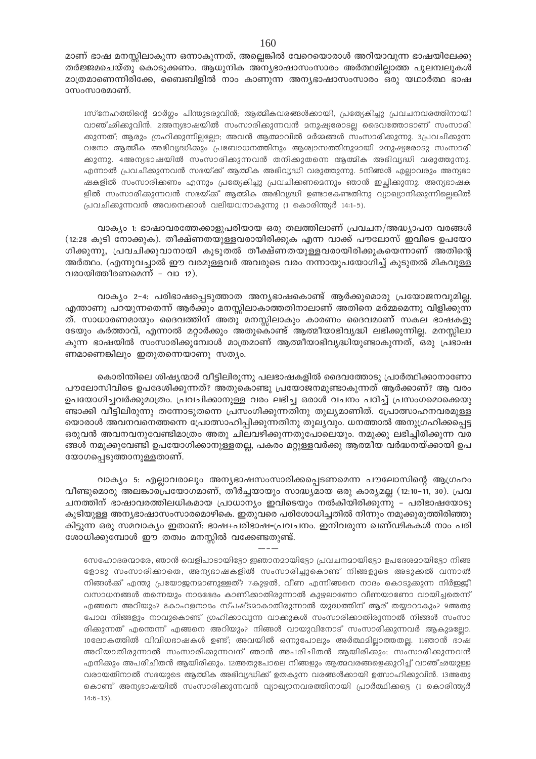മാണ് ഭാഷ മനസ്സിലാകുന്ന ഒന്നാകുന്നത്, അല്ലെങ്കിൽ വേറെയൊരാൾ അറിയാവുന്ന ഭാഷയിലേക്കു തർജ്ജമചെയ്തു കൊടുക്കണം. ആധുനിക അന്യഭാഷാസംസാരം അർത്ഥമില്ലാത്ത പുലമ്പലുകൾ മാത്രമാണെന്നിരിക്കേ, ബൈബിളിൽ നാം കാണുന്ന അനൃഭാഷാസംസാരം ഒരു യഥാർത്ഥ ഭാഷ ാസംസാരമാണ്.

1സ്നേഹത്തിന്റെ മാർഗ്ഗം പിന്തുടരുവിൻ; ആത്മീകവരങ്ങൾക്കായി, പ്രത്യേകിച്ചു പ്രവചനവരത്തിനായി വാഞ്ഛിക്കുവിൻ. 2അന്യഭാഷയിൽ സംസാരിക്കുന്നവൻ മനുഷ്യരോടല്ല ദൈവത്തോടാണ് സംസാരി കുന്നത്; ആരും ഗ്രഹികുന്നില്ലല്ലോ; അവൻ ആത്മാവിൽ മർമ്മങ്ങൾ സംസാരിക്കുന്നു. 3പ്രവചിക്കുന്ന വനോ ആത്മീക അഭിവൃദ്ധിക്കും പ്രബോധനത്തിനും ആശ്വാസത്തിനുമായി മനുഷ്യരോടു സംസാരി കുന്നു. 4അന്യഭാഷയിൽ സംസാരിക്കുന്നവൻ തനിക്കുതന്നെ ആത്മിക അഭിവൃദ്ധി വരുത്തുന്നു. എന്നാൽ പ്രവചിക്കുന്നവൻ സഭയ്ക്ക് ആത്മിക അഭിവൃദ്ധി വരുത്തുന്നു. 5നിങ്ങൾ എല്ലാവരും അന്യഭാ ഷകളിൽ സംസാരിക്കണം എന്നും പ്രത്യേകിച്ചു പ്രവചിക്കണമെന്നും ഞാൻ ഇച്ഛിക്കുന്നു. അന്യഭാഷക ളിൽ സംസാരിക്കുന്നവൻ സഭയ്ക്ക് ആത്മിക അഭിവൃദ്ധി ഉണ്ടാകേണ്ടതിനു വ്യാഖ്യാനികുന്നില്ലെങ്കിൽ {]h-Nn-°p-∂-h≥ Ahs\°mƒ hen-b-h-\m-Ip-∂p (1 sImcn-¥y¿ 14:1˛5).

വാക്യം 1: ഭാഷാവരത്തേക്കാളുപരിയായ ഒരു തലത്തിലാണ് പ്രവചന/അദ്ധ്യാപന വരങ്ങൾ  $(12:28)$  കൂടി നോക്കുക). തീക്ഷ്ണതയുള്ളവരായിരിക്കുക എന്ന വാക്ക് പൗലോസ് ഇവിടെ ഉപയോ ഗിക്കുന്നു, പ്രവചിക്കുവാനായി കൂടുതൽ തീക്ഷ്ണതയുള്ളവരായിരിക്കുകയെന്നാണ് അതിന്റെ അർത്ഥം. (എന്നുവച്ചാൽ ഈ വരമുള്ളവർ അവരുടെ വരം നന്നായുപയോഗിച്ച് കുടുതൽ മികവുള്ള വരായിത്തീരണമെന്ന് - വാ 12).

വാക്യം 2-4: പരിഭാഷപ്പെടുത്താത അന്യഭാഷകൊണ്ട് ആർക്കുമൊരു പ്രയോജനവുമില്ല. എന്താണു പറയുന്നതെന്ന് ആർക്കും മനസ്സിലാകാത്തതിനാലാണ് അതിനെ മർമ്മമെന്നു വിളിക്കുന്ന ത്. സാധാരണമായും ദൈവത്തിന് അതു മനസ്സിലാകും കാരണം ദൈവമാണ് സകല ഭാഷകളു ഭടയും കർത്താവ്, എന്നാൽ മറ്റാർക്കും അതുകൊണ്ട് ആത്മീയാഭിവൃദ്ധി ലഭിക്കുന്നില്ല. മനസ്സിലാ കുന്ന ഭാഷയിൽ സംസാരിക്കുമ്പോൾ മാത്രമാണ് ആത്മീയാഭിവൃദ്ധിയുണ്ടാകുന്നത്, ഒരു പ്രഭാഷ ണമാണെങ്കിലും ഇതുതന്നെയാണു സത്യം.

കൊരിന്തിലെ ശിഷ്യന്മാർ വീട്ടിലിരുന്നു പലഭാഷകളിൽ ദൈവത്തോടു പ്രാർത്ഥിക്കാനാണോ ിപൗലോസിവിടെ ഉപദേശിക്കുന്നത്? അതുകൊണ്ടു പ്രയോജനമുണ്ടാകുന്നത് ആർക്കാണ്? ആ വരം ഉപയോഗിച്ചവർക്കുമാത്രം. പ്രവചിക്കാനുള്ള വരം ലഭിച്ച ഒരാൾ വചനം പഠിച്ച് പ്രസംഗമൊക്കെയു ്ണ്ടാക്കി വീട്ടിലിരുന്നു തന്നോടുതന്നെ പ്രസംഗിക്കുന്നതിനു തുല്യമാണിത്. പ്രോത്സാഹനവരമുള്ള യൊരാൾ അവനവനെത്തന്നെ പ്രോത്സാഹിപ്പിക്കുന്നതിനു തുല്യവും. ധനത്താൽ അനുഗ്രഹിക്കപ്പെട്ട ഒരുവൻ അവനവനുവേണ്ടിമാത്രം അതു ചിലവഴിക്കുന്നതുപോലെയും. നമുക്കു ലഭിച്ചിരിക്കുന്ന വര ങ്ങൾ നമുക്കുവേണ്ടി ഉപയോഗിക്കാനുള്ളതല്ല, പകരം മറ്റുള്ളവർക്കു ആത്മീയ വർദ്ധനയ്ക്കായി ഉപ യോഗപ്പെടുത്താനുള്ളതാണ്.

വാക്യം 5: എല്ലാവരാലും അന്യഭാഷസംസാരിക്കപ്പെടണമെന്ന പൗലോസിന്റെ ആഗ്രഹം വീണ്ടുമൊരു അലങ്കാരപ്രയോഗമാണ്, തീർച്ചയായും സാദ്ധ്യമായ ഒരു കാര്യമല്ല (12:10-11, 30). പ്രവ ചനത്തിന് ഭാഷാവരത്തിലധികമായ പ്രാധാന്യം ഇവിടെയും നൽകിയിരിക്കുന്നു – പരിഭാഷയോടു കൂടിയുള്ള അനൃഭാഷാസംസാരമൊഴികെ. ഇതുവരെ പരിശോധിച്ചതിൽ നിന്നും നമുക്കുരുത്തിരിഞ്ഞു കിട്ടുന്ന ഒരു സമവാക്യം ഇതാണ്: ഭാഷ+പരിഭാഷ=പ്രവചനം. ഇനിവരുന്ന ഖണ്ഢികകൾ നാം പരി  $\cos\omega$ ിക്കുമ്പോൾ ഈ തത്വം മനസ്സിൽ വക്കേണ്ടതുണ്ട്.

 $---$ 

6സഹോദരന്മാരേ, ഞാൻ വെളിപാടായിട്ടോ ഇഞാനമായിട്ടോ പ്രവചനമായിട്ടോ ഉപദേശമായിട്ടോ നിങ്ങ ഭളാടു സംസാരിക്കാതെ, അന്യഭാഷകളിൽ സംസാരിച്ചുകൊണ്ട് നിങ്ങളുടെ അടുക്കൽ വന്നാൽ നിങ്ങൾക്ക് എന്തു പ്രയോജനമാണുള്ളത്? 7കുഴൽ, വീണ എന്നിങ്ങനെ നാദം കൊടുക്കുന്ന നിർജ്ജീ വസാധനങ്ങൾ തന്നെയും നാദഭേദം കാണിക്കാതിരുന്നാൽ കുഴലാണോ വീണയാണോ വായിച്ചതെന്ന് എങ്ങനെ അറിയും? 8കാഹളനാദം സ്പഷ്ടമാകാതിരുന്നാൽ യുദ്ധത്തിന് ആര് തയ്യാറാകും? 9അതു പോല നിങ്ങളും നാവുകൊണ്ട് ഗ്രഹിക്കാവുന്ന വാക്കുകൾ സംസാരിക്കാതിരുന്നാൽ നിങ്ങൾ സംസാ രിക്കുന്നത് എന്തെന്ന് എങ്ങനെ അറിയും? നിങ്ങൾ വായുവിനോട് സംസാരിക്കുന്നവർ ആകു $^2$ ഭല്ലാ. 10ലോകത്തിൽ വിവിധഭാഷകൾ ഉണ്ട്; അവയിൽ ഒന്നുപോലും അർത്ഥമില്ലാത്തതല്ല. 11ഞാൻ ഭാഷ അറിയാതിരുന്നാൽ സംസാരിക്കുന്നവന് ഞാൻ അപരിചിതൻ ആയിരികും; സംസാരിക്കുന്നവൻ എനിക്കും അപരിചിതൻ ആയിരിക്കും. 12അതുപോലെ നിങ്ങളും ആത്മവരങ്ങളെക്കുറിച്ച് വാഞ്ഛയുള്ള വരായതിനാൽ സഭയുടെ ആത്മിക അഭിവൃദ്ധിക്ക് ഉതകുന്ന വരങ്ങൾക്കായി ഉത്സാഹിക്കുവിൻ. 13അതു കൊണ്ട് അന്യഭാഷയിൽ സംസാരിക്കുന്നവൻ വ്യാഖ്യാനവരത്തിനായി പ്രാർത്ഥിക്കട്ടെ (1 കൊരിന്ത്യർ  $14:6 - 13$ ).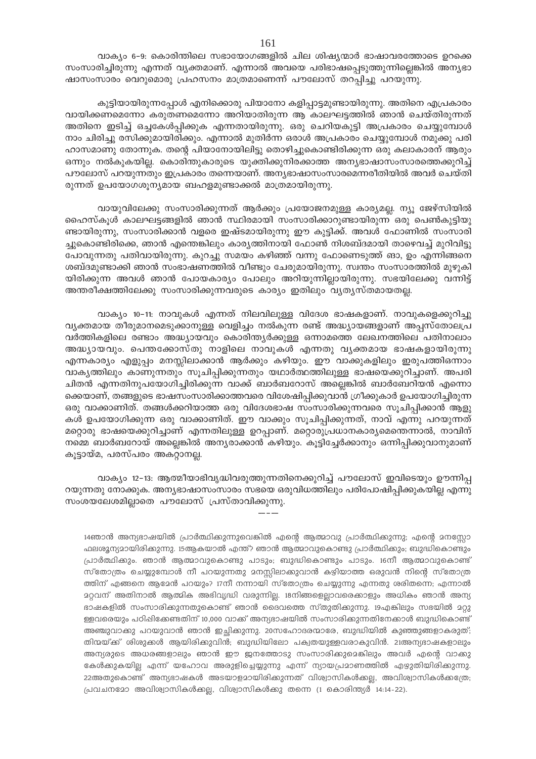വാക്യം 6-9: കൊരിന്തിലെ സഭായോഗങ്ങളിൽ ചില ശിഷ്യന്മാർ ഭാഷാവരത്തോടെ ഉറക്കെ സംസാരിച്ചിരുന്നു എന്നത് വ്യക്തമാണ്. എന്നാൽ അവയെ പരിഭാഷപ്പെടുത്തുന്നില്ലെങ്കിൽ അന്യഭാ ഷാസംസാരം വെറുമൊരു പ്രഹസനം മാത്രമാണെന്ന് പൗലോസ് തറപ്പിച്ചു പറയുന്നു.

കുട്ടിയായിരുന്നപ്പോൾ എനിക്കൊരു പിയാനോ കളിപ്പാട്ടമുണ്ടായിരുന്നു. അതിനെ എപ്രകാരം വായിക്കണമെന്നോ കരുതണമെന്നോ അറിയാതിരുന്ന ആ കാലഘട്ടത്തിൽ ഞാൻ ചെയ്തിരുന്നത് അതിനെ ഇടിച്ച് ഒച്ചകേൾപ്പിക്കുക എന്നതായിരുന്നു. ഒരു ചെറിയകുട്ടി അപ്രകാരം ചെയ്യുമ്പോൾ നാം ചിരിച്ചു രസിക്കുമായിരിക്കും. എന്നാൽ മുതിർന്ന ഒരാൾ അപ്രകാരം ചെയ്യുമ്പോൾ നമുക്കു പരി ഹാസമാണു തോന്നുക. തന്റെ പിയാനോയിലിട്ടു തൊഴിച്ചുകൊണ്ടിരിക്കുന്ന ഒരു കലാകാരന് ആരും ഒന്നും നൽകുകയില്ല. കൊരിന്തുകാരുടെ യുക്തിക്കുനിരക്കാത്ത അന്യഭാഷാസംസാരത്തെക്കുറിച്ച് പൗലോസ് പറയുന്നതും ഇപ്രകാരം തന്നെയാണ്. അനൃഭാഷാസംസാരമെന്നരീതിയിൽ അവർ ചെയ്തി രുന്നത് ഉപയോഗശൂന്യമായ ബഹളമുണ്ടാക്കൽ മാത്രമായിരുന്നു.

വായുവിലേക്കു സംസാരിക്കുന്നത് ആർക്കും പ്രയോജനമുള്ള കാര്യമല്ല. ന്യൂ ജേഴ്സിയിൽ ഹൈസ്കൂൾ കാലഘട്ടങ്ങളിൽ ഞാൻ സ്ഥിരമായി സംസാരിക്കാറുണ്ടായിരുന്ന ഒരു പെൺകുട്ടിയു ണ്ടായിരുന്നു, സംസാരിക്കാൻ വളരെ ഇഷ്ടമായിരുന്നു ഈ കുട്ടിക്ക്. അവൾ ഫോണിൽ സംസാരി ച്ചുകൊണ്ടിരിക്കെ, ഞാൻ എന്തെങ്കിലും കാര്യത്തിനായി ഫോൺ നിശബ്ദമായി താഴെവച്ച് മുറിവിട്ടു പോവുന്നതു പതിവായിരുന്നു. കുറച്ചു സമയം കഴിഞ്ഞ് വന്നു ഫോണെടുത്ത് ങാ, ഉം എന്നിങ്ങനെ ശബ്ദമുണ്ടാക്കി ഞാൻ സംഭാഷണത്തിൽ വീണ്ടും ചേരുമായിരുന്നു. സ്വന്തം സംസാരത്തിൽ മുഴുകി യിരിക്കുന്ന അവൾ ഞാൻ പോയകാര്യം പോലും അറിയുന്നില്ലായിരുന്നു. സഭയിലേക്കു വന്നിട്ട് അന്തരീക്ഷത്തിലേക്കു സംസാരിക്കുന്നവരുടെ കാര്യം ഇതിലും വ്യത്യസ്തമായതല്ല.

വാക്യം 10–11: നാവുകൾ എന്നത് നിലവിലുള്ള വിദേശ ഭാഷകളാണ്. നാവുകളെക്കുറിച്ചു വൃക്തമായ തീരുമാനമെടുക്കാനുള്ള വെളിച്ചം നൽകുന്ന രണ്ട് അദ്ധ്യായങ്ങളാണ് അപ്പസ്തോലപ്ര വർത്തികളിലെ രണ്ടാം അദ്ധ്യായവും കൊരിന്ത്യർക്കുള്ള ഒന്നാമത്തെ ലേഖനത്തിലെ പതിനാലാം അദ്ധ്യായവും. പെന്തക്കോസ്തു നാളിലെ നാവുകൾ എന്നതു വ്യക്തമായ ഭാഷകളായിരുന്നു എന്നകാര്യം എളുപ്പം മനസ്സിലാക്കാൻ ആർക്കും കഴിയും. ഈ വാക്കുകളിലും ഇരുപത്തിഒന്നാം വാകൃത്തിലും കാണുന്നതും സൂചിപ്പിക്കുന്നതും യഥാർത്ഥത്തിലുള്ള ഭാഷയെക്കുറിച്ചാണ്. അപരി ചിതൻ എന്നതിനുപയോഗിച്ചിരിക്കുന്ന വാക്ക് ബാർബറോസ് അല്ലെങ്കിൽ ബാർബേറിയൻ എന്നൊ ക്കെയാണ്, തങ്ങളുടെ ഭാഷസംസാരിക്കാത്തവരെ വിശേഷിപ്പിക്കുവാൻ ഗ്രീക്കുകാർ ഉപയോഗിച്ചിരുന്ന ഒരു വാക്കാണിത്. തങ്ങൾക്കറിയാത്ത ഒരു വിദേശഭാഷ സംസാരിക്കുന്നവരെ സൂചിപ്പിക്കാൻ ആളു കൾ ഉപയോഗിക്കുന്ന ഒരു വാക്കാണിത്. ഈ വാക്കും സൂചിപ്പിക്കുന്നത്, നാവ് എന്നു പറയുന്നത് മറ്റൊരു ഭാഷയെക്കുറിച്ചാണ് എന്നതിലുള്ള ഉറപ്പാണ്. മറ്റൊരുപ്രധാനകാര്യമെന്തെന്നാൽ, നാവിന് നമ്മെ ബാർബറോയ് അല്ലെങ്കിൽ അന്യരാക്കാൻ കഴിയും. കൂട്ടിച്ചേർക്കാനും ഒന്നിപ്പിക്കുവാനുമാണ് കൂട്ടായ്മ, പരസ്പരം അകറ്റാനല്ല.

വാക്യം 12-13: ആത്മീയാഭിവൃദ്ധിവരുത്തുന്നതിനെക്കുറിച്ച് പൗലോസ് ഇവിടെയും ഊന്നിപ്പ റയുന്നതു നോക്കുക. അന്യഭാഷാസംസാരം സഭയെ ഒരുവിധത്തിലും പരിപോഷിപ്പിക്കുകയില്ല എന്നു സംശയലേശമില്ലാതെ പൗലോസ് പ്രസ്താവിക്കുന്നു.

14ഞാൻ അന്യഭാഷയിൽ പ്രാർത്ഥിക്കുന്നുവെങ്കിൽ എന്റെ ആത്മാവു പ്രാർത്ഥിക്കുന്നു; എന്റെ മനസ്സോ ഫലശുന്യമായിരിക്കുന്നു. 15ആകയാൽ എന്ത്? ഞാൻ ആത്മാവുകൊണ്ടു പ്രാർത്ഥിക്കും; ബുദ്ധികൊണ്ടും പ്രാർത്ഥികുും. ഞാൻ ആത്മാവുകൊണ്ടു പാടും; ബുദ്ധികൊണ്ടും പാടും. 16നീ ആത്മാവുകൊണ്ട് സ്തോത്രം ചെയ്യുമ്പോൾ നീ പറയുന്നതു മനസ്സിലാക്കുവാൻ കഴിയാത്ത ഒരുവൻ നിന്റെ സ്തോത്ര ത്തിന് എങ്ങനെ ആമേൻ പറയും? 17നീ നന്നായി സ്തോത്രം ചെയ്യുന്നു എന്നതു ശരിതന്നെ; എന്നാൽ മറ്റവന് അതിനാൽ ആത്മിക അഭിവൃദ്ധി വരുന്നില്ല. 18നിങ്ങളെല്ലാവരെക്കാളും അധികം ഞാൻ അന്യ ഭാഷകളിൽ സംസാരിക്കുന്നതുകൊണ്ട് ഞാൻ ദൈവത്തെ സ്തുതിക്കുന്നു. 19എങ്കിലും സഭയിൽ മറ്റു ള്ളവരെയും പഠിഷിക്കേണ്ടതിന് 10,000 വാക്ക് അന്യഭാഷയിൽ സംസാരിക്കുന്നതിനേക്കാൾ ബുദ്ധികൊണ്ട് അഞ്ചുവാക്കു പറയുവാൻ ഞാൻ ഇച്ഛിക്കുന്നു. 20സഹോദരന്മാരേ, ബുദ്ധിയിൽ കുഞ്ഞുങ്ങളാകരുത്; തിന്മയ്ക്ക് ശിശുക്കൾ ആയിരിക്കുവിൻ; ബുദ്ധിയിലോ പക്വതയുള്ളവരാകുവിൻ. 21അന്യഭാഷകളാലും അന്യരുടെ അധരങ്ങളാലും ഞാൻ ഈ ജനത്തോടു സംസാരിക്കുമെങ്കിലും അവർ എന്റെ വാക്കു കേൾക്കുകയില്ല എന്ന് യഹോവ അരുളിച്ചെയ്യുന്നു എന്ന് ന്യായപ്രമാണത്തിൽ എഴുതിയിരിക്കുന്നു. 22അതുകൊണ്ട് അന്യഭാഷകൾ അടയാളമായിരിക്കുന്നത് വിശ്വാസികൾക്കല്ല, അവിശ്വാസികൾക്കത്രേ; പ്രവചനമോ അവിശ്വാസികൾക്കല്ല, വിശ്വാസികൾക്കു തന്നെ (1 കൊരിന്ത്യർ 14:14-22).

161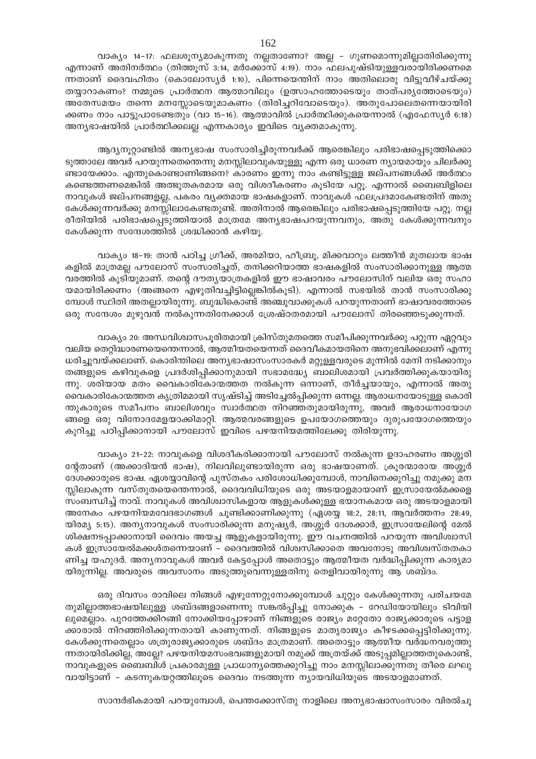വാക്യം 14–17: ഫലശൂന്യമാകുന്നതു നല്ലതാണോ? അല്ല – ഗുണമൊന്നുമില്ലാതിരിക്കുന്നു എന്നാണ് അതിനർത്ഥം (തിത്തുസ് 3:14, മർക്കോസ് 4:19). നാം ഫലപുഷ്ടിയുള്ളവരായിരിക്കണമെ ന്നതാണ് ദൈവഹിതം (കൊലോസ്യർ 1:10), പിന്നെയെന്തിന് നാം അതിലൊരു വിട്ടുവീഴ്ചയ്ക്കു തയ്യാറാകണം? നമ്മുടെ പ്രാർത്ഥന ആത്മാവിലും (ഉത്സാഹത്തോടെയും താത്പര്യത്തോടെയും) അതേസമയം തന്നെ മനസ്സോടെയുമാകണം (തിരിച്ചറിവോടെയും). അതുപോലെതന്നെയായിരി ക്കണം നാം പാട്ടുപാടേണ്ടതും (വാ 15–16). ആത്മാവിൽ പ്രാർത്ഥിക്കുകയെന്നാൽ (എഫേസ്യർ 6:18) അന്യഭാഷയിൽ പ്രാർത്ഥിക്കലല്ല എന്നകാര്യം ഇവിടെ വ്യക്തമാകുന്നു.

ആദ്യനൂറ്റാണ്ടിൽ അന്യഭാഷ സംസാരിച്ചിരുന്നവർക്ക് ആരെങ്കിലും പരിഭാഷപ്പെടുത്തിക്കൊ ടുത്താലേ അവർ പറയുന്നതെന്തെന്നു മനസ്സിലാവുകയുള്ളൂ എന്ന ഒരു ധാരണ ന്യായമായും ചിലർക്കു ണ്ടായേക്കാം. എന്തുകൊണ്ടാണിങ്ങനെ? കാരണം ഇന്നു നാം കണ്ടിട്ടുള്ള ജല്പനങ്ങൾക്ക് അർത്ഥം കണ്ടെത്തണമെങ്കിൽ അത്ഭുതകരമായ ഒരു വിശദീകരണം കൂടിയേ പറ്റൂ. എന്നാൽ ബൈബിളിലെ നാവുകൾ ജല്പനങ്ങളല്ല, പകരം വൃക്തമായ ഭാഷകളാണ്. നാവുകൾ ഫലപ്രദമാകേണ്ടതിന് അതു കേൾക്കുന്നവർക്കു മനസ്സിലാകേണ്ടതുണ്ട്. അതിനാൽ ആരെങ്കിലും പരിഭാഷപ്പെടുത്തിയേ പറ്റൂ. നല്ല രീതിയിൽ പരിഭാഷപ്പെടുത്തിയാൽ മാത്രമേ അന്യഭാഷപറയുന്നവനും, അതു കേൾക്കുന്നവനും കേൾക്കുന്ന സന്ദേശത്തിൽ ശ്രദ്ധിക്കാൻ കഴിയൂ.

വാക്യം 18-19: താൻ പഠിച്ച ഗ്രീക്ക്, അരമിയാ, ഹീബ്രു, മിക്കവാറും ലത്തീൻ മുതലായ ഭാഷ കളിൽ മാത്രമല്ല പൗലോസ് സംസാരിച്ചത്, തനിക്കറിയാത്ത ഭാഷകളിൽ സംസാരിക്കാനുള്ള ആത്മ വരത്തിൽ കൂടിയുമാണ്. തന്റെ ദൗത്യയാത്രകളിൽ ഈ ഭാഷാവരം പൗലോസിന് വലിയ ഒരു സഹാ യമായിരിക്കണം (അങ്ങനെ എഴുതിവച്ചിട്ടില്ലെങ്കിൽകൂടി). എന്നാൽ സഭയിൽ താൻ സംസാരിക്കു മ്പോൾ സ്ഥിതി അതല്ലായിരുന്നു. ബുദ്ധികൊണ്ട് അഞ്ചുവാക്കുകൾ പറയുന്നതാണ് ഭാഷാവരത്തോടെ ഒരു സന്ദേശം മുഴുവൻ നൽകുന്നതിനേക്കാൾ ശ്രേഷ്ഠതരമായി പൗലോസ് തിരഞ്ഞെടുക്കുന്നത്.

വാക്യം 20: അന്ധവിശ്വാസപൂരിതമായി ക്രിസ്തുമതത്തെ സമീപിക്കുന്നവർക്കു പറ്റുന്ന ഏറ്റവും വലിയ തെറ്റിദ്ധാരണയെന്തെന്നാൽ, ആത്മീയതയെന്നത് ദൈവീകമായതിനെ അനുഭവിക്കലാണ് എന്നു ധരിച്ചുവയ്ക്കലാണ്. കൊരിന്തിലെ അന്യഭാഷാസംസാരകർ മറ്റുള്ളവരുടെ മുന്നിൽ മേനി നടിക്കാനും തങ്ങളുടെ കഴിവുകളെ പ്രദർശിപ്പിക്കാനുമായി സഭാമദ്ധ്യേ ബാലിശമായി പ്രവർത്തിക്കുകയായിരു ന്നു. ശരിയായ മതം വൈകാരികോന്മത്തത നൽകുന്ന ഒന്നാണ്, തീർച്ചയായും, എന്നാൽ അതു വൈകാരികോന്മത്തത കൃത്രിമമായി സൃഷ്ടിച്ച് അടിച്ചേൽപ്പിക്കുന്ന ഒന്നല്ല. ആരാധനയോടുള്ള കൊരി ന്തുകാരുടെ സമീപനം ബാലിശവും സ്വാർത്ഥത നിറഞ്ഞതുമായിരുന്നു, അവർ ആരാധനായോഗ ങ്ങളെ ഒരു വിനോദമേളയാക്കിമാറ്റി. ആത്മവരങ്ങളുടെ ഉപയോഗത്തെയും ദുരുപയോഗത്തെയും കുറിച്ചു പഠിപ്പിക്കാനായി പൗലോസ് ഇവിടെ പഴയനിയമത്തിലേക്കു തിരിയുന്നു.

വാക്യം 21–22: നാവുകളെ വിശദീകരിക്കാനായി പൗലോസ് നൽകുന്ന ഉദാഹരണം അശ്ശൂരി ന്റേതാണ് (അക്കാദിയൻ ഭാഷ), നിലവിലുണ്ടായിരുന്ന ഒരു ഭാഷയാണത്. ക്രൂരന്മാരായ അശ്ശൂർ ദേശക്കാരുടെ ഭാഷ. ഏശയ്യാവിന്റെ പുസ്തകം പരിശോധിക്കുമ്പോൾ, നാവിനെക്കുറിച്ചു നമുക്കു മന സ്സിലാകുന്ന വസ്തുതയെന്തെന്നാൽ, ദൈവവിധിയുടെ ഒരു അടയാളമായാണ് ഇസ്രായേൽമക്കളെ സംബന്ധിച്ച് നാവ്. നാവുകൾ അവിശ്വാസികളായ ആളുകൾക്കുള്ള ഭയാനകമായ ഒരു അടയാളമായി അനേകം പഴയനിയമവേദഭാഗങ്ങൾ ചൂണ്ടിക്കാണിക്കുന്നു (ഏശയ്യ 18:2, 28:11, ആവർത്തനം 28:49, യിരമ്യ 5:15). അന്യനാവുകൾ സംസാരിക്കുന്ന മനുഷ്യർ, അശ്ശൂർ ദേശക്കാർ, ഇസ്രായേലിന്റെ മേൽ ശിക്ഷനടപ്പാക്കാനായി ദൈവം അയച്ച ആളുകളായിരുന്നു. ഈ വചനത്തിൽ പറയുന്ന അവിശ്വാസി കൾ ഇസ്രായേൽമക്കൾതന്നെയാണ് – ദൈവത്തിൽ വിശ്വസിക്കാതെ അവനോടു അവിശ്വസ്തതകാ ണിച്ച യഹുദർ. അന്യനാവുകൾ അവർ കേട്ടപ്പോൾ അതൊട്ടും ആത്മീയത വർദ്ധിപ്പിക്കുന്ന കാര്യമാ യിരുന്നില്ല. അവരുടെ അവസാനം അടുത്തുവെന്നുള്ളതിനു തെളിവായിരുന്നു ആ ശബ്ദം.

ഒരു ദിവസം രാവിലെ നിങ്ങൾ എഴുന്നേറ്റുനോക്കുമ്പോൾ ചുറ്റും കേൾക്കുന്നതു പരിചയമേ തുമില്ലാത്തഭാഷയിലുള്ള ശബ്ദങ്ങളാണെന്നു സങ്കൽപ്പിച്ചു നോക്കുക – റേഡിയോയിലും ടിവിയി ലുമെല്ലാം. പുറത്തേക്കിറങ്ങി നോക്കിയപ്പോഴാണ് നിങ്ങളുടെ രാജ്യം മറ്റേതോ രാജ്യക്കാരുടെ പട്ടാള ക്കാരാൽ നിറഞ്ഞിരിക്കുന്നതായി കാണുന്നത്. നിങ്ങളുടെ മാതൃരാജ്യം കീഴടക്കപ്പെട്ടിരിക്കുന്നു. കേൾക്കുന്നതെല്ലാം ശത്രുരാജ്യക്കാരുടെ ശബ്ദം മാത്രമാണ്. അതൊട്ടും ആത്മീയ വർദ്ധനവരുത്തു ന്നതായിരിക്കില്ല, അല്ലേ? പഴയനിയമസംഭവങ്ങളുമായി നമുക്ക് അത്രയ്ക്ക് അടുപ്പമില്ലാത്തതുകൊണ്ട്, നാവുകളുടെ ബൈബിൾ പ്രകാരമുള്ള പ്രാധാന്യത്തെക്കുറിച്ചു നാം മനസ്സിലാക്കുന്നതു തീരെ ലഘു വായിട്ടാണ് – കടന്നുകയറ്റത്തിലൂടെ ദൈവം നടത്തുന്ന ന്യായവിധിയുടെ അടയാളമാണത്.

സാന്ദർഭികമായി പറയുമ്പോൾ, പെന്തക്കോസ്തു നാളിലെ അന്യഭാഷാസംസാരം വിരൽചൂ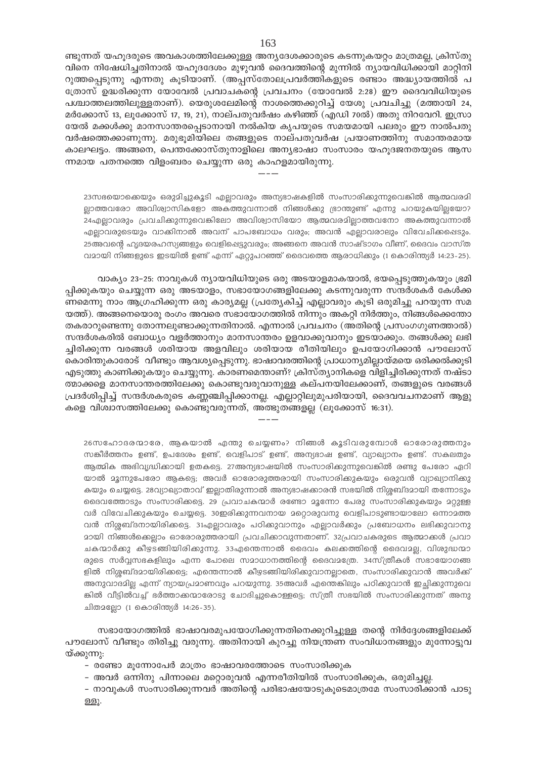ണ്ടുന്നത് യഹുദരുടെ അവകാശത്തിലേക്കുള്ള അന്യദേശക്കാരുടെ കടന്നുകയറ്റം മാത്രമല്ല, ക്രിസ്തു വിനെ നിഷേധിച്ചതിനാൽ യഹൂദദേശം മുഴുവൻ ദൈവത്തിന്റെ മുന്നിൽ ന്യായവിധിക്കായി മാറ്റിനി റുത്തപ്പെടുന്നു എന്നതു കൂടിയാണ്. (അപ്പസ്തോലപ്രവർത്തികളുടെ രണ്ടാം അദ്ധ്യായത്തിൽ പ ത്രോസ് ഉദ്ധരിക്കുന്ന യോവേൽ പ്രവാചകന്റെ പ്രവചനം (യോവേൽ 2:28) ഈ ദൈവവിധിയുടെ പശ്ചാത്തലത്തിലുള്ളതാണ്). യെരുശലേമിന്റെ നാശത്തെക്കുറിച്ച് യേശു പ്രവചിച്ചു (മത്തായി 24, മർക്കോസ് 13, ലൂക്കോസ് 17, 19, 21), നാല്പതുവർഷം കഴിഞ്ഞ് (എഡി 70ൽ) അതു നിറവേറി. ഇസ്രാ യേൽ മക്കൾക്കു മാനസാന്തരപ്പെടാനായി നൽകിയ കൃപയുടെ സമയമായി പലരും ഈ നാൽപതു വർഷത്തെക്കാണുന്നു. മരുഭൂമിയിലെ തങ്ങളുടെ നാല്പതുവർഷ പ്രയാണത്തിനു സമാന്തരമായ കാലഘട്ടം. അങ്ങനെ, പെന്തക്കോസ്തുനാളിലെ അന്യഭാഷാ സംസാരം യഹൂദജനതയുടെ ആസ ന്നമായ പതനത്തെ വിളംബരം ചെയ്യുന്ന ഒരു കാഹളമായിരുന്നു.

23സഭയൊക്കെയും ഒരുമിച്ചുകൂടി എല്ലാവരും അന്യഭാഷകളിൽ സംസാരിക്കുന്നുവെങ്കിൽ ആത്മവരമി ല്ലാത്തവരോ അവിശ്വാസികളോ അകത്തുവന്നാൽ നിങ്ങൾക്കു ഭ്രാന്തുണ്ട് എന്നു പറയുകയില്ലയോ? 24എല്ലാവരും പ്രവചിക്കുന്നുവെങ്കിലോ അവിശ്വാസിയോ ആത്മവരമില്ലാത്തവനോ അകത്തുവന്നാൽ എല്ലാവരുടെയും വാക്കിനാൽ അവന് പാപബോധം വരും; അവൻ എല്ലാവരാലും വിവേചിക്കപ്പെടും. 25അവന്റെ ഹൃദയരഹസ്യങ്ങളും വെളിഷെട്ടുവരും; അങ്ങനെ അവൻ സാഷ്ടാഗം വീണ്, ദൈവം വാസ്ത വമായി നിങ്ങളുടെ ഇടയിൽ ഉണ്ട് എന്ന് ഏറ്റുപറഞ്ഞ് ദൈവത്തെ ആരാധിക്കും (1 കൊരിന്ത്യർ 14:23-25).

വാക്യം 23-25: നാവുകൾ ന്യായവിധിയുടെ ഒരു അടയാളമാകയാൽ, ഭയപ്പെടുത്തുകയും ഭ്രമി പ്പിക്കുകയും ചെയ്യുന്ന ഒരു അടയാളം, സഭായോഗങ്ങളിലേക്കു കടന്നുവരുന്ന സന്ദർശകർ കേൾക്ക ണമെന്നു നാം ആഗ്രഹിക്കുന്ന ഒരു കാര്യമല്ല (പ്രത്യേകിച്ച് എല്ലാവരും കൂടി ഒരുമിച്ചു പറയുന്ന സമ യത്ത്). അങ്ങനെയൊരു രംഗം അവരെ സഭായോഗത്തിൽ നിന്നും അകറ്റി നിർത്തും, നിങ്ങൾക്കെന്തോ തകരാറുണ്ടെന്നു തോന്നലുണ്ടാക്കുന്നതിനാൽ. എന്നാൽ പ്രവചനം (അതിന്റെ പ്രസംഗഗുണത്താൽ) സന്ദർശകരിൽ ബോധ്യം വളർത്താനും മാനസാന്തരം ഉളവാക്കുവാനും ഇടയാക്കും. തങ്ങൾക്കു ലഭി ച്ചിരിക്കുന്ന വരങ്ങൾ ശരിയായ അളവിലും ശരിയായ രീതിയിലും ഉപയോഗിക്കാൻ പൗലോസ് കൊരിന്തുകാരോട് വീണ്ടും ആവശ്യപ്പെടുന്നു. ഭാഷാവരത്തിന്റെ പ്രാധാന്യമില്ലായ്മയെ ഒരിക്കൽക്കൂടി എടുത്തു കാണിക്കുകയും ചെയ്യുന്നു. കാരണമെന്താണ്? ക്രിസ്ത്യാനികളെ വിളിച്ചിരിക്കുന്നത് നഷ്ടാ ത്മാക്കളെ മാനസാന്തരത്തിലേക്കു കൊണ്ടുവരുവാനുള്ള കല്പനയിലേക്കാണ്, തങ്ങളുടെ വരങ്ങൾ പ്രദർശിപ്പിച്ച് സന്ദർശകരുടെ കണ്ണഞ്ചിപ്പിക്കാനല്ല. എല്ലാറ്റിലുമുപരിയായി, ദൈവവചനമാണ് ആളു കളെ വിശ്വാസത്തിലേക്കു കൊണ്ടുവരുന്നത്, അത്ഭുതങ്ങളല്ല (ലൂക്കോസ് 16:31).

26സഹോദരന്മാരേ, ആകയാൽ എന്തു ചെയ്യണം? നിങ്ങൾ കൂടിവരുമ്പോൾ ഓരോരുത്തനും സങ്കീർത്തനം ഉണ്ട്, ഉപദേശം ഉണ്ട്, വെളിപാട് ഉണ്ട്, അന്യഭാഷ ഉണ്ട്, വ്യാഖ്യാനം ഉണ്ട്. സകലതും ആത്മിക അഭിവൃദ്ധിക്കായി ഉതകട്ടെ. 27അന്യഭാഷയിൽ സംസാരിക്കുന്നുവെങ്കിൽ രണ്ടു പേരോ ഏറി യാൽ മൂന്നുപേരോ ആകട്ടെ; അവർ ഓരോരുത്തരായി സംസാരിക്കുകയും ഒരുവൻ വ്യാഖ്യാനിക്കു കയും ചെയ്യട്ടെ. 28വ്യാഖ്യാതാവ് ഇല്ലാതിരുന്നാൽ അന്യഭാഷക്കാരൻ സഭയിൽ നിശ്ശബ്ദമായി തന്നോടും ദൈവത്തോടും സംസാരിക്കട്ടെ. 29 പ്രവാചകന്മാർ രണ്ടോ മൂന്നോ പേരു സംസാരിക്കുകയും മറ്റുള്ള വർ വിവേചിക്കുകയും ചെയ്യട്ടെ. 30ഇരിക്കുന്നവനായ മറ്റൊരുവനു വെളിപാടുണ്ടായാലോ ഒന്നാമത്ത വൻ നിശ്ശബ്ദനായിരിക്കട്ടെ. 31എല്ലാവരും പഠിക്കുവാനും എല്ലാവർക്കും പ്രബോധനം ലഭിക്കുവാനു മായി നിങ്ങൾക്കെല്ലാം ഓരോരുത്തരായി പ്രവചിക്കാവുന്നതാണ്. 32പ്രവാചകരുടെ ആത്മാക്കൾ പ്രവാ ചകന്മാർക്കു കീഴടങ്ങിയിരിക്കുന്നു. 33എന്തെന്നാൽ ദൈവം കലക്കത്തിന്റെ ദൈവമല്ല, വിശുദ്ധന്മാ രുടെ സർവ്വസഭകളിലും എന്ന പോലെ സമാധാനത്തിന്റെ ദൈവമത്രേ. 34സ്ത്രീകൾ സഭായോഗങ്ങ ളിൽ നിശ്ശബ്ദമായിരിക്കട്ടെ; എന്തെന്നാൽ കീഴടങ്ങിയിരിക്കുവാനല്ലാതെ, സംസാരിക്കുവാൻ അവർക്ക് അനുവാദമില്ല എന്ന് ന്യായപ്രമാണവും പറയുന്നു. 35അവർ എന്തെങ്കിലും പഠിക്കുവാൻ ഇച്ഛിക്കുന്നുവെ കിൽ വീട്ടിൽവച്ച് ഭർത്താക്കന്മാരോടു ചോദിച്ചുകൊള്ളട്ടെ; സ്ത്രീ സഭയിൽ സംസാരിക്കുന്നത് അനു ചിതമല്ലോ (1 കൊരിന്ത്യർ 14:26-35).

സഭായോഗത്തിൽ ഭാഷാവരമുപയോഗിക്കുന്നതിനെക്കുറിച്ചുള്ള തന്റെ നിർദ്ദേശങ്ങളിലേക്ക് പൗലോസ് വീണ്ടും തിരിച്ചു വരുന്നു. അതിനായി കുറച്ചു നിയന്ത്രണ സംവിധാനങ്ങളും മുന്നോട്ടുവ യ്ക്കുന്നു.

- രണ്ടോ മൂന്നോപേർ മാത്രം ഭാഷാവരത്തോടെ സംസാരിക്കുക

- അവർ ഒന്നിനു പിന്നാലെ മറ്റൊരുവൻ എന്നരീതിയിൽ സംസാരിക്കുക, ഒരുമിച്ചല്ല.

– നാവുകൾ സംസാരിക്കുന്നവർ അതിന്റെ പരിഭാഷയോടുകൂടെമാത്രമേ സംസാരിക്കാൻ പാടു ള്ളൂ.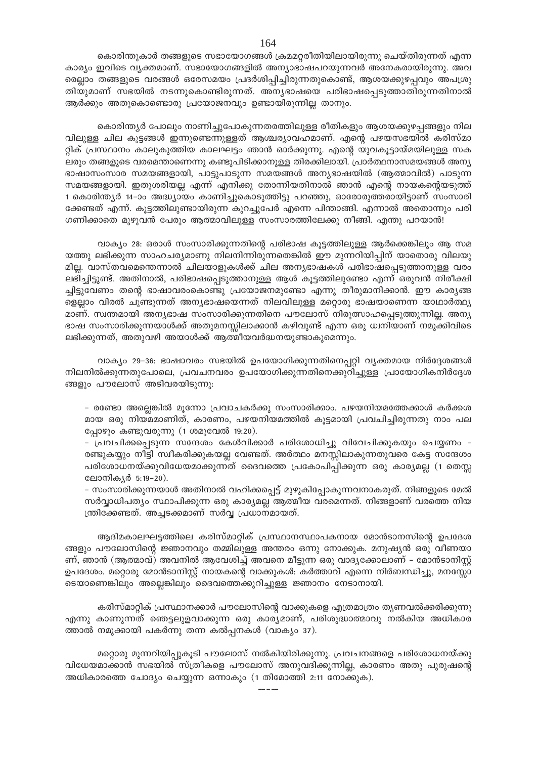കൊരിന്തുകാർ തങ്ങളുടെ സഭായോഗങ്ങൾ ക്രമമറ്റരീതിയിലായിരുന്നു ചെയ്തിരുന്നത് എന്ന കാര്യം ഇവിടെ വ്യക്തമാണ്. സഭായോഗങ്ങളിൽ അന്യാഭാഷപറയുന്നവർ അനേകരായിരുന്നു. അവ രെല്ലാം തങ്ങളുടെ വരങ്ങൾ ഒരേസമയം പ്രദർശിപ്പിച്ചിരുന്നതുകൊണ്ട്, ആശയക്കുഴപ്പവും അപശ്രു തിയുമാണ് സഭയിൽ നടന്നുകൊണ്ടിരുന്നത്. അന്യഭാഷയെ പരിഭാഷപ്പെടുത്താതിരുന്നതിനാൽ ആർക്കും അതുകൊണ്ടൊരു പ്രയോജനവും ഉണ്ടായിരുന്നില്ല താനും.

കൊരിന്ത്യർ പോലും നാണിച്ചുപോകുന്നതരത്തിലുള്ള രീതികളും ആശയക്കുഴപ്പങ്ങളും നില വിലുള്ള ചില കൂട്ടങ്ങൾ ഇന്നുണ്ടെന്നുള്ളത് ആശ്ചര്യാവഹമാണ്. എന്റെ പഴയസഭയിൽ കരിസ്മാ റ്റിക് പ്രസ്ഥാനം കാലുകുത്തിയ കാലഘട്ടം ഞാൻ ഓർക്കുന്നു. എന്റെ യുവകൂട്ടായ്മയിലുള്ള സക ലരും തങ്ങളുടെ വരമെന്താണെന്നു കണ്ടുപിടിക്കാനുള്ള തിരക്കിലായി. പ്രാർത്ഥനാസമയങ്ങൾ അന്യ ഭാഷാസംസാര സമയങ്ങളായി, പാട്ടുപാടുന്ന സമയങ്ങൾ അന്യഭാഷയിൽ (ആത്മാവിൽ) പാടുന്ന സമയങ്ങളായി. ഇതുശരിയല്ല എന്ന് എനിക്കു തോന്നിയതിനാൽ ഞാൻ എന്റെ നായകന്റെയടുത്ത് 1 കൊരിന്ത്യർ 14–ാം അദ്ധ്യായം കാണിച്ചുകൊടുത്തിട്ടു പറഞ്ഞു, ഓരോരുത്തരായിട്ടാണ് സംസാരി ക്കേണ്ടത് എന്ന്. കൂട്ടത്തിലുണ്ടായിരുന്ന കുറച്ചുപേർ എന്നെ പിന്താങ്ങി. എന്നാൽ അതൊന്നും പരി ഗണിക്കാതെ മുഴുവൻ പേരും ആത്മാവിലുള്ള സംസാരത്തിലേക്കു നീങ്ങി. എന്തു പറയാൻ!

വാക്യം 28: ഒരാൾ സംസാരിക്കുന്നതിന്റെ പരിഭാഷ കൂട്ടത്തിലുള്ള ആർക്കെങ്കിലും ആ സമ യത്തു ലഭിക്കുന്ന സാഹചര്യമാണു നിലനിന്നിരുന്നതെങ്കിൽ ഈ മുന്നറിയിപ്പിന് യാതൊരു വിലയു മില്ല. വാസ്തവമെന്തെന്നാൽ ചിലയാളുകൾക്ക് ചില അന്യഭാഷകൾ പരിഭാഷപ്പെടുത്താനുള്ള വരം ലഭിച്ചിട്ടുണ്ട്. അതിനാൽ, പരിഭാഷപ്പെടുത്താനുള്ള ആൾ കൂട്ടത്തിലുണ്ടോ എന്ന് ഒരുവൻ നിരീക്ഷി ച്ചിട്ടുവേണം തന്റെ ഭാഷാവരംകൊണ്ടു പ്രയോജനമുണ്ടോ എന്നു തീരുമാനിക്കാൻ. ഈ കാര്യങ്ങ ളെല്ലാം വിരൽ ചൂണ്ടുന്നത് അന്യഭാഷയെന്നത് നിലവിലുള്ള മറ്റൊരു ഭാഷയാണെന്ന യാഥാർത്ഥ്യ മാണ്. സ്വന്തമായി അന്യഭാഷ സംസാരിക്കുന്നതിനെ പൗലോസ് നിരുത്സാഹപ്പെടുത്തുന്നില്ല. അന്യ ഭാഷ സംസാരിക്കുന്നയാൾക്ക് അതുമനസ്സിലാക്കാൻ കഴിവുണ്ട് എന്ന ഒരു ധ്വനിയാണ് നമുക്കിവിടെ ലഭിക്കുന്നത്, അതുവഴി അയാൾക്ക് ആത്മീയവർദ്ധനയുണ്ടാകുമെന്നും.

വാക്യം 29–36: ഭാഷാവരം സഭയിൽ ഉപയോഗിക്കുന്നതിനെപ്പറ്റി വ്യക്തമായ നിർദ്ദേശങ്ങൾ നിലനിൽക്കുന്നതുപോലെ, പ്രവചനവരം ഉപയോഗിക്കുന്നതിനെക്കുറിച്ചുള്ള പ്രായോഗികനിർദ്ദേശ ങ്ങളും പൗലോസ് അടിവരയിടുന്നു:

- രണ്ടോ അല്ലെങ്കിൽ മുന്നോ പ്രവാചകർക്കു സംസാരിക്കാം. പഴയനിയമത്തേക്കാൾ കർക്കശ മായ ഒരു നിയമമാണിത്, കാരണം, പഴയനിയമത്തിൽ കൂട്ടമായി പ്രവചിച്ചിരുന്നതു നാം പല പ്പോഴും കണ്ടുവരുന്നു (1 ശമുവേൽ 19:20).

- പ്രവചിക്കപ്പെടുന്ന സന്ദേശം കേൾവിക്കാർ പരിശോധിച്ചു വിവേചിക്കുകയും ചെയ്യണം -രണ്ടുകയ്യും നീട്ടി സ്ഥീകരിക്കുകയല്ല വേണ്ടത്. അർത്ഥം മനസ്സിലാകുന്നതുവരെ കേട്ട സന്ദേശം പരിശോധനയ്ക്കുവിധേയമാക്കുന്നത് ദൈവത്തെ പ്രകോപിപ്പിക്കുന്ന ഒരു കാര്യമല്ല (1 തെസ്സ ലോനികൃർ 5:19-20).

– സംസാരിക്കുന്നയാൾ അതിനാൽ വഹിക്കപ്പെട്ട് മുഴുകിപ്പോകുന്നവനാകരുത്. നിങ്ങളുടെ മേൽ സർവ്വാധിപത്യം സ്ഥാപിക്കുന്ന ഒരു കാര്യമല്ല ആത്മീയ വരമെന്നത്. നിങ്ങളാണ് വരത്തെ നിയ ന്ത്രിക്കേണ്ടത്. അച്ചടക്കമാണ് സർവ്വ പ്രധാനമായത്.

ആദിമകാലഘട്ടത്തിലെ കരിസ്മാറ്റിക് പ്രസ്ഥാനസ്ഥാപകനായ മോൻടാനസിന്റെ ഉപദേശ ങ്ങളും പൗലോസിന്റെ ജ്ഞാനവും തമ്മിലുള്ള അന്തരം ഒന്നു നോക്കുക. മനുഷ്യൻ ഒരു വീണയാ ണ്, ഞാൻ (ആത്മാവ്) അവനിൽ ആവേശിച്ച് അവനെ മീട്ടുന്ന ഒരു വാദൃക്കോലാണ് – മോൻടാനിസ്റ്റ് ഉപദേശം. മറ്റൊരു മോൻടാനിസ്റ്റ് നായകന്റെ വാക്കുകൾ: കർത്താവ് എന്നെ നിർബന്ധിച്ചു, മനസ്സോ ടെയാണെങ്കിലും അല്ലെങ്കിലും ദൈവത്തെക്കുറിച്ചുള്ള ജ്ഞാനം നേടാനായി.

കരിസ്മാറ്റിക് പ്രസ്ഥാനക്കാർ പൗലോസിന്റെ വാക്കുകളെ എത്രമാത്രം തൃണവൽക്കരിക്കുന്നു എന്നു കാണുന്നത് ഞെട്ടലുളവാക്കുന്ന ഒരു കാര്യമാണ്, പരിശുദ്ധാത്മാവു നൽകിയ അധികാര ത്താൽ നമുക്കായി പകർന്നു തന്ന കൽപ്പനകൾ (വാക്യം 37).

മറ്റൊരു മുന്നറിയിപ്പുകൂടി പൗലോസ് നൽകിയിരിക്കുന്നു. പ്രവചനങ്ങളെ പരിശോധനയ്ക്കു വിധേയമാക്കാൻ സഭയിൽ സ്ത്രീകളെ പൗലോസ് അനുവദിക്കുന്നില്ല, കാരണം അതു പുരുഷന്റെ അധികാരത്തെ ചോദ്യം ചെയ്യുന്ന ഒന്നാകും (1 തിമോത്തി 2:11 നോക്കുക).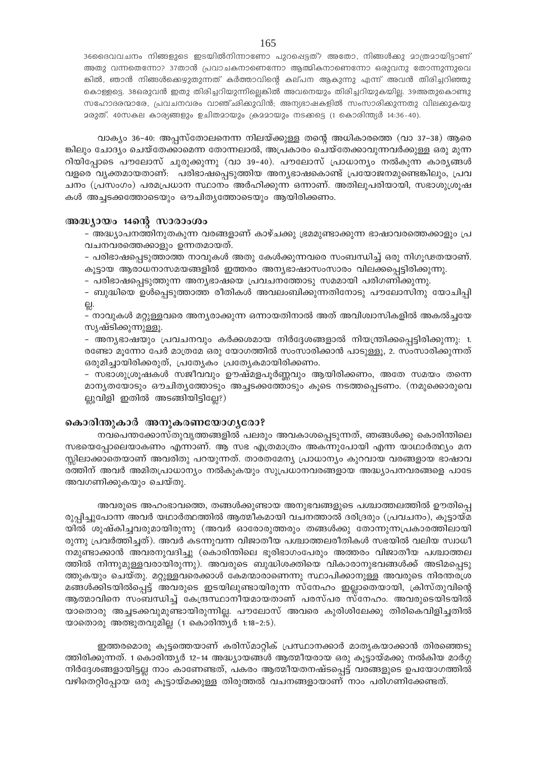36മൈവവചനം നിങ്ങളുടെ ഇടയിൽനിന്നാണോ പുറപ്പെട്ടത്? അതോ, നിങ്ങൾക്കു മാത്രമായിട്ടാണ് അതു വന്നതെന്നോ? 37താൻ പ്രവാചകനാണെന്നോ ആത്മികനാണെന്നോ ഒരുവനു തോന്നുന്നുവെ ങ്കിൽ, ഞാൻ നിങ്ങൾക്കെഴുതുന്നത് കർത്താവിന്റെ കല്പന ആകുന്നു എന്ന് അവൻ തിരിച്ചറിഞ്ഞു കൊള്ളട്ടെ. 38ഒരുവൻ ഇതു തിരിച്ചറിയുന്നില്ലെങ്കിൽ അവനെയും തിരിച്ചറിയുകയില്ല. 39അതുകൊണ്ടു സഹോദരന്മാരേ, പ്രവചനവരം വാഞ്`ഛിക്കുവിൻ; അന്യഭാഷകളിൽ സംസാരിക്കുന്നതു വിലകുകയു മരുത്. 40സകല കാര്യങ്ങളും ഉചിതമായും ക്രമമായും നടക്കട്ടെ (1 കൊരിന്ത്യർ 14:36-40).

വാക്യം 36-40: അപ്പസ്തോലനെന്ന നിലയ്ക്കുള്ള തന്റെ അധികാരത്തെ (വാ 37-38) ആരെ ങ്കിലും ചോദ്യം ചെയ്തേക്കാമെന്ന തോന്നലാൽ, അപ്രകാരം ചെയ്തേക്കാവുന്നവർക്കുള്ള ഒരു മുന്ന റിയിപ്പോടെ പൗലോസ് ചുരുക്കുന്നു (വാ 39-40). പൗലോസ് പ്രാധാന്യം നൽകുന്ന കാര്യങ്ങൾ വളരെ വൃക്തമായതാണ്: പരിഭാഷപ്പെടുത്തിയ അനൃഭാഷകൊണ്ട് പ്രയോജനമുണ്ടെങ്കിലും, പ്രവ ചനം (പ്രസംഗം) പരമപ്രധാന സ്ഥാനം അർഹിക്കുന്ന ഒന്നാണ്. അതിലുപരിയായി, സഭാശുശ്രൂഷ കൾ അച്ചടക്കത്തോടെയും ഔചിതൃത്തോടെയും ആയിരിക്കണം.

#### അദ്ധ്യായം 14ന്റെ സാരാംശം

– അദ്ധ്യാപനത്തിനുതകുന്ന വരങ്ങളാണ് കാഴ്ചക്കു ഭ്രമമുണ്ടാക്കുന്ന ഭാഷാവരത്തെക്കാളും പ്ര വചനവരത്തെക്കാളും ഉന്നതമായത്.

– പരിഭാഷപ്പെടുത്താത്ത നാവുകൾ അതു കേൾക്കുന്നവരെ സംബന്ധിച്ച് ഒരു നിഗൂഢതയാണ്. കൂട്ടായ ആരാധനാസമയങ്ങളിൽ ഇത്തരം അന്യഭാഷാസംസാരം വിലക്കപ്പെട്ടിരിക്കുന്നു.

– പരിഭാഷപ്പെടുത്തുന്ന അന്യഭാഷയെ പ്രവചനത്തോടു സമമായി പരിഗണിക്കുന്നു.

- ബുദ്ധിയെ ഉൾപ്പെടുത്താത്ത രീതികൾ അവലംബിക്കുന്നതിനോടു പൗലോസിനു യോചിപ്പി

- നാവുകൾ മറ്റുള്ളവരെ അന്യരാക്കുന്ന ഒന്നായതിനാൽ അത് അവിശ്വാസികളിൽ അകൽച്ചയേ സൃഷ്ടിക്കുന്നുള്ളൂ.

- അന്യഭാഷയും പ്രവചനവും കർക്കശമായ നിർദ്ദേശങ്ങളാൽ നിയന്ത്രിക്കപ്പെട്ടിരിക്കുന്നു: 1. രണ്ടോ മുന്നോ പേർ മാത്രമേ ഒരു യോഗത്തിൽ സംസാരിക്കാൻ പാടുള്ളൂ, 2. സംസാരിക്കുന്നത് ഒരുമിച്ചായിരിക്കരുത്, പ്രത്യേകം പ്രത്യേകമായിരിക്കണം.

– സഭാശുശ്രൂഷകൾ സജീവവും ഊഷ്മളപൂർണ്ണവും ആയിരിക്കണം, അതേ സമയം തന്നെ മാനൃതയോടും ഔചിതൃത്തോടും അച്ചടക്കത്തോടും കൂടെ നടത്തപ്പെടണം. (നമുക്കൊരുവെ ല്ലുവിളി ഇതിൽ അടങ്ങിയിട്ടില്ലേ?)

#### കൊരിന്തുകാർ അനുകരണയോഗൃരോ?

നവപെന്തക്കോസ്തുവൃത്തങ്ങളിൽ പലരും അവകാശപ്പെടുന്നത്, ഞങ്ങൾക്കു കൊരിന്തിലെ സഭയെപ്പോലെയാകണം എന്നാണ്. ആ സഭ എത്രമാത്രം അകന്നുപോയി എന്ന യാഥാർത്ഥ്യം മന സ്സിലാക്കാതെയാണ് അവരിതു പറയുന്നത്. താരതമേന്യ പ്രാധാന്യം കുറവായ വരങ്ങളായ ഭാഷാവ രത്തിന് അവർ അമിതപ്രാധാന്യം നൽകുകയും സുപ്രധാനവരങ്ങളായ അദ്ധ്യാപനവരങ്ങളെ പാടേ അവഗണിക്കുകയും ചെയ്തു.

അവരുടെ അഹംഭാവത്തെ, തങ്ങൾക്കുണ്ടായ അനുഭവങ്ങളുടെ പശ്ചാത്തലത്തിൽ ഊതിപ്പെ രുപ്പിച്ചുപോന്ന അവർ യഥാർത്ഥത്തിൽ ആത്മീകമായി വചനത്താൽ ദരിദ്രരും (പ്രവചനം), കൂട്ടായ്മ യിൽ ശുഷ്കിച്ചവരുമായിരുന്നു (അവർ ഓരോരുത്തരും തങ്ങൾക്കു തോന്നുന്നപ്രകാരത്തിലായി രുന്നു പ്രവർത്തിച്ചത്). അവർ കടന്നുവന്ന വിജാതീയ പശ്ചാത്തലരീതികൾ സഭയിൽ വലിയ സ്വാധീ നമുണ്ടാക്കാൻ അവരനുവദിച്ചു (കൊരിന്തിലെ ഭൂരിഭാഗംപേരും അത്തരം വിജാതീയ പശ്ചാത്തല ത്തിൽ നിന്നുമുള്ളവരായിരുന്നു). അവരുടെ ബുദ്ധിശക്തിയെ വികാരാനുഭവങ്ങൾക്ക് അടിമപ്പെടു ത്തുകയും ചെയ്തു. മറ്റുള്ളവരെക്കാൾ കേമന്മാരാണെന്നു സ്ഥാപിക്കാനുള്ള അവരുടെ നിരന്തരശ്ര മങ്ങൾക്കിടയിൽപ്പെട്ട് അവരുടെ ഇടയിലുണ്ടായിരുന്ന സ്നേഹം ഇല്ലാതെയായി, ക്രിസ്തുവിന്റെ ആത്മാവിനെ സംബന്ധിച്ച് കേന്ദ്രസ്ഥാനീയമായതാണ് പരസ്പര സ്നേഹം. അവരുടെയിടയിൽ യാതൊരു അച്ചടക്കവുമുണ്ടായിരുന്നില്ല. പൗലോസ് അവരെ കുരിശിലേക്കു തിരികെവിളിച്ചതിൽ യാതൊരു അത്ഭുതവുമില്ല (1 കൊരിന്ത്യർ 1:18-2:5).

ഇത്തരമൊരു കൂട്ടത്തെയാണ് കരിസ്മാറ്റിക് പ്രസ്ഥാനക്കാർ മാതൃകയാക്കാൻ തിരഞ്ഞെടു ത്തിരിക്കുന്നത്. 1 കൊരിന്ത്യർ 12–14 അദ്ധ്യായങ്ങൾ ആത്മീയരായ ഒരു കൂട്ടായ്മക്കു നൽകിയ മാർഗ്ഗ നിർദ്ദേശങ്ങളായിട്ടല്ല നാം കാണേണ്ടത്, പകരം ആത്മീയതനഷ്ടപ്പെട്ട് വരങ്ങളുടെ ഉപയോഗത്തിൽ വഴിതെറ്റിപ്പോയ ഒരു കൂട്ടായ്മക്കുള്ള തിരുത്തൽ വചനങ്ങളായാണ് നാം പരിഗണിക്കേണ്ടത്.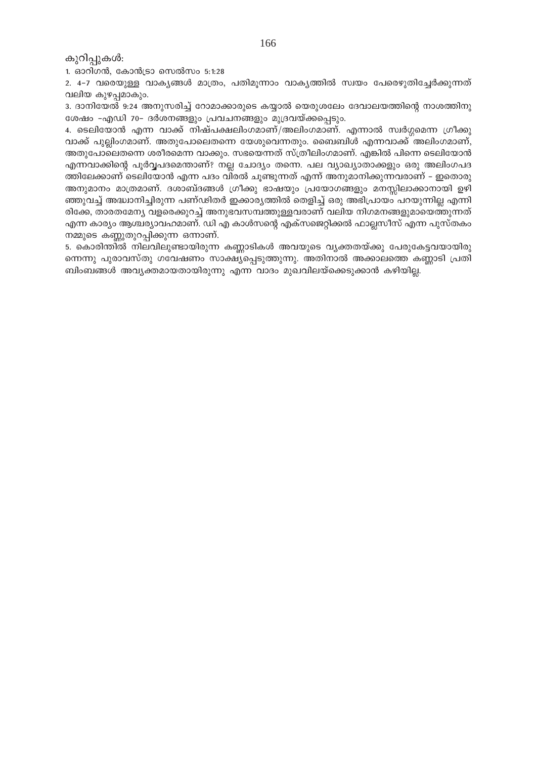കുറിപ്പുകൾ:

1. ഓറിഗൻ, കോൻട്രാ സെൽസം 5:1:28

2. 4-7 വരെയുള്ള വാകൃങ്ങൾ മാത്രം, പതിമൂന്നാം വാകൃത്തിൽ സ്വയം പേരെഴുതിച്ചേർക്കുന്നത് വലിയ കുഴപമാകും.

3. ദാനിയേൽ 9:24 അനുസരിച്ച് റോമാക്കാരുടെ കയ്യാൽ യെരുശലേം ദേവാലയത്തിന്റെ നാശത്തിനു ശേഷം -എഡി 70- ദർശനങ്ങളും പ്രവചനങ്ങളും മുദ്രവയ്ക്കപ്പെടും.

4. ടെലിയോൻ എന്ന വാക്ക് നിഷ്പക്ഷലിംഗമാണ്/അലിംഗമാണ്. എന്നാൽ സ്വർഗ്ഗമെന്ന ഗ്രീക്കു വാക്ക് പുല്ലിംഗമാണ്. അതുപോലെതന്നെ യേശുവെന്നതും. ബൈബിൾ എന്നവാക്ക് അലിംഗമാണ്, അതുപോലെതന്നെ ശരീരമെന്ന വാക്കും. സഭയെന്നത് സ്ത്രീലിംഗമാണ്. എങ്കിൽ പിന്നെ ടെലിയോൻ എന്നവാക്കിന്റെ പൂർവ്വപദമെന്താണ്? നല്ല ചോദ്യം തന്നെ. പല വ്യാഖ്യാതാക്കളും ഒരു അലിംഗപദ ത്തിലേക്കാണ് ടെലിയോൻ എന്ന പദം വിരൽ ചൂണ്ടുന്നത് എന്ന് അനുമാനിക്കുന്നവരാണ് – ഇതൊരു അനുമാനം മാത്രമാണ്. ദശാബ്ദങ്ങൾ ഗ്രീക്കു ഭാഷയും പ്രയോഗങ്ങളും മനസ്സിലാക്കാനായി ഉഴി ഞ്ഞുവച്ച് അദ്ധാനിച്ചിരുന്ന പണ്ഢിതർ ഇക്കാര്യത്തിൽ തെളിച്ച് ഒരു അഭിപ്രായം പറയുന്നില്ല എന്നി രിക്കേ, താരതമേന്യ വളരെക്കുറച്ച് അനുഭവസമ്പത്തുള്ളവരാണ് വലിയ നിഗമനങ്ങളുമായെത്തുന്നത് എന്ന കാര്യം ആശ്ചര്യാവഹമാണ്. ഡി എ കാൾസന്റെ എക്സജെറ്റിക്കൽ ഫാല്ലസീസ് എന്ന പുസ്തകം നമ്മുടെ കണ്ണതുറപ്പിക്കുന്ന ഒന്നാണ്.

5. കൊരിന്തിൽ നിലവിലുണ്ടായിരുന്ന കണ്ണാടികൾ അവയുടെ വ്യക്തതയ്ക്കു പേരുകേട്ടവയായിരു ന്നെന്നു പുരാവസ്തു ഗവേഷണം സാക്ഷ്യപ്പെടുത്തുന്നു. അതിനാൽ അക്കാലത്തെ കണ്ണാടി പ്രതി ബിംബങ്ങൾ അവൃക്തമായതായിരുന്നു എന്ന വാദം മുഖവിലയ്ക്കെടുക്കാൻ കഴിയില്ല.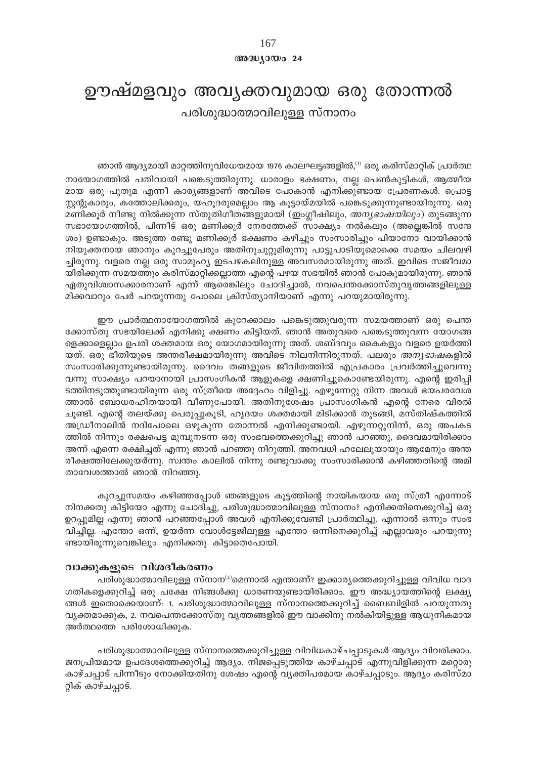## $@0@0J0@024$

# ഊഷ്മളവും അവൃക്തവുമായ ഒരു തോന്നൽ പരിശുദ്ധാത്മാവിലുള്ള സ്നാനം

ഞാൻ ആദ്യമായി മാറ്റത്തിനുവിധേയമായ 1976 കാലഘട്ടങ്ങളിൽ,<sup>റ)</sup> ഒരു കരിസ്മാറ്റിക് പ്രാർത്ഥ നായോഗത്തിൽ പതിവായി പങ്കെടുത്തിരുന്നു. ധാരാളം ഭക്ഷണം, നല്ല പെൺകുട്ടികൾ, ആത്മീയ മായ ഒരു പുതുമ എന്നീ കാര്യങ്ങളാണ് അവിടെ പോകാൻ എനിക്കുണ്ടായ പ്രേരണകൾ. പ്രൊട്ട സ്റ്റന്റുകാരും, കത്തോലിക്കരും, യഹൂദരുമെല്ലാം ആ കൂട്ടായ്മയിൽ പങ്കെടുക്കുന്നുണ്ടായിരുന്നു. ഒരു മണിക്കൂർ നീണ്ടു നിൽക്കുന്ന സ്തുതിഗീതങ്ങളുമായി (ഇംഗ്ലീഷിലും, *അന്യഭാഷയിലും*) തുടങ്ങുന്ന സഭായോഗത്തിൽ, പിന്നീട് ഒരു മണിക്കൂർ നേരത്തേക്ക് സാക്ഷ്യം നൽകലും (അല്ലെങ്കിൽ സന്ദേ ശം) ഉണ്ടാകും. അടുത്ത രണ്ടു മണിക്കൂർ ഭക്ഷണം കഴിച്ചും സംസാരിച്ചും പിയാനോ വായിക്കാൻ നിയുക്തനായ ഞാനും കുറച്ചുപേരും അതിനുചുറ്റുമിരുന്നു പാട്ടുപാടിയുമൊക്കെ സമയം ചിലവഴി ച്ചിരുന്നു. വളരെ നല്ല ഒരു സാമുഹ്യ ഇടപഴകലിനുള്ള അവസരമായിരുന്നു അത്. ഇവിടെ സജീവമാ യിരിക്കുന്ന സമയത്തും കരിസ്മാറ്റിക്കല്ലാത്ത എന്റെ പഴയ സഭയിൽ ഞാൻ പോകുമായിരുന്നു. ഞാൻ ഏതുവിശ്വാസക്കാരനാണ് എന്ന് ആരെങ്കിലും ചോദിച്ചാൽ, നവപെന്തക്കോസ്തുവൃത്തങ്ങളിലുള്ള മിക്കവാറും പേർ പറയുന്നതു പോലെ ക്രിസ്ത്യാനിയാണ് എന്നു പറയുമായിരുന്നു.

ഈ പ്രാർത്ഥനായോഗത്തിൽ കുറേക്കാലം പങ്കെടുത്തുവരുന്ന സമയത്താണ് ഒരു പെന്ത ക്കോസ്തു സഭയിലേക്ക് എനിക്കു ക്ഷണം കിട്ടിയത്. ഞാൻ അതുവരെ പങ്കെടുത്തുവന്ന യോഗങ്ങ ളെക്കാളെല്ലാം ഉപരി ശക്തമായ ഒരു യോഗമായിരുന്നു അത്. ശബ്ദവും കൈകളും വളരെ ഉയർത്തി യത്. ഒരു ഭീതിയുടെ അന്തരീക്ഷമായിരുന്നു അവിടെ നിലനിന്നിരുന്നത്. പലരും *അനൃഭാഷ*കളിൽ സംസാരിക്കുന്നുണ്ടായിരുന്നു. ദൈവം തങ്ങളുടെ ജീവിതത്തിൽ എപ്രകാരം പ്രവർത്തിച്ചുവെന്നു വന്നു സാക്ഷ്യം പറയാനായി പ്രാസംഗികൻ ആളുകളെ ക്ഷണിച്ചുകൊണ്ടേയിരുന്നു. എന്റെ ഇരിപ്പി ടത്തിനടുത്തുണ്ടായിരുന്ന ഒരു സ്ത്രീയെ അദ്ദേഹം വിളിച്ചു. എഴുന്നേറ്റു നിന്ന അവൾ ഭയപരവേശ ത്താൽ ബോധരഹിതയായി വീണുപോയി. അതിനുശേഷം പ്രാസംഗികൻ എന്റെ നേരെ വിരൽ ചൂണ്ടി. എന്റെ തലയ്ക്കു പെരുപ്പുകൂടി, ഹൃദയം ശക്തമായി മിടിക്കാൻ തുടങ്ങി, മസ്തിഷ്കത്തിൽ അഡ്രീനാലിൻ നദിപോലെ ഒഴുകുന്ന തോന്നൽ എനിക്കുണ്ടായി. എഴുന്നറ്റുനിന്ന്, ഒരു അപകട ത്തിൽ നിന്നും രക്ഷപെട്ട മുമ്പുനടന്ന ഒരു സംഭവത്തെക്കുറിച്ചു ഞാൻ പറഞ്ഞു, ദൈവമായിരിക്കാം അന്ന് എന്നെ രക്ഷിച്ചത് എന്നു ഞാൻ പറഞ്ഞു നിറുത്തി. അനവധി ഹലേലൂയായും ആമേനും അന്ത രീക്ഷത്തിലേക്കുയർന്നു. സ്വന്തം കാലിൽ നിന്നു രണ്ടുവാക്കു സംസാരിക്കാൻ കഴിഞ്ഞതിന്റെ അമി താവേശത്താൽ ഞാൻ നിറഞ്ഞു.

കുറച്ചുസമയം കഴിഞ്ഞപ്പോൾ ഞങ്ങളുടെ കൂട്ടത്തിന്റെ നായികയായ ഒരു സ്ത്രീ എന്നോട് നിനക്കതു കിട്ടിയോ എന്നു ചോദിച്ചു, പരിശുദ്ധാത്മാവിലുള്ള സ്നാനം? എനിക്കതിനെക്കുറിച്ച് ഒരു ഉറപ്പുമില്ല എന്നു ഞാൻ പറഞ്ഞപ്പോൾ അവൾ എനിക്കുവേണ്ടി പ്രാർത്ഥിച്ചു. എന്നാൽ ഒന്നും സംഭ വിച്ചില്ല. എന്തോ ഒന്ന്, ഉയർന്ന വോൾട്ടേജിലുള്ള എന്തോ ഒന്നിനെക്കുറിച്ച് എല്ലാവരും പറയുന്നു ണ്ടായിരുന്നുവെങ്കിലും എനിക്കതു കിട്ടാതെപോയി.

## വാക്കുകളുടെ വിശദീകരണം

പരിശുദ്ധാത്മാവിലുള്ള സ്നാന<sup>ു</sup>മെന്നാൽ എന്താണ്? ഇക്കാര്യത്തെക്കുറിച്ചുള്ള വിവിധ വാദ ഗതികളെക്കുറിച്ച് ഒരു പക്ഷേ നിങ്ങൾക്കു ധാരണയുണ്ടായിരിക്കാം. ഈ അദ്ധ്യായത്തിന്റെ ലക്ഷ്യ ങ്ങൾ ഇതൊക്കെയാണ്: 1. പരിശുദ്ധാത്മാവിലുള്ള സ്നാനത്തെക്കുറിച്ച് ബൈബിളിൽ പറയുന്നതു വ്യക്തമാക്കുക, 2. നവപെന്തക്കോസ്തു വൃത്തങ്ങളിൽ ഈ വാക്കിനു നൽകിയിട്ടുള്ള ആധുനികമായ അർത്ഥത്തെ പരിശോധിക്കുക.

പരിശുദ്ധാത്മാവിലുള്ള സ്നാനത്തെക്കുറിച്ചുള്ള വിവിധകാഴ്ചപ്പാടുകൾ ആദ്യം വിവരിക്കാം. ജനപ്രിയമായ ഉപദേശത്തെക്കുറിച്ച് ആദ്യം. നിജപ്പെടുത്തിയ കാഴ്ചപ്പാട് എന്നുവിളിക്കുന്ന മറ്റൊരു കാഴ്ചപ്പാട് പിന്നീടും നോക്കിയതിനു ശേഷം എന്റെ വ്യക്തിപരമായ കാഴ്ചപ്പാടും. ആദ്യം കരിസ്മാ റ്റിക് കാഴ്ചപ്പാട്.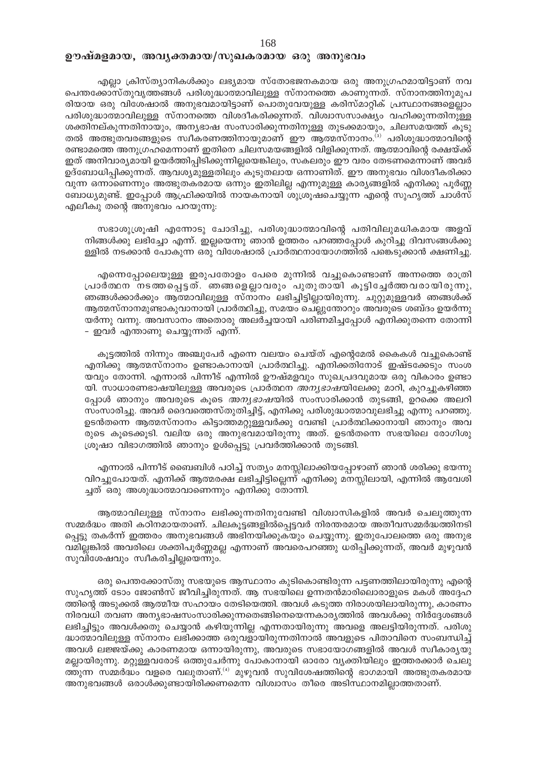## ഊഷ്മളമായ, അവൃക്തമായ/സുഖകരമായ ഒരു അനുഭവം

എല്ലാ ക്രിസ്ത്യാനികൾക്കും ലഭ്യമായ സ്തോഭജനകമായ ഒരു അനുഗ്രഹമായിട്ടാണ് നവ പെന്തക്കോസ്തുവൃത്തങ്ങൾ പരിശുദ്ധാത്മാവിലുള്ള സ്നാനത്തെ കാണുന്നത്. സ്നാനത്തിനുമുപ രിയായ ഒരു വിശേഷാൽ അനുഭവമായിട്ടാണ് പൊതുവേയുള്ള കരിസ്മാറ്റിക് പ്രസ്ഥാനങ്ങളെല്ലാം പരിശുദ്ധാത്മാവിലുള്ള സ്നാനത്തെ വിശദീകരിക്കുന്നത്. വിശ്വാസസാക്ഷ്യം വഹിക്കുന്നതിനുള്ള ശക്തിനല്കുന്നതിനായും, അന്യഭാഷ സംസാരിക്കുന്നതിനുള്ള തുടക്കമായും, ചിലസമയത്ത് കൂടു തൽ അത്ഭുതവരങ്ങളുടെ സ്വീകരണത്തിനായുമാണ് ഈ ആത്മസ്നാനം.<sup>(3)</sup> പരിശുദ്ധാത്മാവിന്റെ രണ്ടാമത്തെ അനുഗ്രഹമെന്നാണ് ഇതിനെ ചിലസമയങ്ങളിൽ വിളിക്കുന്നത്. ആത്മാവിന്റെ രക്ഷയ്ക്ക് ഇത് അനിവാര്യമായി ഉയർത്തിപ്പിടിക്കുന്നില്ലയെങ്കിലും, സകലരും ഈ വരം തേടണമെന്നാണ് അവർ ഉദ്ബോധിപ്പിക്കുന്നത്. ആവശ്യമുള്ളതിലും കൂടുതലായ ഒന്നാണിത്. ഈ അനുഭവം വിശദീകരിക്കാ വുന്ന ഒന്നാണെന്നും അത്ഭുതകരമായ ഒന്നും ഇതിലില്ല എന്നുമുള്ള കാര്യങ്ങളിൽ എനിക്കു പൂർണ്ണ ബോധ്യമുണ്ട്. ഇപ്പോൾ ആഫ്രിക്കയിൽ നായകനായി ശുശ്രൂഷചെയ്യുന്ന എന്റെ സുഹൃത്ത് ചാൾസ് എലീക്വു തന്റെ അനുഭവം പറയുന്നു:

സഭാശുശ്രൂഷി എന്നോടു ചോദിച്ചു, പരിശുദ്ധാത്മാവിന്റെ പതിവിലുമധികമായ അളവ് നിങ്ങൾക്കു ലഭിച്ചോ എന്ന്. ഇല്ലയെന്നു ഞാൻ ഉത്തരം പറഞ്ഞപ്പോൾ കുറിച്ചു ദിവസങ്ങൾക്കു ള്ളിൽ നടക്കാൻ പോകുന്ന ഒരു വിശേഷാൽ പ്രാർത്ഥനായോഗത്തിൽ പങ്കെടുക്കാൻ ക്ഷണിച്ചു.

എന്നെപ്പോലെയുള്ള ഇരുപതോളം പേരെ മുന്നിൽ വച്ചുകൊണ്ടാണ് അന്നത്തെ രാത്രി പ്രാർത്ഥന നടത്തപ്പെട്ടത്. ഞങ്ങളെല്ലാവരും പുതുതായി കൂട്ടിച്ചേർത്തവരായിരുന്നു, ഞങ്ങൾക്കാർക്കും ആത്മാവിലുള്ള സ്നാനം ലഭിച്ചിട്ടില്ലായിരുന്നു. ചുറ്റുമുള്ളവർ ഞങ്ങൾക്ക് ആത്മസ്നാനമുണ്ടാകുവാനായി പ്രാർത്ഥിച്ചു, സമയം ചെല്ലുന്തോറും അവരുടെ ശബ്ദം ഉയർന്നു യർന്നു വന്നു. അവസാനം അതൊരു അലർച്ചയായി പരിണമിച്ചപ്പോൾ എനിക്കുതന്നെ തോന്നി - ഇവർ എന്താണു ചെയ്യുന്നത് എന്ന്.

കൂട്ടത്തിൽ നിന്നും അഞ്ചുപേർ എന്നെ വലയം ചെയ്ത് എന്റെമേൽ കൈകൾ വച്ചുകൊണ്ട് എനിക്കു ആത്മസ്നാനം ഉണ്ടാകാനായി പ്രാർത്ഥിച്ചു. എനിക്കതിനോട് ഇഷ്ടക്കേടും സംശ യവും തോന്നി. എന്നാൽ പിന്നീട് എന്നിൽ ഊഷ്മളവും സുഖപ്രദവുമായ ഒരു വികാരം ഉണ്ടാ യി. സാധാരണഭാഷയിലുള്ള അവരുടെ പ്രാർത്ഥന *അന്യഭാഷ*യിലേക്കു മാറി, കുറച്ചുകഴിഞ്ഞ പ്പോൾ ഞാനും അവരുടെ കൂടെ *അന്യഭാഷ*യിൽ സംസാരിക്കാൻ തുടങ്ങി, ഉറക്കെ അലറി സംസാരിച്ചു. അവർ ദൈവത്തെസ്തുതിച്ചിട്ട്, എനിക്കു പരിശുദ്ധാത്മാവുലഭിച്ചു എന്നു പറഞ്ഞു. ഉടൻതന്നെ ആത്മസ്നാനം കിട്ടാത്തമറ്റുള്ളവർക്കു വേണ്ടി പ്രാർത്ഥിക്കാനായി ഞാനും അവ രുടെ കൂടെക്കൂടി. വലിയ ഒരു അനുഭവമായിരുന്നു അത്. ഉടൻതന്നെ സഭയിലെ രോഗിശു ശ്രൂഷാ വിഭാഗത്തിൽ ഞാനും ഉൾപ്പെട്ടു പ്രവർത്തിക്കാൻ തുടങ്ങി.

എന്നാൽ പിന്നീട് ബൈബിൾ പഠിച്ച് സത്യം മനസ്സിലാക്കിയപ്പോഴാണ് ഞാൻ ശരിക്കു ഭയന്നു വിറച്ചുപോയത്. എനിക്ക് ആത്മരക്ഷ ലഭിച്ചിട്ടില്ലെന്ന് എനിക്കു മനസ്സിലായി, എന്നിൽ ആവേശി ച്ചത് ഒരു അശുദ്ധാത്മാവാണെന്നും എനിക്കു തോന്നി.

ആത്മാവിലുള്ള സ്നാനം ലഭിക്കുന്നതിനുവേണ്ടി വിശ്വാസികളിൽ അവർ ചെലുത്തുന്ന സമ്മർദ്ധം അതി കഠിനമായതാണ്. ചിലകൂട്ടങ്ങളിൽപ്പെട്ടവർ നിരന്തരമായ അതീവസമ്മർദ്ധത്തിനടി പ്പെട്ടു തകർന്ന് ഇത്തരം അനുഭവങ്ങൾ അഭിനയിക്കുകയും ചെയ്യുന്നു. ഇതുപോലത്തെ ഒരു അനുഭ വമില്ലങ്കിൽ അവരിലെ ശക്തിപൂർണ്ണമല്ല എന്നാണ് അവരെപറഞ്ഞു ധരിപ്പിക്കുന്നത്, അവർ മുഴുവൻ സുവിശേഷവും സ്വീകരിച്ചില്ലയെന്നും.

ഒരു പെന്തക്കോസ്തു സഭയുടെ ആസ്ഥാനം കുടികൊണ്ടിരുന്ന പട്ടണത്തിലായിരുന്നു എന്റെ സുഹൃത്ത് ടോം ജോൺസ് ജീവിച്ചിരുന്നത്. ആ സഭയിലെ ഉന്നതൻമാരിലൊരാളുടെ മകൾ അദ്ദേഹ ത്തിന്റെ അടുക്കൽ ആത്മീയ സഹായം തേടിയെത്തി. അവൾ കടുത്ത നിരാശയിലായിരുന്നു, കാരണം നിരവധി തവണ അന്യഭാഷസംസാരിക്കുന്നതെങ്ങിനെയെന്നകാര്യത്തിൽ അവൾക്കു നിർദ്ദേശങ്ങൾ ലഭിച്ചിട്ടും അവൾക്കതു ചെയ്യാൻ കഴിയുന്നില്ല എന്നതായിരുന്നു അവളെ അലട്ടിയിരുന്നത്. പരിശു ദ്ധാത്മാവിലുള്ള സ്നാനം ലഭിക്കാത്ത ഒരുവളായിരുന്നതിനാൽ അവളുടെ പിതാവിനെ സംബന്ധിച്ച് അവൾ ലജ്ജയ്ക്കു കാരണമായ ഒന്നായിരുന്നു, അവരുടെ സഭായോഗങ്ങളിൽ അവൾ സ്ഥീകാര്യയു മല്ലായിരുന്നു. മറ്റുള്ളവരോട് ഒത്തുചേർന്നു പോകാനായി ഓരോ വ്യക്തിയിലും ഇത്തരക്കാർ ചെലു ത്തുന്ന സമ്മർദ്ധം വളരെ വലുതാണ്. $\cdot^{\textrm{\tiny{(4)}}}$  മുഴുവൻ സുവിശേഷത്തിന്റെ ഭാഗമായി അത്ഭുതകരമായ അനുഭവങ്ങൾ ഒരാൾക്കുണ്ടായിരിക്കണമെന്ന വിശ്വാസം തീരെ അടിസ്ഥാനമില്ലാത്തതാണ്.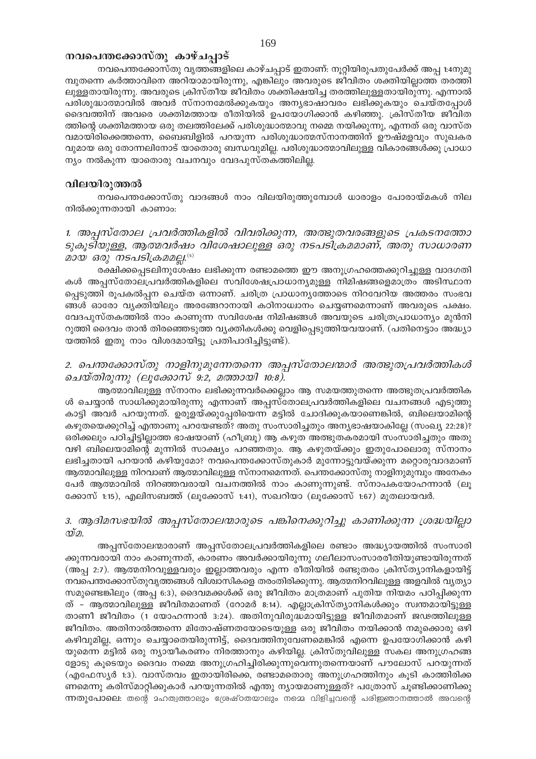## നവപെന്തക്കോസ്തു കാഴ്ചപ്പാട്

നവപെന്തക്കോസ്തു വൃത്തങ്ങളിലെ കാഴ്ചപ്പാട് ഇതാണ്: നൂറ്റിയിരുപതുപേർക്ക് അപ്പ 1:4നുമു മ്പുതന്നെ കർത്താവിനെ അറിയാമായിരുന്നു, എങ്കിലും അവരുടെ ജീവിതം ശക്തിയില്ലാത്ത തരത്തി ലുള്ളതായിരുന്നു. അവരുടെ ക്രിസ്തീയ ജീവിതം ശക്തിക്ഷയിച്ച തരത്തിലുള്ളതായിരുന്നു. എന്നാൽ പരിശുദ്ധാത്മാവിൽ അവർ സ്നാനമേൽക്കുകയും അന്യഭാഷാവരം ലഭിക്കുകയും ചെയ്തപ്പോൾ ദൈവത്തിന് അവരെ ശക്തിമത്തായ രീതിയിൽ ഉപയോഗിക്കാൻ കഴിഞ്ഞു. ക്രിസ്തീയ ജീവിത ത്തിന്റെ ശക്തിമത്തായ ഒരു തലത്തിലേക്ക് പരിശുദ്ധാത്മാവു നമ്മെ നയിക്കുന്നു, എന്നത് ഒരു വാസ്ത വമായിരിക്കെത്തന്നെ, ബൈബിളിൽ പറയുന്ന പരിശുദ്ധാത്മസ്നാനത്തിന് ഊഷ്മളവും സുഖകര വുമായ ഒരു തോന്നലിനോട് യാതൊരു ബന്ധവുമില്ല. പരിശുദ്ധാത്മാവിലുള്ള വികാരങ്ങൾക്കു പ്രാധാ ന്യം നൽകുന്ന യാതൊരു വചനവും വേദപുസ്തകത്തിലില്ല.

## വിലയിരുത്തൽ

നവപെന്തക്കോസ്തു വാദങ്ങൾ നാം വിലയിരുത്തുമ്പോൾ ധാരാളം പോരായ്മകൾ നില നിൽക്കുന്നതായി കാണാം:

1. അപ്പസ്തോല പ്രവർത്തികളിൽ വിവരിക്കുന്ന, അത്ഭുതവരങ്ങളുടെ പ്രകടനത്തോ ടുകൂടിയുള്ള, ആത്മവർഷം വിശേഷാലുള്ള ഒരു നടപടിക്രമമാണ്, അതു സാധാരണ മായ ഒരു നടപടിക്രമമല്ല.(5)

രക്ഷിക്കപ്പെടലിനുശേഷം ലഭിക്കുന്ന രണ്ടാമത്തെ ഈ അനുഗ്രഹത്തെക്കുറിച്ചുള്ള വാദഗതി കൾ അപ്പസ്തോലപ്രവർത്തികളിലെ സവിശേഷപ്രാധാന്യമുള്ള നിമിഷങ്ങളെമാത്രം അടിസ്ഥാന പ്പെടുത്തി രൂപകൽപ്പന ചെയ്ത ഒന്നാണ്. ചരിത്ര പ്രാധാന്യത്തോടെ നിറവേറിയ അത്തരം സംഭവ ങ്ങൾ ഓരോ വ്യക്തിയിലും അരങ്ങേറാനായി കഠിനാധ്വാനം ചെയ്യണമെന്നാണ് അവരുടെ പക്ഷം. വേദപുസ്തകത്തിൽ നാം കാണുന്ന സവിശേഷ നിമിഷങ്ങൾ അവയുടെ ചരിത്രപ്രാധാന്യം മുൻനി റുത്തി ദൈവം താൻ തിരഞ്ഞെടുത്ത വ്യക്തികൾക്കു വെളിപ്പെടുത്തിയവയാണ്. (പതിനെട്ടാം അദ്ധ്യാ യത്തിൽ ഇതു നാം വിശദമായിട്ടു പ്രതിപാദിച്ചിട്ടുണ്ട്).

2. പെന്തക്കോസ്തു നാളിനുമുന്നേതന്നെ അപ്പസ്തോലന്മാർ അത്ഭുതപ്രവർത്തികൾ ചെയ്തിരുന്നു (ലൂക്കോസ് 9:2, മത്തായി 10:8).

ആത്മാവിലുള്ള സ്നാനം ലഭിക്കുന്നവർക്കെല്ലാം ആ സമയത്തുതന്നെ അത്ഭുതപ്രവർത്തിക ൾ ചെയ്യാൻ സാധിക്കുമായിരുന്നു എന്നാണ് അപ്പസ്തോലപ്രവർത്തികളിലെ വചനങ്ങൾ എടുത്തു കാട്ടി അവർ പറയുന്നത്. ഉരുളയ്ക്കുപ്പേരിയെന്ന മട്ടിൽ ചോദിക്കുകയാണെങ്കിൽ, ബിലെയാമിന്റെ കഴുതയെക്കുറിച്ച് എന്താണു പറയേണ്ടത്? അതു സംസാരിച്ചതും അന്യഭാഷയാകില്ലേ (സംഖ്യ 22:28)? ഒരിക്കലും പഠിച്ചിട്ടില്ലാത്ത ഭാഷയാണ് (ഹീബ്രു) ആ കഴുത അത്ഭുതകരമായി സംസാരിച്ചതും അതു വഴി ബിലെയാമിന്റെ മുന്നിൽ സാക്ഷ്യം പറഞ്ഞതും. ആ കഴുതയ്ക്കും ഇതുപോലൊരു സ്നാനം ലഭിച്ചതായി പറയാൻ കഴിയുമോ? നവപെന്തക്കോസ്തുകാർ മുന്നോട്ടുവയ്ക്കുന്ന മറ്റൊരുവാദമാണ് ആത്മാവിലുള്ള നിറവാണ് ആത്മാവിലുള്ള സ്നാനമെന്നത്. പെന്തക്കോസ്തു നാളിനുമുമ്പും അനേകം പേർ ആത്മാവിൽ നിറഞ്ഞവരായി വചനത്തിൽ നാം കാണുന്നുണ്ട്. സ്നാപകയോഹന്നാൻ (ലൂ ക്കോസ് 1:15), എലിസബത്ത് (ലൂക്കോസ് 1:41), സഖറിയാ (ലൂക്കോസ് 1:67) മുതലായവർ.

## 3. ആദിമസഭയിൽ അപ്പസ്തോലന്മാരുടെ പങ്കിനെക്കുറിച്ചു കാണിക്കുന്ന ശ്രദ്ധയില്ലാ  $\mathcal{D} \mathcal{D}$ .

അപ്പസ്തോലന്മാരാണ് അപ്പസ്തോലപ്രവർത്തികളിലെ രണ്ടാം അദ്ധ്യായത്തിൽ സംസാരി ക്കുന്നവരായി നാം കാണുന്നത്, കാരണം അവർക്കായിരുന്നു ഗലീലാസംസാരരീതിയുണ്ടായിരുന്നത് (അപ്പ 2:7). ആത്മനിറവുള്ളവരും ഇല്ലാത്തവരും എന്ന രീതിയിൽ രണ്ടുതരം ക്രിസ്ത്യാനികളായിട്ട് നവപെന്തക്കോസ്തുവൃത്തങ്ങൾ വിശ്വാസികളെ തരംതിരിക്കുന്നു. ആത്മനിറവിലുള്ള അളവിൽ വ്യത്യാ സമുണ്ടെങ്കിലും (അപ്പ 6:3), ദൈവമക്കൾക്ക് ഒരു ജീവിതം മാത്രമാണ് പുതിയ നിയമം പഠിപ്പിക്കുന്ന ത് – ആത്മാവിലുള്ള ജീവിതമാണത് (റോമർ 8:14). എല്ലാക്രിസ്ത്യാനികൾക്കും സ്വന്തമായിട്ടുള്ള താണീ ജീവിതം (1 യോഹന്നാൻ 3:24). അതിനുവിരുദ്ധമായിട്ടുള്ള ജീവിതമാണ് ജഢത്തിലുള്ള ജീവിതം. അതിനാൽത്തന്നെ മിതോഷ്ണതയോടെയുള്ള ഒരു ജീവിതം നയിക്കാൻ നമുക്കൊരു ഒഴി കഴിവുമില്ല, ഒന്നും ചെയ്യാതെയിരുന്നിട്ട്, ദൈവത്തിനുവേണമെങ്കിൽ എന്നെ ഉപയോഗിക്കാൻ കഴി യുമെന്ന മട്ടിൽ ഒരു ന്യായീകരണം നിരത്താനും കഴിയില്ല. ക്രിസ്തുവിലുള്ള സകല അനുഗ്രഹങ്ങ ളോടു കൂടെയും ദൈവം നമ്മെ അനുഗ്രഹിച്ചിരിക്കുന്നുവെന്നുതന്നെയാണ് പൗലോസ് പറയുന്നത് (എഫേസ്യർ 1:3). വാസ്തവം ഇതായിരിക്കെ, രണ്ടാമതൊരു അനുഗ്രഹത്തിനും കൂടി കാത്തിരിക്ക ണമെന്നു കരിസ്മാറ്റിക്കുകാർ പറയുന്നതിൽ എന്തു ന്യായമാണുള്ളത്? പത്രോസ് ചൂണ്ടിക്കാണിക്കു ന്നതുപോലെ: തന്റെ മഹത്വത്താലും ശ്രേഷ്ഠതയാലും നമ്മെ വിളിച്ചവന്റെ പരിജ്ഞാനത്താൽ അവന്റെ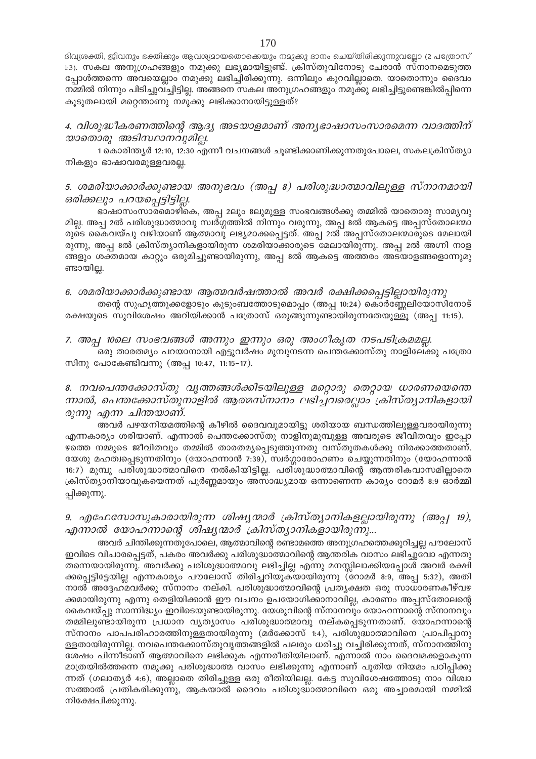ദിവ്യശക്തി, ജീവനും ഭക്തിക്കും ആവശ്യമായതൊക്കെയും നമുക്കു ദാനം ചെയ്തിരിക്കുന്നുവല്ലോ (2 പത്രോസ് 1:3). സകല അനുഗ്രഹങ്ങളും നമുക്കു ലഭ്യമായിട്ടുണ്ട്. ക്രിസ്തുവിനോടു ചേരാൻ സ്നാനമെടുത്ത പ്പോൾത്തന്നെ അവയെല്ലാം നമുക്കു ലഭിച്ചിരിക്കുന്നു. ഒന്നിലും കുറവില്ലാതെ. യാതൊന്നും ദൈവം നമ്മിൽ നിന്നും പിടിച്ചുവച്ചിട്ടില്ല. അങ്ങനെ സകല അനുഗ്രഹങ്ങളും നമുക്കു ലഭിച്ചിട്ടുണ്ടെങ്കിൽപ്പിന്നെ കൂടുതലായി മറ്റെന്താണു നമുക്കു ലഭിക്കാനായിട്ടുള്ളത്?

## 4. വിശുദ്ധീകരണത്തിന്റെ ആദ്യ അടയാളമാണ് അന്യഭാഷാസംസാരമെന്ന വാദത്തിന് യാതൊരു അടിസ്ഥാനവുമില്ല.

1 കൊരിന്ത്യർ 12:10, 12:30 എന്നീ വചനങ്ങൾ ചൂണ്ടിക്കാണിക്കുന്നതുപോലെ, സകലക്രിസ്ത്യാ നികളും ഭാഷാവരമുള്ളവരല്ല.

## 5. ശമരിയാക്കാർക്കുണ്ടായ അനുഭവം (അപ്പ 8) പരിശുദ്ധാത്മാവിലുള്ള സ്നാനമായി ഒരിക്കലും പറയപ്പെട്ടിട്ടില്ല.

ഭാഷാസംസാരമൊഴികെ, അപ്പ 2ലും 8ലുമുള്ള സംഭവങ്ങൾക്കു തമ്മിൽ യാതൊരു സാമൃവു മില്ല. അപ്പ 2ൽ പരിശുദ്ധാത്മാവു സ്വർഗ്ഗത്തിൽ നിന്നും വരുന്നു, അപ്പ 8ൽ ആകട്ടെ അപ്പസ്തോലന്മാ രുടെ കൈവയ്പു വഴിയാണ് ആത്മാവു ലഭ്യമാക്കപ്പെട്ടത്. അപ്പ 2ൽ അപ്പസ്തോലന്മാരുടെ മേലായി രുന്നു, അപ്പ ഒൽ ക്രിസ്ത്യാനികളായിരുന്ന ശമരിയാക്കാരുടെ മേലായിരുന്നു. അപ്പ 2ൽ അഗ്നി നാള ങ്ങളും ശക്തമായ കാറ്റും ഒരുമിച്ചുണ്ടായിരുന്നു, അപ്പ 8ൽ ആകട്ടെ അത്തരം അടയാളങ്ങളൊന്നുമു ണ്ടായില്ല.

## 6. ശമരിയാക്കാർക്കുണ്ടായ ആത്മവർഷത്താൽ അവർ രക്ഷിക്കപ്പെട്ടില്ലായിരുന്നു

തന്റെ സുഹൃത്തുക്കളോടും കുടുംബത്തോടുമൊപ്പം (അപ്പ 10:24) കൊർണ്ണേലിയോസിനോട് രക്ഷയുടെ സുവിശേഷം അറിയിക്കാൻ പത്രോസ് ഒരുങ്ങുന്നുണ്ടായിരുന്നതേയുള്ളൂ (അപ്പ 11:15).

7. അപ്പ 10ലെ സംഭവങ്ങൾ അന്നും ഇന്നും ഒരു അംഗീകൃത നടപടിക്രമമല്ല.

ഒരു താരതമ്യം പറയാനായി എട്ടുവർഷം മുമ്പുനടന്ന പെന്തക്കോസ്തു നാളിലേക്കു പത്രോ സിനു പോകേണ്ടിവന്നു (അപ്പ 10:47, 11:15-17).

## 8. നവപെന്തക്കോസ്തു വൃത്തങ്ങൾക്കിടയിലുള്ള മറ്റൊരു തെറ്റായ ധാരണയെന്തെ ന്നാൽ, പെന്തക്കോസ്തുനാളിൽ ആത്മസ്നാനം ലഭിച്ചവരെല്ലാം ക്രിസ്ത്യാനികളായി രുന്നു എന്ന ചിന്തയാണ്.

അവർ പഴയനിയമത്തിന്റെ കീഴിൽ ദൈവവുമായിട്ടു ശരിയായ ബന്ധത്തിലുള്ളവരായിരുന്നു എന്നകാര്യം ശരിയാണ്. എന്നാൽ പെന്തക്കോസ്തു നാളിനുമുമ്പുള്ള അവരുടെ ജീവിതവും ഇപ്പോ ഴത്തെ നമ്മുടെ ജീവിതവും തമ്മിൽ താരതമ്യപ്പെടുത്തുന്നതു വസ്തുതകൾക്കു നിരക്കാത്തതാണ്. യേശു മഹത്വപ്പെടുന്നതിനും (യോഹന്നാൻ 7:39), സ്വർഗ്ഗാരോഹണം ചെയ്യുന്നതിനും (യോഹന്നാൻ 16:7) മുമ്പു പരിശുദ്ധാത്മാവിനെ നൽകിയിട്ടില്ല. പരിശുദ്ധാത്മാവിന്റെ ആന്തരികവാസമില്ലാതെ ക്രിസ്ത്യാനിയാവുകയെന്നത് പൂർണ്ണമായും അസാദ്ധ്യമായ ഒന്നാണെന്ന കാര്യം റോമർ 8:9 ഓർമ്മി പ്പിക്കുന്നു.

## 9. എഫേസോസുകാരായിരുന്ന ശിഷ്യന്മാർ ക്രിസ്ത്യാനികളല്ലായിരുന്നു (അപ്പ 19), എന്നാൽ യോഹന്നാന്റെ ശിഷ്യന്മാർ ക്രിസ്ത്യാനികളായിരുന്നു...

അവർ ചിന്തിക്കുന്നതുപോലെ, ആത്മാവിന്റെ രണ്ടാമത്തെ അനുഗ്രഹത്തെക്കുറിച്ചല്ല പൗലോസ് ഇവിടെ വിചാരപ്പെട്ടത്, പകരം അവർക്കു പരിശുദ്ധാത്മാവിന്റെ ആന്തരിക വാസം ലഭിച്ചുവോ എന്നതു തന്നെയായിരുന്നു. അവർക്കു പരിശുദ്ധാത്മാവു ലഭിച്ചില്ല എന്നു മനസ്സിലാക്കിയപ്പോൾ അവർ രക്ഷി ക്കപ്പെട്ടിട്ടേയില്ല എന്നകാര്യം പൗലോസ് തിരിച്ചറിയുക്യായിരുന്നു (റോമർ 8:9, അപ്പ 5:32), അതി നാൽ അദ്ദേഹമവർക്കു സ്നാനം നല്കി. പരിശുദ്ധാത്മാവിന്റെ പ്രത്യക്ഷത ഒരു സാധാരണകീഴ്വഴ ക്കമായിരുന്നു എന്നു തെളിയിക്കാൻ ഈ വചനം ഉപയോഗിക്കാനാവില്ല, കാരണം അപ്പസ്തോലന്റെ കൈവയ്പ്പു സാന്നിദ്ധ്യം ഇവിടെയുണ്ടായിരുന്നു. യേശുവിന്റെ സ്നാനവും യോഹന്നാന്റെ സ്നാനവും തമ്മിലുണ്ടായിരുന്ന പ്രധാന വ്യത്യാസം പരിശുദ്ധാത്മാവു നല്കപ്പെടുന്നതാണ്. യോഹന്നാന്റെ സ്നാനം പാപപരിഹാരത്തിനുള്ളതായിരുന്നു (മർക്കോസ് 1:4), പരിശുദ്ധാത്മാവിനെ പ്രാപിപ്പാനു ള്ളതായിരുന്നില്ല. നവപെന്തക്കോസ്തുവൃത്തങ്ങളിൽ പലരും ധരിച്ചു വച്ചിരിക്കുന്നത്, സ്നാനത്തിനു ശേഷം പിന്നീടാണ് ആത്മാവിനെ ലഭിക്കുക എന്നരീതിയിലാണ്. എന്നാൽ നാം ദൈവമക്കളാകുന്ന മാത്രയിൽത്തന്നെ നമുക്കു പരിശുദ്ധാത്മ വാസം ലഭിക്കുന്നു എന്നാണ് പുതിയ നിയമം പഠിപ്പിക്കു ന്നത് (ഗലാത്യർ 4:6), അല്ലാതെ തിരിച്ചുള്ള ഒരു രീതിയിലല്ല. കേട്ട സുവിശേഷത്തോടു നാം വിശ്വാ സത്താൽ പ്രതികരിക്കുന്നു, ആകയാൽ ദൈവം പരിശുദ്ധാത്മാവിനെ ഒരു അച്ചാരമായി നമ്മിൽ നിക്ഷേപിക്കുന്നു.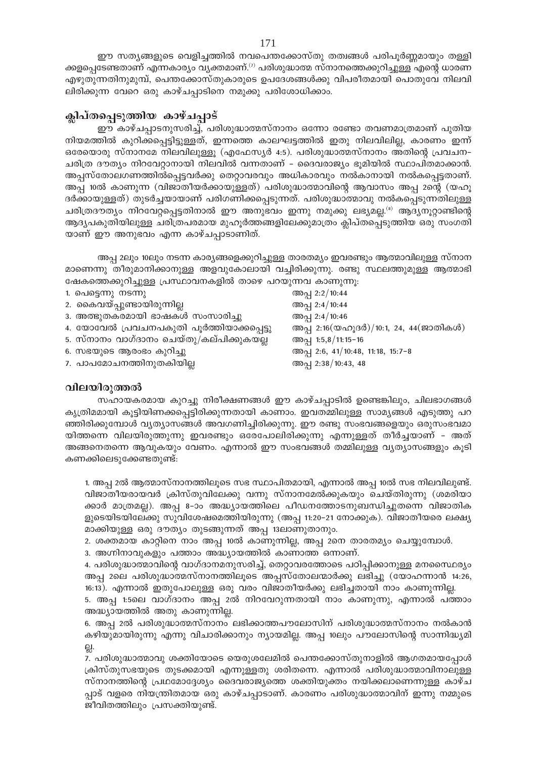ഈ സത്യങ്ങളുടെ വെളിച്ചത്തിൽ നവപെന്തക്കോസ്തു തത്വങ്ങൾ പരിപൂർണ്ണമായും തള്ളി ക്കളപ്പെടേണ്ടതാണ് എന്നകാര്യം വ്യക്തമാണ്.<sup>(?)</sup> പരിശുദ്ധാത്മ സ്നാനത്തെക്കുറിച്ചുള്ള എന്റെ ധാരണ എഴുതുന്നതിനുമുമ്പ്, പെന്തക്കോസ്തുകാരുടെ ഉപദേശങ്ങൾക്കു വിപരീതമായി പൊതുവേ നിലവി ലിരിക്കുന്ന വേറെ ഒരു കാഴ്ചപ്പാടിനെ നമുക്കു പരിശോധിക്കാം.

## ക്ലിപ്തപ്പെടുത്തിയ കാഴ്ചപ്പാട്

ഈ കാഴ്ചപ്പാടനുസരിച്ച്, പരിശുദ്ധാത്മസ്നാനം ഒന്നോ രണ്ടോ തവണമാത്രമാണ് പുതിയ നിയമത്തിൽ കുറിക്കപ്പെട്ടിട്ടുള്ളത്, ഇന്നത്തെ കാലഘട്ടത്തിൽ ഇതു നിലവിലില്ല, കാരണം ഇന്ന് ഒരേയൊരു സ്നാനമേ നിലവിലുള്ളൂ (എഫേസ്യർ 4:5). പരിശുദ്ധാത്മസ്നാനം അതിന്റെ പ്രവചന– ചരിത്ര ദൗത്യം നിറവേറ്റാനായി നിലവിൽ വന്നതാണ് – ദൈവരാജ്യം ഭൂമിയിൽ സ്ഥാപിതമാക്കാൻ. അപ്പസ്തോലഗണത്തിൽപ്പെട്ടവർക്കു തെറ്റാവരവും അധികാരവും നൽകാനായി നൽകപ്പെട്ടതാണ്. അപ്പ 10ൽ കാണുന്ന (വിജാതീയർക്കായുള്ളത്) പരിശുദ്ധാത്മാവിന്റെ ആവാസം അപ്പ 2ന്റെ (യഹൂ ദർക്കായുള്ളത്) തുടർച്ചയായാണ് പരിഗണിക്കപ്പെടുന്നത്. പരിശുദ്ധാത്മാവു നൽകപ്പെടുന്നതിലുള്ള ചരിത്രദൗത്യം നിറവേറ്റപ്പെട്ടതിനാൽ ഈ അനുഭവം ഇന്നു നമുക്കു ലഭ്യമല്ല.<sup>(8)</sup> ആദ്യനൂറ്റാണ്ടിന്റെ ആദ്യപകുതിയിലുള്ള ചരിത്രപരമായ മുഹൂർത്തങ്ങളിലേക്കുമാത്രം ക്ലിപ്തപ്പെടുത്തിയ ഒരു സംഗതി യാണ് ഈ അനുഭവം എന്ന കാഴ്ചപ്പാടാണിത്.

അപ്പ 2ലും 10ലും നടന്ന കാര്യങ്ങളെക്കുറിച്ചുള്ള താരതമ്യം ഇവരണ്ടും ആത്മാവിലുള്ള സ്നാന മാണെന്നു തീരുമാനിക്കാനുള്ള അളവുകോലായി വച്ചിരിക്കുന്നു. രണ്ടു സ്ഥലത്തുമുള്ള ആത്മാഭി ഷേകത്തെക്കുറിച്ചുള്ള പ്രസ്ഥാവനകളിൽ താഴെ പറയുന്നവ കാണുന്നു:

| 1. പെട്ടെന്നു നടന്നു                      | അപ്പ 2:2/10:44                                                                           |
|-------------------------------------------|------------------------------------------------------------------------------------------|
| 2. കൈവയ്പ്പുണ്ടായിരുന്നില്ല               | അപ്പ 2:4/10:44                                                                           |
| 3. അത്ഭുതകരമായി ഭാഷകൾ സംസാരിച്ചു          | അപ്പ 2:4/10:46                                                                           |
| 4. യോവേൽ പ്രവചനപകുതി പൂർത്തിയാക്കപ്പെട്ടു | അപ്പ 2:16 $(\mathcal{Q} \circ \Omega)$ 3ർ)/10:1, 24, 44 $(\mathcal{Q} \circ \Omega)$ കൾ) |
| 5. സ്നാനം വാഗ്ദാനം ചെയ്തു/കല്പിക്കുകയല്ല  | അപ്പ 1:5,8/11:15-16                                                                      |
| 6. സഭയുടെ ആരംഭം കുറിച്ചു                  | അപ്പ 2:6, 41/10:48, 11:18, 15:7-8                                                        |
| 7. പാപമോചനത്തിനുതകിയില്ല                  | അപ്പ 2:38/10:43, 48                                                                      |

## വിലയിരുത്തൽ

സഹായകരമായ കുറച്ചു നിരീക്ഷണങ്ങൾ ഈ കാഴ്ചപ്പാടിൽ ഉണ്ടെങ്കിലും, ചിലഭാഗങ്ങൾ കൃത്രിമമായി കൂട്ടിയിണക്കപ്പെട്ടിരിക്കുന്നതായി കാണാം. ഇവതമ്മിലുള്ള സാമൃങ്ങൾ എടുത്തു പറ ഞ്ഞിരിക്കുമ്പോൾ വ്യത്യാസങ്ങൾ അവഗണിച്ചിരിക്കുന്നു. ഈ രണ്ടു സംഭവങ്ങളെയും ഒരുസംഭവമാ യിത്തന്നെ വിലയിരുത്തുന്നു ഇവരണ്ടും ഒരേപോലിരിക്കുന്നു എന്നുള്ളത് തീർച്ചയാണ് – അത് അങ്ങനെതന്നെ ആവുകയും വേണം. എന്നാൽ ഈ സംഭവങ്ങൾ തമ്മിലുള്ള വ്യത്യാസങ്ങളും കൂടി കണക്കിലെടുക്കേണ്ടതുണ്ട്:

1. അപ്പ 2ൽ ആത്മാസ്നാനത്തിലൂടെ സഭ സ്ഥാപിതമായി, എന്നാൽ അപ്പ 10ൽ സഭ നിലവിലുണ്ട്. വിജാതീയരായവർ ക്രിസ്തുവിലേക്കു വന്നു സ്നാനമേൽക്കുകയും ചെയ്തിരുന്നു (ശമരിയാ ക്കാർ മാത്രമല്ല). അപ്പ 8-ാം അദ്ധ്യായത്തിലെ പീഡനത്തോടനുബന്ധിച്ചുതന്നെ വിജാതിക ളുടെയിടയിലേക്കു സുവിശേഷമെത്തിയിരുന്നു (അപ്പ 11:20–21 നോക്കുക). വിജാതീയരെ ലക്ഷ്യ മാക്കിയുള്ള ഒരു ദൗത്യം തുടങ്ങുന്നത് അപ്പ 13ലാണുതാനും.

2. ശക്തമായ കാറ്റിനെ നാം അപ്പ 10ൽ കാണുന്നില്ല, അപ്പ 2നെ താരതമ്യം ചെയ്യുമ്പോൾ.

3. അഗ്നിനാവുകളും പത്താം അദ്ധ്യായത്തിൽ കാണാത്ത ഒന്നാണ്.

4. പരിശുദ്ധാത്മാവിന്റെ വാഗ്ദാനമനുസരിച്ച്, തെറ്റാവരത്തോടെ പഠിപ്പിക്കാനുള്ള മനസൈ്ഥര്യം അപ്പ 2ലെ പരിശുദ്ധാത്മസ്നാനത്തിലൂടെ അപ്പസ്തോലന്മാർക്കു ലഭിച്ചു (യോഹന്നാൻ 14:26, 16:13). എന്നാൽ ഇതുപോലുള്ള ഒരു വരം വിജാതീയർക്കു ലഭിച്ചതായി നാം കാണുന്നില്ല.

5. അപ്പ 1:5ലെ വാഗ്ദാനം അപ്പ 2ൽ നിറവേറുന്നതായി നാം കാണുന്നു, എന്നാൽ പത്താം അദ്ധ്യായത്തിൽ അതു കാണുന്നില്ല.

6. അപ്പ 2ൽ പരിശുദ്ധാത്മസ്നാനം ലഭിക്കാത്തപൗലോസിന് പരിശുദ്ധാത്മസ്നാനം നൽകാൻ കഴിയുമായിരുന്നു എന്നു വിചാരിക്കാനും ന്യായമില്ല. അപ്പ 10ലും പൗലോസിന്റെ സാന്നിദ്ധ്യമി 읝.

7. പരിശുദ്ധാത്മാവു ശക്തിയോടെ യെരുശലേമിൽ പെന്തക്കോസ്തുനാളിൽ ആഗതമായപ്പോൾ ക്രിസ്തുസഭയുടെ തുടക്കമായി എന്നുള്ളതു ശരിതന്നെ. എന്നാൽ പരിശുദ്ധാത്മാവിനാലുള്ള സ്നാനത്തിന്റെ പ്രഥമോദ്ദേശ്യം ദൈവരാജ്യത്തെ ശക്തിയുക്തം നയിക്കലാണെന്നുള്ള കാഴ്ച പ്പാട് വളരെ നിയന്ത്രിതമായ ഒരു കാഴ്ചപ്പാടാണ്. കാരണം പരിശുദ്ധാത്മാവിന് ഇന്നു നമ്മുടെ ജീവിതത്തിലും പ്രസക്തിയുണ്ട്.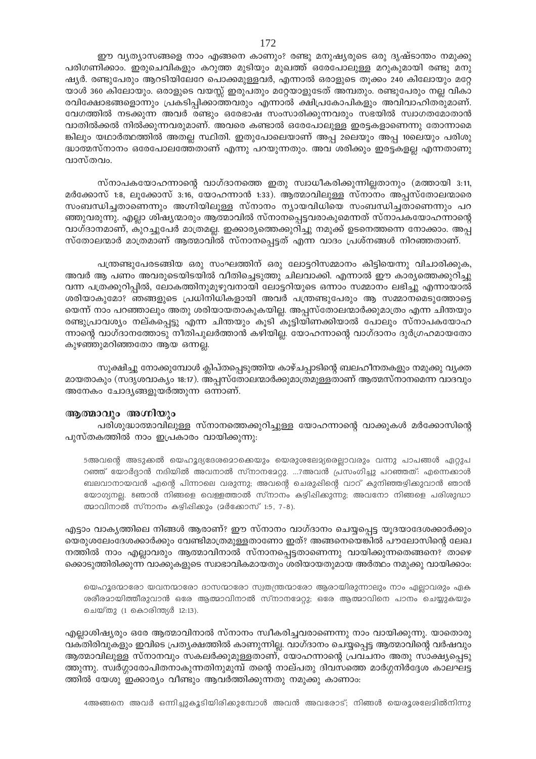ഈ വ്യത്യാസങ്ങളെ നാം എങ്ങനെ കാണും? രണ്ടു മനുഷ്യരുടെ ഒരു ദൃഷ്ടാന്തം നമുക്കു പരിഗണിക്കാം. ഇരുചെവികളും കറുത്ത മുടിയും മുഖത്ത് ഒരേപോലുള്ള മറുകുമായി രണ്ടു മനു ഷ്യർ. രണ്ടുപേരും ആറടിയിലേറേ പൊക്കമുള്ളവർ, എന്നാൽ ഒരാളുടെ തൂക്കം 240 കിലോയും മറ്റേ യാൾ 360 കിലോയും. ഒരാളുടെ വയസ്സ് ഇരുപതും മറ്റേയാളുടേത് അമ്പതും. രണ്ടുപേരും നല്ല വികാ രവിക്ഷോഭങ്ങളൊന്നും പ്രകടിപ്പിക്കാത്തവരും എന്നാൽ ക്ഷിപ്രകോപികളും അവിവാഹിതരുമാണ്. വേഗത്തിൽ നടക്കുന്ന അവർ രണ്ടും ഒരേഭാഷ സംസാരിക്കുന്നവരും സഭയിൽ സ്വാഗതമോതാൻ വാതിൽക്കൽ നിൽക്കുന്നവരുമാണ്. അവരെ കണ്ടാൽ ഒരേപോലുള്ള ഇരട്ടകളാണെന്നു തോന്നാമെ ങ്കിലും യഥാർത്ഥത്തിൽ അതല്ല സ്ഥിതി. ഇതുപോലെയാണ് അപ്പ 2ലെയും അപ്പ 10ലെയും പരിശു ദ്ധാത്മസ്നാനം ഒരേപോലത്തേതാണ് എന്നു പറയുന്നതും. അവ ശരിക്കും ഇരട്ടകളല്ല എന്നതാണു വാസ്തവം.

സ്നാപകയോഹന്നാന്റെ വാഗ്ദാനത്തെ ഇതു സ്വാധീകരിക്കുന്നില്ലതാനും (മത്തായി 3:11, മർക്കോസ് 1:8, ലൂക്കോസ് 3:16, യോഹന്നാൻ 1:33). ആത്മാവിലുള്ള സ്നാനം അപസ്തോലന്മാരെ സംബന്ധിച്ചതാണെന്നും അഗ്നിയിലുള്ള സ്നാനം ന്യായവിധിയെ സംബന്ധിച്ചതാണെന്നും പറ ഞ്ഞുവരുന്നു. എല്ലാ ശിഷ്യന്മാരും ആത്മാവിൽ സ്നാനപ്പെട്ടവരാകുമെന്നത് സ്നാപകയോഹന്നാന്റെ വാഗ്ദാനമാണ്, കുറച്ചുപേർ മാത്രമല്ല. ഇക്കാര്യത്തെക്കുറിച്ചു നമുക്ക് ഉടനെത്തന്നെ നോക്കാം. അപ്പ സ്തോലന്മാർ മാത്രമാണ് ആത്മാവിൽ സ്നാനപ്പെട്ടത് എന്ന വാദം പ്രശ്നങ്ങൾ നിറഞ്ഞതാണ്.

പന്ത്രണ്ടുപേരടങ്ങിയ ഒരു സംഘത്തിന് ഒരു ലോട്ടറിസമ്മാനം കിട്ടിയെന്നു വിചാരിക്കുക, അവർ ആ പണം അവരുടെയിടയിൽ വീതിച്ചെടുത്തു ചിലവാക്കി. എന്നാൽ ഈ കാര്യത്തെക്കുറിച്ചു വന്ന പത്രക്കുറിപ്പിൽ, ലോകത്തിനുമുഴുവനായി ലോട്ടറിയുടെ ഒന്നാം സമ്മാനം ലഭിച്ചു എന്നായാൽ ശരിയാകുമോ? ഞങ്ങളുടെ പ്രധിനിധികളായി അവർ പന്ത്രണ്ടുപേരും ആ സമ്മാനമെടുത്തോട്ടെ യെന്ന് നാം പറഞ്ഞാലും അതു ശരിയായതാകുകയില്ല. അപ്പസ്തോലന്മാർക്കുമാത്രം എന്ന ചിന്തയും രണ്ടുപ്രാവശ്യം നല്കപ്പെട്ടു എന്ന ചിന്തയും കൂടി കൂട്ടിയിണക്കിയാൽ പോലും സ്നാപകയോഹ ന്നാന്റെ വാഗ്ദാനത്തോടു നീതിപുലർത്താൻ കഴിയില്ല. യോഹന്നാന്റെ വാഗ്ദാനം ദുർഗ്രഹമായതോ കുഴഞ്ഞുമറിഞ്ഞതോ ആയ ഒന്നല്ല.

സുക്ഷിച്ചു നോക്കുമ്പോൾ ക്ലിപ്തപ്പെടുത്തിയ കാഴ്ചപ്പാടിന്റെ ബലഹീനതകളും നമുക്കു വൃക്ത മായതാകും (സദൃശവാകൃം 18:17). അപ്പസ്തോലന്മാർക്കുമാത്രമുള്ളതാണ് ആത്മസ്നാനമെന്ന വാദവും അനേകം ചോദ്യങ്ങളുയർത്തുന്ന ഒന്നാണ്.

#### ആത്മാവും അഗ്നിയും

പരിശുദ്ധാത്മാവിലുള്ള സ്നാനത്തെക്കുറിച്ചുള്ള യോഹന്നാന്റെ വാക്കുകൾ മർക്കോസിന്റെ പുസ്തകത്തിൽ നാം ഇപ്രകാരം വായിക്കുന്നു:

5അവന്റെ അടുക്കൽ യെഹൂദ്യദേശമൊക്കെയും യെരുശലേമ്യരെല്ലാവരും വന്നു പാപങ്ങൾ ഏറ്റുപ റഞ്ഞ് യോർദ്ദാൻ നദിയിൽ അവനാൽ സ്നാനമേറ്റു. ...7അവൻ പ്രസംഗിച്ചു പറഞ്ഞത്: എന്നെക്കാൾ ബലവാനായവൻ എന്റെ പിന്നാലെ വരുന്നു; അവന്റെ ചെരുപ്പിന്റെ വാറ് കുനിഞ്ഞഴിക്കുവാൻ ഞാൻ യോഗ്യനല്ല. 8ഞാൻ നിങ്ങളെ വെള്ളത്താൽ സ്നാനം കഴിഷിക്കുന്നു; അവനോ നിങ്ങളെ പരിശുദ്ധാ ത്മാവിനാൽ സ്നാനം കഴിപ്പിക്കും (മർക്കോസ് 1:5, 7-8).

എട്ടാം വാകൃത്തിലെ നിങ്ങൾ ആരാണ്? ഈ സ്നാനം വാഗ്ദാനം ചെയ്യപ്പെട്ട യൂദയാദേശക്കാർക്കും യെരുശലേംദേശക്കാർക്കും വേണ്ടിമാത്രമുള്ളതാണോ ഇത്? അങ്ങനെയെങ്കിൽ പൗലോസിന്റെ ലേഖ നത്തിൽ നാം എല്ലാവരും ആത്മാവിനാൽ സ്നാനപ്പെട്ടതാണെന്നു വായിക്കുന്നതെങ്ങനെ? താഴെ ക്കൊടുത്തിരിക്കുന്ന വാക്കുകളുടെ സ്വാഭാവികമായതും ശരിയായതുമായ അർത്ഥം നമുക്കു വായിക്കാം.

യെഹൂദന്മാരോ യവനന്മാരോ ദാസന്മാരോ സ്വതന്ത്രന്മാരോ ആരായിരുന്നാലും നാം ഏല്ലാവരും ഏക ശരീരമായിത്തീരുവാൻ ഒരേ ആത്മാവിനാൽ സ്നാനമേറ്റു; ഒരേ ആത്മാവിനെ പാനം ചെയ്യുകയും ചെയ്തു (1 കൊരിന്ത്യർ 12:13).

എല്ലാശിഷ്യരും ഒരേ ആത്മാവിനാൽ സ്നാനം സ്ഥീകരിച്ചവരാണെന്നു നാം വായിക്കുന്നു. യാതൊരു വകതിരിവുകളും ഇവിടെ പ്രത്യക്ഷത്തിൽ കാണുന്നില്ല. വാഗ്ദാനം ചെയ്യപ്പെട്ട ആത്മാവിന്റെ വർഷവും ആത്മാവിലുള്ള സ്നാനവും സകലർക്കുമുള്ളതാണ്, യോഹന്നാന്റെ പ്രവചനം അതു സാക്ഷ്യപ്പെടു ത്തുന്നു. സ്വർഗ്ഗാരോപിതനാകുന്നതിനുമുമ്പ് തന്റെ നാല്പതു ദിവസത്തെ മാർഗ്ഗനിർദ്ദേശ കാലഘട്ട ത്തിൽ യേശു ഇക്കാര്യം വീണ്ടും ആവർത്തിക്കുന്നതു നമുക്കു കാണാം:

4അങ്ങനെ അവർ ഒന്നിച്ചുകൂടിയിരിക്കുമ്പോൾ അവൻ അവരോട്; നിങ്ങൾ യെരൂശലേമിൽനിന്നു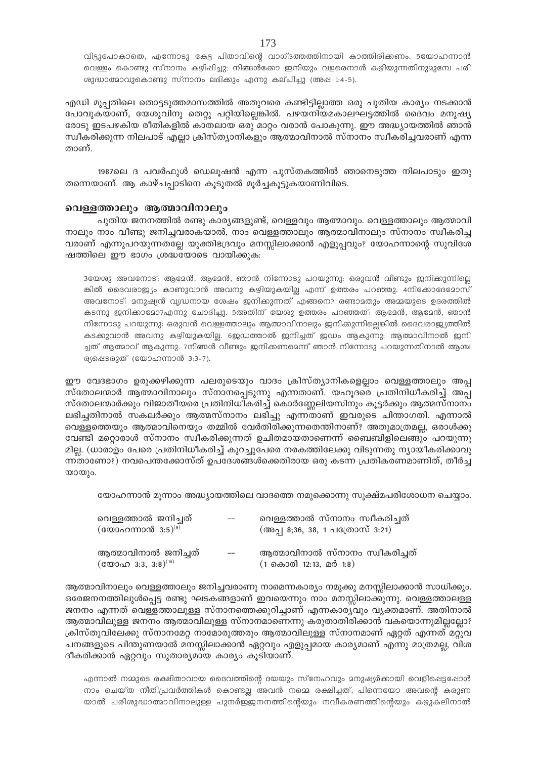വിട്ടുപോകാതെ, എന്നോടു കേട്ട പിതാവിന്റെ വാഗ്ദത്തത്തിനായി കാത്തിരിക്കണം. 5യോഹന്നാൻ വെള്ളം കൊണ്ടു സ്നാനം കഴിപ്പിച്ചു; നിങ്ങൾക്കോ ഇനിയും വളരെനാൾ കഴിയുന്നതിനുമുമ്പേ പരി ശുദ്ധാത്മാവുകൊണ്ടു സ്നാനം ലഭിക്കും എന്നു കല്പിച്ചു (അപ്പ 1:4-5).

എഡി മുപ്പതിലെ തൊട്ടടുത്തമാസത്തിൽ അതുവരെ കണ്ടിട്ടില്ലാത്ത ഒരു പുതിയ കാര്യം നടക്കാൻ പോവുകയാണ്, യേശുവിനു തെറ്റു പറ്റിയില്ലെങ്കിൽ. പഴയനിയമകാലഘട്ടത്തിൽ ദൈവം മനുഷ്യ രോടു ഇടപഴകിയ രീതികളിൽ കാതലായ ഒരു മാറ്റം വരാൻ പോകുന്നു. ഈ അദ്ധ്യായത്തിൽ ഞാൻ സ്ഥീകരിക്കുന്ന നിലപാട് എല്ലാ ക്രിസ്ത്യാനികളും ആത്മാവിനാൽ സ്നാനം സ്ഥീകരിച്ചവരാണ് എന്ന താണ്.

1987ലെ ദ പവർഫുൾ ഡെലൂഷൻ എന്ന പുസ്തകത്തിൽ ഞാനെടുത്ത നിലപാടും ഇതു തന്നെയാണ്. ആ കാഴ്ചപ്പാടിനെ കുടുതൽ മുർച്ചകുട്ടുകയാണിവിടെ.

#### വെള്ളത്താലും ആത്മാവിനാലും

പുതിയ ജനനത്തിൽ രണ്ടു കാര്യങ്ങളുണ്ട്, വെള്ളവും ആത്മാവും. വെള്ളത്താലും ആത്മാവി നാലും നാം വീണ്ടു ജനിച്ചവരാകയാൽ, നാം വെള്ളത്താലും ആത്മാവിനാലും സ്നാനം സ്ഥീകരിച്ച വരാണ് എന്നുപറയുന്നതല്ലേ യുക്തിഭദ്രവും മനസ്സിലാക്കാൻ എളുപ്പവും? യോഹന്നാന്റെ സുവിശേ ഷത്തിലെ ഈ ഭാഗം ശ്രദ്ധയോടെ വായിക്കുക:

3യേശു അവനോട്: ആദേൻ, ആദേൻ, ഞാൻ നിന്നോടു പറയുന്നു: ഒരുവൻ വീണ്ടും ജനിക്കുന്നില്ലെ ങ്കിൽ ദൈവരാജ്യം കാണുവാൻ അവനു കഴിയുകയില്ല എന്ന് ഉത്തരം പറഞ്ഞു. 4നിക്കോദേമോസ് അവനോട്: മനുഷ്യൻ വൃദ്ധനായ ശേഷം ജനിക്കുന്നത് എങ്ങനെ? രണ്ടാമതും അമ്മയുടെ ഉദരത്തിൽ കടന്നു ജനിക്കാമോ?എന്നു ചോദിച്ചു. 5അതിന് യേശു ഉത്തരം പറഞ്ഞത്: ആമേൻ, ആമേൻ, ഞാൻ നിന്നോടു പറയുന്നു: ഒരുവൻ വെള്ളത്താലും ആത്മാവിനാലും ജനിക്കുന്നില്ലെങ്കിൽ ദൈവരാജ്യ്യത്തിൽ കടക്കുവാൻ അവനു കഴിയുകയില്ല. ജെഡത്താൽ ജനിച്ചത് ജഡം ആകുന്നു; ആത്മാവിനാൽ ജനി ച്ചത് ആത്മാവ് ആകുന്നു. 7നിങ്ങൾ വീണ്ടും ജനിക്കണമെന്ന് ഞാൻ നിന്നോടു പറയുന്നതിനാൽ ആശ്ച ര്യപ്പെടരുത് (യോഹന്നാൻ 3:3-7).

ഈ വേദഭാഗം ഉരുക്കഴിക്കുന്ന പലരുടെയും വാദം ക്രിസ്ത്യാനികളെല്ലാം വെള്ളത്താലും അപ്പ സ്തോലന്മാർ ആത്മാവിനാലും സ്നാനപ്പെടുന്നു എന്നതാണ്. യഹൂദരെ പ്രതിനിധീകരിച്ച് അപ്പ സ്തോലന്മാർക്കും വിജാതീയരെ പ്രതിനിധികരിച്ച് കൊർണ്ണേലിയസിനും കൂട്ടർക്കും ആത്മസ്നാനം ലഭിച്ചതിനാൽ സകലർക്കും ആത്മസ്നാനം ലഭിച്ചു എന്നതാണ് ഇവരുടെ ചിന്താഗതി. എന്നാൽ വെള്ളത്തെയും ആത്മാവിനെയും തമ്മിൽ വേർതിരിക്കുന്നതെന്തിനാണ്? അതുമാത്രമല്ല, ഒരാൾക്കു വേണ്ടി മറ്റൊരാൾ സ്നാനം സ്വീകരിക്കുന്നത് ഉചിതമായതാണെന്ന് ബൈബിളിലെങ്ങും പറയുന്നു മില്ല. (ധാരാളം പേരെ പ്രതിനിധീകരിച്ച് കുറച്ചുപേരെ നരകത്തിലേക്കു വിടുന്നതു ന്യായീകരിക്കാവു ന്നതാണോ?) നവപെന്തക്കോസ്ത് ഉപദേശങ്ങൾക്കെതിരായ ഒരു കടന്ന പ്രതികരണമാണിത്, തീർച്ച യായും.

യോഹന്നാൻ മൂന്നാം അദ്ധ്യായത്തിലെ വാദത്തെ നമുക്കൊന്നു സുക്ഷ്മപരിശോധന ചെയ്യാം.

| വെള്ളത്താൽ ജനിച്ചത്<br>(യോഹന്നാൻ $3:5)^{(9)}$ | $-$ | വെള്ളത്താൽ സ്നാനം സ്വീകരിച്ചത്<br>(അപ്പ 8;36, 38, 1 പത്രോസ് 3:21) |
|-----------------------------------------------|-----|-------------------------------------------------------------------|
| ആത്മാവിനാൽ ജനിച്ചത്                           | $-$ | ആത്മാവിനാൽ സ്നാനം സ്വീകരിച്ചത്<br>$(1 \nTheta 000112:13, 20018)$  |

ആത്മാവിനാലും വെള്ളത്താലും ജനിച്ചവരാണു നാമെന്നകാര്യം നമുക്കു മനസ്സിലാക്കാൻ സാധിക്കും. ഒരേജനനത്തിലുൾപ്പെട്ട രണ്ടു ഘടകങ്ങളാണ് ഇവയെന്നും നാം മനസ്സിലാക്കുന്നു. വെള്ളത്താലള്ള ജനനം എന്നത് വെള്ളത്താലുള്ള സ്നാനത്തെക്കുറിച്ചാണ് എന്നകാര്യവും വ്യക്തമാണ്. അതിനാൽ ആത്മാവിലുള്ള ജനനം ആത്മാവിലുള്ള സ്നാനമാണെന്നു കരുതാതിരിക്കാൻ വകയൊന്നുമില്ലല്ലോ? ക്രിസ്തുവിലേക്കു സ്നാനമേറ്റ നാമോരുത്തരും ആത്മാവിലുള്ള സ്നാനമാണ് ഏറ്റത് എന്നത് മറ്റുവ ചനങ്ങളുടെ പിന്തുണയാൽ മനസ്സിലാക്കാൻ ഏറ്റവും എളുപ്പമായ കാര്യമാണ് എന്നു മാത്രമല്ല, വിശ ദീകരിക്കാൻ ഏറ്റവും സുതാര്യമായ കാര്യം കൂടിയാണ്.

എന്നാൽ നമ്മുടെ രക്ഷിതാവായ ദൈവത്തിന്റെ ദയയും സ്നേഹവും മനുഷ്യർക്കായി വെളിപ്പെട്ടപ്പോൾ നാം ചെയ്ത നീതിപ്രവർത്തികൾ കൊണ്ടല്ല അവൻ നമ്മെ രക്ഷിച്ചത്, പിന്നെയോ അവന്റെ കരുണ യാൽ പരിശുദ്ധാത്മാവിനാലുള്ള പുനർഇജനനത്തിന്റെയും നവീകരണത്തിന്റെയും കഴുകലിനാൽ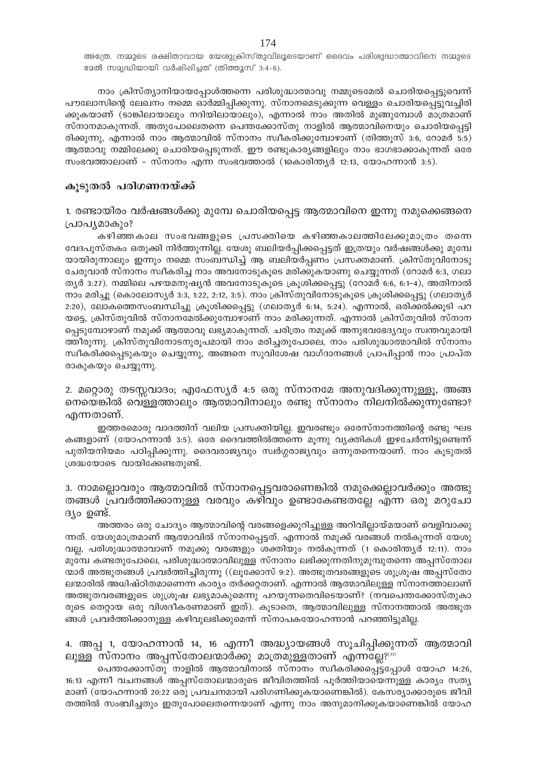അത്രേ. നമ്മുടെ രക്ഷിതാവായ യേശുക്രിസ്തുവിലൂടെയാണ് ദൈവം പരിശുദ്ധാത്മാവിനെ നമ്മുടെ s2ൽ സ2ൃദ്ധിയായി വർഷിപ്പിച്ചത് (തിത്തൂസ് 3:4-6).

നാം ക്രിസ്ത്യാനിയായപ്പോൾത്തന്നെ പരിശുദ്ധാത്മാവു നമ്മുടെമേൽ ചൊരിയപ്പെട്ടുവെന്ന് പൗലോസിന്റെ ലേഖനം നമ്മെ ഓർമ്മിപ്പിക്കുന്നു. സ്നാനമെടുക്കുന്ന വെള്ളം ചൊരിയപ്പെട്ടുവച്ചിരി ക്കുകയാണ് (ടാങ്കിലായാലും നദിയിലായാലും), എന്നാൽ നാം അതിൽ മുങ്ങുമ്പോൾ മാത്രമാണ് സ്നാനമാകുന്നത്. അതുപോലെതന്നെ പെന്തക്കോസ്തു നാളിൽ ആത്മാവിനെയും ചൊരിയപ്പെട്ടി രിക്കുന്നു, എന്നാൽ നാം ആത്മാവിൽ സ്നാനം സ്വീകരിക്കുമ്പോഴാണ് (തിത്തൂസ് 3:6, റോമർ 5:5) ആത്മാവു നമ്മിലേക്കു ചൊരിയപ്പെടുന്നത്. ഈ രണ്ടുകാര്യങ്ങളിലും നാം ഭാഗഭാക്കാകുന്നത് ഒരേ സംഭവത്താലാണ് - സ്നാനം എന്ന സംഭവത്താൽ (1കൊരിന്തൃർ 12:13, യോഹന്നാൻ 3:5).

#### കുടുതൽ പരിഗണനയ്ക്ക്

1. രണ്ടായിരം വർഷങ്ങൾക്കു മുമ്പേ ചൊരിയപ്പെട്ട ആത്മാവിനെ ഇന്നു നമുക്കെങ്ങനെ (പാപൃമാകും?

കഴിഞ്ഞകാല സംഭവങ്ങളുടെ പ്രസക്തിയെ കഴിഞ്ഞകാലത്തിലേക്കുമാത്രം തന്നെ വേദപുസ്തകം ഒതുക്കി നിർത്തുന്നില്ല. യേശു ബലിയർപ്പിക്കപ്പെട്ടത് ഇത്രയും വർഷങ്ങൾക്കു മുമ്പേ യായിരുന്നാലും ഇന്നും നമ്മെ സംബന്ധിച്ച് ആ ബലിയർപ്പണം പ്രസക്തമാണ്. ക്രിസ്തുവിനോടു ചേരുവാൻ സ്നാനം സ്ഥീകരിച്ച നാം അവനോടുകൂടെ മരിക്കുകയാണു ചെയ്യുന്നത് (റോമർ 6:3, ഗലാ തൃർ 3:27). നമ്മിലെ പഴയമനുഷ്യൻ അവനോടുകൂടെ ക്രൂശിക്കപ്പെട്ടു (റോമർ 6:6, 6:1–4), അതിനാൽ നാം മരിച്ചു (കൊലോസ്യർ 3:3, 1:22, 2:12, 3:5). നാം ക്രിസ്തുവിനോടുകൂടെ ക്രൂശിക്കപ്പെട്ടു (ഗലാത്യർ 2:20), ലോകത്തെസംബന്ധിച്ചു ക്രൂശിക്കപ്പെട്ടു (ഗലാതൃർ 6:14, 5:24). എന്നാൽ, ഒരിക്കൽക്കൂടി പറ യട്ടെ, ക്രിസ്തുവിൽ സ്നാനമേൽക്കുമ്പോഴാണ് നാം മരിക്കുന്നത്. എന്നാൽ ക്രിസ്തുവിൽ സ്നാന പ്പെടുമ്പോഴാണ് നമുക്ക് ആത്മാവു ലഭ്യമാകുന്നത്. ചരിത്രം നമുക്ക് അനുഭവഭേദ്യവും സ്വന്തവുമായി ത്തീരുന്നു. ക്രിസ്തുവിനോടനുരൂപമായി നാം മരിച്ചതുപോലെ, നാം പരിശുദ്ധാത്മാവിൽ സ്നാനം സ്ഥീകരിക്കപ്പെടുകയും ചെയ്യുന്നു, അങ്ങനെ സുവിശേഷ വാഗ്ദാനങ്ങൾ പ്രാപിപ്പാൻ നാം പ്രാപ്ത രാകുകയും ചെയ്യുന്നു.

2. മറ്റൊരു തടസ്സവാദം; എഫേസ്യർ 4:5 ഒരു സ്നാനമേ അനുവദിക്കുന്നുള്ളൂ, അങ്ങ നെയെങ്കിൽ വെള്ളത്താലും ആത്മാവിനാലും രണ്ടു സ്നാനം നിലനിൽക്കുന്നുണ്ടോ? എന്നതാണ്.

ഇത്തരമൊരു വാദത്തിന് വലിയ പ്രസക്തിയില്ല. ഇവരണ്ടും ഒരേസ്നാനത്തിന്റെ രണ്ടു ഘട കങ്ങളാണ് (യോഹന്നാൻ 3:5). ഒരേ ദൈവത്തിൽത്തന്നെ മുന്നു വൃക്തികൾ ഇഴചേർന്നിട്ടുണ്ടെന്ന് പുതിയനിയമം പഠിപ്പിക്കുന്നു. ദൈവരാജ്യവും സ്വർഗ്ഗരാജ്യവും ഒന്നുതന്നെയാണ്. നാം കൂടുതൽ  $[0.62]$ ശദ്ധയോടെ വായിക്കേണ്ടതുണ്ട്.

3. നാമല്ലൊവരും ആത്മാവിൽ സ്നാനപ്പെട്ടവരാണെങ്കിൽ നമുക്കെല്ലാവർക്കും അത്ഭു തങ്ങൾ പ്രവർത്തിക്കാനുള്ള വരവും കഴിവും ഉണ്ടാകേണ്ടതല്ലേ എന്ന ഒരു മറുചോ  $\beta$  of  $\beta$ .

അത്തരം ഒരു ചോദ്യം ആത്മാവിന്റെ വരങ്ങളെക്കുറിച്ചുള്ള അറിവില്ലായ്മയാണ് വെളിവാക്കു ന്നത്. യേശുമാത്രമാണ് ആത്മാവിൽ സ്നാനപ്പെട്ടത്. എന്നാൽ നമുക്ക് വരങ്ങൾ നൽകുന്നത് യേശു വല്ല, പരിശുദ്ധാത്മാവാണ് നമുക്കു വരങ്ങളും ശക്തിയും നൽകുന്നത് (1 കൊരിന്തൃർ 12:11). നാം മുമ്പേ കണ്ടതുപോലെ, പരിശുദ്ധാത്മാവിലുള്ള സ്നാനം ലഭിക്കുന്നതിനുമുമ്പുതന്നെ അപ്പസ്തോല ന്മാർ അത്ഭുതങ്ങൾ പ്രവർത്തിച്ചിരുന്നു ((ലൂക്കോസ് 9:2). അത്ഭുതവരങ്ങളുടെ ശുശ്രൂഷ അപ്പസ്തോ ലന്മാരിൽ അധിഷ്ഠിതമാണെന്ന കാര്യം തർക്കറ്റതാണ്. എന്നാൽ ആത്മാവിലുള്ള സ്നാനത്താലാണ് അത്ഭുതവരങ്ങളുടെ ശുശ്രൂഷ ലഭ്യമാകുമെന്നു പറയുന്നതെവിടെയാണ്? (നവപെന്തക്കോസ്തുകാ രുടെ തെറ്റായ ഒരു വിശദീകരണമാണ് ഇത്). കൂടാതെ, ആത്മാവിലുള്ള സ്നാനത്താൽ അത്ഭുത ങ്ങൾ പ്രവർത്തിക്കാനുള്ള കഴിവുലഭിക്കുമെന്ന് സ്നാപകയോഹന്നാൻ പറഞ്ഞിട്ടുമില്ല.

## 4. അപ്പ 1, യോഹന്നാൻ 14, 16 എന്നീ അദ്ധ്യായങ്ങൾ സൂചിപ്പിക്കുന്നത് ആത്മാവി  $\Xi$ ലുള്ള സ്നാനം അപ്പസ്തോലന്മാർക്കു മാത്രമുള്ളതാണ് എന്ന $\overline{\Xi}$ ല്ല? $^{(11)}$

ചെന്തക്കോസ്തു നാളിൽ ആത്മാവിനാൽ സ്നാനം സ്ഥീകരിക്കപ്പെട്ടപ്പോൾ യോഹ 14:26, 16:13 എന്നീ വചനങ്ങൾ അപ്പസ്തോലന്മാരുടെ ജീവിതത്തിൽ പൂർത്തിയായെന്നുള്ള കാര്യം സത്യ മാണ് (യോഹന്നാൻ 20:22 ഒരു പ്രവചനമായി പരിഗണിക്കുകയാണെങ്കിൽ). കേസര്യാക്കാരുടെ ജീവി തത്തിൽ സംഭവിച്ചതും ഇതുപോലെതന്നെയാണ് എന്നു നാം അനുമാനിക്കുകയാണെങ്കിൽ യോഹ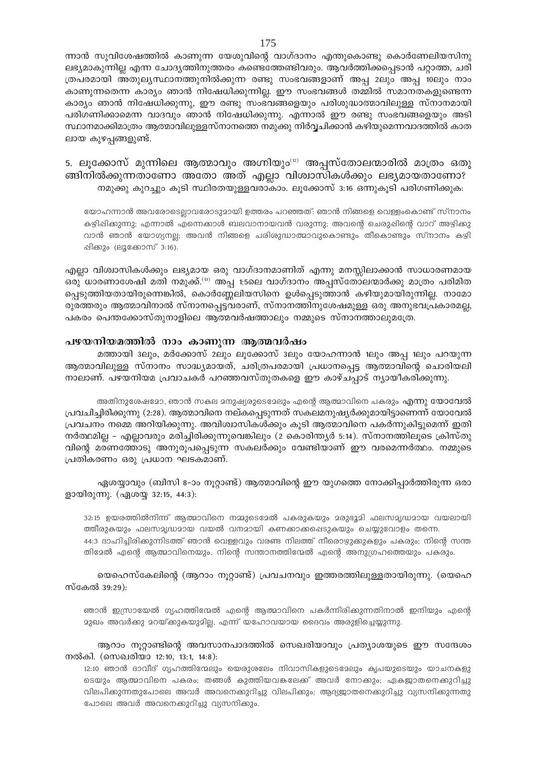ന്നാൻ സുവിശേഷത്തിൽ കാണുന്ന യേശുവിന്റെ വാഗ്ദാനം എന്തുകൊണ്ടു കൊർണേലിയസിനു ലഭ്യമാകുന്നില്ല എന്ന ചോദ്യത്തിനുത്തരം കണ്ടെത്തേണ്ടിവരും. ആവർത്തിക്കപ്പെടാൻ പറ്റാത്ത, ചരി ത്രപരമായി അതുലൃസ്ഥാനത്തുനിൽക്കുന്ന രണ്ടു സംഭവങ്ങളാണ് അപ്പ 2ലും അപ്പ 10ലും നാം കാണുന്നതെന്ന കാര്യം ഞാൻ നിഷേധിക്കുന്നില്ല. ഈ സംഭവങ്ങൾ തമ്മിൽ സമാനതകളുണ്ടെന്ന കാര്യം ഞാൻ നിഷേധിക്കുന്നു, ഈ രണ്ടു സംഭവങ്ങളെയും പരിശുദ്ധാത്മാവിലുള്ള സ്നാനമായി പരിഗണിക്കാമെന്ന വാദവും ഞാൻ നിഷേധിക്കുന്നു. എന്നാൽ ഈ രണ്ടു സംഭവങ്ങളെയും അടി സ്ഥാനമാക്കിമാത്രം ആത്മാവിലുള്ളസ്നാനത്തെ നമുക്കു നിർവ്വചിക്കാൻ കഴിയുമെന്നവാദത്തിൽ കാത ലായ കുഴപ്പങ്ങളുണ്ട്.

5. ലുക്കോസ് മുന്നിലെ ആത്മാവും അഗ്നിയും™ അപ്പസ്തോലന്മാരിൽ മാത്രം ഒതു ങ്ങിനിൽക്കുന്നതാണോ അതോ അത് എല്ലാ വിശ്വാസികൾക്കും ലഭ്യമായതാണോ? നമുക്കു കുറച്ചും കൂടി സ്ഥിരതയുള്ളവരാകാം. ലൂക്കോസ് 3:16 ഒന്നുകൂടി പരിഗണിക്കുക:

യോഹന്നാൻ അവരോട്ടെല്ലാവരോടുമായി ഉത്തരം പറഞ്ഞത്: ഞാൻ നിങ്ങളെ വെള്ളംകൊണ്ട് സ്നാനം കഴിഷിക്കുന്നു; എന്നാൽ എന്നെക്കാൾ ബലവാനായവൻ വരുന്നു; അവന്റെ ചെരുഷിന്റെ വാറ് അഴിക്കു വാൻ ഞാൻ യോഗ്യനല്ല; അവൻ നിങ്ങളെ പരിശുദ്ധാത്മാവുകൊണ്ടും തീകൊണ്ടും സ്നാനം കഴി പ്പിക്കും (ലൂക്കോസ് 3:16).

എല്ലാ വിശ്വാസികൾക്കും ലഭ്യമായ ഒരു വാഗ്ദാനമാണിത് എന്നു മനസ്സിലാക്കാൻ സാധാരണമായ ഒരു ധാരണാശേഷി മതി നമുക്ക്.<sup>ദ്രു</sup> അപു 1:5ലെ വാഗ്ദാനം അപസ്തോലന്മാർക്കു മാത്രം പരിമിത പ്പെടുത്തിയതായിരുന്നെങ്കിൽ, കൊർണ്ണേലിയസിനെ ഉൾപ്പെടുത്താൻ കഴിയുമായിരുന്നില്ല. നാമോ രുരത്തരും ആത്മാവിനാൽ സ്നാനപ്പെട്ടവരാണ്, സ്നാനത്തിനുശേഷമുള്ള ഒരു അനുഭവപ്രകാരമല്ല, പകരം പെന്തക്കോസ്തുനാളിലെ ആത്മവർഷത്താലും നമ്മുടെ സ്നാനത്താലുമത്രേ.

#### പഴയനിയമത്തിൽ നാം കാണുന്ന ആത്മവർഷം

മത്തായി ദലും, മർക്കോസ് 2ലും ലൂക്കോസ് ദലും യോഹന്നാൻ 1ലും അപ്പ 1ലും പറയുന്ന ആത്മാവിലുള്ള സ്നാനം സാദ്ധ്യമായത്, ചരിത്രപരമായി പ്രധാനപ്പെട്ട ആത്മാവിന്റെ ചൊരിയലി നാലാണ്. പഴയനിയമ പ്രവാചകർ പറഞ്ഞവസ്തുതകളെ ഈ കാഴ്ചപ്പാട് ന്യായീകരിക്കുന്നു.

അതിനുശേഷമോ, ഞാൻ സകല മനുഷ്യരുടെമേലും എന്റെ ആത്മാവിനെ പകരും **എന്നു യോവേൽ** പ്രവചിച്ചിരിക്കുന്നു (2:28). ആത്മാവിനെ നല്കപ്പെടുന്നത് സകലമനുഷ്യർക്കുമായിട്ടാണെന്ന് യോവേൽ പ്രവചനം നമ്മെ അറിയിക്കുന്നു. അവിശ്വാസികൾക്കും കുടി ആത്മാവിനെ പകർന്നുകിട്ടുമെന്ന് ഇതി നർത്ഥമില്ല – എല്ലാവരും മരിച്ചിരിക്കുന്നുവെങ്കിലും (2 കൊരിന്ത്യർ 5:14). സ്നാനത്തിലൂടെ ക്രിസ്തു വിന്റെ മരണത്തോടു അനുരൂപപ്പെടുന്ന സകലർക്കും വേണ്ടിയാണ് ഈ വരമെന്നർത്ഥം. നമ്മുടെ പ്രതികരണം ഒരു പ്രധാന ഘടകമാണ്.

ഏശയ്യാവും (ബിസി 8–ാം നൂറ്റാണ്ട്) ആത്മാവിന്റെ ഈ യുഗത്തെ നോക്കിപ്പാർത്തിരുന്ന ഒരാ ളായിരുന്നു. (ഏശയ്യ 32:15, 44:3):

32:15 ഉയരത്തിൽനിന്ന് ആത്മാവിനെ നമ്മുടെമേൽ പകരുകയും മരുഭൂമി ഫലസമൃദ്ധമായ വയലായി ത്തീരുകയും ഫലസമൃദ്ധമായ വയൽ വനമായി കണക്കാക്കപ്പെടുകയും ചെയ്യുവോളം തന്നെ. 44:3 ദാഹിച്ചിരിക്കുന്നിടത്ത് ഞാൻ വെള്ളവും വരണ്ട നിലത്ത് നീരൊഴ്യുക്കുകളും പകരും; നിന്റെ സന്ത തിദേൽ എന്റെ ആത്മാവിനെയും, നിന്റെ സന്താനത്തിന്മേൽ എന്റെ അനുഗ്രഹത്തെയും പകരും.

യെഹെസ്കേലിന്റെ (ആറാം നൂറ്റാണ്ട്) പ്രവചനവും ഇത്തരത്തിലുള്ളതായിരുന്നു. (യെഹെ സ്കേൽ 39:29):

ഞാൻ ഇസ്രായേൽ ഗൃഹത്തിന്മേൽ എന്റെ ആത്മാവിനെ പകർന്നിരിക്കുന്നതിനാൽ ഇനിയും എന്റെ മുഖം അവർക്കു മറയ്ക്കുകയുമില്ല, എന്ന് യഹോവയായ ദൈവം അരുളിച്ചെയ്യുന്നു.

ആറാം നൂറ്റാണ്ടിന്റെ അവസാനപാദത്തിൽ സെഖരിയാവും പ്രത്യാശയുടെ ഈ സന്ദേശം നൽകി. (സെഖരിയാ 12:10, 13:1, 14:8):

12:10 ഞാൻ ദാവീദ് ഗൃഹത്തിന്മേലും യെരുശലേം നിവാസികളുടെമേലും കൃപയുടെയും യാചനകളു ടെയും ആത്മാവിനെ പകരം; തങ്ങൾ കുത്തിയവങ്കലേക്ക് അവർ നോക്കും; ഏകജാതനെക്കുറിച്ചു വിലപിക്കുന്നതുപോലെ അവർ അവനെക്കുറിച്ചു വിലപികും; ആദ്യജാതനെക്കുറിച്ചു വ്യസനിക്കുന്നതു പോലെ അവർ അവനെക്കുറിച്ചു വ്യസനിക്കും.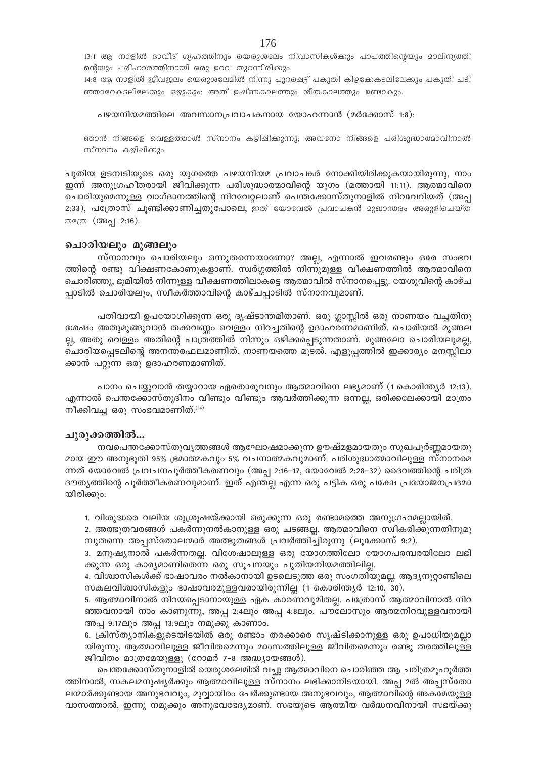13:1 ആ നാളിൽ ദാവീദ് ഗൃഹത്തിനും യെരുശലേം നിവാസികൾക്കും പാപത്തിൻെയും മാലിന്യത്തി ന്റെയും പരിഹാരത്തിനായി ഒരു ഉറവ തുറന്നിരിക്കും.

14:8 ആ നാളിൽ ജീവജലം യെരുശലേമിൽ നിന്നു പുറപ്പെട്ട് പകുതി കിഴക്കേകടലിലേക്കും പകുതി പടി ഞ്ഞാറേകടലിലേക്കും ഒഴുകും; അത് ഉഷ്ണകാലത്തും ശീതകാലത്തും ഉണ്ടാകും.

#### പഴയനിയമത്തിലെ അവസാനപ്രവാചകനായ യോഹന്നാൻ (മർക്കോസ് 1:8):

ഞാൻ നിങ്ങളെ വെള്ളത്താൽ സ്നാനം കഴിപ്പിക്കുന്നു; അവനോ നിങ്ങളെ പരിശുദ്ധാത്മാവിനാൽ സ്നാനം കഴിഷിക്കും

പുതിയ ഉടമ്പടിയുടെ ഒരു യുഗത്തെ പഴയനിയമ പ്രവാചകർ നോക്കിയിരിക്കുകയായിരുന്നു, നാം ഇന്ന് അനുഗ്രഹീതരായി ജീവിക്കുന്ന പരിശുദ്ധാത്മാവിന്റെ യുഗം (മത്തായി 11:11). ആത്മാവിനെ ചൊരിയുമെന്നുള്ള വാഗ്ദാനത്തിന്റെ നിറവേറ്റലാണ് പെന്തക്കോസ്തുനാളിൽ നിറവേറിയത് (അപ്പ 2:33), പത്രോസ് ചൂണ്ടിക്കാണിച്ചതുപോലെ, ഇത് യോവേൽ പ്രവാചകൻ മുഖാന്തരം അരുളിചെയ്ത തത്രേ (അപ്പ 2:16).

#### ചൊരിയലും മുങ്ങലും

സ്നാനവും ചൊരിയലും ഒന്നുതന്നെയാണോ? അല്ല, എന്നാൽ ഇവരണ്ടും ഒരേ സംഭവ ത്തിന്റെ രണ്ടു വീക്ഷണകോണുകളാണ്. സ്വർഗ്ഗത്തിൽ നിന്നുമുള്ള വീക്ഷണത്തിൽ ആത്മാവിനെ ചൊരിഞ്ഞു, ഭൂമിയിൽ നിന്നുള്ള വീക്ഷണത്തിലാകട്ടെ ആത്മാവിൽ സ്നാനപ്പെട്ടു. യേശുവിന്റെ കാഴ്ച പ്പാടിൽ ചൊരിയലും, സ്വീകർത്താവിന്റെ കാഴ്ചപ്പാടിൽ സ്നാനവുമാണ്.

പതിവായി ഉപയോഗിക്കുന്ന ഒരു ദൃഷ്ടാന്തമിതാണ്. ഒരു ഗ്ലാസ്സിൽ ഒരു നാണയം വച്ചതിനു ശേഷം അതുമുങ്ങുവാൻ തക്കവണ്ണം വെള്ളം നിറച്ചതിന്റെ ഉദാഹരണമാണിത്. ചൊരിയൽ മുങ്ങല ല്ല, അതു വെള്ളം അതിന്റെ പാത്രത്തിൽ നിന്നും ഒഴിക്കപ്പെടുന്നതാണ്. മുങ്ങലോ ചൊരിയലുമല്ല, ചൊരിയപ്പെടലിന്റെ അനന്തരഫലമാണിത്, നാണയത്തെ മൂടൽ. എളുപ്പത്തിൽ ഇക്കാര്യം മനസ്സിലാ ക്കാൻ പറ്റുന്ന ഒരു ഉദാഹരണമാണിത്.

പാനം ചെയ്യുവാൻ തയ്യാറായ ഏതൊരുവനും ആത്മാവിനെ ലഭ്യമാണ് (1 കൊരിന്ത്യർ 12:13). എന്നാൽ പെന്തക്കോസ്തുദിനം വീണ്ടും വീണ്ടും ആവർത്തിക്കുന്ന ഒന്നല്ല, ഒരിക്കലേക്കായി മാത്രം നീക്കിവച്ച ഒരു സംഭവമാണിത്. $(14)$ 

#### ചുരുക്കത്തിൽ...

നവപെന്തക്കോസ്തുവൃത്തങ്ങൾ ആഘോഷമാക്കുന്ന ഊഷ്മളമായതും സുഖപൂർണ്ണമായതു മായ ഈ അനുഭൂതി 95% ഭ്രമാത്മകവും 5% വചനാത്മകവുമാണ്. പരിശുദ്ധാത്മാവിലുള്ള സ്നാനമെ ന്നത് യോവേൽ പ്രവചനപൂർത്തീകരണവും (അപ്പ 2:16-17, യോവേൽ 2:28-32) ദൈവത്തിന്റെ ചരിത്ര ദൗത്യത്തിന്റെ പൂർത്തീകരണവുമാണ്. ഇത് എന്തല്ല എന്ന ഒരു പട്ടിക ഒരു പക്ഷേ പ്രയോജനപ്രദമാ യിരിക്കും:

1. വിശുദ്ധരെ വലിയ ശുശ്രൂഷയ്ക്കായി ഒരുക്കുന്ന ഒരു രണ്ടാമത്തെ അനുഗ്രഹമല്ലായിത്.

2. അത്ഭുതവരങ്ങൾ പകർന്നുനൽകാനുള്ള ഒരു ചടങ്ങല്ല. ആത്മാവിനെ സ്ഥീകരിക്കുന്നതിനുമു മ്പുതന്നെ അപ്പസ്തോലന്മാർ അത്ഭുതങ്ങൾ പ്രവർത്തിച്ചിരുന്നു (ലൂക്കോസ് 9:2).

3. മനുഷ്യനാൽ പകർന്നതല്ല. വിശേഷാലുള്ള ഒരു യോഗത്തിലോ യോഗപരമ്പരയിലോ ലഭി ക്കുന്ന ഒരു കാര്യമാണിതെന്ന ഒരു സൂചനയും പുതിയനിയമത്തിലില്ല.

4. വിശ്വാസികൾക്ക് ഭാഷാവരം നൽകാനായി ഉടലെടുത്ത ഒരു സംഗതിയുമല്ല. ആദ്യനൂറ്റാണ്ടിലെ സകലവിശ്വാസികളും ഭാഷാവരമുള്ളവരായിരുന്നില്ല (1 കൊരിന്ത്യർ 12:10, 30).

5. ആത്മാവിനാൽ നിറയപ്പെടാനായുള്ള ഏക കാരണവുമിതല്ല. പത്രോസ് ആത്മാവിനാൽ നിറ ഞ്ഞവനായി നാം കാണുന്നു, അപ്പ 2:4ലും അപ്പ 4:8ലും. പൗലോസും ആത്മനിറവുള്ളവനായി അപ്പ 9:17ലും അപ്പ 13:9ലും നമുക്കു കാണാം.

6. ക്രിസ്ത്യാനികളുടെയിടയിൽ ഒരു രണ്ടാം തരക്കാരെ സൃഷ്ടിക്കാനുള്ള ഒരു ഉപാധിയുമല്ലാ യിരുന്നു. ആത്മാവിലുള്ള ജീവിതമെന്നും മാംസത്തിലുള്ള ജീവിതമെന്നും രണ്ടു തരത്തിലുള്ള ജീവിതം മാത്രമേയുള്ളൂ (റോമർ 7-8 അദ്ധ്യായങ്ങൾ).

പെന്തക്കോസ്തുനാളിൽ യെരുശലേമിൽ വച്ചു ആത്മാവിനെ ചൊരിഞ്ഞ ആ ചരിത്രമൂഹൂർത്ത ത്തിനാൽ, സകലമനുഷ്യർക്കും ആത്മാവിലുള്ള സ്നാനം ലഭിക്കാനിടയായി. അപ്പ 2ൽ അപ്പസ്തോ ലന്മാർക്കുണ്ടായ അനുഭവവും, മുവ്വായിരം പേർക്കുണ്ടായ അനുഭവവും, ആത്മാവിന്റെ അകമേയുള്ള വാസത്താൽ, ഇന്നു നമുക്കും അനുഭവഭേദ്യമാണ്. സഭയുടെ ആത്മീയ വർദ്ധനവിനായി സഭയ്ക്കു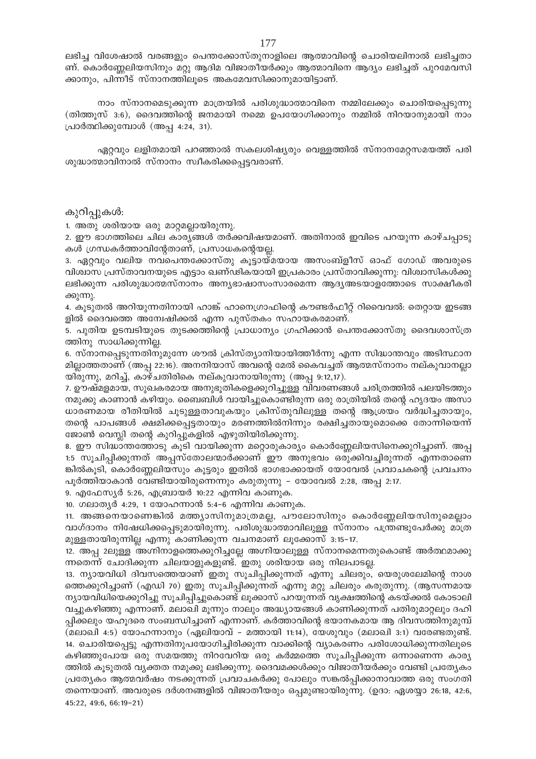ലഭിച്ച വിശേഷാൽ വരങ്ങളും പെന്തക്കോസ്തുനാളിലെ ആത്മാവിന്റെ ചൊരിയലിനാൽ ലഭിച്ചതാ ണ്. കൊർണ്ണേലിയസിനും മറ്റു ആദിമ വിജാതീയർക്കും ആത്മാവിനെ ആദ്യം ലഭിച്ചത് പുറമേവസി ക്കാനും, പിന്നീട് സ്നാനത്തിലൂടെ അകമേവസിക്കാനുമായിട്ടാണ്.

നാം സ്നാനമെടുക്കുന്ന മാത്രയിൽ പരിശുദ്ധാത്മാവിനെ നമ്മിലേക്കും ചൊരിയപ്പെടുന്നു (തിത്തുസ് 3:6), ദൈവത്തിന്റെ ജനമായി നമ്മെ ഉപയോഗിക്കാനും നമ്മിൽ നിറയാനുമായി നാം പ്രാർത്ഥിക്കുമ്പോൾ (അപ്പ 4:24, 31).

ഏറ്റവും ലളിതമായി പറഞ്ഞാൽ സകലശിഷ്യരും വെള്ളത്തിൽ സ്നാനമേറ്റസമയത്ത് പരി ശുദ്ധാത്മാവിനാൽ സ്നാനം സ്വീകരിക്കപ്പെട്ടവരാണ്.

#### കുറിപ്പുകൾ:

1. അതു ശരിയായ ഒരു മാറ്റമല്ലായിരുന്നു.

2. ഈ ഭാഗത്തിലെ ചില കാര്യങ്ങൾ തർക്കവിഷയമാണ്. അതിനാൽ ഇവിടെ പറയുന്ന കാഴ്ചപ്പാടു കൾ ഗ്രന്ധകർത്താവിന്റേതാണ്, പ്രസാധകന്റെയല്ല.

3. ഏറ്റവും വലിയ നവപെന്തക്കോസ്തു കൂട്ടായ്മയായ അസംബ്ളീസ് ഓഫ് ഗോഡ് അവരുടെ വിശ്വാസ പ്രസ്താവനയുടെ എട്ടാം ഖണ്ഢികയായി ഇപ്രകാരം പ്രസ്താവിക്കുന്നു: വിശ്വാസികൾക്കു ലഭിക്കുന്ന പരിശുദ്ധാത്മസ്നാനം അന്യഭാഷാസംസാരമെന്ന ആദ്യഅടയാളത്തോടെ സാക്ഷീകരി ക്കുന്നു.

4. കൂടുതൽ അറിയുന്നതിനായി ഹാങ്ക് ഹാനെഗ്രാഫിന്റെ കൗണ്ടർഫീറ്റ് റിവൈവൽ: തെറ്റായ ഇടങ്ങ ളിൽ ദൈവത്തെ അന്വേഷിക്കൽ എന്ന പുസ്തകം സഹായകരമാണ്.

5. പുതിയ ഉടമ്പടിയുടെ തുടക്കത്തിന്റെ പ്രാധാന്യം ഗ്രഹിക്കാൻ പെന്തക്കോസ്തു ദൈവശാസ്ത്ര ത്തിനു സാധിക്കുന്നില്ല.

6. സ്നാനപ്പെടുന്നതിനുമുന്നേ ശൗൽ ക്രിസ്ത്യാനിയായിത്തീർന്നു എന്ന സിദ്ധാന്തവും അടിസ്ഥാന മില്ലാത്തതാണ് (അപ്പ 22:16). അനനിയാസ് അവന്റെ മേൽ കൈവച്ചത് ആത്മസ്നാനം നല്കുവാനല്ലാ യിരുന്നു, മറിച്ച്, കാഴ്ചതിരികെ നല്കുവാനായിരുന്നു (അപ്പ 9:12,17).

7. ഊഷ്മളമായ, സുഖകരമായ അനുഭൂതികളെക്കുറിച്ചുള്ള വിവരണങ്ങൾ ചരിത്രത്തിൽ പലയിടത്തും നമുക്കു കാണാൻ കഴിയും. ബൈബിൾ വായിച്ചുകൊണ്ടിരുന്ന ഒരു രാത്രിയിൽ തന്റെ ഹൃദയം അസാ ധാരണമായ രീതിയിൽ ചുടുള്ളതാവുകയും ക്രിസ്തുവിലുള്ള തന്റെ ആശ്രയം വർദ്ധിച്ചതായും, തന്റെ പാപങ്ങൾ ക്ഷമിക്കപ്പെട്ടതായും മരണത്തിൽനിന്നും രക്ഷിച്ചതായുമൊക്കെ തോന്നിയെന്ന് ജോൺ വെസ്ലി തന്റെ കുറിപ്പുകളിൽ എഴുതിയിരിക്കുന്നു.

8. ഈ സിദ്ധാന്തത്തോടു കൂടി വായിക്കുന്ന മറ്റൊരുകാര്യം കൊർണ്ണേലിയസിനെക്കുറിച്ചാണ്. അപ്പ 1:5 സൂചിപ്പിക്കുന്നത് അപ്പസ്തോലന്മാർക്കാണ് ഈ അനുഭവം ഒരുക്കിവച്ചിരുന്നത് എന്നതാണെ ങ്കിൽകൂടി, കൊർണ്ണേലിയസും കൂട്ടരും ഇതിൽ ഭാഗഭാക്കായത് യോവേൽ പ്രവാചകന്റെ പ്രവചനം പൂർത്തിയാകാൻ വേണ്ടിയായിരുന്നെന്നും കരുതുന്നു – യോവേൽ 2:28, അപ്പ 2:17.

9. എഫേസ്യർ 5:26, എബ്രായർ 10:22 എന്നിവ കാണുക.

10. ഗലാതൃർ 4:29, 1 യോഹന്നാൻ 5:4-6 എന്നിവ കാണുക.

11. അങ്ങനെയാണെങ്കിൽ മത്ത്യാസിനുമാത്രമല്ല, പൗലോസിനും കൊർണ്ണേലിയസിനുമെല്ലാം വാഗ്ദാനം നിഷേധിക്കപ്പെടുമായിരുന്നു. പരിശുദ്ധാത്മാവിലുള്ള സ്നാനം പന്ത്രണ്ടുപേർക്കു മാത്ര മുള്ളതായിരുന്നില്ല എന്നു കാണിക്കുന്ന വചനമാണ് ലൂക്കോസ് 3:15–17.

12. അപ്പ 2ലുള്ള അഗ്നിനാളത്തെക്കുറിച്ചല്ലേ അഗ്നിയാലുള്ള സ്നാനമെന്നതുകൊണ്ട് അർത്ഥമാക്കു ന്നതെന്ന് ചോദിക്കുന്ന ചിലയാളുകളുണ്ട്. ഇതു ശരിയായ ഒരു നിലപാടല്ല.

13. ന്യായവിധി ദിവസത്തെയാണ് ഇതു സൂചിപ്പിക്കുന്നത് എന്നു ചിലരും, യെരുശലേമിന്റെ നാശ ത്തെക്കുറിച്ചാണ് (എഡി 70) ഇതു സൂചിപ്പിക്കുന്നത് എന്നു മറ്റു ചിലരും കരുതുന്നു. (ആസന്നമായ ന്യായവിധിയെക്കുറിച്ചു സൂചിപ്പിച്ചുകൊണ്ട് ലൂക്കാസ് പറയുന്നത് വൃക്ഷത്തിന്റെ കടയ്ക്കൽ കോടാലി വച്ചുകഴിഞ്ഞു എന്നാണ്. മലാഖി മൂന്നും നാലും അദ്ധ്യായങ്ങൾ കാണിക്കുന്നത് പതിരുമാറ്റലും ദഹി പ്പിക്കലും യഹൂദരെ സംബന്ധിച്ചാണ് എന്നാണ്. കർത്താവിന്റെ ഭയാനകമായ ആ ദിവസത്തിനുമുമ്പ് (മലാഖി 4:5) യോഹന്നാനും (ഏലിയാവ് – മത്തായി 11:14), യേശുവും (മലാഖി 3:1) വരേണ്ടതുണ്ട്. 14. ചൊരിയപ്പെട്ടു എന്നതിനുപയോഗിച്ചിരിക്കുന്ന വാക്കിന്റെ വ്യാകരണം പരിശോധിക്കുന്നതിലൂടെ കഴിഞ്ഞുപോയ ഒരു സമയത്തു നിറവേറിയ ഒരു കർമ്മത്തെ സൂചിപ്പിക്കുന്ന ഒന്നാണെന്ന കാര്യ ത്തിൽ കൂടുതൽ വ്യക്തത നമുക്കു ലഭിക്കുന്നു. ദൈവമക്കൾക്കും വിജാതീയർക്കും വേണ്ടി പ്രത്യേകം പ്രത്യേകം ആത്മവർഷം നടക്കുന്നത് പ്രവാചകർക്കു പോലും സങ്കൽപ്പിക്കാനാവാത്ത ഒരു സംഗതി തന്നെയാണ്. അവരുടെ ദർശനങ്ങളിൽ വിജാതീയരും ഒപ്പമുണ്ടായിരുന്നു. (ഉദാ: ഏശയ്യാ 26:18, 42:6,  $45:22, 49:6, 66:19-21)$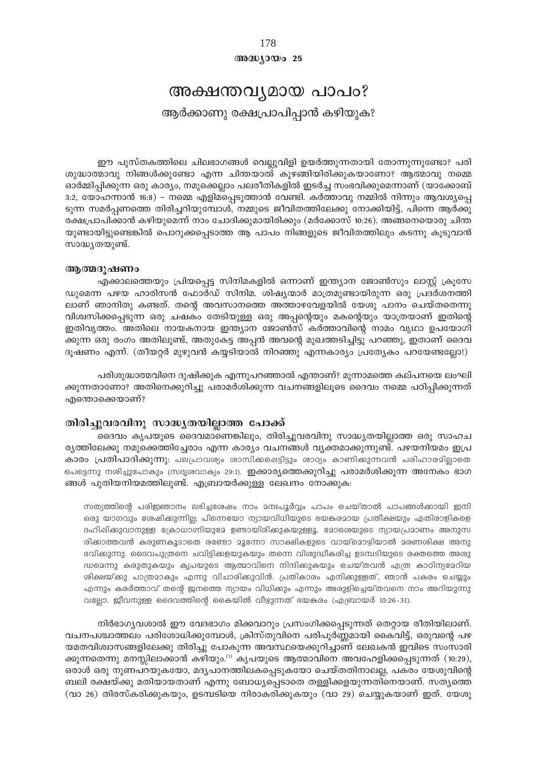## $@0@0J0@025$

## അക്ഷന്തവൃമായ പാപം?

ആർക്കാണു രക്ഷപ്രാപിപ്പാൻ കഴിയുക?

ഈ പുസ്തകത്തിലെ ചിലഭാഗങ്ങൾ വെല്ലുവിളി ഉയർത്തുന്നതായി തോന്നുന്നുണ്ടോ? പരി ശുദ്ധാത്മാവു നിങ്ങൾക്കുണ്ടോ എന്ന ചിന്തയാൽ കുഴങ്ങിയിരിക്കുകയാണോ? ആത്മാവു നമ്മെ ഓർമ്മിപ്പിക്കുന്ന ഒരു കാര്യം, നമുക്കെല്ലാം പലരീതികളിൽ ഇടർച്ച സംഭവിക്കുമെന്നാണ് (യാക്കോബ് 3:2, യോഹന്നാൻ 16:8) – നമ്മെ എളിമപ്പെടുത്താൻ വേണ്ടി. കർത്താവു നമ്മിൽ നിന്നും ആവശ്യപ്പെ ടുന്ന സമർപ്പണത്തെ തിരിച്ചറിയുമ്പോൾ, നമ്മുടെ ജീവിതത്തിലേക്കു നോക്കിയിട്ട്, പിന്നെ ആർക്കു രക്ഷപ്രാപിക്കാൻ കഴിയുമെന്ന് നാം ചോദിക്കുമായിരിക്കും (മർക്കോസ് 10:26). അങ്ങനെയൊരു ചിന്ത യുണ്ടായിട്ടുണ്ടെങ്കിൽ പൊറുക്കപ്പെടാത്ത ആ പാപം നിങ്ങളുടെ ജീവിതത്തിലും കടന്നു കൂടുവാൻ സാദ്ധ്യതയുണ്ട്.

#### ആത്മദുഷണം

എക്കാലത്തെയും പ്രിയപ്പെട്ട സിനിമകളിൽ ഒന്നാണ് ഇന്ത്യാന ജോൺസും ലാസ്റ്റ് ക്രൂസേ ഡുമെന്ന പഴയ ഹാരിസൻ ഫോർഡ് സിനിമ. ശിഷ്യന്മാർ മാത്രമുണ്ടായിരുന്ന ഒരു പ്രദർശനത്തി ലാണ് ഞാനിതു കണ്ടത്. തന്റെ അവസാനത്തെ അത്താഴവേളയിൽ യേശു പാനം ചെയ്തതെന്നു വിശ്വസിക്കപ്പെടുന്ന ഒരു ചഷകം തേടിയുള്ള ഒരു അപ്പന്റെയും മകന്റെയും യാത്രയാണ് ഇതിന്റെ ഇതിവൃത്തം. അതിലെ നായകനായ ഇന്ത്യാന ജോൺസ് കർത്താവിന്റെ നാമം വൃഥാ ഉപയോഗി ക്കുന്ന ഒരു രംഗം അതിലുണ്ട്, അതുകേട്ട അപ്പൻ അവന്റെ മുഖത്തടിച്ചിട്ടു പറഞ്ഞു, ഇതാണ് ദൈവ ദൂഷണം എന്ന്. (തീയറ്റർ മുഴുവൻ കയ്യടിയാൽ നിറഞ്ഞു എന്നകാര്യം പ്രത്യേകം പറയേണ്ടല്ലോ!)

പരിശുദ്ധാത്മവിനെ ദുഷിക്കുക എന്നുപറഞ്ഞാൽ എന്താണ്? മുന്നാമത്തെ കല്പനയെ ലംഘി ക്കുന്നതാണോ? അതിനെക്കുറിച്ചു പരാമർശിക്കുന്ന വചനങ്ങളിലൂടെ ദൈവം നമ്മെ പഠിപ്പിക്കുന്നത് എന്തൊക്കെയാണ്?

### തിരിച്ചുവരവിനു സാദ്ധ്യതയില്ലാത്ത പോക്ക്

ദൈവം കൃപയുടെ ദൈവമാണെങ്കിലും, തിരിച്ചുവരവിനു സാദ്ധ്യതയില്ലാത്ത ഒരു സാഹച രൃത്തിലേക്കു നമുക്കെത്തിച്ചേരാം എന്ന കാര്യം വചനങ്ങൾ വ്യക്തമാക്കുന്നുണ്ട്. പഴയനിയമം ഇപ്ര കാരം പ്രതിപാദിക്കുന്നു: പലപ്രാവര്യം ശാസിക്കപ്പെട്ടിട്ടും ശാഠ്യം കാണിക്കുന്നവൻ പരിഹാരമിലാതെ പെട്ടെന്നു നശിച്ചുപോകും (സദൃശവാക്യം 29:1). ഇക്കാര്യത്തെക്കുറിച്ചു പരാമർശിക്കുന്ന അനേകം ഭാഗ ങ്ങൾ പുതിയനിയമത്തിലുണ്ട്. എബ്രായർക്കുള്ള ലേഖനം നോക്കുക:

സത്യത്തിന്റെ പരിഇഞാനം ലഭിച്ചശേഷം നാം മനഃപൂർവ്വം പാപം ചെയ്താൽ പാപങ്ങൾക്കായി ഇനി ഒരു യാഗവും ശേഷിക്കുന്നില്ല; പിന്നെയോ ന്യായവിധിയുടെ ഭയങ്കരമായ പ്രതീക്ഷയും എതിരാളികളെ ദഹിഷിക്കുവാനുള്ള ക്രോധാന്നിയുമേ ഉണ്ടായിരിക്കുകയുള്ളൂ. മോരെയുടെ ന്യായപ്രമാണം അനുസ രിക്കാത്തവൻ കരുണകൂടാതെ രണ്ടോ മൂന്നോ സാക്ഷികളുടെ വായ്മൊഴിയാൽ മരണശിക്ഷ അനു ഭവിക്കുന്നു. ദൈവപുത്രനെ ചവിട്ടിക്കളയുകയും തന്നെ വിശുദ്ധീകരിച്ച ഉടമ്പടിയുടെ രക്തത്തെ അശു ദ്ധമെന്നു കരുതുകയും കൃപയുടെ ആത്മാവിനെ നിന്ദിക്കുകയും ചെയ്തവൻ എത്ര കാഠിന്യമേറിയ ശിക്ഷയ്ക്കു പാത്രമാകും എന്നു വിചാരിക്കുവിൻ. പ്രതികാരം എനിക്കുള്ളത്, ഞാൻ പകരം ചെയ്യും എന്നും കരർത്താവ് തന്റെ ജനത്തെ ന്യായം വിധിക്കും എന്നും അരുളിച്ചെയ്തവനെ നാം അറിയുന്നു വല്ലോ. ജീവനുള്ള ദൈവത്തിന്റെ കൈയിൽ വീഴുന്നത് ഭയങ്കരം (എബ്രായർ 10:26-31).

നിർഭാഗ്യവശാൽ ഈ വേദഭാഗം മിക്കവാറും പ്രസംഗിക്കപ്പെടുന്നത് തെറ്റായ രീതിയിലാണ്. വചനപശ്ചാത്തലം പരിശോധിക്കുമ്പോൾ, ക്രിസ്തുവിനെ പരിപൂർണ്ണമായി കൈവിട്ട്, ഒരുവന്റെ പഴ യമതവിശ്വാസങ്ങളിലേക്കു തിരിച്ചു പോകുന്ന അവസ്ഥയെക്കുറിച്ചാണ് ലേഖകൻ ഇവിടെ സംസാരി ക്കുന്നതെന്നു മനസ്സിലാക്കാൻ കഴിയും.<sup>(1)</sup> കൃപയുടെ ആത്മാവിനെ അവഹേളിക്കപ്പെടുന്നത് (10:29), ഒരാൾ ഒരു നുണപറയുകയോ, മദ്യപാനത്തിലകപ്പെടുകയോ ചെയ്തതിനാലല്ല, പകരം യേശുവിന്റെ ബലി രക്ഷയ്ക്കു മതിയായതാണ് എന്നു ബോധ്യപ്പെടാതെ തള്ളിക്കളയുന്നതിനെയാണ്. സത്യത്തെ (വാ 26) തിരസ്കരിക്കുകയും, ഉടമ്പടിയെ നിരാകരിക്കുകയും (വാ 29) ചെയ്യുകയാണ് ഇത്. യേശു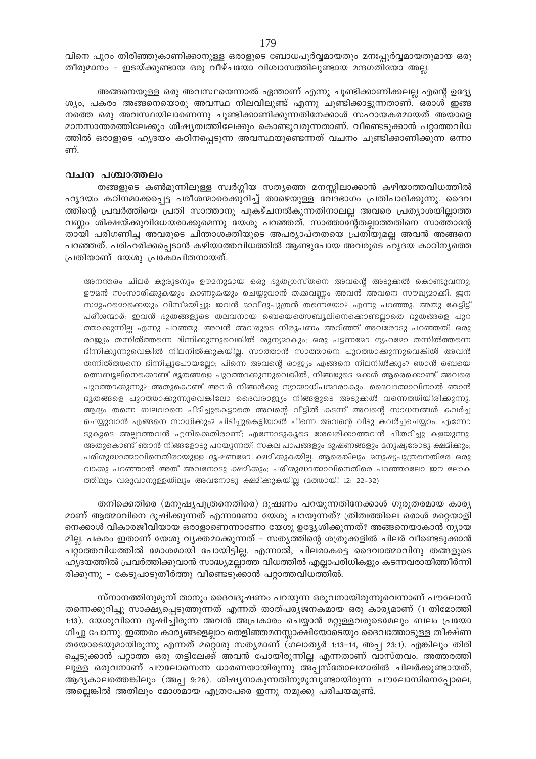വിനെ പുറം തിരിഞ്ഞുകാണിക്കാനുള്ള ഒരാളുടെ ബോധപൂർവ്വമായതും മനഃപ്പൂർവ്വമായതുമായ ഒരു തീരുമാനം – ഇടയ്ക്കുണ്ടായ ഒരു വീഴ്ചയോ വിശ്വാസത്തിലുണ്ടായ മന്ദഗതിയോ അല്ല.

അങ്ങനെയുള്ള ഒരു അവസ്ഥയെന്നാൽ ഏന്താണ് എന്നു ചൂണ്ടിക്കാണിക്കലല്ല എന്റെ ഉദ്ദ്യേ ശ്യം, പകരം അങ്ങനെയൊരൂ അവസ്ഥ നിലവിലുണ്ട് എന്നു ചൂണ്ടിക്കാട്ടുന്നതാണ്. ഒരാൾ ഇങ്ങ നത്തെ ഒരു അവസ്ഥയിലാണെന്നു ചുണ്ടിക്കാണിക്കുന്നതിനേക്കാൾ സഹായകരമായത് അയാളെ മാനസാന്തരത്തിലേക്കും ശിഷ്യത്വത്തിലേക്കും കൊണ്ടുവരുന്നതാണ്. വീണ്ടെടുക്കാൻ പറ്റാത്തവിധ ത്തിൽ ഒരാളുടെ ഹൃദയം കഠിനപ്പെടുന്ന അവസ്ഥയുണ്ടെന്നത് വചനം ചൂണ്ടിക്കാണിക്കുന്ന ഒന്നാ ണ്.

#### വചന പശ്ചാത്തലം

തങ്ങളുടെ കൺമുന്നിലുള്ള സ്വർഗ്ഗീയ സത്യത്തെ മനസ്സിലാക്കാൻ കഴിയാത്തവിധത്തിൽ ഹൃദയം കഠിനമാക്കപ്പെട്ട പരീശന്മാരെക്കുറിച്ച് താഴെയുള്ള വേദഭാഗം പ്രതിപാദിക്കുന്നു. ദൈവ ത്തിന്റെ പ്രവർത്തിയെ പ്രതി സാത്താനു പുകഴ്ചനൽകുന്നതിനാലല്ല അവരെ പ്രത്യാശയില്ലാത്ത വണ്ണം ശിക്ഷയ്ക്കുവിധേയരാക്കുമെന്നു യേശു പറഞ്ഞത്. സാത്താന്റേതല്ലാത്തതിനെ സാത്താന്റേ തായി പരിഗണിച്ച അവരുടെ ചിന്താശക്തിയുടെ അപര്യാപ്തതയെ പ്രതിയുമല്ല അവൻ അങ്ങനെ പറഞ്ഞത്. പരിഹരിക്കപ്പെടാൻ കഴിയാത്തവിധത്തിൽ ആണ്ടുപോയ അവരുടെ ഹൃദയ കാഠിനൃത്തെ പ്രതിയാണ് യേശു പ്രകോപിതനായത്.

അനന്തരം ചിലർ കുരുടനും ഊമനുമായ ഒരു ഭൂതഗ്രസ്തനെ അവന്റെ അടുക്കൽ കൊണ്ടുവന്നു; ഊദൻ സംസാരിക്കുകയും കാണുകയും ചെയ്യുവാൻ തക്കവണ്ണം അവൻ അവനെ സൗഖ്യമാക്കി. ജന സമൂഹമൊക്കെയും വിസ്മയിച്ചു. ഇവൻ ദാവീദുപുത്രൻ തന്നെയോ? എന്നു പറഞ്ഞു. അതു കേട്ടിട്ട് പരീശന്മാർ: ഇവൻ ഭൂതങ്ങളുടെ തലവനായ ബെയെത്സെബുലിനെക്കൊണ്ടല്ലാതെ ഭൂതങ്ങളെ പുറ ത്താക്കുന്നില്ല എന്നു പറഞ്ഞു. അവൻ അവരുടെ നിരൂപണം അറിഞ്ഞ് അവരോടു പറഞ്ഞത്: ഒരു രാജ്യം തന്നിൽത്തന്നെ ഭിന്നിക്കുന്നുവെങ്കിൽ ശൂന്യമാകും; ഒരു പട്ടണമോ ഗൃഹമോ തന്നിൽത്തന്നെ ഭിന്നിക്കുന്നുവെങ്കിൽ നിലനിൽക്കുകയില്ല. സാത്താൻ സാത്താനെ പുറത്താക്കുന്നുവെങ്കിൽ അവൻ തന്നിൽത്തന്നെ ഭിന്നിച്ചുപോയല്ലോ; പിന്നെ അവന്റെ രാജ്യം എങ്ങനെ നിലനിൽക്കും? ഞാൻ ബെയെ ത്സെബുലിനെക്കൊണ്ട് ഭൂതങ്ങളെ പുറത്താക്കുന്നുവെങ്കിൽ, നിങ്ങളുടെ മക്കൾ ആരെക്കൊണ്ട് അവരെ പുറത്താക്കുന്നു? അതുകൊണ്ട് അവർ നിങ്ങൾക്കു ന്യായാധിപന്മാരാകും. ദൈവാത്മാവിനാൽ ഞാൻ ഭൂതങ്ങളെ പുറത്താക്കുന്നുവെങ്കിലോ ദൈവരാജ്യം നിങ്ങളുടെ അടുക്കൽ വന്നെത്തിയിരിക്കുന്നു. ആദ്യം തന്നെ ബലവാനെ പിടിച്ചുകെട്ടാതെ അവന്റെ വീട്ടിൽ കടന്ന് അവന്റെ സാധനങ്ങൾ കവർച്ച ചെയ്യുവാൻ എങ്ങനെ സാധിക്കും? പിടിച്ചുകെട്ടിയാൽ പിന്നെ അവന്റെ വീടു കവർച്ചചെയ്യാം. എന്നോ ടുകൂടെ അല്ലാത്തവൻ എനിക്കെതിരാണ്; എന്നോടുകൂടെ ശേഖരിക്കാത്തവൻ ചിതറിച്ചു കളയുന്നു. അതുകൊണ്ട് ഞാൻ നിങ്ങളോടു പറയുന്നത്: സകല പാപങ്ങളും ദൂഷണങ്ങളും മനുഷ്യരോടു ക്ഷമിക്കും; പരിശുദ്ധാത്മാവിനെതിരായുള്ള ദുഷണമോ ക്ഷമിക്കുകയില്ല. ആരെങ്കിലും മനുഷ്യപുത്രനെതിരേ ഒരു വാക്കു പറഞ്ഞാൽ അത് അവനോടു ക്ഷമിക്കും; പരിശുദ്ധാത്മാവിനെതിരെ പറഞ്ഞാലോ ഈ ലോക ത്തിലും വരുവാനുള്ളതിലും അവനോടു ക്ഷമിക്കുകയില്ല (മത്തായി 12: 22-32)

തനിക്കെതിരെ (മനുഷ്യപുത്രനെതിരെ) ദൂഷണം പറയുന്നതിനേക്കാൾ ഗുരുതരമായ കാര്യ മാണ് ആത്മാവിനെ ദുഷിക്കുന്നത് എന്നാണോ യേശു പറയുന്നത്? ത്രിത്വത്തിലെ ഒരാൾ മറ്റെയാളി നെക്കാൾ വികാരജീവിയായ ഒരാളാണെന്നാണോ യേശു ഉദ്ദ്യേശിക്കുന്നത്? അങ്ങനെയാകാൻ ന്യായ മില്ല. പകരം ഇതാണ് യേശു വ്യക്തമാക്കുന്നത് – സത്യത്തിന്റെ ശത്രുക്കളിൽ ചിലർ വീണ്ടെടുക്കാൻ പറ്റാത്തവിധത്തിൽ മോശമായി പോയിട്ടില്ല. എന്നാൽ, ചിലരാകട്ടെ ദൈവാത്മാവിനു തങ്ങളുടെ ഹൃദയത്തിൽ പ്രവർത്തിക്കുവാൻ സാദ്ധ്യമല്ലാത്ത വിധത്തിൽ എല്ലാപരിധികളും കടന്നവരായിത്തീർന്നി രിക്കുന്നു – കേടുപാടുതീർത്തു വീണ്ടെടുക്കാൻ പറ്റാത്തവിധത്തിൽ.

സ്നാനത്തിനുമുമ്പ് താനും ദൈവദൂഷണം പറയുന്ന ഒരുവനായിരുന്നുവെന്നാണ് പൗലോസ് തന്നെക്കുറിച്ചു സാക്ഷ്യപ്പെടുത്തുന്നത് എന്നത് താത്പര്യജനകമായ ഒരു കാര്യമാണ് (1 തിമോത്തി 1:13). യേശുവിന്നെ ദുഷിച്ചിരുന്ന അവൻ അപ്രകാരം ചെയ്യാൻ മറ്റുള്ളവരുടെമേലും ബലം പ്രയോ ഗിച്ചു പോന്നു. ഇത്തരം കാര്യങ്ങളെല്ലാം തെളിഞ്ഞമനസ്സാക്ഷിയോടെയും ദൈവത്തോടുള്ള തീക്ഷ്ണ തയോടെയുമായിരുന്നു എന്നത് മറ്റൊരു സത്യമാണ് (ഗലാതൃർ 1:13-14, അപ്പ 23:1). എങ്കിലും തിരി ച്ചെടുക്കാൻ പറ്റാത്ത ഒരു തട്ടിലേക്ക് അവൻ പോയിരുന്നില്ല എന്നതാണ് വാസ്തവം. അത്തരത്തി ലുള്ള ഒരുവനാണ് പൗലോസെന്ന ധാരണയായിരുന്നു അപ്പസ്തോലന്മാരിൽ ചിലർക്കുണ്ടായത്, ആദ്യകാലത്തെങ്കിലും (അപ്പ 9:26). ശിഷ്യനാകുന്നതിനുമുമ്പുണ്ടായിരുന്ന പൗലോസിനെപ്പോലെ, അല്ലെങ്കിൽ അതിലും മോശമായ എത്രപേരെ ഇന്നു നമുക്കു പരിചയമുണ്ട്.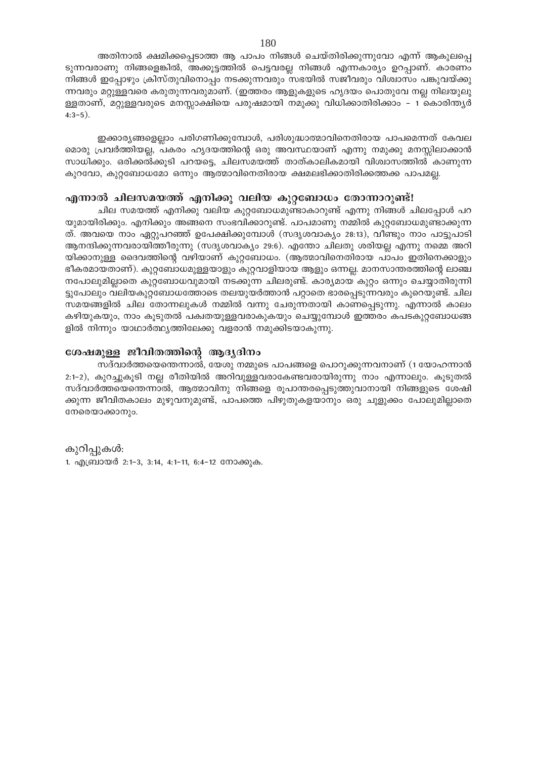അതിനാൽ ക്ഷമിക്കപ്പെടാത്ത ആ പാപം നിങ്ങൾ ചെയ്തിരിക്കുന്നുവോ എന്ന് ആകുലപ്പെ ടുന്നവരാണു നിങ്ങളെങ്കിൽ, അക്കൂട്ടത്തിൽ പെട്ടവരല്ല നിങ്ങൾ എന്നകാര്യം ഉറപ്പാണ്. കാരണം നിങ്ങൾ ഇപ്പോഴും ക്രിസ്തുവിനൊപ്പം നടക്കുന്നവരും സഭയിൽ സജീവരും വിശ്വാസം പങ്കുവയ്ക്കു ന്നവരും മറ്റുള്ളവരെ കരുതുന്നവരുമാണ്. (ഇത്തരം ആളുകളുടെ ഹൃദയം പൊതുവേ നല്ല നിലയുലു ള്ളതാണ്, മറ്റുള്ളവരുടെ മനസ്സാക്ഷിയെ പരുഷമായി നമുക്കു വിധിക്കാതിരിക്കാം – 1 കൊരിന്ത്യർ  $4:3-5$ ).

ഇക്കാര്യങ്ങളെല്ലാം പരിഗണിക്കുമ്പോൾ, പരിശുദ്ധാത്മാവിനെതിരായ പാപമെന്നത് കേവല മൊരു പ്രവർത്തിയല്ല, പകരം ഹൃദയത്തിന്റെ ഒരു അവസ്ഥയാണ് എന്നു നമുക്കു മനസ്സിലാക്കാൻ സാധിക്കും. ഒരിക്കൽക്കൂടി പറയട്ടെ, ചിലസമയത്ത് താത്കാലികമായി വിശ്വാസത്തിൽ കാണുന്ന കുറവോ, കുറ്റബോധമോ ഒന്നും ആത്മാവിനെതിരായ ക്ഷമലഭിക്കാതിരിക്കത്തക്ക പാപമല്ല.

## എന്നാൽ ചിലസമയത്ത് എനിക്കു വലിയ കുറ്റബോധം തോന്നാറുണ്ട്!

ചില സമയത്ത് എനിക്കു വലിയ കുറ്റബോധമുണ്ടാകാറുണ്ട് എന്നു നിങ്ങൾ ചിലപ്പോൾ പറ യുമായിരിക്കും. എനിക്കും അങ്ങനെ സംഭവിക്കാറുണ്ട്. പാപമാണു നമ്മിൽ കുറ്റബോധമുണ്ടാക്കുന്ന ത്. അവയെ നാം ഏറ്റുപറഞ്ഞ് ഉപേക്ഷിക്കുമ്പോൾ (സദൃശവാകൃം 28:13), വീണ്ടും നാം പാട്ടുപാടി ആനന്ദിക്കുന്നവരായിത്തീരുന്നു (സദൃശവാക്യം 29:6). എന്തോ ചിലതു ശരിയല്ല എന്നു നമ്മെ അറി യിക്കാനുള്ള ദൈവത്തിന്റെ വഴിയാണ് കുറ്റബോധം. (ആത്മാവിനെതിരായ പാപം ഇതിനെക്കാളും ഭീകരമായതാണ്). കുറ്റബോധമുള്ളയാളും കുറ്റവാളിയായ ആളും ഒന്നല്ല. മാനസാന്തരത്തിന്റെ ലാഞ്ച നപോലുമില്ലാതെ കുറ്റബോധവുമായി നടക്കുന്ന ചിലരുണ്ട്. കാര്യമായ കുറ്റം ഒന്നും ചെയ്യാതിരുന്നി ട്ടുപോലും വലിയകുറ്റബോധത്തോടെ തലയുയർത്താൻ പറ്റാതെ ഭാരപ്പെടുന്നവരും കുറെയുണ്ട്. ചില സമയങ്ങളിൽ ചില തോന്നലുകൾ നമ്മിൽ വന്നു ചേരുന്നതായി കാണപ്പെടുന്നു. എന്നാൽ കാലം കഴിയുകയും, നാം കൂടുതൽ പക്വതയുള്ളവരാകുകയും ചെയ്യുമ്പോൾ ഇത്തരം കപടകുറ്റബോധങ്ങ ളിൽ നിന്നും യാഥാർത്ഥ്യത്തിലേക്കു വളരാൻ നമുക്കിടയാകുന്നു.

## ശേഷമുള്ള ജീവിതത്തിന്റെ ആദ്യദിനം

സദ്വാർത്തയെന്തെന്നാൽ, യേശു നമ്മുടെ പാപങ്ങളെ പൊറുക്കുന്നവനാണ് (1 യോഹന്നാൻ 2:1-2), കുറച്ചുകൂടി നല്ല രീതിയിൽ അറിവുള്ളവരാകേണ്ടവരായിരുന്നു നാം എന്നാലും. കൂടുതൽ സദ്വാർത്തയെന്തെന്നാൽ, ആത്മാവിനു നിങ്ങളെ രൂപാന്തരപ്പെടുത്തുവാനായി നിങ്ങളുടെ ശേഷി ക്കുന്ന ജീവിതകാലം മുഴുവനുമുണ്ട്, പാപത്തെ പിഴുതുകളയാനും ഒരു ചുളുക്കം പോലുമില്ലാതെ നേരെയാക്കാനും.

കുറിപ്പുകൾ:

1. എബ്രായർ 2:1-3, 3:14, 4:1-11, 6:4-12 നോക്കുക.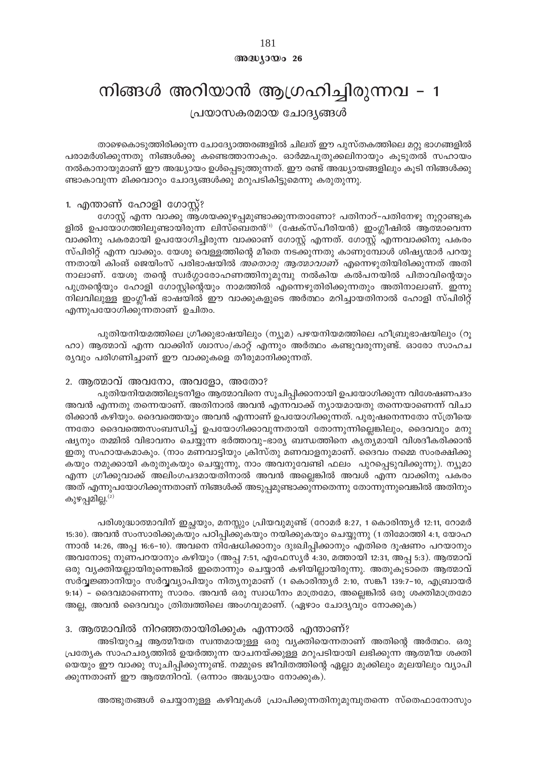## $@0@0y0@026$

# നിങ്ങൾ അറിയാൻ ആഗ്രഹിച്ചിരുന്നവ - 1

പ്രയാസകരമായ ചോദ്യങ്ങൾ

താഴെകൊടുത്തിരിക്കുന്ന ചോദ്യോത്തരങ്ങളിൽ ചിലത് ഈ പുസ്തകത്തിലെ മറ്റു ഭാഗങ്ങളിൽ പരാമർശിക്കുന്നതു നിങ്ങൾക്കു കണ്ടെത്താനാകും. ഓർമ്മപുതുക്കലിനായും കുടുതൽ സഹായം നൽകാനായുമാണ് ഈ അദ്ധ്യായം ഉൾപ്പെടുത്തുന്നത്. ഈ രണ്ട് അദ്ധ്യായങ്ങളിലും കൂടി നിങ്ങൾക്കു ണ്ടാകാവുന്ന മിക്കവാറും ചോദ്യങ്ങൾക്കു മറുപടികിട്ടുമെന്നു കരുതുന്നു.

## 1. എന്താണ് ഹോളി ഗോസ്റ്റ്?

ഗോസ്റ്റ് എന്ന വാക്കു ആശയക്കുഴപ്പമുണ്ടാക്കുന്നതാണോ? പതിനാറ്–പതിനേഴു നൂറ്റാണ്ടുക ളിൽ ഉപയോഗത്തിലുണ്ടായിരുന്ന ലിസ്ബെതൻ<sup>(1)</sup> (ഷേക്സ്പീരിയൻ) ഇംഗ്ലീഷിൽ ആത്മാവെന്ന വാക്കിനു പകരമായി ഉപയോഗിച്ചിരുന്ന വാക്കാണ് ഗോസ്റ്റ് എന്നത്. ഗോസ്റ്റ് എന്നവാക്കിനു പകരം സ്പിരിറ്റ് എന്ന വാക്കും. യേശു വെള്ളത്തിന്റെ മീതെ നടക്കുന്നതു കാണുമ്പോൾ ശിഷ്യന്മാർ പറയു ന്നതായി കിംങ് ജെയിംസ് പരിഭാഷയിൽ *അതൊരു ആത്മാവാണ്* എന്നെഴുതിയിരിക്കുന്നത് അതി നാലാണ്. യേശു തന്റെ സ്വർഗ്ഗാരോഹണത്തിനുമുമ്പു നൽകിയ കൽപനയിൽ പിതാവിന്റെയും പുത്രന്റെയും ഹോളി ഗോസ്റ്റിന്റെയും നാമത്തിൽ എന്നെഴുതിരിക്കുന്നതും അതിനാലാണ്. ഇന്നു നിലവിലുള്ള ഇംഗ്ലീഷ് ഭാഷയിൽ ഈ വാക്കുകളുടെ അർത്ഥം മറിച്ചായതിനാൽ ഹോളി സ്പിരിറ്റ് എന്നുപയോഗിക്കുന്നതാണ് ഉചിതം.

പുതിയനിയമത്തിലെ ഗ്രീക്കുഭാഷയിലും (ന്യൂമ) പഴയനിയമത്തിലെ ഹീബ്രൂഭാഷയിലും (റൂ ഹാ) ആത്മാവ് എന്ന വാക്കിന് ശ്വാസം/കാറ്റ് എന്നും അർത്ഥം കണ്ടുവരുന്നുണ്ട്. ഓരോ സാഹച ര്യവും പരിഗണിച്ചാണ് ഈ വാക്കുകളെ തീരുമാനിക്കുന്നത്.

## 2. ആത്മാവ് അവനോ, അവളോ, അതോ?

പുതിയനിയമത്തിലൂടനീളം ആത്മാവിനെ സൂചിപ്പിക്കാനായി ഉപയോഗിക്കുന്ന വിശേഷണപദം അവൻ എന്നതു തന്നെയാണ്. അതിനാൽ അവൻ എന്നവാക്ക് ന്യായമായതു തന്നെയാണെന്ന് വിചാ രിക്കാൻ കഴിയും. ദൈവത്തെയും അവൻ എന്നാണ് ഉപയോഗിക്കുന്നത്. പുരുഷനെന്നതോ സ്ത്രീയെ ന്നതോ ദൈവത്തെസംബന്ധിച്ച് ഉപയോഗിക്കാവുന്നതായി തോന്നുന്നില്ലെങ്കിലും, ദൈവവും മനു ഷ്യനും തമ്മിൽ വിഭാവനം ചെയ്യുന്ന ഭർത്താവു–ഭാര്യ ബന്ധത്തിനെ കൃത്യമായി വിശദീകരിക്കാൻ ഇതു സഹായകമാകും. (നാം മണവാട്ടിയും ക്രിസ്തു മണവാളനുമാണ്. ദൈവം നമ്മെ സംരക്ഷിക്കു കയും നമുക്കായി കരുതുകയും ചെയ്യുന്നു, നാം അവനുവേണ്ടി ഫലം പുറപ്പെടുവിക്കുന്നു). ന്യൂമാ എന്ന ഗ്രീക്കുവാക്ക് അലിംഗപദമായതിനാൽ അവൻ അല്ലെങ്കിൽ അവൾ എന്ന വാക്കിനു പകരം അത് എന്നുപയോഗിക്കുന്നതാണ് നിങ്ങൾക്ക് അടുപ്പമുണ്ടാക്കുന്നതെന്നു തോന്നുന്നുവെങ്കിൽ അതിനും കുഴപ്പമില്ല. $^{(2)}$ 

പരിശുദ്ധാത്മാവിന് ഇച്ഛയും, മനസ്സും പ്രിയവുമുണ്ട് (റോമർ 8:27, 1 കൊരിന്ത്യർ 12:11, റോമർ 15:30). അവൻ സംസാരിക്കുകയും പഠിപ്പിക്കുകയും നയിക്കുകയും ചെയ്യുന്നു (1 തിമോത്തി 4:1, യോഹ ന്നാൻ 14:26, അപ്പ 16:6–10). അവനെ നിഷേധിക്കാനും ദുഃഖിപ്പിക്കാനും എതിരെ ദൂഷണം പറയാനും അവനോടു നുണപറയാനും കഴിയും (അപ്പ 7:51, എഫേസ്യർ 4:30, മത്തായി 12:31, അപ്പ 5:3). ആത്മാവ് ഒരു വ്യക്തിയല്ലായിരുന്നെങ്കിൽ ഇതൊന്നും ചെയ്യാൻ കഴിയില്ലായിരുന്നു. അതുകൂടാതെ ആത്മാവ് സർവ്വജ്ഞാനിയും സർവ്വവ്യാപിയും നിത്യനുമാണ് (1 കൊരിന്ത്യർ 2:10, സങ്കീ 139:7-10, എബ്രായർ 9:14) - ദൈവമാണെന്നു സാരം. അവൻ ഒരു സ്വാധീനം മാത്രമോ, അല്ലെങ്കിൽ ഒരു ശക്തിമാത്രമോ അല്ല, അവൻ ദൈവവും ത്രിത്വത്തിലെ അംഗവുമാണ്. (ഏഴാം ചോദ്യവും നോക്കുക)

## 3. ആത്മാവിൽ നിറഞ്ഞതായിരിക്കുക എന്നാൽ എന്താണ്?

അടിയുറച്ച ആത്മീയത സ്വന്തമായുള്ള ഒരു വ്യക്തിയെന്നതാണ് അതിന്റെ അർത്ഥം. ഒരു പ്രത്യേക സാഹചര്യത്തിൽ ഉയർത്തുന്ന യാചനയ്ക്കുള്ള മറുപടിയായി ലഭിക്കുന്ന ആത്മീയ ശക്തി യെയും ഈ വാക്കു സൂചിപ്പിക്കുന്നുണ്ട്. നമ്മുടെ ജീവിതത്തിന്റെ ഏല്ലാ മുക്കിലും മൂലയിലും വ്യാപി ക്കുന്നതാണ് ഈ ആത്മനിറവ്. (ഒന്നാം അദ്ധ്യായം നോക്കുക).

അത്ഭുതങ്ങൾ ചെയ്യാനുള്ള കഴിവുകൾ പ്രാപിക്കുന്നതിനുമുമ്പുതന്നെ സ്തെഫാനോസും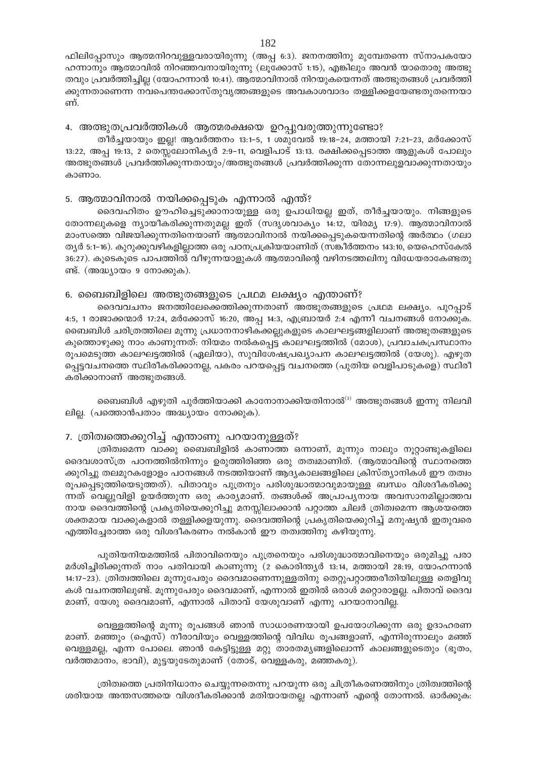ഫിലിപ്പോസും ആത്മനിറവുള്ളവരായിരുന്നു (അപ്പ 6:3). ജനനത്തിനു മുമ്പേതന്നെ സ്നാപകയോ ഹന്നാനും ആത്മാവിൽ നിറഞ്ഞവനായിരുന്നു (ലൂക്കോസ് 1:15), എങ്കിലും അവൻ യാതൊരു അത്ഭു തവും പ്രവർത്തിച്ചില്ല (യോഹന്നാൻ 10:41). ആത്മാവിനാൽ നിറയുകയെന്നത് അത്ഭുതങ്ങൾ പ്രവർത്തി ക്കുന്നതാണെന്ന നവപെന്തക്കോസ്തുവൃത്തങ്ങളുടെ അവകാശവാദം തള്ളിക്കളയേണ്ടതുതന്നെയാ ണ്.

4. അത്ഭുതപ്രവർത്തികൾ ആത്മരക്ഷയെ ഉറപ്പുവരുത്തുന്നുണ്ടോ?

തീർച്ചയായും ഇല്ല! ആവർത്തനം 13:1–5, 1 ശമുവേൽ 19:18–24, മത്തായി 7:21–23, മർക്കോസ് 13:22, അപ്പ 19:13, 2 തെസ്സലോനികൃർ 2:9–11, വെളിപാട് 13:13. രക്ഷിക്കപ്പെടാത്ത ആളുകൾ പോലും അത്ഭുതങ്ങൾ പ്രവർത്തിക്കുന്നതായും/അത്ഭുതങ്ങൾ പ്രവർത്തിക്കുന്ന തോന്നലുളവാക്കുന്നതായും കാണാപ

## 5. ആത്മാവിനാൽ നയിക്കപ്പെടുക എന്നാൽ എന്ത്?

ദൈവഹിതം ഊഹിച്ചെടുക്കാനായുള്ള ഒരു ഉപാധിയല്ല ഇത്, തീർച്ചയായും. നിങ്ങളുടെ തോന്നലുകളെ ന്യായീകരിക്കുന്നതുമല്ല ഇത് (സദൃശവാക്യം 14:12, യിരമ്യ 17:9). ആത്മാവിനാൽ മാംസത്തെ വിജയിക്കുന്നതിനെയാണ് ആത്മാവിനാൽ നയിക്കപ്പെടുകയെന്നതിന്റെ അർത്ഥം (ഗലാ ത്യർ 5:1–16). കുറുക്കുവഴികളില്ലാത്ത ഒരു പഠനപ്രക്രിയയാണിത് (സങ്കീർത്തനം 143:10, യെഹെസ്കേൽ 36:27). കൂടെകൂടെ പാപത്തിൽ വീഴുന്നയാളുകൾ ആത്മാവിന്റെ വഴിനടത്തലിനു വിധേയരാകേണ്ടതു ണ്ട്. (അദ്ധ്യായം 9 നോക്കുക).

## 6. ബൈബിളിലെ അത്ഭുതങ്ങളുടെ പ്രഥമ ലക്ഷ്യം എന്താണ്?

ദൈവവചനം ജനത്തിലേക്കെത്തിക്കുന്നതാണ് അത്ഭുതങ്ങളുടെ പ്രഥമ ലക്ഷ്യം. പുറപ്പാട് 4:5, 1 രാജാക്കന്മാർ 17:24, മർക്കോസ് 16:20, അപ്പ 14:3, എബ്രായർ 2:4 എന്നീ വചനങ്ങൾ നോക്കുക. ബൈബിൾ ചരിത്രത്തിലെ മൂന്നു പ്രധാനനാഴികക്കല്ലുകളുടെ കാലഘട്ടങ്ങളിലാണ് അത്ഭുതങ്ങളുടെ കുത്തൊഴുക്കു നാം കാണുന്നത്: നിയമം നൽകപ്പെട്ട കാലഘട്ടത്തിൽ (മോശ), പ്രവാചകപ്രസ്ഥാനം രൂപമെടുത്ത കാലഘട്ടത്തിൽ (ഏലിയാ), സുവിശേഷപ്രഖ്യാപന കാലഘട്ടത്തിൽ (യേശു). എഴുത പ്പെട്ടവചനത്തെ സ്ഥിരീകരിക്കാനല്ല, പകരം പറയപ്പെട്ട വചനത്തെ (പുതിയ വെളിപാടുകളെ) സ്ഥിരീ കരിക്കാനാണ് അത്ഭുതങ്ങൾ.

ബൈബിൾ എഴുതി പൂർത്തിയാക്കി കാനോനാക്കിയതിനാൽ<sup>ദ)</sup> അത്ഭുതങ്ങൾ ഇന്നു നിലവി ലില്ല. (പത്തൊൻപതാം അദ്ധ്യായം നോക്കുക).

## 7. ത്രിത്വത്തെക്കുറിച്ച് എന്താണു പറയാനുള്ളത്?

ത്രിത്വമെന്ന വാക്കു ബൈബിളിൽ കാണാത്ത ഒന്നാണ്, മുന്നും നാലും നുറ്റാണ്ടുകളിലെ ദൈവശാസ്ത്ര പഠനത്തിൽനിന്നും ഉരുത്തിരിഞ്ഞ ഒരു തത്വമാണിത്. (ആത്മാവിന്റെ സ്ഥാനത്തെ ക്കുറിച്ചു തലമുറകളോളം പഠനങ്ങൾ നടത്തിയാണ് ആദ്യകാലങ്ങളിലെ ക്രിസ്ത്യാനികൾ ഈ തത്വം രൂപപ്പെടുത്തിയെടുത്തത്). പിതാവും പുത്രനും പരിശുദ്ധാത്മാവുമായുള്ള ബന്ധം വിശദീകരിക്കു ന്നത് വെല്ലുവിളി ഉയർത്തുന്ന ഒരു കാര്യമാണ്. തങ്ങൾക്ക് അപ്രാപ്യനായ അവസാനമില്ലാത്തവ നായ ദൈവത്തിന്റെ പ്രകൃതിയെക്കുറിച്ചു മനസ്സിലാക്കാൻ പറ്റാത്ത ചിലർ ത്രിത്വമെന്ന ആശയത്തെ ശക്തമായ വാക്കുകളാൽ തള്ളിക്കളയുന്നു. ദൈവത്തിന്റെ പ്രകൃതിയെക്കുറിച്ച് മനുഷ്യൻ ഇതുവരെ എത്തിച്ചേരാത്ത ഒരു വിശദീകരണം നൽകാൻ ഈ തത്വത്തിനു കഴിയുന്നു.

പുതിയനിയമത്തിൽ പിതാവിനെയും പുത്രനെയും പരിശുദ്ധാത്മാവിനെയും ഒരുമിച്ചു പരാ മർശിച്ചിരിക്കുന്നത് നാം പതിവായി കാണുന്നു (2 കൊരിന്ത്യർ 13:14, മത്തായി 28:19, യോഹന്നാൻ 14:17–23). ത്രിത്വത്തിലെ മൂന്നുപേരും ദൈവമാണെന്നുള്ളതിനു തെറ്റുപറ്റാത്തരീതിയിലുള്ള തെളിവു കൾ വചനത്തിലുണ്ട്. മൂന്നുപേരും ദൈവമാണ്, എന്നാൽ ഇതിൽ ഒരാൾ മറ്റൊരാളല്ല. പിതാവ് ദൈവ മാണ്, യേശു ദൈവമാണ്, എന്നാൽ പിതാവ് യേശുവാണ് എന്നു പറയാനാവില്ല.

വെള്ളത്തിന്റെ മൂന്നു രൂപങ്ങൾ ഞാൻ സാധാരണയായി ഉപയോഗിക്കുന്ന ഒരു ഉദാഹരണ മാണ്. മഞ്ഞും (ഐസ്) നീരാവിയും വെള്ളത്തിന്റെ വിവിധ രൂപങ്ങളാണ്, എന്നിരുന്നാലും മഞ്ഞ് വെള്ളമല്ല, എന്ന പോലെ. ഞാൻ കേട്ടിട്ടുള്ള മറ്റു താരതമ്യങ്ങളിലൊന്ന് കാലങ്ങളുടെതും (ഭൂതം, വർത്തമാനം, ഭാവി), മുട്ടയുടേതുമാണ് (തോട്, വെള്ളകരു, മഞ്ഞകരു).

ത്രിത്വത്തെ പ്രതിനിധാനം ചെയ്യുന്നതെന്നു പറയുന്ന ഒരു ചിത്രീകരണത്തിനും ത്രിത്വത്തിന്റെ ശരിയായ അന്തസത്തയെ വിശദീകരിക്കാൻ മതിയായതല്ല എന്നാണ് എന്റെ തോന്നൽ. ഓർക്കുക: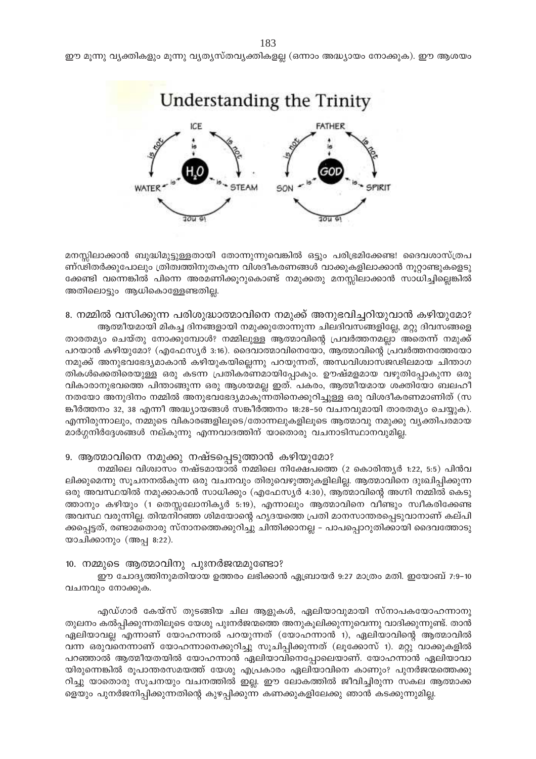183 ഈ മൂന്നു വ്യക്തികളും മൂന്നു വ്യത്യസ്തവ്യക്തികളല്ല (ഒന്നാം അദ്ധ്യായം നോക്കുക). ഈ ആശയം



മനസ്സിലാക്കാൻ ബുദ്ധിമുട്ടുള്ളതായി തോന്നുന്നുവെങ്കിൽ ഒട്ടും പരിഭ്രമിക്കേണ്ട! ദൈവശാസ്ത്രപ ണ്ഢിതർക്കുപോലും ത്രിത്വത്തിനുതകുന്ന വിശദീകരണങ്ങൾ വാക്കുകളിലാക്കാൻ നൂറ്റാണ്ടുകളെടു ക്കേണ്ടി വന്നെങ്കിൽ പിന്നെ അരമണിക്കൂറുകൊണ്ട് നമുക്കതു മനസ്സിലാക്കാൻ സാധിച്ചില്ലെങ്കിൽ അതിലൊട്ടും ആധികൊള്ളേണ്ടതില്ല.

8. നമ്മിൽ വസിക്കുന്ന പരിശുദ്ധാത്മാവിനെ നമുക്ക് അനുഭവിച്ചറിയുവാൻ കഴിയുമോ? ആത്മീയമായി മികച്ച ദിനങ്ങളായി നമുക്കുതോന്നുന്ന ചിലദിവസങ്ങളില്ലേ, മറ്റു ദിവസങ്ങളെ

താരതമ്യം ചെയ്തു നോക്കുമ്പോൾ? നമ്മിലുള്ള ആത്മാവിന്റെ പ്രവർത്തനമല്ലാ അതെന്ന് നമുക്ക് പറയാൻ കഴിയുമോ? (എഫേസ്യർ 3:16). ദൈവാത്മാവിനെയോ, ആത്മാവിന്റെ പ്രവർത്തനത്തേയോ നമുക്ക് അനുഭവഭേദ്യമാകാൻ കഴിയുകയില്ലെന്നു പറയുന്നത്, അന്ധവിശ്വാസജഢിലമായ ചിന്താഗ തികൾക്കെതിരെയുള്ള ഒരു കടന്ന പ്രതികരണമായിപ്പോകും. ഊഷ്മളമായ വഴുതിപ്പോകുന്ന ഒരു വികാരാനുഭവത്തെ പിന്താങ്ങുന്ന ഒരു ആശയമല്ല ഇത്. പകരം, ആത്മീയമായ ശക്തിയോ ബലഹീ നതയോ അനുദിനം നമ്മിൽ അനുഭവഭേദ്യമാകുന്നതിനെക്കുറിച്ചുള്ള ഒരു വിശദീകരണമാണിത് (സ ങ്കീർത്തനം 32, 38 എന്നീ അദ്ധ്യായങ്ങൾ സങ്കീർത്തനം 18:28-50 വചനവുമായി താരതമ്യം ചെയ്യുക). എന്നിരുന്നാലും, നമ്മുടെ വികാരങ്ങളിലൂടെ/തോന്നലുകളിലൂടെ ആത്മാവു നമുക്കു വ്യക്തിപരമായ മാർഗ്ഗനിർദ്ദേശങ്ങൾ നല്കുന്നു എന്നവാദത്തിന് യാതൊരു വചനാടിസ്ഥാനവുമില്ല.

## 9. ആത്മാവിനെ നമുക്കു നഷ്ടപ്പെടുത്താൻ കഴിയുമോ?

നമ്മിലെ വിശ്വാസം നഷ്ടമായാൽ നമ്മിലെ നിക്ഷേപത്തെ (2 കൊരിന്ത്യർ 1:22, 5:5) പിൻവ ലിക്കുമെന്നു സൂചനനൽകുന്ന ഒരു വചനവും തിരുവെഴുത്തുകളിലില്ല. ആത്മാവിനെ ദുഃഖിപ്പിക്കുന്ന ഒരു അവസ്ഥയിൽ നമുക്കാകാൻ സാധിക്കും (എഫേസ്യർ 4:30), ആത്മാവിന്റെ അഗ്നി നമ്മിൽ കെടു ത്താനും കഴിയും (1 തെസ്സലോനികൃർ 5:19), എന്നാലും ആത്മാവിനെ വീണ്ടും സ്വീകരിക്കേണ്ട അവസ്ഥ വരുന്നില്ല. തിന്മനിറഞ്ഞ ശിമയോന്റെ ഹൃദയത്തെ പ്രതി മാനസാന്തരപ്പെടുവാനാണ് കല്പി ക്കപ്പെട്ടത്, രണ്ടാമതൊരു സ്നാനത്തെക്കുറിച്ചു ചിന്തിക്കാനല്ല - പാപപ്പൊറുതിക്കായി ദൈവത്തോടു യാചിക്കാനും (അപ്പ 8:22).

#### 10. നമ്മുടെ ആത്മാവിനു പുഃനർജന്മമുണ്ടോ?

ഈ ചോദ്യത്തിനുമതിയായ ഉത്തരം ലഭിക്കാൻ ഏബ്രായർ 9:27 മാത്രം മതി. ഇയോബ് 7:9–10 വചനവും നോക്കുക.

എഡ്ഗാർ കേയ്സ് തുടങ്ങിയ ചില ആളുകൾ, ഏലിയാവുമായി സ്നാപകയോഹന്നാനു തുലനം കൽപ്പിക്കുന്നതിലൂടെ യേശു പുഃനർജന്മത്തെ അനുകൂലിക്കുന്നുവെന്നു വാദിക്കുന്നുണ്ട്. താൻ ഏലിയാവല്ല എന്നാണ് യോഹന്നാൽ പറയുന്നത് (യോഹന്നാൻ 1), ഏലിയാവിന്റെ ആത്മാവിൽ വന്ന ഒരുവനെന്നാണ് യോഹന്നാനെക്കുറിച്ചു സൂചിപ്പിക്കുന്നത് (ലൂക്കോസ് 1). മറ്റു വാക്കുകളിൽ പറഞ്ഞാൽ ആത്മീയതയിൽ യോഹന്നാൻ ഏലിയാവിനെപ്പോലെയാണ്. യോഹന്നാൻ ഏലിയാവാ യിരുന്നെങ്കിൽ രൂപാന്തരസമയത്ത് യേശു എപ്രകാരം ഏലിയാവിനെ കാണും? പുനർജന്മത്തെക്കു റിച്ചു യാതൊരു സൂചനയും വചനത്തിൽ ഇല്ല. ഈ ലോകത്തിൽ ജീവിച്ചിരുന്ന സകല ആത്മാക്ക ളെയും പുനർജനിപ്പിക്കുന്നതിന്റെ കുഴപ്പിക്കുന്ന കണക്കുകളിലേക്കു ഞാൻ കടക്കുന്നുമില്ല.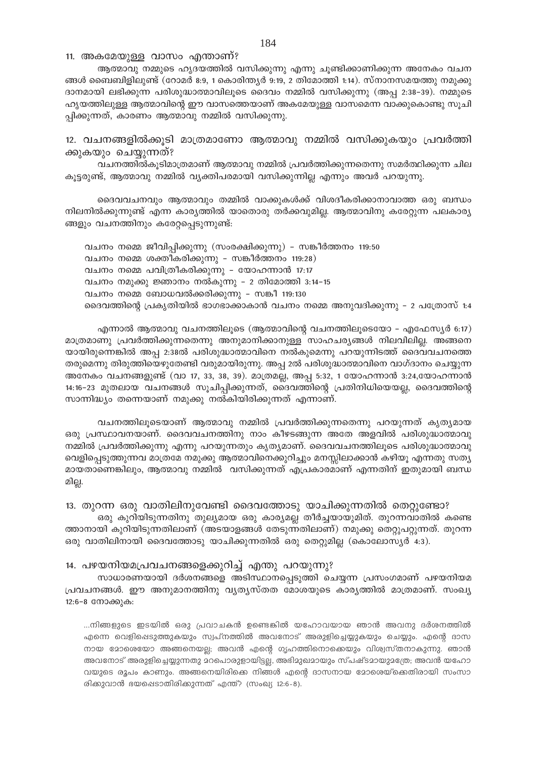11. അകമേയുള്ള വാസം എന്താണ്?

ആത്മാവു നമ്മുടെ ഹൃദയത്തിൽ വസിക്കുന്നു എന്നു ചൂണ്ടിക്കാണിക്കുന്ന അനേകം വചന ങ്ങൾ ബൈബിളിലുണ്ട് (റോമർ 8:9, 1 കൊരിന്ത്യർ 9:19, 2 തിമോത്തി 1:14). സ്നാനസമയത്തു നമുക്കു ദാനമായി ലഭിക്കുന്ന പരിശുദ്ധാത്മാവിലൂടെ ദൈവം നമ്മിൽ വസിക്കുന്നു (അപ്പ 2:38-39). നമ്മുടെ ഹ്യയത്തിലുള്ള ആത്മാവിന്റെ ഈ വാസത്തെയാണ് അകമേയുള്ള വാസമെന്ന വാക്കുകൊണ്ടു സുചി പ്പിക്കുന്നത്, കാരണം ആത്മാവു നമ്മിൽ വസിക്കുന്നു.

12. വചനങ്ങളിൽക്കൂടി മാത്രമാണോ ആത്മാവു നമ്മിൽ വസിക്കുകയും പ്രവർത്തി ക്കുകയും ചെയ്യുന്നത്?

വചനത്തിൽകുടിമാത്രമാണ് ആത്മാവു നമ്മിൽ പ്രവർത്തിക്കുന്നതെന്നു സമർത്ഥിക്കുന്ന ചില കുട്ടരുണ്ട്, ആത്മാവു നമ്മിൽ വ്യക്തിപരമായി വസിക്കുന്നില്ല എന്നും അവർ പറയുന്നു.

ദൈവവചനവും ആത്മാവും തമ്മിൽ വാക്കുകൾക്ക് വിശദീകരിക്കാനാവാത്ത ഒരു ബന്ധം നിലനിൽക്കുന്നുണ്ട് എന്ന കാര്യത്തിൽ യാതൊരു തർക്കവുമില്ല. ആത്മാവിനു കരേറ്റുന്ന പലകാര്യ ങ്ങളും വചനത്തിനും കരേറ്റപ്പെടുന്നുണ്ട്:

വചനം നമ്മെ ജീവിപ്പിക്കുന്നു (സംരക്ഷിക്കുന്നു) - സങ്കീർത്തനം 119:50 വചനം നമ്മെ ശക്തീകരിക്കുന്നു - സങ്കീർത്തനം 119:28) വചനം നമ്മെ പവിത്രീകരിക്കുന്നു – യോഹന്നാൻ 17:17 വചനം നമുക്കു ജ്ഞാനം നൽകുന്നു – 2 തിമോത്തി 3:14-15 വചനം നമ്മെ ബോധവൽക്കരിക്കുന്നു - സങ്കീ 119:130 ദൈവത്തിന്റെ പ്രകൃതിയിൽ ഭാഗഭാക്കാകാൻ വചനം നമ്മെ അനുവദിക്കുന്നു – 2 പത്രോസ് 1:4

എന്നാൽ ആത്മാവു വചനത്തിലൂടെ (ആത്മാവിന്റെ വചനത്തിലൂടെയോ – എഫേസ്യർ 6:17) മാത്രമാണു പ്രവർത്തിക്കുന്നതെന്നു അനുമാനിക്കാനുള്ള സാഹചര്യങ്ങൾ നിലവിലില്ല. അങ്ങനെ യായിരുന്നെങ്കിൽ അപ്പ 2:38ൽ പരിശുദ്ധാത്മാവിനെ നൽകുമെന്നു പറയുന്നിടത്ത് ദൈവവചനത്തെ തരുമെന്നു തിരുത്തിയെഴുതേണ്ടി വരുമായിരുന്നു. അപ്പ 2ൽ പരിശുദ്ധാത്മാവിനെ വാഗ്ദാനം ചെയ്യുന്ന അനേകം വചനങ്ങളുണ്ട് (വാ 17, 33, 38, 39). മാത്രമല്ല, അപ്പ 5:32, 1 യോഹന്നാൻ 3:24,യോഹന്നാൻ 14:16–23 മുതലായ വചനങ്ങൾ സൂചിപ്പിക്കുന്നത്, ദൈവത്തിന്റെ പ്രതിനിധിയെയല്ല, ദൈവത്തിന്റെ സാന്നിദ്ധ്യം തന്നെയാണ് നമുക്കു നൽകിയിരിക്കുന്നത് എന്നാണ്.

വചനത്തിലൂടെയാണ് ആത്മാവു നമ്മിൽ പ്രവർത്തിക്കുന്നതെന്നു പറയുന്നത് കൃത്യമായ ഒരു പ്രസ്ഥാവനയാണ്. ദൈവവചനത്തിനു നാം കീഴടങ്ങുന്ന അതേ അളവിൽ പരിശുദ്ധാത്മാവു നമ്മിൽ പ്രവർത്തിക്കുന്നു എന്നു പറയുന്നതും കൃത്യമാണ്. ദൈവവചനത്തിലൂടെ പരിശുദ്ധാത്മാവു വെളിപ്പെടുത്തുന്നവ മാത്രമേ നമുക്കു ആത്മാവിനെക്കുറിച്ചും മനസ്സിലാക്കാൻ കഴിയൂ എന്നതു സത്യ മായതാണെങ്കിലും, ആത്മാവു നമ്മിൽ വസിക്കുന്നത് എപ്രകാരമാണ് എന്നതിന് ഇതുമായി ബന്ധ മില്ല.

13. തുറന്ന ഒരു വാതിലിനുവേണ്ടി ദൈവത്തോടു യാചിക്കുന്നതിൽ തെറ്റുണ്ടോ? ഒരു കുറിയിടുന്നതിനു തുല്യമായ ഒരു കാര്യമല്ല തീർച്ചയായുമിത്. തുറന്നവാതിൽ കണ്ടെ

ത്താനായി കുറിയിടുന്നതിലാണ് (അടയാളങ്ങൾ തേടുന്നതിലാണ്) നമൂക്കു തെറുപറുന്നത്. തുറന്ന ഒരു വാതിലിനായി ദൈവത്തോടു യാചിക്കുന്നതിൽ ഒരു തെറ്റുമില്ല (കൊലോസ്യർ 4:3).

#### 14. പഴയനിയമപ്രവചനങ്ങളെക്കുറിച്ച് എന്തു പറയുന്നു?

സാധാരണയായി ദർശനങ്ങളെ അടിസ്ഥാനപ്പെടുത്തി ചെയ്യന്ന പ്രസംഗമാണ് പഴയനിയമ പ്രവചനങ്ങൾ. ഈ അനുമാനത്തിനു വൃത്യസ്തത മോശയുടെ കാര്യത്തിൽ മാത്രമാണ്. സംഖ്യ 12:6-8 നോക്കുക:

...നിങ്ങളുടെ ഇടയിൽ ഒരു പ്രവാചകൻ ഉണ്ടെങ്കിൽ യഹോവയായ ഞാൻ അവനു ദർശനത്തിൽ എന്നെ വെളിപ്പെടുത്തുകയും സ്വപ്നത്തിൽ അവനോട് അരുളിച്ചെയ്യുകയും ചെയ്യും. എന്റെ ദാസ നായ മോശെയോ അങ്ങനെയല്ല; അവൻ എന്റെ ഗൃഹത്തിനൊക്കെയും വിശ്വസ്തനാകുന്നു. ഞാൻ അവനോട് അരുളിച്ചെയ്യുന്നതു മറപൊരുളായിട്ടല്ല, അഭിമുഖമായും സ്പഷ്ടമായുമത്രേ; അവൻ യഹോ വയുടെ രൂപം കാണും. അങ്ങനെയിരിക്കെ നിങ്ങൾ എന്റെ ദാസനായ മോശെയ്ക്കെതിരായി സംസാ രിക്കുവാൻ ഭയപ്പെടാതിരിക്കുന്നത് എന്ത്? (സംഖ്യ 12:6-8).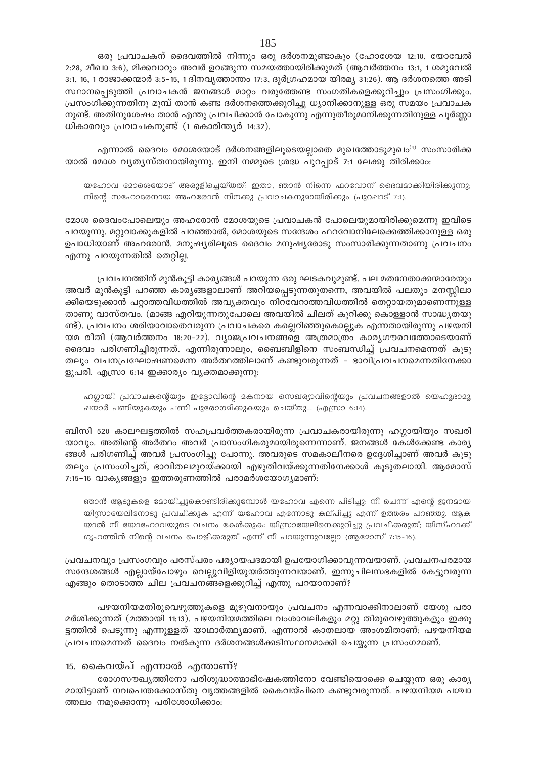ഒരു പ്രവാചകന് ദൈവത്തിൽ നിന്നും ഒരു ദർശനമുണ്ടാകും (ഹോശേയ 12:10, യോവേൽ 2:28, മീഖാ 3:6), മിക്കവാറും അവർ ഉറങ്ങുന്ന സമയത്തായിരിക്കുമത് (ആവർത്തനം 13:1, 1 ശമുവേൽ 3:1, 16, 1 രാജാക്കന്മാർ 3:5-15, 1 ദിനവൃത്താന്തം 17:3, ദുർഗ്രഹമായ യിരമ്യ 31:26). ആ ദർശനത്തെ അടി സ്ഥാനപ്പെടുത്തി പ്രവാചകൻ ജനങ്ങൾ മാറ്റം വരുത്തേണ്ട സംഗതികളെക്കുറിച്ചും പ്രസംഗിക്കും. പ്രസംഗിക്കുന്നതിനു മുമ്പ് താൻ കണ്ട ദർശനത്തെക്കുറിച്ചു ധ്യാനിക്കാനുള്ള ഒരു സമയം പ്രവാചക നുണ്ട്. അതിനുശേഷം താൻ എന്തു പ്രവചിക്കാൻ പോകുന്നു എന്നുതീരുമാനിക്കുന്നതിനുള്ള പൂർണ്ണാ ധികാരവും പ്രവാചകനുണ്ട് (1 കൊരിന്ത്യർ 14:32).

എന്നാൽ ദൈവം മോശയോട് ദർശനങ്ങളിലൂടെയല്ലാതെ മുഖത്തോടുമുഖം<sup>(4)</sup> സംസാരിക്ക യാൽ മോശ വ്യത്യസ്തനായിരുന്നു. ഇനി നമ്മുടെ ശ്രദ്ധ പുറപ്പാട് 7:1 ലേക്കു തിരിക്കാം:

യഹോവ മോശെയോട് അരുളിച്ചെയ്തത്: ഇതാ, ഞാൻ നിന്നെ ഫറവോന് ദൈവമാക്കിയിരിക്കുന്നു; നിന്റെ സഹോദരനായ അഹരോൻ നിനക്കു പ്രവാചകനുമായിരിക്കും (പുറപ്പാട് 7:1).

മോശ ദൈവംപോലെയും അഹരോൻ മോശയുടെ പ്രവാചകൻ പോലെയുമായിരിക്കുമെന്നു ഇവിടെ പറയുന്നു. മറ്റുവാക്കുകളിൽ പറഞ്ഞാൽ, മോശയുടെ സന്ദേശം ഫറവോനിലേക്കെത്തിക്കാനുള്ള ഒരു ഉപാധിയാണ് അഹരോൻ. മനുഷ്യരിലൂടെ ദൈവം മനുഷ്യരോടു സംസാരിക്കുന്നതാണു പ്രവചനം എന്നു പറയുന്നതിൽ തെറ്റില്ല.

പ്രവചനത്തിന് മുൻകൂട്ടി കാര്യങ്ങൾ പറയുന്ന ഒരു ഘടകവുമുണ്ട്. പല മതനേതാക്കന്മാരേയും അവർ മുൻകൂട്ടി പറഞ്ഞ കാര്യങ്ങളാലാണ് അറിയപ്പെടുന്നതുതന്നെ, അവയിൽ പലതും മനസ്സിലാ ക്കിയെടുക്കാൻ പറ്റാത്തവിധത്തിൽ അവ്യക്തവും നിറവേറാത്തവിധത്തിൽ തെറ്റായതുമാണെന്നുള്ള താണു വാസ്തവം. (മാങ്ങ എറിയുന്നതുപോലെ അവയിൽ ചിലത് കുറിക്കു കൊള്ളാൻ സാദ്ധ്യതയു ണ്ട്). പ്രവചനം ശരിയാവാതെവരുന്ന പ്രവാചകരെ കല്ലെറിഞ്ഞുകൊല്ലുക എന്നതായിരുന്നു പഴയനി യമ രീതി (ആവർത്തനം 18:20–22). വ്യാജപ്രവചനങ്ങളെ അത്രമാത്രം കാര്യഗൗരവത്തോടെയാണ് ദൈവം പരിഗണിച്ചിരുന്നത്. എന്നിരുന്നാലും, ബൈബിളിനെ സംബന്ധിച്ച് പ്രവചനമെന്നത് കൂടു തലും വചനപ്രഘോഷണമെന്ന അർത്ഥത്തിലാണ് കണ്ടുവരുന്നത് – ഭാവിപ്രവചനമെന്നതിനേക്കാ ളുപരി. എസ്രാ 6:14 ഇക്കാര്യം വ്യക്തമാക്കുന്നു:

ഹഗ്ഗായി പ്രവാചകന്റെയും ഇദ്ദോവിന്റെ മകനായ സെഖര്യാവിന്റെയും പ്രവചനങ്ങളാൽ യെഹൂദാമൂ ഷന്മാർ പണിയുകയും പണി പുരോഗമിക്കുകയും ചെയ്തു... (എസ്രാ 6:14).

ബിസി 520 കാലഘട്ടത്തിൽ സഹപ്രവർത്തകരായിരുന്ന പ്രവാചകരായിരുന്നു ഹഗ്ഗായിയും സഖരി യാവും. അതിന്റെ അർത്ഥം അവർ പ്രാസംഗികരുമായിരുന്നെന്നാണ്. ജനങ്ങൾ കേൾക്കേണ്ട കാര്യ ങ്ങൾ പരിഗണിച്ച് അവർ പ്രസംഗിച്ചു പോന്നു. അവരുടെ സമകാലീനരെ ഉദ്ദേശിച്ചാണ് അവർ കൂടു തലും പ്രസംഗിച്ചത്, ഭാവിതലമുറയ്ക്കായി എഴുതിവയ്ക്കുന്നതിനേക്കാൾ കൂടുതലായി. ആമോസ് 7:15-16 വാകൃങ്ങളും ഇത്തരുണത്തിൽ പരാമർശയോഗ്യമാണ്:

ഞാൻ ആടുകളെ മോയിച്ചുകൊണ്ടിരിക്കുമ്പോൾ യഹോവ എന്നെ പിടിച്ചു. നീ ചെന്ന് എന്റെ ജനമായ യിസ്രായേലിനോടു പ്രവചിക്കുക എന്ന് യഹോവ എന്നോടു കല്പിച്ചു എന്ന് ഉത്തരം പറഞ്ഞു. ആക യാൽ നീ യോഹോവയുടെ വചനം കേൾക്കുക: യിസ്രായേലിനെക്കുറിച്ചു പ്രവചിക്കരുത്; യിസ്ഹാക്ക് ഗൃഹത്തിൻ നിന്റെ വചനം പൊഴിക്കരുത് എന്ന് നീ പറയുന്നുവല്ലോ (ആമോസ് 7:15-16).

പ്രവചനവും പ്രസംഗവും പരസ്പരം പര്യായപദമായി ഉപയോഗിക്കാവുന്നവയാണ്. പ്രവചനപരമായ സന്ദേശങ്ങൾ എല്ലായ്പോഴും വെല്ലുവിളിയുയർത്തുന്നവയാണ്. ഇന്നുചിലസഭകളിൽ കേട്ടുവരുന്ന എങ്ങും തൊടാത്ത ചില പ്രവചനങ്ങളെക്കുറിച്ച് എന്തു പറയാനാണ്?

പഴയനിയമതിരുവെഴുത്തുകളെ മുഴുവനായും പ്രവചനം എന്നവാക്കിനാലാണ് യേശു പരാ മർശിക്കുന്നത് (മത്തായി 11:13). പഴയനിയമത്തിലെ വംശാവലികളും മറ്റു തിരുവെഴുത്തുകളും ഇക്കൂ ട്ടത്തിൽ പെടുന്നു എന്നുള്ളത് യാഥാർത്ഥ്യമാണ്. എന്നാൽ കാതലായ അംശമിതാണ്: പഴയനിയമ പ്രവചനമെന്നത് ദൈവം നൽകുന്ന ദർശനങ്ങൾക്കടിസ്ഥാനമാക്കി ചെയ്യുന്ന പ്രസംഗമാണ്.

## 15. കൈവയ്പ് എന്നാൽ എന്താണ്?

രോഗസൗഖ്യത്തിനോ പരിശുദ്ധാത്മാഭിഷേകത്തിനോ വേണ്ടിയൊക്കെ ചെയ്യുന്ന ഒരു കാര്യ മായിട്ടാണ് നവപെന്തക്കോസ്തു വൃത്തങ്ങളിൽ കൈവയ്പിനെ കണ്ടുവരുന്നത്. പഴയനിയമ പശ്ചാ ത്തലം നമുക്കൊന്നു പരിശോധിക്കാം: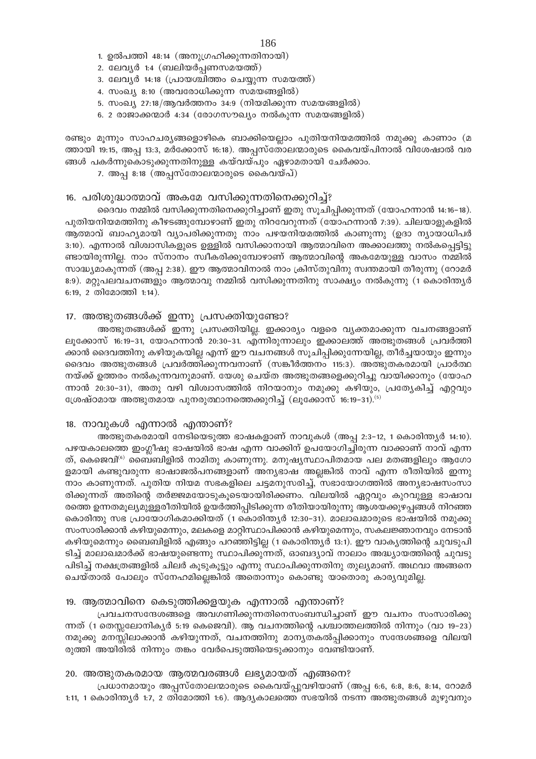- 1. ഉൽപത്തി 48:14 (അനുഗ്രഹിക്കുന്നതിനായി)
- 2. ലേവൃർ 1:4 (ബലിയർപ്പണസമയത്ത്)
- 3. ലേവൃർ 14:18 (പ്രായശ്ചിത്തം ചെയ്യുന്ന സമയത്ത്)
- 4. സംഖ്യ 8:10 (അവരോധിക്കുന്ന സമയങ്ങളിൽ)
- 5. സംഖ്യ 27:18/ആവർത്തനം 34:9 (നിയമിക്കുന്ന സമയങ്ങളിൽ)
- 6. 2 രാജാക്കന്മാർ 4:34 (രോഗസൗഖ്യം നൽകുന്ന സമയങ്ങളിൽ)

രണ്ടും മൂന്നും സാഹചര്യങ്ങളൊഴികെ ബാക്കിയെല്ലാം പുതിയനിയമത്തിൽ നമുക്കു കാണാം (മ ത്തായി 19:15, അപ്പ 13:3, മർക്കോസ് 16:18). അപ്പസ്തോലന്മാരുടെ കൈവയ്പിനാൽ വിശേഷാൽ വര ങ്ങൾ പകർന്നുകൊടുക്കുന്നതിനുള്ള കയ്വയ്പും ഏഴാമതായി ചേർക്കാം.

7. അപ്പ $\mathbf{8:18}$  (അപ്പസ്തോലന്മാരുടെ കൈവയ്പ്)

## 16. പരിശുദ്ധാത്മാവ് അകമേ വസിക്കുന്നതിനെക്കുറിച്ച്?

ദൈവം നമ്മിൽ വസിക്കുന്നതിനെക്കുറിച്ചാണ് ഇതു സൂചിപ്പിക്കുന്നത് (യോഹന്നാൻ 14:16−18). പുതിയനിയമത്തിനു കീഴടങ്ങുമ്പോഴാണ് ഇതു നിറവേറുന്നത് (യോഹന്നാൻ 7:39). ചിലയാളുകളിൽ ആത്മാവ് ബാഹ്യമായി വ്യാപരിക്കുന്നതു നാം പഴയനിയമത്തിൽ കാണുന്നു (ഉദാ ന്യായാധിപർ  $3:10$ ). എന്നാൽ വിശ്വാസികളുടെ ഉള്ളിൽ വസിക്കാനായി ആത്മാവിനെ അക്കാലത്തു നൽകപ്പെട്ടിട്ടു  $\sim$ ണ്ടായിരുന്നില്ല. നാം സ്നാനം സ്വീകരിക്കുമ്പോഴാണ് ആത്മാവിന്റെ അകമേയുള്ള വാസം നമ്മിൽ സാദ്ധ്യമാകുന്നത് (അപ്പ 2:38). ഈ ആത്മാവിനാൽ നാം ക്രിസ്തുവിനു സ്വന്തമായി തീരുന്നു (റോമർ 8:9). മറ്റുപലവചനങ്ങളും ആത്മാവു നമ്മിൽ വസിക്കുന്നതിനു സാക്ഷ്യം നൽകുന്നു (1 കൊരിന്ത്യർ  $6:19, 2$  തിമോത്തി 1:14).

#### 17. അത്ഭുതങ്ങൾക്ക് ഇന്നു പ്രസക്തിയുണ്ടോ?

അത്ഭുതങ്ങൾക്ക് ഇന്നു പ്രസക്തിയില്ല. ഇക്കാര്യം വളരെ വൃക്തമാക്കുന്ന വചനങ്ങളാണ് ലൂക്കോസ് 16:19-31, യോഹന്നാൻ 20:30-31. എന്നിരുന്നാലും ഇക്കാലത്ത് അത്ഭുതങ്ങൾ പ്രവർത്തി ക്കാൻ ദൈവത്തിനു കഴിയുകയില്ല എന്ന് ഈ വചനങ്ങൾ സൂചിപ്പിക്കുന്നേയില്ല, തീർച്ചയായും ഇന്നും ദൈവം അത്ഭുതങ്ങൾ പ്രവർത്തിക്കുന്നവനാണ് (സങ്കീർത്തനം 115:3). അത്ഭുതകരമായി പ്രാർത്ഥ നയ്ക്ക് ഉത്തരം നൽകുന്നവനുമാണ്. യേശു ചെയ്ത അത്ഭുതങ്ങളെക്കുറിച്ചു വായിക്കാനും (യോഹ ന്നാൻ 20:30−31), അതു വഴി വിശ്വാസത്തിൽ നിറയാനും നമുക്കു കഴിയും, പ്രത്യേകിച്ച് എറ്റവും  $t_{\text{E}}$ ശ്രഷ്ഠമായ അത്ഭുതമായ പുനരുത്ഥാനത്തെക്കുറിച്ച് (ലുക്കോസ് 16:19-31). $^{(5)}$ 

#### 18. നാവുകൾ എന്നാൽ എന്താണ്?

അത്ഭുതകരമായി നേടിയെടുത്ത ഭാഷകളാണ് നാവുകൾ (അപ്പ $2:3-12$ , 1 കൊരിന്ത്യർ 14:10). പഴയകാലത്തെ ഇംഗ്ലീഷു ഭാഷയിൽ ഭാഷ എന്ന വാക്കിന് ഉപയോഗിച്ചിരുന്ന വാക്കാണ് നാവ് എന്ന ത്, കെജെവി® ബൈബിളിൽ നാമിതു കാണുന്നു. മനുഷ്യസ്ഥാപിതമായ പല മതങ്ങളിലും ആഗോ ളമായി കണ്ടുവരുന്ന ഭാഷാജൽപനങ്ങളാണ് അന്യഭാഷ അല്ലങ്കിൽ നാവ് എന്ന രീതിയിൽ ഇന്നു നാം കാണുന്നത്. പുതിയ നിയമ സഭകളിലെ ചട്ടമനുസരിച്ച്, സഭായോഗത്തിൽ അന്യഭാഷസംസാ രിക്കുന്നത് അതിന്റെ തർജ്ജമയോടുകൂടെയായിരിക്കണം. വിലയിൽ ഏറ്റവും കുറവുള്ള ഭാഷാവ രത്തെ ഉന്നതമൂല്യമുള്ളരീതിയിൽ ഉയർത്തിപ്പിടിക്കുന്ന രീതിയായിരുന്നു ആശയക്കുഴപ്പങ്ങൾ നിറഞ്ഞ കൊരിന്തു സഭ പ്രായോഗികമാക്കിയത് (1 കൊരിന്ത്യർ 12:30–31). മാലാഖമാരുടെ ഭാഷയിൽ നമുക്കു സംസാരിക്കാൻ കഴിയുമെന്നും, മലകളെ മാറ്റിസ്ഥാപിക്കാൻ കഴിയുമെന്നും, സകലജ്ഞാനവും നേടാൻ കഴിയുമെന്നും ബൈബിളിൽ എങ്ങും പറഞ്ഞിട്ടില്ല (1 കൊരിന്ത്യർ 13:1). ഈ വാകൃത്തിന്റെ ചുവടുപി ടിച്ച് മാലാഖമാർക്ക് ഭാഷയുണ്ടെന്നു സ്ഥാപിക്കുന്നത്, ഓബദ്യാവ് നാലാം അദ്ധ്യായത്തിന്റെ ചുവടു പിടിച്ച് നക്ഷത്രങ്ങളിൽ ചിലർ കൂടുകൂട്ടും എന്നു സ്ഥാപിക്കുന്നതിനു തുല്യമാണ്. അഥവാ അങ്ങനെ ്കചയ്താൽ പോലും സ്നേഹമില്ലെങ്കിൽ അതൊന്നും കൊണ്ടു യാതൊരു കാര്യവുമില്ല.

## 19. ആത്മാവിനെ കെടുത്തിക്കളയുക എന്നാൽ എന്താണ്?

(പവചനസന്ദേശങ്ങളെ അവഗണിക്കുന്നതിനെസംബന്ധിച്ചാണ് ഈ വചനം സംസാരിക്കു ന്നത് (1 തെസ്സലോനികൃർ 5:19 കെജെവി). ആ വചനത്തിന്റെ പശ്ചാത്തലത്തിൽ നിന്നും (വാ 19−23) നമുക്കു മനസ്സിലാക്കാൻ കഴിയുന്നത്, വചനത്തിനു മാനൃതകൽപ്പിക്കാനും സന്ദേശങ്ങളെ വിലയി  $\alpha$ ത്തി അയിരിൽ നിന്നും തങ്കം വേർപെടുത്തിയെടുക്കാനും വേണ്ടിയാണ്.

#### 20. അത്ഭുതകരമായ ആത്മവരങ്ങൾ ലഭ്യമായത് എങ്ങനെ?

 ${\sf L}_{\rm c}$ പധാനമായും അപ്പസ്തോലന്മാരുടെ കൈവയ്പ്പുവഴിയാണ് (അപ്പ 6:6, 6:8, 8:6, 8:14, റോമർ 1:11, 1 കൊരിന്ത്യർ 1:7, 2 തിമോത്തി 1:6). ആദ്യകാലത്തെ സഭയിൽ നടന്ന അത്ഭുതങ്ങൾ മുഴുവനും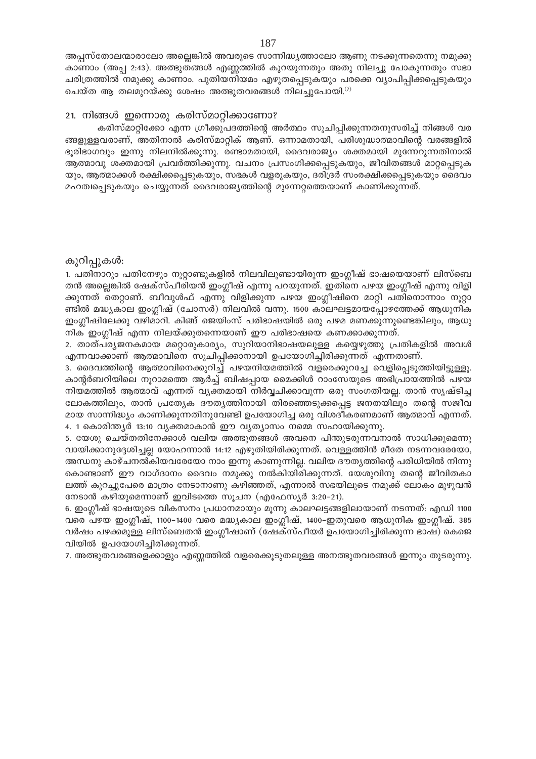അപ്പസ്തോലന്മാരാലോ അല്ലെങ്കിൽ അവരുടെ സാന്നിദ്ധ്യത്താലോ ആണു നടക്കുന്നതെന്നു നമുക്കു കാണാം (അപ്പ 2:43). അത്ഭുതങ്ങൾ എണ്ണത്തിൽ കുറയുന്നതും അതു നിലച്ചു പോകുന്നതും സഭാ ചരിത്രത്തിൽ നമുക്കു കാണാം. പുതിയനിയമം എഴുതപ്പെടുകയും പരക്കെ വ്യാപിപ്പിക്കപ്പെടുകയും ചെയ്ത ആ തലമുറയ്ക്കു ശേഷം അത്ഭുതവരങ്ങൾ നിലച്ചുപോയി. $^{\left(7\right)}$ 

## 21. നിങ്ങൾ ഇന്നൊരു കരിസ്മാറ്റിക്കാണോ?

കരിസ്മാറ്റിക്കോ എന്ന ഗ്രീക്കുപദത്തിന്റെ അർത്ഥം സൂചിപ്പിക്കുന്നതനുസരിച്ച് നിങ്ങൾ വര ങ്ങളുള്ളവരാണ്, അതിനാൽ കരിസ്മാറ്റിക് ആണ്. ഒന്നാമതായി, പരിശുദ്ധാത്മാവിന്റെ വരങ്ങളിൽ ഭൂരിഭാഗവും ഇന്നു നിലനിൽക്കുന്നു. രണ്ടാമതായി, ദൈവരാജ്യം ശക്തമായി മുന്നേറുന്നതിനാൽ ആത്മാവു ശക്തമായി പ്രവർത്തിക്കുന്നു. വചനം പ്രസംഗിക്കപ്പെടുകയും, ജീവിതങ്ങൾ മാറ്റപ്പെടുക യും, ആത്മാക്കൾ രക്ഷിക്കപ്പെടുകയും, സഭകൾ വളരുകയും, ദരിദ്രർ സംരക്ഷിക്കപ്പെടുകയും ദൈവം മഹത്വപ്പെടുകയും ചെയ്യുന്നത് ദൈവരാജ്യത്തിന്റെ മുന്നേറ്റത്തെയാണ് കാണിക്കുന്നത്.

#### കുറിപ്പുകൾ:

1. പതിനാറും പതിനേഴും നൂറ്റാണ്ടുകളിൽ നിലവിലുണ്ടായിരുന്ന ഇംഗ്ലീഷ് ഭാഷയെയാണ് ലിസ്ബെ തൻ അല്ലെങ്കിൽ ഷേക്സ്പീരിയൻ ഇംഗ്ലീഷ് എന്നു പറയുന്നത്. ഇതിനെ പഴയ ഇംഗ്ലീഷ് എന്നു വിളി ക്കുന്നത് തെറ്റാണ്. ബീവുൾഫ് എന്നു വിളിക്കുന്ന പഴയ ഇംഗ്ലീഷിനെ മാറ്റി പതിനൊന്നാം നൂറ്റാ ണ്ടിൽ മദ്ധ്യകാല ഇംഗ്ലീഷ് (ചോസർ) നിലവിൽ വന്നു. 1500 കാലഘട്ടമായപ്പോഴത്തേക്ക് ആധുനിക ഇംഗ്ലീഷിലേക്കു വഴിമാറി. കിങ്ങ് ജെയിംസ് പരിഭാഷയിൽ ഒരു പഴമ മണക്കുന്നുണ്ടെങ്കിലും, ആധു നിക ഇംഗ്ലീഷ് എന്ന നിലയ്ക്കുതന്നെയാണ് ഈ പരിഭാഷയെ കണക്കാക്കുന്നത്.

2. താത്പര്യജനകമായ മറ്റൊരുകാര്യം, സുറിയാനിഭാഷയലുള്ള കയ്യെഴുത്തു പ്രതികളിൽ അവൾ എന്നവാക്കാണ് ആത്മാവിനെ സൂചിപ്പിക്കാനായി ഉപയോഗിച്ചിരിക്കുന്നത് എന്നതാണ്.

3. ദൈവത്തിന്റെ ആത്മാവിനെക്കുറിച്ച് പഴയനിയമത്തിൽ വളരെക്കുറച്ചേ വെളിപ്പെടുത്തിയിട്ടുള്ളൂ. കാന്റർബറിയിലെ നൂറാമത്തെ ആർച്ച് ബിഷപ്പായ മൈക്കിൾ റാംസേയുടെ അഭിപ്രായത്തിൽ പഴയ നിയമത്തിൽ ആത്മാവ് എന്നത് വൃക്തമായി നിർവ്വചിക്കാവുന്ന ഒരു സംഗതിയല്ല. താൻ സൃഷ്ടിച്ച ലോകത്തിലും, താൻ പ്രത്യേക ദൗത്യത്തിനായി തിരഞ്ഞെടുക്കപ്പെട്ട ജനതയിലും തന്റെ സജീവ മായ സാന്നിദ്ധ്യം കാണിക്കുന്നതിനുവേണ്ടി ഉപയോഗിച്ച ഒരു വിശദീകരണമാണ് ആത്മാവ് എന്നത്. 4. 1 കൊരിന്ത്യർ 13:10 വ്യക്തമാകാൻ ഈ വ്യത്യാസം നമ്മെ സഹായിക്കുന്നു.

5. യേശു ചെയ്തതിനേക്കാൾ വലിയ അത്ഭുതങ്ങൾ അവനെ പിന്തുടരുന്നവനാൽ സാധിക്കുമെന്നു വായിക്കാനുദ്ദേശിച്ചല്ല യോഹന്നാൻ 14:12 എഴുതിയിരിക്കുന്നത്. വെള്ളത്തിൻ മീതേ നടന്നവരേയോ, അന്ധനു കാഴ്ചനൽ്കിയവരേയോ നാം ഇന്നു കാണുന്നില്ല. വലിയ ദൗതൃത്തിന്റെ പരിധിയിൽ നിന്നു കൊണ്ടാണ് ഈ വാഗ്ദാനം ദൈവം നമുക്കു നൽകിയിരിക്കുന്നത്. യേശുവിനു തന്റെ ജീവിതകാ ലത്ത് കുറച്ചുപേരെ മാത്രം നേടാനാണു കഴിഞ്ഞത്, എന്നാൽ സഭയിലൂടെ നമുക്ക് ലോകം മുഴുവൻ

നേടാൻ കഴിയുമെന്നാണ് ഇവിടത്തെ സൂചന (എഫേസ്യർ 3:20–21). 6. ഇംഗ്ലീഷ് ഭാഷയുടെ വികസനം പ്രധാനമായും മൂന്നു കാലഘട്ടങ്ങളിലായാണ് നടന്നത്: എഡി 1100

വരെ പഴയ ഇംഗ്ലീഷ്, 1100–1400 വരെ മദ്ധ്യകാല ഇംഗ്ലീഷ്, 1400–ഇതുവരെ ആധുനിക ഇംഗ്ലീഷ്. 385 വർഷം പഴക്കമുള്ള ലിസ്ബെതൻ ഇംഗ്ലീഷാണ് (ഷേക്സ്പീയർ ഉപയോഗിച്ചിരിക്കുന്ന ഭാഷ) കെജെ വിയിൽ ഉപയോഗിച്ചിരിക്കുന്നത്.

7. അത്ഭുതവരങ്ങളെക്കാളും എണ്ണത്തിൽ വളരെക്കൂടുതലുള്ള അനത്ഭുതവരങ്ങൾ ഇന്നും തുടരുന്നു.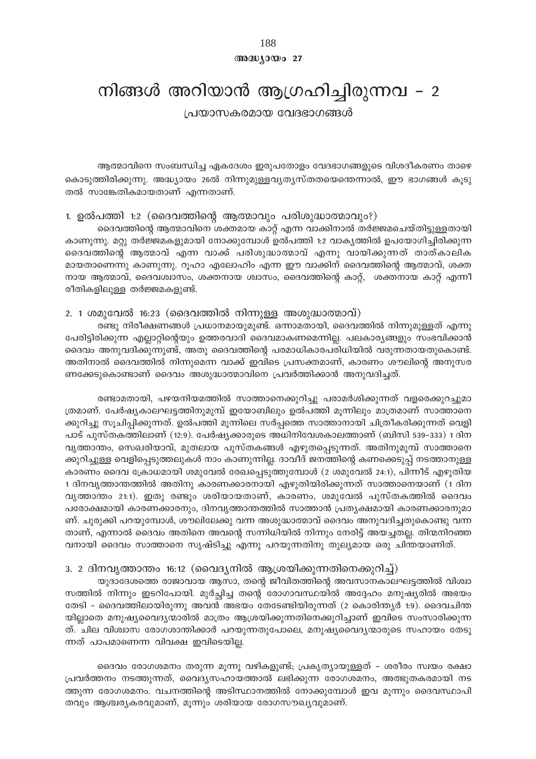188 അദ്ധ്യായം 27

## നിങ്ങൾ അറിയാൻ ആഗ്രഹിച്ചിരുന്നവ - 2

പ്രയാസകരമായ വേദഭാഗങ്ങൾ

ആത്മാവിനെ സംബന്ധിച്ച ഏകദേശം ഇരുപതോളം വേദഭാഗങ്ങളുടെ വിശദീകരണം താഴെ കൊടുത്തിരിക്കുന്നു. അദ്ധ്യായം 26ൽ നിന്നുമുള്ളവ്യത്യസ്തതയെന്തെന്നാൽ, ഈ ഭാഗങ്ങൾ കൂടു തൽ സാങ്കേതികമായതാണ് എന്നതാണ്.

## 1. ഉൽപത്തി 1:2 (ദൈവത്തിന്റെ ആത്മാവും പരിശുദ്ധാത്മാവും?)

ദൈവത്തിന്റെ ആത്മാവിനെ ശക്തമായ കാറ്റ് എന്ന വാക്കിനാൽ തർജ്ജമചെയ്തിട്ടുള്ളതായി കാണുന്നു. മറ്റു തർജ്ജമകളുമായി നോക്കുമ്പോൾ ഉൽപത്തി 1:2 വാകൃത്തിൽ ഉപയോഗിച്ചിരിക്കുന്ന ദൈവത്തിന്റെ ആത്മാവ് എന്ന വാക്ക് പരിശുദ്ധാത്മാവ് എന്നു വായിക്കുന്നത് താത്കാലിക മായതാണെന്നു കാണുന്നു. റുഹാ എലോഹിം എന്ന ഈ വാക്കിന് ദൈവത്തിന്റെ ആത്മാവ്, ശക്ത നായ ആത്മാവ്, ദൈവശ്വാസം, ശക്തനായ ശ്വാസം, ദൈവത്തിന്റെ കാറ്റ്, ശക്തനായ കാറ്റ് എന്നീ രീതികളിലുള്ള തർജ്ജമകളുണ്ട്.

## 2. 1 ശമുവേൽ 16:23 (ദൈവത്തിൽ നിന്നുള്ള അശുദ്ധാത്മാവ്)

രണ്ടു നിരീക്ഷണങ്ങൾ പ്രധാനമായുമുണ്ട്. ഒന്നാമതായി, ദൈവത്തിൽ നിന്നുമുള്ളത് എന്നു പേരിട്ടിരിക്കുന്ന എല്ലാറ്റിന്റെയും ഉത്തരവാദി ദൈവമാകണമെന്നില്ല. പലകാര്യങ്ങളും സംഭവിക്കാൻ ദൈവം അനുവദിക്കുന്നുണ്ട്, അതു ദൈവത്തിന്റെ പരമാധികാരപരിധിയിൽ വരുന്നതായതുകൊണ്ട്. അതിനാൽ ദൈവത്തിൽ നിന്നുമെന്ന വാക്ക് ഇവിടെ പ്രസക്തമാണ്, കാരണം ശൗലിന്റെ അനുസര ണക്കേടുകൊണ്ടാണ് ദൈവം അശുദ്ധാത്മാവിനെ പ്രവർത്തിക്കാൻ അനുവദിച്ചത്.

രണ്ടാമതായി, പഴയനിയമത്തിൽ സാത്താനെക്കുറിച്ചു പരാമർശിക്കുന്നത് വളരെക്കുറച്ചുമാ ത്രമാണ്. പേർഷ്യകാലഘട്ടത്തിനുമുമ്പ് ഇയോബിലും ഉൽപത്തി മുന്നിലും മാത്രമാണ് സാത്താനെ ക്കുറിച്ചു സൂചിപ്പിക്കുന്നത്. ഉൽപത്തി മൂന്നിലെ സർപ്പത്തെ സാത്താനായി ചിത്രീകരിക്കുന്നത് വെളി പാട് പുസ്തകത്തിലാണ് (12:9). പേർഷ്യക്കാരുടെ അധിനിവേശകാലത്താണ് (ബിസി 539–333) 1 ദിന വൃത്താന്തം, സെഖരിയാവ്, മുതലായ പുസ്തകങ്ങൾ എഴുതപ്പെടുന്നത്. അതിനുമുമ്പ് സാത്താനെ ക്കുറിച്ചുള്ള വെളിപെടുത്തലുകൾ നാം കാണുന്നില്ല. ദാവീദ് ജനത്തിന്റെ കണക്കെടുപ്പ് നടത്താനുള്ള കാരണം ദൈവ ക്രോധമായി ശമുവേൽ രേഖപ്പെടുത്തുമ്പോൾ (2 ശമുവേൽ 24:1), പിന്നീട് എഴുതിയ 1 ദിനവൃത്താന്തത്തിൽ അതിനു കാരണക്കാരനായി എഴുതിയിരിക്കുന്നത് സാത്താനെയാണ് (1 ദിന വൃത്താന്തം 21:1). ഇതു രണ്ടും ശരിയായതാണ്, കാരണം, ശമുവേൽ പുസ്തകത്തിൽ ദൈവം പരോക്ഷമായി കാരണക്കാരനും, ദിനവൃത്താന്തത്തിൽ സാത്താൻ പ്രത്യക്ഷമായി കാരണക്കാരനുമാ ണ്. ചുരുക്കി പറയുമ്പോൾ, ശൗലിലേക്കു വന്ന അശുദ്ധാത്മാവ് ദൈവം അനുവദിച്ചതുകൊണ്ടു വന്ന താണ്, എന്നാൽ ദൈവം അതിനെ അവന്റെ സന്നിധിയിൽ നിന്നും നേരിട്ട് അയച്ചതല്ല. തിന്മനിറഞ്ഞ വനായി ദൈവം സാത്താനെ സൃഷ്ടിച്ചു എന്നു പറയുന്നതിനു തുല്യമായ ഒരു ചിന്തയാണിത്.

## 3. 2 ദിനവ്യത്താന്തം 16:12 (വൈദ്യനിൽ ആശ്രയിക്കുന്നതിനെക്കുറിച്ച്)

യുദാദേശത്തെ രാജാവായ ആസാ, തന്റെ ജീവിതത്തിന്റെ അവസാനകാലഘട്ടത്തിൽ വിശ്വാ സത്തിൽ നിന്നും ഇടറിപോയി. മുർച്ചിച്ച തന്റെ രോഗാവസ്ഥയിൽ അദ്ദേഹം മനുഷ്യരിൽ അഭയം തേടി – ദൈവത്തിലായിരുന്നു അവൻ അഭയം തേടേണ്ടിയിരുന്നത് (2 കൊരിന്ത്യർ 1:9). ദൈവചിന്ത യില്ലാതെ മനുഷ്യവൈദ്യന്മാരിൽ മാത്രം ആശ്രയിക്കുന്നതിനെക്കുറിച്ചാണ് ഇവിടെ സംസാരിക്കുന്ന ത്. ചില വിശ്വാസ രോഗശാന്തിക്കാർ പറയുന്നതുപോലെ, മനുഷ്യവൈദ്യന്മാരുടെ സഹായം തേടു ന്നത് പാപമാണെന്ന വിവക്ഷ ഇവിടെയില്ല.

ദൈവം രോഗശമനം തരുന്ന മുന്നു വഴികളുണ്ട്; പ്രകൃത്യായുള്ളത് – ശരീരം സ്വയം രക്ഷാ പ്രവർത്തനം നടത്തുന്നത്, വൈദ്യസഹായത്താൽ ലഭിക്കുന്ന രോഗശമനം, അത്ഭുതകരമായി നട ത്തുന്ന രോഗശമനം. വചനത്തിന്റെ അടിസ്ഥാനത്തിൽ നോക്കുമ്പോൾ ഇവ മൂന്നും ദൈവസ്ഥാപി തവും ആശ്ചര്യകരവുമാണ്, മൂന്നും ശരിയായ രോഗസൗഖ്യവുമാണ്.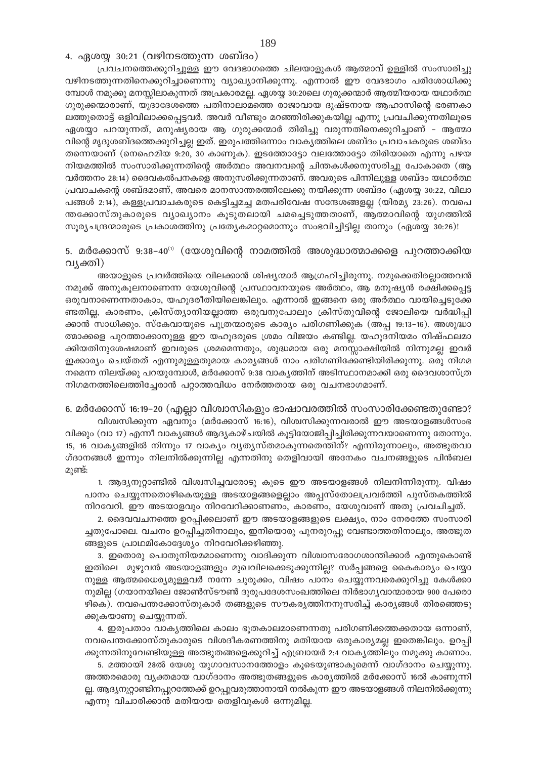4. ഏശയ്യ 30:21 (വഴിനടത്തുന്ന ശബ്ദം)

പ്രവചനത്തെക്കുറിച്ചുള്ള ഈ വേദഭാഗത്തെ ചിലയാളുകൾ ആത്മാവ് ഉള്ളിൽ സംസാരിച്ചു വഴിനടത്തുന്നതിനെക്കുറിച്ചാണെന്നു വ്യാഖ്യാനിക്കുന്നു. എന്നാൽ ഈ വേദഭാഗം പരിശോധിക്കു മ്പോൾ നമുക്കു മനസ്സിലാകുന്നത് അപ്രകാരമല്ല. ഏശയ്യ 30:20ലെ ഗുരുക്കന്മാർ ആത്മീയരായ യഥാർത്ഥ ഗുരുക്കന്മാരാണ്, യൂദാദേശത്തെ പതിനാലാമത്തെ രാജാവായ ദുഷ്ടനായ ആഹാസിന്റെ ഭരണകാ ലത്തുതൊട്ട് ഒളിവിലാക്കപ്പെട്ടവർ. അവർ വീണ്ടും മറഞ്ഞിരിക്കുകയില്ല എന്നു പ്രവചിക്കുന്നതിലൂടെ ഏശയ്യാ പറയുന്നത്, മനുഷ്യരായ ആ ഗുരുക്കന്മാർ തിരിച്ചു വരുന്നതിനെക്കുറിച്ചാണ് - ആത്മാ വിന്റെ മൃദുശബ്ദത്തെക്കുറിച്ചല്ല ഇത്. ഇരുപത്തിഒന്നാം വാകൃത്തിലെ ശബ്ദം പ്രവാചകരുടെ ശബ്ദം തന്നെയാണ് (നെഹെമിയ 9:20, 30 കാണുക). ഇടത്തോട്ടോ വലത്തോട്ടോ തിരിയാതെ എന്നു പഴയ നിയമത്തിൽ സംസാരിക്കുന്നതിന്റെ അർത്ഥം അവനവന്റെ ചിന്തകൾക്കനുസരിച്ചു പോകാതെ (ആ വർത്തനം 28:14) ദൈവകൽപനകളെ അനുസരിക്കുന്നതാണ്. അവരുടെ പിന്നിലുള്ള ശബ്ദം യഥാർത്ഥ പ്രവാചകന്റെ ശബ്ദമാണ്, അവരെ മാനസാന്തരത്തിലേക്കു നയിക്കുന്ന ശബ്ദം (ഏശയ്യ 30:22, വിലാ പങ്ങൾ 2:14), കള്ളപ്രവാചകരുടെ കെട്ടിച്ചമച്ച മതപരിവേഷ സന്ദേശങ്ങളല്ല (യിരമ്യ 23:26). നവപെ ത്തക്കോസ്തുകാരുടെ വ്യാഖ്യാനം കൂടുതലായി ചമച്ചെടുത്തതാണ്, ആത്മാവിന്റെ യുഗത്തിൽ സൂര്യചന്ദ്രന്മാരുടെ പ്രകാശത്തിനു പ്രത്യേകമാറ്റമൊന്നും സംഭവിച്ചിട്ടില്ല താനും (ഏശയ്യ 30:26)!

5. മർക്കോസ് 9:38–40<sup>0</sup> (യേശുവിന്റെ നാമത്തിൽ അശുദ്ധാത്മാക്കളെ പുറത്താക്കിയ വ്യക്തി)

അയാളുടെ പ്രവർത്തിയെ വിലക്കാൻ ശിഷ്യന്മാർ ആഗ്രഹിച്ചിരുന്നു. നമുക്കെതിരല്ലാത്തവൻ നമുക്ക് അനുകൂലനാണെന്ന യേശുവിന്റെ പ്രസ്ഥാവനയുടെ അർത്ഥം, ആ മനുഷ്യൻ രക്ഷിക്കപ്പെട്ട ഒരുവനാണെന്നതാകാം, യഹൂദരീതിയിലെങ്കിലും. എന്നാൽ ഇങ്ങനെ ഒരു അർത്ഥം വായിച്ചെടുക്കേ ണ്ടതില്ല, കാരണം, ക്രിസ്ത്യാനിയല്ലാത്ത ഒരുവനുപോലും ക്രിസ്തുവിന്റെ ജോലിയെ വർദ്ധിപ്പി ക്കാൻ സാധിക്കും. സ്കേവായുടെ പുത്രന്മാരുടെ കാര്യം പരിഗണിക്കുക (അപ്പ 19:13–16). അശുദ്ധാ ത്മാക്കളെ പുറത്താക്കാനുള്ള ഈ യഹൂദരുടെ ശ്രമം വിജയം കണ്ടില്ല. യഹൂദനിയമം നിഷ്ഫലമാ ക്കിയതിനുശേഷമാണ് ഇവരുടെ ശ്രമമെന്നതും, ശുദ്ധമായ ഒരു മനസ്സാക്ഷിയിൽ നിന്നുമല്ല ഇവർ ഇക്കാര്യം ചെയ്തത് എന്നുമുള്ളതുമായ കാര്യങ്ങൾ നാം പരിഗണിക്കേണ്ടിയിരിക്കുന്നു. ഒരു നിഗമ നമെന്ന നിലയ്ക്കു പറയുമ്പോൾ, മർക്കോസ് 9:38 വാകൃത്തിന് അടിസ്ഥാനമാക്കി ഒരു ദൈവശാസ്ത്ര നിഗമനത്തിലെത്തിച്ചേരാൻ പറ്റാത്തവിധം നേർത്തതായ ഒരു വചനഭാഗമാണ്.

6. മർക്കോസ് 16:19–20 (എല്ലാ വിശ്വാസികളും ഭാഷാവരത്തിൽ സംസാരിക്കേണ്ടതുണ്ടോ? വിശ്വസിക്കുന്ന ഏവനും (മർക്കോസ് 16:16), വിശ്വസിക്കുന്നവരാൽ ഈ അടയാളങ്ങൾസംഭ വിക്കും (വാ 17) എന്നീ വാകൃങ്ങൾ ആദൃകാഴ്ചയിൽ കൂട്ടിയോജിപ്പിച്ചിരിക്കുന്നവയാണെന്നു തോന്നും. 15, 16 വാകൃങ്ങളിൽ നിന്നും 17 വാക്യം വ്യത്യസ്തമാകുന്നതെന്തിന്? എന്നിരുന്നാലും, അത്ഭുതവാ ഗ്ദാനങ്ങൾ ഇന്നും നിലനിൽക്കുന്നില്ല എന്നതിനു തെളിവായി അനേകം വചനങ്ങളുടെ പിൻബല മുണ്ട്:

1. ആദ്യനൂറ്റാണ്ടിൽ വിശ്വസിച്ചവരോടു കൂടെ ഈ അടയാളങ്ങൾ നിലനിന്നിരുന്നു. വിഷം പാനം ചെയ്യുന്നതൊഴികെയുള്ള അടയാളങ്ങളെല്ലാം അപ്പസ്തോലപ്രവർത്തി പുസ്തകത്തിൽ നിറവേറി. ഈ അടയാളവും നിറവേറിക്കാണണം, കാരണം, യേശുവാണ് അതു പ്രവചിച്ചത്.

2. ദൈവവചനത്തെ ഉറപ്പിക്കലാണ് ഈ അടയാളങ്ങളുടെ ലക്ഷ്യം, നാം നേരത്തേ സംസാരി ച്ചതുപോലെ. വചനം ഉറപ്പിച്ചതിനാലും, ഇനിയൊരു പുനരുറപ്പു വേണ്ടാത്തതിനാലും, അത്ഭുത ങ്ങളുടെ പ്രാഥമികോദ്ദേശ്യം നിറവേറിക്കഴിഞ്ഞു.

3. ഇതൊരു പൊതുനിയമമാണെന്നു വാദിക്കുന്ന വിശ്വാസരോഗശാന്തിക്കാർ എന്തുകൊണ്ട് ഇതിലെ മുഴുവൻ അടയാളങ്ങളും മുഖവിലക്കെടുക്കുന്നില്ല? സർപ്പങ്ങളെ കൈകാര്യം ചെയ്യാ നുള്ള ആത്മധൈര്യമുള്ളവർ നന്നേ ചുരുക്കം, വിഷം പാനം ചെയ്യുന്നവരെക്കുറിച്ചു കേൾക്കാ നുമില്ല (ഗയാനയിലെ ജോൺസ്ടൗൺ ദുരുപദേശസംഖത്തിലെ നിർഭാഗൃവാന്മാരായ 900 പേരൊ ഴികെ). നവപെന്തക്കോസ്തുകാർ തങ്ങളുടെ സൗകര്യത്തിനനുസരിച്ച് കാര്യങ്ങൾ തിരഞ്ഞെടു ക്കുകയാണു ചെയ്യുന്നത്.

4. ഇരുപതാം വാകൃത്തിലെ കാലം ഭൂതകാലമാണെന്നതു പരിഗണിക്കത്തക്കതായ ഒന്നാണ്, നവപെന്തക്കോസ്തുകാരുടെ വിശദീകരണത്തിനു മതിയായ ഒരുകാര്യമല്ല ഇതെങ്കിലും. ഉറപ്പി ക്കുന്നതിനുവേണ്ടിയുള്ള അത്ഭുതങ്ങളെക്കുറിച്ച് എബ്രായർ 2:4 വാകൃത്തിലും നമുക്കു കാണാം.

5. മത്തായി 28ൽ യേശു യുഗാവസാനത്തോളം കൂടെയുണ്ടാകുമെന്ന് വാഗ്ദാനം ചെയ്യുന്നു. അത്തരമൊരു വ്യക്തമായ വാഗ്ദാനം അത്ഭുതങ്ങളുടെ കാര്യത്തിൽ മർക്കോസ് 16ൽ കാണുന്നി ല്ല. ആദ്യനൂറ്റാണ്ടിനപ്പുറത്തേക്ക് ഉറപ്പുവരുത്താനായി നൽകുന്ന ഈ അടയാളങ്ങൾ നിലനിൽക്കുന്നു എന്നു വിചാരിക്കാൻ മതിയായ തെളിവുകൾ ഒന്നുമില്ല.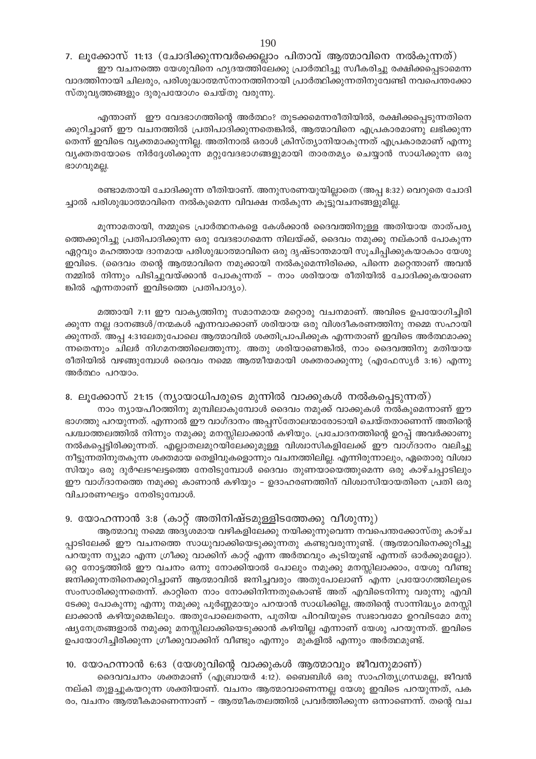7. ലൂക്കോസ് 11:13 (ചോദിക്കുന്നവർക്കെല്ലാം പിതാവ് ആത്മാവിനെ നൽകുന്നത്) ഈ വചനത്തെ യേശുവിനെ ഹൃദയത്തിലേക്കു പ്രാർത്ഥിച്ചു സ്വീകരിച്ചു രക്ഷിക്കപ്പെടാമെന്ന വാദത്തിനായി ചിലരും, പരിശുദ്ധാത്മസ്നാനത്തിനായി പ്രാർത്ഥിക്കുന്നതിനുവേണ്ടി നവപെന്തക്കോ സ്തുവൃത്തങ്ങളും ദുരുപയോഗം ചെയ്തു വരുന്നു.

എന്താണ് ഈ വേദഭാഗത്തിന്റെ അർത്ഥം? തുടക്കമെന്നരീതിയിൽ, രക്ഷിക്കപ്പെടുന്നതിനെ ക്കുറിച്ചാണ് ഈ വചനത്തിൽ പ്രതിപാദിക്കുന്നതെങ്കിൽ, ആത്മാവിനെ എപ്രകാരമാണു ലഭിക്കുന്ന തെന്ന് ഇവിടെ വ്യക്തമാക്കുന്നില്ല. അതിനാൽ ഒരാൾ ക്രിസ്ത്യാനിയാകുന്നത് എപ്രകാരമാണ് എന്നു വ്യക്തതയോടെ നിർദ്ദേശിക്കുന്ന മറ്റുവേദഭാഗങ്ങളുമായി താരതമ്യം ചെയ്യാൻ സാധിക്കുന്ന ഒരു ഭാഗവുമല്ല.

രണ്ടാമതായി ചോദിക്കുന്ന രീതിയാണ്. അനുസരണയുയില്ലാതെ (അപ്പ 8:32) വെറുതെ ചോദി ച്ചാൽ പരിശുദ്ധാത്മാവിനെ നൽകുമെന്ന വിവക്ഷ നൽകുന്ന കുട്ടുവചനങ്ങളുമില്ല.

മൂന്നാമതായി, നമ്മുടെ പ്രാർത്ഥനകളെ കേൾക്കാൻ ദൈവത്തിനുള്ള അതിയായ താത്പര്യ ത്തെക്കുറിച്ചു പ്രതിപാദിക്കുന്ന ഒരു വേദഭാഗമെന്ന നിലയ്ക്ക്, ദൈവം നമുക്കു നല്കാൻ പോകുന്ന ഏറ്റവും മഹത്തായ ദാനമായ പരിശുദ്ധാത്മാവിനെ ഒരു ദൃഷ്ടാന്തമായി സൂചിപ്പിക്കുകയാകാം യേശു ഇവിടെ. (ദൈവം തന്റെ ആത്മാവിനെ നമുക്കായി നൽകുമെന്നിരിക്കെ, പിന്നെ മറ്റെന്താണ് അവൻ നമ്മിൽ നിന്നും പിടിച്ചുവയ്ക്കാൻ പോകുന്നത് - നാം ശരിയായ രീതിയിൽ ചോദിക്കുകയാണെ ങ്കിൽ എന്നതാണ് ഇവിടത്തെ പ്രതിപാദ്യം).

മത്തായി 7:11 ഈ വാകൃത്തിനു സമാനമായ മറ്റൊരു വചനമാണ്. അവിടെ ഉപയോഗിച്ചിരി ക്കുന്ന നല്ല ദാനങ്ങൾ/നന്മകൾ എന്നവാക്കാണ് ശരിയായ ഒരു വിശദീകരണത്തിനു നമ്മെ സഹായി ക്കുന്നത്. അപ്പ 4:31ലേതുപോലെ ആത്മാവിൽ ശക്തിപ്രാപിക്കുക എന്നതാണ് ഇവിടെ അർത്ഥമാക്കു ന്നതെന്നും ചിലർ നിഗമനത്തിലെത്തുന്നു. അതു ശരിയാണെങ്കിൽ, നാം ദൈവത്തിനു മതിയായ രീതിയിൽ വഴങ്ങുമ്പോൾ ദൈവം നമ്മെ ആത്മീയമായി ശക്തരാക്കുന്നു (എഫേസ്യർ 3:16) എന്നു അർത്ഥം പറയാം.

8. ലൂക്കോസ് 21:15 (ന്യായാധിപരുടെ മുന്നിൽ വാക്കുകൾ നൽകപ്പെടുന്നത്)

നാം ന്യായപീഠത്തിനു മുമ്പിലാകുമ്പോൾ ദൈവം നമുക്ക് വാക്കുകൾ നൽകുമെന്നാണ് ഈ ഭാഗത്തു പറയുന്നത്. എന്നാൽ ഈ വാഗ്ദാനം അപ്പസ്തോലന്മാരോടായി ചെയ്തതാണെന്ന് അതിന്റെ പശ്ചാത്തലത്തിൽ നിന്നും നമുക്കു മനസ്സിലാക്കാൻ കഴിയും. പ്രചോദനത്തിന്റെ ഉറപ്പ് അവർക്കാണു നൽകപ്പെട്ടിരിക്കുന്നത്. എല്ലാതലമുറയിലേക്കുമുള്ള വിശ്വാസികളിലേക്ക് ഈ വാഗ്ദാനം വലിച്ചു നീട്ടുന്നതിനുതകുന്ന ശക്തമായ തെളിവുകളൊന്നും വചനത്തിലില്ല. എന്നിരുന്നാലും, ഏതൊരു വിശ്വാ സിയും ഒരു ദുർഘടഘട്ടത്തെ നേരിടുമ്പോൾ ദൈവം തുണയായെത്തുമെന്ന ഒരു കാഴ്ചപ്പാടിലും ഈ വാഗ്ദാനത്തെ നമുക്കു കാണാൻ കഴിയും – ഉദാഹരണത്തിന് വിശ്വാസിയായതിനെ പ്രതി ഒരു വിചാരണഘട്ടം നേരിടുമ്പോൾ.

## 9. യോഹന്നാൻ 3:8 (കാറ്റ് അതിനിഷ്ടമുള്ളിടത്തേക്കു വീശുന്നു)

ആത്മാവു നമ്മെ അദൃശമായ വഴികളിലേക്കു നയിക്കുന്നുവെന്ന നവപെന്തക്കോസ്തു കാഴ്ച പ്പാടിലേക്ക് ഈ വചനത്തെ സാധുവാക്കിയെടുക്കുന്നതു കണ്ടുവരുന്നുണ്ട്. (ആത്മാവിനെക്കുറിച്ചു പറയുന്ന ന്യൂമാ എന്ന ഗ്രീക്കു വാക്കിന് കാറ്റ് എന്ന അർത്ഥവും കൂടിയുണ്ട് എന്നത് ഓർക്കുമല്ലോ). ഒറ്റ നോട്ടത്തിൽ ഈ വചനം ഒന്നു നോക്കിയാൽ പോലും നമുക്കു മനസ്സിലാക്കാം, യേശു വീണ്ടു ജനിക്കുന്നതിനെക്കുറിച്ചാണ് ആത്മാവിൽ ജനിച്ചവരും അതുപോലാണ് എന്ന പ്രയോഗത്തിലൂടെ സംസാരിക്കുന്നതെന്ന്. കാറ്റിനെ നാം നോക്കിനിന്നതുകൊണ്ട് അത് എവിടെനിന്നു വരുന്നു എവി ടേക്കു പോകുന്നു എന്നു നമുക്കു പൂർണ്ണമായും പറയാൻ സാധിക്കില്ല, അതിന്റെ സാന്നിദ്ധ്യം മനസ്സി ലാക്കാൻ കഴിയുമെങ്കിലും. അതുപോലെതന്നെ, പുതിയ പിറവിയുടെ സ്വഭാവമോ ഉറവിടമോ മനു ഷ്യനേത്രങ്ങളാൽ നമുക്കു മനസ്സിലാക്കിയെടുക്കാൻ കഴിയില്ല എന്നാണ് യേശു പറയുന്നത്. ഇവിടെ ഉപയോഗിച്ചിരിക്കുന്ന ഗ്രീക്കുവാക്കിന് വീണ്ടും എന്നും മുകളിൽ എന്നും അർത്ഥമുണ്ട്.

10. യോഹന്നാൻ 6:63 (യേശുവിന്റെ വാക്കുകൾ ആത്മാവും ജീവനുമാണ്)

ദൈവവചനം ശക്തമാണ് (എബ്രായർ 4:12). ബൈബിൾ ഒരു സാഹിത്യഗ്രന്ധമല്ല, ജീവൻ നല്കി തുളച്ചുകയറുന്ന ശക്തിയാണ്. വചനം ആത്മാവാണെന്നല്ല യേശു ഇവിടെ പറയുന്നത്, പക രം, വചനം ആത്മീകമാണെന്നാണ് – ആത്മീകതലത്തിൽ പ്രവർത്തിക്കുന്ന ഒന്നാണെന്ന്. തന്റെ വച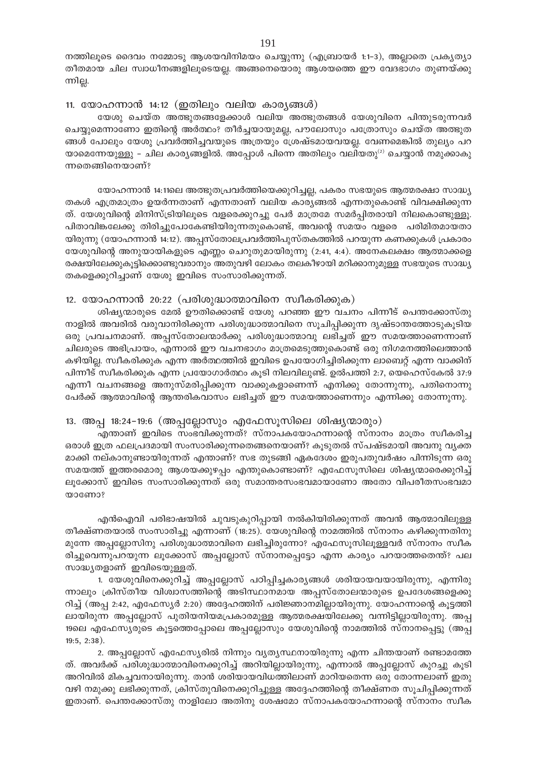നത്തിലൂടെ ദൈവം നമ്മോടു ആശയവിനിമയം ചെയ്യുന്നു (എബ്രായർ 1:1-3), അല്ലാതെ പ്രകൃത്യാ തീതമായ ചില സ്വാധീനങ്ങളിലൂടെയല്ല. അങ്ങനെയൊരു ആശയത്തെ ഈ വേദഭാഗം തുണയ്ക്കു ന്നില്ല.

#### 11. യോഹന്നാൻ 14:12 (ഇതിലും വലിയ കാര്യങ്ങൾ)

യേശു ചെയ്ത അത്ഭുതങ്ങളേക്കാൾ വലിയ അത്ഭുതങ്ങൾ യേശുവിനെ പിന്തുടരുന്നവർ ചെയ്യുമെന്നാണോ ഇതിന്റെ അർത്ഥം? തീർച്ചയായുമല്ല, പൗലോസും പത്രോസും ചെയ്ത അത്ഭുത ങ്ങൾ പോലും യേശു പ്രവർത്തിച്ചവയുടെ അത്രയും ശ്രേഷ്ടമായവയല്ല. വേണമെങ്കിൽ തുല്യം പറ യാമെന്നേയുള്ളു – ചില കാര്യങ്ങളിൽ. അപ്പോൾ പിന്നെ അതിലും വലിയതു<sup>(2)</sup> ചെയ്യാൻ നമുക്കാകു ന്നതെങ്ങിനെയാണ്?

യോഹന്നാൻ 14:11ലെ അത്ഭുതപ്രവർത്തിയെക്കുറിച്ചല്ല, പകരം സഭയുടെ ആത്മരക്ഷാ സാദ്ധ്യ തകൾ എത്രമാത്രം ഉയർന്നതാണ് എന്നതാണ് വലിയ കാര്യങ്ങൽ എന്നതുകൊണ്ട് വിവക്ഷിക്കുന്ന ത്. യേശുവിന്റെ മിനിസ്ട്രിയിലൂടെ വളരെക്കുറച്ചു പേർ മാത്രമേ സമർപ്പിതരായി നിലകൊണ്ടുള്ളൂ. പിതാവിങ്കലേക്കു തിരിച്ചുപോകേണ്ടിയിരുന്നതുകൊണ്ട്, അവന്റെ സമയം വളരെ പരിമിതമായതാ യിരുന്നു (യോഹന്നാൻ 14:12). അപ്പസ്തോലപ്രവർത്തിപുസ്തകത്തിൽ പറയുന്ന കണക്കുകൾ പ്രകാരം യേശുവിന്റെ അനുയായികളുടെ എണ്ണം ചെറുതുമായിരുന്നു (2:41, 4:4). അനേകലക്ഷം ആത്മാക്കളെ രക്ഷയിലേക്കുകൂട്ടിക്കൊണ്ടുവരാനും അതുവഴി ലോകം തലകീഴായി മറിക്കാനുമുള്ള സഭയുടെ സാദ്ധ്യ തകളെക്കുറിച്ചാണ് യേശു ഇവിടെ സംസാരിക്കുന്നത്.

## 12. യോഹന്നാൻ 20:22 (പരിശുദ്ധാത്മാവിനെ സ്വീകരിക്കുക)

ശിഷ്യന്മാരുടെ മേൽ ഊതിക്കൊണ്ട് യേശു പറഞ്ഞ ഈ വചനം പിന്നീട് പെന്തക്കോസ്തു നാളിൽ അവരിൽ വരുവാനിരിക്കുന്ന പരിശുദ്ധാത്മാവിനെ സൂചിപ്പിക്കുന്ന ദൃഷ്ടാന്തത്തോടുകൂടിയ ഒരു പ്രവചനമാണ്. അപ്പസ്തോലന്മാർക്കു പരിശുദ്ധാത്മാവു ലഭിച്ചത് ഈ സമയത്താണെന്നാണ് ചിലരുടെ അഭിപ്രായം, എന്നാൽ ഈ വചനഭാഗം മാത്രമെടുത്തുകൊണ്ട് ഒരു നിഗമനത്തിലെത്താൻ കഴിയില്ല. സ്വീകരിക്കുക എന്ന അർത്ഥത്തിൽ ഇവിടെ ഉപയോഗിച്ചിരിക്കുന്ന ലാബെറ്റ് എന്ന വാക്കിന് പിന്നീട് സ്വീകരിക്കുക എന്ന പ്രയോഗാർത്ഥം കൂടി നിലവിലുണ്ട്. ഉൽപത്തി 2:7, യെഹെസ്കേൽ 37:9 എന്നീ വചനങ്ങളെ അനുസ്മരിപ്പിക്കുന്ന വാക്കുകളാണെന്ന് എനിക്കു തോന്നുന്നു, പതിനൊന്നു പേർക്ക് ആത്മാവിന്റെ ആന്തരികവാസം ലഭിച്ചത് ഈ സമയത്താണെന്നും എന്നിക്കു തോന്നുന്നു.

## 13. അപ്പ 18:24-19:6 (അപ്പല്ലോസും എഫേസൂസിലെ ശിഷ്യന്മാരും)

എന്താണ് ഇവിടെ സംഭവിക്കുന്നത്? സ്നാപകയോഹന്നാന്റെ സ്നാനം മാത്രം സ്വീകരിച്ച ഒരാൾ ഇത്ര ഫലപ്രദമായി സംസാരിക്കുന്നതെങ്ങനെയാണ്? കൂടുതൽ സ്പഷ്ടമായി അവനു വൃക്ത മാക്കി നല്കാനുണ്ടായിരുന്നത് എന്താണ്? സഭ തുടങ്ങി ഏകദേശം ഇരുപതുവർഷം പിന്നിടുന്ന ഒരു സമയത്ത് ഇത്തരമൊരു ആശയക്കുഴപ്പം എന്തുകൊണ്ടാണ്? എഫേസൂസിലെ ശിഷ്യന്മാരെക്കുറിച്ച് ലൂക്കോസ് ഇവിടെ സംസാരിക്കുന്നത് ഒരു സമാന്തരസംഭവമായാണോ അതോ വിപരീതസംഭവമാ woomo?

എൻഐവി പരിഭാഷയിൽ ചുവടുകുറിപ്പായി നൽകിയിരിക്കുന്നത് അവൻ ആത്മാവിലുള്ള തീക്ഷ്ണതയാൽ സംസാരിച്ചു എന്നാണ് (18:25). യേശുവിന്റെ നാമത്തിൽ സ്നാനം കഴിക്കുന്നതിനു മുന്നേ അപ്പല്ലോസിനു പരിശുദ്ധാത്മാവിനെ ലഭിച്ചിരുന്നോ? എഫേസൂസിലൂള്ളവർ സ്നാനം സ്ഥീക രിച്ചുവെന്നുപറയുന്ന ലൂക്കോസ് അപ്പല്ലോസ് സ്നാനപ്പെട്ടോ എന്ന കാര്യം പറയാത്തതെന്ത്? പല സാദ്ധ്യതളാണ് ഇവിടെയുള്ളത്.

1. യേശുവിനെക്കുറിച്ച് അപ്പല്ലോസ് പഠിപ്പിച്ചകാര്യങ്ങൾ ശരിയായവയായിരുന്നു, എന്നിരു ന്നാലും ക്രിസ്തീയ വിശ്വാസത്തിന്റെ അടിസ്ഥാനമായ അപ്പസ്തോലന്മാരുടെ ഉപദേശങ്ങളെക്കു റിച്ച് (അപ്പ 2:42, എഫേസ്യർ 2:20) അദ്ദേഹത്തിന് പരിജ്ഞാനമില്ലായിരുന്നു. യോഹന്നാന്റെ കൂട്ടത്തി ലായിരുന്ന അപ്പല്ലോസ് പുതിയനിയമപ്രകാരമുള്ള ആത്മരക്ഷയിലേക്കു വന്നിട്ടില്ലായിരുന്നു. അപ്പ 19ലെ എഫേസ്യരുടെ കൂട്ടത്തെപ്പോലെ അപ്പല്ലോസും യേശുവിന്റെ നാമത്തിൽ സ്നാനപ്പെട്ടു (അപ്പ  $19:5, 2:38$ ).

2. അപ്പല്ലോസ് എഫേസ്യരിൽ നിന്നും വ്യത്യസ്ഥനായിരുന്നു എന്ന ചിന്തയാണ് രണ്ടാമത്തേ ത്. അവർക്ക് പരിശുദ്ധാത്മാവിനെക്കുറിച്ച് അറിയില്ലായിരുന്നു, എന്നാൽ അപ്പല്ലോസ് കുറച്ചു കൂടി അറിവിൽ മികച്ചവനായിരുന്നു. താൻ ശരിയായവിധത്തിലാണ് മാറിയതെന്ന ഒരു തോന്നലാണ് ഇതു വഴി നമുക്കു ലഭിക്കുന്നത്, ക്രിസ്തുവിനെക്കുറിച്ചുള്ള അദ്ദേഹത്തിന്റെ തീക്ഷ്ണത സൂചിപ്പിക്കുന്നത് ഇതാണ്. പെന്തക്കോസ്തു നാളിലോ അതിനു ശേഷമോ സ്നാപകയോഹന്നാന്റെ സ്നാനം സ്ഥീക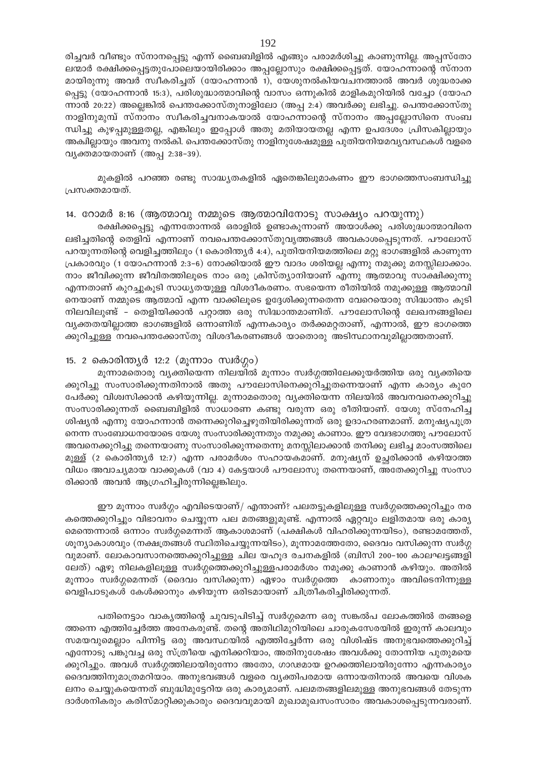രിച്ചവർ വീണ്ടും സ്നാനപ്പെട്ടു എന്ന് ബൈബിളിൽ എങ്ങും പരാമർശിച്ചു കാണുന്നില്ല. അപ്പസ്തോ ലന്മാർ രക്ഷിക്കപ്പെട്ടതുപോലെയായിരിക്കാം അപ്പല്ലോസും രക്ഷിക്കപ്പെട്ടത്. യോഹന്നാന്റെ സ്നാന മായിരുന്നു അവർ സ്ഥീകരിച്ചത് (യോഹന്നാൻ 1), യേശുനൽകിയവചനത്താൽ അവർ ശുദ്ധരാക്ക പ്പെട്ടു (യോഹന്നാൻ 15:3), പരിശുദ്ധാത്മാവിന്റെ വാസം ഒന്നുകിൽ മാളികമുറിയിൽ വച്ചോ (യോഹ ന്നാൻ 20:22) അല്ലെങ്കിൽ പെന്തക്കോസ്തുനാളിലോ (അപ്പ 2:4) അവർക്കു ലഭിച്ചു. പെന്തക്കോസ്തു നാളിനുമുമ്പ് സ്നാനം സ്വീകരിച്ചവനാകയാൽ യോഹന്നാന്റെ സ്നാനം അപ്പല്ലോസിനെ സംബ ന്ധിച്ചു കുഴപ്പമുള്ളതല്ല, എങ്കിലും ഇപ്പോൾ അതു മതിയായതല്ല എന്ന ഉപദേശം പ്രിസകില്ലായും അക്വില്ലായും അവനു നൽകി. പെന്തക്കോസ്തു നാളിനുശേഷമുള്ള പുതിയനിയമവൃവസ്ഥകൾ വളരെ വ്യക്തമായതാണ് (അപ്പ 2:38–39).

മുകളിൽ പറഞ്ഞ രണ്ടു സാദ്ധ്യതകളിൽ ഏതെങ്കിലുമാകണം ഈ ഭാഗത്തെസംബന്ധിച്ചു പ്രസക്തമായത്.

14. റോമർ 8:16 (ആത്മാവു നമ്മുടെ ആത്മാവിനോടു സാക്ഷ്യം പറയുന്നു) രക്ഷിക്കപ്പെട്ടു എന്നതോന്നൽ ഒരാളിൽ ഉണ്ടാകുന്നാണ് അയാൾക്കു പരിശുദ്ധാത്മാവിനെ ലഭിച്ചതിന്റെ തെളിവ് എന്നാണ് നവപെന്തക്കോസ്തുവൃത്തങ്ങൾ അവകാശപ്പെടുന്നത്. പൗലോസ് പറയുന്നതിന്റെ വെളിച്ചത്തിലും (1 കൊരിന്ത്യർ 4:4), പുതിയനിയമത്തിലെ മറ്റു ഭാഗങ്ങളിൽ കാണുന്ന പ്രകാരവും (1 യോഹന്നാൻ 2:3-6) നോക്കിയാൽ ഈ വാദം ശരിയല്ല എന്നു നമുക്കു മനസ്സിലാക്കാം. നാം ജീവിക്കുന്ന ജീവിതത്തിലൂടെ നാം ഒരു ക്രിസ്ത്യാനിയാണ് എന്നു ആത്മാവു സാക്ഷിക്കുന്നു എന്നതാണ് കുറച്ചുകൂടി സാധ്യതയുള്ള വിശദീകരണം. സഭയെന്ന രീതിയിൽ നമുക്കുള്ള ആത്മാവി നെയാണ് നമ്മുടെ ആത്മാവ് എന്ന വാക്കിലൂടെ ഉദ്ദേശിക്കുന്നതെന്ന വേറെയൊരു സിദ്ധാന്തം കൂടി നിലവിലുണ്ട് - തെളിയിക്കാൻ പറ്റാത്ത ഒരു സിദ്ധാന്തമാണിത്. പൗലോസിന്റെ ലേഖനങ്ങളിലെ വ്യക്തതയില്ലാത്ത ഭാഗങ്ങളിൽ ഒന്നാണിത് എന്നകാര്യം തർക്കമറ്റതാണ്, എന്നാൽ, ഈ ഭാഗത്തെ ക്കുറിച്ചുള്ള നവപെന്തക്കോസ്തു വിശദീകരണങ്ങൾ യാതൊരു അടിസ്ഥാനവുമില്ലാത്തതാണ്.

## 15. 2 കൊരിന്ത്യർ 12:2 (മുന്നാം സ്വർഗ്ഗം)

മൂന്നാമതൊരു വ്യക്തിയെന്ന നിലയിൽ മൂന്നാം സ്വർഗ്ഗത്തിലേക്കുയർത്തിയ ഒരു വ്യക്തിയെ ക്കുറിച്ചു സംസാരിക്കുന്നതിനാൽ അതു പൗലോസിനെക്കുറിച്ചുതന്നെയാണ് എന്ന കാര്യം കുറേ പേർക്കു വിശ്വസിക്കാൻ കഴിയുന്നില്ല. മുന്നാമതൊരു വ്യക്തിയെന്ന നിലയിൽ അവനവനെക്കുറിച്ചു സംസാരിക്കുന്നത് ബൈബിളിൽ സാധാരണ കണ്ടു വരുന്ന ഒരു രീതിയാണ്. യേശു സ്നേഹിച്ച ശിഷ്യൻ എന്നു യോഹന്നാൻ തന്നെക്കുറിച്ചെഴുതിയിരിക്കുന്നത് ഒരു ഉദാഹരണമാണ്. മനുഷ്യപുത്ര നെന്ന സംബോധനയോടെ യേശു സംസാരിക്കുന്നതും നമുക്കു കാണാം. ഈ വേദഭാഗത്തു പൗലോസ് അവനെക്കുറിച്ചു തന്നെയാണു സംസാരിക്കുന്നതെന്നു മനസ്സിലാക്കാൻ തനിക്കു ലഭിച്ച മാംസത്തിലെ മുള്ള് (2 കൊരിന്ത്യർ 12:7) എന്ന പരാമർശം സഹായകമാണ്. മനുഷ്യന് ഉച്ഛരിക്കാൻ കഴിയാത്ത വിധം അവാച്യമായ വാക്കുകൾ (വാ 4) കേട്ടയാൾ പൗലോസു തന്നെയാണ്, അതേക്കുറിച്ചു സംസാ രിക്കാൻ അവൻ ആഗ്രഹിച്ചിരുന്നില്ലെങ്കിലും.

ഈ മൂന്നാം സ്വർഗ്ഗം എവിടെയാണ്/ എന്താണ്? പലതട്ടുകളിലുള്ള സ്വർഗ്ഗത്തെക്കുറിച്ചും നര കത്തെക്കുറിച്ചും വിഭാവനം ചെയ്യുന്ന പല മതങ്ങളുമുണ്ട്. എന്നാൽ ഏറ്റവും ലളിതമായ ഒരു കാര്യ മെത്തെന്നാൽ ഒന്നാം സ്വർഗ്ഗമെന്നത് ആകാശമാണ് (പക്ഷികൾ വിഹരിക്കുന്നയിടം), രണ്ടാമത്തേത്, ശൂന്യാകാശവും (നക്ഷത്രങ്ങൾ സ്ഥിതിചെയ്യുന്നയിടം), മൂന്നാമത്തേതോ, ദൈവം വസിക്കുന്ന സ്വർഗ്ഗ വുമാണ്. ലോകാവസാനത്തെക്കുറിച്ചുള്ള ചില യഹൂദ രചനകളിൽ (ബിസി 200–100 കാലഘട്ടങ്ങളി ലേത്) ഏഴു നിലകളിലൂള്ള സ്വർഗ്ഗത്തെക്കുറിച്ചുള്ളപരാമർശം നമുക്കു കാണാൻ കഴിയും. അതിൽ മൂന്നാം സ്വർഗ്ഗമെന്നത് (ദൈവം വസിക്കുന്ന) ഏഴാം സ്വർഗ്ഗത്തെ കാണാനും അവിടെനിന്നുള്ള വെളിപാടുകൾ കേൾക്കാനും കഴിയുന്ന ഒരിടമായാണ് ചിത്രീകരിച്ചിരിക്കുന്നത്.

പതിനെട്ടാം വാകൃത്തിന്റെ ചുവടുപിടിച്ച് സ്വർഗ്ഗമെന്ന ഒരു സങ്കൽപ ലോകത്തിൽ തങ്ങളെ ത്തന്നെ എത്തിച്ചേർത്ത അനേകരുണ്ട്. തന്റെ അതിഥിമുറിയിലെ ചാരുകസേരയിൽ ഇരുന്ന് കാലവും സമയവുമെല്ലാം പിന്നിട്ട ഒരു അവസ്ഥയിൽ എത്തിച്ചേർന്ന ഒരു വിശിഷ്ട അനുഭവത്തെക്കുറിച്ച് എന്നോടു പങ്കുവച്ച ഒരു സ്ത്രീയെ എനിക്കറിയാം, അതിനുശേഷം അവൾക്കു തോന്നിയ പുതുമയെ ക്കുറിച്ചും. അവൾ സ്വർഗ്ഗത്തിലായിരുന്നോ അതോ, ഗാഢമായ ഉറക്കത്തിലായിരുന്നോ എന്നകാര്യം ദൈവത്തിനുമാത്രമറിയാം. അനുഭവങ്ങൾ വളരെ വ്യക്തിപരമായ ഒന്നായതിനാൽ അവയെ വിശക ലനം ചെയ്യുകയെന്നത് ബുദ്ധിമുട്ടേറിയ ഒരു കാര്യമാണ്. പലമതങ്ങളിലമുള്ള അനുഭവങ്ങൾ തേടുന്ന ദാർശനികരും കരിസ്മാറ്റിക്കുകാരും ദൈവവുമായി മുഖാമുഖസംസാരം അവകാശപ്പെടുന്നവരാണ്.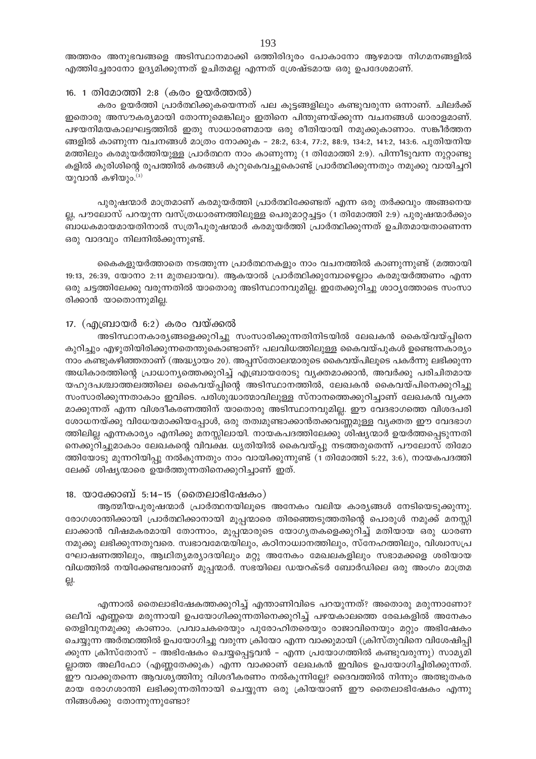അത്തരം അനുഭവങ്ങളെ അടിസ്ഥാനമാക്കി ഒത്തിരിദുരം പോകാനോ ആഴമായ നിഗമനങ്ങളിൽ എത്തിച്ചേരാനോ ഉദ്യമിക്കുന്നത് ഉചിതമല്ല എന്നത് ശ്രേഷ്ടമായ ഒരു ഉപദേശമാണ്.

## 16. 1 തിമോത്തി 2:8 (കരം ഉയർത്തൽ)

കരം ഉയർത്തി പ്രാർത്ഥിക്കുകയെന്നത് പല കൂട്ടങ്ങളിലും കണ്ടുവരുന്ന ഒന്നാണ്. ചിലർക്ക് ഇതൊരു അസൗകര്യമായി തോന്നുമെങ്കിലും ഇതിനെ പിന്തുണയ്ക്കുന്ന വചനങ്ങൾ ധാരാളമാണ്. പഴയനിമയകാലഘട്ടത്തിൽ ഇതു സാധാരണമായ ഒരു രീതിയായി നമുക്കുകാണാം. സങ്കീർത്തന ങ്ങളിൽ കാണുന്ന വചനങ്ങൾ മാത്രം നോക്കുക – 28:2, 63:4, 77:2, 88:9, 134:2, 141:2, 143:6. പുതിയനിയ മത്തിലും കരമുയർത്തിയുള്ള പ്രാർത്ഥന നാം കാണുന്നു (1 തിമോത്തി 2:9). പിന്നീടുവന്ന നുറ്റാണ്ടു കളിൽ കുരിശിന്റെ രൂപത്തിൽ കരങ്ങൾ കുറുകെവച്ചുകൊണ്ട് പ്രാർത്ഥിക്കുന്നതും നമുക്കു വായിച്ചറി യുവാൻ കഴിയും. $^{(3)}$ 

പുരുഷന്മാർ മാത്രമാണ് കരമുയർത്തി പ്രാർത്ഥിക്കേണ്ടത് എന്ന ഒരു തർക്കവും അങ്ങനെയ ല്ല, പൗലോസ് പറയുന്ന വസ്ത്രധാരണത്തിലുള്ള പെരുമാറ്റച്ചട്ടം (1 തിമോത്തി 2:9) പുരുഷന്മാർക്കും ബാധകമായമായതിനാൽ സത്രീപുരുഷന്മാർ കരമുയർത്തി പ്രാർത്ഥിക്കുന്നത് ഉചിതമായതാണെന്ന ഒരു വാദവും നിലനിൽക്കുന്നുണ്ട്.

കൈകളുയർത്താതെ നടത്തുന്ന പ്രാർത്ഥനകളും നാം വചനത്തിൽ കാണുന്നുണ്ട് (മത്തായി 19:13, 26:39, യോനാ 2:11 മുതലായവ). ആകയാൽ പ്രാർത്ഥിക്കുമ്പോഴെല്ലാം കരമുയർത്തണം എന്ന ഒരു ചട്ടത്തിലേക്കു വരുന്നതിൽ യാതൊരു അടിസ്ഥാനവുമില്ല. ഇതേക്കുറിച്ചു ശാഠ്യത്തോടെ സംസാ രിക്കാൻ യാതൊന്നുമില്ല.

## 17. (എബ്രായർ 6:2) കരം വയ്ക്കൽ

അടിസ്ഥാനകാര്യങ്ങളെക്കുറിച്ചു സംസാരിക്കുന്നതിനിടയിൽ ലേഖകൻ കൈയ്വയ്പ്പിനെ കുറിച്ചും എഴുതിയിരിക്കുന്നതെന്തുകൊണ്ടാണ്? പലവിധത്തിലുള്ള കൈവയ്പുകൾ ഉണ്ടെന്നകാര്യം നാം കണ്ടുകഴിഞ്ഞതാണ് (അദ്ധ്യായം 20). അപ്പസ്തോലന്മാരുടെ കൈവയ്പിലൂടെ പകർന്നു ലഭിക്കുന്ന അധികാരത്തിന്റെ പ്രാധാന്യത്തെക്കുറിച്ച് എബ്രായരോടു വ്യക്തമാക്കാൻ, അവർക്കു പരിചിതമായ യഹുദപശ്ചാത്തലത്തിലെ കൈവയ്പ്പിന്റെ അടിസ്ഥാനത്തിൽ, ലേഖകൻ കൈവയ്പിനെക്കുറിച്ചു സംസാരിക്കുന്നതാകാം ഇവിടെ. പരിശുദ്ധാത്മാവിലുള്ള സ്നാനത്തെക്കുറിച്ചാണ് ലേഖകൻ വ്യക്ത മാക്കുന്നത് എന്ന വിശദീകരണത്തിന് യാതൊരു അടിസ്ഥാനവുമില്ല. ഈ വേദഭാഗത്തെ വിശദപരി ശോധനയ്ക്കു വിധേയമാക്കിയപ്പോൾ, ഒരു തത്വമുണ്ടാക്കാൻതക്കവണ്ണമുള്ള വ്യക്തത ഈ വേദഭാഗ ത്തിലില്ല എന്നകാര്യം എനിക്കു മനസ്സിലായി. നായകപദത്തിലേക്കു ശിഷ്യന്മാർ ഉയർത്തപ്പെടുന്നതി നെക്കുറിച്ചുമാകാം ലേഖകന്റെ വിവക്ഷ. ധൃതിയിൽ കൈവയ്പ്പു നടത്തരുതെന്ന് പൗലോസ് തിമോ ത്തിയോടു മുന്നറിയിപ്പു നൽകുന്നതും നാം വായിക്കുന്നുണ്ട് (1 തിമോത്തി 5:22, 3:6), നായകപദത്തി ലേക്ക് ശിഷ്യന്മാരെ ഉയർത്തുന്നതിനെക്കുറിച്ചാണ് ഇത്.

## 18. യാക്കോബ് 5:14-15 (തൈലാഭിഷേകം)

ആത്മീയപുരുഷന്മാർ പ്രാർത്ഥനയിലൂടെ അനേകം വലിയ കാര്യങ്ങൾ നേടിയെടുക്കുന്നു. രോഗശാന്തിക്കായി പ്രാർത്ഥിക്കാനായി മൂപ്പന്മാരെ തിരഞ്ഞെടുത്തതിന്റെ പൊരുൾ നമുക്ക് മനസ്സി ലാക്കാൻ വിഷമകരമായി തോന്നാം, മൂപ്പന്മാരുടെ യോഗൃതകളെക്കുറിച്ച് മതിയായ ഒരു ധാരണ നമുക്കു ലഭിക്കുന്നതുവരെ. സ്വഭാവമേന്മയിലും, കഠിനാധ്വാനത്തിലും, സ്നേഹത്തിലും, വിശ്വാസപ്ര ഘോഷണത്തിലും, ആഥിത്യമര്യാദയിലും മറ്റു അനേകം മേഖലകളിലും സഭാമക്കളെ ശരിയായ വിധത്തിൽ നയിക്കേണ്ടവരാണ് മൂപ്പന്മാർ. സഭയിലെ ഡയറക്ടർ ബോർഡിലെ ഒരു അംഗം മാത്രമ 읝.

എന്നാൽ തൈലാഭിഷേകത്തക്കുറിച്ച് എന്താണിവിടെ പറയുന്നത്? അതൊരു മരുന്നാണോ? ഒലീവ് എണ്ണയെ മരുന്നായി ഉപയോഗിക്കുന്നതിനെക്കുറിച്ച് പഴയകാലത്തെ രേഖകളിൽ അനേകം തെളിവുനമുക്കു കാണാം. പ്രവാചകരെയും പുരോഹിതരെയും രാജാവിനെയും മറ്റും അഭിഷേകം ചെയ്യുന്ന അർത്ഥത്തിൽ ഉപയോഗിച്ചു വരുന്ന ക്രിയോ എന്ന വാക്കുമായി (ക്രിസ്തുവിനെ വിശേഷിപ്പി ക്കുന്ന ക്രിസ്തോസ് – അഭിഷേകം ചെയ്യപ്പെട്ടവൻ – എന്ന പ്രയോഗത്തിൽ കണ്ടുവരുന്നു) സാമ്യമി ല്ലാത്ത അലീഫോ (എണ്ണതേക്കുക) എന്ന വാക്കാണ് ലേഖകൻ ഇവിടെ ഉപയോഗിച്ചിരിക്കുന്നത്. ഈ വാക്കുതന്നെ ആവശ്യത്തിനു വിശദീകരണം നൽകുന്നില്ലേ? ദൈവത്തിൽ നിന്നും അത്ഭുതകര മായ രോഗശാന്തി ലഭിക്കുന്നതിനായി ചെയ്യുന്ന ഒരു ക്രിയയാണ് ഈ തൈലാഭിഷേകം എന്നു നിങ്ങൾക്കു തോന്നുന്നുണ്ടോ?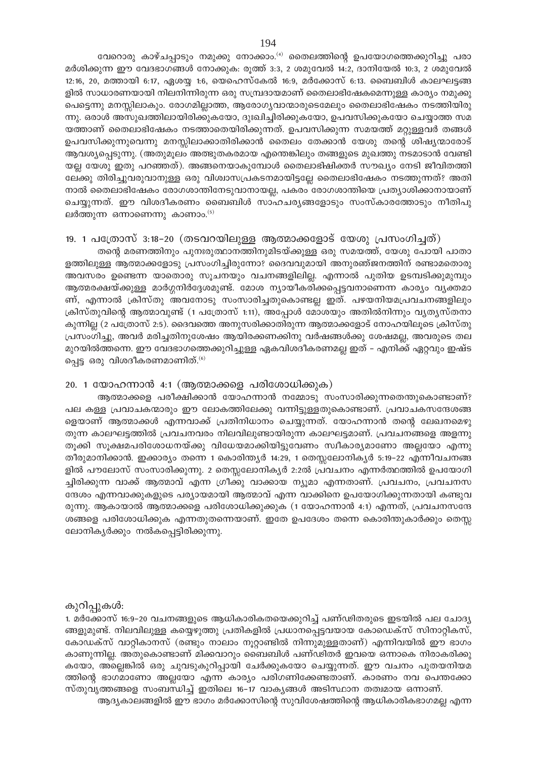വേറൊരു കാഴ്ചപ്പാടും നമുക്കു നോക്കാം. $^{(4)}$  തൈലത്തിന്റെ ഉപയോഗത്തെക്കുറിച്ചു പരാ മർശിക്കുന്ന ഈ വേദഭാഗങ്ങൾ നോക്കുക: രൂത്ത് 3:3, 2 ശമുവേൽ 14:2, ദാനിയേൽ 10:3, 2 ശമുവേൽ 12:16, 20, മത്തായി 6:17, ഏശയ്യ 1:6, യെഹെസ്കേൽ 16:9, മർക്കോസ് 6:13. ബൈബിൾ കാലഘട്ടങ്ങ ളിൽ സാധാരണയായി നിലനിന്നിരുന്ന ഒരു സമ്പ്രദായമാണ് തൈലാഭിഷേകമെന്നുള്ള കാര്യം നമുക്കു പെട്ടെന്നു മനസ്സിലാകും. രോഗമില്ലാത്ത, ആരോഗൃവാന്മാരുടെമേലും തൈലാഭിഷേകം നടത്തിയിരു ന്നു. ഒരാൾ അസുഖത്തിലായിരിക്കുകയോ, ദുഃഖിച്ചിരിക്കുകയോ, ഉപവസിക്കുകയോ ചെയ്യാത്ത സമ യത്താണ് തൈലാഭിഷേകം നടത്താതെയിരിക്കുന്നത്. ഉപവസിക്കുന്ന സമയത്ത് മറ്റുള്ളവർ തങ്ങൾ ഉപവസിക്കുന്നുവെന്നു മനസ്സിലാക്കാതിരിക്കാൻ തൈലം തേക്കാൻ യേശു തന്റെ ശിഷ്യന്മാരോട് ആവശ്യപ്പെടുന്നു. (അതുമൂലം അത്ഭുതകരമായ എന്തെങ്കിലും തങ്ങളുടെ മുഖത്തു നടമാടാൻ വേണ്ടി യല്ല യേശു ഇതു പറഞ്ഞത്). അങ്ങനെയാകുമ്പോൾ തൈലാഭിഷിക്തർ സൗഖ്യം നേടി ജീവിതത്തി ലേക്കു തിരിച്ചുവരുവാനുള്ള ഒരു വിശ്വാസപ്രകടനമായിട്ടല്ലേ തൈലാഭിഷേകം നടത്തുന്നത്? അതി നാൽ തൈലാഭിഷേകം രോഗശാന്തിനേടുവാനായല്ല, പകരം രോഗശാന്തിയെ പ്രത്യാശിക്കാനായാണ് ചെയ്യുന്നത്. ഈ വിശദീകരണം ബൈബിൾ സാഹചര്യങ്ങളോടും സംസ്കാരത്തോടും നീതിപു ലർത്തുന്ന ഒന്നാണെന്നു കാണാം.<sup>(5)</sup>

## 19. 1 പത്രോസ് 3:18-20 (തടവറയിലുള്ള ആത്മാക്കളോട് യേശു പ്രസംഗിച്ചത്)

തന്റെ മരണത്തിനും പുനഃരുത്ഥാനത്തിനുമിടയ്ക്കുള്ള ഒരു സമയത്ത്, യേശു പോയി പാതാ ളത്തിലുള്ള ആത്മാക്കളോടു പ്രസംഗിച്ചിരുന്നോ? ദൈവവുമായി അനുരഞ്ജനത്തിന് രണ്ടാമതൊരു അവസരം ഉണ്ടെന്ന യാതൊരു സൂചനയും വചനങ്ങളിലില്ല. എന്നാൽ പുതിയ ഉടമ്പടിക്കുമുമ്പും ആത്മരക്ഷയ്ക്കുള്ള മാർഗ്ഗനിർദ്ദേശമുണ്ട്. മോശ ന്യായീകരിക്കപ്പെട്ടവനാണെന്ന കാര്യം വ്യക്തമാ ണ്, എന്നാൽ ക്രിസ്തു അവനോടു സംസാരിച്ചതുകൊണ്ടല്ല ഇത്. പഴയനിയമപ്രവചനങ്ങളിലും ക്രിസ്തുവിന്റെ ആത്മാവുണ്ട് (1 പത്രോസ് 1:11), അപ്പോൾ മോശയും അതിൽനിന്നും വ്യതൃസ്തനാ കുന്നില്ല (2 പത്രോസ് 2:5). ദൈവത്തെ അനുസരിക്കാതിരുന്ന ആത്മാക്കളോട് നോഹയിലൂടെ ക്രിസ്തു പ്രസംഗിച്ചു, അവർ മരിച്ചതിനുശേഷം ആയിരക്കണക്കിനു വർഷങ്ങൾക്കു ശേഷമല്ല, അവരുടെ തല മുറയിൽത്തന്നെ. ഈ വേദഭാഗത്തെക്കുറിച്ചുള്ള ഏകവിശദീകരണമല്ല ഇത് – എനിക്ക് ഏറ്റവും ഇഷ്ട പ്പെട്ട ഒരു വിശദീകരണമാണിത്. $^{(6)}$ 

#### 20. 1 യോഹന്നാൻ 4:1 (ആത്മാക്കളെ പരിശോധിക്കുക)

ആത്മാക്കളെ പരീക്ഷിക്കാൻ യോഹന്നാൻ നമ്മോടു സംസാരിക്കുന്നതെന്തുകൊണ്ടാണ്? പല കള്ള പ്രവാചകന്മാരും ഈ ലോകത്തിലേക്കു വന്നിട്ടുള്ളതുകൊണ്ടാണ്. പ്രവാചകസന്ദേശങ്ങ ളെയാണ് ആത്മാക്കൾ എന്നവാക്ക് പ്രതിനിധാനം ചെയ്യുന്നത്. യോഹന്നാൻ തന്റെ ലേഖനമെഴു തുന്ന കാലഘട്ടത്തിൽ പ്രവചനവരം നിലവിലുണ്ടായിരുന്ന കാലഘട്ടമാണ്. പ്രവചനങ്ങളെ അളന്നു തൂക്കി സൂക്ഷമപരിശോധനയ്ക്കു വിധേയമാക്കിയിട്ടുവേണം സ്വീകാര്യമാണോ അല്ലയോ എന്നു തീരുമാനിക്കാൻ. ഇക്കാര്യം തന്നെ 1 കൊരിന്ത്യർ 14:29, 1 തെസ്സലോനിക്യർ 5:19–22 എന്നീവചനങ്ങ ളിൽ പൗലോസ് സംസാരിക്കുന്നു. 2 തെസ്സലോനികൃർ 2:2ൽ പ്രവചനം എന്നർത്ഥത്തിൽ ഉപയോഗി ച്ചിരിക്കുന്ന വാക്ക് ആത്മാവ് എന്ന ഗ്രീക്കു വാക്കായ ന്യൂമാ എന്നതാണ്. പ്രവചനം, പ്രവചനസ ന്ദേശം എന്നവാക്കുകളുടെ പര്യായമായി ആത്മാവ് എന്ന വാക്കിനെ ഉപയോഗിക്കുന്നതായി കണ്ടുവ രുന്നു. ആകായാൽ ആത്മാക്കളെ പരിശോധിക്കുക്കുക (1 യോഹന്നാൻ 4:1) എന്നത്, പ്രവചനസന്ദേ ശങ്ങളെ പരിശോധിക്കുക എന്നതുതന്നെയാണ്. ഇതേ ഉപദേശം തന്നെ കൊരിന്തുകാർക്കും തെസ്സ ലോനികൃർക്കും നൽകപ്പെട്ടിരിക്കുന്നു.

## കുറിപ്പുകൾ:

1. മർക്കോസ് 16:9–20 വചനങ്ങളുടെ ആധികാരികതയെക്കുറിച്ച് പണ്ഢിതരുടെ ഇടയിൽ പല ചോദ്യ ങ്ങളുമുണ്ട്. നിലവിലുള്ള കയ്യെഴുത്തു പ്രതികളിൽ പ്രധാനപ്പെട്ടവയായ കോഡെക്സ് സിനാറ്റികസ്, കോഡക്സ് വാറ്റികാനസ് (രണ്ടും നാലാം നൂറ്റാണ്ടിൽ നിന്നുമുള്ളതാണ്) എന്നിവയിൽ ഈ ഭാഗം കാണുന്നില്ല. അതുകൊണ്ടാണ് മിക്കവാറും ബൈബിൾ പണ്ഢിതർ ഇവയെ ഒന്നാകെ നിരാകരിക്കു കയോ, അല്ലെങ്കിൽ ഒരു ചുവടുകുറിപ്പായി ചേർക്കുകയോ ചെയ്യുന്നത്. ഈ വചനം പുതയനിയമ ത്തിന്റെ ഭാഗമാണോ അല്ലയോ എന്ന കാര്യം പരിഗണിക്കേണ്ടതാണ്. കാരണം നവ പെന്തക്കോ സ്തുവൃത്തങ്ങളെ സംബന്ധിച്ച് ഇതിലെ 16–17 വാകൃങ്ങൾ അടിസ്ഥാന തത്വമായ ഒന്നാണ്.

ആദ്യകാലങ്ങളിൽ ഈ ഭാഗം മർക്കോസിന്റെ സുവിശേഷത്തിന്റെ ആധികാരികഭാഗമല്ല എന്ന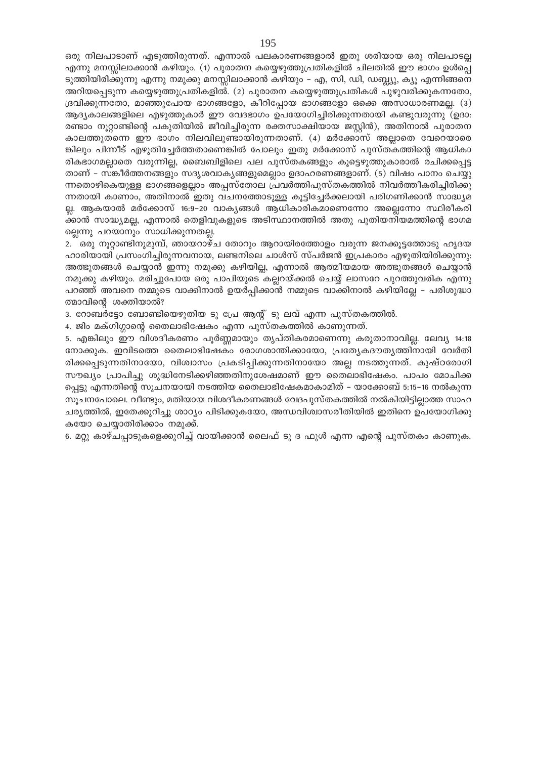ഒരു നിലപാടാണ് എടുത്തിരുന്നത്. എന്നാൽ പലകാരണങ്ങളാൽ ഇതു ശരിയായ ഒരു നിലപാടല്ല എന്നു മനസ്സിലാക്കാൻ കഴിയും. (1) പുരാതന കയ്യെഴുത്തുപ്രതികളിൽ ചിലതിൽ ഈ ഭാഗം ഉൾപ്പെ ടുത്തിയിരിക്കുന്നു എന്നു നമുക്കു മനസ്സിലാക്കാൻ കഴിയും – എ, സി, ഡി, ഡബ്ല്യു, ക്യൂ എന്നിങ്ങനെ അറിയപ്പെടുന്ന കയ്യെഴുത്തുപ്രതികളിൽ. (2) പുരാതന കയ്യെഴുത്തുപ്രതികൾ പുഴുവരിക്കുകന്നതോ, ദ്രവിക്കുന്നതോ, മാഞ്ഞുപോയ ഭാഗങ്ങളോ, കീറിപ്പോയ ഭാഗങ്ങളോ ഒക്കെ അസാധാരണമല്ല. (3) ആദ്യകാലങ്ങളിലെ എഴുത്തുകാർ ഈ വേദഭാഗം ഉപയോഗിച്ചിരിക്കുന്നതായി കണ്ടുവരുന്നു (ഉദാ: രണ്ടാം നൂറ്റാണ്ടിന്റെ പകുതിയിൽ ജീവിച്ചിരുന്ന രക്തസാക്ഷിയായ ജസ്റ്റിൻ), അതിനാൽ പുരാതന കാലത്തുതന്നെ ഈ ഭാഗം നിലവിലുണ്ടായിരുന്നതാണ്. (4) മർക്കോസ് അല്ലാതെ വേറെയാരെ ങ്കിലും പിന്നീട് എഴുതിച്ചേർത്തതാണെങ്കിൽ പോലും ഇതു മർക്കോസ് പുസ്തകത്തിന്റെ ആധികാ രികഭാഗമല്ലാതെ വരുന്നില്ല, ബൈബിളിലെ പല പുസ്തകങ്ങളും കൂട്ടെഴുത്തുകാരാൽ രചിക്കപ്പെട്ട താണ് – സങ്കീർത്തനങ്ങളും സദൃശവാകൃങ്ങളുമെല്ലാം ഉദാഹരണങ്ങളാണ്. (5) വിഷം പാനം ചെയ്യു ന്നതൊഴികെയുള്ള ഭാഗങ്ങളെല്ലാം അപ്പസ്തോല പ്രവർത്തിപുസ്തകത്തിൽ നിവർത്തീകരിച്ചിരിക്കു ന്നതായി കാണാം, അതിനാൽ ഇതു വചനത്തോടുള്ള കൂട്ടിച്ചേർക്കലായി പരിഗണിക്കാൻ സാദ്ധ്യമ ല്ല. ആകയാൽ മർക്കോസ് 16:9–20 വാകൃങ്ങൾ ആധികാരികമാണെന്നോ അല്ലെന്നോ സ്ഥിരീകരി ക്കാൻ സാദ്ധ്യമല്ല, എന്നാൽ തെളിവുകളുടെ അടിസ്ഥാനത്തിൽ അതു പുതിയനിയമത്തിന്റെ ഭാഗമ ല്ലെന്നു പറയാനും സാധിക്കുന്നതല്ല.

2. ഒരു നൂറ്റാണ്ടിനുമുമ്പ്, ഞായറാഴ്ച തോറും ആറായിരത്തോളം വരുന്ന ജനക്കൂട്ടത്തോടു ഹൃദയ ഹാരിയായി പ്രസംഗിച്ചിരുന്നവനായ, ലണ്ടനിലെ ചാൾസ് സ്പർജൻ ഇപ്രകാരം എഴുതിയിരിക്കുന്നു: അത്ഭുതങ്ങൾ ചെയ്യാൻ ഇന്നു നമുക്കു കഴിയില്ല, എന്നാൽ ആത്മീയമായ അത്ഭുതങ്ങൾ ചെയ്യാൻ നമുക്കു കഴിയും. മരിച്ചുപോയ ഒരു പാപിയുടെ കല്ലറയ്ക്കൽ ചെയ്യ് ലാസറേ പുറത്തുവരിക എന്നു പറഞ്ഞ് അവനെ നമ്മുടെ വാക്കിനാൽ ഉയർപ്പിക്കാൻ നമ്മുടെ വാക്കിനാൽ കഴിയില്ലേ – പരിശുദ്ധാ ത്മാവിന്റെ ശക്തിയാൽ?

3. റോബർട്ടോ ബോണ്ടിയെഴുതിയ ടു പ്രേ ആന്റ് ടു ലവ് എന്ന പുസ്തകത്തിൽ.

4. ജിം മക്ഗിഗ്ഗാന്റെ തൈലാഭിഷേകം എന്ന പുസ്തകത്തിൽ കാണുന്നത്.

5. എങ്കിലും ഈ വിശദീകരണം പൂർണ്ണമായും തൃപ്തികരമാണെന്നു കരുതാനാവില്ല. ലേവ്യ 14:18 നോക്കുക. ഇവിടത്തെ തൈലാഭിഷേകം രോഗശാന്തിക്കായോ, പ്രത്യേകദൗത്യത്തിനായി വേർതി രിക്കപ്പെടുന്നതിനായോ, വിശ്വാസം പ്രകടിപ്പിക്കുന്നതിനായോ അല്ല നടത്തുന്നത്. കുഷ്ഠരോഗി സൗഖ്യം പ്രാപിച്ചു ശുദ്ധിനേടിക്കഴിഞ്ഞതിനുശേഷമാണ് ഈ തൈലാഭിഷേകം. പാപം മോചിക്ക പ്പെട്ടു എന്നതിന്റെ സൂചനയായി നടത്തിയ തൈലാഭിഷേകമാകാമിത് – യാക്കോബ് 5:15–16 നൽകുന്ന സുചനപോലെ. വീണ്ടും, മതിയായ വിശദീകരണങ്ങൾ വേദപുസ്തകത്തിൽ നൽകിയിട്ടില്ലാത്ത സാഹ ചര്യത്തിൽ, ഇതേക്കുറിച്ചു ശാഠ്യം പിടിക്കുകയോ, അന്ധവിശ്വാസരീതിയിൽ ഇതിനെ ഉപയോഗിക്കു കയോ ചെയ്യാതിരിക്കാം നമുക്ക്.

6. മറ്റു കാഴ്ചപ്പാടുകളെക്കുറിച്ച് വായിക്കാൻ ലൈഫ് ടു ദ ഫുൾ എന്ന എന്റെ പുസ്തകം കാണുക.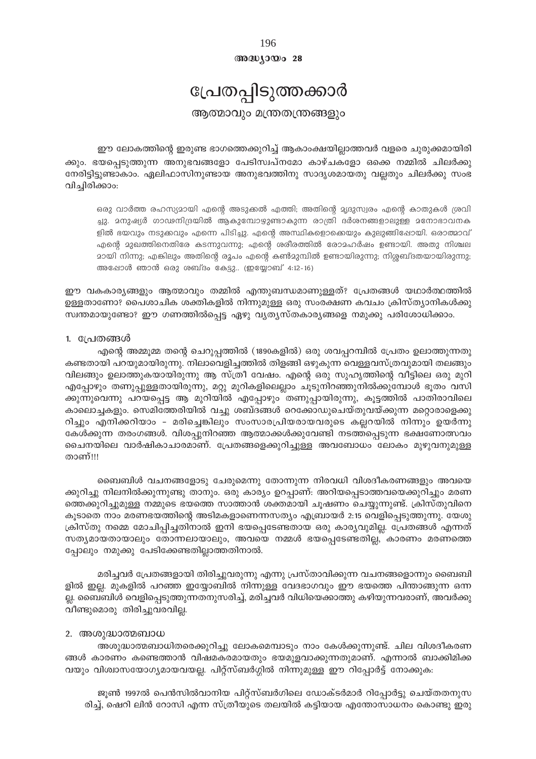അദ്ധ്യായം 28

## പ്രേതപ്പിടുത്തക്കാർ

ആത്മാവും മന്ത്രതന്ത്രങ്ങളും

ഈ ലോകത്തിന്റെ ഇരുണ്ട ഭാഗത്തെക്കുറിച്ച് ആകാംക്ഷയില്ലാത്തവർ വളരെ ചുരുക്കമായിരി ക്കും. ഭയപ്പെടുത്തുന്ന അനുഭവങ്ങളോ പേടിസ്വപ്നമോ കാഴ്ചകളോ ഒക്കെ നമ്മിൽ ചിലർക്കു നേരിട്ടിട്ടുണ്ടാകാം. ഏലിഫാസിനുണ്ടായ അനുഭവത്തിനു സാദൃശമായതു വല്ലതും ചിലർക്കു സംഭ വിച്ചിരിക്കാം:

ഒരു വാർത്ത രഹസ്യമായി എന്റെ അടുക്കൽ എത്തി; അതിന്റെ മൃദുസ്വരം എന്റെ കാതുകൾ ശ്രവി ച്ചു. മനുഷ്യർ ഗാഢനിദ്രയിൽ ആകുമ്പോഴുണ്ടാകുന്ന രാത്രി ദർശനങ്ങളാലുള്ള മനോഭാവനക ളിൽ ഭയവും നടുക്കവും എന്നെ പിടിച്ചു. എന്റെ അസ്ഥികളൊക്കെയും കുലുങ്ങിഷോയി. ഒരാത്മാവ് എന്റെ മുഖത്തിനെതിരേ കടന്നുവന്നു; എന്റെ ശരീരത്തിൽ രോമഹർഷം ഉണ്ടായി. അതു നിശ്ചല മായി നിന്നു; എങ്കിലും അതിന്റെ രൂപം എന്റെ കൺമുമ്പിൽ ഉണ്ടായിരുന്നു; നിശ്ശബ്ദതയായിരുന്നു; അഷോൾ ഞാൻ ഒരു ശബ്ദം കേട്ടു.. (ഇയ്യോബ് 4:12-16)

ഈ വകകാര്യങ്ങളും ആത്മാവും തമ്മിൽ എന്തുബന്ധമാണുള്ളത്? പ്രേതങ്ങൾ യഥാർത്ഥത്തിൽ ഉള്ളതാണോ? പൈശാചിക ശക്തികളിൽ നിന്നുമുള്ള ഒരു സംരക്ഷണ കവചം ക്രിസ്ത്യാനികൾക്കു സ്വന്തമായുണ്ടോ? ഈ ഗണത്തിൽപ്പെട്ട ഏഴു വ്യത്യസ്തകാര്യങ്ങളെ നമുക്കു പരിശോധിക്കാം.

## 1. പ്രേതങ്ങൾ

എന്റെ അമ്മുമ്മ തന്റെ ചെറുപ്പത്തിൽ (1890കളിൽ) ഒരു ശവപ്പറമ്പിൽ പ്രേതം ഉലാത്തുന്നതു കണ്ടതായി പറയുമായിരുന്നു. നിലാവെളിച്ചത്തിൽ തിളങ്ങി ഒഴുകുന്ന വെള്ളവസ്ത്രവുമായി തലങ്ങും വിലങ്ങും ഉലാത്തുകയായിരുന്നു ആ സ്ത്രീ വേഷം. എന്റെ ഒരു സുഹൃത്തിന്റെ വീട്ടിലെ ഒരു മുറി എപ്പോഴും തണുപ്പുള്ളതായിരുന്നു, മറ്റു മുറികളിലെല്ലാം ചൂടുനിറഞ്ഞുനിൽക്കുമ്പോൾ ഭൂതം വസി ക്കുന്നുവെന്നു പറയപ്പെട്ട ആ മുറിയിൽ എപ്പോഴും തണുപ്പായിരുന്നു, കൂട്ടത്തിൽ പാതിരാവിലെ കാലൊച്ചകളും. സെമിത്തേരിയിൽ വച്ചു ശബ്ദങ്ങൾ റെക്കോഡുചെയ്തുവയ്ക്കുന്ന മറ്റൊരാളെക്കു റിച്ചും എനിക്കറിയാം - മരിച്ചെങ്കിലും സംസാരപ്രിയരായവരുടെ കല്ലറയിൽ നിന്നും ഉയർന്നു കേൾക്കുന്ന തരംഗങ്ങൾ. വിശപ്പുനിറഞ്ഞ ആത്മാക്കൾക്കുവേണ്ടി നടത്തപ്പെടുന്ന ഭക്ഷണോത്സവം ചൈനയിലെ വാർഷികാചാരമാണ്. പ്രേതങ്ങളെക്കുറിച്ചുള്ള അവബോധം ലോകം മുഴുവനുമുള്ള താണ്!!!

ബൈബിൾ വചനങ്ങളോടു ചേരുമെന്നു തോന്നുന്ന നിരവധി വിശദീകരണങ്ങളും അവയെ ക്കുറിച്ചു നിലനിൽക്കുന്നുണ്ടു താനും. ഒരു കാര്യം ഉറപ്പാണ്: അറിയപ്പെടാത്തവയെക്കുറിച്ചും മരണ ത്തെക്കുറിച്ചുമുള്ള നമ്മുടെ ഭയത്തെ സാത്താൻ ശക്തമായി ചൂഷണം ചെയ്യുന്നുണ്ട്. ക്രിസ്തുവിനെ കൂടാതെ നാം മരണഭയത്തിന്റെ അടിമകളാണെന്നസത്യം എബ്രായർ 2:15 വെളിപ്പെടുത്തുന്നു. യേശു ക്രിസ്തു നമ്മെ മോചിപ്പിച്ചതിനാൽ ഇനി ഭയപ്പെടേണ്ടതായ ഒരു കാര്യവുമില്ല. പ്രേതങ്ങൾ എന്നത് സത്യമായതായാലും തോന്നലായാലും, അവയെ നമ്മൾ ഭയപ്പെടേണ്ടതില്ല, കാരണം മരണത്തെ പ്പോലും നമുക്കു പേടിക്കേണ്ടതില്ലാത്തതിനാൽ.

മരിച്ചവർ പ്രേതങ്ങളായി തിരിച്ചുവരുന്നു എന്നു പ്രസ്താവിക്കുന്ന വചനങ്ങളൊന്നും ബൈബി ളിൽ ഇല്ല. മുകളിൽ പറഞ്ഞ ഇയ്യോബിൽ നിന്നുള്ള വേദഭാഗവും ഈ ഭയത്തെ പിന്താങ്ങുന്ന ഒന്ന ല്ല. ബൈബിൾ വെളിപ്പെടുത്തുന്നതനുസരിച്ച്, മരിച്ചവർ വിധിയെക്കാത്തു കഴിയുന്നവരാണ്, അവർക്കു വീണ്ടുമൊരു തിരിച്ചുവരവില്ല.

## 2. അശുദ്ധാത്മബാധ

അശുദ്ധാത്മബാധിതരെക്കുറിച്ചു ലോകമെമ്പാടും നാം കേൾക്കുന്നുണ്ട്. ചില വിശദീകരണ ങ്ങൾ കാരണം കണ്ടെത്താൻ വിഷമകരമായതും ഭയമുളവാക്കുന്നതുമാണ്. എന്നാൽ ബാക്കിമിക്ക വയും വിശ്വാസയോഗ്യമായവയല്ല. പിറ്റ്സ്ബർഗ്ഗിൽ നിന്നുമുള്ള ഈ റിപ്പോർട്ട് നോക്കുക:

ജൂൺ 1997ൽ പെൻസിൽവാനിയ പിറ്റ്സ്ബർഗിലെ ഡോക്ടർമാർ റിപ്പോർട്ടു ചെയ്തതനുസ രിച്ച്, ഷെറി ലിൻ റോസി എന്ന സ്ത്രീയുടെ തലയിൽ കട്ടിയായ എന്തോസാധനം കൊണ്ടു ഇരു

## 196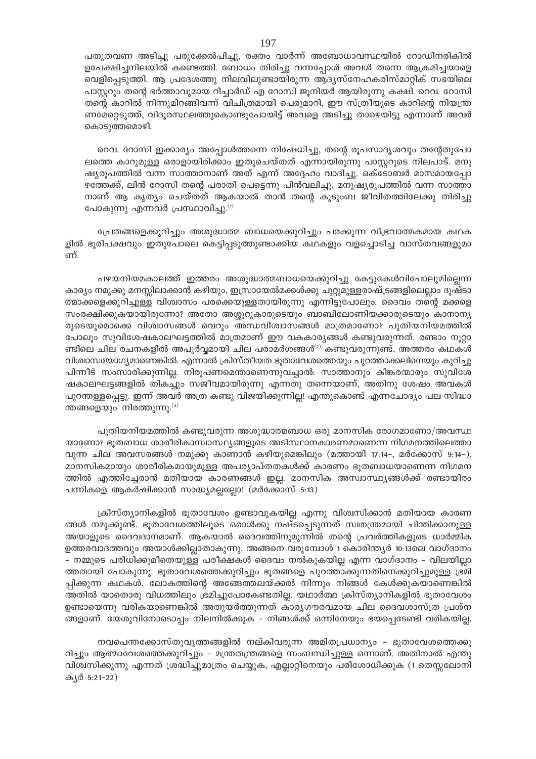പതുതവണ അടിച്ചു പരുക്കേൽപിച്ചു, രക്തം വാർന്ന് അബോധാവസ്ഥയിൽ റോഡിനരികിൽ ഉപേക്ഷിച്ചനിലയിൽ കണ്ടെത്തി. ബോധം തിരിച്ചു വന്നപ്പോൾ അവൾ തന്നെ ആക്രമിച്ചയാളെ വെളിപ്പെടുത്തി. ആ പ്രദേശത്തു നിലവിലുണ്ടായിരുന്ന ആദ്യസ്നേഹകരിസ്മാറ്റിക് സഭയിലെ പാസ്റ്ററും തന്റെ ഭർത്താവുമായ റിച്ചാർഡ് എ റോസി ജൂനിയർ ആയിരുന്നു കക്ഷി. റെവ. റോസി തന്റെ കാറിൽ നിന്നുമിറങ്ങിവന്ന് വിചിത്രമായി പെരുമാറി, ഈ സ്ത്രീയുടെ കാറിന്റെ നിയന്ത്ര ണമേറ്റെടുത്ത്, വിദൂരസ്ഥലത്തുകൊണ്ടുപോയിട്ട് അവളെ അടിച്ചു താഴെയിട്ടു എന്നാണ് അവർ കൊടുത്തമൊഴി.

റെവ. റോസി ഇക്കാര്യം അപ്പോൾത്തന്നെ നിഷേധിച്ചു, തന്റെ രൂപസാദൃശവും തന്റേതുപോ ലത്തെ കാറുമുള്ള ഒരാളായിരിക്കാം ഇതുചെയ്തത് എന്നായിരുന്നു പാസ്റ്ററുടെ നിലപാട്. മനു ഷ്യരൂപത്തിൽ വന്ന സാത്താനാണ് അത് എന്ന് അദ്ദേഹം വാദിച്ചു. ഒക്ടോബർ മാസമായപ്പോ ഴത്തേക്ക്, ലിൻ റോസി തന്റെ പരാതി പെട്ടെന്നു പിൻവലിച്ചു, മനുഷ്യരൂപത്തിൽ വന്ന സാത്താ നാണ് ആ കൃത്യം ചെയ്തത് ആകയാൽ താൻ തന്റെ കുടുംബ ജീവിതത്തിലേക്കു തിരിച്ചു പോകുന്നു എന്നവർ പ്രസ്ഥാവിച്ചു.<sup>(1)</sup>

പ്രേതങ്ങളെക്കുറിച്ചും അശുദ്ധാത്മ ബാധയെക്കുറിച്ചും പരക്കുന്ന വിഭ്രവാത്മകമായ കഥക ളിൽ ഭൂരിപക്ഷവും ഇതുപോലെ കെട്ടിപ്പടുത്തുണ്ടാക്കിയ കഥകളും വളച്ചൊടിച്ച വാസ്തവങ്ങളുമാ ണ്.

പഴയനിയമകാലത്ത് ഇത്തരം അശുദ്ധാത്മബാധയെക്കുറിച്ചു കേട്ടുകേൾവിപോലുമില്ലെന്ന കാര്യം നമുക്കു മനസ്സിലാക്കാൻ കഴിയും, ഇസ്രായേൽമക്കൾക്കു ചുറ്റുമുള്ളരാഷ്ട്രങ്ങളിലെല്ലാം ദുഷ്ടാ ത്മാക്കളെക്കുറിച്ചുള്ള വിശ്വാസം പരക്കെയുള്ളതായിരുന്നു എന്നിട്ടുപോലും. ദൈവം തന്റെ മക്കളെ സംരക്ഷിക്കുകയായിരുന്നോ? അതോ അശ്ശൂറുകാരുടെയും ബാബിലോണിയക്കാരുടെയും കാനാന്യ രുടെയുമൊക്കെ വിശ്വാസങ്ങൾ വെറും അന്ധവിശ്വാസങ്ങൾ മാത്രമാണോ? പുതിയനിയമത്തിൽ പോലൂം സുവിശേഷകാലഘട്ടത്തിൽ മാത്രമാണ് ഈ വകകാര്യങ്ങൾ കണ്ടുവരുന്നത്. രണ്ടാം നൂറ്റാ ണ്ടിലെ ചില രചനകളിൽ അപൂർവ്വമായി ചില പരാമർശങ്ങൾ $^{(2)}$  കണ്ടുവരുന്നുണ്ട്, അത്തരം കഥകൾ വിശ്വാസയോഗ്യമാണെങ്കിൽ. എന്നാൽ ക്രിസ്തീയത ഭുതാവേശത്തെയും പുറത്താക്കലിനെയും കുറിച്ചു പിന്നീട് സംസാരിക്കുന്നില്ല. നിരൂപണമെന്താണെന്നുവച്ചാൽ: സാത്താനും കിങ്കരന്മാരും സുവിശേ ഷകാലഘട്ടങ്ങളിൽ തികച്ചും സജീവമായിരുന്നു എന്നതു തന്നെയാണ്, അതിനു ശേഷം അവകൾ പുറന്തള്ളപ്പെട്ടു. ഇന്ന് അവർ അത്ര കണ്ടു വിജയിക്കുന്നില്ല! എന്തുകൊണ്ട് എന്നചോദ്യം പല സിദ്ധാ ന്തങ്ങളെയും നിരത്തുന്നു. $^{(3)}$ 

പുതിയനിയമത്തിൽ കണ്ടുവരുന്ന അശുദ്ധാത്മബാധ ഒരു മാനസിക രോഗമാണോ/അവസ്ഥ യാണോ? ഭൂതബാധ ശാരീരികാസ്വാസ്ഥ്യങ്ങളുടെ അടിസ്ഥാനകാരണമാണെന്ന നിഗമനത്തിലെത്താ വുന്ന ചില അവസരങ്ങൾ നമുക്കു കാണാൻ കഴിയുമെങ്കിലും (മത്തായി 17:14–, മർക്കോസ് 9:14–), മാനസികമായും ശാരീരികമായുമുള്ള അപര്യാപ്തതകൾക്ക് കാരണം ഭൂതബാധയാണെന്ന നിഗമന ത്തിൽ എത്തിച്ചേരാൻ മതിയായ കാരണങ്ങൾ ഇല്ല. മാനസിക അസ്വാസ്ഥ്യങ്ങൾക്ക് രണ്ടായിരം പന്നികളെ ആകർഷിക്കാൻ സാദ്ധ്യമല്ലല്ലോ! (മർക്കോസ് 5:13)

ക്രിസ്ത്യാനികളിൽ ഭൂതാവേശം ഉണ്ടാവുകയില്ല എന്നു വിശ്വസിക്കാൻ മതിയായ കാരണ ങ്ങൾ നമുക്കുണ്ട്. ഭൂതാവേശത്തിലൂടെ ഒരാൾക്കു നഷ്ടപ്പെടുന്നത് സ്വതന്ത്രമായി ചിന്തിക്കാനുള്ള അയാളുടെ ദൈവദാനമാണ്. ആകയാൽ ദൈവത്തിനുമുന്നിൽ തന്റെ പ്രവർത്തികളുടെ ധാർമ്മിക ഉത്തരവാദത്തവും അയാൾക്കില്ലാതാകുന്നു. അങ്ങനെ വരുമ്പോൾ 1 കൊരിന്ത്യർ 10:13ലെ വാഗ്ദാനം – നമ്മുടെ പരിധിക്കുമീതെയുള്ള പരീക്ഷകൾ ദൈവം നൽകുകയില്ല എന്ന വാഗ്ദാനം – വിലയില്ലാ ത്തതായി പോകുന്നു. ഭൂതാവേശത്തെക്കുറിച്ചും ഭൂതങ്ങളെ പുറത്താക്കുന്നതിനെക്കുറിച്ചുമുള്ള ഭ്രമി പ്പിക്കുന്ന കഥകൾ, ലോകത്തിന്റെ അങ്ങേത്തലയ്ക്കൽ നിന്നും നിങ്ങൾ കേൾക്കുകയാണെങ്കിൽ അതിൽ യാതൊരു വിധത്തിലും ഭ്രമിച്ചുപോകേണ്ടതില്ല. യഥാർത്ഥ ക്രിസ്ത്യാനികളിൽ ഭൂതാവേശം ഉണ്ടായെന്നു വരികയാണെങ്കിൽ അതുയർത്തുന്നത് കാര്യഗൗരവമായ ചില ദൈവശാസ്ത്ര പ്രശ്ന ങ്ങളാണ്. യേശുവിനോടൊപ്പം നിലനിൽക്കുക – നിങ്ങൾക്ക് ഒന്നിനേയും ഭയപ്പെടേണ്ടി വരികയില്ല.

നവപെന്തക്കോസ്തുവൃത്തങ്ങളിൽ നല്കിവരുന്ന അമിതപ്രധാന്യം - ഭൂതാവേശത്തെക്കു റിച്ചും ആത്മാവേശത്തെക്കുറിച്ചും – മന്ത്രതന്ത്രങ്ങളെ സംബന്ധിച്ചുള്ള ഒന്നാണ്. അതിനാൽ എന്തു വിശ്വസിക്കുന്നു എന്നത് ശ്രദ്ധിച്ചുമാത്രം ചെയ്യുക, എല്ലാറ്റിനെയും പരിശോധിക്കുക (1 തെസ്സലോനി കൃർ 5:21–22)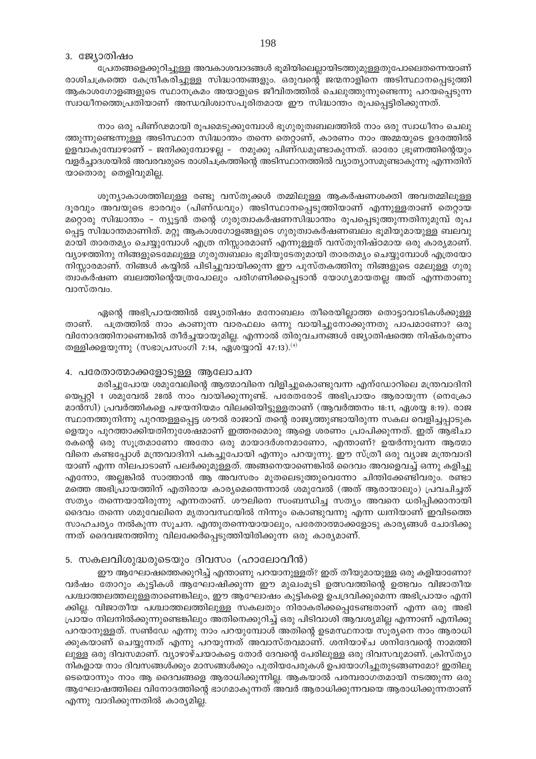#### 3. ജ്യോതിഷം

പ്രേതങ്ങളെക്കുറിച്ചുള്ള അവകാശവാദങ്ങൾ ഭൂമിയിലെല്ലായിടത്തുമുള്ളതുപോലെതന്നെയാണ് രാശിചക്രത്തെ കേന്ദ്രീകരിച്ചുള്ള സിദ്ധാന്തങ്ങളും. ഒരുവന്റെ ജന്മനാളിനെ അടിസ്ഥാനപ്പെടുത്തി ആകാശഗോളങ്ങളുടെ സ്ഥാനക്രമം അയാളുടെ ജീവിതത്തിൽ ചെലുത്തുന്നുണ്ടെന്നു പറയപ്പെടുന്ന സ്വാധീനത്തെപ്രതിയാണ് അന്ധവിശ്വാസപൂരിതമായ ഈ സിദ്ധാന്തം രൂപപ്പെട്ടിരിക്കുന്നത്.

നാം ഒരു പിണ്ഢമായി രൂപമെടുക്കുമ്പോൾ ഭൂഗുരുത്വബലത്തിൽ നാം ഒരു സ്വാധീനം ചെലു ത്തുന്നുണ്ടെന്നുള്ള അടിസ്ഥാന സിദ്ധാന്തം തന്നെ തെറ്റാണ്, കാരണം നാം അമ്മയുടെ ഉദരത്തിൽ ഉളവാകുമ്പോഴാണ് – ജനിക്കുമ്പോഴല്ല – നമുക്കു പിണ്ഡമുണ്ടാകുന്നത്. ഓരോ ഭ്രൂണത്തിന്റെയും വളർച്ചാദശയിൽ അവരവരുടെ രാശിചക്രത്തിന്റെ അടിസ്ഥാനത്തിൽ വ്യാത്യാസമുണ്ടാകുന്നു എന്നതിന് യാതൊരു തെളിവുമില്ല.

ശൂന്യാകാശത്തിലുള്ള രണ്ടു വസ്തുക്കൾ തമ്മിലുള്ള ആകർഷണശക്തി അവതമ്മിലൂള്ള ദൂരവും അവയുടെ ഭാരവും (പിണ്ഡവും) അടിസ്ഥാനപ്പെടുത്തിയാണ് എന്നുള്ളതാണ് തെറ്റായ മറ്റൊരു സിദ്ധാന്തം – ന്യൂട്ടൻ തന്റെ ഗുരുത്വാകർഷണസിദ്ധാന്തം രൂപപ്പെടുത്തുന്നതിനുമുമ്പ് രൂപ പ്പെട്ട സിദ്ധാന്തമാണിത്. മറ്റു ആകാശഗോളങ്ങളുടെ ഗുരുത്വാകർഷണബലം ഭൂമിയുമായുള്ള ബലവു മായി താരതമ്യം ചെയ്യുമ്പോൾ എത്ര നിസ്സാരമാണ് എന്നുള്ളത് വസ്തുനിഷ്ഠമായ ഒരു കാര്യമാണ്. വ്യാഴത്തിനു നിങ്ങളുടെമേലുള്ള ഗുരുത്വബലം ഭൂമിയുടേതുമായി താരതമ്യം ചെയ്യുമ്പോൾ എത്രയോ നിസ്സാരമാണ്. നിങ്ങൾ കയ്യിൽ പിടിച്ചുവായിക്കുന്ന ഈ പുസ്തകത്തിനു നിങ്ങളുടെ മേലുള്ള ഗുരു ത്വാകർഷണ ബലത്തിന്റെയത്രപോലും പരിഗണിക്കപ്പെടാൻ യോഗ്യമായതല്ല അത് എന്നതാണു വാസ്തവം.

ഏന്റെ അഭിപ്രായത്തിൽ ജ്യോതിഷം മനോബലം തീരെയില്ലാത്ത തൊട്ടാവാടികൾക്കുള്ള പത്രത്തിൽ നാം കാണുന്ന വാരഫലം ഒന്നു വായിച്ചുനോക്കുന്നതു പാപമാണോ? ഒരു താണ്. വിനോദത്തിനാണെങ്കിൽ തീർച്ചയായുമില്ല. എന്നാൽ തിരുവചനങ്ങൾ ജ്യോതിഷത്തെ നിഷ്കരുണം തള്ളിക്കളയുന്നു (സഭാപ്രസംഗി 7:14, ഏശയ്യാവ് 47:13).  $(4)$ 

#### 4. പരേതാത്മാക്കളോടുള്ള ആലോചന

മരിച്ചുപോയ ശമുവേലിന്റെ ആത്മാവിനെ വിളിച്ചുകൊണ്ടുവന്ന എന്ഡോറിലെ മന്ത്രവാദിനി യെപ്പറ്റി 1 ശമുവേൽ 28ൽ നാം വായിക്കുന്നുണ്ട്. പരേതരോട് അഭിപ്രായം ആരായുന്ന (നെക്രോ മാൻസി) പ്രവർത്തികളെ പഴയനിയമം വിലക്കിയിട്ടുള്ളതാണ് (ആവർത്തനം 18:11, ഏശയ്യ 8:19). രാജ സ്ഥാനത്തുനിന്നു പുറന്തള്ളപ്പെട്ട ശൗൽ രാജാവ് തന്റെ രാജ്യത്തുണ്ടായിരുന്ന സകല വെളിച്ചപ്പാടുക ളെയും പുറത്താക്കിയതിനുശേഷമാണ് ഇത്തരമൊരു ആളെ ശരണം പ്രാപിക്കുന്നത്. ഇത് ആഭിചാ രകന്റെ ഒരു സൂത്രമാണോ അതോ ഒരു മായാദർശനമാണോ, എന്താണ്? ഉയർന്നുവന്ന ആത്മാ വിനെ കണ്ടപ്പോൾ മന്ത്രവാദിനി പകച്ചുപോയി എന്നും പറയുന്നു. ഈ സ്ത്രീ ഒരു വ്യാജ മന്ത്രവാദി യാണ് എന്ന നിലപാടാണ് പലർക്കുമുള്ളത്. അങ്ങനെയാണെങ്കിൽ ദൈവം അവളെവച്ച് ഒന്നു കളിച്ചു എന്നോ, അല്ലങ്കിൽ സാത്താൻ ആ അവസരം മുതലെടുത്തുവെന്നോ ചിന്തിക്കേണ്ടിവരും. രണ്ടാ മത്തെ അഭിപ്രായത്തിന് എതിരായ കാര്യമെന്തെന്നാൽ ശമുവേൽ (അത് ആരായാലും) പ്രവചിച്ചത് സത്യം തന്നെയായിരുന്നു എന്നതാണ്. ശൗലിനെ സംബന്ധിച്ച സത്യം അവനെ ധരിപ്പിക്കാനായി ദൈവം തന്നെ ശമുവേലിനെ മൃതാവസ്ഥയിൽ നിന്നും കൊണ്ടുവന്നു എന്ന ധ്വനിയാണ് ഇവിടത്തെ സാഹചര്യം നൽകുന്ന സൂചന. എന്തുതന്നെയായാലും, പരേതാത്മാക്കളോടു കാര്യങ്ങൾ ചോദിക്കു ന്നത് ദൈവജനത്തിനു വിലക്കേർപ്പെടുത്തിയിരിക്കുന്ന ഒരു കാര്യമാണ്.

## 5. സകലവിശുദ്ധരുടെയും ദിവസം (ഹാലോവീൻ)

ഈ ആഘോഷത്തെക്കുറിച്ച് എന്താണു പറയാനുള്ളത്? ഇത് തീയുമായുള്ള ഒരു കളിയാണോ? വർഷം തോറും കുട്ടികൾ ആഘോഷിക്കുന്ന ഈ മുഖംമൂടി ഉത്സവത്തിന്റെ ഉത്ഭവം വിജാതീയ പശ്ചാത്തലത്തലുള്ളതാണെങ്കിലും, ഈ ആഘോഷം കുട്ടികളെ ഉപദ്രവിക്കുമെന്ന അഭിപ്രായം എനി ക്കില്ല. വിജാതീയ പശ്ചാത്തലത്തിലുള്ള സകലതും നിരാകരിക്കപ്പെടേണ്ടതാണ് എന്ന ഒരു അഭി പ്രായം നിലനിൽക്കുന്നുണ്ടെങ്കിലും അതിനെക്കുറിച്ച് ഒരു പിടിവാശി ആവശ്യമില്ല എന്നാണ് എനിക്കു പറയാനുള്ളത്. സൺഡേ എന്നു നാം പറയുമ്പോൾ അതിന്റെ ഉടമസ്ഥനായ സൂര്യനെ നാം ആരാധി ക്കുകയാണ് ചെയ്യുന്നത് എന്നു പറയുന്നത് അവാസ്തവമാണ്. ശനിയാഴ്ച ശനിദേവന്റെ നാമത്തി ലുള്ള ഒരു ദിവസമാണ്. വ്യാഴാഴ്ചയാകട്ടെ തോർ ദേവന്റെ പേരിലുള്ള ഒരു ദിവസവുമാണ്. ക്രിസ്ത്യാ നികളായ നാം ദിവസങ്ങൾക്കും മാസങ്ങൾക്കും പുതിയപേരുകൾ ഉപയോഗിച്ചുതുടങ്ങണമോ? ഇതിലൂ ടെയൊന്നും നാം ആ ദൈവങ്ങളെ ആരാധിക്കുന്നില്ല. ആകയാൽ പരമ്പരാഗതമായി നടത്തുന്ന ഒരു ആഘോഷത്തിലെ വിനോദത്തിന്റെ ഭാഗമാകുന്നത് അവർ ആരാധിക്കുന്നവയെ ആരാധിക്കുന്നതാണ് എന്നു വാദിക്കുന്നതിൽ കാര്യമില്ല.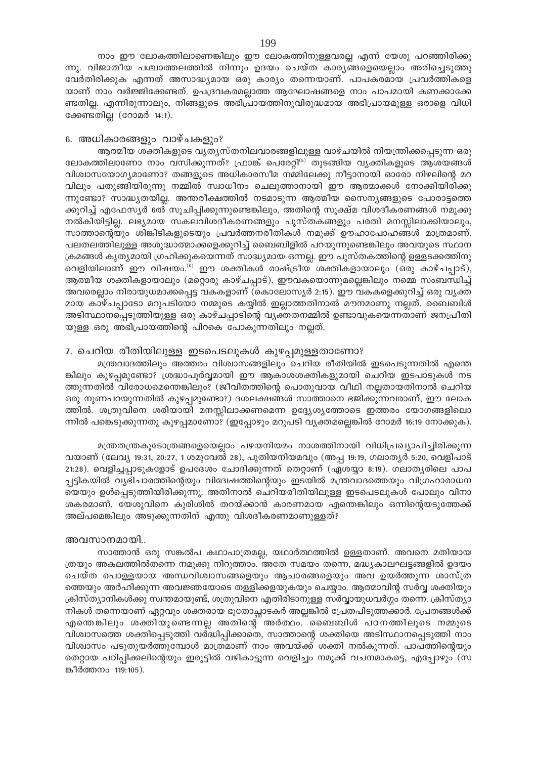നാം ഈ ലോകത്തിലാണെങ്കിലും ഈ ലോകത്തിനുള്ളവരല്ല എന്ന് യേശു പറഞ്ഞിരിക്കു ന്നു. വിജാതീയ പശ്ചാത്തലത്തിൽ നിന്നും ഉദയം ചെയ്ത കാര്യങ്ങളെയെല്ലാം അരിച്ചെടുത്തു വേർതിരിക്കുക എന്നത് അസാദ്ധ്യമായ ഒരു കാര്യം തന്നെയാണ്. പാപകരമായ പ്രവർത്തികളെ യാണ് നാം വർജ്ജിക്കേണ്ടത്. ഉപദ്രവകരമല്ലാത്ത ആഘോഷങ്ങളെ നാം പാപമായി കണക്കാക്കേ ണ്ടതില്ല. എന്നിരുന്നാലും, നിങ്ങളുടെ അഭിപ്രായത്തിനുവിരുദ്ധമായ അഭിപ്രായമുള്ള ഒരാളെ വിധി ക്കേണ്ടതില്ല (റോമർ 14:1).

#### 6. അധികാരങ്ങളും വാഴ്ചകളും?

ആത്മീയ ശക്തികളുടെ വൃതൃസ്തനിലവാരങ്ങളിലുള്ള വാഴ്ചയിൽ നിയന്ത്രിക്കപ്പെടുന്ന ഒരു ലോകത്തിലാണോ നാം വസിക്കുന്നത്? ഫ്രാങ്ക് പെരേറ്റി<sup>(5)</sup> തുടങ്ങിയ വ്യക്തികളുടെ ആശയങ്ങൾ വിശ്വാസയോഗ്യമാണോ? തങ്ങളുടെ അധികാരസീമ നമ്മിലേക്കു നീട്ടാനായി ഓരോ നിഴലിന്റെ മറ വിലും പതുങ്ങിയിരുന്നു നമ്മിൽ സ്വാധീനം ചെലുത്താനായി ഈ ആത്മാക്കൾ നോക്കിയിരിക്കു ന്നുണ്ടോ? സാദ്ധ്യതയില്ല. അന്തരീക്ഷത്തിൽ നടമാടുന്ന ആത്മീയ സൈന്യങ്ങളുടെ പോരാട്ടത്തെ ക്കുറിച്ച് എഫേസ്യർ 6ൽ സൂചിപ്പിക്കുന്നുണ്ടെങ്കിലും, അതിന്റെ സൂക്ഷ്മ വിശദീകരണങ്ങൾ നമുക്കു നൽകിയിട്ടില്ല. ലഭ്യമായ സകലവിശദീകരണങ്ങളും പുസ്തകങ്ങളും പരതി മനസ്സിലാക്കിയാലും, സാത്താന്റെയും ശിങ്കിടികളുടെയും പ്രവർത്തനരീതികൾ നമുക്ക് ഊഹാപോഹങ്ങൾ മാത്രമാണ്. പലതലത്തിലുള്ള അശുദ്ധാത്മാക്കളെക്കുറിച്ച് ബൈബിളിൽ പറയുന്നുണ്ടെങ്കിലും അവയുടെ സ്ഥാന ക്രമങ്ങൾ കൃത്യമായി ഗ്രഹിക്കുകയെന്നത് സാദ്ധ്യമായ ഒന്നല്ല. ഈ പുസ്തകത്തിന്റെ ഉള്ളടക്കത്തിനു വെളിയിലാണ് ഈ വിഷയം.<sup>6)</sup> ഈ ശക്തികൾ രാഷ്ട്രീയ ശക്തികളായാലും (ഒരു കാഴ്ചപ്പാട്), ആത്മീയ ശക്തികളായാലും (മറ്റൊരു കാഴ്ചപ്പാട്), ഈവകയൊന്നുമല്ലെങ്കിലും നമ്മെ സംബന്ധിച്ച് അവരെല്ലാം നിരായുധമാക്കപ്പെട്ട വകകളാണ് (കൊലോസ്യർ 2:15). ഈ വകകളെക്കുറിച്ച് ഒരു വ്യക്ത മായ കാഴ്ചപ്പാടോ മറുപടിയോ നമ്മുടെ കയ്യിൽ ഇല്ലാത്തതിനാൽ മൗനമാണു നല്ലത്. ബൈബിൾ അടിസ്ഥാനപ്പെടുത്തിയുള്ള ഒരു കാഴ്ചപ്പാടിന്റെ വ്യക്തതനമ്മിൽ ഉണ്ടാവുകയെന്നതാണ് ജനപ്രീതി യുള്ള ഒരു അഭിപ്രായത്തിന്റെ പിറകെ പോകുന്നതിലും നല്ലത്.

### 7. ചെറിയ രീതിയിലുള്ള ഇടപെടലുകൾ കുഴപ്പമുള്ളതാണോ?

മന്ത്രവാദത്തിലും അത്തരം വിശ്വാസങ്ങളിലും ചെറിയ രീതിയിൽ ഇടപെടുന്നതിൽ എന്തെ ങ്കിലും കുഴപ്പമുണ്ടോ? ശ്രദ്ധാപൂർവ്വമായി ഈ ആകാശശക്തികളുമായി ചെറിയ ഇടപാടുകൾ നട ത്തുന്നതിൽ വിരോധമെന്തെങ്കിലും? (ജീവിതത്തിന്റെ പൊതുവായ വീഥി നല്ലതായതിനാൽ ചെറിയ ഒരു നുണപറയുന്നതിൽ കുഴപ്പമുണ്ടോ?) ദശലക്ഷങ്ങൾ സാത്താനെ ഭജിക്കുന്നവരാണ്, ഈ ലോക ത്തിൽ. ശത്രുവിനെ ശരിയായി മനസ്സിലാക്കണമെന്ന ഉദ്ദ്യേശ്യത്തോടെ ഇത്തരം യോഗങ്ങളിലൊ ന്നിൽ പങ്കെടുക്കുന്നതു കുഴപ്പമാണോ? (ഇപ്പോഴും മറുപടി വ്യക്തമല്ലെങ്കിൽ റോമർ 16:19 നോക്കുക).

മന്ത്രതന്ത്രകൂടോത്രങ്ങളെയെല്ലാം പഴയനിയമം നാശത്തിനായി വിധിപ്രഖ്യാപിച്ചിരിക്കുന്ന വയാണ് (ലേവ്യ 19:31, 20:27, 1 ശമുവേൽ 28), പുതിയനിയമവും (അപ്പ 19:19, ഗലാതൃർ 5:20, വെളിപാട് 21:28). വെളിച്ചപ്പാടുകളോട് ഉപദേശം ചോദിക്കുന്നത് തെറ്റാണ് (ഏശയ്യാ 8:19). ഗലാതൃരിലെ പാപ പ്പട്ടികയിൽ വ്യഭിചാരത്തിന്റെയും വിദേഃഷത്തിന്റെയും ഇടയിൽ മന്ത്രവാദത്തെയും വിഗ്രഹാരാധന യെയും ഉൾപ്പെടുത്തിയിരിക്കുന്നു. അതിനാൽ ചെറിയരീതിയിലുള്ള ഇടപെടലുകൾ പോലും വിനാ ശകരമാണ്. യേശുവിനെ കുരിശിൽ തറയ്ക്കാൻ കാരണമായ എന്തെങ്കിലും ഒന്നിന്റെയടുത്തേക്ക് അല്പമെങ്കിലും അടുക്കുന്നതിന് എന്തു വിശദീകരണമാണുള്ളത്?

#### അവസാനമായി..

സാത്താൻ ഒരു സങ്കൽപ കഥാപാത്രമല്ല, യഥാർത്ഥത്തിൽ ഉള്ളതാണ്. അവനെ മതിയായ ത്രയും അകലത്തിൽതന്നെ നമുക്കു നിറുത്താം. അതേ സമയം തന്നെ, മദ്ധ്യകാലഘട്ടങ്ങളിൽ ഉദയം ചെയ്ത പൊള്ളയായ അന്ധവിശ്വാസങ്ങളെയും ആചാരങ്ങളെയും അവ ഉയർത്തുന്ന ശാസ്ത്ര ത്തെയും അർഹിക്കുന്ന അവജ്ഞയോടെ തള്ളിക്കളയുകയും ചെയ്യാം. ആത്മാവിന്റ സർവ്വ ശക്തിയും ക്രിസ്ത്യാനികൾക്കു സ്വന്തമായുണ്ട്, ശത്രുവിനെ എതിരിടാനുള്ള സർവ്വായുധവർഗ്ഗം തന്നെ. ക്രിസ്ത്യാ നികൾ തന്നെയാണ് ഏറ്റവും ശക്തരായ ഭൂതോച്ഛാടകർ അല്ലങ്കിൽ പ്രേതപിടുത്തക്കാർ. പ്രേതങ്ങൾക്ക് എന്തെങ്കിലും ശക്തിയുണ്ടെന്നല്ല അതിന്റെ അർത്ഥം. ബൈബിൾ പഠനത്തിലൂടെ നമ്മുടെ വിശ്വാസത്തെ ശക്തിപ്പെടുത്തി വർദ്ധിപ്പിക്കാതെ, സാത്താന്റെ ശക്തിയെ അടിസ്ഥാനപ്പെടുത്തി നാം വിശ്വാസം പടുതുയർത്തുമ്പോൾ മാത്രമാണ് നാം അവയ്ക്ക് ശക്തി നൽകുന്നത്. പാപത്തിന്റെയും തെറ്റായ പഠിപ്പിക്കലിന്റെയും ഇരുട്ടിൽ വഴികാട്ടുന്ന വെളിച്ചം നമുക്ക് വചനമാകട്ടെ, എപ്പോഴും (സ ങ്കീർത്തനം 119:105).